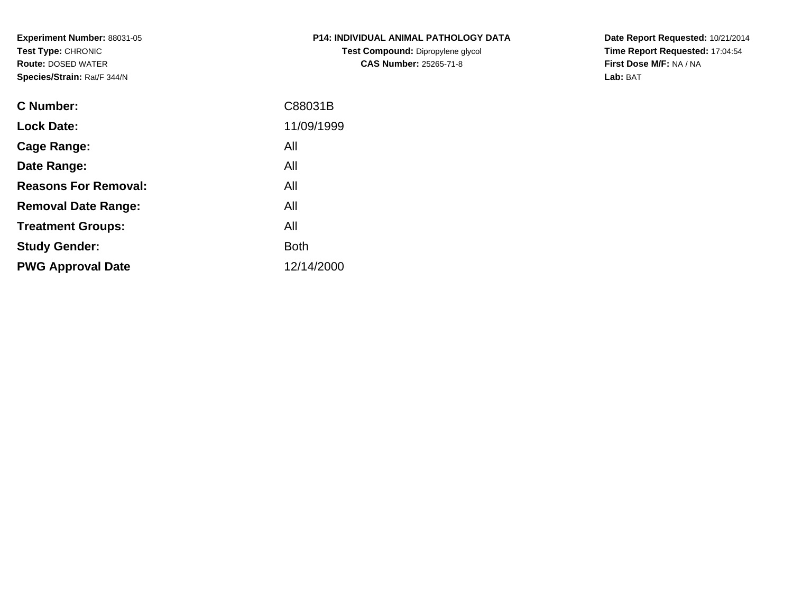**Experiment Number:** 88031-05**Test Type:** CHRONIC **Route:** DOSED WATER**Species/Strain:** Rat/F 344/N

| <b>P14: INDIVIDUAL ANIMAL PATHOLOGY DATA</b> |
|----------------------------------------------|
| Test Compound: Dipropylene glycol            |
| <b>CAS Number: 25265-71-8</b>                |

**Date Report Requested:** 10/21/2014 **Time Report Requested:** 17:04:54**First Dose M/F:** NA / NA**Lab:** BAT

| C88031B     |
|-------------|
| 11/09/1999  |
| All         |
| All         |
| All         |
| All         |
| All         |
| <b>Both</b> |
| 12/14/2000  |
|             |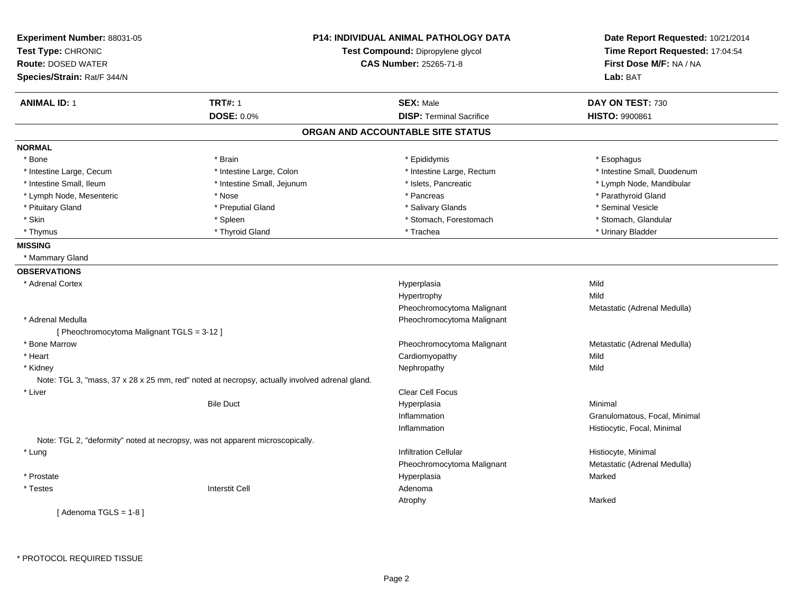| Experiment Number: 88031-05<br>Test Type: CHRONIC<br><b>Route: DOSED WATER</b><br>Species/Strain: Rat/F 344/N |                                                                                               | <b>P14: INDIVIDUAL ANIMAL PATHOLOGY DATA</b><br>Test Compound: Dipropylene glycol<br><b>CAS Number: 25265-71-8</b> | Date Report Requested: 10/21/2014<br>Time Report Requested: 17:04:54<br>First Dose M/F: NA / NA<br>Lab: BAT |
|---------------------------------------------------------------------------------------------------------------|-----------------------------------------------------------------------------------------------|--------------------------------------------------------------------------------------------------------------------|-------------------------------------------------------------------------------------------------------------|
| <b>ANIMAL ID: 1</b>                                                                                           | <b>TRT#: 1</b>                                                                                | <b>SEX: Male</b>                                                                                                   | DAY ON TEST: 730                                                                                            |
|                                                                                                               | <b>DOSE: 0.0%</b>                                                                             | <b>DISP: Terminal Sacrifice</b>                                                                                    | <b>HISTO: 9900861</b>                                                                                       |
|                                                                                                               |                                                                                               | ORGAN AND ACCOUNTABLE SITE STATUS                                                                                  |                                                                                                             |
| <b>NORMAL</b>                                                                                                 |                                                                                               |                                                                                                                    |                                                                                                             |
| * Bone                                                                                                        | * Brain                                                                                       | * Epididymis                                                                                                       | * Esophagus                                                                                                 |
| * Intestine Large, Cecum                                                                                      | * Intestine Large, Colon                                                                      | * Intestine Large, Rectum                                                                                          | * Intestine Small, Duodenum                                                                                 |
| * Intestine Small, Ileum                                                                                      | * Intestine Small, Jejunum                                                                    | * Islets, Pancreatic                                                                                               | * Lymph Node, Mandibular                                                                                    |
| * Lymph Node, Mesenteric                                                                                      | * Nose                                                                                        | * Pancreas                                                                                                         | * Parathyroid Gland                                                                                         |
| * Pituitary Gland                                                                                             | * Preputial Gland                                                                             | * Salivary Glands                                                                                                  | * Seminal Vesicle                                                                                           |
| * Skin                                                                                                        | * Spleen                                                                                      | * Stomach, Forestomach                                                                                             | * Stomach, Glandular                                                                                        |
| * Thymus                                                                                                      | * Thyroid Gland                                                                               | * Trachea                                                                                                          | * Urinary Bladder                                                                                           |
| <b>MISSING</b>                                                                                                |                                                                                               |                                                                                                                    |                                                                                                             |
| * Mammary Gland                                                                                               |                                                                                               |                                                                                                                    |                                                                                                             |
| <b>OBSERVATIONS</b>                                                                                           |                                                                                               |                                                                                                                    |                                                                                                             |
| * Adrenal Cortex                                                                                              |                                                                                               | Hyperplasia                                                                                                        | Mild                                                                                                        |
|                                                                                                               |                                                                                               | Hypertrophy                                                                                                        | Mild                                                                                                        |
|                                                                                                               |                                                                                               | Pheochromocytoma Malignant                                                                                         | Metastatic (Adrenal Medulla)                                                                                |
| * Adrenal Medulla                                                                                             |                                                                                               | Pheochromocytoma Malignant                                                                                         |                                                                                                             |
| [ Pheochromocytoma Malignant TGLS = 3-12 ]                                                                    |                                                                                               |                                                                                                                    |                                                                                                             |
| * Bone Marrow                                                                                                 |                                                                                               | Pheochromocytoma Malignant                                                                                         | Metastatic (Adrenal Medulla)                                                                                |
| * Heart                                                                                                       |                                                                                               | Cardiomyopathy                                                                                                     | Mild                                                                                                        |
| * Kidney                                                                                                      |                                                                                               | Nephropathy                                                                                                        | Mild                                                                                                        |
|                                                                                                               | Note: TGL 3, "mass, 37 x 28 x 25 mm, red" noted at necropsy, actually involved adrenal gland. |                                                                                                                    |                                                                                                             |
| * Liver                                                                                                       |                                                                                               | <b>Clear Cell Focus</b>                                                                                            |                                                                                                             |
|                                                                                                               | <b>Bile Duct</b>                                                                              | Hyperplasia                                                                                                        | Minimal                                                                                                     |
|                                                                                                               |                                                                                               | Inflammation                                                                                                       | Granulomatous, Focal, Minimal                                                                               |
|                                                                                                               |                                                                                               | Inflammation                                                                                                       | Histiocytic, Focal, Minimal                                                                                 |
| Note: TGL 2, "deformity" noted at necropsy, was not apparent microscopically.                                 |                                                                                               |                                                                                                                    |                                                                                                             |
| * Lung                                                                                                        |                                                                                               | <b>Infiltration Cellular</b>                                                                                       | Histiocyte, Minimal                                                                                         |
|                                                                                                               |                                                                                               | Pheochromocytoma Malignant                                                                                         | Metastatic (Adrenal Medulla)                                                                                |
| * Prostate                                                                                                    |                                                                                               | Hyperplasia                                                                                                        | Marked                                                                                                      |
| $^\star$ Testes                                                                                               | <b>Interstit Cell</b>                                                                         | Adenoma                                                                                                            |                                                                                                             |
|                                                                                                               |                                                                                               | Atrophy                                                                                                            | Marked                                                                                                      |
| [Adenoma TGLS = $1-8$ ]                                                                                       |                                                                                               |                                                                                                                    |                                                                                                             |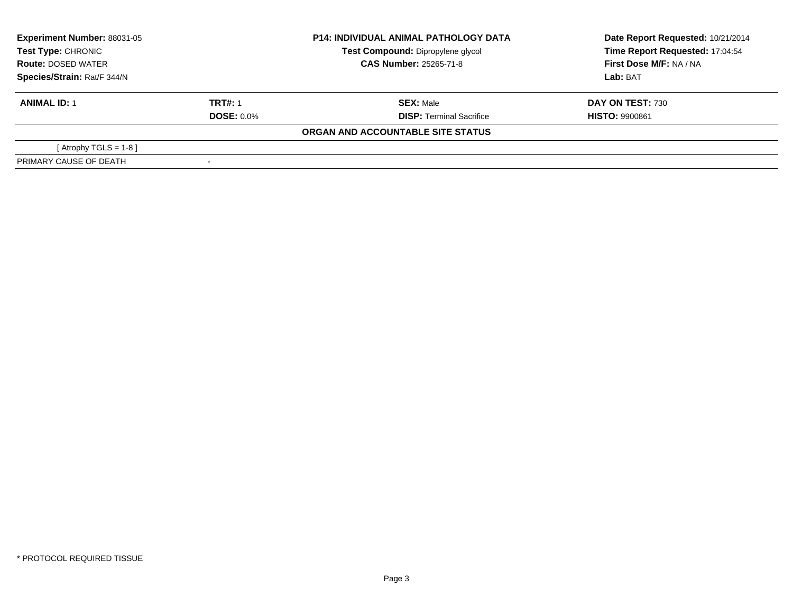| <b>Experiment Number: 88031-05</b><br>Test Type: CHRONIC<br><b>Route: DOSED WATER</b><br>Species/Strain: Rat/F 344/N |                   | <b>P14: INDIVIDUAL ANIMAL PATHOLOGY DATA</b> | Date Report Requested: 10/21/2014 |
|----------------------------------------------------------------------------------------------------------------------|-------------------|----------------------------------------------|-----------------------------------|
|                                                                                                                      |                   | Test Compound: Dipropylene glycol            | Time Report Requested: 17:04:54   |
|                                                                                                                      |                   | <b>CAS Number: 25265-71-8</b>                | First Dose M/F: NA / NA           |
|                                                                                                                      |                   |                                              | Lab: BAT                          |
| <b>ANIMAL ID: 1</b>                                                                                                  | <b>TRT#: 1</b>    | <b>SEX: Male</b>                             | DAY ON TEST: 730                  |
|                                                                                                                      | <b>DOSE: 0.0%</b> | <b>DISP:</b> Terminal Sacrifice              | <b>HISTO: 9900861</b>             |
|                                                                                                                      |                   | ORGAN AND ACCOUNTABLE SITE STATUS            |                                   |
| [Atrophy TGLS = 1-8 ]                                                                                                |                   |                                              |                                   |
| PRIMARY CAUSE OF DEATH                                                                                               |                   |                                              |                                   |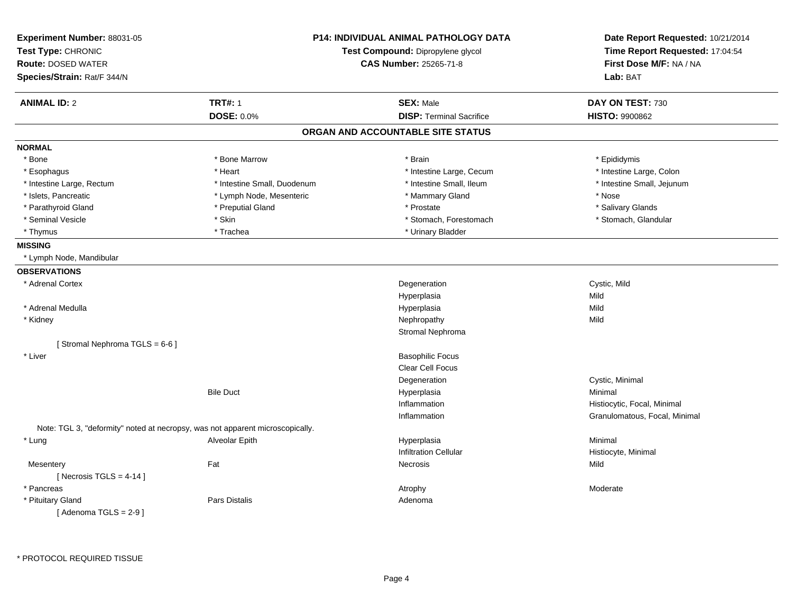| Experiment Number: 88031-05<br>Test Type: CHRONIC<br><b>Route: DOSED WATER</b><br>Species/Strain: Rat/F 344/N |                                                                               | <b>P14: INDIVIDUAL ANIMAL PATHOLOGY DATA</b><br>Test Compound: Dipropylene glycol<br><b>CAS Number: 25265-71-8</b> |                               |
|---------------------------------------------------------------------------------------------------------------|-------------------------------------------------------------------------------|--------------------------------------------------------------------------------------------------------------------|-------------------------------|
| <b>ANIMAL ID: 2</b>                                                                                           | <b>TRT#: 1</b>                                                                | <b>SEX: Male</b>                                                                                                   | DAY ON TEST: 730              |
|                                                                                                               | <b>DOSE: 0.0%</b>                                                             | <b>DISP: Terminal Sacrifice</b>                                                                                    | <b>HISTO: 9900862</b>         |
|                                                                                                               |                                                                               | ORGAN AND ACCOUNTABLE SITE STATUS                                                                                  |                               |
| <b>NORMAL</b>                                                                                                 |                                                                               |                                                                                                                    |                               |
| * Bone                                                                                                        | * Bone Marrow                                                                 | * Brain                                                                                                            | * Epididymis                  |
| * Esophagus                                                                                                   | * Heart                                                                       | * Intestine Large, Cecum                                                                                           | * Intestine Large, Colon      |
| * Intestine Large, Rectum                                                                                     | * Intestine Small, Duodenum                                                   | * Intestine Small, Ileum                                                                                           | * Intestine Small, Jejunum    |
| * Islets, Pancreatic                                                                                          | * Lymph Node, Mesenteric                                                      | * Mammary Gland                                                                                                    | * Nose                        |
| * Parathyroid Gland                                                                                           | * Preputial Gland                                                             | * Prostate                                                                                                         | * Salivary Glands             |
| * Seminal Vesicle                                                                                             | * Skin                                                                        | * Stomach, Forestomach                                                                                             | * Stomach, Glandular          |
| * Thymus                                                                                                      | * Trachea                                                                     | * Urinary Bladder                                                                                                  |                               |
| <b>MISSING</b>                                                                                                |                                                                               |                                                                                                                    |                               |
| * Lymph Node, Mandibular                                                                                      |                                                                               |                                                                                                                    |                               |
| <b>OBSERVATIONS</b>                                                                                           |                                                                               |                                                                                                                    |                               |
| * Adrenal Cortex                                                                                              |                                                                               | Degeneration                                                                                                       | Cystic, Mild                  |
|                                                                                                               |                                                                               | Hyperplasia                                                                                                        | Mild                          |
| * Adrenal Medulla                                                                                             |                                                                               | Hyperplasia                                                                                                        | Mild                          |
| * Kidney                                                                                                      |                                                                               | Nephropathy                                                                                                        | Mild                          |
|                                                                                                               |                                                                               | Stromal Nephroma                                                                                                   |                               |
| [Stromal Nephroma TGLS = 6-6]                                                                                 |                                                                               |                                                                                                                    |                               |
| * Liver                                                                                                       |                                                                               | <b>Basophilic Focus</b>                                                                                            |                               |
|                                                                                                               |                                                                               | Clear Cell Focus                                                                                                   |                               |
|                                                                                                               |                                                                               | Degeneration                                                                                                       | Cystic, Minimal               |
|                                                                                                               | <b>Bile Duct</b>                                                              | Hyperplasia                                                                                                        | Minimal                       |
|                                                                                                               |                                                                               | Inflammation                                                                                                       | Histiocytic, Focal, Minimal   |
|                                                                                                               |                                                                               | Inflammation                                                                                                       | Granulomatous, Focal, Minimal |
|                                                                                                               | Note: TGL 3, "deformity" noted at necropsy, was not apparent microscopically. |                                                                                                                    |                               |
| * Lung                                                                                                        | Alveolar Epith                                                                | Hyperplasia                                                                                                        | Minimal                       |
|                                                                                                               |                                                                               | Infiltration Cellular                                                                                              | Histiocyte, Minimal           |
| Mesentery                                                                                                     | Fat                                                                           | Necrosis                                                                                                           | Mild                          |
| [ Necrosis TGLS = $4-14$ ]                                                                                    |                                                                               |                                                                                                                    |                               |
| * Pancreas                                                                                                    |                                                                               | Atrophy                                                                                                            | Moderate                      |
| * Pituitary Gland                                                                                             | Pars Distalis                                                                 | Adenoma                                                                                                            |                               |
| [Adenoma TGLS = $2-9$ ]                                                                                       |                                                                               |                                                                                                                    |                               |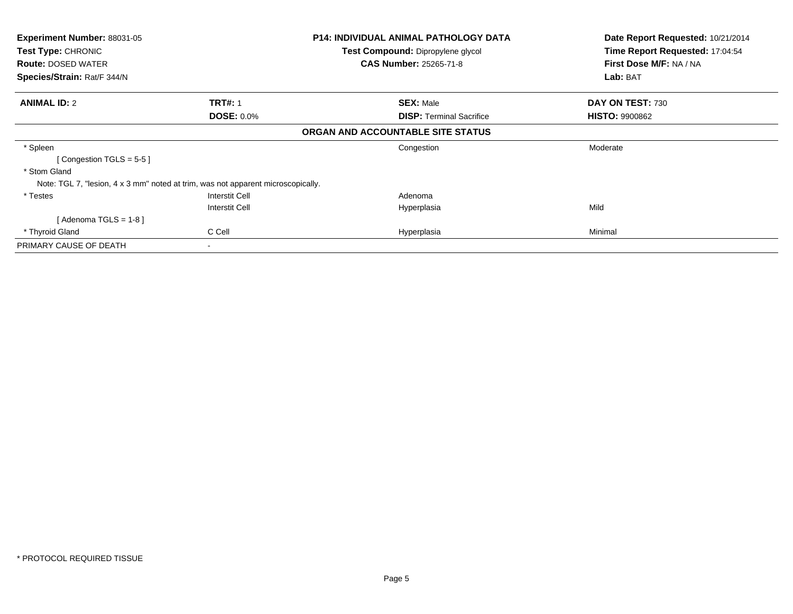| <b>Experiment Number: 88031-05</b>                                               | <b>P14: INDIVIDUAL ANIMAL PATHOLOGY DATA</b> |                                   | Date Report Requested: 10/21/2014 |
|----------------------------------------------------------------------------------|----------------------------------------------|-----------------------------------|-----------------------------------|
| Test Type: CHRONIC                                                               |                                              | Test Compound: Dipropylene glycol | Time Report Requested: 17:04:54   |
| <b>Route: DOSED WATER</b>                                                        |                                              | <b>CAS Number: 25265-71-8</b>     | First Dose M/F: NA / NA           |
| Species/Strain: Rat/F 344/N                                                      |                                              |                                   | Lab: BAT                          |
| <b>ANIMAL ID: 2</b>                                                              | <b>TRT#: 1</b>                               | <b>SEX: Male</b>                  | DAY ON TEST: 730                  |
|                                                                                  | <b>DOSE: 0.0%</b>                            | <b>DISP: Terminal Sacrifice</b>   | <b>HISTO: 9900862</b>             |
|                                                                                  |                                              | ORGAN AND ACCOUNTABLE SITE STATUS |                                   |
| * Spleen                                                                         |                                              | Congestion                        | Moderate                          |
| [Congestion TGLS = $5-5$ ]                                                       |                                              |                                   |                                   |
| * Stom Gland                                                                     |                                              |                                   |                                   |
| Note: TGL 7, "lesion, 4 x 3 mm" noted at trim, was not apparent microscopically. |                                              |                                   |                                   |
| * Testes                                                                         | Interstit Cell                               | Adenoma                           |                                   |
|                                                                                  | Interstit Cell                               | Hyperplasia                       | Mild                              |
| [Adenoma TGLS = $1-8$ ]                                                          |                                              |                                   |                                   |
| * Thyroid Gland                                                                  | C Cell                                       | Hyperplasia                       | Minimal                           |
| PRIMARY CAUSE OF DEATH                                                           |                                              |                                   |                                   |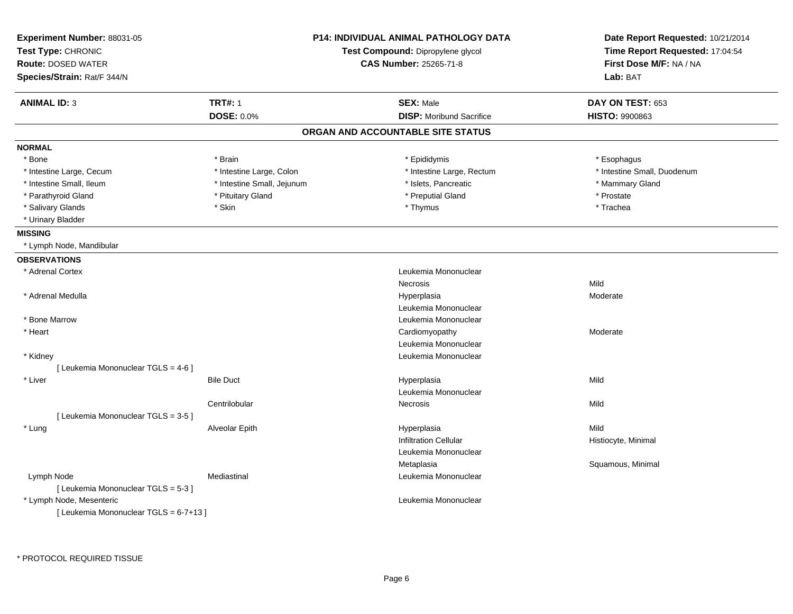| Experiment Number: 88031-05<br>Test Type: CHRONIC<br><b>Route: DOSED WATER</b><br>Species/Strain: Rat/F 344/N |                            | <b>P14: INDIVIDUAL ANIMAL PATHOLOGY DATA</b><br>Test Compound: Dipropylene glycol<br><b>CAS Number: 25265-71-8</b> | Date Report Requested: 10/21/2014<br>Time Report Requested: 17:04:54<br>First Dose M/F: NA / NA<br>Lab: BAT |
|---------------------------------------------------------------------------------------------------------------|----------------------------|--------------------------------------------------------------------------------------------------------------------|-------------------------------------------------------------------------------------------------------------|
| <b>ANIMAL ID: 3</b>                                                                                           | <b>TRT#: 1</b>             | <b>SEX: Male</b>                                                                                                   | DAY ON TEST: 653                                                                                            |
|                                                                                                               | <b>DOSE: 0.0%</b>          | <b>DISP:</b> Moribund Sacrifice                                                                                    | <b>HISTO: 9900863</b>                                                                                       |
|                                                                                                               |                            | ORGAN AND ACCOUNTABLE SITE STATUS                                                                                  |                                                                                                             |
| <b>NORMAL</b>                                                                                                 |                            |                                                                                                                    |                                                                                                             |
| * Bone                                                                                                        | * Brain                    | * Epididymis                                                                                                       | * Esophagus                                                                                                 |
| * Intestine Large, Cecum                                                                                      | * Intestine Large, Colon   | * Intestine Large, Rectum                                                                                          | * Intestine Small, Duodenum                                                                                 |
| * Intestine Small, Ileum                                                                                      | * Intestine Small, Jejunum | * Islets, Pancreatic                                                                                               | * Mammary Gland                                                                                             |
| * Parathyroid Gland                                                                                           | * Pituitary Gland          | * Preputial Gland                                                                                                  | * Prostate                                                                                                  |
| * Salivary Glands                                                                                             | * Skin                     | * Thymus                                                                                                           | * Trachea                                                                                                   |
| * Urinary Bladder                                                                                             |                            |                                                                                                                    |                                                                                                             |
| <b>MISSING</b>                                                                                                |                            |                                                                                                                    |                                                                                                             |
| * Lymph Node, Mandibular                                                                                      |                            |                                                                                                                    |                                                                                                             |
| <b>OBSERVATIONS</b>                                                                                           |                            |                                                                                                                    |                                                                                                             |
| * Adrenal Cortex                                                                                              |                            | Leukemia Mononuclear                                                                                               |                                                                                                             |
|                                                                                                               |                            | Necrosis                                                                                                           | Mild                                                                                                        |
| * Adrenal Medulla                                                                                             |                            | Hyperplasia                                                                                                        | Moderate                                                                                                    |
|                                                                                                               |                            | Leukemia Mononuclear                                                                                               |                                                                                                             |
| * Bone Marrow                                                                                                 |                            | Leukemia Mononuclear                                                                                               |                                                                                                             |
| * Heart                                                                                                       |                            | Cardiomyopathy                                                                                                     | Moderate                                                                                                    |
|                                                                                                               |                            | Leukemia Mononuclear                                                                                               |                                                                                                             |
| * Kidney                                                                                                      |                            | Leukemia Mononuclear                                                                                               |                                                                                                             |
| [ Leukemia Mononuclear TGLS = 4-6 ]                                                                           |                            |                                                                                                                    |                                                                                                             |
| * Liver                                                                                                       | <b>Bile Duct</b>           | Hyperplasia                                                                                                        | Mild                                                                                                        |
|                                                                                                               |                            | Leukemia Mononuclear                                                                                               |                                                                                                             |
|                                                                                                               | Centrilobular              | Necrosis                                                                                                           | Mild                                                                                                        |
| [Leukemia Mononuclear TGLS = 3-5]                                                                             |                            |                                                                                                                    |                                                                                                             |
| * Lung                                                                                                        | Alveolar Epith             | Hyperplasia                                                                                                        | Mild                                                                                                        |
|                                                                                                               |                            | <b>Infiltration Cellular</b>                                                                                       | Histiocyte, Minimal                                                                                         |
|                                                                                                               |                            | Leukemia Mononuclear                                                                                               |                                                                                                             |
|                                                                                                               |                            | Metaplasia                                                                                                         | Squamous, Minimal                                                                                           |
| Lymph Node                                                                                                    | Mediastinal                | Leukemia Mononuclear                                                                                               |                                                                                                             |
| [ Leukemia Mononuclear TGLS = 5-3 ]                                                                           |                            |                                                                                                                    |                                                                                                             |
| * Lymph Node, Mesenteric                                                                                      |                            | Leukemia Mononuclear                                                                                               |                                                                                                             |
|                                                                                                               |                            |                                                                                                                    |                                                                                                             |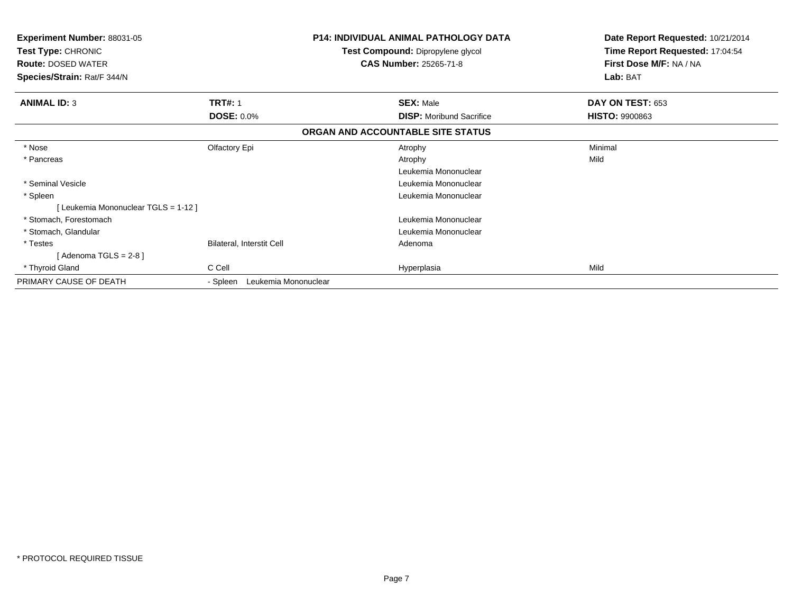| <b>Experiment Number: 88031-05</b><br>Test Type: CHRONIC |                                  | <b>P14: INDIVIDUAL ANIMAL PATHOLOGY DATA</b><br>Test Compound: Dipropylene glycol | Date Report Requested: 10/21/2014<br>Time Report Requested: 17:04:54 |
|----------------------------------------------------------|----------------------------------|-----------------------------------------------------------------------------------|----------------------------------------------------------------------|
| <b>Route: DOSED WATER</b>                                |                                  | <b>CAS Number: 25265-71-8</b>                                                     | First Dose M/F: NA / NA                                              |
| Species/Strain: Rat/F 344/N                              |                                  |                                                                                   | Lab: BAT                                                             |
| <b>ANIMAL ID: 3</b>                                      | <b>TRT#: 1</b>                   | <b>SEX: Male</b>                                                                  | <b>DAY ON TEST: 653</b>                                              |
|                                                          | <b>DOSE: 0.0%</b>                | <b>DISP:</b> Moribund Sacrifice                                                   | <b>HISTO: 9900863</b>                                                |
|                                                          |                                  | ORGAN AND ACCOUNTABLE SITE STATUS                                                 |                                                                      |
| * Nose                                                   | Olfactory Epi                    | Atrophy                                                                           | Minimal                                                              |
| * Pancreas                                               |                                  | Atrophy                                                                           | Mild                                                                 |
|                                                          |                                  | Leukemia Mononuclear                                                              |                                                                      |
| * Seminal Vesicle                                        |                                  | Leukemia Mononuclear                                                              |                                                                      |
| * Spleen                                                 |                                  | Leukemia Mononuclear                                                              |                                                                      |
| [Leukemia Mononuclear TGLS = 1-12]                       |                                  |                                                                                   |                                                                      |
| * Stomach, Forestomach                                   |                                  | Leukemia Mononuclear                                                              |                                                                      |
| * Stomach, Glandular                                     |                                  | Leukemia Mononuclear                                                              |                                                                      |
| * Testes                                                 | Bilateral, Interstit Cell        | Adenoma                                                                           |                                                                      |
| [Adenoma TGLS = $2-8$ ]                                  |                                  |                                                                                   |                                                                      |
| * Thyroid Gland                                          | C Cell                           | Hyperplasia                                                                       | Mild                                                                 |
| PRIMARY CAUSE OF DEATH                                   | Leukemia Mononuclear<br>- Spleen |                                                                                   |                                                                      |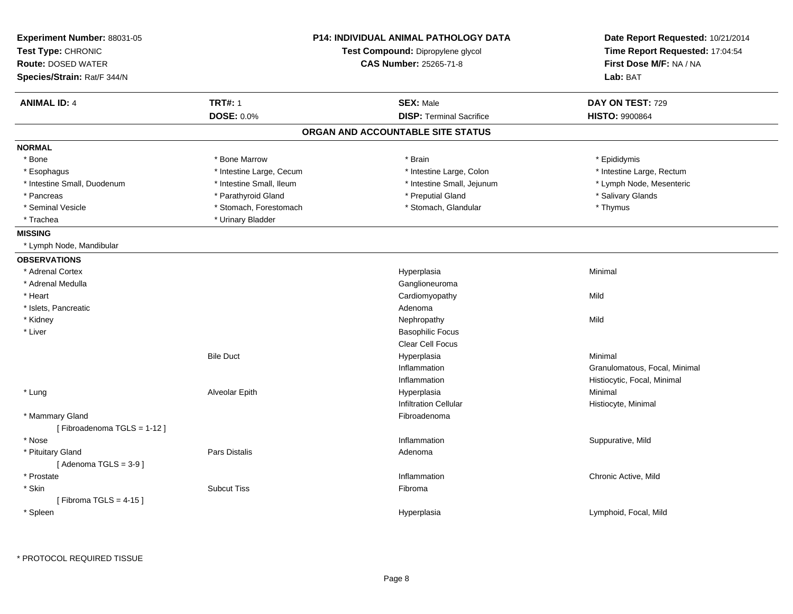| Experiment Number: 88031-05<br>Test Type: CHRONIC<br><b>Route: DOSED WATER</b> |                          | P14: INDIVIDUAL ANIMAL PATHOLOGY DATA<br>Test Compound: Dipropylene glycol<br><b>CAS Number: 25265-71-8</b> | Date Report Requested: 10/21/2014<br>Time Report Requested: 17:04:54<br>First Dose M/F: NA / NA |  |
|--------------------------------------------------------------------------------|--------------------------|-------------------------------------------------------------------------------------------------------------|-------------------------------------------------------------------------------------------------|--|
| Species/Strain: Rat/F 344/N                                                    |                          |                                                                                                             | Lab: BAT                                                                                        |  |
| <b>ANIMAL ID: 4</b>                                                            | <b>TRT#: 1</b>           | <b>SEX: Male</b>                                                                                            | DAY ON TEST: 729                                                                                |  |
|                                                                                | <b>DOSE: 0.0%</b>        | <b>DISP: Terminal Sacrifice</b>                                                                             | <b>HISTO: 9900864</b>                                                                           |  |
|                                                                                |                          | ORGAN AND ACCOUNTABLE SITE STATUS                                                                           |                                                                                                 |  |
| <b>NORMAL</b>                                                                  |                          |                                                                                                             |                                                                                                 |  |
| * Bone                                                                         | * Bone Marrow            | * Brain                                                                                                     | * Epididymis                                                                                    |  |
| * Esophagus                                                                    | * Intestine Large, Cecum | * Intestine Large, Colon                                                                                    | * Intestine Large, Rectum                                                                       |  |
| * Intestine Small, Duodenum                                                    | * Intestine Small, Ileum | * Intestine Small, Jejunum                                                                                  | * Lymph Node, Mesenteric                                                                        |  |
| * Pancreas                                                                     | * Parathyroid Gland      | * Preputial Gland                                                                                           | * Salivary Glands                                                                               |  |
| * Seminal Vesicle                                                              | * Stomach, Forestomach   | * Stomach, Glandular                                                                                        | * Thymus                                                                                        |  |
| * Trachea                                                                      | * Urinary Bladder        |                                                                                                             |                                                                                                 |  |
| <b>MISSING</b>                                                                 |                          |                                                                                                             |                                                                                                 |  |
| * Lymph Node, Mandibular                                                       |                          |                                                                                                             |                                                                                                 |  |
| <b>OBSERVATIONS</b>                                                            |                          |                                                                                                             |                                                                                                 |  |
| * Adrenal Cortex                                                               |                          | Hyperplasia                                                                                                 | Minimal                                                                                         |  |
| * Adrenal Medulla                                                              |                          | Ganglioneuroma                                                                                              |                                                                                                 |  |
| * Heart                                                                        |                          | Cardiomyopathy                                                                                              | Mild                                                                                            |  |
| * Islets, Pancreatic                                                           |                          | Adenoma                                                                                                     |                                                                                                 |  |
| * Kidney                                                                       |                          | Nephropathy                                                                                                 | Mild                                                                                            |  |
| * Liver                                                                        |                          | <b>Basophilic Focus</b>                                                                                     |                                                                                                 |  |
|                                                                                |                          | Clear Cell Focus                                                                                            |                                                                                                 |  |
|                                                                                | <b>Bile Duct</b>         | Hyperplasia                                                                                                 | Minimal                                                                                         |  |
|                                                                                |                          | Inflammation                                                                                                | Granulomatous, Focal, Minimal                                                                   |  |
|                                                                                |                          | Inflammation                                                                                                | Histiocytic, Focal, Minimal                                                                     |  |
| * Lung                                                                         | Alveolar Epith           | Hyperplasia                                                                                                 | Minimal                                                                                         |  |
|                                                                                |                          | <b>Infiltration Cellular</b>                                                                                | Histiocyte, Minimal                                                                             |  |
| * Mammary Gland<br>[Fibroadenoma TGLS = 1-12]                                  |                          | Fibroadenoma                                                                                                |                                                                                                 |  |
| * Nose                                                                         |                          | Inflammation                                                                                                | Suppurative, Mild                                                                               |  |
| * Pituitary Gland                                                              | <b>Pars Distalis</b>     | Adenoma                                                                                                     |                                                                                                 |  |
| [Adenoma TGLS = $3-9$ ]                                                        |                          |                                                                                                             |                                                                                                 |  |
| * Prostate                                                                     |                          | Inflammation                                                                                                | Chronic Active, Mild                                                                            |  |
| * Skin                                                                         | <b>Subcut Tiss</b>       | Fibroma                                                                                                     |                                                                                                 |  |
| [Fibroma TGLS = $4-15$ ]                                                       |                          |                                                                                                             |                                                                                                 |  |
| * Spleen                                                                       |                          | Hyperplasia                                                                                                 | Lymphoid, Focal, Mild                                                                           |  |
|                                                                                |                          |                                                                                                             |                                                                                                 |  |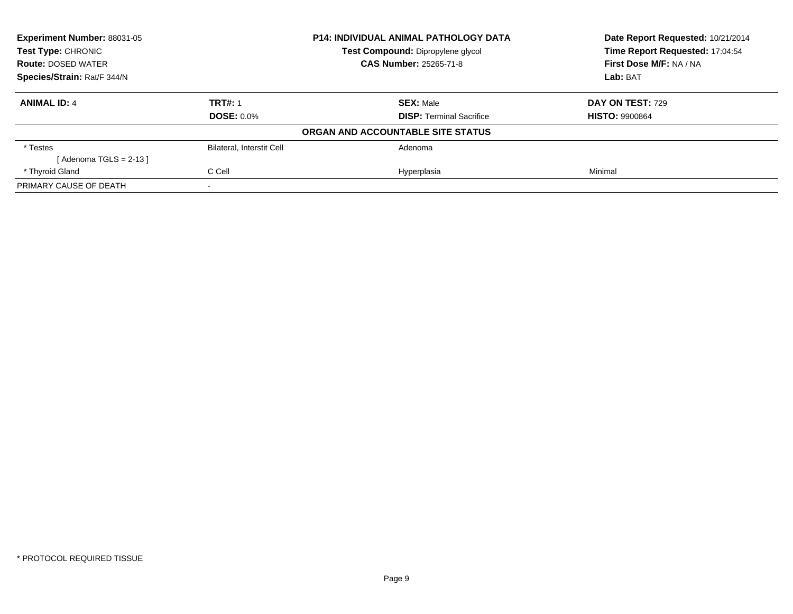| Experiment Number: 88031-05 | <b>P14: INDIVIDUAL ANIMAL PATHOLOGY DATA</b><br>Test Compound: Dipropylene glycol |                                   | Date Report Requested: 10/21/2014 |
|-----------------------------|-----------------------------------------------------------------------------------|-----------------------------------|-----------------------------------|
| <b>Test Type: CHRONIC</b>   |                                                                                   |                                   | Time Report Requested: 17:04:54   |
| <b>Route: DOSED WATER</b>   |                                                                                   | <b>CAS Number: 25265-71-8</b>     | First Dose M/F: NA / NA           |
| Species/Strain: Rat/F 344/N |                                                                                   |                                   | Lab: BAT                          |
| <b>ANIMAL ID: 4</b>         | <b>TRT#: 1</b>                                                                    | <b>SEX: Male</b>                  | DAY ON TEST: 729                  |
|                             | <b>DOSE: 0.0%</b>                                                                 | <b>DISP:</b> Terminal Sacrifice   | <b>HISTO: 9900864</b>             |
|                             |                                                                                   | ORGAN AND ACCOUNTABLE SITE STATUS |                                   |
| * Testes                    | <b>Bilateral, Interstit Cell</b>                                                  | Adenoma                           |                                   |
| [Adenoma TGLS = 2-13 ]      |                                                                                   |                                   |                                   |
| * Thyroid Gland             | C Cell                                                                            | Hyperplasia                       | Minimal                           |
| PRIMARY CAUSE OF DEATH      |                                                                                   |                                   |                                   |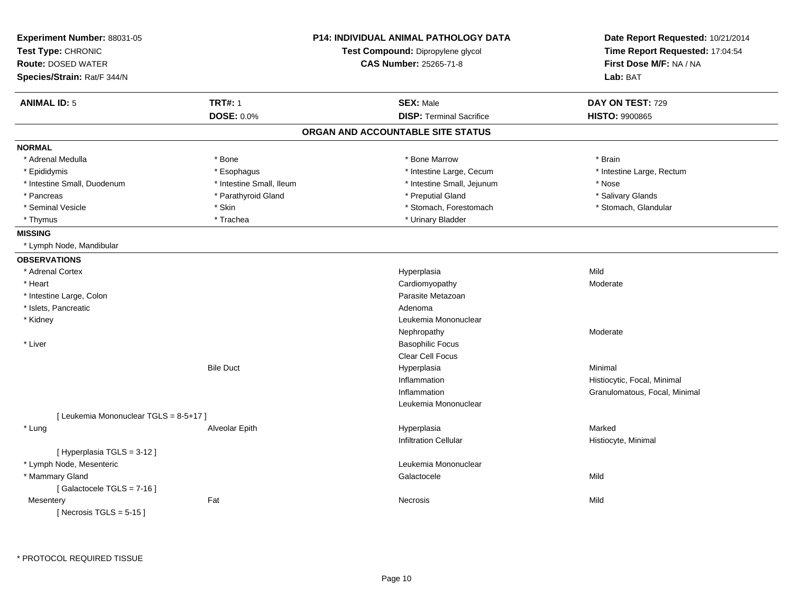| Experiment Number: 88031-05<br>Test Type: CHRONIC<br><b>Route: DOSED WATER</b> |                          | <b>P14: INDIVIDUAL ANIMAL PATHOLOGY DATA</b><br>Test Compound: Dipropylene glycol<br>CAS Number: 25265-71-8 | Date Report Requested: 10/21/2014<br>Time Report Requested: 17:04:54<br>First Dose M/F: NA / NA |
|--------------------------------------------------------------------------------|--------------------------|-------------------------------------------------------------------------------------------------------------|-------------------------------------------------------------------------------------------------|
| Species/Strain: Rat/F 344/N                                                    |                          |                                                                                                             | Lab: BAT                                                                                        |
| <b>ANIMAL ID: 5</b>                                                            | <b>TRT#: 1</b>           | <b>SEX: Male</b>                                                                                            | DAY ON TEST: 729                                                                                |
|                                                                                | <b>DOSE: 0.0%</b>        | <b>DISP: Terminal Sacrifice</b>                                                                             | <b>HISTO: 9900865</b>                                                                           |
|                                                                                |                          | ORGAN AND ACCOUNTABLE SITE STATUS                                                                           |                                                                                                 |
| <b>NORMAL</b>                                                                  |                          |                                                                                                             |                                                                                                 |
| * Adrenal Medulla                                                              | * Bone                   | * Bone Marrow                                                                                               | * Brain                                                                                         |
| * Epididymis                                                                   | * Esophagus              | * Intestine Large, Cecum                                                                                    | * Intestine Large, Rectum                                                                       |
| * Intestine Small, Duodenum                                                    | * Intestine Small, Ileum | * Intestine Small, Jejunum                                                                                  | * Nose                                                                                          |
| * Pancreas                                                                     | * Parathyroid Gland      | * Preputial Gland                                                                                           | * Salivary Glands                                                                               |
| * Seminal Vesicle                                                              | * Skin                   | * Stomach, Forestomach                                                                                      | * Stomach, Glandular                                                                            |
| * Thymus                                                                       | * Trachea                | * Urinary Bladder                                                                                           |                                                                                                 |
| <b>MISSING</b>                                                                 |                          |                                                                                                             |                                                                                                 |
| * Lymph Node, Mandibular                                                       |                          |                                                                                                             |                                                                                                 |
| <b>OBSERVATIONS</b>                                                            |                          |                                                                                                             |                                                                                                 |
| * Adrenal Cortex                                                               |                          | Hyperplasia                                                                                                 | Mild                                                                                            |
| * Heart                                                                        |                          | Cardiomyopathy                                                                                              | Moderate                                                                                        |
| * Intestine Large, Colon                                                       |                          | Parasite Metazoan                                                                                           |                                                                                                 |
| * Islets, Pancreatic                                                           |                          | Adenoma                                                                                                     |                                                                                                 |
| * Kidney                                                                       |                          | Leukemia Mononuclear                                                                                        |                                                                                                 |
|                                                                                |                          | Nephropathy                                                                                                 | Moderate                                                                                        |
| * Liver                                                                        |                          | <b>Basophilic Focus</b>                                                                                     |                                                                                                 |
|                                                                                |                          | <b>Clear Cell Focus</b>                                                                                     |                                                                                                 |
|                                                                                | <b>Bile Duct</b>         | Hyperplasia                                                                                                 | Minimal                                                                                         |
|                                                                                |                          | Inflammation                                                                                                | Histiocytic, Focal, Minimal                                                                     |
|                                                                                |                          | Inflammation                                                                                                | Granulomatous, Focal, Minimal                                                                   |
|                                                                                |                          | Leukemia Mononuclear                                                                                        |                                                                                                 |
| [ Leukemia Mononuclear TGLS = 8-5+17 ]                                         |                          |                                                                                                             |                                                                                                 |
| * Lung                                                                         | Alveolar Epith           | Hyperplasia                                                                                                 | Marked                                                                                          |
|                                                                                |                          | <b>Infiltration Cellular</b>                                                                                | Histiocyte, Minimal                                                                             |
| [ Hyperplasia TGLS = 3-12 ]                                                    |                          |                                                                                                             |                                                                                                 |
| * Lymph Node, Mesenteric                                                       |                          | Leukemia Mononuclear                                                                                        |                                                                                                 |
| * Mammary Gland                                                                |                          | Galactocele                                                                                                 | Mild                                                                                            |
| [Galactocele TGLS = 7-16]                                                      |                          |                                                                                                             |                                                                                                 |
| Mesentery                                                                      | Fat                      | Necrosis                                                                                                    | Mild                                                                                            |
| [ Necrosis TGLS = $5-15$ ]                                                     |                          |                                                                                                             |                                                                                                 |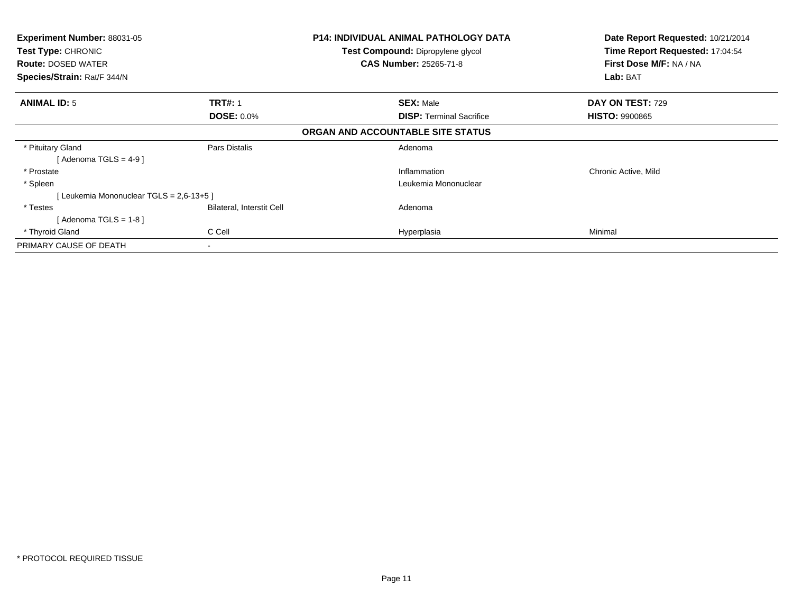| <b>Experiment Number: 88031-05</b><br>Test Type: CHRONIC<br><b>Route: DOSED WATER</b><br>Species/Strain: Rat/F 344/N |                           | P14: INDIVIDUAL ANIMAL PATHOLOGY DATA<br>Test Compound: Dipropylene glycol<br><b>CAS Number: 25265-71-8</b> | Date Report Requested: 10/21/2014<br>Time Report Requested: 17:04:54<br>First Dose M/F: NA / NA<br>Lab: BAT |
|----------------------------------------------------------------------------------------------------------------------|---------------------------|-------------------------------------------------------------------------------------------------------------|-------------------------------------------------------------------------------------------------------------|
| <b>ANIMAL ID: 5</b>                                                                                                  | <b>TRT#: 1</b>            | <b>SEX: Male</b>                                                                                            | DAY ON TEST: 729                                                                                            |
|                                                                                                                      | <b>DOSE: 0.0%</b>         | <b>DISP:</b> Terminal Sacrifice                                                                             | <b>HISTO: 9900865</b>                                                                                       |
|                                                                                                                      |                           | ORGAN AND ACCOUNTABLE SITE STATUS                                                                           |                                                                                                             |
| * Pituitary Gland<br>Adenoma TGLS = 4-9 1                                                                            | Pars Distalis             | Adenoma                                                                                                     |                                                                                                             |
| * Prostate                                                                                                           |                           | Inflammation                                                                                                | Chronic Active, Mild                                                                                        |
| * Spleen                                                                                                             |                           | Leukemia Mononuclear                                                                                        |                                                                                                             |
| [Leukemia Mononuclear TGLS = 2,6-13+5]                                                                               |                           |                                                                                                             |                                                                                                             |
| * Testes                                                                                                             | Bilateral, Interstit Cell | Adenoma                                                                                                     |                                                                                                             |
| [ Adenoma TGLS = 1-8 ]                                                                                               |                           |                                                                                                             |                                                                                                             |
| * Thyroid Gland                                                                                                      | C Cell                    | Hyperplasia                                                                                                 | Minimal                                                                                                     |
| PRIMARY CAUSE OF DEATH                                                                                               | $\blacksquare$            |                                                                                                             |                                                                                                             |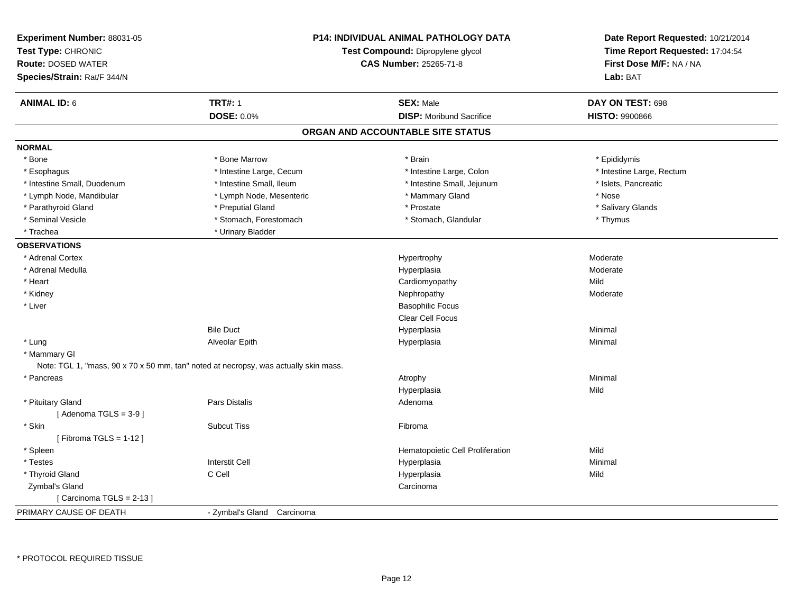| Experiment Number: 88031-05<br>Test Type: CHRONIC<br><b>Route: DOSED WATER</b><br>Species/Strain: Rat/F 344/N | <b>P14: INDIVIDUAL ANIMAL PATHOLOGY DATA</b><br>Test Compound: Dipropylene glycol<br><b>CAS Number: 25265-71-8</b> |                                   | Date Report Requested: 10/21/2014<br>Time Report Requested: 17:04:54<br>First Dose M/F: NA / NA<br>Lab: BAT |
|---------------------------------------------------------------------------------------------------------------|--------------------------------------------------------------------------------------------------------------------|-----------------------------------|-------------------------------------------------------------------------------------------------------------|
| <b>ANIMAL ID: 6</b>                                                                                           | <b>TRT#: 1</b>                                                                                                     | <b>SEX: Male</b>                  | DAY ON TEST: 698                                                                                            |
|                                                                                                               | DOSE: 0.0%                                                                                                         | <b>DISP:</b> Moribund Sacrifice   | <b>HISTO: 9900866</b>                                                                                       |
|                                                                                                               |                                                                                                                    | ORGAN AND ACCOUNTABLE SITE STATUS |                                                                                                             |
| <b>NORMAL</b>                                                                                                 |                                                                                                                    |                                   |                                                                                                             |
| * Bone                                                                                                        | * Bone Marrow                                                                                                      | * Brain                           | * Epididymis                                                                                                |
| * Esophagus                                                                                                   | * Intestine Large, Cecum                                                                                           | * Intestine Large, Colon          | * Intestine Large, Rectum                                                                                   |
| * Intestine Small, Duodenum                                                                                   | * Intestine Small, Ileum                                                                                           | * Intestine Small, Jejunum        | * Islets, Pancreatic                                                                                        |
| * Lymph Node, Mandibular                                                                                      | * Lymph Node, Mesenteric                                                                                           | * Mammary Gland                   | * Nose                                                                                                      |
| * Parathyroid Gland                                                                                           | * Preputial Gland                                                                                                  | * Prostate                        | * Salivary Glands                                                                                           |
| * Seminal Vesicle                                                                                             | * Stomach, Forestomach                                                                                             | * Stomach, Glandular              | * Thymus                                                                                                    |
| * Trachea                                                                                                     | * Urinary Bladder                                                                                                  |                                   |                                                                                                             |
| <b>OBSERVATIONS</b>                                                                                           |                                                                                                                    |                                   |                                                                                                             |
| * Adrenal Cortex                                                                                              |                                                                                                                    | Hypertrophy                       | Moderate                                                                                                    |
| * Adrenal Medulla                                                                                             |                                                                                                                    | Hyperplasia                       | Moderate                                                                                                    |
| * Heart                                                                                                       |                                                                                                                    | Cardiomyopathy                    | Mild                                                                                                        |
| * Kidney                                                                                                      |                                                                                                                    | Nephropathy                       | Moderate                                                                                                    |
| * Liver                                                                                                       |                                                                                                                    | <b>Basophilic Focus</b>           |                                                                                                             |
|                                                                                                               |                                                                                                                    | <b>Clear Cell Focus</b>           |                                                                                                             |
|                                                                                                               | <b>Bile Duct</b>                                                                                                   | Hyperplasia                       | Minimal                                                                                                     |
| * Lung                                                                                                        | Alveolar Epith                                                                                                     | Hyperplasia                       | Minimal                                                                                                     |
| * Mammary GI                                                                                                  |                                                                                                                    |                                   |                                                                                                             |
|                                                                                                               | Note: TGL 1, "mass, 90 x 70 x 50 mm, tan" noted at necropsy, was actually skin mass.                               |                                   |                                                                                                             |
| * Pancreas                                                                                                    |                                                                                                                    | Atrophy                           | Minimal                                                                                                     |
|                                                                                                               |                                                                                                                    | Hyperplasia                       | Mild                                                                                                        |
| * Pituitary Gland                                                                                             | Pars Distalis                                                                                                      | Adenoma                           |                                                                                                             |
| [Adenoma TGLS = $3-9$ ]                                                                                       |                                                                                                                    |                                   |                                                                                                             |
| * Skin                                                                                                        | <b>Subcut Tiss</b>                                                                                                 | Fibroma                           |                                                                                                             |
| [Fibroma TGLS = $1-12$ ]                                                                                      |                                                                                                                    |                                   |                                                                                                             |
| * Spleen                                                                                                      |                                                                                                                    | Hematopoietic Cell Proliferation  | Mild                                                                                                        |
| * Testes                                                                                                      | <b>Interstit Cell</b>                                                                                              | Hyperplasia                       | Minimal                                                                                                     |
| * Thyroid Gland                                                                                               | C Cell                                                                                                             | Hyperplasia                       | Mild                                                                                                        |
| Zymbal's Gland                                                                                                |                                                                                                                    | Carcinoma                         |                                                                                                             |
| [Carcinoma TGLS = 2-13]                                                                                       |                                                                                                                    |                                   |                                                                                                             |
| PRIMARY CAUSE OF DEATH                                                                                        | - Zymbal's Gland Carcinoma                                                                                         |                                   |                                                                                                             |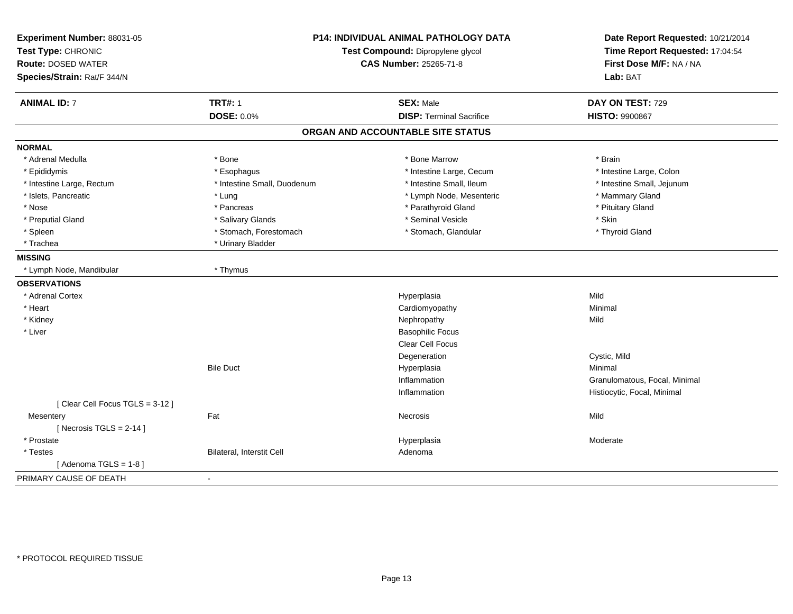| Experiment Number: 88031-05<br>Test Type: CHRONIC<br><b>Route: DOSED WATER</b><br>Species/Strain: Rat/F 344/N | P14: INDIVIDUAL ANIMAL PATHOLOGY DATA<br>Test Compound: Dipropylene glycol<br><b>CAS Number: 25265-71-8</b> |                                   | Date Report Requested: 10/21/2014<br>Time Report Requested: 17:04:54<br>First Dose M/F: NA / NA<br>Lab: BAT |
|---------------------------------------------------------------------------------------------------------------|-------------------------------------------------------------------------------------------------------------|-----------------------------------|-------------------------------------------------------------------------------------------------------------|
| <b>ANIMAL ID: 7</b>                                                                                           | <b>TRT#: 1</b>                                                                                              | <b>SEX: Male</b>                  | DAY ON TEST: 729                                                                                            |
|                                                                                                               | <b>DOSE: 0.0%</b>                                                                                           | <b>DISP: Terminal Sacrifice</b>   | <b>HISTO: 9900867</b>                                                                                       |
|                                                                                                               |                                                                                                             | ORGAN AND ACCOUNTABLE SITE STATUS |                                                                                                             |
| <b>NORMAL</b>                                                                                                 |                                                                                                             |                                   |                                                                                                             |
| * Adrenal Medulla                                                                                             | * Bone                                                                                                      | * Bone Marrow                     | * Brain                                                                                                     |
| * Epididymis                                                                                                  | * Esophagus                                                                                                 | * Intestine Large, Cecum          | * Intestine Large, Colon                                                                                    |
| * Intestine Large, Rectum                                                                                     | * Intestine Small, Duodenum                                                                                 | * Intestine Small, Ileum          | * Intestine Small, Jejunum                                                                                  |
| * Islets, Pancreatic                                                                                          | * Lung                                                                                                      | * Lymph Node, Mesenteric          | * Mammary Gland                                                                                             |
| * Nose                                                                                                        | * Pancreas                                                                                                  | * Parathyroid Gland               | * Pituitary Gland                                                                                           |
| * Preputial Gland                                                                                             | * Salivary Glands                                                                                           | * Seminal Vesicle                 | * Skin                                                                                                      |
| * Spleen                                                                                                      | * Stomach, Forestomach                                                                                      | * Stomach, Glandular              | * Thyroid Gland                                                                                             |
| * Trachea                                                                                                     | * Urinary Bladder                                                                                           |                                   |                                                                                                             |
| <b>MISSING</b>                                                                                                |                                                                                                             |                                   |                                                                                                             |
| * Lymph Node, Mandibular                                                                                      | * Thymus                                                                                                    |                                   |                                                                                                             |
| <b>OBSERVATIONS</b>                                                                                           |                                                                                                             |                                   |                                                                                                             |
| * Adrenal Cortex                                                                                              |                                                                                                             | Hyperplasia                       | Mild                                                                                                        |
| * Heart                                                                                                       |                                                                                                             | Cardiomyopathy                    | Minimal                                                                                                     |
| * Kidney                                                                                                      |                                                                                                             | Nephropathy                       | Mild                                                                                                        |
| * Liver                                                                                                       |                                                                                                             | <b>Basophilic Focus</b>           |                                                                                                             |
|                                                                                                               |                                                                                                             | <b>Clear Cell Focus</b>           |                                                                                                             |
|                                                                                                               |                                                                                                             | Degeneration                      | Cystic, Mild                                                                                                |
|                                                                                                               | <b>Bile Duct</b>                                                                                            | Hyperplasia                       | Minimal                                                                                                     |
|                                                                                                               |                                                                                                             | Inflammation                      | Granulomatous, Focal, Minimal                                                                               |
|                                                                                                               |                                                                                                             | Inflammation                      | Histiocytic, Focal, Minimal                                                                                 |
| [Clear Cell Focus TGLS = 3-12]                                                                                |                                                                                                             |                                   |                                                                                                             |
| Mesentery                                                                                                     | Fat                                                                                                         | Necrosis                          | Mild                                                                                                        |
| [Necrosis TGLS = $2-14$ ]                                                                                     |                                                                                                             |                                   |                                                                                                             |
| * Prostate                                                                                                    |                                                                                                             | Hyperplasia                       | Moderate                                                                                                    |
| * Testes                                                                                                      | Bilateral, Interstit Cell                                                                                   | Adenoma                           |                                                                                                             |
| [Adenoma TGLS = $1-8$ ]                                                                                       |                                                                                                             |                                   |                                                                                                             |
| PRIMARY CAUSE OF DEATH                                                                                        | $\sim$                                                                                                      |                                   |                                                                                                             |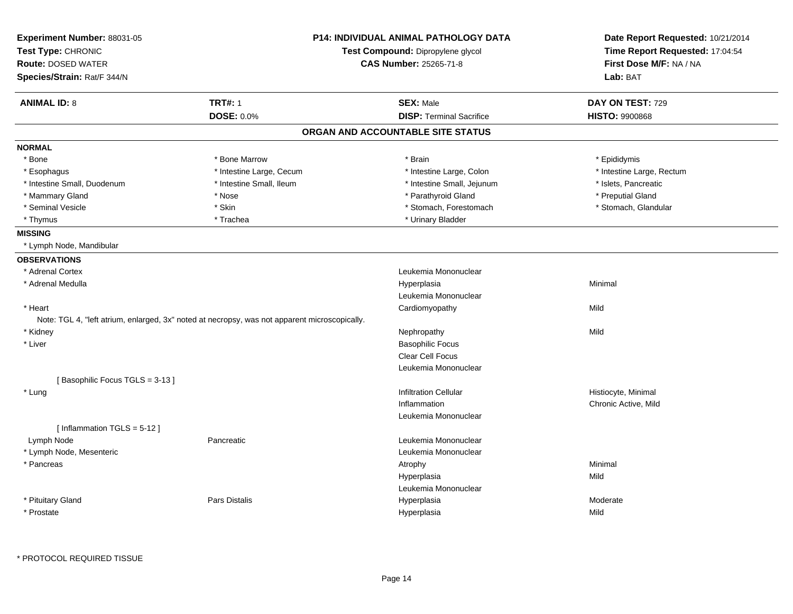| Experiment Number: 88031-05<br>Test Type: CHRONIC<br><b>Route: DOSED WATER</b><br>Species/Strain: Rat/F 344/N |                                     | <b>P14: INDIVIDUAL ANIMAL PATHOLOGY DATA</b><br>Test Compound: Dipropylene glycol<br><b>CAS Number: 25265-71-8</b> | Date Report Requested: 10/21/2014<br>Time Report Requested: 17:04:54<br>First Dose M/F: NA / NA<br>Lab: BAT |
|---------------------------------------------------------------------------------------------------------------|-------------------------------------|--------------------------------------------------------------------------------------------------------------------|-------------------------------------------------------------------------------------------------------------|
|                                                                                                               |                                     |                                                                                                                    |                                                                                                             |
| <b>ANIMAL ID: 8</b>                                                                                           | <b>TRT#: 1</b><br><b>DOSE: 0.0%</b> | <b>SEX: Male</b><br><b>DISP: Terminal Sacrifice</b>                                                                | DAY ON TEST: 729<br><b>HISTO: 9900868</b>                                                                   |
|                                                                                                               |                                     | ORGAN AND ACCOUNTABLE SITE STATUS                                                                                  |                                                                                                             |
| <b>NORMAL</b>                                                                                                 |                                     |                                                                                                                    |                                                                                                             |
| * Bone                                                                                                        | * Bone Marrow                       | * Brain                                                                                                            | * Epididymis                                                                                                |
| * Esophagus                                                                                                   | * Intestine Large, Cecum            | * Intestine Large, Colon                                                                                           | * Intestine Large, Rectum                                                                                   |
| * Intestine Small, Duodenum                                                                                   | * Intestine Small, Ileum            | * Intestine Small, Jejunum                                                                                         | * Islets, Pancreatic                                                                                        |
| * Mammary Gland                                                                                               | * Nose                              | * Parathyroid Gland                                                                                                | * Preputial Gland                                                                                           |
| * Seminal Vesicle                                                                                             | * Skin                              | * Stomach, Forestomach                                                                                             | * Stomach, Glandular                                                                                        |
| * Thymus                                                                                                      | * Trachea                           | * Urinary Bladder                                                                                                  |                                                                                                             |
| <b>MISSING</b>                                                                                                |                                     |                                                                                                                    |                                                                                                             |
| * Lymph Node, Mandibular                                                                                      |                                     |                                                                                                                    |                                                                                                             |
| <b>OBSERVATIONS</b>                                                                                           |                                     |                                                                                                                    |                                                                                                             |
| * Adrenal Cortex                                                                                              |                                     | Leukemia Mononuclear                                                                                               |                                                                                                             |
| * Adrenal Medulla                                                                                             |                                     | Hyperplasia                                                                                                        | Minimal                                                                                                     |
|                                                                                                               |                                     | Leukemia Mononuclear                                                                                               |                                                                                                             |
| * Heart                                                                                                       |                                     | Cardiomyopathy                                                                                                     | Mild                                                                                                        |
| Note: TGL 4, "left atrium, enlarged, 3x" noted at necropsy, was not apparent microscopically.                 |                                     |                                                                                                                    |                                                                                                             |
| * Kidney                                                                                                      |                                     | Nephropathy                                                                                                        | Mild                                                                                                        |
| * Liver                                                                                                       |                                     | <b>Basophilic Focus</b>                                                                                            |                                                                                                             |
|                                                                                                               |                                     | Clear Cell Focus                                                                                                   |                                                                                                             |
|                                                                                                               |                                     | Leukemia Mononuclear                                                                                               |                                                                                                             |
| [Basophilic Focus TGLS = 3-13]                                                                                |                                     |                                                                                                                    |                                                                                                             |
| * Lung                                                                                                        |                                     | <b>Infiltration Cellular</b>                                                                                       | Histiocyte, Minimal                                                                                         |
|                                                                                                               |                                     | Inflammation                                                                                                       | Chronic Active, Mild                                                                                        |
|                                                                                                               |                                     | Leukemia Mononuclear                                                                                               |                                                                                                             |
| [Inflammation TGLS = $5-12$ ]                                                                                 |                                     |                                                                                                                    |                                                                                                             |
| Lymph Node                                                                                                    | Pancreatic                          | Leukemia Mononuclear                                                                                               |                                                                                                             |
| * Lymph Node, Mesenteric                                                                                      |                                     | Leukemia Mononuclear                                                                                               |                                                                                                             |
| * Pancreas                                                                                                    |                                     | Atrophy                                                                                                            | Minimal                                                                                                     |
|                                                                                                               |                                     | Hyperplasia                                                                                                        | Mild                                                                                                        |
|                                                                                                               |                                     | Leukemia Mononuclear                                                                                               |                                                                                                             |
| * Pituitary Gland                                                                                             | Pars Distalis                       | Hyperplasia                                                                                                        | Moderate                                                                                                    |
|                                                                                                               |                                     |                                                                                                                    |                                                                                                             |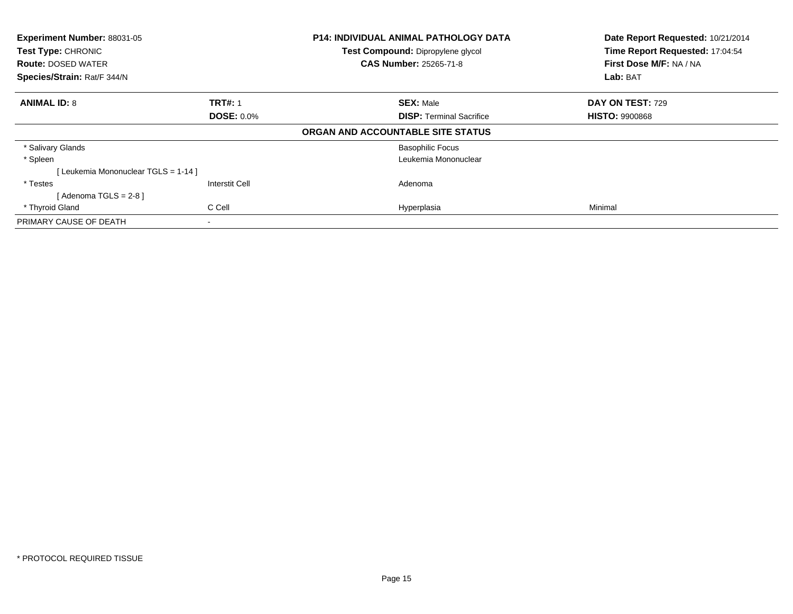| Experiment Number: 88031-05<br>Test Type: CHRONIC<br><b>Route: DOSED WATER</b> |                       | <b>P14: INDIVIDUAL ANIMAL PATHOLOGY DATA</b><br>Test Compound: Dipropylene glycol<br><b>CAS Number: 25265-71-8</b> | Date Report Requested: 10/21/2014<br>Time Report Requested: 17:04:54<br>First Dose M/F: NA / NA |
|--------------------------------------------------------------------------------|-----------------------|--------------------------------------------------------------------------------------------------------------------|-------------------------------------------------------------------------------------------------|
| Species/Strain: Rat/F 344/N                                                    |                       |                                                                                                                    | Lab: BAT                                                                                        |
| <b>ANIMAL ID: 8</b>                                                            | <b>TRT#: 1</b>        | <b>SEX: Male</b>                                                                                                   | DAY ON TEST: 729                                                                                |
|                                                                                | <b>DOSE: 0.0%</b>     | <b>DISP:</b> Terminal Sacrifice                                                                                    | <b>HISTO: 9900868</b>                                                                           |
|                                                                                |                       | ORGAN AND ACCOUNTABLE SITE STATUS                                                                                  |                                                                                                 |
| * Salivary Glands                                                              |                       | <b>Basophilic Focus</b>                                                                                            |                                                                                                 |
| * Spleen                                                                       |                       | Leukemia Mononuclear                                                                                               |                                                                                                 |
| [ Leukemia Mononuclear TGLS = 1-14 ]                                           |                       |                                                                                                                    |                                                                                                 |
| * Testes                                                                       | <b>Interstit Cell</b> | Adenoma                                                                                                            |                                                                                                 |
| [ Adenoma TGLS = 2-8 ]                                                         |                       |                                                                                                                    |                                                                                                 |
| * Thyroid Gland                                                                | C Cell                | Hyperplasia                                                                                                        | Minimal                                                                                         |
| PRIMARY CAUSE OF DEATH                                                         |                       |                                                                                                                    |                                                                                                 |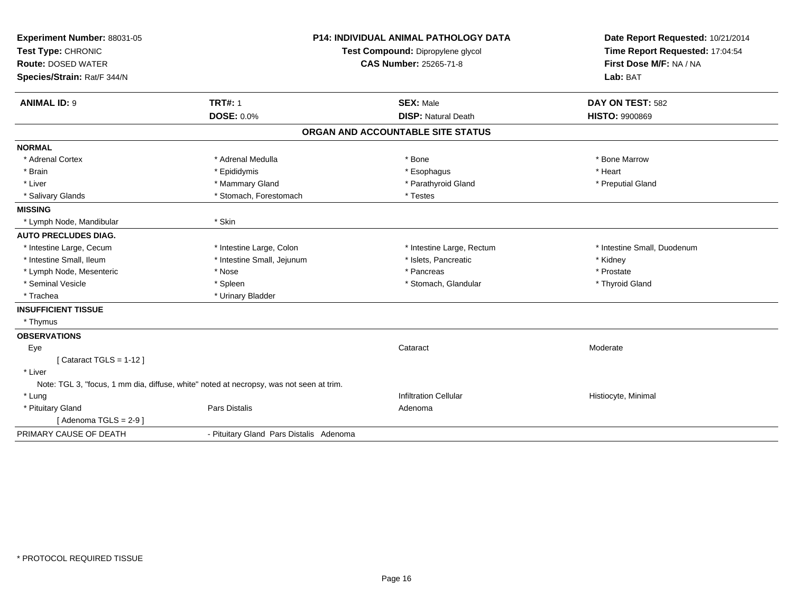| Experiment Number: 88031-05                                                             |                                         | <b>P14: INDIVIDUAL ANIMAL PATHOLOGY DATA</b> | Date Report Requested: 10/21/2014 |
|-----------------------------------------------------------------------------------------|-----------------------------------------|----------------------------------------------|-----------------------------------|
| Test Type: CHRONIC                                                                      | Test Compound: Dipropylene glycol       |                                              | Time Report Requested: 17:04:54   |
| <b>Route: DOSED WATER</b>                                                               |                                         | CAS Number: 25265-71-8                       | First Dose M/F: NA / NA           |
| Species/Strain: Rat/F 344/N                                                             |                                         |                                              | Lab: BAT                          |
| <b>ANIMAL ID: 9</b>                                                                     | <b>TRT#: 1</b>                          | <b>SEX: Male</b>                             | DAY ON TEST: 582                  |
|                                                                                         | <b>DOSE: 0.0%</b>                       | <b>DISP: Natural Death</b>                   | <b>HISTO: 9900869</b>             |
|                                                                                         |                                         | ORGAN AND ACCOUNTABLE SITE STATUS            |                                   |
| <b>NORMAL</b>                                                                           |                                         |                                              |                                   |
| * Adrenal Cortex                                                                        | * Adrenal Medulla                       | * Bone                                       | * Bone Marrow                     |
| * Brain                                                                                 | * Epididymis                            | * Esophagus                                  | * Heart                           |
| * Liver                                                                                 | * Mammary Gland                         | * Parathyroid Gland                          | * Preputial Gland                 |
| * Salivary Glands                                                                       | * Stomach, Forestomach                  | * Testes                                     |                                   |
| <b>MISSING</b>                                                                          |                                         |                                              |                                   |
| * Lymph Node, Mandibular                                                                | * Skin                                  |                                              |                                   |
| <b>AUTO PRECLUDES DIAG.</b>                                                             |                                         |                                              |                                   |
| * Intestine Large, Cecum                                                                | * Intestine Large, Colon                | * Intestine Large, Rectum                    | * Intestine Small, Duodenum       |
| * Intestine Small, Ileum                                                                | * Intestine Small, Jejunum              | * Islets, Pancreatic                         | * Kidney                          |
| * Lymph Node, Mesenteric                                                                | * Nose                                  | * Pancreas                                   | * Prostate                        |
| * Seminal Vesicle                                                                       | * Spleen                                | * Stomach, Glandular                         | * Thyroid Gland                   |
| * Trachea                                                                               | * Urinary Bladder                       |                                              |                                   |
| <b>INSUFFICIENT TISSUE</b>                                                              |                                         |                                              |                                   |
| * Thymus                                                                                |                                         |                                              |                                   |
| <b>OBSERVATIONS</b>                                                                     |                                         |                                              |                                   |
| Eye                                                                                     |                                         | Cataract                                     | Moderate                          |
| [Cataract TGLS = $1-12$ ]                                                               |                                         |                                              |                                   |
| * Liver                                                                                 |                                         |                                              |                                   |
| Note: TGL 3, "focus, 1 mm dia, diffuse, white" noted at necropsy, was not seen at trim. |                                         |                                              |                                   |
| * Lung                                                                                  |                                         | <b>Infiltration Cellular</b>                 | Histiocyte, Minimal               |
| * Pituitary Gland                                                                       | Pars Distalis                           | Adenoma                                      |                                   |
| [Adenoma TGLS = $2-9$ ]                                                                 |                                         |                                              |                                   |
| PRIMARY CAUSE OF DEATH                                                                  | - Pituitary Gland Pars Distalis Adenoma |                                              |                                   |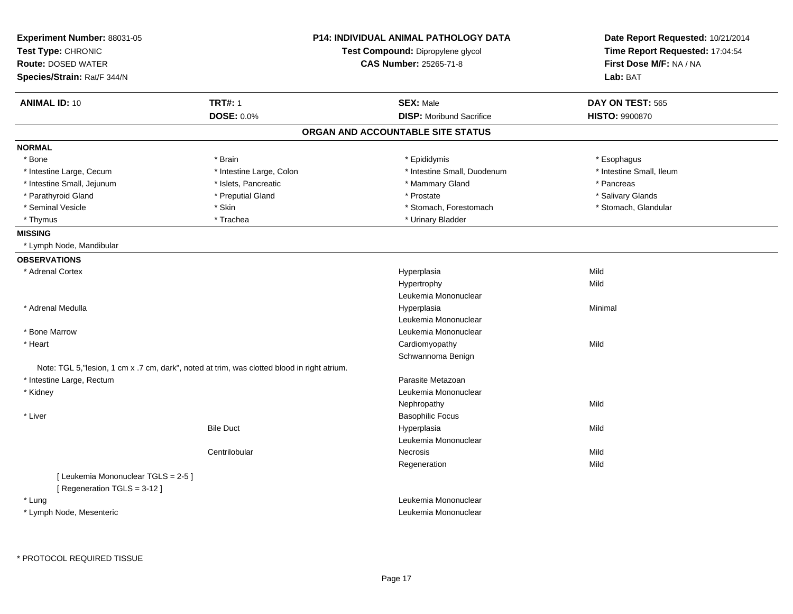| Experiment Number: 88031-05<br>Test Type: CHRONIC<br><b>Route: DOSED WATER</b> | <b>P14: INDIVIDUAL ANIMAL PATHOLOGY DATA</b><br>Test Compound: Dipropylene glycol<br><b>CAS Number: 25265-71-8</b> |                                   | Date Report Requested: 10/21/2014<br>Time Report Requested: 17:04:54<br>First Dose M/F: NA / NA |
|--------------------------------------------------------------------------------|--------------------------------------------------------------------------------------------------------------------|-----------------------------------|-------------------------------------------------------------------------------------------------|
| Species/Strain: Rat/F 344/N                                                    |                                                                                                                    |                                   | Lab: BAT                                                                                        |
| <b>ANIMAL ID: 10</b>                                                           | <b>TRT#: 1</b>                                                                                                     | <b>SEX: Male</b>                  | DAY ON TEST: 565                                                                                |
|                                                                                | <b>DOSE: 0.0%</b>                                                                                                  | <b>DISP:</b> Moribund Sacrifice   | <b>HISTO: 9900870</b>                                                                           |
|                                                                                |                                                                                                                    | ORGAN AND ACCOUNTABLE SITE STATUS |                                                                                                 |
| <b>NORMAL</b>                                                                  |                                                                                                                    |                                   |                                                                                                 |
| * Bone                                                                         | * Brain                                                                                                            | * Epididymis                      | * Esophagus                                                                                     |
| * Intestine Large, Cecum                                                       | * Intestine Large, Colon                                                                                           | * Intestine Small, Duodenum       | * Intestine Small, Ileum                                                                        |
| * Intestine Small, Jejunum                                                     | * Islets, Pancreatic                                                                                               | * Mammary Gland                   | * Pancreas                                                                                      |
| * Parathyroid Gland                                                            | * Preputial Gland                                                                                                  | * Prostate                        | * Salivary Glands                                                                               |
| * Seminal Vesicle                                                              | * Skin                                                                                                             | * Stomach, Forestomach            | * Stomach, Glandular                                                                            |
| * Thymus                                                                       | * Trachea                                                                                                          | * Urinary Bladder                 |                                                                                                 |
| <b>MISSING</b>                                                                 |                                                                                                                    |                                   |                                                                                                 |
| * Lymph Node, Mandibular                                                       |                                                                                                                    |                                   |                                                                                                 |
| <b>OBSERVATIONS</b>                                                            |                                                                                                                    |                                   |                                                                                                 |
| * Adrenal Cortex                                                               |                                                                                                                    | Hyperplasia                       | Mild                                                                                            |
|                                                                                |                                                                                                                    | Hypertrophy                       | Mild                                                                                            |
|                                                                                |                                                                                                                    | Leukemia Mononuclear              |                                                                                                 |
| * Adrenal Medulla                                                              |                                                                                                                    | Hyperplasia                       | Minimal                                                                                         |
|                                                                                |                                                                                                                    | Leukemia Mononuclear              |                                                                                                 |
| * Bone Marrow                                                                  |                                                                                                                    | Leukemia Mononuclear              |                                                                                                 |
| * Heart                                                                        |                                                                                                                    | Cardiomyopathy                    | Mild                                                                                            |
|                                                                                |                                                                                                                    | Schwannoma Benign                 |                                                                                                 |
|                                                                                | Note: TGL 5, lesion, 1 cm x .7 cm, dark", noted at trim, was clotted blood in right atrium.                        |                                   |                                                                                                 |
| * Intestine Large, Rectum                                                      |                                                                                                                    | Parasite Metazoan                 |                                                                                                 |
| * Kidney                                                                       |                                                                                                                    | Leukemia Mononuclear              |                                                                                                 |
|                                                                                |                                                                                                                    | Nephropathy                       | Mild                                                                                            |
| * Liver                                                                        |                                                                                                                    | <b>Basophilic Focus</b>           |                                                                                                 |
|                                                                                | <b>Bile Duct</b>                                                                                                   | Hyperplasia                       | Mild                                                                                            |
|                                                                                |                                                                                                                    | Leukemia Mononuclear              |                                                                                                 |
|                                                                                | Centrilobular                                                                                                      | Necrosis                          | Mild                                                                                            |
|                                                                                |                                                                                                                    | Regeneration                      | Mild                                                                                            |
| [ Leukemia Mononuclear TGLS = 2-5 ]                                            |                                                                                                                    |                                   |                                                                                                 |
| [ Regeneration TGLS = 3-12 ]                                                   |                                                                                                                    |                                   |                                                                                                 |
| * Luna                                                                         |                                                                                                                    | Leukemia Mononuclear              |                                                                                                 |
| * Lymph Node, Mesenteric                                                       |                                                                                                                    | Leukemia Mononuclear              |                                                                                                 |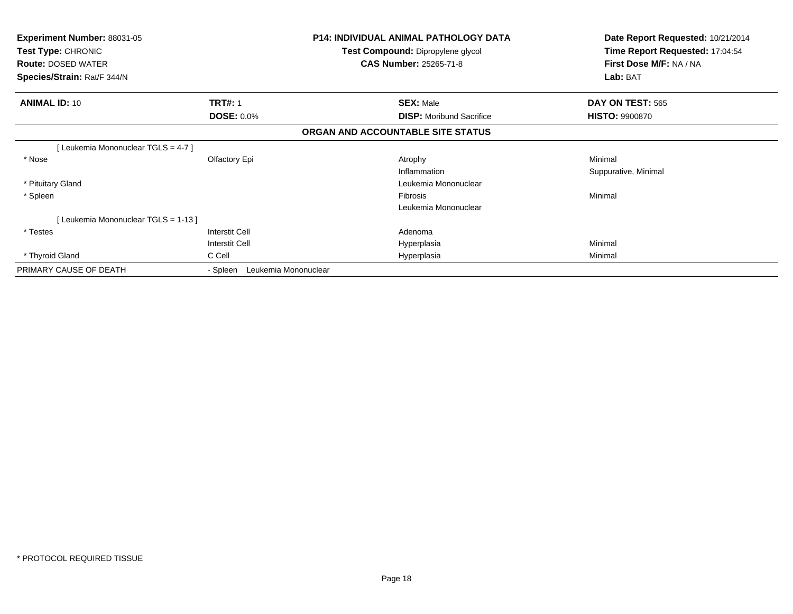| <b>Experiment Number: 88031-05</b><br><b>Test Type: CHRONIC</b><br><b>Route: DOSED WATER</b><br>Species/Strain: Rat/F 344/N |                                  | <b>P14: INDIVIDUAL ANIMAL PATHOLOGY DATA</b><br>Test Compound: Dipropylene glycol<br><b>CAS Number: 25265-71-8</b> | Date Report Requested: 10/21/2014<br>Time Report Requested: 17:04:54<br>First Dose M/F: NA / NA<br>Lab: BAT |
|-----------------------------------------------------------------------------------------------------------------------------|----------------------------------|--------------------------------------------------------------------------------------------------------------------|-------------------------------------------------------------------------------------------------------------|
| <b>ANIMAL ID: 10</b>                                                                                                        | <b>TRT#: 1</b>                   | <b>SEX: Male</b>                                                                                                   | DAY ON TEST: 565                                                                                            |
|                                                                                                                             | <b>DOSE: 0.0%</b>                | <b>DISP:</b> Moribund Sacrifice                                                                                    | <b>HISTO: 9900870</b>                                                                                       |
|                                                                                                                             |                                  | ORGAN AND ACCOUNTABLE SITE STATUS                                                                                  |                                                                                                             |
| [Leukemia Mononuclear TGLS = 4-7]                                                                                           |                                  |                                                                                                                    |                                                                                                             |
| * Nose                                                                                                                      | Olfactory Epi                    | Atrophy                                                                                                            | Minimal                                                                                                     |
|                                                                                                                             |                                  | Inflammation                                                                                                       | Suppurative, Minimal                                                                                        |
| * Pituitary Gland                                                                                                           |                                  | Leukemia Mononuclear                                                                                               |                                                                                                             |
| * Spleen                                                                                                                    |                                  | Fibrosis                                                                                                           | Minimal                                                                                                     |
|                                                                                                                             |                                  | Leukemia Mononuclear                                                                                               |                                                                                                             |
| [Leukemia Mononuclear TGLS = 1-13]                                                                                          |                                  |                                                                                                                    |                                                                                                             |
| * Testes                                                                                                                    | <b>Interstit Cell</b>            | Adenoma                                                                                                            |                                                                                                             |
|                                                                                                                             | <b>Interstit Cell</b>            | Hyperplasia                                                                                                        | Minimal                                                                                                     |
| * Thyroid Gland                                                                                                             | C Cell                           | Hyperplasia                                                                                                        | Minimal                                                                                                     |
| PRIMARY CAUSE OF DEATH                                                                                                      | Leukemia Mononuclear<br>- Spleen |                                                                                                                    |                                                                                                             |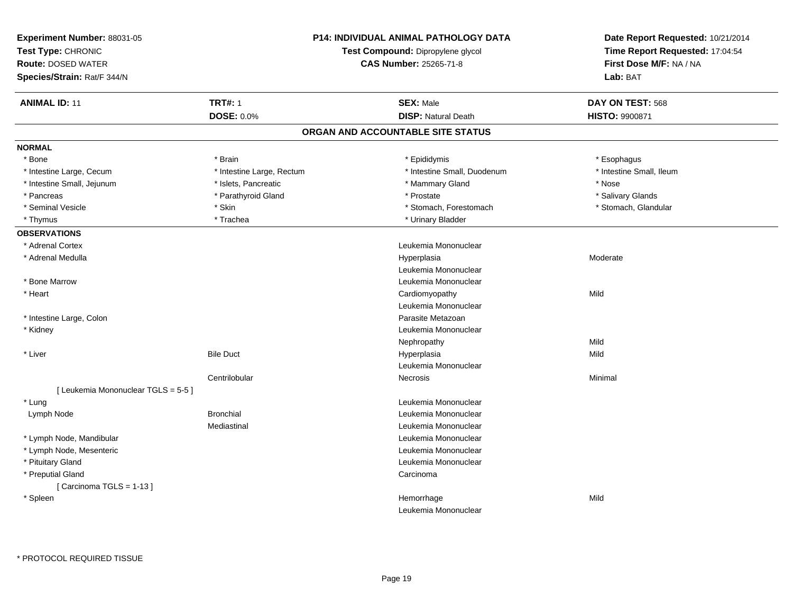| Experiment Number: 88031-05<br>Test Type: CHRONIC<br><b>Route: DOSED WATER</b><br>Species/Strain: Rat/F 344/N |                           | <b>P14: INDIVIDUAL ANIMAL PATHOLOGY DATA</b><br>Test Compound: Dipropylene glycol<br><b>CAS Number: 25265-71-8</b> | Date Report Requested: 10/21/2014<br>Time Report Requested: 17:04:54<br>First Dose M/F: NA / NA<br>Lab: BAT |
|---------------------------------------------------------------------------------------------------------------|---------------------------|--------------------------------------------------------------------------------------------------------------------|-------------------------------------------------------------------------------------------------------------|
| <b>ANIMAL ID: 11</b>                                                                                          | <b>TRT#: 1</b>            | <b>SEX: Male</b>                                                                                                   | DAY ON TEST: 568                                                                                            |
|                                                                                                               | DOSE: 0.0%                | <b>DISP: Natural Death</b>                                                                                         | <b>HISTO: 9900871</b>                                                                                       |
|                                                                                                               |                           | ORGAN AND ACCOUNTABLE SITE STATUS                                                                                  |                                                                                                             |
| <b>NORMAL</b>                                                                                                 |                           |                                                                                                                    |                                                                                                             |
| * Bone                                                                                                        | * Brain                   | * Epididymis                                                                                                       | * Esophagus                                                                                                 |
| * Intestine Large, Cecum                                                                                      | * Intestine Large, Rectum | * Intestine Small, Duodenum                                                                                        | * Intestine Small, Ileum                                                                                    |
| * Intestine Small, Jejunum                                                                                    | * Islets, Pancreatic      | * Mammary Gland                                                                                                    | * Nose                                                                                                      |
| * Pancreas                                                                                                    | * Parathyroid Gland       | * Prostate                                                                                                         | * Salivary Glands                                                                                           |
| * Seminal Vesicle                                                                                             | * Skin                    | * Stomach, Forestomach                                                                                             | * Stomach, Glandular                                                                                        |
| * Thymus                                                                                                      | * Trachea                 | * Urinary Bladder                                                                                                  |                                                                                                             |
| <b>OBSERVATIONS</b>                                                                                           |                           |                                                                                                                    |                                                                                                             |
| * Adrenal Cortex                                                                                              |                           | Leukemia Mononuclear                                                                                               |                                                                                                             |
| * Adrenal Medulla                                                                                             |                           | Hyperplasia                                                                                                        | Moderate                                                                                                    |
|                                                                                                               |                           | Leukemia Mononuclear                                                                                               |                                                                                                             |
| * Bone Marrow                                                                                                 |                           | Leukemia Mononuclear                                                                                               |                                                                                                             |
| * Heart                                                                                                       |                           | Cardiomyopathy                                                                                                     | Mild                                                                                                        |
|                                                                                                               |                           | Leukemia Mononuclear                                                                                               |                                                                                                             |
| * Intestine Large, Colon                                                                                      |                           | Parasite Metazoan                                                                                                  |                                                                                                             |
| * Kidney                                                                                                      |                           | Leukemia Mononuclear                                                                                               |                                                                                                             |
|                                                                                                               |                           | Nephropathy                                                                                                        | Mild                                                                                                        |
| * Liver                                                                                                       | <b>Bile Duct</b>          | Hyperplasia                                                                                                        | Mild                                                                                                        |
|                                                                                                               |                           | Leukemia Mononuclear                                                                                               |                                                                                                             |
|                                                                                                               | Centrilobular             | Necrosis                                                                                                           | Minimal                                                                                                     |
| [ Leukemia Mononuclear TGLS = 5-5 ]                                                                           |                           |                                                                                                                    |                                                                                                             |
| * Lung                                                                                                        |                           | Leukemia Mononuclear                                                                                               |                                                                                                             |
| Lymph Node                                                                                                    | <b>Bronchial</b>          | Leukemia Mononuclear                                                                                               |                                                                                                             |
|                                                                                                               | Mediastinal               | Leukemia Mononuclear                                                                                               |                                                                                                             |
| * Lymph Node, Mandibular                                                                                      |                           | Leukemia Mononuclear                                                                                               |                                                                                                             |
| * Lymph Node, Mesenteric                                                                                      |                           | Leukemia Mononuclear                                                                                               |                                                                                                             |
| * Pituitary Gland                                                                                             |                           | Leukemia Mononuclear                                                                                               |                                                                                                             |
| * Preputial Gland                                                                                             |                           | Carcinoma                                                                                                          |                                                                                                             |
| [Carcinoma TGLS = $1-13$ ]                                                                                    |                           |                                                                                                                    |                                                                                                             |
| * Spleen                                                                                                      |                           | Hemorrhage                                                                                                         | Mild                                                                                                        |
|                                                                                                               |                           | Leukemia Mononuclear                                                                                               |                                                                                                             |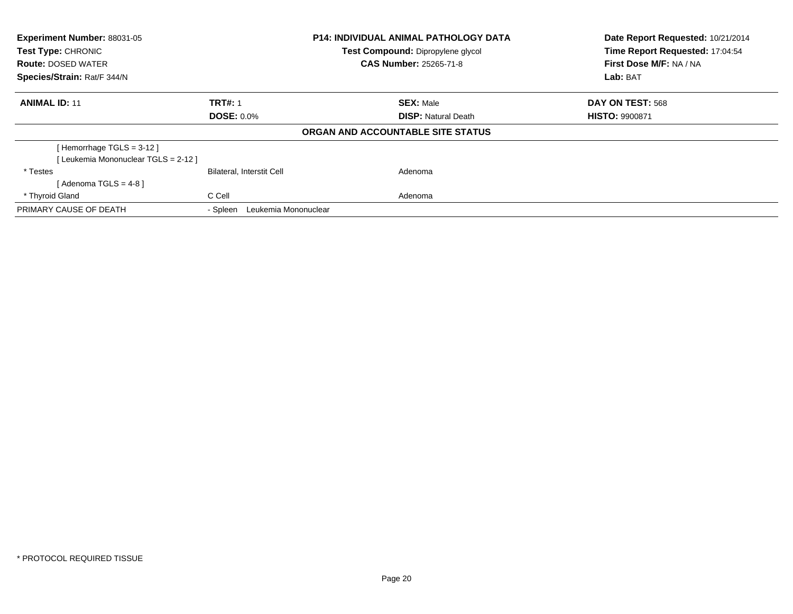| <b>Experiment Number: 88031-05</b><br><b>Test Type: CHRONIC</b><br><b>Route: DOSED WATER</b><br>Species/Strain: Rat/F 344/N |                                  | <b>P14: INDIVIDUAL ANIMAL PATHOLOGY DATA</b><br>Test Compound: Dipropylene glycol<br><b>CAS Number: 25265-71-8</b> | Date Report Requested: 10/21/2014<br>Time Report Requested: 17:04:54<br>First Dose M/F: NA / NA<br>Lab: BAT |
|-----------------------------------------------------------------------------------------------------------------------------|----------------------------------|--------------------------------------------------------------------------------------------------------------------|-------------------------------------------------------------------------------------------------------------|
| <b>ANIMAL ID: 11</b>                                                                                                        | <b>TRT#: 1</b>                   | <b>SEX: Male</b>                                                                                                   | DAY ON TEST: 568                                                                                            |
|                                                                                                                             | <b>DOSE: 0.0%</b>                | <b>DISP:</b> Natural Death                                                                                         | <b>HISTO: 9900871</b>                                                                                       |
|                                                                                                                             |                                  | ORGAN AND ACCOUNTABLE SITE STATUS                                                                                  |                                                                                                             |
| [Hemorrhage TGLS = $3-12$ ]                                                                                                 |                                  |                                                                                                                    |                                                                                                             |
| [Leukemia Mononuclear TGLS = 2-12 ]                                                                                         |                                  |                                                                                                                    |                                                                                                             |
| * Testes                                                                                                                    | <b>Bilateral, Interstit Cell</b> | Adenoma                                                                                                            |                                                                                                             |
| [Adenoma TGLS = $4-8$ ]                                                                                                     |                                  |                                                                                                                    |                                                                                                             |
| * Thyroid Gland                                                                                                             | C Cell                           | Adenoma                                                                                                            |                                                                                                             |
| PRIMARY CAUSE OF DEATH                                                                                                      | Leukemia Mononuclear<br>- Spleen |                                                                                                                    |                                                                                                             |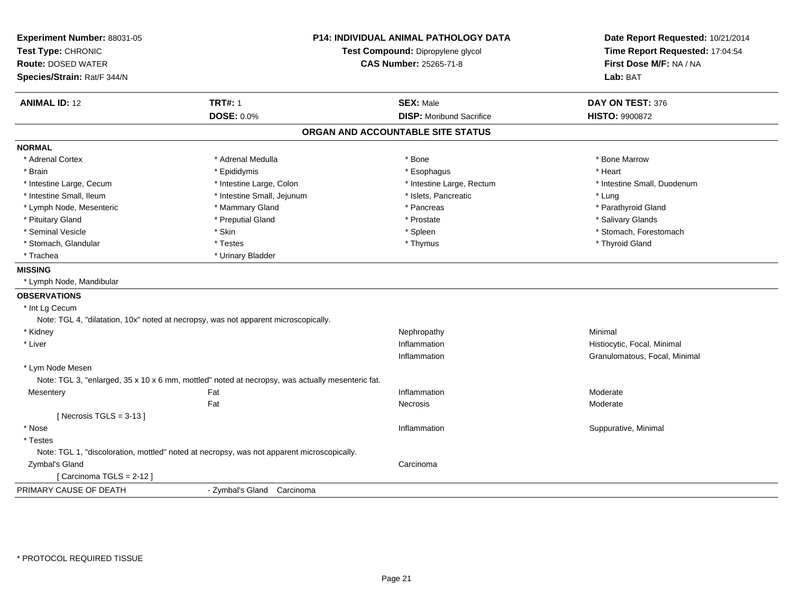| Experiment Number: 88031-05<br>Test Type: CHRONIC<br><b>Route: DOSED WATER</b><br>Species/Strain: Rat/F 344/N | <b>P14: INDIVIDUAL ANIMAL PATHOLOGY DATA</b><br>Test Compound: Dipropylene glycol<br>CAS Number: 25265-71-8 |                                                     | Date Report Requested: 10/21/2014<br>Time Report Requested: 17:04:54<br>First Dose M/F: NA / NA<br>Lab: BAT |
|---------------------------------------------------------------------------------------------------------------|-------------------------------------------------------------------------------------------------------------|-----------------------------------------------------|-------------------------------------------------------------------------------------------------------------|
| <b>ANIMAL ID: 12</b>                                                                                          | <b>TRT#: 1</b><br><b>DOSE: 0.0%</b>                                                                         | <b>SEX: Male</b><br><b>DISP:</b> Moribund Sacrifice | DAY ON TEST: 376<br><b>HISTO: 9900872</b>                                                                   |
|                                                                                                               |                                                                                                             |                                                     |                                                                                                             |
|                                                                                                               |                                                                                                             | ORGAN AND ACCOUNTABLE SITE STATUS                   |                                                                                                             |
| <b>NORMAL</b>                                                                                                 |                                                                                                             |                                                     |                                                                                                             |
| * Adrenal Cortex                                                                                              | * Adrenal Medulla                                                                                           | * Bone                                              | * Bone Marrow                                                                                               |
| * Brain                                                                                                       | * Epididymis                                                                                                | * Esophagus                                         | * Heart                                                                                                     |
| * Intestine Large, Cecum                                                                                      | * Intestine Large, Colon                                                                                    | * Intestine Large, Rectum                           | * Intestine Small, Duodenum                                                                                 |
| * Intestine Small, Ileum                                                                                      | * Intestine Small, Jejunum                                                                                  | * Islets, Pancreatic                                | * Lung                                                                                                      |
| * Lymph Node, Mesenteric                                                                                      | * Mammary Gland                                                                                             | * Pancreas                                          | * Parathyroid Gland                                                                                         |
| * Pituitary Gland                                                                                             | * Preputial Gland                                                                                           | * Prostate                                          | * Salivary Glands                                                                                           |
| * Seminal Vesicle                                                                                             | * Skin                                                                                                      | * Spleen                                            | * Stomach, Forestomach                                                                                      |
| * Stomach, Glandular                                                                                          | * Testes                                                                                                    | * Thymus                                            | * Thyroid Gland                                                                                             |
| * Trachea                                                                                                     | * Urinary Bladder                                                                                           |                                                     |                                                                                                             |
| <b>MISSING</b>                                                                                                |                                                                                                             |                                                     |                                                                                                             |
| * Lymph Node, Mandibular                                                                                      |                                                                                                             |                                                     |                                                                                                             |
| <b>OBSERVATIONS</b>                                                                                           |                                                                                                             |                                                     |                                                                                                             |
| * Int Lg Cecum                                                                                                |                                                                                                             |                                                     |                                                                                                             |
|                                                                                                               | Note: TGL 4, "dilatation, 10x" noted at necropsy, was not apparent microscopically.                         |                                                     |                                                                                                             |
| * Kidney                                                                                                      |                                                                                                             | Nephropathy                                         | Minimal                                                                                                     |
| * Liver                                                                                                       |                                                                                                             | Inflammation                                        | Histiocytic, Focal, Minimal                                                                                 |
|                                                                                                               |                                                                                                             | Inflammation                                        | Granulomatous, Focal, Minimal                                                                               |
| * Lym Node Mesen                                                                                              |                                                                                                             |                                                     |                                                                                                             |
|                                                                                                               | Note: TGL 3, "enlarged, 35 x 10 x 6 mm, mottled" noted at necropsy, was actually mesenteric fat.            |                                                     |                                                                                                             |
| Mesentery                                                                                                     | Fat                                                                                                         | Inflammation                                        | Moderate                                                                                                    |
|                                                                                                               | Fat                                                                                                         | Necrosis                                            | Moderate                                                                                                    |
| [Necrosis TGLS = $3-13$ ]                                                                                     |                                                                                                             |                                                     |                                                                                                             |
| * Nose                                                                                                        |                                                                                                             | Inflammation                                        | Suppurative, Minimal                                                                                        |
| * Testes                                                                                                      |                                                                                                             |                                                     |                                                                                                             |
|                                                                                                               | Note: TGL 1, "discoloration, mottled" noted at necropsy, was not apparent microscopically.                  |                                                     |                                                                                                             |
| Zymbal's Gland                                                                                                |                                                                                                             | Carcinoma                                           |                                                                                                             |
| [Carcinoma TGLS = $2-12$ ]                                                                                    |                                                                                                             |                                                     |                                                                                                             |
| PRIMARY CAUSE OF DEATH                                                                                        | - Zymbal's Gland Carcinoma                                                                                  |                                                     |                                                                                                             |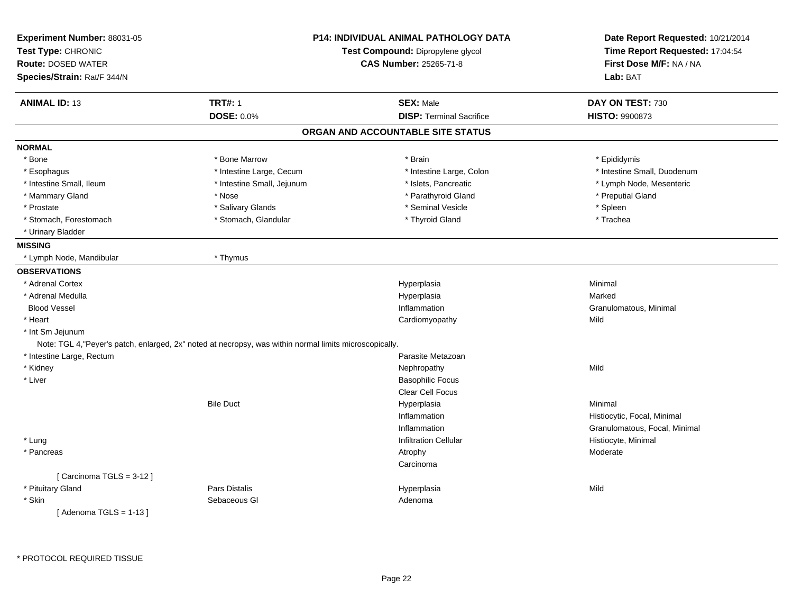| Experiment Number: 88031-05<br>Test Type: CHRONIC |                                                                                                         | <b>P14: INDIVIDUAL ANIMAL PATHOLOGY DATA</b><br>Test Compound: Dipropylene glycol | Date Report Requested: 10/21/2014<br>Time Report Requested: 17:04:54 |
|---------------------------------------------------|---------------------------------------------------------------------------------------------------------|-----------------------------------------------------------------------------------|----------------------------------------------------------------------|
| <b>Route: DOSED WATER</b>                         |                                                                                                         | <b>CAS Number: 25265-71-8</b>                                                     | First Dose M/F: NA / NA                                              |
| Species/Strain: Rat/F 344/N                       |                                                                                                         |                                                                                   | Lab: BAT                                                             |
| <b>ANIMAL ID: 13</b>                              | <b>TRT#: 1</b>                                                                                          | <b>SEX: Male</b>                                                                  | DAY ON TEST: 730                                                     |
|                                                   | DOSE: 0.0%                                                                                              | <b>DISP: Terminal Sacrifice</b>                                                   | HISTO: 9900873                                                       |
|                                                   |                                                                                                         | ORGAN AND ACCOUNTABLE SITE STATUS                                                 |                                                                      |
| <b>NORMAL</b>                                     |                                                                                                         |                                                                                   |                                                                      |
| * Bone                                            | * Bone Marrow                                                                                           | * Brain                                                                           | * Epididymis                                                         |
| * Esophagus                                       | * Intestine Large, Cecum                                                                                | * Intestine Large, Colon                                                          | * Intestine Small, Duodenum                                          |
| * Intestine Small, Ileum                          | * Intestine Small, Jejunum                                                                              | * Islets, Pancreatic                                                              | * Lymph Node, Mesenteric                                             |
| * Mammary Gland                                   | * Nose                                                                                                  | * Parathyroid Gland                                                               | * Preputial Gland                                                    |
| * Prostate                                        | * Salivary Glands                                                                                       | * Seminal Vesicle                                                                 | * Spleen                                                             |
| * Stomach, Forestomach                            | * Stomach, Glandular                                                                                    | * Thyroid Gland                                                                   | * Trachea                                                            |
| * Urinary Bladder                                 |                                                                                                         |                                                                                   |                                                                      |
| <b>MISSING</b>                                    |                                                                                                         |                                                                                   |                                                                      |
| * Lymph Node, Mandibular                          | * Thymus                                                                                                |                                                                                   |                                                                      |
| <b>OBSERVATIONS</b>                               |                                                                                                         |                                                                                   |                                                                      |
| * Adrenal Cortex                                  |                                                                                                         | Hyperplasia                                                                       | Minimal                                                              |
| * Adrenal Medulla                                 |                                                                                                         | Hyperplasia                                                                       | Marked                                                               |
| <b>Blood Vessel</b>                               |                                                                                                         | Inflammation                                                                      | Granulomatous, Minimal                                               |
| * Heart                                           |                                                                                                         | Cardiomyopathy                                                                    | Mild                                                                 |
| * Int Sm Jejunum                                  |                                                                                                         |                                                                                   |                                                                      |
|                                                   | Note: TGL 4, "Peyer's patch, enlarged, 2x" noted at necropsy, was within normal limits microscopically. |                                                                                   |                                                                      |
| * Intestine Large, Rectum                         |                                                                                                         | Parasite Metazoan                                                                 |                                                                      |
| * Kidney                                          |                                                                                                         | Nephropathy                                                                       | Mild                                                                 |
| * Liver                                           |                                                                                                         | <b>Basophilic Focus</b>                                                           |                                                                      |
|                                                   |                                                                                                         | <b>Clear Cell Focus</b>                                                           |                                                                      |
|                                                   | <b>Bile Duct</b>                                                                                        | Hyperplasia                                                                       | Minimal                                                              |
|                                                   |                                                                                                         | Inflammation                                                                      | Histiocytic, Focal, Minimal                                          |
|                                                   |                                                                                                         | Inflammation                                                                      | Granulomatous, Focal, Minimal                                        |
| * Lung                                            |                                                                                                         | <b>Infiltration Cellular</b>                                                      | Histiocyte, Minimal                                                  |
| * Pancreas                                        |                                                                                                         | Atrophy                                                                           | Moderate                                                             |
|                                                   |                                                                                                         | Carcinoma                                                                         |                                                                      |
| [Carcinoma TGLS = 3-12]                           |                                                                                                         |                                                                                   |                                                                      |
| * Pituitary Gland                                 | <b>Pars Distalis</b>                                                                                    | Hyperplasia                                                                       | Mild                                                                 |
| * Skin                                            | Sebaceous GI                                                                                            | Adenoma                                                                           |                                                                      |
| [Adenoma TGLS = 1-13]                             |                                                                                                         |                                                                                   |                                                                      |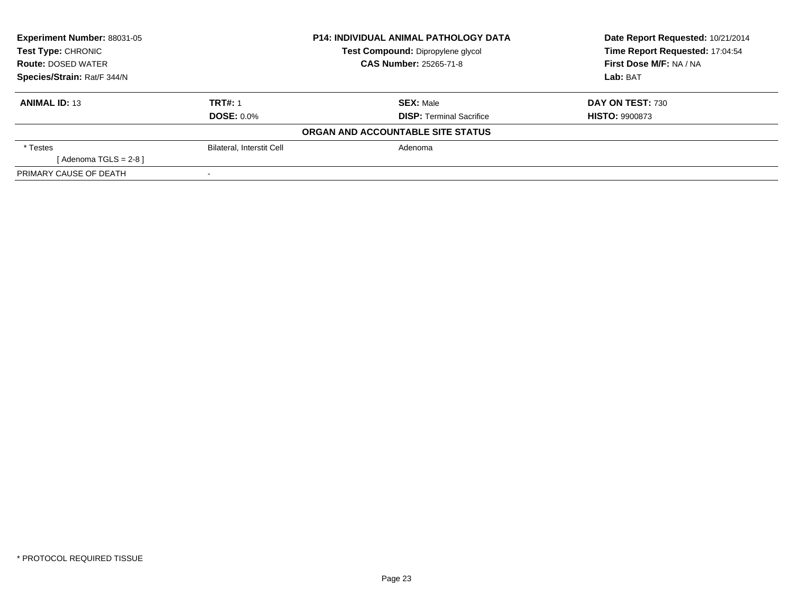| Experiment Number: 88031-05<br><b>Test Type: CHRONIC</b> |                                  | <b>P14: INDIVIDUAL ANIMAL PATHOLOGY DATA</b> | Date Report Requested: 10/21/2014 |
|----------------------------------------------------------|----------------------------------|----------------------------------------------|-----------------------------------|
|                                                          |                                  | Test Compound: Dipropylene glycol            | Time Report Requested: 17:04:54   |
| <b>Route: DOSED WATER</b>                                |                                  | <b>CAS Number: 25265-71-8</b>                | First Dose M/F: NA / NA           |
| Species/Strain: Rat/F 344/N                              |                                  |                                              | Lab: BAT                          |
| <b>ANIMAL ID: 13</b>                                     | <b>TRT#: 1</b>                   | <b>SEX: Male</b>                             | DAY ON TEST: 730                  |
|                                                          | <b>DOSE: 0.0%</b>                | <b>DISP:</b> Terminal Sacrifice              | <b>HISTO: 9900873</b>             |
|                                                          |                                  | ORGAN AND ACCOUNTABLE SITE STATUS            |                                   |
| * Testes                                                 | <b>Bilateral, Interstit Cell</b> | Adenoma                                      |                                   |
| [Adenoma TGLS = $2-8$ ]                                  |                                  |                                              |                                   |
| PRIMARY CAUSE OF DEATH                                   |                                  |                                              |                                   |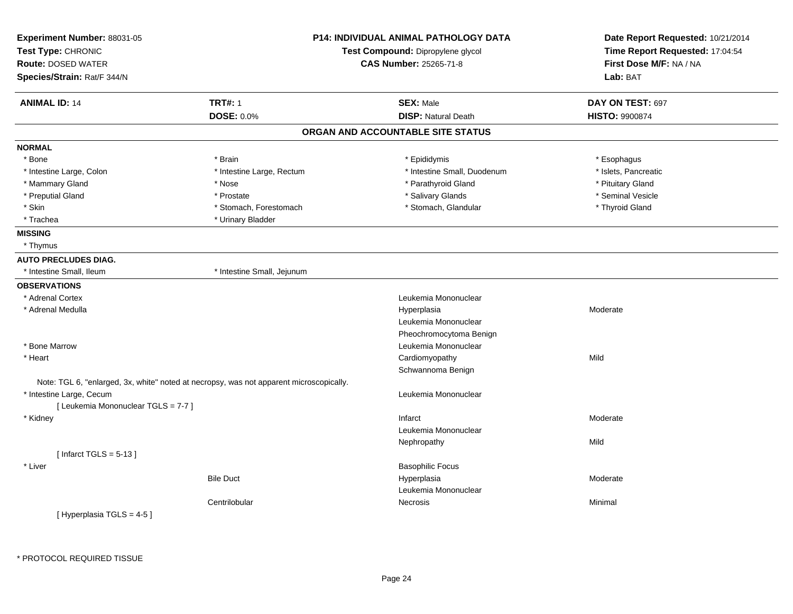| Experiment Number: 88031-05<br>Test Type: CHRONIC<br><b>Route: DOSED WATER</b><br>Species/Strain: Rat/F 344/N |                                                                                         | <b>P14: INDIVIDUAL ANIMAL PATHOLOGY DATA</b><br>Test Compound: Dipropylene glycol<br><b>CAS Number: 25265-71-8</b> | Date Report Requested: 10/21/2014<br>Time Report Requested: 17:04:54<br>First Dose M/F: NA / NA<br>Lab: BAT |  |
|---------------------------------------------------------------------------------------------------------------|-----------------------------------------------------------------------------------------|--------------------------------------------------------------------------------------------------------------------|-------------------------------------------------------------------------------------------------------------|--|
| <b>ANIMAL ID: 14</b>                                                                                          | <b>TRT#: 1</b>                                                                          | <b>SEX: Male</b>                                                                                                   | DAY ON TEST: 697                                                                                            |  |
|                                                                                                               | <b>DOSE: 0.0%</b>                                                                       | <b>DISP: Natural Death</b>                                                                                         | <b>HISTO: 9900874</b>                                                                                       |  |
|                                                                                                               |                                                                                         | ORGAN AND ACCOUNTABLE SITE STATUS                                                                                  |                                                                                                             |  |
| <b>NORMAL</b>                                                                                                 |                                                                                         |                                                                                                                    |                                                                                                             |  |
| * Bone                                                                                                        | * Brain                                                                                 | * Epididymis                                                                                                       | * Esophagus                                                                                                 |  |
| * Intestine Large, Colon                                                                                      | * Intestine Large, Rectum                                                               | * Intestine Small, Duodenum                                                                                        | * Islets, Pancreatic                                                                                        |  |
| * Mammary Gland                                                                                               | * Nose                                                                                  | * Parathyroid Gland                                                                                                | * Pituitary Gland                                                                                           |  |
| * Preputial Gland                                                                                             | * Prostate                                                                              | * Salivary Glands                                                                                                  | * Seminal Vesicle                                                                                           |  |
| * Skin                                                                                                        | * Stomach, Forestomach                                                                  | * Stomach, Glandular                                                                                               | * Thyroid Gland                                                                                             |  |
| * Trachea                                                                                                     | * Urinary Bladder                                                                       |                                                                                                                    |                                                                                                             |  |
| <b>MISSING</b>                                                                                                |                                                                                         |                                                                                                                    |                                                                                                             |  |
| * Thymus                                                                                                      |                                                                                         |                                                                                                                    |                                                                                                             |  |
| <b>AUTO PRECLUDES DIAG.</b>                                                                                   |                                                                                         |                                                                                                                    |                                                                                                             |  |
| * Intestine Small. Ileum                                                                                      | * Intestine Small, Jejunum                                                              |                                                                                                                    |                                                                                                             |  |
| <b>OBSERVATIONS</b>                                                                                           |                                                                                         |                                                                                                                    |                                                                                                             |  |
| * Adrenal Cortex                                                                                              |                                                                                         | Leukemia Mononuclear                                                                                               |                                                                                                             |  |
| * Adrenal Medulla                                                                                             |                                                                                         | Hyperplasia                                                                                                        | Moderate                                                                                                    |  |
|                                                                                                               |                                                                                         | Leukemia Mononuclear                                                                                               |                                                                                                             |  |
|                                                                                                               |                                                                                         | Pheochromocytoma Benign                                                                                            |                                                                                                             |  |
| * Bone Marrow                                                                                                 |                                                                                         | Leukemia Mononuclear                                                                                               |                                                                                                             |  |
| * Heart                                                                                                       |                                                                                         | Cardiomyopathy                                                                                                     | Mild                                                                                                        |  |
|                                                                                                               |                                                                                         | Schwannoma Benign                                                                                                  |                                                                                                             |  |
|                                                                                                               | Note: TGL 6, "enlarged, 3x, white" noted at necropsy, was not apparent microscopically. |                                                                                                                    |                                                                                                             |  |
| * Intestine Large, Cecum                                                                                      |                                                                                         | Leukemia Mononuclear                                                                                               |                                                                                                             |  |
| [ Leukemia Mononuclear TGLS = 7-7 ]                                                                           |                                                                                         |                                                                                                                    |                                                                                                             |  |
| * Kidney                                                                                                      |                                                                                         | Infarct                                                                                                            | Moderate                                                                                                    |  |
|                                                                                                               |                                                                                         | Leukemia Mononuclear                                                                                               |                                                                                                             |  |
|                                                                                                               |                                                                                         | Nephropathy                                                                                                        | Mild                                                                                                        |  |
| [Infarct TGLS = $5-13$ ]                                                                                      |                                                                                         |                                                                                                                    |                                                                                                             |  |
| * Liver                                                                                                       |                                                                                         | <b>Basophilic Focus</b>                                                                                            |                                                                                                             |  |
|                                                                                                               | <b>Bile Duct</b>                                                                        | Hyperplasia                                                                                                        | Moderate                                                                                                    |  |
|                                                                                                               |                                                                                         | Leukemia Mononuclear                                                                                               |                                                                                                             |  |
|                                                                                                               | Centrilobular                                                                           | <b>Necrosis</b>                                                                                                    | Minimal                                                                                                     |  |
| [Hyperplasia TGLS = $4-5$ ]                                                                                   |                                                                                         |                                                                                                                    |                                                                                                             |  |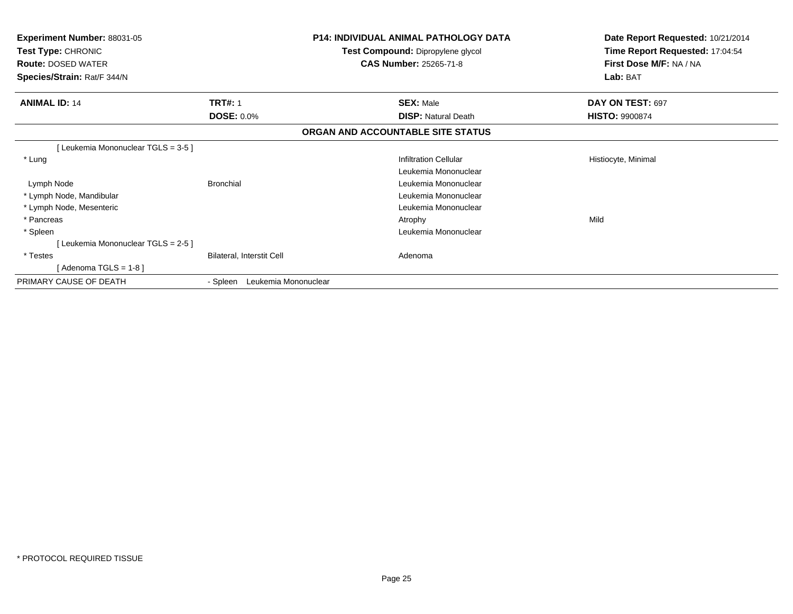| <b>Experiment Number: 88031-05</b><br>Test Type: CHRONIC<br><b>Route: DOSED WATER</b><br>Species/Strain: Rat/F 344/N |                                  | <b>P14: INDIVIDUAL ANIMAL PATHOLOGY DATA</b><br>Test Compound: Dipropylene glycol<br><b>CAS Number: 25265-71-8</b> | Date Report Requested: 10/21/2014<br>Time Report Requested: 17:04:54<br>First Dose M/F: NA / NA<br>Lab: BAT |
|----------------------------------------------------------------------------------------------------------------------|----------------------------------|--------------------------------------------------------------------------------------------------------------------|-------------------------------------------------------------------------------------------------------------|
| <b>ANIMAL ID: 14</b>                                                                                                 | <b>TRT#: 1</b>                   | <b>SEX: Male</b>                                                                                                   | DAY ON TEST: 697                                                                                            |
|                                                                                                                      | <b>DOSE: 0.0%</b>                | <b>DISP: Natural Death</b>                                                                                         | <b>HISTO: 9900874</b>                                                                                       |
|                                                                                                                      |                                  | ORGAN AND ACCOUNTABLE SITE STATUS                                                                                  |                                                                                                             |
| [Leukemia Mononuclear TGLS = 3-5]                                                                                    |                                  |                                                                                                                    |                                                                                                             |
| * Lung                                                                                                               |                                  | <b>Infiltration Cellular</b>                                                                                       | Histiocyte, Minimal                                                                                         |
|                                                                                                                      |                                  | Leukemia Mononuclear                                                                                               |                                                                                                             |
| Lymph Node                                                                                                           | <b>Bronchial</b>                 | Leukemia Mononuclear                                                                                               |                                                                                                             |
| * Lymph Node, Mandibular                                                                                             |                                  | Leukemia Mononuclear                                                                                               |                                                                                                             |
| * Lymph Node, Mesenteric                                                                                             |                                  | Leukemia Mononuclear                                                                                               |                                                                                                             |
| * Pancreas                                                                                                           |                                  | Atrophy                                                                                                            | Mild                                                                                                        |
| * Spleen                                                                                                             |                                  | Leukemia Mononuclear                                                                                               |                                                                                                             |
| [Leukemia Mononuclear TGLS = 2-5]                                                                                    |                                  |                                                                                                                    |                                                                                                             |
| * Testes                                                                                                             | Bilateral, Interstit Cell        | Adenoma                                                                                                            |                                                                                                             |
| [Adenoma TGLS = $1-8$ ]                                                                                              |                                  |                                                                                                                    |                                                                                                             |
| PRIMARY CAUSE OF DEATH                                                                                               | Leukemia Mononuclear<br>- Spleen |                                                                                                                    |                                                                                                             |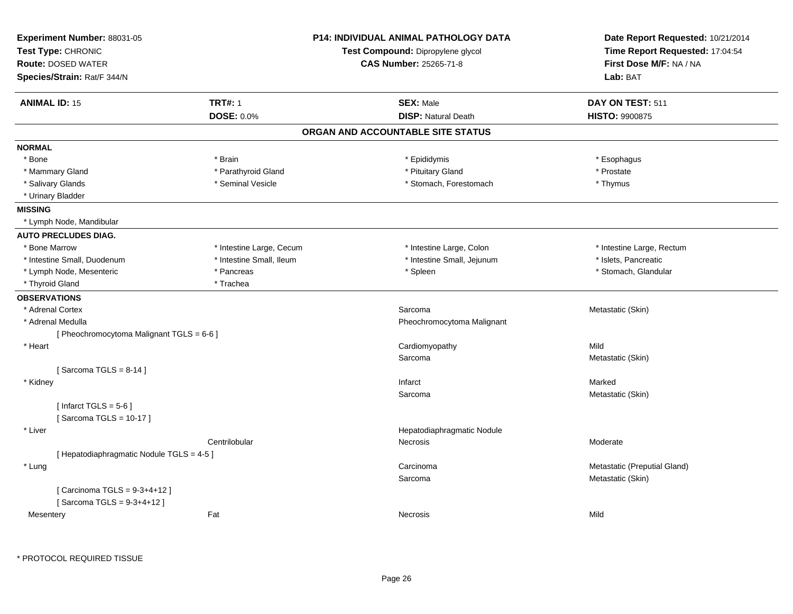| Experiment Number: 88031-05<br>Test Type: CHRONIC<br><b>Route: DOSED WATER</b><br>Species/Strain: Rat/F 344/N |                          | <b>P14: INDIVIDUAL ANIMAL PATHOLOGY DATA</b><br>Test Compound: Dipropylene glycol<br><b>CAS Number: 25265-71-8</b> | Date Report Requested: 10/21/2014<br>Time Report Requested: 17:04:54<br>First Dose M/F: NA / NA<br>Lab: BAT |  |
|---------------------------------------------------------------------------------------------------------------|--------------------------|--------------------------------------------------------------------------------------------------------------------|-------------------------------------------------------------------------------------------------------------|--|
| <b>ANIMAL ID: 15</b>                                                                                          | <b>TRT#: 1</b>           | <b>SEX: Male</b>                                                                                                   | DAY ON TEST: 511                                                                                            |  |
|                                                                                                               | <b>DOSE: 0.0%</b>        | <b>DISP: Natural Death</b>                                                                                         | <b>HISTO: 9900875</b>                                                                                       |  |
|                                                                                                               |                          | ORGAN AND ACCOUNTABLE SITE STATUS                                                                                  |                                                                                                             |  |
| <b>NORMAL</b>                                                                                                 |                          |                                                                                                                    |                                                                                                             |  |
| * Bone                                                                                                        | * Brain                  | * Epididymis                                                                                                       | * Esophagus                                                                                                 |  |
| * Mammary Gland                                                                                               | * Parathyroid Gland      | * Pituitary Gland                                                                                                  | * Prostate                                                                                                  |  |
| * Salivary Glands                                                                                             | * Seminal Vesicle        | * Stomach, Forestomach                                                                                             | * Thymus                                                                                                    |  |
| * Urinary Bladder                                                                                             |                          |                                                                                                                    |                                                                                                             |  |
| <b>MISSING</b>                                                                                                |                          |                                                                                                                    |                                                                                                             |  |
| * Lymph Node, Mandibular                                                                                      |                          |                                                                                                                    |                                                                                                             |  |
| <b>AUTO PRECLUDES DIAG.</b>                                                                                   |                          |                                                                                                                    |                                                                                                             |  |
| * Bone Marrow                                                                                                 | * Intestine Large, Cecum | * Intestine Large, Colon                                                                                           | * Intestine Large, Rectum                                                                                   |  |
| * Intestine Small, Duodenum                                                                                   | * Intestine Small, Ileum | * Intestine Small, Jejunum                                                                                         | * Islets, Pancreatic                                                                                        |  |
| * Lymph Node, Mesenteric                                                                                      | * Pancreas               | * Spleen                                                                                                           | * Stomach, Glandular                                                                                        |  |
| * Thyroid Gland                                                                                               | * Trachea                |                                                                                                                    |                                                                                                             |  |
| <b>OBSERVATIONS</b>                                                                                           |                          |                                                                                                                    |                                                                                                             |  |
| * Adrenal Cortex                                                                                              |                          | Sarcoma                                                                                                            | Metastatic (Skin)                                                                                           |  |
| * Adrenal Medulla                                                                                             |                          | Pheochromocytoma Malignant                                                                                         |                                                                                                             |  |
| [ Pheochromocytoma Malignant TGLS = 6-6 ]                                                                     |                          |                                                                                                                    |                                                                                                             |  |
| * Heart                                                                                                       |                          | Cardiomyopathy                                                                                                     | Mild                                                                                                        |  |
|                                                                                                               |                          | Sarcoma                                                                                                            | Metastatic (Skin)                                                                                           |  |
| [Sarcoma TGLS = $8-14$ ]                                                                                      |                          |                                                                                                                    |                                                                                                             |  |
| * Kidney                                                                                                      |                          | Infarct                                                                                                            | Marked                                                                                                      |  |
|                                                                                                               |                          | Sarcoma                                                                                                            | Metastatic (Skin)                                                                                           |  |
| [Infarct TGLS = $5-6$ ]                                                                                       |                          |                                                                                                                    |                                                                                                             |  |
| [Sarcoma TGLS = 10-17]                                                                                        |                          |                                                                                                                    |                                                                                                             |  |
| * Liver                                                                                                       |                          | Hepatodiaphragmatic Nodule                                                                                         |                                                                                                             |  |
| [ Hepatodiaphragmatic Nodule TGLS = 4-5 ]                                                                     | Centrilobular            | Necrosis                                                                                                           | Moderate                                                                                                    |  |
|                                                                                                               |                          |                                                                                                                    |                                                                                                             |  |
| * Lung                                                                                                        |                          | Carcinoma<br>Sarcoma                                                                                               | Metastatic (Preputial Gland)<br>Metastatic (Skin)                                                           |  |
| [ Carcinoma TGLS = 9-3+4+12 ]<br>[Sarcoma TGLS = 9-3+4+12]                                                    |                          |                                                                                                                    |                                                                                                             |  |
| Mesentery                                                                                                     | Fat                      | Necrosis                                                                                                           | Mild                                                                                                        |  |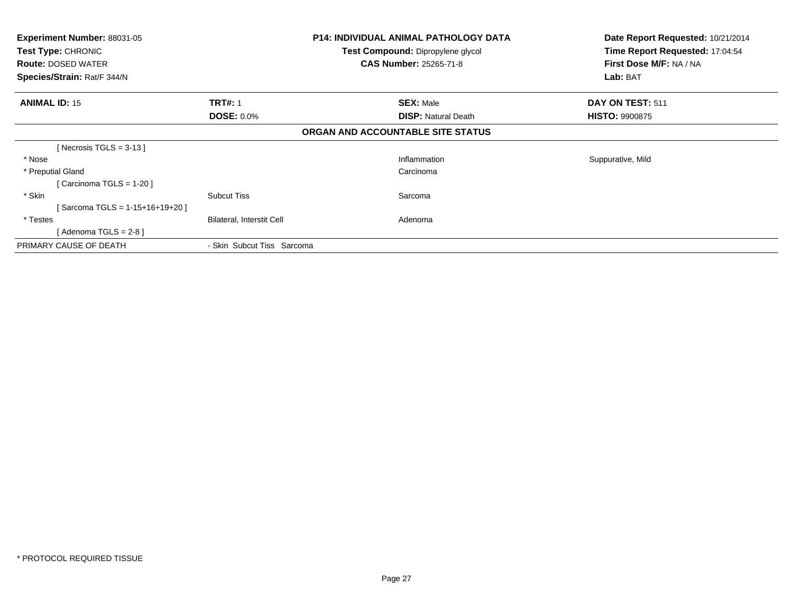| <b>Experiment Number: 88031-05</b><br><b>Test Type: CHRONIC</b><br><b>Route: DOSED WATER</b><br>Species/Strain: Rat/F 344/N |                                     | <b>P14: INDIVIDUAL ANIMAL PATHOLOGY DATA</b><br><b>Test Compound: Dipropylene glycol</b><br><b>CAS Number: 25265-71-8</b> | Date Report Requested: 10/21/2014<br>Time Report Requested: 17:04:54<br>First Dose M/F: NA / NA<br>Lab: BAT |
|-----------------------------------------------------------------------------------------------------------------------------|-------------------------------------|---------------------------------------------------------------------------------------------------------------------------|-------------------------------------------------------------------------------------------------------------|
| <b>ANIMAL ID: 15</b>                                                                                                        | <b>TRT#: 1</b><br><b>DOSE: 0.0%</b> | <b>SEX: Male</b><br><b>DISP: Natural Death</b>                                                                            | DAY ON TEST: 511<br><b>HISTO: 9900875</b>                                                                   |
|                                                                                                                             |                                     | ORGAN AND ACCOUNTABLE SITE STATUS                                                                                         |                                                                                                             |
| [Necrosis TGLS = 3-13 ]                                                                                                     |                                     |                                                                                                                           |                                                                                                             |
| * Nose                                                                                                                      |                                     | Inflammation                                                                                                              | Suppurative, Mild                                                                                           |
| * Preputial Gland                                                                                                           |                                     | Carcinoma                                                                                                                 |                                                                                                             |
| [Carcinoma TGLS = $1-20$ ]                                                                                                  |                                     |                                                                                                                           |                                                                                                             |
| * Skin                                                                                                                      | <b>Subcut Tiss</b>                  | Sarcoma                                                                                                                   |                                                                                                             |
| [Sarcoma TGLS = 1-15+16+19+20 ]                                                                                             |                                     |                                                                                                                           |                                                                                                             |
| * Testes                                                                                                                    | Bilateral, Interstit Cell           | Adenoma                                                                                                                   |                                                                                                             |
| [ Adenoma TGLS = 2-8 ]                                                                                                      |                                     |                                                                                                                           |                                                                                                             |
| PRIMARY CAUSE OF DEATH                                                                                                      | - Skin Subcut Tiss Sarcoma          |                                                                                                                           |                                                                                                             |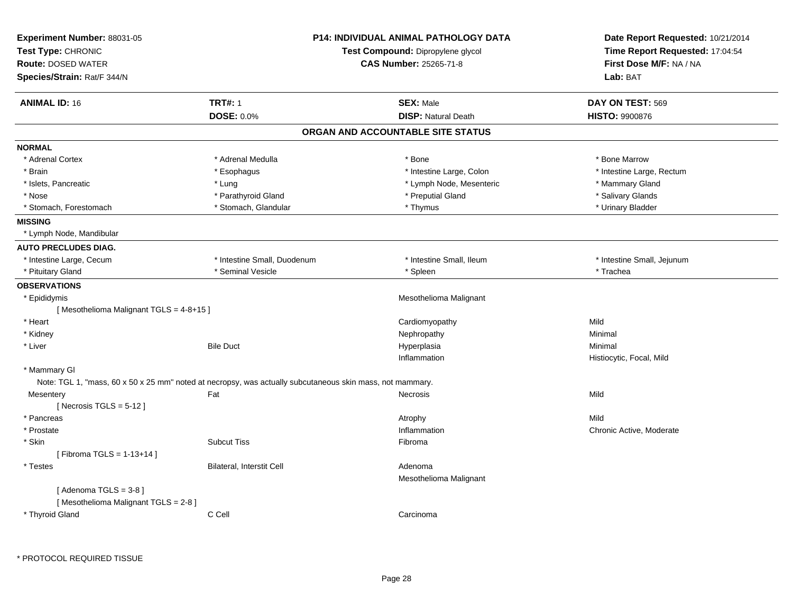| <b>ANIMAL ID: 16</b><br><b>TRT#: 1</b><br><b>SEX: Male</b><br>DAY ON TEST: 569<br><b>DOSE: 0.0%</b><br><b>DISP: Natural Death</b><br><b>HISTO: 9900876</b><br>ORGAN AND ACCOUNTABLE SITE STATUS<br><b>NORMAL</b><br>* Bone Marrow<br>* Adrenal Cortex<br>* Adrenal Medulla<br>* Bone<br>* Intestine Large, Rectum<br>* Brain<br>* Esophagus<br>* Intestine Large, Colon<br>* Islets, Pancreatic<br>* Lung<br>* Lymph Node, Mesenteric<br>* Mammary Gland<br>* Nose<br>* Parathyroid Gland<br>* Preputial Gland<br>* Salivary Glands<br>* Stomach, Forestomach<br>* Stomach, Glandular<br>* Thymus<br>* Urinary Bladder<br><b>MISSING</b><br>* Lymph Node, Mandibular<br><b>AUTO PRECLUDES DIAG.</b><br>* Intestine Large, Cecum<br>* Intestine Small, Duodenum<br>* Intestine Small, Ileum<br>* Intestine Small, Jejunum<br>* Seminal Vesicle<br>* Trachea<br>* Pituitary Gland<br>* Spleen<br><b>OBSERVATIONS</b><br>Mesothelioma Malignant<br>* Epididymis<br>[Mesothelioma Malignant TGLS = 4-8+15]<br>* Heart<br>Mild<br>Cardiomyopathy<br>* Kidney<br>Nephropathy<br>Minimal<br>* Liver<br><b>Bile Duct</b><br>Hyperplasia<br>Minimal<br>Histiocytic, Focal, Mild<br>Inflammation<br>* Mammary GI<br>Note: TGL 1, "mass, 60 x 50 x 25 mm" noted at necropsy, was actually subcutaneous skin mass, not mammary.<br>Fat<br>Mild<br>Mesentery<br><b>Necrosis</b><br>[Necrosis TGLS = $5-12$ ]<br>Mild<br>* Pancreas<br>Atrophy<br>Inflammation<br>* Prostate<br>Chronic Active, Moderate<br>* Skin<br><b>Subcut Tiss</b><br>Fibroma<br>[Fibroma TGLS = 1-13+14]<br>* Testes<br>Bilateral, Interstit Cell<br>Adenoma<br>Mesothelioma Malignant<br>[Adenoma TGLS = $3-8$ ]<br>[Mesothelioma Malignant TGLS = 2-8]<br>C Cell<br>* Thyroid Gland<br>Carcinoma | Experiment Number: 88031-05<br>Test Type: CHRONIC<br><b>Route: DOSED WATER</b><br>Species/Strain: Rat/F 344/N | <b>P14: INDIVIDUAL ANIMAL PATHOLOGY DATA</b><br>Test Compound: Dipropylene glycol<br><b>CAS Number: 25265-71-8</b> |  | Date Report Requested: 10/21/2014<br>Time Report Requested: 17:04:54<br>First Dose M/F: NA / NA<br>Lab: BAT |
|-------------------------------------------------------------------------------------------------------------------------------------------------------------------------------------------------------------------------------------------------------------------------------------------------------------------------------------------------------------------------------------------------------------------------------------------------------------------------------------------------------------------------------------------------------------------------------------------------------------------------------------------------------------------------------------------------------------------------------------------------------------------------------------------------------------------------------------------------------------------------------------------------------------------------------------------------------------------------------------------------------------------------------------------------------------------------------------------------------------------------------------------------------------------------------------------------------------------------------------------------------------------------------------------------------------------------------------------------------------------------------------------------------------------------------------------------------------------------------------------------------------------------------------------------------------------------------------------------------------------------------------------------------------------------------------------------------------------------------------------------------------|---------------------------------------------------------------------------------------------------------------|--------------------------------------------------------------------------------------------------------------------|--|-------------------------------------------------------------------------------------------------------------|
|                                                                                                                                                                                                                                                                                                                                                                                                                                                                                                                                                                                                                                                                                                                                                                                                                                                                                                                                                                                                                                                                                                                                                                                                                                                                                                                                                                                                                                                                                                                                                                                                                                                                                                                                                             |                                                                                                               |                                                                                                                    |  |                                                                                                             |
|                                                                                                                                                                                                                                                                                                                                                                                                                                                                                                                                                                                                                                                                                                                                                                                                                                                                                                                                                                                                                                                                                                                                                                                                                                                                                                                                                                                                                                                                                                                                                                                                                                                                                                                                                             |                                                                                                               |                                                                                                                    |  |                                                                                                             |
|                                                                                                                                                                                                                                                                                                                                                                                                                                                                                                                                                                                                                                                                                                                                                                                                                                                                                                                                                                                                                                                                                                                                                                                                                                                                                                                                                                                                                                                                                                                                                                                                                                                                                                                                                             |                                                                                                               |                                                                                                                    |  |                                                                                                             |
|                                                                                                                                                                                                                                                                                                                                                                                                                                                                                                                                                                                                                                                                                                                                                                                                                                                                                                                                                                                                                                                                                                                                                                                                                                                                                                                                                                                                                                                                                                                                                                                                                                                                                                                                                             |                                                                                                               |                                                                                                                    |  |                                                                                                             |
|                                                                                                                                                                                                                                                                                                                                                                                                                                                                                                                                                                                                                                                                                                                                                                                                                                                                                                                                                                                                                                                                                                                                                                                                                                                                                                                                                                                                                                                                                                                                                                                                                                                                                                                                                             |                                                                                                               |                                                                                                                    |  |                                                                                                             |
|                                                                                                                                                                                                                                                                                                                                                                                                                                                                                                                                                                                                                                                                                                                                                                                                                                                                                                                                                                                                                                                                                                                                                                                                                                                                                                                                                                                                                                                                                                                                                                                                                                                                                                                                                             |                                                                                                               |                                                                                                                    |  |                                                                                                             |
|                                                                                                                                                                                                                                                                                                                                                                                                                                                                                                                                                                                                                                                                                                                                                                                                                                                                                                                                                                                                                                                                                                                                                                                                                                                                                                                                                                                                                                                                                                                                                                                                                                                                                                                                                             |                                                                                                               |                                                                                                                    |  |                                                                                                             |
|                                                                                                                                                                                                                                                                                                                                                                                                                                                                                                                                                                                                                                                                                                                                                                                                                                                                                                                                                                                                                                                                                                                                                                                                                                                                                                                                                                                                                                                                                                                                                                                                                                                                                                                                                             |                                                                                                               |                                                                                                                    |  |                                                                                                             |
|                                                                                                                                                                                                                                                                                                                                                                                                                                                                                                                                                                                                                                                                                                                                                                                                                                                                                                                                                                                                                                                                                                                                                                                                                                                                                                                                                                                                                                                                                                                                                                                                                                                                                                                                                             |                                                                                                               |                                                                                                                    |  |                                                                                                             |
|                                                                                                                                                                                                                                                                                                                                                                                                                                                                                                                                                                                                                                                                                                                                                                                                                                                                                                                                                                                                                                                                                                                                                                                                                                                                                                                                                                                                                                                                                                                                                                                                                                                                                                                                                             |                                                                                                               |                                                                                                                    |  |                                                                                                             |
|                                                                                                                                                                                                                                                                                                                                                                                                                                                                                                                                                                                                                                                                                                                                                                                                                                                                                                                                                                                                                                                                                                                                                                                                                                                                                                                                                                                                                                                                                                                                                                                                                                                                                                                                                             |                                                                                                               |                                                                                                                    |  |                                                                                                             |
|                                                                                                                                                                                                                                                                                                                                                                                                                                                                                                                                                                                                                                                                                                                                                                                                                                                                                                                                                                                                                                                                                                                                                                                                                                                                                                                                                                                                                                                                                                                                                                                                                                                                                                                                                             |                                                                                                               |                                                                                                                    |  |                                                                                                             |
|                                                                                                                                                                                                                                                                                                                                                                                                                                                                                                                                                                                                                                                                                                                                                                                                                                                                                                                                                                                                                                                                                                                                                                                                                                                                                                                                                                                                                                                                                                                                                                                                                                                                                                                                                             |                                                                                                               |                                                                                                                    |  |                                                                                                             |
|                                                                                                                                                                                                                                                                                                                                                                                                                                                                                                                                                                                                                                                                                                                                                                                                                                                                                                                                                                                                                                                                                                                                                                                                                                                                                                                                                                                                                                                                                                                                                                                                                                                                                                                                                             |                                                                                                               |                                                                                                                    |  |                                                                                                             |
|                                                                                                                                                                                                                                                                                                                                                                                                                                                                                                                                                                                                                                                                                                                                                                                                                                                                                                                                                                                                                                                                                                                                                                                                                                                                                                                                                                                                                                                                                                                                                                                                                                                                                                                                                             |                                                                                                               |                                                                                                                    |  |                                                                                                             |
|                                                                                                                                                                                                                                                                                                                                                                                                                                                                                                                                                                                                                                                                                                                                                                                                                                                                                                                                                                                                                                                                                                                                                                                                                                                                                                                                                                                                                                                                                                                                                                                                                                                                                                                                                             |                                                                                                               |                                                                                                                    |  |                                                                                                             |
|                                                                                                                                                                                                                                                                                                                                                                                                                                                                                                                                                                                                                                                                                                                                                                                                                                                                                                                                                                                                                                                                                                                                                                                                                                                                                                                                                                                                                                                                                                                                                                                                                                                                                                                                                             |                                                                                                               |                                                                                                                    |  |                                                                                                             |
|                                                                                                                                                                                                                                                                                                                                                                                                                                                                                                                                                                                                                                                                                                                                                                                                                                                                                                                                                                                                                                                                                                                                                                                                                                                                                                                                                                                                                                                                                                                                                                                                                                                                                                                                                             |                                                                                                               |                                                                                                                    |  |                                                                                                             |
|                                                                                                                                                                                                                                                                                                                                                                                                                                                                                                                                                                                                                                                                                                                                                                                                                                                                                                                                                                                                                                                                                                                                                                                                                                                                                                                                                                                                                                                                                                                                                                                                                                                                                                                                                             |                                                                                                               |                                                                                                                    |  |                                                                                                             |
|                                                                                                                                                                                                                                                                                                                                                                                                                                                                                                                                                                                                                                                                                                                                                                                                                                                                                                                                                                                                                                                                                                                                                                                                                                                                                                                                                                                                                                                                                                                                                                                                                                                                                                                                                             |                                                                                                               |                                                                                                                    |  |                                                                                                             |
|                                                                                                                                                                                                                                                                                                                                                                                                                                                                                                                                                                                                                                                                                                                                                                                                                                                                                                                                                                                                                                                                                                                                                                                                                                                                                                                                                                                                                                                                                                                                                                                                                                                                                                                                                             |                                                                                                               |                                                                                                                    |  |                                                                                                             |
|                                                                                                                                                                                                                                                                                                                                                                                                                                                                                                                                                                                                                                                                                                                                                                                                                                                                                                                                                                                                                                                                                                                                                                                                                                                                                                                                                                                                                                                                                                                                                                                                                                                                                                                                                             |                                                                                                               |                                                                                                                    |  |                                                                                                             |
|                                                                                                                                                                                                                                                                                                                                                                                                                                                                                                                                                                                                                                                                                                                                                                                                                                                                                                                                                                                                                                                                                                                                                                                                                                                                                                                                                                                                                                                                                                                                                                                                                                                                                                                                                             |                                                                                                               |                                                                                                                    |  |                                                                                                             |
|                                                                                                                                                                                                                                                                                                                                                                                                                                                                                                                                                                                                                                                                                                                                                                                                                                                                                                                                                                                                                                                                                                                                                                                                                                                                                                                                                                                                                                                                                                                                                                                                                                                                                                                                                             |                                                                                                               |                                                                                                                    |  |                                                                                                             |
|                                                                                                                                                                                                                                                                                                                                                                                                                                                                                                                                                                                                                                                                                                                                                                                                                                                                                                                                                                                                                                                                                                                                                                                                                                                                                                                                                                                                                                                                                                                                                                                                                                                                                                                                                             |                                                                                                               |                                                                                                                    |  |                                                                                                             |
|                                                                                                                                                                                                                                                                                                                                                                                                                                                                                                                                                                                                                                                                                                                                                                                                                                                                                                                                                                                                                                                                                                                                                                                                                                                                                                                                                                                                                                                                                                                                                                                                                                                                                                                                                             |                                                                                                               |                                                                                                                    |  |                                                                                                             |
|                                                                                                                                                                                                                                                                                                                                                                                                                                                                                                                                                                                                                                                                                                                                                                                                                                                                                                                                                                                                                                                                                                                                                                                                                                                                                                                                                                                                                                                                                                                                                                                                                                                                                                                                                             |                                                                                                               |                                                                                                                    |  |                                                                                                             |
|                                                                                                                                                                                                                                                                                                                                                                                                                                                                                                                                                                                                                                                                                                                                                                                                                                                                                                                                                                                                                                                                                                                                                                                                                                                                                                                                                                                                                                                                                                                                                                                                                                                                                                                                                             |                                                                                                               |                                                                                                                    |  |                                                                                                             |
|                                                                                                                                                                                                                                                                                                                                                                                                                                                                                                                                                                                                                                                                                                                                                                                                                                                                                                                                                                                                                                                                                                                                                                                                                                                                                                                                                                                                                                                                                                                                                                                                                                                                                                                                                             |                                                                                                               |                                                                                                                    |  |                                                                                                             |
|                                                                                                                                                                                                                                                                                                                                                                                                                                                                                                                                                                                                                                                                                                                                                                                                                                                                                                                                                                                                                                                                                                                                                                                                                                                                                                                                                                                                                                                                                                                                                                                                                                                                                                                                                             |                                                                                                               |                                                                                                                    |  |                                                                                                             |
|                                                                                                                                                                                                                                                                                                                                                                                                                                                                                                                                                                                                                                                                                                                                                                                                                                                                                                                                                                                                                                                                                                                                                                                                                                                                                                                                                                                                                                                                                                                                                                                                                                                                                                                                                             |                                                                                                               |                                                                                                                    |  |                                                                                                             |
|                                                                                                                                                                                                                                                                                                                                                                                                                                                                                                                                                                                                                                                                                                                                                                                                                                                                                                                                                                                                                                                                                                                                                                                                                                                                                                                                                                                                                                                                                                                                                                                                                                                                                                                                                             |                                                                                                               |                                                                                                                    |  |                                                                                                             |
|                                                                                                                                                                                                                                                                                                                                                                                                                                                                                                                                                                                                                                                                                                                                                                                                                                                                                                                                                                                                                                                                                                                                                                                                                                                                                                                                                                                                                                                                                                                                                                                                                                                                                                                                                             |                                                                                                               |                                                                                                                    |  |                                                                                                             |
|                                                                                                                                                                                                                                                                                                                                                                                                                                                                                                                                                                                                                                                                                                                                                                                                                                                                                                                                                                                                                                                                                                                                                                                                                                                                                                                                                                                                                                                                                                                                                                                                                                                                                                                                                             |                                                                                                               |                                                                                                                    |  |                                                                                                             |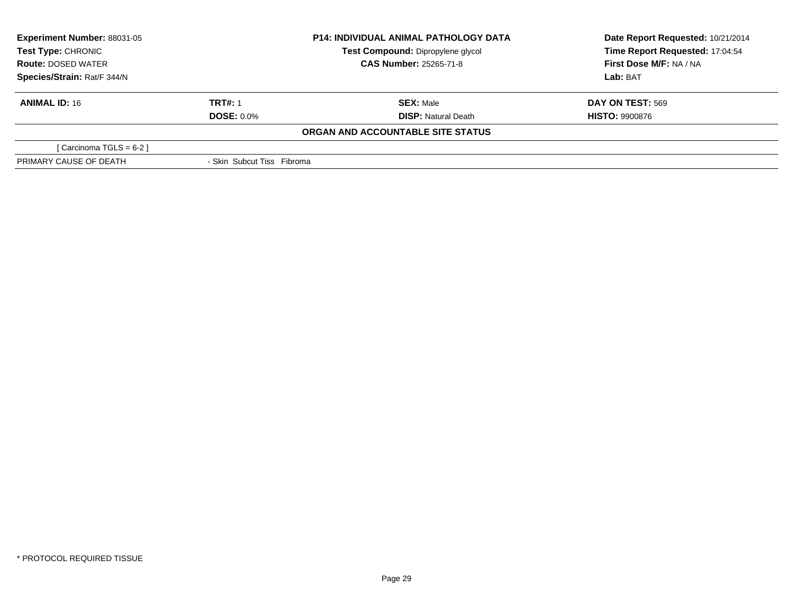| <b>Experiment Number: 88031-05</b><br><b>Test Type: CHRONIC</b> |                            | <b>P14: INDIVIDUAL ANIMAL PATHOLOGY DATA</b> | Date Report Requested: 10/21/2014 |
|-----------------------------------------------------------------|----------------------------|----------------------------------------------|-----------------------------------|
|                                                                 |                            | Test Compound: Dipropylene glycol            | Time Report Requested: 17:04:54   |
| <b>Route: DOSED WATER</b>                                       |                            | <b>CAS Number: 25265-71-8</b>                | First Dose M/F: NA / NA           |
| Species/Strain: Rat/F 344/N                                     |                            |                                              | Lab: BAT                          |
| <b>ANIMAL ID: 16</b>                                            | <b>TRT#: 1</b>             | <b>SEX: Male</b>                             | <b>DAY ON TEST: 569</b>           |
|                                                                 | <b>DOSE: 0.0%</b>          | <b>DISP:</b> Natural Death                   | <b>HISTO: 9900876</b>             |
|                                                                 |                            | ORGAN AND ACCOUNTABLE SITE STATUS            |                                   |
| [ Carcinoma TGLS = 6-2 ]                                        |                            |                                              |                                   |
| PRIMARY CAUSE OF DEATH                                          | - Skin Subcut Tiss Fibroma |                                              |                                   |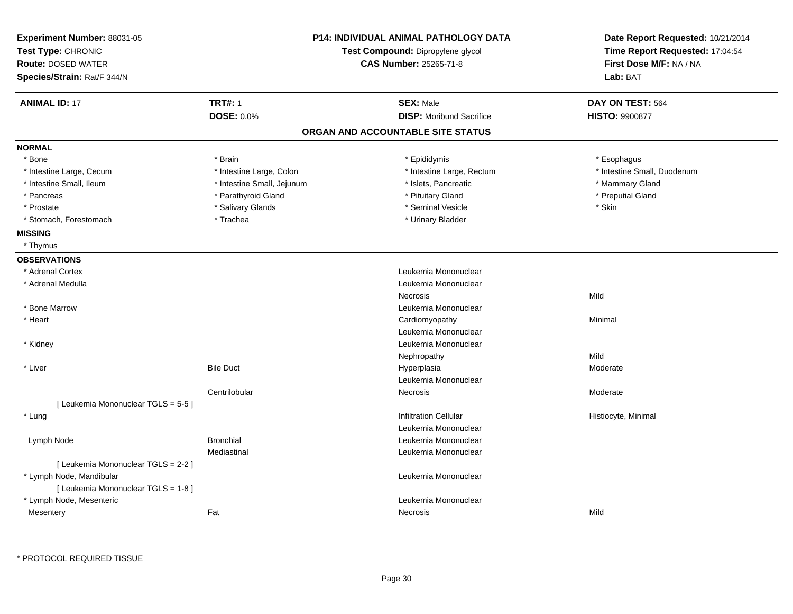| Experiment Number: 88031-05<br>Test Type: CHRONIC<br><b>Route: DOSED WATER</b> |                            | <b>P14: INDIVIDUAL ANIMAL PATHOLOGY DATA</b><br>Test Compound: Dipropylene glycol<br><b>CAS Number: 25265-71-8</b> |                                 |                       | Date Report Requested: 10/21/2014<br>Time Report Requested: 17:04:54<br>First Dose M/F: NA / NA |
|--------------------------------------------------------------------------------|----------------------------|--------------------------------------------------------------------------------------------------------------------|---------------------------------|-----------------------|-------------------------------------------------------------------------------------------------|
| Species/Strain: Rat/F 344/N                                                    |                            |                                                                                                                    |                                 | Lab: BAT              |                                                                                                 |
| <b>ANIMAL ID: 17</b>                                                           | <b>TRT#: 1</b>             |                                                                                                                    | <b>SEX: Male</b>                | DAY ON TEST: 564      |                                                                                                 |
|                                                                                | <b>DOSE: 0.0%</b>          |                                                                                                                    | <b>DISP:</b> Moribund Sacrifice | <b>HISTO: 9900877</b> |                                                                                                 |
|                                                                                |                            | ORGAN AND ACCOUNTABLE SITE STATUS                                                                                  |                                 |                       |                                                                                                 |
| <b>NORMAL</b>                                                                  |                            |                                                                                                                    |                                 |                       |                                                                                                 |
| * Bone                                                                         | * Brain                    |                                                                                                                    | * Epididymis                    | * Esophagus           |                                                                                                 |
| * Intestine Large, Cecum                                                       | * Intestine Large, Colon   |                                                                                                                    | * Intestine Large, Rectum       |                       | * Intestine Small, Duodenum                                                                     |
| * Intestine Small, Ileum                                                       | * Intestine Small, Jejunum |                                                                                                                    | * Islets, Pancreatic            |                       | * Mammary Gland                                                                                 |
| * Pancreas                                                                     | * Parathyroid Gland        |                                                                                                                    | * Pituitary Gland               | * Preputial Gland     |                                                                                                 |
| * Prostate                                                                     | * Salivary Glands          |                                                                                                                    | * Seminal Vesicle               | * Skin                |                                                                                                 |
| * Stomach, Forestomach                                                         | * Trachea                  |                                                                                                                    | * Urinary Bladder               |                       |                                                                                                 |
| <b>MISSING</b>                                                                 |                            |                                                                                                                    |                                 |                       |                                                                                                 |
| * Thymus                                                                       |                            |                                                                                                                    |                                 |                       |                                                                                                 |
| <b>OBSERVATIONS</b>                                                            |                            |                                                                                                                    |                                 |                       |                                                                                                 |
| * Adrenal Cortex                                                               |                            |                                                                                                                    | Leukemia Mononuclear            |                       |                                                                                                 |
| * Adrenal Medulla                                                              |                            |                                                                                                                    | Leukemia Mononuclear            |                       |                                                                                                 |
|                                                                                |                            |                                                                                                                    | <b>Necrosis</b>                 | Mild                  |                                                                                                 |
| * Bone Marrow                                                                  |                            |                                                                                                                    | Leukemia Mononuclear            |                       |                                                                                                 |
| * Heart                                                                        |                            |                                                                                                                    | Cardiomyopathy                  | Minimal               |                                                                                                 |
|                                                                                |                            |                                                                                                                    | Leukemia Mononuclear            |                       |                                                                                                 |
| * Kidney                                                                       |                            |                                                                                                                    | Leukemia Mononuclear            |                       |                                                                                                 |
|                                                                                |                            |                                                                                                                    | Nephropathy                     | Mild                  |                                                                                                 |
| * Liver                                                                        | <b>Bile Duct</b>           |                                                                                                                    | Hyperplasia                     | Moderate              |                                                                                                 |
|                                                                                |                            |                                                                                                                    | Leukemia Mononuclear            |                       |                                                                                                 |
|                                                                                | Centrilobular              |                                                                                                                    | Necrosis                        | Moderate              |                                                                                                 |
| [ Leukemia Mononuclear TGLS = 5-5 ]                                            |                            |                                                                                                                    |                                 |                       |                                                                                                 |
| * Lung                                                                         |                            |                                                                                                                    | <b>Infiltration Cellular</b>    | Histiocyte, Minimal   |                                                                                                 |
|                                                                                |                            |                                                                                                                    | Leukemia Mononuclear            |                       |                                                                                                 |
| Lymph Node                                                                     | <b>Bronchial</b>           |                                                                                                                    | Leukemia Mononuclear            |                       |                                                                                                 |
|                                                                                | Mediastinal                |                                                                                                                    | Leukemia Mononuclear            |                       |                                                                                                 |
| [ Leukemia Mononuclear TGLS = 2-2 ]                                            |                            |                                                                                                                    |                                 |                       |                                                                                                 |
| * Lymph Node, Mandibular                                                       |                            |                                                                                                                    | Leukemia Mononuclear            |                       |                                                                                                 |
| [ Leukemia Mononuclear TGLS = 1-8 ]                                            |                            |                                                                                                                    |                                 |                       |                                                                                                 |
| * Lymph Node, Mesenteric                                                       |                            |                                                                                                                    | Leukemia Mononuclear            |                       |                                                                                                 |
| Mesentery                                                                      | Fat                        |                                                                                                                    | <b>Necrosis</b>                 | Mild                  |                                                                                                 |
|                                                                                |                            |                                                                                                                    |                                 |                       |                                                                                                 |

\* PROTOCOL REQUIRED TISSUE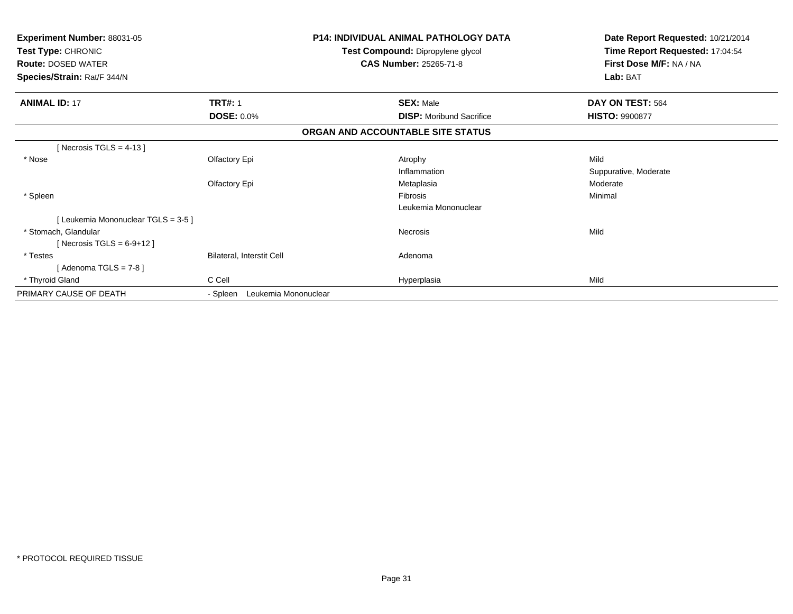| Experiment Number: 88031-05<br>Test Type: CHRONIC<br><b>Route: DOSED WATER</b><br>Species/Strain: Rat/F 344/N |                                  | <b>P14: INDIVIDUAL ANIMAL PATHOLOGY DATA</b><br>Test Compound: Dipropylene glycol<br><b>CAS Number: 25265-71-8</b> | Date Report Requested: 10/21/2014<br>Time Report Requested: 17:04:54<br>First Dose M/F: NA / NA<br>Lab: BAT |
|---------------------------------------------------------------------------------------------------------------|----------------------------------|--------------------------------------------------------------------------------------------------------------------|-------------------------------------------------------------------------------------------------------------|
| <b>ANIMAL ID: 17</b>                                                                                          | <b>TRT#: 1</b>                   | <b>SEX: Male</b>                                                                                                   | DAY ON TEST: 564                                                                                            |
|                                                                                                               | <b>DOSE: 0.0%</b>                | <b>DISP:</b> Moribund Sacrifice                                                                                    | <b>HISTO: 9900877</b>                                                                                       |
|                                                                                                               |                                  | ORGAN AND ACCOUNTABLE SITE STATUS                                                                                  |                                                                                                             |
| [Necrosis TGLS = $4-13$ ]                                                                                     |                                  |                                                                                                                    |                                                                                                             |
| * Nose                                                                                                        | Olfactory Epi                    | Atrophy                                                                                                            | Mild                                                                                                        |
|                                                                                                               |                                  | Inflammation                                                                                                       | Suppurative, Moderate                                                                                       |
|                                                                                                               | Olfactory Epi                    | Metaplasia                                                                                                         | Moderate                                                                                                    |
| * Spleen                                                                                                      |                                  | <b>Fibrosis</b>                                                                                                    | Minimal                                                                                                     |
|                                                                                                               |                                  | Leukemia Mononuclear                                                                                               |                                                                                                             |
| [Leukemia Mononuclear TGLS = 3-5]                                                                             |                                  |                                                                                                                    |                                                                                                             |
| * Stomach, Glandular                                                                                          |                                  | <b>Necrosis</b>                                                                                                    | Mild                                                                                                        |
| [Necrosis TGLS = $6-9+12$ ]                                                                                   |                                  |                                                                                                                    |                                                                                                             |
| * Testes                                                                                                      | Bilateral, Interstit Cell        | Adenoma                                                                                                            |                                                                                                             |
| [Adenoma TGLS = $7-8$ ]                                                                                       |                                  |                                                                                                                    |                                                                                                             |
| * Thyroid Gland                                                                                               | C Cell                           | Hyperplasia                                                                                                        | Mild                                                                                                        |
| PRIMARY CAUSE OF DEATH                                                                                        | Leukemia Mononuclear<br>- Spleen |                                                                                                                    |                                                                                                             |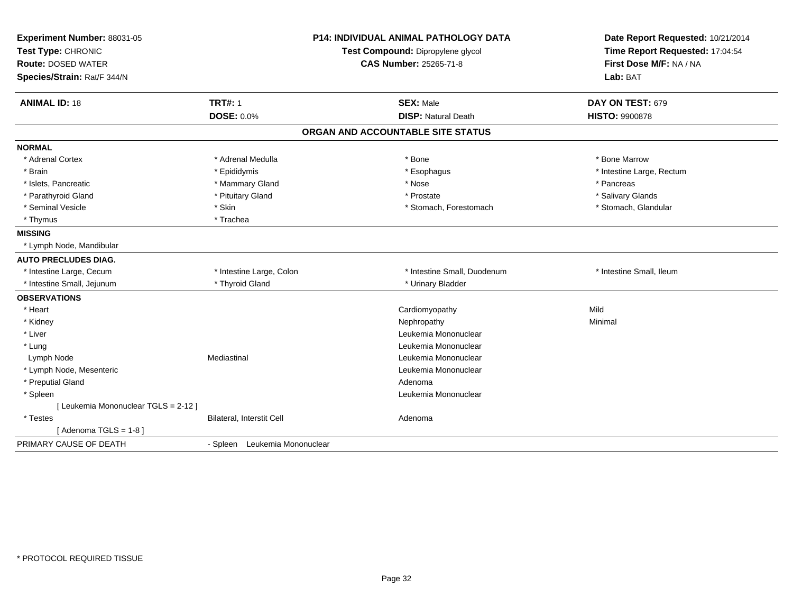| Experiment Number: 88031-05          | <b>P14: INDIVIDUAL ANIMAL PATHOLOGY DATA</b> |                                   | Date Report Requested: 10/21/2014                          |  |
|--------------------------------------|----------------------------------------------|-----------------------------------|------------------------------------------------------------|--|
| Test Type: CHRONIC                   |                                              | Test Compound: Dipropylene glycol | Time Report Requested: 17:04:54<br>First Dose M/F: NA / NA |  |
| <b>Route: DOSED WATER</b>            |                                              | <b>CAS Number: 25265-71-8</b>     |                                                            |  |
| Species/Strain: Rat/F 344/N          |                                              |                                   | Lab: BAT                                                   |  |
| <b>ANIMAL ID: 18</b>                 | <b>TRT#: 1</b>                               | <b>SEX: Male</b>                  | DAY ON TEST: 679                                           |  |
|                                      | <b>DOSE: 0.0%</b>                            | <b>DISP: Natural Death</b>        | <b>HISTO: 9900878</b>                                      |  |
|                                      |                                              | ORGAN AND ACCOUNTABLE SITE STATUS |                                                            |  |
| <b>NORMAL</b>                        |                                              |                                   |                                                            |  |
| * Adrenal Cortex                     | * Adrenal Medulla                            | * Bone                            | * Bone Marrow                                              |  |
| * Brain                              | * Epididymis                                 | * Esophagus                       | * Intestine Large, Rectum                                  |  |
| * Islets, Pancreatic                 | * Mammary Gland                              | * Nose                            | * Pancreas                                                 |  |
| * Parathyroid Gland                  | * Pituitary Gland                            | * Prostate                        | * Salivary Glands                                          |  |
| * Seminal Vesicle                    | * Skin                                       | * Stomach, Forestomach            | * Stomach, Glandular                                       |  |
| * Thymus                             | * Trachea                                    |                                   |                                                            |  |
| <b>MISSING</b>                       |                                              |                                   |                                                            |  |
| * Lymph Node, Mandibular             |                                              |                                   |                                                            |  |
| <b>AUTO PRECLUDES DIAG.</b>          |                                              |                                   |                                                            |  |
| * Intestine Large, Cecum             | * Intestine Large, Colon                     | * Intestine Small, Duodenum       | * Intestine Small, Ileum                                   |  |
| * Intestine Small, Jejunum           | * Thyroid Gland                              | * Urinary Bladder                 |                                                            |  |
| <b>OBSERVATIONS</b>                  |                                              |                                   |                                                            |  |
| * Heart                              |                                              | Cardiomyopathy                    | Mild                                                       |  |
| * Kidney                             |                                              | Nephropathy                       | Minimal                                                    |  |
| * Liver                              |                                              | Leukemia Mononuclear              |                                                            |  |
| * Lung                               |                                              | Leukemia Mononuclear              |                                                            |  |
| Lymph Node                           | Mediastinal                                  | Leukemia Mononuclear              |                                                            |  |
| * Lymph Node, Mesenteric             |                                              | Leukemia Mononuclear              |                                                            |  |
| * Preputial Gland                    |                                              | Adenoma                           |                                                            |  |
| * Spleen                             |                                              | Leukemia Mononuclear              |                                                            |  |
| [ Leukemia Mononuclear TGLS = 2-12 ] |                                              |                                   |                                                            |  |
| * Testes                             | Bilateral, Interstit Cell                    | Adenoma                           |                                                            |  |
| [Adenoma TGLS = $1-8$ ]              |                                              |                                   |                                                            |  |
| PRIMARY CAUSE OF DEATH               | - Spleen Leukemia Mononuclear                |                                   |                                                            |  |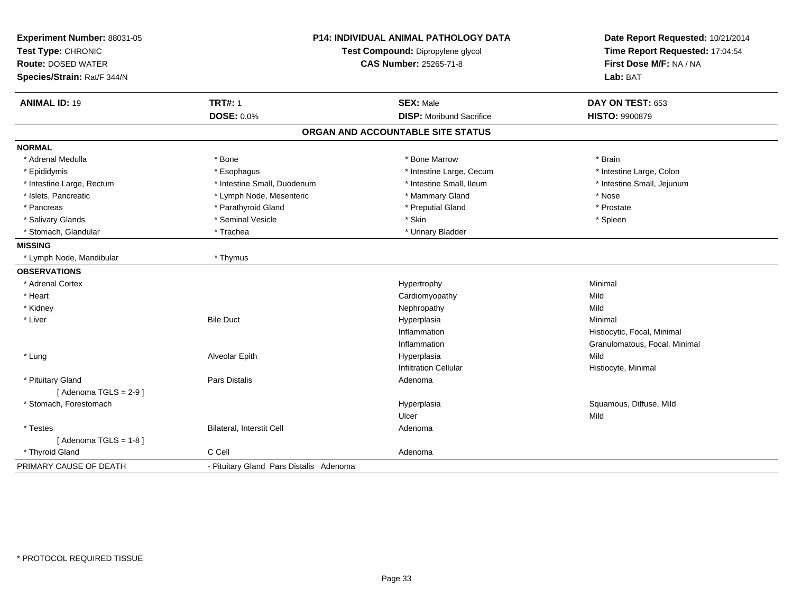| Experiment Number: 88031-05<br>Test Type: CHRONIC |                                         | P14: INDIVIDUAL ANIMAL PATHOLOGY DATA<br>Test Compound: Dipropylene glycol | Date Report Requested: 10/21/2014<br>Time Report Requested: 17:04:54 |
|---------------------------------------------------|-----------------------------------------|----------------------------------------------------------------------------|----------------------------------------------------------------------|
| <b>Route: DOSED WATER</b>                         |                                         | <b>CAS Number: 25265-71-8</b>                                              | First Dose M/F: NA / NA                                              |
| Species/Strain: Rat/F 344/N                       |                                         |                                                                            | Lab: BAT                                                             |
| <b>ANIMAL ID: 19</b>                              | <b>TRT#: 1</b>                          | <b>SEX: Male</b>                                                           | DAY ON TEST: 653                                                     |
|                                                   | <b>DOSE: 0.0%</b>                       | <b>DISP:</b> Moribund Sacrifice                                            | <b>HISTO: 9900879</b>                                                |
|                                                   |                                         | ORGAN AND ACCOUNTABLE SITE STATUS                                          |                                                                      |
| <b>NORMAL</b>                                     |                                         |                                                                            |                                                                      |
| * Adrenal Medulla                                 | * Bone                                  | * Bone Marrow                                                              | * Brain                                                              |
| * Epididymis                                      | * Esophagus                             | * Intestine Large, Cecum                                                   | * Intestine Large, Colon                                             |
| * Intestine Large, Rectum                         | * Intestine Small, Duodenum             | * Intestine Small, Ileum                                                   | * Intestine Small, Jejunum                                           |
| * Islets, Pancreatic                              | * Lymph Node, Mesenteric                | * Mammary Gland                                                            | * Nose                                                               |
| * Pancreas                                        | * Parathyroid Gland                     | * Preputial Gland                                                          | * Prostate                                                           |
| * Salivary Glands                                 | * Seminal Vesicle                       | * Skin                                                                     | * Spleen                                                             |
| * Stomach, Glandular                              | * Trachea                               | * Urinary Bladder                                                          |                                                                      |
| <b>MISSING</b>                                    |                                         |                                                                            |                                                                      |
| * Lymph Node, Mandibular                          | * Thymus                                |                                                                            |                                                                      |
| <b>OBSERVATIONS</b>                               |                                         |                                                                            |                                                                      |
| * Adrenal Cortex                                  |                                         | Hypertrophy                                                                | Minimal                                                              |
| * Heart                                           |                                         | Cardiomyopathy                                                             | Mild                                                                 |
| * Kidney                                          |                                         | Nephropathy                                                                | Mild                                                                 |
| * Liver                                           | <b>Bile Duct</b>                        | Hyperplasia                                                                | Minimal                                                              |
|                                                   |                                         | Inflammation                                                               | Histiocytic, Focal, Minimal                                          |
|                                                   |                                         | Inflammation                                                               | Granulomatous, Focal, Minimal                                        |
| * Lung                                            | Alveolar Epith                          | Hyperplasia                                                                | Mild                                                                 |
|                                                   |                                         | <b>Infiltration Cellular</b>                                               | Histiocyte, Minimal                                                  |
| * Pituitary Gland                                 | Pars Distalis                           | Adenoma                                                                    |                                                                      |
| [Adenoma TGLS = $2-9$ ]                           |                                         |                                                                            |                                                                      |
| * Stomach, Forestomach                            |                                         | Hyperplasia                                                                | Squamous, Diffuse, Mild                                              |
|                                                   |                                         | Ulcer                                                                      | Mild                                                                 |
| * Testes                                          | Bilateral, Interstit Cell               | Adenoma                                                                    |                                                                      |
| [Adenoma TGLS = $1-8$ ]                           |                                         |                                                                            |                                                                      |
| * Thyroid Gland                                   | C Cell                                  | Adenoma                                                                    |                                                                      |
| PRIMARY CAUSE OF DEATH                            | - Pituitary Gland Pars Distalis Adenoma |                                                                            |                                                                      |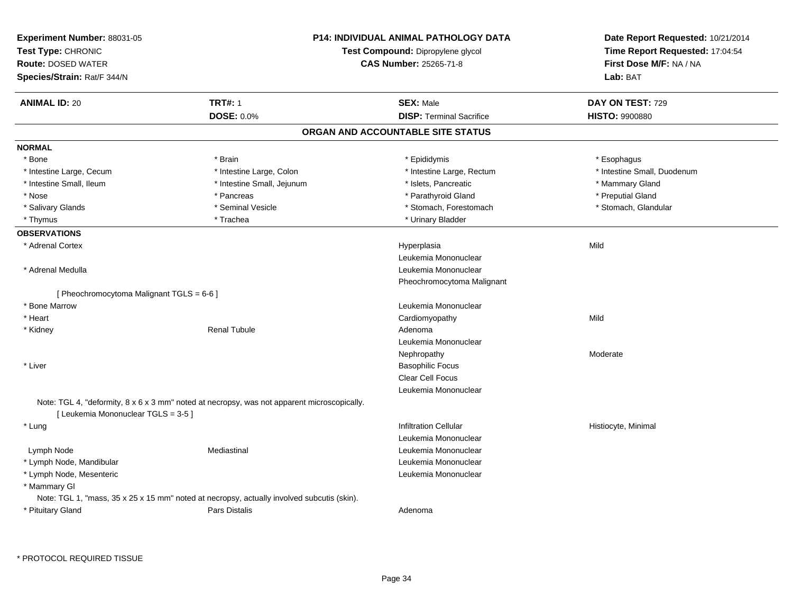| Experiment Number: 88031-05<br>Test Type: CHRONIC |                                                                                             | <b>P14: INDIVIDUAL ANIMAL PATHOLOGY DATA</b><br>Test Compound: Dipropylene glycol | Date Report Requested: 10/21/2014<br>Time Report Requested: 17:04:54 |
|---------------------------------------------------|---------------------------------------------------------------------------------------------|-----------------------------------------------------------------------------------|----------------------------------------------------------------------|
| <b>Route: DOSED WATER</b>                         |                                                                                             | <b>CAS Number: 25265-71-8</b>                                                     | First Dose M/F: NA / NA                                              |
|                                                   |                                                                                             |                                                                                   | Lab: BAT                                                             |
| Species/Strain: Rat/F 344/N                       |                                                                                             |                                                                                   |                                                                      |
| <b>ANIMAL ID: 20</b>                              | <b>TRT#: 1</b>                                                                              | <b>SEX: Male</b>                                                                  | DAY ON TEST: 729                                                     |
|                                                   | <b>DOSE: 0.0%</b>                                                                           | <b>DISP: Terminal Sacrifice</b>                                                   | <b>HISTO: 9900880</b>                                                |
|                                                   |                                                                                             | ORGAN AND ACCOUNTABLE SITE STATUS                                                 |                                                                      |
| <b>NORMAL</b>                                     |                                                                                             |                                                                                   |                                                                      |
| * Bone                                            | * Brain                                                                                     | * Epididymis                                                                      | * Esophagus                                                          |
| * Intestine Large, Cecum                          | * Intestine Large, Colon                                                                    | * Intestine Large, Rectum                                                         | * Intestine Small, Duodenum                                          |
| * Intestine Small, Ileum                          | * Intestine Small, Jejunum                                                                  | * Islets, Pancreatic                                                              | * Mammary Gland                                                      |
| * Nose                                            | * Pancreas                                                                                  | * Parathyroid Gland                                                               | * Preputial Gland                                                    |
| * Salivary Glands                                 | * Seminal Vesicle                                                                           | * Stomach, Forestomach                                                            | * Stomach, Glandular                                                 |
| * Thymus                                          | * Trachea                                                                                   | * Urinary Bladder                                                                 |                                                                      |
| <b>OBSERVATIONS</b>                               |                                                                                             |                                                                                   |                                                                      |
| * Adrenal Cortex                                  |                                                                                             | Hyperplasia                                                                       | Mild                                                                 |
|                                                   |                                                                                             | Leukemia Mononuclear                                                              |                                                                      |
| * Adrenal Medulla                                 |                                                                                             | Leukemia Mononuclear                                                              |                                                                      |
|                                                   |                                                                                             | Pheochromocytoma Malignant                                                        |                                                                      |
| [ Pheochromocytoma Malignant TGLS = 6-6 ]         |                                                                                             |                                                                                   |                                                                      |
| * Bone Marrow                                     |                                                                                             | Leukemia Mononuclear                                                              |                                                                      |
| * Heart                                           |                                                                                             | Cardiomyopathy                                                                    | Mild                                                                 |
| * Kidney                                          | <b>Renal Tubule</b>                                                                         | Adenoma                                                                           |                                                                      |
|                                                   |                                                                                             | Leukemia Mononuclear                                                              |                                                                      |
|                                                   |                                                                                             | Nephropathy                                                                       | Moderate                                                             |
| * Liver                                           |                                                                                             | <b>Basophilic Focus</b>                                                           |                                                                      |
|                                                   |                                                                                             | Clear Cell Focus                                                                  |                                                                      |
|                                                   |                                                                                             | Leukemia Mononuclear                                                              |                                                                      |
| [ Leukemia Mononuclear TGLS = 3-5 ]               | Note: TGL 4, "deformity, 8 x 6 x 3 mm" noted at necropsy, was not apparent microscopically. |                                                                                   |                                                                      |
| * Lung                                            |                                                                                             | <b>Infiltration Cellular</b>                                                      | Histiocyte, Minimal                                                  |
|                                                   |                                                                                             | Leukemia Mononuclear                                                              |                                                                      |
| Lymph Node                                        | Mediastinal                                                                                 | Leukemia Mononuclear                                                              |                                                                      |
| * Lymph Node, Mandibular                          |                                                                                             | Leukemia Mononuclear                                                              |                                                                      |
| * Lymph Node, Mesenteric                          |                                                                                             | Leukemia Mononuclear                                                              |                                                                      |
| * Mammary GI                                      |                                                                                             |                                                                                   |                                                                      |
|                                                   | Note: TGL 1, "mass, 35 x 25 x 15 mm" noted at necropsy, actually involved subcutis (skin).  |                                                                                   |                                                                      |
| * Pituitary Gland                                 | Pars Distalis                                                                               |                                                                                   |                                                                      |
|                                                   |                                                                                             | Adenoma                                                                           |                                                                      |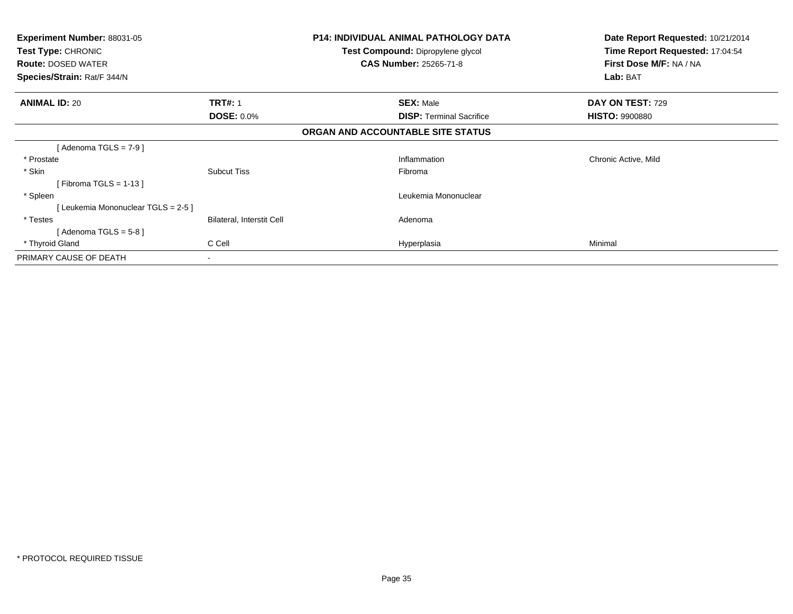| <b>Experiment Number: 88031-05</b><br><b>Test Type: CHRONIC</b><br><b>Route: DOSED WATER</b><br><b>Species/Strain: Rat/F 344/N</b> |                           | P14: INDIVIDUAL ANIMAL PATHOLOGY DATA<br>Test Compound: Dipropylene glycol<br><b>CAS Number: 25265-71-8</b> | Date Report Requested: 10/21/2014<br>Time Report Requested: 17:04:54<br>First Dose M/F: NA / NA<br>Lab: BAT |
|------------------------------------------------------------------------------------------------------------------------------------|---------------------------|-------------------------------------------------------------------------------------------------------------|-------------------------------------------------------------------------------------------------------------|
| <b>ANIMAL ID: 20</b>                                                                                                               | <b>TRT#: 1</b>            | <b>SEX: Male</b>                                                                                            | DAY ON TEST: 729                                                                                            |
|                                                                                                                                    | <b>DOSE: 0.0%</b>         | <b>DISP:</b> Terminal Sacrifice                                                                             | <b>HISTO: 9900880</b>                                                                                       |
|                                                                                                                                    |                           | ORGAN AND ACCOUNTABLE SITE STATUS                                                                           |                                                                                                             |
| [ Adenoma TGLS = 7-9 ]                                                                                                             |                           |                                                                                                             |                                                                                                             |
| * Prostate                                                                                                                         |                           | Inflammation                                                                                                | Chronic Active, Mild                                                                                        |
| * Skin                                                                                                                             | <b>Subcut Tiss</b>        | Fibroma                                                                                                     |                                                                                                             |
| [Fibroma TGLS = $1-13$ ]                                                                                                           |                           |                                                                                                             |                                                                                                             |
| * Spleen                                                                                                                           |                           | Leukemia Mononuclear                                                                                        |                                                                                                             |
| [Leukemia Mononuclear TGLS = 2-5]                                                                                                  |                           |                                                                                                             |                                                                                                             |
| * Testes                                                                                                                           | Bilateral, Interstit Cell | Adenoma                                                                                                     |                                                                                                             |
| [Adenoma TGLS = $5-8$ ]                                                                                                            |                           |                                                                                                             |                                                                                                             |
| * Thyroid Gland                                                                                                                    | C Cell                    | Hyperplasia                                                                                                 | Minimal                                                                                                     |
| PRIMARY CAUSE OF DEATH                                                                                                             |                           |                                                                                                             |                                                                                                             |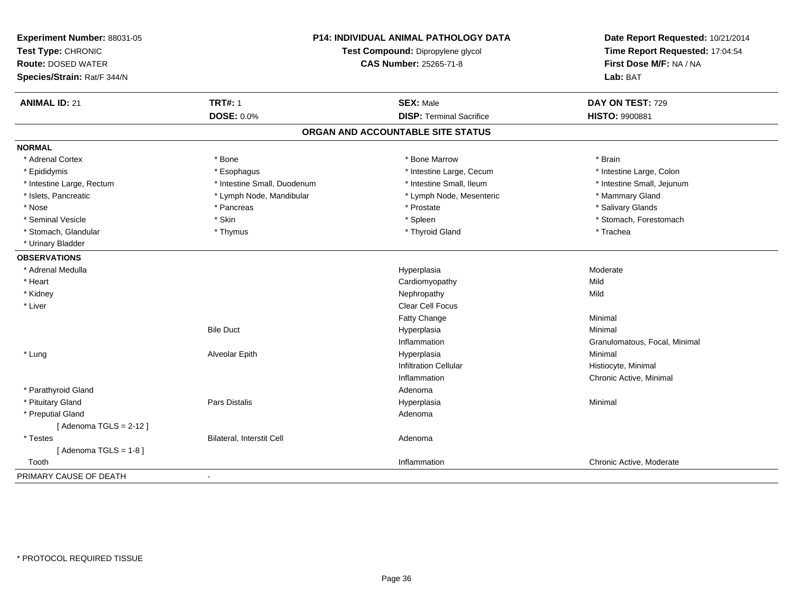| Experiment Number: 88031-05<br>Test Type: CHRONIC<br><b>Route: DOSED WATER</b><br>Species/Strain: Rat/F 344/N | <b>P14: INDIVIDUAL ANIMAL PATHOLOGY DATA</b><br>Test Compound: Dipropylene glycol<br>CAS Number: 25265-71-8 |                                   | Date Report Requested: 10/21/2014<br>Time Report Requested: 17:04:54<br>First Dose M/F: NA / NA<br>Lab: BAT |
|---------------------------------------------------------------------------------------------------------------|-------------------------------------------------------------------------------------------------------------|-----------------------------------|-------------------------------------------------------------------------------------------------------------|
| <b>ANIMAL ID: 21</b>                                                                                          | <b>TRT#: 1</b>                                                                                              | <b>SEX: Male</b>                  | DAY ON TEST: 729                                                                                            |
|                                                                                                               | <b>DOSE: 0.0%</b>                                                                                           | <b>DISP: Terminal Sacrifice</b>   | <b>HISTO: 9900881</b>                                                                                       |
|                                                                                                               |                                                                                                             | ORGAN AND ACCOUNTABLE SITE STATUS |                                                                                                             |
| <b>NORMAL</b>                                                                                                 |                                                                                                             |                                   |                                                                                                             |
| * Adrenal Cortex                                                                                              | * Bone                                                                                                      | * Bone Marrow                     | * Brain                                                                                                     |
| * Epididymis                                                                                                  | * Esophagus                                                                                                 | * Intestine Large, Cecum          | * Intestine Large, Colon                                                                                    |
| * Intestine Large, Rectum                                                                                     | * Intestine Small, Duodenum                                                                                 | * Intestine Small, Ileum          | * Intestine Small, Jejunum                                                                                  |
| * Islets, Pancreatic                                                                                          | * Lymph Node, Mandibular                                                                                    | * Lymph Node, Mesenteric          | * Mammary Gland                                                                                             |
| * Nose                                                                                                        | * Pancreas                                                                                                  | * Prostate                        | * Salivary Glands                                                                                           |
| * Seminal Vesicle                                                                                             | * Skin                                                                                                      | * Spleen                          | * Stomach, Forestomach                                                                                      |
| * Stomach, Glandular                                                                                          | * Thymus                                                                                                    | * Thyroid Gland                   | * Trachea                                                                                                   |
| * Urinary Bladder                                                                                             |                                                                                                             |                                   |                                                                                                             |
| <b>OBSERVATIONS</b>                                                                                           |                                                                                                             |                                   |                                                                                                             |
| * Adrenal Medulla                                                                                             |                                                                                                             | Hyperplasia                       | Moderate                                                                                                    |
| * Heart                                                                                                       |                                                                                                             | Cardiomyopathy                    | Mild                                                                                                        |
| * Kidney                                                                                                      |                                                                                                             | Nephropathy                       | Mild                                                                                                        |
| * Liver                                                                                                       |                                                                                                             | <b>Clear Cell Focus</b>           |                                                                                                             |
|                                                                                                               |                                                                                                             | Fatty Change                      | Minimal                                                                                                     |
|                                                                                                               | <b>Bile Duct</b>                                                                                            | Hyperplasia                       | Minimal                                                                                                     |
|                                                                                                               |                                                                                                             | Inflammation                      | Granulomatous, Focal, Minimal                                                                               |
| * Lung                                                                                                        | Alveolar Epith                                                                                              | Hyperplasia                       | Minimal                                                                                                     |
|                                                                                                               |                                                                                                             | <b>Infiltration Cellular</b>      | Histiocyte, Minimal                                                                                         |
|                                                                                                               |                                                                                                             | Inflammation                      | Chronic Active, Minimal                                                                                     |
| * Parathyroid Gland                                                                                           |                                                                                                             | Adenoma                           |                                                                                                             |
| * Pituitary Gland                                                                                             | Pars Distalis                                                                                               | Hyperplasia                       | Minimal                                                                                                     |
| * Preputial Gland                                                                                             |                                                                                                             | Adenoma                           |                                                                                                             |
| [Adenoma TGLS = $2-12$ ]                                                                                      |                                                                                                             |                                   |                                                                                                             |
| * Testes                                                                                                      | <b>Bilateral, Interstit Cell</b>                                                                            | Adenoma                           |                                                                                                             |
| [Adenoma TGLS = $1-8$ ]                                                                                       |                                                                                                             |                                   |                                                                                                             |
| Tooth                                                                                                         |                                                                                                             | Inflammation                      | Chronic Active, Moderate                                                                                    |
| PRIMARY CAUSE OF DEATH                                                                                        | $\blacksquare$                                                                                              |                                   |                                                                                                             |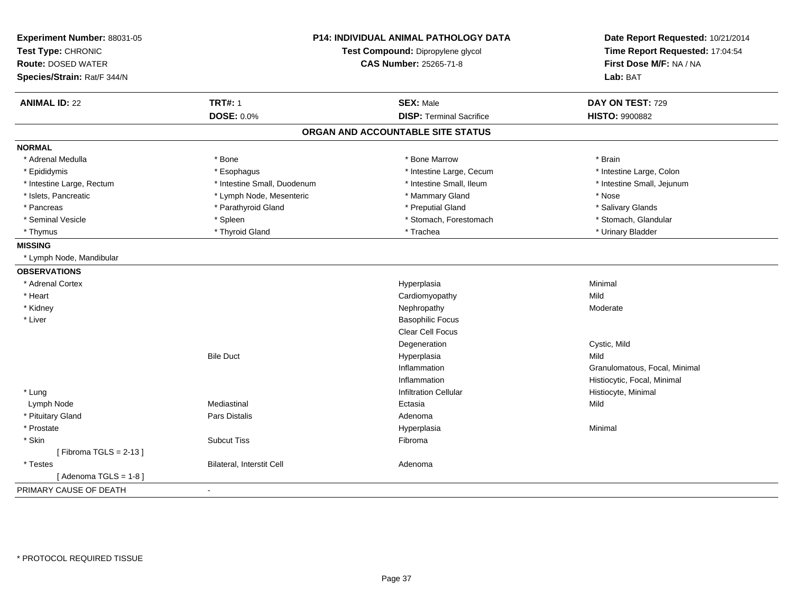| Experiment Number: 88031-05<br>Test Type: CHRONIC<br><b>Route: DOSED WATER</b><br>Species/Strain: Rat/F 344/N |                                  | <b>P14: INDIVIDUAL ANIMAL PATHOLOGY DATA</b><br>Test Compound: Dipropylene glycol<br><b>CAS Number: 25265-71-8</b> | Date Report Requested: 10/21/2014<br>Time Report Requested: 17:04:54<br>First Dose M/F: NA / NA<br>Lab: BAT |
|---------------------------------------------------------------------------------------------------------------|----------------------------------|--------------------------------------------------------------------------------------------------------------------|-------------------------------------------------------------------------------------------------------------|
| <b>ANIMAL ID: 22</b>                                                                                          | <b>TRT#: 1</b>                   | <b>SEX: Male</b>                                                                                                   | DAY ON TEST: 729                                                                                            |
|                                                                                                               | <b>DOSE: 0.0%</b>                | <b>DISP: Terminal Sacrifice</b>                                                                                    | <b>HISTO: 9900882</b>                                                                                       |
|                                                                                                               |                                  | ORGAN AND ACCOUNTABLE SITE STATUS                                                                                  |                                                                                                             |
| <b>NORMAL</b>                                                                                                 |                                  |                                                                                                                    |                                                                                                             |
| * Adrenal Medulla                                                                                             | * Bone                           | * Bone Marrow                                                                                                      | * Brain                                                                                                     |
| * Epididymis                                                                                                  | * Esophagus                      | * Intestine Large, Cecum                                                                                           | * Intestine Large, Colon                                                                                    |
| * Intestine Large, Rectum                                                                                     | * Intestine Small, Duodenum      | * Intestine Small, Ileum                                                                                           | * Intestine Small, Jejunum                                                                                  |
| * Islets, Pancreatic                                                                                          | * Lymph Node, Mesenteric         | * Mammary Gland                                                                                                    | * Nose                                                                                                      |
| * Pancreas                                                                                                    | * Parathyroid Gland              | * Preputial Gland                                                                                                  | * Salivary Glands                                                                                           |
| * Seminal Vesicle                                                                                             | * Spleen                         | * Stomach, Forestomach                                                                                             | * Stomach, Glandular                                                                                        |
| * Thymus                                                                                                      | * Thyroid Gland                  | * Trachea                                                                                                          | * Urinary Bladder                                                                                           |
| <b>MISSING</b>                                                                                                |                                  |                                                                                                                    |                                                                                                             |
| * Lymph Node, Mandibular                                                                                      |                                  |                                                                                                                    |                                                                                                             |
| <b>OBSERVATIONS</b>                                                                                           |                                  |                                                                                                                    |                                                                                                             |
| * Adrenal Cortex                                                                                              |                                  | Hyperplasia                                                                                                        | Minimal                                                                                                     |
| * Heart                                                                                                       |                                  | Cardiomyopathy                                                                                                     | Mild                                                                                                        |
| * Kidney                                                                                                      |                                  | Nephropathy                                                                                                        | Moderate                                                                                                    |
| * Liver                                                                                                       |                                  | <b>Basophilic Focus</b>                                                                                            |                                                                                                             |
|                                                                                                               |                                  | Clear Cell Focus                                                                                                   |                                                                                                             |
|                                                                                                               |                                  | Degeneration                                                                                                       | Cystic, Mild                                                                                                |
|                                                                                                               | <b>Bile Duct</b>                 | Hyperplasia                                                                                                        | Mild                                                                                                        |
|                                                                                                               |                                  | Inflammation                                                                                                       | Granulomatous, Focal, Minimal                                                                               |
|                                                                                                               |                                  | Inflammation                                                                                                       | Histiocytic, Focal, Minimal                                                                                 |
| * Lung                                                                                                        |                                  | <b>Infiltration Cellular</b>                                                                                       | Histiocyte, Minimal                                                                                         |
| Lymph Node                                                                                                    | Mediastinal                      | Ectasia                                                                                                            | Mild                                                                                                        |
| * Pituitary Gland                                                                                             | Pars Distalis                    | Adenoma                                                                                                            |                                                                                                             |
| * Prostate                                                                                                    |                                  | Hyperplasia                                                                                                        | Minimal                                                                                                     |
| * Skin                                                                                                        | <b>Subcut Tiss</b>               | Fibroma                                                                                                            |                                                                                                             |
| [Fibroma TGLS = $2-13$ ]                                                                                      |                                  |                                                                                                                    |                                                                                                             |
| * Testes                                                                                                      | <b>Bilateral, Interstit Cell</b> | Adenoma                                                                                                            |                                                                                                             |
| [Adenoma TGLS = $1-8$ ]                                                                                       |                                  |                                                                                                                    |                                                                                                             |
| PRIMARY CAUSE OF DEATH                                                                                        |                                  |                                                                                                                    |                                                                                                             |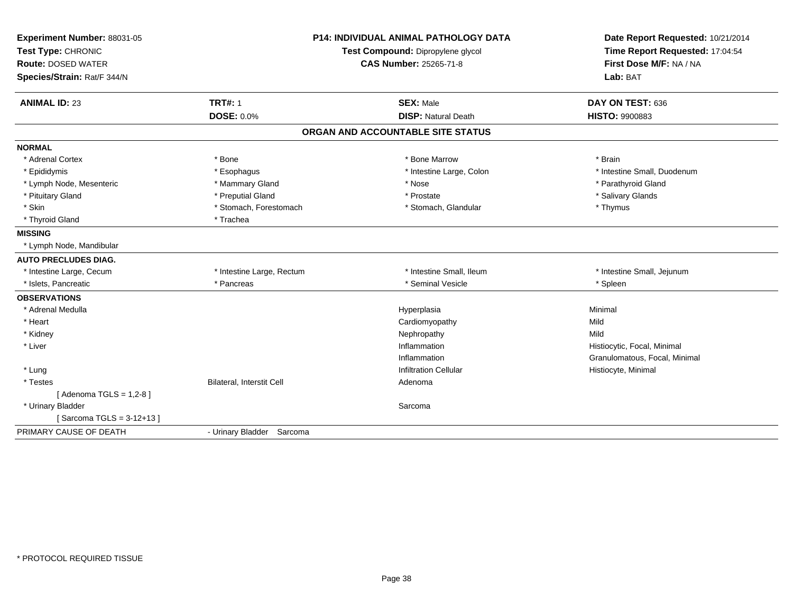| Experiment Number: 88031-05 |                           | <b>P14: INDIVIDUAL ANIMAL PATHOLOGY DATA</b> | Date Report Requested: 10/21/2014                          |  |
|-----------------------------|---------------------------|----------------------------------------------|------------------------------------------------------------|--|
| Test Type: CHRONIC          |                           | Test Compound: Dipropylene glycol            | Time Report Requested: 17:04:54<br>First Dose M/F: NA / NA |  |
| <b>Route: DOSED WATER</b>   |                           | <b>CAS Number: 25265-71-8</b>                |                                                            |  |
| Species/Strain: Rat/F 344/N |                           |                                              | Lab: BAT                                                   |  |
| <b>ANIMAL ID: 23</b>        | <b>TRT#: 1</b>            | <b>SEX: Male</b>                             | DAY ON TEST: 636                                           |  |
|                             | <b>DOSE: 0.0%</b>         | <b>DISP: Natural Death</b>                   | HISTO: 9900883                                             |  |
|                             |                           | ORGAN AND ACCOUNTABLE SITE STATUS            |                                                            |  |
| <b>NORMAL</b>               |                           |                                              |                                                            |  |
| * Adrenal Cortex            | * Bone                    | * Bone Marrow                                | * Brain                                                    |  |
| * Epididymis                | * Esophagus               | * Intestine Large, Colon                     | * Intestine Small, Duodenum                                |  |
| * Lymph Node, Mesenteric    | * Mammary Gland           | * Nose                                       | * Parathyroid Gland                                        |  |
| * Pituitary Gland           | * Preputial Gland         | * Prostate                                   | * Salivary Glands                                          |  |
| * Skin                      | * Stomach, Forestomach    | * Stomach, Glandular                         | * Thymus                                                   |  |
| * Thyroid Gland             | * Trachea                 |                                              |                                                            |  |
| <b>MISSING</b>              |                           |                                              |                                                            |  |
| * Lymph Node, Mandibular    |                           |                                              |                                                            |  |
| <b>AUTO PRECLUDES DIAG.</b> |                           |                                              |                                                            |  |
| * Intestine Large, Cecum    | * Intestine Large, Rectum | * Intestine Small, Ileum                     | * Intestine Small, Jejunum                                 |  |
| * Islets, Pancreatic        | * Pancreas                | * Seminal Vesicle                            | * Spleen                                                   |  |
| <b>OBSERVATIONS</b>         |                           |                                              |                                                            |  |
| * Adrenal Medulla           |                           | Hyperplasia                                  | Minimal                                                    |  |
| * Heart                     |                           | Cardiomyopathy                               | Mild                                                       |  |
| * Kidney                    |                           | Nephropathy                                  | Mild                                                       |  |
| * Liver                     |                           | Inflammation                                 | Histiocytic, Focal, Minimal                                |  |
|                             |                           | Inflammation                                 | Granulomatous, Focal, Minimal                              |  |
| * Lung                      |                           | <b>Infiltration Cellular</b>                 | Histiocyte, Minimal                                        |  |
| * Testes                    | Bilateral, Interstit Cell | Adenoma                                      |                                                            |  |
| [ Adenoma TGLS = $1,2-8$ ]  |                           |                                              |                                                            |  |
| * Urinary Bladder           |                           | Sarcoma                                      |                                                            |  |
| [Sarcoma TGLS = 3-12+13]    |                           |                                              |                                                            |  |
| PRIMARY CAUSE OF DEATH      | - Urinary Bladder Sarcoma |                                              |                                                            |  |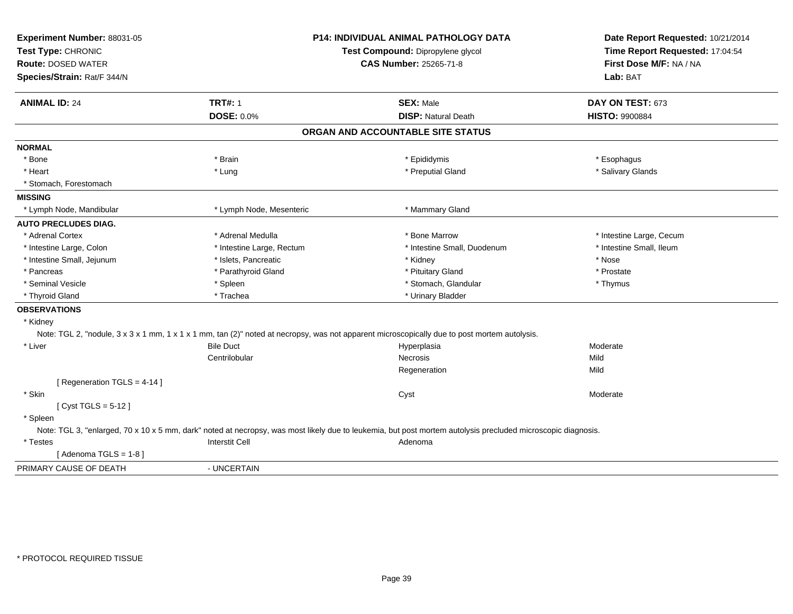| Experiment Number: 88031-05<br>Test Type: CHRONIC<br><b>Route: DOSED WATER</b><br>Species/Strain: Rat/F 344/N | P14: INDIVIDUAL ANIMAL PATHOLOGY DATA<br>Test Compound: Dipropylene glycol<br><b>CAS Number: 25265-71-8</b> |                                                                                                                                                              | Date Report Requested: 10/21/2014<br>Time Report Requested: 17:04:54<br>First Dose M/F: NA / NA<br>Lab: BAT |
|---------------------------------------------------------------------------------------------------------------|-------------------------------------------------------------------------------------------------------------|--------------------------------------------------------------------------------------------------------------------------------------------------------------|-------------------------------------------------------------------------------------------------------------|
| <b>ANIMAL ID: 24</b>                                                                                          | <b>TRT#: 1</b><br><b>DOSE: 0.0%</b>                                                                         | <b>SEX: Male</b><br><b>DISP: Natural Death</b>                                                                                                               | DAY ON TEST: 673<br><b>HISTO: 9900884</b>                                                                   |
|                                                                                                               |                                                                                                             | ORGAN AND ACCOUNTABLE SITE STATUS                                                                                                                            |                                                                                                             |
|                                                                                                               |                                                                                                             |                                                                                                                                                              |                                                                                                             |
| <b>NORMAL</b>                                                                                                 |                                                                                                             |                                                                                                                                                              |                                                                                                             |
| * Bone                                                                                                        | * Brain                                                                                                     | * Epididymis                                                                                                                                                 | * Esophagus                                                                                                 |
| * Heart                                                                                                       | * Lung                                                                                                      | * Preputial Gland                                                                                                                                            | * Salivary Glands                                                                                           |
| * Stomach, Forestomach                                                                                        |                                                                                                             |                                                                                                                                                              |                                                                                                             |
| <b>MISSING</b>                                                                                                |                                                                                                             |                                                                                                                                                              |                                                                                                             |
| * Lymph Node, Mandibular                                                                                      | * Lymph Node, Mesenteric                                                                                    | * Mammary Gland                                                                                                                                              |                                                                                                             |
| <b>AUTO PRECLUDES DIAG.</b>                                                                                   |                                                                                                             |                                                                                                                                                              |                                                                                                             |
| * Adrenal Cortex                                                                                              | * Adrenal Medulla                                                                                           | * Bone Marrow                                                                                                                                                | * Intestine Large, Cecum                                                                                    |
| * Intestine Large, Colon                                                                                      | * Intestine Large, Rectum                                                                                   | * Intestine Small, Duodenum                                                                                                                                  | * Intestine Small, Ileum                                                                                    |
| * Intestine Small, Jejunum                                                                                    | * Islets, Pancreatic                                                                                        | * Kidney                                                                                                                                                     | * Nose                                                                                                      |
| * Pancreas                                                                                                    | * Parathyroid Gland                                                                                         | * Pituitary Gland                                                                                                                                            | * Prostate                                                                                                  |
| * Seminal Vesicle                                                                                             | * Spleen                                                                                                    | * Stomach, Glandular                                                                                                                                         | * Thymus                                                                                                    |
| * Thyroid Gland                                                                                               | * Trachea                                                                                                   | * Urinary Bladder                                                                                                                                            |                                                                                                             |
| <b>OBSERVATIONS</b>                                                                                           |                                                                                                             |                                                                                                                                                              |                                                                                                             |
| * Kidney                                                                                                      |                                                                                                             |                                                                                                                                                              |                                                                                                             |
|                                                                                                               |                                                                                                             | Note: TGL 2, "nodule, 3 x 3 x 1 mm, 1 x 1 x 1 mm, tan (2)" noted at necropsy, was not apparent microscopically due to post mortem autolysis.                 |                                                                                                             |
| * Liver                                                                                                       | <b>Bile Duct</b>                                                                                            | Hyperplasia                                                                                                                                                  | Moderate                                                                                                    |
|                                                                                                               | Centrilobular                                                                                               | <b>Necrosis</b>                                                                                                                                              | Mild                                                                                                        |
|                                                                                                               |                                                                                                             | Regeneration                                                                                                                                                 | Mild                                                                                                        |
| [ Regeneration TGLS = 4-14 ]                                                                                  |                                                                                                             |                                                                                                                                                              |                                                                                                             |
| * Skin                                                                                                        |                                                                                                             | Cyst                                                                                                                                                         | Moderate                                                                                                    |
| [ $Cyst TGLS = 5-12$ ]                                                                                        |                                                                                                             |                                                                                                                                                              |                                                                                                             |
| * Spleen                                                                                                      |                                                                                                             |                                                                                                                                                              |                                                                                                             |
|                                                                                                               |                                                                                                             | Note: TGL 3, "enlarged, 70 x 10 x 5 mm, dark" noted at necropsy, was most likely due to leukemia, but post mortem autolysis precluded microscopic diagnosis. |                                                                                                             |
| * Testes                                                                                                      | <b>Interstit Cell</b>                                                                                       | Adenoma                                                                                                                                                      |                                                                                                             |
| [Adenoma TGLS = $1-8$ ]                                                                                       |                                                                                                             |                                                                                                                                                              |                                                                                                             |
| PRIMARY CAUSE OF DEATH                                                                                        | - UNCERTAIN                                                                                                 |                                                                                                                                                              |                                                                                                             |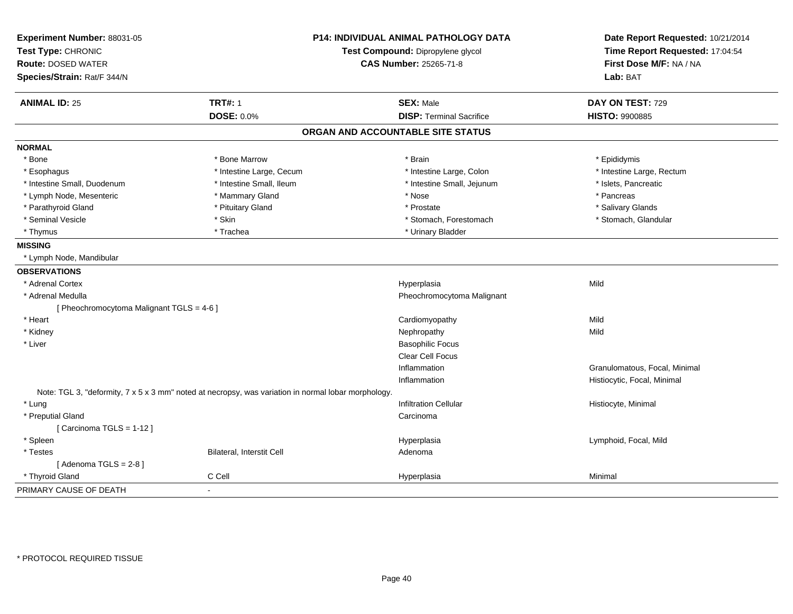| Experiment Number: 88031-05               |                                                                                                     | P14: INDIVIDUAL ANIMAL PATHOLOGY DATA | Date Report Requested: 10/21/2014<br>Time Report Requested: 17:04:54 |
|-------------------------------------------|-----------------------------------------------------------------------------------------------------|---------------------------------------|----------------------------------------------------------------------|
| Test Type: CHRONIC                        |                                                                                                     | Test Compound: Dipropylene glycol     |                                                                      |
| <b>Route: DOSED WATER</b>                 |                                                                                                     | <b>CAS Number: 25265-71-8</b>         | First Dose M/F: NA / NA                                              |
| Species/Strain: Rat/F 344/N               |                                                                                                     |                                       | Lab: BAT                                                             |
| <b>ANIMAL ID: 25</b>                      | <b>TRT#: 1</b>                                                                                      | <b>SEX: Male</b>                      | DAY ON TEST: 729                                                     |
|                                           | <b>DOSE: 0.0%</b>                                                                                   | <b>DISP: Terminal Sacrifice</b>       | <b>HISTO: 9900885</b>                                                |
|                                           |                                                                                                     | ORGAN AND ACCOUNTABLE SITE STATUS     |                                                                      |
| <b>NORMAL</b>                             |                                                                                                     |                                       |                                                                      |
| * Bone                                    | * Bone Marrow                                                                                       | * Brain                               | * Epididymis                                                         |
| * Esophagus                               | * Intestine Large, Cecum                                                                            | * Intestine Large, Colon              | * Intestine Large, Rectum                                            |
| * Intestine Small, Duodenum               | * Intestine Small, Ileum                                                                            | * Intestine Small, Jejunum            | * Islets, Pancreatic                                                 |
| * Lymph Node, Mesenteric                  | * Mammary Gland                                                                                     | * Nose                                | * Pancreas                                                           |
| * Parathyroid Gland                       | * Pituitary Gland                                                                                   | * Prostate                            | * Salivary Glands                                                    |
| * Seminal Vesicle                         | * Skin                                                                                              | * Stomach, Forestomach                | * Stomach, Glandular                                                 |
| * Thymus                                  | * Trachea                                                                                           | * Urinary Bladder                     |                                                                      |
| <b>MISSING</b>                            |                                                                                                     |                                       |                                                                      |
| * Lymph Node, Mandibular                  |                                                                                                     |                                       |                                                                      |
| <b>OBSERVATIONS</b>                       |                                                                                                     |                                       |                                                                      |
| * Adrenal Cortex                          |                                                                                                     | Hyperplasia                           | Mild                                                                 |
| * Adrenal Medulla                         |                                                                                                     | Pheochromocytoma Malignant            |                                                                      |
| [ Pheochromocytoma Malignant TGLS = 4-6 ] |                                                                                                     |                                       |                                                                      |
| * Heart                                   |                                                                                                     | Cardiomyopathy                        | Mild                                                                 |
| * Kidney                                  |                                                                                                     | Nephropathy                           | Mild                                                                 |
| * Liver                                   |                                                                                                     | <b>Basophilic Focus</b>               |                                                                      |
|                                           |                                                                                                     | Clear Cell Focus                      |                                                                      |
|                                           |                                                                                                     | Inflammation                          | Granulomatous, Focal, Minimal                                        |
|                                           |                                                                                                     | Inflammation                          | Histiocytic, Focal, Minimal                                          |
|                                           | Note: TGL 3, "deformity, 7 x 5 x 3 mm" noted at necropsy, was variation in normal lobar morphology. |                                       |                                                                      |
| * Lung                                    |                                                                                                     | <b>Infiltration Cellular</b>          | Histiocyte, Minimal                                                  |
| * Preputial Gland                         |                                                                                                     | Carcinoma                             |                                                                      |
| [Carcinoma TGLS = 1-12]                   |                                                                                                     |                                       |                                                                      |
| * Spleen                                  |                                                                                                     | Hyperplasia                           | Lymphoid, Focal, Mild                                                |
| * Testes                                  | Bilateral, Interstit Cell                                                                           | Adenoma                               |                                                                      |
| [Adenoma TGLS = $2-8$ ]                   |                                                                                                     |                                       |                                                                      |
| * Thyroid Gland                           | C Cell                                                                                              | Hyperplasia                           | Minimal                                                              |
| PRIMARY CAUSE OF DEATH                    | $\sim$                                                                                              |                                       |                                                                      |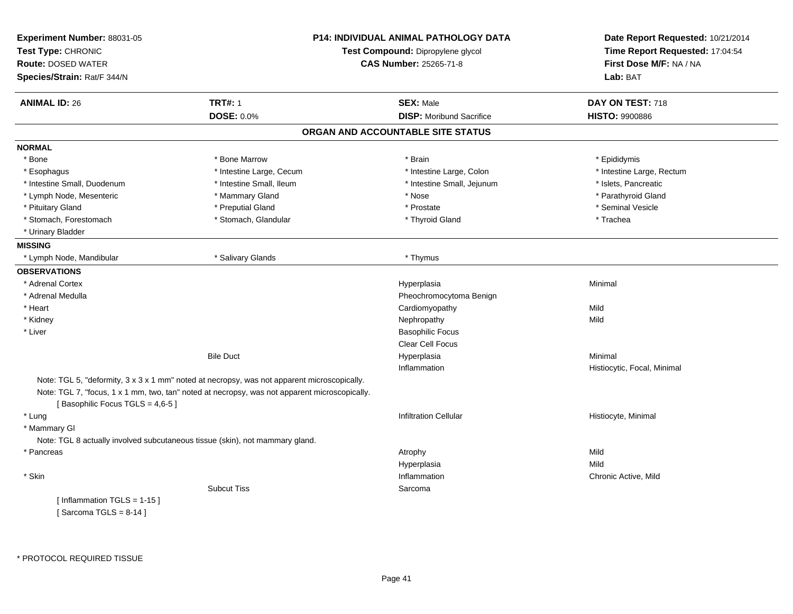| Experiment Number: 88031-05<br>Test Type: CHRONIC<br><b>Route: DOSED WATER</b> |                                                                                                                                                                                              | <b>P14: INDIVIDUAL ANIMAL PATHOLOGY DATA</b><br>Test Compound: Dipropylene glycol<br><b>CAS Number: 25265-71-8</b> | Date Report Requested: 10/21/2014<br>Time Report Requested: 17:04:54<br>First Dose M/F: NA / NA<br>Lab: BAT |
|--------------------------------------------------------------------------------|----------------------------------------------------------------------------------------------------------------------------------------------------------------------------------------------|--------------------------------------------------------------------------------------------------------------------|-------------------------------------------------------------------------------------------------------------|
| Species/Strain: Rat/F 344/N                                                    |                                                                                                                                                                                              |                                                                                                                    |                                                                                                             |
|                                                                                |                                                                                                                                                                                              |                                                                                                                    |                                                                                                             |
| <b>ANIMAL ID: 26</b>                                                           | <b>TRT#: 1</b>                                                                                                                                                                               | <b>SEX: Male</b>                                                                                                   | DAY ON TEST: 718                                                                                            |
|                                                                                | <b>DOSE: 0.0%</b>                                                                                                                                                                            | <b>DISP: Moribund Sacrifice</b>                                                                                    | <b>HISTO: 9900886</b>                                                                                       |
|                                                                                |                                                                                                                                                                                              | ORGAN AND ACCOUNTABLE SITE STATUS                                                                                  |                                                                                                             |
| <b>NORMAL</b>                                                                  |                                                                                                                                                                                              |                                                                                                                    |                                                                                                             |
| * Bone                                                                         | * Bone Marrow                                                                                                                                                                                | * Brain                                                                                                            | * Epididymis                                                                                                |
| * Esophagus                                                                    | * Intestine Large, Cecum                                                                                                                                                                     | * Intestine Large, Colon                                                                                           | * Intestine Large, Rectum                                                                                   |
| * Intestine Small, Duodenum                                                    | * Intestine Small, Ileum                                                                                                                                                                     | * Intestine Small, Jejunum                                                                                         | * Islets, Pancreatic                                                                                        |
| * Lymph Node, Mesenteric                                                       | * Mammary Gland                                                                                                                                                                              | * Nose                                                                                                             | * Parathyroid Gland                                                                                         |
| * Pituitary Gland                                                              | * Preputial Gland                                                                                                                                                                            | * Prostate                                                                                                         | * Seminal Vesicle                                                                                           |
| * Stomach, Forestomach                                                         | * Stomach, Glandular                                                                                                                                                                         | * Thyroid Gland                                                                                                    | * Trachea                                                                                                   |
| * Urinary Bladder                                                              |                                                                                                                                                                                              |                                                                                                                    |                                                                                                             |
| <b>MISSING</b>                                                                 |                                                                                                                                                                                              |                                                                                                                    |                                                                                                             |
| * Lymph Node, Mandibular                                                       | * Salivary Glands                                                                                                                                                                            | * Thymus                                                                                                           |                                                                                                             |
| <b>OBSERVATIONS</b>                                                            |                                                                                                                                                                                              |                                                                                                                    |                                                                                                             |
| * Adrenal Cortex                                                               |                                                                                                                                                                                              | Hyperplasia                                                                                                        | Minimal                                                                                                     |
| * Adrenal Medulla                                                              |                                                                                                                                                                                              | Pheochromocytoma Benign                                                                                            |                                                                                                             |
| * Heart                                                                        |                                                                                                                                                                                              | Cardiomyopathy                                                                                                     | Mild                                                                                                        |
| * Kidney                                                                       |                                                                                                                                                                                              | Nephropathy                                                                                                        | Mild                                                                                                        |
| * Liver                                                                        |                                                                                                                                                                                              | <b>Basophilic Focus</b>                                                                                            |                                                                                                             |
|                                                                                |                                                                                                                                                                                              | Clear Cell Focus                                                                                                   |                                                                                                             |
|                                                                                | <b>Bile Duct</b>                                                                                                                                                                             | Hyperplasia                                                                                                        | Minimal                                                                                                     |
|                                                                                |                                                                                                                                                                                              | Inflammation                                                                                                       | Histiocytic, Focal, Minimal                                                                                 |
|                                                                                | Note: TGL 5, "deformity, 3 x 3 x 1 mm" noted at necropsy, was not apparent microscopically.<br>Note: TGL 7, "focus, 1 x 1 mm, two, tan" noted at necropsy, was not apparent microscopically. |                                                                                                                    |                                                                                                             |
| [Basophilic Focus TGLS = 4,6-5]                                                |                                                                                                                                                                                              |                                                                                                                    |                                                                                                             |
| * Lung                                                                         |                                                                                                                                                                                              | <b>Infiltration Cellular</b>                                                                                       | Histiocyte, Minimal                                                                                         |
| * Mammary GI                                                                   |                                                                                                                                                                                              |                                                                                                                    |                                                                                                             |
|                                                                                | Note: TGL 8 actually involved subcutaneous tissue (skin), not mammary gland.                                                                                                                 |                                                                                                                    |                                                                                                             |
| * Pancreas                                                                     |                                                                                                                                                                                              | Atrophy                                                                                                            | Mild                                                                                                        |
|                                                                                |                                                                                                                                                                                              | Hyperplasia                                                                                                        | Mild                                                                                                        |
| * Skin                                                                         |                                                                                                                                                                                              | Inflammation                                                                                                       | Chronic Active, Mild                                                                                        |
|                                                                                | <b>Subcut Tiss</b>                                                                                                                                                                           | Sarcoma                                                                                                            |                                                                                                             |
| [Inflammation TGLS = 1-15]                                                     |                                                                                                                                                                                              |                                                                                                                    |                                                                                                             |
| [Sarcoma TGLS = $8-14$ ]                                                       |                                                                                                                                                                                              |                                                                                                                    |                                                                                                             |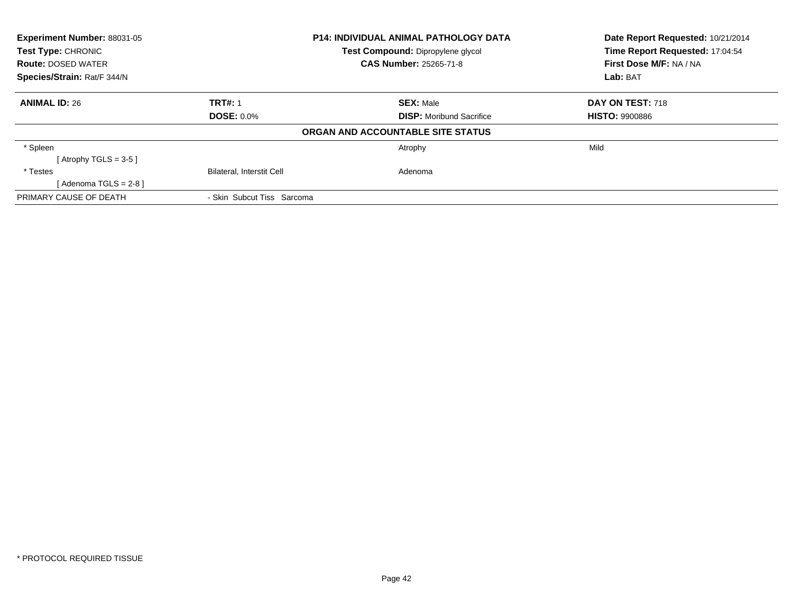| Experiment Number: 88031-05<br>Test Type: CHRONIC |                                  | <b>P14: INDIVIDUAL ANIMAL PATHOLOGY DATA</b> | Date Report Requested: 10/21/2014<br>Time Report Requested: 17:04:54 |  |
|---------------------------------------------------|----------------------------------|----------------------------------------------|----------------------------------------------------------------------|--|
|                                                   |                                  | Test Compound: Dipropylene glycol            |                                                                      |  |
| <b>Route: DOSED WATER</b>                         |                                  | <b>CAS Number: 25265-71-8</b>                | First Dose M/F: NA / NA                                              |  |
| Species/Strain: Rat/F 344/N                       |                                  |                                              | Lab: BAT                                                             |  |
| <b>ANIMAL ID: 26</b>                              | <b>TRT#: 1</b>                   | <b>SEX: Male</b>                             | DAY ON TEST: 718                                                     |  |
|                                                   | <b>DOSE: 0.0%</b>                | <b>DISP:</b> Moribund Sacrifice              | <b>HISTO: 9900886</b>                                                |  |
|                                                   |                                  | ORGAN AND ACCOUNTABLE SITE STATUS            |                                                                      |  |
| * Spleen                                          |                                  | Atrophy                                      | Mild                                                                 |  |
| [Atrophy TGLS = $3-5$ ]                           |                                  |                                              |                                                                      |  |
| * Testes                                          | <b>Bilateral, Interstit Cell</b> | Adenoma                                      |                                                                      |  |
| [Adenoma TGLS = $2-8$ ]                           |                                  |                                              |                                                                      |  |
| PRIMARY CAUSE OF DEATH                            | - Skin Subcut Tiss Sarcoma       |                                              |                                                                      |  |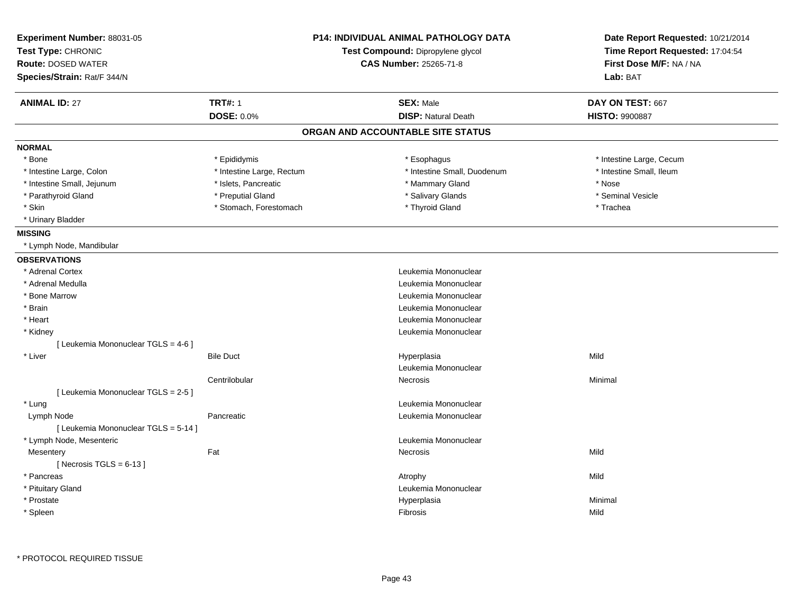| Experiment Number: 88031-05<br>Test Type: CHRONIC<br><b>Route: DOSED WATER</b><br>Species/Strain: Rat/F 344/N |                           | <b>P14: INDIVIDUAL ANIMAL PATHOLOGY DATA</b><br>Test Compound: Dipropylene glycol<br><b>CAS Number: 25265-71-8</b> | Date Report Requested: 10/21/2014<br>Time Report Requested: 17:04:54<br>First Dose M/F: NA / NA<br>Lab: BAT |  |
|---------------------------------------------------------------------------------------------------------------|---------------------------|--------------------------------------------------------------------------------------------------------------------|-------------------------------------------------------------------------------------------------------------|--|
| <b>ANIMAL ID: 27</b>                                                                                          | <b>TRT#: 1</b>            | <b>SEX: Male</b>                                                                                                   | DAY ON TEST: 667                                                                                            |  |
|                                                                                                               | <b>DOSE: 0.0%</b>         | <b>DISP: Natural Death</b>                                                                                         | <b>HISTO: 9900887</b>                                                                                       |  |
|                                                                                                               |                           | ORGAN AND ACCOUNTABLE SITE STATUS                                                                                  |                                                                                                             |  |
| <b>NORMAL</b>                                                                                                 |                           |                                                                                                                    |                                                                                                             |  |
| * Bone                                                                                                        | * Epididymis              | * Esophagus                                                                                                        | * Intestine Large, Cecum                                                                                    |  |
| * Intestine Large, Colon                                                                                      | * Intestine Large, Rectum | * Intestine Small, Duodenum                                                                                        | * Intestine Small, Ileum                                                                                    |  |
| * Intestine Small, Jejunum                                                                                    | * Islets, Pancreatic      | * Mammary Gland                                                                                                    | * Nose                                                                                                      |  |
| * Parathyroid Gland                                                                                           | * Preputial Gland         | * Salivary Glands                                                                                                  | * Seminal Vesicle                                                                                           |  |
| * Skin                                                                                                        | * Stomach, Forestomach    | * Thyroid Gland                                                                                                    | * Trachea                                                                                                   |  |
| * Urinary Bladder                                                                                             |                           |                                                                                                                    |                                                                                                             |  |
| <b>MISSING</b>                                                                                                |                           |                                                                                                                    |                                                                                                             |  |
| * Lymph Node, Mandibular                                                                                      |                           |                                                                                                                    |                                                                                                             |  |
| <b>OBSERVATIONS</b>                                                                                           |                           |                                                                                                                    |                                                                                                             |  |
| * Adrenal Cortex                                                                                              |                           | Leukemia Mononuclear                                                                                               |                                                                                                             |  |
| * Adrenal Medulla                                                                                             |                           | Leukemia Mononuclear                                                                                               |                                                                                                             |  |
| * Bone Marrow                                                                                                 |                           | Leukemia Mononuclear                                                                                               |                                                                                                             |  |
| * Brain                                                                                                       |                           | Leukemia Mononuclear                                                                                               |                                                                                                             |  |
| * Heart                                                                                                       |                           | Leukemia Mononuclear                                                                                               |                                                                                                             |  |
| * Kidney                                                                                                      |                           | Leukemia Mononuclear                                                                                               |                                                                                                             |  |
| [ Leukemia Mononuclear TGLS = 4-6 ]                                                                           |                           |                                                                                                                    |                                                                                                             |  |
| * Liver                                                                                                       | <b>Bile Duct</b>          | Hyperplasia                                                                                                        | Mild                                                                                                        |  |
|                                                                                                               |                           | Leukemia Mononuclear                                                                                               |                                                                                                             |  |
|                                                                                                               | Centrilobular             | Necrosis                                                                                                           | Minimal                                                                                                     |  |
| [Leukemia Mononuclear TGLS = 2-5]                                                                             |                           |                                                                                                                    |                                                                                                             |  |
| * Lung                                                                                                        |                           | Leukemia Mononuclear                                                                                               |                                                                                                             |  |
| Lymph Node                                                                                                    | Pancreatic                | Leukemia Mononuclear                                                                                               |                                                                                                             |  |
| [ Leukemia Mononuclear TGLS = 5-14 ]                                                                          |                           |                                                                                                                    |                                                                                                             |  |
| * Lymph Node, Mesenteric                                                                                      |                           | Leukemia Mononuclear                                                                                               |                                                                                                             |  |
| Mesentery                                                                                                     | Fat                       | Necrosis                                                                                                           | Mild                                                                                                        |  |
| [Necrosis TGLS = $6-13$ ]                                                                                     |                           |                                                                                                                    |                                                                                                             |  |
| * Pancreas                                                                                                    |                           | Atrophy                                                                                                            | Mild                                                                                                        |  |
| * Pituitary Gland                                                                                             |                           | Leukemia Mononuclear                                                                                               |                                                                                                             |  |
| * Prostate                                                                                                    |                           | Hyperplasia                                                                                                        | Minimal                                                                                                     |  |
| * Spleen                                                                                                      |                           | Fibrosis                                                                                                           | Mild                                                                                                        |  |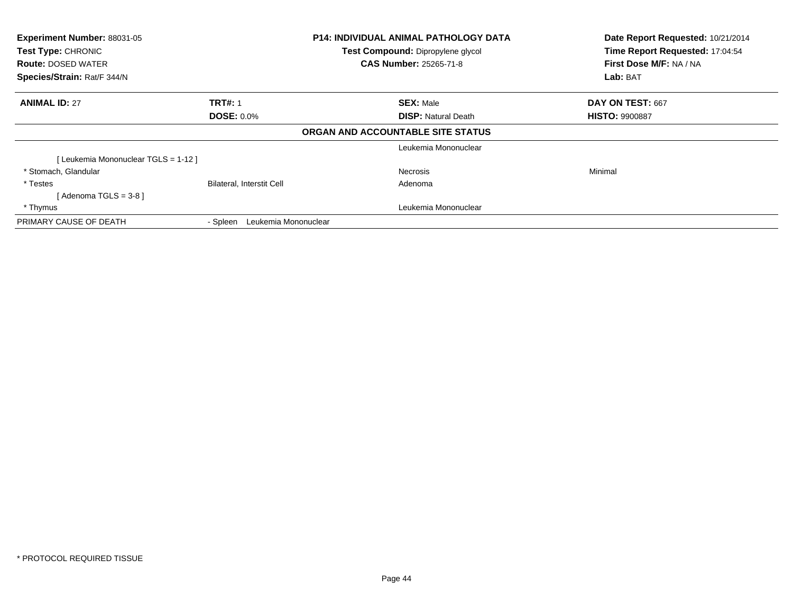| Experiment Number: 88031-05<br>Test Type: CHRONIC<br>Test Compound: Dipropylene glycol<br><b>CAS Number: 25265-71-8</b><br><b>Route: DOSED WATER</b><br>Species/Strain: Rat/F 344/N |                                  | <b>P14: INDIVIDUAL ANIMAL PATHOLOGY DATA</b> | Date Report Requested: 10/21/2014<br>Time Report Requested: 17:04:54<br>First Dose M/F: NA / NA<br>Lab: BAT |
|-------------------------------------------------------------------------------------------------------------------------------------------------------------------------------------|----------------------------------|----------------------------------------------|-------------------------------------------------------------------------------------------------------------|
| <b>ANIMAL ID: 27</b>                                                                                                                                                                | <b>TRT#: 1</b>                   | <b>SEX: Male</b>                             | DAY ON TEST: 667                                                                                            |
|                                                                                                                                                                                     | <b>DOSE: 0.0%</b>                | <b>DISP: Natural Death</b>                   | <b>HISTO: 9900887</b>                                                                                       |
|                                                                                                                                                                                     |                                  | ORGAN AND ACCOUNTABLE SITE STATUS            |                                                                                                             |
|                                                                                                                                                                                     |                                  | Leukemia Mononuclear                         |                                                                                                             |
| [Leukemia Mononuclear TGLS = 1-12]                                                                                                                                                  |                                  |                                              |                                                                                                             |
| * Stomach, Glandular                                                                                                                                                                |                                  | Necrosis                                     | Minimal                                                                                                     |
| * Testes                                                                                                                                                                            | <b>Bilateral, Interstit Cell</b> | Adenoma                                      |                                                                                                             |
| [Adenoma TGLS = $3-8$ ]                                                                                                                                                             |                                  |                                              |                                                                                                             |
| * Thymus                                                                                                                                                                            |                                  | Leukemia Mononuclear                         |                                                                                                             |
| PRIMARY CAUSE OF DEATH                                                                                                                                                              | Leukemia Mononuclear<br>- Spleen |                                              |                                                                                                             |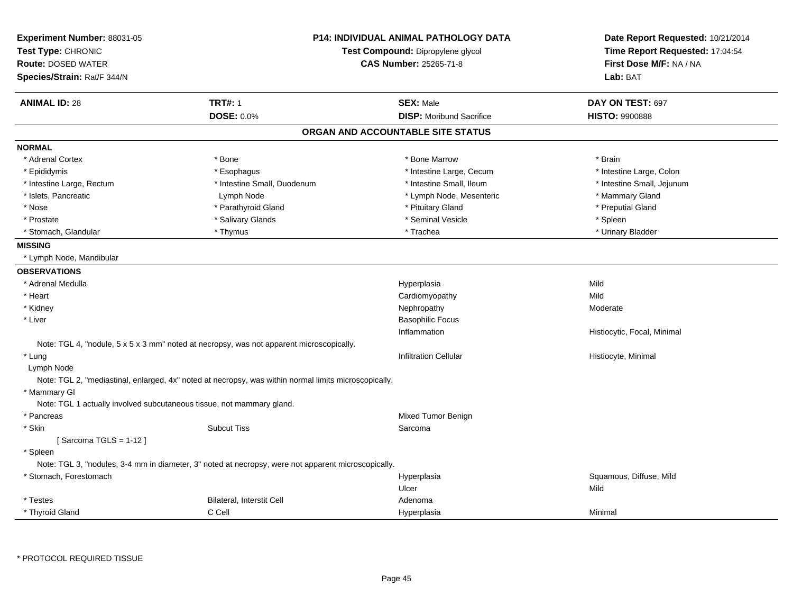| Experiment Number: 88031-05<br>Test Type: CHRONIC                     |                                                                                                       | <b>P14: INDIVIDUAL ANIMAL PATHOLOGY DATA</b><br>Test Compound: Dipropylene glycol | Date Report Requested: 10/21/2014<br>Time Report Requested: 17:04:54 |
|-----------------------------------------------------------------------|-------------------------------------------------------------------------------------------------------|-----------------------------------------------------------------------------------|----------------------------------------------------------------------|
| <b>Route: DOSED WATER</b>                                             | <b>CAS Number: 25265-71-8</b>                                                                         |                                                                                   | First Dose M/F: NA / NA                                              |
| Species/Strain: Rat/F 344/N                                           |                                                                                                       |                                                                                   | Lab: BAT                                                             |
|                                                                       |                                                                                                       |                                                                                   |                                                                      |
| <b>ANIMAL ID: 28</b>                                                  | <b>TRT#: 1</b>                                                                                        | <b>SEX: Male</b>                                                                  | DAY ON TEST: 697                                                     |
|                                                                       | DOSE: 0.0%                                                                                            | <b>DISP:</b> Moribund Sacrifice                                                   | <b>HISTO: 9900888</b>                                                |
|                                                                       |                                                                                                       | ORGAN AND ACCOUNTABLE SITE STATUS                                                 |                                                                      |
| <b>NORMAL</b>                                                         |                                                                                                       |                                                                                   |                                                                      |
| * Adrenal Cortex                                                      | * Bone                                                                                                | * Bone Marrow                                                                     | * Brain                                                              |
| * Epididymis                                                          | * Esophagus                                                                                           | * Intestine Large, Cecum                                                          | * Intestine Large, Colon                                             |
| * Intestine Large, Rectum                                             | * Intestine Small, Duodenum                                                                           | * Intestine Small, Ileum                                                          | * Intestine Small, Jejunum                                           |
| * Islets, Pancreatic                                                  | Lymph Node                                                                                            | * Lymph Node, Mesenteric                                                          | * Mammary Gland                                                      |
| * Nose                                                                | * Parathyroid Gland                                                                                   | * Pituitary Gland                                                                 | * Preputial Gland                                                    |
| * Prostate                                                            | * Salivary Glands                                                                                     | * Seminal Vesicle                                                                 | * Spleen                                                             |
| * Stomach, Glandular                                                  | * Thymus                                                                                              | * Trachea                                                                         | * Urinary Bladder                                                    |
| <b>MISSING</b>                                                        |                                                                                                       |                                                                                   |                                                                      |
| * Lymph Node, Mandibular                                              |                                                                                                       |                                                                                   |                                                                      |
| <b>OBSERVATIONS</b>                                                   |                                                                                                       |                                                                                   |                                                                      |
| * Adrenal Medulla                                                     |                                                                                                       | Hyperplasia                                                                       | Mild                                                                 |
| * Heart                                                               |                                                                                                       | Cardiomyopathy                                                                    | Mild                                                                 |
| * Kidney                                                              |                                                                                                       | Nephropathy                                                                       | Moderate                                                             |
| * Liver                                                               |                                                                                                       | <b>Basophilic Focus</b>                                                           |                                                                      |
|                                                                       |                                                                                                       | Inflammation                                                                      | Histiocytic, Focal, Minimal                                          |
|                                                                       | Note: TGL 4, "nodule, 5 x 5 x 3 mm" noted at necropsy, was not apparent microscopically.              |                                                                                   |                                                                      |
| * Lung                                                                |                                                                                                       | <b>Infiltration Cellular</b>                                                      | Histiocyte, Minimal                                                  |
| Lymph Node                                                            |                                                                                                       |                                                                                   |                                                                      |
|                                                                       | Note: TGL 2, "mediastinal, enlarged, 4x" noted at necropsy, was within normal limits microscopically. |                                                                                   |                                                                      |
| * Mammary Gl                                                          |                                                                                                       |                                                                                   |                                                                      |
| Note: TGL 1 actually involved subcutaneous tissue, not mammary gland. |                                                                                                       |                                                                                   |                                                                      |
| * Pancreas                                                            |                                                                                                       | Mixed Tumor Benign                                                                |                                                                      |
| * Skin                                                                | <b>Subcut Tiss</b>                                                                                    | Sarcoma                                                                           |                                                                      |
| [Sarcoma TGLS = $1-12$ ]                                              |                                                                                                       |                                                                                   |                                                                      |
| * Spleen                                                              |                                                                                                       |                                                                                   |                                                                      |
|                                                                       | Note: TGL 3, "nodules, 3-4 mm in diameter, 3" noted at necropsy, were not apparent microscopically.   |                                                                                   |                                                                      |
| * Stomach, Forestomach                                                |                                                                                                       | Hyperplasia                                                                       | Squamous, Diffuse, Mild                                              |
|                                                                       |                                                                                                       | Ulcer                                                                             | Mild                                                                 |
| * Testes                                                              | Bilateral, Interstit Cell                                                                             | Adenoma                                                                           |                                                                      |
| * Thyroid Gland                                                       | C Cell                                                                                                | Hyperplasia                                                                       | Minimal                                                              |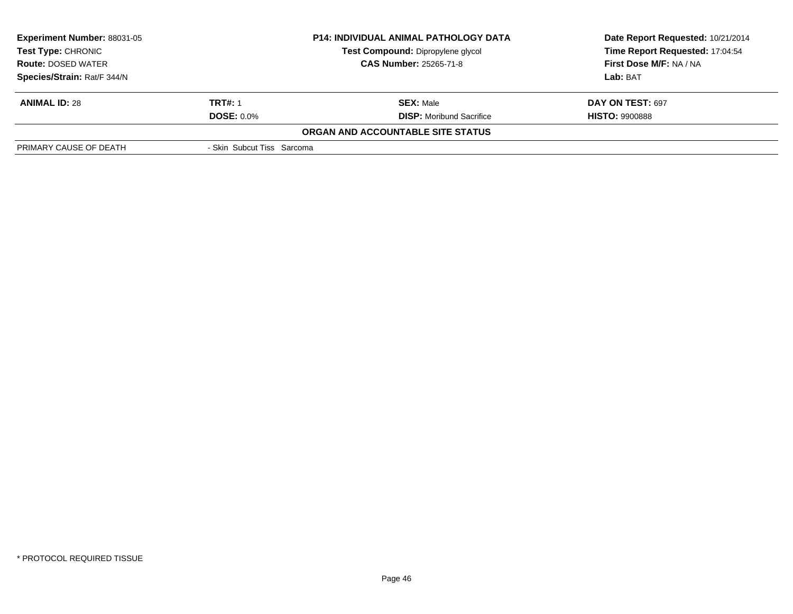| <b>Experiment Number: 88031-05</b><br><b>Test Type: CHRONIC</b><br><b>Route: DOSED WATER</b> |                            | <b>P14: INDIVIDUAL ANIMAL PATHOLOGY DATA</b><br>Test Compound: Dipropylene glycol<br><b>CAS Number: 25265-71-8</b> | Date Report Requested: 10/21/2014<br>Time Report Requested: 17:04:54<br>First Dose M/F: NA / NA |
|----------------------------------------------------------------------------------------------|----------------------------|--------------------------------------------------------------------------------------------------------------------|-------------------------------------------------------------------------------------------------|
| Species/Strain: Rat/F 344/N                                                                  |                            |                                                                                                                    | Lab: BAT                                                                                        |
| <b>ANIMAL ID: 28</b>                                                                         | <b>TRT#: 1</b>             | <b>SEX: Male</b>                                                                                                   | DAY ON TEST: 697                                                                                |
|                                                                                              | <b>DOSE: 0.0%</b>          | <b>DISP:</b> Moribund Sacrifice                                                                                    | <b>HISTO: 9900888</b>                                                                           |
|                                                                                              |                            | ORGAN AND ACCOUNTABLE SITE STATUS                                                                                  |                                                                                                 |
| PRIMARY CAUSE OF DEATH                                                                       | - Skin Subcut Tiss Sarcoma |                                                                                                                    |                                                                                                 |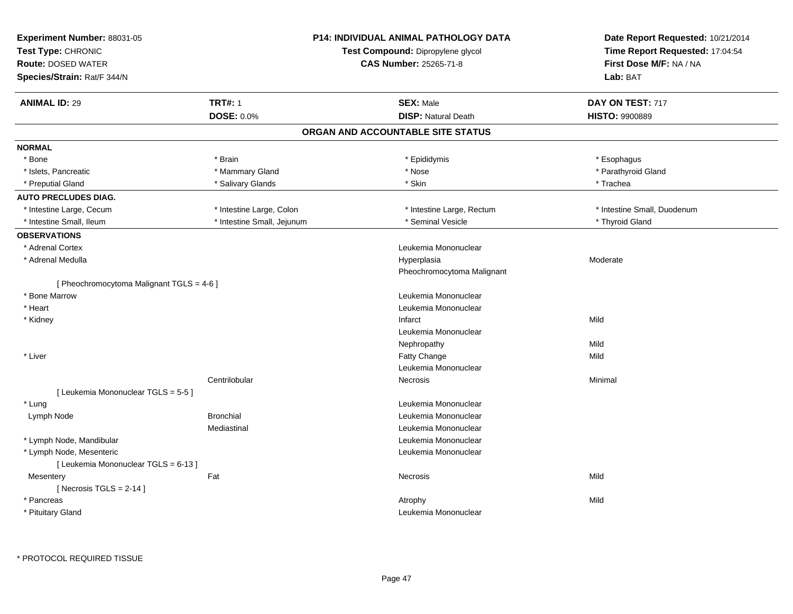| Experiment Number: 88031-05<br>Test Type: CHRONIC<br><b>Route: DOSED WATER</b><br>Species/Strain: Rat/F 344/N | <b>P14: INDIVIDUAL ANIMAL PATHOLOGY DATA</b><br>Test Compound: Dipropylene glycol<br><b>CAS Number: 25265-71-8</b> | Date Report Requested: 10/21/2014<br>Time Report Requested: 17:04:54<br>First Dose M/F: NA / NA<br>Lab: BAT |
|---------------------------------------------------------------------------------------------------------------|--------------------------------------------------------------------------------------------------------------------|-------------------------------------------------------------------------------------------------------------|
| <b>TRT#: 1</b><br><b>ANIMAL ID: 29</b>                                                                        | <b>SEX: Male</b>                                                                                                   | DAY ON TEST: 717                                                                                            |
| DOSE: 0.0%                                                                                                    | <b>DISP: Natural Death</b>                                                                                         | <b>HISTO: 9900889</b>                                                                                       |
|                                                                                                               | ORGAN AND ACCOUNTABLE SITE STATUS                                                                                  |                                                                                                             |
| <b>NORMAL</b>                                                                                                 |                                                                                                                    |                                                                                                             |
| * Bone<br>* Brain                                                                                             | * Epididymis                                                                                                       | * Esophagus                                                                                                 |
| * Mammary Gland<br>* Islets, Pancreatic                                                                       | $^{\star}$ Nose                                                                                                    | * Parathyroid Gland                                                                                         |
| * Preputial Gland<br>* Salivary Glands                                                                        | * Skin                                                                                                             | * Trachea                                                                                                   |
| <b>AUTO PRECLUDES DIAG.</b>                                                                                   |                                                                                                                    |                                                                                                             |
| * Intestine Large, Cecum<br>* Intestine Large, Colon                                                          | * Intestine Large, Rectum                                                                                          | * Intestine Small, Duodenum                                                                                 |
| * Intestine Small, Jejunum<br>* Intestine Small, Ileum                                                        | * Seminal Vesicle                                                                                                  | * Thyroid Gland                                                                                             |
| <b>OBSERVATIONS</b>                                                                                           |                                                                                                                    |                                                                                                             |
| * Adrenal Cortex                                                                                              | Leukemia Mononuclear                                                                                               |                                                                                                             |
| * Adrenal Medulla                                                                                             | Hyperplasia                                                                                                        | Moderate                                                                                                    |
|                                                                                                               | Pheochromocytoma Malignant                                                                                         |                                                                                                             |
| [ Pheochromocytoma Malignant TGLS = 4-6 ]                                                                     |                                                                                                                    |                                                                                                             |
| * Bone Marrow                                                                                                 | Leukemia Mononuclear                                                                                               |                                                                                                             |
| * Heart                                                                                                       | Leukemia Mononuclear                                                                                               |                                                                                                             |
| * Kidney                                                                                                      | Infarct                                                                                                            | Mild                                                                                                        |
|                                                                                                               | Leukemia Mononuclear                                                                                               |                                                                                                             |
|                                                                                                               | Nephropathy                                                                                                        | Mild                                                                                                        |
| * Liver                                                                                                       | Fatty Change                                                                                                       | Mild                                                                                                        |
|                                                                                                               | Leukemia Mononuclear                                                                                               |                                                                                                             |
| Centrilobular                                                                                                 | Necrosis                                                                                                           | Minimal                                                                                                     |
| [ Leukemia Mononuclear TGLS = 5-5 ]                                                                           |                                                                                                                    |                                                                                                             |
| * Lung                                                                                                        | Leukemia Mononuclear                                                                                               |                                                                                                             |
| Lymph Node<br><b>Bronchial</b>                                                                                | Leukemia Mononuclear                                                                                               |                                                                                                             |
| Mediastinal                                                                                                   | Leukemia Mononuclear                                                                                               |                                                                                                             |
| * Lymph Node, Mandibular                                                                                      | Leukemia Mononuclear                                                                                               |                                                                                                             |
| * Lymph Node, Mesenteric                                                                                      | Leukemia Mononuclear                                                                                               |                                                                                                             |
| [ Leukemia Mononuclear TGLS = 6-13 ]                                                                          |                                                                                                                    |                                                                                                             |
| Fat<br>Mesentery                                                                                              | Necrosis                                                                                                           | Mild                                                                                                        |
| [ Necrosis TGLS = $2-14$ ]                                                                                    |                                                                                                                    |                                                                                                             |
| * Pancreas                                                                                                    |                                                                                                                    |                                                                                                             |
|                                                                                                               | Atrophy                                                                                                            | Mild                                                                                                        |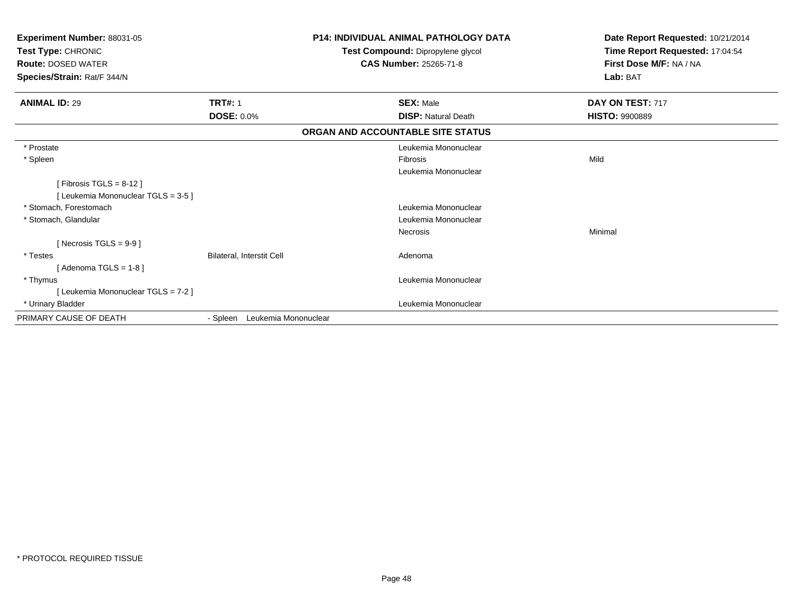| Experiment Number: 88031-05<br>Test Type: CHRONIC<br><b>Route: DOSED WATER</b><br>Species/Strain: Rat/F 344/N |                                  | <b>P14: INDIVIDUAL ANIMAL PATHOLOGY DATA</b><br>Test Compound: Dipropylene glycol<br><b>CAS Number: 25265-71-8</b> | Date Report Requested: 10/21/2014<br>Time Report Requested: 17:04:54<br>First Dose M/F: NA / NA<br>Lab: BAT |
|---------------------------------------------------------------------------------------------------------------|----------------------------------|--------------------------------------------------------------------------------------------------------------------|-------------------------------------------------------------------------------------------------------------|
| <b>ANIMAL ID: 29</b>                                                                                          | <b>TRT#: 1</b>                   | <b>SEX: Male</b>                                                                                                   | DAY ON TEST: 717                                                                                            |
|                                                                                                               | <b>DOSE: 0.0%</b>                | <b>DISP: Natural Death</b>                                                                                         | <b>HISTO: 9900889</b>                                                                                       |
|                                                                                                               |                                  | ORGAN AND ACCOUNTABLE SITE STATUS                                                                                  |                                                                                                             |
| * Prostate                                                                                                    |                                  | Leukemia Mononuclear                                                                                               |                                                                                                             |
| * Spleen                                                                                                      |                                  | <b>Fibrosis</b>                                                                                                    | Mild                                                                                                        |
|                                                                                                               |                                  | Leukemia Mononuclear                                                                                               |                                                                                                             |
| [Fibrosis TGLS = $8-12$ ]                                                                                     |                                  |                                                                                                                    |                                                                                                             |
| [Leukemia Mononuclear TGLS = 3-5]                                                                             |                                  |                                                                                                                    |                                                                                                             |
| * Stomach, Forestomach                                                                                        |                                  | Leukemia Mononuclear                                                                                               |                                                                                                             |
| * Stomach, Glandular                                                                                          |                                  | Leukemia Mononuclear                                                                                               |                                                                                                             |
|                                                                                                               |                                  | <b>Necrosis</b>                                                                                                    | Minimal                                                                                                     |
| [ Necrosis TGLS = $9-9$ ]                                                                                     |                                  |                                                                                                                    |                                                                                                             |
| * Testes                                                                                                      | Bilateral, Interstit Cell        | Adenoma                                                                                                            |                                                                                                             |
| [Adenoma TGLS = $1-8$ ]                                                                                       |                                  |                                                                                                                    |                                                                                                             |
| * Thymus                                                                                                      |                                  | Leukemia Mononuclear                                                                                               |                                                                                                             |
| [Leukemia Mononuclear TGLS = 7-2]                                                                             |                                  |                                                                                                                    |                                                                                                             |
| * Urinary Bladder                                                                                             |                                  | Leukemia Mononuclear                                                                                               |                                                                                                             |
| PRIMARY CAUSE OF DEATH                                                                                        | Leukemia Mononuclear<br>- Spleen |                                                                                                                    |                                                                                                             |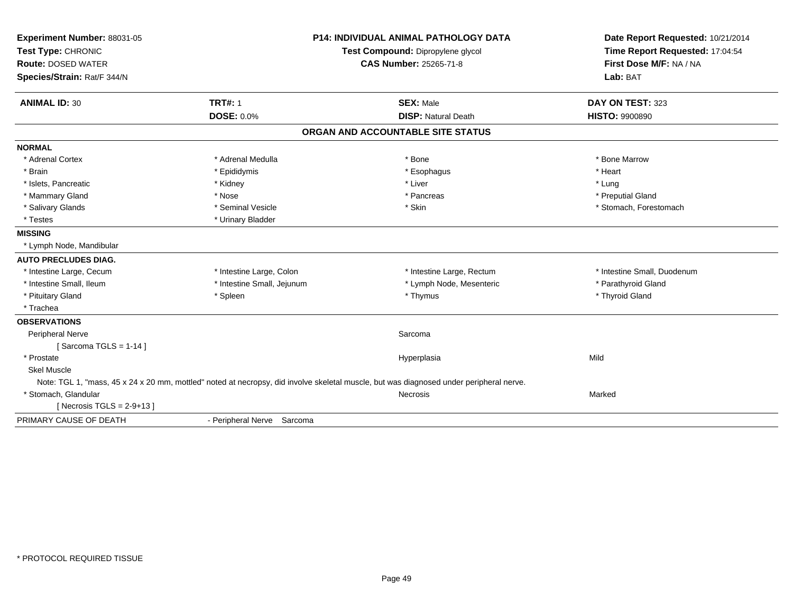| Experiment Number: 88031-05<br>Test Type: CHRONIC        |                            | <b>P14: INDIVIDUAL ANIMAL PATHOLOGY DATA</b><br>Test Compound: Dipropylene glycol                                                       | Date Report Requested: 10/21/2014<br>Time Report Requested: 17:04:54 |
|----------------------------------------------------------|----------------------------|-----------------------------------------------------------------------------------------------------------------------------------------|----------------------------------------------------------------------|
| <b>Route: DOSED WATER</b><br>Species/Strain: Rat/F 344/N |                            | <b>CAS Number: 25265-71-8</b>                                                                                                           | First Dose M/F: NA / NA<br>Lab: BAT                                  |
|                                                          |                            |                                                                                                                                         |                                                                      |
| <b>ANIMAL ID: 30</b>                                     | <b>TRT#: 1</b>             | <b>SEX: Male</b>                                                                                                                        | DAY ON TEST: 323                                                     |
|                                                          | <b>DOSE: 0.0%</b>          | <b>DISP: Natural Death</b>                                                                                                              | <b>HISTO: 9900890</b>                                                |
|                                                          |                            | ORGAN AND ACCOUNTABLE SITE STATUS                                                                                                       |                                                                      |
| <b>NORMAL</b>                                            |                            |                                                                                                                                         |                                                                      |
| * Adrenal Cortex                                         | * Adrenal Medulla          | * Bone                                                                                                                                  | * Bone Marrow                                                        |
| * Brain                                                  | * Epididymis               | * Esophagus                                                                                                                             | * Heart                                                              |
| * Islets, Pancreatic                                     | * Kidney                   | * Liver                                                                                                                                 | * Lung                                                               |
| * Mammary Gland                                          | * Nose                     | * Pancreas                                                                                                                              | * Preputial Gland                                                    |
| * Salivary Glands                                        | * Seminal Vesicle          | * Skin                                                                                                                                  | * Stomach, Forestomach                                               |
| * Testes                                                 | * Urinary Bladder          |                                                                                                                                         |                                                                      |
| <b>MISSING</b>                                           |                            |                                                                                                                                         |                                                                      |
| * Lymph Node, Mandibular                                 |                            |                                                                                                                                         |                                                                      |
| <b>AUTO PRECLUDES DIAG.</b>                              |                            |                                                                                                                                         |                                                                      |
| * Intestine Large, Cecum                                 | * Intestine Large, Colon   | * Intestine Large, Rectum                                                                                                               | * Intestine Small, Duodenum                                          |
| * Intestine Small. Ileum                                 | * Intestine Small, Jejunum | * Lymph Node, Mesenteric                                                                                                                | * Parathyroid Gland                                                  |
| * Pituitary Gland                                        | * Spleen                   | * Thymus                                                                                                                                | * Thyroid Gland                                                      |
| * Trachea                                                |                            |                                                                                                                                         |                                                                      |
| <b>OBSERVATIONS</b>                                      |                            |                                                                                                                                         |                                                                      |
| Peripheral Nerve                                         |                            | Sarcoma                                                                                                                                 |                                                                      |
| [Sarcoma TGLS = $1-14$ ]                                 |                            |                                                                                                                                         |                                                                      |
| * Prostate                                               |                            | Hyperplasia                                                                                                                             | Mild                                                                 |
| <b>Skel Muscle</b>                                       |                            |                                                                                                                                         |                                                                      |
|                                                          |                            | Note: TGL 1, "mass, 45 x 24 x 20 mm, mottled" noted at necropsy, did involve skeletal muscle, but was diagnosed under peripheral nerve. |                                                                      |
| * Stomach, Glandular                                     |                            | Necrosis                                                                                                                                | Marked                                                               |
| [Necrosis TGLS = $2-9+13$ ]                              |                            |                                                                                                                                         |                                                                      |
| PRIMARY CAUSE OF DEATH                                   | - Peripheral Nerve Sarcoma |                                                                                                                                         |                                                                      |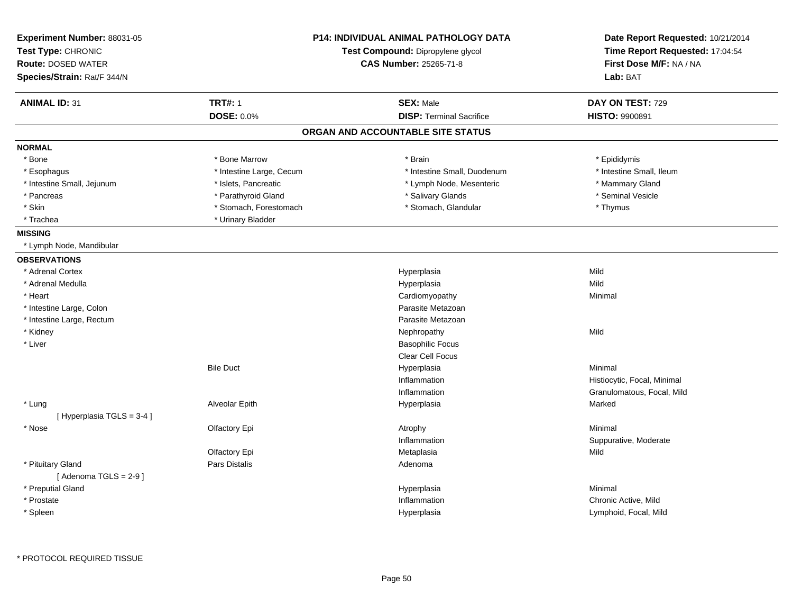| Experiment Number: 88031-05<br>Test Type: CHRONIC |                          | <b>P14: INDIVIDUAL ANIMAL PATHOLOGY DATA</b><br>Test Compound: Dipropylene glycol | Date Report Requested: 10/21/2014<br>Time Report Requested: 17:04:54 |
|---------------------------------------------------|--------------------------|-----------------------------------------------------------------------------------|----------------------------------------------------------------------|
| <b>Route: DOSED WATER</b>                         |                          | CAS Number: 25265-71-8                                                            | First Dose M/F: NA / NA                                              |
| Species/Strain: Rat/F 344/N                       |                          |                                                                                   | Lab: BAT                                                             |
|                                                   |                          |                                                                                   |                                                                      |
| <b>ANIMAL ID: 31</b>                              | <b>TRT#: 1</b>           | <b>SEX: Male</b>                                                                  | DAY ON TEST: 729                                                     |
|                                                   | <b>DOSE: 0.0%</b>        | <b>DISP: Terminal Sacrifice</b>                                                   | HISTO: 9900891                                                       |
|                                                   |                          | ORGAN AND ACCOUNTABLE SITE STATUS                                                 |                                                                      |
| <b>NORMAL</b>                                     |                          |                                                                                   |                                                                      |
| * Bone                                            | * Bone Marrow            | * Brain                                                                           | * Epididymis                                                         |
| * Esophagus                                       | * Intestine Large, Cecum | * Intestine Small, Duodenum                                                       | * Intestine Small, Ileum                                             |
| * Intestine Small, Jejunum                        | * Islets, Pancreatic     | * Lymph Node, Mesenteric                                                          | * Mammary Gland                                                      |
| * Pancreas                                        | * Parathyroid Gland      | * Salivary Glands                                                                 | * Seminal Vesicle                                                    |
| * Skin                                            | * Stomach, Forestomach   | * Stomach, Glandular                                                              | * Thymus                                                             |
| * Trachea                                         | * Urinary Bladder        |                                                                                   |                                                                      |
| <b>MISSING</b>                                    |                          |                                                                                   |                                                                      |
| * Lymph Node, Mandibular                          |                          |                                                                                   |                                                                      |
| <b>OBSERVATIONS</b>                               |                          |                                                                                   |                                                                      |
| * Adrenal Cortex                                  |                          | Hyperplasia                                                                       | Mild                                                                 |
| * Adrenal Medulla                                 |                          | Hyperplasia                                                                       | Mild                                                                 |
| * Heart                                           |                          | Cardiomyopathy                                                                    | Minimal                                                              |
| * Intestine Large, Colon                          |                          | Parasite Metazoan                                                                 |                                                                      |
| * Intestine Large, Rectum                         |                          | Parasite Metazoan                                                                 |                                                                      |
| * Kidney                                          |                          | Nephropathy                                                                       | Mild                                                                 |
| * Liver                                           |                          | <b>Basophilic Focus</b>                                                           |                                                                      |
|                                                   |                          | Clear Cell Focus                                                                  |                                                                      |
|                                                   | <b>Bile Duct</b>         | Hyperplasia                                                                       | Minimal                                                              |
|                                                   |                          | Inflammation                                                                      | Histiocytic, Focal, Minimal                                          |
|                                                   |                          | Inflammation                                                                      | Granulomatous, Focal, Mild                                           |
| * Lung                                            | Alveolar Epith           | Hyperplasia                                                                       | Marked                                                               |
| [Hyperplasia TGLS = 3-4]                          |                          |                                                                                   |                                                                      |
| * Nose                                            | Olfactory Epi            | Atrophy                                                                           | Minimal                                                              |
|                                                   |                          | Inflammation                                                                      | Suppurative, Moderate                                                |
|                                                   | Olfactory Epi            | Metaplasia                                                                        | Mild                                                                 |
| * Pituitary Gland                                 | Pars Distalis            | Adenoma                                                                           |                                                                      |
| [Adenoma TGLS = $2-9$ ]                           |                          |                                                                                   |                                                                      |
| * Preputial Gland                                 |                          | Hyperplasia                                                                       | Minimal                                                              |
| * Prostate                                        |                          | Inflammation                                                                      | Chronic Active, Mild                                                 |
| * Spleen                                          |                          | Hyperplasia                                                                       | Lymphoid, Focal, Mild                                                |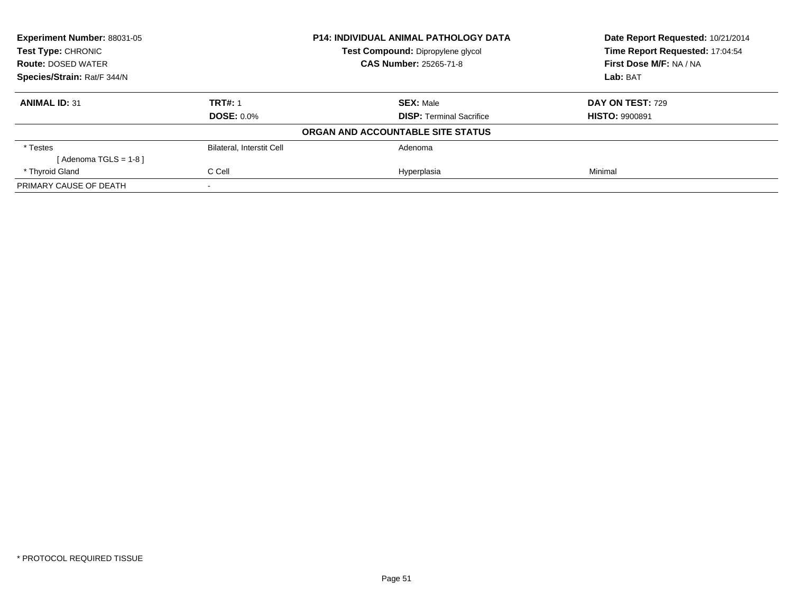| Experiment Number: 88031-05<br><b>P14: INDIVIDUAL ANIMAL PATHOLOGY DATA</b><br><b>Test Type: CHRONIC</b><br>Test Compound: Dipropylene glycol |                               |                                   | Date Report Requested: 10/21/2014 |
|-----------------------------------------------------------------------------------------------------------------------------------------------|-------------------------------|-----------------------------------|-----------------------------------|
|                                                                                                                                               |                               | Time Report Requested: 17:04:54   |                                   |
| <b>Route: DOSED WATER</b>                                                                                                                     | <b>CAS Number: 25265-71-8</b> |                                   | First Dose M/F: NA / NA           |
| Species/Strain: Rat/F 344/N                                                                                                                   |                               |                                   | Lab: BAT                          |
| <b>ANIMAL ID: 31</b>                                                                                                                          | <b>TRT#: 1</b>                | <b>SEX: Male</b>                  | DAY ON TEST: 729                  |
|                                                                                                                                               | <b>DOSE: 0.0%</b>             | <b>DISP:</b> Terminal Sacrifice   | <b>HISTO: 9900891</b>             |
|                                                                                                                                               |                               | ORGAN AND ACCOUNTABLE SITE STATUS |                                   |
| * Testes                                                                                                                                      | Bilateral, Interstit Cell     | Adenoma                           |                                   |
| [Adenoma TGLS = $1-8$ ]                                                                                                                       |                               |                                   |                                   |
| * Thyroid Gland                                                                                                                               | C Cell                        | Hyperplasia                       | Minimal                           |
| PRIMARY CAUSE OF DEATH                                                                                                                        |                               |                                   |                                   |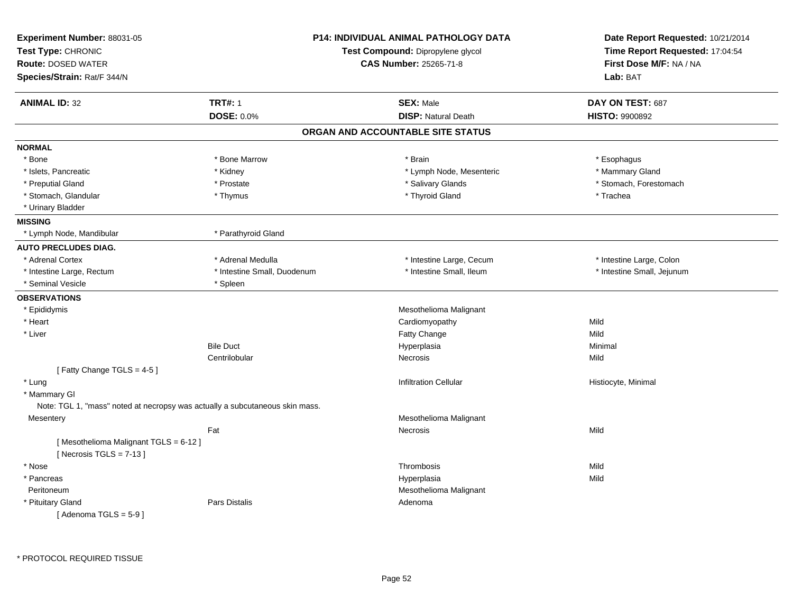| Experiment Number: 88031-05<br>Test Type: CHRONIC<br><b>Route: DOSED WATER</b><br>Species/Strain: Rat/F 344/N |                                                                              | <b>P14: INDIVIDUAL ANIMAL PATHOLOGY DATA</b><br>Test Compound: Dipropylene glycol<br><b>CAS Number: 25265-71-8</b> | Date Report Requested: 10/21/2014<br>Time Report Requested: 17:04:54<br>First Dose M/F: NA / NA<br>Lab: BAT |
|---------------------------------------------------------------------------------------------------------------|------------------------------------------------------------------------------|--------------------------------------------------------------------------------------------------------------------|-------------------------------------------------------------------------------------------------------------|
| <b>ANIMAL ID: 32</b>                                                                                          | <b>TRT#: 1</b>                                                               | <b>SEX: Male</b>                                                                                                   | DAY ON TEST: 687                                                                                            |
|                                                                                                               | DOSE: 0.0%                                                                   | <b>DISP: Natural Death</b>                                                                                         | <b>HISTO: 9900892</b>                                                                                       |
|                                                                                                               |                                                                              | ORGAN AND ACCOUNTABLE SITE STATUS                                                                                  |                                                                                                             |
| <b>NORMAL</b>                                                                                                 |                                                                              |                                                                                                                    |                                                                                                             |
| $*$ Bone                                                                                                      | * Bone Marrow                                                                | * Brain                                                                                                            | * Esophagus                                                                                                 |
| * Islets, Pancreatic                                                                                          | * Kidney                                                                     | * Lymph Node, Mesenteric                                                                                           | * Mammary Gland                                                                                             |
| * Preputial Gland                                                                                             | * Prostate                                                                   | * Salivary Glands                                                                                                  | * Stomach, Forestomach                                                                                      |
| * Stomach, Glandular                                                                                          | * Thymus                                                                     | * Thyroid Gland                                                                                                    | * Trachea                                                                                                   |
| * Urinary Bladder                                                                                             |                                                                              |                                                                                                                    |                                                                                                             |
| <b>MISSING</b>                                                                                                |                                                                              |                                                                                                                    |                                                                                                             |
| * Lymph Node, Mandibular                                                                                      | * Parathyroid Gland                                                          |                                                                                                                    |                                                                                                             |
| <b>AUTO PRECLUDES DIAG.</b>                                                                                   |                                                                              |                                                                                                                    |                                                                                                             |
| * Adrenal Cortex                                                                                              | * Adrenal Medulla                                                            | * Intestine Large, Cecum                                                                                           | * Intestine Large, Colon                                                                                    |
| * Intestine Large, Rectum                                                                                     | * Intestine Small, Duodenum                                                  | * Intestine Small, Ileum                                                                                           | * Intestine Small, Jejunum                                                                                  |
| * Seminal Vesicle                                                                                             | * Spleen                                                                     |                                                                                                                    |                                                                                                             |
| <b>OBSERVATIONS</b>                                                                                           |                                                                              |                                                                                                                    |                                                                                                             |
| * Epididymis                                                                                                  |                                                                              | Mesothelioma Malignant                                                                                             |                                                                                                             |
| * Heart                                                                                                       |                                                                              | Cardiomyopathy                                                                                                     | Mild                                                                                                        |
| * Liver                                                                                                       |                                                                              | Fatty Change                                                                                                       | Mild                                                                                                        |
|                                                                                                               | <b>Bile Duct</b>                                                             | Hyperplasia                                                                                                        | Minimal                                                                                                     |
|                                                                                                               | Centrilobular                                                                | Necrosis                                                                                                           | Mild                                                                                                        |
| [Fatty Change TGLS = 4-5]                                                                                     |                                                                              |                                                                                                                    |                                                                                                             |
| * Lung                                                                                                        |                                                                              | <b>Infiltration Cellular</b>                                                                                       | Histiocyte, Minimal                                                                                         |
| * Mammary GI                                                                                                  |                                                                              |                                                                                                                    |                                                                                                             |
|                                                                                                               | Note: TGL 1, "mass" noted at necropsy was actually a subcutaneous skin mass. |                                                                                                                    |                                                                                                             |
| Mesentery                                                                                                     |                                                                              | Mesothelioma Malignant                                                                                             |                                                                                                             |
|                                                                                                               | Fat                                                                          | Necrosis                                                                                                           | Mild                                                                                                        |
| [Mesothelioma Malignant TGLS = 6-12]<br>[ Necrosis TGLS = $7-13$ ]                                            |                                                                              |                                                                                                                    |                                                                                                             |
| * Nose                                                                                                        |                                                                              | Thrombosis                                                                                                         | Mild                                                                                                        |
| * Pancreas                                                                                                    |                                                                              | Hyperplasia                                                                                                        | Mild                                                                                                        |
| Peritoneum                                                                                                    |                                                                              | Mesothelioma Malignant                                                                                             |                                                                                                             |
| * Pituitary Gland                                                                                             | Pars Distalis                                                                | Adenoma                                                                                                            |                                                                                                             |
| [Adenoma TGLS = $5-9$ ]                                                                                       |                                                                              |                                                                                                                    |                                                                                                             |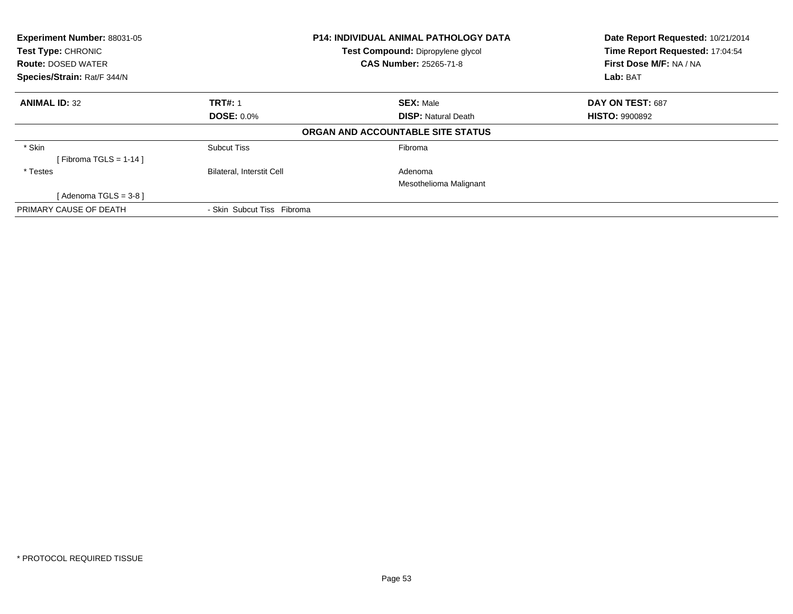| Experiment Number: 88031-05<br>Test Type: CHRONIC<br><b>Route: DOSED WATER</b> |                                  | <b>P14: INDIVIDUAL ANIMAL PATHOLOGY DATA</b><br>Test Compound: Dipropylene glycol<br><b>CAS Number: 25265-71-8</b> | Date Report Requested: 10/21/2014<br>Time Report Requested: 17:04:54<br>First Dose M/F: NA / NA |
|--------------------------------------------------------------------------------|----------------------------------|--------------------------------------------------------------------------------------------------------------------|-------------------------------------------------------------------------------------------------|
| Species/Strain: Rat/F 344/N                                                    |                                  |                                                                                                                    | Lab: BAT                                                                                        |
| <b>ANIMAL ID: 32</b>                                                           | <b>TRT#: 1</b>                   | <b>SEX: Male</b>                                                                                                   | DAY ON TEST: 687                                                                                |
|                                                                                | <b>DOSE: 0.0%</b>                | <b>DISP:</b> Natural Death                                                                                         | <b>HISTO: 9900892</b>                                                                           |
|                                                                                |                                  | ORGAN AND ACCOUNTABLE SITE STATUS                                                                                  |                                                                                                 |
| * Skin                                                                         | <b>Subcut Tiss</b>               | Fibroma                                                                                                            |                                                                                                 |
| [Fibroma TGLS = $1-14$ ]                                                       |                                  |                                                                                                                    |                                                                                                 |
| * Testes                                                                       | <b>Bilateral, Interstit Cell</b> | Adenoma                                                                                                            |                                                                                                 |
|                                                                                |                                  | Mesothelioma Malignant                                                                                             |                                                                                                 |
| [Adenoma TGLS = 3-8 ]                                                          |                                  |                                                                                                                    |                                                                                                 |
| PRIMARY CAUSE OF DEATH                                                         | - Skin Subcut Tiss Fibroma       |                                                                                                                    |                                                                                                 |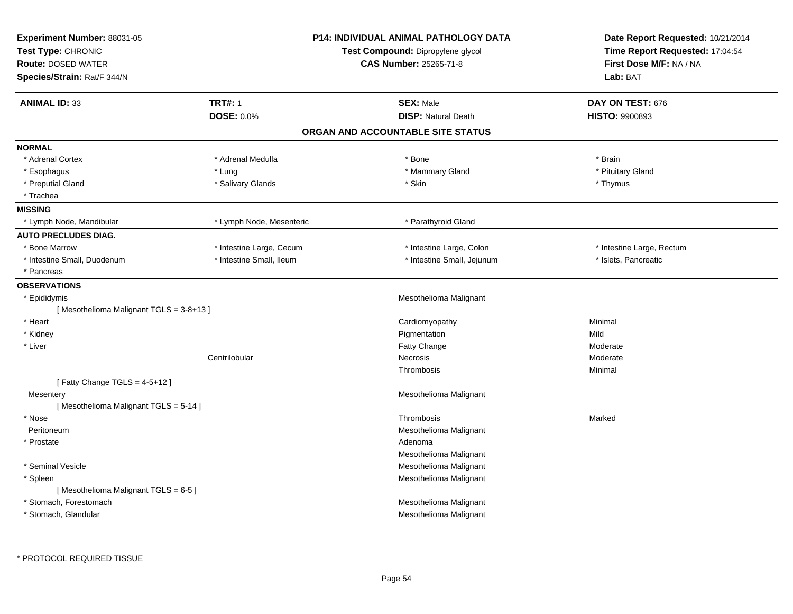| <b>Experiment Number: 88031-05</b><br>Test Type: CHRONIC<br><b>Route: DOSED WATER</b><br>Species/Strain: Rat/F 344/N |                                     | P14: INDIVIDUAL ANIMAL PATHOLOGY DATA<br>Test Compound: Dipropylene glycol<br>CAS Number: 25265-71-8 | Date Report Requested: 10/21/2014<br>Time Report Requested: 17:04:54<br>First Dose M/F: NA / NA<br>Lab: BAT |
|----------------------------------------------------------------------------------------------------------------------|-------------------------------------|------------------------------------------------------------------------------------------------------|-------------------------------------------------------------------------------------------------------------|
| <b>ANIMAL ID: 33</b>                                                                                                 | <b>TRT#: 1</b><br><b>DOSE: 0.0%</b> | <b>SEX: Male</b><br><b>DISP: Natural Death</b>                                                       | DAY ON TEST: 676<br><b>HISTO: 9900893</b>                                                                   |
|                                                                                                                      |                                     | ORGAN AND ACCOUNTABLE SITE STATUS                                                                    |                                                                                                             |
| <b>NORMAL</b>                                                                                                        |                                     |                                                                                                      |                                                                                                             |
| * Adrenal Cortex                                                                                                     | * Adrenal Medulla                   | * Bone                                                                                               | * Brain                                                                                                     |
| * Esophagus                                                                                                          | * Lung                              | * Mammary Gland                                                                                      | * Pituitary Gland                                                                                           |
| * Preputial Gland                                                                                                    | * Salivary Glands                   | * Skin                                                                                               | * Thymus                                                                                                    |
| * Trachea                                                                                                            |                                     |                                                                                                      |                                                                                                             |
| <b>MISSING</b>                                                                                                       |                                     |                                                                                                      |                                                                                                             |
| * Lymph Node, Mandibular                                                                                             | * Lymph Node, Mesenteric            | * Parathyroid Gland                                                                                  |                                                                                                             |
| <b>AUTO PRECLUDES DIAG.</b>                                                                                          |                                     |                                                                                                      |                                                                                                             |
| * Bone Marrow                                                                                                        | * Intestine Large, Cecum            | * Intestine Large, Colon                                                                             | * Intestine Large, Rectum                                                                                   |
| * Intestine Small, Duodenum                                                                                          | * Intestine Small, Ileum            | * Intestine Small, Jejunum                                                                           | * Islets, Pancreatic                                                                                        |
| * Pancreas                                                                                                           |                                     |                                                                                                      |                                                                                                             |
| <b>OBSERVATIONS</b>                                                                                                  |                                     |                                                                                                      |                                                                                                             |
| * Epididymis                                                                                                         |                                     | Mesothelioma Malignant                                                                               |                                                                                                             |
| [Mesothelioma Malignant TGLS = 3-8+13]                                                                               |                                     |                                                                                                      |                                                                                                             |
| * Heart                                                                                                              |                                     | Cardiomyopathy                                                                                       | Minimal                                                                                                     |
| * Kidney                                                                                                             |                                     | Pigmentation                                                                                         | Mild                                                                                                        |
| * Liver                                                                                                              |                                     | Fatty Change                                                                                         | Moderate                                                                                                    |
|                                                                                                                      | Centrilobular                       | Necrosis                                                                                             | Moderate                                                                                                    |
|                                                                                                                      |                                     | Thrombosis                                                                                           | Minimal                                                                                                     |
| [Fatty Change TGLS = $4-5+12$ ]                                                                                      |                                     |                                                                                                      |                                                                                                             |
| Mesentery                                                                                                            |                                     | Mesothelioma Malignant                                                                               |                                                                                                             |
| [Mesothelioma Malignant TGLS = 5-14]                                                                                 |                                     |                                                                                                      |                                                                                                             |
| * Nose                                                                                                               |                                     | Thrombosis                                                                                           | Marked                                                                                                      |
| Peritoneum                                                                                                           |                                     | Mesothelioma Malignant                                                                               |                                                                                                             |
| * Prostate                                                                                                           |                                     | Adenoma                                                                                              |                                                                                                             |
|                                                                                                                      |                                     | Mesothelioma Malignant                                                                               |                                                                                                             |
| * Seminal Vesicle                                                                                                    |                                     | Mesothelioma Malignant<br>Mesothelioma Malignant                                                     |                                                                                                             |
| * Spleen<br>[Mesothelioma Malignant TGLS = 6-5]                                                                      |                                     |                                                                                                      |                                                                                                             |
| * Stomach, Forestomach                                                                                               |                                     | Mesothelioma Malignant                                                                               |                                                                                                             |
| * Stomach, Glandular                                                                                                 |                                     | Mesothelioma Malignant                                                                               |                                                                                                             |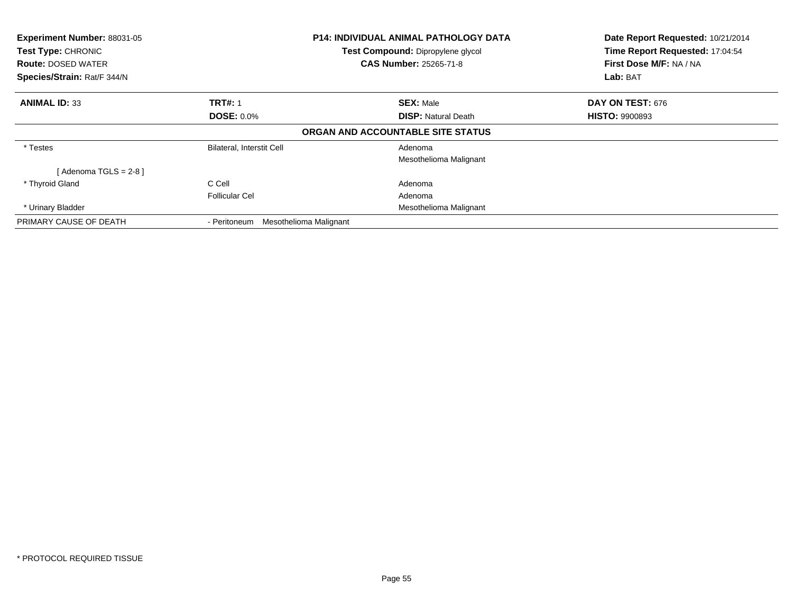| Experiment Number: 88031-05<br>Test Type: CHRONIC<br><b>Route: DOSED WATER</b><br>Species/Strain: Rat/F 344/N |                                        | <b>P14: INDIVIDUAL ANIMAL PATHOLOGY DATA</b><br>Test Compound: Dipropylene glycol<br><b>CAS Number: 25265-71-8</b> | Date Report Requested: 10/21/2014<br>Time Report Requested: 17:04:54<br>First Dose M/F: NA / NA<br>Lab: BAT |  |
|---------------------------------------------------------------------------------------------------------------|----------------------------------------|--------------------------------------------------------------------------------------------------------------------|-------------------------------------------------------------------------------------------------------------|--|
| <b>ANIMAL ID: 33</b>                                                                                          | <b>TRT#: 1</b>                         | <b>SEX: Male</b>                                                                                                   | DAY ON TEST: 676                                                                                            |  |
|                                                                                                               | <b>DOSE: 0.0%</b>                      | <b>DISP:</b> Natural Death                                                                                         | <b>HISTO: 9900893</b>                                                                                       |  |
|                                                                                                               |                                        | ORGAN AND ACCOUNTABLE SITE STATUS                                                                                  |                                                                                                             |  |
| * Testes                                                                                                      | <b>Bilateral, Interstit Cell</b>       | Adenoma                                                                                                            |                                                                                                             |  |
|                                                                                                               |                                        | Mesothelioma Malignant                                                                                             |                                                                                                             |  |
| [Adenoma TGLS = $2-8$ ]                                                                                       |                                        |                                                                                                                    |                                                                                                             |  |
| * Thyroid Gland                                                                                               | C Cell                                 | Adenoma                                                                                                            |                                                                                                             |  |
|                                                                                                               | <b>Follicular Cel</b>                  | Adenoma                                                                                                            |                                                                                                             |  |
| * Urinary Bladder                                                                                             |                                        | Mesothelioma Malignant                                                                                             |                                                                                                             |  |
| PRIMARY CAUSE OF DEATH                                                                                        | Mesothelioma Malignant<br>- Peritoneum |                                                                                                                    |                                                                                                             |  |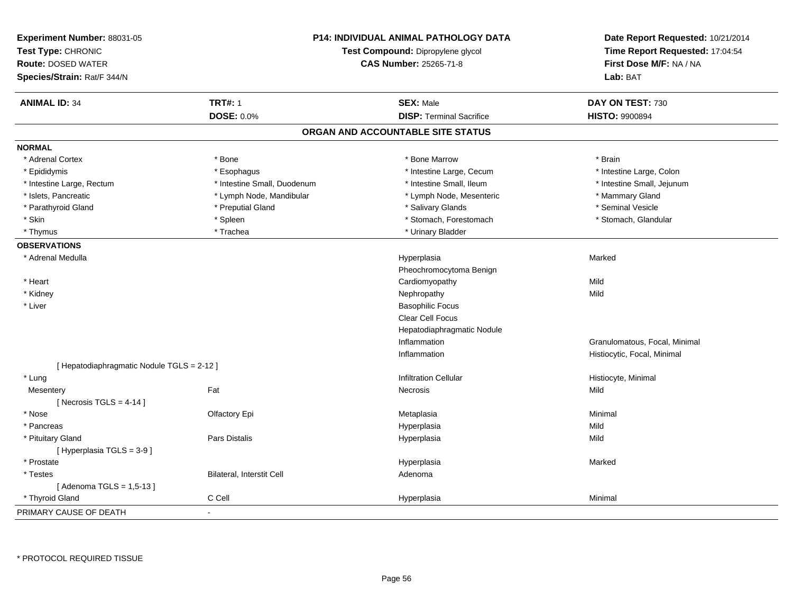| Experiment Number: 88031-05<br>Test Type: CHRONIC<br><b>Route: DOSED WATER</b><br>Species/Strain: Rat/F 344/N | <b>P14: INDIVIDUAL ANIMAL PATHOLOGY DATA</b><br>Test Compound: Dipropylene glycol<br><b>CAS Number: 25265-71-8</b> |                                   | Date Report Requested: 10/21/2014<br>Time Report Requested: 17:04:54<br>First Dose M/F: NA / NA<br>Lab: BAT |
|---------------------------------------------------------------------------------------------------------------|--------------------------------------------------------------------------------------------------------------------|-----------------------------------|-------------------------------------------------------------------------------------------------------------|
| <b>ANIMAL ID: 34</b>                                                                                          | <b>TRT#: 1</b>                                                                                                     | <b>SEX: Male</b>                  | DAY ON TEST: 730                                                                                            |
|                                                                                                               | <b>DOSE: 0.0%</b>                                                                                                  | <b>DISP: Terminal Sacrifice</b>   | <b>HISTO: 9900894</b>                                                                                       |
|                                                                                                               |                                                                                                                    | ORGAN AND ACCOUNTABLE SITE STATUS |                                                                                                             |
| <b>NORMAL</b>                                                                                                 |                                                                                                                    |                                   |                                                                                                             |
| * Adrenal Cortex                                                                                              | * Bone                                                                                                             | * Bone Marrow                     | * Brain                                                                                                     |
| * Epididymis                                                                                                  | * Esophagus                                                                                                        | * Intestine Large, Cecum          | * Intestine Large, Colon                                                                                    |
| * Intestine Large, Rectum                                                                                     | * Intestine Small, Duodenum                                                                                        | * Intestine Small, Ileum          | * Intestine Small, Jejunum                                                                                  |
| * Islets, Pancreatic                                                                                          | * Lymph Node, Mandibular                                                                                           | * Lymph Node, Mesenteric          | * Mammary Gland                                                                                             |
| * Parathyroid Gland                                                                                           | * Preputial Gland                                                                                                  | * Salivary Glands                 | * Seminal Vesicle                                                                                           |
| * Skin                                                                                                        | * Spleen                                                                                                           | * Stomach, Forestomach            | * Stomach, Glandular                                                                                        |
| * Thymus                                                                                                      | * Trachea                                                                                                          | * Urinary Bladder                 |                                                                                                             |
| <b>OBSERVATIONS</b>                                                                                           |                                                                                                                    |                                   |                                                                                                             |
| * Adrenal Medulla                                                                                             |                                                                                                                    | Hyperplasia                       | Marked                                                                                                      |
|                                                                                                               |                                                                                                                    | Pheochromocytoma Benign           |                                                                                                             |
| * Heart                                                                                                       |                                                                                                                    | Cardiomyopathy                    | Mild                                                                                                        |
| * Kidney                                                                                                      |                                                                                                                    | Nephropathy                       | Mild                                                                                                        |
| * Liver                                                                                                       |                                                                                                                    | <b>Basophilic Focus</b>           |                                                                                                             |
|                                                                                                               |                                                                                                                    | Clear Cell Focus                  |                                                                                                             |
|                                                                                                               |                                                                                                                    | Hepatodiaphragmatic Nodule        |                                                                                                             |
|                                                                                                               |                                                                                                                    | Inflammation                      | Granulomatous, Focal, Minimal                                                                               |
|                                                                                                               |                                                                                                                    | Inflammation                      | Histiocytic, Focal, Minimal                                                                                 |
| [ Hepatodiaphragmatic Nodule TGLS = 2-12 ]                                                                    |                                                                                                                    |                                   |                                                                                                             |
| * Lung                                                                                                        |                                                                                                                    | <b>Infiltration Cellular</b>      | Histiocyte, Minimal                                                                                         |
| Mesentery                                                                                                     | Fat                                                                                                                | <b>Necrosis</b>                   | Mild                                                                                                        |
| [Necrosis TGLS = $4-14$ ]                                                                                     |                                                                                                                    |                                   |                                                                                                             |
| * Nose                                                                                                        | Olfactory Epi                                                                                                      | Metaplasia                        | Minimal                                                                                                     |
| * Pancreas                                                                                                    |                                                                                                                    | Hyperplasia                       | Mild                                                                                                        |
| * Pituitary Gland                                                                                             | <b>Pars Distalis</b>                                                                                               | Hyperplasia                       | Mild                                                                                                        |
| [Hyperplasia TGLS = 3-9]                                                                                      |                                                                                                                    |                                   |                                                                                                             |
| * Prostate                                                                                                    |                                                                                                                    | Hyperplasia                       | Marked                                                                                                      |
| * Testes                                                                                                      | Bilateral, Interstit Cell                                                                                          | Adenoma                           |                                                                                                             |
| [Adenoma TGLS = 1,5-13]                                                                                       |                                                                                                                    |                                   |                                                                                                             |
| * Thyroid Gland                                                                                               | C Cell                                                                                                             | Hyperplasia                       | Minimal                                                                                                     |
| PRIMARY CAUSE OF DEATH                                                                                        | ä,                                                                                                                 |                                   |                                                                                                             |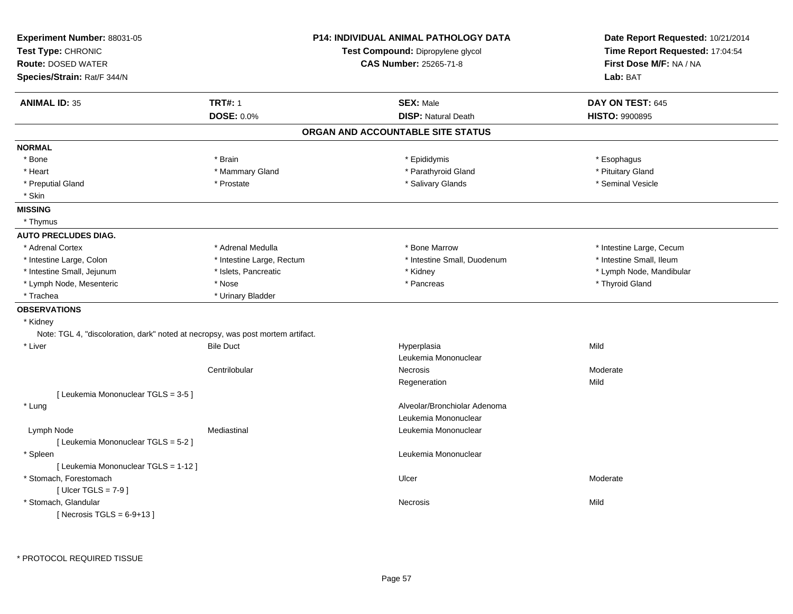| Test Type: CHRONIC<br><b>Route: DOSED WATER</b><br>Species/Strain: Rat/F 344/N  | <b>P14: INDIVIDUAL ANIMAL PATHOLOGY DATA</b><br>Test Compound: Dipropylene glycol<br><b>CAS Number: 25265-71-8</b> |                                   | Date Report Requested: 10/21/2014<br>Time Report Requested: 17:04:54<br>First Dose M/F: NA / NA<br>Lab: BAT |
|---------------------------------------------------------------------------------|--------------------------------------------------------------------------------------------------------------------|-----------------------------------|-------------------------------------------------------------------------------------------------------------|
| <b>ANIMAL ID: 35</b>                                                            | <b>TRT#: 1</b>                                                                                                     | <b>SEX: Male</b>                  | DAY ON TEST: 645                                                                                            |
|                                                                                 | <b>DOSE: 0.0%</b>                                                                                                  | <b>DISP: Natural Death</b>        | HISTO: 9900895                                                                                              |
|                                                                                 |                                                                                                                    | ORGAN AND ACCOUNTABLE SITE STATUS |                                                                                                             |
| <b>NORMAL</b>                                                                   |                                                                                                                    |                                   |                                                                                                             |
| * Bone                                                                          | * Brain                                                                                                            | * Epididymis                      | * Esophagus                                                                                                 |
| * Heart                                                                         | * Mammary Gland                                                                                                    | * Parathyroid Gland               | * Pituitary Gland                                                                                           |
| * Preputial Gland<br>* Skin                                                     | * Prostate                                                                                                         | * Salivary Glands                 | * Seminal Vesicle                                                                                           |
| <b>MISSING</b>                                                                  |                                                                                                                    |                                   |                                                                                                             |
| * Thymus                                                                        |                                                                                                                    |                                   |                                                                                                             |
| <b>AUTO PRECLUDES DIAG.</b>                                                     |                                                                                                                    |                                   |                                                                                                             |
| * Adrenal Cortex                                                                | * Adrenal Medulla                                                                                                  | * Bone Marrow                     | * Intestine Large, Cecum                                                                                    |
| * Intestine Large, Colon                                                        | * Intestine Large, Rectum                                                                                          | * Intestine Small, Duodenum       | * Intestine Small, Ileum                                                                                    |
| * Intestine Small, Jejunum                                                      | * Islets, Pancreatic                                                                                               | * Kidney                          | * Lymph Node, Mandibular                                                                                    |
| * Lymph Node, Mesenteric                                                        | * Nose                                                                                                             | * Pancreas                        | * Thyroid Gland                                                                                             |
| * Trachea                                                                       | * Urinary Bladder                                                                                                  |                                   |                                                                                                             |
| <b>OBSERVATIONS</b>                                                             |                                                                                                                    |                                   |                                                                                                             |
| * Kidney                                                                        |                                                                                                                    |                                   |                                                                                                             |
| Note: TGL 4, "discoloration, dark" noted at necropsy, was post mortem artifact. |                                                                                                                    |                                   |                                                                                                             |
| * Liver                                                                         | <b>Bile Duct</b>                                                                                                   | Hyperplasia                       | Mild                                                                                                        |
|                                                                                 |                                                                                                                    | Leukemia Mononuclear              |                                                                                                             |
|                                                                                 | Centrilobular                                                                                                      | <b>Necrosis</b>                   | Moderate                                                                                                    |
|                                                                                 |                                                                                                                    | Regeneration                      | Mild                                                                                                        |
| [ Leukemia Mononuclear TGLS = 3-5 ]                                             |                                                                                                                    |                                   |                                                                                                             |
| * Lung                                                                          |                                                                                                                    | Alveolar/Bronchiolar Adenoma      |                                                                                                             |
|                                                                                 |                                                                                                                    | Leukemia Mononuclear              |                                                                                                             |
| Lymph Node                                                                      | Mediastinal                                                                                                        | Leukemia Mononuclear              |                                                                                                             |
| [ Leukemia Mononuclear TGLS = 5-2 ]                                             |                                                                                                                    |                                   |                                                                                                             |
| * Spleen                                                                        |                                                                                                                    | Leukemia Mononuclear              |                                                                                                             |
| [ Leukemia Mononuclear TGLS = 1-12 ]                                            |                                                                                                                    |                                   |                                                                                                             |
| * Stomach, Forestomach                                                          |                                                                                                                    | Ulcer                             | Moderate                                                                                                    |
| [ Ulcer TGLS = $7-9$ ]                                                          |                                                                                                                    |                                   |                                                                                                             |
| * Stomach, Glandular                                                            |                                                                                                                    | Necrosis                          | Mild                                                                                                        |
| [Necrosis $TGLS = 6-9+13$ ]                                                     |                                                                                                                    |                                   |                                                                                                             |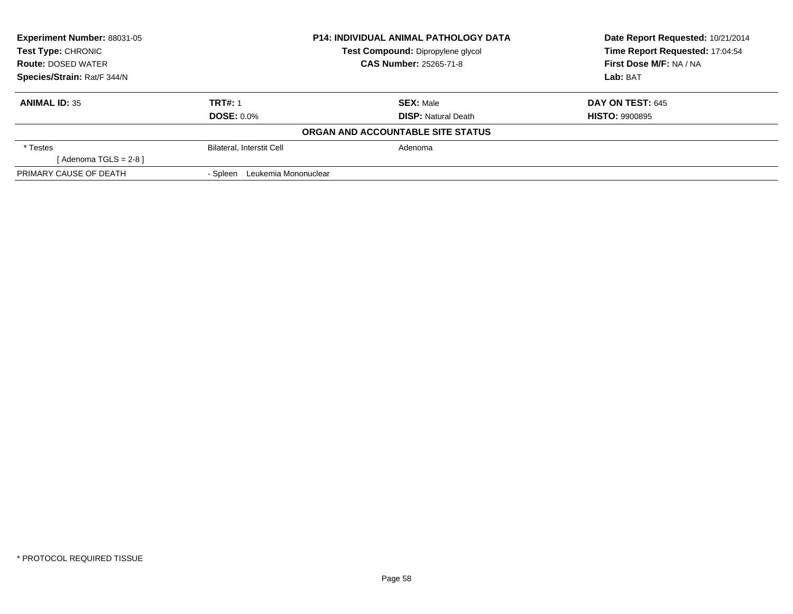| <b>Experiment Number: 88031-05</b> |                                  | <b>P14: INDIVIDUAL ANIMAL PATHOLOGY DATA</b> | Date Report Requested: 10/21/2014 |
|------------------------------------|----------------------------------|----------------------------------------------|-----------------------------------|
| <b>Test Type: CHRONIC</b>          |                                  | Test Compound: Dipropylene glycol            | Time Report Requested: 17:04:54   |
| <b>Route: DOSED WATER</b>          | <b>CAS Number: 25265-71-8</b>    |                                              | First Dose M/F: NA / NA           |
| Species/Strain: Rat/F 344/N        |                                  |                                              | Lab: BAT                          |
| <b>ANIMAL ID: 35</b>               | <b>TRT#: 1</b>                   | <b>SEX: Male</b>                             | <b>DAY ON TEST: 645</b>           |
|                                    | <b>DOSE: 0.0%</b>                | <b>DISP:</b> Natural Death                   | <b>HISTO: 9900895</b>             |
|                                    |                                  | ORGAN AND ACCOUNTABLE SITE STATUS            |                                   |
| * Testes                           | <b>Bilateral, Interstit Cell</b> | Adenoma                                      |                                   |
| [Adenoma TGLS = $2-8$ ]            |                                  |                                              |                                   |
| PRIMARY CAUSE OF DEATH             | Leukemia Mononuclear<br>- Spleen |                                              |                                   |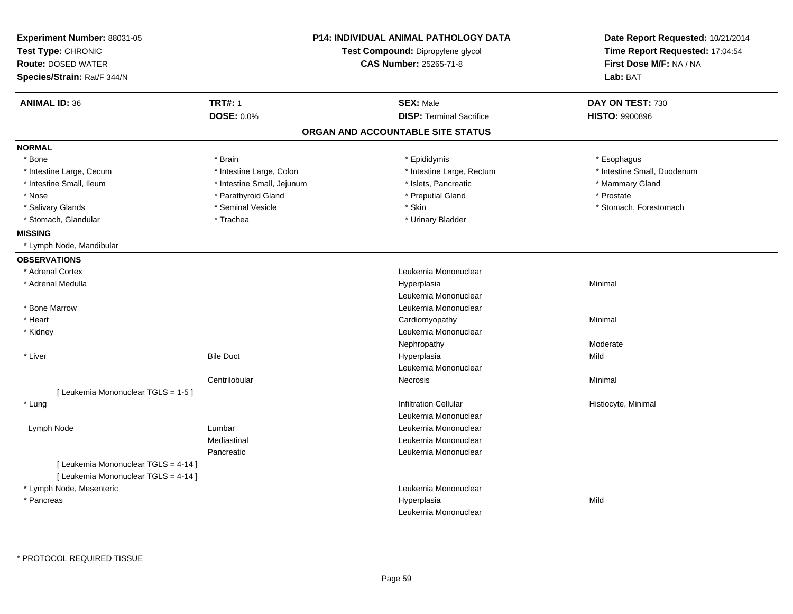| Experiment Number: 88031-05<br>Test Type: CHRONIC |                            | <b>P14: INDIVIDUAL ANIMAL PATHOLOGY DATA</b><br>Test Compound: Dipropylene glycol | Date Report Requested: 10/21/2014<br>Time Report Requested: 17:04:54 |
|---------------------------------------------------|----------------------------|-----------------------------------------------------------------------------------|----------------------------------------------------------------------|
| <b>Route: DOSED WATER</b>                         |                            | CAS Number: 25265-71-8                                                            | First Dose M/F: NA / NA                                              |
| Species/Strain: Rat/F 344/N                       |                            |                                                                                   | Lab: BAT                                                             |
|                                                   |                            |                                                                                   |                                                                      |
| <b>ANIMAL ID: 36</b>                              | <b>TRT#: 1</b>             | <b>SEX: Male</b>                                                                  | DAY ON TEST: 730                                                     |
|                                                   | DOSE: 0.0%                 | <b>DISP: Terminal Sacrifice</b>                                                   | <b>HISTO: 9900896</b>                                                |
|                                                   |                            | ORGAN AND ACCOUNTABLE SITE STATUS                                                 |                                                                      |
| <b>NORMAL</b>                                     |                            |                                                                                   |                                                                      |
| * Bone                                            | * Brain                    | * Epididymis                                                                      | * Esophagus                                                          |
| * Intestine Large, Cecum                          | * Intestine Large, Colon   | * Intestine Large, Rectum                                                         | * Intestine Small, Duodenum                                          |
| * Intestine Small, Ileum                          | * Intestine Small, Jejunum | * Islets, Pancreatic                                                              | * Mammary Gland                                                      |
| * Nose                                            | * Parathyroid Gland        | * Preputial Gland                                                                 | * Prostate                                                           |
| * Salivary Glands                                 | * Seminal Vesicle          | * Skin                                                                            | * Stomach, Forestomach                                               |
| * Stomach, Glandular                              | * Trachea                  | * Urinary Bladder                                                                 |                                                                      |
| <b>MISSING</b>                                    |                            |                                                                                   |                                                                      |
| * Lymph Node, Mandibular                          |                            |                                                                                   |                                                                      |
| <b>OBSERVATIONS</b>                               |                            |                                                                                   |                                                                      |
| * Adrenal Cortex                                  |                            | Leukemia Mononuclear                                                              |                                                                      |
| * Adrenal Medulla                                 |                            | Hyperplasia                                                                       | Minimal                                                              |
|                                                   |                            | Leukemia Mononuclear                                                              |                                                                      |
| * Bone Marrow                                     |                            | Leukemia Mononuclear                                                              |                                                                      |
| * Heart                                           |                            | Cardiomyopathy                                                                    | Minimal                                                              |
| * Kidney                                          |                            | Leukemia Mononuclear                                                              |                                                                      |
|                                                   |                            | Nephropathy                                                                       | Moderate                                                             |
| * Liver                                           | <b>Bile Duct</b>           | Hyperplasia                                                                       | Mild                                                                 |
|                                                   |                            | Leukemia Mononuclear                                                              |                                                                      |
|                                                   | Centrilobular              | <b>Necrosis</b>                                                                   | Minimal                                                              |
| [ Leukemia Mononuclear TGLS = 1-5 ]               |                            |                                                                                   |                                                                      |
| * Lung                                            |                            | <b>Infiltration Cellular</b>                                                      | Histiocyte, Minimal                                                  |
|                                                   |                            | Leukemia Mononuclear                                                              |                                                                      |
| Lymph Node                                        | Lumbar                     | Leukemia Mononuclear                                                              |                                                                      |
|                                                   | Mediastinal                | Leukemia Mononuclear                                                              |                                                                      |
|                                                   | Pancreatic                 | Leukemia Mononuclear                                                              |                                                                      |
| [ Leukemia Mononuclear TGLS = 4-14 ]              |                            |                                                                                   |                                                                      |
| [ Leukemia Mononuclear TGLS = 4-14 ]              |                            |                                                                                   |                                                                      |
| * Lymph Node, Mesenteric                          |                            | Leukemia Mononuclear                                                              |                                                                      |
| * Pancreas                                        |                            | Hyperplasia                                                                       | Mild                                                                 |
|                                                   |                            | Leukemia Mononuclear                                                              |                                                                      |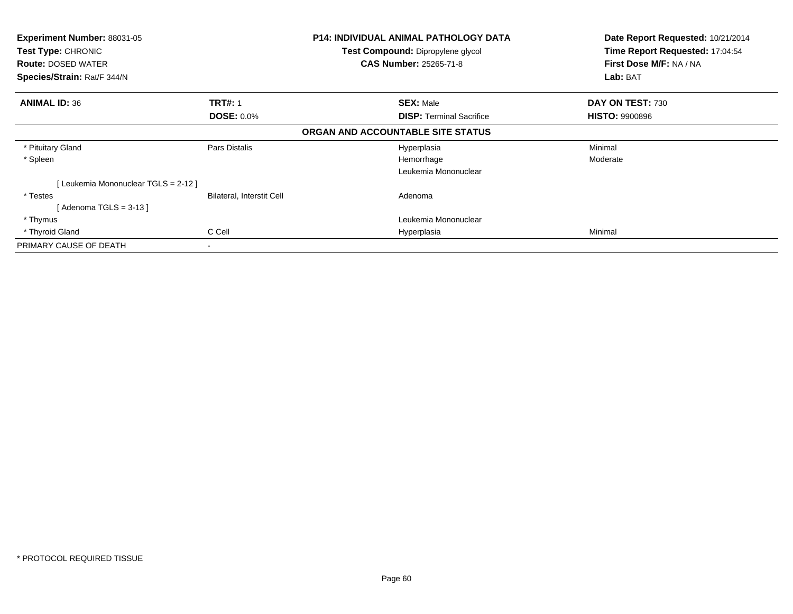| <b>Experiment Number: 88031-05</b><br><b>Test Type: CHRONIC</b><br><b>Route: DOSED WATER</b><br>Species/Strain: Rat/F 344/N |                                     | <b>P14: INDIVIDUAL ANIMAL PATHOLOGY DATA</b><br><b>Test Compound: Dipropylene glycol</b><br><b>CAS Number: 25265-71-8</b> | Date Report Requested: 10/21/2014<br>Time Report Requested: 17:04:54<br>First Dose M/F: NA / NA<br>Lab: BAT |  |
|-----------------------------------------------------------------------------------------------------------------------------|-------------------------------------|---------------------------------------------------------------------------------------------------------------------------|-------------------------------------------------------------------------------------------------------------|--|
| <b>ANIMAL ID: 36</b>                                                                                                        | <b>TRT#: 1</b><br><b>DOSE: 0.0%</b> | <b>SEX: Male</b><br><b>DISP:</b> Terminal Sacrifice                                                                       | DAY ON TEST: 730<br><b>HISTO: 9900896</b>                                                                   |  |
|                                                                                                                             |                                     | ORGAN AND ACCOUNTABLE SITE STATUS                                                                                         |                                                                                                             |  |
| * Pituitary Gland<br>* Spleen                                                                                               | Pars Distalis                       | Hyperplasia<br>Hemorrhage<br>Leukemia Mononuclear                                                                         | Minimal<br>Moderate                                                                                         |  |
| [ Leukemia Mononuclear TGLS = 2-12 ]<br>* Testes<br>[Adenoma TGLS = $3-13$ ]                                                | Bilateral, Interstit Cell           | Adenoma                                                                                                                   |                                                                                                             |  |
| * Thymus                                                                                                                    |                                     | Leukemia Mononuclear                                                                                                      |                                                                                                             |  |
| * Thyroid Gland<br>PRIMARY CAUSE OF DEATH                                                                                   | C Cell<br>۰                         | Hyperplasia                                                                                                               | Minimal                                                                                                     |  |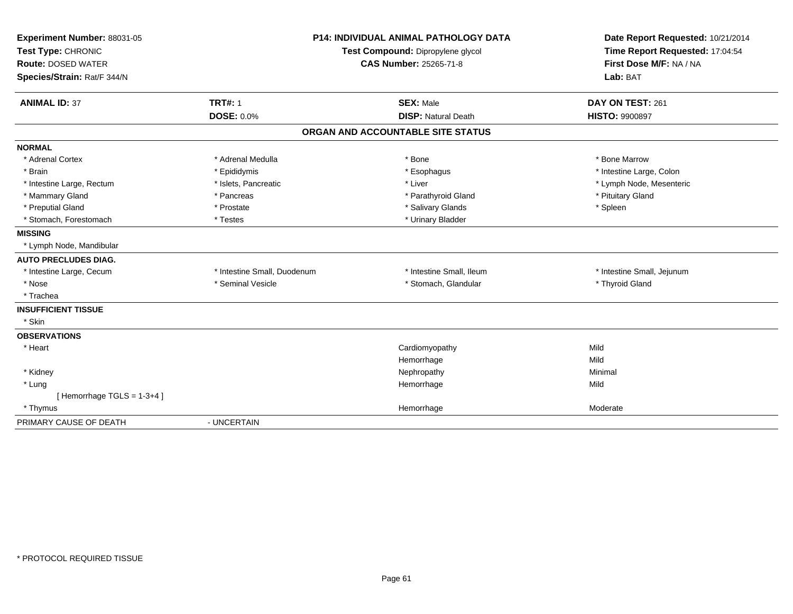| Experiment Number: 88031-05<br>Test Type: CHRONIC<br><b>Route: DOSED WATER</b><br>Species/Strain: Rat/F 344/N |                             | <b>P14: INDIVIDUAL ANIMAL PATHOLOGY DATA</b><br>Test Compound: Dipropylene glycol<br><b>CAS Number: 25265-71-8</b> | Date Report Requested: 10/21/2014<br>Time Report Requested: 17:04:54<br>First Dose M/F: NA / NA<br>Lab: BAT |
|---------------------------------------------------------------------------------------------------------------|-----------------------------|--------------------------------------------------------------------------------------------------------------------|-------------------------------------------------------------------------------------------------------------|
|                                                                                                               |                             |                                                                                                                    |                                                                                                             |
| <b>ANIMAL ID: 37</b>                                                                                          | <b>TRT#: 1</b>              | <b>SEX: Male</b>                                                                                                   | DAY ON TEST: 261                                                                                            |
|                                                                                                               | <b>DOSE: 0.0%</b>           | <b>DISP: Natural Death</b>                                                                                         | <b>HISTO: 9900897</b>                                                                                       |
|                                                                                                               |                             | ORGAN AND ACCOUNTABLE SITE STATUS                                                                                  |                                                                                                             |
| <b>NORMAL</b>                                                                                                 |                             |                                                                                                                    |                                                                                                             |
| * Adrenal Cortex                                                                                              | * Adrenal Medulla           | * Bone                                                                                                             | * Bone Marrow                                                                                               |
| * Brain                                                                                                       | * Epididymis                | * Esophagus                                                                                                        | * Intestine Large, Colon                                                                                    |
| * Intestine Large, Rectum                                                                                     | * Islets, Pancreatic        | * Liver                                                                                                            | * Lymph Node, Mesenteric                                                                                    |
| * Mammary Gland                                                                                               | * Pancreas                  | * Parathyroid Gland                                                                                                | * Pituitary Gland                                                                                           |
| * Preputial Gland                                                                                             | * Prostate                  | * Salivary Glands                                                                                                  | * Spleen                                                                                                    |
| * Stomach, Forestomach                                                                                        | * Testes                    | * Urinary Bladder                                                                                                  |                                                                                                             |
| <b>MISSING</b>                                                                                                |                             |                                                                                                                    |                                                                                                             |
| * Lymph Node, Mandibular                                                                                      |                             |                                                                                                                    |                                                                                                             |
| <b>AUTO PRECLUDES DIAG.</b>                                                                                   |                             |                                                                                                                    |                                                                                                             |
| * Intestine Large, Cecum                                                                                      | * Intestine Small, Duodenum | * Intestine Small, Ileum                                                                                           | * Intestine Small, Jejunum                                                                                  |
| * Nose                                                                                                        | * Seminal Vesicle           | * Stomach, Glandular                                                                                               | * Thyroid Gland                                                                                             |
| * Trachea                                                                                                     |                             |                                                                                                                    |                                                                                                             |
| <b>INSUFFICIENT TISSUE</b>                                                                                    |                             |                                                                                                                    |                                                                                                             |
| * Skin                                                                                                        |                             |                                                                                                                    |                                                                                                             |
| <b>OBSERVATIONS</b>                                                                                           |                             |                                                                                                                    |                                                                                                             |
| * Heart                                                                                                       |                             | Cardiomyopathy                                                                                                     | Mild                                                                                                        |
|                                                                                                               |                             | Hemorrhage                                                                                                         | Mild                                                                                                        |
| * Kidney                                                                                                      |                             | Nephropathy                                                                                                        | Minimal                                                                                                     |
| * Lung                                                                                                        |                             | Hemorrhage                                                                                                         | Mild                                                                                                        |
| [Hemorrhage TGLS = 1-3+4]                                                                                     |                             |                                                                                                                    |                                                                                                             |
| * Thymus                                                                                                      |                             | Hemorrhage                                                                                                         | Moderate                                                                                                    |
| PRIMARY CAUSE OF DEATH                                                                                        | - UNCERTAIN                 |                                                                                                                    |                                                                                                             |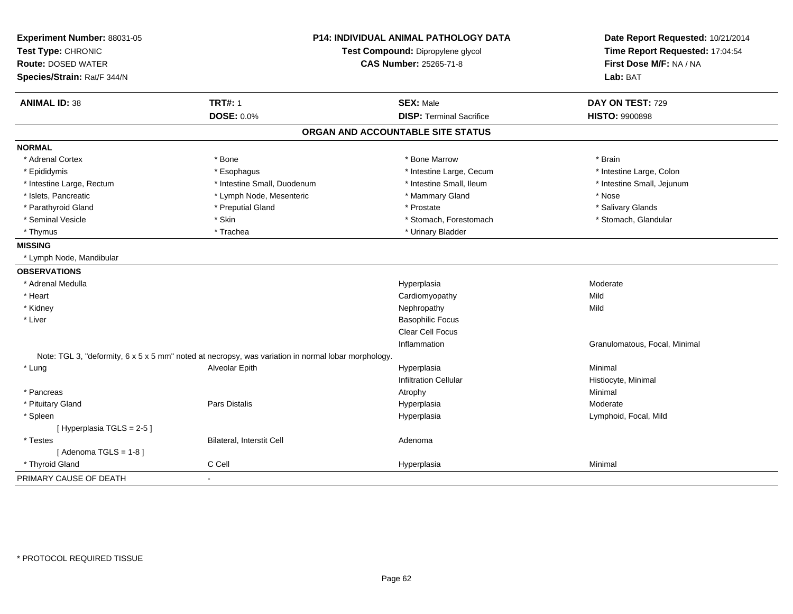| Experiment Number: 88031-05<br>Test Type: CHRONIC<br><b>Route: DOSED WATER</b> |                                                                                                     | P14: INDIVIDUAL ANIMAL PATHOLOGY DATA<br>Test Compound: Dipropylene glycol<br><b>CAS Number: 25265-71-8</b> | Date Report Requested: 10/21/2014<br>Time Report Requested: 17:04:54<br>First Dose M/F: NA / NA |
|--------------------------------------------------------------------------------|-----------------------------------------------------------------------------------------------------|-------------------------------------------------------------------------------------------------------------|-------------------------------------------------------------------------------------------------|
| Species/Strain: Rat/F 344/N                                                    |                                                                                                     |                                                                                                             | Lab: BAT                                                                                        |
| <b>ANIMAL ID: 38</b>                                                           | <b>TRT#: 1</b>                                                                                      | <b>SEX: Male</b>                                                                                            | DAY ON TEST: 729                                                                                |
|                                                                                | <b>DOSE: 0.0%</b>                                                                                   | <b>DISP: Terminal Sacrifice</b>                                                                             | <b>HISTO: 9900898</b>                                                                           |
|                                                                                |                                                                                                     | ORGAN AND ACCOUNTABLE SITE STATUS                                                                           |                                                                                                 |
| <b>NORMAL</b>                                                                  |                                                                                                     |                                                                                                             |                                                                                                 |
| * Adrenal Cortex                                                               | * Bone                                                                                              | * Bone Marrow                                                                                               | * Brain                                                                                         |
| * Epididymis                                                                   | * Esophagus                                                                                         | * Intestine Large, Cecum                                                                                    | * Intestine Large, Colon                                                                        |
| * Intestine Large, Rectum                                                      | * Intestine Small, Duodenum                                                                         | * Intestine Small, Ileum                                                                                    | * Intestine Small, Jejunum                                                                      |
| * Islets, Pancreatic                                                           | * Lymph Node, Mesenteric                                                                            | * Mammary Gland                                                                                             | * Nose                                                                                          |
| * Parathyroid Gland                                                            | * Preputial Gland                                                                                   | * Prostate                                                                                                  | * Salivary Glands                                                                               |
| * Seminal Vesicle                                                              | * Skin                                                                                              | * Stomach, Forestomach                                                                                      | * Stomach, Glandular                                                                            |
| * Thymus                                                                       | * Trachea                                                                                           | * Urinary Bladder                                                                                           |                                                                                                 |
| <b>MISSING</b>                                                                 |                                                                                                     |                                                                                                             |                                                                                                 |
| * Lymph Node, Mandibular                                                       |                                                                                                     |                                                                                                             |                                                                                                 |
| <b>OBSERVATIONS</b>                                                            |                                                                                                     |                                                                                                             |                                                                                                 |
| * Adrenal Medulla                                                              |                                                                                                     | Hyperplasia                                                                                                 | Moderate                                                                                        |
| * Heart                                                                        |                                                                                                     | Cardiomyopathy                                                                                              | Mild                                                                                            |
| * Kidney                                                                       |                                                                                                     | Nephropathy                                                                                                 | Mild                                                                                            |
| * Liver                                                                        |                                                                                                     | <b>Basophilic Focus</b>                                                                                     |                                                                                                 |
|                                                                                |                                                                                                     | Clear Cell Focus                                                                                            |                                                                                                 |
|                                                                                |                                                                                                     | Inflammation                                                                                                | Granulomatous, Focal, Minimal                                                                   |
|                                                                                | Note: TGL 3, "deformity, 6 x 5 x 5 mm" noted at necropsy, was variation in normal lobar morphology. |                                                                                                             |                                                                                                 |
| * Lung                                                                         | Alveolar Epith                                                                                      | Hyperplasia                                                                                                 | Minimal                                                                                         |
|                                                                                |                                                                                                     | <b>Infiltration Cellular</b>                                                                                | Histiocyte, Minimal                                                                             |
| * Pancreas                                                                     |                                                                                                     | Atrophy                                                                                                     | Minimal                                                                                         |
| * Pituitary Gland                                                              | <b>Pars Distalis</b>                                                                                | Hyperplasia                                                                                                 | Moderate                                                                                        |
| * Spleen                                                                       |                                                                                                     | Hyperplasia                                                                                                 | Lymphoid, Focal, Mild                                                                           |
| [Hyperplasia TGLS = 2-5]                                                       |                                                                                                     |                                                                                                             |                                                                                                 |
| * Testes                                                                       | Bilateral, Interstit Cell                                                                           | Adenoma                                                                                                     |                                                                                                 |
| [Adenoma TGLS = $1-8$ ]                                                        |                                                                                                     |                                                                                                             |                                                                                                 |
| * Thyroid Gland                                                                | C Cell                                                                                              | Hyperplasia                                                                                                 | Minimal                                                                                         |
| PRIMARY CAUSE OF DEATH                                                         | $\overline{\phantom{a}}$                                                                            |                                                                                                             |                                                                                                 |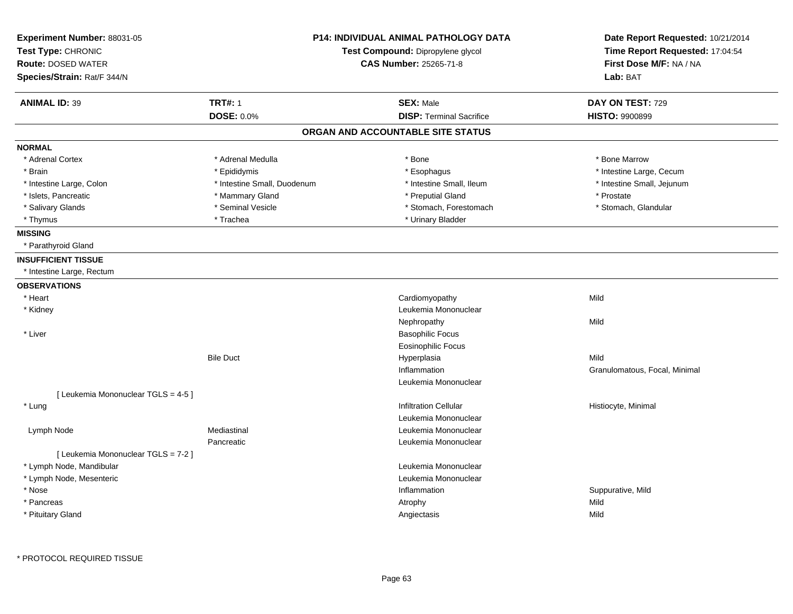| Experiment Number: 88031-05<br>Test Type: CHRONIC<br><b>Route: DOSED WATER</b><br>Species/Strain: Rat/F 344/N | <b>P14: INDIVIDUAL ANIMAL PATHOLOGY DATA</b><br>Test Compound: Dipropylene glycol<br><b>CAS Number: 25265-71-8</b> |                                   | Date Report Requested: 10/21/2014<br>Time Report Requested: 17:04:54<br>First Dose M/F: NA / NA<br>Lab: BAT |
|---------------------------------------------------------------------------------------------------------------|--------------------------------------------------------------------------------------------------------------------|-----------------------------------|-------------------------------------------------------------------------------------------------------------|
| <b>ANIMAL ID: 39</b>                                                                                          | <b>TRT#: 1</b>                                                                                                     | <b>SEX: Male</b>                  | DAY ON TEST: 729                                                                                            |
|                                                                                                               | <b>DOSE: 0.0%</b>                                                                                                  | <b>DISP: Terminal Sacrifice</b>   | <b>HISTO: 9900899</b>                                                                                       |
|                                                                                                               |                                                                                                                    | ORGAN AND ACCOUNTABLE SITE STATUS |                                                                                                             |
| <b>NORMAL</b>                                                                                                 |                                                                                                                    |                                   |                                                                                                             |
| * Adrenal Cortex                                                                                              | * Adrenal Medulla                                                                                                  | * Bone                            | * Bone Marrow                                                                                               |
| * Brain                                                                                                       | * Epididymis                                                                                                       | * Esophagus                       | * Intestine Large, Cecum                                                                                    |
| * Intestine Large, Colon                                                                                      | * Intestine Small, Duodenum                                                                                        | * Intestine Small, Ileum          | * Intestine Small, Jejunum                                                                                  |
| * Islets, Pancreatic                                                                                          | * Mammary Gland                                                                                                    | * Preputial Gland                 | * Prostate                                                                                                  |
| * Salivary Glands                                                                                             | * Seminal Vesicle                                                                                                  | * Stomach, Forestomach            | * Stomach, Glandular                                                                                        |
| * Thymus                                                                                                      | * Trachea                                                                                                          | * Urinary Bladder                 |                                                                                                             |
| <b>MISSING</b>                                                                                                |                                                                                                                    |                                   |                                                                                                             |
| * Parathyroid Gland                                                                                           |                                                                                                                    |                                   |                                                                                                             |
| <b>INSUFFICIENT TISSUE</b>                                                                                    |                                                                                                                    |                                   |                                                                                                             |
| * Intestine Large, Rectum                                                                                     |                                                                                                                    |                                   |                                                                                                             |
| <b>OBSERVATIONS</b>                                                                                           |                                                                                                                    |                                   |                                                                                                             |
| * Heart                                                                                                       |                                                                                                                    | Cardiomyopathy                    | Mild                                                                                                        |
| * Kidney                                                                                                      |                                                                                                                    | Leukemia Mononuclear              |                                                                                                             |
|                                                                                                               |                                                                                                                    | Nephropathy                       | Mild                                                                                                        |
| * Liver                                                                                                       |                                                                                                                    | <b>Basophilic Focus</b>           |                                                                                                             |
|                                                                                                               |                                                                                                                    | <b>Eosinophilic Focus</b>         |                                                                                                             |
|                                                                                                               | <b>Bile Duct</b>                                                                                                   | Hyperplasia                       | Mild                                                                                                        |
|                                                                                                               |                                                                                                                    | Inflammation                      | Granulomatous, Focal, Minimal                                                                               |
|                                                                                                               |                                                                                                                    | Leukemia Mononuclear              |                                                                                                             |
| [ Leukemia Mononuclear TGLS = 4-5 ]                                                                           |                                                                                                                    |                                   |                                                                                                             |
| * Lung                                                                                                        |                                                                                                                    | <b>Infiltration Cellular</b>      | Histiocyte, Minimal                                                                                         |
|                                                                                                               |                                                                                                                    | Leukemia Mononuclear              |                                                                                                             |
| Lymph Node                                                                                                    | Mediastinal                                                                                                        | Leukemia Mononuclear              |                                                                                                             |
|                                                                                                               | Pancreatic                                                                                                         | Leukemia Mononuclear              |                                                                                                             |
| [ Leukemia Mononuclear TGLS = 7-2 ]                                                                           |                                                                                                                    |                                   |                                                                                                             |
| * Lymph Node, Mandibular                                                                                      |                                                                                                                    | Leukemia Mononuclear              |                                                                                                             |
| * Lymph Node, Mesenteric                                                                                      |                                                                                                                    | Leukemia Mononuclear              |                                                                                                             |
| * Nose                                                                                                        |                                                                                                                    | Inflammation                      | Suppurative, Mild                                                                                           |
| * Pancreas                                                                                                    |                                                                                                                    | Atrophy                           | Mild                                                                                                        |
| * Pituitary Gland                                                                                             |                                                                                                                    | Angiectasis                       | Mild                                                                                                        |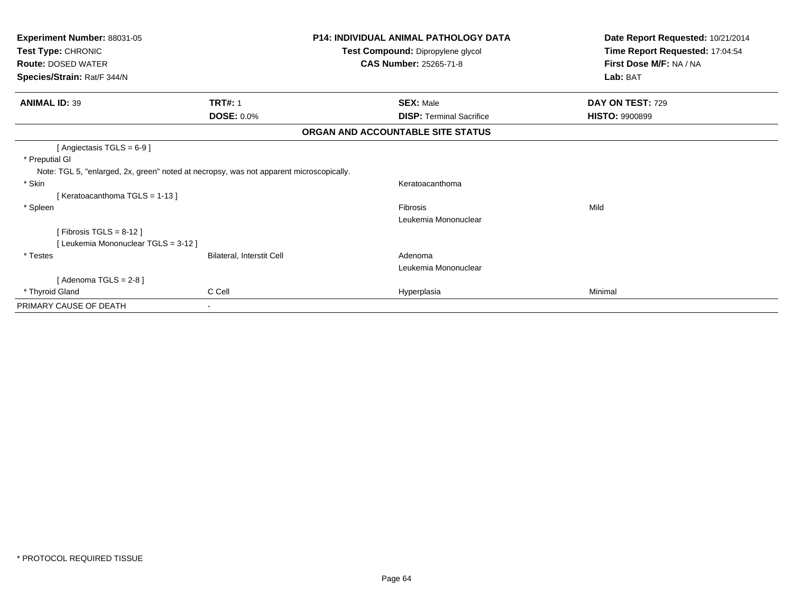| <b>Experiment Number: 88031-05</b><br>Test Type: CHRONIC<br><b>Route: DOSED WATER</b><br>Species/Strain: Rat/F 344/N                  |                                  | <b>P14: INDIVIDUAL ANIMAL PATHOLOGY DATA</b><br>Test Compound: Dipropylene glycol<br><b>CAS Number: 25265-71-8</b> | Date Report Requested: 10/21/2014<br>Time Report Requested: 17:04:54<br>First Dose M/F: NA / NA<br>Lab: BAT |
|---------------------------------------------------------------------------------------------------------------------------------------|----------------------------------|--------------------------------------------------------------------------------------------------------------------|-------------------------------------------------------------------------------------------------------------|
| <b>ANIMAL ID: 39</b>                                                                                                                  | <b>TRT#: 1</b>                   | <b>SEX: Male</b>                                                                                                   | DAY ON TEST: 729                                                                                            |
|                                                                                                                                       | <b>DOSE: 0.0%</b>                | <b>DISP: Terminal Sacrifice</b>                                                                                    | <b>HISTO: 9900899</b>                                                                                       |
|                                                                                                                                       |                                  | ORGAN AND ACCOUNTABLE SITE STATUS                                                                                  |                                                                                                             |
| [Angiectasis TGLS = 6-9]<br>* Preputial GI<br>Note: TGL 5, "enlarged, 2x, green" noted at necropsy, was not apparent microscopically. |                                  |                                                                                                                    |                                                                                                             |
| * Skin<br>[Keratoacanthoma TGLS = 1-13]                                                                                               |                                  | Keratoacanthoma                                                                                                    |                                                                                                             |
| * Spleen                                                                                                                              |                                  | Fibrosis<br>Leukemia Mononuclear                                                                                   | Mild                                                                                                        |
| [Fibrosis TGLS = $8-12$ ]<br>[Leukemia Mononuclear TGLS = 3-12]                                                                       |                                  |                                                                                                                    |                                                                                                             |
| * Testes                                                                                                                              | <b>Bilateral, Interstit Cell</b> | Adenoma<br>Leukemia Mononuclear                                                                                    |                                                                                                             |
| [Adenoma TGLS = $2-8$ ]                                                                                                               |                                  |                                                                                                                    |                                                                                                             |
| * Thyroid Gland                                                                                                                       | C Cell                           | Hyperplasia                                                                                                        | Minimal                                                                                                     |
| PRIMARY CAUSE OF DEATH                                                                                                                |                                  |                                                                                                                    |                                                                                                             |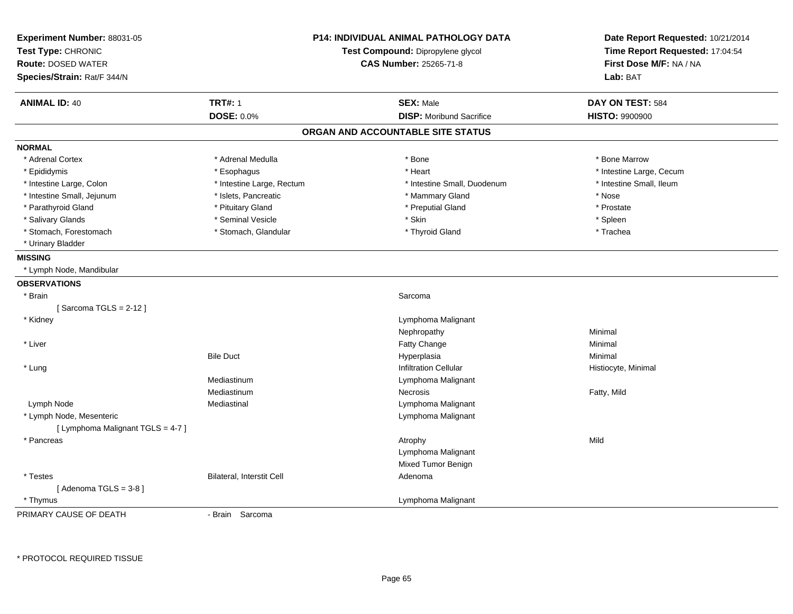| Experiment Number: 88031-05<br>Test Type: CHRONIC<br><b>Route: DOSED WATER</b><br>Species/Strain: Rat/F 344/N | P14: INDIVIDUAL ANIMAL PATHOLOGY DATA<br>Test Compound: Dipropylene glycol<br><b>CAS Number: 25265-71-8</b> |                                   | Date Report Requested: 10/21/2014<br>Time Report Requested: 17:04:54<br>First Dose M/F: NA / NA<br>Lab: BAT |
|---------------------------------------------------------------------------------------------------------------|-------------------------------------------------------------------------------------------------------------|-----------------------------------|-------------------------------------------------------------------------------------------------------------|
| <b>ANIMAL ID: 40</b>                                                                                          | <b>TRT#: 1</b>                                                                                              | <b>SEX: Male</b>                  | DAY ON TEST: 584                                                                                            |
|                                                                                                               | <b>DOSE: 0.0%</b>                                                                                           | <b>DISP:</b> Moribund Sacrifice   | <b>HISTO: 9900900</b>                                                                                       |
|                                                                                                               |                                                                                                             | ORGAN AND ACCOUNTABLE SITE STATUS |                                                                                                             |
| <b>NORMAL</b>                                                                                                 |                                                                                                             |                                   |                                                                                                             |
| * Adrenal Cortex                                                                                              | * Adrenal Medulla                                                                                           | * Bone                            | * Bone Marrow                                                                                               |
| * Epididymis                                                                                                  | * Esophagus                                                                                                 | * Heart                           | * Intestine Large, Cecum                                                                                    |
| * Intestine Large, Colon                                                                                      | * Intestine Large, Rectum                                                                                   | * Intestine Small, Duodenum       | * Intestine Small, Ileum                                                                                    |
| * Intestine Small, Jejunum                                                                                    | * Islets, Pancreatic                                                                                        | * Mammary Gland                   | * Nose                                                                                                      |
| * Parathyroid Gland                                                                                           | * Pituitary Gland                                                                                           | * Preputial Gland                 | * Prostate                                                                                                  |
| * Salivary Glands                                                                                             | * Seminal Vesicle                                                                                           | * Skin                            | * Spleen                                                                                                    |
| * Stomach, Forestomach                                                                                        | * Stomach, Glandular                                                                                        | * Thyroid Gland                   | * Trachea                                                                                                   |
| * Urinary Bladder                                                                                             |                                                                                                             |                                   |                                                                                                             |
| <b>MISSING</b>                                                                                                |                                                                                                             |                                   |                                                                                                             |
| * Lymph Node, Mandibular                                                                                      |                                                                                                             |                                   |                                                                                                             |
| <b>OBSERVATIONS</b>                                                                                           |                                                                                                             |                                   |                                                                                                             |
| * Brain                                                                                                       |                                                                                                             | Sarcoma                           |                                                                                                             |
| [Sarcoma TGLS = $2-12$ ]                                                                                      |                                                                                                             |                                   |                                                                                                             |
| * Kidney                                                                                                      |                                                                                                             | Lymphoma Malignant                |                                                                                                             |
|                                                                                                               |                                                                                                             | Nephropathy                       | Minimal                                                                                                     |
| * Liver                                                                                                       |                                                                                                             | Fatty Change                      | Minimal                                                                                                     |
|                                                                                                               | <b>Bile Duct</b>                                                                                            | Hyperplasia                       | Minimal                                                                                                     |
| * Lung                                                                                                        |                                                                                                             | <b>Infiltration Cellular</b>      | Histiocyte, Minimal                                                                                         |
|                                                                                                               | Mediastinum                                                                                                 | Lymphoma Malignant                |                                                                                                             |
|                                                                                                               | Mediastinum                                                                                                 | Necrosis                          | Fatty, Mild                                                                                                 |
| Lymph Node                                                                                                    | Mediastinal                                                                                                 | Lymphoma Malignant                |                                                                                                             |
| * Lymph Node, Mesenteric                                                                                      |                                                                                                             | Lymphoma Malignant                |                                                                                                             |
| [ Lymphoma Malignant TGLS = 4-7 ]                                                                             |                                                                                                             |                                   |                                                                                                             |
| * Pancreas                                                                                                    |                                                                                                             | Atrophy                           | Mild                                                                                                        |
|                                                                                                               |                                                                                                             | Lymphoma Malignant                |                                                                                                             |
|                                                                                                               |                                                                                                             | Mixed Tumor Benign                |                                                                                                             |
| * Testes                                                                                                      | Bilateral, Interstit Cell                                                                                   | Adenoma                           |                                                                                                             |
| [Adenoma TGLS = $3-8$ ]                                                                                       |                                                                                                             |                                   |                                                                                                             |
| * Thymus                                                                                                      |                                                                                                             | Lymphoma Malignant                |                                                                                                             |
| PRIMARY CAUSE OF DEATH                                                                                        | - Brain Sarcoma                                                                                             |                                   |                                                                                                             |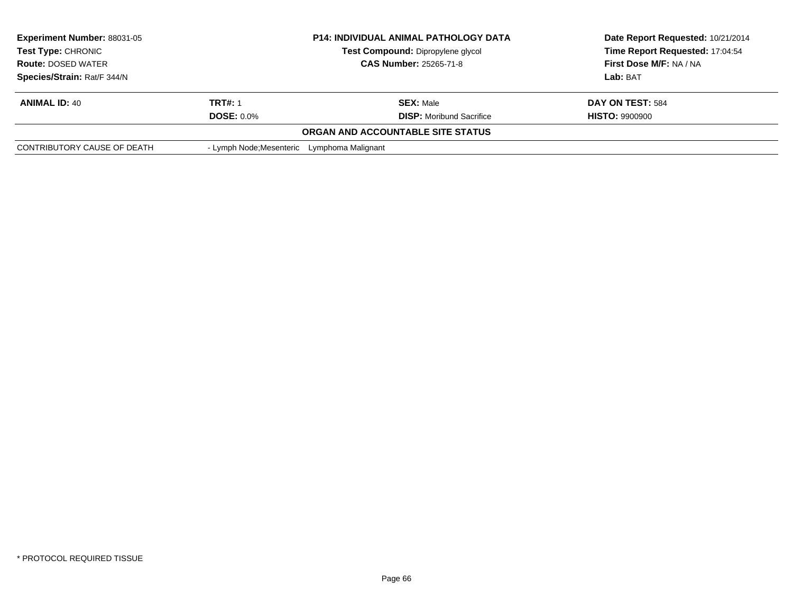| <b>Experiment Number: 88031-05</b> |                                             | <b>P14: INDIVIDUAL ANIMAL PATHOLOGY DATA</b> | Date Report Requested: 10/21/2014 |
|------------------------------------|---------------------------------------------|----------------------------------------------|-----------------------------------|
| <b>Test Type: CHRONIC</b>          |                                             | <b>Test Compound: Dipropylene glycol</b>     | Time Report Requested: 17:04:54   |
| <b>Route: DOSED WATER</b>          |                                             | <b>CAS Number: 25265-71-8</b>                | <b>First Dose M/F: NA / NA</b>    |
| Species/Strain: Rat/F 344/N        |                                             |                                              | Lab: BAT                          |
| <b>ANIMAL ID: 40</b>               | TRT#: 1                                     | <b>SEX: Male</b>                             | DAY ON TEST: 584                  |
|                                    | <b>DOSE: 0.0%</b>                           | <b>DISP:</b> Moribund Sacrifice              | <b>HISTO: 9900900</b>             |
|                                    |                                             | ORGAN AND ACCOUNTABLE SITE STATUS            |                                   |
| CONTRIBUTORY CAUSE OF DEATH        | - Lymph Node; Mesenteric Lymphoma Malignant |                                              |                                   |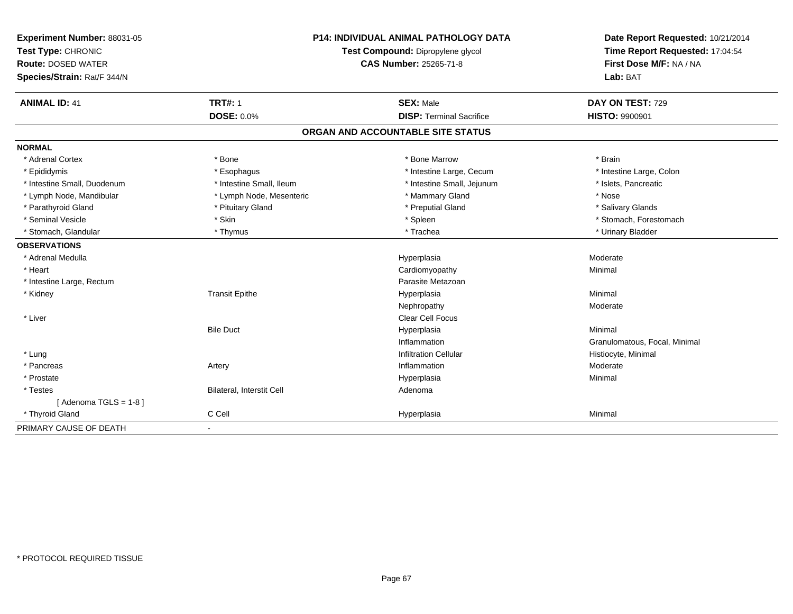| Experiment Number: 88031-05 | <b>P14: INDIVIDUAL ANIMAL PATHOLOGY DATA</b> |                                   | Date Report Requested: 10/21/2014 |
|-----------------------------|----------------------------------------------|-----------------------------------|-----------------------------------|
| Test Type: CHRONIC          |                                              | Test Compound: Dipropylene glycol | Time Report Requested: 17:04:54   |
| <b>Route: DOSED WATER</b>   | <b>CAS Number: 25265-71-8</b>                |                                   | First Dose M/F: NA / NA           |
| Species/Strain: Rat/F 344/N |                                              |                                   | Lab: BAT                          |
| <b>ANIMAL ID: 41</b>        | <b>TRT#: 1</b>                               | <b>SEX: Male</b>                  | DAY ON TEST: 729                  |
|                             | <b>DOSE: 0.0%</b>                            | <b>DISP: Terminal Sacrifice</b>   | <b>HISTO: 9900901</b>             |
|                             |                                              | ORGAN AND ACCOUNTABLE SITE STATUS |                                   |
| <b>NORMAL</b>               |                                              |                                   |                                   |
| * Adrenal Cortex            | * Bone                                       | * Bone Marrow                     | * Brain                           |
| * Epididymis                | * Esophagus                                  | * Intestine Large, Cecum          | * Intestine Large, Colon          |
| * Intestine Small, Duodenum | * Intestine Small, Ileum                     | * Intestine Small, Jejunum        | * Islets, Pancreatic              |
| * Lymph Node, Mandibular    | * Lymph Node, Mesenteric                     | * Mammary Gland                   | * Nose                            |
| * Parathyroid Gland         | * Pituitary Gland                            | * Preputial Gland                 | * Salivary Glands                 |
| * Seminal Vesicle           | * Skin                                       | * Spleen                          | * Stomach, Forestomach            |
| * Stomach, Glandular        | * Thymus                                     | * Trachea                         | * Urinary Bladder                 |
| <b>OBSERVATIONS</b>         |                                              |                                   |                                   |
| * Adrenal Medulla           |                                              | Hyperplasia                       | Moderate                          |
| * Heart                     |                                              | Cardiomyopathy                    | Minimal                           |
| * Intestine Large, Rectum   |                                              | Parasite Metazoan                 |                                   |
| * Kidney                    | <b>Transit Epithe</b>                        | Hyperplasia                       | Minimal                           |
|                             |                                              | Nephropathy                       | Moderate                          |
| * Liver                     |                                              | <b>Clear Cell Focus</b>           |                                   |
|                             | <b>Bile Duct</b>                             | Hyperplasia                       | Minimal                           |
|                             |                                              | Inflammation                      | Granulomatous, Focal, Minimal     |
| * Lung                      |                                              | <b>Infiltration Cellular</b>      | Histiocyte, Minimal               |
| * Pancreas                  | Artery                                       | Inflammation                      | Moderate                          |
| * Prostate                  |                                              | Hyperplasia                       | Minimal                           |
| * Testes                    | Bilateral, Interstit Cell                    | Adenoma                           |                                   |
| [Adenoma TGLS = $1-8$ ]     |                                              |                                   |                                   |
| * Thyroid Gland             | C Cell                                       | Hyperplasia                       | Minimal                           |
| PRIMARY CAUSE OF DEATH      |                                              |                                   |                                   |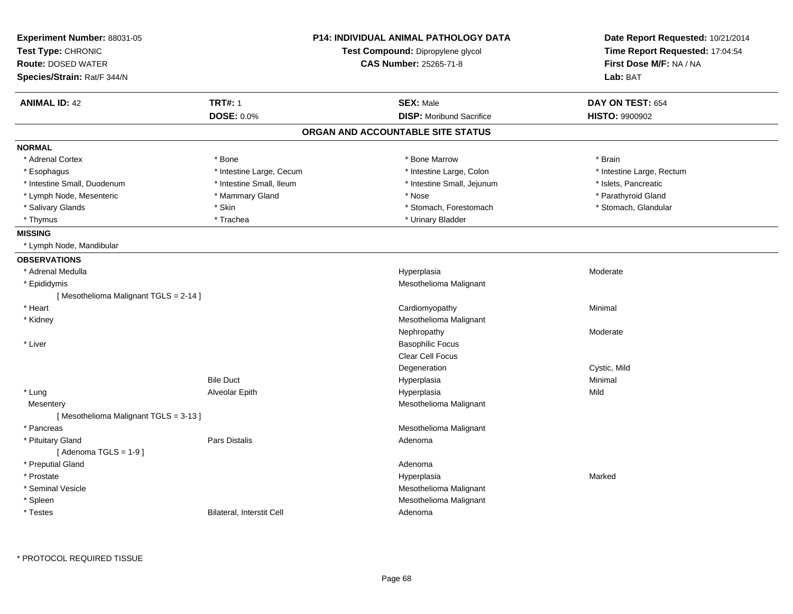| Experiment Number: 88031-05<br>Test Type: CHRONIC |                           | <b>P14: INDIVIDUAL ANIMAL PATHOLOGY DATA</b><br>Test Compound: Dipropylene glycol | Date Report Requested: 10/21/2014<br>Time Report Requested: 17:04:54 |  |
|---------------------------------------------------|---------------------------|-----------------------------------------------------------------------------------|----------------------------------------------------------------------|--|
| <b>Route: DOSED WATER</b>                         |                           | CAS Number: 25265-71-8                                                            | First Dose M/F: NA / NA                                              |  |
| Species/Strain: Rat/F 344/N                       |                           |                                                                                   | Lab: BAT                                                             |  |
| <b>ANIMAL ID: 42</b>                              | <b>TRT#: 1</b>            | <b>SEX: Male</b>                                                                  | DAY ON TEST: 654                                                     |  |
|                                                   | DOSE: 0.0%                | <b>DISP:</b> Moribund Sacrifice                                                   | <b>HISTO: 9900902</b>                                                |  |
|                                                   |                           | ORGAN AND ACCOUNTABLE SITE STATUS                                                 |                                                                      |  |
| <b>NORMAL</b>                                     |                           |                                                                                   |                                                                      |  |
| * Adrenal Cortex                                  | * Bone                    | * Bone Marrow                                                                     | * Brain                                                              |  |
| * Esophagus                                       | * Intestine Large, Cecum  | * Intestine Large, Colon                                                          | * Intestine Large, Rectum                                            |  |
| * Intestine Small, Duodenum                       | * Intestine Small, Ileum  | * Intestine Small, Jejunum                                                        | * Islets, Pancreatic                                                 |  |
| * Lymph Node, Mesenteric                          | * Mammary Gland           | * Nose                                                                            | * Parathyroid Gland                                                  |  |
| * Salivary Glands                                 | * Skin                    | * Stomach, Forestomach                                                            | * Stomach, Glandular                                                 |  |
| * Thymus                                          | * Trachea                 | * Urinary Bladder                                                                 |                                                                      |  |
| <b>MISSING</b>                                    |                           |                                                                                   |                                                                      |  |
| * Lymph Node, Mandibular                          |                           |                                                                                   |                                                                      |  |
| <b>OBSERVATIONS</b>                               |                           |                                                                                   |                                                                      |  |
| * Adrenal Medulla                                 |                           | Hyperplasia                                                                       | Moderate                                                             |  |
| * Epididymis                                      |                           | Mesothelioma Malignant                                                            |                                                                      |  |
| [Mesothelioma Malignant TGLS = 2-14]              |                           |                                                                                   |                                                                      |  |
| * Heart                                           |                           | Cardiomyopathy                                                                    | Minimal                                                              |  |
| * Kidney                                          |                           | Mesothelioma Malignant                                                            |                                                                      |  |
|                                                   |                           | Nephropathy                                                                       | Moderate                                                             |  |
| * Liver                                           |                           | <b>Basophilic Focus</b>                                                           |                                                                      |  |
|                                                   |                           | Clear Cell Focus                                                                  |                                                                      |  |
|                                                   |                           | Degeneration                                                                      | Cystic, Mild                                                         |  |
|                                                   | <b>Bile Duct</b>          | Hyperplasia                                                                       | Minimal                                                              |  |
| * Lung                                            | Alveolar Epith            | Hyperplasia                                                                       | Mild                                                                 |  |
| Mesentery                                         |                           | Mesothelioma Malignant                                                            |                                                                      |  |
| [Mesothelioma Malignant TGLS = 3-13]              |                           |                                                                                   |                                                                      |  |
| * Pancreas                                        |                           | Mesothelioma Malignant                                                            |                                                                      |  |
| * Pituitary Gland                                 | <b>Pars Distalis</b>      | Adenoma                                                                           |                                                                      |  |
| [Adenoma TGLS = $1-9$ ]                           |                           |                                                                                   |                                                                      |  |
| * Preputial Gland                                 |                           | Adenoma                                                                           |                                                                      |  |
| * Prostate                                        |                           | Hyperplasia                                                                       | Marked                                                               |  |
| * Seminal Vesicle                                 |                           | Mesothelioma Malignant                                                            |                                                                      |  |
| * Spleen                                          |                           | Mesothelioma Malignant                                                            |                                                                      |  |
| * Testes                                          | Bilateral, Interstit Cell | Adenoma                                                                           |                                                                      |  |
|                                                   |                           |                                                                                   |                                                                      |  |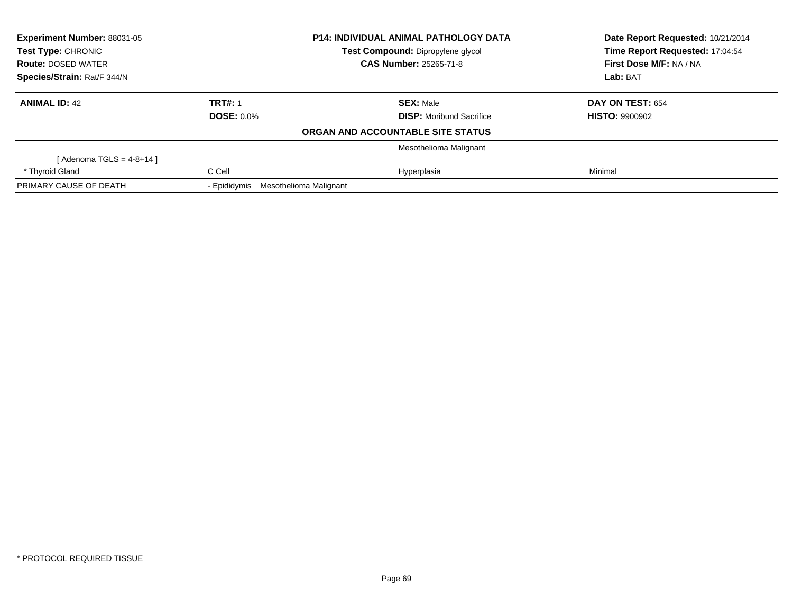| Experiment Number: 88031-05 |                                     | <b>P14: INDIVIDUAL ANIMAL PATHOLOGY DATA</b> | Date Report Requested: 10/21/2014 |
|-----------------------------|-------------------------------------|----------------------------------------------|-----------------------------------|
| <b>Test Type: CHRONIC</b>   |                                     | Test Compound: Dipropylene glycol            | Time Report Requested: 17:04:54   |
| <b>Route: DOSED WATER</b>   |                                     | <b>CAS Number: 25265-71-8</b>                | First Dose M/F: NA / NA           |
| Species/Strain: Rat/F 344/N |                                     |                                              | Lab: BAT                          |
| <b>ANIMAL ID: 42</b>        | <b>TRT#: 1</b>                      | <b>SEX: Male</b>                             | DAY ON TEST: 654                  |
|                             | <b>DOSE: 0.0%</b>                   | <b>DISP:</b> Moribund Sacrifice              | <b>HISTO: 9900902</b>             |
|                             |                                     | ORGAN AND ACCOUNTABLE SITE STATUS            |                                   |
|                             |                                     | Mesothelioma Malignant                       |                                   |
| [Adenoma TGLS = $4-8+14$ ]  |                                     |                                              |                                   |
| * Thyroid Gland             | C Cell                              | Hyperplasia                                  | Minimal                           |
| PRIMARY CAUSE OF DEATH      | - Epididymis Mesothelioma Malignant |                                              |                                   |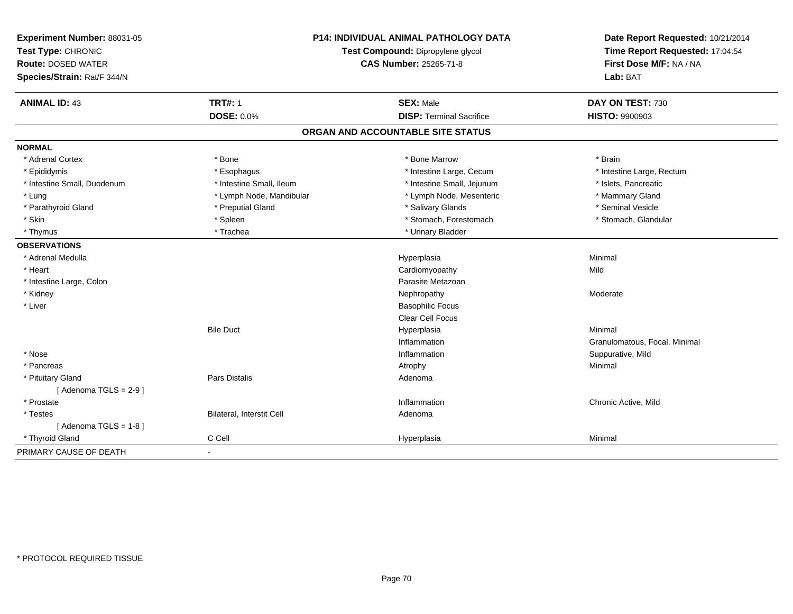| Experiment Number: 88031-05<br>Test Type: CHRONIC<br><b>Route: DOSED WATER</b><br>Species/Strain: Rat/F 344/N | <b>P14: INDIVIDUAL ANIMAL PATHOLOGY DATA</b><br>Test Compound: Dipropylene glycol<br><b>CAS Number: 25265-71-8</b> |                                   | Date Report Requested: 10/21/2014<br>Time Report Requested: 17:04:54<br>First Dose M/F: NA / NA<br>Lab: BAT |  |
|---------------------------------------------------------------------------------------------------------------|--------------------------------------------------------------------------------------------------------------------|-----------------------------------|-------------------------------------------------------------------------------------------------------------|--|
|                                                                                                               | <b>TRT#: 1</b>                                                                                                     | <b>SEX: Male</b>                  |                                                                                                             |  |
| <b>ANIMAL ID: 43</b>                                                                                          | <b>DOSE: 0.0%</b>                                                                                                  | <b>DISP: Terminal Sacrifice</b>   | DAY ON TEST: 730<br><b>HISTO: 9900903</b>                                                                   |  |
|                                                                                                               |                                                                                                                    |                                   |                                                                                                             |  |
|                                                                                                               |                                                                                                                    | ORGAN AND ACCOUNTABLE SITE STATUS |                                                                                                             |  |
| <b>NORMAL</b>                                                                                                 |                                                                                                                    |                                   |                                                                                                             |  |
| * Adrenal Cortex                                                                                              | * Bone                                                                                                             | * Bone Marrow                     | * Brain                                                                                                     |  |
| * Epididymis                                                                                                  | * Esophagus                                                                                                        | * Intestine Large, Cecum          | * Intestine Large, Rectum                                                                                   |  |
| * Intestine Small, Duodenum                                                                                   | * Intestine Small, Ileum                                                                                           | * Intestine Small, Jejunum        | * Islets, Pancreatic                                                                                        |  |
| * Lung                                                                                                        | * Lymph Node, Mandibular                                                                                           | * Lymph Node, Mesenteric          | * Mammary Gland                                                                                             |  |
| * Parathyroid Gland                                                                                           | * Preputial Gland                                                                                                  | * Salivary Glands                 | * Seminal Vesicle                                                                                           |  |
| * Skin                                                                                                        | * Spleen                                                                                                           | * Stomach, Forestomach            | * Stomach, Glandular                                                                                        |  |
| * Thymus                                                                                                      | * Trachea                                                                                                          | * Urinary Bladder                 |                                                                                                             |  |
| <b>OBSERVATIONS</b>                                                                                           |                                                                                                                    |                                   |                                                                                                             |  |
| * Adrenal Medulla                                                                                             |                                                                                                                    | Hyperplasia                       | Minimal                                                                                                     |  |
| * Heart                                                                                                       |                                                                                                                    | Cardiomyopathy                    | Mild                                                                                                        |  |
| * Intestine Large, Colon                                                                                      |                                                                                                                    | Parasite Metazoan                 |                                                                                                             |  |
| * Kidney                                                                                                      |                                                                                                                    | Nephropathy                       | Moderate                                                                                                    |  |
| * Liver                                                                                                       |                                                                                                                    | <b>Basophilic Focus</b>           |                                                                                                             |  |
|                                                                                                               |                                                                                                                    | Clear Cell Focus                  |                                                                                                             |  |
|                                                                                                               | <b>Bile Duct</b>                                                                                                   | Hyperplasia                       | Minimal                                                                                                     |  |
|                                                                                                               |                                                                                                                    | Inflammation                      | Granulomatous, Focal, Minimal                                                                               |  |
| * Nose                                                                                                        |                                                                                                                    | Inflammation                      | Suppurative, Mild                                                                                           |  |
| * Pancreas                                                                                                    |                                                                                                                    | Atrophy                           | Minimal                                                                                                     |  |
| * Pituitary Gland                                                                                             | Pars Distalis                                                                                                      | Adenoma                           |                                                                                                             |  |
| [Adenoma TGLS = $2-9$ ]                                                                                       |                                                                                                                    |                                   |                                                                                                             |  |
| * Prostate                                                                                                    |                                                                                                                    | Inflammation                      | Chronic Active, Mild                                                                                        |  |
| * Testes                                                                                                      | Bilateral, Interstit Cell                                                                                          | Adenoma                           |                                                                                                             |  |
| [Adenoma TGLS = $1-8$ ]                                                                                       |                                                                                                                    |                                   |                                                                                                             |  |
| * Thyroid Gland                                                                                               | C Cell                                                                                                             | Hyperplasia                       | Minimal                                                                                                     |  |
| PRIMARY CAUSE OF DEATH                                                                                        | $\sim$                                                                                                             |                                   |                                                                                                             |  |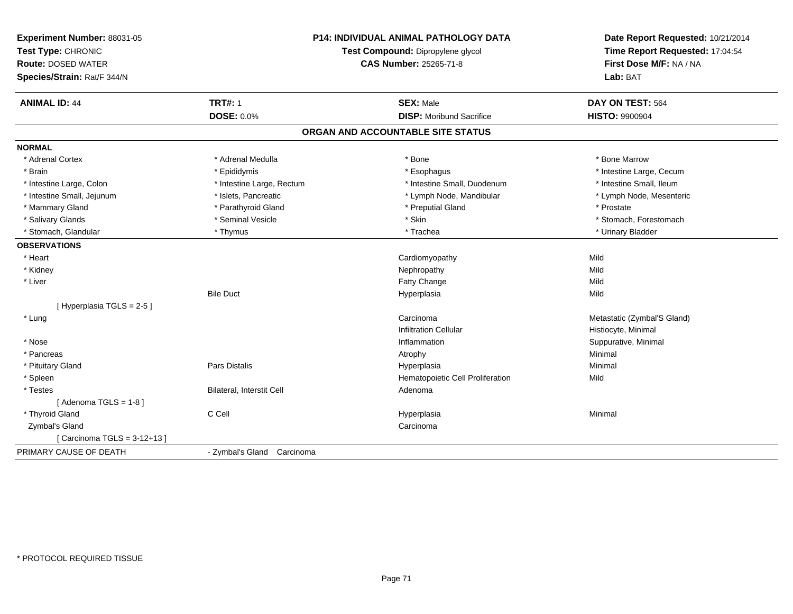| Experiment Number: 88031-05<br>Test Type: CHRONIC<br><b>Route: DOSED WATER</b><br>Species/Strain: Rat/F 344/N | <b>P14: INDIVIDUAL ANIMAL PATHOLOGY DATA</b><br>Test Compound: Dipropylene glycol<br><b>CAS Number: 25265-71-8</b> |                                   | Date Report Requested: 10/21/2014<br>Time Report Requested: 17:04:54<br>First Dose M/F: NA / NA<br>Lab: BAT |  |
|---------------------------------------------------------------------------------------------------------------|--------------------------------------------------------------------------------------------------------------------|-----------------------------------|-------------------------------------------------------------------------------------------------------------|--|
| <b>ANIMAL ID: 44</b>                                                                                          | <b>TRT#: 1</b>                                                                                                     | <b>SEX: Male</b>                  | DAY ON TEST: 564                                                                                            |  |
|                                                                                                               | DOSE: 0.0%                                                                                                         | <b>DISP:</b> Moribund Sacrifice   | <b>HISTO: 9900904</b>                                                                                       |  |
|                                                                                                               |                                                                                                                    | ORGAN AND ACCOUNTABLE SITE STATUS |                                                                                                             |  |
| <b>NORMAL</b>                                                                                                 |                                                                                                                    |                                   |                                                                                                             |  |
| * Adrenal Cortex                                                                                              | * Adrenal Medulla                                                                                                  | * Bone                            | * Bone Marrow                                                                                               |  |
| * Brain                                                                                                       | * Epididymis                                                                                                       | * Esophagus                       | * Intestine Large, Cecum                                                                                    |  |
| * Intestine Large, Colon                                                                                      | * Intestine Large, Rectum                                                                                          | * Intestine Small, Duodenum       | * Intestine Small, Ileum                                                                                    |  |
| * Intestine Small, Jejunum                                                                                    | * Islets, Pancreatic                                                                                               | * Lymph Node, Mandibular          | * Lymph Node, Mesenteric                                                                                    |  |
| * Mammary Gland                                                                                               | * Parathyroid Gland                                                                                                | * Preputial Gland                 | * Prostate                                                                                                  |  |
| * Salivary Glands                                                                                             | * Seminal Vesicle                                                                                                  | * Skin                            | * Stomach, Forestomach                                                                                      |  |
| * Stomach, Glandular                                                                                          | * Thymus                                                                                                           | * Trachea                         | * Urinary Bladder                                                                                           |  |
| <b>OBSERVATIONS</b>                                                                                           |                                                                                                                    |                                   |                                                                                                             |  |
| * Heart                                                                                                       |                                                                                                                    | Cardiomyopathy                    | Mild                                                                                                        |  |
| * Kidney                                                                                                      |                                                                                                                    | Nephropathy                       | Mild                                                                                                        |  |
| * Liver                                                                                                       |                                                                                                                    | Fatty Change                      | Mild                                                                                                        |  |
|                                                                                                               | <b>Bile Duct</b>                                                                                                   | Hyperplasia                       | Mild                                                                                                        |  |
| [Hyperplasia TGLS = 2-5]                                                                                      |                                                                                                                    |                                   |                                                                                                             |  |
| * Lung                                                                                                        |                                                                                                                    | Carcinoma                         | Metastatic (Zymbal'S Gland)                                                                                 |  |
|                                                                                                               |                                                                                                                    | <b>Infiltration Cellular</b>      | Histiocyte, Minimal                                                                                         |  |
| * Nose                                                                                                        |                                                                                                                    | Inflammation                      | Suppurative, Minimal                                                                                        |  |
| * Pancreas                                                                                                    |                                                                                                                    | Atrophy                           | Minimal                                                                                                     |  |
| * Pituitary Gland                                                                                             | Pars Distalis                                                                                                      | Hyperplasia                       | Minimal                                                                                                     |  |
| * Spleen                                                                                                      |                                                                                                                    | Hematopoietic Cell Proliferation  | Mild                                                                                                        |  |
| * Testes                                                                                                      | Bilateral, Interstit Cell                                                                                          | Adenoma                           |                                                                                                             |  |
| [Adenoma TGLS = $1-8$ ]                                                                                       |                                                                                                                    |                                   |                                                                                                             |  |
| * Thyroid Gland                                                                                               | C Cell                                                                                                             | Hyperplasia                       | Minimal                                                                                                     |  |
| Zymbal's Gland                                                                                                |                                                                                                                    | Carcinoma                         |                                                                                                             |  |
| [ Carcinoma TGLS = 3-12+13 ]                                                                                  |                                                                                                                    |                                   |                                                                                                             |  |
| PRIMARY CAUSE OF DEATH                                                                                        | - Zymbal's Gland Carcinoma                                                                                         |                                   |                                                                                                             |  |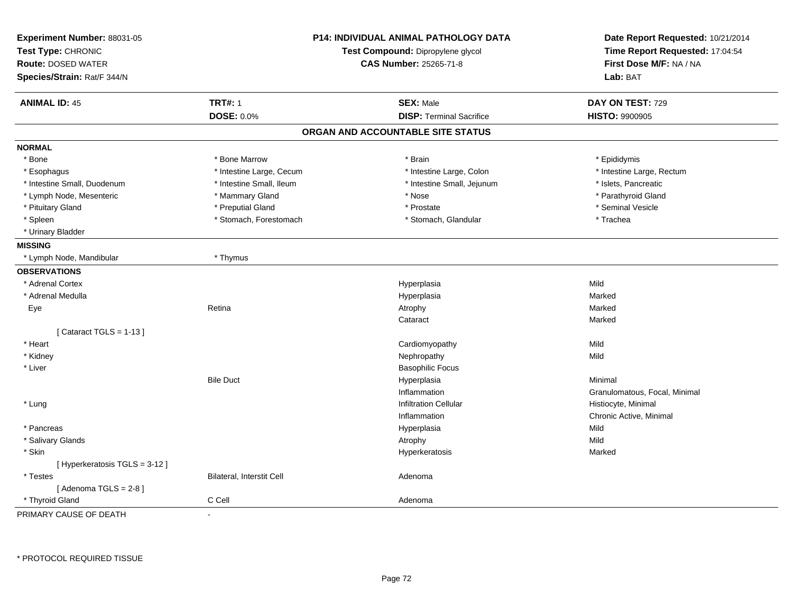| Experiment Number: 88031-05<br>Test Type: CHRONIC<br><b>Route: DOSED WATER</b><br>Species/Strain: Rat/F 344/N | <b>P14: INDIVIDUAL ANIMAL PATHOLOGY DATA</b><br>Test Compound: Dipropylene glycol<br><b>CAS Number: 25265-71-8</b> |                                   | Date Report Requested: 10/21/2014<br>Time Report Requested: 17:04:54<br>First Dose M/F: NA / NA<br>Lab: BAT |
|---------------------------------------------------------------------------------------------------------------|--------------------------------------------------------------------------------------------------------------------|-----------------------------------|-------------------------------------------------------------------------------------------------------------|
| <b>ANIMAL ID: 45</b>                                                                                          | <b>TRT#: 1</b>                                                                                                     | <b>SEX: Male</b>                  | DAY ON TEST: 729                                                                                            |
|                                                                                                               | <b>DOSE: 0.0%</b>                                                                                                  | <b>DISP: Terminal Sacrifice</b>   | <b>HISTO: 9900905</b>                                                                                       |
|                                                                                                               |                                                                                                                    | ORGAN AND ACCOUNTABLE SITE STATUS |                                                                                                             |
| <b>NORMAL</b>                                                                                                 |                                                                                                                    |                                   |                                                                                                             |
| * Bone                                                                                                        | * Bone Marrow                                                                                                      | * Brain                           | * Epididymis                                                                                                |
| * Esophagus                                                                                                   | * Intestine Large, Cecum                                                                                           | * Intestine Large, Colon          | * Intestine Large, Rectum                                                                                   |
| * Intestine Small, Duodenum                                                                                   | * Intestine Small, Ileum                                                                                           | * Intestine Small, Jejunum        | * Islets, Pancreatic                                                                                        |
| * Lymph Node, Mesenteric                                                                                      | * Mammary Gland                                                                                                    | * Nose                            | * Parathyroid Gland                                                                                         |
| * Pituitary Gland                                                                                             | * Preputial Gland                                                                                                  | * Prostate                        | * Seminal Vesicle                                                                                           |
| * Spleen                                                                                                      | * Stomach, Forestomach                                                                                             | * Stomach, Glandular              | * Trachea                                                                                                   |
| * Urinary Bladder                                                                                             |                                                                                                                    |                                   |                                                                                                             |
| <b>MISSING</b>                                                                                                |                                                                                                                    |                                   |                                                                                                             |
| * Lymph Node, Mandibular                                                                                      | * Thymus                                                                                                           |                                   |                                                                                                             |
| <b>OBSERVATIONS</b>                                                                                           |                                                                                                                    |                                   |                                                                                                             |
| * Adrenal Cortex                                                                                              |                                                                                                                    | Hyperplasia                       | Mild                                                                                                        |
| * Adrenal Medulla                                                                                             |                                                                                                                    | Hyperplasia                       | Marked                                                                                                      |
| Eye                                                                                                           | Retina                                                                                                             | Atrophy                           | Marked                                                                                                      |
|                                                                                                               |                                                                                                                    | Cataract                          | Marked                                                                                                      |
| [Cataract TGLS = $1-13$ ]                                                                                     |                                                                                                                    |                                   |                                                                                                             |
| * Heart                                                                                                       |                                                                                                                    | Cardiomyopathy                    | Mild                                                                                                        |
| * Kidney                                                                                                      |                                                                                                                    | Nephropathy                       | Mild                                                                                                        |
| * Liver                                                                                                       |                                                                                                                    | <b>Basophilic Focus</b>           |                                                                                                             |
|                                                                                                               | <b>Bile Duct</b>                                                                                                   | Hyperplasia                       | Minimal                                                                                                     |
|                                                                                                               |                                                                                                                    | Inflammation                      | Granulomatous, Focal, Minimal                                                                               |
| * Lung                                                                                                        |                                                                                                                    | <b>Infiltration Cellular</b>      | Histiocyte, Minimal                                                                                         |
|                                                                                                               |                                                                                                                    | Inflammation                      | Chronic Active, Minimal                                                                                     |
| * Pancreas                                                                                                    |                                                                                                                    | Hyperplasia                       | Mild                                                                                                        |
| * Salivary Glands                                                                                             |                                                                                                                    | Atrophy                           | Mild                                                                                                        |
| * Skin                                                                                                        |                                                                                                                    | Hyperkeratosis                    | Marked                                                                                                      |
| [ Hyperkeratosis TGLS = 3-12 ]                                                                                |                                                                                                                    |                                   |                                                                                                             |
| * Testes                                                                                                      | Bilateral, Interstit Cell                                                                                          | Adenoma                           |                                                                                                             |
| [Adenoma TGLS = $2-8$ ]                                                                                       |                                                                                                                    |                                   |                                                                                                             |
| * Thyroid Gland                                                                                               | C Cell                                                                                                             | Adenoma                           |                                                                                                             |
| PRIMARY CAUSE OF DEATH                                                                                        |                                                                                                                    |                                   |                                                                                                             |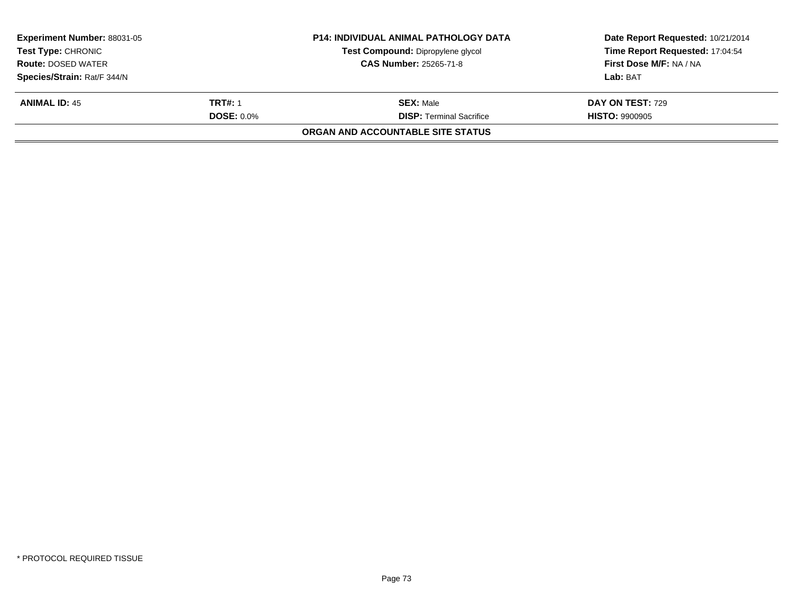| <b>Experiment Number: 88031-05</b><br><b>Test Type: CHRONIC</b> |                   | <b>P14: INDIVIDUAL ANIMAL PATHOLOGY DATA</b> | Date Report Requested: 10/21/2014 |  |
|-----------------------------------------------------------------|-------------------|----------------------------------------------|-----------------------------------|--|
|                                                                 |                   | Test Compound: Dipropylene glycol            | Time Report Requested: 17:04:54   |  |
| <b>Route: DOSED WATER</b>                                       |                   | <b>CAS Number: 25265-71-8</b>                | First Dose M/F: NA / NA           |  |
| Species/Strain: Rat/F 344/N                                     |                   |                                              | Lab: BAT                          |  |
| <b>ANIMAL ID: 45</b>                                            | <b>TRT#: 1</b>    | <b>SEX:</b> Male                             | <b>DAY ON TEST: 729</b>           |  |
|                                                                 | <b>DOSE: 0.0%</b> | <b>DISP: Terminal Sacrifice</b>              | <b>HISTO: 9900905</b>             |  |
|                                                                 |                   | ORGAN AND ACCOUNTABLE SITE STATUS            |                                   |  |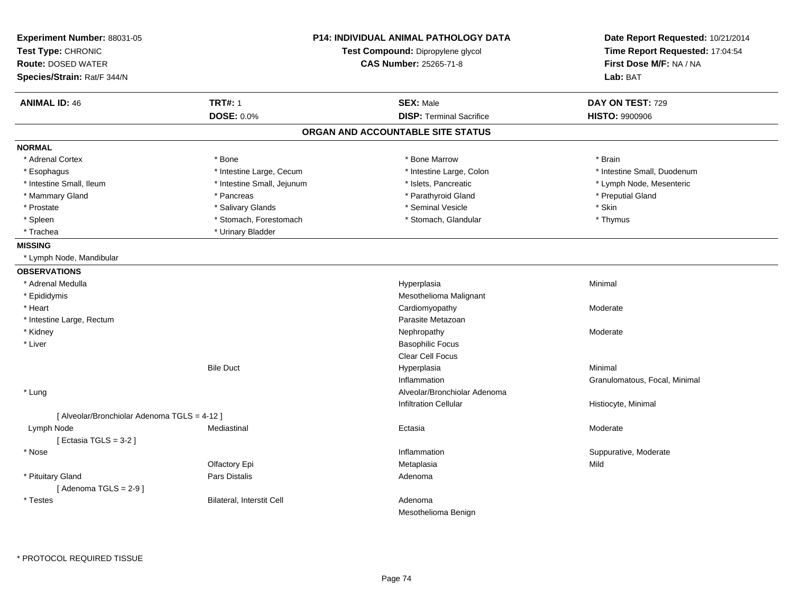| Experiment Number: 88031-05<br>Test Type: CHRONIC<br><b>Route: DOSED WATER</b><br>Species/Strain: Rat/F 344/N |                            | P14: INDIVIDUAL ANIMAL PATHOLOGY DATA<br>Test Compound: Dipropylene glycol<br>CAS Number: 25265-71-8 | Date Report Requested: 10/21/2014<br>Time Report Requested: 17:04:54<br>First Dose M/F: NA / NA<br>Lab: BAT |
|---------------------------------------------------------------------------------------------------------------|----------------------------|------------------------------------------------------------------------------------------------------|-------------------------------------------------------------------------------------------------------------|
| <b>ANIMAL ID: 46</b>                                                                                          | <b>TRT#: 1</b>             | <b>SEX: Male</b>                                                                                     | DAY ON TEST: 729                                                                                            |
|                                                                                                               | <b>DOSE: 0.0%</b>          | <b>DISP: Terminal Sacrifice</b>                                                                      | <b>HISTO: 9900906</b>                                                                                       |
|                                                                                                               |                            | ORGAN AND ACCOUNTABLE SITE STATUS                                                                    |                                                                                                             |
| <b>NORMAL</b>                                                                                                 |                            |                                                                                                      |                                                                                                             |
| * Adrenal Cortex                                                                                              | * Bone                     | * Bone Marrow                                                                                        | * Brain                                                                                                     |
| * Esophagus                                                                                                   | * Intestine Large, Cecum   | * Intestine Large, Colon                                                                             | * Intestine Small, Duodenum                                                                                 |
| * Intestine Small, Ileum                                                                                      | * Intestine Small, Jejunum | * Islets, Pancreatic                                                                                 | * Lymph Node, Mesenteric                                                                                    |
| * Mammary Gland                                                                                               | * Pancreas                 | * Parathyroid Gland                                                                                  | * Preputial Gland                                                                                           |
| * Prostate                                                                                                    | * Salivary Glands          | * Seminal Vesicle                                                                                    | * Skin                                                                                                      |
| * Spleen                                                                                                      | * Stomach, Forestomach     | * Stomach, Glandular                                                                                 | * Thymus                                                                                                    |
| * Trachea                                                                                                     | * Urinary Bladder          |                                                                                                      |                                                                                                             |
| <b>MISSING</b>                                                                                                |                            |                                                                                                      |                                                                                                             |
| * Lymph Node, Mandibular                                                                                      |                            |                                                                                                      |                                                                                                             |
| <b>OBSERVATIONS</b>                                                                                           |                            |                                                                                                      |                                                                                                             |
| * Adrenal Medulla                                                                                             |                            | Hyperplasia                                                                                          | Minimal                                                                                                     |
| * Epididymis                                                                                                  |                            | Mesothelioma Malignant                                                                               |                                                                                                             |
| * Heart                                                                                                       |                            | Cardiomyopathy                                                                                       | Moderate                                                                                                    |
| * Intestine Large, Rectum                                                                                     |                            | Parasite Metazoan                                                                                    |                                                                                                             |
| * Kidney                                                                                                      |                            | Nephropathy                                                                                          | Moderate                                                                                                    |
| * Liver                                                                                                       |                            | <b>Basophilic Focus</b>                                                                              |                                                                                                             |
|                                                                                                               |                            | Clear Cell Focus                                                                                     |                                                                                                             |
|                                                                                                               | <b>Bile Duct</b>           | Hyperplasia                                                                                          | Minimal                                                                                                     |
|                                                                                                               |                            | Inflammation                                                                                         | Granulomatous, Focal, Minimal                                                                               |
| * Lung                                                                                                        |                            | Alveolar/Bronchiolar Adenoma                                                                         |                                                                                                             |
|                                                                                                               |                            | <b>Infiltration Cellular</b>                                                                         | Histiocyte, Minimal                                                                                         |
| [ Alveolar/Bronchiolar Adenoma TGLS = 4-12 ]                                                                  |                            |                                                                                                      |                                                                                                             |
| Lymph Node                                                                                                    | Mediastinal                | Ectasia                                                                                              | Moderate                                                                                                    |
| [ Ectasia TGLS = $3-2$ ]                                                                                      |                            |                                                                                                      |                                                                                                             |
| * Nose                                                                                                        |                            | Inflammation                                                                                         | Suppurative, Moderate                                                                                       |
|                                                                                                               | Olfactory Epi              | Metaplasia                                                                                           | Mild                                                                                                        |
| * Pituitary Gland                                                                                             | Pars Distalis              | Adenoma                                                                                              |                                                                                                             |
| [Adenoma TGLS = $2-9$ ]                                                                                       |                            |                                                                                                      |                                                                                                             |
| * Testes                                                                                                      | Bilateral, Interstit Cell  | Adenoma                                                                                              |                                                                                                             |
|                                                                                                               |                            | Mesothelioma Benign                                                                                  |                                                                                                             |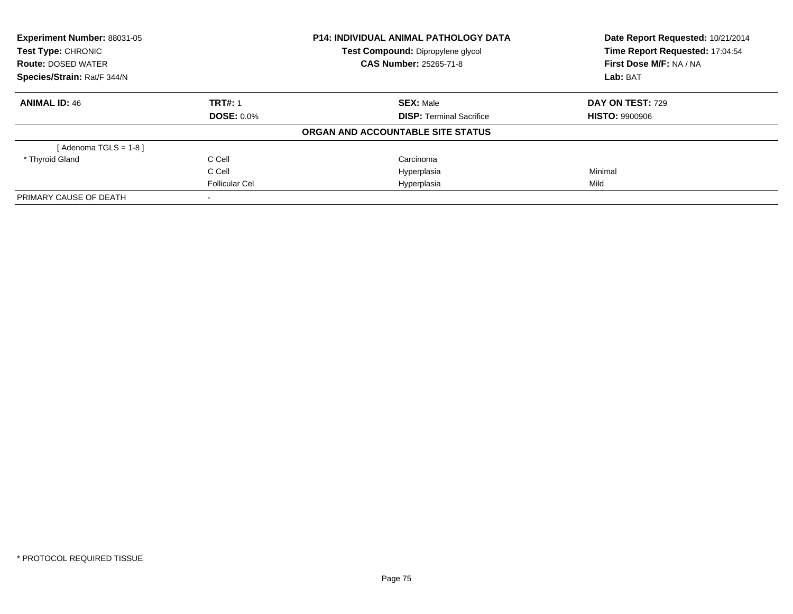| Experiment Number: 88031-05<br><b>Test Type: CHRONIC</b> |                       | <b>P14: INDIVIDUAL ANIMAL PATHOLOGY DATA</b> | Date Report Requested: 10/21/2014<br>Time Report Requested: 17:04:54 |
|----------------------------------------------------------|-----------------------|----------------------------------------------|----------------------------------------------------------------------|
|                                                          |                       | Test Compound: Dipropylene glycol            |                                                                      |
| <b>Route: DOSED WATER</b>                                |                       | <b>CAS Number: 25265-71-8</b>                | First Dose M/F: NA / NA                                              |
| Species/Strain: Rat/F 344/N                              |                       |                                              | Lab: BAT                                                             |
| <b>ANIMAL ID: 46</b>                                     | <b>TRT#: 1</b>        | <b>SEX: Male</b>                             | <b>DAY ON TEST: 729</b>                                              |
|                                                          | <b>DOSE: 0.0%</b>     | <b>DISP: Terminal Sacrifice</b>              | <b>HISTO: 9900906</b>                                                |
|                                                          |                       | ORGAN AND ACCOUNTABLE SITE STATUS            |                                                                      |
| [Adenoma TGLS = $1-8$ ]                                  |                       |                                              |                                                                      |
| * Thyroid Gland                                          | C Cell                | Carcinoma                                    |                                                                      |
|                                                          | C Cell                | Hyperplasia                                  | Minimal                                                              |
|                                                          | <b>Follicular Cel</b> | Hyperplasia                                  | Mild                                                                 |
| PRIMARY CAUSE OF DEATH                                   |                       |                                              |                                                                      |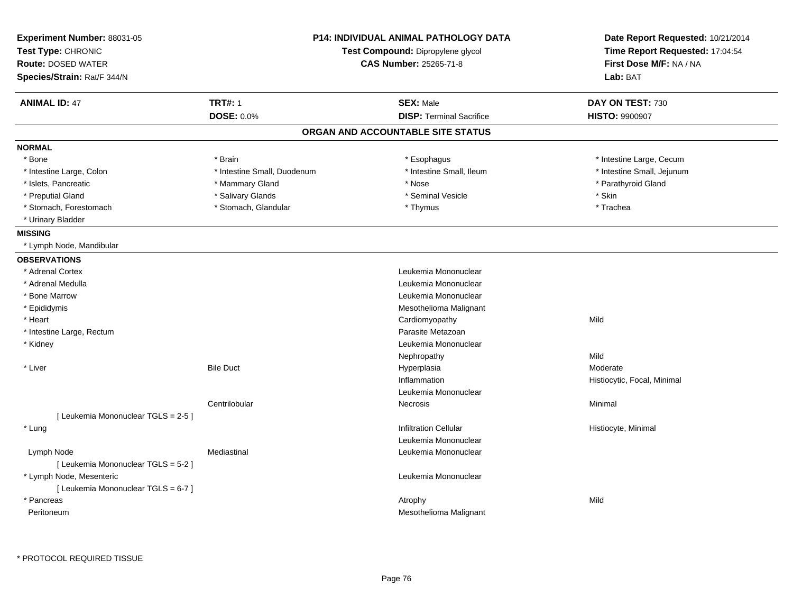| Experiment Number: 88031-05<br>Test Type: CHRONIC<br><b>Route: DOSED WATER</b><br>Species/Strain: Rat/F 344/N |                             | <b>P14: INDIVIDUAL ANIMAL PATHOLOGY DATA</b><br>Test Compound: Dipropylene glycol<br><b>CAS Number: 25265-71-8</b> | Date Report Requested: 10/21/2014<br>Time Report Requested: 17:04:54<br>First Dose M/F: NA / NA<br>Lab: BAT |
|---------------------------------------------------------------------------------------------------------------|-----------------------------|--------------------------------------------------------------------------------------------------------------------|-------------------------------------------------------------------------------------------------------------|
| <b>ANIMAL ID: 47</b>                                                                                          | <b>TRT#: 1</b>              | <b>SEX: Male</b>                                                                                                   | DAY ON TEST: 730                                                                                            |
|                                                                                                               | <b>DOSE: 0.0%</b>           | <b>DISP: Terminal Sacrifice</b>                                                                                    | <b>HISTO: 9900907</b>                                                                                       |
|                                                                                                               |                             | ORGAN AND ACCOUNTABLE SITE STATUS                                                                                  |                                                                                                             |
| <b>NORMAL</b>                                                                                                 |                             |                                                                                                                    |                                                                                                             |
| * Bone                                                                                                        | * Brain                     | * Esophagus                                                                                                        | * Intestine Large, Cecum                                                                                    |
| * Intestine Large, Colon                                                                                      | * Intestine Small, Duodenum | * Intestine Small, Ileum                                                                                           | * Intestine Small, Jejunum                                                                                  |
| * Islets, Pancreatic                                                                                          | * Mammary Gland             | * Nose                                                                                                             | * Parathyroid Gland                                                                                         |
| * Preputial Gland                                                                                             | * Salivary Glands           | * Seminal Vesicle                                                                                                  | * Skin                                                                                                      |
| * Stomach, Forestomach                                                                                        | * Stomach, Glandular        | * Thymus                                                                                                           | * Trachea                                                                                                   |
| * Urinary Bladder                                                                                             |                             |                                                                                                                    |                                                                                                             |
| <b>MISSING</b>                                                                                                |                             |                                                                                                                    |                                                                                                             |
| * Lymph Node, Mandibular                                                                                      |                             |                                                                                                                    |                                                                                                             |
| <b>OBSERVATIONS</b>                                                                                           |                             |                                                                                                                    |                                                                                                             |
| * Adrenal Cortex                                                                                              |                             | Leukemia Mononuclear                                                                                               |                                                                                                             |
| * Adrenal Medulla                                                                                             |                             | Leukemia Mononuclear                                                                                               |                                                                                                             |
| * Bone Marrow                                                                                                 |                             | Leukemia Mononuclear                                                                                               |                                                                                                             |
| * Epididymis                                                                                                  |                             | Mesothelioma Malignant                                                                                             |                                                                                                             |
| * Heart                                                                                                       |                             | Cardiomyopathy                                                                                                     | Mild                                                                                                        |
| * Intestine Large, Rectum                                                                                     |                             | Parasite Metazoan                                                                                                  |                                                                                                             |
| * Kidney                                                                                                      |                             | Leukemia Mononuclear                                                                                               |                                                                                                             |
|                                                                                                               |                             | Nephropathy                                                                                                        | Mild                                                                                                        |
| * Liver                                                                                                       | <b>Bile Duct</b>            | Hyperplasia                                                                                                        | Moderate                                                                                                    |
|                                                                                                               |                             | Inflammation                                                                                                       | Histiocytic, Focal, Minimal                                                                                 |
|                                                                                                               |                             | Leukemia Mononuclear                                                                                               |                                                                                                             |
|                                                                                                               | Centrilobular               | Necrosis                                                                                                           | Minimal                                                                                                     |
| [ Leukemia Mononuclear TGLS = 2-5 ]                                                                           |                             |                                                                                                                    |                                                                                                             |
| * Lung                                                                                                        |                             | <b>Infiltration Cellular</b>                                                                                       | Histiocyte, Minimal                                                                                         |
|                                                                                                               |                             | Leukemia Mononuclear                                                                                               |                                                                                                             |
| Lymph Node                                                                                                    | Mediastinal                 | Leukemia Mononuclear                                                                                               |                                                                                                             |
| [ Leukemia Mononuclear TGLS = 5-2 ]                                                                           |                             |                                                                                                                    |                                                                                                             |
| * Lymph Node, Mesenteric                                                                                      |                             | Leukemia Mononuclear                                                                                               |                                                                                                             |
| [ Leukemia Mononuclear TGLS = 6-7 ]                                                                           |                             |                                                                                                                    |                                                                                                             |
| * Pancreas                                                                                                    |                             | Atrophy                                                                                                            | Mild                                                                                                        |
| Peritoneum                                                                                                    |                             | Mesothelioma Malignant                                                                                             |                                                                                                             |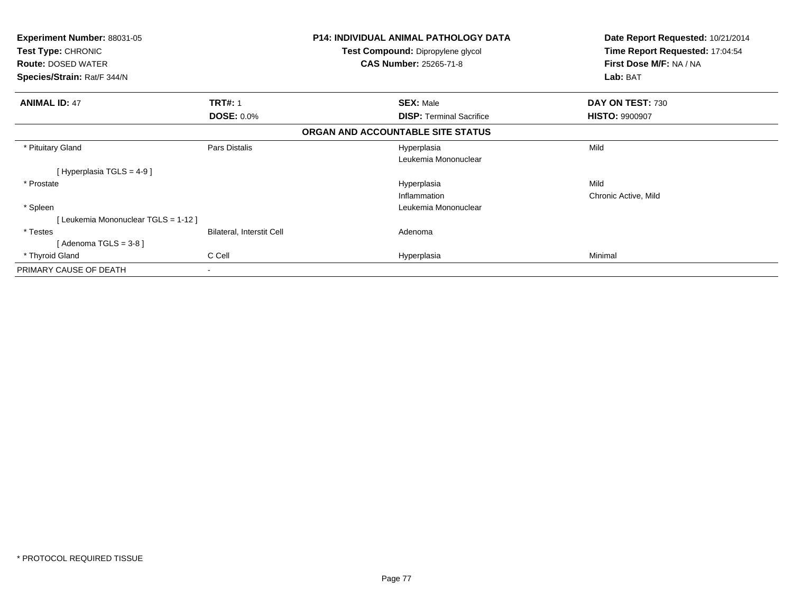| <b>Experiment Number: 88031-05</b><br>Test Type: CHRONIC<br><b>Route: DOSED WATER</b><br>Species/Strain: Rat/F 344/N |                           | <b>P14: INDIVIDUAL ANIMAL PATHOLOGY DATA</b><br>Test Compound: Dipropylene glycol<br><b>CAS Number: 25265-71-8</b> | Date Report Requested: 10/21/2014<br>Time Report Requested: 17:04:54<br>First Dose M/F: NA / NA<br>Lab: BAT |
|----------------------------------------------------------------------------------------------------------------------|---------------------------|--------------------------------------------------------------------------------------------------------------------|-------------------------------------------------------------------------------------------------------------|
| <b>ANIMAL ID: 47</b>                                                                                                 | <b>TRT#: 1</b>            | <b>SEX: Male</b>                                                                                                   | DAY ON TEST: 730                                                                                            |
|                                                                                                                      | <b>DOSE: 0.0%</b>         | <b>DISP:</b> Terminal Sacrifice                                                                                    | <b>HISTO: 9900907</b>                                                                                       |
|                                                                                                                      |                           | ORGAN AND ACCOUNTABLE SITE STATUS                                                                                  |                                                                                                             |
| * Pituitary Gland                                                                                                    | Pars Distalis             | Hyperplasia                                                                                                        | Mild                                                                                                        |
|                                                                                                                      |                           | Leukemia Mononuclear                                                                                               |                                                                                                             |
| [Hyperplasia TGLS = 4-9 ]                                                                                            |                           |                                                                                                                    |                                                                                                             |
| * Prostate                                                                                                           |                           | Hyperplasia                                                                                                        | Mild                                                                                                        |
|                                                                                                                      |                           | Inflammation                                                                                                       | Chronic Active, Mild                                                                                        |
| * Spleen                                                                                                             |                           | Leukemia Mononuclear                                                                                               |                                                                                                             |
| [Leukemia Mononuclear TGLS = 1-12]                                                                                   |                           |                                                                                                                    |                                                                                                             |
| * Testes                                                                                                             | Bilateral, Interstit Cell | Adenoma                                                                                                            |                                                                                                             |
| Adenoma TGLS = 3-8 ]                                                                                                 |                           |                                                                                                                    |                                                                                                             |
| * Thyroid Gland                                                                                                      | C Cell                    | Hyperplasia                                                                                                        | Minimal                                                                                                     |
| PRIMARY CAUSE OF DEATH                                                                                               | ۰                         |                                                                                                                    |                                                                                                             |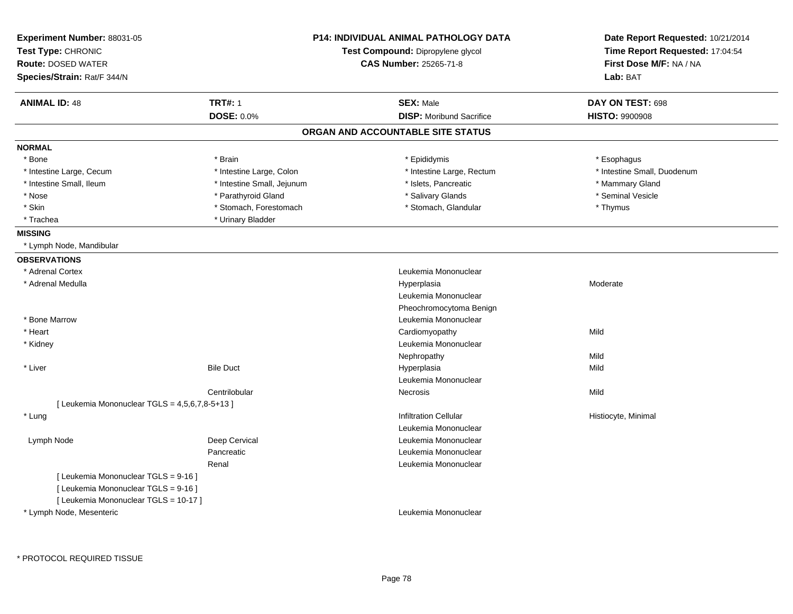| Experiment Number: 88031-05<br>Test Type: CHRONIC<br><b>Route: DOSED WATER</b><br>Species/Strain: Rat/F 344/N |                            | <b>P14: INDIVIDUAL ANIMAL PATHOLOGY DATA</b><br>Test Compound: Dipropylene glycol<br><b>CAS Number: 25265-71-8</b> | Date Report Requested: 10/21/2014<br>Time Report Requested: 17:04:54<br>First Dose M/F: NA / NA<br>Lab: BAT |
|---------------------------------------------------------------------------------------------------------------|----------------------------|--------------------------------------------------------------------------------------------------------------------|-------------------------------------------------------------------------------------------------------------|
| <b>ANIMAL ID: 48</b>                                                                                          | <b>TRT#: 1</b>             | <b>SEX: Male</b>                                                                                                   | DAY ON TEST: 698                                                                                            |
|                                                                                                               | <b>DOSE: 0.0%</b>          | <b>DISP:</b> Moribund Sacrifice                                                                                    | <b>HISTO: 9900908</b>                                                                                       |
|                                                                                                               |                            | ORGAN AND ACCOUNTABLE SITE STATUS                                                                                  |                                                                                                             |
| <b>NORMAL</b>                                                                                                 |                            |                                                                                                                    |                                                                                                             |
| * Bone                                                                                                        | * Brain                    | * Epididymis                                                                                                       | * Esophagus                                                                                                 |
| * Intestine Large, Cecum                                                                                      | * Intestine Large, Colon   | * Intestine Large, Rectum                                                                                          | * Intestine Small, Duodenum                                                                                 |
| * Intestine Small, Ileum                                                                                      | * Intestine Small, Jejunum | * Islets, Pancreatic                                                                                               | * Mammary Gland                                                                                             |
| * Nose                                                                                                        | * Parathyroid Gland        | * Salivary Glands                                                                                                  | * Seminal Vesicle                                                                                           |
| * Skin                                                                                                        | * Stomach, Forestomach     | * Stomach, Glandular                                                                                               | * Thymus                                                                                                    |
| * Trachea                                                                                                     | * Urinary Bladder          |                                                                                                                    |                                                                                                             |
| <b>MISSING</b>                                                                                                |                            |                                                                                                                    |                                                                                                             |
| * Lymph Node, Mandibular                                                                                      |                            |                                                                                                                    |                                                                                                             |
| <b>OBSERVATIONS</b>                                                                                           |                            |                                                                                                                    |                                                                                                             |
| * Adrenal Cortex                                                                                              |                            | Leukemia Mononuclear                                                                                               |                                                                                                             |
| * Adrenal Medulla                                                                                             |                            | Hyperplasia                                                                                                        | Moderate                                                                                                    |
|                                                                                                               |                            | Leukemia Mononuclear                                                                                               |                                                                                                             |
|                                                                                                               |                            | Pheochromocytoma Benign                                                                                            |                                                                                                             |
| * Bone Marrow                                                                                                 |                            | Leukemia Mononuclear                                                                                               |                                                                                                             |
| * Heart                                                                                                       |                            | Cardiomyopathy                                                                                                     | Mild                                                                                                        |
| * Kidney                                                                                                      |                            | Leukemia Mononuclear                                                                                               |                                                                                                             |
|                                                                                                               |                            | Nephropathy                                                                                                        | Mild                                                                                                        |
| * Liver                                                                                                       | <b>Bile Duct</b>           | Hyperplasia                                                                                                        | Mild                                                                                                        |
|                                                                                                               |                            | Leukemia Mononuclear                                                                                               |                                                                                                             |
|                                                                                                               | Centrilobular              | <b>Necrosis</b>                                                                                                    | Mild                                                                                                        |
| [ Leukemia Mononuclear TGLS = 4,5,6,7,8-5+13 ]                                                                |                            |                                                                                                                    |                                                                                                             |
| * Lung                                                                                                        |                            | <b>Infiltration Cellular</b>                                                                                       | Histiocyte, Minimal                                                                                         |
|                                                                                                               |                            | Leukemia Mononuclear                                                                                               |                                                                                                             |
| Lymph Node                                                                                                    | Deep Cervical              | Leukemia Mononuclear                                                                                               |                                                                                                             |
|                                                                                                               | Pancreatic                 | Leukemia Mononuclear                                                                                               |                                                                                                             |
|                                                                                                               | Renal                      | Leukemia Mononuclear                                                                                               |                                                                                                             |
| [ Leukemia Mononuclear TGLS = 9-16 ]                                                                          |                            |                                                                                                                    |                                                                                                             |
| [ Leukemia Mononuclear TGLS = 9-16 ]                                                                          |                            |                                                                                                                    |                                                                                                             |
| [ Leukemia Mononuclear TGLS = 10-17 ]                                                                         |                            |                                                                                                                    |                                                                                                             |
| * Lymph Node, Mesenteric                                                                                      |                            | Leukemia Mononuclear                                                                                               |                                                                                                             |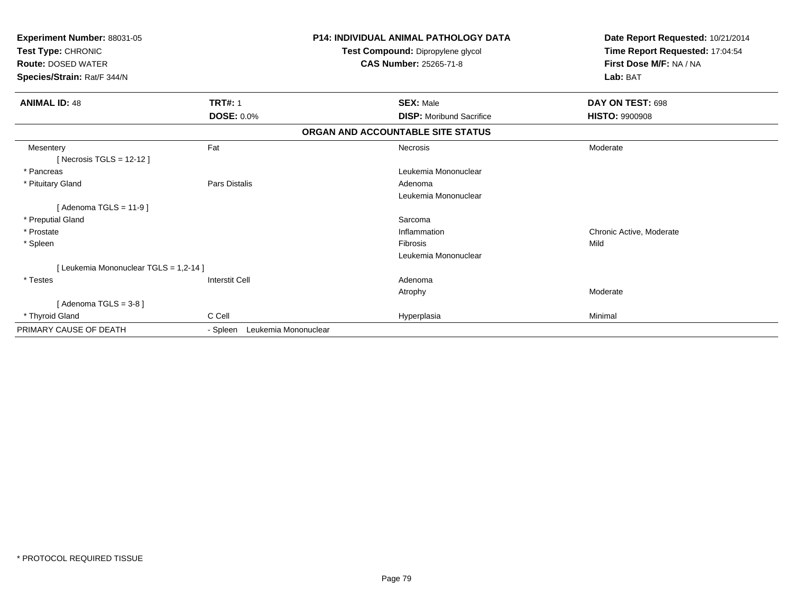| Experiment Number: 88031-05<br>Test Type: CHRONIC<br><b>Route: DOSED WATER</b><br>Species/Strain: Rat/F 344/N |                       | <b>P14: INDIVIDUAL ANIMAL PATHOLOGY DATA</b><br>Test Compound: Dipropylene glycol<br><b>CAS Number: 25265-71-8</b> | Date Report Requested: 10/21/2014<br>Time Report Requested: 17:04:54<br>First Dose M/F: NA / NA<br>Lab: BAT |
|---------------------------------------------------------------------------------------------------------------|-----------------------|--------------------------------------------------------------------------------------------------------------------|-------------------------------------------------------------------------------------------------------------|
| <b>ANIMAL ID: 48</b>                                                                                          | <b>TRT#: 1</b>        | <b>SEX: Male</b>                                                                                                   | DAY ON TEST: 698                                                                                            |
|                                                                                                               | <b>DOSE: 0.0%</b>     | <b>DISP:</b> Moribund Sacrifice                                                                                    | <b>HISTO: 9900908</b>                                                                                       |
|                                                                                                               |                       | ORGAN AND ACCOUNTABLE SITE STATUS                                                                                  |                                                                                                             |
| Mesentery<br>[Necrosis TGLS = $12-12$ ]                                                                       | Fat                   | Necrosis                                                                                                           | Moderate                                                                                                    |
| * Pancreas                                                                                                    |                       | Leukemia Mononuclear                                                                                               |                                                                                                             |
| * Pituitary Gland                                                                                             | Pars Distalis         | Adenoma                                                                                                            |                                                                                                             |
|                                                                                                               |                       | Leukemia Mononuclear                                                                                               |                                                                                                             |
| [Adenoma TGLS = $11-9$ ]                                                                                      |                       |                                                                                                                    |                                                                                                             |
| * Preputial Gland                                                                                             |                       | Sarcoma                                                                                                            |                                                                                                             |
| * Prostate                                                                                                    |                       | Inflammation                                                                                                       | Chronic Active, Moderate                                                                                    |
| * Spleen                                                                                                      |                       | Fibrosis                                                                                                           | Mild                                                                                                        |
|                                                                                                               |                       | Leukemia Mononuclear                                                                                               |                                                                                                             |
| [Leukemia Mononuclear TGLS = 1,2-14 ]                                                                         |                       |                                                                                                                    |                                                                                                             |
| * Testes                                                                                                      | <b>Interstit Cell</b> | Adenoma                                                                                                            |                                                                                                             |
|                                                                                                               |                       | Atrophy                                                                                                            | Moderate                                                                                                    |
| [Adenoma $TGLS = 3-8$ ]                                                                                       |                       |                                                                                                                    |                                                                                                             |
| * Thyroid Gland                                                                                               | C Cell                | Hyperplasia                                                                                                        | Minimal                                                                                                     |
| PRIMARY CAUSE OF DEATH                                                                                        | - Spleen              | Leukemia Mononuclear                                                                                               |                                                                                                             |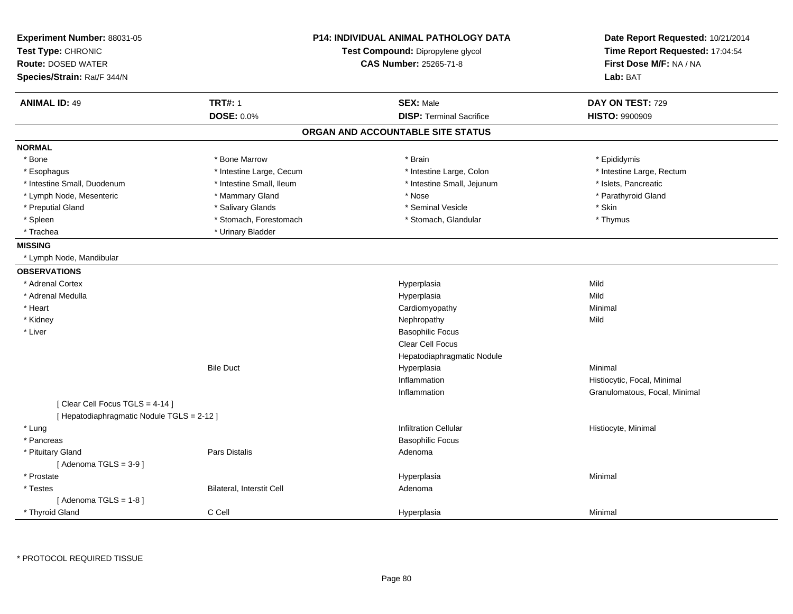| Experiment Number: 88031-05<br>Test Type: CHRONIC<br><b>Route: DOSED WATER</b><br>Species/Strain: Rat/F 344/N |                           | <b>P14: INDIVIDUAL ANIMAL PATHOLOGY DATA</b><br>Test Compound: Dipropylene glycol<br><b>CAS Number: 25265-71-8</b> | Date Report Requested: 10/21/2014<br>Time Report Requested: 17:04:54<br>First Dose M/F: NA / NA<br>Lab: BAT |
|---------------------------------------------------------------------------------------------------------------|---------------------------|--------------------------------------------------------------------------------------------------------------------|-------------------------------------------------------------------------------------------------------------|
| <b>ANIMAL ID: 49</b>                                                                                          | <b>TRT#: 1</b>            | <b>SEX: Male</b>                                                                                                   | DAY ON TEST: 729                                                                                            |
|                                                                                                               | <b>DOSE: 0.0%</b>         | <b>DISP: Terminal Sacrifice</b>                                                                                    | <b>HISTO: 9900909</b>                                                                                       |
|                                                                                                               |                           | ORGAN AND ACCOUNTABLE SITE STATUS                                                                                  |                                                                                                             |
| <b>NORMAL</b>                                                                                                 |                           |                                                                                                                    |                                                                                                             |
| * Bone                                                                                                        | * Bone Marrow             | * Brain                                                                                                            | * Epididymis                                                                                                |
| * Esophagus                                                                                                   | * Intestine Large, Cecum  | * Intestine Large, Colon                                                                                           | * Intestine Large, Rectum                                                                                   |
| * Intestine Small, Duodenum                                                                                   | * Intestine Small, Ileum  | * Intestine Small, Jejunum                                                                                         | * Islets, Pancreatic                                                                                        |
| * Lymph Node, Mesenteric                                                                                      | * Mammary Gland           | * Nose                                                                                                             | * Parathyroid Gland                                                                                         |
| * Preputial Gland                                                                                             | * Salivary Glands         | * Seminal Vesicle                                                                                                  | * Skin                                                                                                      |
| * Spleen                                                                                                      | * Stomach, Forestomach    | * Stomach, Glandular                                                                                               | * Thymus                                                                                                    |
| * Trachea                                                                                                     | * Urinary Bladder         |                                                                                                                    |                                                                                                             |
| <b>MISSING</b>                                                                                                |                           |                                                                                                                    |                                                                                                             |
| * Lymph Node, Mandibular                                                                                      |                           |                                                                                                                    |                                                                                                             |
| <b>OBSERVATIONS</b>                                                                                           |                           |                                                                                                                    |                                                                                                             |
| * Adrenal Cortex                                                                                              |                           | Hyperplasia                                                                                                        | Mild                                                                                                        |
| * Adrenal Medulla                                                                                             |                           | Hyperplasia                                                                                                        | Mild                                                                                                        |
| * Heart                                                                                                       |                           | Cardiomyopathy                                                                                                     | Minimal                                                                                                     |
| * Kidney                                                                                                      |                           | Nephropathy                                                                                                        | Mild                                                                                                        |
| * Liver                                                                                                       |                           | <b>Basophilic Focus</b>                                                                                            |                                                                                                             |
|                                                                                                               |                           | Clear Cell Focus                                                                                                   |                                                                                                             |
|                                                                                                               |                           | Hepatodiaphragmatic Nodule                                                                                         |                                                                                                             |
|                                                                                                               | <b>Bile Duct</b>          | Hyperplasia                                                                                                        | Minimal                                                                                                     |
|                                                                                                               |                           | Inflammation                                                                                                       | Histiocytic, Focal, Minimal                                                                                 |
|                                                                                                               |                           | Inflammation                                                                                                       | Granulomatous, Focal, Minimal                                                                               |
| [Clear Cell Focus TGLS = 4-14]                                                                                |                           |                                                                                                                    |                                                                                                             |
| [ Hepatodiaphragmatic Nodule TGLS = 2-12 ]                                                                    |                           |                                                                                                                    |                                                                                                             |
| * Lung                                                                                                        |                           | <b>Infiltration Cellular</b>                                                                                       | Histiocyte, Minimal                                                                                         |
| * Pancreas                                                                                                    |                           | <b>Basophilic Focus</b>                                                                                            |                                                                                                             |
| * Pituitary Gland                                                                                             | <b>Pars Distalis</b>      | Adenoma                                                                                                            |                                                                                                             |
| [Adenoma TGLS = $3-9$ ]                                                                                       |                           |                                                                                                                    |                                                                                                             |
| * Prostate                                                                                                    |                           | Hyperplasia                                                                                                        | Minimal                                                                                                     |
| * Testes                                                                                                      | Bilateral, Interstit Cell | Adenoma                                                                                                            |                                                                                                             |
| [Adenoma TGLS = $1-8$ ]                                                                                       |                           |                                                                                                                    |                                                                                                             |
| * Thyroid Gland                                                                                               | C Cell                    | Hyperplasia                                                                                                        | Minimal                                                                                                     |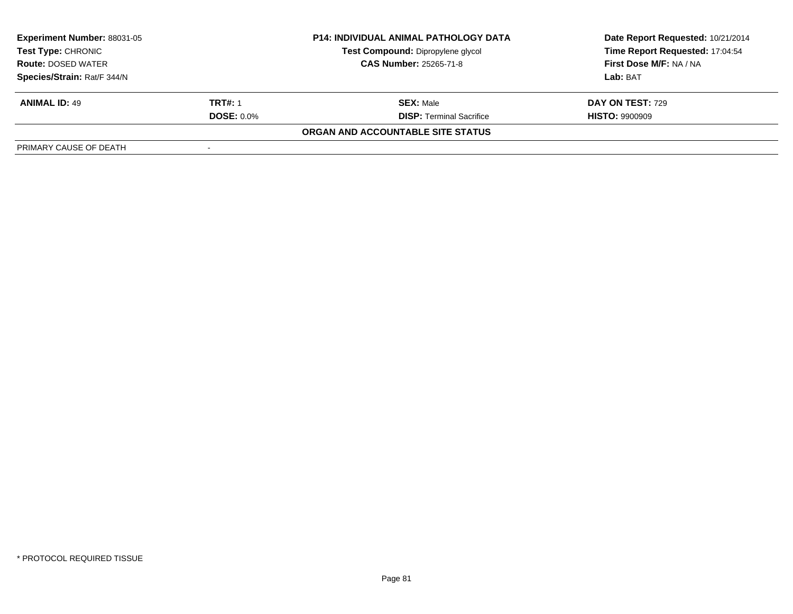| <b>Experiment Number: 88031-05</b> |                   | <b>P14: INDIVIDUAL ANIMAL PATHOLOGY DATA</b> | Date Report Requested: 10/21/2014 |
|------------------------------------|-------------------|----------------------------------------------|-----------------------------------|
| Test Type: CHRONIC                 |                   | Test Compound: Dipropylene glycol            | Time Report Requested: 17:04:54   |
| <b>Route: DOSED WATER</b>          |                   | <b>CAS Number: 25265-71-8</b>                | <b>First Dose M/F: NA / NA</b>    |
| Species/Strain: Rat/F 344/N        |                   |                                              | Lab: BAT                          |
| <b>ANIMAL ID: 49</b>               | <b>TRT#: 1</b>    | <b>SEX:</b> Male                             | DAY ON TEST: 729                  |
|                                    | <b>DOSE: 0.0%</b> | <b>DISP:</b> Terminal Sacrifice              | <b>HISTO: 9900909</b>             |
|                                    |                   | ORGAN AND ACCOUNTABLE SITE STATUS            |                                   |
| PRIMARY CAUSE OF DEATH             |                   |                                              |                                   |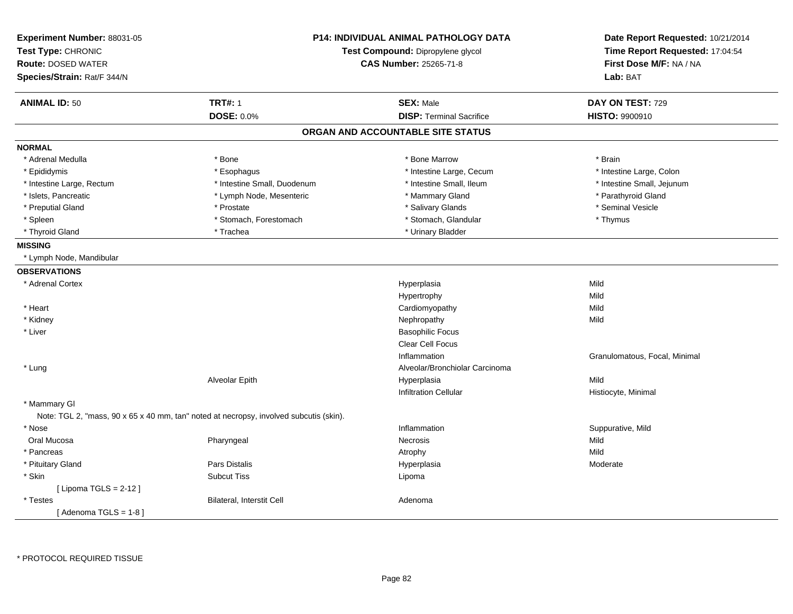| Experiment Number: 88031-05<br>Test Type: CHRONIC<br><b>Route: DOSED WATER</b><br>Species/Strain: Rat/F 344/N |                                                                                        | <b>P14: INDIVIDUAL ANIMAL PATHOLOGY DATA</b><br>Test Compound: Dipropylene glycol<br><b>CAS Number: 25265-71-8</b> | Date Report Requested: 10/21/2014<br>Time Report Requested: 17:04:54<br>First Dose M/F: NA / NA<br>Lab: BAT |
|---------------------------------------------------------------------------------------------------------------|----------------------------------------------------------------------------------------|--------------------------------------------------------------------------------------------------------------------|-------------------------------------------------------------------------------------------------------------|
| <b>ANIMAL ID: 50</b>                                                                                          | <b>TRT#: 1</b>                                                                         | <b>SEX: Male</b>                                                                                                   | DAY ON TEST: 729                                                                                            |
|                                                                                                               | <b>DOSE: 0.0%</b>                                                                      | <b>DISP: Terminal Sacrifice</b>                                                                                    | <b>HISTO: 9900910</b>                                                                                       |
|                                                                                                               |                                                                                        | ORGAN AND ACCOUNTABLE SITE STATUS                                                                                  |                                                                                                             |
| <b>NORMAL</b>                                                                                                 |                                                                                        |                                                                                                                    |                                                                                                             |
| * Adrenal Medulla                                                                                             | * Bone                                                                                 | * Bone Marrow                                                                                                      | * Brain                                                                                                     |
| * Epididymis                                                                                                  | * Esophagus                                                                            | * Intestine Large, Cecum                                                                                           | * Intestine Large, Colon                                                                                    |
| * Intestine Large, Rectum                                                                                     | * Intestine Small, Duodenum                                                            | * Intestine Small, Ileum                                                                                           | * Intestine Small, Jejunum                                                                                  |
| * Islets, Pancreatic                                                                                          | * Lymph Node, Mesenteric                                                               | * Mammary Gland                                                                                                    | * Parathyroid Gland                                                                                         |
| * Preputial Gland                                                                                             | * Prostate                                                                             | * Salivary Glands                                                                                                  | * Seminal Vesicle                                                                                           |
| * Spleen                                                                                                      | * Stomach, Forestomach                                                                 | * Stomach, Glandular                                                                                               | * Thymus                                                                                                    |
| * Thyroid Gland                                                                                               | * Trachea                                                                              | * Urinary Bladder                                                                                                  |                                                                                                             |
| <b>MISSING</b>                                                                                                |                                                                                        |                                                                                                                    |                                                                                                             |
| * Lymph Node, Mandibular                                                                                      |                                                                                        |                                                                                                                    |                                                                                                             |
| <b>OBSERVATIONS</b>                                                                                           |                                                                                        |                                                                                                                    |                                                                                                             |
| * Adrenal Cortex                                                                                              |                                                                                        | Hyperplasia                                                                                                        | Mild                                                                                                        |
|                                                                                                               |                                                                                        | Hypertrophy                                                                                                        | Mild                                                                                                        |
| * Heart                                                                                                       |                                                                                        | Cardiomyopathy                                                                                                     | Mild                                                                                                        |
| * Kidney                                                                                                      |                                                                                        | Nephropathy                                                                                                        | Mild                                                                                                        |
| * Liver                                                                                                       |                                                                                        | <b>Basophilic Focus</b>                                                                                            |                                                                                                             |
|                                                                                                               |                                                                                        | <b>Clear Cell Focus</b>                                                                                            |                                                                                                             |
|                                                                                                               |                                                                                        | Inflammation                                                                                                       | Granulomatous, Focal, Minimal                                                                               |
| * Lung                                                                                                        |                                                                                        | Alveolar/Bronchiolar Carcinoma                                                                                     |                                                                                                             |
|                                                                                                               | Alveolar Epith                                                                         | Hyperplasia                                                                                                        | Mild                                                                                                        |
|                                                                                                               |                                                                                        | <b>Infiltration Cellular</b>                                                                                       | Histiocyte, Minimal                                                                                         |
| * Mammary GI                                                                                                  |                                                                                        |                                                                                                                    |                                                                                                             |
|                                                                                                               | Note: TGL 2, "mass, 90 x 65 x 40 mm, tan" noted at necropsy, involved subcutis (skin). |                                                                                                                    |                                                                                                             |
| * Nose                                                                                                        |                                                                                        | Inflammation                                                                                                       | Suppurative, Mild                                                                                           |
| Oral Mucosa                                                                                                   | Pharyngeal                                                                             | Necrosis                                                                                                           | Mild                                                                                                        |
| * Pancreas                                                                                                    |                                                                                        | Atrophy                                                                                                            | Mild                                                                                                        |
| * Pituitary Gland                                                                                             | Pars Distalis                                                                          | Hyperplasia                                                                                                        | Moderate                                                                                                    |
| * Skin                                                                                                        | <b>Subcut Tiss</b>                                                                     | Lipoma                                                                                                             |                                                                                                             |
| [ Lipoma TGLS = $2-12$ ]                                                                                      |                                                                                        |                                                                                                                    |                                                                                                             |
| * Testes                                                                                                      | Bilateral, Interstit Cell                                                              | Adenoma                                                                                                            |                                                                                                             |
| [Adenoma TGLS = $1-8$ ]                                                                                       |                                                                                        |                                                                                                                    |                                                                                                             |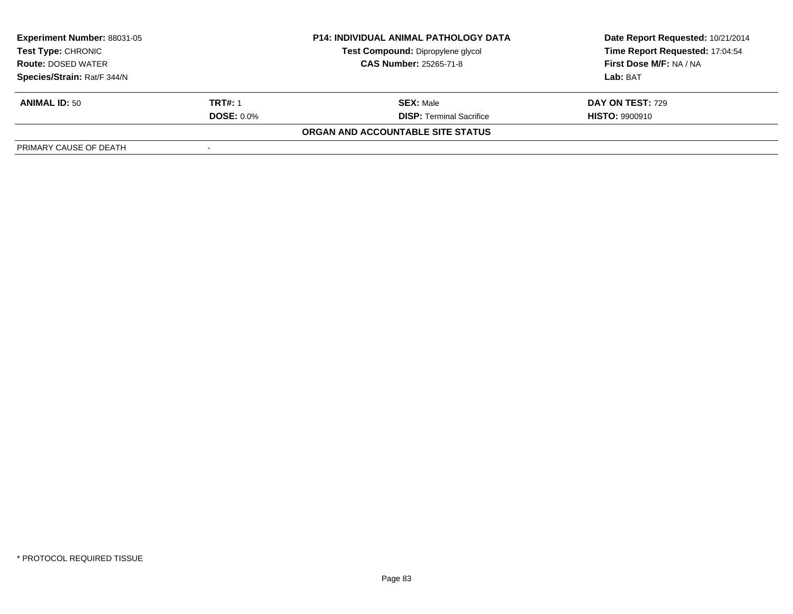| <b>Experiment Number: 88031-05</b>                     |                   | <b>P14: INDIVIDUAL ANIMAL PATHOLOGY DATA</b> | Date Report Requested: 10/21/2014 |  |
|--------------------------------------------------------|-------------------|----------------------------------------------|-----------------------------------|--|
| <b>Test Type: CHRONIC</b><br><b>Route: DOSED WATER</b> |                   | Test Compound: Dipropylene glycol            | Time Report Requested: 17:04:54   |  |
|                                                        |                   | <b>CAS Number: 25265-71-8</b>                | First Dose M/F: NA / NA           |  |
| Species/Strain: Rat/F 344/N                            |                   |                                              | Lab: BAT                          |  |
| <b>ANIMAL ID: 50</b>                                   | <b>TRT#: 1</b>    | <b>SEX: Male</b>                             | DAY ON TEST: 729                  |  |
|                                                        | <b>DOSE: 0.0%</b> | <b>DISP:</b> Terminal Sacrifice              | <b>HISTO: 9900910</b>             |  |
|                                                        |                   | ORGAN AND ACCOUNTABLE SITE STATUS            |                                   |  |
| PRIMARY CAUSE OF DEATH                                 |                   |                                              |                                   |  |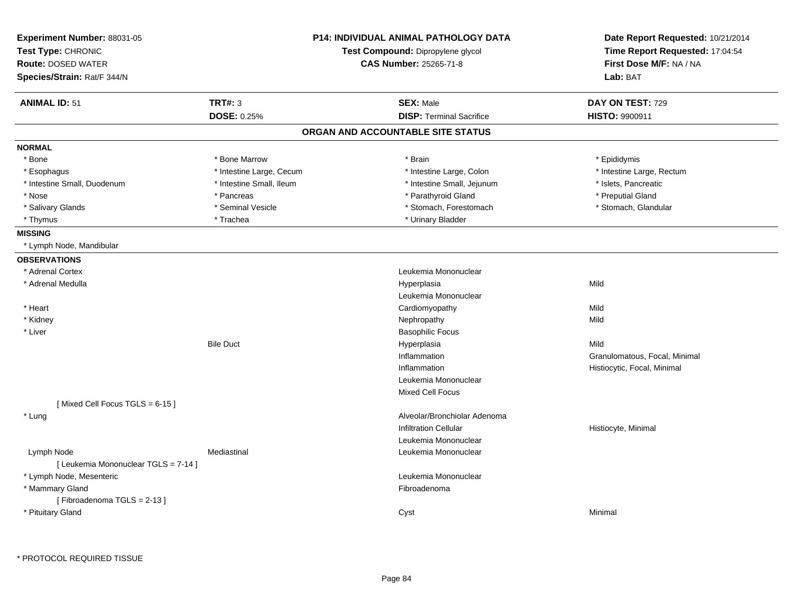| <b>Experiment Number: 88031-05</b><br>Test Type: CHRONIC<br><b>Route: DOSED WATER</b><br>Species/Strain: Rat/F 344/N | <b>P14: INDIVIDUAL ANIMAL PATHOLOGY DATA</b><br>Test Compound: Dipropylene glycol<br><b>CAS Number: 25265-71-8</b> |                                   | Date Report Requested: 10/21/2014<br>Time Report Requested: 17:04:54<br>First Dose M/F: NA / NA<br>Lab: BAT |
|----------------------------------------------------------------------------------------------------------------------|--------------------------------------------------------------------------------------------------------------------|-----------------------------------|-------------------------------------------------------------------------------------------------------------|
| <b>ANIMAL ID: 51</b>                                                                                                 | <b>TRT#: 3</b>                                                                                                     | <b>SEX: Male</b>                  | DAY ON TEST: 729                                                                                            |
|                                                                                                                      | <b>DOSE: 0.25%</b>                                                                                                 | <b>DISP: Terminal Sacrifice</b>   | <b>HISTO: 9900911</b>                                                                                       |
|                                                                                                                      |                                                                                                                    | ORGAN AND ACCOUNTABLE SITE STATUS |                                                                                                             |
| <b>NORMAL</b>                                                                                                        |                                                                                                                    |                                   |                                                                                                             |
| * Bone                                                                                                               | * Bone Marrow                                                                                                      | * Brain                           | * Epididymis                                                                                                |
| * Esophagus                                                                                                          | * Intestine Large, Cecum                                                                                           | * Intestine Large, Colon          | * Intestine Large, Rectum                                                                                   |
| * Intestine Small, Duodenum                                                                                          | * Intestine Small, Ileum                                                                                           | * Intestine Small, Jejunum        | * Islets, Pancreatic                                                                                        |
| * Nose                                                                                                               | * Pancreas                                                                                                         | * Parathyroid Gland               | * Preputial Gland                                                                                           |
| * Salivary Glands                                                                                                    | * Seminal Vesicle                                                                                                  | * Stomach, Forestomach            | * Stomach, Glandular                                                                                        |
| * Thymus                                                                                                             | * Trachea                                                                                                          | * Urinary Bladder                 |                                                                                                             |
| <b>MISSING</b>                                                                                                       |                                                                                                                    |                                   |                                                                                                             |
| * Lymph Node, Mandibular                                                                                             |                                                                                                                    |                                   |                                                                                                             |
| <b>OBSERVATIONS</b>                                                                                                  |                                                                                                                    |                                   |                                                                                                             |
| * Adrenal Cortex                                                                                                     |                                                                                                                    | Leukemia Mononuclear              |                                                                                                             |
| * Adrenal Medulla                                                                                                    |                                                                                                                    | Hyperplasia                       | Mild                                                                                                        |
|                                                                                                                      |                                                                                                                    | Leukemia Mononuclear              |                                                                                                             |
| * Heart                                                                                                              |                                                                                                                    | Cardiomyopathy                    | Mild                                                                                                        |
| * Kidney                                                                                                             |                                                                                                                    | Nephropathy                       | Mild                                                                                                        |
| * Liver                                                                                                              |                                                                                                                    | <b>Basophilic Focus</b>           |                                                                                                             |
|                                                                                                                      | <b>Bile Duct</b>                                                                                                   | Hyperplasia                       | Mild                                                                                                        |
|                                                                                                                      |                                                                                                                    | Inflammation                      | Granulomatous, Focal, Minimal                                                                               |
|                                                                                                                      |                                                                                                                    | Inflammation                      | Histiocytic, Focal, Minimal                                                                                 |
|                                                                                                                      |                                                                                                                    | Leukemia Mononuclear              |                                                                                                             |
|                                                                                                                      |                                                                                                                    | Mixed Cell Focus                  |                                                                                                             |
| [Mixed Cell Focus TGLS = 6-15]                                                                                       |                                                                                                                    |                                   |                                                                                                             |
| * Lung                                                                                                               |                                                                                                                    | Alveolar/Bronchiolar Adenoma      |                                                                                                             |
|                                                                                                                      |                                                                                                                    | <b>Infiltration Cellular</b>      | Histiocyte, Minimal                                                                                         |
|                                                                                                                      |                                                                                                                    | Leukemia Mononuclear              |                                                                                                             |
| Lymph Node                                                                                                           | Mediastinal                                                                                                        | Leukemia Mononuclear              |                                                                                                             |
| [ Leukemia Mononuclear TGLS = 7-14 ]                                                                                 |                                                                                                                    |                                   |                                                                                                             |
| * Lymph Node, Mesenteric                                                                                             |                                                                                                                    | Leukemia Mononuclear              |                                                                                                             |
| * Mammary Gland                                                                                                      |                                                                                                                    | Fibroadenoma                      |                                                                                                             |
| [Fibroadenoma TGLS = 2-13]                                                                                           |                                                                                                                    |                                   |                                                                                                             |
| * Pituitary Gland                                                                                                    |                                                                                                                    | Cyst                              | Minimal                                                                                                     |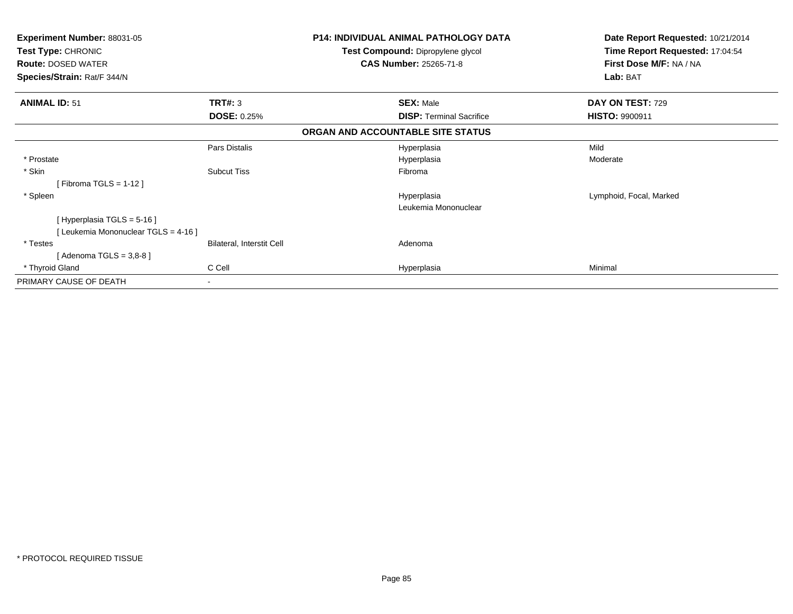| <b>Experiment Number: 88031-05</b><br>Test Type: CHRONIC<br><b>Route: DOSED WATER</b> |                                  | P14: INDIVIDUAL ANIMAL PATHOLOGY DATA<br>Test Compound: Dipropylene glycol<br><b>CAS Number: 25265-71-8</b> | Date Report Requested: 10/21/2014<br>Time Report Requested: 17:04:54<br>First Dose M/F: NA / NA |
|---------------------------------------------------------------------------------------|----------------------------------|-------------------------------------------------------------------------------------------------------------|-------------------------------------------------------------------------------------------------|
| Species/Strain: Rat/F 344/N                                                           |                                  |                                                                                                             | Lab: BAT                                                                                        |
| <b>ANIMAL ID: 51</b>                                                                  | TRT#: 3                          | <b>SEX: Male</b>                                                                                            | DAY ON TEST: 729                                                                                |
|                                                                                       | <b>DOSE: 0.25%</b>               | <b>DISP:</b> Terminal Sacrifice                                                                             | <b>HISTO: 9900911</b>                                                                           |
|                                                                                       |                                  | ORGAN AND ACCOUNTABLE SITE STATUS                                                                           |                                                                                                 |
|                                                                                       | Pars Distalis                    | Hyperplasia                                                                                                 | Mild                                                                                            |
| * Prostate                                                                            |                                  | Hyperplasia                                                                                                 | Moderate                                                                                        |
| * Skin<br>[Fibroma TGLS = $1-12$ ]                                                    | <b>Subcut Tiss</b>               | Fibroma                                                                                                     |                                                                                                 |
| * Spleen                                                                              |                                  | Hyperplasia                                                                                                 | Lymphoid, Focal, Marked                                                                         |
|                                                                                       |                                  | Leukemia Mononuclear                                                                                        |                                                                                                 |
| [Hyperplasia TGLS = 5-16]                                                             |                                  |                                                                                                             |                                                                                                 |
| [ Leukemia Mononuclear TGLS = 4-16 ]                                                  |                                  |                                                                                                             |                                                                                                 |
| * Testes                                                                              | <b>Bilateral, Interstit Cell</b> | Adenoma                                                                                                     |                                                                                                 |
| [Adenoma TGLS = $3,8-8$ ]                                                             |                                  |                                                                                                             |                                                                                                 |
| * Thyroid Gland                                                                       | C Cell                           | Hyperplasia                                                                                                 | Minimal                                                                                         |
| PRIMARY CAUSE OF DEATH                                                                | $\overline{\phantom{a}}$         |                                                                                                             |                                                                                                 |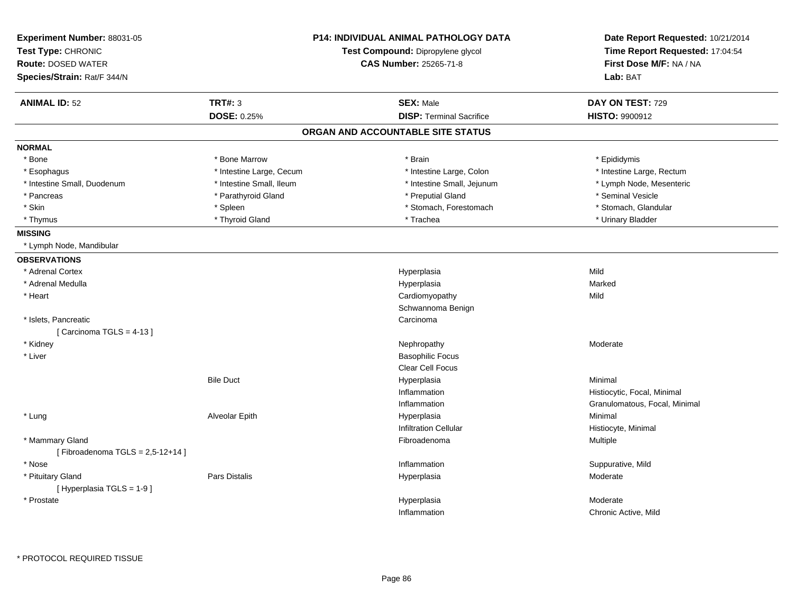| Experiment Number: 88031-05<br>Test Type: CHRONIC<br><b>Route: DOSED WATER</b> |                          | <b>P14: INDIVIDUAL ANIMAL PATHOLOGY DATA</b><br>Test Compound: Dipropylene glycol | Date Report Requested: 10/21/2014<br>Time Report Requested: 17:04:54<br>First Dose M/F: NA / NA |  |
|--------------------------------------------------------------------------------|--------------------------|-----------------------------------------------------------------------------------|-------------------------------------------------------------------------------------------------|--|
|                                                                                |                          | <b>CAS Number: 25265-71-8</b>                                                     |                                                                                                 |  |
| Species/Strain: Rat/F 344/N                                                    |                          |                                                                                   | Lab: BAT                                                                                        |  |
| <b>ANIMAL ID: 52</b>                                                           | <b>TRT#: 3</b>           | <b>SEX: Male</b>                                                                  | DAY ON TEST: 729                                                                                |  |
|                                                                                | <b>DOSE: 0.25%</b>       | <b>DISP: Terminal Sacrifice</b>                                                   | <b>HISTO: 9900912</b>                                                                           |  |
|                                                                                |                          | ORGAN AND ACCOUNTABLE SITE STATUS                                                 |                                                                                                 |  |
| <b>NORMAL</b>                                                                  |                          |                                                                                   |                                                                                                 |  |
| * Bone                                                                         | * Bone Marrow            | * Brain                                                                           | * Epididymis                                                                                    |  |
| * Esophagus                                                                    | * Intestine Large, Cecum | * Intestine Large, Colon                                                          | * Intestine Large, Rectum                                                                       |  |
| * Intestine Small, Duodenum                                                    | * Intestine Small, Ileum | * Intestine Small, Jejunum                                                        | * Lymph Node, Mesenteric                                                                        |  |
| * Pancreas                                                                     | * Parathyroid Gland      | * Preputial Gland                                                                 | * Seminal Vesicle                                                                               |  |
| * Skin                                                                         | * Spleen                 | * Stomach, Forestomach                                                            | * Stomach, Glandular                                                                            |  |
| * Thymus                                                                       | * Thyroid Gland          | * Trachea                                                                         | * Urinary Bladder                                                                               |  |
| <b>MISSING</b>                                                                 |                          |                                                                                   |                                                                                                 |  |
| * Lymph Node, Mandibular                                                       |                          |                                                                                   |                                                                                                 |  |
| <b>OBSERVATIONS</b>                                                            |                          |                                                                                   |                                                                                                 |  |
| * Adrenal Cortex                                                               |                          | Hyperplasia                                                                       | Mild                                                                                            |  |
| * Adrenal Medulla                                                              |                          | Hyperplasia                                                                       | Marked                                                                                          |  |
| * Heart                                                                        |                          | Cardiomyopathy                                                                    | Mild                                                                                            |  |
|                                                                                |                          | Schwannoma Benign                                                                 |                                                                                                 |  |
| * Islets, Pancreatic                                                           |                          | Carcinoma                                                                         |                                                                                                 |  |
| [Carcinoma TGLS = $4-13$ ]                                                     |                          |                                                                                   |                                                                                                 |  |
| * Kidney                                                                       |                          | Nephropathy                                                                       | Moderate                                                                                        |  |
| * Liver                                                                        |                          | <b>Basophilic Focus</b>                                                           |                                                                                                 |  |
|                                                                                |                          | <b>Clear Cell Focus</b>                                                           |                                                                                                 |  |
|                                                                                | <b>Bile Duct</b>         | Hyperplasia                                                                       | Minimal                                                                                         |  |
|                                                                                |                          | Inflammation                                                                      | Histiocytic, Focal, Minimal                                                                     |  |
|                                                                                |                          | Inflammation                                                                      | Granulomatous, Focal, Minimal                                                                   |  |
| * Lung                                                                         | Alveolar Epith           | Hyperplasia                                                                       | Minimal                                                                                         |  |
|                                                                                |                          | <b>Infiltration Cellular</b>                                                      | Histiocyte, Minimal                                                                             |  |
| * Mammary Gland                                                                |                          | Fibroadenoma                                                                      | Multiple                                                                                        |  |
| [Fibroadenoma TGLS = $2,5-12+14$ ]                                             |                          |                                                                                   |                                                                                                 |  |
| * Nose                                                                         |                          | Inflammation                                                                      | Suppurative, Mild                                                                               |  |
| * Pituitary Gland                                                              | <b>Pars Distalis</b>     | Hyperplasia                                                                       | Moderate                                                                                        |  |
| [ Hyperplasia TGLS = 1-9 ]                                                     |                          |                                                                                   |                                                                                                 |  |
| * Prostate                                                                     |                          | Hyperplasia                                                                       | Moderate                                                                                        |  |
|                                                                                |                          | Inflammation                                                                      | Chronic Active, Mild                                                                            |  |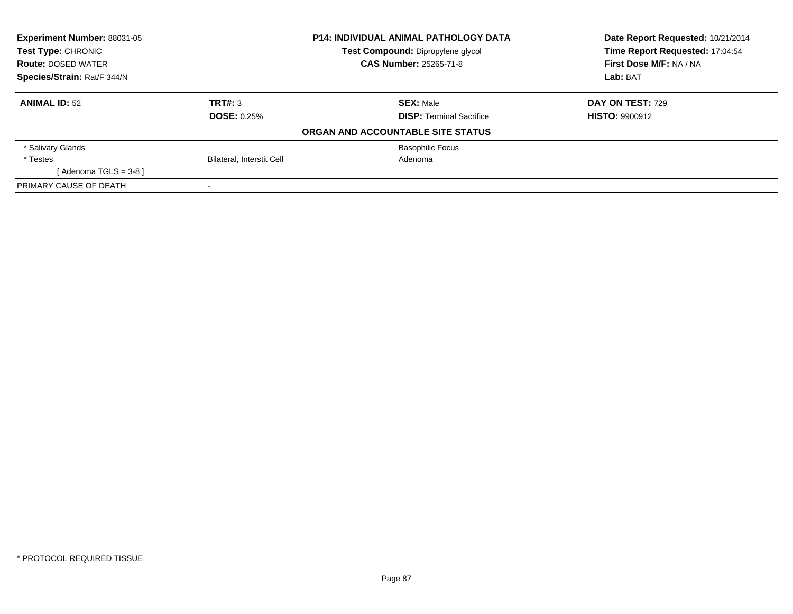| <b>Experiment Number: 88031-05</b> | <b>P14: INDIVIDUAL ANIMAL PATHOLOGY DATA</b> |                                   | Date Report Requested: 10/21/2014 |  |
|------------------------------------|----------------------------------------------|-----------------------------------|-----------------------------------|--|
| Test Type: CHRONIC                 |                                              | Test Compound: Dipropylene glycol | Time Report Requested: 17:04:54   |  |
| <b>Route: DOSED WATER</b>          |                                              | <b>CAS Number: 25265-71-8</b>     | First Dose M/F: NA / NA           |  |
| Species/Strain: Rat/F 344/N        |                                              |                                   | Lab: BAT                          |  |
| <b>ANIMAL ID: 52</b>               | TRT#: 3                                      | <b>SEX: Male</b>                  | DAY ON TEST: 729                  |  |
|                                    | <b>DOSE: 0.25%</b>                           | <b>DISP:</b> Terminal Sacrifice   | <b>HISTO: 9900912</b>             |  |
|                                    |                                              | ORGAN AND ACCOUNTABLE SITE STATUS |                                   |  |
| * Salivary Glands                  |                                              | <b>Basophilic Focus</b>           |                                   |  |
| * Testes                           | Bilateral, Interstit Cell                    | Adenoma                           |                                   |  |
| [ Adenoma TGLS = 3-8 ]             |                                              |                                   |                                   |  |
| PRIMARY CAUSE OF DEATH             |                                              |                                   |                                   |  |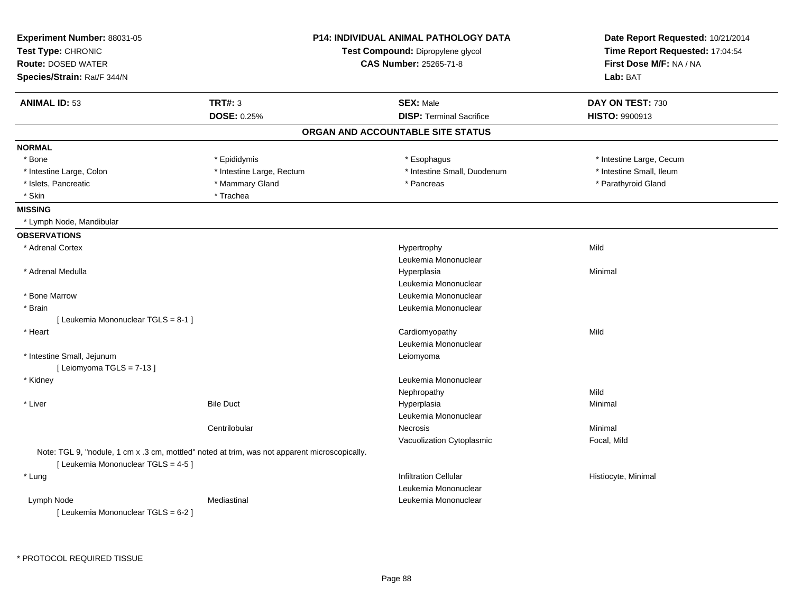| Test Compound: Dipropylene glycol<br>First Dose M/F: NA / NA<br><b>Route: DOSED WATER</b><br><b>CAS Number: 25265-71-8</b><br>Lab: BAT<br><b>ANIMAL ID: 53</b><br><b>TRT#: 3</b><br><b>SEX: Male</b><br>DAY ON TEST: 730<br><b>DOSE: 0.25%</b><br><b>DISP: Terminal Sacrifice</b><br><b>HISTO: 9900913</b><br>ORGAN AND ACCOUNTABLE SITE STATUS<br><b>NORMAL</b><br>* Bone<br>* Epididymis<br>* Esophagus<br>* Intestine Large, Cecum<br>* Intestine Large, Rectum<br>* Intestine Small, Duodenum<br>* Intestine Small, Ileum<br>* Intestine Large, Colon<br>* Islets, Pancreatic<br>* Mammary Gland<br>* Parathyroid Gland<br>* Pancreas<br>* Skin<br>* Trachea<br><b>MISSING</b><br>* Lymph Node, Mandibular<br><b>OBSERVATIONS</b><br>* Adrenal Cortex<br>Hypertrophy<br>Mild<br>Leukemia Mononuclear<br>* Adrenal Medulla<br>Minimal<br>Hyperplasia<br>Leukemia Mononuclear<br>* Bone Marrow<br>Leukemia Mononuclear<br>* Brain<br>Leukemia Mononuclear<br>[ Leukemia Mononuclear TGLS = 8-1 ]<br>* Heart<br>Cardiomyopathy<br>Mild<br>Leukemia Mononuclear<br>* Intestine Small, Jejunum<br>Leiomyoma<br>[Leiomyoma TGLS = 7-13]<br>* Kidney<br>Leukemia Mononuclear<br>Mild<br>Nephropathy<br>* Liver<br><b>Bile Duct</b><br>Hyperplasia<br>Minimal<br>Leukemia Mononuclear<br>Centrilobular<br>Minimal<br>Necrosis<br>Vacuolization Cytoplasmic<br>Focal, Mild<br>Note: TGL 9, "nodule, 1 cm x .3 cm, mottled" noted at trim, was not apparent microscopically.<br>[Leukemia Mononuclear TGLS = 4-5]<br><b>Infiltration Cellular</b><br>* Lung<br>Histiocyte, Minimal<br>Leukemia Mononuclear<br>Mediastinal<br>Leukemia Mononuclear<br>Lymph Node | Experiment Number: 88031-05<br>Test Type: CHRONIC |  | <b>P14: INDIVIDUAL ANIMAL PATHOLOGY DATA</b> | Date Report Requested: 10/21/2014 |  |
|-----------------------------------------------------------------------------------------------------------------------------------------------------------------------------------------------------------------------------------------------------------------------------------------------------------------------------------------------------------------------------------------------------------------------------------------------------------------------------------------------------------------------------------------------------------------------------------------------------------------------------------------------------------------------------------------------------------------------------------------------------------------------------------------------------------------------------------------------------------------------------------------------------------------------------------------------------------------------------------------------------------------------------------------------------------------------------------------------------------------------------------------------------------------------------------------------------------------------------------------------------------------------------------------------------------------------------------------------------------------------------------------------------------------------------------------------------------------------------------------------------------------------------------------------------------------------------------------------------------------------------------------------------------|---------------------------------------------------|--|----------------------------------------------|-----------------------------------|--|
|                                                                                                                                                                                                                                                                                                                                                                                                                                                                                                                                                                                                                                                                                                                                                                                                                                                                                                                                                                                                                                                                                                                                                                                                                                                                                                                                                                                                                                                                                                                                                                                                                                                           |                                                   |  |                                              | Time Report Requested: 17:04:54   |  |
|                                                                                                                                                                                                                                                                                                                                                                                                                                                                                                                                                                                                                                                                                                                                                                                                                                                                                                                                                                                                                                                                                                                                                                                                                                                                                                                                                                                                                                                                                                                                                                                                                                                           |                                                   |  |                                              |                                   |  |
|                                                                                                                                                                                                                                                                                                                                                                                                                                                                                                                                                                                                                                                                                                                                                                                                                                                                                                                                                                                                                                                                                                                                                                                                                                                                                                                                                                                                                                                                                                                                                                                                                                                           | Species/Strain: Rat/F 344/N                       |  |                                              |                                   |  |
|                                                                                                                                                                                                                                                                                                                                                                                                                                                                                                                                                                                                                                                                                                                                                                                                                                                                                                                                                                                                                                                                                                                                                                                                                                                                                                                                                                                                                                                                                                                                                                                                                                                           |                                                   |  |                                              |                                   |  |
|                                                                                                                                                                                                                                                                                                                                                                                                                                                                                                                                                                                                                                                                                                                                                                                                                                                                                                                                                                                                                                                                                                                                                                                                                                                                                                                                                                                                                                                                                                                                                                                                                                                           |                                                   |  |                                              |                                   |  |
|                                                                                                                                                                                                                                                                                                                                                                                                                                                                                                                                                                                                                                                                                                                                                                                                                                                                                                                                                                                                                                                                                                                                                                                                                                                                                                                                                                                                                                                                                                                                                                                                                                                           |                                                   |  |                                              |                                   |  |
|                                                                                                                                                                                                                                                                                                                                                                                                                                                                                                                                                                                                                                                                                                                                                                                                                                                                                                                                                                                                                                                                                                                                                                                                                                                                                                                                                                                                                                                                                                                                                                                                                                                           |                                                   |  |                                              |                                   |  |
|                                                                                                                                                                                                                                                                                                                                                                                                                                                                                                                                                                                                                                                                                                                                                                                                                                                                                                                                                                                                                                                                                                                                                                                                                                                                                                                                                                                                                                                                                                                                                                                                                                                           |                                                   |  |                                              |                                   |  |
|                                                                                                                                                                                                                                                                                                                                                                                                                                                                                                                                                                                                                                                                                                                                                                                                                                                                                                                                                                                                                                                                                                                                                                                                                                                                                                                                                                                                                                                                                                                                                                                                                                                           |                                                   |  |                                              |                                   |  |
|                                                                                                                                                                                                                                                                                                                                                                                                                                                                                                                                                                                                                                                                                                                                                                                                                                                                                                                                                                                                                                                                                                                                                                                                                                                                                                                                                                                                                                                                                                                                                                                                                                                           |                                                   |  |                                              |                                   |  |
|                                                                                                                                                                                                                                                                                                                                                                                                                                                                                                                                                                                                                                                                                                                                                                                                                                                                                                                                                                                                                                                                                                                                                                                                                                                                                                                                                                                                                                                                                                                                                                                                                                                           |                                                   |  |                                              |                                   |  |
|                                                                                                                                                                                                                                                                                                                                                                                                                                                                                                                                                                                                                                                                                                                                                                                                                                                                                                                                                                                                                                                                                                                                                                                                                                                                                                                                                                                                                                                                                                                                                                                                                                                           |                                                   |  |                                              |                                   |  |
|                                                                                                                                                                                                                                                                                                                                                                                                                                                                                                                                                                                                                                                                                                                                                                                                                                                                                                                                                                                                                                                                                                                                                                                                                                                                                                                                                                                                                                                                                                                                                                                                                                                           |                                                   |  |                                              |                                   |  |
|                                                                                                                                                                                                                                                                                                                                                                                                                                                                                                                                                                                                                                                                                                                                                                                                                                                                                                                                                                                                                                                                                                                                                                                                                                                                                                                                                                                                                                                                                                                                                                                                                                                           |                                                   |  |                                              |                                   |  |
|                                                                                                                                                                                                                                                                                                                                                                                                                                                                                                                                                                                                                                                                                                                                                                                                                                                                                                                                                                                                                                                                                                                                                                                                                                                                                                                                                                                                                                                                                                                                                                                                                                                           |                                                   |  |                                              |                                   |  |
|                                                                                                                                                                                                                                                                                                                                                                                                                                                                                                                                                                                                                                                                                                                                                                                                                                                                                                                                                                                                                                                                                                                                                                                                                                                                                                                                                                                                                                                                                                                                                                                                                                                           |                                                   |  |                                              |                                   |  |
|                                                                                                                                                                                                                                                                                                                                                                                                                                                                                                                                                                                                                                                                                                                                                                                                                                                                                                                                                                                                                                                                                                                                                                                                                                                                                                                                                                                                                                                                                                                                                                                                                                                           |                                                   |  |                                              |                                   |  |
|                                                                                                                                                                                                                                                                                                                                                                                                                                                                                                                                                                                                                                                                                                                                                                                                                                                                                                                                                                                                                                                                                                                                                                                                                                                                                                                                                                                                                                                                                                                                                                                                                                                           |                                                   |  |                                              |                                   |  |
|                                                                                                                                                                                                                                                                                                                                                                                                                                                                                                                                                                                                                                                                                                                                                                                                                                                                                                                                                                                                                                                                                                                                                                                                                                                                                                                                                                                                                                                                                                                                                                                                                                                           |                                                   |  |                                              |                                   |  |
|                                                                                                                                                                                                                                                                                                                                                                                                                                                                                                                                                                                                                                                                                                                                                                                                                                                                                                                                                                                                                                                                                                                                                                                                                                                                                                                                                                                                                                                                                                                                                                                                                                                           |                                                   |  |                                              |                                   |  |
|                                                                                                                                                                                                                                                                                                                                                                                                                                                                                                                                                                                                                                                                                                                                                                                                                                                                                                                                                                                                                                                                                                                                                                                                                                                                                                                                                                                                                                                                                                                                                                                                                                                           |                                                   |  |                                              |                                   |  |
|                                                                                                                                                                                                                                                                                                                                                                                                                                                                                                                                                                                                                                                                                                                                                                                                                                                                                                                                                                                                                                                                                                                                                                                                                                                                                                                                                                                                                                                                                                                                                                                                                                                           |                                                   |  |                                              |                                   |  |
|                                                                                                                                                                                                                                                                                                                                                                                                                                                                                                                                                                                                                                                                                                                                                                                                                                                                                                                                                                                                                                                                                                                                                                                                                                                                                                                                                                                                                                                                                                                                                                                                                                                           |                                                   |  |                                              |                                   |  |
|                                                                                                                                                                                                                                                                                                                                                                                                                                                                                                                                                                                                                                                                                                                                                                                                                                                                                                                                                                                                                                                                                                                                                                                                                                                                                                                                                                                                                                                                                                                                                                                                                                                           |                                                   |  |                                              |                                   |  |
|                                                                                                                                                                                                                                                                                                                                                                                                                                                                                                                                                                                                                                                                                                                                                                                                                                                                                                                                                                                                                                                                                                                                                                                                                                                                                                                                                                                                                                                                                                                                                                                                                                                           |                                                   |  |                                              |                                   |  |
|                                                                                                                                                                                                                                                                                                                                                                                                                                                                                                                                                                                                                                                                                                                                                                                                                                                                                                                                                                                                                                                                                                                                                                                                                                                                                                                                                                                                                                                                                                                                                                                                                                                           |                                                   |  |                                              |                                   |  |
|                                                                                                                                                                                                                                                                                                                                                                                                                                                                                                                                                                                                                                                                                                                                                                                                                                                                                                                                                                                                                                                                                                                                                                                                                                                                                                                                                                                                                                                                                                                                                                                                                                                           |                                                   |  |                                              |                                   |  |
|                                                                                                                                                                                                                                                                                                                                                                                                                                                                                                                                                                                                                                                                                                                                                                                                                                                                                                                                                                                                                                                                                                                                                                                                                                                                                                                                                                                                                                                                                                                                                                                                                                                           |                                                   |  |                                              |                                   |  |
|                                                                                                                                                                                                                                                                                                                                                                                                                                                                                                                                                                                                                                                                                                                                                                                                                                                                                                                                                                                                                                                                                                                                                                                                                                                                                                                                                                                                                                                                                                                                                                                                                                                           |                                                   |  |                                              |                                   |  |
|                                                                                                                                                                                                                                                                                                                                                                                                                                                                                                                                                                                                                                                                                                                                                                                                                                                                                                                                                                                                                                                                                                                                                                                                                                                                                                                                                                                                                                                                                                                                                                                                                                                           |                                                   |  |                                              |                                   |  |
|                                                                                                                                                                                                                                                                                                                                                                                                                                                                                                                                                                                                                                                                                                                                                                                                                                                                                                                                                                                                                                                                                                                                                                                                                                                                                                                                                                                                                                                                                                                                                                                                                                                           |                                                   |  |                                              |                                   |  |
|                                                                                                                                                                                                                                                                                                                                                                                                                                                                                                                                                                                                                                                                                                                                                                                                                                                                                                                                                                                                                                                                                                                                                                                                                                                                                                                                                                                                                                                                                                                                                                                                                                                           |                                                   |  |                                              |                                   |  |
|                                                                                                                                                                                                                                                                                                                                                                                                                                                                                                                                                                                                                                                                                                                                                                                                                                                                                                                                                                                                                                                                                                                                                                                                                                                                                                                                                                                                                                                                                                                                                                                                                                                           |                                                   |  |                                              |                                   |  |
|                                                                                                                                                                                                                                                                                                                                                                                                                                                                                                                                                                                                                                                                                                                                                                                                                                                                                                                                                                                                                                                                                                                                                                                                                                                                                                                                                                                                                                                                                                                                                                                                                                                           |                                                   |  |                                              |                                   |  |
|                                                                                                                                                                                                                                                                                                                                                                                                                                                                                                                                                                                                                                                                                                                                                                                                                                                                                                                                                                                                                                                                                                                                                                                                                                                                                                                                                                                                                                                                                                                                                                                                                                                           |                                                   |  |                                              |                                   |  |
|                                                                                                                                                                                                                                                                                                                                                                                                                                                                                                                                                                                                                                                                                                                                                                                                                                                                                                                                                                                                                                                                                                                                                                                                                                                                                                                                                                                                                                                                                                                                                                                                                                                           | [ Leukemia Mononuclear TGLS = 6-2 ]               |  |                                              |                                   |  |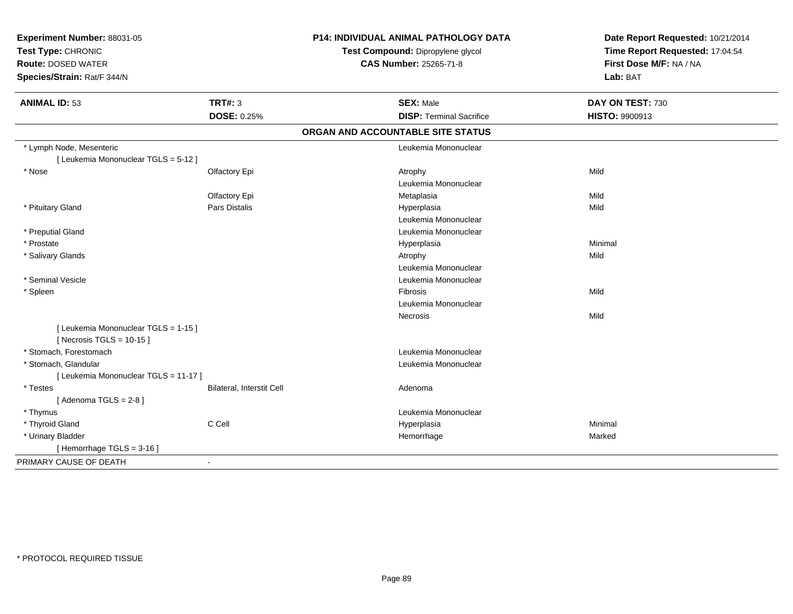| Experiment Number: 88031-05<br>Test Type: CHRONIC<br><b>Route: DOSED WATER</b><br>Species/Strain: Rat/F 344/N |                           | P14: INDIVIDUAL ANIMAL PATHOLOGY DATA<br>Test Compound: Dipropylene glycol<br><b>CAS Number: 25265-71-8</b> | Date Report Requested: 10/21/2014<br>Time Report Requested: 17:04:54<br>First Dose M/F: NA / NA<br>Lab: BAT |  |
|---------------------------------------------------------------------------------------------------------------|---------------------------|-------------------------------------------------------------------------------------------------------------|-------------------------------------------------------------------------------------------------------------|--|
| <b>ANIMAL ID: 53</b>                                                                                          | <b>TRT#: 3</b>            | <b>SEX: Male</b>                                                                                            | DAY ON TEST: 730                                                                                            |  |
|                                                                                                               | DOSE: 0.25%               | <b>DISP: Terminal Sacrifice</b>                                                                             | HISTO: 9900913                                                                                              |  |
|                                                                                                               |                           | ORGAN AND ACCOUNTABLE SITE STATUS                                                                           |                                                                                                             |  |
| * Lymph Node, Mesenteric<br>[ Leukemia Mononuclear TGLS = 5-12 ]                                              |                           | Leukemia Mononuclear                                                                                        |                                                                                                             |  |
| * Nose                                                                                                        | Olfactory Epi             | Atrophy<br>Leukemia Mononuclear                                                                             | Mild                                                                                                        |  |
|                                                                                                               | Olfactory Epi             | Metaplasia                                                                                                  | Mild                                                                                                        |  |
| * Pituitary Gland                                                                                             | Pars Distalis             | Hyperplasia<br>Leukemia Mononuclear                                                                         | Mild                                                                                                        |  |
| * Preputial Gland                                                                                             |                           | Leukemia Mononuclear                                                                                        |                                                                                                             |  |
| * Prostate                                                                                                    |                           | Hyperplasia                                                                                                 | Minimal                                                                                                     |  |
| * Salivary Glands                                                                                             |                           | Atrophy                                                                                                     | Mild                                                                                                        |  |
|                                                                                                               |                           | Leukemia Mononuclear                                                                                        |                                                                                                             |  |
| * Seminal Vesicle                                                                                             |                           | Leukemia Mononuclear                                                                                        |                                                                                                             |  |
| * Spleen                                                                                                      |                           | <b>Fibrosis</b>                                                                                             | Mild                                                                                                        |  |
|                                                                                                               |                           | Leukemia Mononuclear                                                                                        |                                                                                                             |  |
|                                                                                                               |                           | Necrosis                                                                                                    | Mild                                                                                                        |  |
| [ Leukemia Mononuclear TGLS = 1-15 ]<br>[ Necrosis TGLS = $10-15$ ]                                           |                           |                                                                                                             |                                                                                                             |  |
| * Stomach, Forestomach                                                                                        |                           | Leukemia Mononuclear                                                                                        |                                                                                                             |  |
| * Stomach, Glandular                                                                                          |                           | Leukemia Mononuclear                                                                                        |                                                                                                             |  |
| [ Leukemia Mononuclear TGLS = 11-17 ]                                                                         |                           |                                                                                                             |                                                                                                             |  |
| * Testes                                                                                                      | Bilateral, Interstit Cell | Adenoma                                                                                                     |                                                                                                             |  |
| [Adenoma TGLS = $2-8$ ]                                                                                       |                           |                                                                                                             |                                                                                                             |  |
| * Thymus                                                                                                      |                           | Leukemia Mononuclear                                                                                        |                                                                                                             |  |
| * Thyroid Gland                                                                                               | C Cell                    | Hyperplasia                                                                                                 | Minimal                                                                                                     |  |
| * Urinary Bladder                                                                                             |                           | Hemorrhage                                                                                                  | Marked                                                                                                      |  |
| [Hemorrhage TGLS = $3-16$ ]                                                                                   |                           |                                                                                                             |                                                                                                             |  |
| PRIMARY CAUSE OF DEATH                                                                                        | $\blacksquare$            |                                                                                                             |                                                                                                             |  |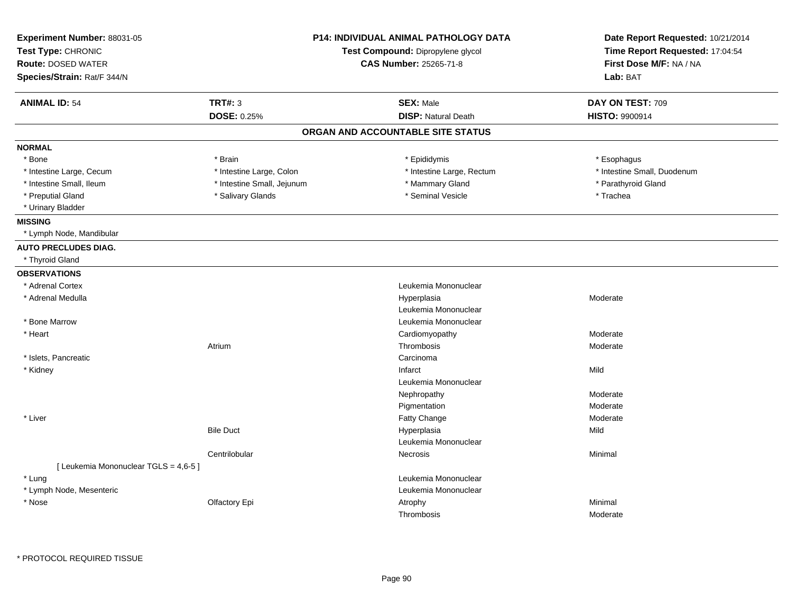| Experiment Number: 88031-05<br>Test Type: CHRONIC<br><b>Route: DOSED WATER</b><br>Species/Strain: Rat/F 344/N | <b>P14: INDIVIDUAL ANIMAL PATHOLOGY DATA</b><br>Test Compound: Dipropylene glycol<br>CAS Number: 25265-71-8 |                                   | Date Report Requested: 10/21/2014<br>Time Report Requested: 17:04:54<br>First Dose M/F: NA / NA<br>Lab: BAT |  |
|---------------------------------------------------------------------------------------------------------------|-------------------------------------------------------------------------------------------------------------|-----------------------------------|-------------------------------------------------------------------------------------------------------------|--|
| <b>ANIMAL ID: 54</b>                                                                                          | <b>TRT#: 3</b>                                                                                              | <b>SEX: Male</b>                  | DAY ON TEST: 709                                                                                            |  |
|                                                                                                               | <b>DOSE: 0.25%</b>                                                                                          | <b>DISP: Natural Death</b>        | <b>HISTO: 9900914</b>                                                                                       |  |
|                                                                                                               |                                                                                                             | ORGAN AND ACCOUNTABLE SITE STATUS |                                                                                                             |  |
| <b>NORMAL</b>                                                                                                 |                                                                                                             |                                   |                                                                                                             |  |
| * Bone                                                                                                        | * Brain                                                                                                     | * Epididymis                      | * Esophagus                                                                                                 |  |
| * Intestine Large, Cecum                                                                                      | * Intestine Large, Colon                                                                                    | * Intestine Large, Rectum         | * Intestine Small, Duodenum                                                                                 |  |
| * Intestine Small, Ileum                                                                                      | * Intestine Small, Jejunum                                                                                  | * Mammary Gland                   | * Parathyroid Gland                                                                                         |  |
| * Preputial Gland                                                                                             | * Salivary Glands                                                                                           | * Seminal Vesicle                 | * Trachea                                                                                                   |  |
| * Urinary Bladder                                                                                             |                                                                                                             |                                   |                                                                                                             |  |
| <b>MISSING</b>                                                                                                |                                                                                                             |                                   |                                                                                                             |  |
| * Lymph Node, Mandibular                                                                                      |                                                                                                             |                                   |                                                                                                             |  |
| <b>AUTO PRECLUDES DIAG.</b>                                                                                   |                                                                                                             |                                   |                                                                                                             |  |
| * Thyroid Gland                                                                                               |                                                                                                             |                                   |                                                                                                             |  |
| <b>OBSERVATIONS</b>                                                                                           |                                                                                                             |                                   |                                                                                                             |  |
| * Adrenal Cortex                                                                                              |                                                                                                             | Leukemia Mononuclear              |                                                                                                             |  |
| * Adrenal Medulla                                                                                             |                                                                                                             | Hyperplasia                       | Moderate                                                                                                    |  |
|                                                                                                               |                                                                                                             | Leukemia Mononuclear              |                                                                                                             |  |
| * Bone Marrow                                                                                                 |                                                                                                             | Leukemia Mononuclear              |                                                                                                             |  |
| * Heart                                                                                                       |                                                                                                             | Cardiomyopathy                    | Moderate                                                                                                    |  |
|                                                                                                               | Atrium                                                                                                      | Thrombosis                        | Moderate                                                                                                    |  |
| * Islets, Pancreatic                                                                                          |                                                                                                             | Carcinoma                         |                                                                                                             |  |
| * Kidney                                                                                                      |                                                                                                             | Infarct                           | Mild                                                                                                        |  |
|                                                                                                               |                                                                                                             | Leukemia Mononuclear              |                                                                                                             |  |
|                                                                                                               |                                                                                                             | Nephropathy                       | Moderate                                                                                                    |  |
|                                                                                                               |                                                                                                             | Pigmentation                      | Moderate                                                                                                    |  |
| * Liver                                                                                                       |                                                                                                             | Fatty Change                      | Moderate                                                                                                    |  |
|                                                                                                               | <b>Bile Duct</b>                                                                                            | Hyperplasia                       | Mild                                                                                                        |  |
|                                                                                                               |                                                                                                             | Leukemia Mononuclear              |                                                                                                             |  |
|                                                                                                               | Centrilobular                                                                                               | <b>Necrosis</b>                   | Minimal                                                                                                     |  |
| [ Leukemia Mononuclear TGLS = 4,6-5 ]                                                                         |                                                                                                             |                                   |                                                                                                             |  |
| * Lung                                                                                                        |                                                                                                             | Leukemia Mononuclear              |                                                                                                             |  |
| * Lymph Node, Mesenteric                                                                                      |                                                                                                             | Leukemia Mononuclear              |                                                                                                             |  |
| * Nose                                                                                                        | Olfactory Epi                                                                                               | Atrophy                           | Minimal                                                                                                     |  |
|                                                                                                               |                                                                                                             | Thrombosis                        | Moderate                                                                                                    |  |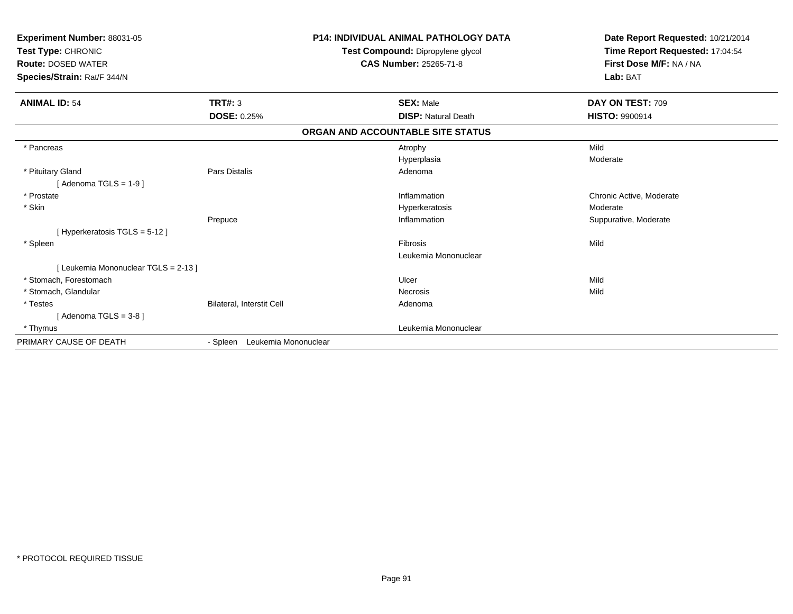| Experiment Number: 88031-05<br>Test Type: CHRONIC<br><b>Route: DOSED WATER</b><br>Species/Strain: Rat/F 344/N |                                  | <b>P14: INDIVIDUAL ANIMAL PATHOLOGY DATA</b><br>Test Compound: Dipropylene glycol<br>CAS Number: 25265-71-8 | Date Report Requested: 10/21/2014<br>Time Report Requested: 17:04:54<br>First Dose M/F: NA / NA<br>Lab: BAT |
|---------------------------------------------------------------------------------------------------------------|----------------------------------|-------------------------------------------------------------------------------------------------------------|-------------------------------------------------------------------------------------------------------------|
| <b>ANIMAL ID: 54</b>                                                                                          | TRT#: 3                          | <b>SEX: Male</b>                                                                                            | DAY ON TEST: 709                                                                                            |
|                                                                                                               | <b>DOSE: 0.25%</b>               | <b>DISP: Natural Death</b>                                                                                  | <b>HISTO: 9900914</b>                                                                                       |
|                                                                                                               |                                  | ORGAN AND ACCOUNTABLE SITE STATUS                                                                           |                                                                                                             |
| * Pancreas                                                                                                    |                                  | Atrophy<br>Hyperplasia                                                                                      | Mild<br>Moderate                                                                                            |
| * Pituitary Gland<br>[Adenoma TGLS = $1-9$ ]                                                                  | Pars Distalis                    | Adenoma                                                                                                     |                                                                                                             |
| * Prostate                                                                                                    |                                  | Inflammation                                                                                                | Chronic Active, Moderate                                                                                    |
| * Skin                                                                                                        |                                  | Hyperkeratosis                                                                                              | Moderate                                                                                                    |
|                                                                                                               | Prepuce                          | Inflammation                                                                                                | Suppurative, Moderate                                                                                       |
| [ Hyperkeratosis TGLS = 5-12 ]                                                                                |                                  |                                                                                                             |                                                                                                             |
| * Spleen                                                                                                      |                                  | Fibrosis                                                                                                    | Mild                                                                                                        |
|                                                                                                               |                                  | Leukemia Mononuclear                                                                                        |                                                                                                             |
| [ Leukemia Mononuclear TGLS = 2-13 ]                                                                          |                                  |                                                                                                             |                                                                                                             |
| * Stomach, Forestomach                                                                                        |                                  | Ulcer                                                                                                       | Mild                                                                                                        |
| * Stomach, Glandular                                                                                          |                                  | Necrosis                                                                                                    | Mild                                                                                                        |
| * Testes                                                                                                      | Bilateral, Interstit Cell        | Adenoma                                                                                                     |                                                                                                             |
| [Adenoma TGLS = $3-8$ ]                                                                                       |                                  |                                                                                                             |                                                                                                             |
| * Thymus                                                                                                      |                                  | Leukemia Mononuclear                                                                                        |                                                                                                             |
| PRIMARY CAUSE OF DEATH                                                                                        | Leukemia Mononuclear<br>- Spleen |                                                                                                             |                                                                                                             |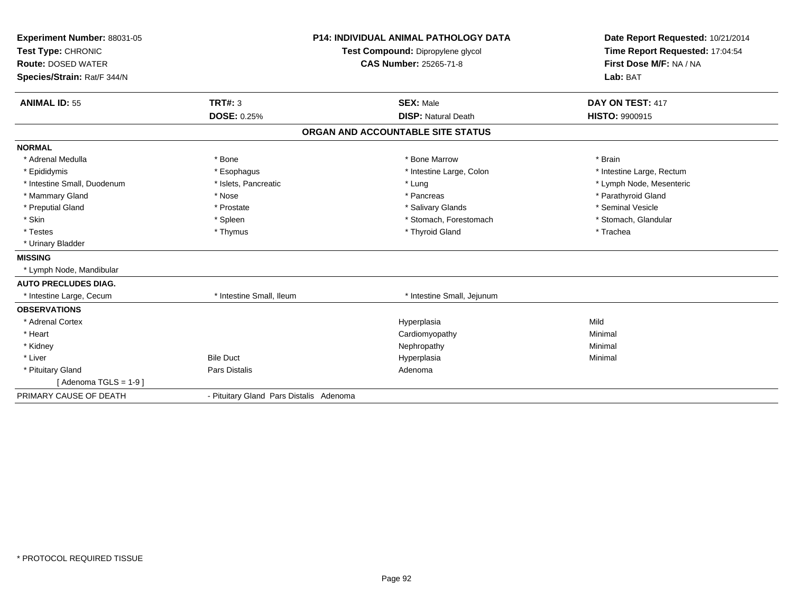| <b>Experiment Number: 88031-05</b> |                                         | <b>P14: INDIVIDUAL ANIMAL PATHOLOGY DATA</b> | Date Report Requested: 10/21/2014 |
|------------------------------------|-----------------------------------------|----------------------------------------------|-----------------------------------|
| Test Type: CHRONIC                 |                                         | Test Compound: Dipropylene glycol            | Time Report Requested: 17:04:54   |
| <b>Route: DOSED WATER</b>          |                                         | CAS Number: 25265-71-8                       | First Dose M/F: NA / NA           |
| Species/Strain: Rat/F 344/N        |                                         |                                              | Lab: BAT                          |
| <b>ANIMAL ID: 55</b>               | TRT#: 3                                 | <b>SEX: Male</b>                             | DAY ON TEST: 417                  |
|                                    | <b>DOSE: 0.25%</b>                      | <b>DISP: Natural Death</b>                   | <b>HISTO: 9900915</b>             |
|                                    |                                         | ORGAN AND ACCOUNTABLE SITE STATUS            |                                   |
| <b>NORMAL</b>                      |                                         |                                              |                                   |
| * Adrenal Medulla                  | * Bone                                  | * Bone Marrow                                | * Brain                           |
| * Epididymis                       | * Esophagus                             | * Intestine Large, Colon                     | * Intestine Large, Rectum         |
| * Intestine Small, Duodenum        | * Islets, Pancreatic                    | * Lung                                       | * Lymph Node, Mesenteric          |
| * Mammary Gland                    | * Nose                                  | * Pancreas                                   | * Parathyroid Gland               |
| * Preputial Gland                  | * Prostate                              | * Salivary Glands                            | * Seminal Vesicle                 |
| * Skin                             | * Spleen                                | * Stomach, Forestomach                       | * Stomach, Glandular              |
| * Testes                           | * Thymus                                | * Thyroid Gland                              | * Trachea                         |
| * Urinary Bladder                  |                                         |                                              |                                   |
| <b>MISSING</b>                     |                                         |                                              |                                   |
| * Lymph Node, Mandibular           |                                         |                                              |                                   |
| <b>AUTO PRECLUDES DIAG.</b>        |                                         |                                              |                                   |
| * Intestine Large, Cecum           | * Intestine Small, Ileum                | * Intestine Small, Jejunum                   |                                   |
| <b>OBSERVATIONS</b>                |                                         |                                              |                                   |
| * Adrenal Cortex                   |                                         | Hyperplasia                                  | Mild                              |
| * Heart                            |                                         | Cardiomyopathy                               | Minimal                           |
| * Kidney                           |                                         | Nephropathy                                  | Minimal                           |
| * Liver                            | <b>Bile Duct</b>                        | Hyperplasia                                  | Minimal                           |
| * Pituitary Gland                  | Pars Distalis                           | Adenoma                                      |                                   |
| [Adenoma TGLS = $1-9$ ]            |                                         |                                              |                                   |
| PRIMARY CAUSE OF DEATH             | - Pituitary Gland Pars Distalis Adenoma |                                              |                                   |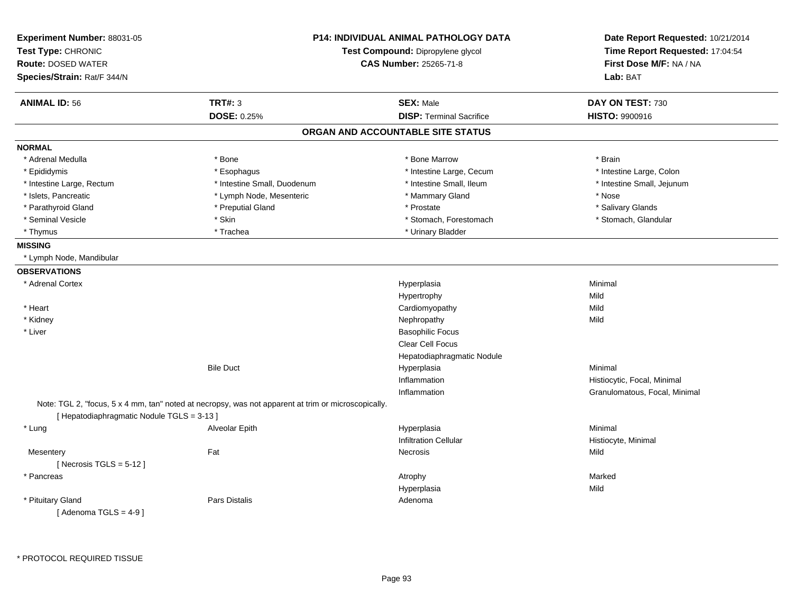| Experiment Number: 88031-05<br>Test Type: CHRONIC |                                                                                                     | <b>P14: INDIVIDUAL ANIMAL PATHOLOGY DATA</b><br>Test Compound: Dipropylene glycol | Date Report Requested: 10/21/2014<br>Time Report Requested: 17:04:54 |
|---------------------------------------------------|-----------------------------------------------------------------------------------------------------|-----------------------------------------------------------------------------------|----------------------------------------------------------------------|
| <b>Route: DOSED WATER</b>                         |                                                                                                     | <b>CAS Number: 25265-71-8</b>                                                     | First Dose M/F: NA / NA                                              |
| Species/Strain: Rat/F 344/N                       |                                                                                                     |                                                                                   | Lab: BAT                                                             |
| <b>ANIMAL ID: 56</b>                              | <b>TRT#: 3</b>                                                                                      | <b>SEX: Male</b>                                                                  | DAY ON TEST: 730                                                     |
|                                                   | DOSE: 0.25%                                                                                         | <b>DISP: Terminal Sacrifice</b>                                                   | HISTO: 9900916                                                       |
|                                                   |                                                                                                     | ORGAN AND ACCOUNTABLE SITE STATUS                                                 |                                                                      |
| <b>NORMAL</b>                                     |                                                                                                     |                                                                                   |                                                                      |
| * Adrenal Medulla                                 | * Bone                                                                                              | * Bone Marrow                                                                     | * Brain                                                              |
| * Epididymis                                      | * Esophagus                                                                                         | * Intestine Large, Cecum                                                          | * Intestine Large, Colon                                             |
| * Intestine Large, Rectum                         | * Intestine Small, Duodenum                                                                         | * Intestine Small, Ileum                                                          | * Intestine Small, Jejunum                                           |
| * Islets, Pancreatic                              | * Lymph Node, Mesenteric                                                                            | * Mammary Gland                                                                   | * Nose                                                               |
| * Parathyroid Gland                               | * Preputial Gland                                                                                   | * Prostate                                                                        | * Salivary Glands                                                    |
| * Seminal Vesicle                                 | * Skin                                                                                              | * Stomach, Forestomach                                                            | * Stomach, Glandular                                                 |
| * Thymus                                          | * Trachea                                                                                           | * Urinary Bladder                                                                 |                                                                      |
| <b>MISSING</b>                                    |                                                                                                     |                                                                                   |                                                                      |
| * Lymph Node, Mandibular                          |                                                                                                     |                                                                                   |                                                                      |
| <b>OBSERVATIONS</b>                               |                                                                                                     |                                                                                   |                                                                      |
| * Adrenal Cortex                                  |                                                                                                     | Hyperplasia                                                                       | Minimal                                                              |
|                                                   |                                                                                                     | Hypertrophy                                                                       | Mild                                                                 |
| * Heart                                           |                                                                                                     | Cardiomyopathy                                                                    | Mild                                                                 |
| * Kidney                                          |                                                                                                     | Nephropathy                                                                       | Mild                                                                 |
| * Liver                                           |                                                                                                     | <b>Basophilic Focus</b>                                                           |                                                                      |
|                                                   |                                                                                                     | Clear Cell Focus                                                                  |                                                                      |
|                                                   |                                                                                                     | Hepatodiaphragmatic Nodule                                                        |                                                                      |
|                                                   | <b>Bile Duct</b>                                                                                    | Hyperplasia                                                                       | Minimal                                                              |
|                                                   |                                                                                                     | Inflammation                                                                      | Histiocytic, Focal, Minimal                                          |
|                                                   |                                                                                                     | Inflammation                                                                      | Granulomatous, Focal, Minimal                                        |
|                                                   | Note: TGL 2, "focus, 5 x 4 mm, tan" noted at necropsy, was not apparent at trim or microscopically. |                                                                                   |                                                                      |
| [Hepatodiaphragmatic Nodule TGLS = 3-13]          |                                                                                                     |                                                                                   |                                                                      |
| * Lung                                            | Alveolar Epith                                                                                      | Hyperplasia                                                                       | Minimal                                                              |
|                                                   |                                                                                                     | <b>Infiltration Cellular</b>                                                      | Histiocyte, Minimal                                                  |
| Mesentery                                         | Fat                                                                                                 | Necrosis                                                                          | Mild                                                                 |
| [Necrosis $TGLS = 5-12$ ]                         |                                                                                                     |                                                                                   |                                                                      |
| * Pancreas                                        |                                                                                                     | Atrophy                                                                           | Marked                                                               |
|                                                   |                                                                                                     | Hyperplasia                                                                       | Mild                                                                 |
| * Pituitary Gland<br>[Adenoma TGLS = $4-9$ ]      | Pars Distalis                                                                                       | Adenoma                                                                           |                                                                      |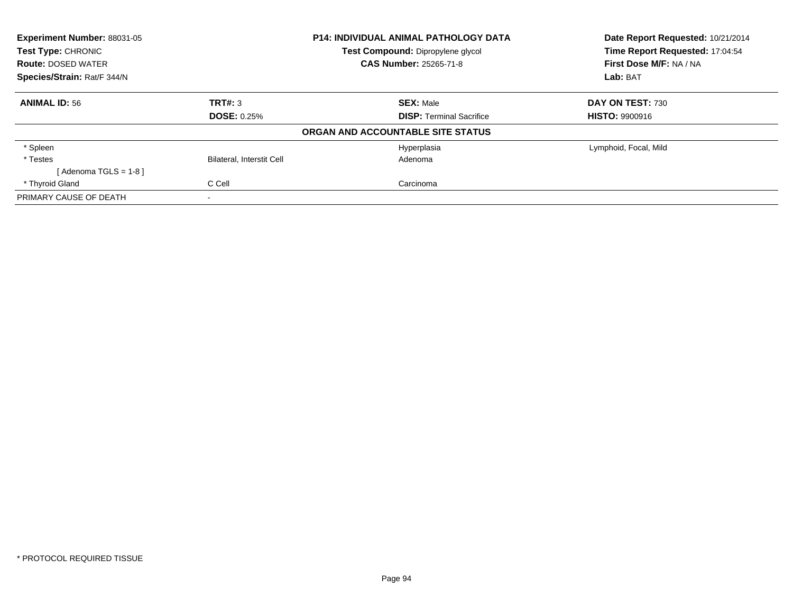| Experiment Number: 88031-05 |                                   | P14: INDIVIDUAL ANIMAL PATHOLOGY DATA | Date Report Requested: 10/21/2014 |
|-----------------------------|-----------------------------------|---------------------------------------|-----------------------------------|
| <b>Test Type: CHRONIC</b>   | Test Compound: Dipropylene glycol |                                       | Time Report Requested: 17:04:54   |
| <b>Route: DOSED WATER</b>   |                                   | <b>CAS Number: 25265-71-8</b>         | First Dose M/F: NA / NA           |
| Species/Strain: Rat/F 344/N |                                   |                                       | Lab: BAT                          |
| <b>ANIMAL ID: 56</b>        | TRT#: 3                           | <b>SEX: Male</b>                      | DAY ON TEST: 730                  |
|                             | <b>DOSE: 0.25%</b>                | <b>DISP: Terminal Sacrifice</b>       | <b>HISTO: 9900916</b>             |
|                             |                                   | ORGAN AND ACCOUNTABLE SITE STATUS     |                                   |
| * Spleen                    |                                   | Hyperplasia                           | Lymphoid, Focal, Mild             |
| * Testes                    | Bilateral, Interstit Cell         | Adenoma                               |                                   |
| [Adenoma TGLS = $1-8$ ]     |                                   |                                       |                                   |
| * Thyroid Gland             | C Cell                            | Carcinoma                             |                                   |
| PRIMARY CAUSE OF DEATH      |                                   |                                       |                                   |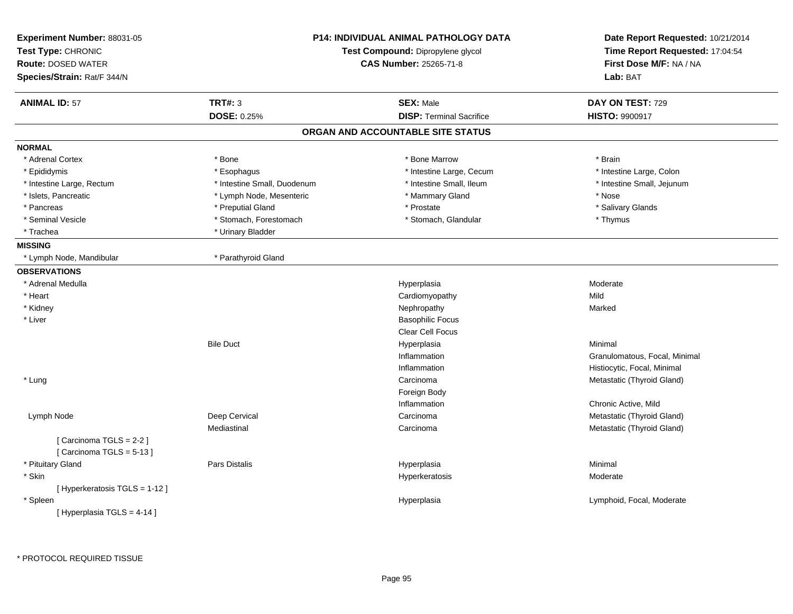|                                                                                      | DAY ON TEST: 729              |
|--------------------------------------------------------------------------------------|-------------------------------|
| <b>TRT#: 3</b><br><b>ANIMAL ID: 57</b><br><b>SEX: Male</b>                           |                               |
| <b>DOSE: 0.25%</b><br><b>DISP: Terminal Sacrifice</b>                                | <b>HISTO: 9900917</b>         |
| ORGAN AND ACCOUNTABLE SITE STATUS                                                    |                               |
| <b>NORMAL</b>                                                                        |                               |
| * Adrenal Cortex<br>* Bone<br>* Bone Marrow                                          | * Brain                       |
| * Intestine Large, Cecum<br>* Epididymis<br>* Esophagus                              | * Intestine Large, Colon      |
| * Intestine Small, Ileum<br>* Intestine Small, Duodenum<br>* Intestine Large, Rectum | * Intestine Small, Jejunum    |
| * Mammary Gland<br>* Islets, Pancreatic<br>* Lymph Node, Mesenteric                  | * Nose                        |
| * Pancreas<br>* Preputial Gland<br>* Prostate                                        | * Salivary Glands             |
| * Seminal Vesicle<br>* Stomach, Forestomach<br>* Stomach, Glandular                  | * Thymus                      |
| * Trachea<br>* Urinary Bladder                                                       |                               |
| <b>MISSING</b>                                                                       |                               |
| * Parathyroid Gland<br>* Lymph Node, Mandibular                                      |                               |
| <b>OBSERVATIONS</b>                                                                  |                               |
| * Adrenal Medulla<br>Hyperplasia                                                     | Moderate                      |
| * Heart<br>Cardiomyopathy                                                            | Mild                          |
| * Kidney<br>Nephropathy                                                              | Marked                        |
| <b>Basophilic Focus</b><br>* Liver                                                   |                               |
| <b>Clear Cell Focus</b>                                                              |                               |
| <b>Bile Duct</b><br>Hyperplasia                                                      | Minimal                       |
| Inflammation                                                                         | Granulomatous, Focal, Minimal |
| Inflammation                                                                         | Histiocytic, Focal, Minimal   |
| * Lung<br>Carcinoma                                                                  | Metastatic (Thyroid Gland)    |
| Foreign Body                                                                         |                               |
| Inflammation                                                                         | Chronic Active, Mild          |
| Deep Cervical<br>Lymph Node<br>Carcinoma                                             | Metastatic (Thyroid Gland)    |
| Mediastinal<br>Carcinoma                                                             | Metastatic (Thyroid Gland)    |
| [Carcinoma TGLS = 2-2]<br>[Carcinoma TGLS = 5-13]                                    |                               |
| * Pituitary Gland<br><b>Pars Distalis</b><br>Hyperplasia                             | Minimal                       |
| * Skin<br>Hyperkeratosis                                                             | Moderate                      |
| [ Hyperkeratosis TGLS = 1-12 ]                                                       |                               |
| * Spleen<br>Hyperplasia                                                              | Lymphoid, Focal, Moderate     |
| [ Hyperplasia TGLS = 4-14 ]                                                          |                               |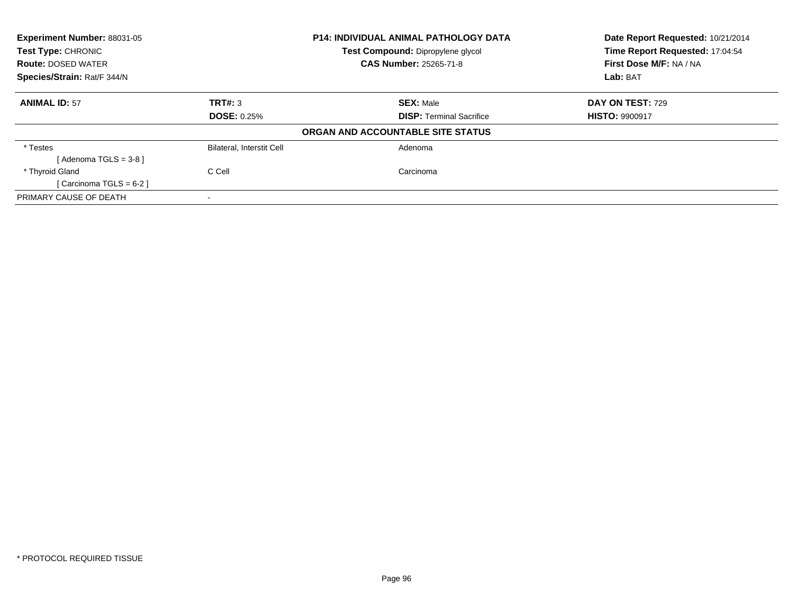| Experiment Number: 88031-05<br>Test Type: CHRONIC<br><b>Route: DOSED WATER</b> |                                  | <b>P14: INDIVIDUAL ANIMAL PATHOLOGY DATA</b><br>Test Compound: Dipropylene glycol<br><b>CAS Number: 25265-71-8</b> | Date Report Requested: 10/21/2014<br>Time Report Requested: 17:04:54<br>First Dose M/F: NA / NA |
|--------------------------------------------------------------------------------|----------------------------------|--------------------------------------------------------------------------------------------------------------------|-------------------------------------------------------------------------------------------------|
| Species/Strain: Rat/F 344/N                                                    |                                  |                                                                                                                    | Lab: BAT                                                                                        |
| <b>ANIMAL ID: 57</b>                                                           | TRT#: 3                          | <b>SEX: Male</b>                                                                                                   | <b>DAY ON TEST: 729</b>                                                                         |
|                                                                                | <b>DOSE: 0.25%</b>               | <b>DISP:</b> Terminal Sacrifice                                                                                    | <b>HISTO: 9900917</b>                                                                           |
|                                                                                |                                  | ORGAN AND ACCOUNTABLE SITE STATUS                                                                                  |                                                                                                 |
| * Testes                                                                       | <b>Bilateral, Interstit Cell</b> | Adenoma                                                                                                            |                                                                                                 |
| [Adenoma TGLS = $3-8$ ]                                                        |                                  |                                                                                                                    |                                                                                                 |
| * Thyroid Gland                                                                | C Cell                           | Carcinoma                                                                                                          |                                                                                                 |
| [ Carcinoma TGLS = $6-2$ ]                                                     |                                  |                                                                                                                    |                                                                                                 |
| PRIMARY CAUSE OF DEATH                                                         |                                  |                                                                                                                    |                                                                                                 |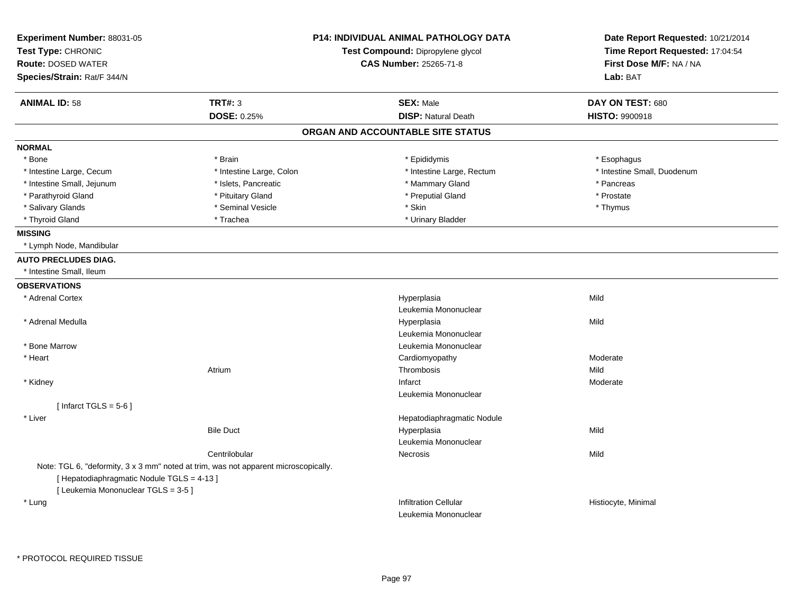| Experiment Number: 88031-05<br>Test Type: CHRONIC                                   |                          | <b>P14: INDIVIDUAL ANIMAL PATHOLOGY DATA</b><br>Test Compound: Dipropylene glycol | Date Report Requested: 10/21/2014<br>Time Report Requested: 17:04:54<br>First Dose M/F: NA / NA<br>Lab: BAT |
|-------------------------------------------------------------------------------------|--------------------------|-----------------------------------------------------------------------------------|-------------------------------------------------------------------------------------------------------------|
| <b>Route: DOSED WATER</b>                                                           |                          | <b>CAS Number: 25265-71-8</b>                                                     |                                                                                                             |
| Species/Strain: Rat/F 344/N                                                         |                          |                                                                                   |                                                                                                             |
| <b>ANIMAL ID: 58</b>                                                                | <b>TRT#: 3</b>           | <b>SEX: Male</b>                                                                  | DAY ON TEST: 680                                                                                            |
|                                                                                     | DOSE: 0.25%              | <b>DISP: Natural Death</b>                                                        | HISTO: 9900918                                                                                              |
|                                                                                     |                          | ORGAN AND ACCOUNTABLE SITE STATUS                                                 |                                                                                                             |
| <b>NORMAL</b>                                                                       |                          |                                                                                   |                                                                                                             |
| * Bone                                                                              | * Brain                  | * Epididymis                                                                      | * Esophagus                                                                                                 |
| * Intestine Large, Cecum                                                            | * Intestine Large, Colon | * Intestine Large, Rectum                                                         | * Intestine Small, Duodenum                                                                                 |
| * Intestine Small, Jejunum                                                          | * Islets, Pancreatic     | * Mammary Gland                                                                   | * Pancreas                                                                                                  |
| * Parathyroid Gland                                                                 | * Pituitary Gland        | * Preputial Gland                                                                 | * Prostate                                                                                                  |
| * Salivary Glands                                                                   | * Seminal Vesicle        | * Skin                                                                            | * Thymus                                                                                                    |
| * Thyroid Gland                                                                     | * Trachea                | * Urinary Bladder                                                                 |                                                                                                             |
| <b>MISSING</b>                                                                      |                          |                                                                                   |                                                                                                             |
| * Lymph Node, Mandibular                                                            |                          |                                                                                   |                                                                                                             |
| <b>AUTO PRECLUDES DIAG.</b>                                                         |                          |                                                                                   |                                                                                                             |
| * Intestine Small, Ileum                                                            |                          |                                                                                   |                                                                                                             |
| <b>OBSERVATIONS</b>                                                                 |                          |                                                                                   |                                                                                                             |
| * Adrenal Cortex                                                                    |                          | Hyperplasia                                                                       | Mild                                                                                                        |
|                                                                                     |                          | Leukemia Mononuclear                                                              |                                                                                                             |
| * Adrenal Medulla                                                                   |                          | Hyperplasia                                                                       | Mild                                                                                                        |
|                                                                                     |                          | Leukemia Mononuclear                                                              |                                                                                                             |
| * Bone Marrow                                                                       |                          | Leukemia Mononuclear                                                              |                                                                                                             |
| * Heart                                                                             |                          | Cardiomyopathy                                                                    | Moderate                                                                                                    |
|                                                                                     | Atrium                   | Thrombosis                                                                        | Mild                                                                                                        |
| * Kidney                                                                            |                          | Infarct                                                                           | Moderate                                                                                                    |
|                                                                                     |                          | Leukemia Mononuclear                                                              |                                                                                                             |
| [Infarct TGLS = $5-6$ ]                                                             |                          |                                                                                   |                                                                                                             |
| * Liver                                                                             |                          | Hepatodiaphragmatic Nodule                                                        |                                                                                                             |
|                                                                                     | <b>Bile Duct</b>         | Hyperplasia                                                                       | Mild                                                                                                        |
|                                                                                     |                          | Leukemia Mononuclear                                                              |                                                                                                             |
|                                                                                     | Centrilobular            | Necrosis                                                                          | Mild                                                                                                        |
| Note: TGL 6, "deformity, 3 x 3 mm" noted at trim, was not apparent microscopically. |                          |                                                                                   |                                                                                                             |
| [ Hepatodiaphragmatic Nodule TGLS = 4-13 ]                                          |                          |                                                                                   |                                                                                                             |
| [ Leukemia Mononuclear TGLS = 3-5 ]                                                 |                          |                                                                                   |                                                                                                             |
| * Lung                                                                              |                          | <b>Infiltration Cellular</b>                                                      | Histiocyte, Minimal                                                                                         |
|                                                                                     |                          | Leukemia Mononuclear                                                              |                                                                                                             |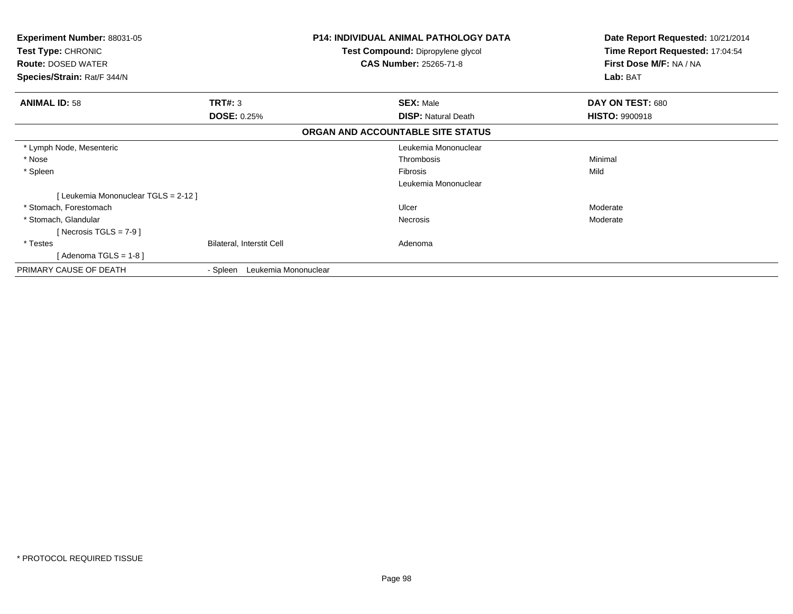| <b>Experiment Number: 88031-05</b><br><b>Test Type: CHRONIC</b><br><b>Route: DOSED WATER</b><br>Species/Strain: Rat/F 344/N |                                  | <b>P14: INDIVIDUAL ANIMAL PATHOLOGY DATA</b><br>Test Compound: Dipropylene glycol<br><b>CAS Number: 25265-71-8</b> | Date Report Requested: 10/21/2014<br>Time Report Requested: 17:04:54<br>First Dose M/F: NA / NA<br>Lab: BAT |
|-----------------------------------------------------------------------------------------------------------------------------|----------------------------------|--------------------------------------------------------------------------------------------------------------------|-------------------------------------------------------------------------------------------------------------|
|                                                                                                                             |                                  |                                                                                                                    |                                                                                                             |
| <b>ANIMAL ID: 58</b>                                                                                                        | TRT#: 3                          | <b>SEX: Male</b>                                                                                                   | DAY ON TEST: 680                                                                                            |
|                                                                                                                             | <b>DOSE: 0.25%</b>               | <b>DISP:</b> Natural Death                                                                                         | <b>HISTO: 9900918</b>                                                                                       |
|                                                                                                                             |                                  | ORGAN AND ACCOUNTABLE SITE STATUS                                                                                  |                                                                                                             |
| * Lymph Node, Mesenteric                                                                                                    |                                  | Leukemia Mononuclear                                                                                               |                                                                                                             |
| * Nose                                                                                                                      |                                  | Thrombosis                                                                                                         | Minimal                                                                                                     |
| * Spleen                                                                                                                    |                                  | <b>Fibrosis</b>                                                                                                    | Mild                                                                                                        |
|                                                                                                                             |                                  | Leukemia Mononuclear                                                                                               |                                                                                                             |
| [Leukemia Mononuclear TGLS = 2-12]                                                                                          |                                  |                                                                                                                    |                                                                                                             |
| * Stomach, Forestomach                                                                                                      |                                  | Ulcer                                                                                                              | Moderate                                                                                                    |
| * Stomach, Glandular                                                                                                        |                                  | Necrosis                                                                                                           | Moderate                                                                                                    |
| [ Necrosis TGLS = $7-9$ ]                                                                                                   |                                  |                                                                                                                    |                                                                                                             |
| * Testes                                                                                                                    | Bilateral, Interstit Cell        | Adenoma                                                                                                            |                                                                                                             |
| [Adenoma TGLS = $1-8$ ]                                                                                                     |                                  |                                                                                                                    |                                                                                                             |
| PRIMARY CAUSE OF DEATH                                                                                                      | Leukemia Mononuclear<br>- Spleen |                                                                                                                    |                                                                                                             |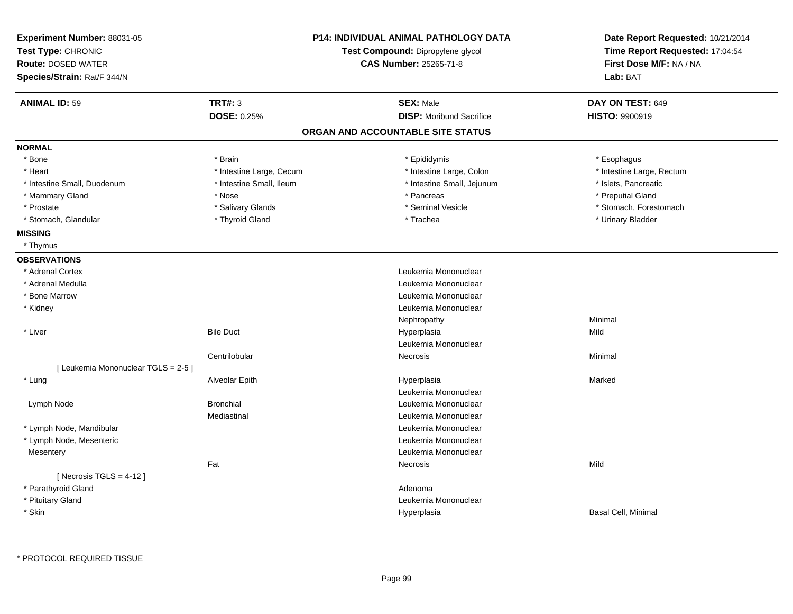| Experiment Number: 88031-05         |                          | <b>P14: INDIVIDUAL ANIMAL PATHOLOGY DATA</b> | Date Report Requested: 10/21/2014 |
|-------------------------------------|--------------------------|----------------------------------------------|-----------------------------------|
| Test Type: CHRONIC                  |                          | Test Compound: Dipropylene glycol            | Time Report Requested: 17:04:54   |
| <b>Route: DOSED WATER</b>           |                          | <b>CAS Number: 25265-71-8</b>                | First Dose M/F: NA / NA           |
| Species/Strain: Rat/F 344/N         |                          |                                              | Lab: BAT                          |
| <b>ANIMAL ID: 59</b>                | <b>TRT#: 3</b>           | <b>SEX: Male</b>                             | DAY ON TEST: 649                  |
|                                     | DOSE: 0.25%              | <b>DISP:</b> Moribund Sacrifice              | HISTO: 9900919                    |
|                                     |                          | ORGAN AND ACCOUNTABLE SITE STATUS            |                                   |
| <b>NORMAL</b>                       |                          |                                              |                                   |
| * Bone                              | * Brain                  | * Epididymis                                 | * Esophagus                       |
| * Heart                             | * Intestine Large, Cecum | * Intestine Large, Colon                     | * Intestine Large, Rectum         |
| * Intestine Small, Duodenum         | * Intestine Small, Ileum | * Intestine Small, Jejunum                   | * Islets, Pancreatic              |
| * Mammary Gland                     | * Nose                   | * Pancreas                                   | * Preputial Gland                 |
| * Prostate                          | * Salivary Glands        | * Seminal Vesicle                            | * Stomach, Forestomach            |
| * Stomach, Glandular                | * Thyroid Gland          | * Trachea                                    | * Urinary Bladder                 |
| <b>MISSING</b>                      |                          |                                              |                                   |
| * Thymus                            |                          |                                              |                                   |
| <b>OBSERVATIONS</b>                 |                          |                                              |                                   |
| * Adrenal Cortex                    |                          | Leukemia Mononuclear                         |                                   |
| * Adrenal Medulla                   |                          | Leukemia Mononuclear                         |                                   |
| * Bone Marrow                       |                          | Leukemia Mononuclear                         |                                   |
| * Kidney                            |                          | Leukemia Mononuclear                         |                                   |
|                                     |                          | Nephropathy                                  | Minimal                           |
| * Liver                             | <b>Bile Duct</b>         | Hyperplasia                                  | Mild                              |
|                                     |                          | Leukemia Mononuclear                         |                                   |
|                                     | Centrilobular            | Necrosis                                     | Minimal                           |
| [ Leukemia Mononuclear TGLS = 2-5 ] |                          |                                              |                                   |
| * Lung                              | Alveolar Epith           | Hyperplasia                                  | Marked                            |
|                                     |                          | Leukemia Mononuclear                         |                                   |
| Lymph Node                          | <b>Bronchial</b>         | Leukemia Mononuclear                         |                                   |
|                                     | Mediastinal              | Leukemia Mononuclear                         |                                   |
| * Lymph Node, Mandibular            |                          | Leukemia Mononuclear                         |                                   |
| * Lymph Node, Mesenteric            |                          | Leukemia Mononuclear                         |                                   |
| Mesentery                           |                          | Leukemia Mononuclear                         |                                   |
|                                     | Fat                      | <b>Necrosis</b>                              | Mild                              |
| [Necrosis TGLS = $4-12$ ]           |                          |                                              |                                   |
| * Parathyroid Gland                 |                          | Adenoma                                      |                                   |
| * Pituitary Gland                   |                          | Leukemia Mononuclear                         |                                   |
| * Skin                              |                          | Hyperplasia                                  | Basal Cell, Minimal               |
|                                     |                          |                                              |                                   |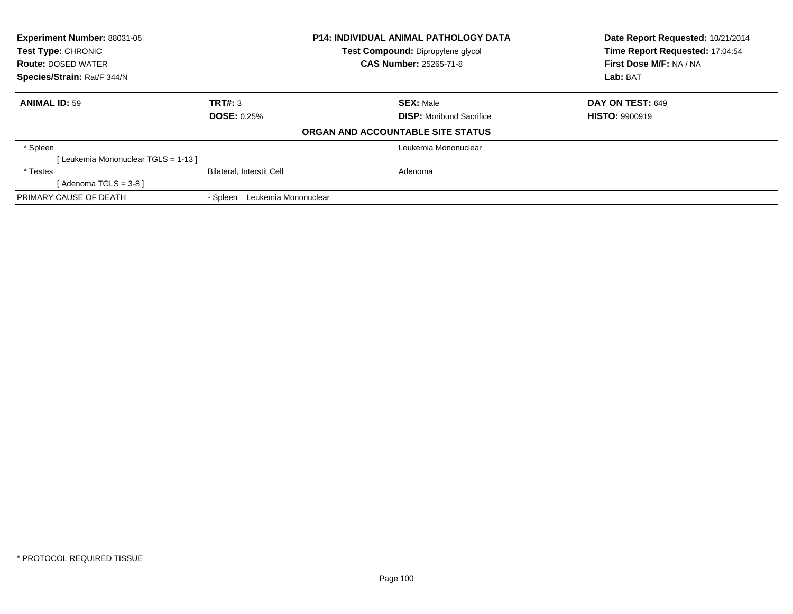| <b>Experiment Number: 88031-05</b><br><b>P14: INDIVIDUAL ANIMAL PATHOLOGY DATA</b><br><b>Test Type: CHRONIC</b><br>Test Compound: Dipropylene glycol<br><b>CAS Number: 25265-71-8</b><br><b>Route: DOSED WATER</b> |                                  |                                   | Date Report Requested: 10/21/2014<br>Time Report Requested: 17:04:54<br>First Dose M/F: NA / NA |
|--------------------------------------------------------------------------------------------------------------------------------------------------------------------------------------------------------------------|----------------------------------|-----------------------------------|-------------------------------------------------------------------------------------------------|
| Species/Strain: Rat/F 344/N                                                                                                                                                                                        |                                  |                                   | Lab: BAT                                                                                        |
| <b>ANIMAL ID: 59</b>                                                                                                                                                                                               | TRT#: 3                          | <b>SEX: Male</b>                  | <b>DAY ON TEST: 649</b>                                                                         |
|                                                                                                                                                                                                                    | <b>DOSE: 0.25%</b>               | <b>DISP:</b> Moribund Sacrifice   | <b>HISTO: 9900919</b>                                                                           |
|                                                                                                                                                                                                                    |                                  | ORGAN AND ACCOUNTABLE SITE STATUS |                                                                                                 |
| * Spleen                                                                                                                                                                                                           |                                  | Leukemia Mononuclear              |                                                                                                 |
| [Leukemia Mononuclear TGLS = 1-13]                                                                                                                                                                                 |                                  |                                   |                                                                                                 |
| * Testes                                                                                                                                                                                                           | Bilateral, Interstit Cell        | Adenoma                           |                                                                                                 |
| [Adenoma TGLS = $3-8$ ]                                                                                                                                                                                            |                                  |                                   |                                                                                                 |
| PRIMARY CAUSE OF DEATH                                                                                                                                                                                             | Leukemia Mononuclear<br>- Spleen |                                   |                                                                                                 |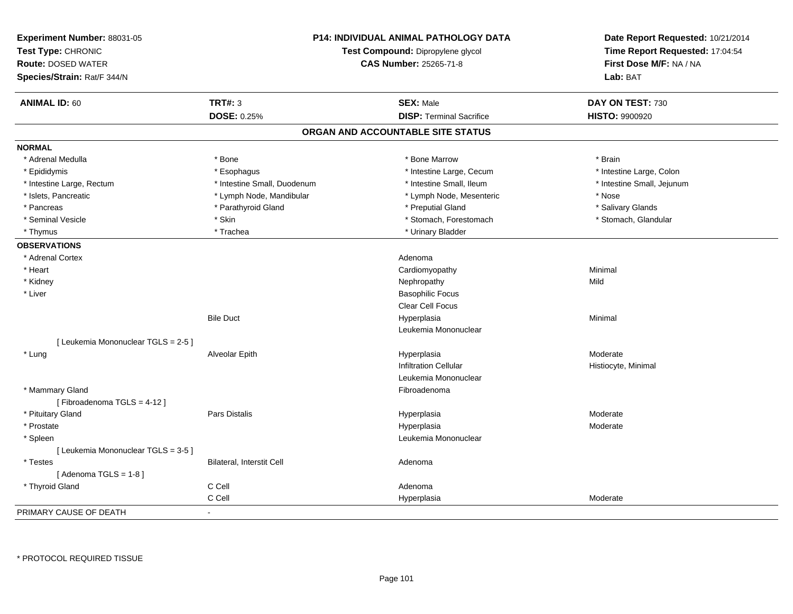| Experiment Number: 88031-05<br>Test Type: CHRONIC<br><b>Route: DOSED WATER</b><br>Species/Strain: Rat/F 344/N |                             | <b>P14: INDIVIDUAL ANIMAL PATHOLOGY DATA</b><br>Date Report Requested: 10/21/2014<br>Time Report Requested: 17:04:54<br>Test Compound: Dipropylene glycol<br><b>CAS Number: 25265-71-8</b><br>First Dose M/F: NA / NA<br>Lab: BAT |                            |
|---------------------------------------------------------------------------------------------------------------|-----------------------------|-----------------------------------------------------------------------------------------------------------------------------------------------------------------------------------------------------------------------------------|----------------------------|
| <b>ANIMAL ID: 60</b>                                                                                          | <b>TRT#: 3</b>              | <b>SEX: Male</b>                                                                                                                                                                                                                  | DAY ON TEST: 730           |
|                                                                                                               | DOSE: 0.25%                 | <b>DISP: Terminal Sacrifice</b>                                                                                                                                                                                                   | <b>HISTO: 9900920</b>      |
|                                                                                                               |                             | ORGAN AND ACCOUNTABLE SITE STATUS                                                                                                                                                                                                 |                            |
| <b>NORMAL</b>                                                                                                 |                             |                                                                                                                                                                                                                                   |                            |
| * Adrenal Medulla                                                                                             | * Bone                      | * Bone Marrow                                                                                                                                                                                                                     | * Brain                    |
| * Epididymis                                                                                                  | * Esophagus                 | * Intestine Large, Cecum                                                                                                                                                                                                          | * Intestine Large, Colon   |
| * Intestine Large, Rectum                                                                                     | * Intestine Small, Duodenum | * Intestine Small, Ileum                                                                                                                                                                                                          | * Intestine Small, Jejunum |
| * Islets, Pancreatic                                                                                          | * Lymph Node, Mandibular    | * Lymph Node, Mesenteric                                                                                                                                                                                                          | * Nose                     |
| * Pancreas                                                                                                    | * Parathyroid Gland         | * Preputial Gland                                                                                                                                                                                                                 | * Salivary Glands          |
| * Seminal Vesicle                                                                                             | * Skin                      | * Stomach, Forestomach                                                                                                                                                                                                            | * Stomach, Glandular       |
| * Thymus                                                                                                      | * Trachea                   | * Urinary Bladder                                                                                                                                                                                                                 |                            |
| <b>OBSERVATIONS</b>                                                                                           |                             |                                                                                                                                                                                                                                   |                            |
| * Adrenal Cortex                                                                                              |                             | Adenoma                                                                                                                                                                                                                           |                            |
| * Heart                                                                                                       |                             | Cardiomyopathy                                                                                                                                                                                                                    | Minimal                    |
| * Kidney                                                                                                      |                             | Nephropathy                                                                                                                                                                                                                       | Mild                       |
| * Liver                                                                                                       |                             | <b>Basophilic Focus</b>                                                                                                                                                                                                           |                            |
|                                                                                                               |                             | <b>Clear Cell Focus</b>                                                                                                                                                                                                           |                            |
|                                                                                                               | <b>Bile Duct</b>            | Hyperplasia                                                                                                                                                                                                                       | Minimal                    |
|                                                                                                               |                             | Leukemia Mononuclear                                                                                                                                                                                                              |                            |
| [ Leukemia Mononuclear TGLS = 2-5 ]                                                                           |                             |                                                                                                                                                                                                                                   |                            |
| * Lung                                                                                                        | Alveolar Epith              | Hyperplasia                                                                                                                                                                                                                       | Moderate                   |
|                                                                                                               |                             | <b>Infiltration Cellular</b>                                                                                                                                                                                                      | Histiocyte, Minimal        |
|                                                                                                               |                             | Leukemia Mononuclear                                                                                                                                                                                                              |                            |
| * Mammary Gland                                                                                               |                             | Fibroadenoma                                                                                                                                                                                                                      |                            |
| [Fibroadenoma TGLS = 4-12]                                                                                    |                             |                                                                                                                                                                                                                                   |                            |
| * Pituitary Gland                                                                                             | <b>Pars Distalis</b>        | Hyperplasia                                                                                                                                                                                                                       | Moderate                   |
| * Prostate                                                                                                    |                             | Hyperplasia                                                                                                                                                                                                                       | Moderate                   |
| * Spleen                                                                                                      |                             | Leukemia Mononuclear                                                                                                                                                                                                              |                            |
| [Leukemia Mononuclear TGLS = 3-5]                                                                             |                             |                                                                                                                                                                                                                                   |                            |
| * Testes                                                                                                      | Bilateral, Interstit Cell   | Adenoma                                                                                                                                                                                                                           |                            |
| [Adenoma TGLS = $1-8$ ]                                                                                       |                             |                                                                                                                                                                                                                                   |                            |
| * Thyroid Gland                                                                                               | C Cell                      | Adenoma                                                                                                                                                                                                                           |                            |
|                                                                                                               | C Cell                      | Hyperplasia                                                                                                                                                                                                                       | Moderate                   |
| PRIMARY CAUSE OF DEATH                                                                                        |                             |                                                                                                                                                                                                                                   |                            |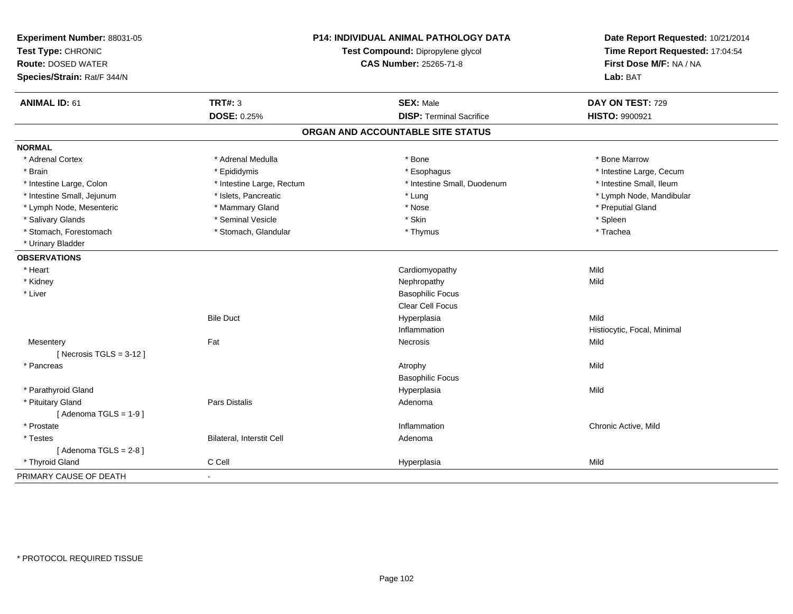| Experiment Number: 88031-05<br>Test Type: CHRONIC<br><b>Route: DOSED WATER</b><br>Species/Strain: Rat/F 344/N |                           | P14: INDIVIDUAL ANIMAL PATHOLOGY DATA<br>Test Compound: Dipropylene glycol<br><b>CAS Number: 25265-71-8</b> | Date Report Requested: 10/21/2014<br>Time Report Requested: 17:04:54<br>First Dose M/F: NA / NA<br>Lab: BAT |
|---------------------------------------------------------------------------------------------------------------|---------------------------|-------------------------------------------------------------------------------------------------------------|-------------------------------------------------------------------------------------------------------------|
| <b>ANIMAL ID: 61</b>                                                                                          | <b>TRT#: 3</b>            | <b>SEX: Male</b>                                                                                            | DAY ON TEST: 729                                                                                            |
|                                                                                                               | <b>DOSE: 0.25%</b>        | <b>DISP: Terminal Sacrifice</b>                                                                             | HISTO: 9900921                                                                                              |
|                                                                                                               |                           | ORGAN AND ACCOUNTABLE SITE STATUS                                                                           |                                                                                                             |
| <b>NORMAL</b>                                                                                                 |                           |                                                                                                             |                                                                                                             |
| * Adrenal Cortex                                                                                              | * Adrenal Medulla         | * Bone                                                                                                      | * Bone Marrow                                                                                               |
| * Brain                                                                                                       | * Epididymis              | * Esophagus                                                                                                 | * Intestine Large, Cecum                                                                                    |
| * Intestine Large, Colon                                                                                      | * Intestine Large, Rectum | * Intestine Small, Duodenum                                                                                 | * Intestine Small. Ileum                                                                                    |
| * Intestine Small, Jejunum                                                                                    | * Islets, Pancreatic      | * Lung                                                                                                      | * Lymph Node, Mandibular                                                                                    |
| * Lymph Node, Mesenteric                                                                                      | * Mammary Gland           | * Nose                                                                                                      | * Preputial Gland                                                                                           |
| * Salivary Glands                                                                                             | * Seminal Vesicle         | * Skin                                                                                                      | * Spleen                                                                                                    |
| * Stomach, Forestomach                                                                                        | * Stomach, Glandular      | * Thymus                                                                                                    | * Trachea                                                                                                   |
| * Urinary Bladder                                                                                             |                           |                                                                                                             |                                                                                                             |
| <b>OBSERVATIONS</b>                                                                                           |                           |                                                                                                             |                                                                                                             |
| * Heart                                                                                                       |                           | Cardiomyopathy                                                                                              | Mild                                                                                                        |
| * Kidney                                                                                                      |                           | Nephropathy                                                                                                 | Mild                                                                                                        |
| * Liver                                                                                                       |                           | <b>Basophilic Focus</b>                                                                                     |                                                                                                             |
|                                                                                                               |                           | <b>Clear Cell Focus</b>                                                                                     |                                                                                                             |
|                                                                                                               | <b>Bile Duct</b>          | Hyperplasia                                                                                                 | Mild                                                                                                        |
|                                                                                                               |                           | Inflammation                                                                                                | Histiocytic, Focal, Minimal                                                                                 |
| Mesentery                                                                                                     | Fat                       | Necrosis                                                                                                    | Mild                                                                                                        |
| [Necrosis $TGLS = 3-12$ ]                                                                                     |                           |                                                                                                             |                                                                                                             |
| * Pancreas                                                                                                    |                           | Atrophy                                                                                                     | Mild                                                                                                        |
|                                                                                                               |                           | <b>Basophilic Focus</b>                                                                                     |                                                                                                             |
| * Parathyroid Gland                                                                                           |                           | Hyperplasia                                                                                                 | Mild                                                                                                        |
| * Pituitary Gland                                                                                             | Pars Distalis             | Adenoma                                                                                                     |                                                                                                             |
| [Adenoma TGLS = $1-9$ ]                                                                                       |                           |                                                                                                             |                                                                                                             |
| * Prostate                                                                                                    |                           | Inflammation                                                                                                | Chronic Active, Mild                                                                                        |
| * Testes                                                                                                      | Bilateral, Interstit Cell | Adenoma                                                                                                     |                                                                                                             |
| [Adenoma TGLS = $2-8$ ]                                                                                       |                           |                                                                                                             |                                                                                                             |
| * Thyroid Gland                                                                                               | C Cell                    | Hyperplasia                                                                                                 | Mild                                                                                                        |
| PRIMARY CAUSE OF DEATH                                                                                        | $\blacksquare$            |                                                                                                             |                                                                                                             |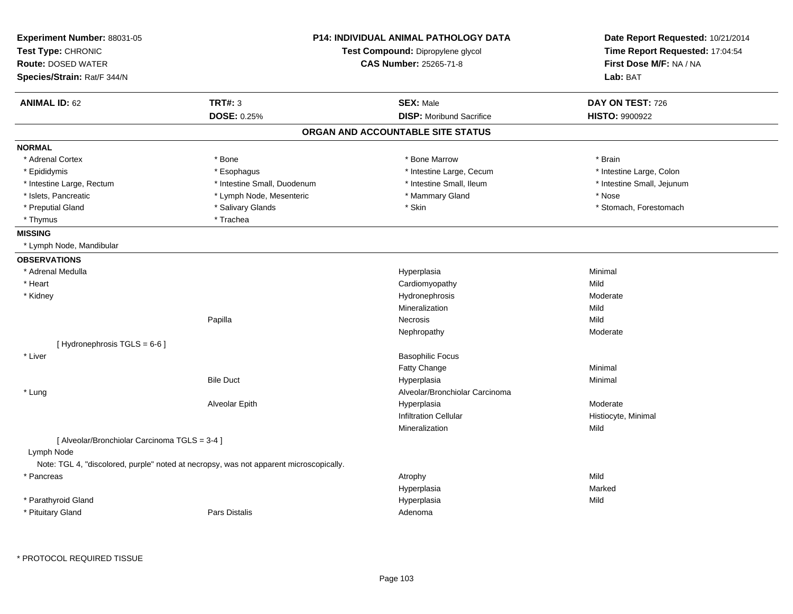| <b>TRT#: 3</b><br><b>DOSE: 0.25%</b><br>* Bone | Test Compound: Dipropylene glycol<br><b>CAS Number: 25265-71-8</b><br><b>SEX: Male</b><br><b>DISP:</b> Moribund Sacrifice<br>ORGAN AND ACCOUNTABLE SITE STATUS | Time Report Requested: 17:04:54<br>First Dose M/F: NA / NA<br>Lab: BAT<br>DAY ON TEST: 726<br><b>HISTO: 9900922</b> |
|------------------------------------------------|----------------------------------------------------------------------------------------------------------------------------------------------------------------|---------------------------------------------------------------------------------------------------------------------|
|                                                |                                                                                                                                                                |                                                                                                                     |
|                                                |                                                                                                                                                                |                                                                                                                     |
|                                                |                                                                                                                                                                |                                                                                                                     |
|                                                |                                                                                                                                                                |                                                                                                                     |
|                                                |                                                                                                                                                                |                                                                                                                     |
|                                                |                                                                                                                                                                |                                                                                                                     |
|                                                |                                                                                                                                                                |                                                                                                                     |
|                                                | * Bone Marrow                                                                                                                                                  | * Brain                                                                                                             |
| * Esophagus                                    | * Intestine Large, Cecum                                                                                                                                       | * Intestine Large, Colon                                                                                            |
| * Intestine Small, Duodenum                    | * Intestine Small, Ileum                                                                                                                                       | * Intestine Small, Jejunum                                                                                          |
| * Lymph Node, Mesenteric                       | * Mammary Gland                                                                                                                                                | * Nose                                                                                                              |
| * Salivary Glands                              | * Skin                                                                                                                                                         | * Stomach, Forestomach                                                                                              |
| * Trachea                                      |                                                                                                                                                                |                                                                                                                     |
|                                                |                                                                                                                                                                |                                                                                                                     |
|                                                |                                                                                                                                                                |                                                                                                                     |
|                                                |                                                                                                                                                                |                                                                                                                     |
|                                                | Hyperplasia                                                                                                                                                    | Minimal                                                                                                             |
|                                                | Cardiomyopathy                                                                                                                                                 | Mild                                                                                                                |
|                                                | Hydronephrosis                                                                                                                                                 | Moderate                                                                                                            |
|                                                | Mineralization                                                                                                                                                 | Mild                                                                                                                |
| Papilla                                        | Necrosis                                                                                                                                                       | Mild                                                                                                                |
|                                                | Nephropathy                                                                                                                                                    | Moderate                                                                                                            |
|                                                |                                                                                                                                                                |                                                                                                                     |
|                                                | <b>Basophilic Focus</b>                                                                                                                                        |                                                                                                                     |
|                                                | Fatty Change                                                                                                                                                   | Minimal                                                                                                             |
| <b>Bile Duct</b>                               | Hyperplasia                                                                                                                                                    | Minimal                                                                                                             |
|                                                | Alveolar/Bronchiolar Carcinoma                                                                                                                                 |                                                                                                                     |
| Alveolar Epith                                 | Hyperplasia                                                                                                                                                    | Moderate                                                                                                            |
|                                                | <b>Infiltration Cellular</b>                                                                                                                                   | Histiocyte, Minimal                                                                                                 |
|                                                | Mineralization                                                                                                                                                 | Mild                                                                                                                |
| [ Alveolar/Bronchiolar Carcinoma TGLS = 3-4 ]  |                                                                                                                                                                |                                                                                                                     |
|                                                |                                                                                                                                                                |                                                                                                                     |
|                                                |                                                                                                                                                                | Mild                                                                                                                |
|                                                |                                                                                                                                                                | Marked                                                                                                              |
|                                                |                                                                                                                                                                | Mild                                                                                                                |
| <b>Pars Distalis</b>                           | Adenoma                                                                                                                                                        |                                                                                                                     |
|                                                | Note: TGL 4, "discolored, purple" noted at necropsy, was not apparent microscopically.                                                                         | Atrophy<br>Hyperplasia<br>Hyperplasia                                                                               |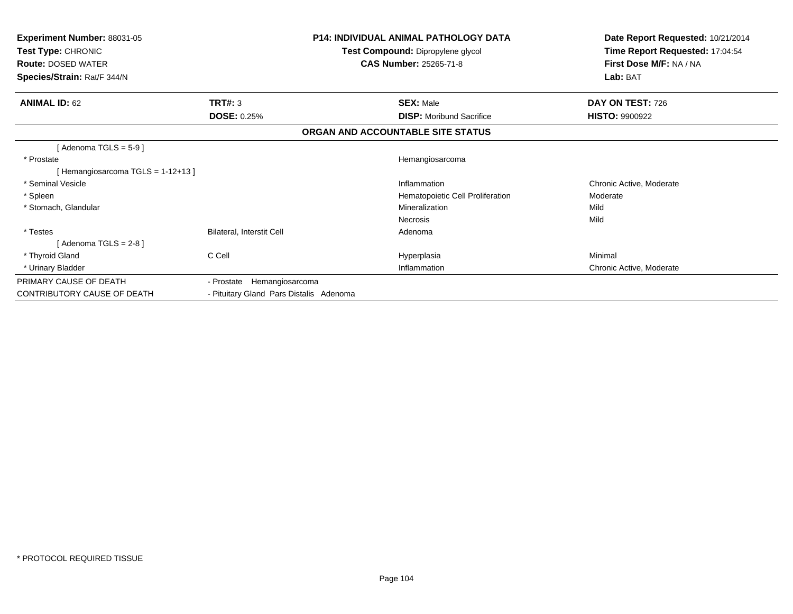| <b>Experiment Number: 88031-05</b><br>Test Type: CHRONIC<br><b>Route: DOSED WATER</b><br>Species/Strain: Rat/F 344/N |                                         | <b>P14: INDIVIDUAL ANIMAL PATHOLOGY DATA</b><br>Test Compound: Dipropylene glycol<br><b>CAS Number: 25265-71-8</b> | Date Report Requested: 10/21/2014<br>Time Report Requested: 17:04:54<br>First Dose M/F: NA / NA<br>Lab: BAT |
|----------------------------------------------------------------------------------------------------------------------|-----------------------------------------|--------------------------------------------------------------------------------------------------------------------|-------------------------------------------------------------------------------------------------------------|
| <b>ANIMAL ID: 62</b>                                                                                                 | TRT#: 3<br><b>DOSE: 0.25%</b>           | <b>SEX: Male</b><br><b>DISP:</b> Moribund Sacrifice                                                                | DAY ON TEST: 726<br><b>HISTO: 9900922</b>                                                                   |
|                                                                                                                      |                                         | ORGAN AND ACCOUNTABLE SITE STATUS                                                                                  |                                                                                                             |
| [Adenoma TGLS = $5-9$ ]                                                                                              |                                         |                                                                                                                    |                                                                                                             |
| * Prostate                                                                                                           |                                         | Hemangiosarcoma                                                                                                    |                                                                                                             |
| [Hemangiosarcoma TGLS = 1-12+13]                                                                                     |                                         |                                                                                                                    |                                                                                                             |
| * Seminal Vesicle                                                                                                    |                                         | Inflammation                                                                                                       | Chronic Active, Moderate                                                                                    |
| * Spleen                                                                                                             |                                         | Hematopoietic Cell Proliferation                                                                                   | Moderate                                                                                                    |
| * Stomach, Glandular                                                                                                 |                                         | Mineralization                                                                                                     | Mild                                                                                                        |
|                                                                                                                      |                                         | <b>Necrosis</b>                                                                                                    | Mild                                                                                                        |
| * Testes                                                                                                             | Bilateral, Interstit Cell               | Adenoma                                                                                                            |                                                                                                             |
| [Adenoma TGLS = $2-8$ ]                                                                                              |                                         |                                                                                                                    |                                                                                                             |
| * Thyroid Gland                                                                                                      | C Cell                                  | Hyperplasia                                                                                                        | Minimal                                                                                                     |
| * Urinary Bladder                                                                                                    |                                         | Inflammation                                                                                                       | Chronic Active, Moderate                                                                                    |
| PRIMARY CAUSE OF DEATH                                                                                               | - Prostate Hemangiosarcoma              |                                                                                                                    |                                                                                                             |
| CONTRIBUTORY CAUSE OF DEATH                                                                                          | - Pituitary Gland Pars Distalis Adenoma |                                                                                                                    |                                                                                                             |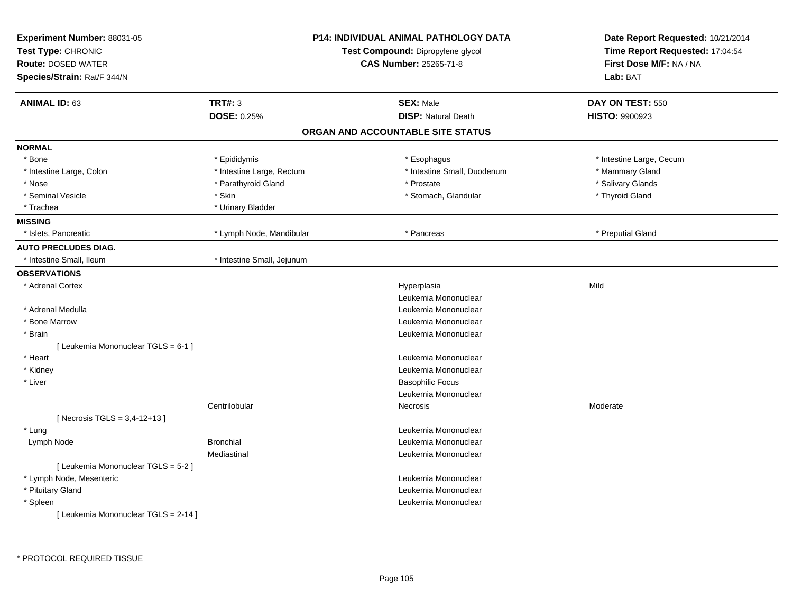| Test Compound: Dipropylene glycol<br>First Dose M/F: NA / NA<br><b>Route: DOSED WATER</b><br><b>CAS Number: 25265-71-8</b><br>Species/Strain: Rat/F 344/N<br>Lab: BAT<br><b>ANIMAL ID: 63</b><br><b>TRT#: 3</b><br><b>SEX: Male</b><br>DAY ON TEST: 550<br>DOSE: 0.25%<br><b>DISP: Natural Death</b><br>HISTO: 9900923<br>ORGAN AND ACCOUNTABLE SITE STATUS<br><b>NORMAL</b><br>* Epididymis<br>* Esophagus<br>* Intestine Large, Cecum<br>* Bone |  |
|---------------------------------------------------------------------------------------------------------------------------------------------------------------------------------------------------------------------------------------------------------------------------------------------------------------------------------------------------------------------------------------------------------------------------------------------------|--|
|                                                                                                                                                                                                                                                                                                                                                                                                                                                   |  |
|                                                                                                                                                                                                                                                                                                                                                                                                                                                   |  |
|                                                                                                                                                                                                                                                                                                                                                                                                                                                   |  |
|                                                                                                                                                                                                                                                                                                                                                                                                                                                   |  |
|                                                                                                                                                                                                                                                                                                                                                                                                                                                   |  |
|                                                                                                                                                                                                                                                                                                                                                                                                                                                   |  |
|                                                                                                                                                                                                                                                                                                                                                                                                                                                   |  |
| * Intestine Small, Duodenum<br>* Intestine Large, Rectum<br>* Mammary Gland<br>* Intestine Large, Colon                                                                                                                                                                                                                                                                                                                                           |  |
| * Nose<br>* Parathyroid Gland<br>* Prostate<br>* Salivary Glands                                                                                                                                                                                                                                                                                                                                                                                  |  |
| * Skin<br>* Stomach, Glandular<br>* Thyroid Gland<br>* Seminal Vesicle                                                                                                                                                                                                                                                                                                                                                                            |  |
| * Trachea<br>* Urinary Bladder                                                                                                                                                                                                                                                                                                                                                                                                                    |  |
| <b>MISSING</b>                                                                                                                                                                                                                                                                                                                                                                                                                                    |  |
| * Islets, Pancreatic<br>* Lymph Node, Mandibular<br>* Pancreas<br>* Preputial Gland                                                                                                                                                                                                                                                                                                                                                               |  |
| <b>AUTO PRECLUDES DIAG.</b>                                                                                                                                                                                                                                                                                                                                                                                                                       |  |
| * Intestine Small, Ileum<br>* Intestine Small, Jejunum                                                                                                                                                                                                                                                                                                                                                                                            |  |
| <b>OBSERVATIONS</b>                                                                                                                                                                                                                                                                                                                                                                                                                               |  |
| Mild<br>* Adrenal Cortex<br>Hyperplasia                                                                                                                                                                                                                                                                                                                                                                                                           |  |
| Leukemia Mononuclear                                                                                                                                                                                                                                                                                                                                                                                                                              |  |
| * Adrenal Medulla<br>Leukemia Mononuclear                                                                                                                                                                                                                                                                                                                                                                                                         |  |
| * Bone Marrow<br>Leukemia Mononuclear                                                                                                                                                                                                                                                                                                                                                                                                             |  |
| * Brain<br>Leukemia Mononuclear                                                                                                                                                                                                                                                                                                                                                                                                                   |  |
| [Leukemia Mononuclear TGLS = 6-1 ]                                                                                                                                                                                                                                                                                                                                                                                                                |  |
| * Heart<br>Leukemia Mononuclear                                                                                                                                                                                                                                                                                                                                                                                                                   |  |
| * Kidney<br>Leukemia Mononuclear                                                                                                                                                                                                                                                                                                                                                                                                                  |  |
| * Liver<br><b>Basophilic Focus</b>                                                                                                                                                                                                                                                                                                                                                                                                                |  |
| Leukemia Mononuclear                                                                                                                                                                                                                                                                                                                                                                                                                              |  |
| Centrilobular<br>Necrosis<br>Moderate                                                                                                                                                                                                                                                                                                                                                                                                             |  |
| [Necrosis TGLS = $3,4-12+13$ ]                                                                                                                                                                                                                                                                                                                                                                                                                    |  |
| * Lung<br>Leukemia Mononuclear                                                                                                                                                                                                                                                                                                                                                                                                                    |  |
| <b>Bronchial</b><br>Lymph Node<br>Leukemia Mononuclear                                                                                                                                                                                                                                                                                                                                                                                            |  |
| Mediastinal<br>Leukemia Mononuclear                                                                                                                                                                                                                                                                                                                                                                                                               |  |
| [ Leukemia Mononuclear TGLS = 5-2 ]                                                                                                                                                                                                                                                                                                                                                                                                               |  |
| * Lymph Node, Mesenteric<br>Leukemia Mononuclear                                                                                                                                                                                                                                                                                                                                                                                                  |  |
| * Pituitary Gland<br>Leukemia Mononuclear                                                                                                                                                                                                                                                                                                                                                                                                         |  |
| * Spleen<br>Leukemia Mononuclear                                                                                                                                                                                                                                                                                                                                                                                                                  |  |
| [ Leukemia Mononuclear TGLS = 2-14 ]                                                                                                                                                                                                                                                                                                                                                                                                              |  |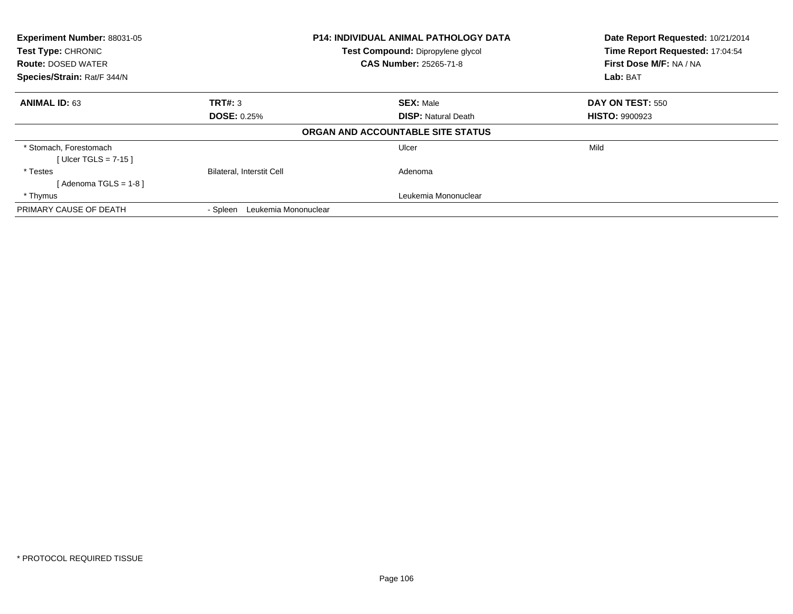| Experiment Number: 88031-05                     |                                                                    | P14: INDIVIDUAL ANIMAL PATHOLOGY DATA | Date Report Requested: 10/21/2014                          |
|-------------------------------------------------|--------------------------------------------------------------------|---------------------------------------|------------------------------------------------------------|
| Test Type: CHRONIC<br><b>Route: DOSED WATER</b> | Test Compound: Dipropylene glycol<br><b>CAS Number: 25265-71-8</b> |                                       | Time Report Requested: 17:04:54<br>First Dose M/F: NA / NA |
| Species/Strain: Rat/F 344/N                     |                                                                    |                                       | Lab: BAT                                                   |
| <b>ANIMAL ID: 63</b>                            | TRT#: 3                                                            | <b>SEX: Male</b>                      | <b>DAY ON TEST: 550</b>                                    |
|                                                 | <b>DOSE: 0.25%</b>                                                 | <b>DISP:</b> Natural Death            | <b>HISTO: 9900923</b>                                      |
|                                                 |                                                                    | ORGAN AND ACCOUNTABLE SITE STATUS     |                                                            |
| * Stomach, Forestomach                          |                                                                    | Ulcer                                 | Mild                                                       |
| [Ulcer TGLS = $7-15$ ]                          |                                                                    |                                       |                                                            |
| * Testes                                        | <b>Bilateral, Interstit Cell</b>                                   | Adenoma                               |                                                            |
| [Adenoma TGLS = $1-8$ ]                         |                                                                    |                                       |                                                            |
| * Thymus                                        |                                                                    | Leukemia Mononuclear                  |                                                            |
| PRIMARY CAUSE OF DEATH                          | Leukemia Mononuclear<br>- Spleen                                   |                                       |                                                            |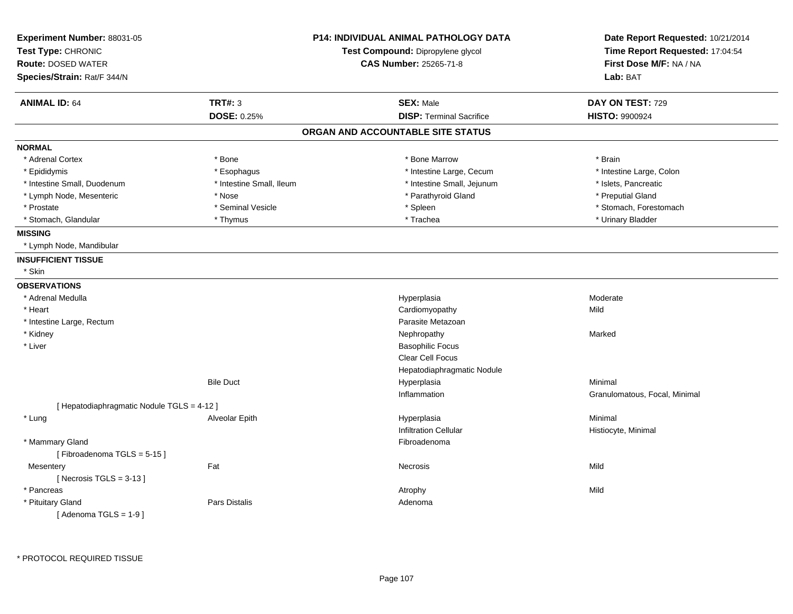| Experiment Number: 88031-05<br>Test Type: CHRONIC<br><b>Route: DOSED WATER</b> |                          | <b>P14: INDIVIDUAL ANIMAL PATHOLOGY DATA</b><br>Test Compound: Dipropylene glycol<br><b>CAS Number: 25265-71-8</b> | Date Report Requested: 10/21/2014<br>Time Report Requested: 17:04:54<br>First Dose M/F: NA / NA |
|--------------------------------------------------------------------------------|--------------------------|--------------------------------------------------------------------------------------------------------------------|-------------------------------------------------------------------------------------------------|
| Species/Strain: Rat/F 344/N                                                    |                          |                                                                                                                    | Lab: BAT                                                                                        |
| <b>ANIMAL ID: 64</b>                                                           | <b>TRT#: 3</b>           | <b>SEX: Male</b>                                                                                                   | DAY ON TEST: 729                                                                                |
|                                                                                | DOSE: 0.25%              | <b>DISP: Terminal Sacrifice</b>                                                                                    | HISTO: 9900924                                                                                  |
|                                                                                |                          | ORGAN AND ACCOUNTABLE SITE STATUS                                                                                  |                                                                                                 |
| <b>NORMAL</b>                                                                  |                          |                                                                                                                    |                                                                                                 |
| * Adrenal Cortex                                                               | * Bone                   | * Bone Marrow                                                                                                      | * Brain                                                                                         |
| * Epididymis                                                                   | * Esophagus              | * Intestine Large, Cecum                                                                                           | * Intestine Large, Colon                                                                        |
| * Intestine Small, Duodenum                                                    | * Intestine Small, Ileum | * Intestine Small, Jejunum                                                                                         | * Islets, Pancreatic                                                                            |
| * Lymph Node, Mesenteric                                                       | * Nose                   | * Parathyroid Gland                                                                                                | * Preputial Gland                                                                               |
| * Prostate                                                                     | * Seminal Vesicle        | * Spleen                                                                                                           | * Stomach, Forestomach                                                                          |
| * Stomach, Glandular                                                           | * Thymus                 | * Trachea                                                                                                          | * Urinary Bladder                                                                               |
| <b>MISSING</b>                                                                 |                          |                                                                                                                    |                                                                                                 |
| * Lymph Node, Mandibular                                                       |                          |                                                                                                                    |                                                                                                 |
| <b>INSUFFICIENT TISSUE</b>                                                     |                          |                                                                                                                    |                                                                                                 |
| * Skin                                                                         |                          |                                                                                                                    |                                                                                                 |
| <b>OBSERVATIONS</b>                                                            |                          |                                                                                                                    |                                                                                                 |
| * Adrenal Medulla                                                              |                          | Hyperplasia                                                                                                        | Moderate                                                                                        |
| * Heart                                                                        |                          | Cardiomyopathy                                                                                                     | Mild                                                                                            |
| * Intestine Large, Rectum                                                      |                          | Parasite Metazoan                                                                                                  |                                                                                                 |
| * Kidney                                                                       |                          | Nephropathy                                                                                                        | Marked                                                                                          |
| * Liver                                                                        |                          | <b>Basophilic Focus</b>                                                                                            |                                                                                                 |
|                                                                                |                          | Clear Cell Focus                                                                                                   |                                                                                                 |
|                                                                                |                          | Hepatodiaphragmatic Nodule                                                                                         |                                                                                                 |
|                                                                                | <b>Bile Duct</b>         | Hyperplasia                                                                                                        | Minimal                                                                                         |
|                                                                                |                          | Inflammation                                                                                                       | Granulomatous, Focal, Minimal                                                                   |
| [ Hepatodiaphragmatic Nodule TGLS = 4-12 ]                                     |                          |                                                                                                                    |                                                                                                 |
| * Lung                                                                         | Alveolar Epith           | Hyperplasia                                                                                                        | Minimal                                                                                         |
|                                                                                |                          | <b>Infiltration Cellular</b>                                                                                       | Histiocyte, Minimal                                                                             |
| * Mammary Gland                                                                |                          | Fibroadenoma                                                                                                       |                                                                                                 |
| [Fibroadenoma TGLS = $5-15$ ]                                                  |                          |                                                                                                                    |                                                                                                 |
| Mesentery                                                                      | Fat                      | <b>Necrosis</b>                                                                                                    | Mild                                                                                            |
| [Necrosis TGLS = $3-13$ ]                                                      |                          |                                                                                                                    |                                                                                                 |
| * Pancreas                                                                     |                          | Atrophy                                                                                                            | Mild                                                                                            |
| * Pituitary Gland                                                              | Pars Distalis            | Adenoma                                                                                                            |                                                                                                 |
| [Adenoma TGLS = $1-9$ ]                                                        |                          |                                                                                                                    |                                                                                                 |
|                                                                                |                          |                                                                                                                    |                                                                                                 |

\* PROTOCOL REQUIRED TISSUE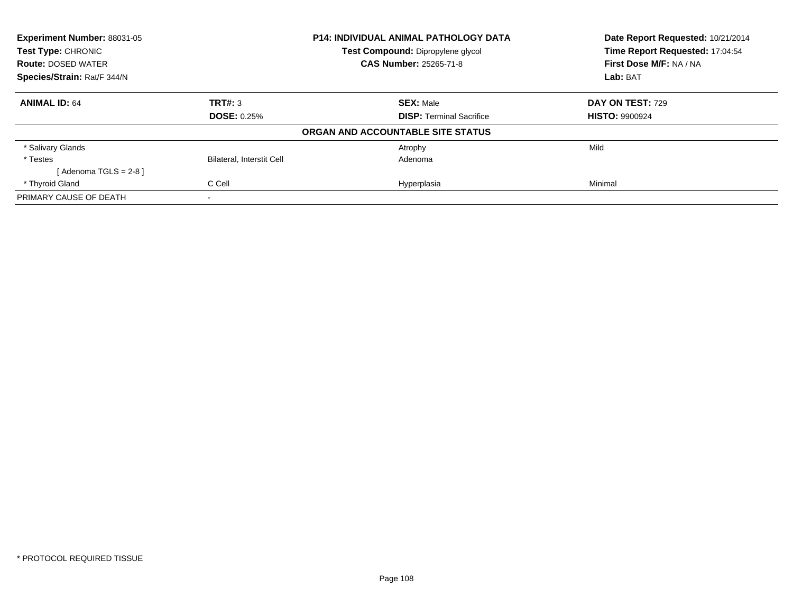| Experiment Number: 88031-05<br><b>P14: INDIVIDUAL ANIMAL PATHOLOGY DATA</b><br>Test Type: CHRONIC<br>Test Compound: Dipropylene glycol |                                  |                                   | Date Report Requested: 10/21/2014   |
|----------------------------------------------------------------------------------------------------------------------------------------|----------------------------------|-----------------------------------|-------------------------------------|
|                                                                                                                                        |                                  | Time Report Requested: 17:04:54   |                                     |
| <b>Route: DOSED WATER</b>                                                                                                              |                                  | <b>CAS Number: 25265-71-8</b>     | First Dose M/F: NA / NA<br>Lab: BAT |
| Species/Strain: Rat/F 344/N                                                                                                            |                                  |                                   |                                     |
| <b>ANIMAL ID: 64</b>                                                                                                                   | TRT#: 3                          | <b>SEX: Male</b>                  | <b>DAY ON TEST: 729</b>             |
|                                                                                                                                        | <b>DOSE: 0.25%</b>               | <b>DISP:</b> Terminal Sacrifice   | <b>HISTO: 9900924</b>               |
|                                                                                                                                        |                                  | ORGAN AND ACCOUNTABLE SITE STATUS |                                     |
| * Salivary Glands                                                                                                                      |                                  | Atrophy                           | Mild                                |
| * Testes                                                                                                                               | <b>Bilateral, Interstit Cell</b> | Adenoma                           |                                     |
| [Adenoma TGLS = $2-8$ ]                                                                                                                |                                  |                                   |                                     |
| * Thyroid Gland                                                                                                                        | C Cell                           | Hyperplasia                       | Minimal                             |
| PRIMARY CAUSE OF DEATH                                                                                                                 | $\overline{\phantom{a}}$         |                                   |                                     |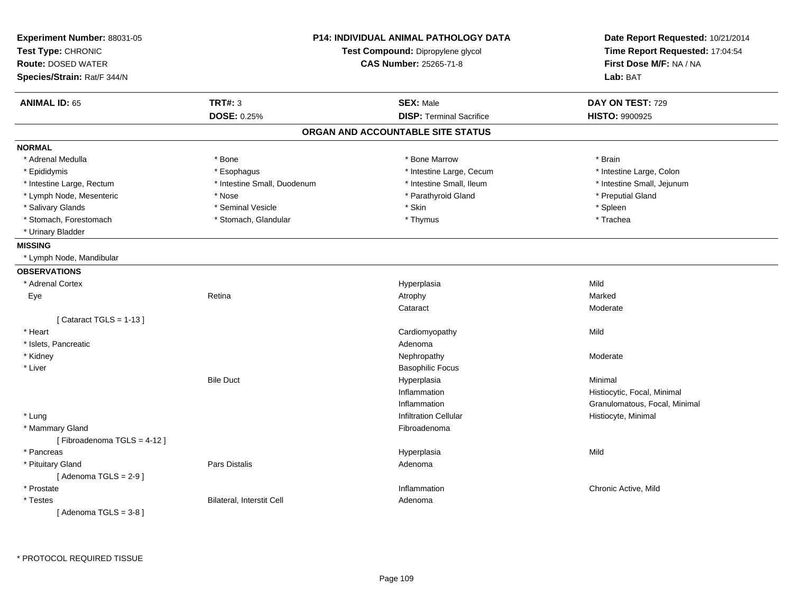| <b>P14: INDIVIDUAL ANIMAL PATHOLOGY DATA</b><br>Experiment Number: 88031-05<br>Test Type: CHRONIC<br>Test Compound: Dipropylene glycol<br><b>CAS Number: 25265-71-8</b><br><b>Route: DOSED WATER</b><br>Species/Strain: Rat/F 344/N |                             | Date Report Requested: 10/21/2014<br>Time Report Requested: 17:04:54<br>First Dose M/F: NA / NA<br>Lab: BAT |                               |
|-------------------------------------------------------------------------------------------------------------------------------------------------------------------------------------------------------------------------------------|-----------------------------|-------------------------------------------------------------------------------------------------------------|-------------------------------|
| <b>ANIMAL ID: 65</b>                                                                                                                                                                                                                | <b>TRT#: 3</b>              | <b>SEX: Male</b>                                                                                            | DAY ON TEST: 729              |
|                                                                                                                                                                                                                                     | <b>DOSE: 0.25%</b>          | <b>DISP: Terminal Sacrifice</b>                                                                             | <b>HISTO: 9900925</b>         |
|                                                                                                                                                                                                                                     |                             | ORGAN AND ACCOUNTABLE SITE STATUS                                                                           |                               |
| <b>NORMAL</b>                                                                                                                                                                                                                       |                             |                                                                                                             |                               |
| * Adrenal Medulla                                                                                                                                                                                                                   | * Bone                      | * Bone Marrow                                                                                               | * Brain                       |
| * Epididymis                                                                                                                                                                                                                        | * Esophagus                 | * Intestine Large, Cecum                                                                                    | * Intestine Large, Colon      |
| * Intestine Large, Rectum                                                                                                                                                                                                           | * Intestine Small, Duodenum | * Intestine Small, Ileum                                                                                    | * Intestine Small, Jejunum    |
| * Lymph Node, Mesenteric                                                                                                                                                                                                            | * Nose                      | * Parathyroid Gland                                                                                         | * Preputial Gland             |
| * Salivary Glands                                                                                                                                                                                                                   | * Seminal Vesicle           | * Skin                                                                                                      | * Spleen                      |
| * Stomach, Forestomach                                                                                                                                                                                                              | * Stomach, Glandular        | * Thymus                                                                                                    | * Trachea                     |
| * Urinary Bladder                                                                                                                                                                                                                   |                             |                                                                                                             |                               |
| <b>MISSING</b>                                                                                                                                                                                                                      |                             |                                                                                                             |                               |
| * Lymph Node, Mandibular                                                                                                                                                                                                            |                             |                                                                                                             |                               |
| <b>OBSERVATIONS</b>                                                                                                                                                                                                                 |                             |                                                                                                             |                               |
| * Adrenal Cortex                                                                                                                                                                                                                    |                             | Hyperplasia                                                                                                 | Mild                          |
| Eye                                                                                                                                                                                                                                 | Retina                      | Atrophy                                                                                                     | Marked                        |
|                                                                                                                                                                                                                                     |                             | Cataract                                                                                                    | Moderate                      |
| [Cataract TGLS = $1-13$ ]                                                                                                                                                                                                           |                             |                                                                                                             |                               |
| * Heart                                                                                                                                                                                                                             |                             | Cardiomyopathy                                                                                              | Mild                          |
| * Islets, Pancreatic                                                                                                                                                                                                                |                             | Adenoma                                                                                                     |                               |
| * Kidney                                                                                                                                                                                                                            |                             | Nephropathy                                                                                                 | Moderate                      |
| * Liver                                                                                                                                                                                                                             |                             | <b>Basophilic Focus</b>                                                                                     |                               |
|                                                                                                                                                                                                                                     | <b>Bile Duct</b>            | Hyperplasia                                                                                                 | Minimal                       |
|                                                                                                                                                                                                                                     |                             | Inflammation                                                                                                | Histiocytic, Focal, Minimal   |
|                                                                                                                                                                                                                                     |                             | Inflammation                                                                                                | Granulomatous, Focal, Minimal |
| * Lung                                                                                                                                                                                                                              |                             | <b>Infiltration Cellular</b>                                                                                | Histiocyte, Minimal           |
| * Mammary Gland                                                                                                                                                                                                                     |                             | Fibroadenoma                                                                                                |                               |
| [Fibroadenoma TGLS = 4-12]                                                                                                                                                                                                          |                             |                                                                                                             |                               |
| * Pancreas                                                                                                                                                                                                                          |                             | Hyperplasia                                                                                                 | Mild                          |
| * Pituitary Gland                                                                                                                                                                                                                   | Pars Distalis               | Adenoma                                                                                                     |                               |
| [Adenoma TGLS = $2-9$ ]                                                                                                                                                                                                             |                             |                                                                                                             |                               |
| * Prostate                                                                                                                                                                                                                          |                             | Inflammation                                                                                                | Chronic Active, Mild          |
| * Testes                                                                                                                                                                                                                            | Bilateral, Interstit Cell   | Adenoma                                                                                                     |                               |
| [Adenoma TGLS = $3-8$ ]                                                                                                                                                                                                             |                             |                                                                                                             |                               |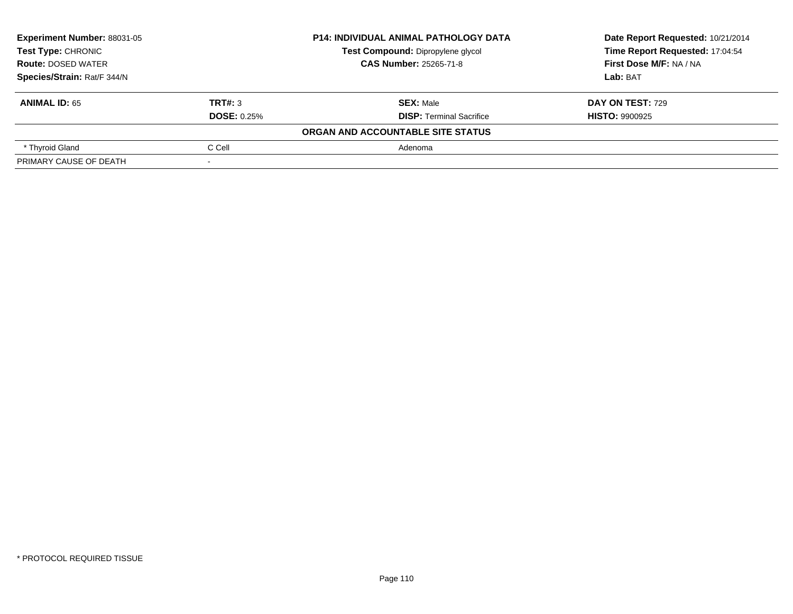| <b>Experiment Number: 88031-05</b><br><b>Test Type: CHRONIC</b> |                    | <b>P14: INDIVIDUAL ANIMAL PATHOLOGY DATA</b> | Date Report Requested: 10/21/2014 |  |
|-----------------------------------------------------------------|--------------------|----------------------------------------------|-----------------------------------|--|
|                                                                 |                    | Test Compound: Dipropylene glycol            | Time Report Requested: 17:04:54   |  |
| <b>Route: DOSED WATER</b>                                       |                    | <b>CAS Number: 25265-71-8</b>                | First Dose M/F: NA / NA           |  |
| Species/Strain: Rat/F 344/N                                     |                    |                                              | Lab: BAT                          |  |
| <b>ANIMAL ID: 65</b>                                            | TRT#: 3            | <b>SEX: Male</b>                             | <b>DAY ON TEST: 729</b>           |  |
|                                                                 | <b>DOSE: 0.25%</b> | <b>DISP: Terminal Sacrifice</b>              | <b>HISTO: 9900925</b>             |  |
|                                                                 |                    | ORGAN AND ACCOUNTABLE SITE STATUS            |                                   |  |
| * Thyroid Gland                                                 | C Cell             | Adenoma                                      |                                   |  |
| PRIMARY CAUSE OF DEATH                                          |                    |                                              |                                   |  |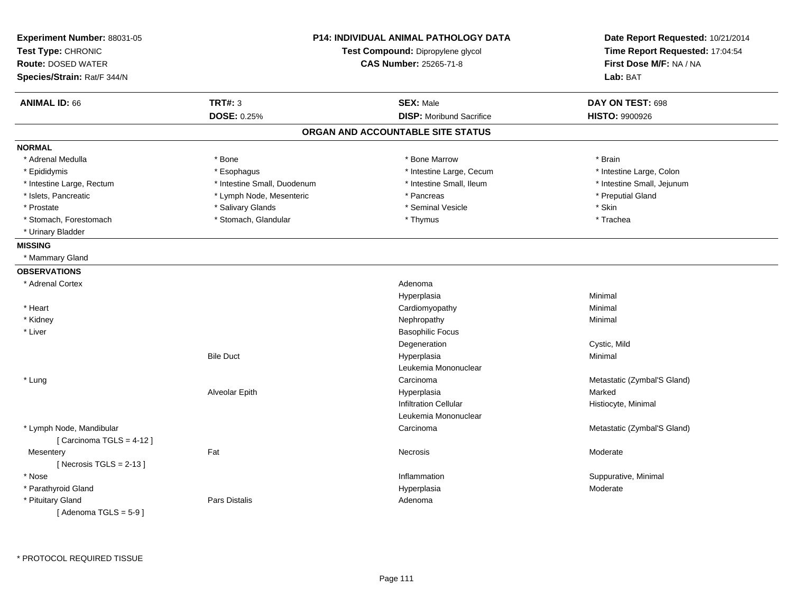| Experiment Number: 88031-05<br>Test Type: CHRONIC<br><b>Route: DOSED WATER</b><br>Species/Strain: Rat/F 344/N | <b>P14: INDIVIDUAL ANIMAL PATHOLOGY DATA</b><br>Test Compound: Dipropylene glycol<br><b>CAS Number: 25265-71-8</b> |                                                     | Date Report Requested: 10/21/2014<br>Time Report Requested: 17:04:54<br>First Dose M/F: NA / NA<br>Lab: BAT |
|---------------------------------------------------------------------------------------------------------------|--------------------------------------------------------------------------------------------------------------------|-----------------------------------------------------|-------------------------------------------------------------------------------------------------------------|
| <b>ANIMAL ID: 66</b>                                                                                          | <b>TRT#: 3</b><br><b>DOSE: 0.25%</b>                                                                               | <b>SEX: Male</b><br><b>DISP:</b> Moribund Sacrifice | DAY ON TEST: 698<br><b>HISTO: 9900926</b>                                                                   |
|                                                                                                               |                                                                                                                    | ORGAN AND ACCOUNTABLE SITE STATUS                   |                                                                                                             |
| <b>NORMAL</b>                                                                                                 |                                                                                                                    |                                                     |                                                                                                             |
| * Adrenal Medulla                                                                                             | * Bone                                                                                                             | * Bone Marrow                                       | * Brain                                                                                                     |
| * Epididymis                                                                                                  | * Esophagus                                                                                                        | * Intestine Large, Cecum                            | * Intestine Large, Colon                                                                                    |
| * Intestine Large, Rectum                                                                                     | * Intestine Small, Duodenum                                                                                        | * Intestine Small, Ileum                            | * Intestine Small, Jejunum                                                                                  |
| * Islets, Pancreatic                                                                                          | * Lymph Node, Mesenteric                                                                                           | * Pancreas                                          | * Preputial Gland                                                                                           |
| * Prostate                                                                                                    | * Salivary Glands                                                                                                  | * Seminal Vesicle                                   | * Skin                                                                                                      |
| * Stomach, Forestomach                                                                                        | * Stomach, Glandular                                                                                               | * Thymus                                            | * Trachea                                                                                                   |
| * Urinary Bladder                                                                                             |                                                                                                                    |                                                     |                                                                                                             |
| <b>MISSING</b>                                                                                                |                                                                                                                    |                                                     |                                                                                                             |
| * Mammary Gland                                                                                               |                                                                                                                    |                                                     |                                                                                                             |
| <b>OBSERVATIONS</b>                                                                                           |                                                                                                                    |                                                     |                                                                                                             |
| * Adrenal Cortex                                                                                              |                                                                                                                    | Adenoma                                             |                                                                                                             |
|                                                                                                               |                                                                                                                    | Hyperplasia                                         | Minimal                                                                                                     |
| * Heart                                                                                                       |                                                                                                                    | Cardiomyopathy                                      | Minimal                                                                                                     |
| * Kidney                                                                                                      |                                                                                                                    | Nephropathy                                         | Minimal                                                                                                     |
| * Liver                                                                                                       |                                                                                                                    | <b>Basophilic Focus</b>                             |                                                                                                             |
|                                                                                                               |                                                                                                                    | Degeneration                                        | Cystic, Mild                                                                                                |
|                                                                                                               | <b>Bile Duct</b>                                                                                                   | Hyperplasia                                         | Minimal                                                                                                     |
|                                                                                                               |                                                                                                                    | Leukemia Mononuclear                                |                                                                                                             |
| * Lung                                                                                                        |                                                                                                                    | Carcinoma                                           | Metastatic (Zymbal'S Gland)                                                                                 |
|                                                                                                               | Alveolar Epith                                                                                                     | Hyperplasia                                         | Marked                                                                                                      |
|                                                                                                               |                                                                                                                    | <b>Infiltration Cellular</b>                        | Histiocyte, Minimal                                                                                         |
|                                                                                                               |                                                                                                                    | Leukemia Mononuclear                                |                                                                                                             |
| * Lymph Node, Mandibular<br>[Carcinoma TGLS = 4-12]                                                           |                                                                                                                    | Carcinoma                                           | Metastatic (Zymbal'S Gland)                                                                                 |
| Mesentery<br>[Necrosis $TGLS = 2-13$ ]                                                                        | Fat                                                                                                                | Necrosis                                            | Moderate                                                                                                    |
| * Nose                                                                                                        |                                                                                                                    | Inflammation                                        | Suppurative, Minimal                                                                                        |
| * Parathyroid Gland                                                                                           |                                                                                                                    | Hyperplasia                                         | Moderate                                                                                                    |
| * Pituitary Gland<br>[Adenoma TGLS = $5-9$ ]                                                                  | <b>Pars Distalis</b>                                                                                               | Adenoma                                             |                                                                                                             |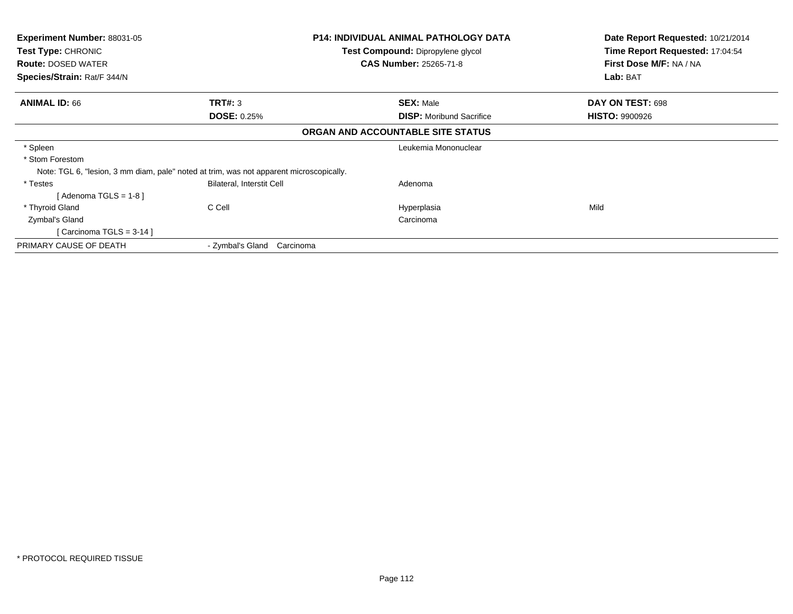| <b>Experiment Number: 88031-05</b><br>Test Type: CHRONIC<br><b>Route: DOSED WATER</b><br>Species/Strain: Rat/F 344/N   |                                      | <b>P14: INDIVIDUAL ANIMAL PATHOLOGY DATA</b><br><b>Test Compound: Dipropylene glycol</b><br><b>CAS Number: 25265-71-8</b> | Date Report Requested: 10/21/2014<br>Time Report Requested: 17:04:54<br>First Dose M/F: NA / NA<br>Lab: BAT |
|------------------------------------------------------------------------------------------------------------------------|--------------------------------------|---------------------------------------------------------------------------------------------------------------------------|-------------------------------------------------------------------------------------------------------------|
| <b>ANIMAL ID: 66</b>                                                                                                   | <b>TRT#: 3</b><br><b>DOSE: 0.25%</b> | <b>SEX: Male</b><br><b>DISP:</b> Moribund Sacrifice                                                                       | DAY ON TEST: 698<br><b>HISTO: 9900926</b>                                                                   |
|                                                                                                                        |                                      | ORGAN AND ACCOUNTABLE SITE STATUS                                                                                         |                                                                                                             |
| * Spleen<br>* Stom Forestom<br>Note: TGL 6, "lesion, 3 mm diam, pale" noted at trim, was not apparent microscopically. |                                      | Leukemia Mononuclear                                                                                                      |                                                                                                             |
| * Testes<br>[Adenoma TGLS = $1-8$ ]                                                                                    | Bilateral, Interstit Cell            | Adenoma                                                                                                                   |                                                                                                             |
| * Thyroid Gland<br>Zymbal's Gland<br>[Carcinoma TGLS = $3-14$ ]                                                        | C Cell                               | Hyperplasia<br>Carcinoma                                                                                                  | Mild                                                                                                        |
| PRIMARY CAUSE OF DEATH                                                                                                 | - Zymbal's Gland Carcinoma           |                                                                                                                           |                                                                                                             |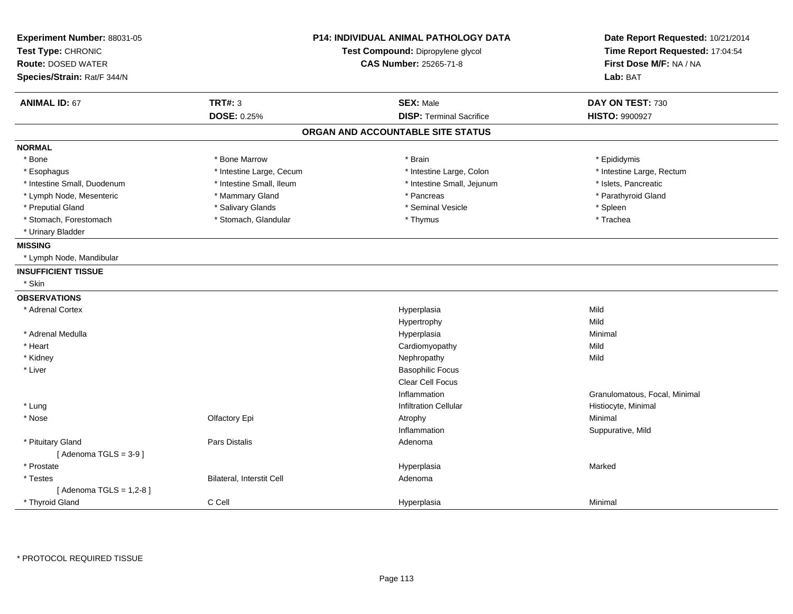| Experiment Number: 88031-05<br>Test Type: CHRONIC<br><b>Route: DOSED WATER</b><br>Species/Strain: Rat/F 344/N | <b>P14: INDIVIDUAL ANIMAL PATHOLOGY DATA</b><br>Test Compound: Dipropylene glycol<br><b>CAS Number: 25265-71-8</b> |                                   | Date Report Requested: 10/21/2014<br>Time Report Requested: 17:04:54<br>First Dose M/F: NA / NA<br>Lab: BAT |
|---------------------------------------------------------------------------------------------------------------|--------------------------------------------------------------------------------------------------------------------|-----------------------------------|-------------------------------------------------------------------------------------------------------------|
| <b>ANIMAL ID: 67</b>                                                                                          | <b>TRT#: 3</b>                                                                                                     | <b>SEX: Male</b>                  | DAY ON TEST: 730                                                                                            |
|                                                                                                               | <b>DOSE: 0.25%</b>                                                                                                 | <b>DISP: Terminal Sacrifice</b>   | <b>HISTO: 9900927</b>                                                                                       |
|                                                                                                               |                                                                                                                    | ORGAN AND ACCOUNTABLE SITE STATUS |                                                                                                             |
| <b>NORMAL</b>                                                                                                 |                                                                                                                    |                                   |                                                                                                             |
| * Bone                                                                                                        | * Bone Marrow                                                                                                      | * Brain                           | * Epididymis                                                                                                |
| * Esophagus                                                                                                   | * Intestine Large, Cecum                                                                                           | * Intestine Large, Colon          | * Intestine Large, Rectum                                                                                   |
| * Intestine Small, Duodenum                                                                                   | * Intestine Small, Ileum                                                                                           | * Intestine Small, Jejunum        | * Islets, Pancreatic                                                                                        |
| * Lymph Node, Mesenteric                                                                                      | * Mammary Gland                                                                                                    | * Pancreas                        | * Parathyroid Gland                                                                                         |
| * Preputial Gland                                                                                             | * Salivary Glands                                                                                                  | * Seminal Vesicle                 | * Spleen                                                                                                    |
| * Stomach, Forestomach                                                                                        | * Stomach, Glandular                                                                                               | * Thymus                          | * Trachea                                                                                                   |
| * Urinary Bladder                                                                                             |                                                                                                                    |                                   |                                                                                                             |
| <b>MISSING</b>                                                                                                |                                                                                                                    |                                   |                                                                                                             |
| * Lymph Node, Mandibular                                                                                      |                                                                                                                    |                                   |                                                                                                             |
| <b>INSUFFICIENT TISSUE</b>                                                                                    |                                                                                                                    |                                   |                                                                                                             |
| * Skin                                                                                                        |                                                                                                                    |                                   |                                                                                                             |
| <b>OBSERVATIONS</b>                                                                                           |                                                                                                                    |                                   |                                                                                                             |
| * Adrenal Cortex                                                                                              |                                                                                                                    | Hyperplasia                       | Mild                                                                                                        |
|                                                                                                               |                                                                                                                    | Hypertrophy                       | Mild                                                                                                        |
| * Adrenal Medulla                                                                                             |                                                                                                                    | Hyperplasia                       | Minimal                                                                                                     |
| * Heart                                                                                                       |                                                                                                                    | Cardiomyopathy                    | Mild                                                                                                        |
| * Kidney                                                                                                      |                                                                                                                    | Nephropathy                       | Mild                                                                                                        |
| * Liver                                                                                                       |                                                                                                                    | <b>Basophilic Focus</b>           |                                                                                                             |
|                                                                                                               |                                                                                                                    | <b>Clear Cell Focus</b>           |                                                                                                             |
|                                                                                                               |                                                                                                                    | Inflammation                      | Granulomatous, Focal, Minimal                                                                               |
| * Lung                                                                                                        |                                                                                                                    | <b>Infiltration Cellular</b>      | Histiocyte, Minimal                                                                                         |
| * Nose                                                                                                        | Olfactory Epi                                                                                                      | Atrophy                           | Minimal                                                                                                     |
|                                                                                                               |                                                                                                                    | Inflammation                      | Suppurative, Mild                                                                                           |
| * Pituitary Gland                                                                                             | Pars Distalis                                                                                                      | Adenoma                           |                                                                                                             |
| [Adenoma TGLS = $3-9$ ]                                                                                       |                                                                                                                    |                                   |                                                                                                             |
| * Prostate                                                                                                    |                                                                                                                    | Hyperplasia                       | Marked                                                                                                      |
| * Testes                                                                                                      | Bilateral, Interstit Cell                                                                                          | Adenoma                           |                                                                                                             |
| [Adenoma TGLS = $1,2-8$ ]                                                                                     |                                                                                                                    |                                   |                                                                                                             |
| * Thyroid Gland                                                                                               | C Cell                                                                                                             | Hyperplasia                       | Minimal                                                                                                     |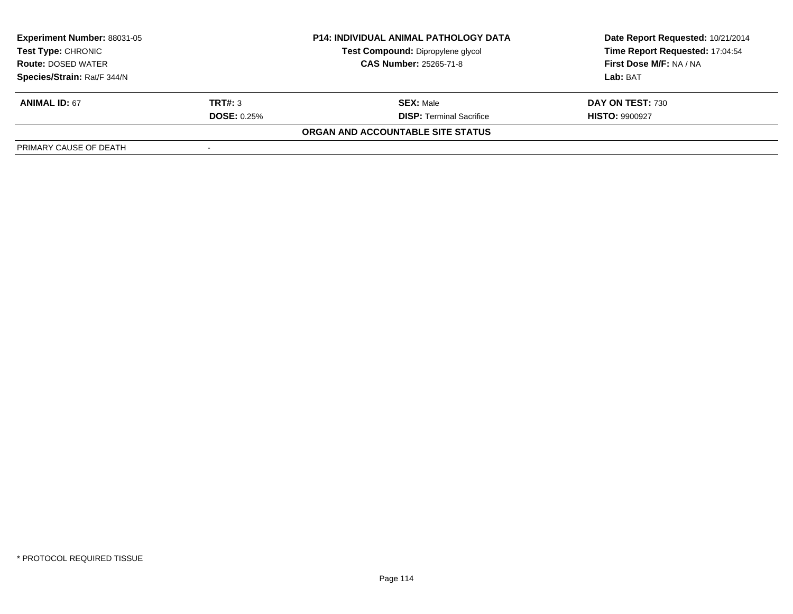| <b>Experiment Number: 88031-05</b><br>Test Type: CHRONIC<br><b>Route: DOSED WATER</b> |                    | <b>P14: INDIVIDUAL ANIMAL PATHOLOGY DATA</b> | Date Report Requested: 10/21/2014 |
|---------------------------------------------------------------------------------------|--------------------|----------------------------------------------|-----------------------------------|
|                                                                                       |                    | Test Compound: Dipropylene glycol            | Time Report Requested: 17:04:54   |
|                                                                                       |                    | <b>CAS Number: 25265-71-8</b>                | First Dose M/F: NA / NA           |
| Species/Strain: Rat/F 344/N                                                           |                    |                                              | Lab: BAT                          |
| <b>ANIMAL ID: 67</b>                                                                  | TRT#: 3            | <b>SEX: Male</b>                             | DAY ON TEST: 730                  |
|                                                                                       | <b>DOSE: 0.25%</b> | <b>DISP:</b> Terminal Sacrifice              | <b>HISTO: 9900927</b>             |
|                                                                                       |                    | ORGAN AND ACCOUNTABLE SITE STATUS            |                                   |
| PRIMARY CAUSE OF DEATH                                                                |                    |                                              |                                   |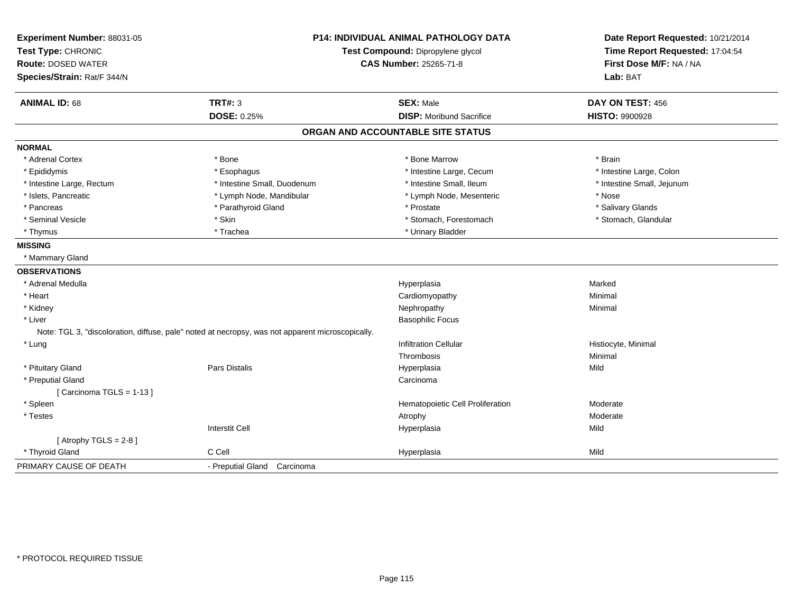| Experiment Number: 88031-05<br>Test Type: CHRONIC |                                                                                                  | P14: INDIVIDUAL ANIMAL PATHOLOGY DATA<br>Test Compound: Dipropylene glycol | Date Report Requested: 10/21/2014<br>Time Report Requested: 17:04:54 |
|---------------------------------------------------|--------------------------------------------------------------------------------------------------|----------------------------------------------------------------------------|----------------------------------------------------------------------|
| <b>Route: DOSED WATER</b>                         |                                                                                                  | CAS Number: 25265-71-8                                                     | First Dose M/F: NA / NA                                              |
| Species/Strain: Rat/F 344/N                       |                                                                                                  |                                                                            | Lab: BAT                                                             |
| <b>ANIMAL ID: 68</b>                              | <b>TRT#: 3</b>                                                                                   | <b>SEX: Male</b>                                                           | DAY ON TEST: 456                                                     |
|                                                   | DOSE: 0.25%                                                                                      | <b>DISP:</b> Moribund Sacrifice                                            | <b>HISTO: 9900928</b>                                                |
|                                                   |                                                                                                  | ORGAN AND ACCOUNTABLE SITE STATUS                                          |                                                                      |
| <b>NORMAL</b>                                     |                                                                                                  |                                                                            |                                                                      |
| * Adrenal Cortex                                  | * Bone                                                                                           | * Bone Marrow                                                              | * Brain                                                              |
| * Epididymis                                      | * Esophagus                                                                                      | * Intestine Large, Cecum                                                   | * Intestine Large, Colon                                             |
| * Intestine Large, Rectum                         | * Intestine Small, Duodenum                                                                      | * Intestine Small, Ileum                                                   | * Intestine Small, Jejunum                                           |
| * Islets, Pancreatic                              | * Lymph Node, Mandibular                                                                         | * Lymph Node, Mesenteric                                                   | * Nose                                                               |
| * Pancreas                                        | * Parathyroid Gland                                                                              | * Prostate                                                                 | * Salivary Glands                                                    |
| * Seminal Vesicle                                 | * Skin                                                                                           | * Stomach, Forestomach                                                     | * Stomach, Glandular                                                 |
| * Thymus                                          | * Trachea                                                                                        | * Urinary Bladder                                                          |                                                                      |
| <b>MISSING</b>                                    |                                                                                                  |                                                                            |                                                                      |
| * Mammary Gland                                   |                                                                                                  |                                                                            |                                                                      |
| <b>OBSERVATIONS</b>                               |                                                                                                  |                                                                            |                                                                      |
| * Adrenal Medulla                                 |                                                                                                  | Hyperplasia                                                                | Marked                                                               |
| * Heart                                           |                                                                                                  | Cardiomyopathy                                                             | Minimal                                                              |
| * Kidney                                          |                                                                                                  | Nephropathy                                                                | Minimal                                                              |
| * Liver                                           |                                                                                                  | <b>Basophilic Focus</b>                                                    |                                                                      |
|                                                   | Note: TGL 3, "discoloration, diffuse, pale" noted at necropsy, was not apparent microscopically. |                                                                            |                                                                      |
| * Lung                                            |                                                                                                  | <b>Infiltration Cellular</b>                                               | Histiocyte, Minimal                                                  |
|                                                   |                                                                                                  | Thrombosis                                                                 | Minimal                                                              |
| * Pituitary Gland                                 | <b>Pars Distalis</b>                                                                             | Hyperplasia                                                                | Mild                                                                 |
| * Preputial Gland                                 |                                                                                                  | Carcinoma                                                                  |                                                                      |
| [Carcinoma TGLS = 1-13]                           |                                                                                                  |                                                                            |                                                                      |
| * Spleen                                          |                                                                                                  | Hematopoietic Cell Proliferation                                           | Moderate                                                             |
| * Testes                                          |                                                                                                  | Atrophy                                                                    | Moderate                                                             |
|                                                   | <b>Interstit Cell</b>                                                                            | Hyperplasia                                                                | Mild                                                                 |
| [Atrophy TGLS = $2-8$ ]                           |                                                                                                  |                                                                            |                                                                      |
| * Thyroid Gland                                   | C Cell                                                                                           | Hyperplasia                                                                | Mild                                                                 |
| PRIMARY CAUSE OF DEATH                            | - Preputial Gland Carcinoma                                                                      |                                                                            |                                                                      |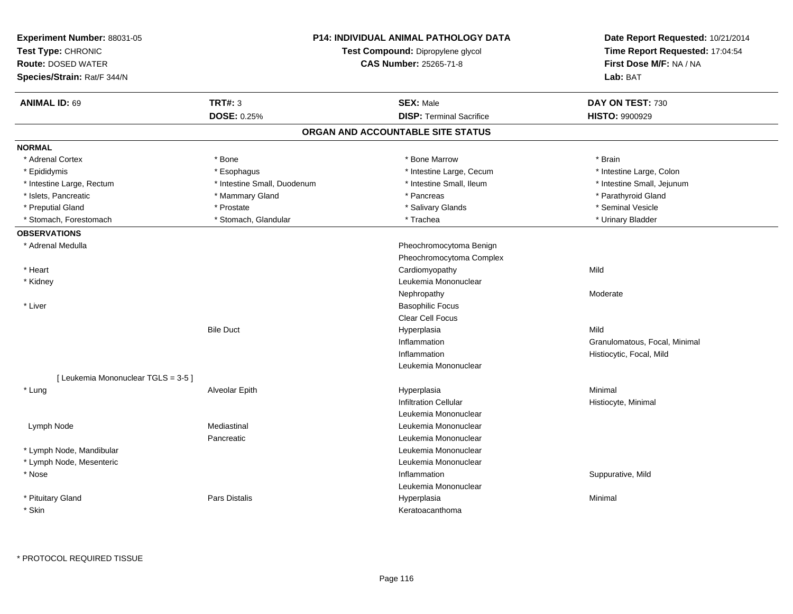| Experiment Number: 88031-05<br>Test Type: CHRONIC<br><b>Route: DOSED WATER</b><br>Species/Strain: Rat/F 344/N | <b>P14: INDIVIDUAL ANIMAL PATHOLOGY DATA</b><br>Test Compound: Dipropylene glycol<br>CAS Number: 25265-71-8 |                                   | Date Report Requested: 10/21/2014<br>Time Report Requested: 17:04:54<br>First Dose M/F: NA / NA<br>Lab: BAT |
|---------------------------------------------------------------------------------------------------------------|-------------------------------------------------------------------------------------------------------------|-----------------------------------|-------------------------------------------------------------------------------------------------------------|
| <b>ANIMAL ID: 69</b>                                                                                          | <b>TRT#: 3</b>                                                                                              | <b>SEX: Male</b>                  | DAY ON TEST: 730                                                                                            |
|                                                                                                               | DOSE: 0.25%                                                                                                 | <b>DISP: Terminal Sacrifice</b>   | <b>HISTO: 9900929</b>                                                                                       |
|                                                                                                               |                                                                                                             | ORGAN AND ACCOUNTABLE SITE STATUS |                                                                                                             |
| <b>NORMAL</b>                                                                                                 |                                                                                                             |                                   |                                                                                                             |
| * Adrenal Cortex                                                                                              | * Bone                                                                                                      | * Bone Marrow                     | * Brain                                                                                                     |
| * Epididymis                                                                                                  | * Esophagus                                                                                                 | * Intestine Large, Cecum          | * Intestine Large, Colon                                                                                    |
| * Intestine Large, Rectum                                                                                     | * Intestine Small, Duodenum                                                                                 | * Intestine Small, Ileum          | * Intestine Small, Jejunum                                                                                  |
| * Islets, Pancreatic                                                                                          | * Mammary Gland                                                                                             | * Pancreas                        | * Parathyroid Gland                                                                                         |
| * Preputial Gland                                                                                             | * Prostate                                                                                                  | * Salivary Glands                 | * Seminal Vesicle                                                                                           |
| * Stomach, Forestomach                                                                                        | * Stomach, Glandular                                                                                        | * Trachea                         | * Urinary Bladder                                                                                           |
| <b>OBSERVATIONS</b>                                                                                           |                                                                                                             |                                   |                                                                                                             |
| * Adrenal Medulla                                                                                             |                                                                                                             | Pheochromocytoma Benign           |                                                                                                             |
|                                                                                                               |                                                                                                             | Pheochromocytoma Complex          |                                                                                                             |
| * Heart                                                                                                       |                                                                                                             | Cardiomyopathy                    | Mild                                                                                                        |
| * Kidney                                                                                                      |                                                                                                             | Leukemia Mononuclear              |                                                                                                             |
|                                                                                                               |                                                                                                             | Nephropathy                       | Moderate                                                                                                    |
| * Liver                                                                                                       |                                                                                                             | <b>Basophilic Focus</b>           |                                                                                                             |
|                                                                                                               |                                                                                                             | Clear Cell Focus                  |                                                                                                             |
|                                                                                                               | <b>Bile Duct</b>                                                                                            | Hyperplasia                       | Mild                                                                                                        |
|                                                                                                               |                                                                                                             | Inflammation                      | Granulomatous, Focal, Minimal                                                                               |
|                                                                                                               |                                                                                                             | Inflammation                      | Histiocytic, Focal, Mild                                                                                    |
|                                                                                                               |                                                                                                             | Leukemia Mononuclear              |                                                                                                             |
| [Leukemia Mononuclear TGLS = 3-5]                                                                             |                                                                                                             |                                   |                                                                                                             |
| * Lung                                                                                                        | Alveolar Epith                                                                                              | Hyperplasia                       | Minimal                                                                                                     |
|                                                                                                               |                                                                                                             | <b>Infiltration Cellular</b>      | Histiocyte, Minimal                                                                                         |
|                                                                                                               |                                                                                                             | Leukemia Mononuclear              |                                                                                                             |
| Lymph Node                                                                                                    | Mediastinal                                                                                                 | Leukemia Mononuclear              |                                                                                                             |
|                                                                                                               | Pancreatic                                                                                                  | Leukemia Mononuclear              |                                                                                                             |
| * Lymph Node, Mandibular                                                                                      |                                                                                                             | Leukemia Mononuclear              |                                                                                                             |
| * Lymph Node, Mesenteric                                                                                      |                                                                                                             | Leukemia Mononuclear              |                                                                                                             |
| * Nose                                                                                                        |                                                                                                             | Inflammation                      | Suppurative, Mild                                                                                           |
|                                                                                                               |                                                                                                             | Leukemia Mononuclear              |                                                                                                             |
| * Pituitary Gland                                                                                             | <b>Pars Distalis</b>                                                                                        | Hyperplasia                       | Minimal                                                                                                     |
| * Skin                                                                                                        |                                                                                                             | Keratoacanthoma                   |                                                                                                             |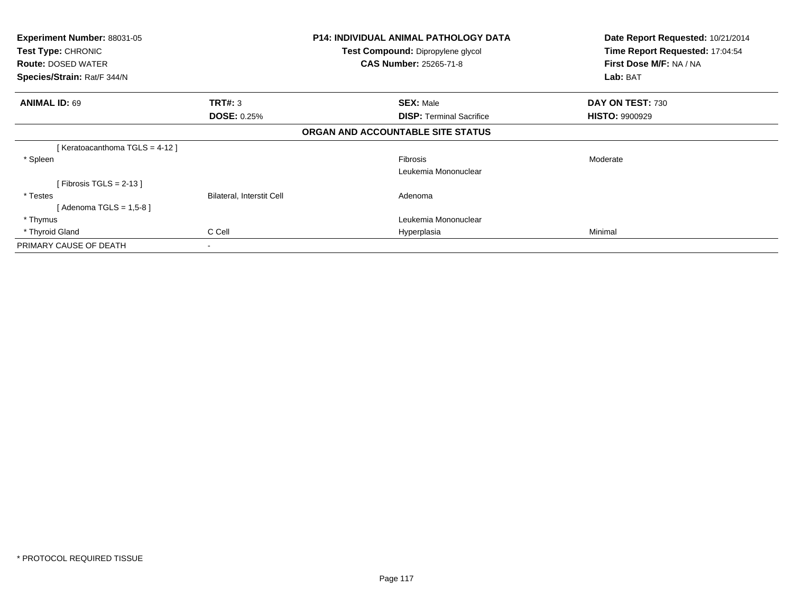| Experiment Number: 88031-05                     |                           | <b>P14: INDIVIDUAL ANIMAL PATHOLOGY DATA</b>                              | Date Report Requested: 10/21/2014<br>Time Report Requested: 17:04:54 |
|-------------------------------------------------|---------------------------|---------------------------------------------------------------------------|----------------------------------------------------------------------|
| Test Type: CHRONIC<br><b>Route: DOSED WATER</b> |                           | <b>Test Compound: Dipropylene glycol</b><br><b>CAS Number: 25265-71-8</b> | First Dose M/F: NA / NA                                              |
| Species/Strain: Rat/F 344/N                     |                           |                                                                           | Lab: BAT                                                             |
| <b>ANIMAL ID: 69</b>                            | TRT#: 3                   | <b>SEX: Male</b>                                                          | DAY ON TEST: 730                                                     |
|                                                 | <b>DOSE: 0.25%</b>        | <b>DISP: Terminal Sacrifice</b>                                           | <b>HISTO: 9900929</b>                                                |
|                                                 |                           | ORGAN AND ACCOUNTABLE SITE STATUS                                         |                                                                      |
| [ Keratoacanthoma TGLS = 4-12 ]                 |                           |                                                                           |                                                                      |
| * Spleen                                        |                           | Fibrosis                                                                  | Moderate                                                             |
|                                                 |                           | Leukemia Mononuclear                                                      |                                                                      |
| [ Fibrosis TGLS = 2-13 ]                        |                           |                                                                           |                                                                      |
| * Testes                                        | Bilateral, Interstit Cell | Adenoma                                                                   |                                                                      |
| [ Adenoma TGLS = 1,5-8 ]                        |                           |                                                                           |                                                                      |
| * Thymus                                        |                           | Leukemia Mononuclear                                                      |                                                                      |
| * Thyroid Gland                                 | C Cell                    | Hyperplasia                                                               | Minimal                                                              |
| PRIMARY CAUSE OF DEATH                          | $\blacksquare$            |                                                                           |                                                                      |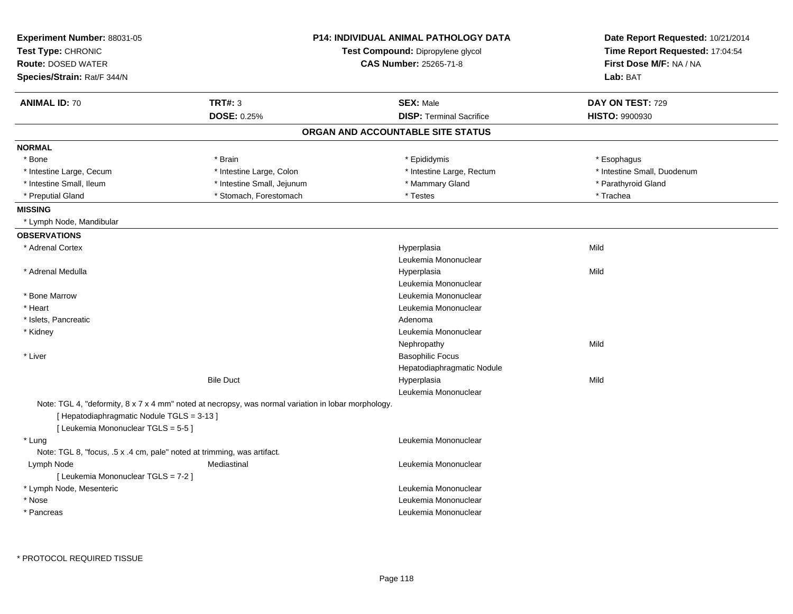| Experiment Number: 88031-05<br>Test Type: CHRONIC<br><b>Route: DOSED WATER</b><br>Species/Strain: Rat/F 344/N |                                                                                                     | <b>P14: INDIVIDUAL ANIMAL PATHOLOGY DATA</b><br>Test Compound: Dipropylene glycol<br><b>CAS Number: 25265-71-8</b> | Date Report Requested: 10/21/2014<br>Time Report Requested: 17:04:54<br>First Dose M/F: NA / NA<br>Lab: BAT |
|---------------------------------------------------------------------------------------------------------------|-----------------------------------------------------------------------------------------------------|--------------------------------------------------------------------------------------------------------------------|-------------------------------------------------------------------------------------------------------------|
| <b>ANIMAL ID: 70</b>                                                                                          | <b>TRT#: 3</b>                                                                                      | <b>SEX: Male</b>                                                                                                   | DAY ON TEST: 729                                                                                            |
|                                                                                                               | DOSE: 0.25%                                                                                         | <b>DISP: Terminal Sacrifice</b>                                                                                    | <b>HISTO: 9900930</b>                                                                                       |
|                                                                                                               |                                                                                                     | ORGAN AND ACCOUNTABLE SITE STATUS                                                                                  |                                                                                                             |
| <b>NORMAL</b>                                                                                                 |                                                                                                     |                                                                                                                    |                                                                                                             |
| $*$ Bone                                                                                                      | * Brain                                                                                             | * Epididymis                                                                                                       | * Esophagus                                                                                                 |
| * Intestine Large, Cecum                                                                                      | * Intestine Large, Colon                                                                            | * Intestine Large, Rectum                                                                                          | * Intestine Small, Duodenum                                                                                 |
| * Intestine Small, Ileum                                                                                      | * Intestine Small, Jejunum                                                                          | * Mammary Gland                                                                                                    | * Parathyroid Gland                                                                                         |
| * Preputial Gland                                                                                             | * Stomach, Forestomach                                                                              | * Testes                                                                                                           | * Trachea                                                                                                   |
| <b>MISSING</b>                                                                                                |                                                                                                     |                                                                                                                    |                                                                                                             |
| * Lymph Node, Mandibular                                                                                      |                                                                                                     |                                                                                                                    |                                                                                                             |
| <b>OBSERVATIONS</b>                                                                                           |                                                                                                     |                                                                                                                    |                                                                                                             |
| * Adrenal Cortex                                                                                              |                                                                                                     | Hyperplasia                                                                                                        | Mild                                                                                                        |
|                                                                                                               |                                                                                                     | Leukemia Mononuclear                                                                                               |                                                                                                             |
| * Adrenal Medulla                                                                                             |                                                                                                     | Hyperplasia                                                                                                        | Mild                                                                                                        |
|                                                                                                               |                                                                                                     | Leukemia Mononuclear                                                                                               |                                                                                                             |
| * Bone Marrow                                                                                                 |                                                                                                     | Leukemia Mononuclear                                                                                               |                                                                                                             |
| * Heart                                                                                                       |                                                                                                     | Leukemia Mononuclear                                                                                               |                                                                                                             |
| * Islets, Pancreatic                                                                                          |                                                                                                     | Adenoma                                                                                                            |                                                                                                             |
| * Kidney                                                                                                      |                                                                                                     | Leukemia Mononuclear                                                                                               |                                                                                                             |
|                                                                                                               |                                                                                                     | Nephropathy                                                                                                        | Mild                                                                                                        |
| * Liver                                                                                                       |                                                                                                     | <b>Basophilic Focus</b>                                                                                            |                                                                                                             |
|                                                                                                               |                                                                                                     | Hepatodiaphragmatic Nodule                                                                                         |                                                                                                             |
|                                                                                                               | <b>Bile Duct</b>                                                                                    | Hyperplasia                                                                                                        | Mild                                                                                                        |
|                                                                                                               |                                                                                                     | Leukemia Mononuclear                                                                                               |                                                                                                             |
| [ Hepatodiaphragmatic Nodule TGLS = 3-13 ]<br>[ Leukemia Mononuclear TGLS = 5-5 ]                             | Note: TGL 4, "deformity, 8 x 7 x 4 mm" noted at necropsy, was normal variation in lobar morphology. |                                                                                                                    |                                                                                                             |
| * Lung                                                                                                        |                                                                                                     | Leukemia Mononuclear                                                                                               |                                                                                                             |
| Note: TGL 8, "focus, .5 x .4 cm, pale" noted at trimming, was artifact.                                       |                                                                                                     |                                                                                                                    |                                                                                                             |
| Lymph Node                                                                                                    | Mediastinal                                                                                         | Leukemia Mononuclear                                                                                               |                                                                                                             |
| [ Leukemia Mononuclear TGLS = 7-2 ]                                                                           |                                                                                                     |                                                                                                                    |                                                                                                             |
| * Lymph Node, Mesenteric                                                                                      |                                                                                                     | Leukemia Mononuclear                                                                                               |                                                                                                             |
| * Nose                                                                                                        |                                                                                                     | Leukemia Mononuclear                                                                                               |                                                                                                             |
| * Pancreas                                                                                                    |                                                                                                     | Leukemia Mononuclear                                                                                               |                                                                                                             |
|                                                                                                               |                                                                                                     |                                                                                                                    |                                                                                                             |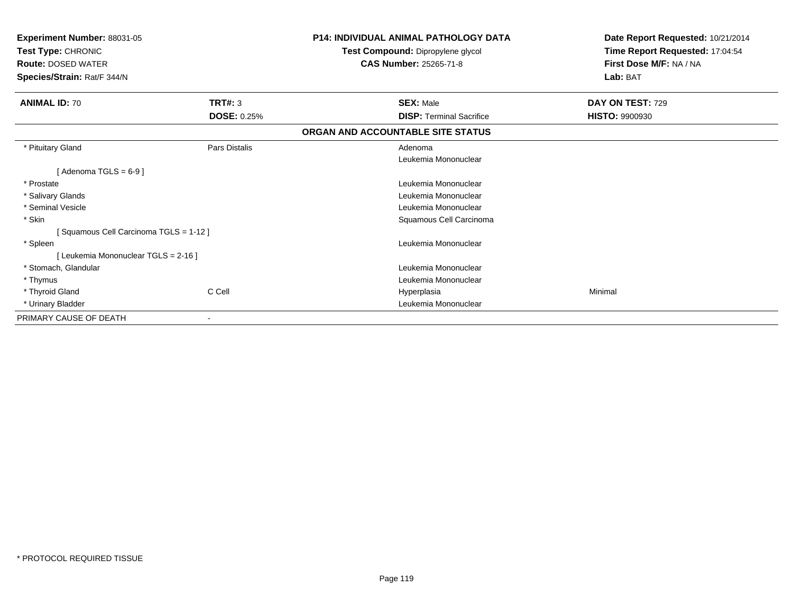| Experiment Number: 88031-05<br>Test Type: CHRONIC<br><b>Route: DOSED WATER</b><br>Species/Strain: Rat/F 344/N |                    | <b>P14: INDIVIDUAL ANIMAL PATHOLOGY DATA</b><br>Test Compound: Dipropylene glycol<br><b>CAS Number: 25265-71-8</b> | Date Report Requested: 10/21/2014<br>Time Report Requested: 17:04:54<br>First Dose M/F: NA / NA<br>Lab: BAT |
|---------------------------------------------------------------------------------------------------------------|--------------------|--------------------------------------------------------------------------------------------------------------------|-------------------------------------------------------------------------------------------------------------|
| <b>ANIMAL ID: 70</b>                                                                                          | TRT#: 3            | <b>SEX: Male</b>                                                                                                   | DAY ON TEST: 729                                                                                            |
|                                                                                                               | <b>DOSE: 0.25%</b> | <b>DISP: Terminal Sacrifice</b>                                                                                    | <b>HISTO: 9900930</b>                                                                                       |
|                                                                                                               |                    | ORGAN AND ACCOUNTABLE SITE STATUS                                                                                  |                                                                                                             |
| * Pituitary Gland                                                                                             | Pars Distalis      | Adenoma                                                                                                            |                                                                                                             |
|                                                                                                               |                    | Leukemia Mononuclear                                                                                               |                                                                                                             |
| [Adenoma TGLS = $6-9$ ]                                                                                       |                    |                                                                                                                    |                                                                                                             |
| * Prostate                                                                                                    |                    | Leukemia Mononuclear                                                                                               |                                                                                                             |
| * Salivary Glands                                                                                             |                    | Leukemia Mononuclear                                                                                               |                                                                                                             |
| * Seminal Vesicle                                                                                             |                    | Leukemia Mononuclear                                                                                               |                                                                                                             |
| * Skin                                                                                                        |                    | Squamous Cell Carcinoma                                                                                            |                                                                                                             |
| [Squamous Cell Carcinoma TGLS = 1-12]                                                                         |                    |                                                                                                                    |                                                                                                             |
| * Spleen                                                                                                      |                    | Leukemia Mononuclear                                                                                               |                                                                                                             |
| [ Leukemia Mononuclear TGLS = 2-16 ]                                                                          |                    |                                                                                                                    |                                                                                                             |
| * Stomach, Glandular                                                                                          |                    | Leukemia Mononuclear                                                                                               |                                                                                                             |
| * Thymus                                                                                                      |                    | Leukemia Mononuclear                                                                                               |                                                                                                             |
| * Thyroid Gland                                                                                               | C Cell             | Hyperplasia                                                                                                        | Minimal                                                                                                     |
| * Urinary Bladder                                                                                             |                    | Leukemia Mononuclear                                                                                               |                                                                                                             |
| PRIMARY CAUSE OF DEATH                                                                                        |                    |                                                                                                                    |                                                                                                             |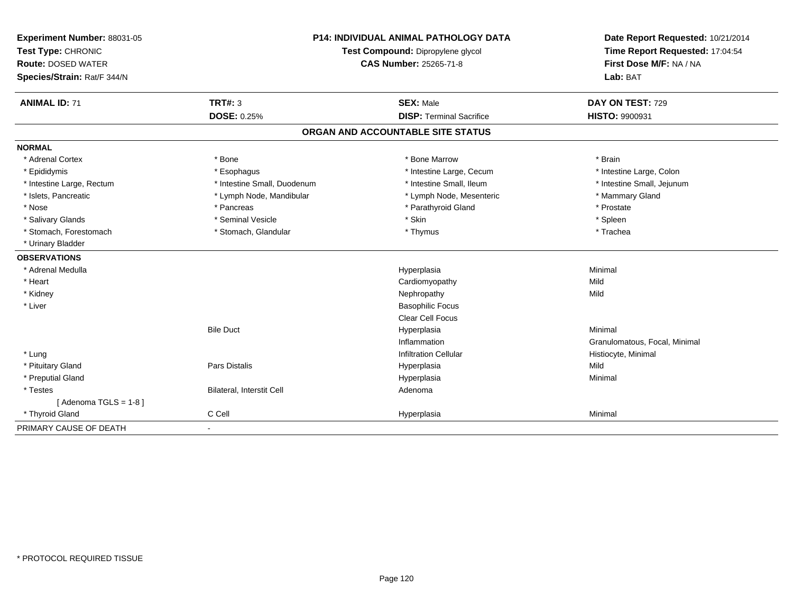| Experiment Number: 88031-05 | <b>P14: INDIVIDUAL ANIMAL PATHOLOGY DATA</b> |                                   | Date Report Requested: 10/21/2014                          |
|-----------------------------|----------------------------------------------|-----------------------------------|------------------------------------------------------------|
| Test Type: CHRONIC          |                                              | Test Compound: Dipropylene glycol | Time Report Requested: 17:04:54<br>First Dose M/F: NA / NA |
| <b>Route: DOSED WATER</b>   |                                              | <b>CAS Number: 25265-71-8</b>     |                                                            |
| Species/Strain: Rat/F 344/N |                                              |                                   | Lab: BAT                                                   |
| <b>ANIMAL ID: 71</b>        | <b>TRT#: 3</b>                               | <b>SEX: Male</b>                  | DAY ON TEST: 729                                           |
|                             | <b>DOSE: 0.25%</b>                           | <b>DISP: Terminal Sacrifice</b>   | HISTO: 9900931                                             |
|                             |                                              | ORGAN AND ACCOUNTABLE SITE STATUS |                                                            |
| <b>NORMAL</b>               |                                              |                                   |                                                            |
| * Adrenal Cortex            | * Bone                                       | * Bone Marrow                     | * Brain                                                    |
| * Epididymis                | * Esophagus                                  | * Intestine Large, Cecum          | * Intestine Large, Colon                                   |
| * Intestine Large, Rectum   | * Intestine Small, Duodenum                  | * Intestine Small, Ileum          | * Intestine Small, Jejunum                                 |
| * Islets, Pancreatic        | * Lymph Node, Mandibular                     | * Lymph Node, Mesenteric          | * Mammary Gland                                            |
| * Nose                      | * Pancreas                                   | * Parathyroid Gland               | * Prostate                                                 |
| * Salivary Glands           | * Seminal Vesicle                            | * Skin                            | * Spleen                                                   |
| * Stomach, Forestomach      | * Stomach, Glandular                         | * Thymus                          | * Trachea                                                  |
| * Urinary Bladder           |                                              |                                   |                                                            |
| <b>OBSERVATIONS</b>         |                                              |                                   |                                                            |
| * Adrenal Medulla           |                                              | Hyperplasia                       | Minimal                                                    |
| * Heart                     |                                              | Cardiomyopathy                    | Mild                                                       |
| * Kidney                    |                                              | Nephropathy                       | Mild                                                       |
| * Liver                     |                                              | <b>Basophilic Focus</b>           |                                                            |
|                             |                                              | <b>Clear Cell Focus</b>           |                                                            |
|                             | <b>Bile Duct</b>                             | Hyperplasia                       | Minimal                                                    |
|                             |                                              | Inflammation                      | Granulomatous, Focal, Minimal                              |
| * Lung                      |                                              | <b>Infiltration Cellular</b>      | Histiocyte, Minimal                                        |
| * Pituitary Gland           | <b>Pars Distalis</b>                         | Hyperplasia                       | Mild                                                       |
| * Preputial Gland           |                                              | Hyperplasia                       | Minimal                                                    |
| * Testes                    | Bilateral, Interstit Cell                    | Adenoma                           |                                                            |
| [Adenoma TGLS = $1-8$ ]     |                                              |                                   |                                                            |
| * Thyroid Gland             | C Cell                                       | Hyperplasia                       | Minimal                                                    |
| PRIMARY CAUSE OF DEATH      |                                              |                                   |                                                            |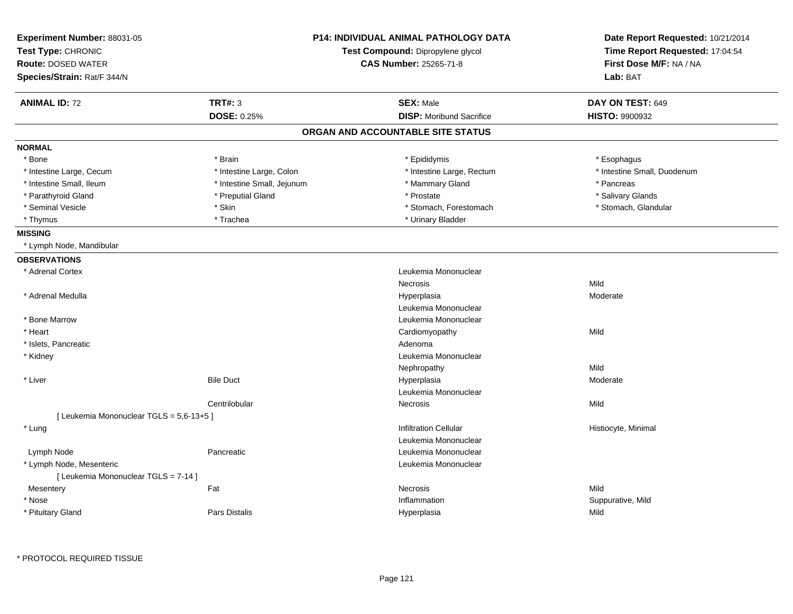| First Dose M/F: NA / NA<br><b>CAS Number: 25265-71-8</b><br><b>Route: DOSED WATER</b><br>Species/Strain: Rat/F 344/N<br>Lab: BAT<br><b>TRT#: 3</b><br><b>SEX: Male</b><br>DAY ON TEST: 649<br><b>ANIMAL ID: 72</b><br>DOSE: 0.25%<br><b>DISP:</b> Moribund Sacrifice<br><b>HISTO: 9900932</b><br>ORGAN AND ACCOUNTABLE SITE STATUS<br>* Brain<br>* Epididymis<br>* Bone<br>* Esophagus<br>* Intestine Large, Colon<br>* Intestine Small, Duodenum<br>* Intestine Large, Cecum<br>* Intestine Large, Rectum<br>* Intestine Small, Ileum<br>* Intestine Small, Jejunum<br>* Mammary Gland<br>* Pancreas<br>* Parathyroid Gland<br>* Preputial Gland<br>* Prostate<br>* Salivary Glands<br>* Skin<br>* Seminal Vesicle<br>* Stomach, Forestomach<br>* Stomach, Glandular<br>* Trachea<br>* Urinary Bladder<br>* Thymus<br><b>MISSING</b><br>* Lymph Node, Mandibular<br><b>OBSERVATIONS</b><br>* Adrenal Cortex<br>Leukemia Mononuclear<br>Mild<br>Necrosis<br>* Adrenal Medulla<br>Moderate<br>Hyperplasia<br>Leukemia Mononuclear<br>* Bone Marrow<br>Leukemia Mononuclear<br>* Heart<br>Mild<br>Cardiomyopathy<br>* Islets, Pancreatic<br>Adenoma<br>Leukemia Mononuclear<br>* Kidney<br>Mild<br>Nephropathy<br>* Liver<br><b>Bile Duct</b><br>Hyperplasia<br>Moderate<br>Leukemia Mononuclear<br>Centrilobular<br>Necrosis<br>Mild<br>[ Leukemia Mononuclear TGLS = 5,6-13+5 ]<br>* Lung<br><b>Infiltration Cellular</b><br>Histiocyte, Minimal<br>Leukemia Mononuclear<br>Leukemia Mononuclear<br>Lymph Node<br>Pancreatic<br>* Lymph Node, Mesenteric<br>Leukemia Mononuclear<br>[ Leukemia Mononuclear TGLS = 7-14 ]<br>Mesentery<br>Fat<br>Necrosis<br>Mild<br>* Nose<br>Inflammation<br>Suppurative, Mild<br><b>Pars Distalis</b><br>* Pituitary Gland<br>Hyperplasia<br>Mild | Experiment Number: 88031-05<br>Test Type: CHRONIC | <b>P14: INDIVIDUAL ANIMAL PATHOLOGY DATA</b><br>Test Compound: Dipropylene glycol | Date Report Requested: 10/21/2014<br>Time Report Requested: 17:04:54 |
|-------------------------------------------------------------------------------------------------------------------------------------------------------------------------------------------------------------------------------------------------------------------------------------------------------------------------------------------------------------------------------------------------------------------------------------------------------------------------------------------------------------------------------------------------------------------------------------------------------------------------------------------------------------------------------------------------------------------------------------------------------------------------------------------------------------------------------------------------------------------------------------------------------------------------------------------------------------------------------------------------------------------------------------------------------------------------------------------------------------------------------------------------------------------------------------------------------------------------------------------------------------------------------------------------------------------------------------------------------------------------------------------------------------------------------------------------------------------------------------------------------------------------------------------------------------------------------------------------------------------------------------------------------------------------------------------------------------------------------------------------------------------------------------|---------------------------------------------------|-----------------------------------------------------------------------------------|----------------------------------------------------------------------|
|                                                                                                                                                                                                                                                                                                                                                                                                                                                                                                                                                                                                                                                                                                                                                                                                                                                                                                                                                                                                                                                                                                                                                                                                                                                                                                                                                                                                                                                                                                                                                                                                                                                                                                                                                                                     |                                                   |                                                                                   |                                                                      |
|                                                                                                                                                                                                                                                                                                                                                                                                                                                                                                                                                                                                                                                                                                                                                                                                                                                                                                                                                                                                                                                                                                                                                                                                                                                                                                                                                                                                                                                                                                                                                                                                                                                                                                                                                                                     |                                                   |                                                                                   |                                                                      |
|                                                                                                                                                                                                                                                                                                                                                                                                                                                                                                                                                                                                                                                                                                                                                                                                                                                                                                                                                                                                                                                                                                                                                                                                                                                                                                                                                                                                                                                                                                                                                                                                                                                                                                                                                                                     |                                                   |                                                                                   |                                                                      |
|                                                                                                                                                                                                                                                                                                                                                                                                                                                                                                                                                                                                                                                                                                                                                                                                                                                                                                                                                                                                                                                                                                                                                                                                                                                                                                                                                                                                                                                                                                                                                                                                                                                                                                                                                                                     |                                                   |                                                                                   |                                                                      |
|                                                                                                                                                                                                                                                                                                                                                                                                                                                                                                                                                                                                                                                                                                                                                                                                                                                                                                                                                                                                                                                                                                                                                                                                                                                                                                                                                                                                                                                                                                                                                                                                                                                                                                                                                                                     |                                                   |                                                                                   |                                                                      |
|                                                                                                                                                                                                                                                                                                                                                                                                                                                                                                                                                                                                                                                                                                                                                                                                                                                                                                                                                                                                                                                                                                                                                                                                                                                                                                                                                                                                                                                                                                                                                                                                                                                                                                                                                                                     | <b>NORMAL</b>                                     |                                                                                   |                                                                      |
|                                                                                                                                                                                                                                                                                                                                                                                                                                                                                                                                                                                                                                                                                                                                                                                                                                                                                                                                                                                                                                                                                                                                                                                                                                                                                                                                                                                                                                                                                                                                                                                                                                                                                                                                                                                     |                                                   |                                                                                   |                                                                      |
|                                                                                                                                                                                                                                                                                                                                                                                                                                                                                                                                                                                                                                                                                                                                                                                                                                                                                                                                                                                                                                                                                                                                                                                                                                                                                                                                                                                                                                                                                                                                                                                                                                                                                                                                                                                     |                                                   |                                                                                   |                                                                      |
|                                                                                                                                                                                                                                                                                                                                                                                                                                                                                                                                                                                                                                                                                                                                                                                                                                                                                                                                                                                                                                                                                                                                                                                                                                                                                                                                                                                                                                                                                                                                                                                                                                                                                                                                                                                     |                                                   |                                                                                   |                                                                      |
|                                                                                                                                                                                                                                                                                                                                                                                                                                                                                                                                                                                                                                                                                                                                                                                                                                                                                                                                                                                                                                                                                                                                                                                                                                                                                                                                                                                                                                                                                                                                                                                                                                                                                                                                                                                     |                                                   |                                                                                   |                                                                      |
|                                                                                                                                                                                                                                                                                                                                                                                                                                                                                                                                                                                                                                                                                                                                                                                                                                                                                                                                                                                                                                                                                                                                                                                                                                                                                                                                                                                                                                                                                                                                                                                                                                                                                                                                                                                     |                                                   |                                                                                   |                                                                      |
|                                                                                                                                                                                                                                                                                                                                                                                                                                                                                                                                                                                                                                                                                                                                                                                                                                                                                                                                                                                                                                                                                                                                                                                                                                                                                                                                                                                                                                                                                                                                                                                                                                                                                                                                                                                     |                                                   |                                                                                   |                                                                      |
|                                                                                                                                                                                                                                                                                                                                                                                                                                                                                                                                                                                                                                                                                                                                                                                                                                                                                                                                                                                                                                                                                                                                                                                                                                                                                                                                                                                                                                                                                                                                                                                                                                                                                                                                                                                     |                                                   |                                                                                   |                                                                      |
|                                                                                                                                                                                                                                                                                                                                                                                                                                                                                                                                                                                                                                                                                                                                                                                                                                                                                                                                                                                                                                                                                                                                                                                                                                                                                                                                                                                                                                                                                                                                                                                                                                                                                                                                                                                     |                                                   |                                                                                   |                                                                      |
|                                                                                                                                                                                                                                                                                                                                                                                                                                                                                                                                                                                                                                                                                                                                                                                                                                                                                                                                                                                                                                                                                                                                                                                                                                                                                                                                                                                                                                                                                                                                                                                                                                                                                                                                                                                     |                                                   |                                                                                   |                                                                      |
|                                                                                                                                                                                                                                                                                                                                                                                                                                                                                                                                                                                                                                                                                                                                                                                                                                                                                                                                                                                                                                                                                                                                                                                                                                                                                                                                                                                                                                                                                                                                                                                                                                                                                                                                                                                     |                                                   |                                                                                   |                                                                      |
|                                                                                                                                                                                                                                                                                                                                                                                                                                                                                                                                                                                                                                                                                                                                                                                                                                                                                                                                                                                                                                                                                                                                                                                                                                                                                                                                                                                                                                                                                                                                                                                                                                                                                                                                                                                     |                                                   |                                                                                   |                                                                      |
|                                                                                                                                                                                                                                                                                                                                                                                                                                                                                                                                                                                                                                                                                                                                                                                                                                                                                                                                                                                                                                                                                                                                                                                                                                                                                                                                                                                                                                                                                                                                                                                                                                                                                                                                                                                     |                                                   |                                                                                   |                                                                      |
|                                                                                                                                                                                                                                                                                                                                                                                                                                                                                                                                                                                                                                                                                                                                                                                                                                                                                                                                                                                                                                                                                                                                                                                                                                                                                                                                                                                                                                                                                                                                                                                                                                                                                                                                                                                     |                                                   |                                                                                   |                                                                      |
|                                                                                                                                                                                                                                                                                                                                                                                                                                                                                                                                                                                                                                                                                                                                                                                                                                                                                                                                                                                                                                                                                                                                                                                                                                                                                                                                                                                                                                                                                                                                                                                                                                                                                                                                                                                     |                                                   |                                                                                   |                                                                      |
|                                                                                                                                                                                                                                                                                                                                                                                                                                                                                                                                                                                                                                                                                                                                                                                                                                                                                                                                                                                                                                                                                                                                                                                                                                                                                                                                                                                                                                                                                                                                                                                                                                                                                                                                                                                     |                                                   |                                                                                   |                                                                      |
|                                                                                                                                                                                                                                                                                                                                                                                                                                                                                                                                                                                                                                                                                                                                                                                                                                                                                                                                                                                                                                                                                                                                                                                                                                                                                                                                                                                                                                                                                                                                                                                                                                                                                                                                                                                     |                                                   |                                                                                   |                                                                      |
|                                                                                                                                                                                                                                                                                                                                                                                                                                                                                                                                                                                                                                                                                                                                                                                                                                                                                                                                                                                                                                                                                                                                                                                                                                                                                                                                                                                                                                                                                                                                                                                                                                                                                                                                                                                     |                                                   |                                                                                   |                                                                      |
|                                                                                                                                                                                                                                                                                                                                                                                                                                                                                                                                                                                                                                                                                                                                                                                                                                                                                                                                                                                                                                                                                                                                                                                                                                                                                                                                                                                                                                                                                                                                                                                                                                                                                                                                                                                     |                                                   |                                                                                   |                                                                      |
|                                                                                                                                                                                                                                                                                                                                                                                                                                                                                                                                                                                                                                                                                                                                                                                                                                                                                                                                                                                                                                                                                                                                                                                                                                                                                                                                                                                                                                                                                                                                                                                                                                                                                                                                                                                     |                                                   |                                                                                   |                                                                      |
|                                                                                                                                                                                                                                                                                                                                                                                                                                                                                                                                                                                                                                                                                                                                                                                                                                                                                                                                                                                                                                                                                                                                                                                                                                                                                                                                                                                                                                                                                                                                                                                                                                                                                                                                                                                     |                                                   |                                                                                   |                                                                      |
|                                                                                                                                                                                                                                                                                                                                                                                                                                                                                                                                                                                                                                                                                                                                                                                                                                                                                                                                                                                                                                                                                                                                                                                                                                                                                                                                                                                                                                                                                                                                                                                                                                                                                                                                                                                     |                                                   |                                                                                   |                                                                      |
|                                                                                                                                                                                                                                                                                                                                                                                                                                                                                                                                                                                                                                                                                                                                                                                                                                                                                                                                                                                                                                                                                                                                                                                                                                                                                                                                                                                                                                                                                                                                                                                                                                                                                                                                                                                     |                                                   |                                                                                   |                                                                      |
|                                                                                                                                                                                                                                                                                                                                                                                                                                                                                                                                                                                                                                                                                                                                                                                                                                                                                                                                                                                                                                                                                                                                                                                                                                                                                                                                                                                                                                                                                                                                                                                                                                                                                                                                                                                     |                                                   |                                                                                   |                                                                      |
|                                                                                                                                                                                                                                                                                                                                                                                                                                                                                                                                                                                                                                                                                                                                                                                                                                                                                                                                                                                                                                                                                                                                                                                                                                                                                                                                                                                                                                                                                                                                                                                                                                                                                                                                                                                     |                                                   |                                                                                   |                                                                      |
|                                                                                                                                                                                                                                                                                                                                                                                                                                                                                                                                                                                                                                                                                                                                                                                                                                                                                                                                                                                                                                                                                                                                                                                                                                                                                                                                                                                                                                                                                                                                                                                                                                                                                                                                                                                     |                                                   |                                                                                   |                                                                      |
|                                                                                                                                                                                                                                                                                                                                                                                                                                                                                                                                                                                                                                                                                                                                                                                                                                                                                                                                                                                                                                                                                                                                                                                                                                                                                                                                                                                                                                                                                                                                                                                                                                                                                                                                                                                     |                                                   |                                                                                   |                                                                      |
|                                                                                                                                                                                                                                                                                                                                                                                                                                                                                                                                                                                                                                                                                                                                                                                                                                                                                                                                                                                                                                                                                                                                                                                                                                                                                                                                                                                                                                                                                                                                                                                                                                                                                                                                                                                     |                                                   |                                                                                   |                                                                      |
|                                                                                                                                                                                                                                                                                                                                                                                                                                                                                                                                                                                                                                                                                                                                                                                                                                                                                                                                                                                                                                                                                                                                                                                                                                                                                                                                                                                                                                                                                                                                                                                                                                                                                                                                                                                     |                                                   |                                                                                   |                                                                      |
|                                                                                                                                                                                                                                                                                                                                                                                                                                                                                                                                                                                                                                                                                                                                                                                                                                                                                                                                                                                                                                                                                                                                                                                                                                                                                                                                                                                                                                                                                                                                                                                                                                                                                                                                                                                     |                                                   |                                                                                   |                                                                      |
|                                                                                                                                                                                                                                                                                                                                                                                                                                                                                                                                                                                                                                                                                                                                                                                                                                                                                                                                                                                                                                                                                                                                                                                                                                                                                                                                                                                                                                                                                                                                                                                                                                                                                                                                                                                     |                                                   |                                                                                   |                                                                      |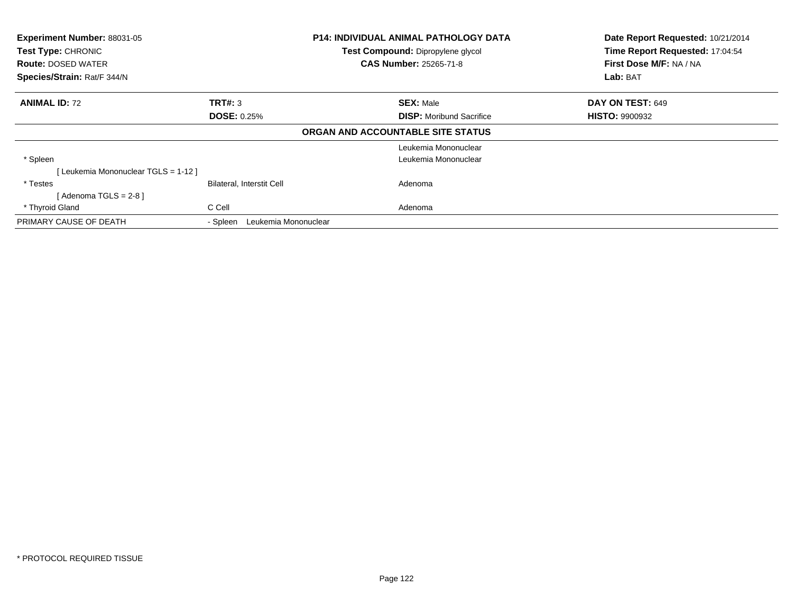| Experiment Number: 88031-05<br>Test Type: CHRONIC<br><b>Route: DOSED WATER</b><br>Species/Strain: Rat/F 344/N |                                  | <b>P14: INDIVIDUAL ANIMAL PATHOLOGY DATA</b><br>Test Compound: Dipropylene glycol<br><b>CAS Number: 25265-71-8</b> | Date Report Requested: 10/21/2014<br>Time Report Requested: 17:04:54<br>First Dose M/F: NA / NA<br>Lab: BAT |
|---------------------------------------------------------------------------------------------------------------|----------------------------------|--------------------------------------------------------------------------------------------------------------------|-------------------------------------------------------------------------------------------------------------|
| <b>ANIMAL ID: 72</b>                                                                                          | <b>TRT#: 3</b>                   | <b>SEX: Male</b>                                                                                                   | DAY ON TEST: 649                                                                                            |
|                                                                                                               | <b>DOSE: 0.25%</b>               | <b>DISP:</b> Moribund Sacrifice                                                                                    | <b>HISTO: 9900932</b>                                                                                       |
|                                                                                                               |                                  | ORGAN AND ACCOUNTABLE SITE STATUS                                                                                  |                                                                                                             |
|                                                                                                               |                                  | Leukemia Mononuclear                                                                                               |                                                                                                             |
| * Spleen                                                                                                      |                                  | Leukemia Mononuclear                                                                                               |                                                                                                             |
| [ Leukemia Mononuclear TGLS = 1-12 ]                                                                          |                                  |                                                                                                                    |                                                                                                             |
| * Testes                                                                                                      | <b>Bilateral, Interstit Cell</b> | Adenoma                                                                                                            |                                                                                                             |
| [Adenoma TGLS = $2-8$ ]                                                                                       |                                  |                                                                                                                    |                                                                                                             |
| * Thyroid Gland                                                                                               | C Cell                           | Adenoma                                                                                                            |                                                                                                             |
| PRIMARY CAUSE OF DEATH                                                                                        | Leukemia Mononuclear<br>- Spleen |                                                                                                                    |                                                                                                             |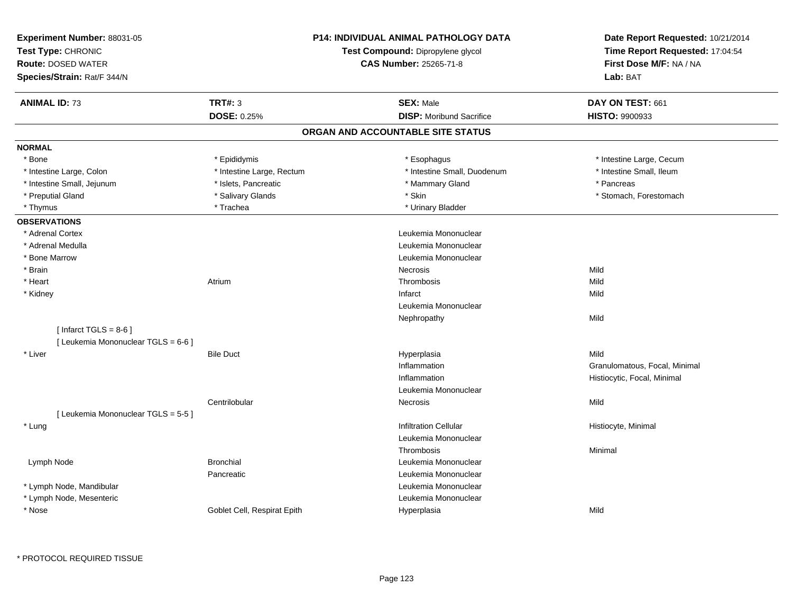| Experiment Number: 88031-05<br>Test Type: CHRONIC<br><b>Route: DOSED WATER</b><br>Species/Strain: Rat/F 344/N |                             | <b>P14: INDIVIDUAL ANIMAL PATHOLOGY DATA</b><br>Test Compound: Dipropylene glycol<br><b>CAS Number: 25265-71-8</b> | Date Report Requested: 10/21/2014<br>Time Report Requested: 17:04:54<br>First Dose M/F: NA / NA<br>Lab: BAT |
|---------------------------------------------------------------------------------------------------------------|-----------------------------|--------------------------------------------------------------------------------------------------------------------|-------------------------------------------------------------------------------------------------------------|
| <b>ANIMAL ID: 73</b>                                                                                          | <b>TRT#: 3</b>              | <b>SEX: Male</b>                                                                                                   | DAY ON TEST: 661                                                                                            |
|                                                                                                               | <b>DOSE: 0.25%</b>          | <b>DISP:</b> Moribund Sacrifice                                                                                    | <b>HISTO: 9900933</b>                                                                                       |
|                                                                                                               |                             | ORGAN AND ACCOUNTABLE SITE STATUS                                                                                  |                                                                                                             |
| <b>NORMAL</b>                                                                                                 |                             |                                                                                                                    |                                                                                                             |
| * Bone                                                                                                        | * Epididymis                | * Esophagus                                                                                                        | * Intestine Large, Cecum                                                                                    |
| * Intestine Large, Colon                                                                                      | * Intestine Large, Rectum   | * Intestine Small, Duodenum                                                                                        | * Intestine Small, Ileum                                                                                    |
| * Intestine Small, Jejunum                                                                                    | * Islets, Pancreatic        | * Mammary Gland                                                                                                    | * Pancreas                                                                                                  |
| * Preputial Gland                                                                                             | * Salivary Glands           | * Skin                                                                                                             | * Stomach, Forestomach                                                                                      |
| * Thymus                                                                                                      | * Trachea                   | * Urinary Bladder                                                                                                  |                                                                                                             |
| <b>OBSERVATIONS</b>                                                                                           |                             |                                                                                                                    |                                                                                                             |
| * Adrenal Cortex                                                                                              |                             | Leukemia Mononuclear                                                                                               |                                                                                                             |
| * Adrenal Medulla                                                                                             |                             | Leukemia Mononuclear                                                                                               |                                                                                                             |
| * Bone Marrow                                                                                                 |                             | Leukemia Mononuclear                                                                                               |                                                                                                             |
| * Brain                                                                                                       |                             | Necrosis                                                                                                           | Mild                                                                                                        |
| * Heart                                                                                                       | Atrium                      | Thrombosis                                                                                                         | Mild                                                                                                        |
| * Kidney                                                                                                      |                             | Infarct                                                                                                            | Mild                                                                                                        |
|                                                                                                               |                             | Leukemia Mononuclear                                                                                               |                                                                                                             |
|                                                                                                               |                             | Nephropathy                                                                                                        | Mild                                                                                                        |
| [Infarct TGLS = $8-6$ ]                                                                                       |                             |                                                                                                                    |                                                                                                             |
| [ Leukemia Mononuclear TGLS = 6-6 ]                                                                           |                             |                                                                                                                    |                                                                                                             |
| * Liver                                                                                                       | <b>Bile Duct</b>            | Hyperplasia                                                                                                        | Mild                                                                                                        |
|                                                                                                               |                             | Inflammation                                                                                                       | Granulomatous, Focal, Minimal                                                                               |
|                                                                                                               |                             | Inflammation                                                                                                       | Histiocytic, Focal, Minimal                                                                                 |
|                                                                                                               |                             | Leukemia Mononuclear                                                                                               |                                                                                                             |
|                                                                                                               | Centrilobular               | <b>Necrosis</b>                                                                                                    | Mild                                                                                                        |
| [ Leukemia Mononuclear TGLS = 5-5 ]                                                                           |                             |                                                                                                                    |                                                                                                             |
| * Lung                                                                                                        |                             | <b>Infiltration Cellular</b>                                                                                       | Histiocyte, Minimal                                                                                         |
|                                                                                                               |                             | Leukemia Mononuclear                                                                                               |                                                                                                             |
|                                                                                                               |                             | Thrombosis                                                                                                         | Minimal                                                                                                     |
| Lymph Node                                                                                                    | <b>Bronchial</b>            | Leukemia Mononuclear                                                                                               |                                                                                                             |
|                                                                                                               | Pancreatic                  | Leukemia Mononuclear                                                                                               |                                                                                                             |
| * Lymph Node, Mandibular                                                                                      |                             | Leukemia Mononuclear                                                                                               |                                                                                                             |
| * Lymph Node, Mesenteric                                                                                      |                             | Leukemia Mononuclear                                                                                               |                                                                                                             |
| * Nose                                                                                                        | Goblet Cell, Respirat Epith | Hyperplasia                                                                                                        | Mild                                                                                                        |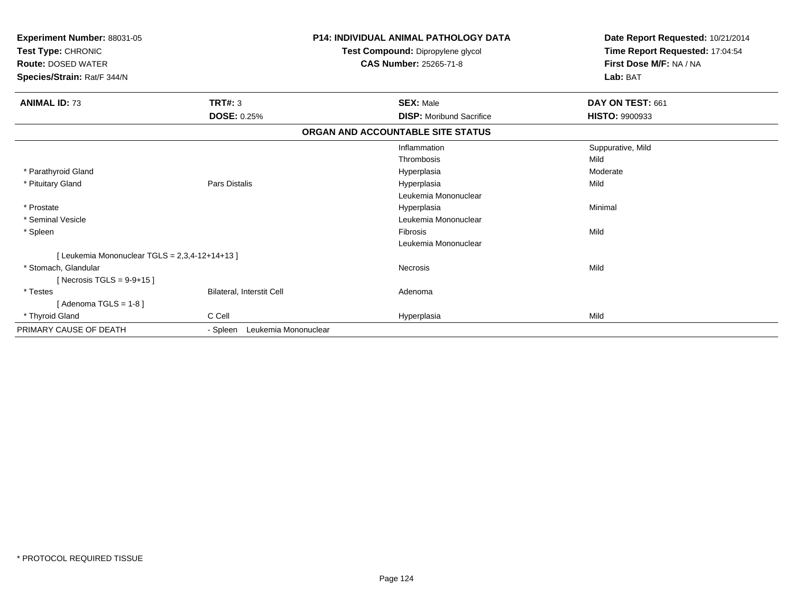| Experiment Number: 88031-05<br>Test Type: CHRONIC<br>Test Compound: Dipropylene glycol<br><b>Route: DOSED WATER</b><br><b>CAS Number: 25265-71-8</b><br>Species/Strain: Rat/F 344/N |                                  | <b>P14: INDIVIDUAL ANIMAL PATHOLOGY DATA</b> | Date Report Requested: 10/21/2014<br>Time Report Requested: 17:04:54<br>First Dose M/F: NA / NA<br>Lab: BAT |
|-------------------------------------------------------------------------------------------------------------------------------------------------------------------------------------|----------------------------------|----------------------------------------------|-------------------------------------------------------------------------------------------------------------|
| <b>ANIMAL ID: 73</b>                                                                                                                                                                | <b>TRT#: 3</b>                   | <b>SEX: Male</b>                             | DAY ON TEST: 661                                                                                            |
|                                                                                                                                                                                     | <b>DOSE: 0.25%</b>               | <b>DISP:</b> Moribund Sacrifice              | HISTO: 9900933                                                                                              |
|                                                                                                                                                                                     |                                  | ORGAN AND ACCOUNTABLE SITE STATUS            |                                                                                                             |
|                                                                                                                                                                                     |                                  | Inflammation                                 | Suppurative, Mild                                                                                           |
|                                                                                                                                                                                     |                                  | Thrombosis                                   | Mild                                                                                                        |
| * Parathyroid Gland                                                                                                                                                                 |                                  | Hyperplasia                                  | Moderate                                                                                                    |
| * Pituitary Gland                                                                                                                                                                   | Pars Distalis                    | Hyperplasia                                  | Mild                                                                                                        |
|                                                                                                                                                                                     |                                  | Leukemia Mononuclear                         |                                                                                                             |
| * Prostate                                                                                                                                                                          |                                  | Hyperplasia                                  | Minimal                                                                                                     |
| * Seminal Vesicle                                                                                                                                                                   |                                  | Leukemia Mononuclear                         |                                                                                                             |
| * Spleen                                                                                                                                                                            |                                  | <b>Fibrosis</b>                              | Mild                                                                                                        |
|                                                                                                                                                                                     |                                  | Leukemia Mononuclear                         |                                                                                                             |
| [Leukemia Mononuclear TGLS = 2,3,4-12+14+13 ]                                                                                                                                       |                                  |                                              |                                                                                                             |
| * Stomach, Glandular                                                                                                                                                                |                                  | <b>Necrosis</b>                              | Mild                                                                                                        |
| [Necrosis TGLS = $9-9+15$ ]                                                                                                                                                         |                                  |                                              |                                                                                                             |
| * Testes                                                                                                                                                                            | Bilateral, Interstit Cell        | Adenoma                                      |                                                                                                             |
| [Adenoma TGLS = $1-8$ ]                                                                                                                                                             |                                  |                                              |                                                                                                             |
| * Thyroid Gland                                                                                                                                                                     | C Cell                           | Hyperplasia                                  | Mild                                                                                                        |
| PRIMARY CAUSE OF DEATH                                                                                                                                                              | Leukemia Mononuclear<br>- Spleen |                                              |                                                                                                             |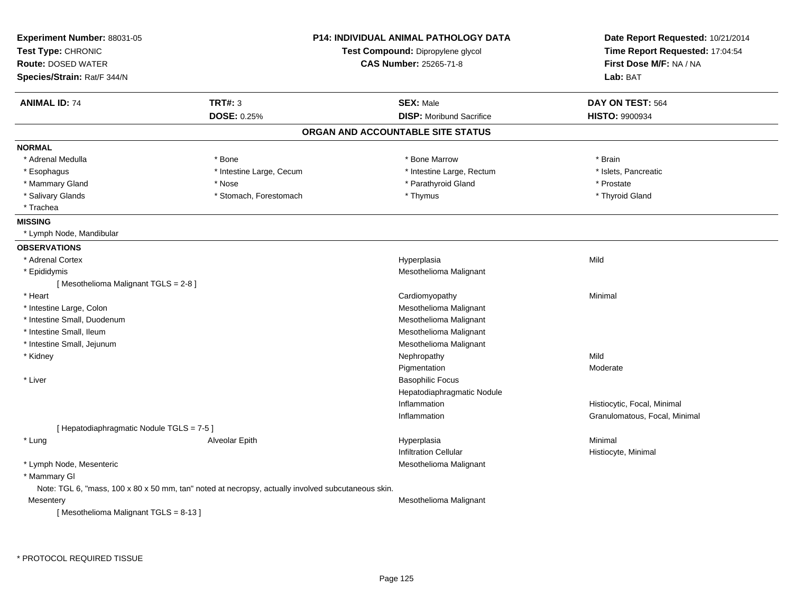| Experiment Number: 88031-05<br>Test Type: CHRONIC<br><b>Route: DOSED WATER</b><br>Species/Strain: Rat/F 344/N |                          | P14: INDIVIDUAL ANIMAL PATHOLOGY DATA<br>Test Compound: Dipropylene glycol<br><b>CAS Number: 25265-71-8</b> | Date Report Requested: 10/21/2014<br>Time Report Requested: 17:04:54<br>First Dose M/F: NA / NA<br>Lab: BAT |
|---------------------------------------------------------------------------------------------------------------|--------------------------|-------------------------------------------------------------------------------------------------------------|-------------------------------------------------------------------------------------------------------------|
| <b>ANIMAL ID: 74</b>                                                                                          | <b>TRT#: 3</b>           | <b>SEX: Male</b>                                                                                            | DAY ON TEST: 564                                                                                            |
|                                                                                                               | DOSE: 0.25%              | <b>DISP:</b> Moribund Sacrifice                                                                             | HISTO: 9900934                                                                                              |
|                                                                                                               |                          | ORGAN AND ACCOUNTABLE SITE STATUS                                                                           |                                                                                                             |
| <b>NORMAL</b>                                                                                                 |                          |                                                                                                             |                                                                                                             |
| * Adrenal Medulla                                                                                             | * Bone                   | * Bone Marrow                                                                                               | * Brain                                                                                                     |
| * Esophagus                                                                                                   | * Intestine Large, Cecum | * Intestine Large, Rectum                                                                                   | * Islets, Pancreatic                                                                                        |
| * Mammary Gland                                                                                               | * Nose                   | * Parathyroid Gland                                                                                         | * Prostate                                                                                                  |
| * Salivary Glands                                                                                             | * Stomach, Forestomach   | * Thymus                                                                                                    | * Thyroid Gland                                                                                             |
| * Trachea                                                                                                     |                          |                                                                                                             |                                                                                                             |
| <b>MISSING</b>                                                                                                |                          |                                                                                                             |                                                                                                             |
| * Lymph Node, Mandibular                                                                                      |                          |                                                                                                             |                                                                                                             |
| <b>OBSERVATIONS</b>                                                                                           |                          |                                                                                                             |                                                                                                             |
| * Adrenal Cortex                                                                                              |                          | Hyperplasia                                                                                                 | Mild                                                                                                        |
| * Epididymis                                                                                                  |                          | Mesothelioma Malignant                                                                                      |                                                                                                             |
| [Mesothelioma Malignant TGLS = 2-8]                                                                           |                          |                                                                                                             |                                                                                                             |
| * Heart                                                                                                       |                          | Cardiomyopathy                                                                                              | Minimal                                                                                                     |
| * Intestine Large, Colon                                                                                      |                          | Mesothelioma Malignant                                                                                      |                                                                                                             |
| * Intestine Small, Duodenum                                                                                   |                          | Mesothelioma Malignant                                                                                      |                                                                                                             |
| * Intestine Small, Ileum                                                                                      |                          | Mesothelioma Malignant                                                                                      |                                                                                                             |
| * Intestine Small, Jejunum                                                                                    |                          | Mesothelioma Malignant                                                                                      |                                                                                                             |
| * Kidney                                                                                                      |                          | Nephropathy                                                                                                 | Mild                                                                                                        |
|                                                                                                               |                          | Pigmentation                                                                                                | Moderate                                                                                                    |
| * Liver                                                                                                       |                          | <b>Basophilic Focus</b>                                                                                     |                                                                                                             |
|                                                                                                               |                          | Hepatodiaphragmatic Nodule                                                                                  |                                                                                                             |
|                                                                                                               |                          | Inflammation                                                                                                | Histiocytic, Focal, Minimal                                                                                 |
|                                                                                                               |                          | Inflammation                                                                                                | Granulomatous, Focal, Minimal                                                                               |
| [ Hepatodiaphragmatic Nodule TGLS = 7-5 ]                                                                     |                          |                                                                                                             |                                                                                                             |
| * Lung                                                                                                        | Alveolar Epith           | Hyperplasia                                                                                                 | Minimal                                                                                                     |
|                                                                                                               |                          | <b>Infiltration Cellular</b>                                                                                | Histiocyte, Minimal                                                                                         |
| * Lymph Node, Mesenteric                                                                                      |                          | Mesothelioma Malignant                                                                                      |                                                                                                             |
| * Mammary GI                                                                                                  |                          |                                                                                                             |                                                                                                             |
| Note: TGL 6, "mass, 100 x 80 x 50 mm, tan" noted at necropsy, actually involved subcutaneous skin.            |                          |                                                                                                             |                                                                                                             |
| Mesentery                                                                                                     |                          | Mesothelioma Malignant                                                                                      |                                                                                                             |
| [Mesothelioma Malignant TGLS = 8-13]                                                                          |                          |                                                                                                             |                                                                                                             |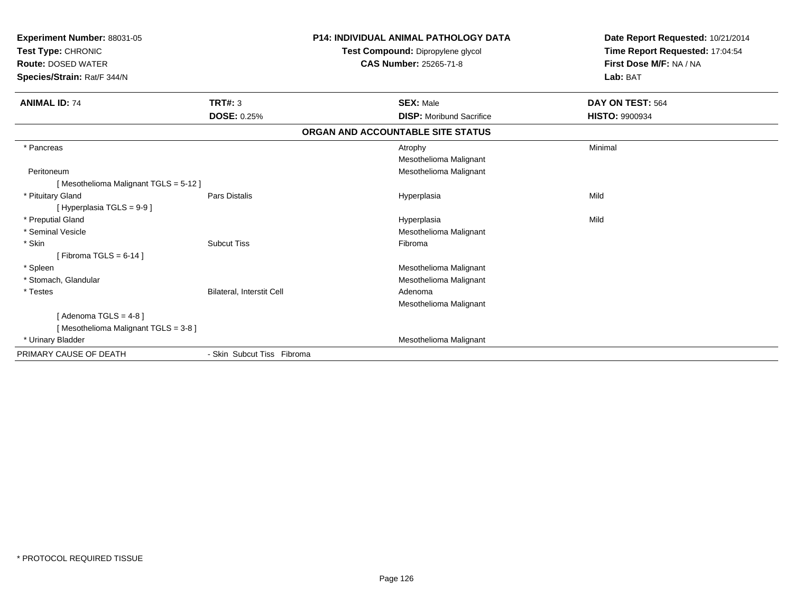| Experiment Number: 88031-05<br>Test Type: CHRONIC<br><b>Route: DOSED WATER</b><br>Species/Strain: Rat/F 344/N |                            | <b>P14: INDIVIDUAL ANIMAL PATHOLOGY DATA</b><br>Test Compound: Dipropylene glycol<br><b>CAS Number: 25265-71-8</b> | Date Report Requested: 10/21/2014<br>Time Report Requested: 17:04:54<br>First Dose M/F: NA / NA<br>Lab: BAT |
|---------------------------------------------------------------------------------------------------------------|----------------------------|--------------------------------------------------------------------------------------------------------------------|-------------------------------------------------------------------------------------------------------------|
| <b>ANIMAL ID: 74</b>                                                                                          | <b>TRT#: 3</b>             | <b>SEX: Male</b>                                                                                                   | DAY ON TEST: 564                                                                                            |
|                                                                                                               | <b>DOSE: 0.25%</b>         | <b>DISP:</b> Moribund Sacrifice                                                                                    | <b>HISTO: 9900934</b>                                                                                       |
|                                                                                                               |                            | ORGAN AND ACCOUNTABLE SITE STATUS                                                                                  |                                                                                                             |
| * Pancreas                                                                                                    |                            | Atrophy<br>Mesothelioma Malignant                                                                                  | Minimal                                                                                                     |
| Peritoneum<br>[Mesothelioma Malignant TGLS = 5-12]                                                            |                            | Mesothelioma Malignant                                                                                             |                                                                                                             |
| * Pituitary Gland<br>[Hyperplasia TGLS = 9-9]                                                                 | Pars Distalis              | Hyperplasia                                                                                                        | Mild                                                                                                        |
| * Preputial Gland                                                                                             |                            | Hyperplasia                                                                                                        | Mild                                                                                                        |
| * Seminal Vesicle                                                                                             |                            | Mesothelioma Malignant                                                                                             |                                                                                                             |
| * Skin<br>[Fibroma TGLS = $6-14$ ]                                                                            | <b>Subcut Tiss</b>         | Fibroma                                                                                                            |                                                                                                             |
| * Spleen                                                                                                      |                            | Mesothelioma Malignant                                                                                             |                                                                                                             |
| * Stomach, Glandular                                                                                          |                            | Mesothelioma Malignant                                                                                             |                                                                                                             |
| * Testes                                                                                                      | Bilateral, Interstit Cell  | Adenoma<br>Mesothelioma Malignant                                                                                  |                                                                                                             |
| [Adenoma TGLS = $4-8$ ]                                                                                       |                            |                                                                                                                    |                                                                                                             |
| [Mesothelioma Malignant TGLS = 3-8]                                                                           |                            |                                                                                                                    |                                                                                                             |
| * Urinary Bladder                                                                                             |                            | Mesothelioma Malignant                                                                                             |                                                                                                             |
| PRIMARY CAUSE OF DEATH                                                                                        | - Skin Subcut Tiss Fibroma |                                                                                                                    |                                                                                                             |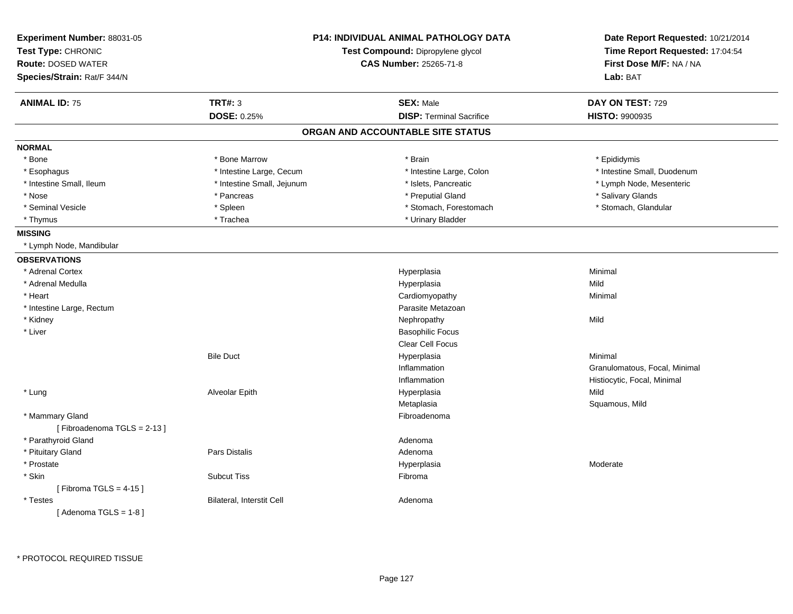| Experiment Number: 88031-05<br>Test Type: CHRONIC<br><b>Route: DOSED WATER</b><br>Species/Strain: Rat/F 344/N |                            | <b>P14: INDIVIDUAL ANIMAL PATHOLOGY DATA</b><br>Test Compound: Dipropylene glycol<br><b>CAS Number: 25265-71-8</b> | Date Report Requested: 10/21/2014<br>Time Report Requested: 17:04:54<br>First Dose M/F: NA / NA<br>Lab: BAT |
|---------------------------------------------------------------------------------------------------------------|----------------------------|--------------------------------------------------------------------------------------------------------------------|-------------------------------------------------------------------------------------------------------------|
| <b>ANIMAL ID: 75</b>                                                                                          | <b>TRT#: 3</b>             | <b>SEX: Male</b>                                                                                                   | DAY ON TEST: 729                                                                                            |
|                                                                                                               | DOSE: 0.25%                | <b>DISP: Terminal Sacrifice</b>                                                                                    | HISTO: 9900935                                                                                              |
|                                                                                                               |                            | ORGAN AND ACCOUNTABLE SITE STATUS                                                                                  |                                                                                                             |
| <b>NORMAL</b>                                                                                                 |                            |                                                                                                                    |                                                                                                             |
| * Bone                                                                                                        | * Bone Marrow              | * Brain                                                                                                            | * Epididymis                                                                                                |
| * Esophagus                                                                                                   | * Intestine Large, Cecum   | * Intestine Large, Colon                                                                                           | * Intestine Small, Duodenum                                                                                 |
| * Intestine Small, Ileum                                                                                      | * Intestine Small, Jejunum | * Islets, Pancreatic                                                                                               | * Lymph Node, Mesenteric                                                                                    |
| * Nose                                                                                                        | * Pancreas                 | * Preputial Gland                                                                                                  | * Salivary Glands                                                                                           |
| * Seminal Vesicle                                                                                             | * Spleen                   | * Stomach, Forestomach                                                                                             | * Stomach, Glandular                                                                                        |
| * Thymus                                                                                                      | * Trachea                  | * Urinary Bladder                                                                                                  |                                                                                                             |
| <b>MISSING</b>                                                                                                |                            |                                                                                                                    |                                                                                                             |
| * Lymph Node, Mandibular                                                                                      |                            |                                                                                                                    |                                                                                                             |
| <b>OBSERVATIONS</b>                                                                                           |                            |                                                                                                                    |                                                                                                             |
| * Adrenal Cortex                                                                                              |                            | Hyperplasia                                                                                                        | Minimal                                                                                                     |
| * Adrenal Medulla                                                                                             |                            | Hyperplasia                                                                                                        | Mild                                                                                                        |
| * Heart                                                                                                       |                            | Cardiomyopathy                                                                                                     | Minimal                                                                                                     |
| * Intestine Large, Rectum                                                                                     |                            | Parasite Metazoan                                                                                                  |                                                                                                             |
| * Kidney                                                                                                      |                            | Nephropathy                                                                                                        | Mild                                                                                                        |
| * Liver                                                                                                       |                            | <b>Basophilic Focus</b>                                                                                            |                                                                                                             |
|                                                                                                               |                            | <b>Clear Cell Focus</b>                                                                                            |                                                                                                             |
|                                                                                                               | <b>Bile Duct</b>           | Hyperplasia                                                                                                        | Minimal                                                                                                     |
|                                                                                                               |                            | Inflammation                                                                                                       | Granulomatous, Focal, Minimal                                                                               |
|                                                                                                               |                            | Inflammation                                                                                                       | Histiocytic, Focal, Minimal                                                                                 |
| * Lung                                                                                                        | Alveolar Epith             | Hyperplasia                                                                                                        | Mild                                                                                                        |
|                                                                                                               |                            | Metaplasia                                                                                                         | Squamous, Mild                                                                                              |
| * Mammary Gland<br>[Fibroadenoma TGLS = 2-13]                                                                 |                            | Fibroadenoma                                                                                                       |                                                                                                             |
| * Parathyroid Gland                                                                                           |                            | Adenoma                                                                                                            |                                                                                                             |
| * Pituitary Gland                                                                                             | Pars Distalis              | Adenoma                                                                                                            |                                                                                                             |
| * Prostate                                                                                                    |                            | Hyperplasia                                                                                                        | Moderate                                                                                                    |
| * Skin                                                                                                        | <b>Subcut Tiss</b>         | Fibroma                                                                                                            |                                                                                                             |
| [Fibroma TGLS = $4-15$ ]                                                                                      |                            |                                                                                                                    |                                                                                                             |
| * Testes                                                                                                      | Bilateral, Interstit Cell  | Adenoma                                                                                                            |                                                                                                             |
| [Adenoma TGLS = $1-8$ ]                                                                                       |                            |                                                                                                                    |                                                                                                             |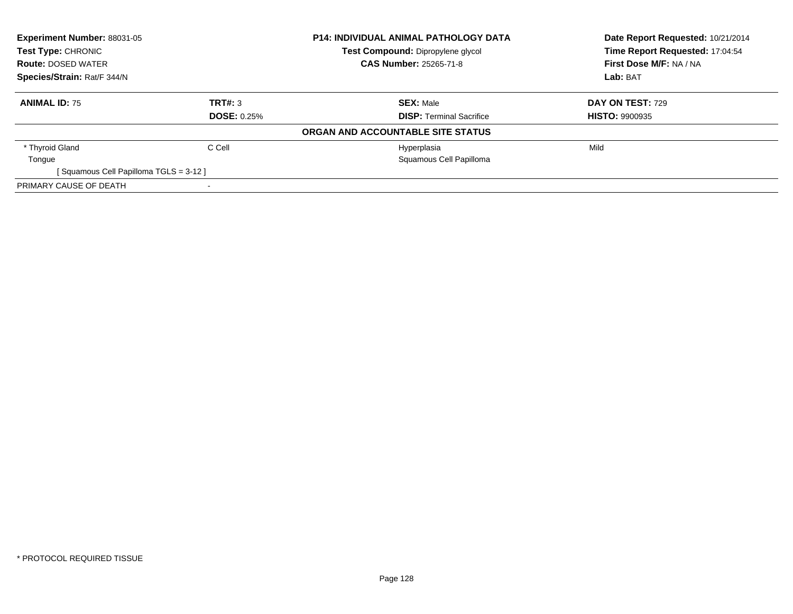| Experiment Number: 88031-05<br><b>Test Type: CHRONIC</b><br><b>Route: DOSED WATER</b> |                    | <b>P14: INDIVIDUAL ANIMAL PATHOLOGY DATA</b> | Date Report Requested: 10/21/2014 |  |
|---------------------------------------------------------------------------------------|--------------------|----------------------------------------------|-----------------------------------|--|
|                                                                                       |                    | Test Compound: Dipropylene glycol            | Time Report Requested: 17:04:54   |  |
|                                                                                       |                    | <b>CAS Number: 25265-71-8</b>                | First Dose M/F: NA / NA           |  |
| Species/Strain: Rat/F 344/N                                                           |                    |                                              | Lab: BAT                          |  |
| <b>ANIMAL ID: 75</b>                                                                  | TRT#: 3            | <b>SEX: Male</b>                             | DAY ON TEST: 729                  |  |
|                                                                                       | <b>DOSE: 0.25%</b> | <b>DISP:</b> Terminal Sacrifice              | <b>HISTO: 9900935</b>             |  |
|                                                                                       |                    | ORGAN AND ACCOUNTABLE SITE STATUS            |                                   |  |
| * Thyroid Gland                                                                       | C Cell             | Hyperplasia                                  | Mild                              |  |
| Tongue                                                                                |                    | Squamous Cell Papilloma                      |                                   |  |
| [Squamous Cell Papilloma TGLS = 3-12]                                                 |                    |                                              |                                   |  |
| PRIMARY CAUSE OF DEATH                                                                |                    |                                              |                                   |  |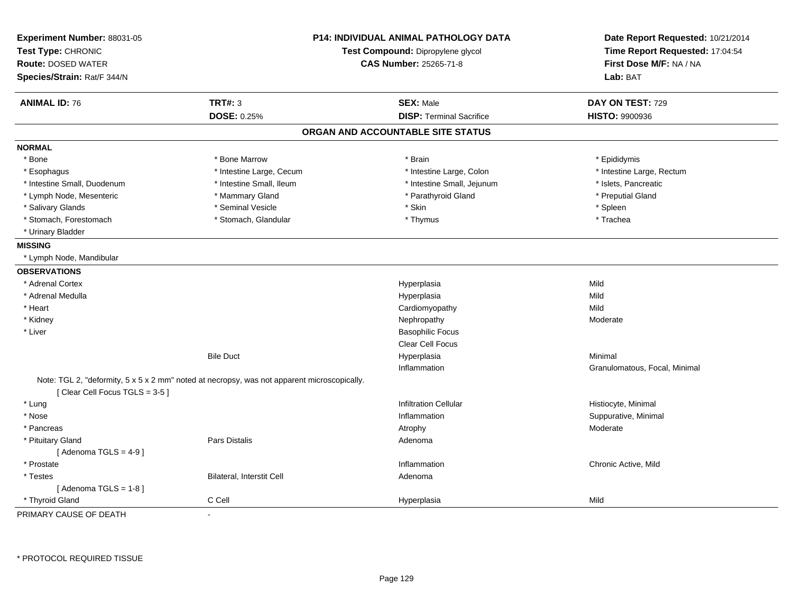| Experiment Number: 88031-05<br>Test Type: CHRONIC<br><b>Route: DOSED WATER</b>                                               |                                  | <b>P14: INDIVIDUAL ANIMAL PATHOLOGY DATA</b><br>Test Compound: Dipropylene glycol<br><b>CAS Number: 25265-71-8</b> | Date Report Requested: 10/21/2014<br>Time Report Requested: 17:04:54<br>First Dose M/F: NA / NA |
|------------------------------------------------------------------------------------------------------------------------------|----------------------------------|--------------------------------------------------------------------------------------------------------------------|-------------------------------------------------------------------------------------------------|
| Species/Strain: Rat/F 344/N                                                                                                  |                                  |                                                                                                                    | Lab: BAT                                                                                        |
| <b>ANIMAL ID: 76</b>                                                                                                         | TRT#: 3                          | <b>SEX: Male</b>                                                                                                   | DAY ON TEST: 729                                                                                |
|                                                                                                                              | DOSE: 0.25%                      | <b>DISP: Terminal Sacrifice</b>                                                                                    | <b>HISTO: 9900936</b>                                                                           |
|                                                                                                                              |                                  | ORGAN AND ACCOUNTABLE SITE STATUS                                                                                  |                                                                                                 |
| <b>NORMAL</b>                                                                                                                |                                  |                                                                                                                    |                                                                                                 |
| * Bone                                                                                                                       | * Bone Marrow                    | * Brain                                                                                                            | * Epididymis                                                                                    |
| * Esophagus                                                                                                                  | * Intestine Large, Cecum         | * Intestine Large, Colon                                                                                           | * Intestine Large, Rectum                                                                       |
| * Intestine Small, Duodenum                                                                                                  | * Intestine Small, Ileum         | * Intestine Small, Jejunum                                                                                         | * Islets, Pancreatic                                                                            |
| * Lymph Node, Mesenteric                                                                                                     | * Mammary Gland                  | * Parathyroid Gland                                                                                                | * Preputial Gland                                                                               |
| * Salivary Glands                                                                                                            | * Seminal Vesicle                | * Skin                                                                                                             | * Spleen                                                                                        |
| * Stomach, Forestomach                                                                                                       | * Stomach, Glandular             | * Thymus                                                                                                           | * Trachea                                                                                       |
| * Urinary Bladder                                                                                                            |                                  |                                                                                                                    |                                                                                                 |
| <b>MISSING</b>                                                                                                               |                                  |                                                                                                                    |                                                                                                 |
| * Lymph Node, Mandibular                                                                                                     |                                  |                                                                                                                    |                                                                                                 |
| <b>OBSERVATIONS</b>                                                                                                          |                                  |                                                                                                                    |                                                                                                 |
| * Adrenal Cortex                                                                                                             |                                  | Hyperplasia                                                                                                        | Mild                                                                                            |
| * Adrenal Medulla                                                                                                            |                                  | Hyperplasia                                                                                                        | Mild                                                                                            |
| * Heart                                                                                                                      |                                  | Cardiomyopathy                                                                                                     | Mild                                                                                            |
| * Kidney                                                                                                                     |                                  | Nephropathy                                                                                                        | Moderate                                                                                        |
| * Liver                                                                                                                      |                                  | <b>Basophilic Focus</b>                                                                                            |                                                                                                 |
|                                                                                                                              |                                  | <b>Clear Cell Focus</b>                                                                                            |                                                                                                 |
|                                                                                                                              | <b>Bile Duct</b>                 | Hyperplasia                                                                                                        | Minimal                                                                                         |
|                                                                                                                              |                                  | Inflammation                                                                                                       | Granulomatous, Focal, Minimal                                                                   |
| Note: TGL 2, "deformity, 5 x 5 x 2 mm" noted at necropsy, was not apparent microscopically.<br>[Clear Cell Focus TGLS = 3-5] |                                  |                                                                                                                    |                                                                                                 |
| * Lung                                                                                                                       |                                  | <b>Infiltration Cellular</b>                                                                                       | Histiocyte, Minimal                                                                             |
| * Nose                                                                                                                       |                                  | Inflammation                                                                                                       | Suppurative, Minimal                                                                            |
| * Pancreas                                                                                                                   |                                  | Atrophy                                                                                                            | Moderate                                                                                        |
| * Pituitary Gland                                                                                                            | <b>Pars Distalis</b>             | Adenoma                                                                                                            |                                                                                                 |
| [Adenoma TGLS = $4-9$ ]                                                                                                      |                                  |                                                                                                                    |                                                                                                 |
| * Prostate                                                                                                                   |                                  | Inflammation                                                                                                       | Chronic Active, Mild                                                                            |
| * Testes                                                                                                                     | <b>Bilateral, Interstit Cell</b> | Adenoma                                                                                                            |                                                                                                 |
| [Adenoma TGLS = $1-8$ ]                                                                                                      |                                  |                                                                                                                    |                                                                                                 |
| * Thyroid Gland                                                                                                              | C Cell                           | Hyperplasia                                                                                                        | Mild                                                                                            |
| PRIMARY CAUSE OF DEATH                                                                                                       | $\blacksquare$                   |                                                                                                                    |                                                                                                 |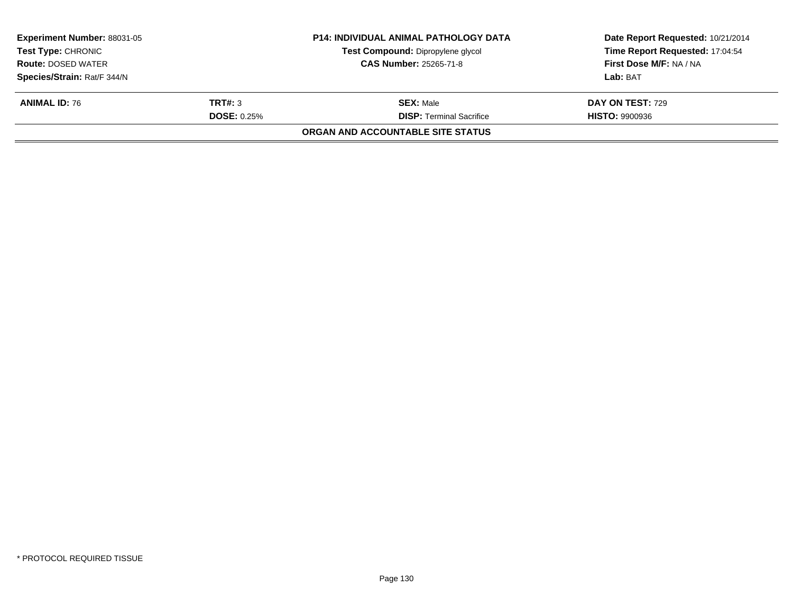|                    | Test Compound: Dipropylene glycol<br><b>CAS Number: 25265-71-8</b> | Date Report Requested: 10/21/2014<br>Time Report Requested: 17:04:54<br>First Dose M/F: NA / NA |
|--------------------|--------------------------------------------------------------------|-------------------------------------------------------------------------------------------------|
|                    |                                                                    | Lab: BAT                                                                                        |
| TRT#: 3            | <b>SEX:</b> Male                                                   | <b>DAY ON TEST: 729</b>                                                                         |
| <b>DOSE: 0.25%</b> | <b>DISP: Terminal Sacrifice</b>                                    | <b>HISTO: 9900936</b>                                                                           |
|                    | ORGAN AND ACCOUNTABLE SITE STATUS                                  |                                                                                                 |
|                    |                                                                    | <b>P14: INDIVIDUAL ANIMAL PATHOLOGY DATA</b>                                                    |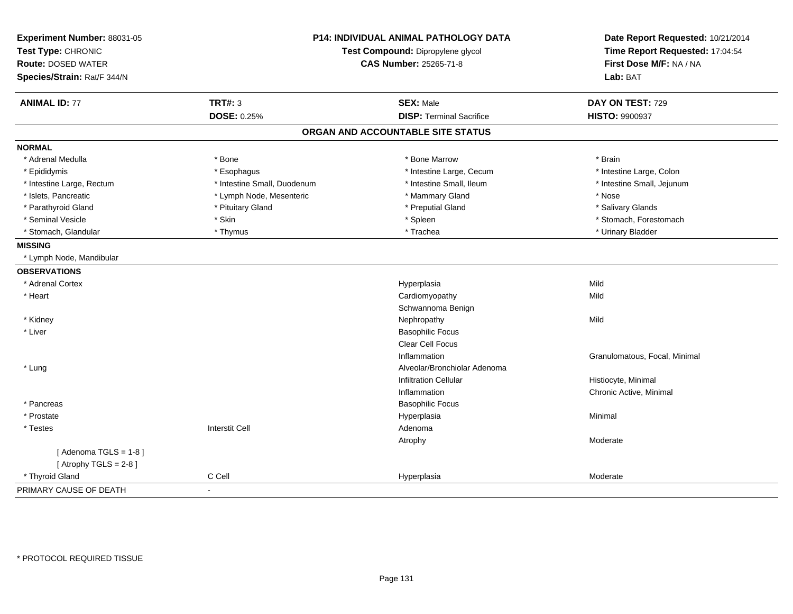| Experiment Number: 88031-05<br>Test Type: CHRONIC<br><b>Route: DOSED WATER</b> |                             | P14: INDIVIDUAL ANIMAL PATHOLOGY DATA<br>Test Compound: Dipropylene glycol<br><b>CAS Number: 25265-71-8</b> |                               |
|--------------------------------------------------------------------------------|-----------------------------|-------------------------------------------------------------------------------------------------------------|-------------------------------|
| Species/Strain: Rat/F 344/N                                                    |                             |                                                                                                             | Lab: BAT                      |
| <b>ANIMAL ID: 77</b>                                                           | <b>TRT#: 3</b>              | <b>SEX: Male</b>                                                                                            | DAY ON TEST: 729              |
|                                                                                | <b>DOSE: 0.25%</b>          | <b>DISP: Terminal Sacrifice</b>                                                                             | <b>HISTO: 9900937</b>         |
|                                                                                |                             | ORGAN AND ACCOUNTABLE SITE STATUS                                                                           |                               |
| <b>NORMAL</b>                                                                  |                             |                                                                                                             |                               |
| * Adrenal Medulla                                                              | * Bone                      | * Bone Marrow                                                                                               | * Brain                       |
| * Epididymis                                                                   | * Esophagus                 | * Intestine Large, Cecum                                                                                    | * Intestine Large, Colon      |
| * Intestine Large, Rectum                                                      | * Intestine Small, Duodenum | * Intestine Small, Ileum                                                                                    | * Intestine Small, Jejunum    |
| * Islets, Pancreatic                                                           | * Lymph Node, Mesenteric    | * Mammary Gland                                                                                             | $^\star$ Nose                 |
| * Parathyroid Gland                                                            | * Pituitary Gland           | * Preputial Gland                                                                                           | * Salivary Glands             |
| * Seminal Vesicle                                                              | * Skin                      | * Spleen                                                                                                    | * Stomach, Forestomach        |
| * Stomach, Glandular                                                           | * Thymus                    | * Trachea                                                                                                   | * Urinary Bladder             |
| <b>MISSING</b>                                                                 |                             |                                                                                                             |                               |
| * Lymph Node, Mandibular                                                       |                             |                                                                                                             |                               |
| <b>OBSERVATIONS</b>                                                            |                             |                                                                                                             |                               |
| * Adrenal Cortex                                                               |                             | Hyperplasia                                                                                                 | Mild                          |
| * Heart                                                                        |                             | Cardiomyopathy                                                                                              | Mild                          |
|                                                                                |                             | Schwannoma Benign                                                                                           |                               |
| * Kidney                                                                       |                             | Nephropathy                                                                                                 | Mild                          |
| * Liver                                                                        |                             | <b>Basophilic Focus</b>                                                                                     |                               |
|                                                                                |                             | <b>Clear Cell Focus</b>                                                                                     |                               |
|                                                                                |                             | Inflammation                                                                                                | Granulomatous, Focal, Minimal |
| * Lung                                                                         |                             | Alveolar/Bronchiolar Adenoma                                                                                |                               |
|                                                                                |                             | <b>Infiltration Cellular</b>                                                                                | Histiocyte, Minimal           |
|                                                                                |                             | Inflammation                                                                                                | Chronic Active, Minimal       |
| * Pancreas                                                                     |                             | <b>Basophilic Focus</b>                                                                                     |                               |
| * Prostate                                                                     |                             | Hyperplasia                                                                                                 | Minimal                       |
| * Testes                                                                       | <b>Interstit Cell</b>       | Adenoma                                                                                                     |                               |
|                                                                                |                             | Atrophy                                                                                                     | Moderate                      |
| [Adenoma TGLS = $1-8$ ]<br>[Atrophy TGLS = $2-8$ ]                             |                             |                                                                                                             |                               |
| * Thyroid Gland                                                                | C Cell                      | Hyperplasia                                                                                                 | Moderate                      |
| PRIMARY CAUSE OF DEATH                                                         |                             |                                                                                                             |                               |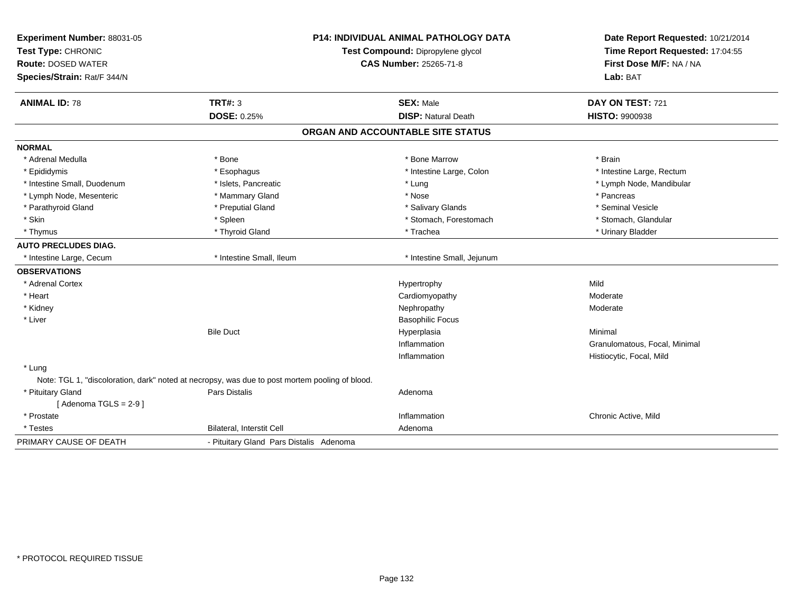| Experiment Number: 88031-05 |                                                                                                | <b>P14: INDIVIDUAL ANIMAL PATHOLOGY DATA</b> | Date Report Requested: 10/21/2014                          |
|-----------------------------|------------------------------------------------------------------------------------------------|----------------------------------------------|------------------------------------------------------------|
| Test Type: CHRONIC          |                                                                                                | Test Compound: Dipropylene glycol            | Time Report Requested: 17:04:55<br>First Dose M/F: NA / NA |
| <b>Route: DOSED WATER</b>   |                                                                                                | <b>CAS Number: 25265-71-8</b>                |                                                            |
| Species/Strain: Rat/F 344/N |                                                                                                |                                              | Lab: BAT                                                   |
| <b>ANIMAL ID: 78</b>        | <b>TRT#: 3</b>                                                                                 | <b>SEX: Male</b>                             | DAY ON TEST: 721                                           |
|                             | <b>DOSE: 0.25%</b>                                                                             | <b>DISP: Natural Death</b>                   | <b>HISTO: 9900938</b>                                      |
|                             |                                                                                                | ORGAN AND ACCOUNTABLE SITE STATUS            |                                                            |
| <b>NORMAL</b>               |                                                                                                |                                              |                                                            |
| * Adrenal Medulla           | * Bone                                                                                         | * Bone Marrow                                | * Brain                                                    |
| * Epididymis                | * Esophagus                                                                                    | * Intestine Large, Colon                     | * Intestine Large, Rectum                                  |
| * Intestine Small, Duodenum | * Islets, Pancreatic                                                                           | * Lung                                       | * Lymph Node, Mandibular                                   |
| * Lymph Node, Mesenteric    | * Mammary Gland                                                                                | * Nose                                       | * Pancreas                                                 |
| * Parathyroid Gland         | * Preputial Gland                                                                              | * Salivary Glands                            | * Seminal Vesicle                                          |
| * Skin                      | * Spleen                                                                                       | * Stomach, Forestomach                       | * Stomach, Glandular                                       |
| * Thymus                    | * Thyroid Gland                                                                                | * Trachea                                    | * Urinary Bladder                                          |
| <b>AUTO PRECLUDES DIAG.</b> |                                                                                                |                                              |                                                            |
| * Intestine Large, Cecum    | * Intestine Small, Ileum                                                                       | * Intestine Small, Jejunum                   |                                                            |
| <b>OBSERVATIONS</b>         |                                                                                                |                                              |                                                            |
| * Adrenal Cortex            |                                                                                                | Hypertrophy                                  | Mild                                                       |
| * Heart                     |                                                                                                | Cardiomyopathy                               | Moderate                                                   |
| * Kidney                    |                                                                                                | Nephropathy                                  | Moderate                                                   |
| * Liver                     |                                                                                                | <b>Basophilic Focus</b>                      |                                                            |
|                             | <b>Bile Duct</b>                                                                               | Hyperplasia                                  | Minimal                                                    |
|                             |                                                                                                | Inflammation                                 | Granulomatous, Focal, Minimal                              |
|                             |                                                                                                | Inflammation                                 | Histiocytic, Focal, Mild                                   |
| * Lung                      |                                                                                                |                                              |                                                            |
|                             | Note: TGL 1, "discoloration, dark" noted at necropsy, was due to post mortem pooling of blood. |                                              |                                                            |
| * Pituitary Gland           | <b>Pars Distalis</b>                                                                           | Adenoma                                      |                                                            |
| [Adenoma TGLS = $2-9$ ]     |                                                                                                |                                              |                                                            |
| * Prostate                  |                                                                                                | Inflammation                                 | Chronic Active, Mild                                       |
| * Testes                    | Bilateral, Interstit Cell                                                                      | Adenoma                                      |                                                            |
| PRIMARY CAUSE OF DEATH      | - Pituitary Gland Pars Distalis Adenoma                                                        |                                              |                                                            |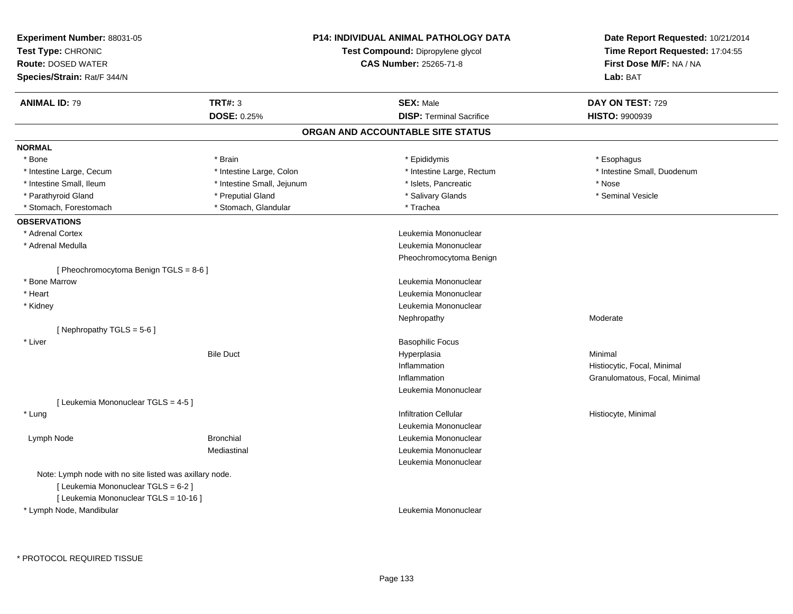| <b>Experiment Number: 88031-05</b><br>Test Type: CHRONIC<br><b>Route: DOSED WATER</b><br>Species/Strain: Rat/F 344/N |                            | P14: INDIVIDUAL ANIMAL PATHOLOGY DATA<br>Test Compound: Dipropylene glycol<br><b>CAS Number: 25265-71-8</b> | Date Report Requested: 10/21/2014<br>Time Report Requested: 17:04:55<br>First Dose M/F: NA / NA<br>Lab: BAT |
|----------------------------------------------------------------------------------------------------------------------|----------------------------|-------------------------------------------------------------------------------------------------------------|-------------------------------------------------------------------------------------------------------------|
| <b>ANIMAL ID: 79</b>                                                                                                 | <b>TRT#: 3</b>             | <b>SEX: Male</b>                                                                                            | DAY ON TEST: 729                                                                                            |
|                                                                                                                      | <b>DOSE: 0.25%</b>         | <b>DISP: Terminal Sacrifice</b>                                                                             | HISTO: 9900939                                                                                              |
|                                                                                                                      |                            | ORGAN AND ACCOUNTABLE SITE STATUS                                                                           |                                                                                                             |
| <b>NORMAL</b>                                                                                                        |                            |                                                                                                             |                                                                                                             |
| * Bone                                                                                                               | * Brain                    | * Epididymis                                                                                                | * Esophagus                                                                                                 |
| * Intestine Large, Cecum                                                                                             | * Intestine Large, Colon   | * Intestine Large, Rectum                                                                                   | * Intestine Small, Duodenum                                                                                 |
| * Intestine Small, Ileum                                                                                             | * Intestine Small, Jejunum | * Islets, Pancreatic                                                                                        | * Nose                                                                                                      |
| * Parathyroid Gland                                                                                                  | * Preputial Gland          | * Salivary Glands                                                                                           | * Seminal Vesicle                                                                                           |
| * Stomach, Forestomach                                                                                               | * Stomach, Glandular       | * Trachea                                                                                                   |                                                                                                             |
| <b>OBSERVATIONS</b>                                                                                                  |                            |                                                                                                             |                                                                                                             |
| * Adrenal Cortex                                                                                                     |                            | Leukemia Mononuclear                                                                                        |                                                                                                             |
| * Adrenal Medulla                                                                                                    |                            | Leukemia Mononuclear                                                                                        |                                                                                                             |
|                                                                                                                      |                            | Pheochromocytoma Benign                                                                                     |                                                                                                             |
| [ Pheochromocytoma Benign TGLS = $8-6$ ]                                                                             |                            |                                                                                                             |                                                                                                             |
| * Bone Marrow                                                                                                        |                            | Leukemia Mononuclear                                                                                        |                                                                                                             |
| * Heart                                                                                                              |                            | Leukemia Mononuclear                                                                                        |                                                                                                             |
| * Kidney                                                                                                             |                            | Leukemia Mononuclear                                                                                        |                                                                                                             |
|                                                                                                                      |                            | Nephropathy                                                                                                 | Moderate                                                                                                    |
| [Nephropathy TGLS = 5-6]                                                                                             |                            |                                                                                                             |                                                                                                             |
| * Liver                                                                                                              |                            | <b>Basophilic Focus</b>                                                                                     |                                                                                                             |
|                                                                                                                      | <b>Bile Duct</b>           | Hyperplasia                                                                                                 | Minimal                                                                                                     |
|                                                                                                                      |                            | Inflammation                                                                                                | Histiocytic, Focal, Minimal                                                                                 |
|                                                                                                                      |                            | Inflammation                                                                                                | Granulomatous, Focal, Minimal                                                                               |
|                                                                                                                      |                            | Leukemia Mononuclear                                                                                        |                                                                                                             |
| [ Leukemia Mononuclear TGLS = 4-5 ]                                                                                  |                            |                                                                                                             |                                                                                                             |
| * Lung                                                                                                               |                            | <b>Infiltration Cellular</b>                                                                                | Histiocyte, Minimal                                                                                         |
|                                                                                                                      |                            | Leukemia Mononuclear                                                                                        |                                                                                                             |
| Lymph Node                                                                                                           | <b>Bronchial</b>           | Leukemia Mononuclear                                                                                        |                                                                                                             |
|                                                                                                                      | Mediastinal                | Leukemia Mononuclear                                                                                        |                                                                                                             |
|                                                                                                                      |                            | Leukemia Mononuclear                                                                                        |                                                                                                             |
| Note: Lymph node with no site listed was axillary node.                                                              |                            |                                                                                                             |                                                                                                             |
| [ Leukemia Mononuclear TGLS = 6-2 ]                                                                                  |                            |                                                                                                             |                                                                                                             |
| [ Leukemia Mononuclear TGLS = 10-16 ]                                                                                |                            |                                                                                                             |                                                                                                             |
| * Lymph Node, Mandibular                                                                                             |                            | Leukemia Mononuclear                                                                                        |                                                                                                             |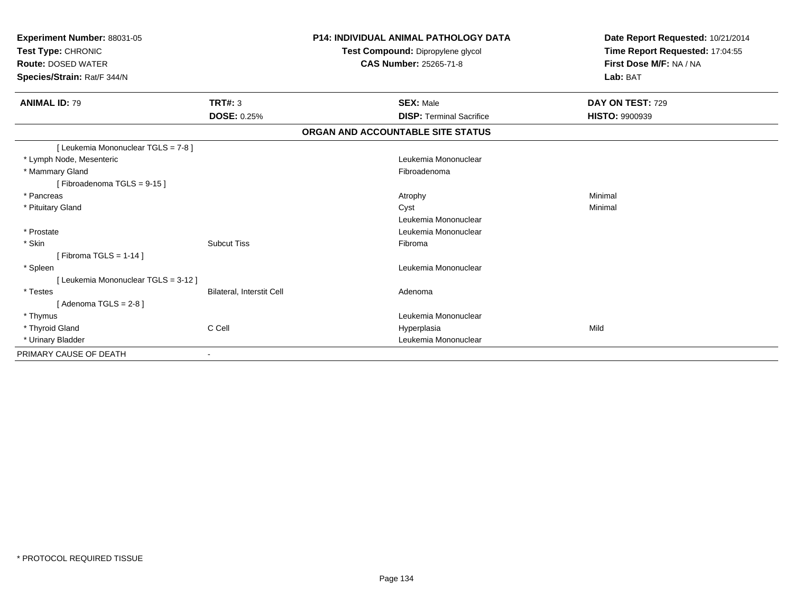| Experiment Number: 88031-05<br>Test Type: CHRONIC<br><b>Route: DOSED WATER</b><br>Species/Strain: Rat/F 344/N |                                  | <b>P14: INDIVIDUAL ANIMAL PATHOLOGY DATA</b><br>Test Compound: Dipropylene glycol<br>CAS Number: 25265-71-8 | Date Report Requested: 10/21/2014<br>Time Report Requested: 17:04:55<br>First Dose M/F: NA / NA<br>Lab: BAT |  |
|---------------------------------------------------------------------------------------------------------------|----------------------------------|-------------------------------------------------------------------------------------------------------------|-------------------------------------------------------------------------------------------------------------|--|
| <b>ANIMAL ID: 79</b>                                                                                          | <b>TRT#: 3</b>                   | <b>SEX: Male</b>                                                                                            | DAY ON TEST: 729                                                                                            |  |
|                                                                                                               | <b>DOSE: 0.25%</b>               | <b>DISP: Terminal Sacrifice</b>                                                                             | <b>HISTO: 9900939</b>                                                                                       |  |
|                                                                                                               |                                  | ORGAN AND ACCOUNTABLE SITE STATUS                                                                           |                                                                                                             |  |
| [ Leukemia Mononuclear TGLS = 7-8 ]                                                                           |                                  |                                                                                                             |                                                                                                             |  |
| * Lymph Node, Mesenteric                                                                                      |                                  | Leukemia Mononuclear                                                                                        |                                                                                                             |  |
| * Mammary Gland                                                                                               |                                  | Fibroadenoma                                                                                                |                                                                                                             |  |
| [Fibroadenoma TGLS = 9-15]                                                                                    |                                  |                                                                                                             |                                                                                                             |  |
| * Pancreas                                                                                                    |                                  | Atrophy                                                                                                     | Minimal                                                                                                     |  |
| * Pituitary Gland                                                                                             |                                  | Cyst                                                                                                        | Minimal                                                                                                     |  |
|                                                                                                               |                                  | Leukemia Mononuclear                                                                                        |                                                                                                             |  |
| * Prostate                                                                                                    |                                  | Leukemia Mononuclear                                                                                        |                                                                                                             |  |
| * Skin                                                                                                        | <b>Subcut Tiss</b>               | Fibroma                                                                                                     |                                                                                                             |  |
| [Fibroma TGLS = $1-14$ ]                                                                                      |                                  |                                                                                                             |                                                                                                             |  |
| * Spleen                                                                                                      |                                  | Leukemia Mononuclear                                                                                        |                                                                                                             |  |
| [ Leukemia Mononuclear TGLS = 3-12 ]                                                                          |                                  |                                                                                                             |                                                                                                             |  |
| * Testes                                                                                                      | <b>Bilateral, Interstit Cell</b> | Adenoma                                                                                                     |                                                                                                             |  |
| $Adenoma TGLS = 2-81$                                                                                         |                                  |                                                                                                             |                                                                                                             |  |
| * Thymus                                                                                                      |                                  | Leukemia Mononuclear                                                                                        |                                                                                                             |  |
| * Thyroid Gland                                                                                               | C Cell                           | Hyperplasia                                                                                                 | Mild                                                                                                        |  |
| * Urinary Bladder                                                                                             |                                  | Leukemia Mononuclear                                                                                        |                                                                                                             |  |
| PRIMARY CAUSE OF DEATH                                                                                        |                                  |                                                                                                             |                                                                                                             |  |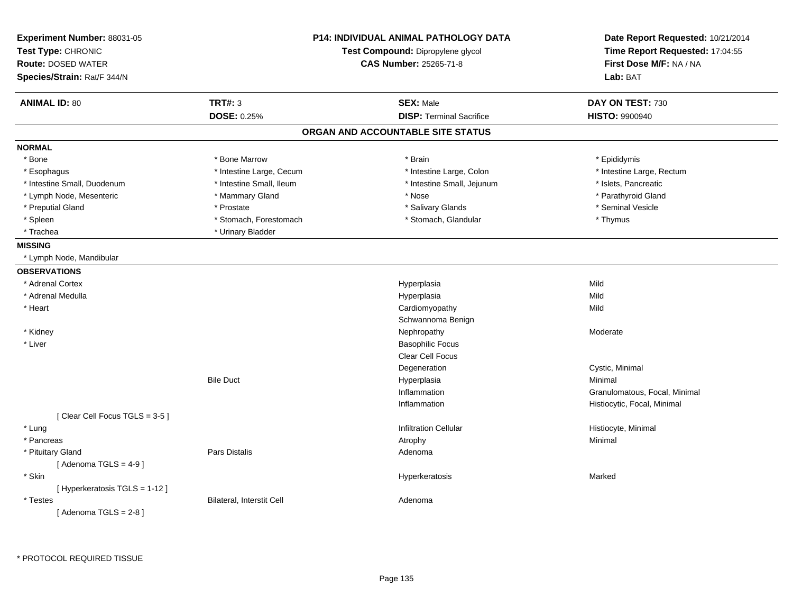| Experiment Number: 88031-05<br>Test Type: CHRONIC<br><b>Route: DOSED WATER</b><br>Species/Strain: Rat/F 344/N |                                      | P14: INDIVIDUAL ANIMAL PATHOLOGY DATA<br>Test Compound: Dipropylene glycol<br><b>CAS Number: 25265-71-8</b> | Date Report Requested: 10/21/2014<br>Time Report Requested: 17:04:55<br>First Dose M/F: NA / NA<br>Lab: BAT |
|---------------------------------------------------------------------------------------------------------------|--------------------------------------|-------------------------------------------------------------------------------------------------------------|-------------------------------------------------------------------------------------------------------------|
| <b>ANIMAL ID: 80</b>                                                                                          | <b>TRT#: 3</b><br><b>DOSE: 0.25%</b> | <b>SEX: Male</b><br><b>DISP: Terminal Sacrifice</b>                                                         | DAY ON TEST: 730<br><b>HISTO: 9900940</b>                                                                   |
|                                                                                                               |                                      | ORGAN AND ACCOUNTABLE SITE STATUS                                                                           |                                                                                                             |
| <b>NORMAL</b>                                                                                                 |                                      |                                                                                                             |                                                                                                             |
| * Bone                                                                                                        | * Bone Marrow                        | * Brain                                                                                                     | * Epididymis                                                                                                |
| * Esophagus                                                                                                   | * Intestine Large, Cecum             | * Intestine Large, Colon                                                                                    | * Intestine Large, Rectum                                                                                   |
| * Intestine Small, Duodenum                                                                                   | * Intestine Small, Ileum             | * Intestine Small, Jejunum                                                                                  | * Islets, Pancreatic                                                                                        |
| * Lymph Node, Mesenteric                                                                                      | * Mammary Gland                      | * Nose                                                                                                      | * Parathyroid Gland                                                                                         |
| * Preputial Gland                                                                                             | * Prostate                           | * Salivary Glands                                                                                           | * Seminal Vesicle                                                                                           |
| * Spleen                                                                                                      | * Stomach, Forestomach               | * Stomach, Glandular                                                                                        | * Thymus                                                                                                    |
| * Trachea                                                                                                     | * Urinary Bladder                    |                                                                                                             |                                                                                                             |
| <b>MISSING</b>                                                                                                |                                      |                                                                                                             |                                                                                                             |
| * Lymph Node, Mandibular                                                                                      |                                      |                                                                                                             |                                                                                                             |
| <b>OBSERVATIONS</b>                                                                                           |                                      |                                                                                                             |                                                                                                             |
| * Adrenal Cortex                                                                                              |                                      | Hyperplasia                                                                                                 | Mild                                                                                                        |
| * Adrenal Medulla                                                                                             |                                      | Hyperplasia                                                                                                 | Mild                                                                                                        |
| * Heart                                                                                                       |                                      | Cardiomyopathy                                                                                              | Mild                                                                                                        |
|                                                                                                               |                                      | Schwannoma Benign                                                                                           |                                                                                                             |
| * Kidney                                                                                                      |                                      | Nephropathy                                                                                                 | Moderate                                                                                                    |
| * Liver                                                                                                       |                                      | <b>Basophilic Focus</b>                                                                                     |                                                                                                             |
|                                                                                                               |                                      | Clear Cell Focus                                                                                            |                                                                                                             |
|                                                                                                               |                                      | Degeneration                                                                                                | Cystic, Minimal                                                                                             |
|                                                                                                               | <b>Bile Duct</b>                     | Hyperplasia                                                                                                 | Minimal                                                                                                     |
|                                                                                                               |                                      | Inflammation                                                                                                | Granulomatous, Focal, Minimal                                                                               |
|                                                                                                               |                                      | Inflammation                                                                                                | Histiocytic, Focal, Minimal                                                                                 |
| [Clear Cell Focus TGLS = 3-5]                                                                                 |                                      |                                                                                                             |                                                                                                             |
| * Lung                                                                                                        |                                      | <b>Infiltration Cellular</b>                                                                                | Histiocyte, Minimal                                                                                         |
| * Pancreas                                                                                                    |                                      | Atrophy                                                                                                     | Minimal                                                                                                     |
| * Pituitary Gland                                                                                             | Pars Distalis                        | Adenoma                                                                                                     |                                                                                                             |
| [Adenoma TGLS = $4-9$ ]                                                                                       |                                      |                                                                                                             |                                                                                                             |
| * Skin                                                                                                        |                                      | Hyperkeratosis                                                                                              | Marked                                                                                                      |
| [ Hyperkeratosis TGLS = 1-12 ]                                                                                |                                      |                                                                                                             |                                                                                                             |
| * Testes                                                                                                      | Bilateral, Interstit Cell            | Adenoma                                                                                                     |                                                                                                             |
| [Adenoma TGLS = $2-8$ ]                                                                                       |                                      |                                                                                                             |                                                                                                             |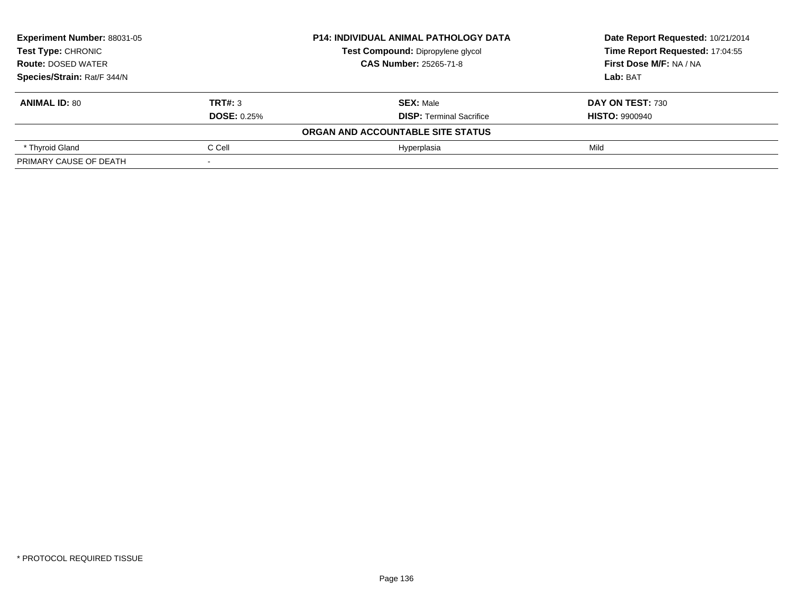| <b>Experiment Number: 88031-05</b><br><b>Test Type: CHRONIC</b> |                    | <b>P14: INDIVIDUAL ANIMAL PATHOLOGY DATA</b> | Date Report Requested: 10/21/2014 |  |
|-----------------------------------------------------------------|--------------------|----------------------------------------------|-----------------------------------|--|
|                                                                 |                    | Test Compound: Dipropylene glycol            | Time Report Requested: 17:04:55   |  |
| <b>Route: DOSED WATER</b>                                       |                    | <b>CAS Number: 25265-71-8</b>                | First Dose M/F: NA / NA           |  |
| Species/Strain: Rat/F 344/N                                     |                    |                                              | Lab: BAT                          |  |
| <b>ANIMAL ID: 80</b>                                            | TRT#: 3            | <b>SEX: Male</b>                             | DAY ON TEST: 730                  |  |
|                                                                 | <b>DOSE: 0.25%</b> | <b>DISP:</b> Terminal Sacrifice              | <b>HISTO: 9900940</b>             |  |
|                                                                 |                    | ORGAN AND ACCOUNTABLE SITE STATUS            |                                   |  |
| * Thyroid Gland                                                 | C Cell             | Hvperplasia                                  | Mild                              |  |
| PRIMARY CAUSE OF DEATH                                          |                    |                                              |                                   |  |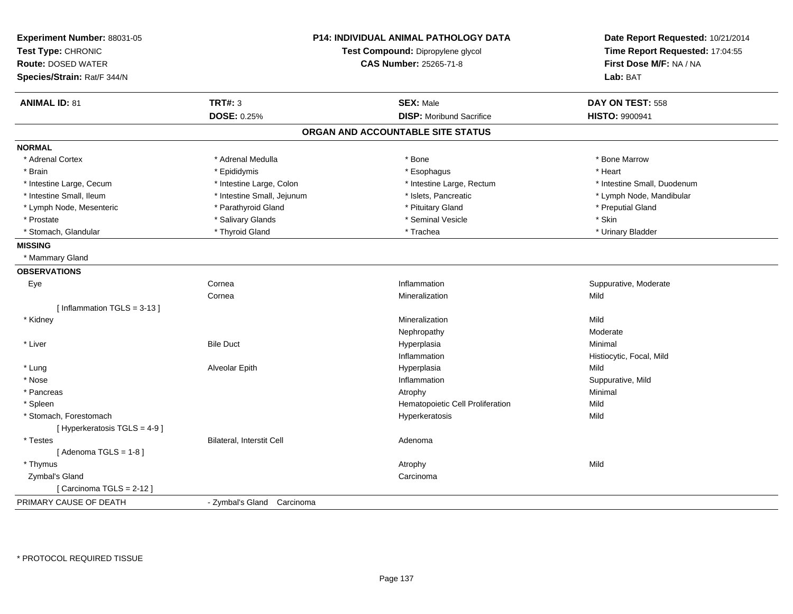| Experiment Number: 88031-05<br>Test Type: CHRONIC<br><b>Route: DOSED WATER</b> |                            | <b>P14: INDIVIDUAL ANIMAL PATHOLOGY DATA</b><br>Test Compound: Dipropylene glycol<br><b>CAS Number: 25265-71-8</b> | Date Report Requested: 10/21/2014<br>Time Report Requested: 17:04:55<br>First Dose M/F: NA / NA |
|--------------------------------------------------------------------------------|----------------------------|--------------------------------------------------------------------------------------------------------------------|-------------------------------------------------------------------------------------------------|
| Species/Strain: Rat/F 344/N                                                    |                            |                                                                                                                    | Lab: BAT                                                                                        |
| <b>ANIMAL ID: 81</b>                                                           | <b>TRT#: 3</b>             | <b>SEX: Male</b>                                                                                                   | DAY ON TEST: 558                                                                                |
|                                                                                | DOSE: 0.25%                | <b>DISP:</b> Moribund Sacrifice                                                                                    | HISTO: 9900941                                                                                  |
|                                                                                |                            | ORGAN AND ACCOUNTABLE SITE STATUS                                                                                  |                                                                                                 |
| <b>NORMAL</b>                                                                  |                            |                                                                                                                    |                                                                                                 |
| * Adrenal Cortex                                                               | * Adrenal Medulla          | * Bone                                                                                                             | * Bone Marrow                                                                                   |
| * Brain                                                                        | * Epididymis               | * Esophagus                                                                                                        | * Heart                                                                                         |
| * Intestine Large, Cecum                                                       | * Intestine Large, Colon   | * Intestine Large, Rectum                                                                                          | * Intestine Small, Duodenum                                                                     |
| * Intestine Small, Ileum                                                       | * Intestine Small, Jejunum | * Islets, Pancreatic                                                                                               | * Lymph Node, Mandibular                                                                        |
| * Lymph Node, Mesenteric                                                       | * Parathyroid Gland        | * Pituitary Gland                                                                                                  | * Preputial Gland                                                                               |
| * Prostate                                                                     | * Salivary Glands          | * Seminal Vesicle                                                                                                  | * Skin                                                                                          |
| * Stomach, Glandular                                                           | * Thyroid Gland            | * Trachea                                                                                                          | * Urinary Bladder                                                                               |
| <b>MISSING</b>                                                                 |                            |                                                                                                                    |                                                                                                 |
| * Mammary Gland                                                                |                            |                                                                                                                    |                                                                                                 |
| <b>OBSERVATIONS</b>                                                            |                            |                                                                                                                    |                                                                                                 |
| Eye                                                                            | Cornea                     | Inflammation                                                                                                       | Suppurative, Moderate                                                                           |
|                                                                                | Cornea                     | Mineralization                                                                                                     | Mild                                                                                            |
| [Inflammation TGLS = $3-13$ ]                                                  |                            |                                                                                                                    |                                                                                                 |
| * Kidney                                                                       |                            | Mineralization                                                                                                     | Mild                                                                                            |
|                                                                                |                            | Nephropathy                                                                                                        | Moderate                                                                                        |
| * Liver                                                                        | <b>Bile Duct</b>           | Hyperplasia                                                                                                        | Minimal                                                                                         |
|                                                                                |                            | Inflammation                                                                                                       | Histiocytic, Focal, Mild                                                                        |
| * Lung                                                                         | Alveolar Epith             | Hyperplasia                                                                                                        | Mild                                                                                            |
| * Nose                                                                         |                            | Inflammation                                                                                                       | Suppurative, Mild                                                                               |
| * Pancreas                                                                     |                            | Atrophy                                                                                                            | Minimal                                                                                         |
| * Spleen                                                                       |                            | Hematopoietic Cell Proliferation                                                                                   | Mild                                                                                            |
| * Stomach, Forestomach                                                         |                            | Hyperkeratosis                                                                                                     | Mild                                                                                            |
| [ Hyperkeratosis TGLS = 4-9 ]                                                  |                            |                                                                                                                    |                                                                                                 |
| * Testes                                                                       | Bilateral, Interstit Cell  | Adenoma                                                                                                            |                                                                                                 |
| [Adenoma TGLS = $1-8$ ]                                                        |                            |                                                                                                                    |                                                                                                 |
| * Thymus                                                                       |                            | Atrophy                                                                                                            | Mild                                                                                            |
| Zymbal's Gland                                                                 |                            | Carcinoma                                                                                                          |                                                                                                 |
| [Carcinoma TGLS = 2-12]                                                        |                            |                                                                                                                    |                                                                                                 |
| PRIMARY CAUSE OF DEATH                                                         | - Zymbal's Gland Carcinoma |                                                                                                                    |                                                                                                 |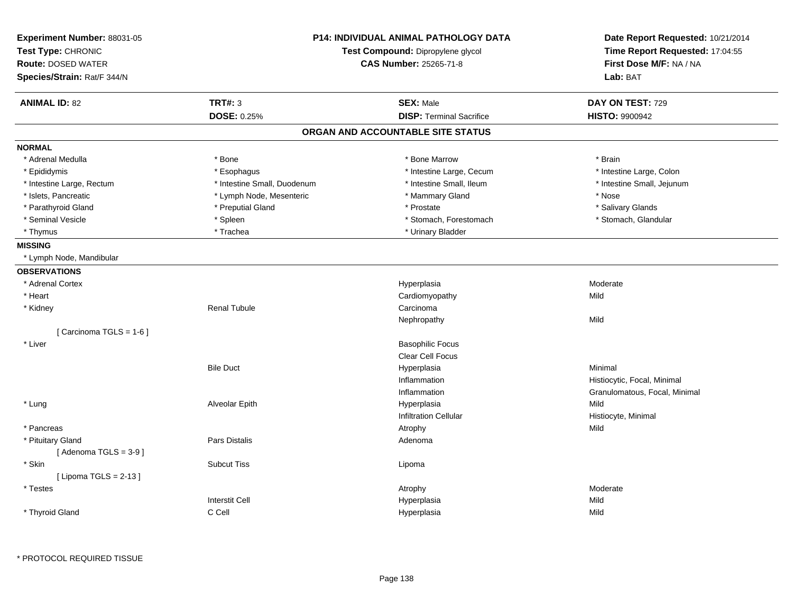|                             | <b>P14: INDIVIDUAL ANIMAL PATHOLOGY DATA</b><br>Experiment Number: 88031-05 |                                   | Date Report Requested: 10/21/2014                          |  |
|-----------------------------|-----------------------------------------------------------------------------|-----------------------------------|------------------------------------------------------------|--|
| Test Type: CHRONIC          |                                                                             | Test Compound: Dipropylene glycol | Time Report Requested: 17:04:55<br>First Dose M/F: NA / NA |  |
| <b>Route: DOSED WATER</b>   |                                                                             | <b>CAS Number: 25265-71-8</b>     |                                                            |  |
| Species/Strain: Rat/F 344/N |                                                                             |                                   | Lab: BAT                                                   |  |
| <b>ANIMAL ID: 82</b>        | <b>TRT#: 3</b>                                                              | <b>SEX: Male</b>                  | DAY ON TEST: 729                                           |  |
|                             | DOSE: 0.25%                                                                 | <b>DISP: Terminal Sacrifice</b>   | <b>HISTO: 9900942</b>                                      |  |
|                             |                                                                             | ORGAN AND ACCOUNTABLE SITE STATUS |                                                            |  |
| <b>NORMAL</b>               |                                                                             |                                   |                                                            |  |
| * Adrenal Medulla           | * Bone                                                                      | * Bone Marrow                     | * Brain                                                    |  |
| * Epididymis                | * Esophagus                                                                 | * Intestine Large, Cecum          | * Intestine Large, Colon                                   |  |
| * Intestine Large, Rectum   | * Intestine Small, Duodenum                                                 | * Intestine Small, Ileum          | * Intestine Small, Jejunum                                 |  |
| * Islets, Pancreatic        | * Lymph Node, Mesenteric                                                    | * Mammary Gland                   | * Nose                                                     |  |
| * Parathyroid Gland         | * Preputial Gland                                                           | * Prostate                        | * Salivary Glands                                          |  |
| * Seminal Vesicle           | * Spleen                                                                    | * Stomach, Forestomach            | * Stomach, Glandular                                       |  |
| * Thymus                    | * Trachea                                                                   | * Urinary Bladder                 |                                                            |  |
| <b>MISSING</b>              |                                                                             |                                   |                                                            |  |
| * Lymph Node, Mandibular    |                                                                             |                                   |                                                            |  |
| <b>OBSERVATIONS</b>         |                                                                             |                                   |                                                            |  |
| * Adrenal Cortex            |                                                                             | Hyperplasia                       | Moderate                                                   |  |
| * Heart                     |                                                                             | Cardiomyopathy                    | Mild                                                       |  |
| * Kidney                    | <b>Renal Tubule</b>                                                         | Carcinoma                         |                                                            |  |
|                             |                                                                             | Nephropathy                       | Mild                                                       |  |
| [Carcinoma TGLS = $1-6$ ]   |                                                                             |                                   |                                                            |  |
| * Liver                     |                                                                             | <b>Basophilic Focus</b>           |                                                            |  |
|                             |                                                                             | <b>Clear Cell Focus</b>           |                                                            |  |
|                             | <b>Bile Duct</b>                                                            | Hyperplasia                       | Minimal                                                    |  |
|                             |                                                                             | Inflammation                      | Histiocytic, Focal, Minimal                                |  |
|                             |                                                                             | Inflammation                      | Granulomatous, Focal, Minimal                              |  |
| * Lung                      | Alveolar Epith                                                              | Hyperplasia                       | Mild                                                       |  |
|                             |                                                                             | <b>Infiltration Cellular</b>      | Histiocyte, Minimal                                        |  |
| * Pancreas                  |                                                                             | Atrophy                           | Mild                                                       |  |
| * Pituitary Gland           | Pars Distalis                                                               | Adenoma                           |                                                            |  |
| [Adenoma TGLS = $3-9$ ]     |                                                                             |                                   |                                                            |  |
| * Skin                      | <b>Subcut Tiss</b>                                                          | Lipoma                            |                                                            |  |
| [ Lipoma TGLS = $2-13$ ]    |                                                                             |                                   |                                                            |  |
| * Testes                    |                                                                             | Atrophy                           | Moderate                                                   |  |
|                             | <b>Interstit Cell</b>                                                       | Hyperplasia                       | Mild                                                       |  |
| * Thyroid Gland             | C Cell                                                                      | Hyperplasia                       | Mild                                                       |  |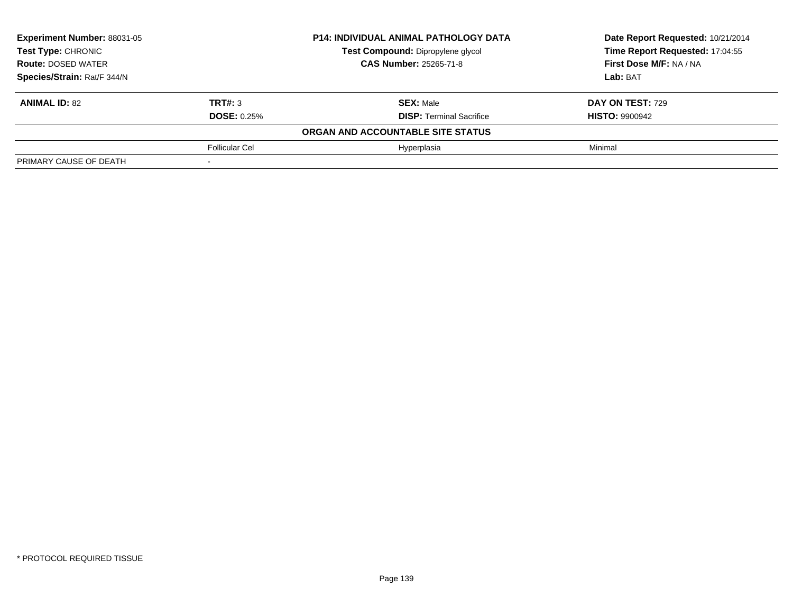| Experiment Number: 88031-05<br>Test Type: CHRONIC |                       | <b>P14: INDIVIDUAL ANIMAL PATHOLOGY DATA</b> | Date Report Requested: 10/21/2014 |  |
|---------------------------------------------------|-----------------------|----------------------------------------------|-----------------------------------|--|
|                                                   |                       | Test Compound: Dipropylene glycol            | Time Report Requested: 17:04:55   |  |
| <b>Route: DOSED WATER</b>                         |                       | <b>CAS Number: 25265-71-8</b>                | First Dose M/F: NA / NA           |  |
| Species/Strain: Rat/F 344/N                       |                       |                                              | Lab: BAT                          |  |
| <b>ANIMAL ID: 82</b>                              | TRT#: 3               | <b>SEX: Male</b>                             | DAY ON TEST: 729                  |  |
|                                                   | <b>DOSE: 0.25%</b>    | <b>DISP: Terminal Sacrifice</b>              | <b>HISTO: 9900942</b>             |  |
|                                                   |                       | ORGAN AND ACCOUNTABLE SITE STATUS            |                                   |  |
|                                                   | <b>Follicular Cel</b> | Hyperplasia                                  | Minimal                           |  |
| PRIMARY CAUSE OF DEATH                            |                       |                                              |                                   |  |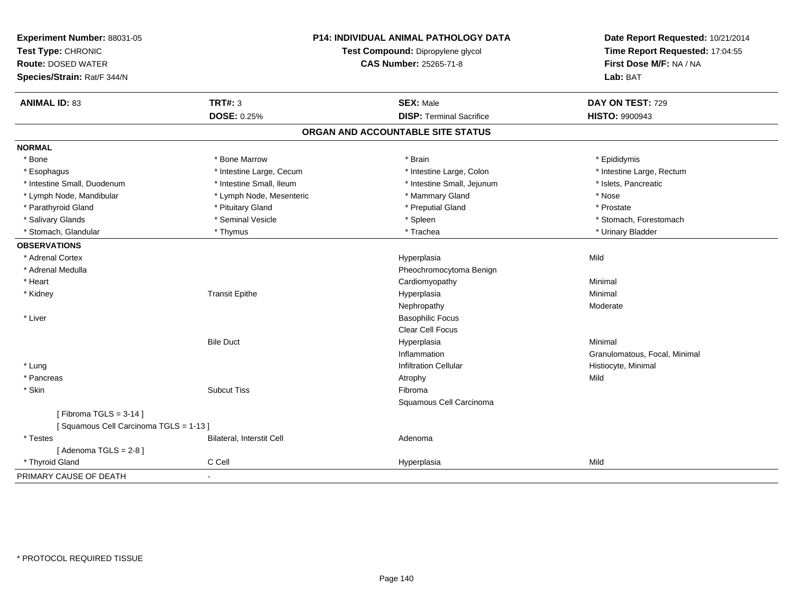| Experiment Number: 88031-05<br>Test Type: CHRONIC<br><b>Route: DOSED WATER</b><br>Species/Strain: Rat/F 344/N |                                  | <b>P14: INDIVIDUAL ANIMAL PATHOLOGY DATA</b><br>Test Compound: Dipropylene glycol<br><b>CAS Number: 25265-71-8</b> | Date Report Requested: 10/21/2014<br>Time Report Requested: 17:04:55<br>First Dose M/F: NA / NA<br>Lab: BAT |
|---------------------------------------------------------------------------------------------------------------|----------------------------------|--------------------------------------------------------------------------------------------------------------------|-------------------------------------------------------------------------------------------------------------|
| <b>ANIMAL ID: 83</b>                                                                                          | <b>TRT#: 3</b>                   | <b>SEX: Male</b>                                                                                                   | DAY ON TEST: 729                                                                                            |
|                                                                                                               | <b>DOSE: 0.25%</b>               | <b>DISP: Terminal Sacrifice</b>                                                                                    | <b>HISTO: 9900943</b>                                                                                       |
|                                                                                                               |                                  | ORGAN AND ACCOUNTABLE SITE STATUS                                                                                  |                                                                                                             |
| <b>NORMAL</b>                                                                                                 |                                  |                                                                                                                    |                                                                                                             |
| * Bone                                                                                                        | * Bone Marrow                    | * Brain                                                                                                            | * Epididymis                                                                                                |
| * Esophagus                                                                                                   | * Intestine Large, Cecum         | * Intestine Large, Colon                                                                                           | * Intestine Large, Rectum                                                                                   |
| * Intestine Small, Duodenum                                                                                   | * Intestine Small, Ileum         | * Intestine Small, Jejunum                                                                                         | * Islets, Pancreatic                                                                                        |
| * Lymph Node, Mandibular                                                                                      | * Lymph Node, Mesenteric         | * Mammary Gland                                                                                                    | * Nose                                                                                                      |
| * Parathyroid Gland                                                                                           | * Pituitary Gland                | * Preputial Gland                                                                                                  | * Prostate                                                                                                  |
| * Salivary Glands                                                                                             | * Seminal Vesicle                | * Spleen                                                                                                           | * Stomach, Forestomach                                                                                      |
| * Stomach, Glandular                                                                                          | * Thymus                         | * Trachea                                                                                                          | * Urinary Bladder                                                                                           |
| <b>OBSERVATIONS</b>                                                                                           |                                  |                                                                                                                    |                                                                                                             |
| * Adrenal Cortex                                                                                              |                                  | Hyperplasia                                                                                                        | Mild                                                                                                        |
| * Adrenal Medulla                                                                                             |                                  | Pheochromocytoma Benign                                                                                            |                                                                                                             |
| * Heart                                                                                                       |                                  | Cardiomyopathy                                                                                                     | Minimal                                                                                                     |
| * Kidney                                                                                                      | <b>Transit Epithe</b>            | Hyperplasia                                                                                                        | Minimal                                                                                                     |
|                                                                                                               |                                  | Nephropathy                                                                                                        | Moderate                                                                                                    |
| * Liver                                                                                                       |                                  | <b>Basophilic Focus</b>                                                                                            |                                                                                                             |
|                                                                                                               |                                  | <b>Clear Cell Focus</b>                                                                                            |                                                                                                             |
|                                                                                                               | <b>Bile Duct</b>                 | Hyperplasia                                                                                                        | Minimal                                                                                                     |
|                                                                                                               |                                  | Inflammation                                                                                                       | Granulomatous, Focal, Minimal                                                                               |
| * Lung                                                                                                        |                                  | <b>Infiltration Cellular</b>                                                                                       | Histiocyte, Minimal                                                                                         |
| * Pancreas                                                                                                    |                                  | Atrophy                                                                                                            | Mild                                                                                                        |
| * Skin                                                                                                        | <b>Subcut Tiss</b>               | Fibroma                                                                                                            |                                                                                                             |
|                                                                                                               |                                  | Squamous Cell Carcinoma                                                                                            |                                                                                                             |
| [Fibroma TGLS = $3-14$ ]<br>[Squamous Cell Carcinoma TGLS = 1-13]                                             |                                  |                                                                                                                    |                                                                                                             |
| * Testes                                                                                                      | <b>Bilateral, Interstit Cell</b> | Adenoma                                                                                                            |                                                                                                             |
| [Adenoma TGLS = $2-8$ ]                                                                                       |                                  |                                                                                                                    |                                                                                                             |
| * Thyroid Gland                                                                                               | C Cell                           | Hyperplasia                                                                                                        | Mild                                                                                                        |
| PRIMARY CAUSE OF DEATH                                                                                        | $\blacksquare$                   |                                                                                                                    |                                                                                                             |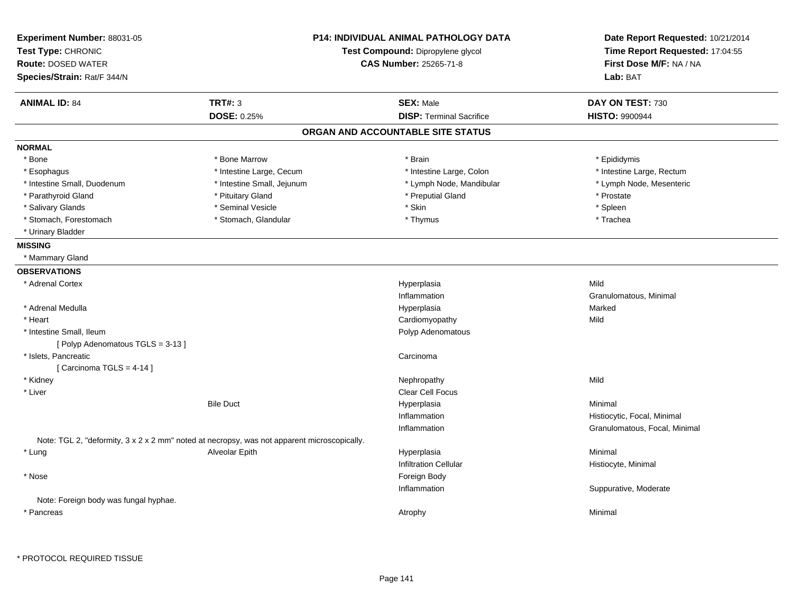| Experiment Number: 88031-05<br>Test Type: CHRONIC<br><b>Route: DOSED WATER</b>              |                            | <b>P14: INDIVIDUAL ANIMAL PATHOLOGY DATA</b><br>Test Compound: Dipropylene glycol<br><b>CAS Number: 25265-71-8</b> | Date Report Requested: 10/21/2014<br>Time Report Requested: 17:04:55<br>First Dose M/F: NA / NA |
|---------------------------------------------------------------------------------------------|----------------------------|--------------------------------------------------------------------------------------------------------------------|-------------------------------------------------------------------------------------------------|
| Species/Strain: Rat/F 344/N                                                                 |                            |                                                                                                                    | Lab: BAT                                                                                        |
| <b>ANIMAL ID: 84</b>                                                                        | <b>TRT#: 3</b>             | <b>SEX: Male</b>                                                                                                   | DAY ON TEST: 730                                                                                |
|                                                                                             | <b>DOSE: 0.25%</b>         | <b>DISP: Terminal Sacrifice</b>                                                                                    | <b>HISTO: 9900944</b>                                                                           |
|                                                                                             |                            | ORGAN AND ACCOUNTABLE SITE STATUS                                                                                  |                                                                                                 |
| <b>NORMAL</b>                                                                               |                            |                                                                                                                    |                                                                                                 |
| * Bone                                                                                      | * Bone Marrow              | * Brain                                                                                                            | * Epididymis                                                                                    |
| * Esophagus                                                                                 | * Intestine Large, Cecum   | * Intestine Large, Colon                                                                                           | * Intestine Large, Rectum                                                                       |
| * Intestine Small, Duodenum                                                                 | * Intestine Small, Jejunum | * Lymph Node, Mandibular                                                                                           | * Lymph Node, Mesenteric                                                                        |
| * Parathyroid Gland                                                                         | * Pituitary Gland          | * Preputial Gland                                                                                                  | * Prostate                                                                                      |
| * Salivary Glands                                                                           | * Seminal Vesicle          | * Skin                                                                                                             | * Spleen                                                                                        |
| * Stomach, Forestomach                                                                      | * Stomach, Glandular       | * Thymus                                                                                                           | * Trachea                                                                                       |
| * Urinary Bladder                                                                           |                            |                                                                                                                    |                                                                                                 |
| <b>MISSING</b>                                                                              |                            |                                                                                                                    |                                                                                                 |
| * Mammary Gland                                                                             |                            |                                                                                                                    |                                                                                                 |
| <b>OBSERVATIONS</b>                                                                         |                            |                                                                                                                    |                                                                                                 |
| * Adrenal Cortex                                                                            |                            | Hyperplasia                                                                                                        | Mild                                                                                            |
|                                                                                             |                            | Inflammation                                                                                                       | Granulomatous, Minimal                                                                          |
| * Adrenal Medulla                                                                           |                            | Hyperplasia                                                                                                        | Marked                                                                                          |
| * Heart                                                                                     |                            | Cardiomyopathy                                                                                                     | Mild                                                                                            |
| * Intestine Small, Ileum                                                                    |                            | Polyp Adenomatous                                                                                                  |                                                                                                 |
| [Polyp Adenomatous TGLS = 3-13]                                                             |                            |                                                                                                                    |                                                                                                 |
| * Islets, Pancreatic                                                                        |                            | Carcinoma                                                                                                          |                                                                                                 |
| [Carcinoma TGLS = $4-14$ ]                                                                  |                            |                                                                                                                    |                                                                                                 |
| * Kidney                                                                                    |                            | Nephropathy                                                                                                        | Mild                                                                                            |
| * Liver                                                                                     |                            | Clear Cell Focus                                                                                                   |                                                                                                 |
|                                                                                             | <b>Bile Duct</b>           | Hyperplasia                                                                                                        | Minimal                                                                                         |
|                                                                                             |                            | Inflammation                                                                                                       | Histiocytic, Focal, Minimal                                                                     |
|                                                                                             |                            | Inflammation                                                                                                       | Granulomatous, Focal, Minimal                                                                   |
| Note: TGL 2, "deformity, 3 x 2 x 2 mm" noted at necropsy, was not apparent microscopically. |                            |                                                                                                                    |                                                                                                 |
| * Lung                                                                                      | Alveolar Epith             | Hyperplasia                                                                                                        | Minimal                                                                                         |
|                                                                                             |                            | <b>Infiltration Cellular</b>                                                                                       | Histiocyte, Minimal                                                                             |
| * Nose                                                                                      |                            | Foreign Body                                                                                                       |                                                                                                 |
|                                                                                             |                            | Inflammation                                                                                                       | Suppurative, Moderate                                                                           |
| Note: Foreign body was fungal hyphae.                                                       |                            |                                                                                                                    |                                                                                                 |
| * Pancreas                                                                                  |                            | Atrophy                                                                                                            | Minimal                                                                                         |
|                                                                                             |                            |                                                                                                                    |                                                                                                 |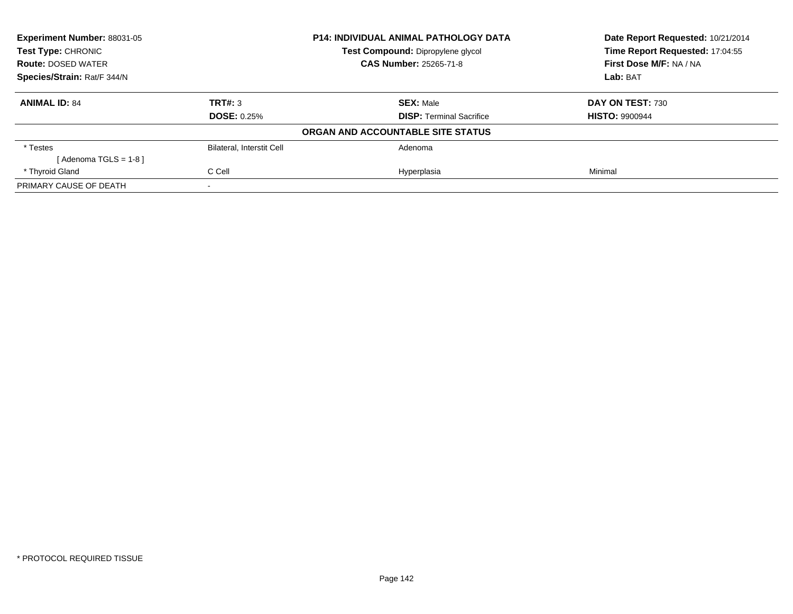| Experiment Number: 88031-05 | <b>P14: INDIVIDUAL ANIMAL PATHOLOGY DATA</b> |                                   | Date Report Requested: 10/21/2014 |
|-----------------------------|----------------------------------------------|-----------------------------------|-----------------------------------|
| <b>Test Type: CHRONIC</b>   |                                              | Test Compound: Dipropylene glycol | Time Report Requested: 17:04:55   |
| <b>Route: DOSED WATER</b>   | <b>CAS Number: 25265-71-8</b>                |                                   | First Dose M/F: NA / NA           |
| Species/Strain: Rat/F 344/N |                                              |                                   | Lab: BAT                          |
| <b>ANIMAL ID: 84</b>        | TRT#: 3                                      | <b>SEX: Male</b>                  | DAY ON TEST: 730                  |
|                             | <b>DOSE: 0.25%</b>                           | <b>DISP:</b> Terminal Sacrifice   | <b>HISTO: 9900944</b>             |
|                             |                                              | ORGAN AND ACCOUNTABLE SITE STATUS |                                   |
| * Testes                    | Bilateral, Interstit Cell                    | Adenoma                           |                                   |
| [Adenoma TGLS = $1-8$ ]     |                                              |                                   |                                   |
| * Thyroid Gland             | C Cell                                       | Hyperplasia                       | Minimal                           |
| PRIMARY CAUSE OF DEATH      |                                              |                                   |                                   |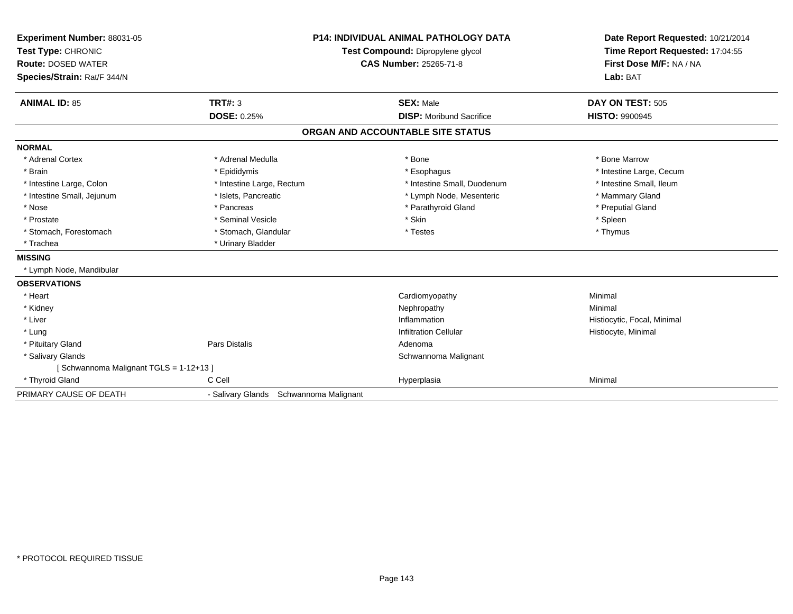| Experiment Number: 88031-05<br>Test Type: CHRONIC<br><b>Route: DOSED WATER</b><br>Species/Strain: Rat/F 344/N | <b>P14: INDIVIDUAL ANIMAL PATHOLOGY DATA</b><br>Test Compound: Dipropylene glycol<br>CAS Number: 25265-71-8 |                                                     | Date Report Requested: 10/21/2014<br>Time Report Requested: 17:04:55<br>First Dose M/F: NA / NA<br>Lab: BAT |  |
|---------------------------------------------------------------------------------------------------------------|-------------------------------------------------------------------------------------------------------------|-----------------------------------------------------|-------------------------------------------------------------------------------------------------------------|--|
| <b>ANIMAL ID: 85</b>                                                                                          | TRT#: 3<br>DOSE: 0.25%                                                                                      | <b>SEX: Male</b><br><b>DISP:</b> Moribund Sacrifice | DAY ON TEST: 505<br><b>HISTO: 9900945</b>                                                                   |  |
|                                                                                                               |                                                                                                             |                                                     |                                                                                                             |  |
|                                                                                                               |                                                                                                             | ORGAN AND ACCOUNTABLE SITE STATUS                   |                                                                                                             |  |
| <b>NORMAL</b>                                                                                                 |                                                                                                             |                                                     |                                                                                                             |  |
| * Adrenal Cortex                                                                                              | * Adrenal Medulla                                                                                           | * Bone                                              | * Bone Marrow                                                                                               |  |
| * Brain                                                                                                       | * Epididymis                                                                                                | * Esophagus                                         | * Intestine Large, Cecum                                                                                    |  |
| * Intestine Large, Colon                                                                                      | * Intestine Large, Rectum                                                                                   | * Intestine Small, Duodenum                         | * Intestine Small, Ileum                                                                                    |  |
| * Intestine Small, Jejunum                                                                                    | * Islets, Pancreatic                                                                                        | * Lymph Node, Mesenteric                            | * Mammary Gland                                                                                             |  |
| * Nose                                                                                                        | * Pancreas                                                                                                  | * Parathyroid Gland                                 | * Preputial Gland                                                                                           |  |
| * Prostate                                                                                                    | * Seminal Vesicle                                                                                           | * Skin                                              | * Spleen                                                                                                    |  |
| * Stomach, Forestomach                                                                                        | * Stomach, Glandular                                                                                        | * Testes                                            | * Thymus                                                                                                    |  |
| * Trachea                                                                                                     | * Urinary Bladder                                                                                           |                                                     |                                                                                                             |  |
| <b>MISSING</b>                                                                                                |                                                                                                             |                                                     |                                                                                                             |  |
| * Lymph Node, Mandibular                                                                                      |                                                                                                             |                                                     |                                                                                                             |  |
| <b>OBSERVATIONS</b>                                                                                           |                                                                                                             |                                                     |                                                                                                             |  |
| * Heart                                                                                                       |                                                                                                             | Cardiomyopathy                                      | Minimal                                                                                                     |  |
| * Kidney                                                                                                      |                                                                                                             | Nephropathy                                         | Minimal                                                                                                     |  |
| * Liver                                                                                                       |                                                                                                             | Inflammation                                        | Histiocytic, Focal, Minimal                                                                                 |  |
| * Lung                                                                                                        |                                                                                                             | <b>Infiltration Cellular</b>                        | Histiocyte, Minimal                                                                                         |  |
| * Pituitary Gland                                                                                             | Pars Distalis                                                                                               | Adenoma                                             |                                                                                                             |  |
| * Salivary Glands                                                                                             |                                                                                                             | Schwannoma Malignant                                |                                                                                                             |  |
| [Schwannoma Malignant TGLS = 1-12+13]                                                                         |                                                                                                             |                                                     |                                                                                                             |  |
| * Thyroid Gland                                                                                               | C Cell                                                                                                      | Hyperplasia                                         | Minimal                                                                                                     |  |
| PRIMARY CAUSE OF DEATH                                                                                        |                                                                                                             | - Salivary Glands Schwannoma Malignant              |                                                                                                             |  |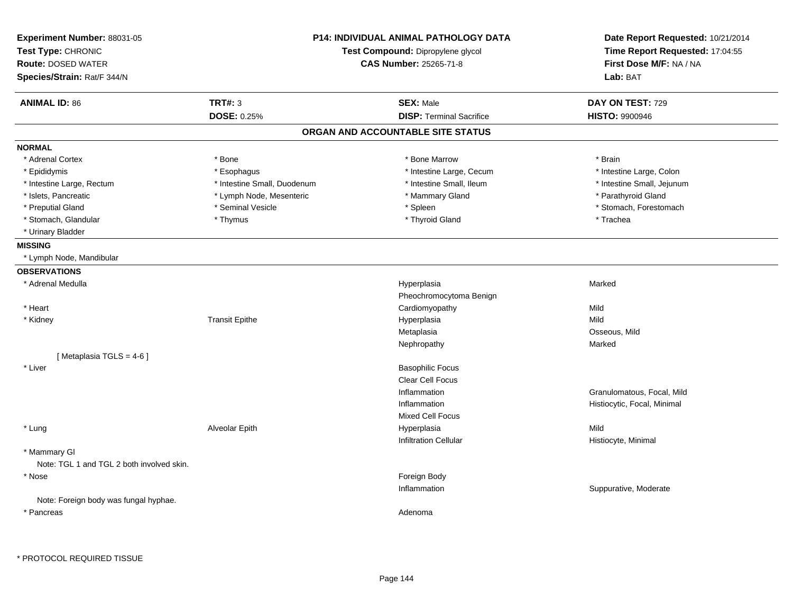| Experiment Number: 88031-05<br>Test Type: CHRONIC<br><b>Route: DOSED WATER</b><br>Species/Strain: Rat/F 344/N | P14: INDIVIDUAL ANIMAL PATHOLOGY DATA<br>Test Compound: Dipropylene glycol<br><b>CAS Number: 25265-71-8</b> |                                   | Date Report Requested: 10/21/2014<br>Time Report Requested: 17:04:55<br>First Dose M/F: NA / NA<br>Lab: BAT |
|---------------------------------------------------------------------------------------------------------------|-------------------------------------------------------------------------------------------------------------|-----------------------------------|-------------------------------------------------------------------------------------------------------------|
| <b>ANIMAL ID: 86</b>                                                                                          | <b>TRT#: 3</b>                                                                                              | <b>SEX: Male</b>                  | DAY ON TEST: 729                                                                                            |
|                                                                                                               | DOSE: 0.25%                                                                                                 | <b>DISP: Terminal Sacrifice</b>   | <b>HISTO: 9900946</b>                                                                                       |
|                                                                                                               |                                                                                                             | ORGAN AND ACCOUNTABLE SITE STATUS |                                                                                                             |
| <b>NORMAL</b>                                                                                                 |                                                                                                             |                                   |                                                                                                             |
| * Adrenal Cortex                                                                                              | * Bone                                                                                                      | * Bone Marrow                     | * Brain                                                                                                     |
| * Epididymis                                                                                                  | * Esophagus                                                                                                 | * Intestine Large, Cecum          | * Intestine Large, Colon                                                                                    |
| * Intestine Large, Rectum                                                                                     | * Intestine Small, Duodenum                                                                                 | * Intestine Small, Ileum          | * Intestine Small, Jejunum                                                                                  |
| * Islets, Pancreatic                                                                                          | * Lymph Node, Mesenteric                                                                                    | * Mammary Gland                   | * Parathyroid Gland                                                                                         |
| * Preputial Gland                                                                                             | * Seminal Vesicle                                                                                           | * Spleen                          | * Stomach, Forestomach                                                                                      |
| * Stomach, Glandular                                                                                          | * Thymus                                                                                                    | * Thyroid Gland                   | * Trachea                                                                                                   |
| * Urinary Bladder                                                                                             |                                                                                                             |                                   |                                                                                                             |
| <b>MISSING</b>                                                                                                |                                                                                                             |                                   |                                                                                                             |
| * Lymph Node, Mandibular                                                                                      |                                                                                                             |                                   |                                                                                                             |
| <b>OBSERVATIONS</b>                                                                                           |                                                                                                             |                                   |                                                                                                             |
| * Adrenal Medulla                                                                                             |                                                                                                             | Hyperplasia                       | Marked                                                                                                      |
|                                                                                                               |                                                                                                             | Pheochromocytoma Benign           |                                                                                                             |
| * Heart                                                                                                       |                                                                                                             | Cardiomyopathy                    | Mild                                                                                                        |
| * Kidney                                                                                                      | <b>Transit Epithe</b>                                                                                       | Hyperplasia                       | Mild                                                                                                        |
|                                                                                                               |                                                                                                             | Metaplasia                        | Osseous, Mild                                                                                               |
|                                                                                                               |                                                                                                             | Nephropathy                       | Marked                                                                                                      |
| [Metaplasia TGLS = 4-6]                                                                                       |                                                                                                             |                                   |                                                                                                             |
| * Liver                                                                                                       |                                                                                                             | <b>Basophilic Focus</b>           |                                                                                                             |
|                                                                                                               |                                                                                                             | <b>Clear Cell Focus</b>           |                                                                                                             |
|                                                                                                               |                                                                                                             | Inflammation                      | Granulomatous, Focal, Mild                                                                                  |
|                                                                                                               |                                                                                                             | Inflammation                      | Histiocytic, Focal, Minimal                                                                                 |
|                                                                                                               |                                                                                                             | <b>Mixed Cell Focus</b>           |                                                                                                             |
| * Lung                                                                                                        | Alveolar Epith                                                                                              | Hyperplasia                       | Mild                                                                                                        |
|                                                                                                               |                                                                                                             | <b>Infiltration Cellular</b>      | Histiocyte, Minimal                                                                                         |
| * Mammary GI<br>Note: TGL 1 and TGL 2 both involved skin.                                                     |                                                                                                             |                                   |                                                                                                             |
| * Nose                                                                                                        |                                                                                                             | Foreign Body                      |                                                                                                             |
|                                                                                                               |                                                                                                             | Inflammation                      | Suppurative, Moderate                                                                                       |
| Note: Foreign body was fungal hyphae.                                                                         |                                                                                                             |                                   |                                                                                                             |
| * Pancreas                                                                                                    |                                                                                                             | Adenoma                           |                                                                                                             |
|                                                                                                               |                                                                                                             |                                   |                                                                                                             |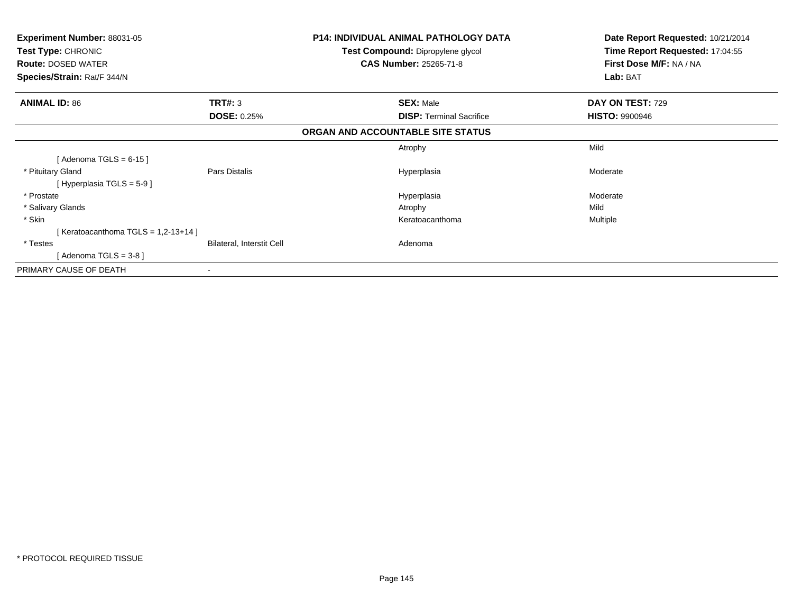| <b>Experiment Number: 88031-05</b><br>Test Type: CHRONIC<br><b>Route: DOSED WATER</b> |                           | <b>P14: INDIVIDUAL ANIMAL PATHOLOGY DATA</b><br>Test Compound: Dipropylene glycol<br><b>CAS Number: 25265-71-8</b> | Date Report Requested: 10/21/2014<br>Time Report Requested: 17:04:55<br>First Dose M/F: NA / NA |
|---------------------------------------------------------------------------------------|---------------------------|--------------------------------------------------------------------------------------------------------------------|-------------------------------------------------------------------------------------------------|
| Species/Strain: Rat/F 344/N                                                           |                           |                                                                                                                    | Lab: BAT                                                                                        |
| <b>ANIMAL ID: 86</b>                                                                  | TRT#: 3                   | <b>SEX: Male</b>                                                                                                   | DAY ON TEST: 729                                                                                |
|                                                                                       | <b>DOSE: 0.25%</b>        | <b>DISP:</b> Terminal Sacrifice                                                                                    | <b>HISTO: 9900946</b>                                                                           |
|                                                                                       |                           | ORGAN AND ACCOUNTABLE SITE STATUS                                                                                  |                                                                                                 |
|                                                                                       |                           | Atrophy                                                                                                            | Mild                                                                                            |
| [Adenoma TGLS = $6-15$ ]                                                              |                           |                                                                                                                    |                                                                                                 |
| * Pituitary Gland                                                                     | Pars Distalis             | Hyperplasia                                                                                                        | Moderate                                                                                        |
| [Hyperplasia TGLS = $5-9$ ]                                                           |                           |                                                                                                                    |                                                                                                 |
| * Prostate                                                                            |                           | Hyperplasia                                                                                                        | Moderate                                                                                        |
| * Salivary Glands                                                                     |                           | Atrophy                                                                                                            | Mild                                                                                            |
| * Skin                                                                                |                           | Keratoacanthoma                                                                                                    | Multiple                                                                                        |
| [Keratoacanthoma TGLS = $1,2-13+14$ ]                                                 |                           |                                                                                                                    |                                                                                                 |
| * Testes                                                                              | Bilateral, Interstit Cell | Adenoma                                                                                                            |                                                                                                 |
| [Adenoma TGLS = $3-8$ ]                                                               |                           |                                                                                                                    |                                                                                                 |
| PRIMARY CAUSE OF DEATH                                                                |                           |                                                                                                                    |                                                                                                 |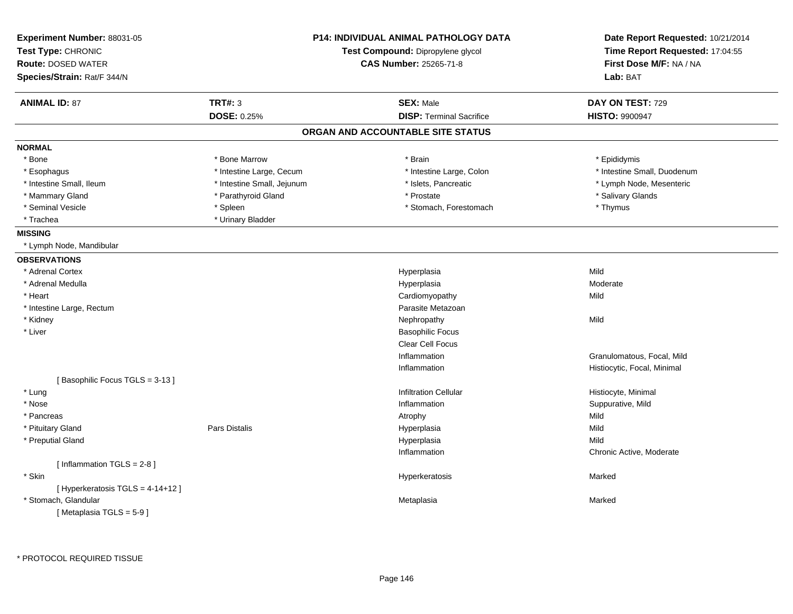| Experiment Number: 88031-05<br>Test Type: CHRONIC<br><b>Route: DOSED WATER</b><br>Species/Strain: Rat/F 344/N | <b>P14: INDIVIDUAL ANIMAL PATHOLOGY DATA</b><br>Test Compound: Dipropylene glycol<br><b>CAS Number: 25265-71-8</b> |                                   | Date Report Requested: 10/21/2014<br>Time Report Requested: 17:04:55<br>First Dose M/F: NA / NA<br>Lab: BAT |
|---------------------------------------------------------------------------------------------------------------|--------------------------------------------------------------------------------------------------------------------|-----------------------------------|-------------------------------------------------------------------------------------------------------------|
| <b>ANIMAL ID: 87</b>                                                                                          | <b>TRT#: 3</b>                                                                                                     | <b>SEX: Male</b>                  | DAY ON TEST: 729                                                                                            |
|                                                                                                               | DOSE: 0.25%                                                                                                        | <b>DISP: Terminal Sacrifice</b>   | <b>HISTO: 9900947</b>                                                                                       |
|                                                                                                               |                                                                                                                    | ORGAN AND ACCOUNTABLE SITE STATUS |                                                                                                             |
| <b>NORMAL</b>                                                                                                 |                                                                                                                    |                                   |                                                                                                             |
| * Bone                                                                                                        | * Bone Marrow                                                                                                      | * Brain                           | * Epididymis                                                                                                |
| * Esophagus                                                                                                   | * Intestine Large, Cecum                                                                                           | * Intestine Large, Colon          | * Intestine Small, Duodenum                                                                                 |
| * Intestine Small, Ileum                                                                                      | * Intestine Small, Jejunum                                                                                         | * Islets, Pancreatic              | * Lymph Node, Mesenteric                                                                                    |
| * Mammary Gland                                                                                               | * Parathyroid Gland                                                                                                | * Prostate                        | * Salivary Glands                                                                                           |
| * Seminal Vesicle                                                                                             | * Spleen                                                                                                           | * Stomach, Forestomach            | * Thymus                                                                                                    |
| * Trachea                                                                                                     | * Urinary Bladder                                                                                                  |                                   |                                                                                                             |
| <b>MISSING</b>                                                                                                |                                                                                                                    |                                   |                                                                                                             |
| * Lymph Node, Mandibular                                                                                      |                                                                                                                    |                                   |                                                                                                             |
| <b>OBSERVATIONS</b>                                                                                           |                                                                                                                    |                                   |                                                                                                             |
| * Adrenal Cortex                                                                                              |                                                                                                                    | Hyperplasia                       | Mild                                                                                                        |
| * Adrenal Medulla                                                                                             |                                                                                                                    | Hyperplasia                       | Moderate                                                                                                    |
| * Heart                                                                                                       |                                                                                                                    | Cardiomyopathy                    | Mild                                                                                                        |
| * Intestine Large, Rectum                                                                                     |                                                                                                                    | Parasite Metazoan                 |                                                                                                             |
| * Kidney                                                                                                      |                                                                                                                    | Nephropathy                       | Mild                                                                                                        |
| * Liver                                                                                                       |                                                                                                                    | <b>Basophilic Focus</b>           |                                                                                                             |
|                                                                                                               |                                                                                                                    | <b>Clear Cell Focus</b>           |                                                                                                             |
|                                                                                                               |                                                                                                                    | Inflammation                      | Granulomatous, Focal, Mild                                                                                  |
|                                                                                                               |                                                                                                                    | Inflammation                      | Histiocytic, Focal, Minimal                                                                                 |
| [Basophilic Focus TGLS = 3-13]                                                                                |                                                                                                                    |                                   |                                                                                                             |
| * Lung                                                                                                        |                                                                                                                    | <b>Infiltration Cellular</b>      | Histiocyte, Minimal                                                                                         |
| * Nose                                                                                                        |                                                                                                                    | Inflammation                      | Suppurative, Mild                                                                                           |
| * Pancreas                                                                                                    |                                                                                                                    | Atrophy                           | Mild                                                                                                        |
| * Pituitary Gland                                                                                             | <b>Pars Distalis</b>                                                                                               | Hyperplasia                       | Mild                                                                                                        |
| * Preputial Gland                                                                                             |                                                                                                                    | Hyperplasia                       | Mild                                                                                                        |
|                                                                                                               |                                                                                                                    | Inflammation                      | Chronic Active, Moderate                                                                                    |
| [Inflammation TGLS = 2-8]                                                                                     |                                                                                                                    |                                   |                                                                                                             |
| * Skin                                                                                                        |                                                                                                                    | Hyperkeratosis                    | Marked                                                                                                      |
| [ Hyperkeratosis TGLS = 4-14+12 ]                                                                             |                                                                                                                    |                                   |                                                                                                             |
| * Stomach, Glandular                                                                                          |                                                                                                                    | Metaplasia                        | Marked                                                                                                      |
| [Metaplasia TGLS = $5-9$ ]                                                                                    |                                                                                                                    |                                   |                                                                                                             |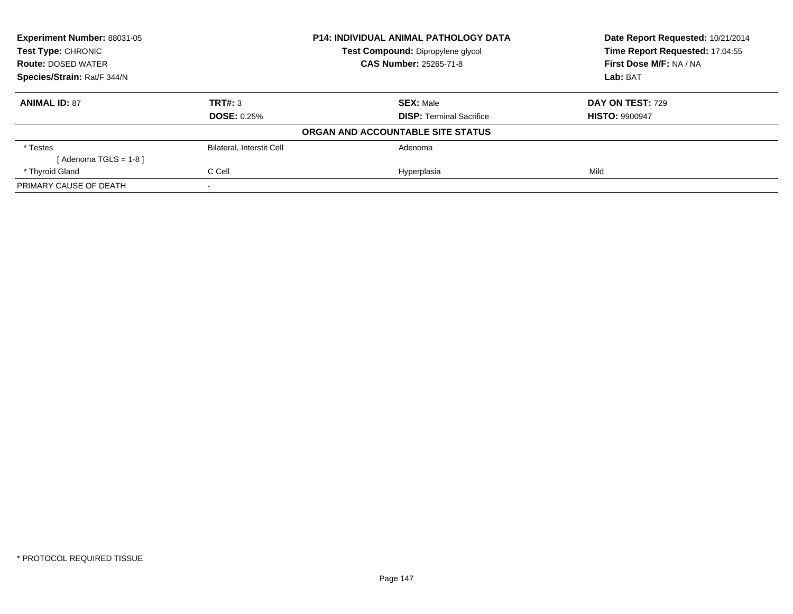| <b>Experiment Number: 88031-05</b> | <b>P14: INDIVIDUAL ANIMAL PATHOLOGY DATA</b> |                                   | Date Report Requested: 10/21/2014 |
|------------------------------------|----------------------------------------------|-----------------------------------|-----------------------------------|
| <b>Test Type: CHRONIC</b>          |                                              | Test Compound: Dipropylene glycol | Time Report Requested: 17:04:55   |
| <b>Route: DOSED WATER</b>          |                                              | <b>CAS Number: 25265-71-8</b>     | First Dose M/F: NA / NA           |
| Species/Strain: Rat/F 344/N        |                                              |                                   | Lab: BAT                          |
| <b>ANIMAL ID: 87</b>               | TRT#: 3                                      | <b>SEX: Male</b>                  | DAY ON TEST: 729                  |
|                                    | <b>DOSE: 0.25%</b>                           | <b>DISP: Terminal Sacrifice</b>   | <b>HISTO: 9900947</b>             |
|                                    |                                              | ORGAN AND ACCOUNTABLE SITE STATUS |                                   |
| * Testes                           | <b>Bilateral, Interstit Cell</b>             | Adenoma                           |                                   |
| $Adenoma TGLS = 1-8$               |                                              |                                   |                                   |
| * Thyroid Gland                    | C Cell                                       | Hyperplasia                       | Mild                              |
| PRIMARY CAUSE OF DEATH             |                                              |                                   |                                   |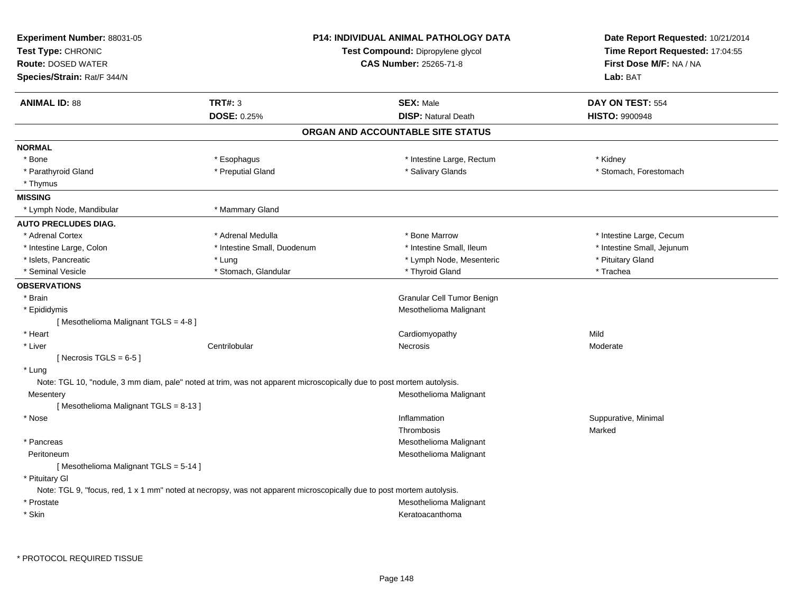| Experiment Number: 88031-05<br>Test Type: CHRONIC<br><b>Route: DOSED WATER</b><br>Species/Strain: Rat/F 344/N |                                                                                                                       | <b>P14: INDIVIDUAL ANIMAL PATHOLOGY DATA</b><br>Test Compound: Dipropylene glycol<br><b>CAS Number: 25265-71-8</b> | Date Report Requested: 10/21/2014<br>Time Report Requested: 17:04:55<br>First Dose M/F: NA / NA<br>Lab: BAT |
|---------------------------------------------------------------------------------------------------------------|-----------------------------------------------------------------------------------------------------------------------|--------------------------------------------------------------------------------------------------------------------|-------------------------------------------------------------------------------------------------------------|
| <b>ANIMAL ID: 88</b>                                                                                          | <b>TRT#: 3</b><br>DOSE: 0.25%                                                                                         | <b>SEX: Male</b><br><b>DISP: Natural Death</b>                                                                     | DAY ON TEST: 554<br><b>HISTO: 9900948</b>                                                                   |
|                                                                                                               |                                                                                                                       | ORGAN AND ACCOUNTABLE SITE STATUS                                                                                  |                                                                                                             |
| <b>NORMAL</b>                                                                                                 |                                                                                                                       |                                                                                                                    |                                                                                                             |
| * Bone                                                                                                        | * Esophagus                                                                                                           | * Intestine Large, Rectum                                                                                          | * Kidney                                                                                                    |
| * Parathyroid Gland                                                                                           | * Preputial Gland                                                                                                     | * Salivary Glands                                                                                                  | * Stomach, Forestomach                                                                                      |
| * Thymus                                                                                                      |                                                                                                                       |                                                                                                                    |                                                                                                             |
| <b>MISSING</b>                                                                                                |                                                                                                                       |                                                                                                                    |                                                                                                             |
| * Lymph Node, Mandibular                                                                                      | * Mammary Gland                                                                                                       |                                                                                                                    |                                                                                                             |
| <b>AUTO PRECLUDES DIAG.</b>                                                                                   |                                                                                                                       |                                                                                                                    |                                                                                                             |
| * Adrenal Cortex                                                                                              | * Adrenal Medulla                                                                                                     | * Bone Marrow                                                                                                      | * Intestine Large, Cecum                                                                                    |
| * Intestine Large, Colon                                                                                      | * Intestine Small, Duodenum                                                                                           | * Intestine Small, Ileum                                                                                           | * Intestine Small, Jejunum                                                                                  |
| * Islets, Pancreatic                                                                                          | * Lung                                                                                                                | * Lymph Node, Mesenteric                                                                                           | * Pituitary Gland                                                                                           |
| * Seminal Vesicle                                                                                             | * Stomach, Glandular                                                                                                  | * Thyroid Gland                                                                                                    | * Trachea                                                                                                   |
| <b>OBSERVATIONS</b>                                                                                           |                                                                                                                       |                                                                                                                    |                                                                                                             |
| * Brain                                                                                                       |                                                                                                                       | Granular Cell Tumor Benign                                                                                         |                                                                                                             |
| * Epididymis                                                                                                  |                                                                                                                       | Mesothelioma Malignant                                                                                             |                                                                                                             |
| [Mesothelioma Malignant TGLS = 4-8]                                                                           |                                                                                                                       |                                                                                                                    |                                                                                                             |
| * Heart                                                                                                       |                                                                                                                       | Cardiomyopathy                                                                                                     | Mild                                                                                                        |
| * Liver                                                                                                       | Centrilobular                                                                                                         | Necrosis                                                                                                           | Moderate                                                                                                    |
| [ Necrosis TGLS = $6-5$ ]                                                                                     |                                                                                                                       |                                                                                                                    |                                                                                                             |
| * Lung                                                                                                        |                                                                                                                       |                                                                                                                    |                                                                                                             |
|                                                                                                               | Note: TGL 10, "nodule, 3 mm diam, pale" noted at trim, was not apparent microscopically due to post mortem autolysis. |                                                                                                                    |                                                                                                             |
| Mesentery                                                                                                     |                                                                                                                       | Mesothelioma Malignant                                                                                             |                                                                                                             |
| [Mesothelioma Malignant TGLS = 8-13]                                                                          |                                                                                                                       |                                                                                                                    |                                                                                                             |
| * Nose                                                                                                        |                                                                                                                       | Inflammation                                                                                                       | Suppurative, Minimal                                                                                        |
|                                                                                                               |                                                                                                                       | Thrombosis                                                                                                         | Marked                                                                                                      |
| * Pancreas                                                                                                    |                                                                                                                       | Mesothelioma Malignant                                                                                             |                                                                                                             |
| Peritoneum                                                                                                    |                                                                                                                       | Mesothelioma Malignant                                                                                             |                                                                                                             |
| [Mesothelioma Malignant TGLS = 5-14]                                                                          |                                                                                                                       |                                                                                                                    |                                                                                                             |
| * Pituitary Gl                                                                                                |                                                                                                                       |                                                                                                                    |                                                                                                             |
|                                                                                                               | Note: TGL 9, "focus, red, 1 x 1 mm" noted at necropsy, was not apparent microscopically due to post mortem autolysis. |                                                                                                                    |                                                                                                             |
| * Prostate                                                                                                    |                                                                                                                       | Mesothelioma Malignant                                                                                             |                                                                                                             |
| * Skin                                                                                                        |                                                                                                                       | Keratoacanthoma                                                                                                    |                                                                                                             |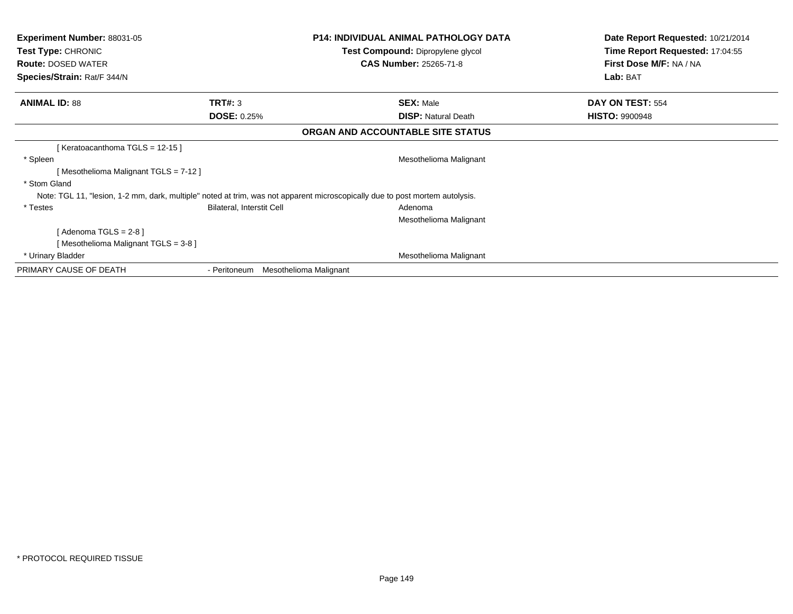| <b>Experiment Number: 88031-05</b><br><b>Test Type: CHRONIC</b><br><b>Route: DOSED WATER</b><br>Species/Strain: Rat/F 344/N |                                  | <b>P14: INDIVIDUAL ANIMAL PATHOLOGY DATA</b><br>Test Compound: Dipropylene glycol<br><b>CAS Number: 25265-71-8</b>           | Date Report Requested: 10/21/2014<br>Time Report Requested: 17:04:55<br>First Dose M/F: NA / NA<br>Lab: BAT |
|-----------------------------------------------------------------------------------------------------------------------------|----------------------------------|------------------------------------------------------------------------------------------------------------------------------|-------------------------------------------------------------------------------------------------------------|
| <b>ANIMAL ID: 88</b>                                                                                                        | TRT#: 3                          | <b>SEX: Male</b>                                                                                                             | DAY ON TEST: 554                                                                                            |
|                                                                                                                             | <b>DOSE: 0.25%</b>               | <b>DISP:</b> Natural Death                                                                                                   | <b>HISTO: 9900948</b>                                                                                       |
|                                                                                                                             |                                  | ORGAN AND ACCOUNTABLE SITE STATUS                                                                                            |                                                                                                             |
| [Keratoacanthoma TGLS = 12-15]                                                                                              |                                  |                                                                                                                              |                                                                                                             |
| * Spleen                                                                                                                    |                                  | Mesothelioma Malignant                                                                                                       |                                                                                                             |
| [Mesothelioma Malignant TGLS = 7-12]                                                                                        |                                  |                                                                                                                              |                                                                                                             |
| * Stom Gland                                                                                                                |                                  |                                                                                                                              |                                                                                                             |
|                                                                                                                             |                                  | Note: TGL 11, "lesion, 1-2 mm, dark, multiple" noted at trim, was not apparent microscopically due to post mortem autolysis. |                                                                                                             |
| * Testes                                                                                                                    | <b>Bilateral, Interstit Cell</b> | Adenoma                                                                                                                      |                                                                                                             |
|                                                                                                                             |                                  | Mesothelioma Malignant                                                                                                       |                                                                                                             |
| [Adenoma TGLS = $2-8$ ]                                                                                                     |                                  |                                                                                                                              |                                                                                                             |
| [Mesothelioma Malignant TGLS = 3-8]                                                                                         |                                  |                                                                                                                              |                                                                                                             |
| * Urinary Bladder                                                                                                           |                                  | Mesothelioma Malignant                                                                                                       |                                                                                                             |
| PRIMARY CAUSE OF DEATH                                                                                                      | - Peritoneum                     | Mesothelioma Malignant                                                                                                       |                                                                                                             |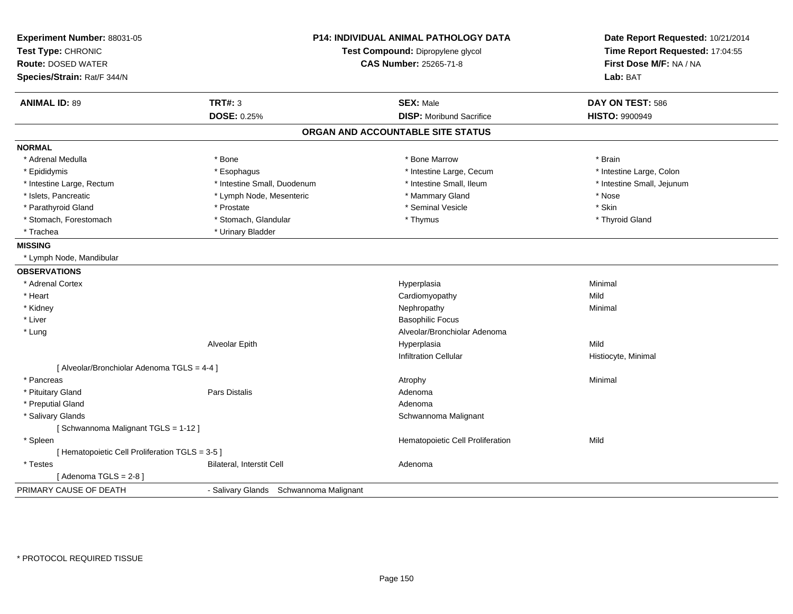| Experiment Number: 88031-05<br>Test Type: CHRONIC<br><b>Route: DOSED WATER</b><br>Species/Strain: Rat/F 344/N |                                        | <b>P14: INDIVIDUAL ANIMAL PATHOLOGY DATA</b><br>Test Compound: Dipropylene glycol<br><b>CAS Number: 25265-71-8</b> | Date Report Requested: 10/21/2014<br>Time Report Requested: 17:04:55<br>First Dose M/F: NA / NA<br>Lab: BAT |
|---------------------------------------------------------------------------------------------------------------|----------------------------------------|--------------------------------------------------------------------------------------------------------------------|-------------------------------------------------------------------------------------------------------------|
| <b>ANIMAL ID: 89</b>                                                                                          | <b>TRT#: 3</b>                         | <b>SEX: Male</b>                                                                                                   | DAY ON TEST: 586                                                                                            |
|                                                                                                               | DOSE: 0.25%                            | <b>DISP: Moribund Sacrifice</b>                                                                                    | <b>HISTO: 9900949</b>                                                                                       |
|                                                                                                               |                                        | ORGAN AND ACCOUNTABLE SITE STATUS                                                                                  |                                                                                                             |
| <b>NORMAL</b>                                                                                                 |                                        |                                                                                                                    |                                                                                                             |
| * Adrenal Medulla                                                                                             | * Bone                                 | * Bone Marrow                                                                                                      | * Brain                                                                                                     |
| * Epididymis                                                                                                  | * Esophagus                            | * Intestine Large, Cecum                                                                                           | * Intestine Large, Colon                                                                                    |
| * Intestine Large, Rectum                                                                                     | * Intestine Small, Duodenum            | * Intestine Small, Ileum                                                                                           | * Intestine Small, Jejunum                                                                                  |
| * Islets, Pancreatic                                                                                          | * Lymph Node, Mesenteric               | * Mammary Gland                                                                                                    | * Nose                                                                                                      |
| * Parathyroid Gland                                                                                           | * Prostate                             | * Seminal Vesicle                                                                                                  | * Skin                                                                                                      |
| * Stomach, Forestomach                                                                                        | * Stomach, Glandular                   | * Thymus                                                                                                           | * Thyroid Gland                                                                                             |
| * Trachea                                                                                                     | * Urinary Bladder                      |                                                                                                                    |                                                                                                             |
| <b>MISSING</b>                                                                                                |                                        |                                                                                                                    |                                                                                                             |
| * Lymph Node, Mandibular                                                                                      |                                        |                                                                                                                    |                                                                                                             |
| <b>OBSERVATIONS</b>                                                                                           |                                        |                                                                                                                    |                                                                                                             |
| * Adrenal Cortex                                                                                              |                                        | Hyperplasia                                                                                                        | Minimal                                                                                                     |
| * Heart                                                                                                       |                                        | Cardiomyopathy                                                                                                     | Mild                                                                                                        |
| * Kidney                                                                                                      |                                        | Nephropathy                                                                                                        | Minimal                                                                                                     |
| * Liver                                                                                                       |                                        | <b>Basophilic Focus</b>                                                                                            |                                                                                                             |
| * Lung                                                                                                        |                                        | Alveolar/Bronchiolar Adenoma                                                                                       |                                                                                                             |
|                                                                                                               | Alveolar Epith                         | Hyperplasia                                                                                                        | Mild                                                                                                        |
|                                                                                                               |                                        | <b>Infiltration Cellular</b>                                                                                       | Histiocyte, Minimal                                                                                         |
| [ Alveolar/Bronchiolar Adenoma TGLS = 4-4 ]                                                                   |                                        |                                                                                                                    |                                                                                                             |
| * Pancreas                                                                                                    |                                        | Atrophy                                                                                                            | Minimal                                                                                                     |
| * Pituitary Gland                                                                                             | <b>Pars Distalis</b>                   | Adenoma                                                                                                            |                                                                                                             |
| * Preputial Gland                                                                                             |                                        | Adenoma                                                                                                            |                                                                                                             |
| * Salivary Glands                                                                                             |                                        | Schwannoma Malignant                                                                                               |                                                                                                             |
| [Schwannoma Malignant TGLS = 1-12]                                                                            |                                        |                                                                                                                    |                                                                                                             |
| * Spleen                                                                                                      |                                        | Hematopoietic Cell Proliferation                                                                                   | Mild                                                                                                        |
| [ Hematopoietic Cell Proliferation TGLS = 3-5 ]                                                               |                                        |                                                                                                                    |                                                                                                             |
| * Testes                                                                                                      | Bilateral, Interstit Cell              | Adenoma                                                                                                            |                                                                                                             |
| [Adenoma TGLS = $2-8$ ]                                                                                       |                                        |                                                                                                                    |                                                                                                             |
| PRIMARY CAUSE OF DEATH                                                                                        | - Salivary Glands Schwannoma Malignant |                                                                                                                    |                                                                                                             |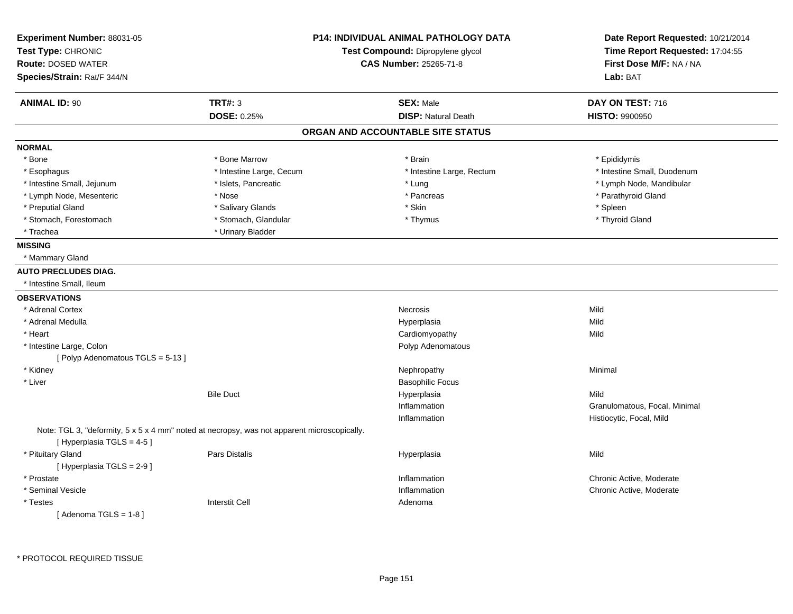| Experiment Number: 88031-05<br>Test Type: CHRONIC<br><b>Route: DOSED WATER</b> |                                                                                             | <b>P14: INDIVIDUAL ANIMAL PATHOLOGY DATA</b><br>Test Compound: Dipropylene glycol<br><b>CAS Number: 25265-71-8</b> | Date Report Requested: 10/21/2014<br>Time Report Requested: 17:04:55 |  |
|--------------------------------------------------------------------------------|---------------------------------------------------------------------------------------------|--------------------------------------------------------------------------------------------------------------------|----------------------------------------------------------------------|--|
| Species/Strain: Rat/F 344/N                                                    |                                                                                             |                                                                                                                    | First Dose M/F: NA / NA<br>Lab: BAT                                  |  |
| <b>ANIMAL ID: 90</b>                                                           | <b>TRT#: 3</b>                                                                              | <b>SEX: Male</b>                                                                                                   | DAY ON TEST: 716                                                     |  |
|                                                                                | <b>DOSE: 0.25%</b>                                                                          | <b>DISP: Natural Death</b>                                                                                         | <b>HISTO: 9900950</b>                                                |  |
|                                                                                |                                                                                             | ORGAN AND ACCOUNTABLE SITE STATUS                                                                                  |                                                                      |  |
| <b>NORMAL</b>                                                                  |                                                                                             |                                                                                                                    |                                                                      |  |
| * Bone                                                                         | * Bone Marrow                                                                               | * Brain                                                                                                            | * Epididymis                                                         |  |
| * Esophagus                                                                    | * Intestine Large, Cecum                                                                    | * Intestine Large, Rectum                                                                                          | * Intestine Small, Duodenum                                          |  |
| * Intestine Small, Jejunum                                                     | * Islets, Pancreatic                                                                        | * Lung                                                                                                             | * Lymph Node, Mandibular                                             |  |
| * Lymph Node, Mesenteric                                                       | * Nose                                                                                      | * Pancreas                                                                                                         | * Parathyroid Gland                                                  |  |
| * Preputial Gland                                                              | * Salivary Glands                                                                           | * Skin                                                                                                             | * Spleen                                                             |  |
| * Stomach, Forestomach                                                         | * Stomach, Glandular                                                                        | * Thymus                                                                                                           | * Thyroid Gland                                                      |  |
| * Trachea                                                                      | * Urinary Bladder                                                                           |                                                                                                                    |                                                                      |  |
| <b>MISSING</b>                                                                 |                                                                                             |                                                                                                                    |                                                                      |  |
| * Mammary Gland                                                                |                                                                                             |                                                                                                                    |                                                                      |  |
| <b>AUTO PRECLUDES DIAG.</b>                                                    |                                                                                             |                                                                                                                    |                                                                      |  |
| * Intestine Small, Ileum                                                       |                                                                                             |                                                                                                                    |                                                                      |  |
| <b>OBSERVATIONS</b>                                                            |                                                                                             |                                                                                                                    |                                                                      |  |
| * Adrenal Cortex                                                               |                                                                                             | Necrosis                                                                                                           | Mild                                                                 |  |
| * Adrenal Medulla                                                              |                                                                                             | Hyperplasia                                                                                                        | Mild                                                                 |  |
| * Heart                                                                        |                                                                                             | Cardiomyopathy                                                                                                     | Mild                                                                 |  |
| * Intestine Large, Colon                                                       |                                                                                             | Polyp Adenomatous                                                                                                  |                                                                      |  |
| [ Polyp Adenomatous $TGLS = 5-13$ ]                                            |                                                                                             |                                                                                                                    |                                                                      |  |
| * Kidney                                                                       |                                                                                             | Nephropathy                                                                                                        | Minimal                                                              |  |
| * Liver                                                                        |                                                                                             | <b>Basophilic Focus</b>                                                                                            |                                                                      |  |
|                                                                                | <b>Bile Duct</b>                                                                            | Hyperplasia                                                                                                        | Mild                                                                 |  |
|                                                                                |                                                                                             | Inflammation                                                                                                       | Granulomatous, Focal, Minimal                                        |  |
|                                                                                |                                                                                             | Inflammation                                                                                                       | Histiocytic, Focal, Mild                                             |  |
| [Hyperplasia TGLS = 4-5]                                                       | Note: TGL 3, "deformity, 5 x 5 x 4 mm" noted at necropsy, was not apparent microscopically. |                                                                                                                    |                                                                      |  |
| * Pituitary Gland<br>[ Hyperplasia TGLS = 2-9 ]                                | <b>Pars Distalis</b>                                                                        | Hyperplasia                                                                                                        | Mild                                                                 |  |
| * Prostate                                                                     |                                                                                             | Inflammation                                                                                                       | Chronic Active, Moderate                                             |  |
| * Seminal Vesicle                                                              |                                                                                             | Inflammation                                                                                                       | Chronic Active, Moderate                                             |  |
| * Testes                                                                       | <b>Interstit Cell</b>                                                                       | Adenoma                                                                                                            |                                                                      |  |
| [Adenoma TGLS = $1-8$ ]                                                        |                                                                                             |                                                                                                                    |                                                                      |  |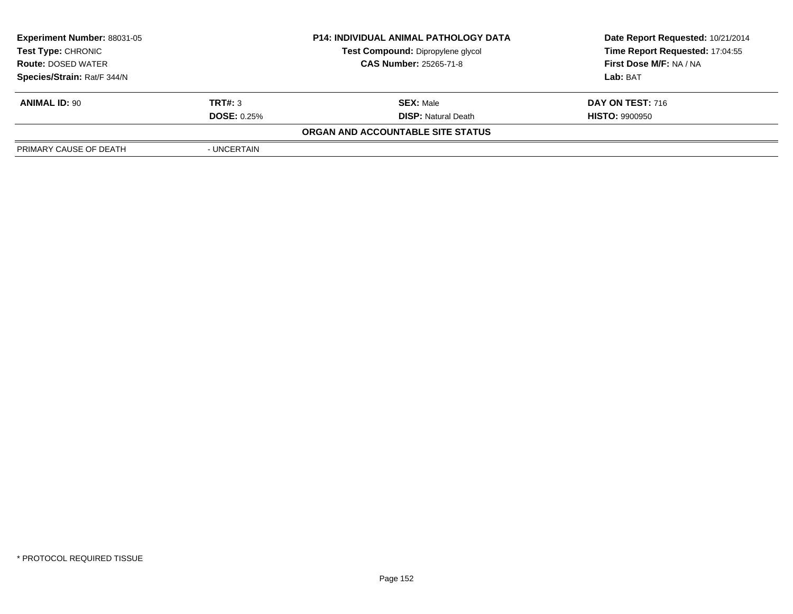| <b>Experiment Number: 88031-05</b> |                               | <b>P14: INDIVIDUAL ANIMAL PATHOLOGY DATA</b> | Date Report Requested: 10/21/2014 |
|------------------------------------|-------------------------------|----------------------------------------------|-----------------------------------|
| <b>Test Type: CHRONIC</b>          |                               | <b>Test Compound: Dipropylene glycol</b>     | Time Report Requested: 17:04:55   |
| <b>Route: DOSED WATER</b>          | <b>CAS Number: 25265-71-8</b> |                                              | First Dose M/F: NA / NA           |
| Species/Strain: Rat/F 344/N        |                               |                                              | Lab: BAT                          |
| <b>ANIMAL ID: 90</b>               | TRT#: 3                       | <b>SEX: Male</b>                             | <b>DAY ON TEST: 716</b>           |
|                                    | <b>DOSE: 0.25%</b>            | <b>DISP:</b> Natural Death                   | <b>HISTO: 9900950</b>             |
|                                    |                               | ORGAN AND ACCOUNTABLE SITE STATUS            |                                   |
| PRIMARY CAUSE OF DEATH             | - UNCERTAIN                   |                                              |                                   |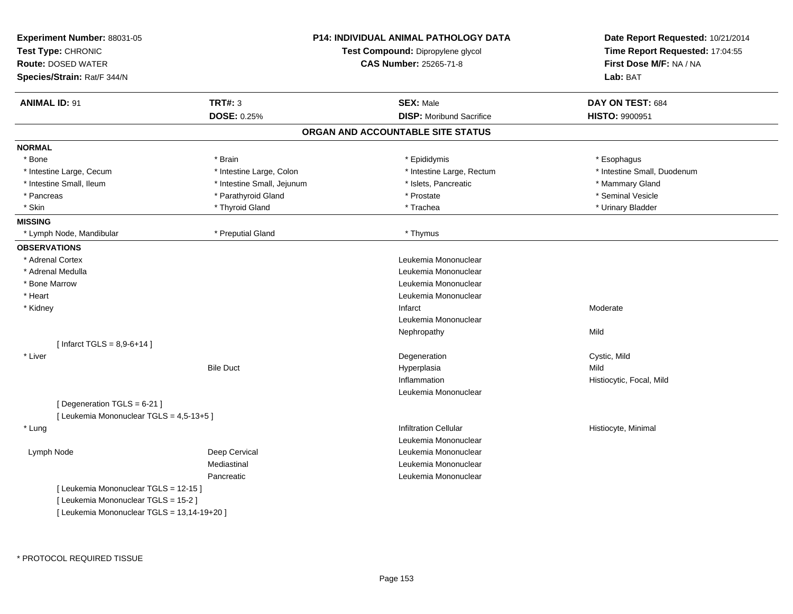| Experiment Number: 88031-05<br>Test Type: CHRONIC<br><b>Route: DOSED WATER</b><br>Species/Strain: Rat/F 344/N |                            | P14: INDIVIDUAL ANIMAL PATHOLOGY DATA<br>Test Compound: Dipropylene glycol<br><b>CAS Number: 25265-71-8</b> | Date Report Requested: 10/21/2014<br>Time Report Requested: 17:04:55<br>First Dose M/F: NA / NA<br>Lab: BAT |
|---------------------------------------------------------------------------------------------------------------|----------------------------|-------------------------------------------------------------------------------------------------------------|-------------------------------------------------------------------------------------------------------------|
| <b>ANIMAL ID: 91</b>                                                                                          | <b>TRT#: 3</b>             | <b>SEX: Male</b>                                                                                            | DAY ON TEST: 684                                                                                            |
|                                                                                                               | <b>DOSE: 0.25%</b>         | <b>DISP:</b> Moribund Sacrifice                                                                             | HISTO: 9900951                                                                                              |
|                                                                                                               |                            | ORGAN AND ACCOUNTABLE SITE STATUS                                                                           |                                                                                                             |
| <b>NORMAL</b>                                                                                                 |                            |                                                                                                             |                                                                                                             |
| * Bone                                                                                                        | * Brain                    | * Epididymis                                                                                                | * Esophagus                                                                                                 |
| * Intestine Large, Cecum                                                                                      | * Intestine Large, Colon   | * Intestine Large, Rectum                                                                                   | * Intestine Small, Duodenum                                                                                 |
| * Intestine Small, Ileum                                                                                      | * Intestine Small, Jejunum | * Islets, Pancreatic                                                                                        | * Mammary Gland                                                                                             |
| * Pancreas                                                                                                    | * Parathyroid Gland        | * Prostate                                                                                                  | * Seminal Vesicle                                                                                           |
| * Skin                                                                                                        | * Thyroid Gland            | * Trachea                                                                                                   | * Urinary Bladder                                                                                           |
| <b>MISSING</b>                                                                                                |                            |                                                                                                             |                                                                                                             |
| * Lymph Node, Mandibular                                                                                      | * Preputial Gland          | * Thymus                                                                                                    |                                                                                                             |
| <b>OBSERVATIONS</b>                                                                                           |                            |                                                                                                             |                                                                                                             |
| * Adrenal Cortex                                                                                              |                            | Leukemia Mononuclear                                                                                        |                                                                                                             |
| * Adrenal Medulla                                                                                             |                            | Leukemia Mononuclear                                                                                        |                                                                                                             |
| * Bone Marrow                                                                                                 |                            | Leukemia Mononuclear                                                                                        |                                                                                                             |
| * Heart                                                                                                       |                            | Leukemia Mononuclear                                                                                        |                                                                                                             |
| * Kidney                                                                                                      |                            | Infarct                                                                                                     | Moderate                                                                                                    |
|                                                                                                               |                            | Leukemia Mononuclear                                                                                        |                                                                                                             |
|                                                                                                               |                            | Nephropathy                                                                                                 | Mild                                                                                                        |
| [ Infarct TGLS = $8,9-6+14$ ]                                                                                 |                            |                                                                                                             |                                                                                                             |
| * Liver                                                                                                       |                            | Degeneration                                                                                                | Cystic, Mild                                                                                                |
|                                                                                                               | <b>Bile Duct</b>           | Hyperplasia                                                                                                 | Mild                                                                                                        |
|                                                                                                               |                            | Inflammation                                                                                                | Histiocytic, Focal, Mild                                                                                    |
|                                                                                                               |                            | Leukemia Mononuclear                                                                                        |                                                                                                             |
| [ Degeneration TGLS = 6-21 ]                                                                                  |                            |                                                                                                             |                                                                                                             |
| [ Leukemia Mononuclear TGLS = 4,5-13+5 ]                                                                      |                            |                                                                                                             |                                                                                                             |
| * Lung                                                                                                        |                            | <b>Infiltration Cellular</b>                                                                                | Histiocyte, Minimal                                                                                         |
|                                                                                                               |                            | Leukemia Mononuclear                                                                                        |                                                                                                             |
| Lymph Node                                                                                                    | Deep Cervical              | Leukemia Mononuclear                                                                                        |                                                                                                             |
|                                                                                                               | Mediastinal                | Leukemia Mononuclear                                                                                        |                                                                                                             |
|                                                                                                               | Pancreatic                 | Leukemia Mononuclear                                                                                        |                                                                                                             |
| [ Leukemia Mononuclear TGLS = 12-15 ]                                                                         |                            |                                                                                                             |                                                                                                             |
| [ Leukemia Mononuclear TGLS = 15-2 ]                                                                          |                            |                                                                                                             |                                                                                                             |
| [ Leukemia Mononuclear TGLS = 13,14-19+20 ]                                                                   |                            |                                                                                                             |                                                                                                             |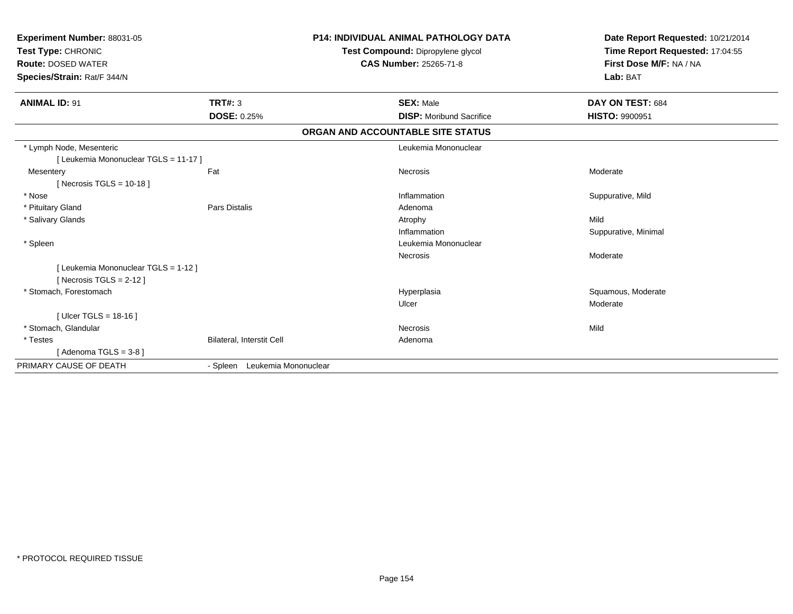| Experiment Number: 88031-05<br>Test Type: CHRONIC<br><b>Route: DOSED WATER</b><br>Species/Strain: Rat/F 344/N |                               | <b>P14: INDIVIDUAL ANIMAL PATHOLOGY DATA</b><br>Test Compound: Dipropylene glycol<br><b>CAS Number: 25265-71-8</b> | Date Report Requested: 10/21/2014<br>Time Report Requested: 17:04:55<br>First Dose M/F: NA / NA<br>Lab: BAT |
|---------------------------------------------------------------------------------------------------------------|-------------------------------|--------------------------------------------------------------------------------------------------------------------|-------------------------------------------------------------------------------------------------------------|
| <b>ANIMAL ID: 91</b>                                                                                          | <b>TRT#: 3</b>                | <b>SEX: Male</b>                                                                                                   | DAY ON TEST: 684                                                                                            |
|                                                                                                               | <b>DOSE: 0.25%</b>            | <b>DISP:</b> Moribund Sacrifice                                                                                    | <b>HISTO: 9900951</b>                                                                                       |
|                                                                                                               |                               | ORGAN AND ACCOUNTABLE SITE STATUS                                                                                  |                                                                                                             |
| * Lymph Node, Mesenteric                                                                                      |                               | Leukemia Mononuclear                                                                                               |                                                                                                             |
| [ Leukemia Mononuclear TGLS = 11-17 ]                                                                         |                               |                                                                                                                    |                                                                                                             |
| Mesentery                                                                                                     | Fat                           | Necrosis                                                                                                           | Moderate                                                                                                    |
| [Necrosis TGLS = $10-18$ ]                                                                                    |                               |                                                                                                                    |                                                                                                             |
| * Nose                                                                                                        |                               | Inflammation                                                                                                       | Suppurative, Mild                                                                                           |
| * Pituitary Gland                                                                                             | Pars Distalis                 | Adenoma                                                                                                            |                                                                                                             |
| * Salivary Glands                                                                                             |                               | Atrophy                                                                                                            | Mild                                                                                                        |
|                                                                                                               |                               | Inflammation                                                                                                       | Suppurative, Minimal                                                                                        |
| * Spleen                                                                                                      |                               | Leukemia Mononuclear                                                                                               |                                                                                                             |
|                                                                                                               |                               | Necrosis                                                                                                           | Moderate                                                                                                    |
| [ Leukemia Mononuclear TGLS = 1-12 ]                                                                          |                               |                                                                                                                    |                                                                                                             |
| [ Necrosis TGLS = $2-12$ ]                                                                                    |                               |                                                                                                                    |                                                                                                             |
| * Stomach, Forestomach                                                                                        |                               | Hyperplasia                                                                                                        | Squamous, Moderate                                                                                          |
|                                                                                                               |                               | Ulcer                                                                                                              | Moderate                                                                                                    |
| [ Ulcer TGLS = $18-16$ ]                                                                                      |                               |                                                                                                                    |                                                                                                             |
| * Stomach, Glandular                                                                                          |                               | <b>Necrosis</b>                                                                                                    | Mild                                                                                                        |
| * Testes                                                                                                      | Bilateral, Interstit Cell     | Adenoma                                                                                                            |                                                                                                             |
| [ Adenoma TGLS = 3-8 ]                                                                                        |                               |                                                                                                                    |                                                                                                             |
| PRIMARY CAUSE OF DEATH                                                                                        | - Spleen Leukemia Mononuclear |                                                                                                                    |                                                                                                             |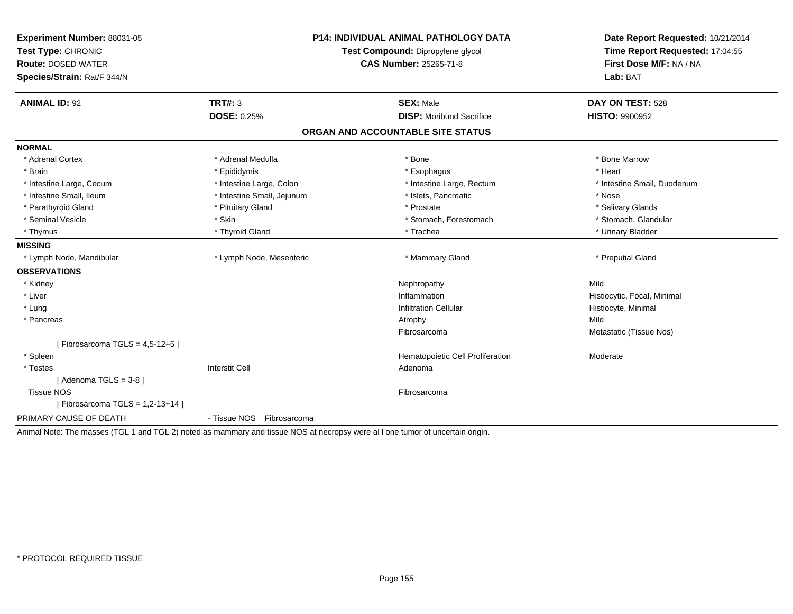| Experiment Number: 88031-05                                                                                                   | <b>P14: INDIVIDUAL ANIMAL PATHOLOGY DATA</b><br>Test Compound: Dipropylene glycol |                                   | Date Report Requested: 10/21/2014 |  |
|-------------------------------------------------------------------------------------------------------------------------------|-----------------------------------------------------------------------------------|-----------------------------------|-----------------------------------|--|
| Test Type: CHRONIC                                                                                                            |                                                                                   |                                   | Time Report Requested: 17:04:55   |  |
| <b>Route: DOSED WATER</b>                                                                                                     |                                                                                   | <b>CAS Number: 25265-71-8</b>     | First Dose M/F: NA / NA           |  |
| Species/Strain: Rat/F 344/N                                                                                                   |                                                                                   |                                   | Lab: BAT                          |  |
| <b>ANIMAL ID: 92</b>                                                                                                          | <b>TRT#: 3</b>                                                                    | <b>SEX: Male</b>                  | DAY ON TEST: 528                  |  |
|                                                                                                                               | <b>DOSE: 0.25%</b>                                                                | <b>DISP:</b> Moribund Sacrifice   | <b>HISTO: 9900952</b>             |  |
|                                                                                                                               |                                                                                   | ORGAN AND ACCOUNTABLE SITE STATUS |                                   |  |
| <b>NORMAL</b>                                                                                                                 |                                                                                   |                                   |                                   |  |
| * Adrenal Cortex                                                                                                              | * Adrenal Medulla                                                                 | * Bone                            | * Bone Marrow                     |  |
| * Brain                                                                                                                       | * Epididymis                                                                      | * Esophagus                       | * Heart                           |  |
| * Intestine Large, Cecum                                                                                                      | * Intestine Large, Colon                                                          | * Intestine Large, Rectum         | * Intestine Small, Duodenum       |  |
| * Intestine Small, Ileum                                                                                                      | * Intestine Small, Jejunum                                                        | * Islets, Pancreatic              | * Nose                            |  |
| * Parathyroid Gland                                                                                                           | * Pituitary Gland                                                                 | * Prostate                        | * Salivary Glands                 |  |
| * Seminal Vesicle                                                                                                             | * Skin                                                                            | * Stomach, Forestomach            | * Stomach, Glandular              |  |
| * Thymus                                                                                                                      | * Thyroid Gland                                                                   | * Trachea                         | * Urinary Bladder                 |  |
| <b>MISSING</b>                                                                                                                |                                                                                   |                                   |                                   |  |
| * Lymph Node, Mandibular                                                                                                      | * Lymph Node, Mesenteric                                                          | * Mammary Gland                   | * Preputial Gland                 |  |
| <b>OBSERVATIONS</b>                                                                                                           |                                                                                   |                                   |                                   |  |
| * Kidney                                                                                                                      |                                                                                   | Nephropathy                       | Mild                              |  |
| * Liver                                                                                                                       |                                                                                   | Inflammation                      | Histiocytic, Focal, Minimal       |  |
| * Lung                                                                                                                        |                                                                                   | <b>Infiltration Cellular</b>      | Histiocyte, Minimal               |  |
| * Pancreas                                                                                                                    |                                                                                   | Atrophy                           | Mild                              |  |
|                                                                                                                               |                                                                                   | Fibrosarcoma                      | Metastatic (Tissue Nos)           |  |
| [Fibrosarcoma TGLS = $4,5-12+5$ ]                                                                                             |                                                                                   |                                   |                                   |  |
| * Spleen                                                                                                                      |                                                                                   | Hematopoietic Cell Proliferation  | Moderate                          |  |
| * Testes                                                                                                                      | <b>Interstit Cell</b>                                                             | Adenoma                           |                                   |  |
| [Adenoma TGLS = $3-8$ ]                                                                                                       |                                                                                   |                                   |                                   |  |
| <b>Tissue NOS</b>                                                                                                             |                                                                                   | Fibrosarcoma                      |                                   |  |
| [Fibrosarcoma TGLS = $1,2-13+14$ ]                                                                                            |                                                                                   |                                   |                                   |  |
| PRIMARY CAUSE OF DEATH                                                                                                        | - Tissue NOS Fibrosarcoma                                                         |                                   |                                   |  |
| Animal Note: The masses (TGL 1 and TGL 2) noted as mammary and tissue NOS at necropsy were all one tumor of uncertain origin. |                                                                                   |                                   |                                   |  |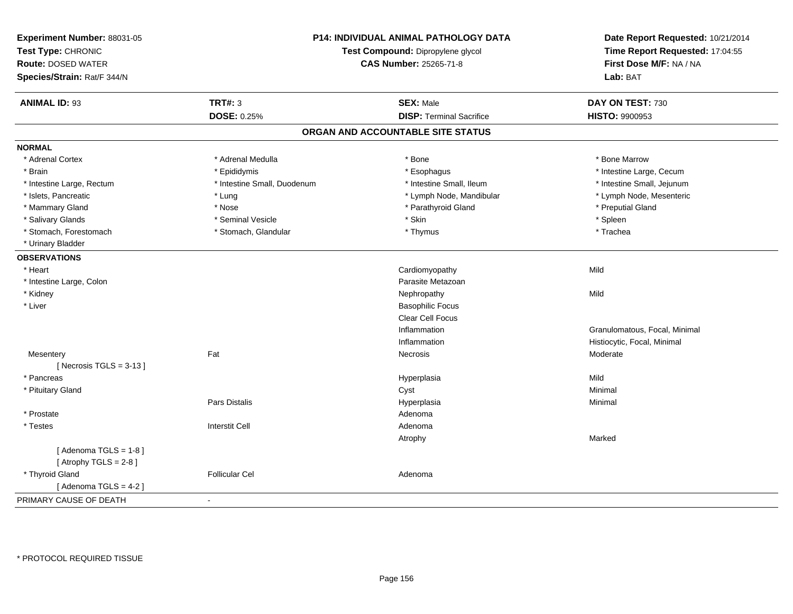| Experiment Number: 88031-05<br>Test Type: CHRONIC<br><b>Route: DOSED WATER</b><br>Species/Strain: Rat/F 344/N | <b>P14: INDIVIDUAL ANIMAL PATHOLOGY DATA</b><br>Test Compound: Dipropylene glycol<br>CAS Number: 25265-71-8 |                                   | Date Report Requested: 10/21/2014<br>Time Report Requested: 17:04:55<br>First Dose M/F: NA / NA<br>Lab: BAT |
|---------------------------------------------------------------------------------------------------------------|-------------------------------------------------------------------------------------------------------------|-----------------------------------|-------------------------------------------------------------------------------------------------------------|
| <b>ANIMAL ID: 93</b>                                                                                          | <b>TRT#: 3</b>                                                                                              | <b>SEX: Male</b>                  | DAY ON TEST: 730                                                                                            |
|                                                                                                               | DOSE: 0.25%                                                                                                 | <b>DISP: Terminal Sacrifice</b>   | HISTO: 9900953                                                                                              |
|                                                                                                               |                                                                                                             | ORGAN AND ACCOUNTABLE SITE STATUS |                                                                                                             |
| <b>NORMAL</b>                                                                                                 |                                                                                                             |                                   |                                                                                                             |
| * Adrenal Cortex                                                                                              | * Adrenal Medulla                                                                                           | * Bone                            | * Bone Marrow                                                                                               |
| * Brain                                                                                                       | * Epididymis                                                                                                | * Esophagus                       | * Intestine Large, Cecum                                                                                    |
| * Intestine Large, Rectum                                                                                     | * Intestine Small, Duodenum                                                                                 | * Intestine Small, Ileum          | * Intestine Small, Jejunum                                                                                  |
| * Islets, Pancreatic                                                                                          | * Lung                                                                                                      | * Lymph Node, Mandibular          | * Lymph Node, Mesenteric                                                                                    |
| * Mammary Gland                                                                                               | * Nose                                                                                                      | * Parathyroid Gland               | * Preputial Gland                                                                                           |
| * Salivary Glands                                                                                             | * Seminal Vesicle                                                                                           | * Skin                            | $*$ Spleen                                                                                                  |
| * Stomach, Forestomach                                                                                        | * Stomach, Glandular                                                                                        | * Thymus                          | * Trachea                                                                                                   |
| * Urinary Bladder                                                                                             |                                                                                                             |                                   |                                                                                                             |
| <b>OBSERVATIONS</b>                                                                                           |                                                                                                             |                                   |                                                                                                             |
| * Heart                                                                                                       |                                                                                                             | Cardiomyopathy                    | Mild                                                                                                        |
| * Intestine Large, Colon                                                                                      |                                                                                                             | Parasite Metazoan                 |                                                                                                             |
| * Kidney                                                                                                      |                                                                                                             | Nephropathy                       | Mild                                                                                                        |
| * Liver                                                                                                       |                                                                                                             | <b>Basophilic Focus</b>           |                                                                                                             |
|                                                                                                               |                                                                                                             | Clear Cell Focus                  |                                                                                                             |
|                                                                                                               |                                                                                                             | Inflammation                      | Granulomatous, Focal, Minimal                                                                               |
|                                                                                                               |                                                                                                             | Inflammation                      | Histiocytic, Focal, Minimal                                                                                 |
| Mesentery                                                                                                     | Fat                                                                                                         | Necrosis                          | Moderate                                                                                                    |
| [Necrosis TGLS = $3-13$ ]                                                                                     |                                                                                                             |                                   |                                                                                                             |
| * Pancreas                                                                                                    |                                                                                                             | Hyperplasia                       | Mild                                                                                                        |
| * Pituitary Gland                                                                                             |                                                                                                             | Cyst                              | Minimal                                                                                                     |
|                                                                                                               | Pars Distalis                                                                                               | Hyperplasia                       | Minimal                                                                                                     |
| * Prostate                                                                                                    |                                                                                                             | Adenoma                           |                                                                                                             |
| * Testes                                                                                                      | <b>Interstit Cell</b>                                                                                       | Adenoma                           |                                                                                                             |
|                                                                                                               |                                                                                                             | Atrophy                           | Marked                                                                                                      |
| [Adenoma TGLS = $1-8$ ]                                                                                       |                                                                                                             |                                   |                                                                                                             |
| [Atrophy TGLS = $2-8$ ]                                                                                       |                                                                                                             |                                   |                                                                                                             |
| * Thyroid Gland                                                                                               | <b>Follicular Cel</b>                                                                                       | Adenoma                           |                                                                                                             |
| [Adenoma TGLS = $4-2$ ]                                                                                       |                                                                                                             |                                   |                                                                                                             |
| PRIMARY CAUSE OF DEATH                                                                                        |                                                                                                             |                                   |                                                                                                             |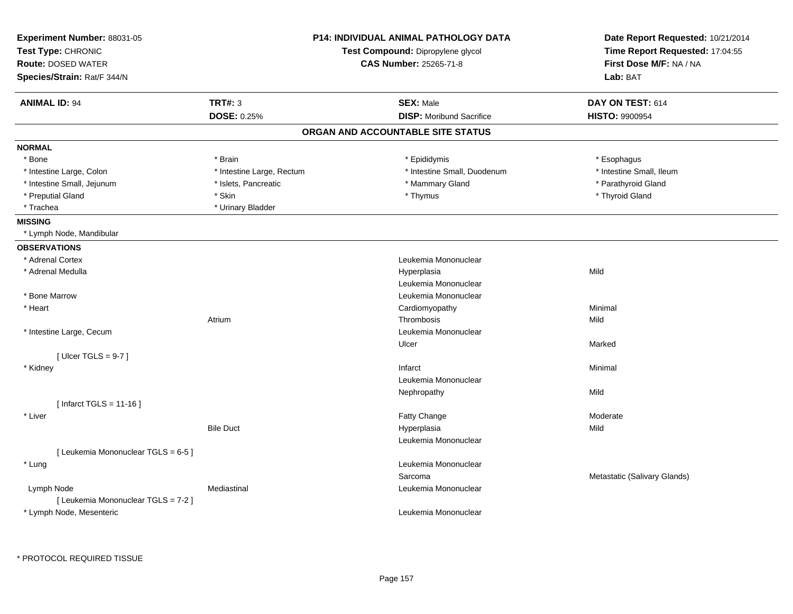| Experiment Number: 88031-05<br>Test Type: CHRONIC<br><b>Route: DOSED WATER</b><br>Species/Strain: Rat/F 344/N | <b>P14: INDIVIDUAL ANIMAL PATHOLOGY DATA</b><br>Test Compound: Dipropylene glycol<br><b>CAS Number: 25265-71-8</b><br><b>TRT#: 3</b><br><b>SEX: Male</b><br><b>DISP:</b> Moribund Sacrifice<br>DOSE: 0.25% |                                   | Date Report Requested: 10/21/2014<br>Time Report Requested: 17:04:55<br>First Dose M/F: NA / NA<br>Lab: BAT<br>DAY ON TEST: 614<br><b>HISTO: 9900954</b> |
|---------------------------------------------------------------------------------------------------------------|------------------------------------------------------------------------------------------------------------------------------------------------------------------------------------------------------------|-----------------------------------|----------------------------------------------------------------------------------------------------------------------------------------------------------|
| <b>ANIMAL ID: 94</b>                                                                                          |                                                                                                                                                                                                            |                                   |                                                                                                                                                          |
|                                                                                                               |                                                                                                                                                                                                            | ORGAN AND ACCOUNTABLE SITE STATUS |                                                                                                                                                          |
| <b>NORMAL</b>                                                                                                 |                                                                                                                                                                                                            |                                   |                                                                                                                                                          |
| * Bone                                                                                                        | * Brain                                                                                                                                                                                                    | * Epididymis                      | * Esophagus                                                                                                                                              |
| * Intestine Large, Colon                                                                                      | * Intestine Large, Rectum                                                                                                                                                                                  | * Intestine Small, Duodenum       | * Intestine Small, Ileum                                                                                                                                 |
| * Intestine Small, Jejunum                                                                                    | * Islets, Pancreatic                                                                                                                                                                                       | * Mammary Gland                   | * Parathyroid Gland                                                                                                                                      |
| * Preputial Gland                                                                                             | * Skin                                                                                                                                                                                                     | * Thymus                          | * Thyroid Gland                                                                                                                                          |
| * Trachea                                                                                                     | * Urinary Bladder                                                                                                                                                                                          |                                   |                                                                                                                                                          |
| <b>MISSING</b>                                                                                                |                                                                                                                                                                                                            |                                   |                                                                                                                                                          |
| * Lymph Node, Mandibular                                                                                      |                                                                                                                                                                                                            |                                   |                                                                                                                                                          |
| <b>OBSERVATIONS</b>                                                                                           |                                                                                                                                                                                                            |                                   |                                                                                                                                                          |
| * Adrenal Cortex                                                                                              |                                                                                                                                                                                                            | Leukemia Mononuclear              |                                                                                                                                                          |
| * Adrenal Medulla                                                                                             |                                                                                                                                                                                                            | Hyperplasia                       | Mild                                                                                                                                                     |
|                                                                                                               |                                                                                                                                                                                                            | Leukemia Mononuclear              |                                                                                                                                                          |
| * Bone Marrow                                                                                                 |                                                                                                                                                                                                            | Leukemia Mononuclear              |                                                                                                                                                          |
| * Heart                                                                                                       |                                                                                                                                                                                                            | Cardiomyopathy                    | Minimal                                                                                                                                                  |
|                                                                                                               | Atrium                                                                                                                                                                                                     | Thrombosis                        | Mild                                                                                                                                                     |
| * Intestine Large, Cecum                                                                                      |                                                                                                                                                                                                            | Leukemia Mononuclear              |                                                                                                                                                          |
|                                                                                                               |                                                                                                                                                                                                            | Ulcer                             | Marked                                                                                                                                                   |
| [ Ulcer TGLS = $9-7$ ]                                                                                        |                                                                                                                                                                                                            |                                   |                                                                                                                                                          |
| * Kidney                                                                                                      |                                                                                                                                                                                                            | Infarct                           | Minimal                                                                                                                                                  |
|                                                                                                               |                                                                                                                                                                                                            | Leukemia Mononuclear              |                                                                                                                                                          |
|                                                                                                               |                                                                                                                                                                                                            | Nephropathy                       | Mild                                                                                                                                                     |
| [ Infarct TGLS = $11-16$ ]                                                                                    |                                                                                                                                                                                                            |                                   |                                                                                                                                                          |
| * Liver                                                                                                       |                                                                                                                                                                                                            | Fatty Change                      | Moderate                                                                                                                                                 |
|                                                                                                               | <b>Bile Duct</b>                                                                                                                                                                                           | Hyperplasia                       | Mild                                                                                                                                                     |
|                                                                                                               |                                                                                                                                                                                                            | Leukemia Mononuclear              |                                                                                                                                                          |
| [ Leukemia Mononuclear TGLS = 6-5 ]                                                                           |                                                                                                                                                                                                            |                                   |                                                                                                                                                          |
| * Lung                                                                                                        |                                                                                                                                                                                                            | Leukemia Mononuclear              |                                                                                                                                                          |
|                                                                                                               |                                                                                                                                                                                                            | Sarcoma                           | Metastatic (Salivary Glands)                                                                                                                             |
| Lymph Node                                                                                                    | Mediastinal                                                                                                                                                                                                | Leukemia Mononuclear              |                                                                                                                                                          |
| [ Leukemia Mononuclear TGLS = 7-2 ]                                                                           |                                                                                                                                                                                                            |                                   |                                                                                                                                                          |
| * Lymph Node, Mesenteric                                                                                      |                                                                                                                                                                                                            | Leukemia Mononuclear              |                                                                                                                                                          |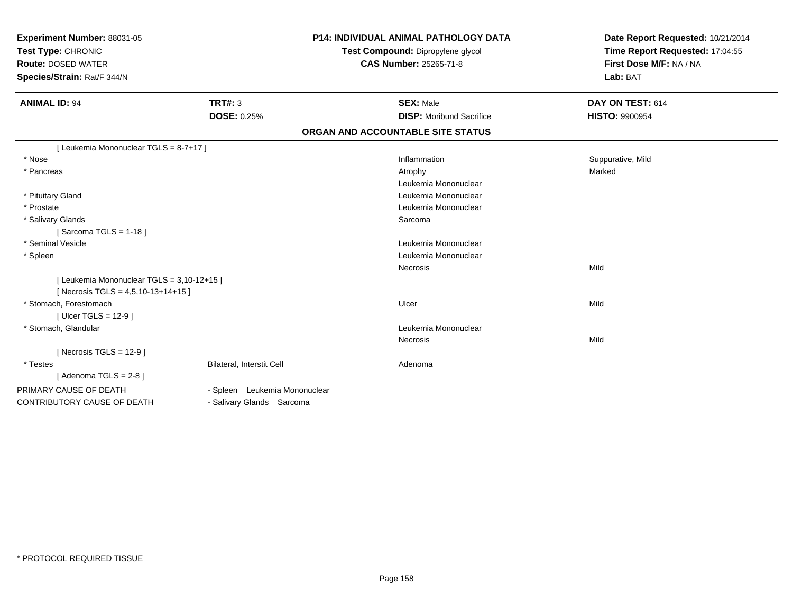| Experiment Number: 88031-05<br>Test Type: CHRONIC<br><b>Route: DOSED WATER</b><br>Species/Strain: Rat/F 344/N<br><b>ANIMAL ID: 94</b> | <b>TRT#: 3</b>                | <b>P14: INDIVIDUAL ANIMAL PATHOLOGY DATA</b><br>Test Compound: Dipropylene glycol<br><b>CAS Number: 25265-71-8</b><br><b>SEX: Male</b> | Date Report Requested: 10/21/2014<br>Time Report Requested: 17:04:55<br>First Dose M/F: NA / NA<br>Lab: BAT<br>DAY ON TEST: 614 |
|---------------------------------------------------------------------------------------------------------------------------------------|-------------------------------|----------------------------------------------------------------------------------------------------------------------------------------|---------------------------------------------------------------------------------------------------------------------------------|
|                                                                                                                                       | <b>DOSE: 0.25%</b>            | <b>DISP:</b> Moribund Sacrifice                                                                                                        | <b>HISTO: 9900954</b>                                                                                                           |
|                                                                                                                                       |                               | ORGAN AND ACCOUNTABLE SITE STATUS                                                                                                      |                                                                                                                                 |
| [ Leukemia Mononuclear TGLS = 8-7+17 ]                                                                                                |                               |                                                                                                                                        |                                                                                                                                 |
| * Nose                                                                                                                                |                               | Inflammation                                                                                                                           | Suppurative, Mild                                                                                                               |
| * Pancreas                                                                                                                            |                               | Atrophy                                                                                                                                | Marked                                                                                                                          |
|                                                                                                                                       |                               | Leukemia Mononuclear                                                                                                                   |                                                                                                                                 |
| * Pituitary Gland                                                                                                                     |                               | Leukemia Mononuclear                                                                                                                   |                                                                                                                                 |
| * Prostate                                                                                                                            |                               | Leukemia Mononuclear                                                                                                                   |                                                                                                                                 |
| * Salivary Glands                                                                                                                     |                               | Sarcoma                                                                                                                                |                                                                                                                                 |
| [Sarcoma TGLS = $1-18$ ]                                                                                                              |                               |                                                                                                                                        |                                                                                                                                 |
| * Seminal Vesicle                                                                                                                     |                               | Leukemia Mononuclear                                                                                                                   |                                                                                                                                 |
| * Spleen                                                                                                                              |                               | Leukemia Mononuclear                                                                                                                   |                                                                                                                                 |
|                                                                                                                                       |                               | Necrosis                                                                                                                               | Mild                                                                                                                            |
| [ Leukemia Mononuclear TGLS = 3,10-12+15 ]                                                                                            |                               |                                                                                                                                        |                                                                                                                                 |
| [ Necrosis TGLS = $4,5,10-13+14+15$ ]                                                                                                 |                               |                                                                                                                                        |                                                                                                                                 |
| * Stomach, Forestomach                                                                                                                |                               | Ulcer                                                                                                                                  | Mild                                                                                                                            |
| [ Ulcer TGLS = $12-9$ ]                                                                                                               |                               |                                                                                                                                        |                                                                                                                                 |
| * Stomach, Glandular                                                                                                                  |                               | Leukemia Mononuclear                                                                                                                   |                                                                                                                                 |
|                                                                                                                                       |                               | Necrosis                                                                                                                               | Mild                                                                                                                            |
| [ Necrosis TGLS = $12-9$ ]                                                                                                            |                               |                                                                                                                                        |                                                                                                                                 |
| * Testes                                                                                                                              | Bilateral, Interstit Cell     | Adenoma                                                                                                                                |                                                                                                                                 |
| [Adenoma TGLS = $2-8$ ]                                                                                                               |                               |                                                                                                                                        |                                                                                                                                 |
| PRIMARY CAUSE OF DEATH                                                                                                                | - Spleen Leukemia Mononuclear |                                                                                                                                        |                                                                                                                                 |
| <b>CONTRIBUTORY CAUSE OF DEATH</b>                                                                                                    | - Salivary Glands Sarcoma     |                                                                                                                                        |                                                                                                                                 |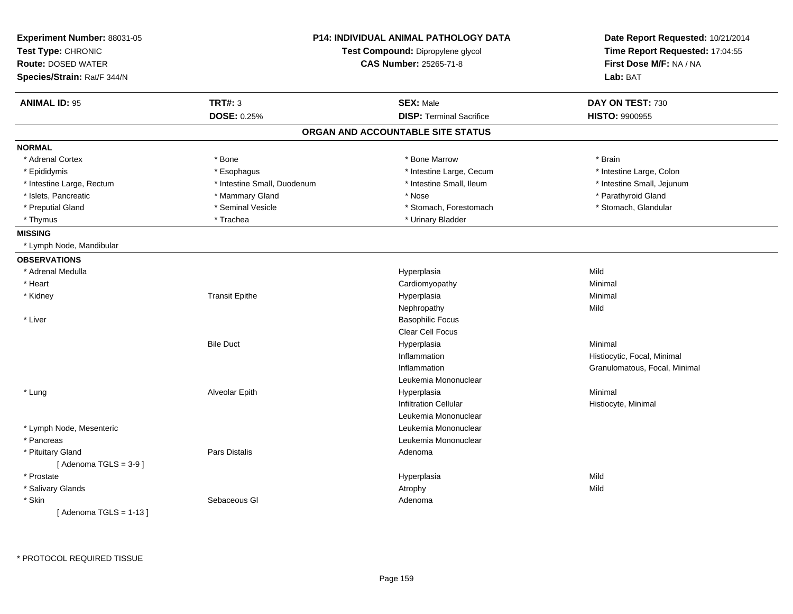| Experiment Number: 88031-05<br>Test Type: CHRONIC<br><b>Route: DOSED WATER</b><br>Species/Strain: Rat/F 344/N | <b>P14: INDIVIDUAL ANIMAL PATHOLOGY DATA</b><br>Test Compound: Dipropylene glycol<br><b>CAS Number: 25265-71-8</b> |                                   | Date Report Requested: 10/21/2014<br>Time Report Requested: 17:04:55<br>First Dose M/F: NA / NA<br>Lab: BAT |
|---------------------------------------------------------------------------------------------------------------|--------------------------------------------------------------------------------------------------------------------|-----------------------------------|-------------------------------------------------------------------------------------------------------------|
| <b>ANIMAL ID: 95</b>                                                                                          | <b>TRT#: 3</b>                                                                                                     | <b>SEX: Male</b>                  | DAY ON TEST: 730                                                                                            |
|                                                                                                               | <b>DOSE: 0.25%</b>                                                                                                 | <b>DISP: Terminal Sacrifice</b>   | <b>HISTO: 9900955</b>                                                                                       |
|                                                                                                               |                                                                                                                    | ORGAN AND ACCOUNTABLE SITE STATUS |                                                                                                             |
| <b>NORMAL</b>                                                                                                 |                                                                                                                    |                                   |                                                                                                             |
| * Adrenal Cortex                                                                                              | * Bone                                                                                                             | * Bone Marrow                     | * Brain                                                                                                     |
| * Epididymis                                                                                                  | * Esophagus                                                                                                        | * Intestine Large, Cecum          | * Intestine Large, Colon                                                                                    |
| * Intestine Large, Rectum                                                                                     | * Intestine Small, Duodenum                                                                                        | * Intestine Small, Ileum          | * Intestine Small, Jejunum                                                                                  |
| * Islets, Pancreatic                                                                                          | * Mammary Gland                                                                                                    | * Nose                            | * Parathyroid Gland                                                                                         |
| * Preputial Gland                                                                                             | * Seminal Vesicle                                                                                                  | * Stomach, Forestomach            | * Stomach, Glandular                                                                                        |
| * Thymus                                                                                                      | * Trachea                                                                                                          | * Urinary Bladder                 |                                                                                                             |
| <b>MISSING</b>                                                                                                |                                                                                                                    |                                   |                                                                                                             |
| * Lymph Node, Mandibular                                                                                      |                                                                                                                    |                                   |                                                                                                             |
| <b>OBSERVATIONS</b>                                                                                           |                                                                                                                    |                                   |                                                                                                             |
| * Adrenal Medulla                                                                                             |                                                                                                                    | Hyperplasia                       | Mild                                                                                                        |
| * Heart                                                                                                       |                                                                                                                    | Cardiomyopathy                    | Minimal                                                                                                     |
| * Kidney                                                                                                      | <b>Transit Epithe</b>                                                                                              | Hyperplasia                       | Minimal                                                                                                     |
|                                                                                                               |                                                                                                                    | Nephropathy                       | Mild                                                                                                        |
| * Liver                                                                                                       |                                                                                                                    | <b>Basophilic Focus</b>           |                                                                                                             |
|                                                                                                               |                                                                                                                    | Clear Cell Focus                  |                                                                                                             |
|                                                                                                               | <b>Bile Duct</b>                                                                                                   | Hyperplasia                       | Minimal                                                                                                     |
|                                                                                                               |                                                                                                                    | Inflammation                      | Histiocytic, Focal, Minimal                                                                                 |
|                                                                                                               |                                                                                                                    | Inflammation                      | Granulomatous, Focal, Minimal                                                                               |
|                                                                                                               |                                                                                                                    | Leukemia Mononuclear              |                                                                                                             |
| * Lung                                                                                                        | Alveolar Epith                                                                                                     | Hyperplasia                       | Minimal                                                                                                     |
|                                                                                                               |                                                                                                                    | <b>Infiltration Cellular</b>      | Histiocyte, Minimal                                                                                         |
|                                                                                                               |                                                                                                                    | Leukemia Mononuclear              |                                                                                                             |
| * Lymph Node, Mesenteric                                                                                      |                                                                                                                    | Leukemia Mononuclear              |                                                                                                             |
| * Pancreas                                                                                                    |                                                                                                                    | Leukemia Mononuclear              |                                                                                                             |
| * Pituitary Gland                                                                                             | Pars Distalis                                                                                                      | Adenoma                           |                                                                                                             |
| [Adenoma TGLS = $3-9$ ]                                                                                       |                                                                                                                    |                                   |                                                                                                             |
| * Prostate                                                                                                    |                                                                                                                    | Hyperplasia                       | Mild                                                                                                        |
| * Salivary Glands                                                                                             |                                                                                                                    | Atrophy                           | Mild                                                                                                        |
| * Skin                                                                                                        | Sebaceous GI                                                                                                       | Adenoma                           |                                                                                                             |
| [Adenoma TGLS = $1-13$ ]                                                                                      |                                                                                                                    |                                   |                                                                                                             |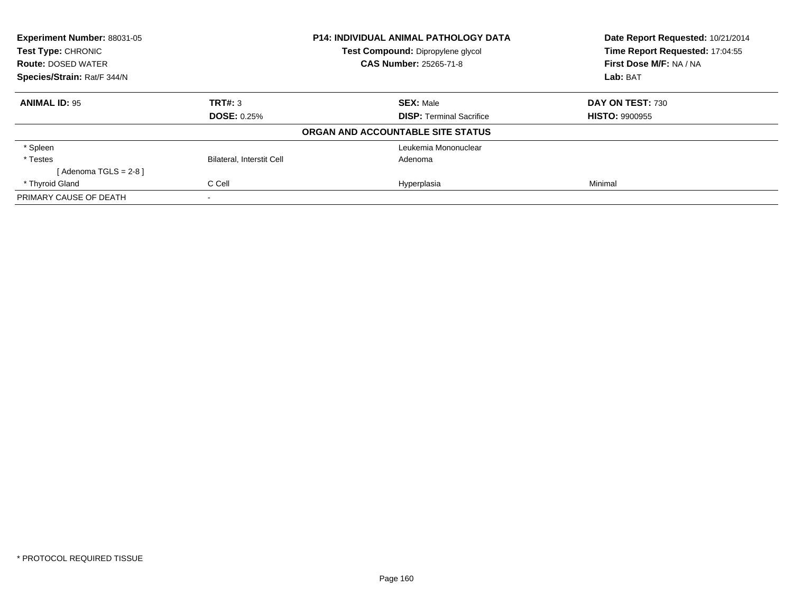| Experiment Number: 88031-05<br><b>P14: INDIVIDUAL ANIMAL PATHOLOGY DATA</b><br>Test Compound: Dipropylene glycol<br><b>Test Type: CHRONIC</b> |                                  |                                   | Date Report Requested: 10/21/2014 |
|-----------------------------------------------------------------------------------------------------------------------------------------------|----------------------------------|-----------------------------------|-----------------------------------|
|                                                                                                                                               |                                  | Time Report Requested: 17:04:55   |                                   |
| <b>Route: DOSED WATER</b>                                                                                                                     |                                  | <b>CAS Number: 25265-71-8</b>     | First Dose M/F: NA / NA           |
| Species/Strain: Rat/F 344/N                                                                                                                   |                                  |                                   | Lab: BAT                          |
| <b>ANIMAL ID: 95</b>                                                                                                                          | TRT#: 3                          | <b>SEX: Male</b>                  | DAY ON TEST: 730                  |
|                                                                                                                                               | <b>DOSE: 0.25%</b>               | <b>DISP: Terminal Sacrifice</b>   | <b>HISTO: 9900955</b>             |
|                                                                                                                                               |                                  | ORGAN AND ACCOUNTABLE SITE STATUS |                                   |
| * Spleen                                                                                                                                      |                                  | Leukemia Mononuclear              |                                   |
| * Testes                                                                                                                                      | <b>Bilateral, Interstit Cell</b> | Adenoma                           |                                   |
| [Adenoma TGLS = $2-8$ ]                                                                                                                       |                                  |                                   |                                   |
| * Thyroid Gland                                                                                                                               | C Cell                           | Hyperplasia                       | Minimal                           |
| PRIMARY CAUSE OF DEATH                                                                                                                        | $\,$                             |                                   |                                   |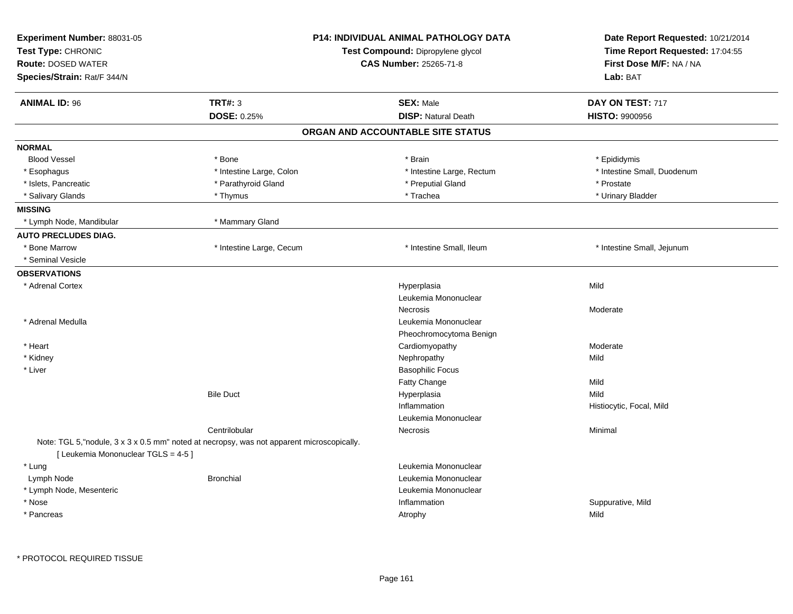| Experiment Number: 88031-05<br>Test Type: CHRONIC<br><b>Route: DOSED WATER</b><br>Species/Strain: Rat/F 344/N                     | <b>P14: INDIVIDUAL ANIMAL PATHOLOGY DATA</b><br>Test Compound: Dipropylene glycol<br><b>CAS Number: 25265-71-8</b> | Date Report Requested: 10/21/2014<br>Time Report Requested: 17:04:55<br>First Dose M/F: NA / NA<br>Lab: BAT |  |
|-----------------------------------------------------------------------------------------------------------------------------------|--------------------------------------------------------------------------------------------------------------------|-------------------------------------------------------------------------------------------------------------|--|
| <b>TRT#: 3</b><br><b>ANIMAL ID: 96</b>                                                                                            | <b>SEX: Male</b>                                                                                                   | DAY ON TEST: 717                                                                                            |  |
| DOSE: 0.25%                                                                                                                       | <b>DISP: Natural Death</b>                                                                                         | <b>HISTO: 9900956</b>                                                                                       |  |
|                                                                                                                                   | ORGAN AND ACCOUNTABLE SITE STATUS                                                                                  |                                                                                                             |  |
| <b>NORMAL</b>                                                                                                                     |                                                                                                                    |                                                                                                             |  |
| <b>Blood Vessel</b><br>* Bone                                                                                                     | * Brain                                                                                                            | * Epididymis                                                                                                |  |
| * Intestine Large, Colon<br>* Esophagus                                                                                           | * Intestine Large, Rectum                                                                                          | * Intestine Small, Duodenum                                                                                 |  |
| * Parathyroid Gland<br>* Islets, Pancreatic                                                                                       | * Preputial Gland                                                                                                  | * Prostate                                                                                                  |  |
| * Salivary Glands<br>* Thymus                                                                                                     | * Trachea                                                                                                          | * Urinary Bladder                                                                                           |  |
| <b>MISSING</b>                                                                                                                    |                                                                                                                    |                                                                                                             |  |
| * Lymph Node, Mandibular<br>* Mammary Gland                                                                                       |                                                                                                                    |                                                                                                             |  |
| <b>AUTO PRECLUDES DIAG.</b>                                                                                                       |                                                                                                                    |                                                                                                             |  |
| * Bone Marrow<br>* Intestine Large, Cecum                                                                                         | * Intestine Small, Ileum                                                                                           | * Intestine Small, Jejunum                                                                                  |  |
| * Seminal Vesicle                                                                                                                 |                                                                                                                    |                                                                                                             |  |
| <b>OBSERVATIONS</b>                                                                                                               |                                                                                                                    |                                                                                                             |  |
| * Adrenal Cortex                                                                                                                  | Hyperplasia                                                                                                        | Mild                                                                                                        |  |
|                                                                                                                                   | Leukemia Mononuclear                                                                                               |                                                                                                             |  |
|                                                                                                                                   | <b>Necrosis</b>                                                                                                    | Moderate                                                                                                    |  |
| * Adrenal Medulla                                                                                                                 | Leukemia Mononuclear                                                                                               |                                                                                                             |  |
|                                                                                                                                   | Pheochromocytoma Benign                                                                                            |                                                                                                             |  |
| * Heart                                                                                                                           | Cardiomyopathy                                                                                                     | Moderate                                                                                                    |  |
| * Kidney                                                                                                                          | Nephropathy                                                                                                        | Mild                                                                                                        |  |
| * Liver                                                                                                                           | <b>Basophilic Focus</b>                                                                                            |                                                                                                             |  |
|                                                                                                                                   | Fatty Change                                                                                                       | Mild                                                                                                        |  |
| <b>Bile Duct</b>                                                                                                                  | Hyperplasia                                                                                                        | Mild                                                                                                        |  |
|                                                                                                                                   | Inflammation                                                                                                       | Histiocytic, Focal, Mild                                                                                    |  |
|                                                                                                                                   | Leukemia Mononuclear                                                                                               |                                                                                                             |  |
| Centrilobular                                                                                                                     | Necrosis                                                                                                           | Minimal                                                                                                     |  |
| Note: TGL 5, "nodule, 3 x 3 x 0.5 mm" noted at necropsy, was not apparent microscopically.<br>[ Leukemia Mononuclear TGLS = 4-5 ] |                                                                                                                    |                                                                                                             |  |
| * Lung                                                                                                                            | Leukemia Mononuclear                                                                                               |                                                                                                             |  |
| Lymph Node<br><b>Bronchial</b>                                                                                                    | Leukemia Mononuclear                                                                                               |                                                                                                             |  |
| * Lymph Node, Mesenteric                                                                                                          | Leukemia Mononuclear                                                                                               |                                                                                                             |  |
| * Nose                                                                                                                            | Inflammation                                                                                                       | Suppurative, Mild                                                                                           |  |
| * Pancreas                                                                                                                        | Atrophy                                                                                                            | Mild                                                                                                        |  |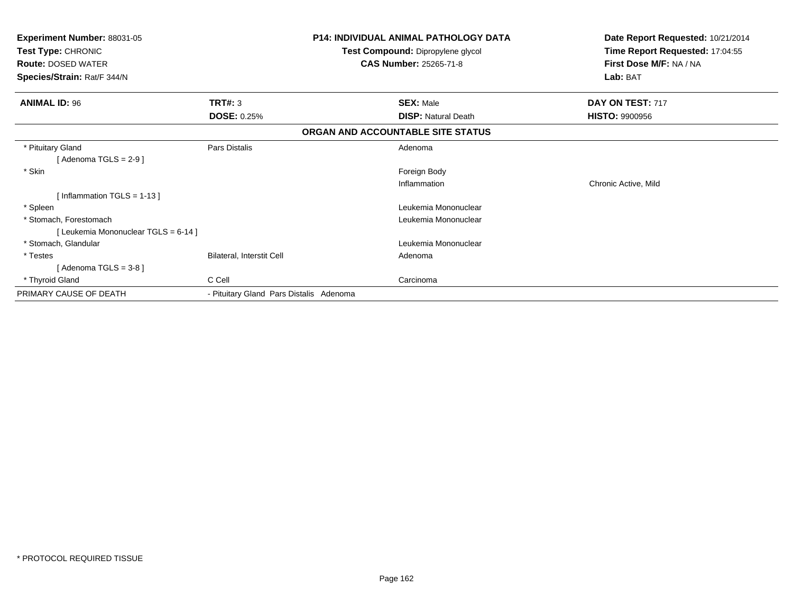| Experiment Number: 88031-05<br>Test Type: CHRONIC<br><b>Route: DOSED WATER</b><br>Species/Strain: Rat/F 344/N |                                         | <b>P14: INDIVIDUAL ANIMAL PATHOLOGY DATA</b><br>Test Compound: Dipropylene glycol<br><b>CAS Number: 25265-71-8</b> | Date Report Requested: 10/21/2014<br>Time Report Requested: 17:04:55<br>First Dose M/F: NA / NA<br>Lab: BAT |
|---------------------------------------------------------------------------------------------------------------|-----------------------------------------|--------------------------------------------------------------------------------------------------------------------|-------------------------------------------------------------------------------------------------------------|
| <b>ANIMAL ID: 96</b>                                                                                          | TRT#: 3                                 | <b>SEX: Male</b>                                                                                                   | DAY ON TEST: 717                                                                                            |
|                                                                                                               | <b>DOSE: 0.25%</b>                      | <b>DISP: Natural Death</b>                                                                                         | <b>HISTO: 9900956</b>                                                                                       |
|                                                                                                               |                                         | ORGAN AND ACCOUNTABLE SITE STATUS                                                                                  |                                                                                                             |
| * Pituitary Gland                                                                                             | Pars Distalis                           | Adenoma                                                                                                            |                                                                                                             |
| [Adenoma TGLS = $2-9$ ]                                                                                       |                                         |                                                                                                                    |                                                                                                             |
| * Skin                                                                                                        |                                         | Foreign Body                                                                                                       |                                                                                                             |
|                                                                                                               |                                         | Inflammation                                                                                                       | Chronic Active, Mild                                                                                        |
| [Inflammation TGLS = $1-13$ ]                                                                                 |                                         |                                                                                                                    |                                                                                                             |
| * Spleen                                                                                                      |                                         | Leukemia Mononuclear                                                                                               |                                                                                                             |
| * Stomach, Forestomach                                                                                        |                                         | Leukemia Mononuclear                                                                                               |                                                                                                             |
| [ Leukemia Mononuclear TGLS = 6-14 ]                                                                          |                                         |                                                                                                                    |                                                                                                             |
| * Stomach, Glandular                                                                                          |                                         | Leukemia Mononuclear                                                                                               |                                                                                                             |
| * Testes                                                                                                      | Bilateral, Interstit Cell               | Adenoma                                                                                                            |                                                                                                             |
| [Adenoma TGLS = $3-8$ ]                                                                                       |                                         |                                                                                                                    |                                                                                                             |
| * Thyroid Gland                                                                                               | C Cell                                  | Carcinoma                                                                                                          |                                                                                                             |
| PRIMARY CAUSE OF DEATH                                                                                        | - Pituitary Gland Pars Distalis Adenoma |                                                                                                                    |                                                                                                             |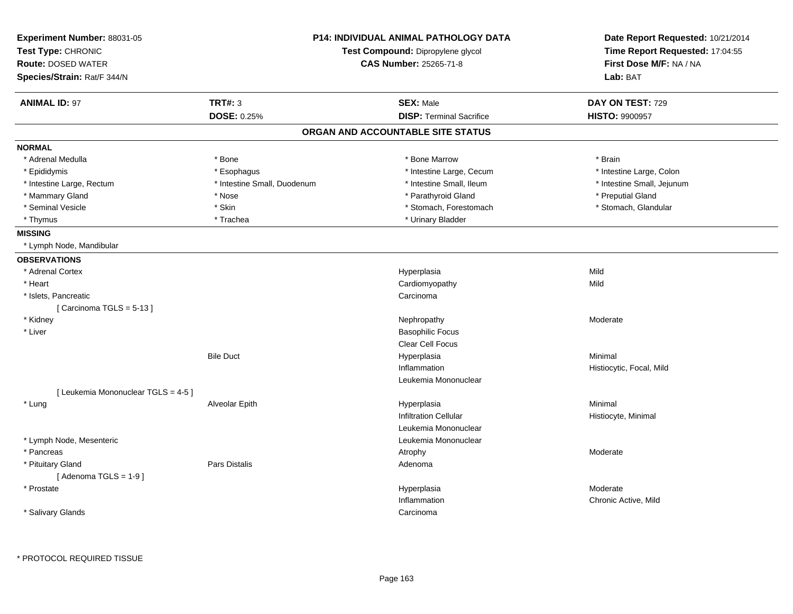| Experiment Number: 88031-05<br>Test Type: CHRONIC<br><b>Route: DOSED WATER</b><br>Species/Strain: Rat/F 344/N |                             | <b>P14: INDIVIDUAL ANIMAL PATHOLOGY DATA</b><br>Test Compound: Dipropylene glycol<br><b>CAS Number: 25265-71-8</b> | Date Report Requested: 10/21/2014<br>Time Report Requested: 17:04:55<br>First Dose M/F: NA / NA<br>Lab: BAT |
|---------------------------------------------------------------------------------------------------------------|-----------------------------|--------------------------------------------------------------------------------------------------------------------|-------------------------------------------------------------------------------------------------------------|
| <b>ANIMAL ID: 97</b>                                                                                          | <b>TRT#: 3</b>              | <b>SEX: Male</b>                                                                                                   | DAY ON TEST: 729                                                                                            |
|                                                                                                               | <b>DOSE: 0.25%</b>          | <b>DISP: Terminal Sacrifice</b>                                                                                    | <b>HISTO: 9900957</b>                                                                                       |
|                                                                                                               |                             | ORGAN AND ACCOUNTABLE SITE STATUS                                                                                  |                                                                                                             |
| <b>NORMAL</b>                                                                                                 |                             |                                                                                                                    |                                                                                                             |
| * Adrenal Medulla                                                                                             | * Bone                      | * Bone Marrow                                                                                                      | * Brain                                                                                                     |
| * Epididymis                                                                                                  | * Esophagus                 | * Intestine Large, Cecum                                                                                           | * Intestine Large, Colon                                                                                    |
| * Intestine Large, Rectum                                                                                     | * Intestine Small, Duodenum | * Intestine Small, Ileum                                                                                           | * Intestine Small, Jejunum                                                                                  |
| * Mammary Gland                                                                                               | * Nose                      | * Parathyroid Gland                                                                                                | * Preputial Gland                                                                                           |
| * Seminal Vesicle                                                                                             | * Skin                      | * Stomach, Forestomach                                                                                             | * Stomach, Glandular                                                                                        |
| * Thymus                                                                                                      | * Trachea                   | * Urinary Bladder                                                                                                  |                                                                                                             |
| <b>MISSING</b>                                                                                                |                             |                                                                                                                    |                                                                                                             |
| * Lymph Node, Mandibular                                                                                      |                             |                                                                                                                    |                                                                                                             |
| <b>OBSERVATIONS</b>                                                                                           |                             |                                                                                                                    |                                                                                                             |
| * Adrenal Cortex                                                                                              |                             | Hyperplasia                                                                                                        | Mild                                                                                                        |
| * Heart                                                                                                       |                             | Cardiomyopathy                                                                                                     | Mild                                                                                                        |
| * Islets, Pancreatic                                                                                          |                             | Carcinoma                                                                                                          |                                                                                                             |
| [Carcinoma TGLS = $5-13$ ]                                                                                    |                             |                                                                                                                    |                                                                                                             |
| * Kidney                                                                                                      |                             | Nephropathy                                                                                                        | Moderate                                                                                                    |
| * Liver                                                                                                       |                             | <b>Basophilic Focus</b>                                                                                            |                                                                                                             |
|                                                                                                               |                             | Clear Cell Focus                                                                                                   |                                                                                                             |
|                                                                                                               | <b>Bile Duct</b>            | Hyperplasia                                                                                                        | Minimal                                                                                                     |
|                                                                                                               |                             | Inflammation                                                                                                       | Histiocytic, Focal, Mild                                                                                    |
|                                                                                                               |                             | Leukemia Mononuclear                                                                                               |                                                                                                             |
| [ Leukemia Mononuclear TGLS = 4-5 ]                                                                           |                             |                                                                                                                    |                                                                                                             |
| * Lung                                                                                                        | Alveolar Epith              | Hyperplasia                                                                                                        | Minimal                                                                                                     |
|                                                                                                               |                             | <b>Infiltration Cellular</b>                                                                                       | Histiocyte, Minimal                                                                                         |
|                                                                                                               |                             | Leukemia Mononuclear                                                                                               |                                                                                                             |
| * Lymph Node, Mesenteric                                                                                      |                             | Leukemia Mononuclear                                                                                               |                                                                                                             |
| * Pancreas                                                                                                    |                             | Atrophy                                                                                                            | Moderate                                                                                                    |
| * Pituitary Gland<br>[Adenoma TGLS = $1-9$ ]                                                                  | Pars Distalis               | Adenoma                                                                                                            |                                                                                                             |
| * Prostate                                                                                                    |                             | Hyperplasia                                                                                                        | Moderate                                                                                                    |
|                                                                                                               |                             | Inflammation                                                                                                       | Chronic Active, Mild                                                                                        |
| * Salivary Glands                                                                                             |                             | Carcinoma                                                                                                          |                                                                                                             |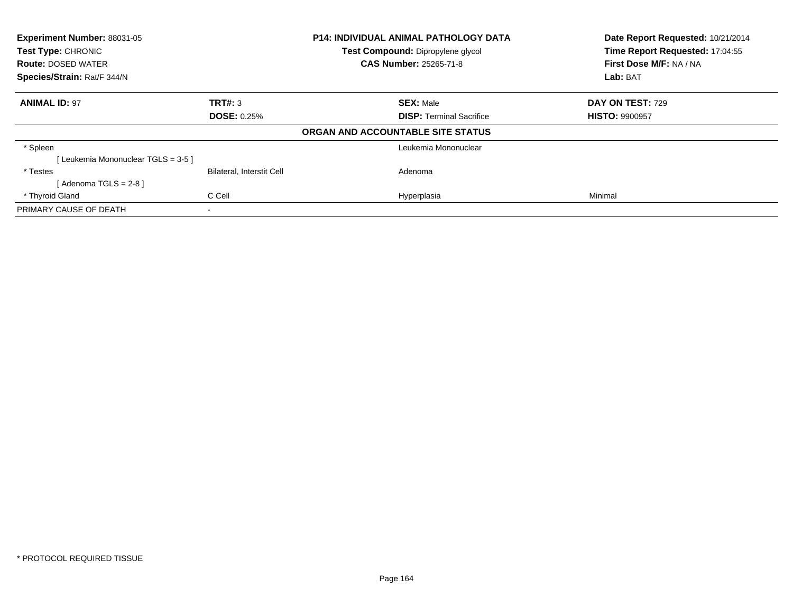| Experiment Number: 88031-05<br><b>Test Type: CHRONIC</b> |                           | P14: INDIVIDUAL ANIMAL PATHOLOGY DATA<br>Test Compound: Dipropylene glycol |                                 | Date Report Requested: 10/21/2014 |
|----------------------------------------------------------|---------------------------|----------------------------------------------------------------------------|---------------------------------|-----------------------------------|
|                                                          |                           |                                                                            |                                 | Time Report Requested: 17:04:55   |
| <b>Route: DOSED WATER</b>                                |                           | <b>CAS Number: 25265-71-8</b>                                              |                                 | First Dose M/F: NA / NA           |
| Species/Strain: Rat/F 344/N                              |                           |                                                                            | Lab: BAT                        |                                   |
| <b>ANIMAL ID: 97</b>                                     | TRT#: 3                   | <b>SEX: Male</b>                                                           |                                 | DAY ON TEST: 729                  |
|                                                          | <b>DOSE: 0.25%</b>        |                                                                            | <b>DISP:</b> Terminal Sacrifice | <b>HISTO: 9900957</b>             |
|                                                          |                           | ORGAN AND ACCOUNTABLE SITE STATUS                                          |                                 |                                   |
| * Spleen                                                 |                           |                                                                            | Leukemia Mononuclear            |                                   |
| [Leukemia Mononuclear TGLS = 3-5 ]                       |                           |                                                                            |                                 |                                   |
| * Testes                                                 | Bilateral, Interstit Cell | Adenoma                                                                    |                                 |                                   |
| [Adenoma TGLS = $2-8$ ]                                  |                           |                                                                            |                                 |                                   |
| * Thyroid Gland                                          | C Cell                    | Hyperplasia                                                                |                                 | Minimal                           |
| PRIMARY CAUSE OF DEATH                                   | $\overline{\phantom{a}}$  |                                                                            |                                 |                                   |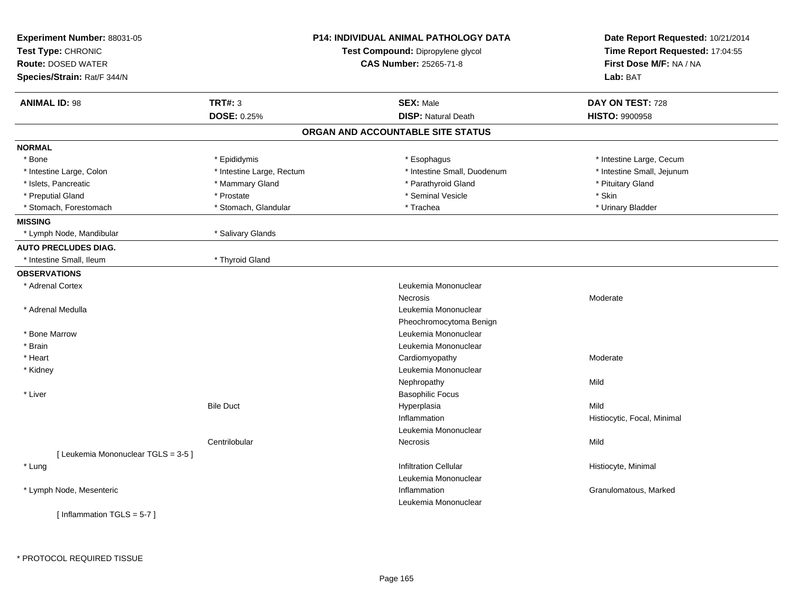| Experiment Number: 88031-05<br>Test Type: CHRONIC<br><b>Route: DOSED WATER</b><br>Species/Strain: Rat/F 344/N | <b>P14: INDIVIDUAL ANIMAL PATHOLOGY DATA</b><br>Test Compound: Dipropylene glycol<br><b>CAS Number: 25265-71-8</b> |                                   | Date Report Requested: 10/21/2014<br>Time Report Requested: 17:04:55<br>First Dose M/F: NA / NA<br>Lab: BAT |
|---------------------------------------------------------------------------------------------------------------|--------------------------------------------------------------------------------------------------------------------|-----------------------------------|-------------------------------------------------------------------------------------------------------------|
| <b>ANIMAL ID: 98</b>                                                                                          | <b>TRT#: 3</b>                                                                                                     | <b>SEX: Male</b>                  | DAY ON TEST: 728                                                                                            |
|                                                                                                               | DOSE: 0.25%                                                                                                        | <b>DISP: Natural Death</b>        | <b>HISTO: 9900958</b>                                                                                       |
|                                                                                                               |                                                                                                                    | ORGAN AND ACCOUNTABLE SITE STATUS |                                                                                                             |
| <b>NORMAL</b>                                                                                                 |                                                                                                                    |                                   |                                                                                                             |
| * Bone                                                                                                        | * Epididymis                                                                                                       | * Esophagus                       | * Intestine Large, Cecum                                                                                    |
| * Intestine Large, Colon                                                                                      | * Intestine Large, Rectum                                                                                          | * Intestine Small, Duodenum       | * Intestine Small, Jejunum                                                                                  |
| * Islets, Pancreatic                                                                                          | * Mammary Gland                                                                                                    | * Parathyroid Gland               | * Pituitary Gland                                                                                           |
| * Preputial Gland                                                                                             | * Prostate                                                                                                         | * Seminal Vesicle                 | * Skin                                                                                                      |
| * Stomach, Forestomach                                                                                        | * Stomach, Glandular                                                                                               | * Trachea                         | * Urinary Bladder                                                                                           |
| <b>MISSING</b>                                                                                                |                                                                                                                    |                                   |                                                                                                             |
| * Lymph Node, Mandibular                                                                                      | * Salivary Glands                                                                                                  |                                   |                                                                                                             |
| <b>AUTO PRECLUDES DIAG.</b>                                                                                   |                                                                                                                    |                                   |                                                                                                             |
| * Intestine Small, Ileum                                                                                      | * Thyroid Gland                                                                                                    |                                   |                                                                                                             |
| <b>OBSERVATIONS</b>                                                                                           |                                                                                                                    |                                   |                                                                                                             |
| * Adrenal Cortex                                                                                              |                                                                                                                    | Leukemia Mononuclear              |                                                                                                             |
|                                                                                                               |                                                                                                                    | Necrosis                          | Moderate                                                                                                    |
| * Adrenal Medulla                                                                                             |                                                                                                                    | Leukemia Mononuclear              |                                                                                                             |
|                                                                                                               |                                                                                                                    | Pheochromocytoma Benign           |                                                                                                             |
| * Bone Marrow                                                                                                 |                                                                                                                    | Leukemia Mononuclear              |                                                                                                             |
| * Brain                                                                                                       |                                                                                                                    | Leukemia Mononuclear              |                                                                                                             |
| * Heart                                                                                                       |                                                                                                                    | Cardiomyopathy                    | Moderate                                                                                                    |
| * Kidney                                                                                                      |                                                                                                                    | Leukemia Mononuclear              |                                                                                                             |
|                                                                                                               |                                                                                                                    | Nephropathy                       | Mild                                                                                                        |
| * Liver                                                                                                       |                                                                                                                    | <b>Basophilic Focus</b>           |                                                                                                             |
|                                                                                                               | <b>Bile Duct</b>                                                                                                   | Hyperplasia                       | Mild                                                                                                        |
|                                                                                                               |                                                                                                                    | Inflammation                      | Histiocytic, Focal, Minimal                                                                                 |
|                                                                                                               |                                                                                                                    | Leukemia Mononuclear              |                                                                                                             |
|                                                                                                               | Centrilobular                                                                                                      | Necrosis                          | Mild                                                                                                        |
| [ Leukemia Mononuclear TGLS = 3-5 ]                                                                           |                                                                                                                    |                                   |                                                                                                             |
| * Lung                                                                                                        |                                                                                                                    | <b>Infiltration Cellular</b>      | Histiocyte, Minimal                                                                                         |
|                                                                                                               |                                                                                                                    | Leukemia Mononuclear              |                                                                                                             |
| * Lymph Node, Mesenteric                                                                                      |                                                                                                                    | Inflammation                      | Granulomatous, Marked                                                                                       |
|                                                                                                               |                                                                                                                    | Leukemia Mononuclear              |                                                                                                             |
| [Inflammation TGLS = $5-7$ ]                                                                                  |                                                                                                                    |                                   |                                                                                                             |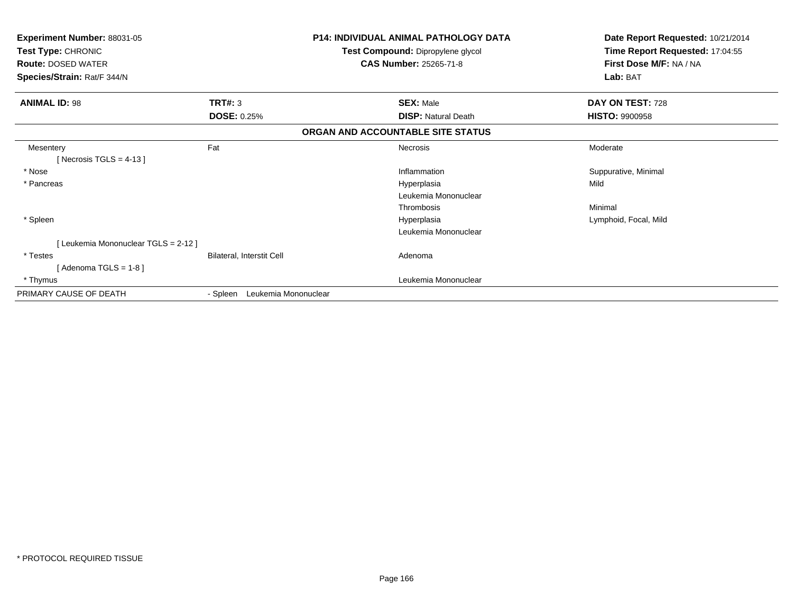| Experiment Number: 88031-05<br>Test Type: CHRONIC<br><b>Route: DOSED WATER</b><br>Species/Strain: Rat/F 344/N |                                  | <b>P14: INDIVIDUAL ANIMAL PATHOLOGY DATA</b><br>Test Compound: Dipropylene glycol<br><b>CAS Number: 25265-71-8</b> | Date Report Requested: 10/21/2014<br>Time Report Requested: 17:04:55<br>First Dose M/F: NA / NA<br>Lab: BAT |
|---------------------------------------------------------------------------------------------------------------|----------------------------------|--------------------------------------------------------------------------------------------------------------------|-------------------------------------------------------------------------------------------------------------|
| <b>ANIMAL ID: 98</b>                                                                                          | TRT#: 3                          | <b>SEX: Male</b>                                                                                                   | DAY ON TEST: 728                                                                                            |
|                                                                                                               | <b>DOSE: 0.25%</b>               | <b>DISP: Natural Death</b>                                                                                         | <b>HISTO: 9900958</b>                                                                                       |
|                                                                                                               |                                  | ORGAN AND ACCOUNTABLE SITE STATUS                                                                                  |                                                                                                             |
| Mesentery<br>[Necrosis TGLS = $4-13$ ]                                                                        | Fat                              | Necrosis                                                                                                           | Moderate                                                                                                    |
| * Nose                                                                                                        |                                  | Inflammation                                                                                                       | Suppurative, Minimal                                                                                        |
| * Pancreas                                                                                                    |                                  | Hyperplasia                                                                                                        | Mild                                                                                                        |
|                                                                                                               |                                  | Leukemia Mononuclear                                                                                               |                                                                                                             |
|                                                                                                               |                                  | Thrombosis                                                                                                         | Minimal                                                                                                     |
| * Spleen                                                                                                      |                                  | Hyperplasia                                                                                                        | Lymphoid, Focal, Mild                                                                                       |
|                                                                                                               |                                  | Leukemia Mononuclear                                                                                               |                                                                                                             |
| [Leukemia Mononuclear TGLS = 2-12]                                                                            |                                  |                                                                                                                    |                                                                                                             |
| * Testes                                                                                                      | Bilateral, Interstit Cell        | Adenoma                                                                                                            |                                                                                                             |
| [Adenoma TGLS = $1-8$ ]                                                                                       |                                  |                                                                                                                    |                                                                                                             |
| * Thymus                                                                                                      |                                  | Leukemia Mononuclear                                                                                               |                                                                                                             |
| PRIMARY CAUSE OF DEATH                                                                                        | Leukemia Mononuclear<br>- Spleen |                                                                                                                    |                                                                                                             |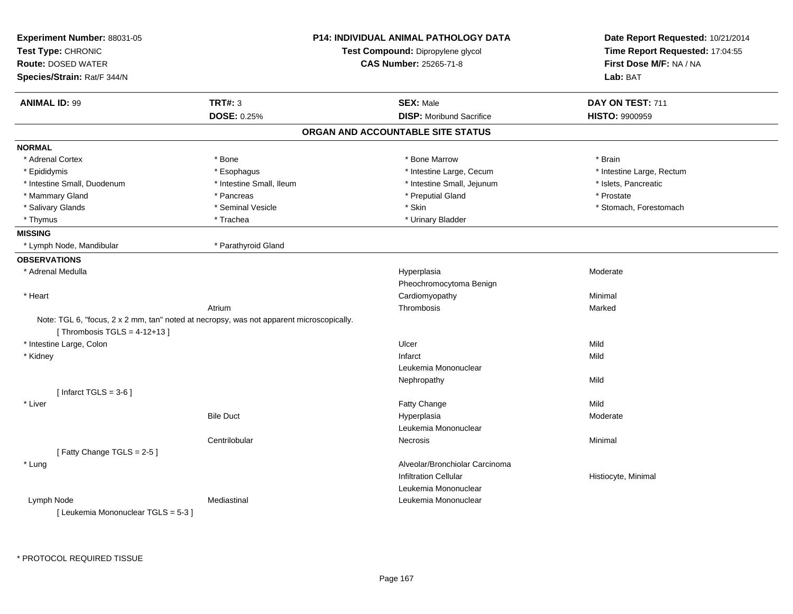| Experiment Number: 88031-05<br>Test Type: CHRONIC<br><b>Route: DOSED WATER</b>           |                          | <b>P14: INDIVIDUAL ANIMAL PATHOLOGY DATA</b><br>Test Compound: Dipropylene glycol<br><b>CAS Number: 25265-71-8</b> | Date Report Requested: 10/21/2014<br>Time Report Requested: 17:04:55<br>First Dose M/F: NA / NA |
|------------------------------------------------------------------------------------------|--------------------------|--------------------------------------------------------------------------------------------------------------------|-------------------------------------------------------------------------------------------------|
| Species/Strain: Rat/F 344/N                                                              |                          |                                                                                                                    | Lab: BAT                                                                                        |
| <b>ANIMAL ID: 99</b>                                                                     | <b>TRT#: 3</b>           | <b>SEX: Male</b>                                                                                                   | DAY ON TEST: 711                                                                                |
|                                                                                          | DOSE: 0.25%              | <b>DISP:</b> Moribund Sacrifice                                                                                    | <b>HISTO: 9900959</b>                                                                           |
|                                                                                          |                          | ORGAN AND ACCOUNTABLE SITE STATUS                                                                                  |                                                                                                 |
| <b>NORMAL</b>                                                                            |                          |                                                                                                                    |                                                                                                 |
| * Adrenal Cortex                                                                         | * Bone                   | * Bone Marrow                                                                                                      | * Brain                                                                                         |
| * Epididymis                                                                             | * Esophagus              | * Intestine Large, Cecum                                                                                           | * Intestine Large, Rectum                                                                       |
| * Intestine Small, Duodenum                                                              | * Intestine Small, Ileum | * Intestine Small, Jejunum                                                                                         | * Islets, Pancreatic                                                                            |
| * Mammary Gland                                                                          | * Pancreas               | * Preputial Gland                                                                                                  | * Prostate                                                                                      |
| * Salivary Glands                                                                        | * Seminal Vesicle        | * Skin                                                                                                             | * Stomach, Forestomach                                                                          |
| * Thymus                                                                                 | * Trachea                | * Urinary Bladder                                                                                                  |                                                                                                 |
| <b>MISSING</b>                                                                           |                          |                                                                                                                    |                                                                                                 |
| * Lymph Node, Mandibular                                                                 | * Parathyroid Gland      |                                                                                                                    |                                                                                                 |
| <b>OBSERVATIONS</b>                                                                      |                          |                                                                                                                    |                                                                                                 |
| * Adrenal Medulla                                                                        |                          | Hyperplasia                                                                                                        | Moderate                                                                                        |
|                                                                                          |                          | Pheochromocytoma Benign                                                                                            |                                                                                                 |
| * Heart                                                                                  |                          | Cardiomyopathy                                                                                                     | Minimal                                                                                         |
|                                                                                          | Atrium                   | Thrombosis                                                                                                         | Marked                                                                                          |
| Note: TGL 6, "focus, 2 x 2 mm, tan" noted at necropsy, was not apparent microscopically. |                          |                                                                                                                    |                                                                                                 |
| [Thrombosis TGLS = $4-12+13$ ]                                                           |                          |                                                                                                                    |                                                                                                 |
| * Intestine Large, Colon                                                                 |                          | Ulcer                                                                                                              | Mild                                                                                            |
| * Kidney                                                                                 |                          | Infarct                                                                                                            | Mild                                                                                            |
|                                                                                          |                          | Leukemia Mononuclear                                                                                               |                                                                                                 |
|                                                                                          |                          | Nephropathy                                                                                                        | Mild                                                                                            |
| [Infarct TGLS = $3-6$ ]                                                                  |                          |                                                                                                                    |                                                                                                 |
| * Liver                                                                                  |                          | <b>Fatty Change</b>                                                                                                | Mild                                                                                            |
|                                                                                          | <b>Bile Duct</b>         | Hyperplasia                                                                                                        | Moderate                                                                                        |
|                                                                                          |                          | Leukemia Mononuclear                                                                                               |                                                                                                 |
|                                                                                          | Centrilobular            | Necrosis                                                                                                           | Minimal                                                                                         |
| [Fatty Change TGLS = 2-5]                                                                |                          |                                                                                                                    |                                                                                                 |
| * Lung                                                                                   |                          | Alveolar/Bronchiolar Carcinoma                                                                                     |                                                                                                 |
|                                                                                          |                          | <b>Infiltration Cellular</b>                                                                                       | Histiocyte, Minimal                                                                             |
|                                                                                          |                          | Leukemia Mononuclear                                                                                               |                                                                                                 |
| Lymph Node                                                                               | Mediastinal              | Leukemia Mononuclear                                                                                               |                                                                                                 |
| [Leukemia Mononuclear TGLS = 5-3]                                                        |                          |                                                                                                                    |                                                                                                 |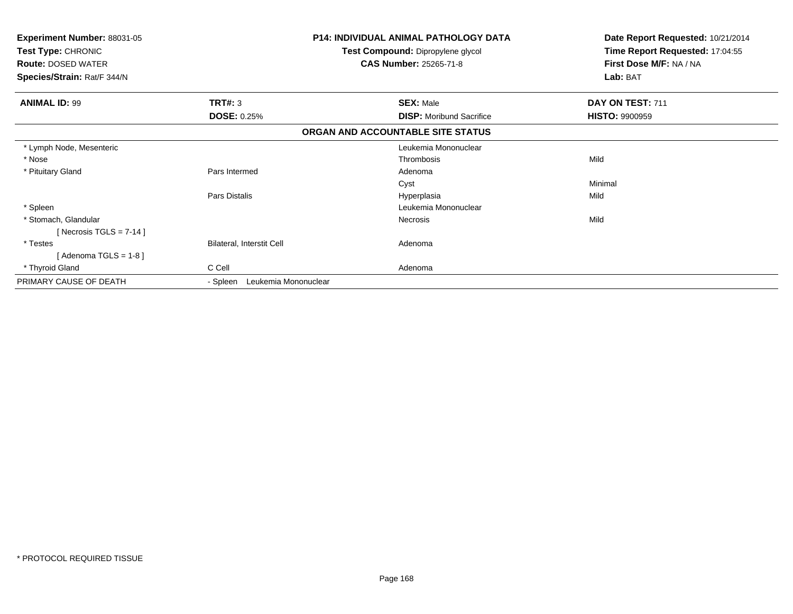| Experiment Number: 88031-05<br>Test Type: CHRONIC<br><b>Route: DOSED WATER</b><br>Species/Strain: Rat/F 344/N |                                  | <b>P14: INDIVIDUAL ANIMAL PATHOLOGY DATA</b><br>Test Compound: Dipropylene glycol<br><b>CAS Number: 25265-71-8</b> | Date Report Requested: 10/21/2014<br>Time Report Requested: 17:04:55<br>First Dose M/F: NA / NA<br>Lab: BAT |
|---------------------------------------------------------------------------------------------------------------|----------------------------------|--------------------------------------------------------------------------------------------------------------------|-------------------------------------------------------------------------------------------------------------|
|                                                                                                               |                                  |                                                                                                                    |                                                                                                             |
| <b>ANIMAL ID: 99</b>                                                                                          | <b>TRT#: 3</b>                   | <b>SEX: Male</b>                                                                                                   | DAY ON TEST: 711                                                                                            |
|                                                                                                               | <b>DOSE: 0.25%</b>               | <b>DISP:</b> Moribund Sacrifice                                                                                    | <b>HISTO: 9900959</b>                                                                                       |
|                                                                                                               |                                  | ORGAN AND ACCOUNTABLE SITE STATUS                                                                                  |                                                                                                             |
| * Lymph Node, Mesenteric                                                                                      |                                  | Leukemia Mononuclear                                                                                               |                                                                                                             |
| * Nose                                                                                                        |                                  | Thrombosis                                                                                                         | Mild                                                                                                        |
| * Pituitary Gland                                                                                             | Pars Intermed                    | Adenoma                                                                                                            |                                                                                                             |
|                                                                                                               |                                  | Cyst                                                                                                               | Minimal                                                                                                     |
|                                                                                                               | Pars Distalis                    | Hyperplasia                                                                                                        | Mild                                                                                                        |
| * Spleen                                                                                                      |                                  | Leukemia Mononuclear                                                                                               |                                                                                                             |
| * Stomach, Glandular                                                                                          |                                  | <b>Necrosis</b>                                                                                                    | Mild                                                                                                        |
| [ Necrosis TGLS = $7-14$ ]                                                                                    |                                  |                                                                                                                    |                                                                                                             |
| * Testes                                                                                                      | <b>Bilateral, Interstit Cell</b> | Adenoma                                                                                                            |                                                                                                             |
| [Adenoma TGLS = $1-8$ ]                                                                                       |                                  |                                                                                                                    |                                                                                                             |
| * Thyroid Gland                                                                                               | C Cell                           | Adenoma                                                                                                            |                                                                                                             |
| PRIMARY CAUSE OF DEATH                                                                                        | Leukemia Mononuclear<br>- Spleen |                                                                                                                    |                                                                                                             |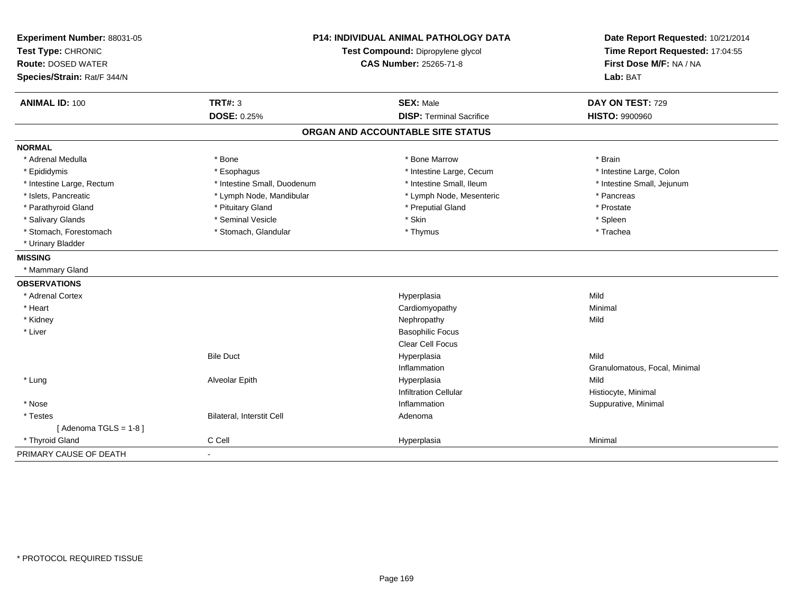| Experiment Number: 88031-05<br>Test Type: CHRONIC<br><b>Route: DOSED WATER</b><br>Species/Strain: Rat/F 344/N |                             | <b>P14: INDIVIDUAL ANIMAL PATHOLOGY DATA</b><br>Test Compound: Dipropylene glycol<br><b>CAS Number: 25265-71-8</b> | Date Report Requested: 10/21/2014<br>Time Report Requested: 17:04:55<br>First Dose M/F: NA / NA<br>Lab: BAT |
|---------------------------------------------------------------------------------------------------------------|-----------------------------|--------------------------------------------------------------------------------------------------------------------|-------------------------------------------------------------------------------------------------------------|
| <b>ANIMAL ID: 100</b>                                                                                         | <b>TRT#: 3</b>              | <b>SEX: Male</b>                                                                                                   | DAY ON TEST: 729                                                                                            |
|                                                                                                               | <b>DOSE: 0.25%</b>          | <b>DISP: Terminal Sacrifice</b>                                                                                    | <b>HISTO: 9900960</b>                                                                                       |
|                                                                                                               |                             | ORGAN AND ACCOUNTABLE SITE STATUS                                                                                  |                                                                                                             |
| <b>NORMAL</b>                                                                                                 |                             |                                                                                                                    |                                                                                                             |
| * Adrenal Medulla                                                                                             | * Bone                      | * Bone Marrow                                                                                                      | * Brain                                                                                                     |
| * Epididymis                                                                                                  | * Esophagus                 | * Intestine Large, Cecum                                                                                           | * Intestine Large, Colon                                                                                    |
| * Intestine Large, Rectum                                                                                     | * Intestine Small, Duodenum | * Intestine Small, Ileum                                                                                           | * Intestine Small, Jejunum                                                                                  |
| * Islets, Pancreatic                                                                                          | * Lymph Node, Mandibular    | * Lymph Node, Mesenteric                                                                                           | * Pancreas                                                                                                  |
| * Parathyroid Gland                                                                                           | * Pituitary Gland           | * Preputial Gland                                                                                                  | * Prostate                                                                                                  |
| * Salivary Glands                                                                                             | * Seminal Vesicle           | * Skin                                                                                                             | * Spleen                                                                                                    |
| * Stomach, Forestomach                                                                                        | * Stomach, Glandular        | * Thymus                                                                                                           | * Trachea                                                                                                   |
| * Urinary Bladder                                                                                             |                             |                                                                                                                    |                                                                                                             |
| <b>MISSING</b>                                                                                                |                             |                                                                                                                    |                                                                                                             |
| * Mammary Gland                                                                                               |                             |                                                                                                                    |                                                                                                             |
| <b>OBSERVATIONS</b>                                                                                           |                             |                                                                                                                    |                                                                                                             |
| * Adrenal Cortex                                                                                              |                             | Hyperplasia                                                                                                        | Mild                                                                                                        |
| * Heart                                                                                                       |                             | Cardiomyopathy                                                                                                     | Minimal                                                                                                     |
| * Kidney                                                                                                      |                             | Nephropathy                                                                                                        | Mild                                                                                                        |
| * Liver                                                                                                       |                             | <b>Basophilic Focus</b>                                                                                            |                                                                                                             |
|                                                                                                               |                             | Clear Cell Focus                                                                                                   |                                                                                                             |
|                                                                                                               | <b>Bile Duct</b>            | Hyperplasia                                                                                                        | Mild                                                                                                        |
|                                                                                                               |                             | Inflammation                                                                                                       | Granulomatous, Focal, Minimal                                                                               |
| * Lung                                                                                                        | Alveolar Epith              | Hyperplasia                                                                                                        | Mild                                                                                                        |
|                                                                                                               |                             | <b>Infiltration Cellular</b>                                                                                       | Histiocyte, Minimal                                                                                         |
| * Nose                                                                                                        |                             | Inflammation                                                                                                       | Suppurative, Minimal                                                                                        |
| * Testes                                                                                                      | Bilateral, Interstit Cell   | Adenoma                                                                                                            |                                                                                                             |
| [Adenoma TGLS = $1-8$ ]                                                                                       |                             |                                                                                                                    |                                                                                                             |
| * Thyroid Gland                                                                                               | C Cell                      | Hyperplasia                                                                                                        | Minimal                                                                                                     |
| PRIMARY CAUSE OF DEATH                                                                                        | $\blacksquare$              |                                                                                                                    |                                                                                                             |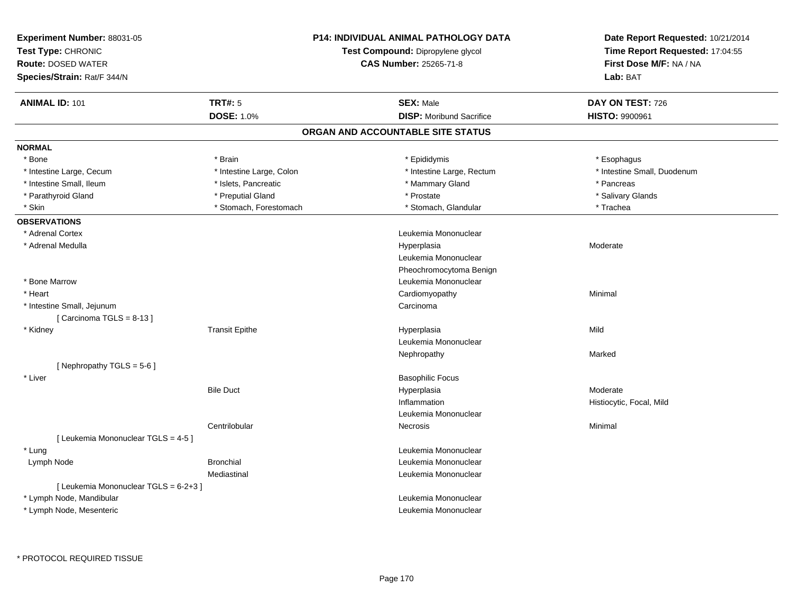| First Dose M/F: NA / NA<br><b>CAS Number: 25265-71-8</b><br>Lab: BAT<br><b>ANIMAL ID: 101</b><br><b>TRT#: 5</b><br><b>SEX: Male</b><br>DAY ON TEST: 726<br><b>DOSE: 1.0%</b><br><b>DISP:</b> Moribund Sacrifice<br>HISTO: 9900961<br>ORGAN AND ACCOUNTABLE SITE STATUS<br>* Bone<br>* Brain<br>* Epididymis<br>* Esophagus<br>* Intestine Large, Cecum<br>* Intestine Large, Colon<br>* Intestine Large, Rectum<br>* Intestine Small, Duodenum<br>* Intestine Small, Ileum<br>* Islets, Pancreatic<br>* Mammary Gland<br>* Pancreas<br>* Preputial Gland<br>* Parathyroid Gland<br>* Prostate<br>* Salivary Glands<br>* Stomach, Forestomach<br>* Stomach, Glandular<br>* Skin<br>* Trachea<br>* Adrenal Cortex<br>Leukemia Mononuclear<br>* Adrenal Medulla<br>Hyperplasia<br>Moderate<br>Leukemia Mononuclear<br>Pheochromocytoma Benign<br>* Bone Marrow<br>Leukemia Mononuclear<br>* Heart<br>Cardiomyopathy<br>Minimal<br>* Intestine Small, Jejunum<br>Carcinoma<br>[Carcinoma TGLS = $8-13$ ]<br>* Kidney<br><b>Transit Epithe</b><br>Hyperplasia<br>Mild<br>Leukemia Mononuclear<br>Marked<br>Nephropathy<br>[Nephropathy TGLS = 5-6]<br>* Liver<br><b>Basophilic Focus</b><br><b>Bile Duct</b><br>Hyperplasia<br>Moderate<br>Inflammation<br>Histiocytic, Focal, Mild<br>Leukemia Mononuclear<br>Centrilobular<br>Minimal<br>Necrosis<br>[ Leukemia Mononuclear TGLS = 4-5 ]<br>* Lung<br>Leukemia Mononuclear<br>Lymph Node<br><b>Bronchial</b><br>Leukemia Mononuclear<br>Mediastinal<br>Leukemia Mononuclear<br>[ Leukemia Mononuclear TGLS = 6-2+3 ]<br>Leukemia Mononuclear<br>* Lymph Node, Mandibular<br>Leukemia Mononuclear<br>* Lymph Node, Mesenteric | Experiment Number: 88031-05<br>Test Type: CHRONIC |  | <b>P14: INDIVIDUAL ANIMAL PATHOLOGY DATA</b><br>Test Compound: Dipropylene glycol | Date Report Requested: 10/21/2014<br>Time Report Requested: 17:04:55 |
|---------------------------------------------------------------------------------------------------------------------------------------------------------------------------------------------------------------------------------------------------------------------------------------------------------------------------------------------------------------------------------------------------------------------------------------------------------------------------------------------------------------------------------------------------------------------------------------------------------------------------------------------------------------------------------------------------------------------------------------------------------------------------------------------------------------------------------------------------------------------------------------------------------------------------------------------------------------------------------------------------------------------------------------------------------------------------------------------------------------------------------------------------------------------------------------------------------------------------------------------------------------------------------------------------------------------------------------------------------------------------------------------------------------------------------------------------------------------------------------------------------------------------------------------------------------------------------------------------------------------------------------------------------------------------|---------------------------------------------------|--|-----------------------------------------------------------------------------------|----------------------------------------------------------------------|
|                                                                                                                                                                                                                                                                                                                                                                                                                                                                                                                                                                                                                                                                                                                                                                                                                                                                                                                                                                                                                                                                                                                                                                                                                                                                                                                                                                                                                                                                                                                                                                                                                                                                           | <b>Route: DOSED WATER</b>                         |  |                                                                                   |                                                                      |
|                                                                                                                                                                                                                                                                                                                                                                                                                                                                                                                                                                                                                                                                                                                                                                                                                                                                                                                                                                                                                                                                                                                                                                                                                                                                                                                                                                                                                                                                                                                                                                                                                                                                           | Species/Strain: Rat/F 344/N                       |  |                                                                                   |                                                                      |
|                                                                                                                                                                                                                                                                                                                                                                                                                                                                                                                                                                                                                                                                                                                                                                                                                                                                                                                                                                                                                                                                                                                                                                                                                                                                                                                                                                                                                                                                                                                                                                                                                                                                           |                                                   |  |                                                                                   |                                                                      |
|                                                                                                                                                                                                                                                                                                                                                                                                                                                                                                                                                                                                                                                                                                                                                                                                                                                                                                                                                                                                                                                                                                                                                                                                                                                                                                                                                                                                                                                                                                                                                                                                                                                                           |                                                   |  |                                                                                   |                                                                      |
|                                                                                                                                                                                                                                                                                                                                                                                                                                                                                                                                                                                                                                                                                                                                                                                                                                                                                                                                                                                                                                                                                                                                                                                                                                                                                                                                                                                                                                                                                                                                                                                                                                                                           |                                                   |  |                                                                                   |                                                                      |
|                                                                                                                                                                                                                                                                                                                                                                                                                                                                                                                                                                                                                                                                                                                                                                                                                                                                                                                                                                                                                                                                                                                                                                                                                                                                                                                                                                                                                                                                                                                                                                                                                                                                           | <b>NORMAL</b>                                     |  |                                                                                   |                                                                      |
|                                                                                                                                                                                                                                                                                                                                                                                                                                                                                                                                                                                                                                                                                                                                                                                                                                                                                                                                                                                                                                                                                                                                                                                                                                                                                                                                                                                                                                                                                                                                                                                                                                                                           |                                                   |  |                                                                                   |                                                                      |
|                                                                                                                                                                                                                                                                                                                                                                                                                                                                                                                                                                                                                                                                                                                                                                                                                                                                                                                                                                                                                                                                                                                                                                                                                                                                                                                                                                                                                                                                                                                                                                                                                                                                           |                                                   |  |                                                                                   |                                                                      |
|                                                                                                                                                                                                                                                                                                                                                                                                                                                                                                                                                                                                                                                                                                                                                                                                                                                                                                                                                                                                                                                                                                                                                                                                                                                                                                                                                                                                                                                                                                                                                                                                                                                                           |                                                   |  |                                                                                   |                                                                      |
|                                                                                                                                                                                                                                                                                                                                                                                                                                                                                                                                                                                                                                                                                                                                                                                                                                                                                                                                                                                                                                                                                                                                                                                                                                                                                                                                                                                                                                                                                                                                                                                                                                                                           |                                                   |  |                                                                                   |                                                                      |
|                                                                                                                                                                                                                                                                                                                                                                                                                                                                                                                                                                                                                                                                                                                                                                                                                                                                                                                                                                                                                                                                                                                                                                                                                                                                                                                                                                                                                                                                                                                                                                                                                                                                           |                                                   |  |                                                                                   |                                                                      |
|                                                                                                                                                                                                                                                                                                                                                                                                                                                                                                                                                                                                                                                                                                                                                                                                                                                                                                                                                                                                                                                                                                                                                                                                                                                                                                                                                                                                                                                                                                                                                                                                                                                                           | <b>OBSERVATIONS</b>                               |  |                                                                                   |                                                                      |
|                                                                                                                                                                                                                                                                                                                                                                                                                                                                                                                                                                                                                                                                                                                                                                                                                                                                                                                                                                                                                                                                                                                                                                                                                                                                                                                                                                                                                                                                                                                                                                                                                                                                           |                                                   |  |                                                                                   |                                                                      |
|                                                                                                                                                                                                                                                                                                                                                                                                                                                                                                                                                                                                                                                                                                                                                                                                                                                                                                                                                                                                                                                                                                                                                                                                                                                                                                                                                                                                                                                                                                                                                                                                                                                                           |                                                   |  |                                                                                   |                                                                      |
|                                                                                                                                                                                                                                                                                                                                                                                                                                                                                                                                                                                                                                                                                                                                                                                                                                                                                                                                                                                                                                                                                                                                                                                                                                                                                                                                                                                                                                                                                                                                                                                                                                                                           |                                                   |  |                                                                                   |                                                                      |
|                                                                                                                                                                                                                                                                                                                                                                                                                                                                                                                                                                                                                                                                                                                                                                                                                                                                                                                                                                                                                                                                                                                                                                                                                                                                                                                                                                                                                                                                                                                                                                                                                                                                           |                                                   |  |                                                                                   |                                                                      |
|                                                                                                                                                                                                                                                                                                                                                                                                                                                                                                                                                                                                                                                                                                                                                                                                                                                                                                                                                                                                                                                                                                                                                                                                                                                                                                                                                                                                                                                                                                                                                                                                                                                                           |                                                   |  |                                                                                   |                                                                      |
|                                                                                                                                                                                                                                                                                                                                                                                                                                                                                                                                                                                                                                                                                                                                                                                                                                                                                                                                                                                                                                                                                                                                                                                                                                                                                                                                                                                                                                                                                                                                                                                                                                                                           |                                                   |  |                                                                                   |                                                                      |
|                                                                                                                                                                                                                                                                                                                                                                                                                                                                                                                                                                                                                                                                                                                                                                                                                                                                                                                                                                                                                                                                                                                                                                                                                                                                                                                                                                                                                                                                                                                                                                                                                                                                           |                                                   |  |                                                                                   |                                                                      |
|                                                                                                                                                                                                                                                                                                                                                                                                                                                                                                                                                                                                                                                                                                                                                                                                                                                                                                                                                                                                                                                                                                                                                                                                                                                                                                                                                                                                                                                                                                                                                                                                                                                                           |                                                   |  |                                                                                   |                                                                      |
|                                                                                                                                                                                                                                                                                                                                                                                                                                                                                                                                                                                                                                                                                                                                                                                                                                                                                                                                                                                                                                                                                                                                                                                                                                                                                                                                                                                                                                                                                                                                                                                                                                                                           |                                                   |  |                                                                                   |                                                                      |
|                                                                                                                                                                                                                                                                                                                                                                                                                                                                                                                                                                                                                                                                                                                                                                                                                                                                                                                                                                                                                                                                                                                                                                                                                                                                                                                                                                                                                                                                                                                                                                                                                                                                           |                                                   |  |                                                                                   |                                                                      |
|                                                                                                                                                                                                                                                                                                                                                                                                                                                                                                                                                                                                                                                                                                                                                                                                                                                                                                                                                                                                                                                                                                                                                                                                                                                                                                                                                                                                                                                                                                                                                                                                                                                                           |                                                   |  |                                                                                   |                                                                      |
|                                                                                                                                                                                                                                                                                                                                                                                                                                                                                                                                                                                                                                                                                                                                                                                                                                                                                                                                                                                                                                                                                                                                                                                                                                                                                                                                                                                                                                                                                                                                                                                                                                                                           |                                                   |  |                                                                                   |                                                                      |
|                                                                                                                                                                                                                                                                                                                                                                                                                                                                                                                                                                                                                                                                                                                                                                                                                                                                                                                                                                                                                                                                                                                                                                                                                                                                                                                                                                                                                                                                                                                                                                                                                                                                           |                                                   |  |                                                                                   |                                                                      |
|                                                                                                                                                                                                                                                                                                                                                                                                                                                                                                                                                                                                                                                                                                                                                                                                                                                                                                                                                                                                                                                                                                                                                                                                                                                                                                                                                                                                                                                                                                                                                                                                                                                                           |                                                   |  |                                                                                   |                                                                      |
|                                                                                                                                                                                                                                                                                                                                                                                                                                                                                                                                                                                                                                                                                                                                                                                                                                                                                                                                                                                                                                                                                                                                                                                                                                                                                                                                                                                                                                                                                                                                                                                                                                                                           |                                                   |  |                                                                                   |                                                                      |
|                                                                                                                                                                                                                                                                                                                                                                                                                                                                                                                                                                                                                                                                                                                                                                                                                                                                                                                                                                                                                                                                                                                                                                                                                                                                                                                                                                                                                                                                                                                                                                                                                                                                           |                                                   |  |                                                                                   |                                                                      |
|                                                                                                                                                                                                                                                                                                                                                                                                                                                                                                                                                                                                                                                                                                                                                                                                                                                                                                                                                                                                                                                                                                                                                                                                                                                                                                                                                                                                                                                                                                                                                                                                                                                                           |                                                   |  |                                                                                   |                                                                      |
|                                                                                                                                                                                                                                                                                                                                                                                                                                                                                                                                                                                                                                                                                                                                                                                                                                                                                                                                                                                                                                                                                                                                                                                                                                                                                                                                                                                                                                                                                                                                                                                                                                                                           |                                                   |  |                                                                                   |                                                                      |
|                                                                                                                                                                                                                                                                                                                                                                                                                                                                                                                                                                                                                                                                                                                                                                                                                                                                                                                                                                                                                                                                                                                                                                                                                                                                                                                                                                                                                                                                                                                                                                                                                                                                           |                                                   |  |                                                                                   |                                                                      |
|                                                                                                                                                                                                                                                                                                                                                                                                                                                                                                                                                                                                                                                                                                                                                                                                                                                                                                                                                                                                                                                                                                                                                                                                                                                                                                                                                                                                                                                                                                                                                                                                                                                                           |                                                   |  |                                                                                   |                                                                      |
|                                                                                                                                                                                                                                                                                                                                                                                                                                                                                                                                                                                                                                                                                                                                                                                                                                                                                                                                                                                                                                                                                                                                                                                                                                                                                                                                                                                                                                                                                                                                                                                                                                                                           |                                                   |  |                                                                                   |                                                                      |
|                                                                                                                                                                                                                                                                                                                                                                                                                                                                                                                                                                                                                                                                                                                                                                                                                                                                                                                                                                                                                                                                                                                                                                                                                                                                                                                                                                                                                                                                                                                                                                                                                                                                           |                                                   |  |                                                                                   |                                                                      |
|                                                                                                                                                                                                                                                                                                                                                                                                                                                                                                                                                                                                                                                                                                                                                                                                                                                                                                                                                                                                                                                                                                                                                                                                                                                                                                                                                                                                                                                                                                                                                                                                                                                                           |                                                   |  |                                                                                   |                                                                      |
|                                                                                                                                                                                                                                                                                                                                                                                                                                                                                                                                                                                                                                                                                                                                                                                                                                                                                                                                                                                                                                                                                                                                                                                                                                                                                                                                                                                                                                                                                                                                                                                                                                                                           |                                                   |  |                                                                                   |                                                                      |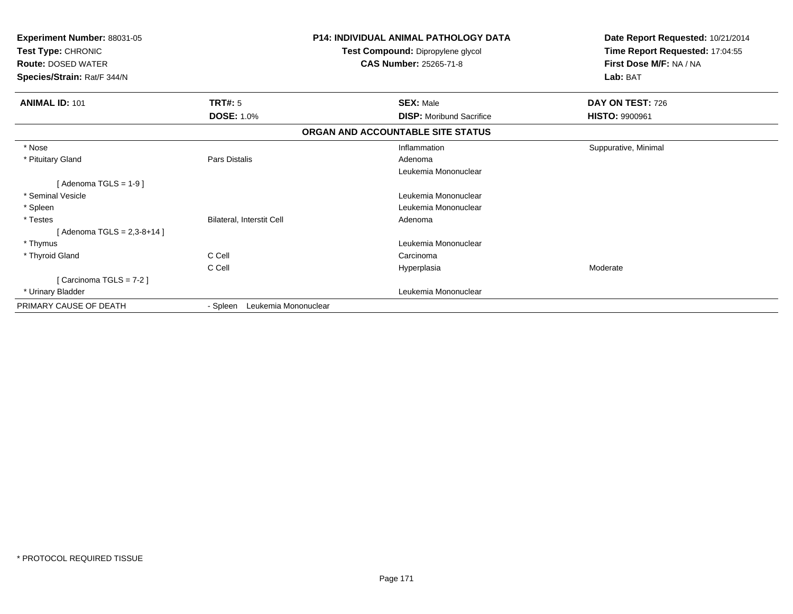| Experiment Number: 88031-05<br>Test Type: CHRONIC<br><b>Route: DOSED WATER</b><br>Species/Strain: Rat/F 344/N |                                  | <b>P14: INDIVIDUAL ANIMAL PATHOLOGY DATA</b><br>Test Compound: Dipropylene glycol<br><b>CAS Number: 25265-71-8</b> | Date Report Requested: 10/21/2014<br>Time Report Requested: 17:04:55<br>First Dose M/F: NA / NA<br>Lab: BAT |
|---------------------------------------------------------------------------------------------------------------|----------------------------------|--------------------------------------------------------------------------------------------------------------------|-------------------------------------------------------------------------------------------------------------|
| <b>ANIMAL ID: 101</b>                                                                                         | <b>TRT#: 5</b>                   | <b>SEX: Male</b>                                                                                                   | DAY ON TEST: 726                                                                                            |
|                                                                                                               | <b>DOSE: 1.0%</b>                | <b>DISP:</b> Moribund Sacrifice                                                                                    | <b>HISTO: 9900961</b>                                                                                       |
|                                                                                                               |                                  | ORGAN AND ACCOUNTABLE SITE STATUS                                                                                  |                                                                                                             |
| * Nose                                                                                                        |                                  | Inflammation                                                                                                       | Suppurative, Minimal                                                                                        |
| * Pituitary Gland                                                                                             | Pars Distalis                    | Adenoma                                                                                                            |                                                                                                             |
|                                                                                                               |                                  | Leukemia Mononuclear                                                                                               |                                                                                                             |
| [Adenoma TGLS = $1-9$ ]                                                                                       |                                  |                                                                                                                    |                                                                                                             |
| * Seminal Vesicle                                                                                             |                                  | Leukemia Mononuclear                                                                                               |                                                                                                             |
| * Spleen                                                                                                      |                                  | Leukemia Mononuclear                                                                                               |                                                                                                             |
| * Testes                                                                                                      | Bilateral, Interstit Cell        | Adenoma                                                                                                            |                                                                                                             |
| [Adenoma TGLS = $2,3-8+14$ ]                                                                                  |                                  |                                                                                                                    |                                                                                                             |
| * Thymus                                                                                                      |                                  | Leukemia Mononuclear                                                                                               |                                                                                                             |
| * Thyroid Gland                                                                                               | C Cell                           | Carcinoma                                                                                                          |                                                                                                             |
|                                                                                                               | C Cell                           | Hyperplasia                                                                                                        | Moderate                                                                                                    |
| [Carcinoma TGLS = 7-2]                                                                                        |                                  |                                                                                                                    |                                                                                                             |
| * Urinary Bladder                                                                                             |                                  | Leukemia Mononuclear                                                                                               |                                                                                                             |
| PRIMARY CAUSE OF DEATH                                                                                        | Leukemia Mononuclear<br>- Spleen |                                                                                                                    |                                                                                                             |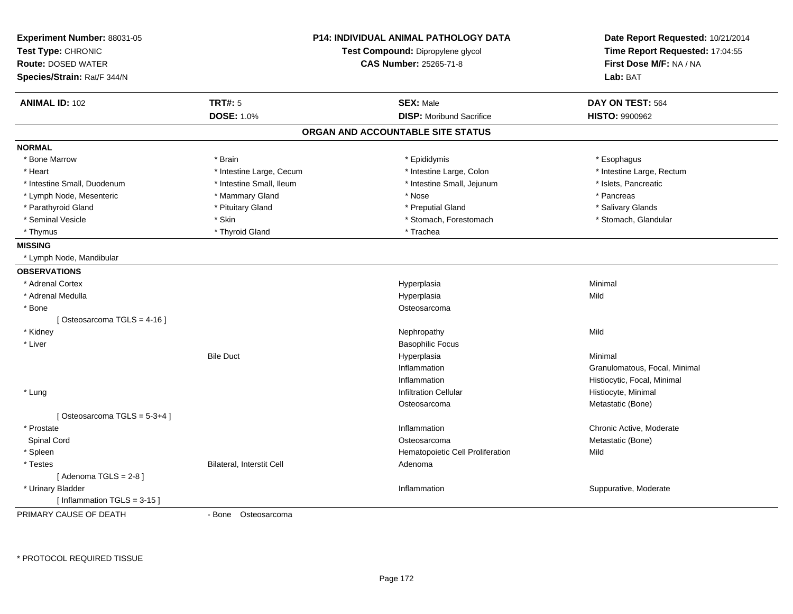| Test Compound: Dipropylene glycol<br>Time Report Requested: 17:04:55<br>First Dose M/F: NA / NA<br><b>CAS Number: 25265-71-8</b><br>Lab: BAT<br><b>TRT#: 5</b><br><b>SEX: Male</b><br>DAY ON TEST: 564<br><b>DOSE: 1.0%</b><br><b>DISP:</b> Moribund Sacrifice<br><b>HISTO: 9900962</b><br>ORGAN AND ACCOUNTABLE SITE STATUS<br>* Bone Marrow<br>* Brain<br>* Epididymis<br>* Esophagus<br>* Intestine Large, Rectum<br>* Heart<br>* Intestine Large, Cecum<br>* Intestine Large, Colon<br>* Intestine Small, Ileum<br>* Intestine Small, Jejunum<br>* Islets, Pancreatic<br>* Intestine Small, Duodenum<br>* Pancreas<br>* Lymph Node, Mesenteric<br>* Mammary Gland<br>* Nose<br>* Parathyroid Gland<br>* Pituitary Gland<br>* Preputial Gland<br>* Salivary Glands<br>* Seminal Vesicle<br>* Skin<br>* Stomach, Forestomach<br>* Stomach, Glandular<br>* Thyroid Gland<br>* Trachea<br>* Thymus<br>* Lymph Node, Mandibular<br>* Adrenal Cortex<br>Hyperplasia<br>Minimal<br>* Adrenal Medulla<br>Hyperplasia<br>Mild<br>* Bone<br>Osteosarcoma<br>[Osteosarcoma TGLS = 4-16]<br>* Kidney<br>Mild<br>Nephropathy<br>* Liver<br><b>Basophilic Focus</b><br><b>Bile Duct</b><br>Hyperplasia<br>Minimal<br>Inflammation<br>Granulomatous, Focal, Minimal<br>Inflammation<br>Histiocytic, Focal, Minimal<br>* Lung<br><b>Infiltration Cellular</b><br>Histiocyte, Minimal<br>Metastatic (Bone)<br>Osteosarcoma<br>[Osteosarcoma TGLS = 5-3+4]<br>* Prostate<br>Inflammation<br>Chronic Active, Moderate<br>Spinal Cord<br>Osteosarcoma<br>Metastatic (Bone)<br>* Spleen<br>Hematopoietic Cell Proliferation<br>Mild<br>* Testes<br><b>Bilateral, Interstit Cell</b><br>Adenoma<br>[Adenoma TGLS = $2-8$ ]<br>* Urinary Bladder<br>Inflammation<br>Suppurative, Moderate<br>[Inflammation TGLS = $3-15$ ]<br>- Bone Osteosarcoma | Experiment Number: 88031-05 | <b>P14: INDIVIDUAL ANIMAL PATHOLOGY DATA</b> | Date Report Requested: 10/21/2014 |
|--------------------------------------------------------------------------------------------------------------------------------------------------------------------------------------------------------------------------------------------------------------------------------------------------------------------------------------------------------------------------------------------------------------------------------------------------------------------------------------------------------------------------------------------------------------------------------------------------------------------------------------------------------------------------------------------------------------------------------------------------------------------------------------------------------------------------------------------------------------------------------------------------------------------------------------------------------------------------------------------------------------------------------------------------------------------------------------------------------------------------------------------------------------------------------------------------------------------------------------------------------------------------------------------------------------------------------------------------------------------------------------------------------------------------------------------------------------------------------------------------------------------------------------------------------------------------------------------------------------------------------------------------------------------------------------------------------------------------------------------------------------------------------------------------------------------------------|-----------------------------|----------------------------------------------|-----------------------------------|
|                                                                                                                                                                                                                                                                                                                                                                                                                                                                                                                                                                                                                                                                                                                                                                                                                                                                                                                                                                                                                                                                                                                                                                                                                                                                                                                                                                                                                                                                                                                                                                                                                                                                                                                                                                                                                                | Test Type: CHRONIC          |                                              |                                   |
|                                                                                                                                                                                                                                                                                                                                                                                                                                                                                                                                                                                                                                                                                                                                                                                                                                                                                                                                                                                                                                                                                                                                                                                                                                                                                                                                                                                                                                                                                                                                                                                                                                                                                                                                                                                                                                | <b>Route: DOSED WATER</b>   |                                              |                                   |
|                                                                                                                                                                                                                                                                                                                                                                                                                                                                                                                                                                                                                                                                                                                                                                                                                                                                                                                                                                                                                                                                                                                                                                                                                                                                                                                                                                                                                                                                                                                                                                                                                                                                                                                                                                                                                                | Species/Strain: Rat/F 344/N |                                              |                                   |
|                                                                                                                                                                                                                                                                                                                                                                                                                                                                                                                                                                                                                                                                                                                                                                                                                                                                                                                                                                                                                                                                                                                                                                                                                                                                                                                                                                                                                                                                                                                                                                                                                                                                                                                                                                                                                                | <b>ANIMAL ID: 102</b>       |                                              |                                   |
|                                                                                                                                                                                                                                                                                                                                                                                                                                                                                                                                                                                                                                                                                                                                                                                                                                                                                                                                                                                                                                                                                                                                                                                                                                                                                                                                                                                                                                                                                                                                                                                                                                                                                                                                                                                                                                |                             |                                              |                                   |
|                                                                                                                                                                                                                                                                                                                                                                                                                                                                                                                                                                                                                                                                                                                                                                                                                                                                                                                                                                                                                                                                                                                                                                                                                                                                                                                                                                                                                                                                                                                                                                                                                                                                                                                                                                                                                                |                             |                                              |                                   |
|                                                                                                                                                                                                                                                                                                                                                                                                                                                                                                                                                                                                                                                                                                                                                                                                                                                                                                                                                                                                                                                                                                                                                                                                                                                                                                                                                                                                                                                                                                                                                                                                                                                                                                                                                                                                                                | <b>NORMAL</b>               |                                              |                                   |
|                                                                                                                                                                                                                                                                                                                                                                                                                                                                                                                                                                                                                                                                                                                                                                                                                                                                                                                                                                                                                                                                                                                                                                                                                                                                                                                                                                                                                                                                                                                                                                                                                                                                                                                                                                                                                                |                             |                                              |                                   |
|                                                                                                                                                                                                                                                                                                                                                                                                                                                                                                                                                                                                                                                                                                                                                                                                                                                                                                                                                                                                                                                                                                                                                                                                                                                                                                                                                                                                                                                                                                                                                                                                                                                                                                                                                                                                                                |                             |                                              |                                   |
|                                                                                                                                                                                                                                                                                                                                                                                                                                                                                                                                                                                                                                                                                                                                                                                                                                                                                                                                                                                                                                                                                                                                                                                                                                                                                                                                                                                                                                                                                                                                                                                                                                                                                                                                                                                                                                |                             |                                              |                                   |
|                                                                                                                                                                                                                                                                                                                                                                                                                                                                                                                                                                                                                                                                                                                                                                                                                                                                                                                                                                                                                                                                                                                                                                                                                                                                                                                                                                                                                                                                                                                                                                                                                                                                                                                                                                                                                                |                             |                                              |                                   |
|                                                                                                                                                                                                                                                                                                                                                                                                                                                                                                                                                                                                                                                                                                                                                                                                                                                                                                                                                                                                                                                                                                                                                                                                                                                                                                                                                                                                                                                                                                                                                                                                                                                                                                                                                                                                                                |                             |                                              |                                   |
|                                                                                                                                                                                                                                                                                                                                                                                                                                                                                                                                                                                                                                                                                                                                                                                                                                                                                                                                                                                                                                                                                                                                                                                                                                                                                                                                                                                                                                                                                                                                                                                                                                                                                                                                                                                                                                |                             |                                              |                                   |
|                                                                                                                                                                                                                                                                                                                                                                                                                                                                                                                                                                                                                                                                                                                                                                                                                                                                                                                                                                                                                                                                                                                                                                                                                                                                                                                                                                                                                                                                                                                                                                                                                                                                                                                                                                                                                                |                             |                                              |                                   |
|                                                                                                                                                                                                                                                                                                                                                                                                                                                                                                                                                                                                                                                                                                                                                                                                                                                                                                                                                                                                                                                                                                                                                                                                                                                                                                                                                                                                                                                                                                                                                                                                                                                                                                                                                                                                                                | <b>MISSING</b>              |                                              |                                   |
|                                                                                                                                                                                                                                                                                                                                                                                                                                                                                                                                                                                                                                                                                                                                                                                                                                                                                                                                                                                                                                                                                                                                                                                                                                                                                                                                                                                                                                                                                                                                                                                                                                                                                                                                                                                                                                |                             |                                              |                                   |
|                                                                                                                                                                                                                                                                                                                                                                                                                                                                                                                                                                                                                                                                                                                                                                                                                                                                                                                                                                                                                                                                                                                                                                                                                                                                                                                                                                                                                                                                                                                                                                                                                                                                                                                                                                                                                                | <b>OBSERVATIONS</b>         |                                              |                                   |
|                                                                                                                                                                                                                                                                                                                                                                                                                                                                                                                                                                                                                                                                                                                                                                                                                                                                                                                                                                                                                                                                                                                                                                                                                                                                                                                                                                                                                                                                                                                                                                                                                                                                                                                                                                                                                                |                             |                                              |                                   |
|                                                                                                                                                                                                                                                                                                                                                                                                                                                                                                                                                                                                                                                                                                                                                                                                                                                                                                                                                                                                                                                                                                                                                                                                                                                                                                                                                                                                                                                                                                                                                                                                                                                                                                                                                                                                                                |                             |                                              |                                   |
|                                                                                                                                                                                                                                                                                                                                                                                                                                                                                                                                                                                                                                                                                                                                                                                                                                                                                                                                                                                                                                                                                                                                                                                                                                                                                                                                                                                                                                                                                                                                                                                                                                                                                                                                                                                                                                |                             |                                              |                                   |
|                                                                                                                                                                                                                                                                                                                                                                                                                                                                                                                                                                                                                                                                                                                                                                                                                                                                                                                                                                                                                                                                                                                                                                                                                                                                                                                                                                                                                                                                                                                                                                                                                                                                                                                                                                                                                                |                             |                                              |                                   |
|                                                                                                                                                                                                                                                                                                                                                                                                                                                                                                                                                                                                                                                                                                                                                                                                                                                                                                                                                                                                                                                                                                                                                                                                                                                                                                                                                                                                                                                                                                                                                                                                                                                                                                                                                                                                                                |                             |                                              |                                   |
|                                                                                                                                                                                                                                                                                                                                                                                                                                                                                                                                                                                                                                                                                                                                                                                                                                                                                                                                                                                                                                                                                                                                                                                                                                                                                                                                                                                                                                                                                                                                                                                                                                                                                                                                                                                                                                |                             |                                              |                                   |
|                                                                                                                                                                                                                                                                                                                                                                                                                                                                                                                                                                                                                                                                                                                                                                                                                                                                                                                                                                                                                                                                                                                                                                                                                                                                                                                                                                                                                                                                                                                                                                                                                                                                                                                                                                                                                                |                             |                                              |                                   |
|                                                                                                                                                                                                                                                                                                                                                                                                                                                                                                                                                                                                                                                                                                                                                                                                                                                                                                                                                                                                                                                                                                                                                                                                                                                                                                                                                                                                                                                                                                                                                                                                                                                                                                                                                                                                                                |                             |                                              |                                   |
|                                                                                                                                                                                                                                                                                                                                                                                                                                                                                                                                                                                                                                                                                                                                                                                                                                                                                                                                                                                                                                                                                                                                                                                                                                                                                                                                                                                                                                                                                                                                                                                                                                                                                                                                                                                                                                |                             |                                              |                                   |
|                                                                                                                                                                                                                                                                                                                                                                                                                                                                                                                                                                                                                                                                                                                                                                                                                                                                                                                                                                                                                                                                                                                                                                                                                                                                                                                                                                                                                                                                                                                                                                                                                                                                                                                                                                                                                                |                             |                                              |                                   |
|                                                                                                                                                                                                                                                                                                                                                                                                                                                                                                                                                                                                                                                                                                                                                                                                                                                                                                                                                                                                                                                                                                                                                                                                                                                                                                                                                                                                                                                                                                                                                                                                                                                                                                                                                                                                                                |                             |                                              |                                   |
|                                                                                                                                                                                                                                                                                                                                                                                                                                                                                                                                                                                                                                                                                                                                                                                                                                                                                                                                                                                                                                                                                                                                                                                                                                                                                                                                                                                                                                                                                                                                                                                                                                                                                                                                                                                                                                |                             |                                              |                                   |
|                                                                                                                                                                                                                                                                                                                                                                                                                                                                                                                                                                                                                                                                                                                                                                                                                                                                                                                                                                                                                                                                                                                                                                                                                                                                                                                                                                                                                                                                                                                                                                                                                                                                                                                                                                                                                                |                             |                                              |                                   |
|                                                                                                                                                                                                                                                                                                                                                                                                                                                                                                                                                                                                                                                                                                                                                                                                                                                                                                                                                                                                                                                                                                                                                                                                                                                                                                                                                                                                                                                                                                                                                                                                                                                                                                                                                                                                                                |                             |                                              |                                   |
|                                                                                                                                                                                                                                                                                                                                                                                                                                                                                                                                                                                                                                                                                                                                                                                                                                                                                                                                                                                                                                                                                                                                                                                                                                                                                                                                                                                                                                                                                                                                                                                                                                                                                                                                                                                                                                |                             |                                              |                                   |
|                                                                                                                                                                                                                                                                                                                                                                                                                                                                                                                                                                                                                                                                                                                                                                                                                                                                                                                                                                                                                                                                                                                                                                                                                                                                                                                                                                                                                                                                                                                                                                                                                                                                                                                                                                                                                                |                             |                                              |                                   |
|                                                                                                                                                                                                                                                                                                                                                                                                                                                                                                                                                                                                                                                                                                                                                                                                                                                                                                                                                                                                                                                                                                                                                                                                                                                                                                                                                                                                                                                                                                                                                                                                                                                                                                                                                                                                                                |                             |                                              |                                   |
|                                                                                                                                                                                                                                                                                                                                                                                                                                                                                                                                                                                                                                                                                                                                                                                                                                                                                                                                                                                                                                                                                                                                                                                                                                                                                                                                                                                                                                                                                                                                                                                                                                                                                                                                                                                                                                |                             |                                              |                                   |
|                                                                                                                                                                                                                                                                                                                                                                                                                                                                                                                                                                                                                                                                                                                                                                                                                                                                                                                                                                                                                                                                                                                                                                                                                                                                                                                                                                                                                                                                                                                                                                                                                                                                                                                                                                                                                                |                             |                                              |                                   |
|                                                                                                                                                                                                                                                                                                                                                                                                                                                                                                                                                                                                                                                                                                                                                                                                                                                                                                                                                                                                                                                                                                                                                                                                                                                                                                                                                                                                                                                                                                                                                                                                                                                                                                                                                                                                                                | PRIMARY CAUSE OF DEATH      |                                              |                                   |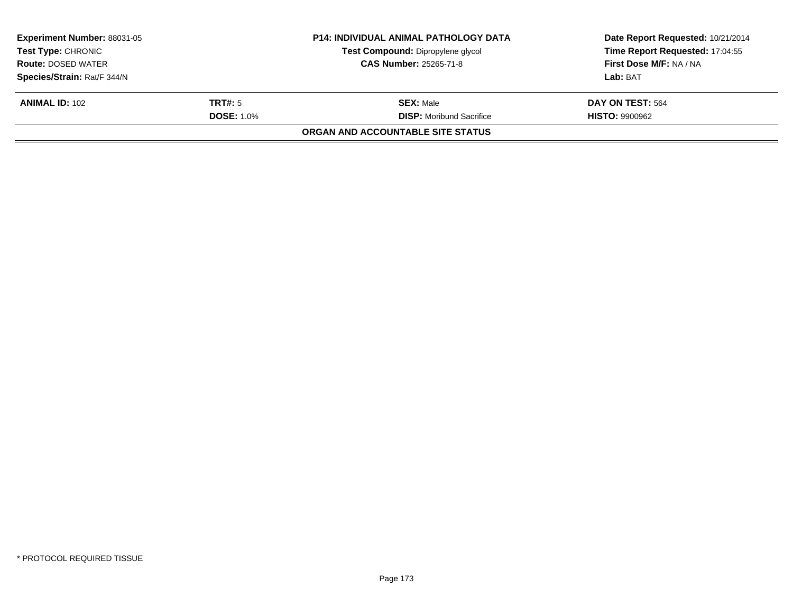| <b>Experiment Number: 88031-05</b><br><b>Test Type: CHRONIC</b><br><b>Route: DOSED WATER</b><br>Species/Strain: Rat/F 344/N |                                     | <b>P14: INDIVIDUAL ANIMAL PATHOLOGY DATA</b><br>Test Compound: Dipropylene glycol<br>CAS Number: 25265-71-8 | Date Report Requested: 10/21/2014<br>Time Report Requested: 17:04:55<br>First Dose M/F: NA / NA<br>Lab: BAT |
|-----------------------------------------------------------------------------------------------------------------------------|-------------------------------------|-------------------------------------------------------------------------------------------------------------|-------------------------------------------------------------------------------------------------------------|
| <b>ANIMAL ID: 102</b>                                                                                                       | <b>TRT#:</b> 5<br><b>DOSE: 1.0%</b> | <b>SEX: Male</b><br><b>DISP:</b> Moribund Sacrifice                                                         | DAY ON TEST: 564<br><b>HISTO: 9900962</b>                                                                   |
|                                                                                                                             |                                     | ORGAN AND ACCOUNTABLE SITE STATUS                                                                           |                                                                                                             |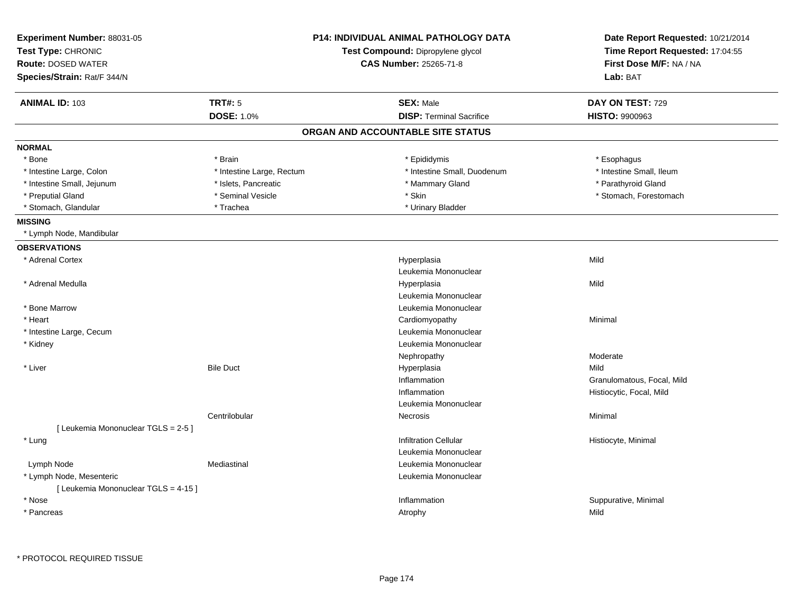| Experiment Number: 88031-05<br>Test Type: CHRONIC<br><b>Route: DOSED WATER</b><br>Species/Strain: Rat/F 344/N |                           | <b>P14: INDIVIDUAL ANIMAL PATHOLOGY DATA</b><br>Test Compound: Dipropylene glycol<br><b>CAS Number: 25265-71-8</b> | Date Report Requested: 10/21/2014<br>Time Report Requested: 17:04:55<br>First Dose M/F: NA / NA<br>Lab: BAT |
|---------------------------------------------------------------------------------------------------------------|---------------------------|--------------------------------------------------------------------------------------------------------------------|-------------------------------------------------------------------------------------------------------------|
| <b>ANIMAL ID: 103</b>                                                                                         | <b>TRT#: 5</b>            | <b>SEX: Male</b>                                                                                                   | DAY ON TEST: 729                                                                                            |
|                                                                                                               | <b>DOSE: 1.0%</b>         | <b>DISP: Terminal Sacrifice</b>                                                                                    | HISTO: 9900963                                                                                              |
|                                                                                                               |                           | ORGAN AND ACCOUNTABLE SITE STATUS                                                                                  |                                                                                                             |
| <b>NORMAL</b>                                                                                                 |                           |                                                                                                                    |                                                                                                             |
| * Bone                                                                                                        | * Brain                   | * Epididymis                                                                                                       | * Esophagus                                                                                                 |
| * Intestine Large, Colon                                                                                      | * Intestine Large, Rectum | * Intestine Small, Duodenum                                                                                        | * Intestine Small, Ileum                                                                                    |
| * Intestine Small, Jejunum                                                                                    | * Islets, Pancreatic      | * Mammary Gland                                                                                                    | * Parathyroid Gland                                                                                         |
| * Preputial Gland                                                                                             | * Seminal Vesicle         | * Skin                                                                                                             | * Stomach, Forestomach                                                                                      |
| * Stomach, Glandular                                                                                          | * Trachea                 | * Urinary Bladder                                                                                                  |                                                                                                             |
| <b>MISSING</b>                                                                                                |                           |                                                                                                                    |                                                                                                             |
| * Lymph Node, Mandibular                                                                                      |                           |                                                                                                                    |                                                                                                             |
| <b>OBSERVATIONS</b>                                                                                           |                           |                                                                                                                    |                                                                                                             |
| * Adrenal Cortex                                                                                              |                           | Hyperplasia                                                                                                        | Mild                                                                                                        |
|                                                                                                               |                           | Leukemia Mononuclear                                                                                               |                                                                                                             |
| * Adrenal Medulla                                                                                             |                           | Hyperplasia                                                                                                        | Mild                                                                                                        |
|                                                                                                               |                           | Leukemia Mononuclear                                                                                               |                                                                                                             |
| * Bone Marrow                                                                                                 |                           | Leukemia Mononuclear                                                                                               |                                                                                                             |
| * Heart                                                                                                       |                           | Cardiomyopathy                                                                                                     | Minimal                                                                                                     |
| * Intestine Large, Cecum                                                                                      |                           | Leukemia Mononuclear                                                                                               |                                                                                                             |
| * Kidney                                                                                                      |                           | Leukemia Mononuclear                                                                                               |                                                                                                             |
|                                                                                                               |                           | Nephropathy                                                                                                        | Moderate                                                                                                    |
| * Liver                                                                                                       | <b>Bile Duct</b>          | Hyperplasia                                                                                                        | Mild                                                                                                        |
|                                                                                                               |                           | Inflammation                                                                                                       | Granulomatous, Focal, Mild                                                                                  |
|                                                                                                               |                           | Inflammation                                                                                                       | Histiocytic, Focal, Mild                                                                                    |
|                                                                                                               |                           | Leukemia Mononuclear                                                                                               |                                                                                                             |
|                                                                                                               | Centrilobular             | <b>Necrosis</b>                                                                                                    | Minimal                                                                                                     |
| [ Leukemia Mononuclear TGLS = 2-5 ]                                                                           |                           |                                                                                                                    |                                                                                                             |
| * Lung                                                                                                        |                           | <b>Infiltration Cellular</b>                                                                                       | Histiocyte, Minimal                                                                                         |
|                                                                                                               |                           | Leukemia Mononuclear                                                                                               |                                                                                                             |
| Lymph Node                                                                                                    | Mediastinal               | Leukemia Mononuclear                                                                                               |                                                                                                             |
| * Lymph Node, Mesenteric                                                                                      |                           | Leukemia Mononuclear                                                                                               |                                                                                                             |
| [ Leukemia Mononuclear TGLS = 4-15 ]                                                                          |                           |                                                                                                                    |                                                                                                             |
| * Nose                                                                                                        |                           | Inflammation                                                                                                       | Suppurative, Minimal                                                                                        |
| * Pancreas                                                                                                    |                           | Atrophy                                                                                                            | Mild                                                                                                        |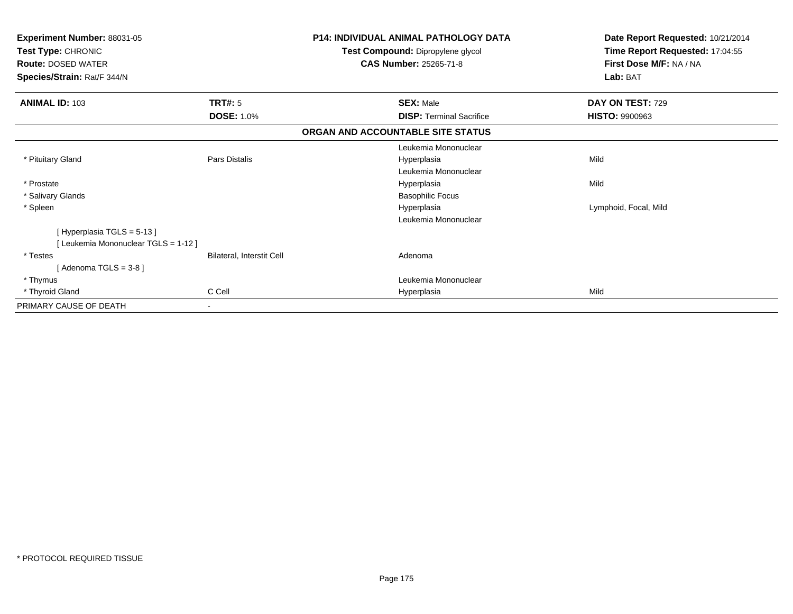| Experiment Number: 88031-05                     |                           | <b>P14: INDIVIDUAL ANIMAL PATHOLOGY DATA</b>                       | Date Report Requested: 10/21/2014                          |
|-------------------------------------------------|---------------------------|--------------------------------------------------------------------|------------------------------------------------------------|
| Test Type: CHRONIC<br><b>Route: DOSED WATER</b> |                           | Test Compound: Dipropylene glycol<br><b>CAS Number: 25265-71-8</b> | Time Report Requested: 17:04:55<br>First Dose M/F: NA / NA |
| Species/Strain: Rat/F 344/N                     |                           |                                                                    | Lab: BAT                                                   |
|                                                 |                           |                                                                    |                                                            |
| <b>ANIMAL ID: 103</b>                           | <b>TRT#:</b> 5            | <b>SEX: Male</b>                                                   | DAY ON TEST: 729                                           |
|                                                 | <b>DOSE: 1.0%</b>         | <b>DISP: Terminal Sacrifice</b>                                    | <b>HISTO: 9900963</b>                                      |
|                                                 |                           | ORGAN AND ACCOUNTABLE SITE STATUS                                  |                                                            |
|                                                 |                           | Leukemia Mononuclear                                               |                                                            |
| * Pituitary Gland                               | Pars Distalis             | Hyperplasia                                                        | Mild                                                       |
|                                                 |                           | Leukemia Mononuclear                                               |                                                            |
| * Prostate                                      |                           | Hyperplasia                                                        | Mild                                                       |
| * Salivary Glands                               |                           | <b>Basophilic Focus</b>                                            |                                                            |
| * Spleen                                        |                           | Hyperplasia                                                        | Lymphoid, Focal, Mild                                      |
|                                                 |                           | Leukemia Mononuclear                                               |                                                            |
| [Hyperplasia TGLS = 5-13]                       |                           |                                                                    |                                                            |
| [Leukemia Mononuclear TGLS = 1-12]              |                           |                                                                    |                                                            |
| * Testes                                        | Bilateral, Interstit Cell | Adenoma                                                            |                                                            |
| [Adenoma TGLS = $3-8$ ]                         |                           |                                                                    |                                                            |
| * Thymus                                        |                           | Leukemia Mononuclear                                               |                                                            |
| * Thyroid Gland                                 | C Cell                    | Hyperplasia                                                        | Mild                                                       |
| PRIMARY CAUSE OF DEATH                          |                           |                                                                    |                                                            |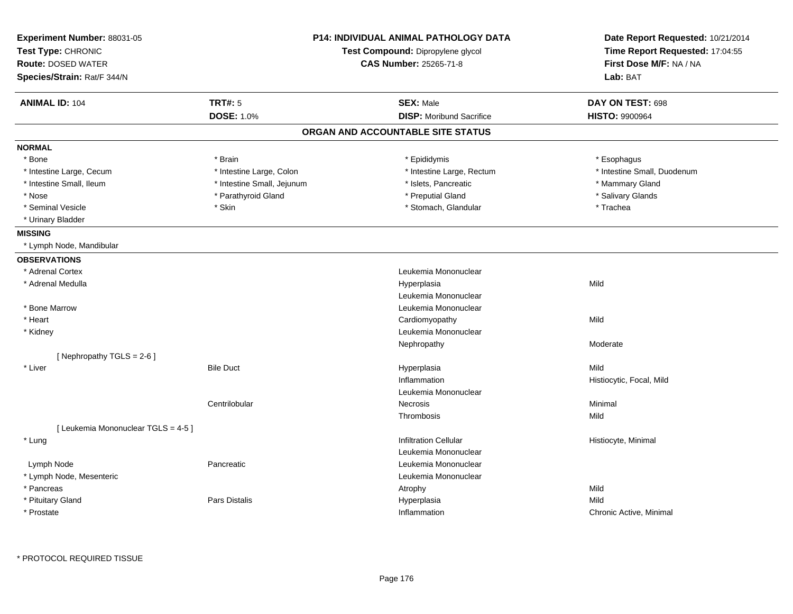| Experiment Number: 88031-05<br>Test Type: CHRONIC<br><b>Route: DOSED WATER</b><br>Species/Strain: Rat/F 344/N |                            | <b>P14: INDIVIDUAL ANIMAL PATHOLOGY DATA</b><br>Test Compound: Dipropylene glycol<br>CAS Number: 25265-71-8 | Date Report Requested: 10/21/2014<br>Time Report Requested: 17:04:55<br>First Dose M/F: NA / NA<br>Lab: BAT |
|---------------------------------------------------------------------------------------------------------------|----------------------------|-------------------------------------------------------------------------------------------------------------|-------------------------------------------------------------------------------------------------------------|
| <b>ANIMAL ID: 104</b>                                                                                         | <b>TRT#: 5</b>             | <b>SEX: Male</b>                                                                                            | DAY ON TEST: 698                                                                                            |
|                                                                                                               | <b>DOSE: 1.0%</b>          | <b>DISP:</b> Moribund Sacrifice                                                                             | <b>HISTO: 9900964</b>                                                                                       |
|                                                                                                               |                            | ORGAN AND ACCOUNTABLE SITE STATUS                                                                           |                                                                                                             |
| <b>NORMAL</b>                                                                                                 |                            |                                                                                                             |                                                                                                             |
| * Bone                                                                                                        | * Brain                    | * Epididymis                                                                                                | * Esophagus                                                                                                 |
| * Intestine Large, Cecum                                                                                      | * Intestine Large, Colon   | * Intestine Large, Rectum                                                                                   | * Intestine Small, Duodenum                                                                                 |
| * Intestine Small, Ileum                                                                                      | * Intestine Small, Jejunum | * Islets, Pancreatic                                                                                        | * Mammary Gland                                                                                             |
| * Nose                                                                                                        | * Parathyroid Gland        | * Preputial Gland                                                                                           | * Salivary Glands                                                                                           |
| * Seminal Vesicle                                                                                             | * Skin                     | * Stomach, Glandular                                                                                        | * Trachea                                                                                                   |
| * Urinary Bladder                                                                                             |                            |                                                                                                             |                                                                                                             |
| <b>MISSING</b>                                                                                                |                            |                                                                                                             |                                                                                                             |
| * Lymph Node, Mandibular                                                                                      |                            |                                                                                                             |                                                                                                             |
| <b>OBSERVATIONS</b>                                                                                           |                            |                                                                                                             |                                                                                                             |
| * Adrenal Cortex                                                                                              |                            | Leukemia Mononuclear                                                                                        |                                                                                                             |
| * Adrenal Medulla                                                                                             |                            | Hyperplasia                                                                                                 | Mild                                                                                                        |
|                                                                                                               |                            | Leukemia Mononuclear                                                                                        |                                                                                                             |
| * Bone Marrow                                                                                                 |                            | Leukemia Mononuclear                                                                                        |                                                                                                             |
| * Heart                                                                                                       |                            | Cardiomyopathy                                                                                              | Mild                                                                                                        |
| * Kidney                                                                                                      |                            | Leukemia Mononuclear                                                                                        |                                                                                                             |
|                                                                                                               |                            | Nephropathy                                                                                                 | Moderate                                                                                                    |
| [Nephropathy TGLS = 2-6]                                                                                      |                            |                                                                                                             |                                                                                                             |
| * Liver                                                                                                       | <b>Bile Duct</b>           | Hyperplasia                                                                                                 | Mild                                                                                                        |
|                                                                                                               |                            | Inflammation                                                                                                | Histiocytic, Focal, Mild                                                                                    |
|                                                                                                               |                            | Leukemia Mononuclear                                                                                        |                                                                                                             |
|                                                                                                               | Centrilobular              | Necrosis                                                                                                    | Minimal                                                                                                     |
|                                                                                                               |                            | Thrombosis                                                                                                  | Mild                                                                                                        |
| [ Leukemia Mononuclear TGLS = 4-5 ]                                                                           |                            | <b>Infiltration Cellular</b>                                                                                | Histiocyte, Minimal                                                                                         |
| * Lung                                                                                                        |                            | Leukemia Mononuclear                                                                                        |                                                                                                             |
| Lymph Node                                                                                                    | Pancreatic                 | Leukemia Mononuclear                                                                                        |                                                                                                             |
| * Lymph Node, Mesenteric                                                                                      |                            | Leukemia Mononuclear                                                                                        |                                                                                                             |
| * Pancreas                                                                                                    |                            | Atrophy                                                                                                     | Mild                                                                                                        |
| * Pituitary Gland                                                                                             | <b>Pars Distalis</b>       | Hyperplasia                                                                                                 | Mild                                                                                                        |
| * Prostate                                                                                                    |                            | Inflammation                                                                                                | Chronic Active, Minimal                                                                                     |
|                                                                                                               |                            |                                                                                                             |                                                                                                             |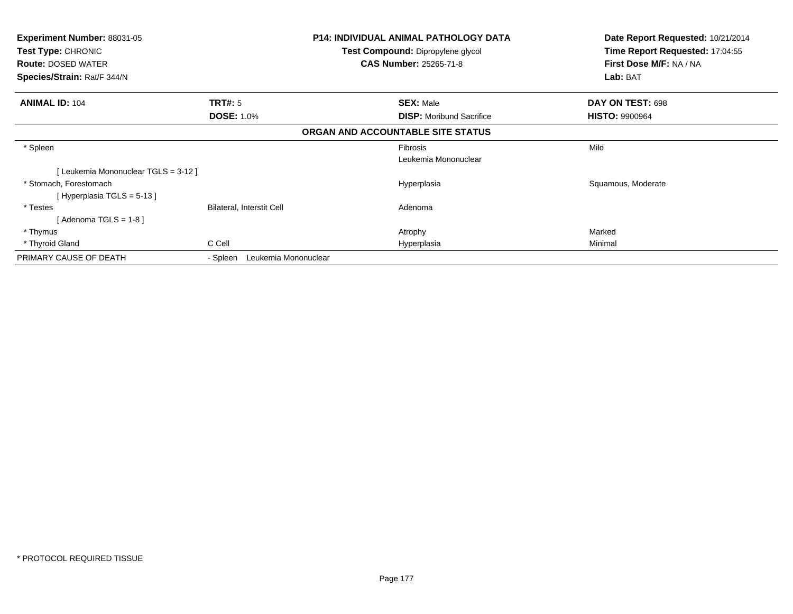| <b>Experiment Number: 88031-05</b><br><b>Test Type: CHRONIC</b><br><b>Route: DOSED WATER</b><br>Species/Strain: Rat/F 344/N |                                  | <b>P14: INDIVIDUAL ANIMAL PATHOLOGY DATA</b><br>Test Compound: Dipropylene glycol<br><b>CAS Number: 25265-71-8</b> | Date Report Requested: 10/21/2014<br>Time Report Requested: 17:04:55<br>First Dose M/F: NA / NA<br>Lab: BAT |
|-----------------------------------------------------------------------------------------------------------------------------|----------------------------------|--------------------------------------------------------------------------------------------------------------------|-------------------------------------------------------------------------------------------------------------|
| <b>ANIMAL ID: 104</b>                                                                                                       | <b>TRT#: 5</b>                   | <b>SEX: Male</b>                                                                                                   | DAY ON TEST: 698                                                                                            |
|                                                                                                                             | <b>DOSE: 1.0%</b>                | <b>DISP:</b> Moribund Sacrifice                                                                                    | <b>HISTO: 9900964</b>                                                                                       |
|                                                                                                                             |                                  | ORGAN AND ACCOUNTABLE SITE STATUS                                                                                  |                                                                                                             |
| * Spleen                                                                                                                    |                                  | Fibrosis                                                                                                           | Mild                                                                                                        |
|                                                                                                                             |                                  | Leukemia Mononuclear                                                                                               |                                                                                                             |
| [Leukemia Mononuclear TGLS = 3-12]                                                                                          |                                  |                                                                                                                    |                                                                                                             |
| * Stomach, Forestomach                                                                                                      |                                  | Hyperplasia                                                                                                        | Squamous, Moderate                                                                                          |
| [Hyperplasia TGLS = $5-13$ ]                                                                                                |                                  |                                                                                                                    |                                                                                                             |
| * Testes                                                                                                                    | Bilateral, Interstit Cell        | Adenoma                                                                                                            |                                                                                                             |
| [Adenoma TGLS = $1-8$ ]                                                                                                     |                                  |                                                                                                                    |                                                                                                             |
| * Thymus                                                                                                                    |                                  | Atrophy                                                                                                            | Marked                                                                                                      |
| * Thyroid Gland                                                                                                             | C Cell                           | Hyperplasia                                                                                                        | Minimal                                                                                                     |
| PRIMARY CAUSE OF DEATH                                                                                                      | Leukemia Mononuclear<br>- Spleen |                                                                                                                    |                                                                                                             |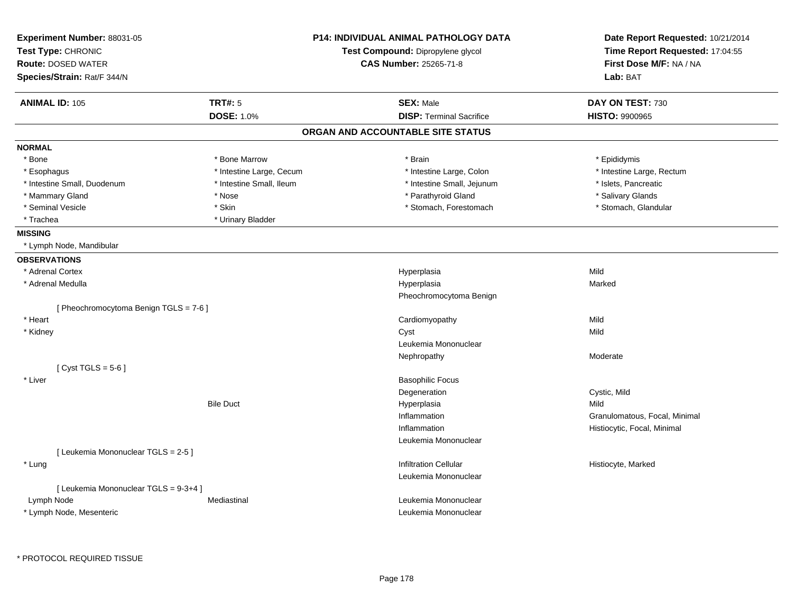| Experiment Number: 88031-05<br>Test Type: CHRONIC<br><b>Route: DOSED WATER</b><br>Species/Strain: Rat/F 344/N |                          | <b>P14: INDIVIDUAL ANIMAL PATHOLOGY DATA</b><br>Test Compound: Dipropylene glycol<br><b>CAS Number: 25265-71-8</b> | Date Report Requested: 10/21/2014<br>Time Report Requested: 17:04:55<br>First Dose M/F: NA / NA<br>Lab: BAT |
|---------------------------------------------------------------------------------------------------------------|--------------------------|--------------------------------------------------------------------------------------------------------------------|-------------------------------------------------------------------------------------------------------------|
| <b>ANIMAL ID: 105</b>                                                                                         | <b>TRT#: 5</b>           | <b>SEX: Male</b>                                                                                                   | DAY ON TEST: 730                                                                                            |
|                                                                                                               | <b>DOSE: 1.0%</b>        | <b>DISP: Terminal Sacrifice</b>                                                                                    | <b>HISTO: 9900965</b>                                                                                       |
|                                                                                                               |                          | ORGAN AND ACCOUNTABLE SITE STATUS                                                                                  |                                                                                                             |
| <b>NORMAL</b>                                                                                                 |                          |                                                                                                                    |                                                                                                             |
| * Bone                                                                                                        | * Bone Marrow            | * Brain                                                                                                            | * Epididymis                                                                                                |
| * Esophagus                                                                                                   | * Intestine Large, Cecum | * Intestine Large, Colon                                                                                           | * Intestine Large, Rectum                                                                                   |
| * Intestine Small, Duodenum                                                                                   | * Intestine Small, Ileum | * Intestine Small, Jejunum                                                                                         | * Islets, Pancreatic                                                                                        |
| * Mammary Gland                                                                                               | * Nose                   | * Parathyroid Gland                                                                                                | * Salivary Glands                                                                                           |
| * Seminal Vesicle                                                                                             | * Skin                   | * Stomach, Forestomach                                                                                             | * Stomach, Glandular                                                                                        |
| * Trachea                                                                                                     | * Urinary Bladder        |                                                                                                                    |                                                                                                             |
| <b>MISSING</b>                                                                                                |                          |                                                                                                                    |                                                                                                             |
| * Lymph Node, Mandibular                                                                                      |                          |                                                                                                                    |                                                                                                             |
| <b>OBSERVATIONS</b>                                                                                           |                          |                                                                                                                    |                                                                                                             |
| * Adrenal Cortex                                                                                              |                          | Hyperplasia                                                                                                        | Mild                                                                                                        |
| * Adrenal Medulla                                                                                             |                          | Hyperplasia                                                                                                        | Marked                                                                                                      |
|                                                                                                               |                          | Pheochromocytoma Benign                                                                                            |                                                                                                             |
| [Pheochromocytoma Benign TGLS = 7-6]                                                                          |                          |                                                                                                                    |                                                                                                             |
| * Heart                                                                                                       |                          | Cardiomyopathy                                                                                                     | Mild                                                                                                        |
| * Kidney                                                                                                      |                          | Cyst                                                                                                               | Mild                                                                                                        |
|                                                                                                               |                          | Leukemia Mononuclear                                                                                               |                                                                                                             |
|                                                                                                               |                          | Nephropathy                                                                                                        | Moderate                                                                                                    |
| [Cyst TGLS = $5-6$ ]                                                                                          |                          |                                                                                                                    |                                                                                                             |
| * Liver                                                                                                       |                          | <b>Basophilic Focus</b>                                                                                            |                                                                                                             |
|                                                                                                               |                          | Degeneration                                                                                                       | Cystic, Mild                                                                                                |
|                                                                                                               | <b>Bile Duct</b>         | Hyperplasia                                                                                                        | Mild                                                                                                        |
|                                                                                                               |                          | Inflammation                                                                                                       | Granulomatous, Focal, Minimal                                                                               |
|                                                                                                               |                          | Inflammation                                                                                                       | Histiocytic, Focal, Minimal                                                                                 |
|                                                                                                               |                          | Leukemia Mononuclear                                                                                               |                                                                                                             |
| [Leukemia Mononuclear TGLS = 2-5]                                                                             |                          |                                                                                                                    |                                                                                                             |
| * Lung                                                                                                        |                          | <b>Infiltration Cellular</b>                                                                                       | Histiocyte, Marked                                                                                          |
|                                                                                                               |                          | Leukemia Mononuclear                                                                                               |                                                                                                             |
| [ Leukemia Mononuclear TGLS = 9-3+4 ]                                                                         |                          |                                                                                                                    |                                                                                                             |
| Lymph Node                                                                                                    | Mediastinal              | Leukemia Mononuclear                                                                                               |                                                                                                             |
| * Lymph Node, Mesenteric                                                                                      |                          | Leukemia Mononuclear                                                                                               |                                                                                                             |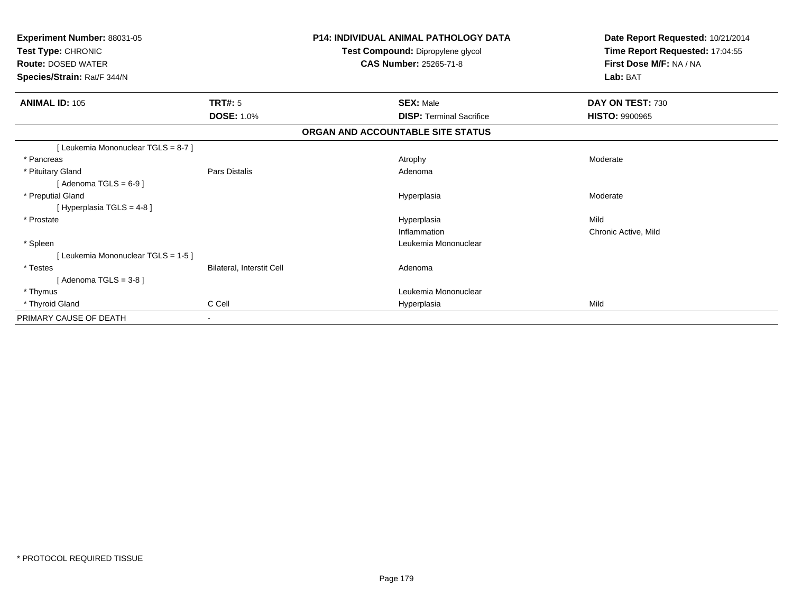| Experiment Number: 88031-05<br>Test Type: CHRONIC<br><b>Route: DOSED WATER</b><br>Species/Strain: Rat/F 344/N |                           | <b>P14: INDIVIDUAL ANIMAL PATHOLOGY DATA</b><br>Test Compound: Dipropylene glycol<br><b>CAS Number: 25265-71-8</b> | Date Report Requested: 10/21/2014<br>Time Report Requested: 17:04:55<br>First Dose M/F: NA / NA<br>Lab: BAT |
|---------------------------------------------------------------------------------------------------------------|---------------------------|--------------------------------------------------------------------------------------------------------------------|-------------------------------------------------------------------------------------------------------------|
| <b>ANIMAL ID: 105</b>                                                                                         | TRT#: 5                   | <b>SEX: Male</b>                                                                                                   | DAY ON TEST: 730                                                                                            |
|                                                                                                               | <b>DOSE: 1.0%</b>         | <b>DISP: Terminal Sacrifice</b>                                                                                    | <b>HISTO: 9900965</b>                                                                                       |
|                                                                                                               |                           | ORGAN AND ACCOUNTABLE SITE STATUS                                                                                  |                                                                                                             |
| [Leukemia Mononuclear TGLS = 8-7]                                                                             |                           |                                                                                                                    |                                                                                                             |
| * Pancreas                                                                                                    |                           | Atrophy                                                                                                            | Moderate                                                                                                    |
| * Pituitary Gland<br>[Adenoma TGLS = $6-9$ ]                                                                  | Pars Distalis             | Adenoma                                                                                                            |                                                                                                             |
| * Preputial Gland<br>[Hyperplasia TGLS = $4-8$ ]                                                              |                           | Hyperplasia                                                                                                        | Moderate                                                                                                    |
| * Prostate                                                                                                    |                           | Hyperplasia                                                                                                        | Mild                                                                                                        |
|                                                                                                               |                           | Inflammation                                                                                                       | Chronic Active, Mild                                                                                        |
| * Spleen                                                                                                      |                           | Leukemia Mononuclear                                                                                               |                                                                                                             |
| [Leukemia Mononuclear TGLS = 1-5]                                                                             |                           |                                                                                                                    |                                                                                                             |
| * Testes                                                                                                      | Bilateral, Interstit Cell | Adenoma                                                                                                            |                                                                                                             |
| [Adenoma TGLS = $3-8$ ]                                                                                       |                           |                                                                                                                    |                                                                                                             |
| * Thymus                                                                                                      |                           | Leukemia Mononuclear                                                                                               |                                                                                                             |
| * Thyroid Gland                                                                                               | C Cell                    | Hyperplasia                                                                                                        | Mild                                                                                                        |
| PRIMARY CAUSE OF DEATH                                                                                        | $\blacksquare$            |                                                                                                                    |                                                                                                             |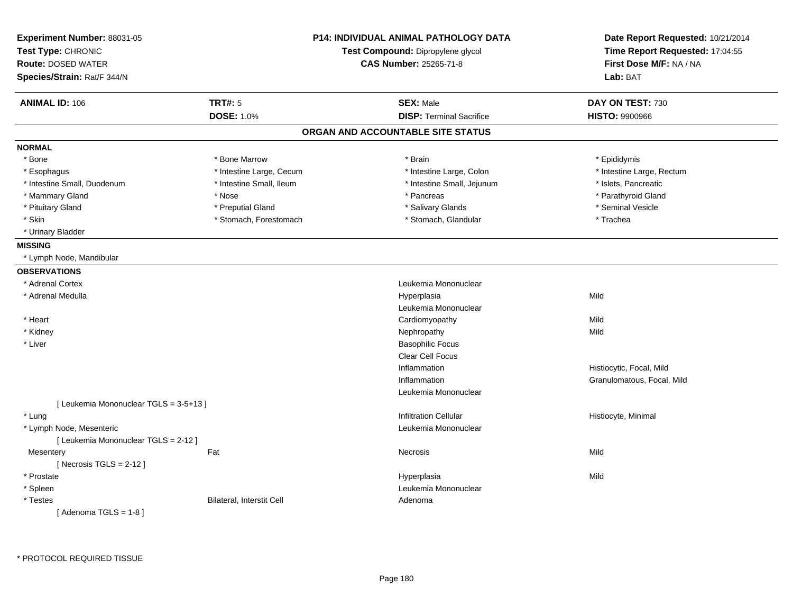| Experiment Number: 88031-05<br>Test Type: CHRONIC<br><b>Route: DOSED WATER</b><br>Species/Strain: Rat/F 344/N |                           | <b>P14: INDIVIDUAL ANIMAL PATHOLOGY DATA</b><br>Test Compound: Dipropylene glycol<br>CAS Number: 25265-71-8 | Date Report Requested: 10/21/2014<br>Time Report Requested: 17:04:55<br>First Dose M/F: NA / NA<br>Lab: BAT |
|---------------------------------------------------------------------------------------------------------------|---------------------------|-------------------------------------------------------------------------------------------------------------|-------------------------------------------------------------------------------------------------------------|
| <b>ANIMAL ID: 106</b>                                                                                         | <b>TRT#: 5</b>            | <b>SEX: Male</b>                                                                                            | DAY ON TEST: 730                                                                                            |
|                                                                                                               | <b>DOSE: 1.0%</b>         | <b>DISP: Terminal Sacrifice</b>                                                                             | <b>HISTO: 9900966</b>                                                                                       |
|                                                                                                               |                           | ORGAN AND ACCOUNTABLE SITE STATUS                                                                           |                                                                                                             |
| <b>NORMAL</b>                                                                                                 |                           |                                                                                                             |                                                                                                             |
| * Bone                                                                                                        | * Bone Marrow             | * Brain                                                                                                     | * Epididymis                                                                                                |
| * Esophagus                                                                                                   | * Intestine Large, Cecum  | * Intestine Large, Colon                                                                                    | * Intestine Large, Rectum                                                                                   |
| * Intestine Small, Duodenum                                                                                   | * Intestine Small, Ileum  | * Intestine Small, Jejunum                                                                                  | * Islets, Pancreatic                                                                                        |
| * Mammary Gland                                                                                               | * Nose                    | * Pancreas                                                                                                  | * Parathyroid Gland                                                                                         |
| * Pituitary Gland                                                                                             | * Preputial Gland         | * Salivary Glands                                                                                           | * Seminal Vesicle                                                                                           |
| * Skin                                                                                                        | * Stomach, Forestomach    | * Stomach, Glandular                                                                                        | * Trachea                                                                                                   |
| * Urinary Bladder                                                                                             |                           |                                                                                                             |                                                                                                             |
| <b>MISSING</b>                                                                                                |                           |                                                                                                             |                                                                                                             |
| * Lymph Node, Mandibular                                                                                      |                           |                                                                                                             |                                                                                                             |
| <b>OBSERVATIONS</b>                                                                                           |                           |                                                                                                             |                                                                                                             |
| * Adrenal Cortex                                                                                              |                           | Leukemia Mononuclear                                                                                        |                                                                                                             |
| * Adrenal Medulla                                                                                             |                           | Hyperplasia                                                                                                 | Mild                                                                                                        |
|                                                                                                               |                           | Leukemia Mononuclear                                                                                        |                                                                                                             |
| * Heart                                                                                                       |                           | Cardiomyopathy                                                                                              | Mild                                                                                                        |
| * Kidney                                                                                                      |                           | Nephropathy                                                                                                 | Mild                                                                                                        |
| * Liver                                                                                                       |                           | <b>Basophilic Focus</b>                                                                                     |                                                                                                             |
|                                                                                                               |                           | Clear Cell Focus                                                                                            |                                                                                                             |
|                                                                                                               |                           | Inflammation                                                                                                | Histiocytic, Focal, Mild                                                                                    |
|                                                                                                               |                           | Inflammation                                                                                                | Granulomatous, Focal, Mild                                                                                  |
|                                                                                                               |                           | Leukemia Mononuclear                                                                                        |                                                                                                             |
| [ Leukemia Mononuclear TGLS = 3-5+13 ]                                                                        |                           |                                                                                                             |                                                                                                             |
| * Lung                                                                                                        |                           | <b>Infiltration Cellular</b>                                                                                | Histiocyte, Minimal                                                                                         |
| * Lymph Node, Mesenteric                                                                                      |                           | Leukemia Mononuclear                                                                                        |                                                                                                             |
| [ Leukemia Mononuclear TGLS = 2-12 ]                                                                          |                           |                                                                                                             |                                                                                                             |
| Mesentery                                                                                                     | Fat                       | <b>Necrosis</b>                                                                                             | Mild                                                                                                        |
| [ Necrosis TGLS = $2-12$ ]                                                                                    |                           |                                                                                                             |                                                                                                             |
| * Prostate                                                                                                    |                           | Hyperplasia                                                                                                 | Mild                                                                                                        |
| * Spleen                                                                                                      |                           | Leukemia Mononuclear                                                                                        |                                                                                                             |
| * Testes                                                                                                      | Bilateral, Interstit Cell | Adenoma                                                                                                     |                                                                                                             |
| [Adenoma TGLS = $1-8$ ]                                                                                       |                           |                                                                                                             |                                                                                                             |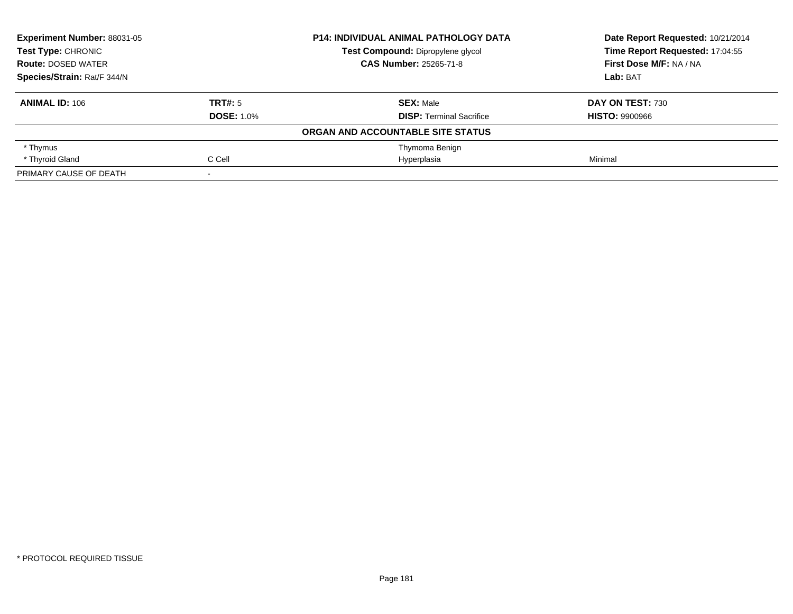| Experiment Number: 88031-05<br><b>Test Type: CHRONIC</b> |                   | <b>P14: INDIVIDUAL ANIMAL PATHOLOGY DATA</b> | Date Report Requested: 10/21/2014 |
|----------------------------------------------------------|-------------------|----------------------------------------------|-----------------------------------|
|                                                          |                   | Test Compound: Dipropylene glycol            | Time Report Requested: 17:04:55   |
| <b>Route: DOSED WATER</b>                                |                   | <b>CAS Number: 25265-71-8</b>                | First Dose M/F: NA / NA           |
| Species/Strain: Rat/F 344/N                              |                   |                                              | Lab: BAT                          |
| <b>ANIMAL ID: 106</b>                                    | TRT#: 5           | <b>SEX: Male</b>                             | DAY ON TEST: 730                  |
|                                                          | <b>DOSE: 1.0%</b> | <b>DISP: Terminal Sacrifice</b>              | <b>HISTO: 9900966</b>             |
|                                                          |                   | ORGAN AND ACCOUNTABLE SITE STATUS            |                                   |
| * Thymus                                                 |                   | Thymoma Benign                               |                                   |
| * Thyroid Gland                                          | C Cell            | Hyperplasia                                  | Minimal                           |
| PRIMARY CAUSE OF DEATH                                   |                   |                                              |                                   |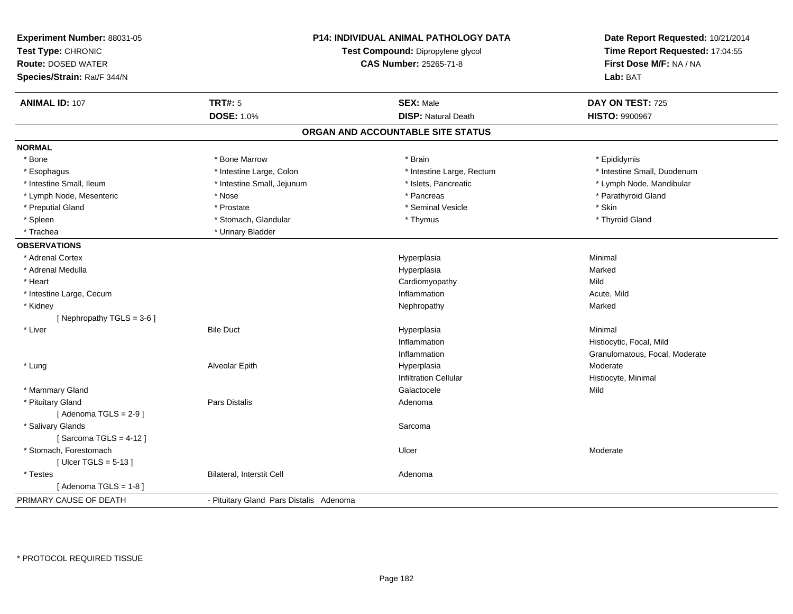| <b>TRT#: 5</b><br><b>SEX: Male</b><br><b>ANIMAL ID: 107</b><br>DAY ON TEST: 725<br><b>DOSE: 1.0%</b><br><b>DISP: Natural Death</b><br><b>HISTO: 9900967</b><br>ORGAN AND ACCOUNTABLE SITE STATUS<br><b>NORMAL</b><br>* Bone Marrow<br>* Bone<br>* Brain<br>* Epididymis<br>* Intestine Large, Colon<br>* Intestine Large, Rectum<br>* Intestine Small, Duodenum<br>* Esophagus<br>* Intestine Small, Jejunum<br>* Islets, Pancreatic<br>* Lymph Node, Mandibular<br>* Intestine Small, Ileum<br>* Pancreas<br>* Parathyroid Gland<br>* Lymph Node, Mesenteric<br>* Nose<br>* Preputial Gland<br>* Seminal Vesicle<br>* Skin<br>* Prostate<br>* Stomach, Glandular<br>* Thyroid Gland<br>* Spleen<br>* Thymus<br>* Trachea<br>* Urinary Bladder<br><b>OBSERVATIONS</b><br>Minimal<br>* Adrenal Cortex<br>Hyperplasia<br>* Adrenal Medulla<br>Hyperplasia<br>Marked<br>Mild<br>* Heart<br>Cardiomyopathy<br>* Intestine Large, Cecum<br>Inflammation<br>Acute, Mild<br>Marked<br>* Kidney<br>Nephropathy<br>[Nephropathy TGLS = 3-6]<br>* Liver<br><b>Bile Duct</b><br>Minimal<br>Hyperplasia<br>Histiocytic, Focal, Mild<br>Inflammation<br>Inflammation<br>Granulomatous, Focal, Moderate<br>Moderate<br>* Lung<br>Alveolar Epith<br>Hyperplasia<br><b>Infiltration Cellular</b><br>Histiocyte, Minimal<br>* Mammary Gland<br>Galactocele<br>Mild<br>* Pituitary Gland<br>Pars Distalis<br>Adenoma<br>[Adenoma TGLS = $2-9$ ]<br>* Salivary Glands<br>Sarcoma<br>[Sarcoma TGLS = $4-12$ ]<br>* Stomach, Forestomach<br>Ulcer<br>Moderate<br>[ Ulcer TGLS = $5-13$ ]<br><b>Bilateral, Interstit Cell</b><br>* Testes<br>Adenoma<br>[Adenoma TGLS = $1-8$ ]<br>PRIMARY CAUSE OF DEATH<br>- Pituitary Gland Pars Distalis Adenoma | Experiment Number: 88031-05<br>Test Type: CHRONIC<br><b>Route: DOSED WATER</b><br>Species/Strain: Rat/F 344/N | <b>P14: INDIVIDUAL ANIMAL PATHOLOGY DATA</b><br>Test Compound: Dipropylene glycol<br><b>CAS Number: 25265-71-8</b> | Date Report Requested: 10/21/2014<br>Time Report Requested: 17:04:55<br>First Dose M/F: NA / NA<br>Lab: BAT |
|--------------------------------------------------------------------------------------------------------------------------------------------------------------------------------------------------------------------------------------------------------------------------------------------------------------------------------------------------------------------------------------------------------------------------------------------------------------------------------------------------------------------------------------------------------------------------------------------------------------------------------------------------------------------------------------------------------------------------------------------------------------------------------------------------------------------------------------------------------------------------------------------------------------------------------------------------------------------------------------------------------------------------------------------------------------------------------------------------------------------------------------------------------------------------------------------------------------------------------------------------------------------------------------------------------------------------------------------------------------------------------------------------------------------------------------------------------------------------------------------------------------------------------------------------------------------------------------------------------------------------------------------------------------------------------------------------------------------------------|---------------------------------------------------------------------------------------------------------------|--------------------------------------------------------------------------------------------------------------------|-------------------------------------------------------------------------------------------------------------|
|                                                                                                                                                                                                                                                                                                                                                                                                                                                                                                                                                                                                                                                                                                                                                                                                                                                                                                                                                                                                                                                                                                                                                                                                                                                                                                                                                                                                                                                                                                                                                                                                                                                                                                                                |                                                                                                               |                                                                                                                    |                                                                                                             |
|                                                                                                                                                                                                                                                                                                                                                                                                                                                                                                                                                                                                                                                                                                                                                                                                                                                                                                                                                                                                                                                                                                                                                                                                                                                                                                                                                                                                                                                                                                                                                                                                                                                                                                                                |                                                                                                               |                                                                                                                    |                                                                                                             |
|                                                                                                                                                                                                                                                                                                                                                                                                                                                                                                                                                                                                                                                                                                                                                                                                                                                                                                                                                                                                                                                                                                                                                                                                                                                                                                                                                                                                                                                                                                                                                                                                                                                                                                                                |                                                                                                               |                                                                                                                    |                                                                                                             |
|                                                                                                                                                                                                                                                                                                                                                                                                                                                                                                                                                                                                                                                                                                                                                                                                                                                                                                                                                                                                                                                                                                                                                                                                                                                                                                                                                                                                                                                                                                                                                                                                                                                                                                                                |                                                                                                               |                                                                                                                    |                                                                                                             |
|                                                                                                                                                                                                                                                                                                                                                                                                                                                                                                                                                                                                                                                                                                                                                                                                                                                                                                                                                                                                                                                                                                                                                                                                                                                                                                                                                                                                                                                                                                                                                                                                                                                                                                                                |                                                                                                               |                                                                                                                    |                                                                                                             |
|                                                                                                                                                                                                                                                                                                                                                                                                                                                                                                                                                                                                                                                                                                                                                                                                                                                                                                                                                                                                                                                                                                                                                                                                                                                                                                                                                                                                                                                                                                                                                                                                                                                                                                                                |                                                                                                               |                                                                                                                    |                                                                                                             |
|                                                                                                                                                                                                                                                                                                                                                                                                                                                                                                                                                                                                                                                                                                                                                                                                                                                                                                                                                                                                                                                                                                                                                                                                                                                                                                                                                                                                                                                                                                                                                                                                                                                                                                                                |                                                                                                               |                                                                                                                    |                                                                                                             |
|                                                                                                                                                                                                                                                                                                                                                                                                                                                                                                                                                                                                                                                                                                                                                                                                                                                                                                                                                                                                                                                                                                                                                                                                                                                                                                                                                                                                                                                                                                                                                                                                                                                                                                                                |                                                                                                               |                                                                                                                    |                                                                                                             |
|                                                                                                                                                                                                                                                                                                                                                                                                                                                                                                                                                                                                                                                                                                                                                                                                                                                                                                                                                                                                                                                                                                                                                                                                                                                                                                                                                                                                                                                                                                                                                                                                                                                                                                                                |                                                                                                               |                                                                                                                    |                                                                                                             |
|                                                                                                                                                                                                                                                                                                                                                                                                                                                                                                                                                                                                                                                                                                                                                                                                                                                                                                                                                                                                                                                                                                                                                                                                                                                                                                                                                                                                                                                                                                                                                                                                                                                                                                                                |                                                                                                               |                                                                                                                    |                                                                                                             |
|                                                                                                                                                                                                                                                                                                                                                                                                                                                                                                                                                                                                                                                                                                                                                                                                                                                                                                                                                                                                                                                                                                                                                                                                                                                                                                                                                                                                                                                                                                                                                                                                                                                                                                                                |                                                                                                               |                                                                                                                    |                                                                                                             |
|                                                                                                                                                                                                                                                                                                                                                                                                                                                                                                                                                                                                                                                                                                                                                                                                                                                                                                                                                                                                                                                                                                                                                                                                                                                                                                                                                                                                                                                                                                                                                                                                                                                                                                                                |                                                                                                               |                                                                                                                    |                                                                                                             |
|                                                                                                                                                                                                                                                                                                                                                                                                                                                                                                                                                                                                                                                                                                                                                                                                                                                                                                                                                                                                                                                                                                                                                                                                                                                                                                                                                                                                                                                                                                                                                                                                                                                                                                                                |                                                                                                               |                                                                                                                    |                                                                                                             |
|                                                                                                                                                                                                                                                                                                                                                                                                                                                                                                                                                                                                                                                                                                                                                                                                                                                                                                                                                                                                                                                                                                                                                                                                                                                                                                                                                                                                                                                                                                                                                                                                                                                                                                                                |                                                                                                               |                                                                                                                    |                                                                                                             |
|                                                                                                                                                                                                                                                                                                                                                                                                                                                                                                                                                                                                                                                                                                                                                                                                                                                                                                                                                                                                                                                                                                                                                                                                                                                                                                                                                                                                                                                                                                                                                                                                                                                                                                                                |                                                                                                               |                                                                                                                    |                                                                                                             |
|                                                                                                                                                                                                                                                                                                                                                                                                                                                                                                                                                                                                                                                                                                                                                                                                                                                                                                                                                                                                                                                                                                                                                                                                                                                                                                                                                                                                                                                                                                                                                                                                                                                                                                                                |                                                                                                               |                                                                                                                    |                                                                                                             |
|                                                                                                                                                                                                                                                                                                                                                                                                                                                                                                                                                                                                                                                                                                                                                                                                                                                                                                                                                                                                                                                                                                                                                                                                                                                                                                                                                                                                                                                                                                                                                                                                                                                                                                                                |                                                                                                               |                                                                                                                    |                                                                                                             |
|                                                                                                                                                                                                                                                                                                                                                                                                                                                                                                                                                                                                                                                                                                                                                                                                                                                                                                                                                                                                                                                                                                                                                                                                                                                                                                                                                                                                                                                                                                                                                                                                                                                                                                                                |                                                                                                               |                                                                                                                    |                                                                                                             |
|                                                                                                                                                                                                                                                                                                                                                                                                                                                                                                                                                                                                                                                                                                                                                                                                                                                                                                                                                                                                                                                                                                                                                                                                                                                                                                                                                                                                                                                                                                                                                                                                                                                                                                                                |                                                                                                               |                                                                                                                    |                                                                                                             |
|                                                                                                                                                                                                                                                                                                                                                                                                                                                                                                                                                                                                                                                                                                                                                                                                                                                                                                                                                                                                                                                                                                                                                                                                                                                                                                                                                                                                                                                                                                                                                                                                                                                                                                                                |                                                                                                               |                                                                                                                    |                                                                                                             |
|                                                                                                                                                                                                                                                                                                                                                                                                                                                                                                                                                                                                                                                                                                                                                                                                                                                                                                                                                                                                                                                                                                                                                                                                                                                                                                                                                                                                                                                                                                                                                                                                                                                                                                                                |                                                                                                               |                                                                                                                    |                                                                                                             |
|                                                                                                                                                                                                                                                                                                                                                                                                                                                                                                                                                                                                                                                                                                                                                                                                                                                                                                                                                                                                                                                                                                                                                                                                                                                                                                                                                                                                                                                                                                                                                                                                                                                                                                                                |                                                                                                               |                                                                                                                    |                                                                                                             |
|                                                                                                                                                                                                                                                                                                                                                                                                                                                                                                                                                                                                                                                                                                                                                                                                                                                                                                                                                                                                                                                                                                                                                                                                                                                                                                                                                                                                                                                                                                                                                                                                                                                                                                                                |                                                                                                               |                                                                                                                    |                                                                                                             |
|                                                                                                                                                                                                                                                                                                                                                                                                                                                                                                                                                                                                                                                                                                                                                                                                                                                                                                                                                                                                                                                                                                                                                                                                                                                                                                                                                                                                                                                                                                                                                                                                                                                                                                                                |                                                                                                               |                                                                                                                    |                                                                                                             |
|                                                                                                                                                                                                                                                                                                                                                                                                                                                                                                                                                                                                                                                                                                                                                                                                                                                                                                                                                                                                                                                                                                                                                                                                                                                                                                                                                                                                                                                                                                                                                                                                                                                                                                                                |                                                                                                               |                                                                                                                    |                                                                                                             |
|                                                                                                                                                                                                                                                                                                                                                                                                                                                                                                                                                                                                                                                                                                                                                                                                                                                                                                                                                                                                                                                                                                                                                                                                                                                                                                                                                                                                                                                                                                                                                                                                                                                                                                                                |                                                                                                               |                                                                                                                    |                                                                                                             |
|                                                                                                                                                                                                                                                                                                                                                                                                                                                                                                                                                                                                                                                                                                                                                                                                                                                                                                                                                                                                                                                                                                                                                                                                                                                                                                                                                                                                                                                                                                                                                                                                                                                                                                                                |                                                                                                               |                                                                                                                    |                                                                                                             |
|                                                                                                                                                                                                                                                                                                                                                                                                                                                                                                                                                                                                                                                                                                                                                                                                                                                                                                                                                                                                                                                                                                                                                                                                                                                                                                                                                                                                                                                                                                                                                                                                                                                                                                                                |                                                                                                               |                                                                                                                    |                                                                                                             |
|                                                                                                                                                                                                                                                                                                                                                                                                                                                                                                                                                                                                                                                                                                                                                                                                                                                                                                                                                                                                                                                                                                                                                                                                                                                                                                                                                                                                                                                                                                                                                                                                                                                                                                                                |                                                                                                               |                                                                                                                    |                                                                                                             |
|                                                                                                                                                                                                                                                                                                                                                                                                                                                                                                                                                                                                                                                                                                                                                                                                                                                                                                                                                                                                                                                                                                                                                                                                                                                                                                                                                                                                                                                                                                                                                                                                                                                                                                                                |                                                                                                               |                                                                                                                    |                                                                                                             |
|                                                                                                                                                                                                                                                                                                                                                                                                                                                                                                                                                                                                                                                                                                                                                                                                                                                                                                                                                                                                                                                                                                                                                                                                                                                                                                                                                                                                                                                                                                                                                                                                                                                                                                                                |                                                                                                               |                                                                                                                    |                                                                                                             |
|                                                                                                                                                                                                                                                                                                                                                                                                                                                                                                                                                                                                                                                                                                                                                                                                                                                                                                                                                                                                                                                                                                                                                                                                                                                                                                                                                                                                                                                                                                                                                                                                                                                                                                                                |                                                                                                               |                                                                                                                    |                                                                                                             |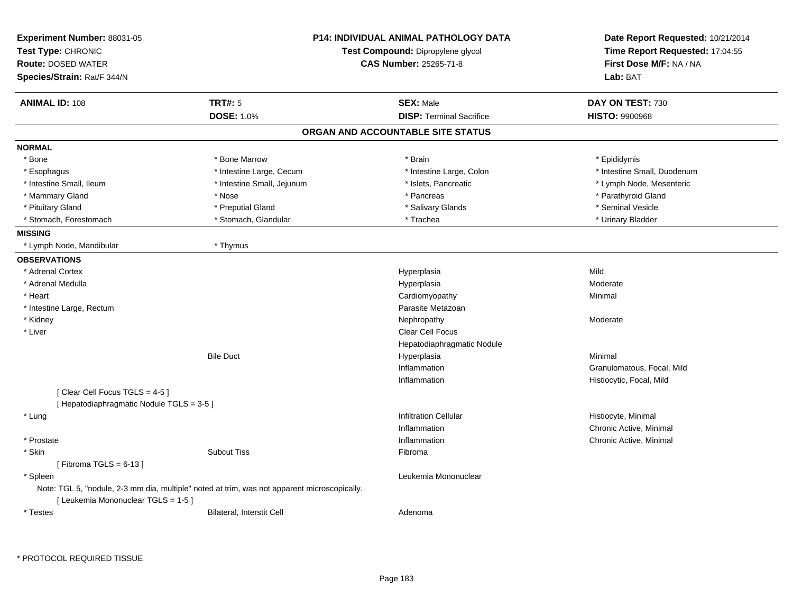| Experiment Number: 88031-05              | <b>P14: INDIVIDUAL ANIMAL PATHOLOGY DATA</b>                                                 |                                   | Date Report Requested: 10/21/2014                          |  |
|------------------------------------------|----------------------------------------------------------------------------------------------|-----------------------------------|------------------------------------------------------------|--|
| Test Type: CHRONIC                       |                                                                                              | Test Compound: Dipropylene glycol | Time Report Requested: 17:04:55<br>First Dose M/F: NA / NA |  |
| <b>Route: DOSED WATER</b>                |                                                                                              | CAS Number: 25265-71-8            |                                                            |  |
| Species/Strain: Rat/F 344/N              |                                                                                              |                                   | Lab: BAT                                                   |  |
| <b>ANIMAL ID: 108</b>                    | <b>TRT#: 5</b>                                                                               | <b>SEX: Male</b>                  | DAY ON TEST: 730                                           |  |
|                                          | <b>DOSE: 1.0%</b>                                                                            | <b>DISP: Terminal Sacrifice</b>   | <b>HISTO: 9900968</b>                                      |  |
|                                          |                                                                                              | ORGAN AND ACCOUNTABLE SITE STATUS |                                                            |  |
| <b>NORMAL</b>                            |                                                                                              |                                   |                                                            |  |
| * Bone                                   | * Bone Marrow                                                                                | * Brain                           | * Epididymis                                               |  |
| * Esophagus                              | * Intestine Large, Cecum                                                                     | * Intestine Large, Colon          | * Intestine Small, Duodenum                                |  |
| * Intestine Small, Ileum                 | * Intestine Small, Jejunum                                                                   | * Islets, Pancreatic              | * Lymph Node, Mesenteric                                   |  |
| * Mammary Gland                          | * Nose                                                                                       | * Pancreas                        | * Parathyroid Gland                                        |  |
| * Pituitary Gland                        | * Preputial Gland                                                                            | * Salivary Glands                 | * Seminal Vesicle                                          |  |
| * Stomach, Forestomach                   | * Stomach, Glandular                                                                         | * Trachea                         | * Urinary Bladder                                          |  |
| <b>MISSING</b>                           |                                                                                              |                                   |                                                            |  |
| * Lymph Node, Mandibular                 | * Thymus                                                                                     |                                   |                                                            |  |
| <b>OBSERVATIONS</b>                      |                                                                                              |                                   |                                                            |  |
| * Adrenal Cortex                         |                                                                                              | Hyperplasia                       | Mild                                                       |  |
| * Adrenal Medulla                        |                                                                                              | Hyperplasia                       | Moderate                                                   |  |
| * Heart                                  |                                                                                              | Cardiomyopathy                    | Minimal                                                    |  |
| * Intestine Large, Rectum                |                                                                                              | Parasite Metazoan                 |                                                            |  |
| * Kidney                                 |                                                                                              | Nephropathy                       | Moderate                                                   |  |
| * Liver                                  |                                                                                              | <b>Clear Cell Focus</b>           |                                                            |  |
|                                          |                                                                                              | Hepatodiaphragmatic Nodule        |                                                            |  |
|                                          | <b>Bile Duct</b>                                                                             | Hyperplasia                       | Minimal                                                    |  |
|                                          |                                                                                              | Inflammation                      | Granulomatous, Focal, Mild                                 |  |
|                                          |                                                                                              | Inflammation                      | Histiocytic, Focal, Mild                                   |  |
| [Clear Cell Focus TGLS = 4-5]            |                                                                                              |                                   |                                                            |  |
| [Hepatodiaphragmatic Nodule TGLS = 3-5 ] |                                                                                              |                                   |                                                            |  |
| * Lung                                   |                                                                                              | <b>Infiltration Cellular</b>      | Histiocyte, Minimal                                        |  |
|                                          |                                                                                              | Inflammation                      | Chronic Active, Minimal                                    |  |
| * Prostate                               |                                                                                              | Inflammation                      | Chronic Active, Minimal                                    |  |
| * Skin                                   | <b>Subcut Tiss</b>                                                                           | Fibroma                           |                                                            |  |
| [Fibroma TGLS = $6-13$ ]                 |                                                                                              |                                   |                                                            |  |
| * Spleen                                 |                                                                                              | Leukemia Mononuclear              |                                                            |  |
|                                          | Note: TGL 5, "nodule, 2-3 mm dia, multiple" noted at trim, was not apparent microscopically. |                                   |                                                            |  |
| [ Leukemia Mononuclear TGLS = 1-5 ]      |                                                                                              |                                   |                                                            |  |
| * Testes                                 | Bilateral, Interstit Cell                                                                    | Adenoma                           |                                                            |  |

\* PROTOCOL REQUIRED TISSUE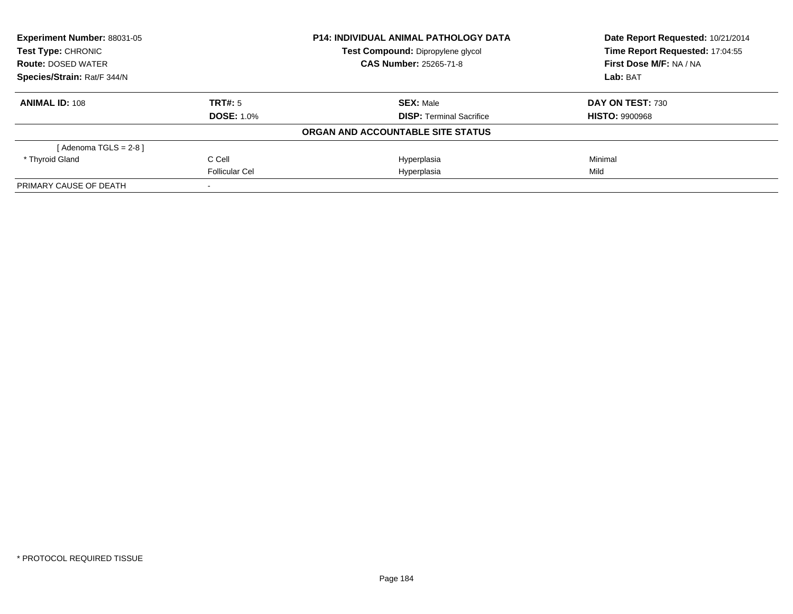| Experiment Number: 88031-05<br>Test Type: CHRONIC |                   | <b>P14: INDIVIDUAL ANIMAL PATHOLOGY DATA</b> | Date Report Requested: 10/21/2014 |
|---------------------------------------------------|-------------------|----------------------------------------------|-----------------------------------|
|                                                   |                   | Test Compound: Dipropylene glycol            | Time Report Requested: 17:04:55   |
| <b>Route: DOSED WATER</b>                         |                   | <b>CAS Number: 25265-71-8</b>                | First Dose M/F: NA / NA           |
| Species/Strain: Rat/F 344/N                       |                   |                                              | Lab: BAT                          |
| <b>ANIMAL ID: 108</b>                             | TRT#: 5           | <b>SEX: Male</b>                             | DAY ON TEST: 730                  |
|                                                   | <b>DOSE: 1.0%</b> | <b>DISP:</b> Terminal Sacrifice              | <b>HISTO: 9900968</b>             |
|                                                   |                   | ORGAN AND ACCOUNTABLE SITE STATUS            |                                   |
| [ Adenoma TGLS = 2-8 ]                            |                   |                                              |                                   |
| * Thyroid Gland                                   | C Cell            | Hyperplasia                                  | Minimal                           |
|                                                   | Follicular Cel    | Hyperplasia                                  | Mild                              |
| PRIMARY CAUSE OF DEATH                            |                   |                                              |                                   |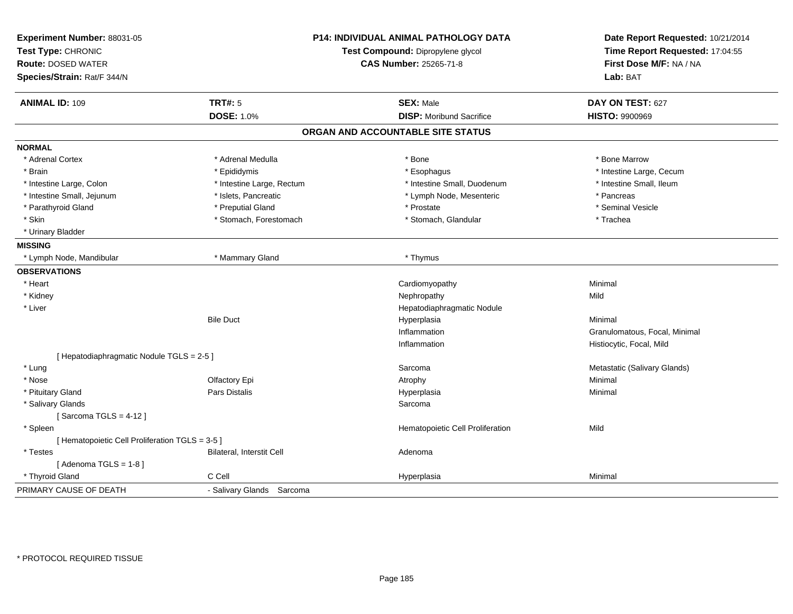| Experiment Number: 88031-05<br>Test Type: CHRONIC<br><b>Route: DOSED WATER</b><br>Species/Strain: Rat/F 344/N |                                  | <b>P14: INDIVIDUAL ANIMAL PATHOLOGY DATA</b><br>Test Compound: Dipropylene glycol<br>CAS Number: 25265-71-8 |                               |
|---------------------------------------------------------------------------------------------------------------|----------------------------------|-------------------------------------------------------------------------------------------------------------|-------------------------------|
| <b>ANIMAL ID: 109</b>                                                                                         | <b>TRT#: 5</b>                   | <b>SEX: Male</b>                                                                                            | DAY ON TEST: 627              |
|                                                                                                               | <b>DOSE: 1.0%</b>                | <b>DISP: Moribund Sacrifice</b>                                                                             | <b>HISTO: 9900969</b>         |
|                                                                                                               |                                  | ORGAN AND ACCOUNTABLE SITE STATUS                                                                           |                               |
| <b>NORMAL</b>                                                                                                 |                                  |                                                                                                             |                               |
| * Adrenal Cortex                                                                                              | * Adrenal Medulla                | * Bone                                                                                                      | * Bone Marrow                 |
| * Brain                                                                                                       | * Epididymis                     | * Esophagus                                                                                                 | * Intestine Large, Cecum      |
| * Intestine Large, Colon                                                                                      | * Intestine Large, Rectum        | * Intestine Small, Duodenum                                                                                 | * Intestine Small, Ileum      |
| * Intestine Small, Jejunum                                                                                    | * Islets, Pancreatic             | * Lymph Node, Mesenteric                                                                                    | * Pancreas                    |
| * Parathyroid Gland                                                                                           | * Preputial Gland                | * Prostate                                                                                                  | * Seminal Vesicle             |
| * Skin                                                                                                        | * Stomach, Forestomach           | * Stomach, Glandular                                                                                        | * Trachea                     |
| * Urinary Bladder                                                                                             |                                  |                                                                                                             |                               |
| <b>MISSING</b>                                                                                                |                                  |                                                                                                             |                               |
| * Lymph Node, Mandibular                                                                                      | * Mammary Gland                  | * Thymus                                                                                                    |                               |
| <b>OBSERVATIONS</b>                                                                                           |                                  |                                                                                                             |                               |
| * Heart                                                                                                       |                                  | Cardiomyopathy                                                                                              | Minimal                       |
| * Kidney                                                                                                      |                                  | Nephropathy                                                                                                 | Mild                          |
| * Liver                                                                                                       |                                  | Hepatodiaphragmatic Nodule                                                                                  |                               |
|                                                                                                               | <b>Bile Duct</b>                 | Hyperplasia                                                                                                 | Minimal                       |
|                                                                                                               |                                  | Inflammation                                                                                                | Granulomatous, Focal, Minimal |
|                                                                                                               |                                  | Inflammation                                                                                                | Histiocytic, Focal, Mild      |
| [ Hepatodiaphragmatic Nodule TGLS = 2-5 ]                                                                     |                                  |                                                                                                             |                               |
| * Lung                                                                                                        |                                  | Sarcoma                                                                                                     | Metastatic (Salivary Glands)  |
| * Nose                                                                                                        | Olfactory Epi                    | Atrophy                                                                                                     | Minimal                       |
| * Pituitary Gland                                                                                             | <b>Pars Distalis</b>             | Hyperplasia                                                                                                 | Minimal                       |
| * Salivary Glands                                                                                             |                                  | Sarcoma                                                                                                     |                               |
| [Sarcoma TGLS = $4-12$ ]                                                                                      |                                  |                                                                                                             |                               |
| * Spleen                                                                                                      |                                  | Hematopoietic Cell Proliferation                                                                            | Mild                          |
| [ Hematopoietic Cell Proliferation TGLS = 3-5 ]                                                               |                                  |                                                                                                             |                               |
| * Testes                                                                                                      | <b>Bilateral, Interstit Cell</b> | Adenoma                                                                                                     |                               |
| [Adenoma TGLS = $1-8$ ]                                                                                       |                                  |                                                                                                             |                               |
| * Thyroid Gland                                                                                               | C Cell                           | Hyperplasia                                                                                                 | Minimal                       |
| PRIMARY CAUSE OF DEATH                                                                                        | - Salivary Glands Sarcoma        |                                                                                                             |                               |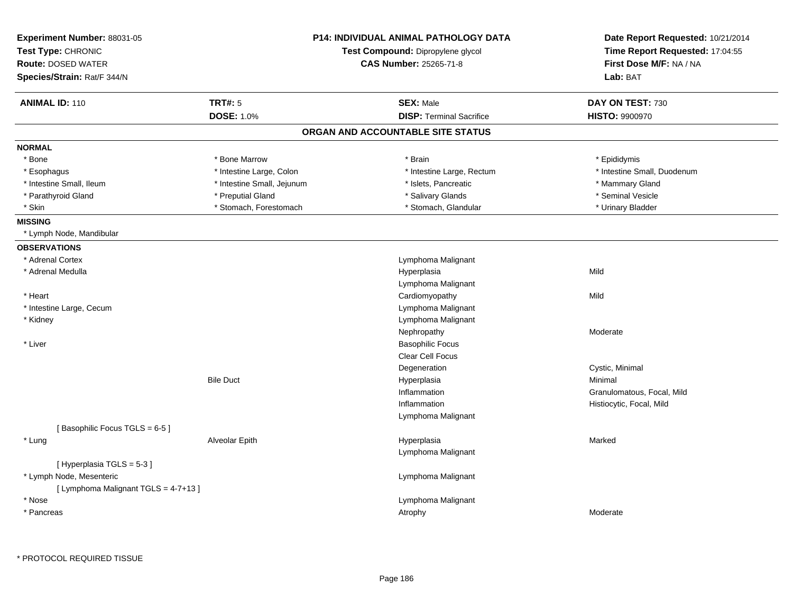| Experiment Number: 88031-05<br>Test Type: CHRONIC<br><b>Route: DOSED WATER</b><br>Species/Strain: Rat/F 344/N | <b>P14: INDIVIDUAL ANIMAL PATHOLOGY DATA</b><br>Test Compound: Dipropylene glycol<br><b>CAS Number: 25265-71-8</b> |                                   | Date Report Requested: 10/21/2014<br>Time Report Requested: 17:04:55<br>First Dose M/F: NA / NA<br>Lab: BAT |
|---------------------------------------------------------------------------------------------------------------|--------------------------------------------------------------------------------------------------------------------|-----------------------------------|-------------------------------------------------------------------------------------------------------------|
| <b>ANIMAL ID: 110</b>                                                                                         | <b>TRT#: 5</b>                                                                                                     | <b>SEX: Male</b>                  | DAY ON TEST: 730                                                                                            |
|                                                                                                               | <b>DOSE: 1.0%</b>                                                                                                  | <b>DISP:</b> Terminal Sacrifice   | <b>HISTO: 9900970</b>                                                                                       |
|                                                                                                               |                                                                                                                    | ORGAN AND ACCOUNTABLE SITE STATUS |                                                                                                             |
| <b>NORMAL</b>                                                                                                 |                                                                                                                    |                                   |                                                                                                             |
| * Bone                                                                                                        | * Bone Marrow                                                                                                      | * Brain                           | * Epididymis                                                                                                |
| * Esophagus                                                                                                   | * Intestine Large, Colon                                                                                           | * Intestine Large, Rectum         | * Intestine Small, Duodenum                                                                                 |
| * Intestine Small, Ileum                                                                                      | * Intestine Small, Jejunum                                                                                         | * Islets, Pancreatic              | * Mammary Gland                                                                                             |
| * Parathyroid Gland                                                                                           | * Preputial Gland                                                                                                  | * Salivary Glands                 | * Seminal Vesicle                                                                                           |
| * Skin                                                                                                        | * Stomach, Forestomach                                                                                             | * Stomach, Glandular              | * Urinary Bladder                                                                                           |
| <b>MISSING</b>                                                                                                |                                                                                                                    |                                   |                                                                                                             |
| * Lymph Node, Mandibular                                                                                      |                                                                                                                    |                                   |                                                                                                             |
| <b>OBSERVATIONS</b>                                                                                           |                                                                                                                    |                                   |                                                                                                             |
| * Adrenal Cortex                                                                                              |                                                                                                                    | Lymphoma Malignant                |                                                                                                             |
| * Adrenal Medulla                                                                                             |                                                                                                                    | Hyperplasia                       | Mild                                                                                                        |
|                                                                                                               |                                                                                                                    | Lymphoma Malignant                |                                                                                                             |
| * Heart                                                                                                       |                                                                                                                    | Cardiomyopathy                    | Mild                                                                                                        |
| * Intestine Large, Cecum                                                                                      |                                                                                                                    | Lymphoma Malignant                |                                                                                                             |
| * Kidney                                                                                                      |                                                                                                                    | Lymphoma Malignant                |                                                                                                             |
|                                                                                                               |                                                                                                                    | Nephropathy                       | Moderate                                                                                                    |
| * Liver                                                                                                       |                                                                                                                    | <b>Basophilic Focus</b>           |                                                                                                             |
|                                                                                                               |                                                                                                                    | Clear Cell Focus                  |                                                                                                             |
|                                                                                                               |                                                                                                                    | Degeneration                      | Cystic, Minimal                                                                                             |
|                                                                                                               | <b>Bile Duct</b>                                                                                                   | Hyperplasia                       | Minimal                                                                                                     |
|                                                                                                               |                                                                                                                    | Inflammation                      | Granulomatous, Focal, Mild                                                                                  |
|                                                                                                               |                                                                                                                    | Inflammation                      | Histiocytic, Focal, Mild                                                                                    |
|                                                                                                               |                                                                                                                    | Lymphoma Malignant                |                                                                                                             |
| [Basophilic Focus TGLS = 6-5]                                                                                 |                                                                                                                    |                                   |                                                                                                             |
| * Lung                                                                                                        | Alveolar Epith                                                                                                     | Hyperplasia                       | Marked                                                                                                      |
|                                                                                                               |                                                                                                                    | Lymphoma Malignant                |                                                                                                             |
| [Hyperplasia TGLS = 5-3]                                                                                      |                                                                                                                    |                                   |                                                                                                             |
| * Lymph Node, Mesenteric                                                                                      |                                                                                                                    | Lymphoma Malignant                |                                                                                                             |
| [ Lymphoma Malignant TGLS = 4-7+13 ]                                                                          |                                                                                                                    |                                   |                                                                                                             |
| * Nose                                                                                                        |                                                                                                                    | Lymphoma Malignant                |                                                                                                             |
| * Pancreas                                                                                                    |                                                                                                                    | Atrophy                           | Moderate                                                                                                    |
|                                                                                                               |                                                                                                                    |                                   |                                                                                                             |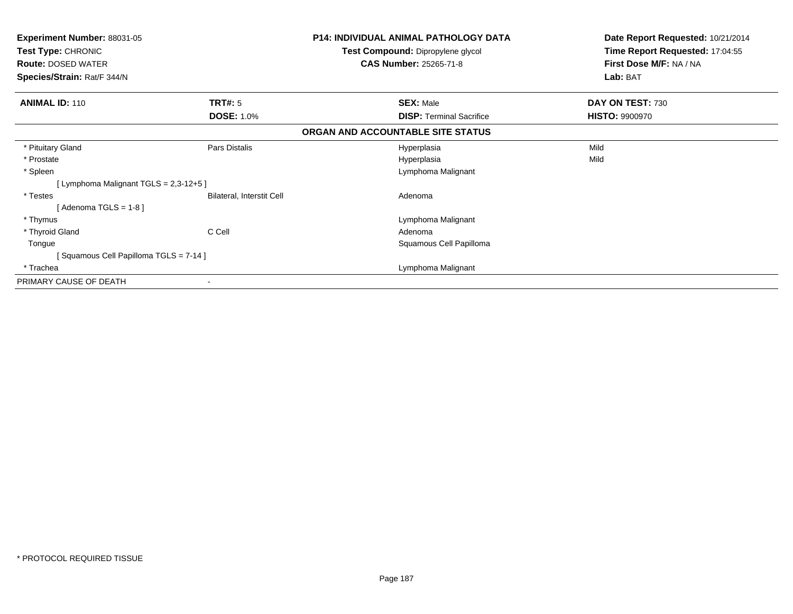| <b>Experiment Number: 88031-05</b><br>Test Type: CHRONIC<br><b>Route: DOSED WATER</b> |                                  | <b>P14: INDIVIDUAL ANIMAL PATHOLOGY DATA</b><br>Test Compound: Dipropylene glycol<br><b>CAS Number: 25265-71-8</b> | Date Report Requested: 10/21/2014<br>Time Report Requested: 17:04:55<br>First Dose M/F: NA / NA |
|---------------------------------------------------------------------------------------|----------------------------------|--------------------------------------------------------------------------------------------------------------------|-------------------------------------------------------------------------------------------------|
| Species/Strain: Rat/F 344/N                                                           |                                  |                                                                                                                    | Lab: BAT                                                                                        |
| <b>ANIMAL ID: 110</b>                                                                 | <b>TRT#:</b> 5                   | <b>SEX: Male</b>                                                                                                   | DAY ON TEST: 730                                                                                |
|                                                                                       | <b>DOSE: 1.0%</b>                | <b>DISP:</b> Terminal Sacrifice                                                                                    | <b>HISTO: 9900970</b>                                                                           |
|                                                                                       |                                  | ORGAN AND ACCOUNTABLE SITE STATUS                                                                                  |                                                                                                 |
| * Pituitary Gland                                                                     | Pars Distalis                    | Hyperplasia                                                                                                        | Mild                                                                                            |
| * Prostate                                                                            |                                  | Hyperplasia                                                                                                        | Mild                                                                                            |
| * Spleen                                                                              |                                  | Lymphoma Malignant                                                                                                 |                                                                                                 |
| [ Lymphoma Malignant TGLS = 2,3-12+5 ]                                                |                                  |                                                                                                                    |                                                                                                 |
| * Testes                                                                              | <b>Bilateral, Interstit Cell</b> | Adenoma                                                                                                            |                                                                                                 |
| [Adenoma TGLS = $1-8$ ]                                                               |                                  |                                                                                                                    |                                                                                                 |
| * Thymus                                                                              |                                  | Lymphoma Malignant                                                                                                 |                                                                                                 |
| * Thyroid Gland                                                                       | C Cell                           | Adenoma                                                                                                            |                                                                                                 |
| Tongue                                                                                |                                  | Squamous Cell Papilloma                                                                                            |                                                                                                 |
| [Squamous Cell Papilloma TGLS = 7-14]                                                 |                                  |                                                                                                                    |                                                                                                 |
| * Trachea                                                                             |                                  | Lymphoma Malignant                                                                                                 |                                                                                                 |
| PRIMARY CAUSE OF DEATH                                                                |                                  |                                                                                                                    |                                                                                                 |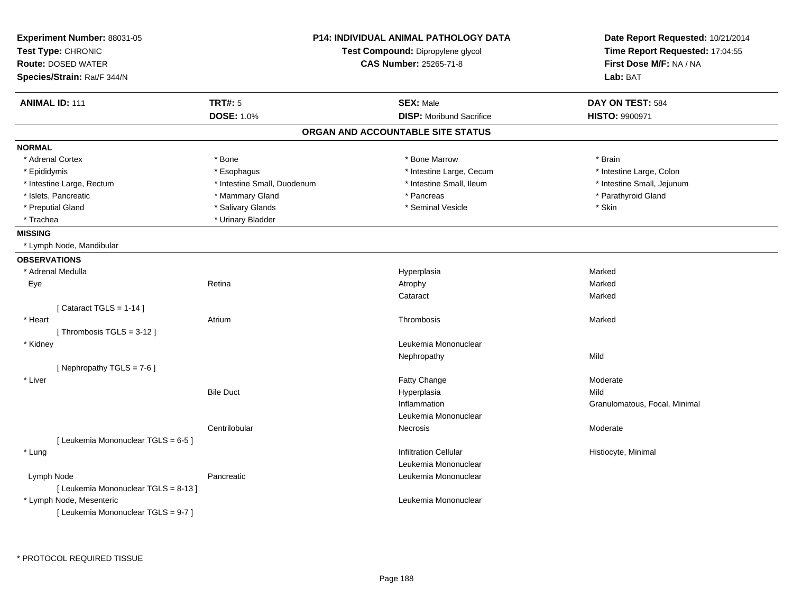| Experiment Number: 88031-05<br>Test Type: CHRONIC<br><b>Route: DOSED WATER</b><br>Species/Strain: Rat/F 344/N | P14: INDIVIDUAL ANIMAL PATHOLOGY DATA<br>Test Compound: Dipropylene glycol<br><b>CAS Number: 25265-71-8</b> |                                   | Date Report Requested: 10/21/2014<br>Time Report Requested: 17:04:55<br>First Dose M/F: NA / NA<br>Lab: BAT |
|---------------------------------------------------------------------------------------------------------------|-------------------------------------------------------------------------------------------------------------|-----------------------------------|-------------------------------------------------------------------------------------------------------------|
| <b>ANIMAL ID: 111</b>                                                                                         | <b>TRT#: 5</b>                                                                                              | <b>SEX: Male</b>                  | DAY ON TEST: 584                                                                                            |
|                                                                                                               | <b>DOSE: 1.0%</b>                                                                                           | <b>DISP:</b> Moribund Sacrifice   | <b>HISTO: 9900971</b>                                                                                       |
|                                                                                                               |                                                                                                             | ORGAN AND ACCOUNTABLE SITE STATUS |                                                                                                             |
| <b>NORMAL</b>                                                                                                 |                                                                                                             |                                   |                                                                                                             |
| * Adrenal Cortex                                                                                              | * Bone                                                                                                      | * Bone Marrow                     | * Brain                                                                                                     |
| * Epididymis                                                                                                  | * Esophagus                                                                                                 | * Intestine Large, Cecum          | * Intestine Large, Colon                                                                                    |
| * Intestine Large, Rectum                                                                                     | * Intestine Small, Duodenum                                                                                 | * Intestine Small, Ileum          | * Intestine Small, Jejunum                                                                                  |
| * Islets, Pancreatic                                                                                          | * Mammary Gland                                                                                             | * Pancreas                        | * Parathyroid Gland                                                                                         |
| * Preputial Gland                                                                                             | * Salivary Glands                                                                                           | * Seminal Vesicle                 | * Skin                                                                                                      |
| * Trachea                                                                                                     | * Urinary Bladder                                                                                           |                                   |                                                                                                             |
| <b>MISSING</b>                                                                                                |                                                                                                             |                                   |                                                                                                             |
| * Lymph Node, Mandibular                                                                                      |                                                                                                             |                                   |                                                                                                             |
| <b>OBSERVATIONS</b>                                                                                           |                                                                                                             |                                   |                                                                                                             |
| * Adrenal Medulla                                                                                             |                                                                                                             | Hyperplasia                       | Marked                                                                                                      |
| Eye                                                                                                           | Retina                                                                                                      | Atrophy                           | Marked                                                                                                      |
|                                                                                                               |                                                                                                             | Cataract                          | Marked                                                                                                      |
| [Cataract TGLS = $1-14$ ]                                                                                     |                                                                                                             |                                   |                                                                                                             |
| * Heart                                                                                                       | Atrium                                                                                                      | Thrombosis                        | Marked                                                                                                      |
| [Thrombosis TGLS = 3-12]                                                                                      |                                                                                                             |                                   |                                                                                                             |
| * Kidney                                                                                                      |                                                                                                             | Leukemia Mononuclear              |                                                                                                             |
|                                                                                                               |                                                                                                             | Nephropathy                       | Mild                                                                                                        |
| [Nephropathy TGLS = 7-6]                                                                                      |                                                                                                             |                                   |                                                                                                             |
| * Liver                                                                                                       |                                                                                                             | Fatty Change                      | Moderate                                                                                                    |
|                                                                                                               | <b>Bile Duct</b>                                                                                            | Hyperplasia                       | Mild                                                                                                        |
|                                                                                                               |                                                                                                             | Inflammation                      | Granulomatous, Focal, Minimal                                                                               |
|                                                                                                               |                                                                                                             | Leukemia Mononuclear              |                                                                                                             |
|                                                                                                               | Centrilobular                                                                                               | Necrosis                          | Moderate                                                                                                    |
| [ Leukemia Mononuclear TGLS = 6-5 ]                                                                           |                                                                                                             |                                   |                                                                                                             |
| * Lung                                                                                                        |                                                                                                             | <b>Infiltration Cellular</b>      | Histiocyte, Minimal                                                                                         |
|                                                                                                               |                                                                                                             | Leukemia Mononuclear              |                                                                                                             |
| Lymph Node                                                                                                    | Pancreatic                                                                                                  | Leukemia Mononuclear              |                                                                                                             |
| [ Leukemia Mononuclear TGLS = 8-13 ]                                                                          |                                                                                                             |                                   |                                                                                                             |
| * Lymph Node, Mesenteric                                                                                      |                                                                                                             | Leukemia Mononuclear              |                                                                                                             |
| [ Leukemia Mononuclear TGLS = 9-7 ]                                                                           |                                                                                                             |                                   |                                                                                                             |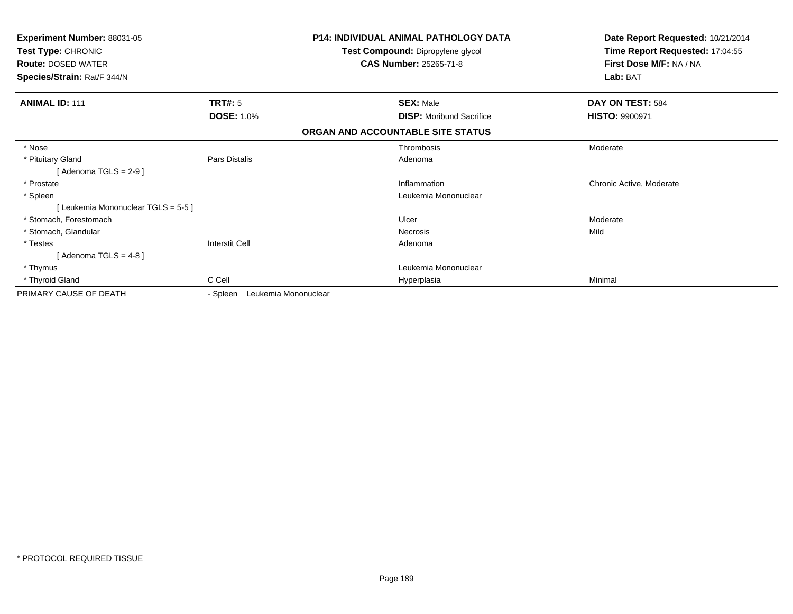| Experiment Number: 88031-05<br>Test Type: CHRONIC<br><b>Route: DOSED WATER</b><br>Species/Strain: Rat/F 344/N |                                  | <b>P14: INDIVIDUAL ANIMAL PATHOLOGY DATA</b><br>Test Compound: Dipropylene glycol<br><b>CAS Number: 25265-71-8</b> | Date Report Requested: 10/21/2014<br>Time Report Requested: 17:04:55<br>First Dose M/F: NA / NA<br>Lab: BAT |
|---------------------------------------------------------------------------------------------------------------|----------------------------------|--------------------------------------------------------------------------------------------------------------------|-------------------------------------------------------------------------------------------------------------|
| <b>ANIMAL ID: 111</b>                                                                                         | <b>TRT#: 5</b>                   | <b>SEX: Male</b>                                                                                                   | DAY ON TEST: 584                                                                                            |
|                                                                                                               | <b>DOSE: 1.0%</b>                | <b>DISP:</b> Moribund Sacrifice                                                                                    | <b>HISTO: 9900971</b>                                                                                       |
|                                                                                                               |                                  | ORGAN AND ACCOUNTABLE SITE STATUS                                                                                  |                                                                                                             |
| * Nose                                                                                                        |                                  | Thrombosis                                                                                                         | Moderate                                                                                                    |
| * Pituitary Gland                                                                                             | Pars Distalis                    | Adenoma                                                                                                            |                                                                                                             |
| [Adenoma TGLS = $2-9$ ]                                                                                       |                                  |                                                                                                                    |                                                                                                             |
| * Prostate                                                                                                    |                                  | Inflammation                                                                                                       | Chronic Active, Moderate                                                                                    |
| * Spleen                                                                                                      |                                  | Leukemia Mononuclear                                                                                               |                                                                                                             |
| [Leukemia Mononuclear TGLS = 5-5]                                                                             |                                  |                                                                                                                    |                                                                                                             |
| * Stomach, Forestomach                                                                                        |                                  | Ulcer                                                                                                              | Moderate                                                                                                    |
| * Stomach, Glandular                                                                                          |                                  | <b>Necrosis</b>                                                                                                    | Mild                                                                                                        |
| * Testes                                                                                                      | <b>Interstit Cell</b>            | Adenoma                                                                                                            |                                                                                                             |
| [Adenoma TGLS = $4-8$ ]                                                                                       |                                  |                                                                                                                    |                                                                                                             |
| * Thymus                                                                                                      |                                  | Leukemia Mononuclear                                                                                               |                                                                                                             |
| * Thyroid Gland                                                                                               | C Cell                           | Hyperplasia                                                                                                        | Minimal                                                                                                     |
| PRIMARY CAUSE OF DEATH                                                                                        | Leukemia Mononuclear<br>- Spleen |                                                                                                                    |                                                                                                             |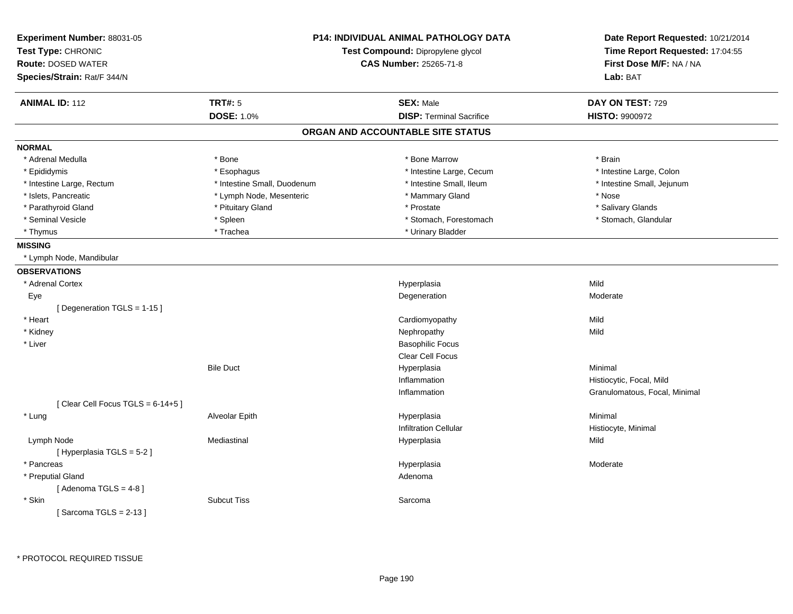| Experiment Number: 88031-05<br>Test Type: CHRONIC<br><b>Route: DOSED WATER</b><br>Species/Strain: Rat/F 344/N | <b>P14: INDIVIDUAL ANIMAL PATHOLOGY DATA</b><br>Test Compound: Dipropylene glycol<br><b>CAS Number: 25265-71-8</b> |                                   | Date Report Requested: 10/21/2014<br>Time Report Requested: 17:04:55<br>First Dose M/F: NA / NA<br>Lab: BAT |
|---------------------------------------------------------------------------------------------------------------|--------------------------------------------------------------------------------------------------------------------|-----------------------------------|-------------------------------------------------------------------------------------------------------------|
| <b>ANIMAL ID: 112</b>                                                                                         | <b>TRT#: 5</b>                                                                                                     | <b>SEX: Male</b>                  | DAY ON TEST: 729                                                                                            |
|                                                                                                               | <b>DOSE: 1.0%</b>                                                                                                  | <b>DISP: Terminal Sacrifice</b>   | <b>HISTO: 9900972</b>                                                                                       |
|                                                                                                               |                                                                                                                    | ORGAN AND ACCOUNTABLE SITE STATUS |                                                                                                             |
| <b>NORMAL</b>                                                                                                 |                                                                                                                    |                                   |                                                                                                             |
| * Adrenal Medulla                                                                                             | * Bone                                                                                                             | * Bone Marrow                     | * Brain                                                                                                     |
| * Epididymis                                                                                                  | * Esophagus                                                                                                        | * Intestine Large, Cecum          | * Intestine Large, Colon                                                                                    |
| * Intestine Large, Rectum                                                                                     | * Intestine Small, Duodenum                                                                                        | * Intestine Small, Ileum          | * Intestine Small, Jejunum                                                                                  |
| * Islets, Pancreatic                                                                                          | * Lymph Node, Mesenteric                                                                                           | * Mammary Gland                   | * Nose                                                                                                      |
| * Parathyroid Gland                                                                                           | * Pituitary Gland                                                                                                  | * Prostate                        | * Salivary Glands                                                                                           |
| * Seminal Vesicle                                                                                             | * Spleen                                                                                                           | * Stomach, Forestomach            | * Stomach, Glandular                                                                                        |
| * Thymus                                                                                                      | * Trachea                                                                                                          | * Urinary Bladder                 |                                                                                                             |
| <b>MISSING</b>                                                                                                |                                                                                                                    |                                   |                                                                                                             |
| * Lymph Node, Mandibular                                                                                      |                                                                                                                    |                                   |                                                                                                             |
| <b>OBSERVATIONS</b>                                                                                           |                                                                                                                    |                                   |                                                                                                             |
| * Adrenal Cortex                                                                                              |                                                                                                                    | Hyperplasia                       | Mild                                                                                                        |
| Eye                                                                                                           |                                                                                                                    | Degeneration                      | Moderate                                                                                                    |
| [Degeneration TGLS = 1-15]                                                                                    |                                                                                                                    |                                   |                                                                                                             |
| * Heart                                                                                                       |                                                                                                                    | Cardiomyopathy                    | Mild                                                                                                        |
| * Kidney                                                                                                      |                                                                                                                    | Nephropathy                       | Mild                                                                                                        |
| * Liver                                                                                                       |                                                                                                                    | <b>Basophilic Focus</b>           |                                                                                                             |
|                                                                                                               |                                                                                                                    | <b>Clear Cell Focus</b>           |                                                                                                             |
|                                                                                                               | <b>Bile Duct</b>                                                                                                   | Hyperplasia                       | Minimal                                                                                                     |
|                                                                                                               |                                                                                                                    | Inflammation                      | Histiocytic, Focal, Mild                                                                                    |
|                                                                                                               |                                                                                                                    | Inflammation                      | Granulomatous, Focal, Minimal                                                                               |
| [Clear Cell Focus TGLS = 6-14+5]                                                                              |                                                                                                                    |                                   |                                                                                                             |
| * Lung                                                                                                        | Alveolar Epith                                                                                                     | Hyperplasia                       | Minimal                                                                                                     |
|                                                                                                               |                                                                                                                    | <b>Infiltration Cellular</b>      | Histiocyte, Minimal                                                                                         |
| Lymph Node                                                                                                    | Mediastinal                                                                                                        | Hyperplasia                       | Mild                                                                                                        |
| [Hyperplasia TGLS = $5-2$ ]                                                                                   |                                                                                                                    |                                   |                                                                                                             |
| * Pancreas                                                                                                    |                                                                                                                    | Hyperplasia                       | Moderate                                                                                                    |
| * Preputial Gland                                                                                             |                                                                                                                    | Adenoma                           |                                                                                                             |
| [Adenoma TGLS = $4-8$ ]                                                                                       |                                                                                                                    |                                   |                                                                                                             |
| * Skin                                                                                                        | <b>Subcut Tiss</b>                                                                                                 | Sarcoma                           |                                                                                                             |
| [Sarcoma TGLS = $2-13$ ]                                                                                      |                                                                                                                    |                                   |                                                                                                             |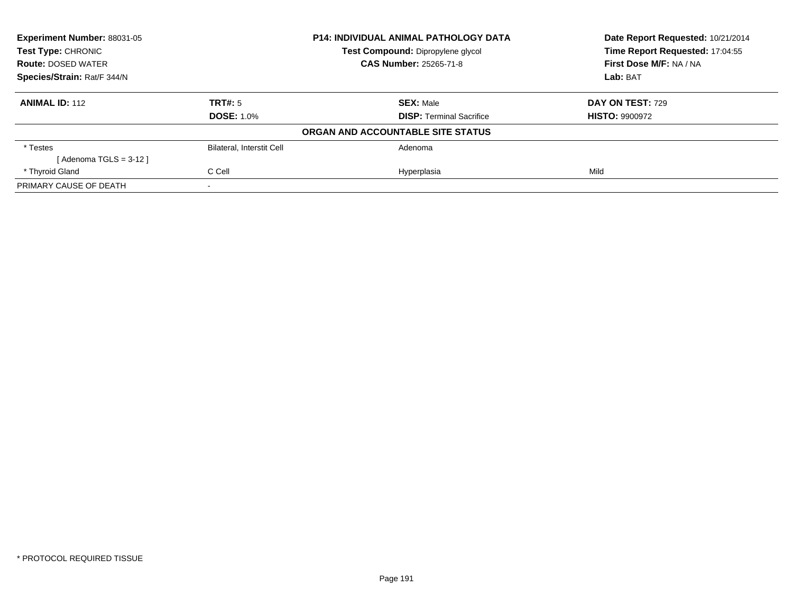| Experiment Number: 88031-05 | <b>P14: INDIVIDUAL ANIMAL PATHOLOGY DATA</b> |                                   | Date Report Requested: 10/21/2014 |
|-----------------------------|----------------------------------------------|-----------------------------------|-----------------------------------|
| <b>Test Type: CHRONIC</b>   |                                              | Test Compound: Dipropylene glycol | Time Report Requested: 17:04:55   |
| <b>Route: DOSED WATER</b>   |                                              | <b>CAS Number: 25265-71-8</b>     | First Dose M/F: NA / NA           |
| Species/Strain: Rat/F 344/N |                                              |                                   | Lab: BAT                          |
| <b>ANIMAL ID: 112</b>       | TRT#: 5                                      | <b>SEX: Male</b>                  | DAY ON TEST: 729                  |
|                             | <b>DOSE: 1.0%</b>                            | <b>DISP: Terminal Sacrifice</b>   | <b>HISTO: 9900972</b>             |
|                             |                                              | ORGAN AND ACCOUNTABLE SITE STATUS |                                   |
| * Testes                    | <b>Bilateral, Interstit Cell</b>             | Adenoma                           |                                   |
| [Adenoma TGLS = 3-12 ]      |                                              |                                   |                                   |
| * Thyroid Gland             | C Cell                                       | Hyperplasia                       | Mild                              |
| PRIMARY CAUSE OF DEATH      |                                              |                                   |                                   |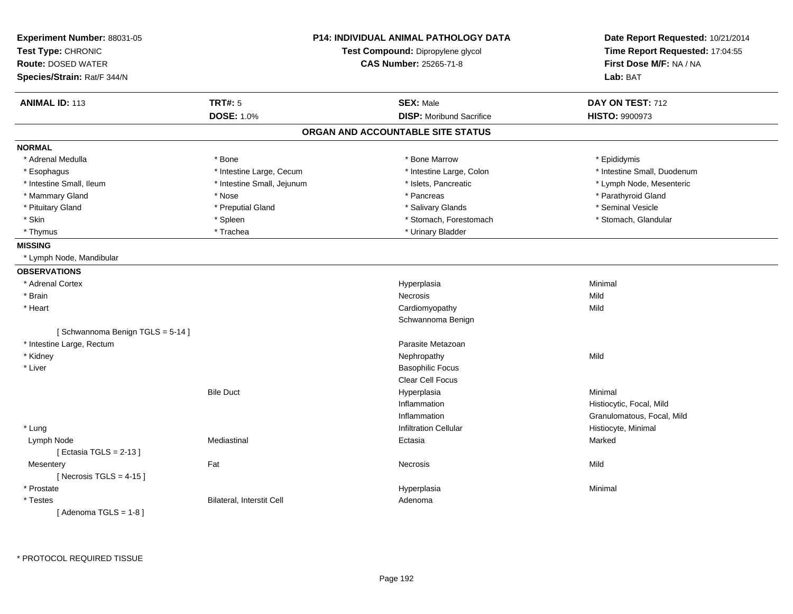| Experiment Number: 88031-05<br>Test Type: CHRONIC<br><b>Route: DOSED WATER</b><br>Species/Strain: Rat/F 344/N | <b>P14: INDIVIDUAL ANIMAL PATHOLOGY DATA</b><br>Test Compound: Dipropylene glycol<br>CAS Number: 25265-71-8 |                                   | Date Report Requested: 10/21/2014<br>Time Report Requested: 17:04:55<br>First Dose M/F: NA / NA<br>Lab: BAT |
|---------------------------------------------------------------------------------------------------------------|-------------------------------------------------------------------------------------------------------------|-----------------------------------|-------------------------------------------------------------------------------------------------------------|
|                                                                                                               |                                                                                                             |                                   |                                                                                                             |
| <b>ANIMAL ID: 113</b>                                                                                         | <b>TRT#: 5</b>                                                                                              | <b>SEX: Male</b>                  | DAY ON TEST: 712                                                                                            |
|                                                                                                               | <b>DOSE: 1.0%</b>                                                                                           | <b>DISP:</b> Moribund Sacrifice   | HISTO: 9900973                                                                                              |
|                                                                                                               |                                                                                                             | ORGAN AND ACCOUNTABLE SITE STATUS |                                                                                                             |
| <b>NORMAL</b>                                                                                                 |                                                                                                             |                                   |                                                                                                             |
| * Adrenal Medulla                                                                                             | * Bone                                                                                                      | * Bone Marrow                     | * Epididymis                                                                                                |
| * Esophagus                                                                                                   | * Intestine Large, Cecum                                                                                    | * Intestine Large, Colon          | * Intestine Small, Duodenum                                                                                 |
| * Intestine Small, Ileum                                                                                      | * Intestine Small, Jejunum                                                                                  | * Islets, Pancreatic              | * Lymph Node, Mesenteric                                                                                    |
| * Mammary Gland                                                                                               | * Nose                                                                                                      | * Pancreas                        | * Parathyroid Gland                                                                                         |
| * Pituitary Gland                                                                                             | * Preputial Gland                                                                                           | * Salivary Glands                 | * Seminal Vesicle                                                                                           |
| * Skin                                                                                                        | * Spleen                                                                                                    | * Stomach, Forestomach            | * Stomach, Glandular                                                                                        |
| * Thymus                                                                                                      | * Trachea                                                                                                   | * Urinary Bladder                 |                                                                                                             |
| <b>MISSING</b>                                                                                                |                                                                                                             |                                   |                                                                                                             |
| * Lymph Node, Mandibular                                                                                      |                                                                                                             |                                   |                                                                                                             |
| <b>OBSERVATIONS</b>                                                                                           |                                                                                                             |                                   |                                                                                                             |
| * Adrenal Cortex                                                                                              |                                                                                                             | Hyperplasia                       | Minimal                                                                                                     |
| * Brain                                                                                                       |                                                                                                             | Necrosis                          | Mild                                                                                                        |
| * Heart                                                                                                       |                                                                                                             | Cardiomyopathy                    | Mild                                                                                                        |
|                                                                                                               |                                                                                                             | Schwannoma Benign                 |                                                                                                             |
| [Schwannoma Benign TGLS = 5-14]                                                                               |                                                                                                             |                                   |                                                                                                             |
| * Intestine Large, Rectum                                                                                     |                                                                                                             | Parasite Metazoan                 |                                                                                                             |
| * Kidney                                                                                                      |                                                                                                             | Nephropathy                       | Mild                                                                                                        |
| * Liver                                                                                                       |                                                                                                             | <b>Basophilic Focus</b>           |                                                                                                             |
|                                                                                                               |                                                                                                             | <b>Clear Cell Focus</b>           |                                                                                                             |
|                                                                                                               | <b>Bile Duct</b>                                                                                            | Hyperplasia                       | Minimal                                                                                                     |
|                                                                                                               |                                                                                                             | Inflammation                      | Histiocytic, Focal, Mild                                                                                    |
|                                                                                                               |                                                                                                             | Inflammation                      | Granulomatous, Focal, Mild                                                                                  |
| * Lung                                                                                                        |                                                                                                             | <b>Infiltration Cellular</b>      | Histiocyte, Minimal                                                                                         |
| Lymph Node                                                                                                    | Mediastinal                                                                                                 | Ectasia                           | Marked                                                                                                      |
| [Ectasia TGLS = $2-13$ ]                                                                                      |                                                                                                             |                                   |                                                                                                             |
| Mesentery                                                                                                     | Fat                                                                                                         | Necrosis                          | Mild                                                                                                        |
| [Necrosis TGLS = $4-15$ ]                                                                                     |                                                                                                             |                                   |                                                                                                             |
| * Prostate                                                                                                    |                                                                                                             | Hyperplasia                       | Minimal                                                                                                     |
| * Testes                                                                                                      | <b>Bilateral, Interstit Cell</b>                                                                            | Adenoma                           |                                                                                                             |
| [Adenoma TGLS = $1-8$ ]                                                                                       |                                                                                                             |                                   |                                                                                                             |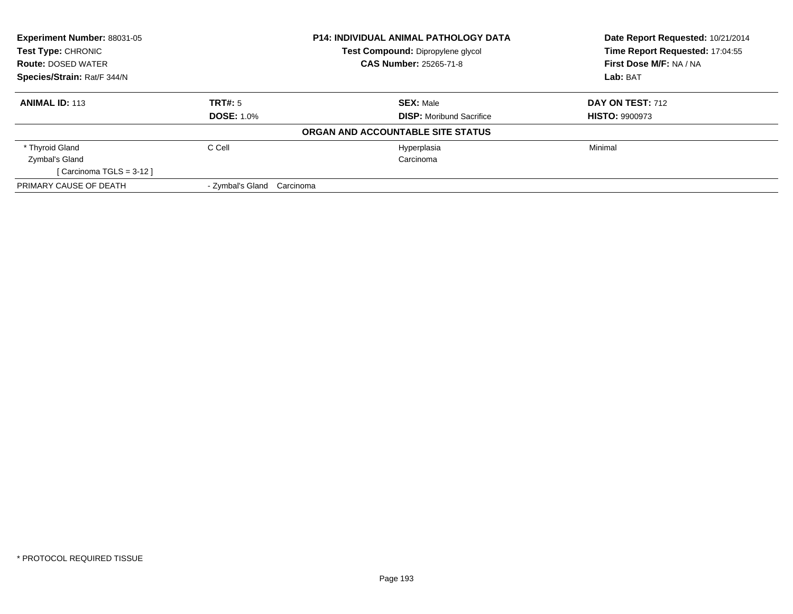| Experiment Number: 88031-05 |                               | <b>P14: INDIVIDUAL ANIMAL PATHOLOGY DATA</b> | Date Report Requested: 10/21/2014<br>Time Report Requested: 17:04:55 |
|-----------------------------|-------------------------------|----------------------------------------------|----------------------------------------------------------------------|
| <b>Test Type: CHRONIC</b>   |                               | Test Compound: Dipropylene glycol            |                                                                      |
| <b>Route: DOSED WATER</b>   |                               | <b>CAS Number: 25265-71-8</b>                | First Dose M/F: NA / NA                                              |
| Species/Strain: Rat/F 344/N |                               |                                              | Lab: BAT                                                             |
| <b>ANIMAL ID: 113</b>       | TRT#: 5                       | <b>SEX: Male</b>                             | DAY ON TEST: 712                                                     |
|                             | <b>DOSE: 1.0%</b>             | <b>DISP:</b> Moribund Sacrifice              | <b>HISTO: 9900973</b>                                                |
|                             |                               | ORGAN AND ACCOUNTABLE SITE STATUS            |                                                                      |
| * Thyroid Gland             | C Cell                        | Hyperplasia                                  | Minimal                                                              |
| Zymbal's Gland              |                               | Carcinoma                                    |                                                                      |
| [Carcinoma TGLS = $3-12$ ]  |                               |                                              |                                                                      |
| PRIMARY CAUSE OF DEATH      | - Zvmbal's Gland<br>Carcinoma |                                              |                                                                      |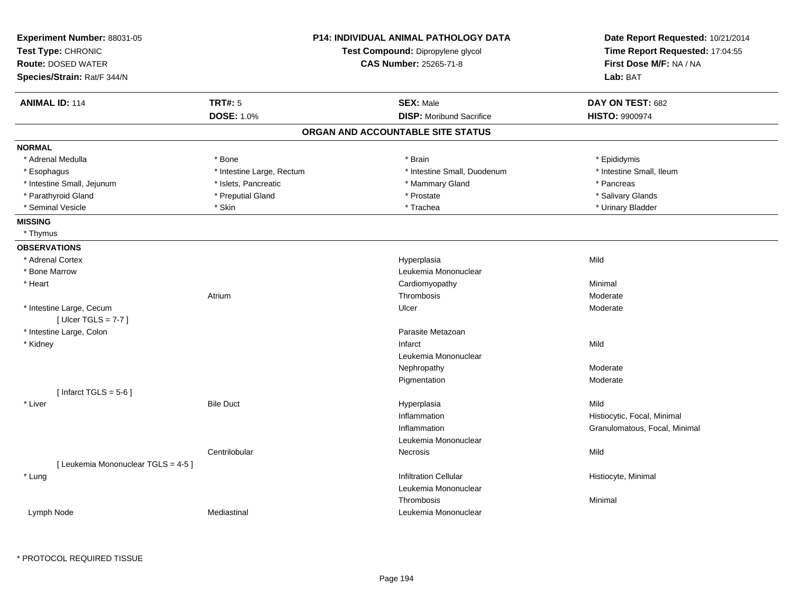| Experiment Number: 88031-05<br>Test Type: CHRONIC<br><b>Route: DOSED WATER</b><br>Species/Strain: Rat/F 344/N | <b>P14: INDIVIDUAL ANIMAL PATHOLOGY DATA</b><br>Test Compound: Dipropylene glycol<br><b>CAS Number: 25265-71-8</b> |                                   | Date Report Requested: 10/21/2014<br>Time Report Requested: 17:04:55<br>First Dose M/F: NA / NA<br>Lab: BAT |
|---------------------------------------------------------------------------------------------------------------|--------------------------------------------------------------------------------------------------------------------|-----------------------------------|-------------------------------------------------------------------------------------------------------------|
| <b>ANIMAL ID: 114</b>                                                                                         | <b>TRT#: 5</b>                                                                                                     | <b>SEX: Male</b>                  | DAY ON TEST: 682                                                                                            |
|                                                                                                               | <b>DOSE: 1.0%</b>                                                                                                  | <b>DISP:</b> Moribund Sacrifice   | <b>HISTO: 9900974</b>                                                                                       |
|                                                                                                               |                                                                                                                    | ORGAN AND ACCOUNTABLE SITE STATUS |                                                                                                             |
| <b>NORMAL</b>                                                                                                 |                                                                                                                    |                                   |                                                                                                             |
| * Adrenal Medulla                                                                                             | * Bone                                                                                                             | * Brain                           | * Epididymis                                                                                                |
| * Esophagus                                                                                                   | * Intestine Large, Rectum                                                                                          | * Intestine Small, Duodenum       | * Intestine Small, Ileum                                                                                    |
| * Intestine Small, Jejunum                                                                                    | * Islets, Pancreatic                                                                                               | * Mammary Gland                   | * Pancreas                                                                                                  |
| * Parathyroid Gland                                                                                           | * Preputial Gland                                                                                                  | * Prostate                        | * Salivary Glands                                                                                           |
| * Seminal Vesicle                                                                                             | * Skin                                                                                                             | * Trachea                         | * Urinary Bladder                                                                                           |
| <b>MISSING</b>                                                                                                |                                                                                                                    |                                   |                                                                                                             |
| * Thymus                                                                                                      |                                                                                                                    |                                   |                                                                                                             |
| <b>OBSERVATIONS</b>                                                                                           |                                                                                                                    |                                   |                                                                                                             |
| * Adrenal Cortex                                                                                              |                                                                                                                    | Hyperplasia                       | Mild                                                                                                        |
| * Bone Marrow                                                                                                 |                                                                                                                    | Leukemia Mononuclear              |                                                                                                             |
| * Heart                                                                                                       |                                                                                                                    | Cardiomyopathy                    | Minimal                                                                                                     |
|                                                                                                               | Atrium                                                                                                             | Thrombosis                        | Moderate                                                                                                    |
| * Intestine Large, Cecum                                                                                      |                                                                                                                    | Ulcer                             | Moderate                                                                                                    |
| [ Ulcer TGLS = $7-7$ ]                                                                                        |                                                                                                                    |                                   |                                                                                                             |
| * Intestine Large, Colon                                                                                      |                                                                                                                    | Parasite Metazoan                 |                                                                                                             |
| * Kidney                                                                                                      |                                                                                                                    | Infarct                           | Mild                                                                                                        |
|                                                                                                               |                                                                                                                    | Leukemia Mononuclear              |                                                                                                             |
|                                                                                                               |                                                                                                                    | Nephropathy                       | Moderate                                                                                                    |
|                                                                                                               |                                                                                                                    | Pigmentation                      | Moderate                                                                                                    |
| [Infarct TGLS = $5-6$ ]                                                                                       |                                                                                                                    |                                   |                                                                                                             |
| * Liver                                                                                                       | <b>Bile Duct</b>                                                                                                   | Hyperplasia                       | Mild                                                                                                        |
|                                                                                                               |                                                                                                                    | Inflammation                      | Histiocytic, Focal, Minimal                                                                                 |
|                                                                                                               |                                                                                                                    | Inflammation                      | Granulomatous, Focal, Minimal                                                                               |
|                                                                                                               |                                                                                                                    | Leukemia Mononuclear              |                                                                                                             |
|                                                                                                               | Centrilobular                                                                                                      | Necrosis                          | Mild                                                                                                        |
| [ Leukemia Mononuclear TGLS = 4-5 ]                                                                           |                                                                                                                    |                                   |                                                                                                             |
| * Lung                                                                                                        |                                                                                                                    | <b>Infiltration Cellular</b>      | Histiocyte, Minimal                                                                                         |
|                                                                                                               |                                                                                                                    | Leukemia Mononuclear              |                                                                                                             |
|                                                                                                               |                                                                                                                    | Thrombosis                        | Minimal                                                                                                     |
| Lymph Node                                                                                                    | Mediastinal                                                                                                        | Leukemia Mononuclear              |                                                                                                             |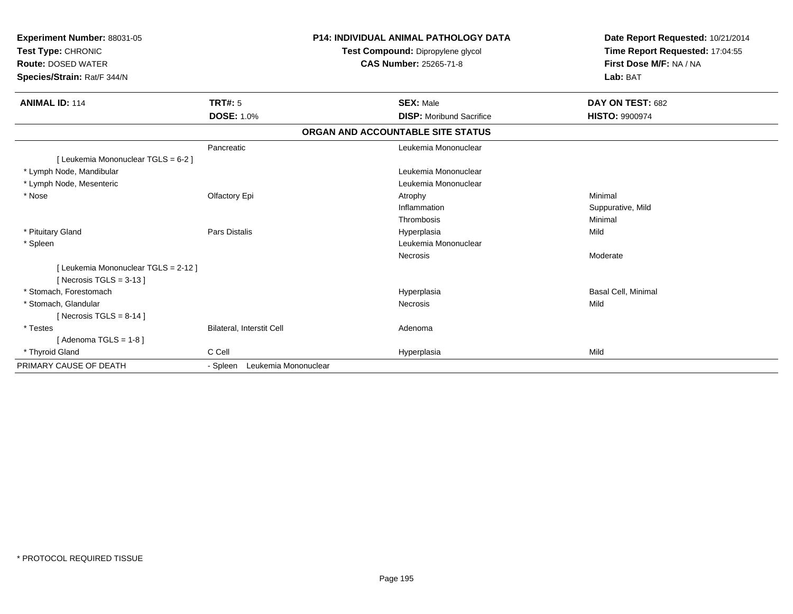| Experiment Number: 88031-05<br>Test Type: CHRONIC<br><b>Route: DOSED WATER</b><br>Species/Strain: Rat/F 344/N |                                  | <b>P14: INDIVIDUAL ANIMAL PATHOLOGY DATA</b><br>Test Compound: Dipropylene glycol<br><b>CAS Number: 25265-71-8</b> | Date Report Requested: 10/21/2014<br>Time Report Requested: 17:04:55<br>First Dose M/F: NA / NA<br>Lab: BAT |  |
|---------------------------------------------------------------------------------------------------------------|----------------------------------|--------------------------------------------------------------------------------------------------------------------|-------------------------------------------------------------------------------------------------------------|--|
| <b>ANIMAL ID: 114</b>                                                                                         | <b>TRT#: 5</b>                   | <b>SEX: Male</b>                                                                                                   | DAY ON TEST: 682                                                                                            |  |
|                                                                                                               | <b>DOSE: 1.0%</b>                | <b>DISP:</b> Moribund Sacrifice                                                                                    | <b>HISTO: 9900974</b>                                                                                       |  |
|                                                                                                               |                                  | ORGAN AND ACCOUNTABLE SITE STATUS                                                                                  |                                                                                                             |  |
|                                                                                                               | Pancreatic                       | Leukemia Mononuclear                                                                                               |                                                                                                             |  |
| [ Leukemia Mononuclear TGLS = 6-2 ]                                                                           |                                  |                                                                                                                    |                                                                                                             |  |
| * Lymph Node, Mandibular                                                                                      |                                  | Leukemia Mononuclear                                                                                               |                                                                                                             |  |
| * Lymph Node, Mesenteric                                                                                      |                                  | Leukemia Mononuclear                                                                                               |                                                                                                             |  |
| * Nose                                                                                                        | Olfactory Epi                    | Atrophy                                                                                                            | Minimal                                                                                                     |  |
|                                                                                                               |                                  | Inflammation                                                                                                       | Suppurative, Mild                                                                                           |  |
|                                                                                                               |                                  | Thrombosis                                                                                                         | Minimal                                                                                                     |  |
| * Pituitary Gland                                                                                             | <b>Pars Distalis</b>             | Hyperplasia                                                                                                        | Mild                                                                                                        |  |
| * Spleen                                                                                                      |                                  | Leukemia Mononuclear                                                                                               |                                                                                                             |  |
|                                                                                                               |                                  | Necrosis                                                                                                           | Moderate                                                                                                    |  |
| [ Leukemia Mononuclear TGLS = 2-12 ]<br>[ Necrosis TGLS = $3-13$ ]                                            |                                  |                                                                                                                    |                                                                                                             |  |
| * Stomach, Forestomach                                                                                        |                                  | Hyperplasia                                                                                                        | Basal Cell, Minimal                                                                                         |  |
| * Stomach, Glandular                                                                                          |                                  | Necrosis                                                                                                           | Mild                                                                                                        |  |
| [ Necrosis TGLS = $8-14$ ]                                                                                    |                                  |                                                                                                                    |                                                                                                             |  |
| * Testes                                                                                                      | Bilateral, Interstit Cell        | Adenoma                                                                                                            |                                                                                                             |  |
| [Adenoma TGLS = $1-8$ ]                                                                                       |                                  |                                                                                                                    |                                                                                                             |  |
| * Thyroid Gland                                                                                               | C Cell                           | Hyperplasia                                                                                                        | Mild                                                                                                        |  |
| PRIMARY CAUSE OF DEATH                                                                                        | Leukemia Mononuclear<br>- Spleen |                                                                                                                    |                                                                                                             |  |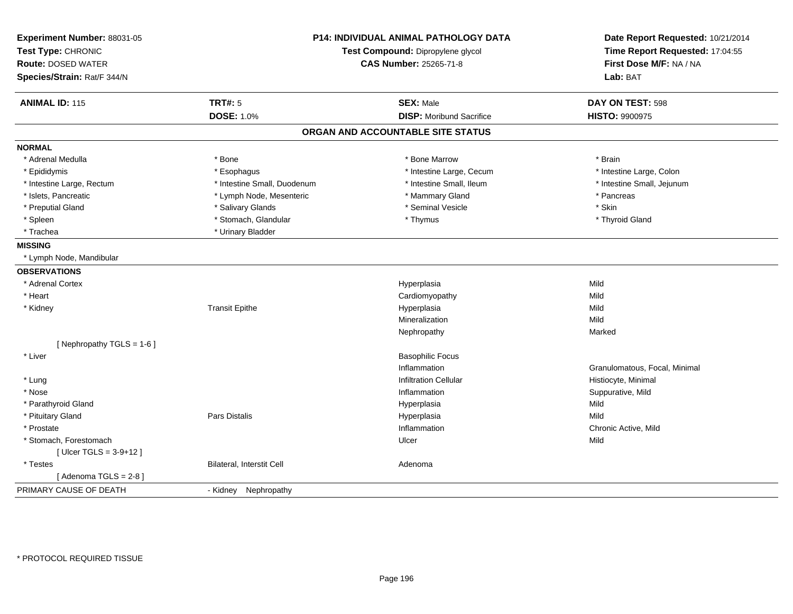| Experiment Number: 88031-05<br>Test Type: CHRONIC<br><b>Route: DOSED WATER</b><br>Species/Strain: Rat/F 344/N |                             | P14: INDIVIDUAL ANIMAL PATHOLOGY DATA<br>Test Compound: Dipropylene glycol<br><b>CAS Number: 25265-71-8</b> |                               |
|---------------------------------------------------------------------------------------------------------------|-----------------------------|-------------------------------------------------------------------------------------------------------------|-------------------------------|
| <b>ANIMAL ID: 115</b>                                                                                         | <b>TRT#: 5</b>              | <b>SEX: Male</b>                                                                                            | DAY ON TEST: 598              |
|                                                                                                               | <b>DOSE: 1.0%</b>           | <b>DISP:</b> Moribund Sacrifice                                                                             | <b>HISTO: 9900975</b>         |
|                                                                                                               |                             | ORGAN AND ACCOUNTABLE SITE STATUS                                                                           |                               |
| <b>NORMAL</b>                                                                                                 |                             |                                                                                                             |                               |
| * Adrenal Medulla                                                                                             | * Bone                      | * Bone Marrow                                                                                               | * Brain                       |
| * Epididymis                                                                                                  | * Esophagus                 | * Intestine Large, Cecum                                                                                    | * Intestine Large, Colon      |
| * Intestine Large, Rectum                                                                                     | * Intestine Small, Duodenum | * Intestine Small, Ileum                                                                                    | * Intestine Small, Jejunum    |
| * Islets, Pancreatic                                                                                          | * Lymph Node, Mesenteric    | * Mammary Gland                                                                                             | * Pancreas                    |
| * Preputial Gland                                                                                             | * Salivary Glands           | * Seminal Vesicle                                                                                           | * Skin                        |
| * Spleen                                                                                                      | * Stomach, Glandular        | * Thymus                                                                                                    | * Thyroid Gland               |
| * Trachea                                                                                                     | * Urinary Bladder           |                                                                                                             |                               |
| <b>MISSING</b>                                                                                                |                             |                                                                                                             |                               |
| * Lymph Node, Mandibular                                                                                      |                             |                                                                                                             |                               |
| <b>OBSERVATIONS</b>                                                                                           |                             |                                                                                                             |                               |
| * Adrenal Cortex                                                                                              |                             | Hyperplasia                                                                                                 | Mild                          |
| * Heart                                                                                                       |                             | Cardiomyopathy                                                                                              | Mild                          |
| * Kidney                                                                                                      | <b>Transit Epithe</b>       | Hyperplasia                                                                                                 | Mild                          |
|                                                                                                               |                             | Mineralization                                                                                              | Mild                          |
|                                                                                                               |                             | Nephropathy                                                                                                 | Marked                        |
| [Nephropathy TGLS = 1-6]                                                                                      |                             |                                                                                                             |                               |
| * Liver                                                                                                       |                             | <b>Basophilic Focus</b>                                                                                     |                               |
|                                                                                                               |                             | Inflammation                                                                                                | Granulomatous, Focal, Minimal |
| * Lung                                                                                                        |                             | <b>Infiltration Cellular</b>                                                                                | Histiocyte, Minimal           |
| * Nose                                                                                                        |                             | Inflammation                                                                                                | Suppurative, Mild             |
| * Parathyroid Gland                                                                                           |                             | Hyperplasia                                                                                                 | Mild                          |
| * Pituitary Gland                                                                                             | <b>Pars Distalis</b>        | Hyperplasia                                                                                                 | Mild                          |
| * Prostate                                                                                                    |                             | Inflammation                                                                                                | Chronic Active, Mild          |
| * Stomach, Forestomach                                                                                        |                             | Ulcer                                                                                                       | Mild                          |
| [ $Uicer TGLS = 3-9+12$ ]                                                                                     |                             |                                                                                                             |                               |
| * Testes                                                                                                      | Bilateral, Interstit Cell   | Adenoma                                                                                                     |                               |
| [Adenoma TGLS = $2-8$ ]                                                                                       |                             |                                                                                                             |                               |
| PRIMARY CAUSE OF DEATH                                                                                        | - Kidney Nephropathy        |                                                                                                             |                               |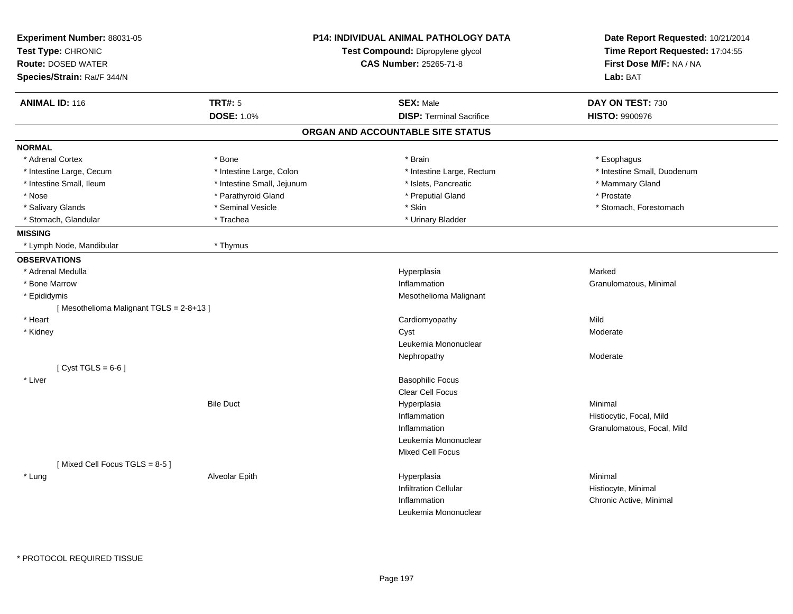| Experiment Number: 88031-05<br>Test Type: CHRONIC<br><b>Route: DOSED WATER</b><br>Species/Strain: Rat/F 344/N |                            | <b>P14: INDIVIDUAL ANIMAL PATHOLOGY DATA</b><br>Test Compound: Dipropylene glycol<br>CAS Number: 25265-71-8 | Date Report Requested: 10/21/2014<br>Time Report Requested: 17:04:55<br>First Dose M/F: NA / NA<br>Lab: BAT |
|---------------------------------------------------------------------------------------------------------------|----------------------------|-------------------------------------------------------------------------------------------------------------|-------------------------------------------------------------------------------------------------------------|
| <b>ANIMAL ID: 116</b>                                                                                         | TRT#: 5                    | <b>SEX: Male</b>                                                                                            | DAY ON TEST: 730                                                                                            |
|                                                                                                               | <b>DOSE: 1.0%</b>          | <b>DISP: Terminal Sacrifice</b>                                                                             | <b>HISTO: 9900976</b>                                                                                       |
|                                                                                                               |                            | ORGAN AND ACCOUNTABLE SITE STATUS                                                                           |                                                                                                             |
| <b>NORMAL</b>                                                                                                 |                            |                                                                                                             |                                                                                                             |
| * Adrenal Cortex                                                                                              | * Bone                     | * Brain                                                                                                     | * Esophagus                                                                                                 |
| * Intestine Large, Cecum                                                                                      | * Intestine Large, Colon   | * Intestine Large, Rectum                                                                                   | * Intestine Small, Duodenum                                                                                 |
| * Intestine Small, Ileum                                                                                      | * Intestine Small, Jejunum | * Islets, Pancreatic                                                                                        | * Mammary Gland                                                                                             |
| * Nose                                                                                                        | * Parathyroid Gland        | * Preputial Gland                                                                                           | * Prostate                                                                                                  |
| * Salivary Glands                                                                                             | * Seminal Vesicle          | * Skin                                                                                                      | * Stomach, Forestomach                                                                                      |
| * Stomach, Glandular                                                                                          | * Trachea                  | * Urinary Bladder                                                                                           |                                                                                                             |
| <b>MISSING</b>                                                                                                |                            |                                                                                                             |                                                                                                             |
| * Lymph Node, Mandibular                                                                                      | * Thymus                   |                                                                                                             |                                                                                                             |
| <b>OBSERVATIONS</b>                                                                                           |                            |                                                                                                             |                                                                                                             |
| * Adrenal Medulla                                                                                             |                            | Hyperplasia                                                                                                 | Marked                                                                                                      |
| * Bone Marrow                                                                                                 |                            | Inflammation                                                                                                | Granulomatous, Minimal                                                                                      |
| * Epididymis                                                                                                  |                            | Mesothelioma Malignant                                                                                      |                                                                                                             |
| [Mesothelioma Malignant TGLS = 2-8+13]                                                                        |                            |                                                                                                             |                                                                                                             |
| * Heart                                                                                                       |                            | Cardiomyopathy                                                                                              | Mild                                                                                                        |
| * Kidney                                                                                                      |                            | Cyst                                                                                                        | Moderate                                                                                                    |
|                                                                                                               |                            | Leukemia Mononuclear                                                                                        |                                                                                                             |
|                                                                                                               |                            | Nephropathy                                                                                                 | Moderate                                                                                                    |
| [Cyst TGLS = $6-6$ ]                                                                                          |                            |                                                                                                             |                                                                                                             |
| * Liver                                                                                                       |                            | <b>Basophilic Focus</b>                                                                                     |                                                                                                             |
|                                                                                                               |                            | Clear Cell Focus                                                                                            |                                                                                                             |
|                                                                                                               | <b>Bile Duct</b>           | Hyperplasia                                                                                                 | Minimal                                                                                                     |
|                                                                                                               |                            | Inflammation                                                                                                | Histiocytic, Focal, Mild                                                                                    |
|                                                                                                               |                            | Inflammation                                                                                                | Granulomatous, Focal, Mild                                                                                  |
|                                                                                                               |                            | Leukemia Mononuclear                                                                                        |                                                                                                             |
|                                                                                                               |                            | <b>Mixed Cell Focus</b>                                                                                     |                                                                                                             |
| [Mixed Cell Focus TGLS = 8-5]                                                                                 |                            |                                                                                                             |                                                                                                             |
| * Lung                                                                                                        | Alveolar Epith             | Hyperplasia                                                                                                 | Minimal                                                                                                     |
|                                                                                                               |                            | <b>Infiltration Cellular</b>                                                                                | Histiocyte, Minimal                                                                                         |
|                                                                                                               |                            | Inflammation                                                                                                | Chronic Active, Minimal                                                                                     |
|                                                                                                               |                            | Leukemia Mononuclear                                                                                        |                                                                                                             |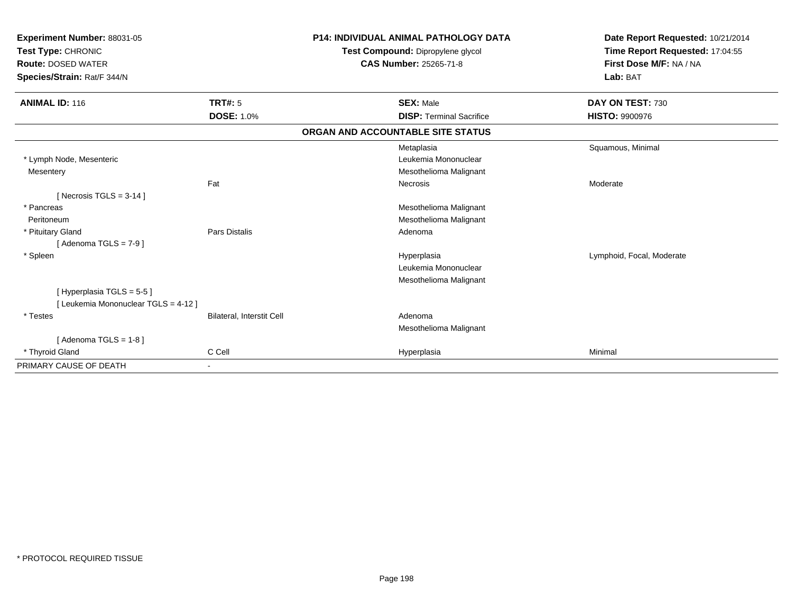| Experiment Number: 88031-05<br>Test Type: CHRONIC<br><b>Route: DOSED WATER</b><br>Species/Strain: Rat/F 344/N |                                  | <b>P14: INDIVIDUAL ANIMAL PATHOLOGY DATA</b><br>Test Compound: Dipropylene glycol<br><b>CAS Number: 25265-71-8</b> |                                   | Date Report Requested: 10/21/2014<br>Time Report Requested: 17:04:55<br>First Dose M/F: NA / NA<br>Lab: BAT |  |
|---------------------------------------------------------------------------------------------------------------|----------------------------------|--------------------------------------------------------------------------------------------------------------------|-----------------------------------|-------------------------------------------------------------------------------------------------------------|--|
| <b>ANIMAL ID: 116</b>                                                                                         | <b>TRT#: 5</b>                   |                                                                                                                    | <b>SEX: Male</b>                  | DAY ON TEST: 730                                                                                            |  |
|                                                                                                               | <b>DOSE: 1.0%</b>                |                                                                                                                    | <b>DISP: Terminal Sacrifice</b>   | <b>HISTO: 9900976</b>                                                                                       |  |
|                                                                                                               |                                  |                                                                                                                    | ORGAN AND ACCOUNTABLE SITE STATUS |                                                                                                             |  |
|                                                                                                               |                                  |                                                                                                                    | Metaplasia                        | Squamous, Minimal                                                                                           |  |
| * Lymph Node, Mesenteric                                                                                      |                                  |                                                                                                                    | Leukemia Mononuclear              |                                                                                                             |  |
| Mesentery                                                                                                     |                                  |                                                                                                                    | Mesothelioma Malignant            |                                                                                                             |  |
|                                                                                                               | Fat                              |                                                                                                                    | <b>Necrosis</b>                   | Moderate                                                                                                    |  |
| [ Necrosis $TGLS = 3-14$ ]                                                                                    |                                  |                                                                                                                    |                                   |                                                                                                             |  |
| * Pancreas                                                                                                    |                                  |                                                                                                                    | Mesothelioma Malignant            |                                                                                                             |  |
| Peritoneum                                                                                                    |                                  |                                                                                                                    | Mesothelioma Malignant            |                                                                                                             |  |
| * Pituitary Gland                                                                                             | <b>Pars Distalis</b>             |                                                                                                                    | Adenoma                           |                                                                                                             |  |
| [Adenoma TGLS = $7-9$ ]                                                                                       |                                  |                                                                                                                    |                                   |                                                                                                             |  |
| * Spleen                                                                                                      |                                  |                                                                                                                    | Hyperplasia                       | Lymphoid, Focal, Moderate                                                                                   |  |
|                                                                                                               |                                  |                                                                                                                    | Leukemia Mononuclear              |                                                                                                             |  |
|                                                                                                               |                                  |                                                                                                                    | Mesothelioma Malignant            |                                                                                                             |  |
| [ Hyperplasia TGLS = 5-5 ]                                                                                    |                                  |                                                                                                                    |                                   |                                                                                                             |  |
| [ Leukemia Mononuclear TGLS = 4-12 ]                                                                          |                                  |                                                                                                                    |                                   |                                                                                                             |  |
| * Testes                                                                                                      | <b>Bilateral, Interstit Cell</b> |                                                                                                                    | Adenoma                           |                                                                                                             |  |
|                                                                                                               |                                  |                                                                                                                    | Mesothelioma Malignant            |                                                                                                             |  |
| [Adenoma TGLS = $1-8$ ]                                                                                       |                                  |                                                                                                                    |                                   |                                                                                                             |  |
| * Thyroid Gland                                                                                               | C Cell                           |                                                                                                                    | Hyperplasia                       | Minimal                                                                                                     |  |
| PRIMARY CAUSE OF DEATH                                                                                        |                                  |                                                                                                                    |                                   |                                                                                                             |  |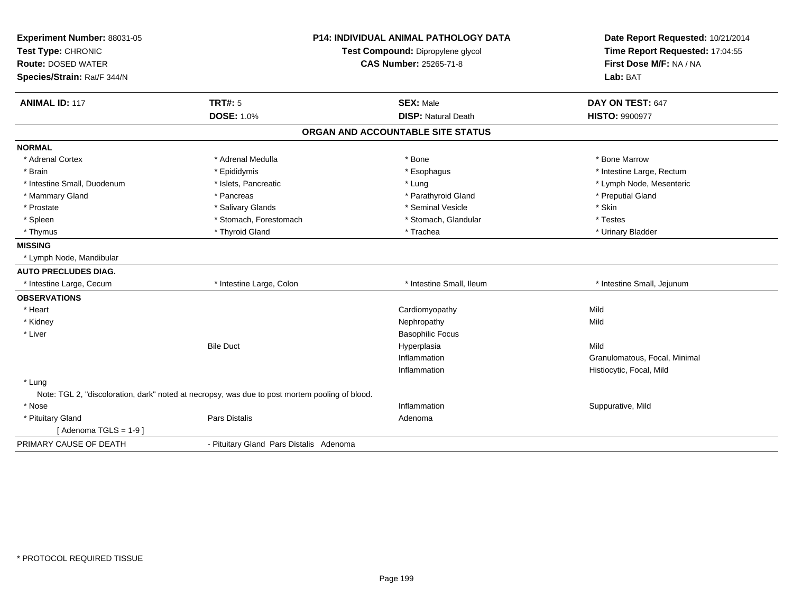| Experiment Number: 88031-05 |                                                                                                | <b>P14: INDIVIDUAL ANIMAL PATHOLOGY DATA</b> | Date Report Requested: 10/21/2014                          |
|-----------------------------|------------------------------------------------------------------------------------------------|----------------------------------------------|------------------------------------------------------------|
| Test Type: CHRONIC          |                                                                                                | Test Compound: Dipropylene glycol            | Time Report Requested: 17:04:55<br>First Dose M/F: NA / NA |
| <b>Route: DOSED WATER</b>   |                                                                                                | CAS Number: 25265-71-8                       |                                                            |
| Species/Strain: Rat/F 344/N |                                                                                                |                                              | Lab: BAT                                                   |
| <b>ANIMAL ID: 117</b>       | <b>TRT#: 5</b>                                                                                 | <b>SEX: Male</b>                             | DAY ON TEST: 647                                           |
|                             | DOSE: 1.0%                                                                                     | <b>DISP: Natural Death</b>                   | <b>HISTO: 9900977</b>                                      |
|                             |                                                                                                | ORGAN AND ACCOUNTABLE SITE STATUS            |                                                            |
| <b>NORMAL</b>               |                                                                                                |                                              |                                                            |
| * Adrenal Cortex            | * Adrenal Medulla                                                                              | * Bone                                       | * Bone Marrow                                              |
| * Brain                     | * Epididymis                                                                                   | * Esophagus                                  | * Intestine Large, Rectum                                  |
| * Intestine Small, Duodenum | * Islets, Pancreatic                                                                           | * Lung                                       | * Lymph Node, Mesenteric                                   |
| * Mammary Gland             | * Pancreas                                                                                     | * Parathyroid Gland                          | * Preputial Gland                                          |
| * Prostate                  | * Salivary Glands                                                                              | * Seminal Vesicle                            | * Skin                                                     |
| * Spleen                    | * Stomach, Forestomach                                                                         | * Stomach, Glandular                         | * Testes                                                   |
| * Thymus                    | * Thyroid Gland                                                                                | * Trachea                                    | * Urinary Bladder                                          |
| <b>MISSING</b>              |                                                                                                |                                              |                                                            |
| * Lymph Node, Mandibular    |                                                                                                |                                              |                                                            |
| <b>AUTO PRECLUDES DIAG.</b> |                                                                                                |                                              |                                                            |
| * Intestine Large, Cecum    | * Intestine Large, Colon                                                                       | * Intestine Small, Ileum                     | * Intestine Small, Jejunum                                 |
| <b>OBSERVATIONS</b>         |                                                                                                |                                              |                                                            |
| * Heart                     |                                                                                                | Cardiomyopathy                               | Mild                                                       |
| * Kidney                    |                                                                                                | Nephropathy                                  | Mild                                                       |
| * Liver                     |                                                                                                | <b>Basophilic Focus</b>                      |                                                            |
|                             | <b>Bile Duct</b>                                                                               | Hyperplasia                                  | Mild                                                       |
|                             |                                                                                                | Inflammation                                 | Granulomatous, Focal, Minimal                              |
|                             |                                                                                                | Inflammation                                 | Histiocytic, Focal, Mild                                   |
| * Lung                      |                                                                                                |                                              |                                                            |
|                             | Note: TGL 2, "discoloration, dark" noted at necropsy, was due to post mortem pooling of blood. |                                              |                                                            |
| * Nose                      |                                                                                                | Inflammation                                 | Suppurative, Mild                                          |
| * Pituitary Gland           | <b>Pars Distalis</b>                                                                           | Adenoma                                      |                                                            |
| [Adenoma TGLS = $1-9$ ]     |                                                                                                |                                              |                                                            |
| PRIMARY CAUSE OF DEATH      | - Pituitary Gland Pars Distalis Adenoma                                                        |                                              |                                                            |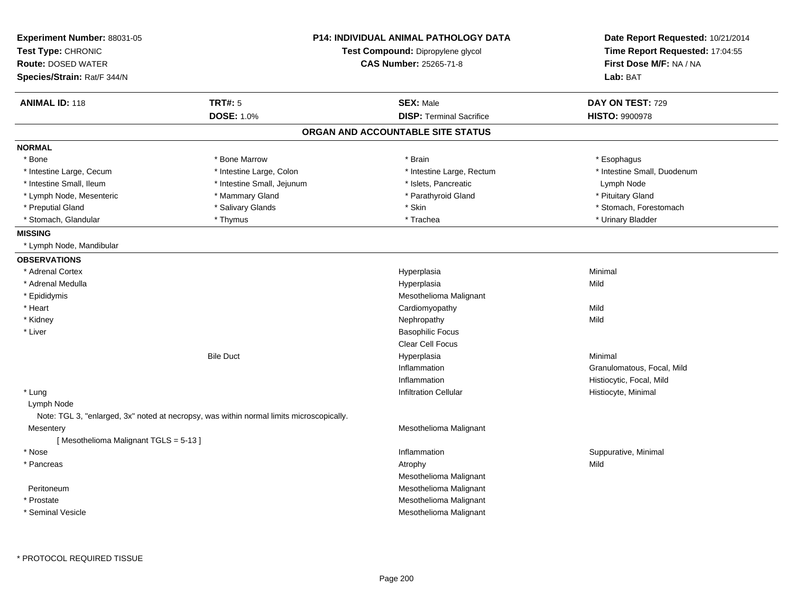| Experiment Number: 88031-05<br>Test Type: CHRONIC |                                                                                          | <b>P14: INDIVIDUAL ANIMAL PATHOLOGY DATA</b> | Date Report Requested: 10/21/2014<br>Time Report Requested: 17:04:55 |
|---------------------------------------------------|------------------------------------------------------------------------------------------|----------------------------------------------|----------------------------------------------------------------------|
|                                                   |                                                                                          | Test Compound: Dipropylene glycol            |                                                                      |
| <b>Route: DOSED WATER</b>                         |                                                                                          | CAS Number: 25265-71-8                       | First Dose M/F: NA / NA                                              |
| Species/Strain: Rat/F 344/N                       |                                                                                          |                                              | Lab: BAT                                                             |
| <b>ANIMAL ID: 118</b>                             | <b>TRT#: 5</b>                                                                           | <b>SEX: Male</b>                             | DAY ON TEST: 729                                                     |
|                                                   | <b>DOSE: 1.0%</b>                                                                        | <b>DISP: Terminal Sacrifice</b>              | <b>HISTO: 9900978</b>                                                |
|                                                   |                                                                                          | ORGAN AND ACCOUNTABLE SITE STATUS            |                                                                      |
| <b>NORMAL</b>                                     |                                                                                          |                                              |                                                                      |
| * Bone                                            | * Bone Marrow                                                                            | * Brain                                      | * Esophagus                                                          |
| * Intestine Large, Cecum                          | * Intestine Large, Colon                                                                 | * Intestine Large, Rectum                    | * Intestine Small, Duodenum                                          |
| * Intestine Small, Ileum                          | * Intestine Small, Jejunum                                                               | * Islets, Pancreatic                         | Lymph Node                                                           |
| * Lymph Node, Mesenteric                          | * Mammary Gland                                                                          | * Parathyroid Gland                          | * Pituitary Gland                                                    |
| * Preputial Gland                                 | * Salivary Glands                                                                        | * Skin                                       | * Stomach, Forestomach                                               |
| * Stomach, Glandular                              | * Thymus                                                                                 | * Trachea                                    | * Urinary Bladder                                                    |
| <b>MISSING</b>                                    |                                                                                          |                                              |                                                                      |
| * Lymph Node, Mandibular                          |                                                                                          |                                              |                                                                      |
| <b>OBSERVATIONS</b>                               |                                                                                          |                                              |                                                                      |
| * Adrenal Cortex                                  |                                                                                          | Hyperplasia                                  | Minimal                                                              |
| * Adrenal Medulla                                 |                                                                                          | Hyperplasia                                  | Mild                                                                 |
| * Epididymis                                      |                                                                                          | Mesothelioma Malignant                       |                                                                      |
| * Heart                                           |                                                                                          | Cardiomyopathy                               | Mild                                                                 |
| * Kidney                                          |                                                                                          | Nephropathy                                  | Mild                                                                 |
| * Liver                                           |                                                                                          | <b>Basophilic Focus</b>                      |                                                                      |
|                                                   |                                                                                          | Clear Cell Focus                             |                                                                      |
|                                                   | <b>Bile Duct</b>                                                                         | Hyperplasia                                  | Minimal                                                              |
|                                                   |                                                                                          | Inflammation                                 | Granulomatous, Focal, Mild                                           |
|                                                   |                                                                                          | Inflammation                                 | Histiocytic, Focal, Mild                                             |
| * Lung                                            |                                                                                          | <b>Infiltration Cellular</b>                 | Histiocyte, Minimal                                                  |
| Lymph Node                                        |                                                                                          |                                              |                                                                      |
|                                                   | Note: TGL 3, "enlarged, 3x" noted at necropsy, was within normal limits microscopically. |                                              |                                                                      |
| Mesentery                                         |                                                                                          | Mesothelioma Malignant                       |                                                                      |
| [Mesothelioma Malignant TGLS = 5-13]              |                                                                                          |                                              |                                                                      |
| * Nose                                            |                                                                                          | Inflammation                                 | Suppurative, Minimal                                                 |
| * Pancreas                                        |                                                                                          | Atrophy                                      | Mild                                                                 |
|                                                   |                                                                                          | Mesothelioma Malignant                       |                                                                      |
| Peritoneum                                        |                                                                                          | Mesothelioma Malignant                       |                                                                      |
| * Prostate                                        |                                                                                          | Mesothelioma Malignant                       |                                                                      |
| * Seminal Vesicle                                 |                                                                                          | Mesothelioma Malignant                       |                                                                      |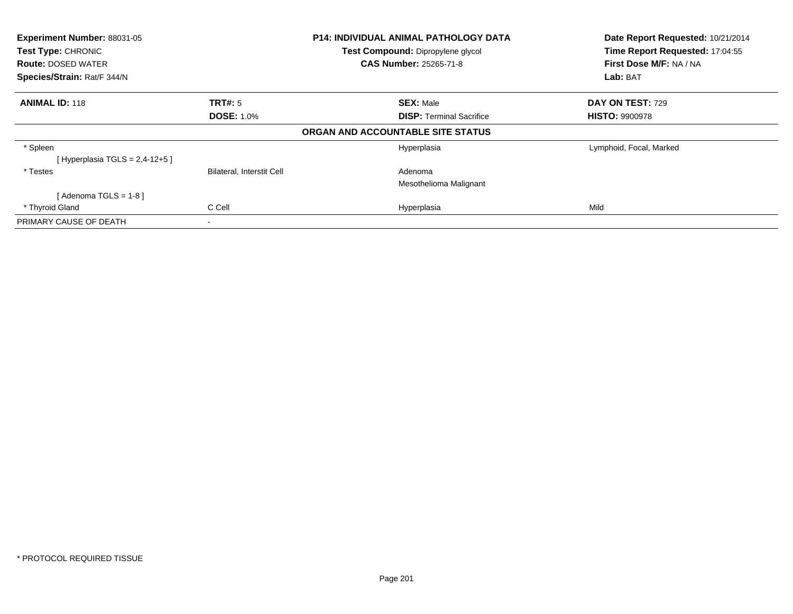| Experiment Number: 88031-05<br>Test Type: CHRONIC<br><b>Route: DOSED WATER</b><br>Species/Strain: Rat/F 344/N |                              | <b>P14: INDIVIDUAL ANIMAL PATHOLOGY DATA</b><br>Test Compound: Dipropylene glycol<br><b>CAS Number: 25265-71-8</b> | Date Report Requested: 10/21/2014<br>Time Report Requested: 17:04:55<br>First Dose M/F: NA / NA<br>Lab: BAT |  |
|---------------------------------------------------------------------------------------------------------------|------------------------------|--------------------------------------------------------------------------------------------------------------------|-------------------------------------------------------------------------------------------------------------|--|
| <b>ANIMAL ID: 118</b>                                                                                         | TRT#: 5<br><b>DOSE: 1.0%</b> | <b>SEX: Male</b><br><b>DISP: Terminal Sacrifice</b>                                                                | DAY ON TEST: 729<br><b>HISTO: 9900978</b>                                                                   |  |
|                                                                                                               |                              | ORGAN AND ACCOUNTABLE SITE STATUS                                                                                  |                                                                                                             |  |
| * Spleen<br>[Hyperplasia TGLS = $2,4-12+5$ ]                                                                  |                              | Hyperplasia                                                                                                        | Lymphoid, Focal, Marked                                                                                     |  |
| * Testes                                                                                                      | Bilateral, Interstit Cell    | Adenoma<br>Mesothelioma Malignant                                                                                  |                                                                                                             |  |
| [Adenoma TGLS = $1-8$ ]                                                                                       |                              |                                                                                                                    |                                                                                                             |  |
| * Thyroid Gland                                                                                               | C Cell                       | Hyperplasia                                                                                                        | Mild                                                                                                        |  |
| PRIMARY CAUSE OF DEATH                                                                                        |                              |                                                                                                                    |                                                                                                             |  |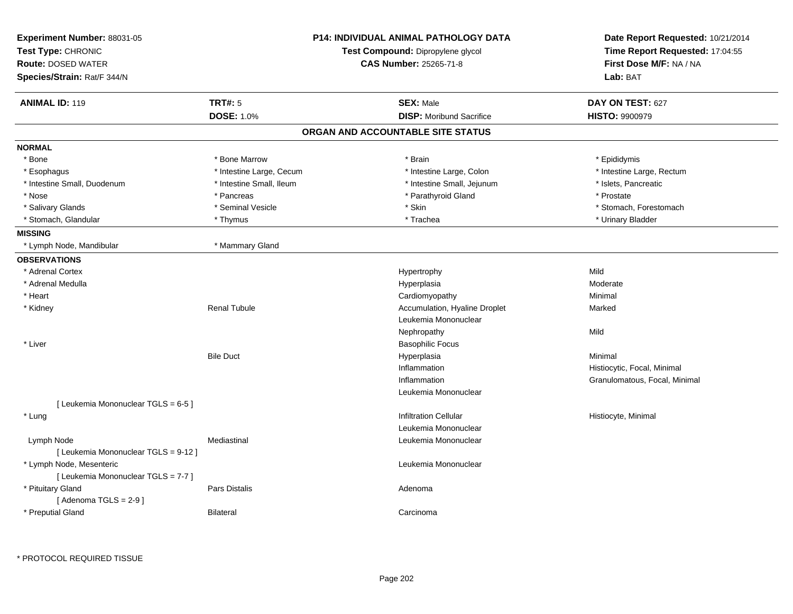| Experiment Number: 88031-05<br>Test Type: CHRONIC<br><b>Route: DOSED WATER</b><br>Species/Strain: Rat/F 344/N | <b>P14: INDIVIDUAL ANIMAL PATHOLOGY DATA</b><br>Test Compound: Dipropylene glycol<br><b>CAS Number: 25265-71-8</b> |                                   | Date Report Requested: 10/21/2014<br>Time Report Requested: 17:04:55<br>First Dose M/F: NA / NA<br>Lab: BAT |  |
|---------------------------------------------------------------------------------------------------------------|--------------------------------------------------------------------------------------------------------------------|-----------------------------------|-------------------------------------------------------------------------------------------------------------|--|
| <b>ANIMAL ID: 119</b>                                                                                         | <b>TRT#: 5</b>                                                                                                     | <b>SEX: Male</b>                  | DAY ON TEST: 627                                                                                            |  |
|                                                                                                               | <b>DOSE: 1.0%</b>                                                                                                  | <b>DISP:</b> Moribund Sacrifice   | <b>HISTO: 9900979</b>                                                                                       |  |
|                                                                                                               |                                                                                                                    | ORGAN AND ACCOUNTABLE SITE STATUS |                                                                                                             |  |
| <b>NORMAL</b>                                                                                                 |                                                                                                                    |                                   |                                                                                                             |  |
| * Bone                                                                                                        | * Bone Marrow                                                                                                      | * Brain                           | * Epididymis                                                                                                |  |
| * Esophagus                                                                                                   | * Intestine Large, Cecum                                                                                           | * Intestine Large, Colon          | * Intestine Large, Rectum                                                                                   |  |
| * Intestine Small, Duodenum                                                                                   | * Intestine Small, Ileum                                                                                           | * Intestine Small, Jejunum        | * Islets, Pancreatic                                                                                        |  |
| * Nose                                                                                                        | * Pancreas                                                                                                         | * Parathyroid Gland               | * Prostate                                                                                                  |  |
| * Salivary Glands                                                                                             | * Seminal Vesicle                                                                                                  | * Skin                            | * Stomach, Forestomach                                                                                      |  |
| * Stomach, Glandular                                                                                          | * Thymus                                                                                                           | * Trachea                         | * Urinary Bladder                                                                                           |  |
| <b>MISSING</b>                                                                                                |                                                                                                                    |                                   |                                                                                                             |  |
| * Lymph Node, Mandibular                                                                                      | * Mammary Gland                                                                                                    |                                   |                                                                                                             |  |
| <b>OBSERVATIONS</b>                                                                                           |                                                                                                                    |                                   |                                                                                                             |  |
| * Adrenal Cortex                                                                                              |                                                                                                                    | Hypertrophy                       | Mild                                                                                                        |  |
| * Adrenal Medulla                                                                                             |                                                                                                                    | Hyperplasia                       | Moderate                                                                                                    |  |
| * Heart                                                                                                       |                                                                                                                    | Cardiomyopathy                    | Minimal                                                                                                     |  |
| * Kidney                                                                                                      | <b>Renal Tubule</b>                                                                                                | Accumulation, Hyaline Droplet     | Marked                                                                                                      |  |
|                                                                                                               |                                                                                                                    | Leukemia Mononuclear              |                                                                                                             |  |
|                                                                                                               |                                                                                                                    | Nephropathy                       | Mild                                                                                                        |  |
| * Liver                                                                                                       |                                                                                                                    | <b>Basophilic Focus</b>           |                                                                                                             |  |
|                                                                                                               | <b>Bile Duct</b>                                                                                                   | Hyperplasia                       | Minimal                                                                                                     |  |
|                                                                                                               |                                                                                                                    | Inflammation                      | Histiocytic, Focal, Minimal                                                                                 |  |
|                                                                                                               |                                                                                                                    | Inflammation                      | Granulomatous, Focal, Minimal                                                                               |  |
|                                                                                                               |                                                                                                                    | Leukemia Mononuclear              |                                                                                                             |  |
| [ Leukemia Mononuclear TGLS = 6-5 ]                                                                           |                                                                                                                    |                                   |                                                                                                             |  |
| * Lung                                                                                                        |                                                                                                                    | <b>Infiltration Cellular</b>      | Histiocyte, Minimal                                                                                         |  |
|                                                                                                               |                                                                                                                    | Leukemia Mononuclear              |                                                                                                             |  |
| Lymph Node                                                                                                    | Mediastinal                                                                                                        | Leukemia Mononuclear              |                                                                                                             |  |
| [ Leukemia Mononuclear TGLS = 9-12 ]                                                                          |                                                                                                                    |                                   |                                                                                                             |  |
| * Lymph Node, Mesenteric                                                                                      |                                                                                                                    | Leukemia Mononuclear              |                                                                                                             |  |
| [ Leukemia Mononuclear TGLS = 7-7 ]                                                                           |                                                                                                                    |                                   |                                                                                                             |  |
| * Pituitary Gland                                                                                             | Pars Distalis                                                                                                      | Adenoma                           |                                                                                                             |  |
| [Adenoma TGLS = $2-9$ ]                                                                                       |                                                                                                                    |                                   |                                                                                                             |  |
| * Preputial Gland                                                                                             | <b>Bilateral</b>                                                                                                   | Carcinoma                         |                                                                                                             |  |
|                                                                                                               |                                                                                                                    |                                   |                                                                                                             |  |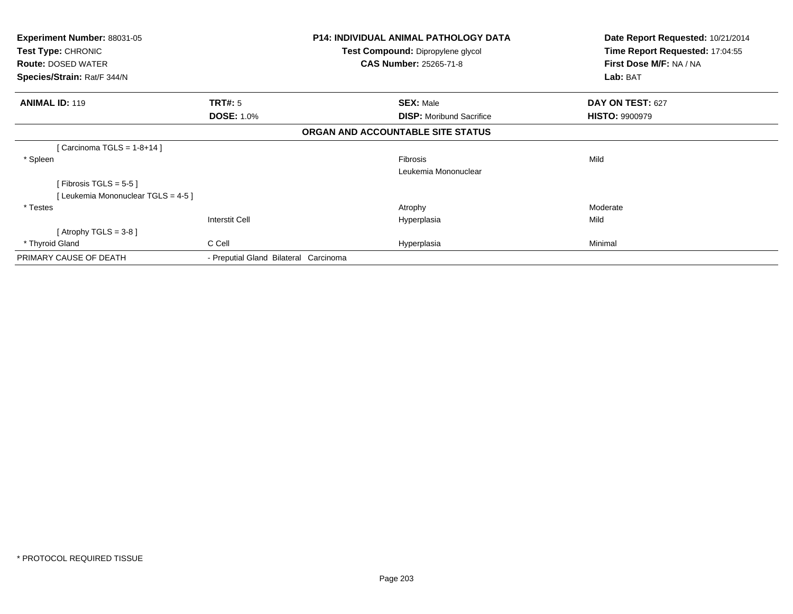| <b>Experiment Number: 88031-05</b>              |                                       | <b>P14: INDIVIDUAL ANIMAL PATHOLOGY DATA</b>                       | Date Report Requested: 10/21/2014<br>Time Report Requested: 17:04:55 |  |
|-------------------------------------------------|---------------------------------------|--------------------------------------------------------------------|----------------------------------------------------------------------|--|
| Test Type: CHRONIC<br><b>Route: DOSED WATER</b> |                                       | Test Compound: Dipropylene glycol<br><b>CAS Number: 25265-71-8</b> | First Dose M/F: NA / NA                                              |  |
| Species/Strain: Rat/F 344/N                     |                                       |                                                                    | Lab: BAT                                                             |  |
| <b>ANIMAL ID: 119</b>                           | <b>TRT#:</b> 5                        | <b>SEX: Male</b>                                                   | DAY ON TEST: 627                                                     |  |
|                                                 | <b>DOSE: 1.0%</b>                     | <b>DISP:</b> Moribund Sacrifice                                    | <b>HISTO: 9900979</b>                                                |  |
|                                                 |                                       | ORGAN AND ACCOUNTABLE SITE STATUS                                  |                                                                      |  |
| [Carcinoma TGLS = $1-8+14$ ]                    |                                       |                                                                    |                                                                      |  |
| * Spleen                                        |                                       | Fibrosis                                                           | Mild                                                                 |  |
|                                                 |                                       | Leukemia Mononuclear                                               |                                                                      |  |
| [Fibrosis TGLS = $5-5$ ]                        |                                       |                                                                    |                                                                      |  |
| [Leukemia Mononuclear TGLS = 4-5]               |                                       |                                                                    |                                                                      |  |
| * Testes                                        |                                       | Atrophy                                                            | Moderate                                                             |  |
|                                                 | <b>Interstit Cell</b>                 | Hyperplasia                                                        | Mild                                                                 |  |
| [Atrophy TGLS = $3-8$ ]                         |                                       |                                                                    |                                                                      |  |
| * Thyroid Gland                                 | C Cell                                | Hyperplasia                                                        | Minimal                                                              |  |
| PRIMARY CAUSE OF DEATH                          | - Preputial Gland Bilateral Carcinoma |                                                                    |                                                                      |  |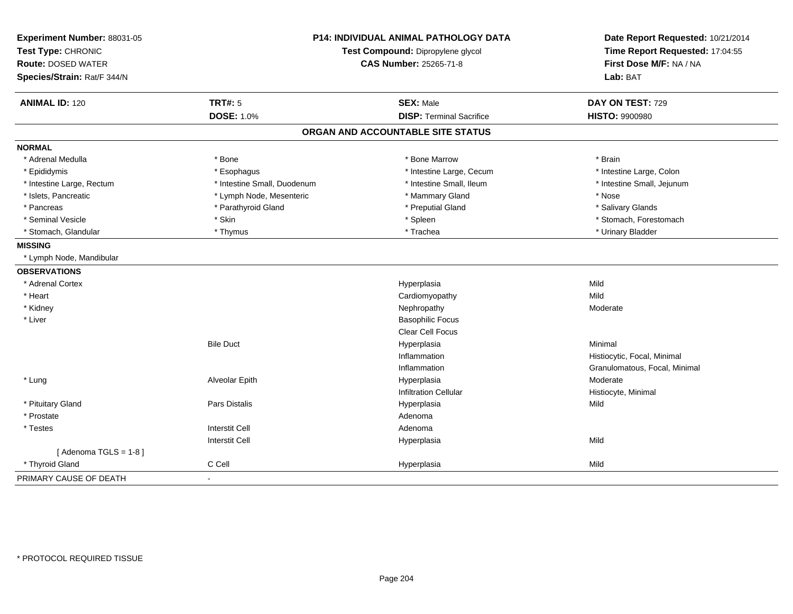| Experiment Number: 88031-05 | <b>P14: INDIVIDUAL ANIMAL PATHOLOGY DATA</b><br>Test Compound: Dipropylene glycol |                                   | Date Report Requested: 10/21/2014 |
|-----------------------------|-----------------------------------------------------------------------------------|-----------------------------------|-----------------------------------|
| Test Type: CHRONIC          |                                                                                   |                                   | Time Report Requested: 17:04:55   |
| <b>Route: DOSED WATER</b>   |                                                                                   | <b>CAS Number: 25265-71-8</b>     | First Dose M/F: NA / NA           |
| Species/Strain: Rat/F 344/N |                                                                                   |                                   | Lab: BAT                          |
| <b>ANIMAL ID: 120</b>       | <b>TRT#: 5</b>                                                                    | <b>SEX: Male</b>                  | DAY ON TEST: 729                  |
|                             | <b>DOSE: 1.0%</b>                                                                 | <b>DISP: Terminal Sacrifice</b>   | <b>HISTO: 9900980</b>             |
|                             |                                                                                   | ORGAN AND ACCOUNTABLE SITE STATUS |                                   |
| <b>NORMAL</b>               |                                                                                   |                                   |                                   |
| * Adrenal Medulla           | * Bone                                                                            | * Bone Marrow                     | * Brain                           |
| * Epididymis                | * Esophagus                                                                       | * Intestine Large, Cecum          | * Intestine Large, Colon          |
| * Intestine Large, Rectum   | * Intestine Small. Duodenum                                                       | * Intestine Small, Ileum          | * Intestine Small, Jejunum        |
| * Islets, Pancreatic        | * Lymph Node, Mesenteric                                                          | * Mammary Gland                   | * Nose                            |
| * Pancreas                  | * Parathyroid Gland                                                               | * Preputial Gland                 | * Salivary Glands                 |
| * Seminal Vesicle           | * Skin                                                                            | * Spleen                          | * Stomach, Forestomach            |
| * Stomach, Glandular        | * Thymus                                                                          | * Trachea                         | * Urinary Bladder                 |
| <b>MISSING</b>              |                                                                                   |                                   |                                   |
| * Lymph Node, Mandibular    |                                                                                   |                                   |                                   |
| <b>OBSERVATIONS</b>         |                                                                                   |                                   |                                   |
| * Adrenal Cortex            |                                                                                   | Hyperplasia                       | Mild                              |
| * Heart                     |                                                                                   | Cardiomyopathy                    | Mild                              |
| * Kidney                    |                                                                                   | Nephropathy                       | Moderate                          |
| * Liver                     |                                                                                   | <b>Basophilic Focus</b>           |                                   |
|                             |                                                                                   | <b>Clear Cell Focus</b>           |                                   |
|                             | <b>Bile Duct</b>                                                                  | Hyperplasia                       | Minimal                           |
|                             |                                                                                   | Inflammation                      | Histiocytic, Focal, Minimal       |
|                             |                                                                                   | Inflammation                      | Granulomatous, Focal, Minimal     |
| * Lung                      | Alveolar Epith                                                                    | Hyperplasia                       | Moderate                          |
|                             |                                                                                   | <b>Infiltration Cellular</b>      | Histiocyte, Minimal               |
| * Pituitary Gland           | Pars Distalis                                                                     | Hyperplasia                       | Mild                              |
| * Prostate                  |                                                                                   | Adenoma                           |                                   |
| * Testes                    | <b>Interstit Cell</b>                                                             | Adenoma                           |                                   |
|                             | <b>Interstit Cell</b>                                                             | Hyperplasia                       | Mild                              |
| [Adenoma TGLS = $1-8$ ]     |                                                                                   |                                   |                                   |
| * Thyroid Gland             | C Cell                                                                            | Hyperplasia                       | Mild                              |
| PRIMARY CAUSE OF DEATH      | $\blacksquare$                                                                    |                                   |                                   |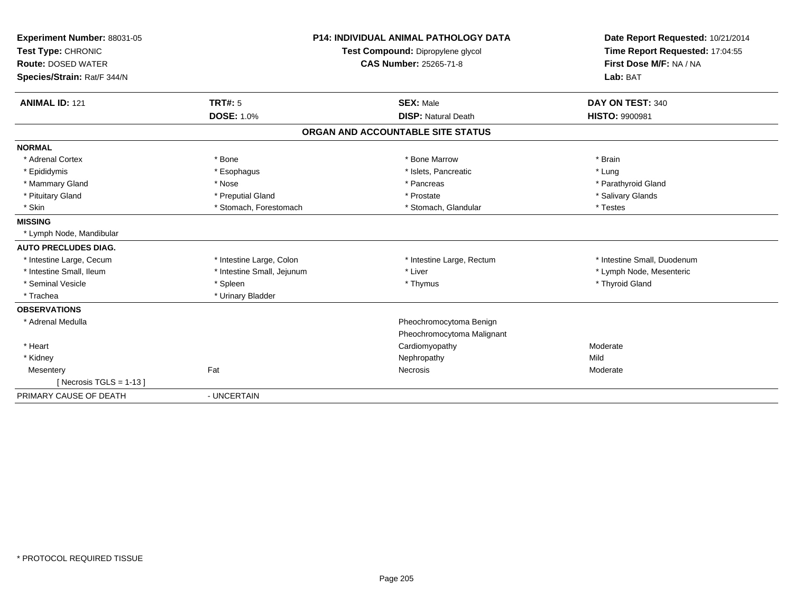| Experiment Number: 88031-05<br>Test Type: CHRONIC<br><b>Route: DOSED WATER</b><br>Species/Strain: Rat/F 344/N<br><b>ANIMAL ID: 121</b> | TRT#: 5<br><b>DOSE: 1.0%</b> | <b>P14: INDIVIDUAL ANIMAL PATHOLOGY DATA</b><br>Test Compound: Dipropylene glycol<br><b>CAS Number: 25265-71-8</b><br><b>SEX: Male</b><br><b>DISP: Natural Death</b> | Date Report Requested: 10/21/2014<br>Time Report Requested: 17:04:55<br>First Dose M/F: NA / NA<br>Lab: BAT<br>DAY ON TEST: 340<br><b>HISTO: 9900981</b> |
|----------------------------------------------------------------------------------------------------------------------------------------|------------------------------|----------------------------------------------------------------------------------------------------------------------------------------------------------------------|----------------------------------------------------------------------------------------------------------------------------------------------------------|
|                                                                                                                                        |                              | ORGAN AND ACCOUNTABLE SITE STATUS                                                                                                                                    |                                                                                                                                                          |
| <b>NORMAL</b>                                                                                                                          |                              |                                                                                                                                                                      |                                                                                                                                                          |
| * Adrenal Cortex                                                                                                                       | * Bone                       | * Bone Marrow                                                                                                                                                        | * Brain                                                                                                                                                  |
| * Epididymis                                                                                                                           | * Esophagus                  | * Islets. Pancreatic                                                                                                                                                 | * Lung                                                                                                                                                   |
| * Mammary Gland                                                                                                                        | * Nose                       | * Pancreas                                                                                                                                                           | * Parathyroid Gland                                                                                                                                      |
| * Pituitary Gland                                                                                                                      | * Preputial Gland            | * Prostate                                                                                                                                                           | * Salivary Glands                                                                                                                                        |
| * Skin                                                                                                                                 | * Stomach, Forestomach       | * Stomach, Glandular                                                                                                                                                 | * Testes                                                                                                                                                 |
| <b>MISSING</b>                                                                                                                         |                              |                                                                                                                                                                      |                                                                                                                                                          |
| * Lymph Node, Mandibular                                                                                                               |                              |                                                                                                                                                                      |                                                                                                                                                          |
| <b>AUTO PRECLUDES DIAG.</b>                                                                                                            |                              |                                                                                                                                                                      |                                                                                                                                                          |
| * Intestine Large, Cecum                                                                                                               | * Intestine Large, Colon     | * Intestine Large, Rectum                                                                                                                                            | * Intestine Small, Duodenum                                                                                                                              |
| * Intestine Small, Ileum                                                                                                               | * Intestine Small, Jejunum   | * Liver                                                                                                                                                              | * Lymph Node, Mesenteric                                                                                                                                 |
| * Seminal Vesicle                                                                                                                      | * Spleen                     | * Thymus                                                                                                                                                             | * Thyroid Gland                                                                                                                                          |
| * Trachea                                                                                                                              | * Urinary Bladder            |                                                                                                                                                                      |                                                                                                                                                          |
| <b>OBSERVATIONS</b>                                                                                                                    |                              |                                                                                                                                                                      |                                                                                                                                                          |
| * Adrenal Medulla                                                                                                                      |                              | Pheochromocytoma Benign                                                                                                                                              |                                                                                                                                                          |
|                                                                                                                                        |                              | Pheochromocytoma Malignant                                                                                                                                           |                                                                                                                                                          |
| * Heart                                                                                                                                |                              | Cardiomyopathy                                                                                                                                                       | Moderate                                                                                                                                                 |
| * Kidney                                                                                                                               |                              | Nephropathy                                                                                                                                                          | Mild                                                                                                                                                     |
| Mesentery                                                                                                                              | Fat                          | Necrosis                                                                                                                                                             | Moderate                                                                                                                                                 |
| [ Necrosis TGLS = $1-13$ ]                                                                                                             |                              |                                                                                                                                                                      |                                                                                                                                                          |
| PRIMARY CAUSE OF DEATH                                                                                                                 | - UNCERTAIN                  |                                                                                                                                                                      |                                                                                                                                                          |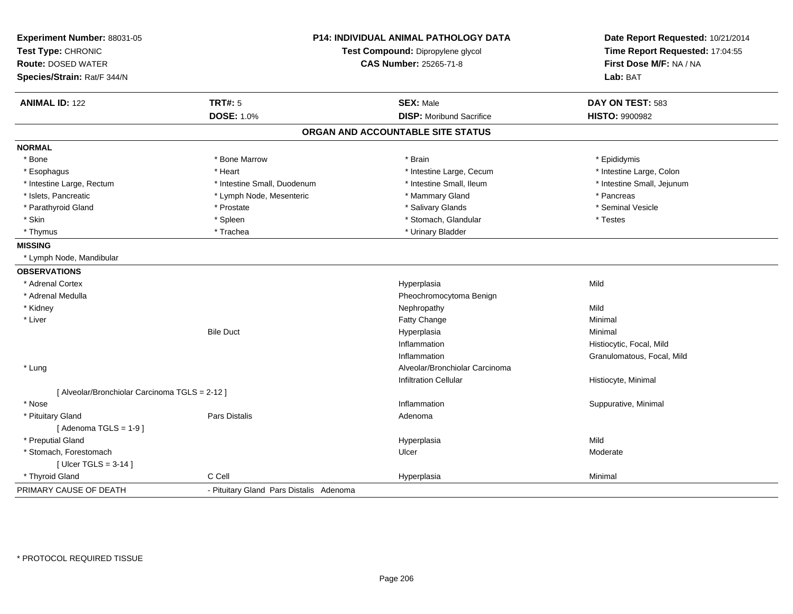| Experiment Number: 88031-05<br>Test Type: CHRONIC<br><b>Route: DOSED WATER</b><br>Species/Strain: Rat/F 344/N |                                         | <b>P14: INDIVIDUAL ANIMAL PATHOLOGY DATA</b><br>Test Compound: Dipropylene glycol<br>CAS Number: 25265-71-8 |                            |
|---------------------------------------------------------------------------------------------------------------|-----------------------------------------|-------------------------------------------------------------------------------------------------------------|----------------------------|
| <b>ANIMAL ID: 122</b>                                                                                         | <b>TRT#: 5</b>                          | <b>SEX: Male</b>                                                                                            | DAY ON TEST: 583           |
|                                                                                                               | <b>DOSE: 1.0%</b>                       | <b>DISP:</b> Moribund Sacrifice                                                                             | <b>HISTO: 9900982</b>      |
|                                                                                                               |                                         | ORGAN AND ACCOUNTABLE SITE STATUS                                                                           |                            |
| <b>NORMAL</b>                                                                                                 |                                         |                                                                                                             |                            |
| * Bone                                                                                                        | * Bone Marrow                           | * Brain                                                                                                     | * Epididymis               |
| * Esophagus                                                                                                   | * Heart                                 | * Intestine Large, Cecum                                                                                    | * Intestine Large, Colon   |
| * Intestine Large, Rectum                                                                                     | * Intestine Small, Duodenum             | * Intestine Small, Ileum                                                                                    | * Intestine Small, Jejunum |
| * Islets, Pancreatic                                                                                          | * Lymph Node, Mesenteric                | * Mammary Gland                                                                                             | * Pancreas                 |
| * Parathyroid Gland                                                                                           | * Prostate                              | * Salivary Glands                                                                                           | * Seminal Vesicle          |
| * Skin                                                                                                        | * Spleen                                | * Stomach, Glandular                                                                                        | * Testes                   |
| * Thymus                                                                                                      | * Trachea                               | * Urinary Bladder                                                                                           |                            |
| <b>MISSING</b>                                                                                                |                                         |                                                                                                             |                            |
| * Lymph Node, Mandibular                                                                                      |                                         |                                                                                                             |                            |
| <b>OBSERVATIONS</b>                                                                                           |                                         |                                                                                                             |                            |
| * Adrenal Cortex                                                                                              |                                         | Hyperplasia                                                                                                 | Mild                       |
| * Adrenal Medulla                                                                                             |                                         | Pheochromocytoma Benign                                                                                     |                            |
| * Kidney                                                                                                      |                                         | Nephropathy                                                                                                 | Mild                       |
| * Liver                                                                                                       |                                         | Fatty Change                                                                                                | Minimal                    |
|                                                                                                               | <b>Bile Duct</b>                        | Hyperplasia                                                                                                 | Minimal                    |
|                                                                                                               |                                         | Inflammation                                                                                                | Histiocytic, Focal, Mild   |
|                                                                                                               |                                         | Inflammation                                                                                                | Granulomatous, Focal, Mild |
| * Lung                                                                                                        |                                         | Alveolar/Bronchiolar Carcinoma                                                                              |                            |
|                                                                                                               |                                         | <b>Infiltration Cellular</b>                                                                                | Histiocyte, Minimal        |
| [ Alveolar/Bronchiolar Carcinoma TGLS = 2-12 ]                                                                |                                         |                                                                                                             |                            |
| * Nose                                                                                                        |                                         | Inflammation                                                                                                | Suppurative, Minimal       |
| * Pituitary Gland                                                                                             | <b>Pars Distalis</b>                    | Adenoma                                                                                                     |                            |
| [Adenoma TGLS = $1-9$ ]                                                                                       |                                         |                                                                                                             |                            |
| * Preputial Gland                                                                                             |                                         | Hyperplasia                                                                                                 | Mild                       |
| * Stomach, Forestomach                                                                                        |                                         | Ulcer                                                                                                       | Moderate                   |
| [Ulcer TGLS = $3-14$ ]                                                                                        |                                         |                                                                                                             |                            |
| * Thyroid Gland                                                                                               | C Cell                                  | Hyperplasia                                                                                                 | Minimal                    |
| PRIMARY CAUSE OF DEATH                                                                                        | - Pituitary Gland Pars Distalis Adenoma |                                                                                                             |                            |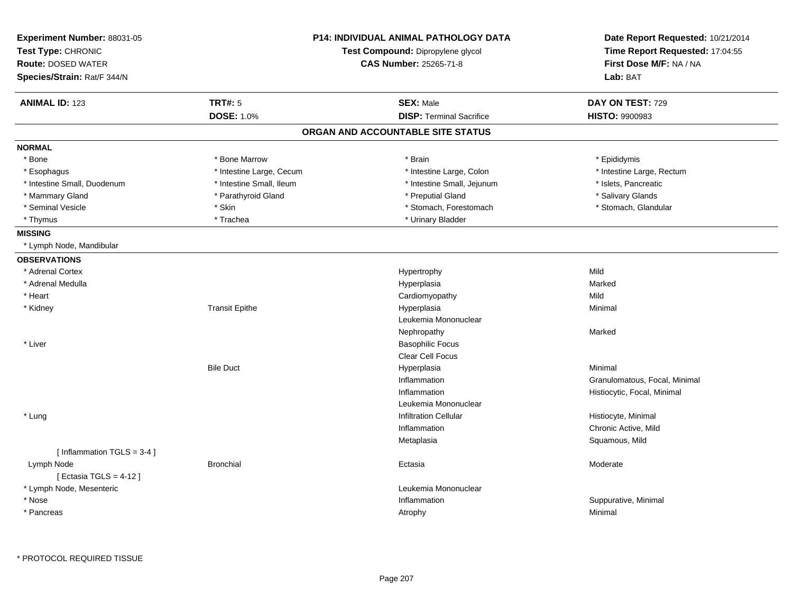| Experiment Number: 88031-05<br>Test Type: CHRONIC<br><b>Route: DOSED WATER</b><br>Species/Strain: Rat/F 344/N |                          | <b>P14: INDIVIDUAL ANIMAL PATHOLOGY DATA</b><br>Test Compound: Dipropylene glycol<br><b>CAS Number: 25265-71-8</b> | Date Report Requested: 10/21/2014<br>Time Report Requested: 17:04:55<br>First Dose M/F: NA / NA<br>Lab: BAT |
|---------------------------------------------------------------------------------------------------------------|--------------------------|--------------------------------------------------------------------------------------------------------------------|-------------------------------------------------------------------------------------------------------------|
| <b>ANIMAL ID: 123</b>                                                                                         | <b>TRT#: 5</b>           | <b>SEX: Male</b>                                                                                                   | DAY ON TEST: 729                                                                                            |
|                                                                                                               | <b>DOSE: 1.0%</b>        | <b>DISP: Terminal Sacrifice</b>                                                                                    | <b>HISTO: 9900983</b>                                                                                       |
|                                                                                                               |                          | ORGAN AND ACCOUNTABLE SITE STATUS                                                                                  |                                                                                                             |
| <b>NORMAL</b>                                                                                                 |                          |                                                                                                                    |                                                                                                             |
| * Bone                                                                                                        | * Bone Marrow            | * Brain                                                                                                            | * Epididymis                                                                                                |
| * Esophagus                                                                                                   | * Intestine Large, Cecum | * Intestine Large, Colon                                                                                           | * Intestine Large, Rectum                                                                                   |
| * Intestine Small, Duodenum                                                                                   | * Intestine Small, Ileum | * Intestine Small, Jejunum                                                                                         | * Islets, Pancreatic                                                                                        |
| * Mammary Gland                                                                                               | * Parathyroid Gland      | * Preputial Gland                                                                                                  | * Salivary Glands                                                                                           |
| * Seminal Vesicle                                                                                             | * Skin                   | * Stomach, Forestomach                                                                                             | * Stomach, Glandular                                                                                        |
| * Thymus                                                                                                      | * Trachea                | * Urinary Bladder                                                                                                  |                                                                                                             |
| <b>MISSING</b>                                                                                                |                          |                                                                                                                    |                                                                                                             |
| * Lymph Node, Mandibular                                                                                      |                          |                                                                                                                    |                                                                                                             |
| <b>OBSERVATIONS</b>                                                                                           |                          |                                                                                                                    |                                                                                                             |
| * Adrenal Cortex                                                                                              |                          | Hypertrophy                                                                                                        | Mild                                                                                                        |
| * Adrenal Medulla                                                                                             |                          | Hyperplasia                                                                                                        | Marked                                                                                                      |
| * Heart                                                                                                       |                          | Cardiomyopathy                                                                                                     | Mild                                                                                                        |
| * Kidney                                                                                                      | <b>Transit Epithe</b>    | Hyperplasia                                                                                                        | Minimal                                                                                                     |
|                                                                                                               |                          | Leukemia Mononuclear                                                                                               |                                                                                                             |
|                                                                                                               |                          | Nephropathy                                                                                                        | Marked                                                                                                      |
| * Liver                                                                                                       |                          | <b>Basophilic Focus</b>                                                                                            |                                                                                                             |
|                                                                                                               |                          | Clear Cell Focus                                                                                                   |                                                                                                             |
|                                                                                                               | <b>Bile Duct</b>         | Hyperplasia                                                                                                        | Minimal                                                                                                     |
|                                                                                                               |                          | Inflammation                                                                                                       | Granulomatous, Focal, Minimal                                                                               |
|                                                                                                               |                          | Inflammation                                                                                                       | Histiocytic, Focal, Minimal                                                                                 |
|                                                                                                               |                          | Leukemia Mononuclear                                                                                               |                                                                                                             |
| * Lung                                                                                                        |                          | <b>Infiltration Cellular</b>                                                                                       | Histiocyte, Minimal                                                                                         |
|                                                                                                               |                          | Inflammation                                                                                                       | Chronic Active, Mild                                                                                        |
|                                                                                                               |                          | Metaplasia                                                                                                         | Squamous, Mild                                                                                              |
| [Inflammation TGLS = 3-4]                                                                                     |                          |                                                                                                                    |                                                                                                             |
| Lymph Node<br>[Ectasia TGLS = $4-12$ ]                                                                        | <b>Bronchial</b>         | Ectasia                                                                                                            | Moderate                                                                                                    |
| * Lymph Node, Mesenteric                                                                                      |                          | Leukemia Mononuclear                                                                                               |                                                                                                             |
| * Nose                                                                                                        |                          | Inflammation                                                                                                       | Suppurative, Minimal                                                                                        |
| * Pancreas                                                                                                    |                          | Atrophy                                                                                                            | Minimal                                                                                                     |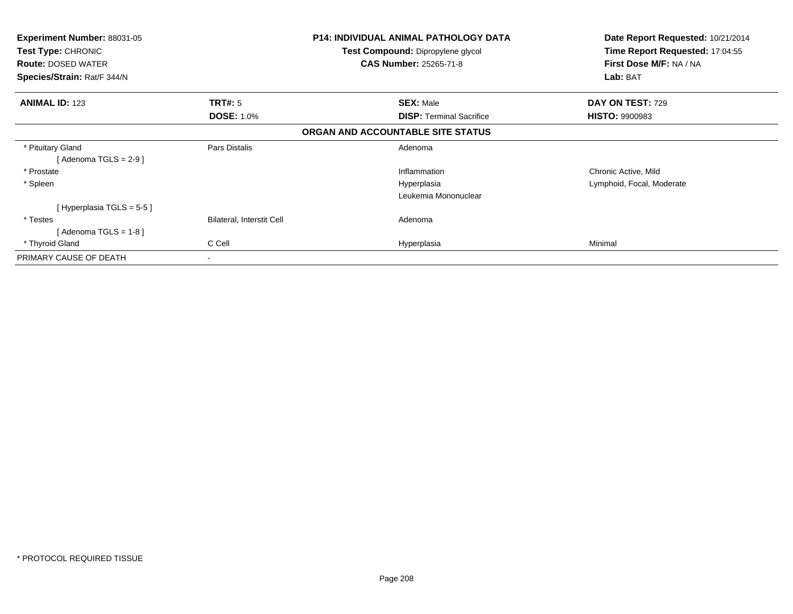| <b>Experiment Number: 88031-05</b><br><b>Test Type: CHRONIC</b><br><b>Route: DOSED WATER</b><br>Species/Strain: Rat/F 344/N |                           | <b>P14: INDIVIDUAL ANIMAL PATHOLOGY DATA</b><br>Test Compound: Dipropylene glycol<br><b>CAS Number: 25265-71-8</b> | Date Report Requested: 10/21/2014<br>Time Report Requested: 17:04:55<br>First Dose M/F: NA / NA<br>Lab: BAT |
|-----------------------------------------------------------------------------------------------------------------------------|---------------------------|--------------------------------------------------------------------------------------------------------------------|-------------------------------------------------------------------------------------------------------------|
| <b>ANIMAL ID: 123</b>                                                                                                       | <b>TRT#:</b> 5            | <b>SEX: Male</b>                                                                                                   | DAY ON TEST: 729                                                                                            |
|                                                                                                                             | <b>DOSE: 1.0%</b>         | <b>DISP:</b> Terminal Sacrifice                                                                                    | <b>HISTO: 9900983</b>                                                                                       |
|                                                                                                                             |                           | ORGAN AND ACCOUNTABLE SITE STATUS                                                                                  |                                                                                                             |
| * Pituitary Gland                                                                                                           | Pars Distalis             | Adenoma                                                                                                            |                                                                                                             |
| [Adenoma TGLS = $2-9$ ]                                                                                                     |                           |                                                                                                                    |                                                                                                             |
| * Prostate                                                                                                                  |                           | Inflammation                                                                                                       | Chronic Active, Mild                                                                                        |
| * Spleen                                                                                                                    |                           | Hyperplasia                                                                                                        | Lymphoid, Focal, Moderate                                                                                   |
|                                                                                                                             |                           | Leukemia Mononuclear                                                                                               |                                                                                                             |
| [Hyperplasia TGLS = 5-5]                                                                                                    |                           |                                                                                                                    |                                                                                                             |
| * Testes                                                                                                                    | Bilateral, Interstit Cell | Adenoma                                                                                                            |                                                                                                             |
| [ Adenoma TGLS = 1-8 ]                                                                                                      |                           |                                                                                                                    |                                                                                                             |
| * Thyroid Gland                                                                                                             | C Cell                    | Hyperplasia                                                                                                        | Minimal                                                                                                     |
| PRIMARY CAUSE OF DEATH                                                                                                      | $\blacksquare$            |                                                                                                                    |                                                                                                             |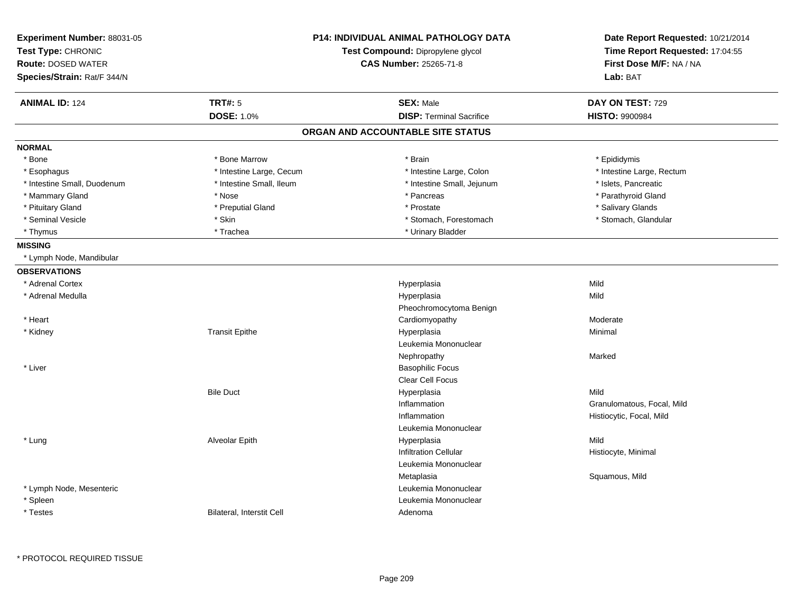| Experiment Number: 88031-05<br>Test Type: CHRONIC<br><b>Route: DOSED WATER</b><br>Species/Strain: Rat/F 344/N |                                  | <b>P14: INDIVIDUAL ANIMAL PATHOLOGY DATA</b><br>Test Compound: Dipropylene glycol<br><b>CAS Number: 25265-71-8</b> | Date Report Requested: 10/21/2014<br>Time Report Requested: 17:04:55<br>First Dose M/F: NA / NA<br>Lab: BAT |
|---------------------------------------------------------------------------------------------------------------|----------------------------------|--------------------------------------------------------------------------------------------------------------------|-------------------------------------------------------------------------------------------------------------|
| <b>ANIMAL ID: 124</b>                                                                                         | TRT#: 5                          | <b>SEX: Male</b>                                                                                                   | DAY ON TEST: 729                                                                                            |
|                                                                                                               | <b>DOSE: 1.0%</b>                | <b>DISP: Terminal Sacrifice</b>                                                                                    | <b>HISTO: 9900984</b>                                                                                       |
|                                                                                                               |                                  | ORGAN AND ACCOUNTABLE SITE STATUS                                                                                  |                                                                                                             |
| <b>NORMAL</b>                                                                                                 |                                  |                                                                                                                    |                                                                                                             |
| * Bone                                                                                                        | * Bone Marrow                    | * Brain                                                                                                            | * Epididymis                                                                                                |
| * Esophagus                                                                                                   | * Intestine Large, Cecum         | * Intestine Large, Colon                                                                                           | * Intestine Large, Rectum                                                                                   |
| * Intestine Small, Duodenum                                                                                   | * Intestine Small, Ileum         | * Intestine Small, Jejunum                                                                                         | * Islets, Pancreatic                                                                                        |
| * Mammary Gland                                                                                               | * Nose                           | * Pancreas                                                                                                         | * Parathyroid Gland                                                                                         |
| * Pituitary Gland                                                                                             | * Preputial Gland                | * Prostate                                                                                                         | * Salivary Glands                                                                                           |
| * Seminal Vesicle                                                                                             | * Skin                           | * Stomach, Forestomach                                                                                             | * Stomach, Glandular                                                                                        |
| * Thymus                                                                                                      | * Trachea                        | * Urinary Bladder                                                                                                  |                                                                                                             |
| <b>MISSING</b>                                                                                                |                                  |                                                                                                                    |                                                                                                             |
| * Lymph Node, Mandibular                                                                                      |                                  |                                                                                                                    |                                                                                                             |
| <b>OBSERVATIONS</b>                                                                                           |                                  |                                                                                                                    |                                                                                                             |
| * Adrenal Cortex                                                                                              |                                  | Hyperplasia                                                                                                        | Mild                                                                                                        |
| * Adrenal Medulla                                                                                             |                                  | Hyperplasia                                                                                                        | Mild                                                                                                        |
|                                                                                                               |                                  | Pheochromocytoma Benign                                                                                            |                                                                                                             |
| * Heart                                                                                                       |                                  | Cardiomyopathy                                                                                                     | Moderate                                                                                                    |
| * Kidney                                                                                                      | <b>Transit Epithe</b>            | Hyperplasia                                                                                                        | Minimal                                                                                                     |
|                                                                                                               |                                  | Leukemia Mononuclear                                                                                               |                                                                                                             |
|                                                                                                               |                                  | Nephropathy                                                                                                        | Marked                                                                                                      |
| * Liver                                                                                                       |                                  | <b>Basophilic Focus</b>                                                                                            |                                                                                                             |
|                                                                                                               |                                  | Clear Cell Focus                                                                                                   |                                                                                                             |
|                                                                                                               | <b>Bile Duct</b>                 | Hyperplasia                                                                                                        | Mild                                                                                                        |
|                                                                                                               |                                  | Inflammation                                                                                                       | Granulomatous, Focal, Mild                                                                                  |
|                                                                                                               |                                  | Inflammation                                                                                                       | Histiocytic, Focal, Mild                                                                                    |
|                                                                                                               |                                  | Leukemia Mononuclear                                                                                               |                                                                                                             |
| * Lung                                                                                                        | Alveolar Epith                   | Hyperplasia                                                                                                        | Mild                                                                                                        |
|                                                                                                               |                                  | Infiltration Cellular                                                                                              | Histiocyte, Minimal                                                                                         |
|                                                                                                               |                                  | Leukemia Mononuclear                                                                                               |                                                                                                             |
|                                                                                                               |                                  | Metaplasia                                                                                                         | Squamous, Mild                                                                                              |
| * Lymph Node, Mesenteric                                                                                      |                                  | Leukemia Mononuclear                                                                                               |                                                                                                             |
| * Spleen                                                                                                      |                                  | Leukemia Mononuclear                                                                                               |                                                                                                             |
| * Testes                                                                                                      | <b>Bilateral, Interstit Cell</b> | Adenoma                                                                                                            |                                                                                                             |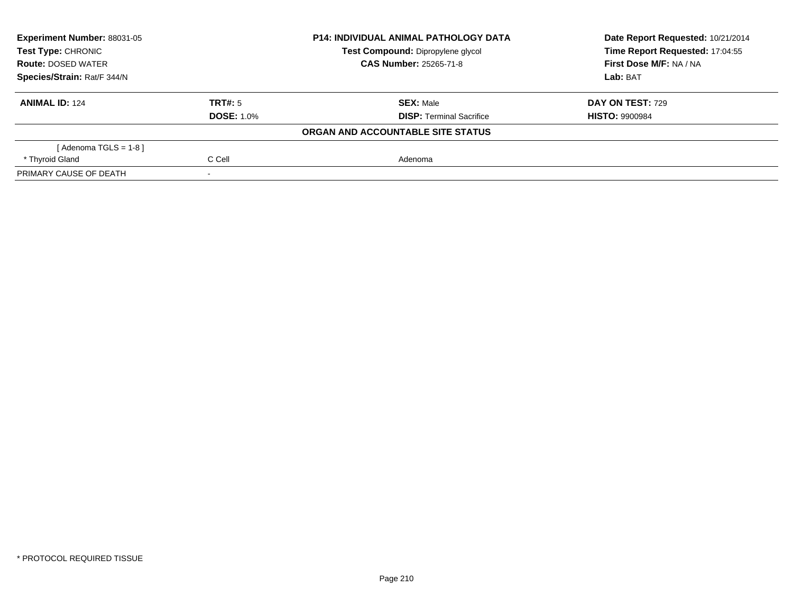| <b>Experiment Number: 88031-05</b><br>Test Type: CHRONIC<br><b>Route: DOSED WATER</b> |                   | <b>P14: INDIVIDUAL ANIMAL PATHOLOGY DATA</b> | Date Report Requested: 10/21/2014 |  |
|---------------------------------------------------------------------------------------|-------------------|----------------------------------------------|-----------------------------------|--|
|                                                                                       |                   | Test Compound: Dipropylene glycol            | Time Report Requested: 17:04:55   |  |
|                                                                                       |                   | <b>CAS Number: 25265-71-8</b>                | First Dose M/F: NA / NA           |  |
| Species/Strain: Rat/F 344/N                                                           |                   |                                              | Lab: BAT                          |  |
| <b>ANIMAL ID: 124</b>                                                                 | TRT#: 5           | <b>SEX: Male</b>                             | DAY ON TEST: 729                  |  |
|                                                                                       | <b>DOSE: 1.0%</b> | <b>DISP: Terminal Sacrifice</b>              | <b>HISTO: 9900984</b>             |  |
|                                                                                       |                   | ORGAN AND ACCOUNTABLE SITE STATUS            |                                   |  |
| [Adenoma TGLS = $1-8$ ]                                                               |                   |                                              |                                   |  |
| * Thyroid Gland                                                                       | C Cell            | Adenoma                                      |                                   |  |
| PRIMARY CAUSE OF DEATH                                                                |                   |                                              |                                   |  |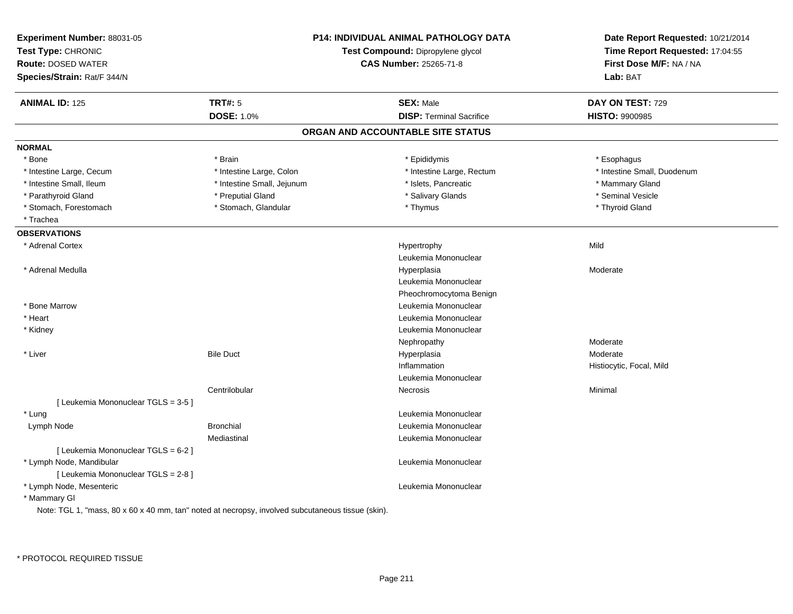| Experiment Number: 88031-05<br>Test Type: CHRONIC<br><b>Route: DOSED WATER</b><br>Species/Strain: Rat/F 344/N |                            | P14: INDIVIDUAL ANIMAL PATHOLOGY DATA<br>Test Compound: Dipropylene glycol<br><b>CAS Number: 25265-71-8</b> | Date Report Requested: 10/21/2014<br>Time Report Requested: 17:04:55<br>First Dose M/F: NA / NA<br>Lab: BAT |
|---------------------------------------------------------------------------------------------------------------|----------------------------|-------------------------------------------------------------------------------------------------------------|-------------------------------------------------------------------------------------------------------------|
| <b>ANIMAL ID: 125</b>                                                                                         | <b>TRT#: 5</b>             | <b>SEX: Male</b>                                                                                            | DAY ON TEST: 729                                                                                            |
|                                                                                                               | <b>DOSE: 1.0%</b>          | <b>DISP: Terminal Sacrifice</b>                                                                             | <b>HISTO: 9900985</b>                                                                                       |
|                                                                                                               |                            | ORGAN AND ACCOUNTABLE SITE STATUS                                                                           |                                                                                                             |
| <b>NORMAL</b>                                                                                                 |                            |                                                                                                             |                                                                                                             |
| * Bone                                                                                                        | * Brain                    | * Epididymis                                                                                                | * Esophagus                                                                                                 |
| * Intestine Large, Cecum                                                                                      | * Intestine Large, Colon   | * Intestine Large, Rectum                                                                                   | * Intestine Small, Duodenum                                                                                 |
| * Intestine Small, Ileum                                                                                      | * Intestine Small, Jejunum | * Islets, Pancreatic                                                                                        | * Mammary Gland                                                                                             |
| * Parathyroid Gland                                                                                           | * Preputial Gland          | * Salivary Glands                                                                                           | * Seminal Vesicle                                                                                           |
| * Stomach, Forestomach                                                                                        | * Stomach, Glandular       | * Thymus                                                                                                    | * Thyroid Gland                                                                                             |
| * Trachea                                                                                                     |                            |                                                                                                             |                                                                                                             |
| <b>OBSERVATIONS</b>                                                                                           |                            |                                                                                                             |                                                                                                             |
| * Adrenal Cortex                                                                                              |                            | Hypertrophy                                                                                                 | Mild                                                                                                        |
|                                                                                                               |                            | Leukemia Mononuclear                                                                                        |                                                                                                             |
| * Adrenal Medulla                                                                                             |                            | Hyperplasia                                                                                                 | Moderate                                                                                                    |
|                                                                                                               |                            | Leukemia Mononuclear                                                                                        |                                                                                                             |
|                                                                                                               |                            | Pheochromocytoma Benign                                                                                     |                                                                                                             |
| * Bone Marrow                                                                                                 |                            | Leukemia Mononuclear                                                                                        |                                                                                                             |
| * Heart                                                                                                       |                            | Leukemia Mononuclear                                                                                        |                                                                                                             |
| * Kidney                                                                                                      |                            | Leukemia Mononuclear                                                                                        |                                                                                                             |
|                                                                                                               |                            | Nephropathy                                                                                                 | Moderate                                                                                                    |
| * Liver                                                                                                       | <b>Bile Duct</b>           | Hyperplasia                                                                                                 | Moderate                                                                                                    |
|                                                                                                               |                            | Inflammation                                                                                                | Histiocytic, Focal, Mild                                                                                    |
|                                                                                                               |                            | Leukemia Mononuclear                                                                                        |                                                                                                             |
|                                                                                                               | Centrilobular              | Necrosis                                                                                                    | Minimal                                                                                                     |
| [ Leukemia Mononuclear TGLS = 3-5 ]                                                                           |                            |                                                                                                             |                                                                                                             |
| * Lung                                                                                                        |                            | Leukemia Mononuclear                                                                                        |                                                                                                             |
| Lymph Node                                                                                                    | <b>Bronchial</b>           | Leukemia Mononuclear                                                                                        |                                                                                                             |
|                                                                                                               | Mediastinal                | Leukemia Mononuclear                                                                                        |                                                                                                             |
| [ Leukemia Mononuclear TGLS = 6-2 ]                                                                           |                            |                                                                                                             |                                                                                                             |
| * Lymph Node, Mandibular                                                                                      |                            | Leukemia Mononuclear                                                                                        |                                                                                                             |
| [ Leukemia Mononuclear TGLS = 2-8 ]                                                                           |                            |                                                                                                             |                                                                                                             |
| * Lymph Node, Mesenteric                                                                                      |                            | Leukemia Mononuclear                                                                                        |                                                                                                             |
| * Mammary GI                                                                                                  |                            |                                                                                                             |                                                                                                             |
| Note: TGL 1, "mass, 80 x 60 x 40 mm, tan" noted at necropsy, involved subcutaneous tissue (skin).             |                            |                                                                                                             |                                                                                                             |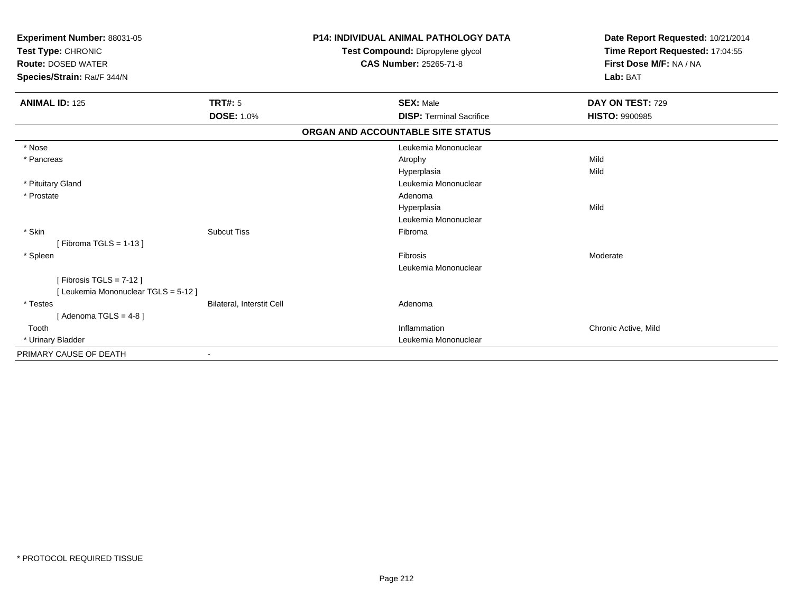| Experiment Number: 88031-05<br>Test Type: CHRONIC<br><b>Route: DOSED WATER</b><br>Species/Strain: Rat/F 344/N |                           | <b>P14: INDIVIDUAL ANIMAL PATHOLOGY DATA</b><br>Test Compound: Dipropylene glycol<br><b>CAS Number: 25265-71-8</b> | Date Report Requested: 10/21/2014<br>Time Report Requested: 17:04:55<br>First Dose M/F: NA / NA<br>Lab: BAT |
|---------------------------------------------------------------------------------------------------------------|---------------------------|--------------------------------------------------------------------------------------------------------------------|-------------------------------------------------------------------------------------------------------------|
| <b>ANIMAL ID: 125</b>                                                                                         | <b>TRT#: 5</b>            | <b>SEX: Male</b>                                                                                                   | DAY ON TEST: 729                                                                                            |
|                                                                                                               | <b>DOSE: 1.0%</b>         | <b>DISP: Terminal Sacrifice</b>                                                                                    | <b>HISTO: 9900985</b>                                                                                       |
|                                                                                                               |                           | ORGAN AND ACCOUNTABLE SITE STATUS                                                                                  |                                                                                                             |
| * Nose                                                                                                        |                           | Leukemia Mononuclear                                                                                               |                                                                                                             |
| * Pancreas                                                                                                    |                           | Atrophy                                                                                                            | Mild                                                                                                        |
|                                                                                                               |                           | Hyperplasia                                                                                                        | Mild                                                                                                        |
| * Pituitary Gland                                                                                             |                           | Leukemia Mononuclear                                                                                               |                                                                                                             |
| * Prostate                                                                                                    |                           | Adenoma                                                                                                            |                                                                                                             |
|                                                                                                               |                           | Hyperplasia                                                                                                        | Mild                                                                                                        |
|                                                                                                               |                           | Leukemia Mononuclear                                                                                               |                                                                                                             |
| * Skin                                                                                                        | <b>Subcut Tiss</b>        | Fibroma                                                                                                            |                                                                                                             |
| [Fibroma TGLS = $1-13$ ]                                                                                      |                           |                                                                                                                    |                                                                                                             |
| * Spleen                                                                                                      |                           | Fibrosis                                                                                                           | Moderate                                                                                                    |
|                                                                                                               |                           | Leukemia Mononuclear                                                                                               |                                                                                                             |
| [Fibrosis TGLS = $7-12$ ]                                                                                     |                           |                                                                                                                    |                                                                                                             |
| [ Leukemia Mononuclear TGLS = 5-12 ]                                                                          |                           |                                                                                                                    |                                                                                                             |
| * Testes                                                                                                      | Bilateral, Interstit Cell | Adenoma                                                                                                            |                                                                                                             |
| [Adenoma TGLS = $4-8$ ]                                                                                       |                           |                                                                                                                    |                                                                                                             |
| Tooth                                                                                                         |                           | Inflammation                                                                                                       | Chronic Active, Mild                                                                                        |
| * Urinary Bladder                                                                                             |                           | Leukemia Mononuclear                                                                                               |                                                                                                             |
| PRIMARY CAUSE OF DEATH                                                                                        |                           |                                                                                                                    |                                                                                                             |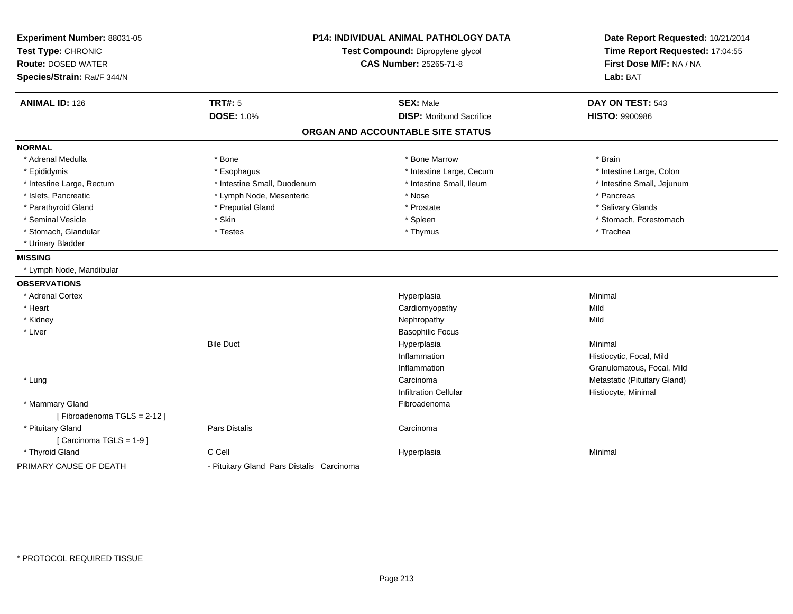| Experiment Number: 88031-05<br>Test Type: CHRONIC |                                           | <b>P14: INDIVIDUAL ANIMAL PATHOLOGY DATA</b><br>Test Compound: Dipropylene glycol | Date Report Requested: 10/21/2014<br>Time Report Requested: 17:04:55 |
|---------------------------------------------------|-------------------------------------------|-----------------------------------------------------------------------------------|----------------------------------------------------------------------|
| <b>Route: DOSED WATER</b>                         |                                           | CAS Number: 25265-71-8                                                            | First Dose M/F: NA / NA                                              |
| Species/Strain: Rat/F 344/N                       |                                           |                                                                                   | Lab: BAT                                                             |
| <b>ANIMAL ID: 126</b>                             | <b>TRT#: 5</b>                            | <b>SEX: Male</b>                                                                  | DAY ON TEST: 543                                                     |
|                                                   | <b>DOSE: 1.0%</b>                         | <b>DISP:</b> Moribund Sacrifice                                                   | <b>HISTO: 9900986</b>                                                |
|                                                   |                                           | ORGAN AND ACCOUNTABLE SITE STATUS                                                 |                                                                      |
| <b>NORMAL</b>                                     |                                           |                                                                                   |                                                                      |
| * Adrenal Medulla                                 | * Bone                                    | * Bone Marrow                                                                     | * Brain                                                              |
| * Epididymis                                      | * Esophagus                               | * Intestine Large, Cecum                                                          | * Intestine Large, Colon                                             |
| * Intestine Large, Rectum                         | * Intestine Small, Duodenum               | * Intestine Small, Ileum                                                          | * Intestine Small, Jejunum                                           |
| * Islets, Pancreatic                              | * Lymph Node, Mesenteric                  | * Nose                                                                            | * Pancreas                                                           |
| * Parathyroid Gland                               | * Preputial Gland                         | * Prostate                                                                        | * Salivary Glands                                                    |
| * Seminal Vesicle                                 | * Skin                                    | * Spleen                                                                          | * Stomach, Forestomach                                               |
| * Stomach, Glandular                              | * Testes                                  | * Thymus                                                                          | * Trachea                                                            |
| * Urinary Bladder                                 |                                           |                                                                                   |                                                                      |
| <b>MISSING</b>                                    |                                           |                                                                                   |                                                                      |
| * Lymph Node, Mandibular                          |                                           |                                                                                   |                                                                      |
| <b>OBSERVATIONS</b>                               |                                           |                                                                                   |                                                                      |
| * Adrenal Cortex                                  |                                           | Hyperplasia                                                                       | Minimal                                                              |
| * Heart                                           |                                           | Cardiomyopathy                                                                    | Mild                                                                 |
| * Kidney                                          |                                           | Nephropathy                                                                       | Mild                                                                 |
| * Liver                                           |                                           | <b>Basophilic Focus</b>                                                           |                                                                      |
|                                                   | <b>Bile Duct</b>                          | Hyperplasia                                                                       | Minimal                                                              |
|                                                   |                                           | Inflammation                                                                      | Histiocytic, Focal, Mild                                             |
|                                                   |                                           | Inflammation                                                                      | Granulomatous, Focal, Mild                                           |
| * Lung                                            |                                           | Carcinoma                                                                         | Metastatic (Pituitary Gland)                                         |
|                                                   |                                           | <b>Infiltration Cellular</b>                                                      | Histiocyte, Minimal                                                  |
| * Mammary Gland                                   |                                           | Fibroadenoma                                                                      |                                                                      |
| [Fibroadenoma TGLS = 2-12]                        |                                           |                                                                                   |                                                                      |
| * Pituitary Gland                                 | Pars Distalis                             | Carcinoma                                                                         |                                                                      |
| [Carcinoma TGLS = 1-9]                            |                                           |                                                                                   |                                                                      |
| * Thyroid Gland                                   | C Cell                                    | Hyperplasia                                                                       | Minimal                                                              |
| PRIMARY CAUSE OF DEATH                            | - Pituitary Gland Pars Distalis Carcinoma |                                                                                   |                                                                      |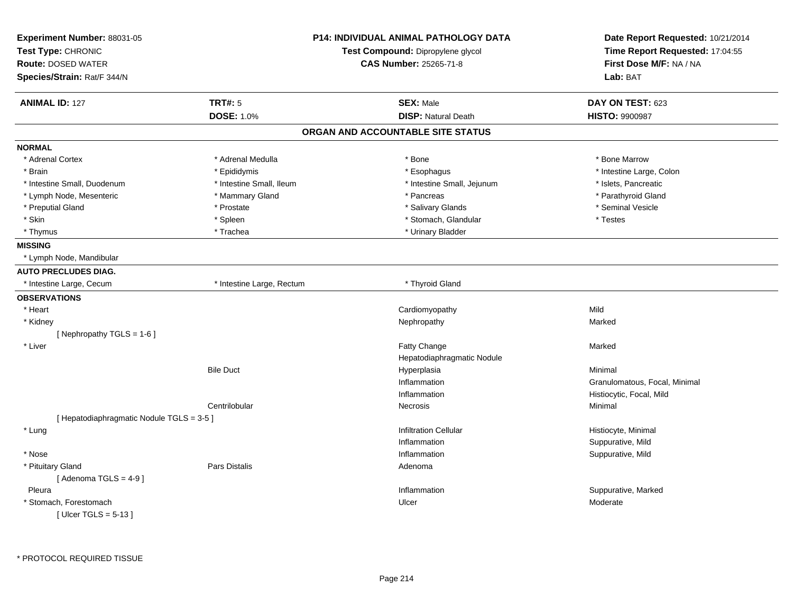| Experiment Number: 88031-05<br>Test Type: CHRONIC |                           | <b>P14: INDIVIDUAL ANIMAL PATHOLOGY DATA</b> | Date Report Requested: 10/21/2014<br>Time Report Requested: 17:04:55 |
|---------------------------------------------------|---------------------------|----------------------------------------------|----------------------------------------------------------------------|
|                                                   |                           | Test Compound: Dipropylene glycol            |                                                                      |
| <b>Route: DOSED WATER</b>                         |                           | <b>CAS Number: 25265-71-8</b>                | First Dose M/F: NA / NA                                              |
| Species/Strain: Rat/F 344/N                       |                           |                                              | Lab: BAT                                                             |
| <b>ANIMAL ID: 127</b>                             | <b>TRT#: 5</b>            | <b>SEX: Male</b>                             | DAY ON TEST: 623                                                     |
|                                                   | <b>DOSE: 1.0%</b>         | <b>DISP: Natural Death</b>                   | <b>HISTO: 9900987</b>                                                |
|                                                   |                           | ORGAN AND ACCOUNTABLE SITE STATUS            |                                                                      |
| <b>NORMAL</b>                                     |                           |                                              |                                                                      |
| * Adrenal Cortex                                  | * Adrenal Medulla         | * Bone                                       | * Bone Marrow                                                        |
| * Brain                                           | * Epididymis              | * Esophagus                                  | * Intestine Large, Colon                                             |
| * Intestine Small, Duodenum                       | * Intestine Small, Ileum  | * Intestine Small, Jejunum                   | * Islets, Pancreatic                                                 |
| * Lymph Node, Mesenteric                          | * Mammary Gland           | * Pancreas                                   | * Parathyroid Gland                                                  |
| * Preputial Gland                                 | * Prostate                | * Salivary Glands                            | * Seminal Vesicle                                                    |
| * Skin                                            | * Spleen                  | * Stomach, Glandular                         | * Testes                                                             |
| * Thymus                                          | * Trachea                 | * Urinary Bladder                            |                                                                      |
| <b>MISSING</b>                                    |                           |                                              |                                                                      |
| * Lymph Node, Mandibular                          |                           |                                              |                                                                      |
| <b>AUTO PRECLUDES DIAG.</b>                       |                           |                                              |                                                                      |
| * Intestine Large, Cecum                          | * Intestine Large, Rectum | * Thyroid Gland                              |                                                                      |
| <b>OBSERVATIONS</b>                               |                           |                                              |                                                                      |
| * Heart                                           |                           | Cardiomyopathy                               | Mild                                                                 |
| * Kidney                                          |                           | Nephropathy                                  | Marked                                                               |
| [Nephropathy TGLS = 1-6]                          |                           |                                              |                                                                      |
| * Liver                                           |                           | Fatty Change                                 | Marked                                                               |
|                                                   |                           | Hepatodiaphragmatic Nodule                   |                                                                      |
|                                                   | <b>Bile Duct</b>          | Hyperplasia                                  | Minimal                                                              |
|                                                   |                           | Inflammation                                 | Granulomatous, Focal, Minimal                                        |
|                                                   |                           | Inflammation                                 | Histiocytic, Focal, Mild                                             |
|                                                   | Centrilobular             | Necrosis                                     | Minimal                                                              |
| [ Hepatodiaphragmatic Nodule TGLS = 3-5 ]         |                           |                                              |                                                                      |
| * Lung                                            |                           | <b>Infiltration Cellular</b>                 | Histiocyte, Minimal                                                  |
|                                                   |                           | Inflammation                                 | Suppurative, Mild                                                    |
| * Nose                                            |                           | Inflammation                                 | Suppurative, Mild                                                    |
| * Pituitary Gland                                 | Pars Distalis             | Adenoma                                      |                                                                      |
| [Adenoma TGLS = $4-9$ ]                           |                           |                                              |                                                                      |
| Pleura                                            |                           | Inflammation                                 | Suppurative, Marked                                                  |
| * Stomach, Forestomach                            |                           | Ulcer                                        | Moderate                                                             |
| [ Ulcer TGLS = $5-13$ ]                           |                           |                                              |                                                                      |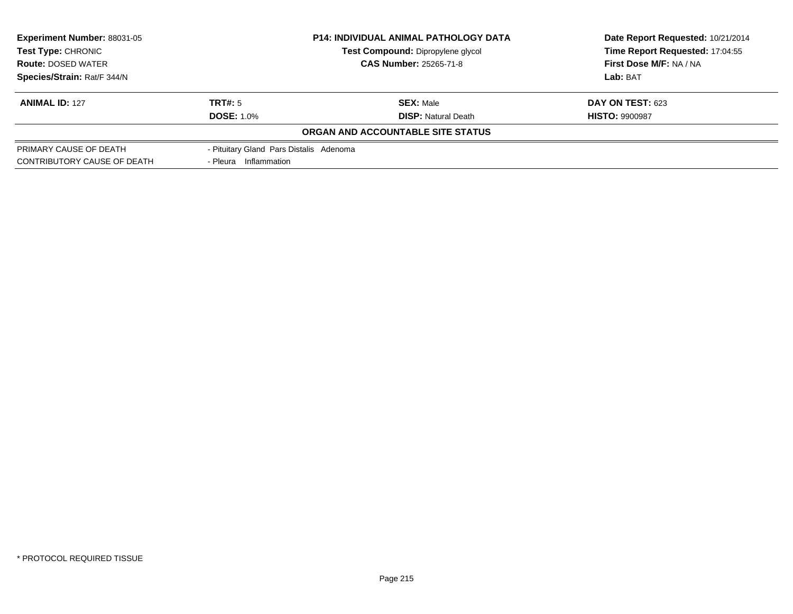| Experiment Number: 88031-05<br><b>Test Type: CHRONIC</b><br><b>Route: DOSED WATER</b> |                                         | <b>P14: INDIVIDUAL ANIMAL PATHOLOGY DATA</b> | Date Report Requested: 10/21/2014 |
|---------------------------------------------------------------------------------------|-----------------------------------------|----------------------------------------------|-----------------------------------|
|                                                                                       |                                         | Test Compound: Dipropylene glycol            | Time Report Requested: 17:04:55   |
|                                                                                       |                                         | <b>CAS Number: 25265-71-8</b>                | First Dose M/F: NA / NA           |
| Species/Strain: Rat/F 344/N                                                           |                                         |                                              | Lab: BAT                          |
| <b>ANIMAL ID: 127</b>                                                                 | TRT#: 5                                 | <b>SEX: Male</b>                             | <b>DAY ON TEST: 623</b>           |
|                                                                                       | <b>DOSE: 1.0%</b>                       | <b>DISP:</b> Natural Death                   | <b>HISTO: 9900987</b>             |
|                                                                                       |                                         | ORGAN AND ACCOUNTABLE SITE STATUS            |                                   |
| PRIMARY CAUSE OF DEATH                                                                | - Pituitary Gland Pars Distalis Adenoma |                                              |                                   |
| CONTRIBUTORY CAUSE OF DEATH                                                           | - Pleura Inflammation                   |                                              |                                   |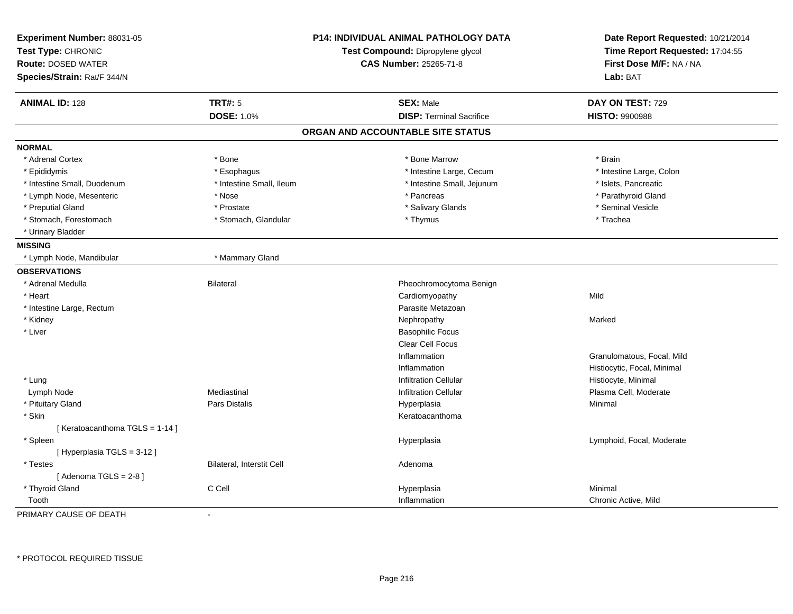| Experiment Number: 88031-05<br>Test Type: CHRONIC<br><b>Route: DOSED WATER</b><br>Species/Strain: Rat/F 344/N | <b>P14: INDIVIDUAL ANIMAL PATHOLOGY DATA</b><br>Test Compound: Dipropylene glycol<br><b>CAS Number: 25265-71-8</b> |                                   | Date Report Requested: 10/21/2014<br>Time Report Requested: 17:04:55<br>First Dose M/F: NA / NA<br>Lab: BAT |
|---------------------------------------------------------------------------------------------------------------|--------------------------------------------------------------------------------------------------------------------|-----------------------------------|-------------------------------------------------------------------------------------------------------------|
| <b>ANIMAL ID: 128</b>                                                                                         | <b>TRT#: 5</b>                                                                                                     | <b>SEX: Male</b>                  | DAY ON TEST: 729                                                                                            |
|                                                                                                               | <b>DOSE: 1.0%</b>                                                                                                  | <b>DISP: Terminal Sacrifice</b>   | <b>HISTO: 9900988</b>                                                                                       |
|                                                                                                               |                                                                                                                    | ORGAN AND ACCOUNTABLE SITE STATUS |                                                                                                             |
| <b>NORMAL</b>                                                                                                 |                                                                                                                    |                                   |                                                                                                             |
| * Adrenal Cortex                                                                                              | * Bone                                                                                                             | * Bone Marrow                     | * Brain                                                                                                     |
| * Epididymis                                                                                                  | * Esophagus                                                                                                        | * Intestine Large, Cecum          | * Intestine Large, Colon                                                                                    |
| * Intestine Small, Duodenum                                                                                   | * Intestine Small, Ileum                                                                                           | * Intestine Small, Jejunum        | * Islets, Pancreatic                                                                                        |
| * Lymph Node, Mesenteric                                                                                      | * Nose                                                                                                             | * Pancreas                        | * Parathyroid Gland                                                                                         |
| * Preputial Gland                                                                                             | * Prostate                                                                                                         | * Salivary Glands                 | * Seminal Vesicle                                                                                           |
| * Stomach, Forestomach                                                                                        | * Stomach, Glandular                                                                                               | * Thymus                          | * Trachea                                                                                                   |
| * Urinary Bladder                                                                                             |                                                                                                                    |                                   |                                                                                                             |
| <b>MISSING</b>                                                                                                |                                                                                                                    |                                   |                                                                                                             |
| * Lymph Node, Mandibular                                                                                      | * Mammary Gland                                                                                                    |                                   |                                                                                                             |
| <b>OBSERVATIONS</b>                                                                                           |                                                                                                                    |                                   |                                                                                                             |
| * Adrenal Medulla                                                                                             | Bilateral                                                                                                          | Pheochromocytoma Benign           |                                                                                                             |
| * Heart                                                                                                       |                                                                                                                    | Cardiomyopathy                    | Mild                                                                                                        |
| * Intestine Large, Rectum                                                                                     |                                                                                                                    | Parasite Metazoan                 |                                                                                                             |
| * Kidney                                                                                                      |                                                                                                                    | Nephropathy                       | Marked                                                                                                      |
| * Liver                                                                                                       |                                                                                                                    | <b>Basophilic Focus</b>           |                                                                                                             |
|                                                                                                               |                                                                                                                    | Clear Cell Focus                  |                                                                                                             |
|                                                                                                               |                                                                                                                    | Inflammation                      | Granulomatous, Focal, Mild                                                                                  |
|                                                                                                               |                                                                                                                    | Inflammation                      | Histiocytic, Focal, Minimal                                                                                 |
| * Lung                                                                                                        |                                                                                                                    | <b>Infiltration Cellular</b>      | Histiocyte, Minimal                                                                                         |
| Lymph Node                                                                                                    | Mediastinal                                                                                                        | <b>Infiltration Cellular</b>      | Plasma Cell, Moderate                                                                                       |
| * Pituitary Gland                                                                                             | <b>Pars Distalis</b>                                                                                               | Hyperplasia                       | Minimal                                                                                                     |
| * Skin                                                                                                        |                                                                                                                    | Keratoacanthoma                   |                                                                                                             |
| [Keratoacanthoma TGLS = 1-14]                                                                                 |                                                                                                                    |                                   |                                                                                                             |
| * Spleen                                                                                                      |                                                                                                                    | Hyperplasia                       | Lymphoid, Focal, Moderate                                                                                   |
| [Hyperplasia TGLS = 3-12]                                                                                     |                                                                                                                    |                                   |                                                                                                             |
| * Testes                                                                                                      | Bilateral, Interstit Cell                                                                                          | Adenoma                           |                                                                                                             |
| [Adenoma TGLS = $2-8$ ]                                                                                       |                                                                                                                    |                                   |                                                                                                             |
| * Thyroid Gland                                                                                               | C Cell                                                                                                             | Hyperplasia                       | Minimal                                                                                                     |
| Tooth                                                                                                         |                                                                                                                    | Inflammation                      | Chronic Active, Mild                                                                                        |

PRIMARY CAUSE OF DEATH-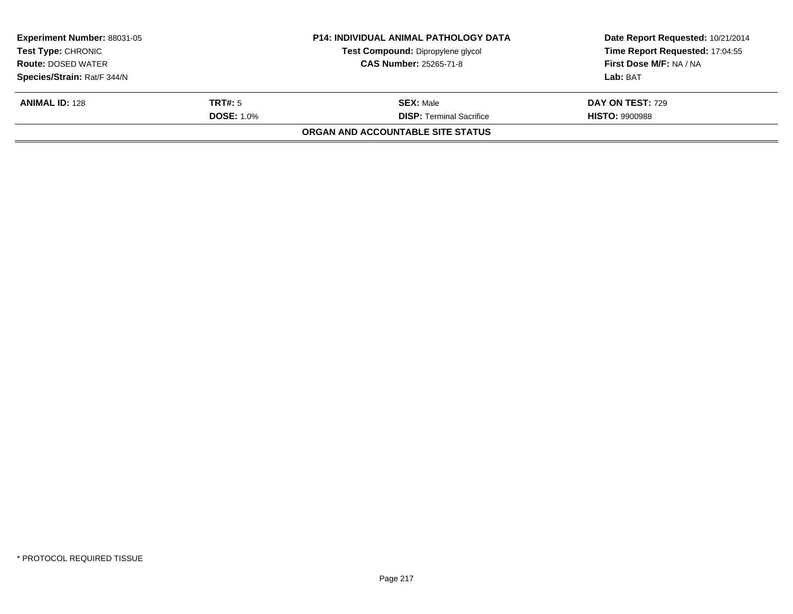| <b>Experiment Number: 88031-05</b><br><b>Test Type: CHRONIC</b><br><b>Route: DOSED WATER</b><br>Species/Strain: Rat/F 344/N |                                     | <b>P14: INDIVIDUAL ANIMAL PATHOLOGY DATA</b><br>Test Compound: Dipropylene glycol<br><b>CAS Number: 25265-71-8</b> | Date Report Requested: 10/21/2014<br>Time Report Requested: 17:04:55<br>First Dose M/F: NA / NA<br>Lab: BAT |
|-----------------------------------------------------------------------------------------------------------------------------|-------------------------------------|--------------------------------------------------------------------------------------------------------------------|-------------------------------------------------------------------------------------------------------------|
| <b>ANIMAL ID: 128</b>                                                                                                       | <b>TRT#:</b> 5<br><b>DOSE: 1.0%</b> | <b>SEX: Male</b><br><b>DISP: Terminal Sacrifice</b>                                                                | DAY ON TEST: 729<br><b>HISTO: 9900988</b>                                                                   |
|                                                                                                                             |                                     | ORGAN AND ACCOUNTABLE SITE STATUS                                                                                  |                                                                                                             |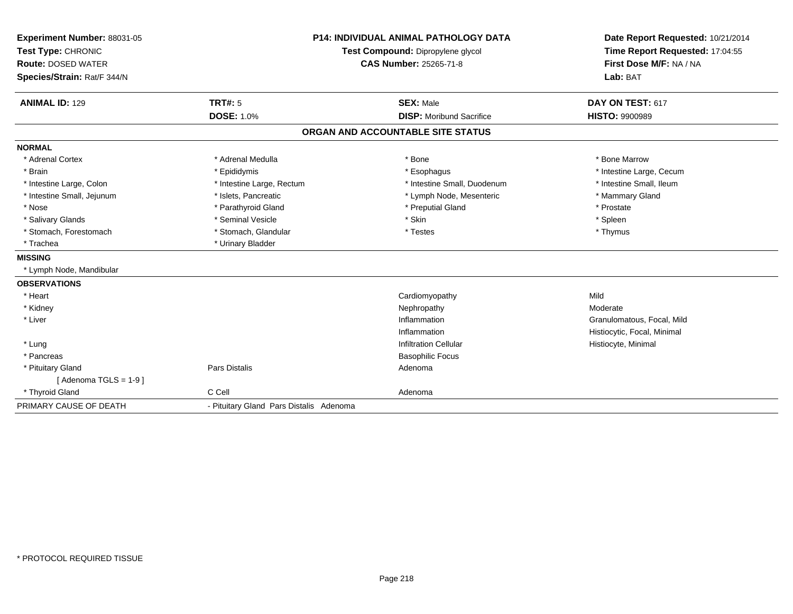| Experiment Number: 88031-05 | <b>P14: INDIVIDUAL ANIMAL PATHOLOGY DATA</b> |                                   | Date Report Requested: 10/21/2014 |
|-----------------------------|----------------------------------------------|-----------------------------------|-----------------------------------|
| Test Type: CHRONIC          |                                              | Test Compound: Dipropylene glycol | Time Report Requested: 17:04:55   |
| <b>Route: DOSED WATER</b>   | <b>CAS Number: 25265-71-8</b>                |                                   | First Dose M/F: NA / NA           |
| Species/Strain: Rat/F 344/N |                                              |                                   | Lab: BAT                          |
|                             |                                              |                                   |                                   |
| <b>ANIMAL ID: 129</b>       | <b>TRT#: 5</b>                               | <b>SEX: Male</b>                  | DAY ON TEST: 617                  |
|                             | <b>DOSE: 1.0%</b>                            | <b>DISP:</b> Moribund Sacrifice   | <b>HISTO: 9900989</b>             |
|                             |                                              | ORGAN AND ACCOUNTABLE SITE STATUS |                                   |
| <b>NORMAL</b>               |                                              |                                   |                                   |
| * Adrenal Cortex            | * Adrenal Medulla                            | * Bone                            | * Bone Marrow                     |
| * Brain                     | * Epididymis                                 | * Esophagus                       | * Intestine Large, Cecum          |
| * Intestine Large, Colon    | * Intestine Large, Rectum                    | * Intestine Small, Duodenum       | * Intestine Small, Ileum          |
| * Intestine Small, Jejunum  | * Islets, Pancreatic                         | * Lymph Node, Mesenteric          | * Mammary Gland                   |
| * Nose                      | * Parathyroid Gland                          | * Preputial Gland                 | * Prostate                        |
| * Salivary Glands           | * Seminal Vesicle                            | * Skin                            | * Spleen                          |
| * Stomach, Forestomach      | * Stomach, Glandular                         | * Testes                          | * Thymus                          |
| * Trachea                   | * Urinary Bladder                            |                                   |                                   |
| <b>MISSING</b>              |                                              |                                   |                                   |
| * Lymph Node, Mandibular    |                                              |                                   |                                   |
| <b>OBSERVATIONS</b>         |                                              |                                   |                                   |
| * Heart                     |                                              | Cardiomyopathy                    | Mild                              |
| * Kidney                    |                                              | Nephropathy                       | Moderate                          |
| * Liver                     |                                              | Inflammation                      | Granulomatous, Focal, Mild        |
|                             |                                              | Inflammation                      | Histiocytic, Focal, Minimal       |
| * Lung                      |                                              | <b>Infiltration Cellular</b>      | Histiocyte, Minimal               |
| * Pancreas                  |                                              | <b>Basophilic Focus</b>           |                                   |
| * Pituitary Gland           | Pars Distalis                                | Adenoma                           |                                   |
| [Adenoma TGLS = $1-9$ ]     |                                              |                                   |                                   |
| * Thyroid Gland             | C Cell                                       | Adenoma                           |                                   |
| PRIMARY CAUSE OF DEATH      | - Pituitary Gland Pars Distalis Adenoma      |                                   |                                   |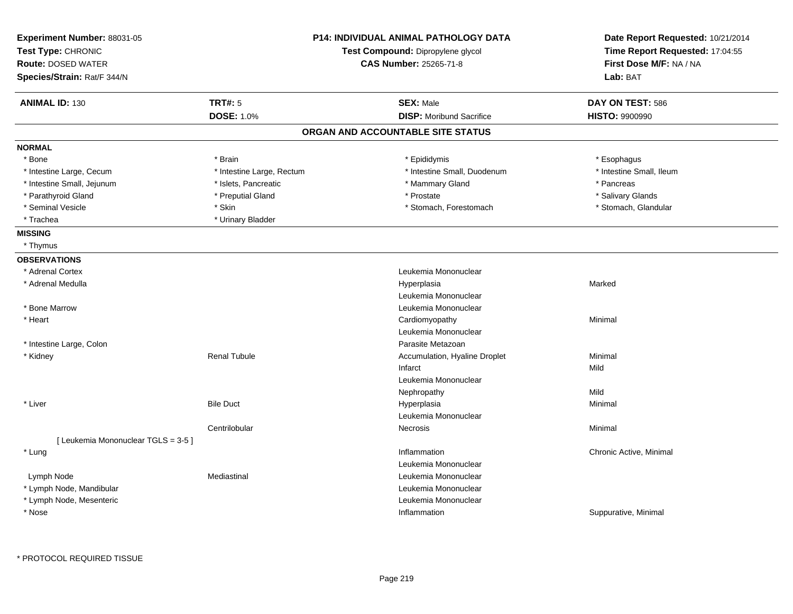| Experiment Number: 88031-05<br>Test Type: CHRONIC<br><b>Route: DOSED WATER</b><br>Species/Strain: Rat/F 344/N |                           | <b>P14: INDIVIDUAL ANIMAL PATHOLOGY DATA</b><br>Test Compound: Dipropylene glycol<br><b>CAS Number: 25265-71-8</b> | Date Report Requested: 10/21/2014<br>Time Report Requested: 17:04:55<br>First Dose M/F: NA / NA<br>Lab: BAT |
|---------------------------------------------------------------------------------------------------------------|---------------------------|--------------------------------------------------------------------------------------------------------------------|-------------------------------------------------------------------------------------------------------------|
| <b>ANIMAL ID: 130</b>                                                                                         | <b>TRT#: 5</b>            | <b>SEX: Male</b>                                                                                                   | DAY ON TEST: 586                                                                                            |
|                                                                                                               | <b>DOSE: 1.0%</b>         | <b>DISP:</b> Moribund Sacrifice                                                                                    | <b>HISTO: 9900990</b>                                                                                       |
|                                                                                                               |                           | ORGAN AND ACCOUNTABLE SITE STATUS                                                                                  |                                                                                                             |
| <b>NORMAL</b>                                                                                                 |                           |                                                                                                                    |                                                                                                             |
| * Bone                                                                                                        | * Brain                   | * Epididymis                                                                                                       | * Esophagus                                                                                                 |
| * Intestine Large, Cecum                                                                                      | * Intestine Large, Rectum | * Intestine Small, Duodenum                                                                                        | * Intestine Small, Ileum                                                                                    |
| * Intestine Small, Jejunum                                                                                    | * Islets, Pancreatic      | * Mammary Gland                                                                                                    | * Pancreas                                                                                                  |
| * Parathyroid Gland                                                                                           | * Preputial Gland         | * Prostate                                                                                                         | * Salivary Glands                                                                                           |
| * Seminal Vesicle                                                                                             | * Skin                    | * Stomach, Forestomach                                                                                             | * Stomach, Glandular                                                                                        |
| * Trachea                                                                                                     | * Urinary Bladder         |                                                                                                                    |                                                                                                             |
| <b>MISSING</b>                                                                                                |                           |                                                                                                                    |                                                                                                             |
| * Thymus                                                                                                      |                           |                                                                                                                    |                                                                                                             |
| <b>OBSERVATIONS</b>                                                                                           |                           |                                                                                                                    |                                                                                                             |
| * Adrenal Cortex                                                                                              |                           | Leukemia Mononuclear                                                                                               |                                                                                                             |
| * Adrenal Medulla                                                                                             |                           | Hyperplasia                                                                                                        | Marked                                                                                                      |
|                                                                                                               |                           | Leukemia Mononuclear                                                                                               |                                                                                                             |
| * Bone Marrow                                                                                                 |                           | Leukemia Mononuclear                                                                                               |                                                                                                             |
| * Heart                                                                                                       |                           | Cardiomyopathy                                                                                                     | Minimal                                                                                                     |
|                                                                                                               |                           | Leukemia Mononuclear                                                                                               |                                                                                                             |
| * Intestine Large, Colon                                                                                      |                           | Parasite Metazoan                                                                                                  |                                                                                                             |
| * Kidney                                                                                                      | <b>Renal Tubule</b>       | Accumulation, Hyaline Droplet                                                                                      | Minimal                                                                                                     |
|                                                                                                               |                           | Infarct                                                                                                            | Mild                                                                                                        |
|                                                                                                               |                           | Leukemia Mononuclear                                                                                               |                                                                                                             |
|                                                                                                               |                           | Nephropathy                                                                                                        | Mild                                                                                                        |
| * Liver                                                                                                       | <b>Bile Duct</b>          | Hyperplasia                                                                                                        | Minimal                                                                                                     |
|                                                                                                               |                           | Leukemia Mononuclear                                                                                               |                                                                                                             |
|                                                                                                               | Centrilobular             | <b>Necrosis</b>                                                                                                    | Minimal                                                                                                     |
| [ Leukemia Mononuclear TGLS = 3-5 ]                                                                           |                           |                                                                                                                    |                                                                                                             |
| * Lung                                                                                                        |                           | Inflammation                                                                                                       | Chronic Active, Minimal                                                                                     |
|                                                                                                               |                           | Leukemia Mononuclear                                                                                               |                                                                                                             |
| Lymph Node                                                                                                    | Mediastinal               | Leukemia Mononuclear                                                                                               |                                                                                                             |
| * Lymph Node, Mandibular                                                                                      |                           | Leukemia Mononuclear                                                                                               |                                                                                                             |
| * Lymph Node, Mesenteric                                                                                      |                           | Leukemia Mononuclear                                                                                               |                                                                                                             |
| * Nose                                                                                                        |                           | Inflammation                                                                                                       | Suppurative, Minimal                                                                                        |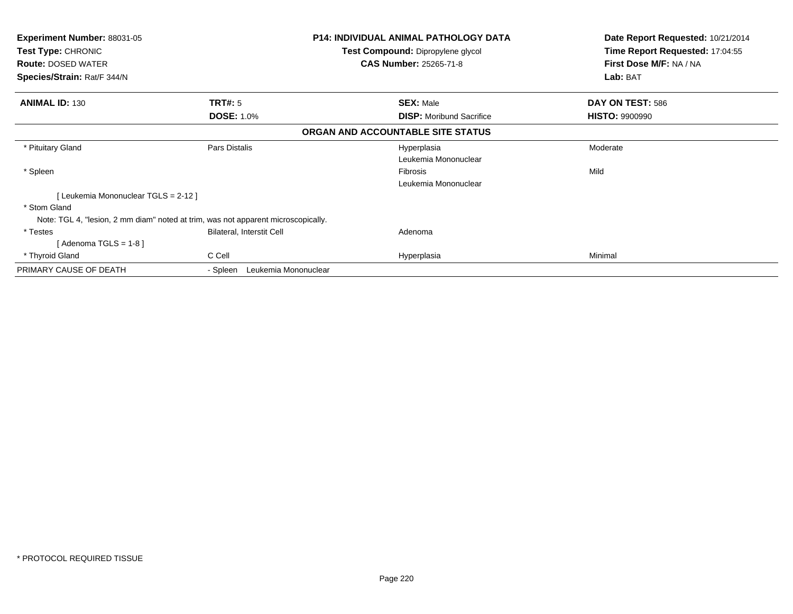| <b>Experiment Number: 88031-05</b><br><b>Test Type: CHRONIC</b><br><b>Route: DOSED WATER</b><br>Species/Strain: Rat/F 344/N | P14: INDIVIDUAL ANIMAL PATHOLOGY DATA<br>Test Compound: Dipropylene glycol<br><b>CAS Number: 25265-71-8</b> |                                   | Date Report Requested: 10/21/2014<br>Time Report Requested: 17:04:55<br>First Dose M/F: NA / NA<br>Lab: BAT |  |
|-----------------------------------------------------------------------------------------------------------------------------|-------------------------------------------------------------------------------------------------------------|-----------------------------------|-------------------------------------------------------------------------------------------------------------|--|
| <b>ANIMAL ID: 130</b>                                                                                                       | <b>TRT#: 5</b>                                                                                              | <b>SEX: Male</b>                  | DAY ON TEST: 586                                                                                            |  |
|                                                                                                                             | <b>DOSE: 1.0%</b>                                                                                           | <b>DISP:</b> Moribund Sacrifice   | <b>HISTO: 9900990</b>                                                                                       |  |
|                                                                                                                             |                                                                                                             | ORGAN AND ACCOUNTABLE SITE STATUS |                                                                                                             |  |
| * Pituitary Gland                                                                                                           | Pars Distalis                                                                                               | Hyperplasia                       | Moderate                                                                                                    |  |
|                                                                                                                             |                                                                                                             | Leukemia Mononuclear              |                                                                                                             |  |
| * Spleen                                                                                                                    |                                                                                                             | Fibrosis                          | Mild                                                                                                        |  |
|                                                                                                                             |                                                                                                             | Leukemia Mononuclear              |                                                                                                             |  |
| [Leukemia Mononuclear TGLS = 2-12]                                                                                          |                                                                                                             |                                   |                                                                                                             |  |
| * Stom Gland                                                                                                                |                                                                                                             |                                   |                                                                                                             |  |
| Note: TGL 4, "lesion, 2 mm diam" noted at trim, was not apparent microscopically.                                           |                                                                                                             |                                   |                                                                                                             |  |
| * Testes                                                                                                                    | Bilateral, Interstit Cell                                                                                   | Adenoma                           |                                                                                                             |  |
| [Adenoma TGLS = $1-8$ ]                                                                                                     |                                                                                                             |                                   |                                                                                                             |  |
| * Thyroid Gland                                                                                                             | C Cell                                                                                                      | Hyperplasia                       | Minimal                                                                                                     |  |
| PRIMARY CAUSE OF DEATH                                                                                                      | Leukemia Mononuclear<br>- Spleen                                                                            |                                   |                                                                                                             |  |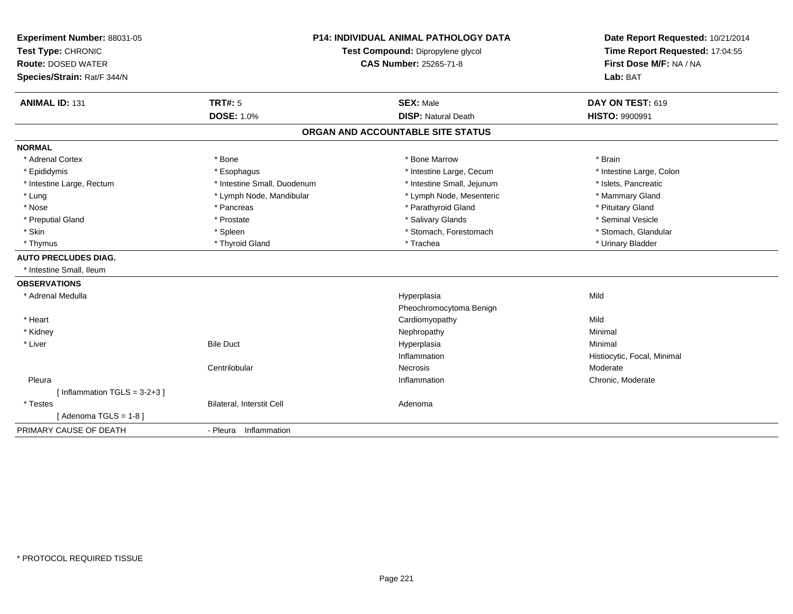| Experiment Number: 88031-05    |                                   | <b>P14: INDIVIDUAL ANIMAL PATHOLOGY DATA</b> | Date Report Requested: 10/21/2014 |
|--------------------------------|-----------------------------------|----------------------------------------------|-----------------------------------|
| Test Type: CHRONIC             | Test Compound: Dipropylene glycol |                                              | Time Report Requested: 17:04:55   |
| <b>Route: DOSED WATER</b>      |                                   | <b>CAS Number: 25265-71-8</b>                | First Dose M/F: NA / NA           |
| Species/Strain: Rat/F 344/N    |                                   |                                              | Lab: BAT                          |
| <b>ANIMAL ID: 131</b>          | <b>TRT#: 5</b>                    | <b>SEX: Male</b>                             | DAY ON TEST: 619                  |
|                                | <b>DOSE: 1.0%</b>                 | <b>DISP: Natural Death</b>                   | <b>HISTO: 9900991</b>             |
|                                |                                   | ORGAN AND ACCOUNTABLE SITE STATUS            |                                   |
| <b>NORMAL</b>                  |                                   |                                              |                                   |
| * Adrenal Cortex               | * Bone                            | * Bone Marrow                                | * Brain                           |
| * Epididymis                   | * Esophagus                       | * Intestine Large, Cecum                     | * Intestine Large, Colon          |
| * Intestine Large, Rectum      | * Intestine Small, Duodenum       | * Intestine Small, Jejunum                   | * Islets, Pancreatic              |
| * Lung                         | * Lymph Node, Mandibular          | * Lymph Node, Mesenteric                     | * Mammary Gland                   |
| * Nose                         | * Pancreas                        | * Parathyroid Gland                          | * Pituitary Gland                 |
| * Preputial Gland              | * Prostate                        | * Salivary Glands                            | * Seminal Vesicle                 |
| * Skin                         | * Spleen                          | * Stomach, Forestomach                       | * Stomach, Glandular              |
| * Thymus                       | * Thyroid Gland                   | * Trachea                                    | * Urinary Bladder                 |
| <b>AUTO PRECLUDES DIAG.</b>    |                                   |                                              |                                   |
| * Intestine Small, Ileum       |                                   |                                              |                                   |
| <b>OBSERVATIONS</b>            |                                   |                                              |                                   |
| * Adrenal Medulla              |                                   | Hyperplasia                                  | Mild                              |
|                                |                                   | Pheochromocytoma Benign                      |                                   |
| * Heart                        |                                   | Cardiomyopathy                               | Mild                              |
| * Kidney                       |                                   | Nephropathy                                  | Minimal                           |
| * Liver                        | <b>Bile Duct</b>                  | Hyperplasia                                  | Minimal                           |
|                                |                                   | Inflammation                                 | Histiocytic, Focal, Minimal       |
|                                | Centrilobular                     | <b>Necrosis</b>                              | Moderate                          |
| Pleura                         |                                   | Inflammation                                 | Chronic, Moderate                 |
| [Inflammation TGLS = $3-2+3$ ] |                                   |                                              |                                   |
| * Testes                       | Bilateral, Interstit Cell         | Adenoma                                      |                                   |
| [Adenoma TGLS = $1-8$ ]        |                                   |                                              |                                   |
| PRIMARY CAUSE OF DEATH         | - Pleura Inflammation             |                                              |                                   |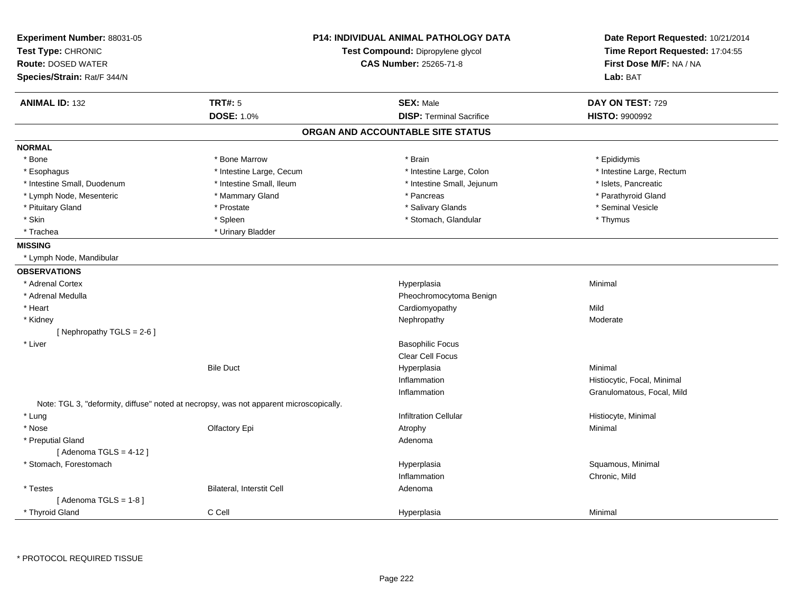| Experiment Number: 88031-05<br>Test Type: CHRONIC<br><b>Route: DOSED WATER</b><br>Species/Strain: Rat/F 344/N | P14: INDIVIDUAL ANIMAL PATHOLOGY DATA<br>Test Compound: Dipropylene glycol<br><b>CAS Number: 25265-71-8</b> |                                   | Date Report Requested: 10/21/2014<br>Time Report Requested: 17:04:55<br>First Dose M/F: NA / NA<br>Lab: BAT |
|---------------------------------------------------------------------------------------------------------------|-------------------------------------------------------------------------------------------------------------|-----------------------------------|-------------------------------------------------------------------------------------------------------------|
| <b>ANIMAL ID: 132</b>                                                                                         | <b>TRT#: 5</b>                                                                                              | <b>SEX: Male</b>                  | DAY ON TEST: 729                                                                                            |
|                                                                                                               | DOSE: 1.0%                                                                                                  | <b>DISP: Terminal Sacrifice</b>   | <b>HISTO: 9900992</b>                                                                                       |
|                                                                                                               |                                                                                                             | ORGAN AND ACCOUNTABLE SITE STATUS |                                                                                                             |
| <b>NORMAL</b>                                                                                                 |                                                                                                             |                                   |                                                                                                             |
| * Bone                                                                                                        | * Bone Marrow                                                                                               | * Brain                           | * Epididymis                                                                                                |
| * Esophagus                                                                                                   | * Intestine Large, Cecum                                                                                    | * Intestine Large, Colon          | * Intestine Large, Rectum                                                                                   |
| * Intestine Small, Duodenum                                                                                   | * Intestine Small, Ileum                                                                                    | * Intestine Small, Jejunum        | * Islets, Pancreatic                                                                                        |
| * Lymph Node, Mesenteric                                                                                      | * Mammary Gland                                                                                             | * Pancreas                        | * Parathyroid Gland                                                                                         |
| * Pituitary Gland                                                                                             | * Prostate                                                                                                  | * Salivary Glands                 | * Seminal Vesicle                                                                                           |
| * Skin                                                                                                        | * Spleen                                                                                                    | * Stomach, Glandular              | * Thymus                                                                                                    |
| * Trachea                                                                                                     | * Urinary Bladder                                                                                           |                                   |                                                                                                             |
| <b>MISSING</b>                                                                                                |                                                                                                             |                                   |                                                                                                             |
| * Lymph Node, Mandibular                                                                                      |                                                                                                             |                                   |                                                                                                             |
| <b>OBSERVATIONS</b>                                                                                           |                                                                                                             |                                   |                                                                                                             |
| * Adrenal Cortex                                                                                              |                                                                                                             | Hyperplasia                       | Minimal                                                                                                     |
| * Adrenal Medulla                                                                                             |                                                                                                             | Pheochromocytoma Benign           |                                                                                                             |
| * Heart                                                                                                       |                                                                                                             | Cardiomyopathy                    | Mild                                                                                                        |
| * Kidney                                                                                                      |                                                                                                             | Nephropathy                       | Moderate                                                                                                    |
| [Nephropathy TGLS = $2-6$ ]                                                                                   |                                                                                                             |                                   |                                                                                                             |
| * Liver                                                                                                       |                                                                                                             | <b>Basophilic Focus</b>           |                                                                                                             |
|                                                                                                               |                                                                                                             | <b>Clear Cell Focus</b>           |                                                                                                             |
|                                                                                                               | <b>Bile Duct</b>                                                                                            | Hyperplasia                       | Minimal                                                                                                     |
|                                                                                                               |                                                                                                             | Inflammation                      | Histiocytic, Focal, Minimal                                                                                 |
|                                                                                                               |                                                                                                             | Inflammation                      | Granulomatous, Focal, Mild                                                                                  |
|                                                                                                               | Note: TGL 3, "deformity, diffuse" noted at necropsy, was not apparent microscopically.                      |                                   |                                                                                                             |
| * Lung                                                                                                        |                                                                                                             | <b>Infiltration Cellular</b>      | Histiocyte, Minimal                                                                                         |
| * Nose                                                                                                        | Olfactory Epi                                                                                               | Atrophy                           | Minimal                                                                                                     |
| * Preputial Gland                                                                                             |                                                                                                             | Adenoma                           |                                                                                                             |
| [Adenoma TGLS = $4-12$ ]                                                                                      |                                                                                                             |                                   |                                                                                                             |
| * Stomach, Forestomach                                                                                        |                                                                                                             | Hyperplasia                       | Squamous, Minimal                                                                                           |
|                                                                                                               |                                                                                                             | Inflammation                      | Chronic, Mild                                                                                               |
| * Testes                                                                                                      | Bilateral, Interstit Cell                                                                                   | Adenoma                           |                                                                                                             |
| [Adenoma TGLS = $1-8$ ]                                                                                       |                                                                                                             |                                   |                                                                                                             |
| * Thyroid Gland                                                                                               | C Cell                                                                                                      | Hyperplasia                       | Minimal                                                                                                     |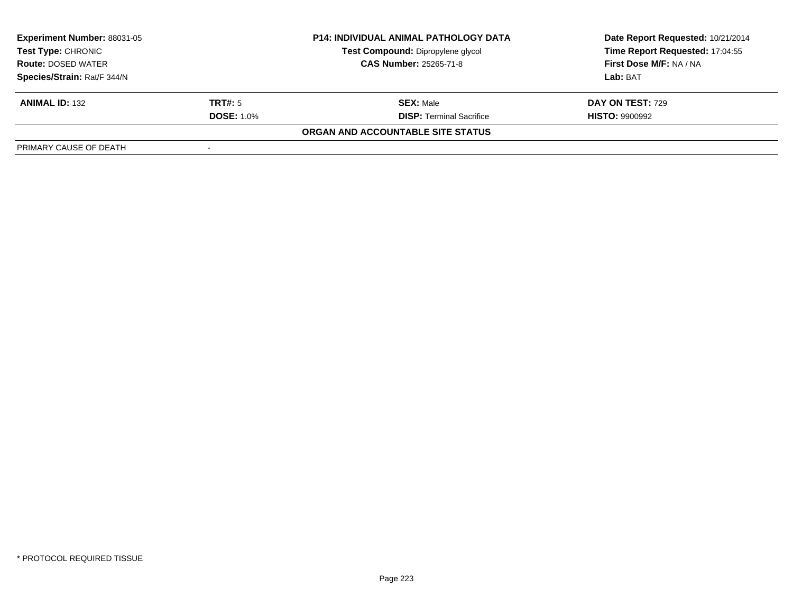| <b>Experiment Number: 88031-05</b><br><b>P14: INDIVIDUAL ANIMAL PATHOLOGY DATA</b><br>Test Compound: Dipropylene glycol<br>Test Type: CHRONIC<br><b>CAS Number: 25265-71-8</b><br><b>Route: DOSED WATER</b> |                   |                                   | Date Report Requested: 10/21/2014 |
|-------------------------------------------------------------------------------------------------------------------------------------------------------------------------------------------------------------|-------------------|-----------------------------------|-----------------------------------|
|                                                                                                                                                                                                             |                   |                                   | Time Report Requested: 17:04:55   |
|                                                                                                                                                                                                             |                   |                                   | First Dose M/F: NA / NA           |
| Species/Strain: Rat/F 344/N                                                                                                                                                                                 |                   |                                   | Lab: BAT                          |
| <b>ANIMAL ID: 132</b>                                                                                                                                                                                       | <b>TRT#:</b> 5    | <b>SEX: Male</b>                  | <b>DAY ON TEST: 729</b>           |
|                                                                                                                                                                                                             | <b>DOSE: 1.0%</b> | <b>DISP: Terminal Sacrifice</b>   | <b>HISTO: 9900992</b>             |
|                                                                                                                                                                                                             |                   | ORGAN AND ACCOUNTABLE SITE STATUS |                                   |
| PRIMARY CAUSE OF DEATH                                                                                                                                                                                      |                   |                                   |                                   |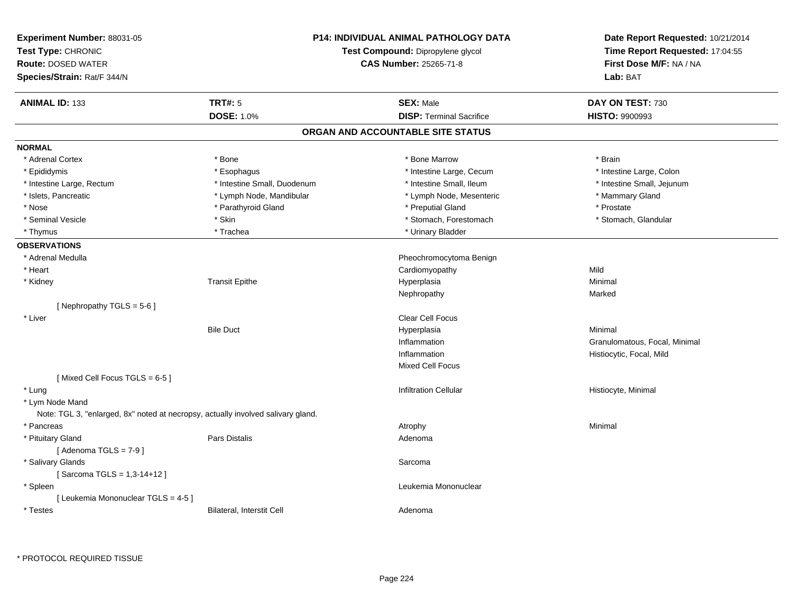| Experiment Number: 88031-05<br>Test Type: CHRONIC<br><b>Route: DOSED WATER</b><br>Species/Strain: Rat/F 344/N | <b>P14: INDIVIDUAL ANIMAL PATHOLOGY DATA</b><br>Test Compound: Dipropylene glycol<br><b>CAS Number: 25265-71-8</b> |                                   | Date Report Requested: 10/21/2014<br>Time Report Requested: 17:04:55<br>First Dose M/F: NA / NA<br>Lab: BAT |
|---------------------------------------------------------------------------------------------------------------|--------------------------------------------------------------------------------------------------------------------|-----------------------------------|-------------------------------------------------------------------------------------------------------------|
| <b>ANIMAL ID: 133</b>                                                                                         | <b>TRT#: 5</b>                                                                                                     | <b>SEX: Male</b>                  | DAY ON TEST: 730                                                                                            |
|                                                                                                               | <b>DOSE: 1.0%</b>                                                                                                  | <b>DISP: Terminal Sacrifice</b>   | <b>HISTO: 9900993</b>                                                                                       |
|                                                                                                               |                                                                                                                    | ORGAN AND ACCOUNTABLE SITE STATUS |                                                                                                             |
| <b>NORMAL</b>                                                                                                 |                                                                                                                    |                                   |                                                                                                             |
| * Adrenal Cortex                                                                                              | * Bone                                                                                                             | * Bone Marrow                     | * Brain                                                                                                     |
| * Epididymis                                                                                                  | * Esophagus                                                                                                        | * Intestine Large, Cecum          | * Intestine Large, Colon                                                                                    |
| * Intestine Large, Rectum                                                                                     | * Intestine Small, Duodenum                                                                                        | * Intestine Small, Ileum          | * Intestine Small, Jejunum                                                                                  |
| * Islets, Pancreatic                                                                                          | * Lymph Node, Mandibular                                                                                           | * Lymph Node, Mesenteric          | * Mammary Gland                                                                                             |
| * Nose                                                                                                        | * Parathyroid Gland                                                                                                | * Preputial Gland                 | * Prostate                                                                                                  |
| * Seminal Vesicle                                                                                             | * Skin                                                                                                             | * Stomach, Forestomach            | * Stomach, Glandular                                                                                        |
| * Thymus                                                                                                      | * Trachea                                                                                                          | * Urinary Bladder                 |                                                                                                             |
| <b>OBSERVATIONS</b>                                                                                           |                                                                                                                    |                                   |                                                                                                             |
| * Adrenal Medulla                                                                                             |                                                                                                                    | Pheochromocytoma Benign           |                                                                                                             |
| * Heart                                                                                                       |                                                                                                                    | Cardiomyopathy                    | Mild                                                                                                        |
| * Kidney                                                                                                      | <b>Transit Epithe</b>                                                                                              | Hyperplasia                       | Minimal                                                                                                     |
|                                                                                                               |                                                                                                                    | Nephropathy                       | Marked                                                                                                      |
| [Nephropathy TGLS = 5-6]                                                                                      |                                                                                                                    |                                   |                                                                                                             |
| * Liver                                                                                                       |                                                                                                                    | <b>Clear Cell Focus</b>           |                                                                                                             |
|                                                                                                               | <b>Bile Duct</b>                                                                                                   | Hyperplasia                       | Minimal                                                                                                     |
|                                                                                                               |                                                                                                                    | Inflammation                      | Granulomatous, Focal, Minimal                                                                               |
|                                                                                                               |                                                                                                                    | Inflammation                      | Histiocytic, Focal, Mild                                                                                    |
|                                                                                                               |                                                                                                                    | Mixed Cell Focus                  |                                                                                                             |
| [Mixed Cell Focus TGLS = 6-5]                                                                                 |                                                                                                                    |                                   |                                                                                                             |
| * Lung                                                                                                        |                                                                                                                    | <b>Infiltration Cellular</b>      | Histiocyte, Minimal                                                                                         |
| * Lym Node Mand                                                                                               |                                                                                                                    |                                   |                                                                                                             |
| Note: TGL 3, "enlarged, 8x" noted at necropsy, actually involved salivary gland.                              |                                                                                                                    |                                   |                                                                                                             |
| * Pancreas                                                                                                    |                                                                                                                    | Atrophy                           | Minimal                                                                                                     |
| * Pituitary Gland                                                                                             | Pars Distalis                                                                                                      | Adenoma                           |                                                                                                             |
| [Adenoma TGLS = $7-9$ ]                                                                                       |                                                                                                                    |                                   |                                                                                                             |
| * Salivary Glands                                                                                             |                                                                                                                    | Sarcoma                           |                                                                                                             |
| [Sarcoma TGLS = 1,3-14+12]                                                                                    |                                                                                                                    |                                   |                                                                                                             |
| * Spleen                                                                                                      |                                                                                                                    | Leukemia Mononuclear              |                                                                                                             |
| [Leukemia Mononuclear TGLS = 4-5]                                                                             |                                                                                                                    |                                   |                                                                                                             |
| * Testes                                                                                                      | Bilateral, Interstit Cell                                                                                          | Adenoma                           |                                                                                                             |
|                                                                                                               |                                                                                                                    |                                   |                                                                                                             |

\* PROTOCOL REQUIRED TISSUE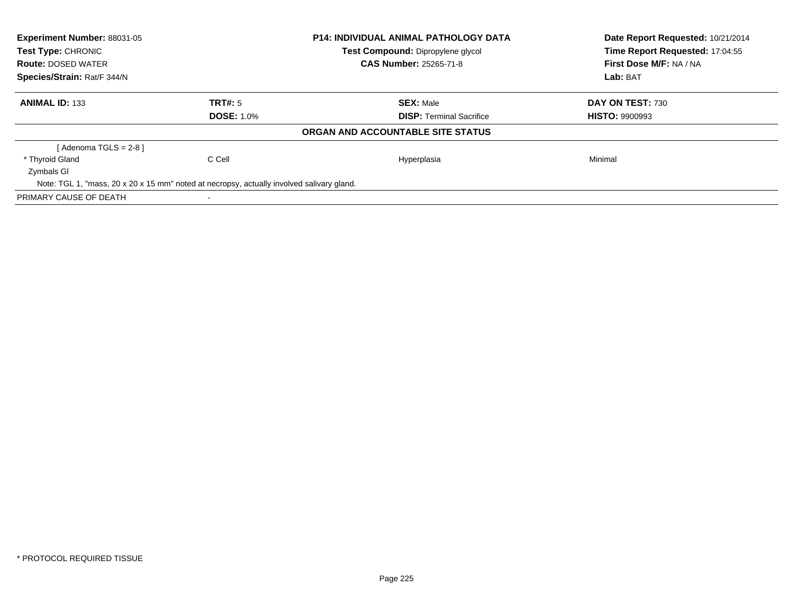| Experiment Number: 88031-05<br><b>Test Type: CHRONIC</b> |                                                                                           | <b>P14: INDIVIDUAL ANIMAL PATHOLOGY DATA</b> | Date Report Requested: 10/21/2014<br>Time Report Requested: 17:04:55 |  |
|----------------------------------------------------------|-------------------------------------------------------------------------------------------|----------------------------------------------|----------------------------------------------------------------------|--|
|                                                          |                                                                                           | <b>Test Compound: Dipropylene glycol</b>     |                                                                      |  |
| <b>Route: DOSED WATER</b>                                |                                                                                           | <b>CAS Number: 25265-71-8</b>                | First Dose M/F: NA / NA                                              |  |
| Species/Strain: Rat/F 344/N                              |                                                                                           |                                              | Lab: BAT                                                             |  |
| <b>ANIMAL ID: 133</b>                                    | TRT#: 5                                                                                   | <b>SEX: Male</b>                             | DAY ON TEST: 730                                                     |  |
|                                                          | <b>DOSE: 1.0%</b>                                                                         | <b>DISP:</b> Terminal Sacrifice              | <b>HISTO: 9900993</b>                                                |  |
|                                                          |                                                                                           | ORGAN AND ACCOUNTABLE SITE STATUS            |                                                                      |  |
| [ Adenoma TGLS = 2-8 ]                                   |                                                                                           |                                              |                                                                      |  |
| * Thyroid Gland                                          | C Cell                                                                                    | Hyperplasia                                  | Minimal                                                              |  |
| Zymbals GI                                               |                                                                                           |                                              |                                                                      |  |
|                                                          | Note: TGL 1, "mass, 20 x 20 x 15 mm" noted at necropsy, actually involved salivary gland. |                                              |                                                                      |  |
| PRIMARY CAUSE OF DEATH                                   |                                                                                           |                                              |                                                                      |  |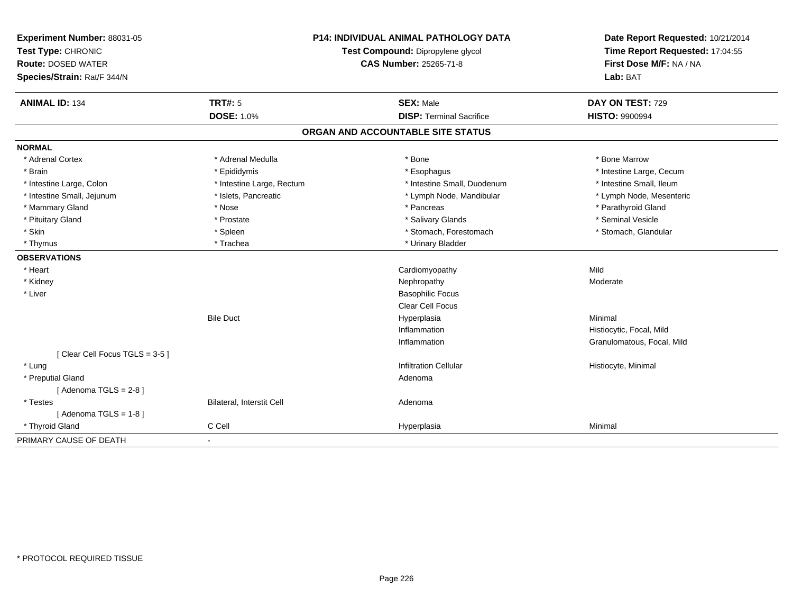| Experiment Number: 88031-05<br>Test Type: CHRONIC |                           | <b>P14: INDIVIDUAL ANIMAL PATHOLOGY DATA</b><br>Test Compound: Dipropylene glycol | Date Report Requested: 10/21/2014<br>Time Report Requested: 17:04:55<br>First Dose M/F: NA / NA |
|---------------------------------------------------|---------------------------|-----------------------------------------------------------------------------------|-------------------------------------------------------------------------------------------------|
| <b>Route: DOSED WATER</b>                         |                           | <b>CAS Number: 25265-71-8</b>                                                     |                                                                                                 |
| Species/Strain: Rat/F 344/N                       |                           |                                                                                   | Lab: BAT                                                                                        |
| <b>ANIMAL ID: 134</b>                             | <b>TRT#: 5</b>            | <b>SEX: Male</b>                                                                  | DAY ON TEST: 729                                                                                |
|                                                   | <b>DOSE: 1.0%</b>         | <b>DISP: Terminal Sacrifice</b>                                                   | <b>HISTO: 9900994</b>                                                                           |
|                                                   |                           | ORGAN AND ACCOUNTABLE SITE STATUS                                                 |                                                                                                 |
| <b>NORMAL</b>                                     |                           |                                                                                   |                                                                                                 |
| * Adrenal Cortex                                  | * Adrenal Medulla         | * Bone                                                                            | * Bone Marrow                                                                                   |
| * Brain                                           | * Epididymis              | * Esophagus                                                                       | * Intestine Large, Cecum                                                                        |
| * Intestine Large, Colon                          | * Intestine Large, Rectum | * Intestine Small, Duodenum                                                       | * Intestine Small, Ileum                                                                        |
| * Intestine Small, Jejunum                        | * Islets, Pancreatic      | * Lymph Node, Mandibular                                                          | * Lymph Node, Mesenteric                                                                        |
| * Mammary Gland                                   | * Nose                    | * Pancreas                                                                        | * Parathyroid Gland                                                                             |
| * Pituitary Gland                                 | * Prostate                | * Salivary Glands                                                                 | * Seminal Vesicle                                                                               |
| * Skin                                            | * Spleen                  | * Stomach, Forestomach                                                            | * Stomach, Glandular                                                                            |
| * Thymus                                          | * Trachea                 | * Urinary Bladder                                                                 |                                                                                                 |
| <b>OBSERVATIONS</b>                               |                           |                                                                                   |                                                                                                 |
| * Heart                                           |                           | Cardiomyopathy                                                                    | Mild                                                                                            |
| * Kidney                                          |                           | Nephropathy                                                                       | Moderate                                                                                        |
| * Liver                                           |                           | <b>Basophilic Focus</b>                                                           |                                                                                                 |
|                                                   |                           | <b>Clear Cell Focus</b>                                                           |                                                                                                 |
|                                                   | <b>Bile Duct</b>          | Hyperplasia                                                                       | Minimal                                                                                         |
|                                                   |                           | Inflammation                                                                      | Histiocytic, Focal, Mild                                                                        |
|                                                   |                           | Inflammation                                                                      | Granulomatous, Focal, Mild                                                                      |
| [Clear Cell Focus TGLS = 3-5]                     |                           |                                                                                   |                                                                                                 |
| * Lung                                            |                           | <b>Infiltration Cellular</b>                                                      | Histiocyte, Minimal                                                                             |
| * Preputial Gland                                 |                           | Adenoma                                                                           |                                                                                                 |
| [Adenoma TGLS = $2-8$ ]                           |                           |                                                                                   |                                                                                                 |
| * Testes                                          | Bilateral, Interstit Cell | Adenoma                                                                           |                                                                                                 |
| [Adenoma TGLS = $1-8$ ]                           |                           |                                                                                   |                                                                                                 |
| * Thyroid Gland                                   | C Cell                    | Hyperplasia                                                                       | Minimal                                                                                         |
| PRIMARY CAUSE OF DEATH                            | $\sim$                    |                                                                                   |                                                                                                 |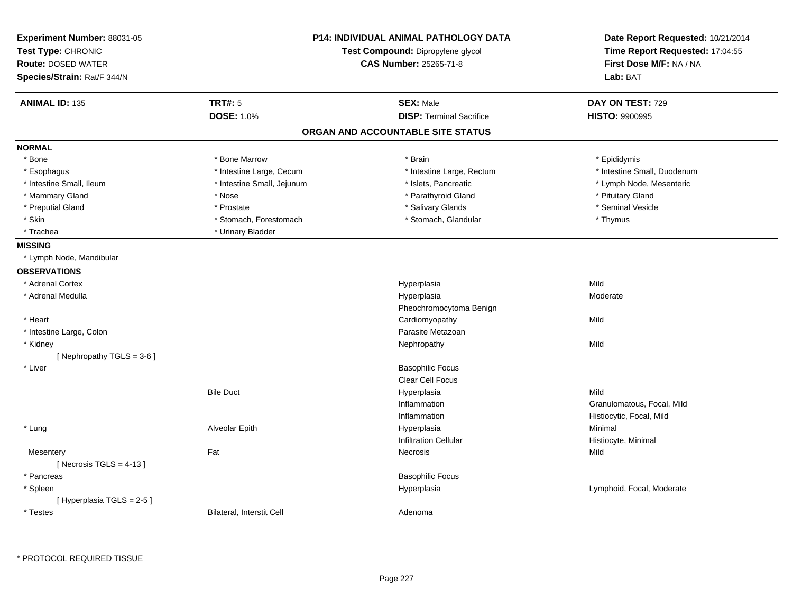| Experiment Number: 88031-05<br>Test Type: CHRONIC<br><b>Route: DOSED WATER</b><br>Species/Strain: Rat/F 344/N | <b>P14: INDIVIDUAL ANIMAL PATHOLOGY DATA</b><br>Test Compound: Dipropylene glycol<br><b>CAS Number: 25265-71-8</b> |                                   | Date Report Requested: 10/21/2014<br>Time Report Requested: 17:04:55<br>First Dose M/F: NA / NA<br>Lab: BAT |
|---------------------------------------------------------------------------------------------------------------|--------------------------------------------------------------------------------------------------------------------|-----------------------------------|-------------------------------------------------------------------------------------------------------------|
| <b>ANIMAL ID: 135</b>                                                                                         | <b>TRT#: 5</b>                                                                                                     | <b>SEX: Male</b>                  | DAY ON TEST: 729                                                                                            |
|                                                                                                               | <b>DOSE: 1.0%</b>                                                                                                  | <b>DISP: Terminal Sacrifice</b>   | <b>HISTO: 9900995</b>                                                                                       |
|                                                                                                               |                                                                                                                    | ORGAN AND ACCOUNTABLE SITE STATUS |                                                                                                             |
| <b>NORMAL</b>                                                                                                 |                                                                                                                    |                                   |                                                                                                             |
| * Bone                                                                                                        | * Bone Marrow                                                                                                      | * Brain                           | * Epididymis                                                                                                |
| * Esophagus                                                                                                   | * Intestine Large, Cecum                                                                                           | * Intestine Large, Rectum         | * Intestine Small, Duodenum                                                                                 |
| * Intestine Small. Ileum                                                                                      | * Intestine Small, Jejunum                                                                                         | * Islets, Pancreatic              | * Lymph Node, Mesenteric                                                                                    |
| * Mammary Gland                                                                                               | * Nose                                                                                                             | * Parathyroid Gland               | * Pituitary Gland                                                                                           |
| * Preputial Gland                                                                                             | * Prostate                                                                                                         | * Salivary Glands                 | * Seminal Vesicle                                                                                           |
| * Skin                                                                                                        | * Stomach, Forestomach                                                                                             | * Stomach, Glandular              | * Thymus                                                                                                    |
| * Trachea                                                                                                     | * Urinary Bladder                                                                                                  |                                   |                                                                                                             |
| <b>MISSING</b>                                                                                                |                                                                                                                    |                                   |                                                                                                             |
| * Lymph Node, Mandibular                                                                                      |                                                                                                                    |                                   |                                                                                                             |
| <b>OBSERVATIONS</b>                                                                                           |                                                                                                                    |                                   |                                                                                                             |
| * Adrenal Cortex                                                                                              |                                                                                                                    | Hyperplasia                       | Mild                                                                                                        |
| * Adrenal Medulla                                                                                             |                                                                                                                    | Hyperplasia                       | Moderate                                                                                                    |
|                                                                                                               |                                                                                                                    | Pheochromocytoma Benign           |                                                                                                             |
| * Heart                                                                                                       |                                                                                                                    | Cardiomyopathy                    | Mild                                                                                                        |
| * Intestine Large, Colon                                                                                      |                                                                                                                    | Parasite Metazoan                 |                                                                                                             |
| * Kidney                                                                                                      |                                                                                                                    | Nephropathy                       | Mild                                                                                                        |
| [Nephropathy TGLS = 3-6]                                                                                      |                                                                                                                    |                                   |                                                                                                             |
| * Liver                                                                                                       |                                                                                                                    | <b>Basophilic Focus</b>           |                                                                                                             |
|                                                                                                               |                                                                                                                    | Clear Cell Focus                  |                                                                                                             |
|                                                                                                               | <b>Bile Duct</b>                                                                                                   | Hyperplasia                       | Mild                                                                                                        |
|                                                                                                               |                                                                                                                    | Inflammation                      | Granulomatous, Focal, Mild                                                                                  |
|                                                                                                               |                                                                                                                    | Inflammation                      | Histiocytic, Focal, Mild                                                                                    |
| * Lung                                                                                                        | Alveolar Epith                                                                                                     | Hyperplasia                       | Minimal                                                                                                     |
|                                                                                                               |                                                                                                                    | <b>Infiltration Cellular</b>      | Histiocyte, Minimal                                                                                         |
| Mesentery                                                                                                     | Fat                                                                                                                | Necrosis                          | Mild                                                                                                        |
| [Necrosis TGLS = $4-13$ ]                                                                                     |                                                                                                                    |                                   |                                                                                                             |
| * Pancreas                                                                                                    |                                                                                                                    | <b>Basophilic Focus</b>           |                                                                                                             |
| * Spleen                                                                                                      |                                                                                                                    | Hyperplasia                       | Lymphoid, Focal, Moderate                                                                                   |
| [Hyperplasia TGLS = 2-5]                                                                                      |                                                                                                                    |                                   |                                                                                                             |
| * Testes                                                                                                      | <b>Bilateral, Interstit Cell</b>                                                                                   | Adenoma                           |                                                                                                             |
|                                                                                                               |                                                                                                                    |                                   |                                                                                                             |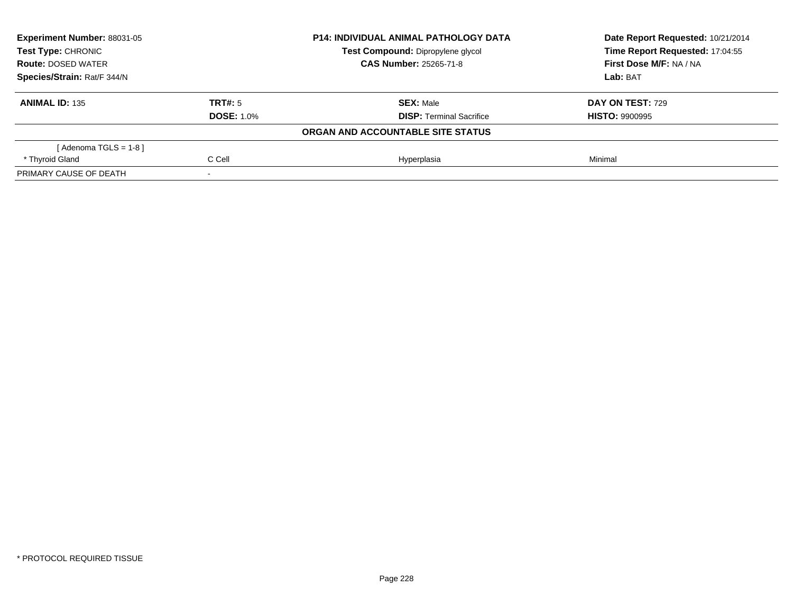| Experiment Number: 88031-05<br><b>Test Type: CHRONIC</b><br><b>Route: DOSED WATER</b><br>Species/Strain: Rat/F 344/N |                   | <b>P14: INDIVIDUAL ANIMAL PATHOLOGY DATA</b> | Date Report Requested: 10/21/2014 |
|----------------------------------------------------------------------------------------------------------------------|-------------------|----------------------------------------------|-----------------------------------|
|                                                                                                                      |                   | Test Compound: Dipropylene glycol            | Time Report Requested: 17:04:55   |
|                                                                                                                      |                   | <b>CAS Number: 25265-71-8</b>                | First Dose M/F: NA / NA           |
|                                                                                                                      |                   |                                              | Lab: BAT                          |
| <b>ANIMAL ID: 135</b>                                                                                                | TRT#: 5           | <b>SEX: Male</b>                             | <b>DAY ON TEST: 729</b>           |
|                                                                                                                      | <b>DOSE: 1.0%</b> | <b>DISP:</b> Terminal Sacrifice              | <b>HISTO: 9900995</b>             |
|                                                                                                                      |                   | ORGAN AND ACCOUNTABLE SITE STATUS            |                                   |
| [Adenoma TGLS = $1-8$ ]                                                                                              |                   |                                              |                                   |
| * Thyroid Gland                                                                                                      | C Cell            | Hyperplasia                                  | Minimal                           |
| PRIMARY CAUSE OF DEATH                                                                                               |                   |                                              |                                   |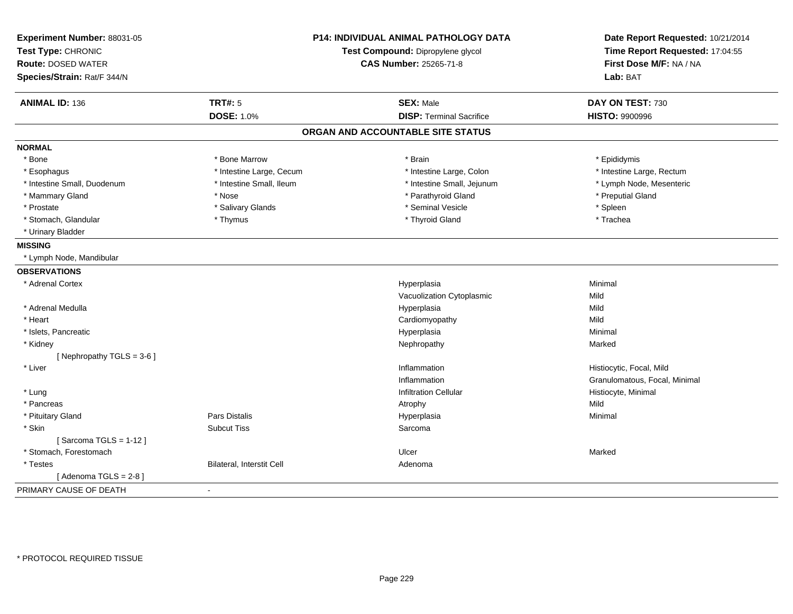| Experiment Number: 88031-05<br>Test Type: CHRONIC<br><b>Route: DOSED WATER</b><br>Species/Strain: Rat/F 344/N | <b>P14: INDIVIDUAL ANIMAL PATHOLOGY DATA</b><br>Test Compound: Dipropylene glycol<br><b>CAS Number: 25265-71-8</b> |                                   | Date Report Requested: 10/21/2014<br>Time Report Requested: 17:04:55<br>First Dose M/F: NA / NA<br>Lab: BAT |
|---------------------------------------------------------------------------------------------------------------|--------------------------------------------------------------------------------------------------------------------|-----------------------------------|-------------------------------------------------------------------------------------------------------------|
| <b>ANIMAL ID: 136</b>                                                                                         | <b>TRT#: 5</b>                                                                                                     | <b>SEX: Male</b>                  | DAY ON TEST: 730                                                                                            |
|                                                                                                               | <b>DOSE: 1.0%</b>                                                                                                  | <b>DISP: Terminal Sacrifice</b>   | <b>HISTO: 9900996</b>                                                                                       |
|                                                                                                               |                                                                                                                    | ORGAN AND ACCOUNTABLE SITE STATUS |                                                                                                             |
| <b>NORMAL</b>                                                                                                 |                                                                                                                    |                                   |                                                                                                             |
| * Bone                                                                                                        | * Bone Marrow                                                                                                      | * Brain                           | * Epididymis                                                                                                |
| * Esophagus                                                                                                   | * Intestine Large, Cecum                                                                                           | * Intestine Large, Colon          | * Intestine Large, Rectum                                                                                   |
| * Intestine Small, Duodenum                                                                                   | * Intestine Small, Ileum                                                                                           | * Intestine Small, Jejunum        | * Lymph Node, Mesenteric                                                                                    |
| * Mammary Gland                                                                                               | * Nose                                                                                                             | * Parathyroid Gland               | * Preputial Gland                                                                                           |
| * Prostate                                                                                                    | * Salivary Glands                                                                                                  | * Seminal Vesicle                 | * Spleen                                                                                                    |
| * Stomach, Glandular                                                                                          | * Thymus                                                                                                           | * Thyroid Gland                   | * Trachea                                                                                                   |
| * Urinary Bladder                                                                                             |                                                                                                                    |                                   |                                                                                                             |
| <b>MISSING</b>                                                                                                |                                                                                                                    |                                   |                                                                                                             |
| * Lymph Node, Mandibular                                                                                      |                                                                                                                    |                                   |                                                                                                             |
| <b>OBSERVATIONS</b>                                                                                           |                                                                                                                    |                                   |                                                                                                             |
| * Adrenal Cortex                                                                                              |                                                                                                                    | Hyperplasia                       | Minimal                                                                                                     |
|                                                                                                               |                                                                                                                    | Vacuolization Cytoplasmic         | Mild                                                                                                        |
| * Adrenal Medulla                                                                                             |                                                                                                                    | Hyperplasia                       | Mild                                                                                                        |
| * Heart                                                                                                       |                                                                                                                    | Cardiomyopathy                    | Mild                                                                                                        |
| * Islets, Pancreatic                                                                                          |                                                                                                                    | Hyperplasia                       | Minimal                                                                                                     |
| * Kidney                                                                                                      |                                                                                                                    | Nephropathy                       | Marked                                                                                                      |
| [ Nephropathy TGLS = $3-6$ ]                                                                                  |                                                                                                                    |                                   |                                                                                                             |
| * Liver                                                                                                       |                                                                                                                    | Inflammation                      | Histiocytic, Focal, Mild                                                                                    |
|                                                                                                               |                                                                                                                    | Inflammation                      | Granulomatous, Focal, Minimal                                                                               |
| * Lung                                                                                                        |                                                                                                                    | <b>Infiltration Cellular</b>      | Histiocyte, Minimal                                                                                         |
| * Pancreas                                                                                                    |                                                                                                                    | Atrophy                           | Mild                                                                                                        |
| * Pituitary Gland                                                                                             | Pars Distalis                                                                                                      | Hyperplasia                       | Minimal                                                                                                     |
| * Skin                                                                                                        | <b>Subcut Tiss</b>                                                                                                 | Sarcoma                           |                                                                                                             |
| [Sarcoma TGLS = $1-12$ ]                                                                                      |                                                                                                                    |                                   |                                                                                                             |
| * Stomach, Forestomach                                                                                        |                                                                                                                    | Ulcer                             | Marked                                                                                                      |
| * Testes                                                                                                      | Bilateral, Interstit Cell                                                                                          | Adenoma                           |                                                                                                             |
| [Adenoma TGLS = $2-8$ ]                                                                                       |                                                                                                                    |                                   |                                                                                                             |
| PRIMARY CAUSE OF DEATH                                                                                        | $\blacksquare$                                                                                                     |                                   |                                                                                                             |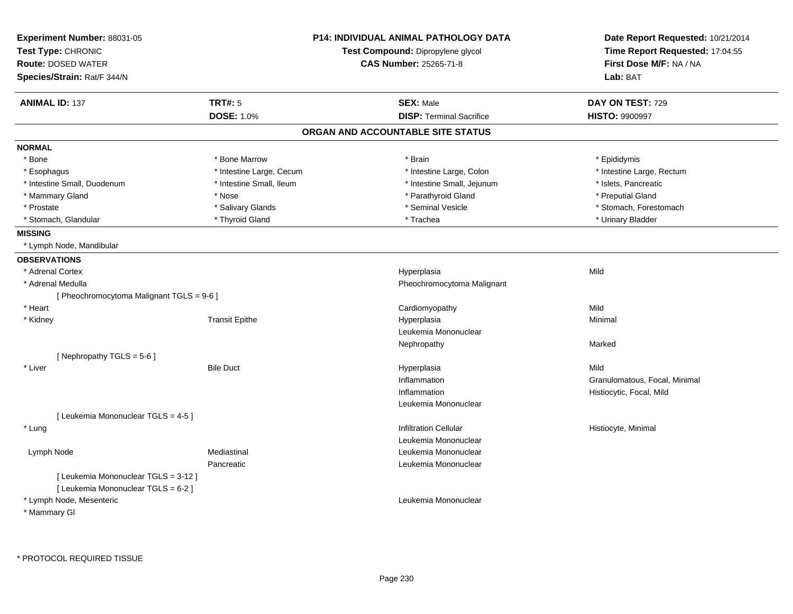| Experiment Number: 88031-05<br>Test Type: CHRONIC |                          | <b>P14: INDIVIDUAL ANIMAL PATHOLOGY DATA</b><br>Test Compound: Dipropylene glycol | Date Report Requested: 10/21/2014<br>Time Report Requested: 17:04:55 |
|---------------------------------------------------|--------------------------|-----------------------------------------------------------------------------------|----------------------------------------------------------------------|
| <b>Route: DOSED WATER</b>                         |                          | CAS Number: 25265-71-8                                                            | First Dose M/F: NA / NA                                              |
| Species/Strain: Rat/F 344/N                       |                          |                                                                                   | Lab: BAT                                                             |
| <b>ANIMAL ID: 137</b>                             | <b>TRT#: 5</b>           | <b>SEX: Male</b>                                                                  | DAY ON TEST: 729                                                     |
|                                                   | <b>DOSE: 1.0%</b>        | <b>DISP: Terminal Sacrifice</b>                                                   | <b>HISTO: 9900997</b>                                                |
|                                                   |                          | ORGAN AND ACCOUNTABLE SITE STATUS                                                 |                                                                      |
| <b>NORMAL</b>                                     |                          |                                                                                   |                                                                      |
| * Bone                                            | * Bone Marrow            | * Brain                                                                           | * Epididymis                                                         |
| * Esophagus                                       | * Intestine Large, Cecum | * Intestine Large, Colon                                                          | * Intestine Large, Rectum                                            |
| * Intestine Small, Duodenum                       | * Intestine Small, Ileum | * Intestine Small, Jejunum                                                        | * Islets, Pancreatic                                                 |
| * Mammary Gland                                   | * Nose                   | * Parathyroid Gland                                                               | * Preputial Gland                                                    |
| * Prostate                                        | * Salivary Glands        | * Seminal Vesicle                                                                 | * Stomach, Forestomach                                               |
| * Stomach, Glandular                              | * Thyroid Gland          | * Trachea                                                                         | * Urinary Bladder                                                    |
| <b>MISSING</b>                                    |                          |                                                                                   |                                                                      |
| * Lymph Node, Mandibular                          |                          |                                                                                   |                                                                      |
| <b>OBSERVATIONS</b>                               |                          |                                                                                   |                                                                      |
| * Adrenal Cortex                                  |                          | Hyperplasia                                                                       | Mild                                                                 |
| * Adrenal Medulla                                 |                          | Pheochromocytoma Malignant                                                        |                                                                      |
| [ Pheochromocytoma Malignant TGLS = 9-6 ]         |                          |                                                                                   |                                                                      |
| * Heart                                           |                          | Cardiomyopathy                                                                    | Mild                                                                 |
| * Kidney                                          | <b>Transit Epithe</b>    | Hyperplasia                                                                       | Minimal                                                              |
|                                                   |                          | Leukemia Mononuclear                                                              |                                                                      |
|                                                   |                          | Nephropathy                                                                       | Marked                                                               |
| [Nephropathy TGLS = $5-6$ ]                       |                          |                                                                                   |                                                                      |
| * Liver                                           | <b>Bile Duct</b>         | Hyperplasia                                                                       | Mild                                                                 |
|                                                   |                          | Inflammation                                                                      | Granulomatous, Focal, Minimal                                        |
|                                                   |                          | Inflammation                                                                      | Histiocytic, Focal, Mild                                             |
|                                                   |                          | Leukemia Mononuclear                                                              |                                                                      |
| [ Leukemia Mononuclear TGLS = 4-5 ]               |                          |                                                                                   |                                                                      |
| * Lung                                            |                          | <b>Infiltration Cellular</b>                                                      | Histiocyte, Minimal                                                  |
|                                                   |                          | Leukemia Mononuclear                                                              |                                                                      |
| Lymph Node                                        | Mediastinal              | Leukemia Mononuclear                                                              |                                                                      |
|                                                   | Pancreatic               | Leukemia Mononuclear                                                              |                                                                      |
| [ Leukemia Mononuclear TGLS = 3-12 ]              |                          |                                                                                   |                                                                      |
| [ Leukemia Mononuclear TGLS = 6-2 ]               |                          |                                                                                   |                                                                      |
| * Lymph Node, Mesenteric                          |                          | Leukemia Mononuclear                                                              |                                                                      |
| * Mammary GI                                      |                          |                                                                                   |                                                                      |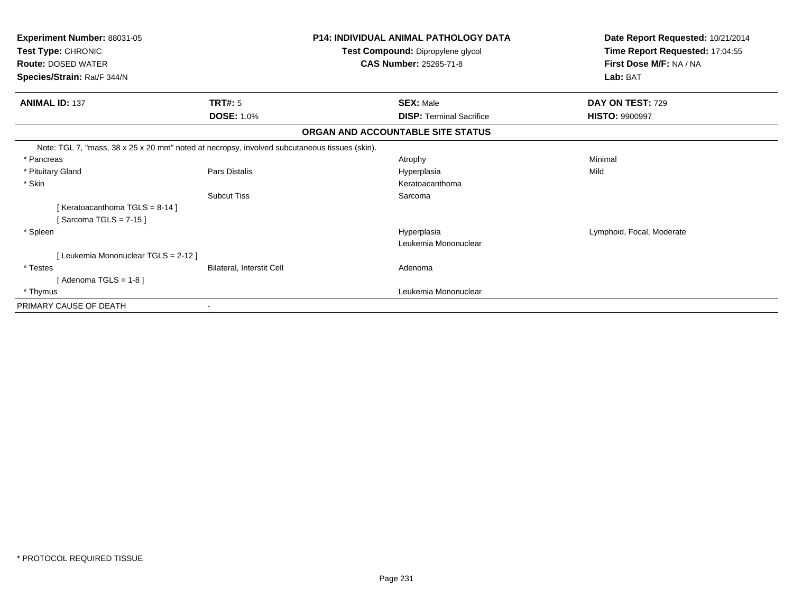| Experiment Number: 88031-05                                                                   |                                  | <b>P14: INDIVIDUAL ANIMAL PATHOLOGY DATA</b> | Date Report Requested: 10/21/2014 |
|-----------------------------------------------------------------------------------------------|----------------------------------|----------------------------------------------|-----------------------------------|
| Test Type: CHRONIC                                                                            |                                  | Test Compound: Dipropylene glycol            | Time Report Requested: 17:04:55   |
| <b>Route: DOSED WATER</b>                                                                     |                                  | <b>CAS Number: 25265-71-8</b>                | First Dose M/F: NA / NA           |
| Species/Strain: Rat/F 344/N                                                                   |                                  |                                              | Lab: BAT                          |
| <b>ANIMAL ID: 137</b>                                                                         | TRT#: 5                          | <b>SEX: Male</b>                             | DAY ON TEST: 729                  |
|                                                                                               | <b>DOSE: 1.0%</b>                | <b>DISP: Terminal Sacrifice</b>              | <b>HISTO: 9900997</b>             |
|                                                                                               |                                  | ORGAN AND ACCOUNTABLE SITE STATUS            |                                   |
| Note: TGL 7, "mass, 38 x 25 x 20 mm" noted at necropsy, involved subcutaneous tissues (skin). |                                  |                                              |                                   |
| * Pancreas                                                                                    |                                  | Atrophy                                      | Minimal                           |
| * Pituitary Gland                                                                             | Pars Distalis                    | Hyperplasia                                  | Mild                              |
| * Skin                                                                                        |                                  | Keratoacanthoma                              |                                   |
|                                                                                               | <b>Subcut Tiss</b>               | Sarcoma                                      |                                   |
| [Keratoacanthoma TGLS = 8-14]                                                                 |                                  |                                              |                                   |
| [Sarcoma TGLS = $7-15$ ]                                                                      |                                  |                                              |                                   |
| * Spleen                                                                                      |                                  | Hyperplasia                                  | Lymphoid, Focal, Moderate         |
|                                                                                               |                                  | Leukemia Mononuclear                         |                                   |
| [Leukemia Mononuclear TGLS = 2-12]                                                            |                                  |                                              |                                   |
| * Testes                                                                                      | <b>Bilateral, Interstit Cell</b> | Adenoma                                      |                                   |
| [Adenoma TGLS = $1-8$ ]                                                                       |                                  |                                              |                                   |
| * Thymus                                                                                      |                                  | Leukemia Mononuclear                         |                                   |
| PRIMARY CAUSE OF DEATH                                                                        |                                  |                                              |                                   |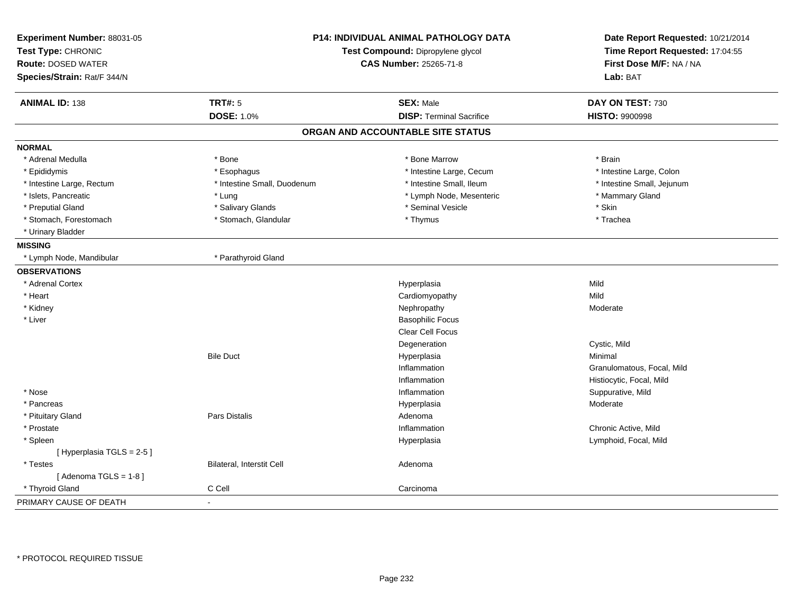| Experiment Number: 88031-05<br>Test Type: CHRONIC |                             | <b>P14: INDIVIDUAL ANIMAL PATHOLOGY DATA</b><br>Test Compound: Dipropylene glycol | Date Report Requested: 10/21/2014<br>Time Report Requested: 17:04:55 |
|---------------------------------------------------|-----------------------------|-----------------------------------------------------------------------------------|----------------------------------------------------------------------|
| <b>Route: DOSED WATER</b>                         |                             | <b>CAS Number: 25265-71-8</b>                                                     | First Dose M/F: NA / NA                                              |
| Species/Strain: Rat/F 344/N                       |                             |                                                                                   | Lab: BAT                                                             |
| <b>ANIMAL ID: 138</b>                             | <b>TRT#: 5</b>              | <b>SEX: Male</b>                                                                  | DAY ON TEST: 730                                                     |
|                                                   | <b>DOSE: 1.0%</b>           | <b>DISP: Terminal Sacrifice</b>                                                   | <b>HISTO: 9900998</b>                                                |
|                                                   |                             | ORGAN AND ACCOUNTABLE SITE STATUS                                                 |                                                                      |
| <b>NORMAL</b>                                     |                             |                                                                                   |                                                                      |
| * Adrenal Medulla                                 | * Bone                      | * Bone Marrow                                                                     | * Brain                                                              |
| * Epididymis                                      | * Esophagus                 | * Intestine Large, Cecum                                                          | * Intestine Large, Colon                                             |
| * Intestine Large, Rectum                         | * Intestine Small, Duodenum | * Intestine Small, Ileum                                                          | * Intestine Small, Jejunum                                           |
| * Islets, Pancreatic                              | * Lung                      | * Lymph Node, Mesenteric                                                          | * Mammary Gland                                                      |
| * Preputial Gland                                 | * Salivary Glands           | * Seminal Vesicle                                                                 | * Skin                                                               |
| * Stomach, Forestomach                            | * Stomach, Glandular        | * Thymus                                                                          | * Trachea                                                            |
| * Urinary Bladder                                 |                             |                                                                                   |                                                                      |
| <b>MISSING</b>                                    |                             |                                                                                   |                                                                      |
| * Lymph Node, Mandibular                          | * Parathyroid Gland         |                                                                                   |                                                                      |
| <b>OBSERVATIONS</b>                               |                             |                                                                                   |                                                                      |
| * Adrenal Cortex                                  |                             | Hyperplasia                                                                       | Mild                                                                 |
| * Heart                                           |                             | Cardiomyopathy                                                                    | Mild                                                                 |
| * Kidney                                          |                             | Nephropathy                                                                       | Moderate                                                             |
| * Liver                                           |                             | <b>Basophilic Focus</b>                                                           |                                                                      |
|                                                   |                             | Clear Cell Focus                                                                  |                                                                      |
|                                                   |                             | Degeneration                                                                      | Cystic, Mild                                                         |
|                                                   | <b>Bile Duct</b>            | Hyperplasia                                                                       | Minimal                                                              |
|                                                   |                             | Inflammation                                                                      | Granulomatous, Focal, Mild                                           |
|                                                   |                             | Inflammation                                                                      | Histiocytic, Focal, Mild                                             |
| * Nose                                            |                             | Inflammation                                                                      | Suppurative, Mild                                                    |
| * Pancreas                                        |                             | Hyperplasia                                                                       | Moderate                                                             |
| * Pituitary Gland                                 | Pars Distalis               | Adenoma                                                                           |                                                                      |
| * Prostate                                        |                             | Inflammation                                                                      | Chronic Active, Mild                                                 |
| * Spleen                                          |                             | Hyperplasia                                                                       | Lymphoid, Focal, Mild                                                |
| [Hyperplasia TGLS = 2-5]                          |                             |                                                                                   |                                                                      |
| * Testes                                          | Bilateral, Interstit Cell   | Adenoma                                                                           |                                                                      |
| [Adenoma TGLS = $1-8$ ]                           |                             |                                                                                   |                                                                      |
| * Thyroid Gland                                   | C Cell                      | Carcinoma                                                                         |                                                                      |
| PRIMARY CAUSE OF DEATH                            |                             |                                                                                   |                                                                      |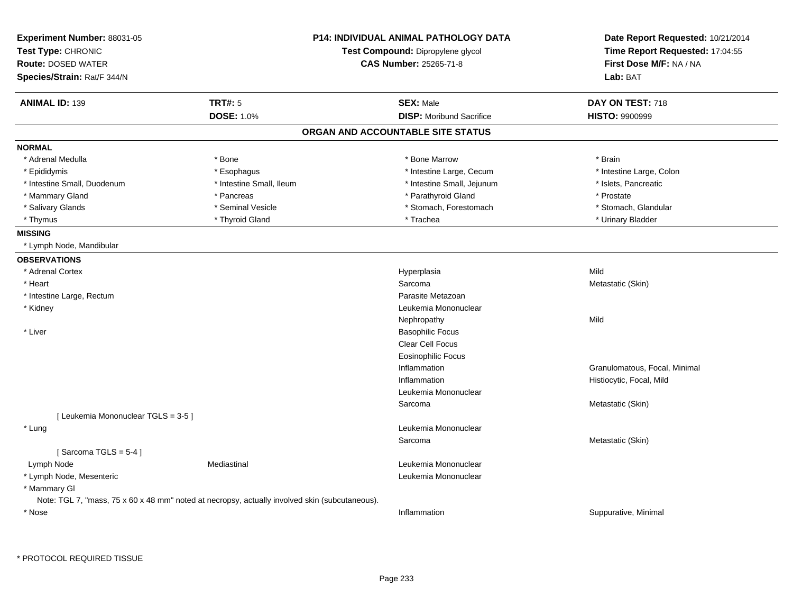| Experiment Number: 88031-05<br>Test Type: CHRONIC<br><b>Route: DOSED WATER</b><br>Species/Strain: Rat/F 344/N |                          | <b>P14: INDIVIDUAL ANIMAL PATHOLOGY DATA</b><br>Test Compound: Dipropylene glycol<br><b>CAS Number: 25265-71-8</b> | Date Report Requested: 10/21/2014<br>Time Report Requested: 17:04:55<br>First Dose M/F: NA / NA<br>Lab: BAT |
|---------------------------------------------------------------------------------------------------------------|--------------------------|--------------------------------------------------------------------------------------------------------------------|-------------------------------------------------------------------------------------------------------------|
| <b>ANIMAL ID: 139</b>                                                                                         | TRT#: 5                  | <b>SEX: Male</b>                                                                                                   | DAY ON TEST: 718                                                                                            |
|                                                                                                               | <b>DOSE: 1.0%</b>        | <b>DISP:</b> Moribund Sacrifice                                                                                    | <b>HISTO: 9900999</b>                                                                                       |
|                                                                                                               |                          | ORGAN AND ACCOUNTABLE SITE STATUS                                                                                  |                                                                                                             |
| <b>NORMAL</b>                                                                                                 |                          |                                                                                                                    |                                                                                                             |
| * Adrenal Medulla                                                                                             | * Bone                   | * Bone Marrow                                                                                                      | * Brain                                                                                                     |
| * Epididymis                                                                                                  | * Esophagus              | * Intestine Large, Cecum                                                                                           | * Intestine Large, Colon                                                                                    |
| * Intestine Small, Duodenum                                                                                   | * Intestine Small, Ileum | * Intestine Small, Jejunum                                                                                         | * Islets, Pancreatic                                                                                        |
| * Mammary Gland                                                                                               | * Pancreas               | * Parathyroid Gland                                                                                                | * Prostate                                                                                                  |
| * Salivary Glands                                                                                             | * Seminal Vesicle        | * Stomach, Forestomach                                                                                             | * Stomach, Glandular                                                                                        |
| * Thymus                                                                                                      | * Thyroid Gland          | * Trachea                                                                                                          | * Urinary Bladder                                                                                           |
| <b>MISSING</b>                                                                                                |                          |                                                                                                                    |                                                                                                             |
| * Lymph Node, Mandibular                                                                                      |                          |                                                                                                                    |                                                                                                             |
| <b>OBSERVATIONS</b>                                                                                           |                          |                                                                                                                    |                                                                                                             |
| * Adrenal Cortex                                                                                              |                          | Hyperplasia                                                                                                        | Mild                                                                                                        |
| * Heart                                                                                                       |                          | Sarcoma                                                                                                            | Metastatic (Skin)                                                                                           |
| * Intestine Large, Rectum                                                                                     |                          | Parasite Metazoan                                                                                                  |                                                                                                             |
| * Kidney                                                                                                      |                          | Leukemia Mononuclear                                                                                               |                                                                                                             |
|                                                                                                               |                          | Nephropathy                                                                                                        | Mild                                                                                                        |
| * Liver                                                                                                       |                          | <b>Basophilic Focus</b>                                                                                            |                                                                                                             |
|                                                                                                               |                          | Clear Cell Focus                                                                                                   |                                                                                                             |
|                                                                                                               |                          | <b>Eosinophilic Focus</b>                                                                                          |                                                                                                             |
|                                                                                                               |                          | Inflammation                                                                                                       | Granulomatous, Focal, Minimal                                                                               |
|                                                                                                               |                          | Inflammation                                                                                                       | Histiocytic, Focal, Mild                                                                                    |
|                                                                                                               |                          | Leukemia Mononuclear                                                                                               |                                                                                                             |
|                                                                                                               |                          | Sarcoma                                                                                                            | Metastatic (Skin)                                                                                           |
| [ Leukemia Mononuclear TGLS = 3-5 ]                                                                           |                          |                                                                                                                    |                                                                                                             |
| * Lung                                                                                                        |                          | Leukemia Mononuclear                                                                                               |                                                                                                             |
|                                                                                                               |                          | Sarcoma                                                                                                            | Metastatic (Skin)                                                                                           |
| [Sarcoma TGLS = $5-4$ ]                                                                                       |                          |                                                                                                                    |                                                                                                             |
| Lymph Node                                                                                                    | Mediastinal              | Leukemia Mononuclear                                                                                               |                                                                                                             |
| * Lymph Node, Mesenteric                                                                                      |                          | Leukemia Mononuclear                                                                                               |                                                                                                             |
| * Mammary GI                                                                                                  |                          |                                                                                                                    |                                                                                                             |
| Note: TGL 7, "mass, 75 x 60 x 48 mm" noted at necropsy, actually involved skin (subcutaneous).                |                          |                                                                                                                    |                                                                                                             |
| * Nose                                                                                                        |                          | Inflammation                                                                                                       | Suppurative, Minimal                                                                                        |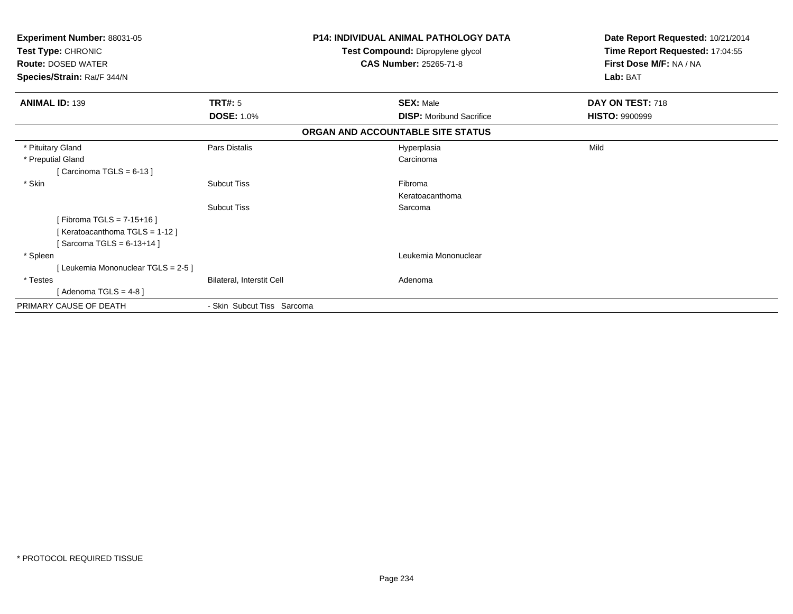| Experiment Number: 88031-05<br>Test Type: CHRONIC<br><b>Route: DOSED WATER</b> |                            | <b>P14: INDIVIDUAL ANIMAL PATHOLOGY DATA</b><br>Test Compound: Dipropylene glycol<br><b>CAS Number: 25265-71-8</b> | Date Report Requested: 10/21/2014<br>Time Report Requested: 17:04:55<br>First Dose M/F: NA / NA<br>Lab: BAT |
|--------------------------------------------------------------------------------|----------------------------|--------------------------------------------------------------------------------------------------------------------|-------------------------------------------------------------------------------------------------------------|
| Species/Strain: Rat/F 344/N                                                    |                            |                                                                                                                    |                                                                                                             |
| <b>ANIMAL ID: 139</b>                                                          | <b>TRT#: 5</b>             | <b>SEX: Male</b>                                                                                                   | DAY ON TEST: 718                                                                                            |
|                                                                                | <b>DOSE: 1.0%</b>          | <b>DISP:</b> Moribund Sacrifice                                                                                    | <b>HISTO: 9900999</b>                                                                                       |
|                                                                                |                            | ORGAN AND ACCOUNTABLE SITE STATUS                                                                                  |                                                                                                             |
| * Pituitary Gland                                                              | Pars Distalis              | Hyperplasia                                                                                                        | Mild                                                                                                        |
| * Preputial Gland                                                              |                            | Carcinoma                                                                                                          |                                                                                                             |
| [Carcinoma TGLS = $6-13$ ]                                                     |                            |                                                                                                                    |                                                                                                             |
| * Skin                                                                         | <b>Subcut Tiss</b>         | Fibroma                                                                                                            |                                                                                                             |
|                                                                                |                            | Keratoacanthoma                                                                                                    |                                                                                                             |
|                                                                                | <b>Subcut Tiss</b>         | Sarcoma                                                                                                            |                                                                                                             |
| [Fibroma TGLS = $7-15+16$ ]                                                    |                            |                                                                                                                    |                                                                                                             |
| [Keratoacanthoma TGLS = 1-12]                                                  |                            |                                                                                                                    |                                                                                                             |
| [Sarcoma TGLS = $6-13+14$ ]                                                    |                            |                                                                                                                    |                                                                                                             |
| * Spleen                                                                       |                            | Leukemia Mononuclear                                                                                               |                                                                                                             |
| [Leukemia Mononuclear TGLS = 2-5]                                              |                            |                                                                                                                    |                                                                                                             |
| * Testes                                                                       | Bilateral, Interstit Cell  | Adenoma                                                                                                            |                                                                                                             |
| [Adenoma TGLS = $4-8$ ]                                                        |                            |                                                                                                                    |                                                                                                             |
| PRIMARY CAUSE OF DEATH                                                         | - Skin Subcut Tiss Sarcoma |                                                                                                                    |                                                                                                             |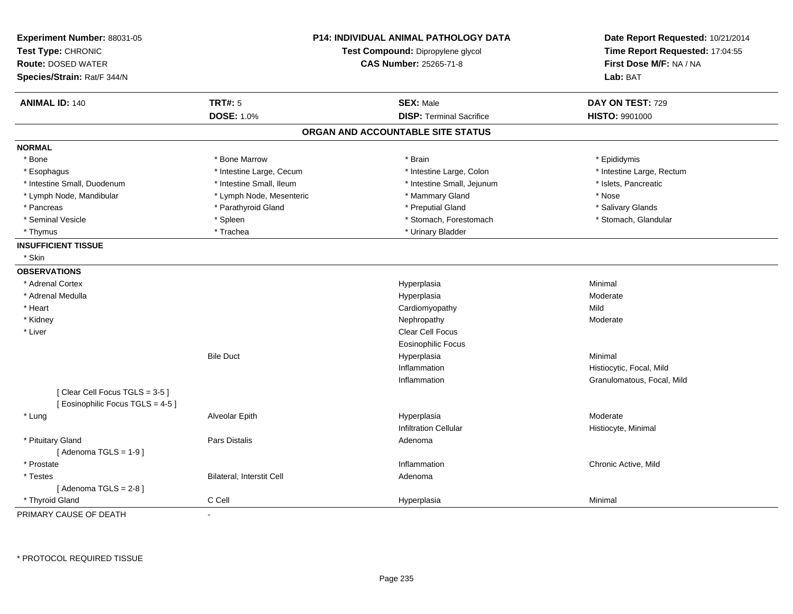| <b>ANIMAL ID: 140</b><br><b>TRT#: 5</b><br><b>SEX: Male</b><br>DAY ON TEST: 729<br><b>DOSE: 1.0%</b><br><b>DISP: Terminal Sacrifice</b><br><b>HISTO: 9901000</b><br>ORGAN AND ACCOUNTABLE SITE STATUS<br><b>NORMAL</b><br>* Bone Marrow<br>* Bone<br>* Brain<br>* Epididymis<br>* Intestine Large, Cecum<br>* Intestine Large, Colon<br>* Intestine Large, Rectum<br>* Esophagus<br>* Intestine Small, Duodenum<br>* Intestine Small, Ileum<br>* Intestine Small, Jejunum<br>* Islets, Pancreatic<br>* Lymph Node, Mesenteric<br>* Mammary Gland<br>* Nose<br>* Lymph Node, Mandibular<br>* Parathyroid Gland<br>* Preputial Gland<br>* Pancreas<br>* Salivary Glands<br>* Seminal Vesicle<br>* Stomach, Forestomach<br>* Stomach, Glandular<br>* Spleen<br>* Trachea<br>* Urinary Bladder<br>* Thymus<br><b>INSUFFICIENT TISSUE</b><br>* Skin<br><b>OBSERVATIONS</b><br>* Adrenal Cortex<br>Hyperplasia<br>Minimal<br>* Adrenal Medulla<br>Hyperplasia<br>Moderate<br>* Heart<br>Cardiomyopathy<br>Mild<br>* Kidney<br>Nephropathy<br>Moderate<br>Clear Cell Focus<br>* Liver<br><b>Eosinophilic Focus</b><br><b>Bile Duct</b><br>Hyperplasia<br>Minimal<br>Inflammation<br>Histiocytic, Focal, Mild<br>Inflammation<br>Granulomatous, Focal, Mild<br>[Clear Cell Focus TGLS = 3-5]<br>[ Eosinophilic Focus TGLS = 4-5 ]<br>Moderate<br>* Lung<br>Alveolar Epith<br>Hyperplasia<br><b>Infiltration Cellular</b><br>Histiocyte, Minimal<br>* Pituitary Gland<br>Pars Distalis<br>Adenoma<br>[Adenoma TGLS = $1-9$ ]<br>* Prostate<br>Chronic Active, Mild<br>Inflammation<br>Bilateral, Interstit Cell<br>* Testes<br>Adenoma<br>[Adenoma TGLS = $2-8$ ]<br>* Thyroid Gland<br>C Cell<br>Hyperplasia<br>Minimal | Experiment Number: 88031-05<br>Test Type: CHRONIC<br><b>Route: DOSED WATER</b><br>Species/Strain: Rat/F 344/N |    | <b>P14: INDIVIDUAL ANIMAL PATHOLOGY DATA</b><br>Test Compound: Dipropylene glycol<br><b>CAS Number: 25265-71-8</b> | Date Report Requested: 10/21/2014<br>Time Report Requested: 17:04:55<br>First Dose M/F: NA / NA<br>Lab: BAT |
|-----------------------------------------------------------------------------------------------------------------------------------------------------------------------------------------------------------------------------------------------------------------------------------------------------------------------------------------------------------------------------------------------------------------------------------------------------------------------------------------------------------------------------------------------------------------------------------------------------------------------------------------------------------------------------------------------------------------------------------------------------------------------------------------------------------------------------------------------------------------------------------------------------------------------------------------------------------------------------------------------------------------------------------------------------------------------------------------------------------------------------------------------------------------------------------------------------------------------------------------------------------------------------------------------------------------------------------------------------------------------------------------------------------------------------------------------------------------------------------------------------------------------------------------------------------------------------------------------------------------------------------------------------------------------------------------------------------------|---------------------------------------------------------------------------------------------------------------|----|--------------------------------------------------------------------------------------------------------------------|-------------------------------------------------------------------------------------------------------------|
|                                                                                                                                                                                                                                                                                                                                                                                                                                                                                                                                                                                                                                                                                                                                                                                                                                                                                                                                                                                                                                                                                                                                                                                                                                                                                                                                                                                                                                                                                                                                                                                                                                                                                                                 |                                                                                                               |    |                                                                                                                    |                                                                                                             |
|                                                                                                                                                                                                                                                                                                                                                                                                                                                                                                                                                                                                                                                                                                                                                                                                                                                                                                                                                                                                                                                                                                                                                                                                                                                                                                                                                                                                                                                                                                                                                                                                                                                                                                                 |                                                                                                               |    |                                                                                                                    |                                                                                                             |
|                                                                                                                                                                                                                                                                                                                                                                                                                                                                                                                                                                                                                                                                                                                                                                                                                                                                                                                                                                                                                                                                                                                                                                                                                                                                                                                                                                                                                                                                                                                                                                                                                                                                                                                 |                                                                                                               |    |                                                                                                                    |                                                                                                             |
|                                                                                                                                                                                                                                                                                                                                                                                                                                                                                                                                                                                                                                                                                                                                                                                                                                                                                                                                                                                                                                                                                                                                                                                                                                                                                                                                                                                                                                                                                                                                                                                                                                                                                                                 |                                                                                                               |    |                                                                                                                    |                                                                                                             |
|                                                                                                                                                                                                                                                                                                                                                                                                                                                                                                                                                                                                                                                                                                                                                                                                                                                                                                                                                                                                                                                                                                                                                                                                                                                                                                                                                                                                                                                                                                                                                                                                                                                                                                                 |                                                                                                               |    |                                                                                                                    |                                                                                                             |
|                                                                                                                                                                                                                                                                                                                                                                                                                                                                                                                                                                                                                                                                                                                                                                                                                                                                                                                                                                                                                                                                                                                                                                                                                                                                                                                                                                                                                                                                                                                                                                                                                                                                                                                 |                                                                                                               |    |                                                                                                                    |                                                                                                             |
|                                                                                                                                                                                                                                                                                                                                                                                                                                                                                                                                                                                                                                                                                                                                                                                                                                                                                                                                                                                                                                                                                                                                                                                                                                                                                                                                                                                                                                                                                                                                                                                                                                                                                                                 |                                                                                                               |    |                                                                                                                    |                                                                                                             |
|                                                                                                                                                                                                                                                                                                                                                                                                                                                                                                                                                                                                                                                                                                                                                                                                                                                                                                                                                                                                                                                                                                                                                                                                                                                                                                                                                                                                                                                                                                                                                                                                                                                                                                                 |                                                                                                               |    |                                                                                                                    |                                                                                                             |
|                                                                                                                                                                                                                                                                                                                                                                                                                                                                                                                                                                                                                                                                                                                                                                                                                                                                                                                                                                                                                                                                                                                                                                                                                                                                                                                                                                                                                                                                                                                                                                                                                                                                                                                 |                                                                                                               |    |                                                                                                                    |                                                                                                             |
|                                                                                                                                                                                                                                                                                                                                                                                                                                                                                                                                                                                                                                                                                                                                                                                                                                                                                                                                                                                                                                                                                                                                                                                                                                                                                                                                                                                                                                                                                                                                                                                                                                                                                                                 |                                                                                                               |    |                                                                                                                    |                                                                                                             |
|                                                                                                                                                                                                                                                                                                                                                                                                                                                                                                                                                                                                                                                                                                                                                                                                                                                                                                                                                                                                                                                                                                                                                                                                                                                                                                                                                                                                                                                                                                                                                                                                                                                                                                                 |                                                                                                               |    |                                                                                                                    |                                                                                                             |
|                                                                                                                                                                                                                                                                                                                                                                                                                                                                                                                                                                                                                                                                                                                                                                                                                                                                                                                                                                                                                                                                                                                                                                                                                                                                                                                                                                                                                                                                                                                                                                                                                                                                                                                 |                                                                                                               |    |                                                                                                                    |                                                                                                             |
|                                                                                                                                                                                                                                                                                                                                                                                                                                                                                                                                                                                                                                                                                                                                                                                                                                                                                                                                                                                                                                                                                                                                                                                                                                                                                                                                                                                                                                                                                                                                                                                                                                                                                                                 |                                                                                                               |    |                                                                                                                    |                                                                                                             |
|                                                                                                                                                                                                                                                                                                                                                                                                                                                                                                                                                                                                                                                                                                                                                                                                                                                                                                                                                                                                                                                                                                                                                                                                                                                                                                                                                                                                                                                                                                                                                                                                                                                                                                                 |                                                                                                               |    |                                                                                                                    |                                                                                                             |
|                                                                                                                                                                                                                                                                                                                                                                                                                                                                                                                                                                                                                                                                                                                                                                                                                                                                                                                                                                                                                                                                                                                                                                                                                                                                                                                                                                                                                                                                                                                                                                                                                                                                                                                 |                                                                                                               |    |                                                                                                                    |                                                                                                             |
|                                                                                                                                                                                                                                                                                                                                                                                                                                                                                                                                                                                                                                                                                                                                                                                                                                                                                                                                                                                                                                                                                                                                                                                                                                                                                                                                                                                                                                                                                                                                                                                                                                                                                                                 |                                                                                                               |    |                                                                                                                    |                                                                                                             |
|                                                                                                                                                                                                                                                                                                                                                                                                                                                                                                                                                                                                                                                                                                                                                                                                                                                                                                                                                                                                                                                                                                                                                                                                                                                                                                                                                                                                                                                                                                                                                                                                                                                                                                                 |                                                                                                               |    |                                                                                                                    |                                                                                                             |
|                                                                                                                                                                                                                                                                                                                                                                                                                                                                                                                                                                                                                                                                                                                                                                                                                                                                                                                                                                                                                                                                                                                                                                                                                                                                                                                                                                                                                                                                                                                                                                                                                                                                                                                 |                                                                                                               |    |                                                                                                                    |                                                                                                             |
|                                                                                                                                                                                                                                                                                                                                                                                                                                                                                                                                                                                                                                                                                                                                                                                                                                                                                                                                                                                                                                                                                                                                                                                                                                                                                                                                                                                                                                                                                                                                                                                                                                                                                                                 |                                                                                                               |    |                                                                                                                    |                                                                                                             |
|                                                                                                                                                                                                                                                                                                                                                                                                                                                                                                                                                                                                                                                                                                                                                                                                                                                                                                                                                                                                                                                                                                                                                                                                                                                                                                                                                                                                                                                                                                                                                                                                                                                                                                                 |                                                                                                               |    |                                                                                                                    |                                                                                                             |
|                                                                                                                                                                                                                                                                                                                                                                                                                                                                                                                                                                                                                                                                                                                                                                                                                                                                                                                                                                                                                                                                                                                                                                                                                                                                                                                                                                                                                                                                                                                                                                                                                                                                                                                 |                                                                                                               |    |                                                                                                                    |                                                                                                             |
|                                                                                                                                                                                                                                                                                                                                                                                                                                                                                                                                                                                                                                                                                                                                                                                                                                                                                                                                                                                                                                                                                                                                                                                                                                                                                                                                                                                                                                                                                                                                                                                                                                                                                                                 |                                                                                                               |    |                                                                                                                    |                                                                                                             |
|                                                                                                                                                                                                                                                                                                                                                                                                                                                                                                                                                                                                                                                                                                                                                                                                                                                                                                                                                                                                                                                                                                                                                                                                                                                                                                                                                                                                                                                                                                                                                                                                                                                                                                                 |                                                                                                               |    |                                                                                                                    |                                                                                                             |
|                                                                                                                                                                                                                                                                                                                                                                                                                                                                                                                                                                                                                                                                                                                                                                                                                                                                                                                                                                                                                                                                                                                                                                                                                                                                                                                                                                                                                                                                                                                                                                                                                                                                                                                 |                                                                                                               |    |                                                                                                                    |                                                                                                             |
|                                                                                                                                                                                                                                                                                                                                                                                                                                                                                                                                                                                                                                                                                                                                                                                                                                                                                                                                                                                                                                                                                                                                                                                                                                                                                                                                                                                                                                                                                                                                                                                                                                                                                                                 |                                                                                                               |    |                                                                                                                    |                                                                                                             |
|                                                                                                                                                                                                                                                                                                                                                                                                                                                                                                                                                                                                                                                                                                                                                                                                                                                                                                                                                                                                                                                                                                                                                                                                                                                                                                                                                                                                                                                                                                                                                                                                                                                                                                                 |                                                                                                               |    |                                                                                                                    |                                                                                                             |
|                                                                                                                                                                                                                                                                                                                                                                                                                                                                                                                                                                                                                                                                                                                                                                                                                                                                                                                                                                                                                                                                                                                                                                                                                                                                                                                                                                                                                                                                                                                                                                                                                                                                                                                 |                                                                                                               |    |                                                                                                                    |                                                                                                             |
|                                                                                                                                                                                                                                                                                                                                                                                                                                                                                                                                                                                                                                                                                                                                                                                                                                                                                                                                                                                                                                                                                                                                                                                                                                                                                                                                                                                                                                                                                                                                                                                                                                                                                                                 |                                                                                                               |    |                                                                                                                    |                                                                                                             |
|                                                                                                                                                                                                                                                                                                                                                                                                                                                                                                                                                                                                                                                                                                                                                                                                                                                                                                                                                                                                                                                                                                                                                                                                                                                                                                                                                                                                                                                                                                                                                                                                                                                                                                                 |                                                                                                               |    |                                                                                                                    |                                                                                                             |
|                                                                                                                                                                                                                                                                                                                                                                                                                                                                                                                                                                                                                                                                                                                                                                                                                                                                                                                                                                                                                                                                                                                                                                                                                                                                                                                                                                                                                                                                                                                                                                                                                                                                                                                 |                                                                                                               |    |                                                                                                                    |                                                                                                             |
|                                                                                                                                                                                                                                                                                                                                                                                                                                                                                                                                                                                                                                                                                                                                                                                                                                                                                                                                                                                                                                                                                                                                                                                                                                                                                                                                                                                                                                                                                                                                                                                                                                                                                                                 |                                                                                                               |    |                                                                                                                    |                                                                                                             |
|                                                                                                                                                                                                                                                                                                                                                                                                                                                                                                                                                                                                                                                                                                                                                                                                                                                                                                                                                                                                                                                                                                                                                                                                                                                                                                                                                                                                                                                                                                                                                                                                                                                                                                                 |                                                                                                               |    |                                                                                                                    |                                                                                                             |
|                                                                                                                                                                                                                                                                                                                                                                                                                                                                                                                                                                                                                                                                                                                                                                                                                                                                                                                                                                                                                                                                                                                                                                                                                                                                                                                                                                                                                                                                                                                                                                                                                                                                                                                 |                                                                                                               |    |                                                                                                                    |                                                                                                             |
|                                                                                                                                                                                                                                                                                                                                                                                                                                                                                                                                                                                                                                                                                                                                                                                                                                                                                                                                                                                                                                                                                                                                                                                                                                                                                                                                                                                                                                                                                                                                                                                                                                                                                                                 | PRIMARY CAUSE OF DEATH                                                                                        | ÷, |                                                                                                                    |                                                                                                             |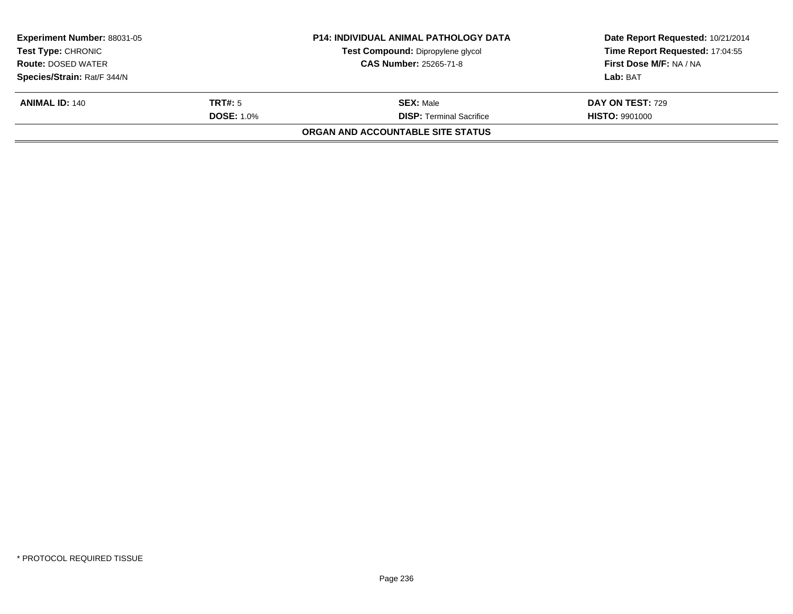| <b>Experiment Number: 88031-05</b><br><b>Test Type: CHRONIC</b> |                               | <b>P14: INDIVIDUAL ANIMAL PATHOLOGY DATA</b> | Date Report Requested: 10/21/2014 |  |
|-----------------------------------------------------------------|-------------------------------|----------------------------------------------|-----------------------------------|--|
|                                                                 |                               | Test Compound: Dipropylene glycol            | Time Report Requested: 17:04:55   |  |
| <b>Route: DOSED WATER</b>                                       | <b>CAS Number: 25265-71-8</b> |                                              | First Dose M/F: NA / NA           |  |
| Species/Strain: Rat/F 344/N                                     |                               |                                              | Lab: BAT                          |  |
| <b>ANIMAL ID: 140</b>                                           | <b>TRT#:</b> 5                | <b>SEX: Male</b>                             | <b>DAY ON TEST: 729</b>           |  |
|                                                                 | <b>DOSE: 1.0%</b>             | <b>DISP:</b> Terminal Sacrifice              | <b>HISTO: 9901000</b>             |  |
|                                                                 |                               | ORGAN AND ACCOUNTABLE SITE STATUS            |                                   |  |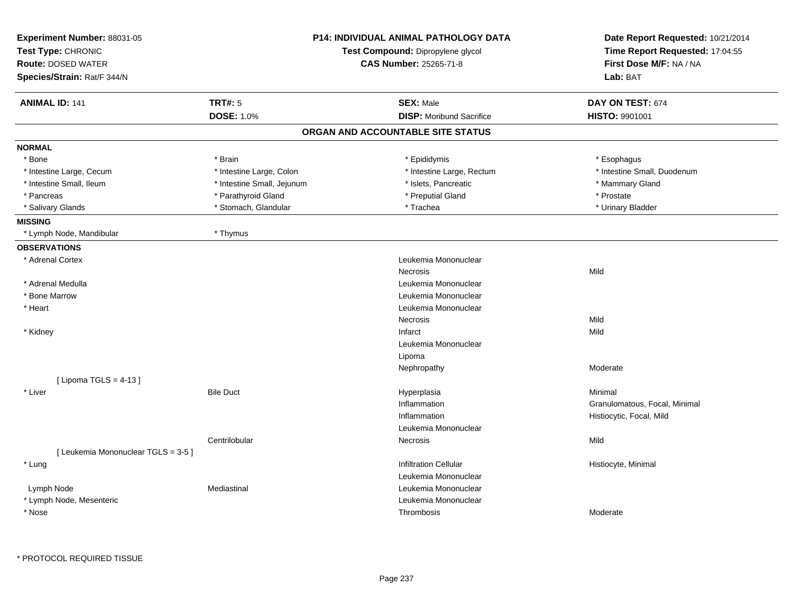| Experiment Number: 88031-05<br>Test Type: CHRONIC<br><b>Route: DOSED WATER</b><br>Species/Strain: Rat/F 344/N |                            | <b>P14: INDIVIDUAL ANIMAL PATHOLOGY DATA</b><br>Test Compound: Dipropylene glycol<br>CAS Number: 25265-71-8 | Date Report Requested: 10/21/2014<br>Time Report Requested: 17:04:55<br>First Dose M/F: NA / NA<br>Lab: BAT |
|---------------------------------------------------------------------------------------------------------------|----------------------------|-------------------------------------------------------------------------------------------------------------|-------------------------------------------------------------------------------------------------------------|
| <b>ANIMAL ID: 141</b>                                                                                         | <b>TRT#: 5</b>             | <b>SEX: Male</b>                                                                                            | DAY ON TEST: 674                                                                                            |
|                                                                                                               | <b>DOSE: 1.0%</b>          | <b>DISP:</b> Moribund Sacrifice                                                                             | <b>HISTO: 9901001</b>                                                                                       |
|                                                                                                               |                            | ORGAN AND ACCOUNTABLE SITE STATUS                                                                           |                                                                                                             |
| <b>NORMAL</b>                                                                                                 |                            |                                                                                                             |                                                                                                             |
| * Bone                                                                                                        | * Brain                    | * Epididymis                                                                                                | * Esophagus                                                                                                 |
| * Intestine Large, Cecum                                                                                      | * Intestine Large, Colon   | * Intestine Large, Rectum                                                                                   | * Intestine Small, Duodenum                                                                                 |
| * Intestine Small, Ileum                                                                                      | * Intestine Small, Jejunum | * Islets, Pancreatic                                                                                        | * Mammary Gland                                                                                             |
| * Pancreas                                                                                                    | * Parathyroid Gland        | * Preputial Gland                                                                                           | * Prostate                                                                                                  |
| * Salivary Glands                                                                                             | * Stomach, Glandular       | * Trachea                                                                                                   | * Urinary Bladder                                                                                           |
| <b>MISSING</b>                                                                                                |                            |                                                                                                             |                                                                                                             |
| * Lymph Node, Mandibular                                                                                      | * Thymus                   |                                                                                                             |                                                                                                             |
| <b>OBSERVATIONS</b>                                                                                           |                            |                                                                                                             |                                                                                                             |
| * Adrenal Cortex                                                                                              |                            | Leukemia Mononuclear                                                                                        |                                                                                                             |
|                                                                                                               |                            | <b>Necrosis</b>                                                                                             | Mild                                                                                                        |
| * Adrenal Medulla                                                                                             |                            | Leukemia Mononuclear                                                                                        |                                                                                                             |
| * Bone Marrow                                                                                                 |                            | Leukemia Mononuclear                                                                                        |                                                                                                             |
| * Heart                                                                                                       |                            | Leukemia Mononuclear                                                                                        |                                                                                                             |
|                                                                                                               |                            | Necrosis                                                                                                    | Mild                                                                                                        |
| * Kidney                                                                                                      |                            | Infarct                                                                                                     | Mild                                                                                                        |
|                                                                                                               |                            | Leukemia Mononuclear                                                                                        |                                                                                                             |
|                                                                                                               |                            | Lipoma                                                                                                      |                                                                                                             |
|                                                                                                               |                            | Nephropathy                                                                                                 | Moderate                                                                                                    |
| [ Lipoma TGLS = $4-13$ ]                                                                                      |                            |                                                                                                             |                                                                                                             |
| * Liver                                                                                                       | <b>Bile Duct</b>           | Hyperplasia                                                                                                 | Minimal                                                                                                     |
|                                                                                                               |                            | Inflammation                                                                                                | Granulomatous, Focal, Minimal                                                                               |
|                                                                                                               |                            | Inflammation                                                                                                | Histiocytic, Focal, Mild                                                                                    |
|                                                                                                               |                            | Leukemia Mononuclear                                                                                        |                                                                                                             |
|                                                                                                               | Centrilobular              | Necrosis                                                                                                    | Mild                                                                                                        |
| [ Leukemia Mononuclear TGLS = 3-5 ]                                                                           |                            |                                                                                                             |                                                                                                             |
| * Lung                                                                                                        |                            | <b>Infiltration Cellular</b>                                                                                | Histiocyte, Minimal                                                                                         |
|                                                                                                               |                            | Leukemia Mononuclear                                                                                        |                                                                                                             |
| Lymph Node                                                                                                    | Mediastinal                | Leukemia Mononuclear                                                                                        |                                                                                                             |
| * Lymph Node, Mesenteric                                                                                      |                            | Leukemia Mononuclear                                                                                        |                                                                                                             |
| * Nose                                                                                                        |                            | Thrombosis                                                                                                  | Moderate                                                                                                    |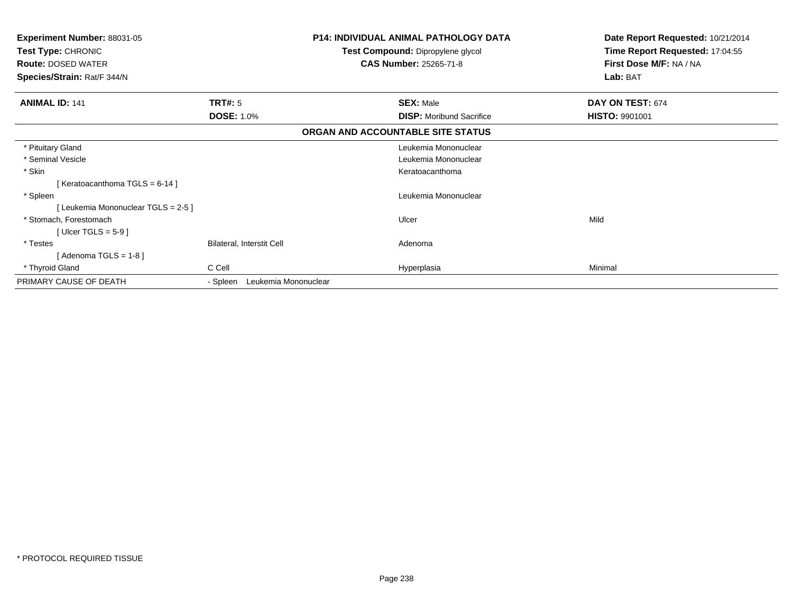| <b>Experiment Number: 88031-05</b><br><b>Test Type: CHRONIC</b><br><b>Route: DOSED WATER</b><br>Species/Strain: Rat/F 344/N |                                  | <b>P14: INDIVIDUAL ANIMAL PATHOLOGY DATA</b><br>Test Compound: Dipropylene glycol<br><b>CAS Number: 25265-71-8</b> | Date Report Requested: 10/21/2014<br>Time Report Requested: 17:04:55<br>First Dose M/F: NA / NA<br>Lab: BAT |
|-----------------------------------------------------------------------------------------------------------------------------|----------------------------------|--------------------------------------------------------------------------------------------------------------------|-------------------------------------------------------------------------------------------------------------|
|                                                                                                                             |                                  |                                                                                                                    |                                                                                                             |
| <b>ANIMAL ID: 141</b>                                                                                                       | TRT#: 5                          | <b>SEX: Male</b>                                                                                                   | DAY ON TEST: 674                                                                                            |
|                                                                                                                             | <b>DOSE: 1.0%</b>                | <b>DISP:</b> Moribund Sacrifice                                                                                    | <b>HISTO: 9901001</b>                                                                                       |
|                                                                                                                             |                                  | ORGAN AND ACCOUNTABLE SITE STATUS                                                                                  |                                                                                                             |
| * Pituitary Gland                                                                                                           |                                  | Leukemia Mononuclear                                                                                               |                                                                                                             |
| * Seminal Vesicle                                                                                                           |                                  | Leukemia Mononuclear                                                                                               |                                                                                                             |
| * Skin                                                                                                                      |                                  | Keratoacanthoma                                                                                                    |                                                                                                             |
| [Keratoacanthoma TGLS = 6-14]                                                                                               |                                  |                                                                                                                    |                                                                                                             |
| * Spleen                                                                                                                    |                                  | Leukemia Mononuclear                                                                                               |                                                                                                             |
| [Leukemia Mononuclear TGLS = 2-5]                                                                                           |                                  |                                                                                                                    |                                                                                                             |
| * Stomach, Forestomach                                                                                                      |                                  | Ulcer                                                                                                              | Mild                                                                                                        |
| [ Ulcer TGLS = $5-9$ ]                                                                                                      |                                  |                                                                                                                    |                                                                                                             |
| * Testes                                                                                                                    | <b>Bilateral, Interstit Cell</b> | Adenoma                                                                                                            |                                                                                                             |
| [Adenoma TGLS = $1-8$ ]                                                                                                     |                                  |                                                                                                                    |                                                                                                             |
| * Thyroid Gland                                                                                                             | C Cell                           | Hyperplasia                                                                                                        | Minimal                                                                                                     |
| PRIMARY CAUSE OF DEATH                                                                                                      | Leukemia Mononuclear<br>- Spleen |                                                                                                                    |                                                                                                             |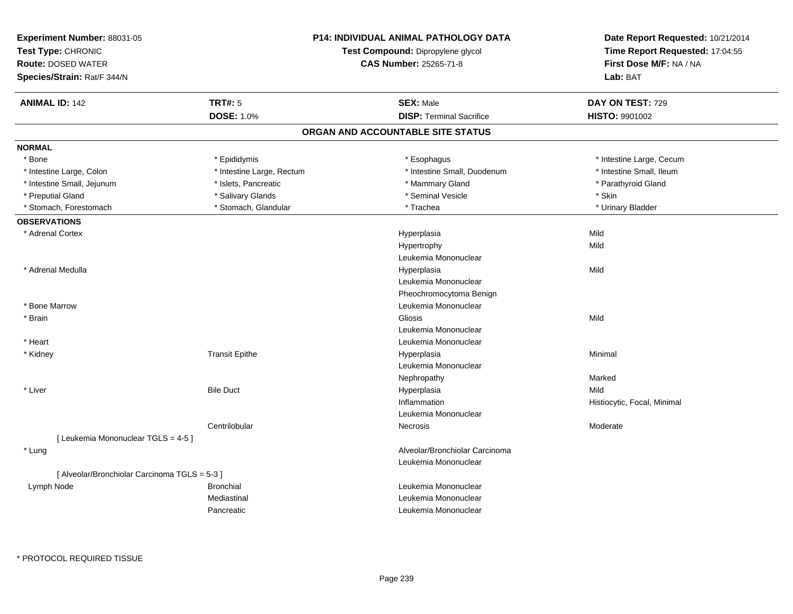| Experiment Number: 88031-05<br>Test Type: CHRONIC<br><b>Route: DOSED WATER</b><br>Species/Strain: Rat/F 344/N |                           | <b>P14: INDIVIDUAL ANIMAL PATHOLOGY DATA</b><br>Test Compound: Dipropylene glycol<br><b>CAS Number: 25265-71-8</b> | Date Report Requested: 10/21/2014<br>Time Report Requested: 17:04:55<br>First Dose M/F: NA / NA<br>Lab: BAT |
|---------------------------------------------------------------------------------------------------------------|---------------------------|--------------------------------------------------------------------------------------------------------------------|-------------------------------------------------------------------------------------------------------------|
| <b>ANIMAL ID: 142</b>                                                                                         | <b>TRT#: 5</b>            | <b>SEX: Male</b>                                                                                                   | DAY ON TEST: 729                                                                                            |
|                                                                                                               | <b>DOSE: 1.0%</b>         | <b>DISP: Terminal Sacrifice</b>                                                                                    | <b>HISTO: 9901002</b>                                                                                       |
|                                                                                                               |                           | ORGAN AND ACCOUNTABLE SITE STATUS                                                                                  |                                                                                                             |
| <b>NORMAL</b>                                                                                                 |                           |                                                                                                                    |                                                                                                             |
| * Bone                                                                                                        | * Epididymis              | * Esophagus                                                                                                        | * Intestine Large, Cecum                                                                                    |
| * Intestine Large, Colon                                                                                      | * Intestine Large, Rectum | * Intestine Small, Duodenum                                                                                        | * Intestine Small, Ileum                                                                                    |
| * Intestine Small, Jejunum                                                                                    | * Islets, Pancreatic      | * Mammary Gland                                                                                                    | * Parathyroid Gland                                                                                         |
| * Preputial Gland                                                                                             | * Salivary Glands         | * Seminal Vesicle                                                                                                  | * Skin                                                                                                      |
| * Stomach, Forestomach                                                                                        | * Stomach, Glandular      | * Trachea                                                                                                          | * Urinary Bladder                                                                                           |
| <b>OBSERVATIONS</b>                                                                                           |                           |                                                                                                                    |                                                                                                             |
| * Adrenal Cortex                                                                                              |                           | Hyperplasia                                                                                                        | Mild                                                                                                        |
|                                                                                                               |                           | Hypertrophy                                                                                                        | Mild                                                                                                        |
|                                                                                                               |                           | Leukemia Mononuclear                                                                                               |                                                                                                             |
| * Adrenal Medulla                                                                                             |                           | Hyperplasia                                                                                                        | Mild                                                                                                        |
|                                                                                                               |                           | Leukemia Mononuclear                                                                                               |                                                                                                             |
|                                                                                                               |                           | Pheochromocytoma Benign                                                                                            |                                                                                                             |
| * Bone Marrow                                                                                                 |                           | Leukemia Mononuclear                                                                                               |                                                                                                             |
| * Brain                                                                                                       |                           | Gliosis                                                                                                            | Mild                                                                                                        |
|                                                                                                               |                           | Leukemia Mononuclear                                                                                               |                                                                                                             |
| * Heart                                                                                                       |                           | Leukemia Mononuclear                                                                                               |                                                                                                             |
| * Kidney                                                                                                      | <b>Transit Epithe</b>     | Hyperplasia                                                                                                        | Minimal                                                                                                     |
|                                                                                                               |                           | Leukemia Mononuclear                                                                                               |                                                                                                             |
|                                                                                                               |                           | Nephropathy                                                                                                        | Marked                                                                                                      |
| $*$ Liver                                                                                                     | <b>Bile Duct</b>          | Hyperplasia                                                                                                        | Mild                                                                                                        |
|                                                                                                               |                           | Inflammation                                                                                                       | Histiocytic, Focal, Minimal                                                                                 |
|                                                                                                               |                           | Leukemia Mononuclear                                                                                               |                                                                                                             |
|                                                                                                               | Centrilobular             | Necrosis                                                                                                           | Moderate                                                                                                    |
| [ Leukemia Mononuclear TGLS = 4-5 ]                                                                           |                           |                                                                                                                    |                                                                                                             |
| * Lung                                                                                                        |                           | Alveolar/Bronchiolar Carcinoma                                                                                     |                                                                                                             |
|                                                                                                               |                           | Leukemia Mononuclear                                                                                               |                                                                                                             |
| [ Alveolar/Bronchiolar Carcinoma TGLS = 5-3 ]                                                                 |                           |                                                                                                                    |                                                                                                             |
| Lymph Node                                                                                                    | <b>Bronchial</b>          | Leukemia Mononuclear                                                                                               |                                                                                                             |
|                                                                                                               | Mediastinal               | Leukemia Mononuclear                                                                                               |                                                                                                             |
|                                                                                                               | Pancreatic                | Leukemia Mononuclear                                                                                               |                                                                                                             |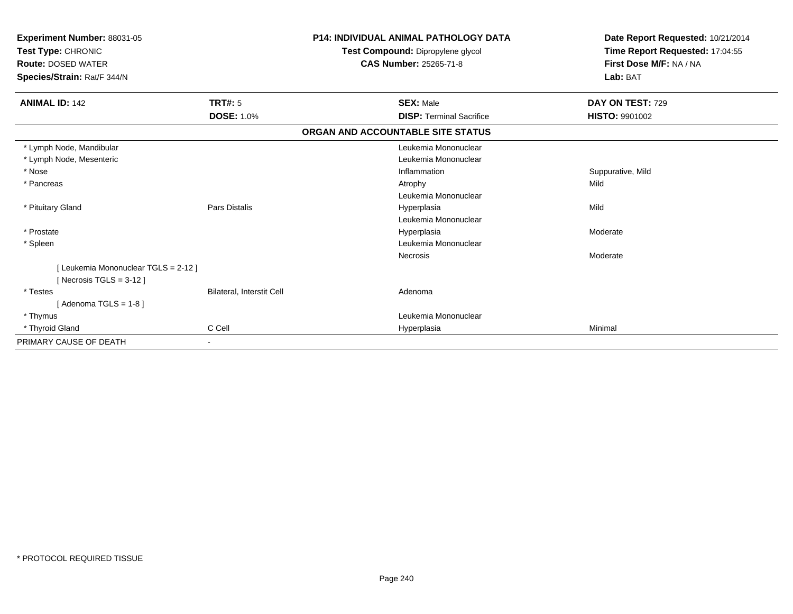| Experiment Number: 88031-05<br>Test Type: CHRONIC<br><b>Route: DOSED WATER</b><br>Species/Strain: Rat/F 344/N |                           | <b>P14: INDIVIDUAL ANIMAL PATHOLOGY DATA</b><br>Test Compound: Dipropylene glycol<br>CAS Number: 25265-71-8 | Date Report Requested: 10/21/2014<br>Time Report Requested: 17:04:55<br>First Dose M/F: NA / NA<br>Lab: BAT |
|---------------------------------------------------------------------------------------------------------------|---------------------------|-------------------------------------------------------------------------------------------------------------|-------------------------------------------------------------------------------------------------------------|
| <b>ANIMAL ID: 142</b>                                                                                         | <b>TRT#: 5</b>            | <b>SEX: Male</b>                                                                                            | DAY ON TEST: 729                                                                                            |
|                                                                                                               | <b>DOSE: 1.0%</b>         | <b>DISP: Terminal Sacrifice</b>                                                                             | <b>HISTO: 9901002</b>                                                                                       |
|                                                                                                               |                           | ORGAN AND ACCOUNTABLE SITE STATUS                                                                           |                                                                                                             |
| * Lymph Node, Mandibular                                                                                      |                           | Leukemia Mononuclear                                                                                        |                                                                                                             |
| * Lymph Node, Mesenteric                                                                                      |                           | Leukemia Mononuclear                                                                                        |                                                                                                             |
| * Nose                                                                                                        |                           | Inflammation                                                                                                | Suppurative, Mild                                                                                           |
| * Pancreas                                                                                                    |                           | Atrophy                                                                                                     | Mild                                                                                                        |
|                                                                                                               |                           | Leukemia Mononuclear                                                                                        |                                                                                                             |
| * Pituitary Gland                                                                                             | <b>Pars Distalis</b>      | Hyperplasia                                                                                                 | Mild                                                                                                        |
|                                                                                                               |                           | Leukemia Mononuclear                                                                                        |                                                                                                             |
| * Prostate                                                                                                    |                           | Hyperplasia                                                                                                 | Moderate                                                                                                    |
| * Spleen                                                                                                      |                           | Leukemia Mononuclear                                                                                        |                                                                                                             |
|                                                                                                               |                           | Necrosis                                                                                                    | Moderate                                                                                                    |
| [Leukemia Mononuclear TGLS = 2-12]                                                                            |                           |                                                                                                             |                                                                                                             |
| [Necrosis TGLS = $3-12$ ]                                                                                     |                           |                                                                                                             |                                                                                                             |
| * Testes                                                                                                      | Bilateral, Interstit Cell | Adenoma                                                                                                     |                                                                                                             |
| [Adenoma TGLS = $1-8$ ]                                                                                       |                           |                                                                                                             |                                                                                                             |
| * Thymus                                                                                                      |                           | Leukemia Mononuclear                                                                                        |                                                                                                             |
| * Thyroid Gland                                                                                               | C Cell                    | Hyperplasia                                                                                                 | Minimal                                                                                                     |
| PRIMARY CAUSE OF DEATH                                                                                        |                           |                                                                                                             |                                                                                                             |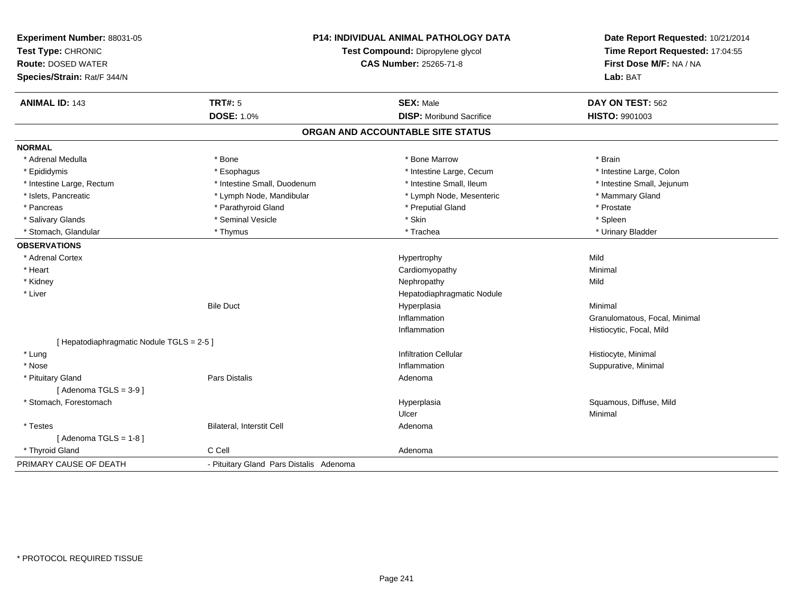| Experiment Number: 88031-05<br>Test Type: CHRONIC<br><b>Route: DOSED WATER</b><br>Species/Strain: Rat/F 344/N |                                         | P14: INDIVIDUAL ANIMAL PATHOLOGY DATA<br>Test Compound: Dipropylene glycol<br><b>CAS Number: 25265-71-8</b> | Date Report Requested: 10/21/2014<br>Time Report Requested: 17:04:55<br>First Dose M/F: NA / NA<br>Lab: BAT |  |
|---------------------------------------------------------------------------------------------------------------|-----------------------------------------|-------------------------------------------------------------------------------------------------------------|-------------------------------------------------------------------------------------------------------------|--|
| <b>ANIMAL ID: 143</b>                                                                                         | <b>TRT#: 5</b>                          | <b>SEX: Male</b>                                                                                            | DAY ON TEST: 562                                                                                            |  |
|                                                                                                               | <b>DOSE: 1.0%</b>                       | <b>DISP:</b> Moribund Sacrifice                                                                             | HISTO: 9901003                                                                                              |  |
|                                                                                                               |                                         | ORGAN AND ACCOUNTABLE SITE STATUS                                                                           |                                                                                                             |  |
| <b>NORMAL</b>                                                                                                 |                                         |                                                                                                             |                                                                                                             |  |
| * Adrenal Medulla                                                                                             | * Bone                                  | * Bone Marrow                                                                                               | * Brain                                                                                                     |  |
| * Epididymis                                                                                                  | * Esophagus                             | * Intestine Large, Cecum                                                                                    | * Intestine Large, Colon                                                                                    |  |
| * Intestine Large, Rectum                                                                                     | * Intestine Small, Duodenum             | * Intestine Small, Ileum                                                                                    | * Intestine Small, Jejunum                                                                                  |  |
| * Islets, Pancreatic                                                                                          | * Lymph Node, Mandibular                | * Lymph Node, Mesenteric                                                                                    | * Mammary Gland                                                                                             |  |
| * Pancreas                                                                                                    | * Parathyroid Gland                     | * Preputial Gland                                                                                           | * Prostate                                                                                                  |  |
| * Salivary Glands                                                                                             | * Seminal Vesicle                       | * Skin                                                                                                      | * Spleen                                                                                                    |  |
| * Stomach, Glandular                                                                                          | * Thymus                                | * Trachea                                                                                                   | * Urinary Bladder                                                                                           |  |
| <b>OBSERVATIONS</b>                                                                                           |                                         |                                                                                                             |                                                                                                             |  |
| * Adrenal Cortex                                                                                              |                                         | Hypertrophy                                                                                                 | Mild                                                                                                        |  |
| * Heart                                                                                                       |                                         | Cardiomyopathy                                                                                              | Minimal                                                                                                     |  |
| * Kidney                                                                                                      |                                         | Nephropathy                                                                                                 | Mild                                                                                                        |  |
| * Liver                                                                                                       |                                         | Hepatodiaphragmatic Nodule                                                                                  |                                                                                                             |  |
|                                                                                                               | <b>Bile Duct</b>                        | Hyperplasia                                                                                                 | Minimal                                                                                                     |  |
|                                                                                                               |                                         | Inflammation                                                                                                | Granulomatous, Focal, Minimal                                                                               |  |
|                                                                                                               |                                         | Inflammation                                                                                                | Histiocytic, Focal, Mild                                                                                    |  |
| [ Hepatodiaphragmatic Nodule TGLS = 2-5 ]                                                                     |                                         |                                                                                                             |                                                                                                             |  |
| * Lung                                                                                                        |                                         | <b>Infiltration Cellular</b>                                                                                | Histiocyte, Minimal                                                                                         |  |
| * Nose                                                                                                        |                                         | Inflammation                                                                                                | Suppurative, Minimal                                                                                        |  |
| * Pituitary Gland                                                                                             | Pars Distalis                           | Adenoma                                                                                                     |                                                                                                             |  |
| [Adenoma TGLS = $3-9$ ]                                                                                       |                                         |                                                                                                             |                                                                                                             |  |
| * Stomach, Forestomach                                                                                        |                                         | Hyperplasia                                                                                                 | Squamous, Diffuse, Mild                                                                                     |  |
|                                                                                                               |                                         | Ulcer                                                                                                       | Minimal                                                                                                     |  |
| * Testes                                                                                                      | Bilateral, Interstit Cell               | Adenoma                                                                                                     |                                                                                                             |  |
| [Adenoma TGLS = $1-8$ ]                                                                                       |                                         |                                                                                                             |                                                                                                             |  |
| * Thyroid Gland                                                                                               | C Cell                                  | Adenoma                                                                                                     |                                                                                                             |  |
| PRIMARY CAUSE OF DEATH                                                                                        | - Pituitary Gland Pars Distalis Adenoma |                                                                                                             |                                                                                                             |  |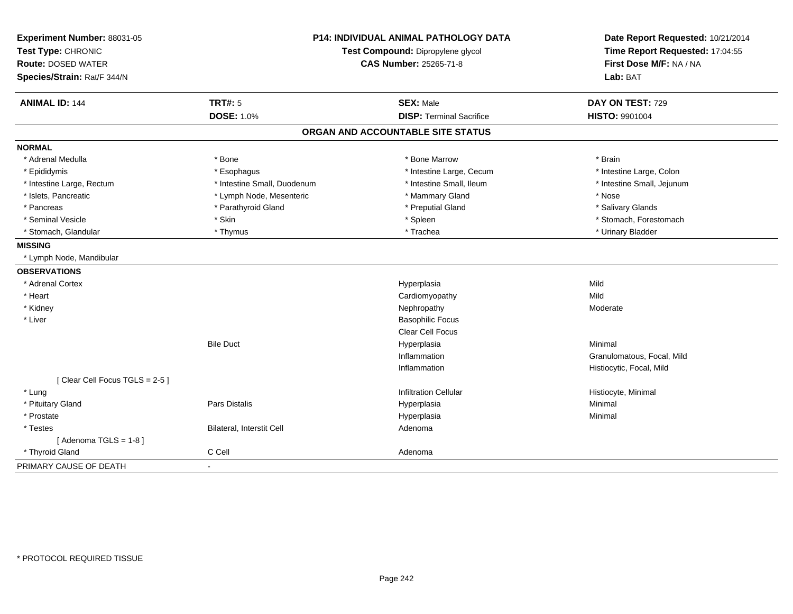| Experiment Number: 88031-05                     |                                   | P14: INDIVIDUAL ANIMAL PATHOLOGY DATA | Date Report Requested: 10/21/2014                          |
|-------------------------------------------------|-----------------------------------|---------------------------------------|------------------------------------------------------------|
| Test Type: CHRONIC<br><b>Route: DOSED WATER</b> | Test Compound: Dipropylene glycol |                                       | Time Report Requested: 17:04:55<br>First Dose M/F: NA / NA |
| Species/Strain: Rat/F 344/N                     |                                   | <b>CAS Number: 25265-71-8</b>         | Lab: BAT                                                   |
|                                                 |                                   |                                       |                                                            |
| <b>ANIMAL ID: 144</b>                           | <b>TRT#: 5</b>                    | <b>SEX: Male</b>                      | DAY ON TEST: 729                                           |
|                                                 | DOSE: 1.0%                        | <b>DISP: Terminal Sacrifice</b>       | <b>HISTO: 9901004</b>                                      |
|                                                 |                                   | ORGAN AND ACCOUNTABLE SITE STATUS     |                                                            |
| <b>NORMAL</b>                                   |                                   |                                       |                                                            |
| * Adrenal Medulla                               | * Bone                            | * Bone Marrow                         | * Brain                                                    |
| * Epididymis                                    | * Esophagus                       | * Intestine Large, Cecum              | * Intestine Large, Colon                                   |
| * Intestine Large, Rectum                       | * Intestine Small, Duodenum       | * Intestine Small, Ileum              | * Intestine Small, Jejunum                                 |
| * Islets, Pancreatic                            | * Lymph Node, Mesenteric          | * Mammary Gland                       | * Nose                                                     |
| * Pancreas                                      | * Parathyroid Gland               | * Preputial Gland                     | * Salivary Glands                                          |
| * Seminal Vesicle                               | * Skin                            | * Spleen                              | * Stomach, Forestomach                                     |
| * Stomach, Glandular                            | * Thymus                          | * Trachea                             | * Urinary Bladder                                          |
| <b>MISSING</b>                                  |                                   |                                       |                                                            |
| * Lymph Node, Mandibular                        |                                   |                                       |                                                            |
| <b>OBSERVATIONS</b>                             |                                   |                                       |                                                            |
| * Adrenal Cortex                                |                                   | Hyperplasia                           | Mild                                                       |
| * Heart                                         |                                   | Cardiomyopathy                        | Mild                                                       |
| * Kidney                                        |                                   | Nephropathy                           | Moderate                                                   |
| * Liver                                         |                                   | <b>Basophilic Focus</b>               |                                                            |
|                                                 |                                   | Clear Cell Focus                      |                                                            |
|                                                 | <b>Bile Duct</b>                  | Hyperplasia                           | Minimal                                                    |
|                                                 |                                   | Inflammation                          | Granulomatous, Focal, Mild                                 |
|                                                 |                                   | Inflammation                          | Histiocytic, Focal, Mild                                   |
| [Clear Cell Focus TGLS = 2-5]                   |                                   |                                       |                                                            |
| * Lung                                          |                                   | <b>Infiltration Cellular</b>          | Histiocyte, Minimal                                        |
| * Pituitary Gland                               | Pars Distalis                     | Hyperplasia                           | Minimal                                                    |
| * Prostate                                      |                                   | Hyperplasia                           | Minimal                                                    |
| * Testes                                        | <b>Bilateral, Interstit Cell</b>  | Adenoma                               |                                                            |
| [Adenoma TGLS = $1-8$ ]                         |                                   |                                       |                                                            |
| * Thyroid Gland                                 | C Cell                            | Adenoma                               |                                                            |
| PRIMARY CAUSE OF DEATH                          |                                   |                                       |                                                            |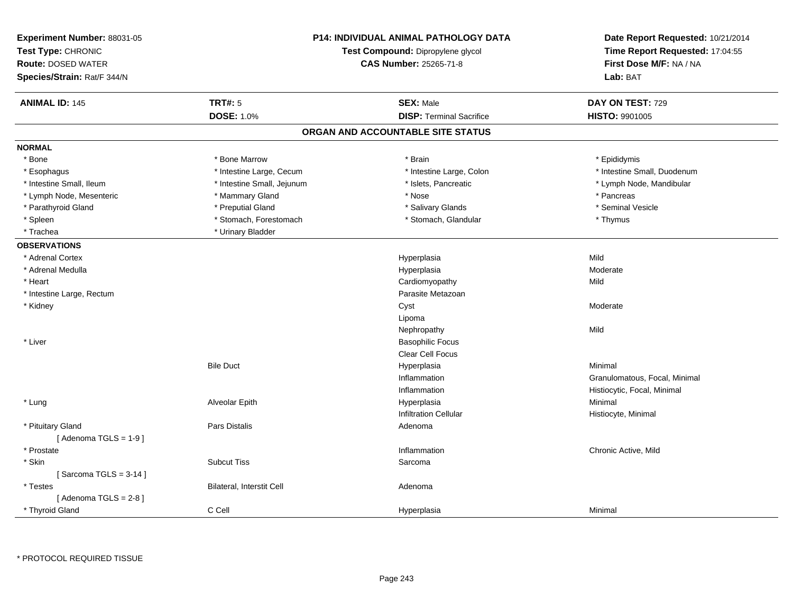| <b>TRT#: 5</b><br><b>ANIMAL ID: 145</b><br><b>SEX: Male</b><br>DAY ON TEST: 729<br><b>DOSE: 1.0%</b><br><b>DISP: Terminal Sacrifice</b><br>HISTO: 9901005<br>ORGAN AND ACCOUNTABLE SITE STATUS<br><b>NORMAL</b><br>* Bone Marrow<br>* Bone<br>* Brain<br>* Epididymis<br>* Intestine Large, Cecum<br>* Intestine Large, Colon<br>* Intestine Small, Duodenum<br>* Esophagus<br>* Intestine Small, Ileum<br>* Intestine Small, Jejunum<br>* Islets, Pancreatic<br>* Lymph Node, Mandibular<br>* Pancreas<br>* Lymph Node, Mesenteric<br>* Mammary Gland<br>* Nose<br>* Seminal Vesicle<br>* Parathyroid Gland<br>* Preputial Gland<br>* Salivary Glands<br>* Spleen<br>* Stomach, Forestomach<br>* Stomach, Glandular<br>* Thymus<br>* Urinary Bladder<br>* Trachea<br><b>OBSERVATIONS</b><br>Mild<br>* Adrenal Cortex<br>Hyperplasia<br>* Adrenal Medulla<br>Moderate<br>Hyperplasia<br>* Heart<br>Mild<br>Cardiomyopathy<br>* Intestine Large, Rectum<br>Parasite Metazoan<br>* Kidney<br>Cyst<br>Moderate<br>Lipoma<br>Mild<br>Nephropathy<br>* Liver<br><b>Basophilic Focus</b><br><b>Clear Cell Focus</b><br><b>Bile Duct</b><br>Hyperplasia<br>Minimal<br>Inflammation<br>Granulomatous, Focal, Minimal<br>Inflammation<br>Histiocytic, Focal, Minimal<br>Minimal<br>* Lung<br>Alveolar Epith<br>Hyperplasia<br><b>Infiltration Cellular</b><br>Histiocyte, Minimal<br>* Pituitary Gland<br>Pars Distalis<br>Adenoma<br>[Adenoma TGLS = $1-9$ ]<br>* Prostate<br>Inflammation<br>Chronic Active, Mild<br>* Skin<br><b>Subcut Tiss</b><br>Sarcoma<br>[Sarcoma TGLS = $3-14$ ]<br>Bilateral, Interstit Cell<br>* Testes<br>Adenoma<br>[Adenoma TGLS = $2-8$ ]<br>C Cell<br>* Thyroid Gland<br>Hyperplasia<br>Minimal | Experiment Number: 88031-05<br>Test Type: CHRONIC<br><b>Route: DOSED WATER</b><br>Species/Strain: Rat/F 344/N | <b>P14: INDIVIDUAL ANIMAL PATHOLOGY DATA</b><br>Test Compound: Dipropylene glycol<br><b>CAS Number: 25265-71-8</b> | Date Report Requested: 10/21/2014<br>Time Report Requested: 17:04:55<br>First Dose M/F: NA / NA<br>Lab: BAT |
|-------------------------------------------------------------------------------------------------------------------------------------------------------------------------------------------------------------------------------------------------------------------------------------------------------------------------------------------------------------------------------------------------------------------------------------------------------------------------------------------------------------------------------------------------------------------------------------------------------------------------------------------------------------------------------------------------------------------------------------------------------------------------------------------------------------------------------------------------------------------------------------------------------------------------------------------------------------------------------------------------------------------------------------------------------------------------------------------------------------------------------------------------------------------------------------------------------------------------------------------------------------------------------------------------------------------------------------------------------------------------------------------------------------------------------------------------------------------------------------------------------------------------------------------------------------------------------------------------------------------------------------------------------------------------------------------------------------------------|---------------------------------------------------------------------------------------------------------------|--------------------------------------------------------------------------------------------------------------------|-------------------------------------------------------------------------------------------------------------|
|                                                                                                                                                                                                                                                                                                                                                                                                                                                                                                                                                                                                                                                                                                                                                                                                                                                                                                                                                                                                                                                                                                                                                                                                                                                                                                                                                                                                                                                                                                                                                                                                                                                                                                                         |                                                                                                               |                                                                                                                    |                                                                                                             |
|                                                                                                                                                                                                                                                                                                                                                                                                                                                                                                                                                                                                                                                                                                                                                                                                                                                                                                                                                                                                                                                                                                                                                                                                                                                                                                                                                                                                                                                                                                                                                                                                                                                                                                                         |                                                                                                               |                                                                                                                    |                                                                                                             |
|                                                                                                                                                                                                                                                                                                                                                                                                                                                                                                                                                                                                                                                                                                                                                                                                                                                                                                                                                                                                                                                                                                                                                                                                                                                                                                                                                                                                                                                                                                                                                                                                                                                                                                                         |                                                                                                               |                                                                                                                    |                                                                                                             |
|                                                                                                                                                                                                                                                                                                                                                                                                                                                                                                                                                                                                                                                                                                                                                                                                                                                                                                                                                                                                                                                                                                                                                                                                                                                                                                                                                                                                                                                                                                                                                                                                                                                                                                                         |                                                                                                               |                                                                                                                    |                                                                                                             |
|                                                                                                                                                                                                                                                                                                                                                                                                                                                                                                                                                                                                                                                                                                                                                                                                                                                                                                                                                                                                                                                                                                                                                                                                                                                                                                                                                                                                                                                                                                                                                                                                                                                                                                                         |                                                                                                               |                                                                                                                    |                                                                                                             |
|                                                                                                                                                                                                                                                                                                                                                                                                                                                                                                                                                                                                                                                                                                                                                                                                                                                                                                                                                                                                                                                                                                                                                                                                                                                                                                                                                                                                                                                                                                                                                                                                                                                                                                                         |                                                                                                               |                                                                                                                    |                                                                                                             |
|                                                                                                                                                                                                                                                                                                                                                                                                                                                                                                                                                                                                                                                                                                                                                                                                                                                                                                                                                                                                                                                                                                                                                                                                                                                                                                                                                                                                                                                                                                                                                                                                                                                                                                                         |                                                                                                               |                                                                                                                    |                                                                                                             |
|                                                                                                                                                                                                                                                                                                                                                                                                                                                                                                                                                                                                                                                                                                                                                                                                                                                                                                                                                                                                                                                                                                                                                                                                                                                                                                                                                                                                                                                                                                                                                                                                                                                                                                                         |                                                                                                               |                                                                                                                    |                                                                                                             |
|                                                                                                                                                                                                                                                                                                                                                                                                                                                                                                                                                                                                                                                                                                                                                                                                                                                                                                                                                                                                                                                                                                                                                                                                                                                                                                                                                                                                                                                                                                                                                                                                                                                                                                                         |                                                                                                               |                                                                                                                    |                                                                                                             |
|                                                                                                                                                                                                                                                                                                                                                                                                                                                                                                                                                                                                                                                                                                                                                                                                                                                                                                                                                                                                                                                                                                                                                                                                                                                                                                                                                                                                                                                                                                                                                                                                                                                                                                                         |                                                                                                               |                                                                                                                    |                                                                                                             |
|                                                                                                                                                                                                                                                                                                                                                                                                                                                                                                                                                                                                                                                                                                                                                                                                                                                                                                                                                                                                                                                                                                                                                                                                                                                                                                                                                                                                                                                                                                                                                                                                                                                                                                                         |                                                                                                               |                                                                                                                    |                                                                                                             |
|                                                                                                                                                                                                                                                                                                                                                                                                                                                                                                                                                                                                                                                                                                                                                                                                                                                                                                                                                                                                                                                                                                                                                                                                                                                                                                                                                                                                                                                                                                                                                                                                                                                                                                                         |                                                                                                               |                                                                                                                    |                                                                                                             |
|                                                                                                                                                                                                                                                                                                                                                                                                                                                                                                                                                                                                                                                                                                                                                                                                                                                                                                                                                                                                                                                                                                                                                                                                                                                                                                                                                                                                                                                                                                                                                                                                                                                                                                                         |                                                                                                               |                                                                                                                    |                                                                                                             |
|                                                                                                                                                                                                                                                                                                                                                                                                                                                                                                                                                                                                                                                                                                                                                                                                                                                                                                                                                                                                                                                                                                                                                                                                                                                                                                                                                                                                                                                                                                                                                                                                                                                                                                                         |                                                                                                               |                                                                                                                    |                                                                                                             |
|                                                                                                                                                                                                                                                                                                                                                                                                                                                                                                                                                                                                                                                                                                                                                                                                                                                                                                                                                                                                                                                                                                                                                                                                                                                                                                                                                                                                                                                                                                                                                                                                                                                                                                                         |                                                                                                               |                                                                                                                    |                                                                                                             |
|                                                                                                                                                                                                                                                                                                                                                                                                                                                                                                                                                                                                                                                                                                                                                                                                                                                                                                                                                                                                                                                                                                                                                                                                                                                                                                                                                                                                                                                                                                                                                                                                                                                                                                                         |                                                                                                               |                                                                                                                    |                                                                                                             |
|                                                                                                                                                                                                                                                                                                                                                                                                                                                                                                                                                                                                                                                                                                                                                                                                                                                                                                                                                                                                                                                                                                                                                                                                                                                                                                                                                                                                                                                                                                                                                                                                                                                                                                                         |                                                                                                               |                                                                                                                    |                                                                                                             |
|                                                                                                                                                                                                                                                                                                                                                                                                                                                                                                                                                                                                                                                                                                                                                                                                                                                                                                                                                                                                                                                                                                                                                                                                                                                                                                                                                                                                                                                                                                                                                                                                                                                                                                                         |                                                                                                               |                                                                                                                    |                                                                                                             |
|                                                                                                                                                                                                                                                                                                                                                                                                                                                                                                                                                                                                                                                                                                                                                                                                                                                                                                                                                                                                                                                                                                                                                                                                                                                                                                                                                                                                                                                                                                                                                                                                                                                                                                                         |                                                                                                               |                                                                                                                    |                                                                                                             |
|                                                                                                                                                                                                                                                                                                                                                                                                                                                                                                                                                                                                                                                                                                                                                                                                                                                                                                                                                                                                                                                                                                                                                                                                                                                                                                                                                                                                                                                                                                                                                                                                                                                                                                                         |                                                                                                               |                                                                                                                    |                                                                                                             |
|                                                                                                                                                                                                                                                                                                                                                                                                                                                                                                                                                                                                                                                                                                                                                                                                                                                                                                                                                                                                                                                                                                                                                                                                                                                                                                                                                                                                                                                                                                                                                                                                                                                                                                                         |                                                                                                               |                                                                                                                    |                                                                                                             |
|                                                                                                                                                                                                                                                                                                                                                                                                                                                                                                                                                                                                                                                                                                                                                                                                                                                                                                                                                                                                                                                                                                                                                                                                                                                                                                                                                                                                                                                                                                                                                                                                                                                                                                                         |                                                                                                               |                                                                                                                    |                                                                                                             |
|                                                                                                                                                                                                                                                                                                                                                                                                                                                                                                                                                                                                                                                                                                                                                                                                                                                                                                                                                                                                                                                                                                                                                                                                                                                                                                                                                                                                                                                                                                                                                                                                                                                                                                                         |                                                                                                               |                                                                                                                    |                                                                                                             |
|                                                                                                                                                                                                                                                                                                                                                                                                                                                                                                                                                                                                                                                                                                                                                                                                                                                                                                                                                                                                                                                                                                                                                                                                                                                                                                                                                                                                                                                                                                                                                                                                                                                                                                                         |                                                                                                               |                                                                                                                    |                                                                                                             |
|                                                                                                                                                                                                                                                                                                                                                                                                                                                                                                                                                                                                                                                                                                                                                                                                                                                                                                                                                                                                                                                                                                                                                                                                                                                                                                                                                                                                                                                                                                                                                                                                                                                                                                                         |                                                                                                               |                                                                                                                    |                                                                                                             |
|                                                                                                                                                                                                                                                                                                                                                                                                                                                                                                                                                                                                                                                                                                                                                                                                                                                                                                                                                                                                                                                                                                                                                                                                                                                                                                                                                                                                                                                                                                                                                                                                                                                                                                                         |                                                                                                               |                                                                                                                    |                                                                                                             |
|                                                                                                                                                                                                                                                                                                                                                                                                                                                                                                                                                                                                                                                                                                                                                                                                                                                                                                                                                                                                                                                                                                                                                                                                                                                                                                                                                                                                                                                                                                                                                                                                                                                                                                                         |                                                                                                               |                                                                                                                    |                                                                                                             |
|                                                                                                                                                                                                                                                                                                                                                                                                                                                                                                                                                                                                                                                                                                                                                                                                                                                                                                                                                                                                                                                                                                                                                                                                                                                                                                                                                                                                                                                                                                                                                                                                                                                                                                                         |                                                                                                               |                                                                                                                    |                                                                                                             |
|                                                                                                                                                                                                                                                                                                                                                                                                                                                                                                                                                                                                                                                                                                                                                                                                                                                                                                                                                                                                                                                                                                                                                                                                                                                                                                                                                                                                                                                                                                                                                                                                                                                                                                                         |                                                                                                               |                                                                                                                    |                                                                                                             |
|                                                                                                                                                                                                                                                                                                                                                                                                                                                                                                                                                                                                                                                                                                                                                                                                                                                                                                                                                                                                                                                                                                                                                                                                                                                                                                                                                                                                                                                                                                                                                                                                                                                                                                                         |                                                                                                               |                                                                                                                    |                                                                                                             |
|                                                                                                                                                                                                                                                                                                                                                                                                                                                                                                                                                                                                                                                                                                                                                                                                                                                                                                                                                                                                                                                                                                                                                                                                                                                                                                                                                                                                                                                                                                                                                                                                                                                                                                                         |                                                                                                               |                                                                                                                    |                                                                                                             |
|                                                                                                                                                                                                                                                                                                                                                                                                                                                                                                                                                                                                                                                                                                                                                                                                                                                                                                                                                                                                                                                                                                                                                                                                                                                                                                                                                                                                                                                                                                                                                                                                                                                                                                                         |                                                                                                               |                                                                                                                    |                                                                                                             |
|                                                                                                                                                                                                                                                                                                                                                                                                                                                                                                                                                                                                                                                                                                                                                                                                                                                                                                                                                                                                                                                                                                                                                                                                                                                                                                                                                                                                                                                                                                                                                                                                                                                                                                                         |                                                                                                               |                                                                                                                    |                                                                                                             |
|                                                                                                                                                                                                                                                                                                                                                                                                                                                                                                                                                                                                                                                                                                                                                                                                                                                                                                                                                                                                                                                                                                                                                                                                                                                                                                                                                                                                                                                                                                                                                                                                                                                                                                                         |                                                                                                               |                                                                                                                    |                                                                                                             |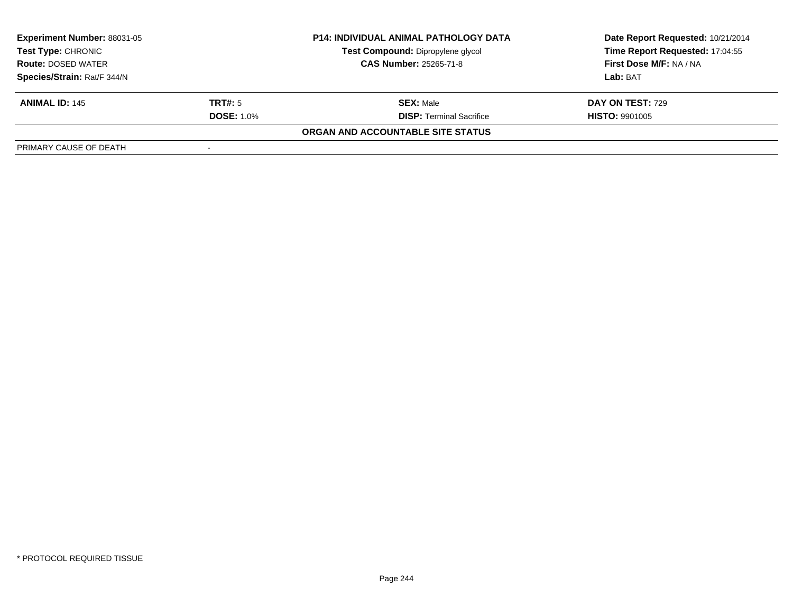| <b>Experiment Number: 88031-05</b><br>Test Type: CHRONIC<br><b>Route: DOSED WATER</b> |                   | <b>P14: INDIVIDUAL ANIMAL PATHOLOGY DATA</b> | Date Report Requested: 10/21/2014 |  |
|---------------------------------------------------------------------------------------|-------------------|----------------------------------------------|-----------------------------------|--|
|                                                                                       |                   | Test Compound: Dipropylene glycol            | Time Report Requested: 17:04:55   |  |
|                                                                                       |                   | <b>CAS Number: 25265-71-8</b>                | First Dose M/F: NA / NA           |  |
| Species/Strain: Rat/F 344/N                                                           |                   |                                              | Lab: BAT                          |  |
| <b>ANIMAL ID: 145</b>                                                                 | <b>TRT#:</b> 5    | <b>SEX: Male</b>                             | <b>DAY ON TEST: 729</b>           |  |
|                                                                                       | <b>DOSE: 1.0%</b> | <b>DISP: Terminal Sacrifice</b>              | <b>HISTO: 9901005</b>             |  |
|                                                                                       |                   | ORGAN AND ACCOUNTABLE SITE STATUS            |                                   |  |
| PRIMARY CAUSE OF DEATH                                                                |                   |                                              |                                   |  |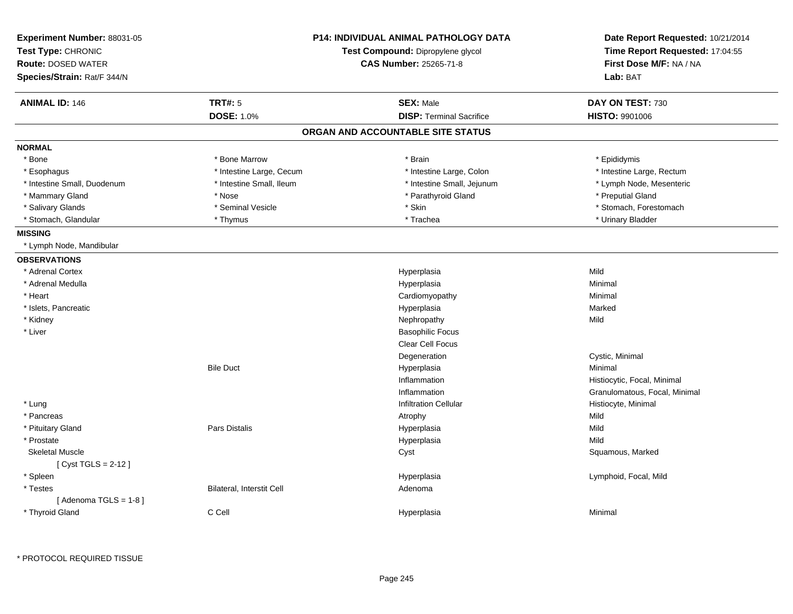| Experiment Number: 88031-05<br>Test Type: CHRONIC<br><b>Route: DOSED WATER</b> |                           | <b>P14: INDIVIDUAL ANIMAL PATHOLOGY DATA</b><br>Test Compound: Dipropylene glycol<br><b>CAS Number: 25265-71-8</b> | Date Report Requested: 10/21/2014<br>Time Report Requested: 17:04:55<br>First Dose M/F: NA / NA |
|--------------------------------------------------------------------------------|---------------------------|--------------------------------------------------------------------------------------------------------------------|-------------------------------------------------------------------------------------------------|
| Species/Strain: Rat/F 344/N                                                    |                           |                                                                                                                    | Lab: BAT                                                                                        |
| <b>ANIMAL ID: 146</b>                                                          | <b>TRT#: 5</b>            | <b>SEX: Male</b>                                                                                                   | DAY ON TEST: 730                                                                                |
|                                                                                | <b>DOSE: 1.0%</b>         | <b>DISP: Terminal Sacrifice</b>                                                                                    | HISTO: 9901006                                                                                  |
|                                                                                |                           | ORGAN AND ACCOUNTABLE SITE STATUS                                                                                  |                                                                                                 |
| <b>NORMAL</b>                                                                  |                           |                                                                                                                    |                                                                                                 |
| * Bone                                                                         | * Bone Marrow             | * Brain                                                                                                            | * Epididymis                                                                                    |
| * Esophagus                                                                    | * Intestine Large, Cecum  | * Intestine Large, Colon                                                                                           | * Intestine Large, Rectum                                                                       |
| * Intestine Small, Duodenum                                                    | * Intestine Small, Ileum  | * Intestine Small, Jejunum                                                                                         | * Lymph Node, Mesenteric                                                                        |
| * Mammary Gland                                                                | * Nose                    | * Parathyroid Gland                                                                                                | * Preputial Gland                                                                               |
| * Salivary Glands                                                              | * Seminal Vesicle         | * Skin                                                                                                             | * Stomach, Forestomach                                                                          |
| * Stomach, Glandular                                                           | * Thymus                  | * Trachea                                                                                                          | * Urinary Bladder                                                                               |
| <b>MISSING</b>                                                                 |                           |                                                                                                                    |                                                                                                 |
| * Lymph Node, Mandibular                                                       |                           |                                                                                                                    |                                                                                                 |
| <b>OBSERVATIONS</b>                                                            |                           |                                                                                                                    |                                                                                                 |
| * Adrenal Cortex                                                               |                           | Hyperplasia                                                                                                        | Mild                                                                                            |
| * Adrenal Medulla                                                              |                           | Hyperplasia                                                                                                        | Minimal                                                                                         |
| * Heart                                                                        |                           | Cardiomyopathy                                                                                                     | Minimal                                                                                         |
| * Islets, Pancreatic                                                           |                           | Hyperplasia                                                                                                        | Marked                                                                                          |
| * Kidney                                                                       |                           | Nephropathy                                                                                                        | Mild                                                                                            |
| * Liver                                                                        |                           | <b>Basophilic Focus</b>                                                                                            |                                                                                                 |
|                                                                                |                           | Clear Cell Focus                                                                                                   |                                                                                                 |
|                                                                                |                           | Degeneration                                                                                                       | Cystic, Minimal                                                                                 |
|                                                                                | <b>Bile Duct</b>          | Hyperplasia                                                                                                        | Minimal                                                                                         |
|                                                                                |                           | Inflammation                                                                                                       | Histiocytic, Focal, Minimal                                                                     |
|                                                                                |                           | Inflammation                                                                                                       | Granulomatous, Focal, Minimal                                                                   |
| * Lung                                                                         |                           | <b>Infiltration Cellular</b>                                                                                       | Histiocyte, Minimal                                                                             |
| * Pancreas                                                                     |                           | Atrophy                                                                                                            | Mild                                                                                            |
| * Pituitary Gland                                                              | Pars Distalis             | Hyperplasia                                                                                                        | Mild                                                                                            |
| * Prostate                                                                     |                           | Hyperplasia                                                                                                        | Mild                                                                                            |
| <b>Skeletal Muscle</b>                                                         |                           | Cyst                                                                                                               | Squamous, Marked                                                                                |
| [ Cyst TGLS = 2-12 ]                                                           |                           |                                                                                                                    |                                                                                                 |
| * Spleen                                                                       |                           | Hyperplasia                                                                                                        | Lymphoid, Focal, Mild                                                                           |
| * Testes                                                                       | Bilateral, Interstit Cell | Adenoma                                                                                                            |                                                                                                 |
| [Adenoma TGLS = $1-8$ ]                                                        |                           |                                                                                                                    |                                                                                                 |
| * Thyroid Gland                                                                | C Cell                    | Hyperplasia                                                                                                        | Minimal                                                                                         |
|                                                                                |                           |                                                                                                                    |                                                                                                 |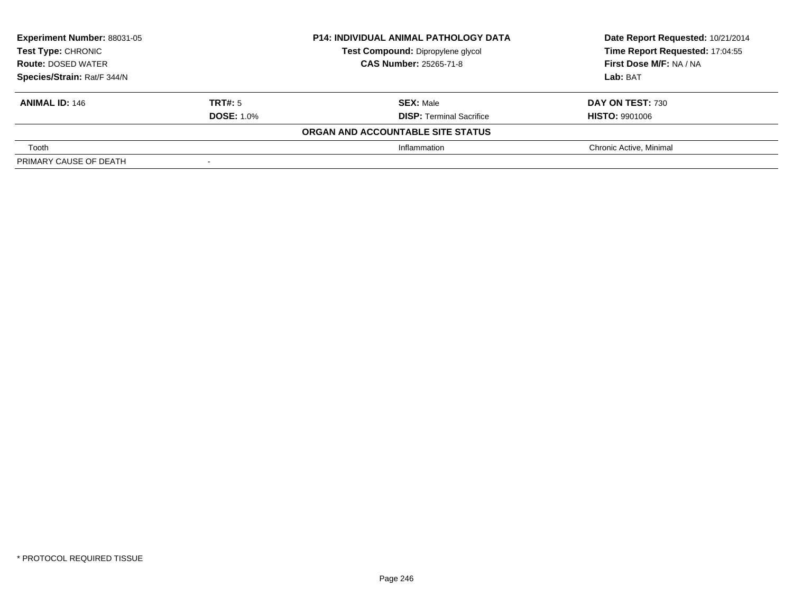| <b>Experiment Number: 88031-05</b><br>Test Type: CHRONIC<br><b>Route: DOSED WATER</b> |                   | <b>P14: INDIVIDUAL ANIMAL PATHOLOGY DATA</b> | Date Report Requested: 10/21/2014 |
|---------------------------------------------------------------------------------------|-------------------|----------------------------------------------|-----------------------------------|
|                                                                                       |                   | Test Compound: Dipropylene glycol            | Time Report Requested: 17:04:55   |
|                                                                                       |                   | <b>CAS Number: 25265-71-8</b>                | First Dose M/F: NA / NA           |
| Species/Strain: Rat/F 344/N                                                           |                   |                                              | Lab: BAT                          |
| <b>ANIMAL ID: 146</b>                                                                 | TRT#: 5           | <b>SEX: Male</b>                             | DAY ON TEST: 730                  |
|                                                                                       | <b>DOSE: 1.0%</b> | <b>DISP:</b> Terminal Sacrifice              | <b>HISTO: 9901006</b>             |
|                                                                                       |                   | ORGAN AND ACCOUNTABLE SITE STATUS            |                                   |
| Tooth                                                                                 |                   | Inflammation                                 | Chronic Active, Minimal           |
| PRIMARY CAUSE OF DEATH                                                                |                   |                                              |                                   |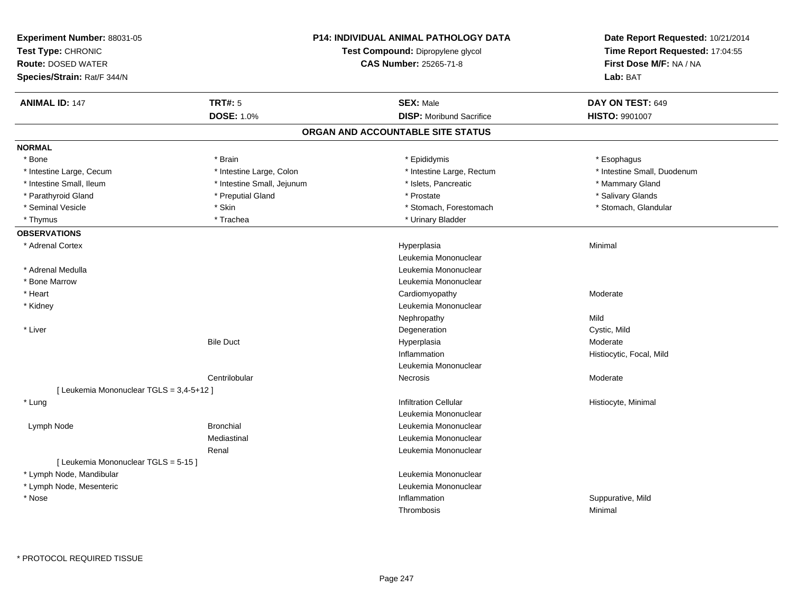| Experiment Number: 88031-05<br>Test Type: CHRONIC<br><b>Route: DOSED WATER</b><br>Species/Strain: Rat/F 344/N |                            | <b>P14: INDIVIDUAL ANIMAL PATHOLOGY DATA</b><br>Test Compound: Dipropylene glycol<br><b>CAS Number: 25265-71-8</b> | Date Report Requested: 10/21/2014<br>Time Report Requested: 17:04:55<br>First Dose M/F: NA / NA<br>Lab: BAT |
|---------------------------------------------------------------------------------------------------------------|----------------------------|--------------------------------------------------------------------------------------------------------------------|-------------------------------------------------------------------------------------------------------------|
| <b>ANIMAL ID: 147</b>                                                                                         | <b>TRT#: 5</b>             | <b>SEX: Male</b>                                                                                                   | DAY ON TEST: 649                                                                                            |
|                                                                                                               | <b>DOSE: 1.0%</b>          | <b>DISP:</b> Moribund Sacrifice                                                                                    | HISTO: 9901007                                                                                              |
|                                                                                                               |                            | ORGAN AND ACCOUNTABLE SITE STATUS                                                                                  |                                                                                                             |
| <b>NORMAL</b>                                                                                                 |                            |                                                                                                                    |                                                                                                             |
| * Bone                                                                                                        | * Brain                    | * Epididymis                                                                                                       | * Esophagus                                                                                                 |
| * Intestine Large, Cecum                                                                                      | * Intestine Large, Colon   | * Intestine Large, Rectum                                                                                          | * Intestine Small, Duodenum                                                                                 |
| * Intestine Small, Ileum                                                                                      | * Intestine Small, Jejunum | * Islets, Pancreatic                                                                                               | * Mammary Gland                                                                                             |
| * Parathyroid Gland                                                                                           | * Preputial Gland          | * Prostate                                                                                                         | * Salivary Glands                                                                                           |
| * Seminal Vesicle                                                                                             | * Skin                     | * Stomach, Forestomach                                                                                             | * Stomach, Glandular                                                                                        |
| * Thymus                                                                                                      | * Trachea                  | * Urinary Bladder                                                                                                  |                                                                                                             |
| <b>OBSERVATIONS</b>                                                                                           |                            |                                                                                                                    |                                                                                                             |
| * Adrenal Cortex                                                                                              |                            | Hyperplasia                                                                                                        | Minimal                                                                                                     |
|                                                                                                               |                            | Leukemia Mononuclear                                                                                               |                                                                                                             |
| * Adrenal Medulla                                                                                             |                            | Leukemia Mononuclear                                                                                               |                                                                                                             |
| * Bone Marrow                                                                                                 |                            | Leukemia Mononuclear                                                                                               |                                                                                                             |
| * Heart                                                                                                       |                            | Cardiomyopathy                                                                                                     | Moderate                                                                                                    |
| * Kidney                                                                                                      |                            | Leukemia Mononuclear                                                                                               |                                                                                                             |
|                                                                                                               |                            | Nephropathy                                                                                                        | Mild                                                                                                        |
| * Liver                                                                                                       |                            | Degeneration                                                                                                       | Cystic, Mild                                                                                                |
|                                                                                                               | <b>Bile Duct</b>           | Hyperplasia                                                                                                        | Moderate                                                                                                    |
|                                                                                                               |                            | Inflammation                                                                                                       | Histiocytic, Focal, Mild                                                                                    |
|                                                                                                               |                            | Leukemia Mononuclear                                                                                               |                                                                                                             |
|                                                                                                               | Centrilobular              | Necrosis                                                                                                           | Moderate                                                                                                    |
| [ Leukemia Mononuclear TGLS = 3,4-5+12 ]                                                                      |                            |                                                                                                                    |                                                                                                             |
| * Lung                                                                                                        |                            | <b>Infiltration Cellular</b>                                                                                       | Histiocyte, Minimal                                                                                         |
|                                                                                                               |                            | Leukemia Mononuclear                                                                                               |                                                                                                             |
| Lymph Node                                                                                                    | <b>Bronchial</b>           | Leukemia Mononuclear                                                                                               |                                                                                                             |
|                                                                                                               | Mediastinal                | Leukemia Mononuclear                                                                                               |                                                                                                             |
|                                                                                                               | Renal                      | Leukemia Mononuclear                                                                                               |                                                                                                             |
| [ Leukemia Mononuclear TGLS = 5-15 ]                                                                          |                            |                                                                                                                    |                                                                                                             |
| * Lymph Node, Mandibular                                                                                      |                            | Leukemia Mononuclear                                                                                               |                                                                                                             |
| * Lymph Node, Mesenteric                                                                                      |                            | Leukemia Mononuclear                                                                                               |                                                                                                             |
| * Nose                                                                                                        |                            | Inflammation                                                                                                       | Suppurative, Mild                                                                                           |
|                                                                                                               |                            | Thrombosis                                                                                                         | Minimal                                                                                                     |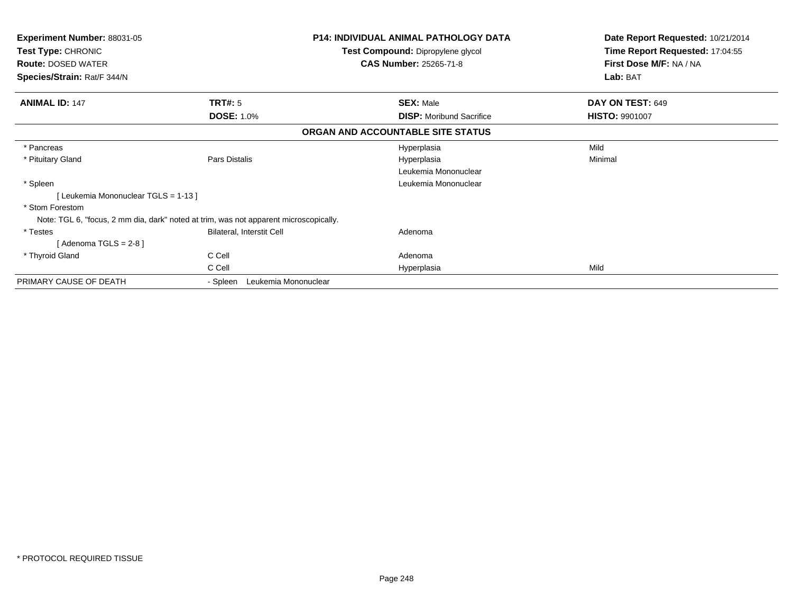| <b>Experiment Number: 88031-05</b><br>Test Type: CHRONIC<br><b>Route: DOSED WATER</b> |                                  | <b>P14: INDIVIDUAL ANIMAL PATHOLOGY DATA</b><br><b>Test Compound: Dipropylene glycol</b><br><b>CAS Number: 25265-71-8</b> | Date Report Requested: 10/21/2014<br>Time Report Requested: 17:04:55<br>First Dose M/F: NA / NA |
|---------------------------------------------------------------------------------------|----------------------------------|---------------------------------------------------------------------------------------------------------------------------|-------------------------------------------------------------------------------------------------|
| Species/Strain: Rat/F 344/N                                                           |                                  |                                                                                                                           | Lab: BAT                                                                                        |
| <b>ANIMAL ID: 147</b>                                                                 | TRT#: 5                          | <b>SEX: Male</b>                                                                                                          | DAY ON TEST: 649                                                                                |
|                                                                                       | <b>DOSE: 1.0%</b>                | <b>DISP:</b> Moribund Sacrifice                                                                                           | <b>HISTO: 9901007</b>                                                                           |
|                                                                                       |                                  | ORGAN AND ACCOUNTABLE SITE STATUS                                                                                         |                                                                                                 |
| * Pancreas                                                                            |                                  | Hyperplasia                                                                                                               | Mild                                                                                            |
| * Pituitary Gland                                                                     | Pars Distalis                    | Hyperplasia                                                                                                               | Minimal                                                                                         |
|                                                                                       |                                  | Leukemia Mononuclear                                                                                                      |                                                                                                 |
| * Spleen                                                                              |                                  | Leukemia Mononuclear                                                                                                      |                                                                                                 |
| [Leukemia Mononuclear TGLS = 1-13]                                                    |                                  |                                                                                                                           |                                                                                                 |
| * Stom Forestom                                                                       |                                  |                                                                                                                           |                                                                                                 |
| Note: TGL 6, "focus, 2 mm dia, dark" noted at trim, was not apparent microscopically. |                                  |                                                                                                                           |                                                                                                 |
| * Testes                                                                              | Bilateral, Interstit Cell        | Adenoma                                                                                                                   |                                                                                                 |
| [Adenoma TGLS = $2-8$ ]                                                               |                                  |                                                                                                                           |                                                                                                 |
| * Thyroid Gland                                                                       | C Cell                           | Adenoma                                                                                                                   |                                                                                                 |
|                                                                                       | C Cell                           | Hyperplasia                                                                                                               | Mild                                                                                            |
| PRIMARY CAUSE OF DEATH                                                                | Leukemia Mononuclear<br>- Spleen |                                                                                                                           |                                                                                                 |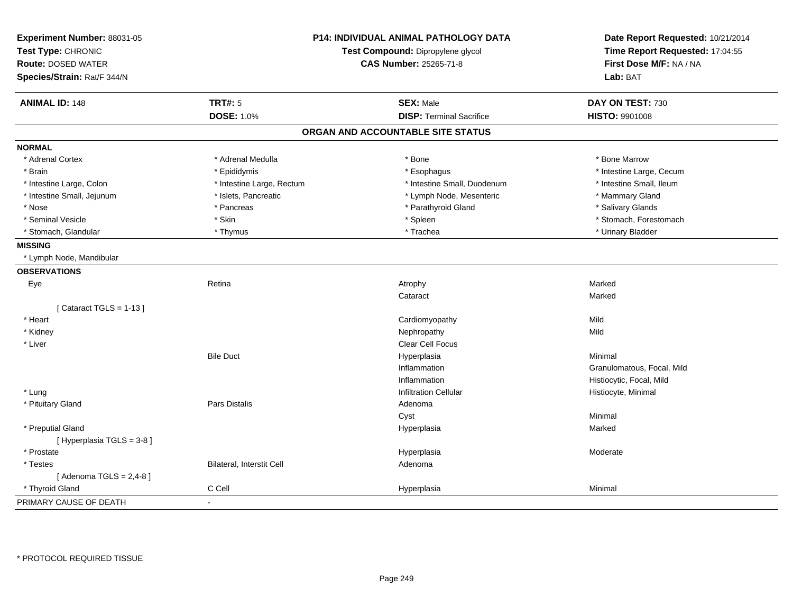| Experiment Number: 88031-05<br>Test Type: CHRONIC<br><b>Route: DOSED WATER</b><br>Species/Strain: Rat/F 344/N | P14: INDIVIDUAL ANIMAL PATHOLOGY DATA<br>Test Compound: Dipropylene glycol<br><b>CAS Number: 25265-71-8</b> |                                   | Date Report Requested: 10/21/2014<br>Time Report Requested: 17:04:55<br>First Dose M/F: NA / NA<br>Lab: BAT |
|---------------------------------------------------------------------------------------------------------------|-------------------------------------------------------------------------------------------------------------|-----------------------------------|-------------------------------------------------------------------------------------------------------------|
| <b>ANIMAL ID: 148</b>                                                                                         | <b>TRT#: 5</b>                                                                                              | <b>SEX: Male</b>                  | DAY ON TEST: 730                                                                                            |
|                                                                                                               | <b>DOSE: 1.0%</b>                                                                                           | <b>DISP: Terminal Sacrifice</b>   | HISTO: 9901008                                                                                              |
|                                                                                                               |                                                                                                             | ORGAN AND ACCOUNTABLE SITE STATUS |                                                                                                             |
| <b>NORMAL</b>                                                                                                 |                                                                                                             |                                   |                                                                                                             |
| * Adrenal Cortex                                                                                              | * Adrenal Medulla                                                                                           | * Bone                            | * Bone Marrow                                                                                               |
| * Brain                                                                                                       | * Epididymis                                                                                                | * Esophagus                       | * Intestine Large, Cecum                                                                                    |
| * Intestine Large, Colon                                                                                      | * Intestine Large, Rectum                                                                                   | * Intestine Small, Duodenum       | * Intestine Small, Ileum                                                                                    |
| * Intestine Small, Jejunum                                                                                    | * Islets, Pancreatic                                                                                        | * Lymph Node, Mesenteric          | * Mammary Gland                                                                                             |
| * Nose                                                                                                        | * Pancreas                                                                                                  | * Parathyroid Gland               | * Salivary Glands                                                                                           |
| * Seminal Vesicle                                                                                             | * Skin                                                                                                      | * Spleen                          | * Stomach, Forestomach                                                                                      |
| * Stomach, Glandular                                                                                          | * Thymus                                                                                                    | * Trachea                         | * Urinary Bladder                                                                                           |
| <b>MISSING</b>                                                                                                |                                                                                                             |                                   |                                                                                                             |
| * Lymph Node, Mandibular                                                                                      |                                                                                                             |                                   |                                                                                                             |
| <b>OBSERVATIONS</b>                                                                                           |                                                                                                             |                                   |                                                                                                             |
| Eye                                                                                                           | Retina                                                                                                      | Atrophy                           | Marked                                                                                                      |
|                                                                                                               |                                                                                                             | Cataract                          | Marked                                                                                                      |
| [Cataract TGLS = $1-13$ ]                                                                                     |                                                                                                             |                                   |                                                                                                             |
| * Heart                                                                                                       |                                                                                                             | Cardiomyopathy                    | Mild                                                                                                        |
| * Kidney                                                                                                      |                                                                                                             | Nephropathy                       | Mild                                                                                                        |
| * Liver                                                                                                       |                                                                                                             | Clear Cell Focus                  |                                                                                                             |
|                                                                                                               | <b>Bile Duct</b>                                                                                            | Hyperplasia                       | Minimal                                                                                                     |
|                                                                                                               |                                                                                                             | Inflammation                      | Granulomatous, Focal, Mild                                                                                  |
|                                                                                                               |                                                                                                             | Inflammation                      | Histiocytic, Focal, Mild                                                                                    |
| * Lung                                                                                                        |                                                                                                             | <b>Infiltration Cellular</b>      | Histiocyte, Minimal                                                                                         |
| * Pituitary Gland                                                                                             | Pars Distalis                                                                                               | Adenoma                           |                                                                                                             |
|                                                                                                               |                                                                                                             | Cyst                              | Minimal                                                                                                     |
| * Preputial Gland<br>[ Hyperplasia TGLS = 3-8]                                                                |                                                                                                             | Hyperplasia                       | Marked                                                                                                      |
| * Prostate                                                                                                    |                                                                                                             | Hyperplasia                       | Moderate                                                                                                    |
| * Testes                                                                                                      | Bilateral, Interstit Cell                                                                                   | Adenoma                           |                                                                                                             |
| [Adenoma TGLS = $2,4-8$ ]                                                                                     |                                                                                                             |                                   |                                                                                                             |
| * Thyroid Gland                                                                                               | C Cell                                                                                                      | Hyperplasia                       | Minimal                                                                                                     |
| PRIMARY CAUSE OF DEATH                                                                                        |                                                                                                             |                                   |                                                                                                             |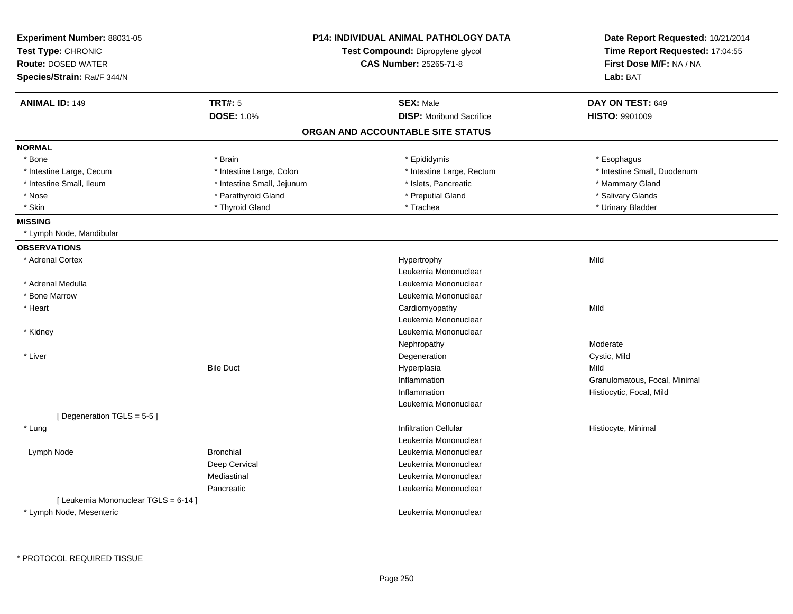| Experiment Number: 88031-05<br>Test Type: CHRONIC |                            | <b>P14: INDIVIDUAL ANIMAL PATHOLOGY DATA</b><br>Test Compound: Dipropylene glycol | Date Report Requested: 10/21/2014<br>Time Report Requested: 17:04:55 |
|---------------------------------------------------|----------------------------|-----------------------------------------------------------------------------------|----------------------------------------------------------------------|
| <b>Route: DOSED WATER</b>                         |                            | <b>CAS Number: 25265-71-8</b>                                                     | First Dose M/F: NA / NA                                              |
| Species/Strain: Rat/F 344/N                       |                            |                                                                                   | Lab: BAT                                                             |
| <b>ANIMAL ID: 149</b>                             | <b>TRT#: 5</b>             | <b>SEX: Male</b>                                                                  | DAY ON TEST: 649                                                     |
|                                                   | <b>DOSE: 1.0%</b>          | <b>DISP:</b> Moribund Sacrifice                                                   | <b>HISTO: 9901009</b>                                                |
|                                                   |                            | ORGAN AND ACCOUNTABLE SITE STATUS                                                 |                                                                      |
| <b>NORMAL</b>                                     |                            |                                                                                   |                                                                      |
| * Bone                                            | * Brain                    | * Epididymis                                                                      | * Esophagus                                                          |
| * Intestine Large, Cecum                          | * Intestine Large, Colon   | * Intestine Large, Rectum                                                         | * Intestine Small, Duodenum                                          |
| * Intestine Small, Ileum                          | * Intestine Small, Jejunum | * Islets, Pancreatic                                                              | * Mammary Gland                                                      |
| * Nose                                            | * Parathyroid Gland        | * Preputial Gland                                                                 | * Salivary Glands                                                    |
| * Skin                                            | * Thyroid Gland            | * Trachea                                                                         | * Urinary Bladder                                                    |
| <b>MISSING</b>                                    |                            |                                                                                   |                                                                      |
| * Lymph Node, Mandibular                          |                            |                                                                                   |                                                                      |
| <b>OBSERVATIONS</b>                               |                            |                                                                                   |                                                                      |
| * Adrenal Cortex                                  |                            | Hypertrophy                                                                       | Mild                                                                 |
|                                                   |                            | Leukemia Mononuclear                                                              |                                                                      |
| * Adrenal Medulla                                 |                            | Leukemia Mononuclear                                                              |                                                                      |
| * Bone Marrow                                     |                            | Leukemia Mononuclear                                                              |                                                                      |
| * Heart                                           |                            | Cardiomyopathy                                                                    | Mild                                                                 |
|                                                   |                            | Leukemia Mononuclear                                                              |                                                                      |
| * Kidney                                          |                            | Leukemia Mononuclear                                                              |                                                                      |
|                                                   |                            | Nephropathy                                                                       | Moderate                                                             |
| * Liver                                           |                            | Degeneration                                                                      | Cystic, Mild                                                         |
|                                                   | <b>Bile Duct</b>           | Hyperplasia                                                                       | Mild                                                                 |
|                                                   |                            | Inflammation                                                                      | Granulomatous, Focal, Minimal                                        |
|                                                   |                            | Inflammation                                                                      | Histiocytic, Focal, Mild                                             |
|                                                   |                            | Leukemia Mononuclear                                                              |                                                                      |
| [Degeneration TGLS = 5-5]                         |                            |                                                                                   |                                                                      |
| * Lung                                            |                            | <b>Infiltration Cellular</b>                                                      | Histiocyte, Minimal                                                  |
|                                                   |                            | Leukemia Mononuclear                                                              |                                                                      |
| Lymph Node                                        | <b>Bronchial</b>           | Leukemia Mononuclear                                                              |                                                                      |
|                                                   | Deep Cervical              | Leukemia Mononuclear                                                              |                                                                      |
|                                                   | Mediastinal                | Leukemia Mononuclear                                                              |                                                                      |
|                                                   | Pancreatic                 | Leukemia Mononuclear                                                              |                                                                      |
| [ Leukemia Mononuclear TGLS = 6-14 ]              |                            |                                                                                   |                                                                      |
| * Lymph Node, Mesenteric                          |                            | Leukemia Mononuclear                                                              |                                                                      |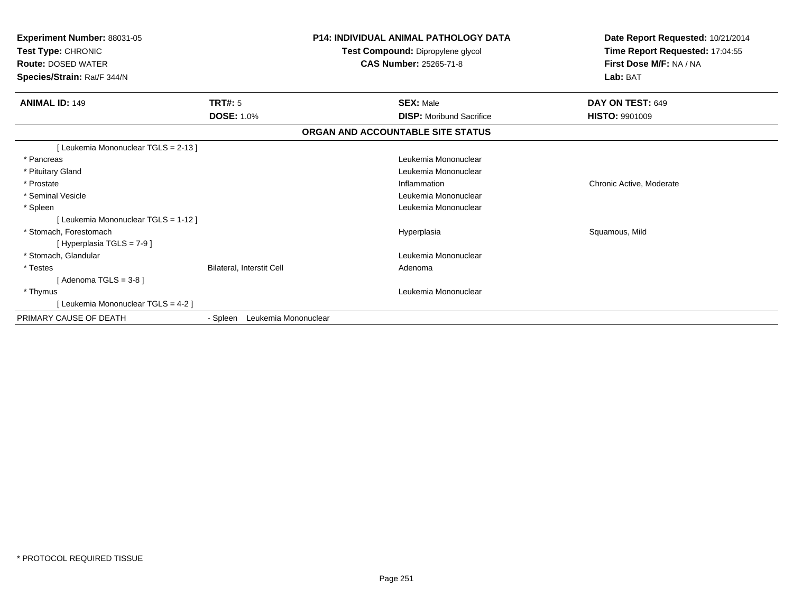| Experiment Number: 88031-05<br>Test Type: CHRONIC<br><b>Route: DOSED WATER</b><br>Species/Strain: Rat/F 344/N |                                  | P14: INDIVIDUAL ANIMAL PATHOLOGY DATA<br>Test Compound: Dipropylene glycol<br><b>CAS Number: 25265-71-8</b> | Date Report Requested: 10/21/2014<br>Time Report Requested: 17:04:55<br>First Dose M/F: NA / NA<br>Lab: BAT |
|---------------------------------------------------------------------------------------------------------------|----------------------------------|-------------------------------------------------------------------------------------------------------------|-------------------------------------------------------------------------------------------------------------|
| <b>ANIMAL ID: 149</b>                                                                                         | <b>TRT#: 5</b>                   | <b>SEX: Male</b>                                                                                            | DAY ON TEST: 649                                                                                            |
|                                                                                                               | <b>DOSE: 1.0%</b>                | <b>DISP:</b> Moribund Sacrifice                                                                             | <b>HISTO: 9901009</b>                                                                                       |
|                                                                                                               |                                  | ORGAN AND ACCOUNTABLE SITE STATUS                                                                           |                                                                                                             |
| [ Leukemia Mononuclear TGLS = 2-13 ]                                                                          |                                  |                                                                                                             |                                                                                                             |
| * Pancreas                                                                                                    |                                  | Leukemia Mononuclear                                                                                        |                                                                                                             |
| * Pituitary Gland                                                                                             |                                  | Leukemia Mononuclear                                                                                        |                                                                                                             |
| * Prostate                                                                                                    |                                  | Inflammation                                                                                                | Chronic Active, Moderate                                                                                    |
| * Seminal Vesicle                                                                                             |                                  | Leukemia Mononuclear                                                                                        |                                                                                                             |
| * Spleen                                                                                                      |                                  | Leukemia Mononuclear                                                                                        |                                                                                                             |
| [Leukemia Mononuclear TGLS = 1-12]                                                                            |                                  |                                                                                                             |                                                                                                             |
| * Stomach. Forestomach                                                                                        |                                  | Hyperplasia                                                                                                 | Squamous, Mild                                                                                              |
| [Hyperplasia TGLS = $7-9$ ]                                                                                   |                                  |                                                                                                             |                                                                                                             |
| * Stomach, Glandular                                                                                          |                                  | Leukemia Mononuclear                                                                                        |                                                                                                             |
| * Testes                                                                                                      | <b>Bilateral, Interstit Cell</b> | Adenoma                                                                                                     |                                                                                                             |
| [Adenoma TGLS = $3-8$ ]                                                                                       |                                  |                                                                                                             |                                                                                                             |
| * Thymus                                                                                                      |                                  | Leukemia Mononuclear                                                                                        |                                                                                                             |
| [Leukemia Mononuclear TGLS = 4-2]                                                                             |                                  |                                                                                                             |                                                                                                             |
| PRIMARY CAUSE OF DEATH                                                                                        | Leukemia Mononuclear<br>- Spleen |                                                                                                             |                                                                                                             |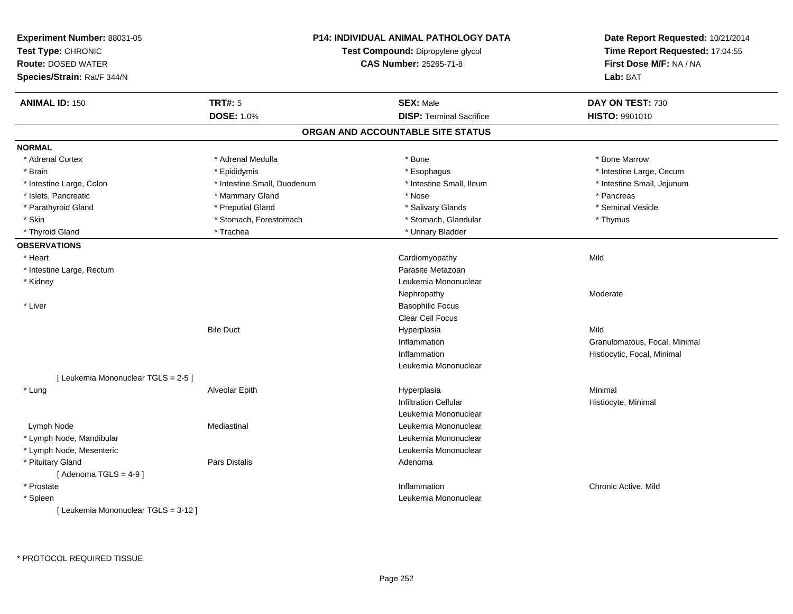| Experiment Number: 88031-05<br>Test Type: CHRONIC<br><b>Route: DOSED WATER</b><br>Species/Strain: Rat/F 344/N | <b>P14: INDIVIDUAL ANIMAL PATHOLOGY DATA</b><br>Test Compound: Dipropylene glycol<br><b>CAS Number: 25265-71-8</b> |                                   | Date Report Requested: 10/21/2014<br>Time Report Requested: 17:04:55<br>First Dose M/F: NA / NA<br>Lab: BAT |
|---------------------------------------------------------------------------------------------------------------|--------------------------------------------------------------------------------------------------------------------|-----------------------------------|-------------------------------------------------------------------------------------------------------------|
| <b>ANIMAL ID: 150</b>                                                                                         | <b>TRT#: 5</b>                                                                                                     | <b>SEX: Male</b>                  | DAY ON TEST: 730                                                                                            |
|                                                                                                               | <b>DOSE: 1.0%</b>                                                                                                  | <b>DISP: Terminal Sacrifice</b>   | HISTO: 9901010                                                                                              |
|                                                                                                               |                                                                                                                    | ORGAN AND ACCOUNTABLE SITE STATUS |                                                                                                             |
| <b>NORMAL</b>                                                                                                 |                                                                                                                    |                                   |                                                                                                             |
| * Adrenal Cortex                                                                                              | * Adrenal Medulla                                                                                                  | * Bone                            | * Bone Marrow                                                                                               |
| * Brain                                                                                                       | * Epididymis                                                                                                       | * Esophagus                       | * Intestine Large, Cecum                                                                                    |
| * Intestine Large, Colon                                                                                      | * Intestine Small, Duodenum                                                                                        | * Intestine Small, Ileum          | * Intestine Small, Jejunum                                                                                  |
| * Islets, Pancreatic                                                                                          | * Mammary Gland                                                                                                    | * Nose                            | * Pancreas                                                                                                  |
| * Parathyroid Gland                                                                                           | * Preputial Gland                                                                                                  | * Salivary Glands                 | * Seminal Vesicle                                                                                           |
| * Skin                                                                                                        | * Stomach, Forestomach                                                                                             | * Stomach, Glandular              | * Thymus                                                                                                    |
| * Thyroid Gland                                                                                               | * Trachea                                                                                                          | * Urinary Bladder                 |                                                                                                             |
| <b>OBSERVATIONS</b>                                                                                           |                                                                                                                    |                                   |                                                                                                             |
| * Heart                                                                                                       |                                                                                                                    | Cardiomyopathy                    | Mild                                                                                                        |
| * Intestine Large, Rectum                                                                                     |                                                                                                                    | Parasite Metazoan                 |                                                                                                             |
| * Kidney                                                                                                      |                                                                                                                    | Leukemia Mononuclear              |                                                                                                             |
|                                                                                                               |                                                                                                                    | Nephropathy                       | Moderate                                                                                                    |
| * Liver                                                                                                       |                                                                                                                    | <b>Basophilic Focus</b>           |                                                                                                             |
|                                                                                                               |                                                                                                                    | <b>Clear Cell Focus</b>           |                                                                                                             |
|                                                                                                               | <b>Bile Duct</b>                                                                                                   | Hyperplasia                       | Mild                                                                                                        |
|                                                                                                               |                                                                                                                    | Inflammation                      | Granulomatous, Focal, Minimal                                                                               |
|                                                                                                               |                                                                                                                    | Inflammation                      | Histiocytic, Focal, Minimal                                                                                 |
|                                                                                                               |                                                                                                                    | Leukemia Mononuclear              |                                                                                                             |
| [ Leukemia Mononuclear TGLS = 2-5 ]                                                                           |                                                                                                                    |                                   |                                                                                                             |
| * Lung                                                                                                        | Alveolar Epith                                                                                                     | Hyperplasia                       | Minimal                                                                                                     |
|                                                                                                               |                                                                                                                    | <b>Infiltration Cellular</b>      | Histiocyte, Minimal                                                                                         |
|                                                                                                               |                                                                                                                    | Leukemia Mononuclear              |                                                                                                             |
| Lymph Node                                                                                                    | Mediastinal                                                                                                        | Leukemia Mononuclear              |                                                                                                             |
| * Lymph Node, Mandibular                                                                                      |                                                                                                                    | Leukemia Mononuclear              |                                                                                                             |
| * Lymph Node, Mesenteric                                                                                      |                                                                                                                    | Leukemia Mononuclear              |                                                                                                             |
| * Pituitary Gland                                                                                             | Pars Distalis                                                                                                      | Adenoma                           |                                                                                                             |
| [Adenoma TGLS = $4-9$ ]                                                                                       |                                                                                                                    |                                   |                                                                                                             |
| * Prostate                                                                                                    |                                                                                                                    | Inflammation                      | Chronic Active, Mild                                                                                        |
| * Spleen                                                                                                      |                                                                                                                    | Leukemia Mononuclear              |                                                                                                             |
| [ Leukemia Mononuclear TGLS = 3-12 ]                                                                          |                                                                                                                    |                                   |                                                                                                             |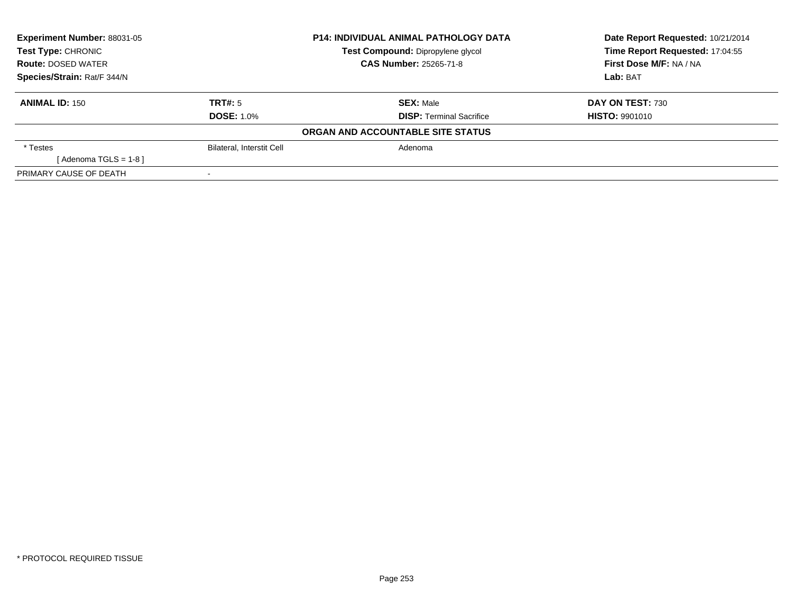| Experiment Number: 88031-05 |                                  | <b>P14: INDIVIDUAL ANIMAL PATHOLOGY DATA</b> | Date Report Requested: 10/21/2014 |
|-----------------------------|----------------------------------|----------------------------------------------|-----------------------------------|
| <b>Test Type: CHRONIC</b>   |                                  | Test Compound: Dipropylene glycol            | Time Report Requested: 17:04:55   |
| <b>Route: DOSED WATER</b>   |                                  | <b>CAS Number: 25265-71-8</b>                | First Dose M/F: NA / NA           |
| Species/Strain: Rat/F 344/N |                                  |                                              | Lab: BAT                          |
| <b>ANIMAL ID: 150</b>       | TRT#: 5                          | <b>SEX: Male</b>                             | DAY ON TEST: 730                  |
|                             | <b>DOSE: 1.0%</b>                | <b>DISP:</b> Terminal Sacrifice              | <b>HISTO: 9901010</b>             |
|                             |                                  | ORGAN AND ACCOUNTABLE SITE STATUS            |                                   |
| * Testes                    | <b>Bilateral, Interstit Cell</b> | Adenoma                                      |                                   |
| [Adenoma TGLS = $1-8$ ]     |                                  |                                              |                                   |
| PRIMARY CAUSE OF DEATH      |                                  |                                              |                                   |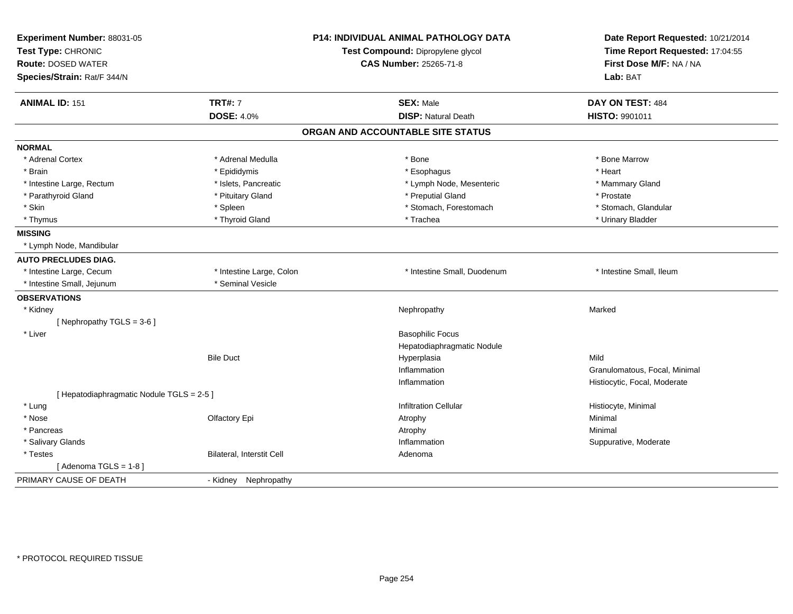| Experiment Number: 88031-05<br>Test Type: CHRONIC<br><b>Route: DOSED WATER</b><br>Species/Strain: Rat/F 344/N |                           | P14: INDIVIDUAL ANIMAL PATHOLOGY DATA<br>Test Compound: Dipropylene glycol<br><b>CAS Number: 25265-71-8</b> | Date Report Requested: 10/21/2014<br>Time Report Requested: 17:04:55<br>First Dose M/F: NA / NA<br>Lab: BAT |
|---------------------------------------------------------------------------------------------------------------|---------------------------|-------------------------------------------------------------------------------------------------------------|-------------------------------------------------------------------------------------------------------------|
| <b>ANIMAL ID: 151</b>                                                                                         | <b>TRT#: 7</b>            | <b>SEX: Male</b>                                                                                            | DAY ON TEST: 484                                                                                            |
|                                                                                                               | <b>DOSE: 4.0%</b>         | <b>DISP: Natural Death</b>                                                                                  | HISTO: 9901011                                                                                              |
|                                                                                                               |                           | ORGAN AND ACCOUNTABLE SITE STATUS                                                                           |                                                                                                             |
| <b>NORMAL</b>                                                                                                 |                           |                                                                                                             |                                                                                                             |
| * Adrenal Cortex                                                                                              | * Adrenal Medulla         | * Bone                                                                                                      | * Bone Marrow                                                                                               |
| * Brain                                                                                                       | * Epididymis              | * Esophagus                                                                                                 | * Heart                                                                                                     |
| * Intestine Large, Rectum                                                                                     | * Islets, Pancreatic      | * Lymph Node, Mesenteric                                                                                    | * Mammary Gland                                                                                             |
| * Parathyroid Gland                                                                                           | * Pituitary Gland         | * Preputial Gland                                                                                           | * Prostate                                                                                                  |
| * Skin                                                                                                        | * Spleen                  | * Stomach, Forestomach                                                                                      | * Stomach, Glandular                                                                                        |
| * Thymus                                                                                                      | * Thyroid Gland           | * Trachea                                                                                                   | * Urinary Bladder                                                                                           |
| <b>MISSING</b>                                                                                                |                           |                                                                                                             |                                                                                                             |
| * Lymph Node, Mandibular                                                                                      |                           |                                                                                                             |                                                                                                             |
| <b>AUTO PRECLUDES DIAG.</b>                                                                                   |                           |                                                                                                             |                                                                                                             |
| * Intestine Large, Cecum                                                                                      | * Intestine Large, Colon  | * Intestine Small, Duodenum                                                                                 | * Intestine Small, Ileum                                                                                    |
| * Intestine Small, Jejunum                                                                                    | * Seminal Vesicle         |                                                                                                             |                                                                                                             |
| <b>OBSERVATIONS</b>                                                                                           |                           |                                                                                                             |                                                                                                             |
| * Kidney                                                                                                      |                           | Nephropathy                                                                                                 | Marked                                                                                                      |
| [Nephropathy TGLS = $3-6$ ]                                                                                   |                           |                                                                                                             |                                                                                                             |
| * Liver                                                                                                       |                           | <b>Basophilic Focus</b>                                                                                     |                                                                                                             |
|                                                                                                               |                           | Hepatodiaphragmatic Nodule                                                                                  |                                                                                                             |
|                                                                                                               | <b>Bile Duct</b>          | Hyperplasia                                                                                                 | Mild                                                                                                        |
|                                                                                                               |                           | Inflammation                                                                                                | Granulomatous, Focal, Minimal                                                                               |
|                                                                                                               |                           | Inflammation                                                                                                | Histiocytic, Focal, Moderate                                                                                |
| [ Hepatodiaphragmatic Nodule TGLS = 2-5 ]                                                                     |                           |                                                                                                             |                                                                                                             |
| * Lung                                                                                                        |                           | <b>Infiltration Cellular</b>                                                                                | Histiocyte, Minimal                                                                                         |
| * Nose                                                                                                        | Olfactory Epi             | Atrophy                                                                                                     | Minimal                                                                                                     |
| * Pancreas                                                                                                    |                           | Atrophy                                                                                                     | Minimal                                                                                                     |
| * Salivary Glands                                                                                             |                           | Inflammation                                                                                                | Suppurative, Moderate                                                                                       |
| * Testes                                                                                                      | Bilateral, Interstit Cell | Adenoma                                                                                                     |                                                                                                             |
| [Adenoma TGLS = $1-8$ ]                                                                                       |                           |                                                                                                             |                                                                                                             |
| PRIMARY CAUSE OF DEATH                                                                                        | - Kidney Nephropathy      |                                                                                                             |                                                                                                             |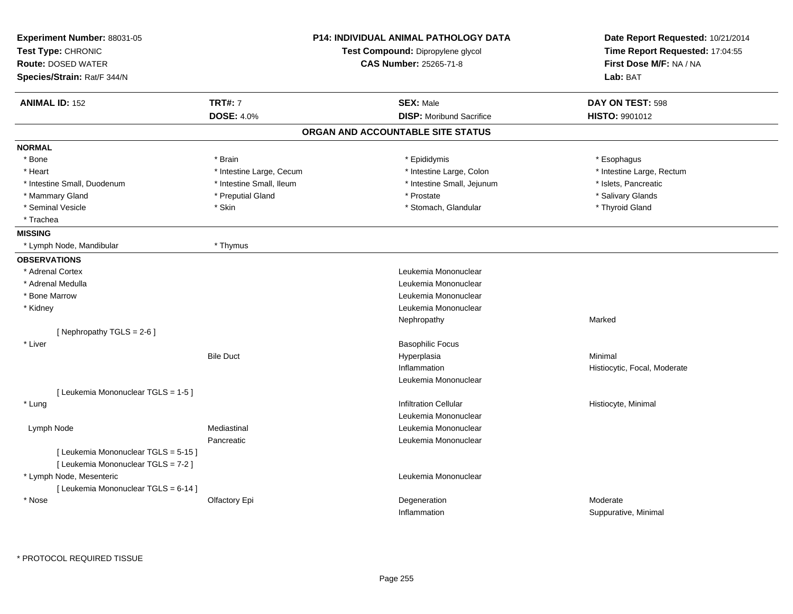| Experiment Number: 88031-05<br>Test Type: CHRONIC |                          | <b>P14: INDIVIDUAL ANIMAL PATHOLOGY DATA</b><br>Test Compound: Dipropylene glycol | Date Report Requested: 10/21/2014<br>Time Report Requested: 17:04:55 |
|---------------------------------------------------|--------------------------|-----------------------------------------------------------------------------------|----------------------------------------------------------------------|
| <b>Route: DOSED WATER</b>                         |                          | <b>CAS Number: 25265-71-8</b>                                                     | First Dose M/F: NA / NA<br>Lab: BAT                                  |
| Species/Strain: Rat/F 344/N                       |                          |                                                                                   |                                                                      |
| <b>ANIMAL ID: 152</b>                             | <b>TRT#: 7</b>           | <b>SEX: Male</b>                                                                  | DAY ON TEST: 598                                                     |
|                                                   | <b>DOSE: 4.0%</b>        | <b>DISP:</b> Moribund Sacrifice                                                   | <b>HISTO: 9901012</b>                                                |
|                                                   |                          | ORGAN AND ACCOUNTABLE SITE STATUS                                                 |                                                                      |
| <b>NORMAL</b>                                     |                          |                                                                                   |                                                                      |
| * Bone                                            | * Brain                  | * Epididymis                                                                      | * Esophagus                                                          |
| * Heart                                           | * Intestine Large, Cecum | * Intestine Large, Colon                                                          | * Intestine Large, Rectum                                            |
| * Intestine Small, Duodenum                       | * Intestine Small, Ileum | * Intestine Small, Jejunum                                                        | * Islets, Pancreatic                                                 |
| * Mammary Gland                                   | * Preputial Gland        | * Prostate                                                                        | * Salivary Glands                                                    |
| * Seminal Vesicle                                 | * Skin                   | * Stomach, Glandular                                                              | * Thyroid Gland                                                      |
| * Trachea                                         |                          |                                                                                   |                                                                      |
| <b>MISSING</b>                                    |                          |                                                                                   |                                                                      |
| * Lymph Node, Mandibular                          | * Thymus                 |                                                                                   |                                                                      |
| <b>OBSERVATIONS</b>                               |                          |                                                                                   |                                                                      |
| * Adrenal Cortex                                  |                          | Leukemia Mononuclear                                                              |                                                                      |
| * Adrenal Medulla                                 |                          | Leukemia Mononuclear                                                              |                                                                      |
| * Bone Marrow                                     |                          | Leukemia Mononuclear                                                              |                                                                      |
| * Kidney                                          |                          | Leukemia Mononuclear                                                              |                                                                      |
|                                                   |                          | Nephropathy                                                                       | Marked                                                               |
| [ Nephropathy $TGLS = 2-6$ ]                      |                          |                                                                                   |                                                                      |
| * Liver                                           |                          | <b>Basophilic Focus</b>                                                           |                                                                      |
|                                                   | <b>Bile Duct</b>         | Hyperplasia                                                                       | Minimal                                                              |
|                                                   |                          | Inflammation                                                                      | Histiocytic, Focal, Moderate                                         |
|                                                   |                          | Leukemia Mononuclear                                                              |                                                                      |
| [ Leukemia Mononuclear TGLS = 1-5 ]               |                          |                                                                                   |                                                                      |
| * Lung                                            |                          | <b>Infiltration Cellular</b>                                                      | Histiocyte, Minimal                                                  |
|                                                   |                          | Leukemia Mononuclear                                                              |                                                                      |
| Lymph Node                                        | Mediastinal              | Leukemia Mononuclear                                                              |                                                                      |
|                                                   | Pancreatic               | Leukemia Mononuclear                                                              |                                                                      |
| [ Leukemia Mononuclear TGLS = 5-15 ]              |                          |                                                                                   |                                                                      |
| [ Leukemia Mononuclear TGLS = 7-2 ]               |                          |                                                                                   |                                                                      |
| * Lymph Node, Mesenteric                          |                          | Leukemia Mononuclear                                                              |                                                                      |
| [ Leukemia Mononuclear TGLS = 6-14 ]              |                          |                                                                                   |                                                                      |
| * Nose                                            | Olfactory Epi            | Degeneration                                                                      | Moderate                                                             |
|                                                   |                          | Inflammation                                                                      | Suppurative, Minimal                                                 |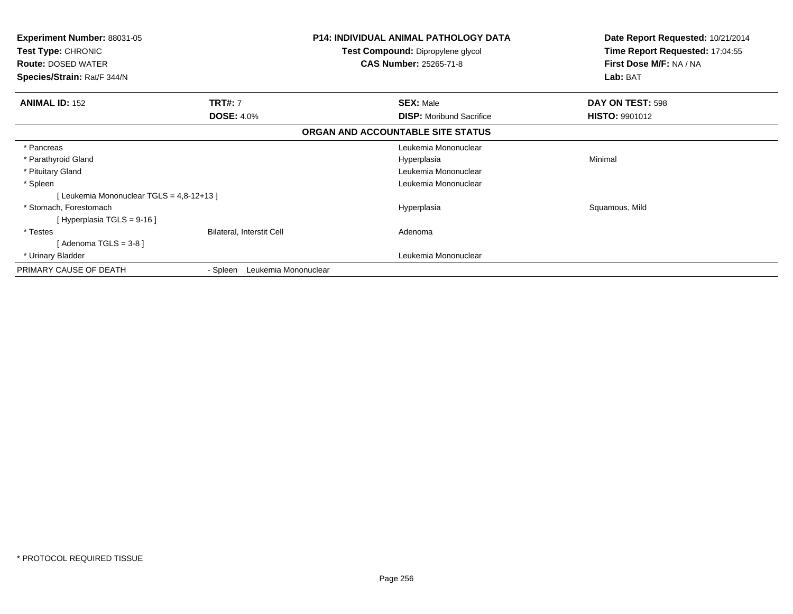| Experiment Number: 88031-05<br>Test Type: CHRONIC<br><b>Route: DOSED WATER</b> |                                  | <b>P14: INDIVIDUAL ANIMAL PATHOLOGY DATA</b><br>Test Compound: Dipropylene glycol<br><b>CAS Number: 25265-71-8</b> | Date Report Requested: 10/21/2014<br>Time Report Requested: 17:04:55<br>First Dose M/F: NA / NA<br>Lab: BAT |
|--------------------------------------------------------------------------------|----------------------------------|--------------------------------------------------------------------------------------------------------------------|-------------------------------------------------------------------------------------------------------------|
| Species/Strain: Rat/F 344/N                                                    |                                  |                                                                                                                    |                                                                                                             |
| <b>ANIMAL ID: 152</b>                                                          | <b>TRT#: 7</b>                   | <b>SEX: Male</b>                                                                                                   | DAY ON TEST: 598                                                                                            |
|                                                                                | <b>DOSE: 4.0%</b>                | <b>DISP:</b> Moribund Sacrifice                                                                                    | <b>HISTO: 9901012</b>                                                                                       |
|                                                                                |                                  | ORGAN AND ACCOUNTABLE SITE STATUS                                                                                  |                                                                                                             |
| * Pancreas                                                                     |                                  | Leukemia Mononuclear                                                                                               |                                                                                                             |
| * Parathyroid Gland                                                            |                                  | Hyperplasia                                                                                                        | Minimal                                                                                                     |
| * Pituitary Gland                                                              |                                  | Leukemia Mononuclear                                                                                               |                                                                                                             |
| * Spleen                                                                       |                                  | Leukemia Mononuclear                                                                                               |                                                                                                             |
| [Leukemia Mononuclear TGLS = 4,8-12+13]                                        |                                  |                                                                                                                    |                                                                                                             |
| * Stomach, Forestomach                                                         |                                  | Hyperplasia                                                                                                        | Squamous, Mild                                                                                              |
| [Hyperplasia TGLS = $9-16$ ]                                                   |                                  |                                                                                                                    |                                                                                                             |
| * Testes                                                                       | <b>Bilateral, Interstit Cell</b> | Adenoma                                                                                                            |                                                                                                             |
| [ Adenoma TGLS = 3-8 ]                                                         |                                  |                                                                                                                    |                                                                                                             |
| * Urinary Bladder                                                              |                                  | Leukemia Mononuclear                                                                                               |                                                                                                             |
| PRIMARY CAUSE OF DEATH                                                         | Leukemia Mononuclear<br>- Spleen |                                                                                                                    |                                                                                                             |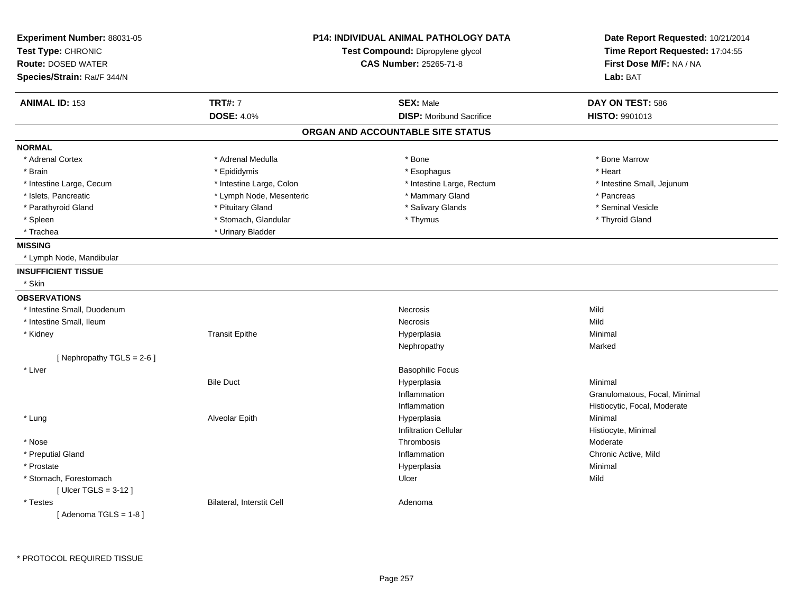| Experiment Number: 88031-05<br>Test Type: CHRONIC<br><b>Route: DOSED WATER</b><br>Species/Strain: Rat/F 344/N | <b>P14: INDIVIDUAL ANIMAL PATHOLOGY DATA</b><br>Test Compound: Dipropylene glycol<br><b>CAS Number: 25265-71-8</b> |                                   | Date Report Requested: 10/21/2014<br>Time Report Requested: 17:04:55<br>First Dose M/F: NA / NA<br>Lab: BAT |
|---------------------------------------------------------------------------------------------------------------|--------------------------------------------------------------------------------------------------------------------|-----------------------------------|-------------------------------------------------------------------------------------------------------------|
| <b>ANIMAL ID: 153</b>                                                                                         | <b>TRT#: 7</b>                                                                                                     | <b>SEX: Male</b>                  | DAY ON TEST: 586                                                                                            |
|                                                                                                               | <b>DOSE: 4.0%</b>                                                                                                  | <b>DISP:</b> Moribund Sacrifice   | <b>HISTO: 9901013</b>                                                                                       |
|                                                                                                               |                                                                                                                    | ORGAN AND ACCOUNTABLE SITE STATUS |                                                                                                             |
| <b>NORMAL</b>                                                                                                 |                                                                                                                    |                                   |                                                                                                             |
| * Adrenal Cortex                                                                                              | * Adrenal Medulla                                                                                                  | $*$ Bone                          | * Bone Marrow                                                                                               |
| * Brain                                                                                                       | * Epididymis                                                                                                       | * Esophagus                       | * Heart                                                                                                     |
| * Intestine Large, Cecum                                                                                      | * Intestine Large, Colon                                                                                           | * Intestine Large, Rectum         | * Intestine Small, Jejunum                                                                                  |
| * Islets, Pancreatic                                                                                          | * Lymph Node, Mesenteric                                                                                           | * Mammary Gland                   | * Pancreas                                                                                                  |
| * Parathyroid Gland                                                                                           | * Pituitary Gland                                                                                                  | * Salivary Glands                 | * Seminal Vesicle                                                                                           |
| * Spleen                                                                                                      | * Stomach, Glandular                                                                                               | * Thymus                          | * Thyroid Gland                                                                                             |
| * Trachea                                                                                                     | * Urinary Bladder                                                                                                  |                                   |                                                                                                             |
| <b>MISSING</b>                                                                                                |                                                                                                                    |                                   |                                                                                                             |
| * Lymph Node, Mandibular                                                                                      |                                                                                                                    |                                   |                                                                                                             |
| <b>INSUFFICIENT TISSUE</b>                                                                                    |                                                                                                                    |                                   |                                                                                                             |
| * Skin                                                                                                        |                                                                                                                    |                                   |                                                                                                             |
| <b>OBSERVATIONS</b>                                                                                           |                                                                                                                    |                                   |                                                                                                             |
| * Intestine Small, Duodenum                                                                                   |                                                                                                                    | <b>Necrosis</b>                   | Mild                                                                                                        |
| * Intestine Small, Ileum                                                                                      |                                                                                                                    | Necrosis                          | Mild                                                                                                        |
| * Kidney                                                                                                      | <b>Transit Epithe</b>                                                                                              | Hyperplasia                       | Minimal                                                                                                     |
|                                                                                                               |                                                                                                                    | Nephropathy                       | Marked                                                                                                      |
| [ Nephropathy TGLS = $2-6$ ]                                                                                  |                                                                                                                    |                                   |                                                                                                             |
| * Liver                                                                                                       |                                                                                                                    | <b>Basophilic Focus</b>           |                                                                                                             |
|                                                                                                               | <b>Bile Duct</b>                                                                                                   | Hyperplasia                       | Minimal                                                                                                     |
|                                                                                                               |                                                                                                                    | Inflammation                      | Granulomatous, Focal, Minimal                                                                               |
|                                                                                                               |                                                                                                                    | Inflammation                      | Histiocytic, Focal, Moderate                                                                                |
| * Lung                                                                                                        | Alveolar Epith                                                                                                     | Hyperplasia                       | Minimal                                                                                                     |
|                                                                                                               |                                                                                                                    | <b>Infiltration Cellular</b>      | Histiocyte, Minimal                                                                                         |
| * Nose                                                                                                        |                                                                                                                    | Thrombosis                        | Moderate                                                                                                    |
| * Preputial Gland                                                                                             |                                                                                                                    | Inflammation                      | Chronic Active, Mild                                                                                        |
| * Prostate                                                                                                    |                                                                                                                    | Hyperplasia                       | Minimal                                                                                                     |
| * Stomach, Forestomach                                                                                        |                                                                                                                    | Ulcer                             | Mild                                                                                                        |
| [ $Ulcer TGLS = 3-12$ ]                                                                                       |                                                                                                                    |                                   |                                                                                                             |
| * Testes                                                                                                      | Bilateral, Interstit Cell                                                                                          | Adenoma                           |                                                                                                             |
| [Adenoma TGLS = $1-8$ ]                                                                                       |                                                                                                                    |                                   |                                                                                                             |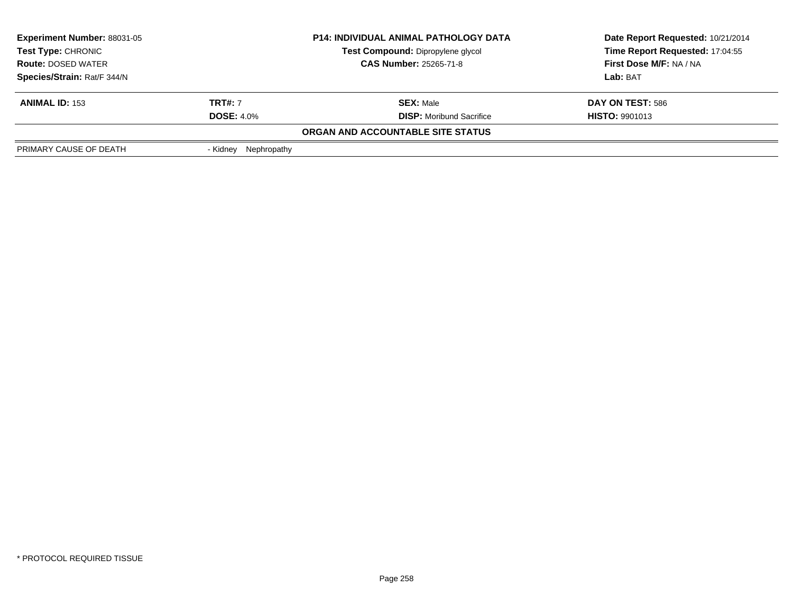| <b>Experiment Number: 88031-05</b>                                                                                                  |                         | <b>P14: INDIVIDUAL ANIMAL PATHOLOGY DATA</b> | Date Report Requested: 10/21/2014 |
|-------------------------------------------------------------------------------------------------------------------------------------|-------------------------|----------------------------------------------|-----------------------------------|
| <b>Test Type: CHRONIC</b><br><b>Test Compound: Dipropylene glycol</b><br><b>CAS Number: 25265-71-8</b><br><b>Route: DOSED WATER</b> |                         |                                              | Time Report Requested: 17:04:55   |
|                                                                                                                                     |                         |                                              | First Dose M/F: NA / NA           |
| Species/Strain: Rat/F 344/N                                                                                                         |                         |                                              | Lab: BAT                          |
| <b>ANIMAL ID: 153</b>                                                                                                               | <b>TRT#:</b> 7          | <b>SEX: Male</b>                             | DAY ON TEST: 586                  |
|                                                                                                                                     | <b>DOSE: 4.0%</b>       | <b>DISP:</b> Moribund Sacrifice              | <b>HISTO: 9901013</b>             |
|                                                                                                                                     |                         | ORGAN AND ACCOUNTABLE SITE STATUS            |                                   |
| PRIMARY CAUSE OF DEATH                                                                                                              | Nephropathy<br>- Kidnev |                                              |                                   |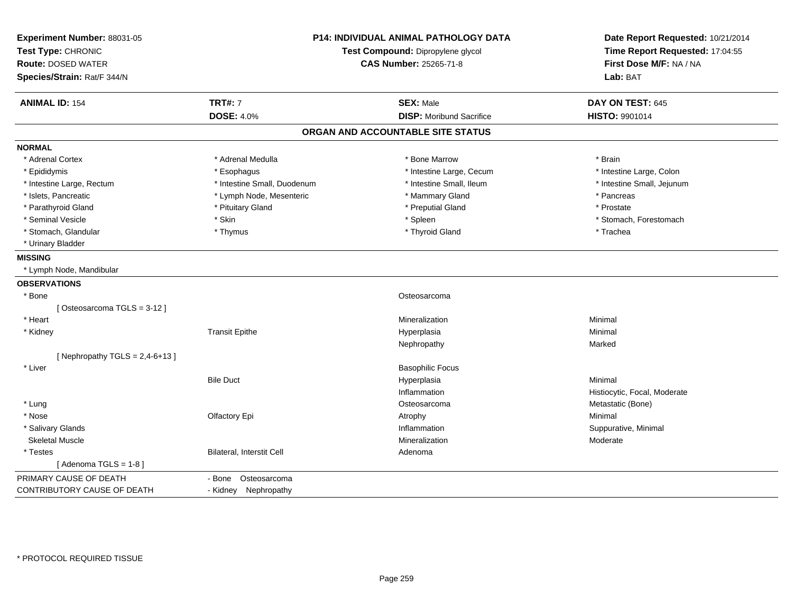| Experiment Number: 88031-05<br>Test Type: CHRONIC<br><b>Route: DOSED WATER</b><br>Species/Strain: Rat/F 344/N | P14: INDIVIDUAL ANIMAL PATHOLOGY DATA<br>Test Compound: Dipropylene glycol<br><b>CAS Number: 25265-71-8</b> |                                   | Date Report Requested: 10/21/2014<br>Time Report Requested: 17:04:55<br>First Dose M/F: NA / NA<br>Lab: BAT |
|---------------------------------------------------------------------------------------------------------------|-------------------------------------------------------------------------------------------------------------|-----------------------------------|-------------------------------------------------------------------------------------------------------------|
| <b>ANIMAL ID: 154</b>                                                                                         | <b>TRT#: 7</b><br><b>DOSE: 4.0%</b>                                                                         | <b>SEX: Male</b>                  | DAY ON TEST: 645                                                                                            |
|                                                                                                               |                                                                                                             | <b>DISP:</b> Moribund Sacrifice   | HISTO: 9901014                                                                                              |
|                                                                                                               |                                                                                                             | ORGAN AND ACCOUNTABLE SITE STATUS |                                                                                                             |
| <b>NORMAL</b>                                                                                                 |                                                                                                             |                                   |                                                                                                             |
| * Adrenal Cortex                                                                                              | * Adrenal Medulla                                                                                           | * Bone Marrow                     | * Brain                                                                                                     |
| * Epididymis                                                                                                  | * Esophagus                                                                                                 | * Intestine Large, Cecum          | * Intestine Large, Colon                                                                                    |
| * Intestine Large, Rectum                                                                                     | * Intestine Small, Duodenum                                                                                 | * Intestine Small, Ileum          | * Intestine Small, Jejunum                                                                                  |
| * Islets, Pancreatic                                                                                          | * Lymph Node, Mesenteric                                                                                    | * Mammary Gland                   | * Pancreas                                                                                                  |
| * Parathyroid Gland                                                                                           | * Pituitary Gland                                                                                           | * Preputial Gland                 | * Prostate                                                                                                  |
| * Seminal Vesicle                                                                                             | * Skin                                                                                                      | * Spleen                          | * Stomach, Forestomach                                                                                      |
| * Stomach, Glandular                                                                                          | * Thymus                                                                                                    | * Thyroid Gland                   | * Trachea                                                                                                   |
| * Urinary Bladder                                                                                             |                                                                                                             |                                   |                                                                                                             |
| <b>MISSING</b>                                                                                                |                                                                                                             |                                   |                                                                                                             |
| * Lymph Node, Mandibular                                                                                      |                                                                                                             |                                   |                                                                                                             |
| <b>OBSERVATIONS</b>                                                                                           |                                                                                                             |                                   |                                                                                                             |
| * Bone                                                                                                        |                                                                                                             | Osteosarcoma                      |                                                                                                             |
| [Osteosarcoma TGLS = 3-12]                                                                                    |                                                                                                             |                                   |                                                                                                             |
| * Heart                                                                                                       |                                                                                                             | Mineralization                    | Minimal                                                                                                     |
| * Kidney                                                                                                      | <b>Transit Epithe</b>                                                                                       | Hyperplasia                       | Minimal                                                                                                     |
|                                                                                                               |                                                                                                             | Nephropathy                       | Marked                                                                                                      |
| [ Nephropathy TGLS = $2,4-6+13$ ]                                                                             |                                                                                                             |                                   |                                                                                                             |
| * Liver                                                                                                       |                                                                                                             | <b>Basophilic Focus</b>           |                                                                                                             |
|                                                                                                               | <b>Bile Duct</b>                                                                                            | Hyperplasia                       | Minimal                                                                                                     |
|                                                                                                               |                                                                                                             | Inflammation                      | Histiocytic, Focal, Moderate                                                                                |
| * Lung                                                                                                        |                                                                                                             | Osteosarcoma                      | Metastatic (Bone)                                                                                           |
| * Nose                                                                                                        | Olfactory Epi                                                                                               | Atrophy                           | Minimal                                                                                                     |
| * Salivary Glands                                                                                             |                                                                                                             | Inflammation                      | Suppurative, Minimal                                                                                        |
| <b>Skeletal Muscle</b>                                                                                        |                                                                                                             | Mineralization                    | Moderate                                                                                                    |
| * Testes                                                                                                      | Bilateral, Interstit Cell                                                                                   | Adenoma                           |                                                                                                             |
| [Adenoma TGLS = $1-8$ ]                                                                                       |                                                                                                             |                                   |                                                                                                             |
| PRIMARY CAUSE OF DEATH                                                                                        | - Bone Osteosarcoma                                                                                         |                                   |                                                                                                             |
| <b>CONTRIBUTORY CAUSE OF DEATH</b>                                                                            | - Kidney Nephropathy                                                                                        |                                   |                                                                                                             |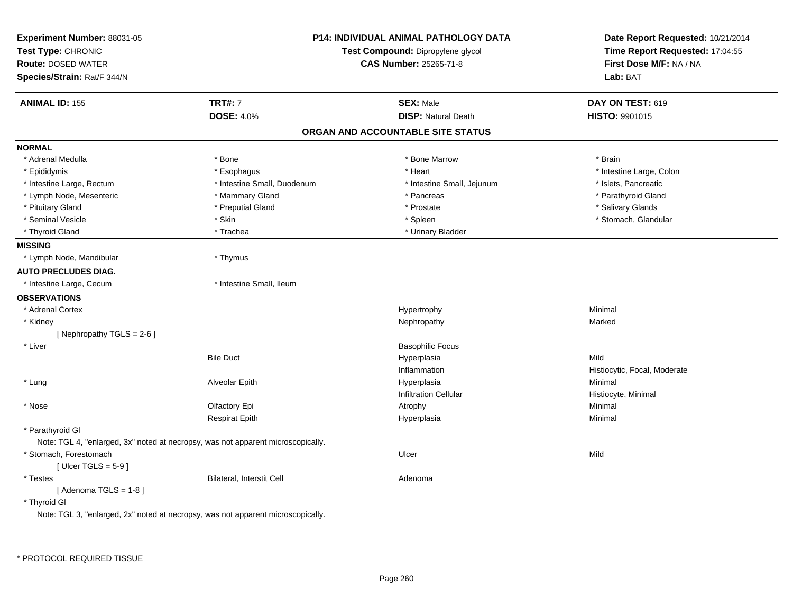| Experiment Number: 88031-05<br>Test Type: CHRONIC<br><b>Route: DOSED WATER</b><br>Species/Strain: Rat/F 344/N | <b>P14: INDIVIDUAL ANIMAL PATHOLOGY DATA</b><br>Test Compound: Dipropylene glycol<br><b>CAS Number: 25265-71-8</b> |                                   | Date Report Requested: 10/21/2014<br>Time Report Requested: 17:04:55<br>First Dose M/F: NA / NA<br>Lab: BAT |
|---------------------------------------------------------------------------------------------------------------|--------------------------------------------------------------------------------------------------------------------|-----------------------------------|-------------------------------------------------------------------------------------------------------------|
| <b>ANIMAL ID: 155</b>                                                                                         | <b>TRT#: 7</b>                                                                                                     | <b>SEX: Male</b>                  | DAY ON TEST: 619                                                                                            |
|                                                                                                               | <b>DOSE: 4.0%</b>                                                                                                  | <b>DISP: Natural Death</b>        | HISTO: 9901015                                                                                              |
|                                                                                                               |                                                                                                                    | ORGAN AND ACCOUNTABLE SITE STATUS |                                                                                                             |
| <b>NORMAL</b>                                                                                                 |                                                                                                                    |                                   |                                                                                                             |
| * Adrenal Medulla                                                                                             | * Bone                                                                                                             | * Bone Marrow                     | * Brain                                                                                                     |
| * Epididymis                                                                                                  | * Esophagus                                                                                                        | * Heart                           | * Intestine Large, Colon                                                                                    |
| * Intestine Large, Rectum                                                                                     | * Intestine Small, Duodenum                                                                                        | * Intestine Small, Jejunum        | * Islets, Pancreatic                                                                                        |
| * Lymph Node, Mesenteric                                                                                      | * Mammary Gland                                                                                                    | * Pancreas                        | * Parathyroid Gland                                                                                         |
| * Pituitary Gland                                                                                             | * Preputial Gland                                                                                                  | * Prostate                        | * Salivary Glands                                                                                           |
| * Seminal Vesicle                                                                                             | * Skin                                                                                                             | * Spleen                          | * Stomach, Glandular                                                                                        |
| * Thyroid Gland                                                                                               | * Trachea                                                                                                          | * Urinary Bladder                 |                                                                                                             |
| <b>MISSING</b>                                                                                                |                                                                                                                    |                                   |                                                                                                             |
| * Lymph Node, Mandibular                                                                                      | * Thymus                                                                                                           |                                   |                                                                                                             |
| <b>AUTO PRECLUDES DIAG.</b>                                                                                   |                                                                                                                    |                                   |                                                                                                             |
| * Intestine Large, Cecum                                                                                      | * Intestine Small, Ileum                                                                                           |                                   |                                                                                                             |
| <b>OBSERVATIONS</b>                                                                                           |                                                                                                                    |                                   |                                                                                                             |
| * Adrenal Cortex                                                                                              |                                                                                                                    | Hypertrophy                       | Minimal                                                                                                     |
| * Kidney                                                                                                      |                                                                                                                    | Nephropathy                       | Marked                                                                                                      |
| [Nephropathy TGLS = 2-6]                                                                                      |                                                                                                                    |                                   |                                                                                                             |
| * Liver                                                                                                       |                                                                                                                    | <b>Basophilic Focus</b>           |                                                                                                             |
|                                                                                                               | <b>Bile Duct</b>                                                                                                   | Hyperplasia                       | Mild                                                                                                        |
|                                                                                                               |                                                                                                                    | Inflammation                      | Histiocytic, Focal, Moderate                                                                                |
| * Lung                                                                                                        | Alveolar Epith                                                                                                     | Hyperplasia                       | Minimal                                                                                                     |
|                                                                                                               |                                                                                                                    | <b>Infiltration Cellular</b>      | Histiocyte, Minimal                                                                                         |
| * Nose                                                                                                        | Olfactory Epi                                                                                                      | Atrophy                           | Minimal                                                                                                     |
|                                                                                                               | <b>Respirat Epith</b>                                                                                              | Hyperplasia                       | Minimal                                                                                                     |
| * Parathyroid Gl                                                                                              |                                                                                                                    |                                   |                                                                                                             |
|                                                                                                               | Note: TGL 4, "enlarged, 3x" noted at necropsy, was not apparent microscopically.                                   |                                   |                                                                                                             |
| * Stomach, Forestomach                                                                                        |                                                                                                                    | Ulcer                             | Mild                                                                                                        |
| [Ulcer TGLS = $5-9$ ]                                                                                         |                                                                                                                    |                                   |                                                                                                             |
| * Testes                                                                                                      | Bilateral, Interstit Cell                                                                                          | Adenoma                           |                                                                                                             |
| [Adenoma TGLS = $1-8$ ]                                                                                       |                                                                                                                    |                                   |                                                                                                             |
| * Thyroid GI                                                                                                  |                                                                                                                    |                                   |                                                                                                             |
|                                                                                                               | Note: TGL 3, "enlarged, 2x" noted at necropsy, was not apparent microscopically.                                   |                                   |                                                                                                             |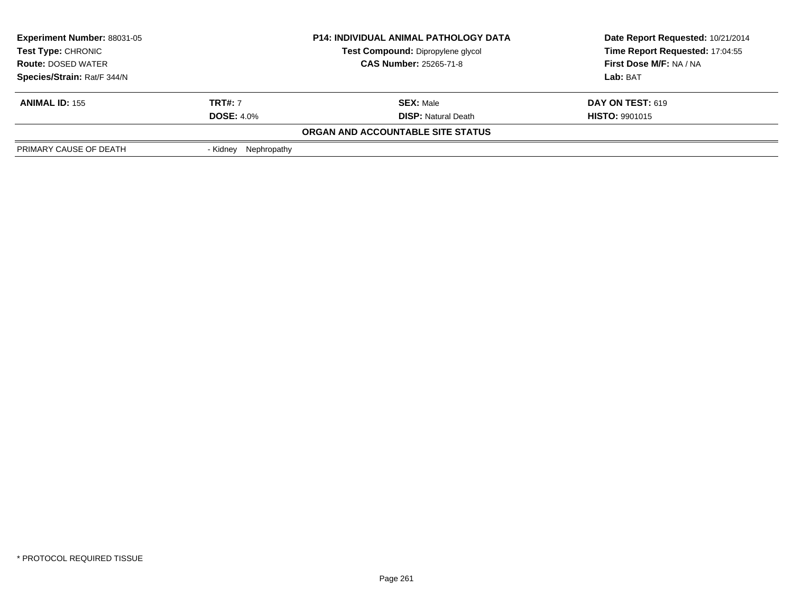| <b>Experiment Number: 88031-05</b>                                                                                    |                         | <b>P14: INDIVIDUAL ANIMAL PATHOLOGY DATA</b> | Date Report Requested: 10/21/2014 |
|-----------------------------------------------------------------------------------------------------------------------|-------------------------|----------------------------------------------|-----------------------------------|
| Test Type: CHRONIC<br>Test Compound: Dipropylene glycol<br><b>CAS Number: 25265-71-8</b><br><b>Route: DOSED WATER</b> |                         |                                              | Time Report Requested: 17:04:55   |
|                                                                                                                       |                         |                                              | <b>First Dose M/F: NA / NA</b>    |
| Species/Strain: Rat/F 344/N                                                                                           |                         |                                              | Lab: BAT                          |
| <b>ANIMAL ID: 155</b>                                                                                                 | <b>TRT#: 7</b>          | <b>SEX: Male</b>                             | <b>DAY ON TEST: 619</b>           |
|                                                                                                                       | <b>DOSE: 4.0%</b>       | <b>DISP:</b> Natural Death                   | <b>HISTO: 9901015</b>             |
|                                                                                                                       |                         | ORGAN AND ACCOUNTABLE SITE STATUS            |                                   |
| PRIMARY CAUSE OF DEATH                                                                                                | Nephropathy<br>- Kidnev |                                              |                                   |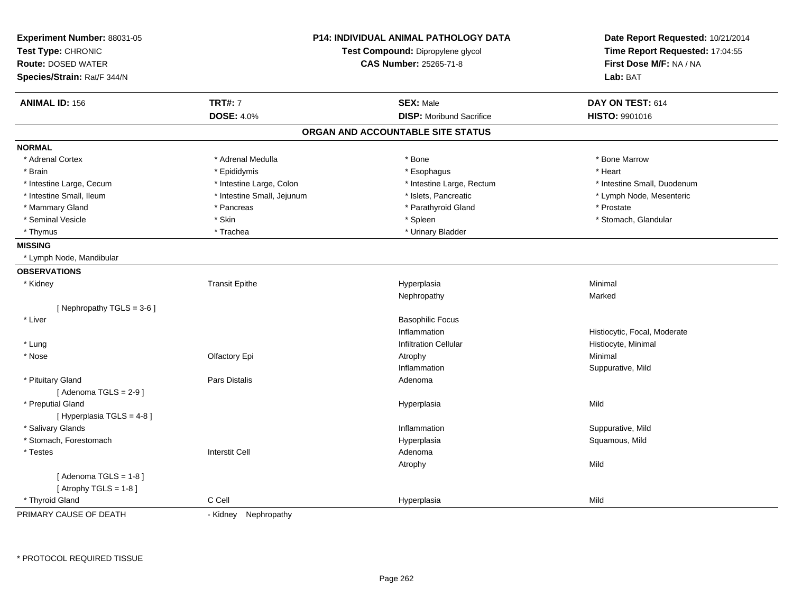| Experiment Number: 88031-05<br>Test Type: CHRONIC<br><b>Route: DOSED WATER</b><br>Species/Strain: Rat/F 344/N |                            | <b>P14: INDIVIDUAL ANIMAL PATHOLOGY DATA</b><br>Test Compound: Dipropylene glycol<br>CAS Number: 25265-71-8 | Date Report Requested: 10/21/2014<br>Time Report Requested: 17:04:55<br>First Dose M/F: NA / NA<br>Lab: BAT |
|---------------------------------------------------------------------------------------------------------------|----------------------------|-------------------------------------------------------------------------------------------------------------|-------------------------------------------------------------------------------------------------------------|
| <b>ANIMAL ID: 156</b>                                                                                         | <b>TRT#: 7</b>             | <b>SEX: Male</b>                                                                                            | DAY ON TEST: 614                                                                                            |
|                                                                                                               | <b>DOSE: 4.0%</b>          | <b>DISP:</b> Moribund Sacrifice                                                                             | <b>HISTO: 9901016</b>                                                                                       |
|                                                                                                               |                            | ORGAN AND ACCOUNTABLE SITE STATUS                                                                           |                                                                                                             |
| <b>NORMAL</b>                                                                                                 |                            |                                                                                                             |                                                                                                             |
| * Adrenal Cortex                                                                                              | * Adrenal Medulla          | * Bone                                                                                                      | * Bone Marrow                                                                                               |
| * Brain                                                                                                       | * Epididymis               | * Esophagus                                                                                                 | * Heart                                                                                                     |
| * Intestine Large, Cecum                                                                                      | * Intestine Large, Colon   | * Intestine Large, Rectum                                                                                   | * Intestine Small, Duodenum                                                                                 |
| * Intestine Small, Ileum                                                                                      | * Intestine Small, Jejunum | * Islets, Pancreatic                                                                                        | * Lymph Node, Mesenteric                                                                                    |
| * Mammary Gland                                                                                               | * Pancreas                 | * Parathyroid Gland                                                                                         | * Prostate                                                                                                  |
| * Seminal Vesicle                                                                                             | * Skin                     | * Spleen                                                                                                    | * Stomach, Glandular                                                                                        |
| * Thymus                                                                                                      | * Trachea                  | * Urinary Bladder                                                                                           |                                                                                                             |
| <b>MISSING</b>                                                                                                |                            |                                                                                                             |                                                                                                             |
| * Lymph Node, Mandibular                                                                                      |                            |                                                                                                             |                                                                                                             |
| <b>OBSERVATIONS</b>                                                                                           |                            |                                                                                                             |                                                                                                             |
| * Kidney                                                                                                      | <b>Transit Epithe</b>      | Hyperplasia                                                                                                 | Minimal                                                                                                     |
|                                                                                                               |                            | Nephropathy                                                                                                 | Marked                                                                                                      |
| [Nephropathy TGLS = 3-6]                                                                                      |                            |                                                                                                             |                                                                                                             |
| * Liver                                                                                                       |                            | <b>Basophilic Focus</b>                                                                                     |                                                                                                             |
|                                                                                                               |                            | Inflammation                                                                                                | Histiocytic, Focal, Moderate                                                                                |
| * Lung                                                                                                        |                            | <b>Infiltration Cellular</b>                                                                                | Histiocyte, Minimal                                                                                         |
| * Nose                                                                                                        | Olfactory Epi              | Atrophy                                                                                                     | Minimal                                                                                                     |
|                                                                                                               |                            | Inflammation                                                                                                | Suppurative, Mild                                                                                           |
| * Pituitary Gland                                                                                             | <b>Pars Distalis</b>       | Adenoma                                                                                                     |                                                                                                             |
| [Adenoma TGLS = $2-9$ ]                                                                                       |                            |                                                                                                             |                                                                                                             |
| * Preputial Gland                                                                                             |                            | Hyperplasia                                                                                                 | Mild                                                                                                        |
| [ Hyperplasia TGLS = 4-8 ]                                                                                    |                            |                                                                                                             |                                                                                                             |
| * Salivary Glands                                                                                             |                            | Inflammation                                                                                                | Suppurative, Mild                                                                                           |
| * Stomach, Forestomach                                                                                        |                            | Hyperplasia                                                                                                 | Squamous, Mild                                                                                              |
| * Testes                                                                                                      | <b>Interstit Cell</b>      | Adenoma                                                                                                     |                                                                                                             |
|                                                                                                               |                            | Atrophy                                                                                                     | Mild                                                                                                        |
| [Adenoma TGLS = $1-8$ ]                                                                                       |                            |                                                                                                             |                                                                                                             |
| [Atrophy TGLS = $1-8$ ]                                                                                       |                            |                                                                                                             |                                                                                                             |
| * Thyroid Gland                                                                                               | C Cell                     | Hyperplasia                                                                                                 | Mild                                                                                                        |
| PRIMARY CAUSE OF DEATH                                                                                        | - Kidney Nephropathy       |                                                                                                             |                                                                                                             |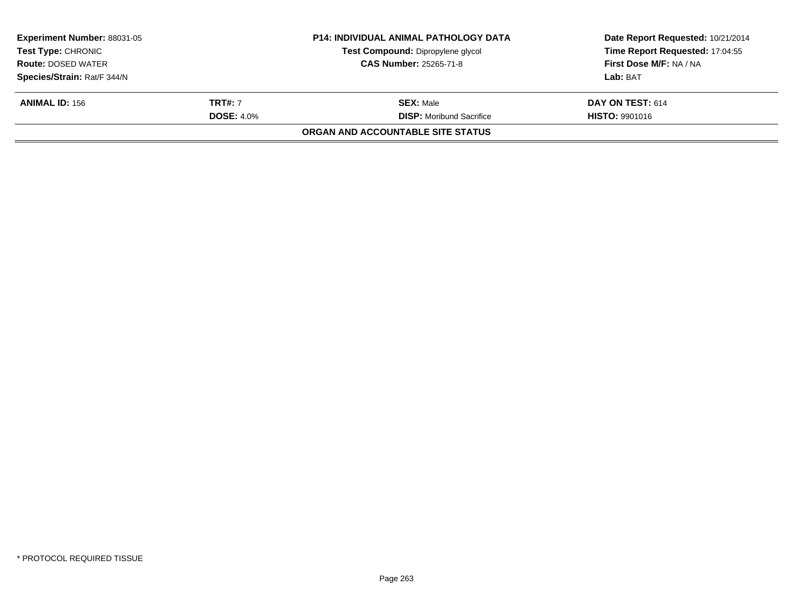|                   | <b>P14: INDIVIDUAL ANIMAL PATHOLOGY DATA</b> | Date Report Requested: 10/21/2014 |
|-------------------|----------------------------------------------|-----------------------------------|
|                   | Test Compound: Dipropylene glycol            | Time Report Requested: 17:04:55   |
|                   | <b>CAS Number: 25265-71-8</b>                | First Dose M/F: NA / NA           |
|                   |                                              | Lab: BAT                          |
| <b>TRT#: 7</b>    | <b>SEX:</b> Male                             | DAY ON TEST: 614                  |
| <b>DOSE: 4.0%</b> | <b>DISP:</b> Moribund Sacrifice              | <b>HISTO: 9901016</b>             |
|                   | ORGAN AND ACCOUNTABLE SITE STATUS            |                                   |
|                   |                                              |                                   |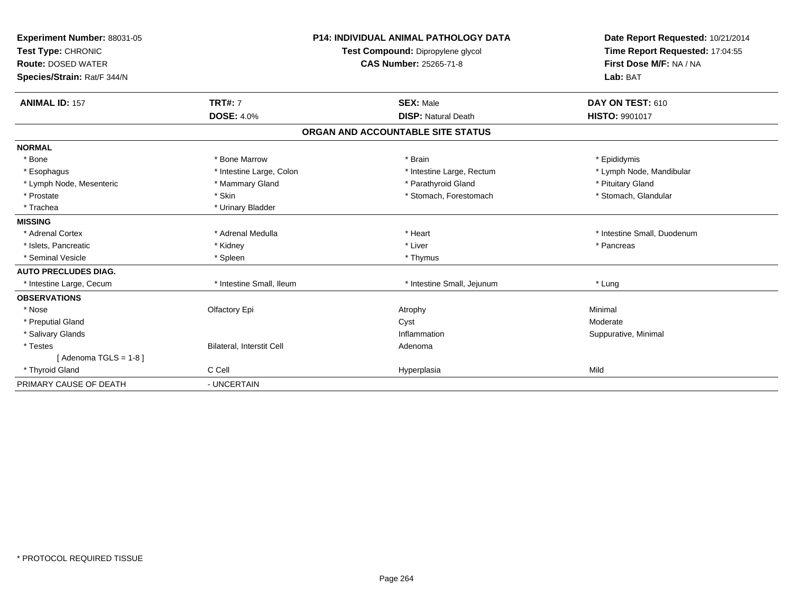| Experiment Number: 88031-05<br>Test Type: CHRONIC<br><b>Route: DOSED WATER</b><br>Species/Strain: Rat/F 344/N<br><b>ANIMAL ID: 157</b> | <b>TRT#: 7</b><br><b>DOSE: 4.0%</b> | <b>P14: INDIVIDUAL ANIMAL PATHOLOGY DATA</b><br>Test Compound: Dipropylene glycol<br><b>CAS Number: 25265-71-8</b><br><b>SEX: Male</b><br><b>DISP: Natural Death</b> | Date Report Requested: 10/21/2014<br>Time Report Requested: 17:04:55<br>First Dose M/F: NA / NA<br>Lab: BAT<br>DAY ON TEST: 610<br><b>HISTO: 9901017</b> |
|----------------------------------------------------------------------------------------------------------------------------------------|-------------------------------------|----------------------------------------------------------------------------------------------------------------------------------------------------------------------|----------------------------------------------------------------------------------------------------------------------------------------------------------|
|                                                                                                                                        |                                     | ORGAN AND ACCOUNTABLE SITE STATUS                                                                                                                                    |                                                                                                                                                          |
| <b>NORMAL</b>                                                                                                                          |                                     |                                                                                                                                                                      |                                                                                                                                                          |
| * Bone                                                                                                                                 | * Bone Marrow                       | * Brain                                                                                                                                                              | * Epididymis                                                                                                                                             |
| * Esophagus                                                                                                                            | * Intestine Large, Colon            | * Intestine Large, Rectum                                                                                                                                            | * Lymph Node, Mandibular                                                                                                                                 |
| * Lymph Node, Mesenteric                                                                                                               | * Mammary Gland                     | * Parathyroid Gland                                                                                                                                                  | * Pituitary Gland                                                                                                                                        |
| * Prostate                                                                                                                             | * Skin                              | * Stomach, Forestomach                                                                                                                                               | * Stomach, Glandular                                                                                                                                     |
| * Trachea                                                                                                                              | * Urinary Bladder                   |                                                                                                                                                                      |                                                                                                                                                          |
| <b>MISSING</b>                                                                                                                         |                                     |                                                                                                                                                                      |                                                                                                                                                          |
| * Adrenal Cortex                                                                                                                       | * Adrenal Medulla                   | * Heart                                                                                                                                                              | * Intestine Small, Duodenum                                                                                                                              |
| * Islets. Pancreatic                                                                                                                   | * Kidney                            | * Liver                                                                                                                                                              | * Pancreas                                                                                                                                               |
| * Seminal Vesicle                                                                                                                      | * Spleen                            | * Thymus                                                                                                                                                             |                                                                                                                                                          |
| <b>AUTO PRECLUDES DIAG.</b>                                                                                                            |                                     |                                                                                                                                                                      |                                                                                                                                                          |
| * Intestine Large, Cecum                                                                                                               | * Intestine Small, Ileum            | * Intestine Small, Jejunum                                                                                                                                           | * Lung                                                                                                                                                   |
| <b>OBSERVATIONS</b>                                                                                                                    |                                     |                                                                                                                                                                      |                                                                                                                                                          |
| * Nose                                                                                                                                 | Olfactory Epi                       | Atrophy                                                                                                                                                              | Minimal                                                                                                                                                  |
| * Preputial Gland                                                                                                                      |                                     | Cyst                                                                                                                                                                 | Moderate                                                                                                                                                 |
| * Salivary Glands                                                                                                                      |                                     | Inflammation                                                                                                                                                         | Suppurative, Minimal                                                                                                                                     |
| * Testes                                                                                                                               | <b>Bilateral, Interstit Cell</b>    | Adenoma                                                                                                                                                              |                                                                                                                                                          |
| [Adenoma TGLS = $1-8$ ]                                                                                                                |                                     |                                                                                                                                                                      |                                                                                                                                                          |
| * Thyroid Gland                                                                                                                        | C Cell                              | Hyperplasia                                                                                                                                                          | Mild                                                                                                                                                     |
| PRIMARY CAUSE OF DEATH                                                                                                                 | - UNCERTAIN                         |                                                                                                                                                                      |                                                                                                                                                          |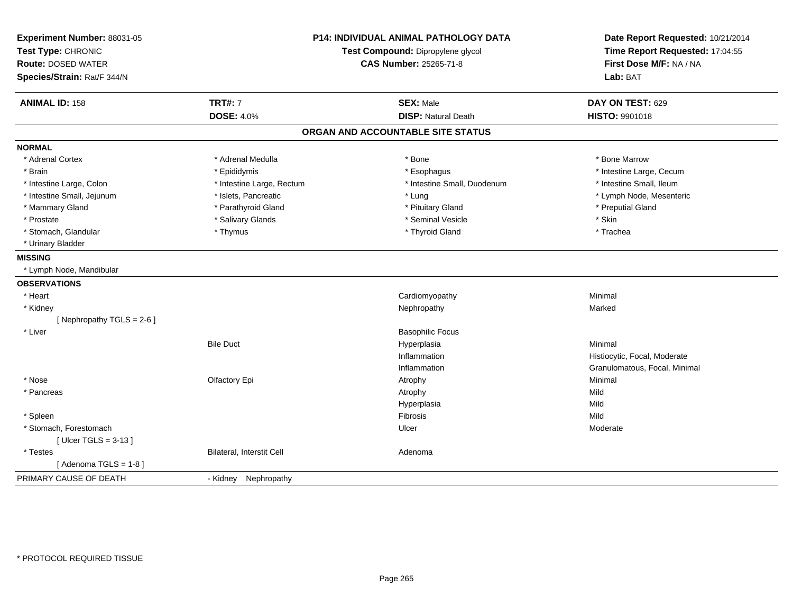| Experiment Number: 88031-05<br>Test Type: CHRONIC<br><b>Route: DOSED WATER</b><br>Species/Strain: Rat/F 344/N | P14: INDIVIDUAL ANIMAL PATHOLOGY DATA<br>Test Compound: Dipropylene glycol<br><b>CAS Number: 25265-71-8</b> |                                   | Date Report Requested: 10/21/2014<br>Time Report Requested: 17:04:55<br>First Dose M/F: NA / NA<br>Lab: BAT |  |
|---------------------------------------------------------------------------------------------------------------|-------------------------------------------------------------------------------------------------------------|-----------------------------------|-------------------------------------------------------------------------------------------------------------|--|
| <b>ANIMAL ID: 158</b>                                                                                         | <b>TRT#: 7</b>                                                                                              | <b>SEX: Male</b>                  | DAY ON TEST: 629                                                                                            |  |
|                                                                                                               | <b>DOSE: 4.0%</b>                                                                                           | <b>DISP: Natural Death</b>        | HISTO: 9901018                                                                                              |  |
|                                                                                                               |                                                                                                             | ORGAN AND ACCOUNTABLE SITE STATUS |                                                                                                             |  |
| <b>NORMAL</b>                                                                                                 |                                                                                                             |                                   |                                                                                                             |  |
| * Adrenal Cortex                                                                                              | * Adrenal Medulla                                                                                           | * Bone                            | * Bone Marrow                                                                                               |  |
| * Brain                                                                                                       | * Epididymis                                                                                                | * Esophagus                       | * Intestine Large, Cecum                                                                                    |  |
| * Intestine Large, Colon                                                                                      | * Intestine Large, Rectum                                                                                   | * Intestine Small, Duodenum       | * Intestine Small, Ileum                                                                                    |  |
| * Intestine Small, Jejunum                                                                                    | * Islets, Pancreatic                                                                                        | * Lung                            | * Lymph Node, Mesenteric                                                                                    |  |
| * Mammary Gland                                                                                               | * Parathyroid Gland                                                                                         | * Pituitary Gland                 | * Preputial Gland                                                                                           |  |
| * Prostate                                                                                                    | * Salivary Glands                                                                                           | * Seminal Vesicle                 | * Skin                                                                                                      |  |
| * Stomach, Glandular                                                                                          | * Thymus                                                                                                    | * Thyroid Gland                   | * Trachea                                                                                                   |  |
| * Urinary Bladder                                                                                             |                                                                                                             |                                   |                                                                                                             |  |
| <b>MISSING</b>                                                                                                |                                                                                                             |                                   |                                                                                                             |  |
| * Lymph Node, Mandibular                                                                                      |                                                                                                             |                                   |                                                                                                             |  |
| <b>OBSERVATIONS</b>                                                                                           |                                                                                                             |                                   |                                                                                                             |  |
| * Heart                                                                                                       |                                                                                                             | Cardiomyopathy                    | Minimal                                                                                                     |  |
| * Kidney                                                                                                      |                                                                                                             | Nephropathy                       | Marked                                                                                                      |  |
| [Nephropathy TGLS = 2-6]                                                                                      |                                                                                                             |                                   |                                                                                                             |  |
| * Liver                                                                                                       |                                                                                                             | <b>Basophilic Focus</b>           |                                                                                                             |  |
|                                                                                                               | <b>Bile Duct</b>                                                                                            | Hyperplasia                       | Minimal                                                                                                     |  |
|                                                                                                               |                                                                                                             | Inflammation                      | Histiocytic, Focal, Moderate                                                                                |  |
|                                                                                                               |                                                                                                             | Inflammation                      | Granulomatous, Focal, Minimal                                                                               |  |
| * Nose                                                                                                        | Olfactory Epi                                                                                               | Atrophy                           | Minimal                                                                                                     |  |
| * Pancreas                                                                                                    |                                                                                                             | Atrophy                           | Mild                                                                                                        |  |
|                                                                                                               |                                                                                                             | Hyperplasia                       | Mild                                                                                                        |  |
| * Spleen                                                                                                      |                                                                                                             | Fibrosis                          | Mild                                                                                                        |  |
| * Stomach, Forestomach                                                                                        |                                                                                                             | Ulcer                             | Moderate                                                                                                    |  |
| [Ulcer TGLS = $3-13$ ]                                                                                        |                                                                                                             |                                   |                                                                                                             |  |
| * Testes                                                                                                      | <b>Bilateral, Interstit Cell</b>                                                                            | Adenoma                           |                                                                                                             |  |
| [Adenoma TGLS = $1-8$ ]                                                                                       |                                                                                                             |                                   |                                                                                                             |  |
| PRIMARY CAUSE OF DEATH                                                                                        | - Kidney Nephropathy                                                                                        |                                   |                                                                                                             |  |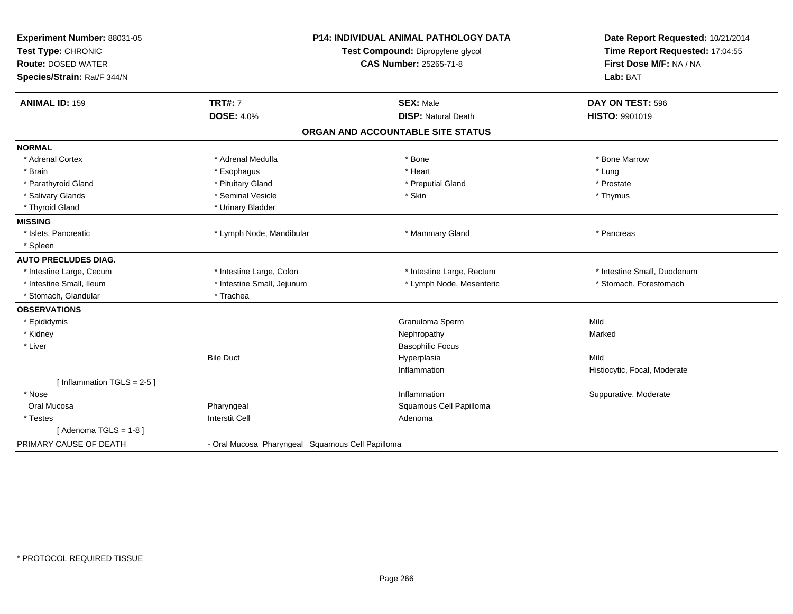| Experiment Number: 88031-05  | <b>P14: INDIVIDUAL ANIMAL PATHOLOGY DATA</b>     |                                   | Date Report Requested: 10/21/2014 |
|------------------------------|--------------------------------------------------|-----------------------------------|-----------------------------------|
| Test Type: CHRONIC           |                                                  | Test Compound: Dipropylene glycol | Time Report Requested: 17:04:55   |
| <b>Route: DOSED WATER</b>    | CAS Number: 25265-71-8                           |                                   | First Dose M/F: NA / NA           |
| Species/Strain: Rat/F 344/N  |                                                  |                                   | Lab: BAT                          |
| <b>ANIMAL ID: 159</b>        | <b>TRT#: 7</b>                                   | <b>SEX: Male</b>                  | DAY ON TEST: 596                  |
|                              | <b>DOSE: 4.0%</b>                                | <b>DISP: Natural Death</b>        | HISTO: 9901019                    |
|                              |                                                  | ORGAN AND ACCOUNTABLE SITE STATUS |                                   |
| <b>NORMAL</b>                |                                                  |                                   |                                   |
| * Adrenal Cortex             | * Adrenal Medulla                                | * Bone                            | * Bone Marrow                     |
| * Brain                      | * Esophagus                                      | * Heart                           | * Lung                            |
| * Parathyroid Gland          | * Pituitary Gland                                | * Preputial Gland                 | * Prostate                        |
| * Salivary Glands            | * Seminal Vesicle                                | * Skin                            | * Thymus                          |
| * Thyroid Gland              | * Urinary Bladder                                |                                   |                                   |
| <b>MISSING</b>               |                                                  |                                   |                                   |
| * Islets, Pancreatic         | * Lymph Node, Mandibular                         | * Mammary Gland                   | * Pancreas                        |
| * Spleen                     |                                                  |                                   |                                   |
| <b>AUTO PRECLUDES DIAG.</b>  |                                                  |                                   |                                   |
| * Intestine Large, Cecum     | * Intestine Large, Colon                         | * Intestine Large, Rectum         | * Intestine Small. Duodenum       |
| * Intestine Small, Ileum     | * Intestine Small, Jejunum                       | * Lymph Node, Mesenteric          | * Stomach, Forestomach            |
| * Stomach, Glandular         | * Trachea                                        |                                   |                                   |
| <b>OBSERVATIONS</b>          |                                                  |                                   |                                   |
| * Epididymis                 |                                                  | Granuloma Sperm                   | Mild                              |
| * Kidney                     |                                                  | Nephropathy                       | Marked                            |
| * Liver                      |                                                  | <b>Basophilic Focus</b>           |                                   |
|                              | <b>Bile Duct</b>                                 | Hyperplasia                       | Mild                              |
|                              |                                                  | Inflammation                      | Histiocytic, Focal, Moderate      |
| [Inflammation TGLS = $2-5$ ] |                                                  |                                   |                                   |
| * Nose                       |                                                  | Inflammation                      | Suppurative, Moderate             |
| Oral Mucosa                  | Pharyngeal                                       | Squamous Cell Papilloma           |                                   |
| * Testes                     | <b>Interstit Cell</b>                            | Adenoma                           |                                   |
| [Adenoma TGLS = 1-8]         |                                                  |                                   |                                   |
| PRIMARY CAUSE OF DEATH       | - Oral Mucosa Pharyngeal Squamous Cell Papilloma |                                   |                                   |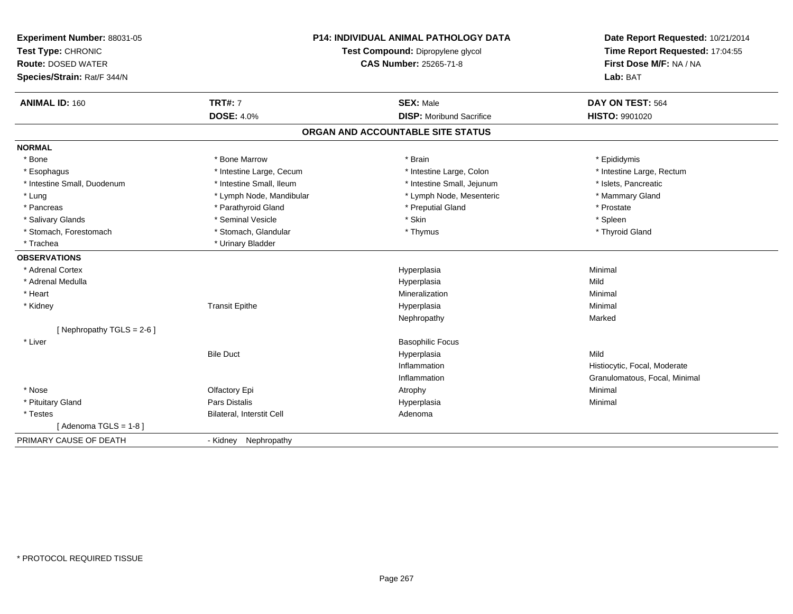| Experiment Number: 88031-05<br>Test Type: CHRONIC<br><b>Route: DOSED WATER</b><br>Species/Strain: Rat/F 344/N | <b>P14: INDIVIDUAL ANIMAL PATHOLOGY DATA</b><br>Test Compound: Dipropylene glycol<br>CAS Number: 25265-71-8 |                                   | Date Report Requested: 10/21/2014<br>Time Report Requested: 17:04:55<br>First Dose M/F: NA / NA<br>Lab: BAT |  |
|---------------------------------------------------------------------------------------------------------------|-------------------------------------------------------------------------------------------------------------|-----------------------------------|-------------------------------------------------------------------------------------------------------------|--|
| <b>ANIMAL ID: 160</b>                                                                                         | <b>TRT#: 7</b>                                                                                              | <b>SEX: Male</b>                  | DAY ON TEST: 564                                                                                            |  |
|                                                                                                               | <b>DOSE: 4.0%</b>                                                                                           | <b>DISP:</b> Moribund Sacrifice   | HISTO: 9901020                                                                                              |  |
|                                                                                                               |                                                                                                             | ORGAN AND ACCOUNTABLE SITE STATUS |                                                                                                             |  |
| <b>NORMAL</b>                                                                                                 |                                                                                                             |                                   |                                                                                                             |  |
| * Bone                                                                                                        | * Bone Marrow                                                                                               | * Brain                           | * Epididymis                                                                                                |  |
| * Esophagus                                                                                                   | * Intestine Large, Cecum                                                                                    | * Intestine Large, Colon          | * Intestine Large, Rectum                                                                                   |  |
| * Intestine Small, Duodenum                                                                                   | * Intestine Small, Ileum                                                                                    | * Intestine Small, Jejunum        | * Islets, Pancreatic                                                                                        |  |
| * Lung                                                                                                        | * Lymph Node, Mandibular                                                                                    | * Lymph Node, Mesenteric          | * Mammary Gland                                                                                             |  |
| * Pancreas                                                                                                    | * Parathyroid Gland                                                                                         | * Preputial Gland                 | * Prostate                                                                                                  |  |
| * Salivary Glands                                                                                             | * Seminal Vesicle                                                                                           | * Skin                            | * Spleen                                                                                                    |  |
| * Stomach, Forestomach                                                                                        | * Stomach, Glandular                                                                                        | * Thymus                          | * Thyroid Gland                                                                                             |  |
| * Trachea                                                                                                     | * Urinary Bladder                                                                                           |                                   |                                                                                                             |  |
| <b>OBSERVATIONS</b>                                                                                           |                                                                                                             |                                   |                                                                                                             |  |
| * Adrenal Cortex                                                                                              |                                                                                                             | Hyperplasia                       | Minimal                                                                                                     |  |
| * Adrenal Medulla                                                                                             |                                                                                                             | Hyperplasia                       | Mild                                                                                                        |  |
| * Heart                                                                                                       |                                                                                                             | Mineralization                    | Minimal                                                                                                     |  |
| * Kidney                                                                                                      | <b>Transit Epithe</b>                                                                                       | Hyperplasia                       | Minimal                                                                                                     |  |
|                                                                                                               |                                                                                                             | Nephropathy                       | Marked                                                                                                      |  |
| [ Nephropathy $TGLS = 2-6$ ]                                                                                  |                                                                                                             |                                   |                                                                                                             |  |
| * Liver                                                                                                       |                                                                                                             | <b>Basophilic Focus</b>           |                                                                                                             |  |
|                                                                                                               | <b>Bile Duct</b>                                                                                            | Hyperplasia                       | Mild                                                                                                        |  |
|                                                                                                               |                                                                                                             | Inflammation                      | Histiocytic, Focal, Moderate                                                                                |  |
|                                                                                                               |                                                                                                             | Inflammation                      | Granulomatous, Focal, Minimal                                                                               |  |
| * Nose                                                                                                        | Olfactory Epi                                                                                               | Atrophy                           | Minimal                                                                                                     |  |
| * Pituitary Gland                                                                                             | Pars Distalis                                                                                               | Hyperplasia                       | Minimal                                                                                                     |  |
| * Testes                                                                                                      | Bilateral, Interstit Cell                                                                                   | Adenoma                           |                                                                                                             |  |
| [Adenoma TGLS = $1-8$ ]                                                                                       |                                                                                                             |                                   |                                                                                                             |  |
| PRIMARY CAUSE OF DEATH                                                                                        | - Kidney Nephropathy                                                                                        |                                   |                                                                                                             |  |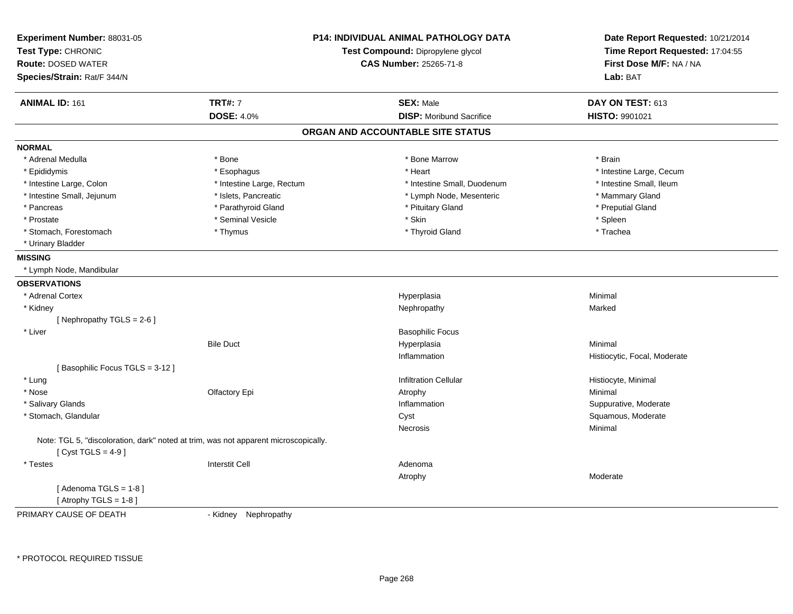| Experiment Number: 88031-05<br>Test Type: CHRONIC                                                           |                           | <b>P14: INDIVIDUAL ANIMAL PATHOLOGY DATA</b> | Date Report Requested: 10/21/2014<br>Time Report Requested: 17:04:55 |
|-------------------------------------------------------------------------------------------------------------|---------------------------|----------------------------------------------|----------------------------------------------------------------------|
|                                                                                                             |                           | Test Compound: Dipropylene glycol            |                                                                      |
| <b>Route: DOSED WATER</b>                                                                                   |                           | <b>CAS Number: 25265-71-8</b>                | First Dose M/F: NA / NA                                              |
| Species/Strain: Rat/F 344/N                                                                                 |                           |                                              | Lab: BAT                                                             |
| <b>ANIMAL ID: 161</b>                                                                                       | <b>TRT#: 7</b>            | <b>SEX: Male</b>                             | DAY ON TEST: 613                                                     |
|                                                                                                             | <b>DOSE: 4.0%</b>         | <b>DISP:</b> Moribund Sacrifice              | <b>HISTO: 9901021</b>                                                |
|                                                                                                             |                           | ORGAN AND ACCOUNTABLE SITE STATUS            |                                                                      |
| <b>NORMAL</b>                                                                                               |                           |                                              |                                                                      |
| * Adrenal Medulla                                                                                           | * Bone                    | * Bone Marrow                                | * Brain                                                              |
| * Epididymis                                                                                                | * Esophagus               | * Heart                                      | * Intestine Large, Cecum                                             |
| * Intestine Large, Colon                                                                                    | * Intestine Large, Rectum | * Intestine Small, Duodenum                  | * Intestine Small, Ileum                                             |
| * Intestine Small, Jejunum                                                                                  | * Islets, Pancreatic      | * Lymph Node, Mesenteric                     | * Mammary Gland                                                      |
| * Pancreas                                                                                                  | * Parathyroid Gland       | * Pituitary Gland                            | * Preputial Gland                                                    |
| * Prostate                                                                                                  | * Seminal Vesicle         | * Skin                                       | * Spleen                                                             |
| * Stomach, Forestomach                                                                                      | * Thymus                  | * Thyroid Gland                              | * Trachea                                                            |
| * Urinary Bladder                                                                                           |                           |                                              |                                                                      |
| <b>MISSING</b>                                                                                              |                           |                                              |                                                                      |
| * Lymph Node, Mandibular                                                                                    |                           |                                              |                                                                      |
| <b>OBSERVATIONS</b>                                                                                         |                           |                                              |                                                                      |
| * Adrenal Cortex                                                                                            |                           | Hyperplasia                                  | Minimal                                                              |
| * Kidney                                                                                                    |                           | Nephropathy                                  | Marked                                                               |
| [Nephropathy TGLS = 2-6]                                                                                    |                           |                                              |                                                                      |
| * Liver                                                                                                     |                           | <b>Basophilic Focus</b>                      |                                                                      |
|                                                                                                             | <b>Bile Duct</b>          | Hyperplasia                                  | Minimal                                                              |
|                                                                                                             |                           | Inflammation                                 | Histiocytic, Focal, Moderate                                         |
| [Basophilic Focus TGLS = 3-12]                                                                              |                           |                                              |                                                                      |
| * Lung                                                                                                      |                           | <b>Infiltration Cellular</b>                 | Histiocyte, Minimal                                                  |
| * Nose                                                                                                      | Olfactory Epi             | Atrophy                                      | Minimal                                                              |
| * Salivary Glands                                                                                           |                           | Inflammation                                 | Suppurative, Moderate                                                |
| * Stomach, Glandular                                                                                        |                           | Cyst                                         | Squamous, Moderate                                                   |
|                                                                                                             |                           | Necrosis                                     | Minimal                                                              |
| Note: TGL 5, "discoloration, dark" noted at trim, was not apparent microscopically.<br>[Cyst TGLS = $4-9$ ] |                           |                                              |                                                                      |
| * Testes                                                                                                    | <b>Interstit Cell</b>     | Adenoma                                      |                                                                      |
|                                                                                                             |                           | Atrophy                                      | Moderate                                                             |
| [Adenoma TGLS = 1-8]<br>[Atrophy TGLS = $1-8$ ]                                                             |                           |                                              |                                                                      |
| PRIMARY CAUSE OF DEATH                                                                                      | - Kidney Nephropathy      |                                              |                                                                      |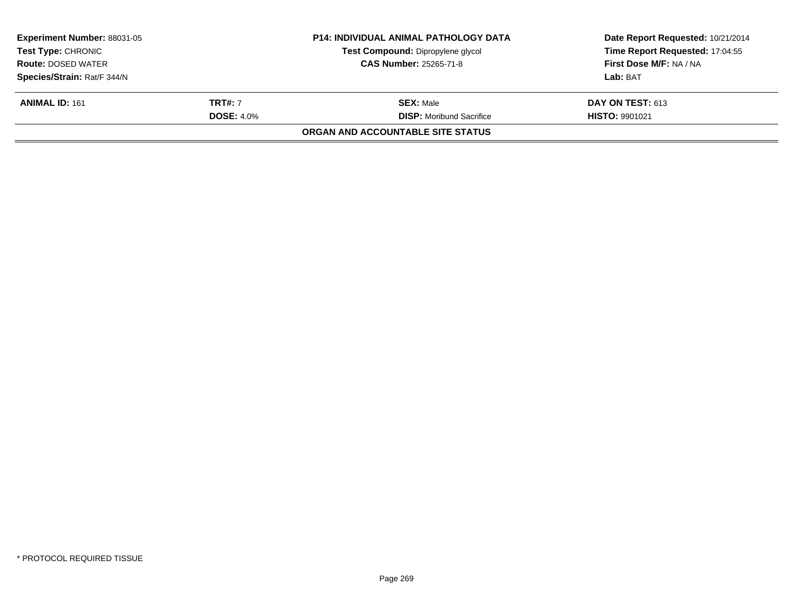| <b>Experiment Number: 88031-05</b><br><b>Test Type: CHRONIC</b> |                   | <b>P14: INDIVIDUAL ANIMAL PATHOLOGY DATA</b><br>Test Compound: Dipropylene glycol | Date Report Requested: 10/21/2014<br>Time Report Requested: 17:04:55 |
|-----------------------------------------------------------------|-------------------|-----------------------------------------------------------------------------------|----------------------------------------------------------------------|
| <b>Route: DOSED WATER</b>                                       |                   | <b>CAS Number: 25265-71-8</b>                                                     | First Dose M/F: NA / NA                                              |
| Species/Strain: Rat/F 344/N                                     |                   |                                                                                   | Lab: BAT                                                             |
| <b>ANIMAL ID: 161</b>                                           | <b>TRT#:</b> 7    | <b>SEX:</b> Male                                                                  | <b>DAY ON TEST: 613</b>                                              |
|                                                                 | <b>DOSE: 4.0%</b> | <b>DISP:</b> Moribund Sacrifice                                                   | <b>HISTO: 9901021</b>                                                |
|                                                                 |                   | <b>ORGAN AND ACCOUNTABLE SITE STATUS</b>                                          |                                                                      |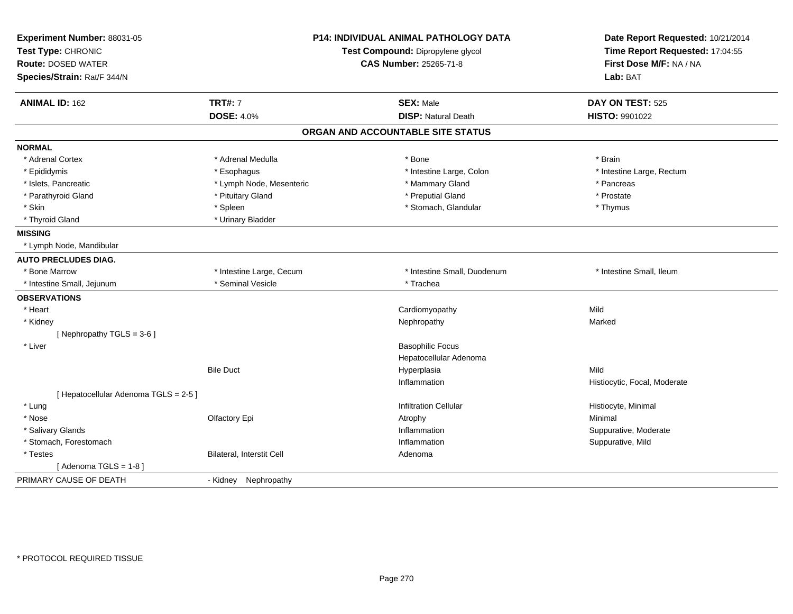| Experiment Number: 88031-05<br>Test Type: CHRONIC<br><b>Route: DOSED WATER</b><br>Species/Strain: Rat/F 344/N | P14: INDIVIDUAL ANIMAL PATHOLOGY DATA<br>Test Compound: Dipropylene glycol<br><b>CAS Number: 25265-71-8</b> |                                   | Date Report Requested: 10/21/2014<br>Time Report Requested: 17:04:55<br>First Dose M/F: NA / NA<br>Lab: BAT |  |
|---------------------------------------------------------------------------------------------------------------|-------------------------------------------------------------------------------------------------------------|-----------------------------------|-------------------------------------------------------------------------------------------------------------|--|
| <b>ANIMAL ID: 162</b>                                                                                         | <b>TRT#: 7</b>                                                                                              | <b>SEX: Male</b>                  | DAY ON TEST: 525                                                                                            |  |
|                                                                                                               | <b>DOSE: 4.0%</b>                                                                                           | <b>DISP: Natural Death</b>        | HISTO: 9901022                                                                                              |  |
|                                                                                                               |                                                                                                             | ORGAN AND ACCOUNTABLE SITE STATUS |                                                                                                             |  |
| <b>NORMAL</b>                                                                                                 |                                                                                                             |                                   |                                                                                                             |  |
| * Adrenal Cortex                                                                                              | * Adrenal Medulla                                                                                           | * Bone                            | * Brain                                                                                                     |  |
| * Epididymis                                                                                                  | * Esophagus                                                                                                 | * Intestine Large, Colon          | * Intestine Large, Rectum                                                                                   |  |
| * Islets, Pancreatic                                                                                          | * Lymph Node, Mesenteric                                                                                    | * Mammary Gland                   | * Pancreas                                                                                                  |  |
| * Parathyroid Gland                                                                                           | * Pituitary Gland                                                                                           | * Preputial Gland                 | * Prostate                                                                                                  |  |
| * Skin                                                                                                        | * Spleen                                                                                                    | * Stomach, Glandular              | * Thymus                                                                                                    |  |
| * Thyroid Gland                                                                                               | * Urinary Bladder                                                                                           |                                   |                                                                                                             |  |
| <b>MISSING</b>                                                                                                |                                                                                                             |                                   |                                                                                                             |  |
| * Lymph Node, Mandibular                                                                                      |                                                                                                             |                                   |                                                                                                             |  |
| <b>AUTO PRECLUDES DIAG.</b>                                                                                   |                                                                                                             |                                   |                                                                                                             |  |
| * Bone Marrow                                                                                                 | * Intestine Large, Cecum                                                                                    | * Intestine Small, Duodenum       | * Intestine Small, Ileum                                                                                    |  |
| * Intestine Small, Jejunum                                                                                    | * Seminal Vesicle                                                                                           | * Trachea                         |                                                                                                             |  |
| <b>OBSERVATIONS</b>                                                                                           |                                                                                                             |                                   |                                                                                                             |  |
| * Heart                                                                                                       |                                                                                                             | Cardiomyopathy                    | Mild                                                                                                        |  |
| * Kidney                                                                                                      |                                                                                                             | Nephropathy                       | Marked                                                                                                      |  |
| [Nephropathy TGLS = 3-6]                                                                                      |                                                                                                             |                                   |                                                                                                             |  |
| * Liver                                                                                                       |                                                                                                             | <b>Basophilic Focus</b>           |                                                                                                             |  |
|                                                                                                               |                                                                                                             | Hepatocellular Adenoma            |                                                                                                             |  |
|                                                                                                               | <b>Bile Duct</b>                                                                                            | Hyperplasia                       | Mild                                                                                                        |  |
|                                                                                                               |                                                                                                             | Inflammation                      | Histiocytic, Focal, Moderate                                                                                |  |
| [ Hepatocellular Adenoma TGLS = 2-5 ]                                                                         |                                                                                                             |                                   |                                                                                                             |  |
| * Lung                                                                                                        |                                                                                                             | <b>Infiltration Cellular</b>      | Histiocyte, Minimal                                                                                         |  |
| * Nose                                                                                                        | Olfactory Epi                                                                                               | Atrophy                           | Minimal                                                                                                     |  |
| * Salivary Glands                                                                                             |                                                                                                             | Inflammation                      | Suppurative, Moderate                                                                                       |  |
| * Stomach, Forestomach                                                                                        |                                                                                                             | Inflammation                      | Suppurative, Mild                                                                                           |  |
| * Testes                                                                                                      | Bilateral, Interstit Cell                                                                                   | Adenoma                           |                                                                                                             |  |
| [Adenoma TGLS = $1-8$ ]                                                                                       |                                                                                                             |                                   |                                                                                                             |  |
| PRIMARY CAUSE OF DEATH                                                                                        | - Kidney Nephropathy                                                                                        |                                   |                                                                                                             |  |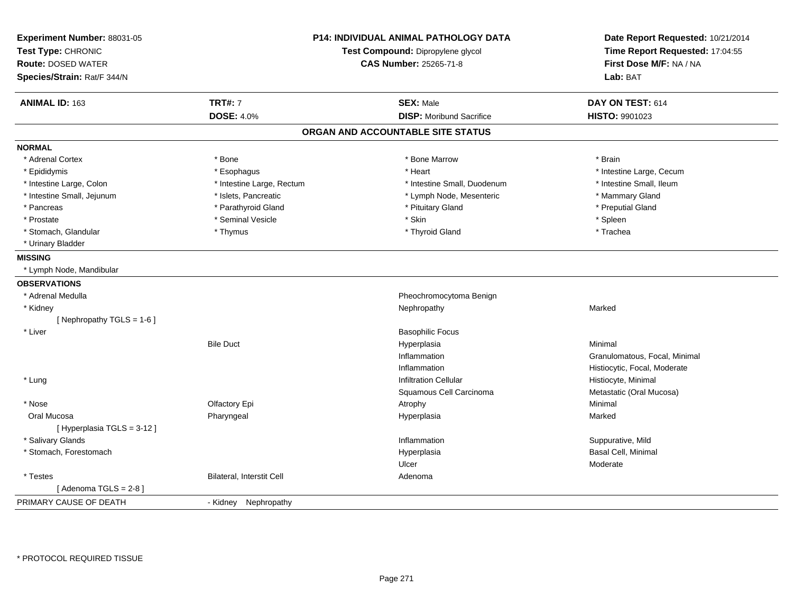| Experiment Number: 88031-05<br>Test Type: CHRONIC<br><b>Route: DOSED WATER</b><br>Species/Strain: Rat/F 344/N |                           | <b>P14: INDIVIDUAL ANIMAL PATHOLOGY DATA</b><br>Test Compound: Dipropylene glycol<br><b>CAS Number: 25265-71-8</b> | Date Report Requested: 10/21/2014<br>Time Report Requested: 17:04:55<br>First Dose M/F: NA / NA<br>Lab: BAT |  |
|---------------------------------------------------------------------------------------------------------------|---------------------------|--------------------------------------------------------------------------------------------------------------------|-------------------------------------------------------------------------------------------------------------|--|
| <b>ANIMAL ID: 163</b>                                                                                         | <b>TRT#: 7</b>            | <b>SEX: Male</b>                                                                                                   | DAY ON TEST: 614                                                                                            |  |
|                                                                                                               | <b>DOSE: 4.0%</b>         | <b>DISP:</b> Moribund Sacrifice                                                                                    | HISTO: 9901023                                                                                              |  |
|                                                                                                               |                           | ORGAN AND ACCOUNTABLE SITE STATUS                                                                                  |                                                                                                             |  |
| <b>NORMAL</b>                                                                                                 |                           |                                                                                                                    |                                                                                                             |  |
| * Adrenal Cortex                                                                                              | * Bone                    | * Bone Marrow                                                                                                      | * Brain                                                                                                     |  |
| * Epididymis                                                                                                  | * Esophagus               | * Heart                                                                                                            | * Intestine Large, Cecum                                                                                    |  |
| * Intestine Large, Colon                                                                                      | * Intestine Large, Rectum | * Intestine Small, Duodenum                                                                                        | * Intestine Small, Ileum                                                                                    |  |
| * Intestine Small, Jejunum                                                                                    | * Islets, Pancreatic      | * Lymph Node, Mesenteric                                                                                           | * Mammary Gland                                                                                             |  |
| * Pancreas                                                                                                    | * Parathyroid Gland       | * Pituitary Gland                                                                                                  | * Preputial Gland                                                                                           |  |
| * Prostate                                                                                                    | * Seminal Vesicle         | * Skin                                                                                                             | * Spleen                                                                                                    |  |
| * Stomach, Glandular                                                                                          | * Thymus                  | * Thyroid Gland                                                                                                    | * Trachea                                                                                                   |  |
| * Urinary Bladder                                                                                             |                           |                                                                                                                    |                                                                                                             |  |
| <b>MISSING</b>                                                                                                |                           |                                                                                                                    |                                                                                                             |  |
| * Lymph Node, Mandibular                                                                                      |                           |                                                                                                                    |                                                                                                             |  |
| <b>OBSERVATIONS</b>                                                                                           |                           |                                                                                                                    |                                                                                                             |  |
| * Adrenal Medulla                                                                                             |                           | Pheochromocytoma Benign                                                                                            |                                                                                                             |  |
| * Kidney                                                                                                      |                           | Nephropathy                                                                                                        | Marked                                                                                                      |  |
| [Nephropathy TGLS = 1-6]                                                                                      |                           |                                                                                                                    |                                                                                                             |  |
| * Liver                                                                                                       |                           | <b>Basophilic Focus</b>                                                                                            |                                                                                                             |  |
|                                                                                                               | <b>Bile Duct</b>          | Hyperplasia                                                                                                        | Minimal                                                                                                     |  |
|                                                                                                               |                           | Inflammation                                                                                                       | Granulomatous, Focal, Minimal                                                                               |  |
|                                                                                                               |                           | Inflammation                                                                                                       | Histiocytic, Focal, Moderate                                                                                |  |
| * Lung                                                                                                        |                           | <b>Infiltration Cellular</b>                                                                                       | Histiocyte, Minimal                                                                                         |  |
|                                                                                                               |                           | Squamous Cell Carcinoma                                                                                            | Metastatic (Oral Mucosa)                                                                                    |  |
| * Nose                                                                                                        | Olfactory Epi             | Atrophy                                                                                                            | Minimal                                                                                                     |  |
| Oral Mucosa                                                                                                   | Pharyngeal                | Hyperplasia                                                                                                        | Marked                                                                                                      |  |
| [ Hyperplasia TGLS = 3-12 ]                                                                                   |                           |                                                                                                                    |                                                                                                             |  |
| * Salivary Glands                                                                                             |                           | Inflammation                                                                                                       | Suppurative, Mild                                                                                           |  |
| * Stomach, Forestomach                                                                                        |                           | Hyperplasia                                                                                                        | Basal Cell, Minimal                                                                                         |  |
|                                                                                                               |                           | Ulcer                                                                                                              | Moderate                                                                                                    |  |
| * Testes                                                                                                      | Bilateral, Interstit Cell | Adenoma                                                                                                            |                                                                                                             |  |
| [Adenoma TGLS = $2-8$ ]                                                                                       |                           |                                                                                                                    |                                                                                                             |  |
| PRIMARY CAUSE OF DEATH                                                                                        | - Kidney Nephropathy      |                                                                                                                    |                                                                                                             |  |
|                                                                                                               |                           |                                                                                                                    |                                                                                                             |  |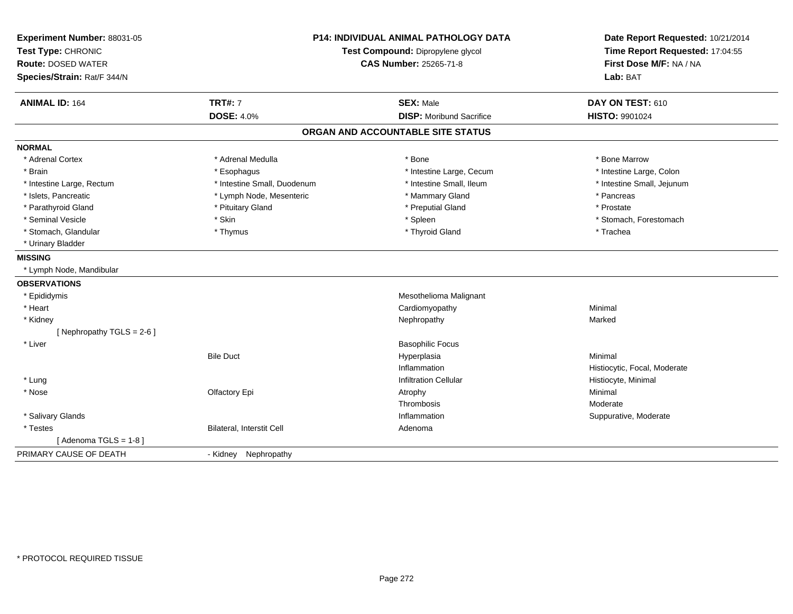| Experiment Number: 88031-05<br>Test Type: CHRONIC<br><b>Route: DOSED WATER</b><br>Species/Strain: Rat/F 344/N | <b>P14: INDIVIDUAL ANIMAL PATHOLOGY DATA</b><br>Test Compound: Dipropylene glycol<br>CAS Number: 25265-71-8 |                                   | Date Report Requested: 10/21/2014<br>Time Report Requested: 17:04:55<br>First Dose M/F: NA / NA<br>Lab: BAT |
|---------------------------------------------------------------------------------------------------------------|-------------------------------------------------------------------------------------------------------------|-----------------------------------|-------------------------------------------------------------------------------------------------------------|
| <b>ANIMAL ID: 164</b>                                                                                         | <b>TRT#: 7</b>                                                                                              | <b>SEX: Male</b>                  | DAY ON TEST: 610                                                                                            |
|                                                                                                               | <b>DOSE: 4.0%</b>                                                                                           | <b>DISP:</b> Moribund Sacrifice   | HISTO: 9901024                                                                                              |
|                                                                                                               |                                                                                                             | ORGAN AND ACCOUNTABLE SITE STATUS |                                                                                                             |
| <b>NORMAL</b>                                                                                                 |                                                                                                             |                                   |                                                                                                             |
| * Adrenal Cortex                                                                                              | * Adrenal Medulla                                                                                           | * Bone                            | * Bone Marrow                                                                                               |
| * Brain                                                                                                       | * Esophagus                                                                                                 | * Intestine Large, Cecum          | * Intestine Large, Colon                                                                                    |
| * Intestine Large, Rectum                                                                                     | * Intestine Small, Duodenum                                                                                 | * Intestine Small, Ileum          | * Intestine Small, Jejunum                                                                                  |
| * Islets, Pancreatic                                                                                          | * Lymph Node, Mesenteric                                                                                    | * Mammary Gland                   | * Pancreas                                                                                                  |
| * Parathyroid Gland                                                                                           | * Pituitary Gland                                                                                           | * Preputial Gland                 | * Prostate                                                                                                  |
| * Seminal Vesicle                                                                                             | * Skin                                                                                                      | * Spleen                          | * Stomach, Forestomach                                                                                      |
| * Stomach, Glandular                                                                                          | * Thymus                                                                                                    | * Thyroid Gland                   | * Trachea                                                                                                   |
| * Urinary Bladder                                                                                             |                                                                                                             |                                   |                                                                                                             |
| <b>MISSING</b>                                                                                                |                                                                                                             |                                   |                                                                                                             |
| * Lymph Node, Mandibular                                                                                      |                                                                                                             |                                   |                                                                                                             |
| <b>OBSERVATIONS</b>                                                                                           |                                                                                                             |                                   |                                                                                                             |
| * Epididymis                                                                                                  |                                                                                                             | Mesothelioma Malignant            |                                                                                                             |
| * Heart                                                                                                       |                                                                                                             | Cardiomyopathy                    | Minimal                                                                                                     |
| * Kidney                                                                                                      |                                                                                                             | Nephropathy                       | Marked                                                                                                      |
| [Nephropathy TGLS = $2-6$ ]                                                                                   |                                                                                                             |                                   |                                                                                                             |
| * Liver                                                                                                       |                                                                                                             | <b>Basophilic Focus</b>           |                                                                                                             |
|                                                                                                               | <b>Bile Duct</b>                                                                                            | Hyperplasia                       | Minimal                                                                                                     |
|                                                                                                               |                                                                                                             | Inflammation                      | Histiocytic, Focal, Moderate                                                                                |
| * Lung                                                                                                        |                                                                                                             | <b>Infiltration Cellular</b>      | Histiocyte, Minimal                                                                                         |
| * Nose                                                                                                        | Olfactory Epi                                                                                               | Atrophy                           | Minimal                                                                                                     |
|                                                                                                               |                                                                                                             | Thrombosis                        | Moderate                                                                                                    |
| * Salivary Glands                                                                                             |                                                                                                             | Inflammation                      | Suppurative, Moderate                                                                                       |
| * Testes                                                                                                      | Bilateral, Interstit Cell                                                                                   | Adenoma                           |                                                                                                             |
| [Adenoma TGLS = $1-8$ ]                                                                                       |                                                                                                             |                                   |                                                                                                             |
| PRIMARY CAUSE OF DEATH                                                                                        | - Kidney Nephropathy                                                                                        |                                   |                                                                                                             |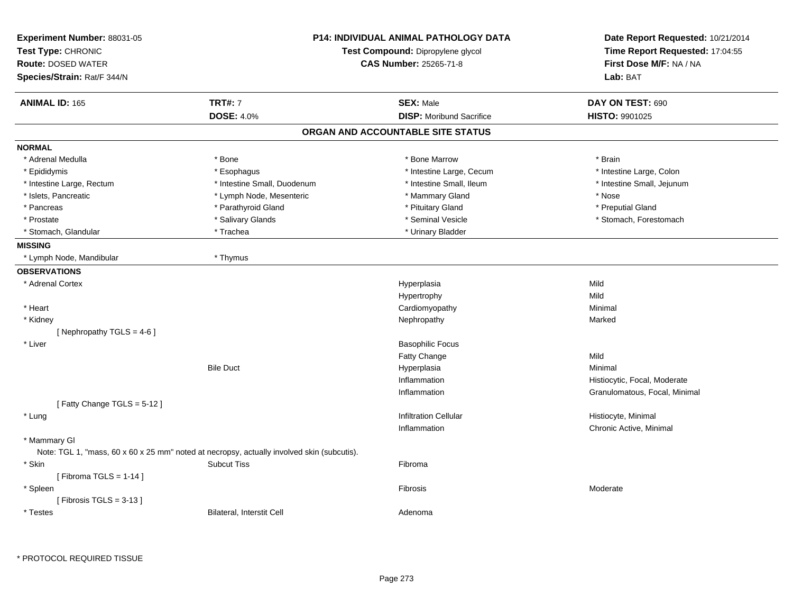| Experiment Number: 88031-05<br>Test Type: CHRONIC<br><b>Route: DOSED WATER</b><br>Species/Strain: Rat/F 344/N | <b>P14: INDIVIDUAL ANIMAL PATHOLOGY DATA</b><br>Test Compound: Dipropylene glycol<br><b>CAS Number: 25265-71-8</b> |                                                     | Date Report Requested: 10/21/2014<br>Time Report Requested: 17:04:55<br>First Dose M/F: NA / NA<br>Lab: BAT |  |
|---------------------------------------------------------------------------------------------------------------|--------------------------------------------------------------------------------------------------------------------|-----------------------------------------------------|-------------------------------------------------------------------------------------------------------------|--|
| <b>ANIMAL ID: 165</b>                                                                                         | <b>TRT#: 7</b><br><b>DOSE: 4.0%</b>                                                                                | <b>SEX: Male</b><br><b>DISP:</b> Moribund Sacrifice | DAY ON TEST: 690<br><b>HISTO: 9901025</b>                                                                   |  |
|                                                                                                               |                                                                                                                    | ORGAN AND ACCOUNTABLE SITE STATUS                   |                                                                                                             |  |
| <b>NORMAL</b>                                                                                                 |                                                                                                                    |                                                     |                                                                                                             |  |
| * Adrenal Medulla                                                                                             | * Bone                                                                                                             | * Bone Marrow                                       | * Brain                                                                                                     |  |
| * Epididymis                                                                                                  | * Esophagus                                                                                                        | * Intestine Large, Cecum                            | * Intestine Large, Colon                                                                                    |  |
| * Intestine Large, Rectum                                                                                     | * Intestine Small, Duodenum                                                                                        | * Intestine Small, Ileum                            | * Intestine Small, Jejunum                                                                                  |  |
| * Islets, Pancreatic                                                                                          | * Lymph Node, Mesenteric                                                                                           | * Mammary Gland                                     | * Nose                                                                                                      |  |
| * Pancreas                                                                                                    | * Parathyroid Gland                                                                                                | * Pituitary Gland                                   | * Preputial Gland                                                                                           |  |
| * Prostate                                                                                                    | * Salivary Glands                                                                                                  | * Seminal Vesicle                                   | * Stomach, Forestomach                                                                                      |  |
| * Stomach, Glandular                                                                                          | * Trachea                                                                                                          | * Urinary Bladder                                   |                                                                                                             |  |
| <b>MISSING</b>                                                                                                |                                                                                                                    |                                                     |                                                                                                             |  |
| * Lymph Node, Mandibular                                                                                      | * Thymus                                                                                                           |                                                     |                                                                                                             |  |
| <b>OBSERVATIONS</b>                                                                                           |                                                                                                                    |                                                     |                                                                                                             |  |
| * Adrenal Cortex                                                                                              |                                                                                                                    | Hyperplasia                                         | Mild                                                                                                        |  |
|                                                                                                               |                                                                                                                    | Hypertrophy                                         | Mild                                                                                                        |  |
| * Heart                                                                                                       |                                                                                                                    | Cardiomyopathy                                      | Minimal                                                                                                     |  |
| * Kidney                                                                                                      |                                                                                                                    | Nephropathy                                         | Marked                                                                                                      |  |
| [Nephropathy TGLS = 4-6]                                                                                      |                                                                                                                    |                                                     |                                                                                                             |  |
| * Liver                                                                                                       |                                                                                                                    | <b>Basophilic Focus</b>                             |                                                                                                             |  |
|                                                                                                               |                                                                                                                    | Fatty Change                                        | Mild                                                                                                        |  |
|                                                                                                               | <b>Bile Duct</b>                                                                                                   | Hyperplasia                                         | Minimal                                                                                                     |  |
|                                                                                                               |                                                                                                                    | Inflammation                                        | Histiocytic, Focal, Moderate                                                                                |  |
|                                                                                                               |                                                                                                                    | Inflammation                                        | Granulomatous, Focal, Minimal                                                                               |  |
| [Fatty Change TGLS = $5-12$ ]                                                                                 |                                                                                                                    |                                                     |                                                                                                             |  |
| * Lung                                                                                                        |                                                                                                                    | <b>Infiltration Cellular</b>                        | Histiocyte, Minimal                                                                                         |  |
|                                                                                                               |                                                                                                                    | Inflammation                                        | Chronic Active, Minimal                                                                                     |  |
| * Mammary GI                                                                                                  |                                                                                                                    |                                                     |                                                                                                             |  |
| Note: TGL 1, "mass, 60 x 60 x 25 mm" noted at necropsy, actually involved skin (subcutis).                    |                                                                                                                    |                                                     |                                                                                                             |  |
| * Skin                                                                                                        | <b>Subcut Tiss</b>                                                                                                 | Fibroma                                             |                                                                                                             |  |
| [Fibroma TGLS = $1-14$ ]                                                                                      |                                                                                                                    | Fibrosis                                            | Moderate                                                                                                    |  |
| * Spleen<br>[Fibrosis TGLS = $3-13$ ]                                                                         |                                                                                                                    |                                                     |                                                                                                             |  |
| * Testes                                                                                                      | Bilateral, Interstit Cell                                                                                          | Adenoma                                             |                                                                                                             |  |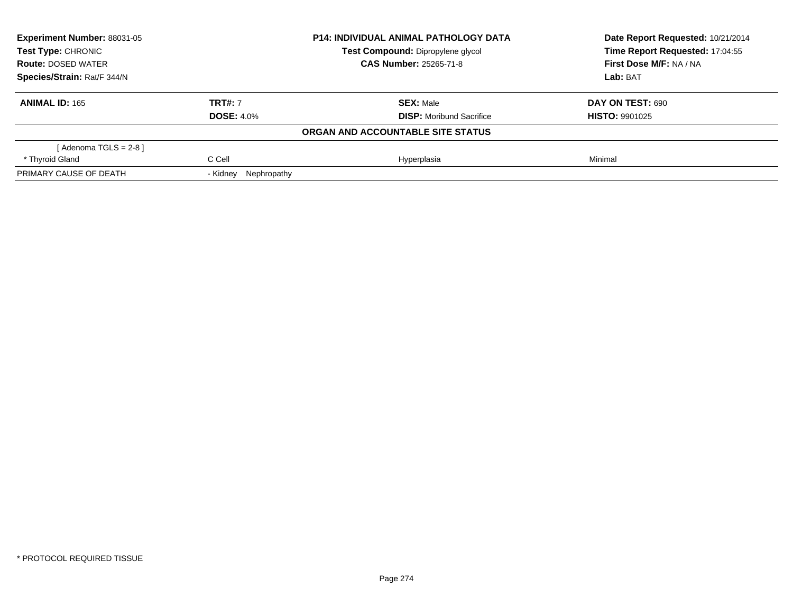| Experiment Number: 88031-05<br>Test Type: CHRONIC |                         | <b>P14: INDIVIDUAL ANIMAL PATHOLOGY DATA</b> | Date Report Requested: 10/21/2014<br>Time Report Requested: 17:04:55 |  |
|---------------------------------------------------|-------------------------|----------------------------------------------|----------------------------------------------------------------------|--|
|                                                   |                         | Test Compound: Dipropylene glycol            |                                                                      |  |
| <b>Route: DOSED WATER</b>                         |                         | <b>CAS Number: 25265-71-8</b>                | First Dose M/F: NA / NA                                              |  |
| Species/Strain: Rat/F 344/N                       |                         |                                              | Lab: BAT                                                             |  |
| <b>ANIMAL ID: 165</b>                             | <b>TRT#: 7</b>          | <b>SEX: Male</b>                             | <b>DAY ON TEST: 690</b>                                              |  |
|                                                   | <b>DOSE: 4.0%</b>       | <b>DISP:</b> Moribund Sacrifice              | <b>HISTO: 9901025</b>                                                |  |
|                                                   |                         | ORGAN AND ACCOUNTABLE SITE STATUS            |                                                                      |  |
| [Adenoma TGLS = $2-8$ ]                           |                         |                                              |                                                                      |  |
| * Thyroid Gland                                   | C Cell                  | Hyperplasia                                  | Minimal                                                              |  |
| PRIMARY CAUSE OF DEATH                            | Nephropathy<br>- Kidney |                                              |                                                                      |  |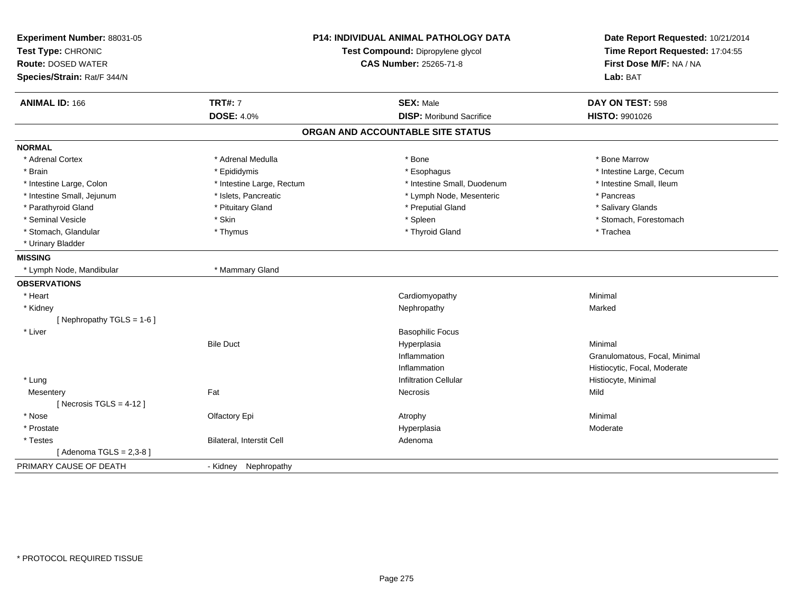| Experiment Number: 88031-05<br>Test Type: CHRONIC<br><b>Route: DOSED WATER</b><br>Species/Strain: Rat/F 344/N |                                  | <b>P14: INDIVIDUAL ANIMAL PATHOLOGY DATA</b><br>Test Compound: Dipropylene glycol<br><b>CAS Number: 25265-71-8</b> | Date Report Requested: 10/21/2014<br>Time Report Requested: 17:04:55<br>First Dose M/F: NA / NA<br>Lab: BAT |  |
|---------------------------------------------------------------------------------------------------------------|----------------------------------|--------------------------------------------------------------------------------------------------------------------|-------------------------------------------------------------------------------------------------------------|--|
| <b>ANIMAL ID: 166</b>                                                                                         | <b>TRT#: 7</b>                   | <b>SEX: Male</b>                                                                                                   | DAY ON TEST: 598                                                                                            |  |
|                                                                                                               | <b>DOSE: 4.0%</b>                | <b>DISP: Moribund Sacrifice</b>                                                                                    | HISTO: 9901026                                                                                              |  |
|                                                                                                               |                                  | ORGAN AND ACCOUNTABLE SITE STATUS                                                                                  |                                                                                                             |  |
| <b>NORMAL</b>                                                                                                 |                                  |                                                                                                                    |                                                                                                             |  |
| * Adrenal Cortex                                                                                              | * Adrenal Medulla                | * Bone                                                                                                             | * Bone Marrow                                                                                               |  |
| * Brain                                                                                                       | * Epididymis                     | * Esophagus                                                                                                        | * Intestine Large, Cecum                                                                                    |  |
| * Intestine Large, Colon                                                                                      | * Intestine Large, Rectum        | * Intestine Small, Duodenum                                                                                        | * Intestine Small, Ileum                                                                                    |  |
| * Intestine Small, Jejunum                                                                                    | * Islets, Pancreatic             | * Lymph Node, Mesenteric                                                                                           | * Pancreas                                                                                                  |  |
| * Parathyroid Gland                                                                                           | * Pituitary Gland                | * Preputial Gland                                                                                                  | * Salivary Glands                                                                                           |  |
| * Seminal Vesicle                                                                                             | * Skin                           | * Spleen                                                                                                           | * Stomach, Forestomach                                                                                      |  |
| * Stomach, Glandular                                                                                          | * Thymus                         | * Thyroid Gland                                                                                                    | * Trachea                                                                                                   |  |
| * Urinary Bladder                                                                                             |                                  |                                                                                                                    |                                                                                                             |  |
| <b>MISSING</b>                                                                                                |                                  |                                                                                                                    |                                                                                                             |  |
| * Lymph Node, Mandibular                                                                                      | * Mammary Gland                  |                                                                                                                    |                                                                                                             |  |
| <b>OBSERVATIONS</b>                                                                                           |                                  |                                                                                                                    |                                                                                                             |  |
| * Heart                                                                                                       |                                  | Cardiomyopathy                                                                                                     | Minimal                                                                                                     |  |
| * Kidney                                                                                                      |                                  | Nephropathy                                                                                                        | Marked                                                                                                      |  |
| [Nephropathy TGLS = 1-6]                                                                                      |                                  |                                                                                                                    |                                                                                                             |  |
| * Liver                                                                                                       |                                  | <b>Basophilic Focus</b>                                                                                            |                                                                                                             |  |
|                                                                                                               | <b>Bile Duct</b>                 | Hyperplasia                                                                                                        | Minimal                                                                                                     |  |
|                                                                                                               |                                  | Inflammation                                                                                                       | Granulomatous, Focal, Minimal                                                                               |  |
|                                                                                                               |                                  | Inflammation                                                                                                       | Histiocytic, Focal, Moderate                                                                                |  |
| * Lung                                                                                                        |                                  | <b>Infiltration Cellular</b>                                                                                       | Histiocyte, Minimal                                                                                         |  |
| Mesentery                                                                                                     | Fat                              | <b>Necrosis</b>                                                                                                    | Mild                                                                                                        |  |
| [ Necrosis $TGLS = 4-12$ ]                                                                                    |                                  |                                                                                                                    |                                                                                                             |  |
| * Nose                                                                                                        | Olfactory Epi                    | Atrophy                                                                                                            | Minimal                                                                                                     |  |
| * Prostate                                                                                                    |                                  | Hyperplasia                                                                                                        | Moderate                                                                                                    |  |
| * Testes                                                                                                      | <b>Bilateral, Interstit Cell</b> | Adenoma                                                                                                            |                                                                                                             |  |
| [Adenoma TGLS = $2,3-8$ ]                                                                                     |                                  |                                                                                                                    |                                                                                                             |  |
| PRIMARY CAUSE OF DEATH                                                                                        | - Kidney Nephropathy             |                                                                                                                    |                                                                                                             |  |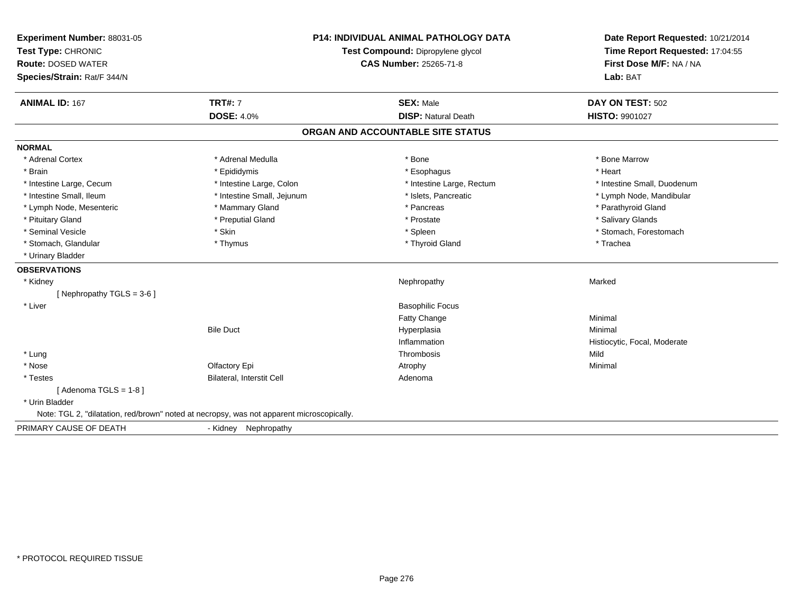| Experiment Number: 88031-05<br>Test Type: CHRONIC<br><b>Route: DOSED WATER</b><br>Species/Strain: Rat/F 344/N | <b>P14: INDIVIDUAL ANIMAL PATHOLOGY DATA</b><br>Test Compound: Dipropylene glycol<br><b>CAS Number: 25265-71-8</b> |                                   | Date Report Requested: 10/21/2014<br>Time Report Requested: 17:04:55<br>First Dose M/F: NA / NA<br>Lab: BAT |  |
|---------------------------------------------------------------------------------------------------------------|--------------------------------------------------------------------------------------------------------------------|-----------------------------------|-------------------------------------------------------------------------------------------------------------|--|
| <b>ANIMAL ID: 167</b>                                                                                         | <b>TRT#: 7</b>                                                                                                     | <b>SEX: Male</b>                  | DAY ON TEST: 502                                                                                            |  |
|                                                                                                               | <b>DOSE: 4.0%</b>                                                                                                  | <b>DISP: Natural Death</b>        | <b>HISTO: 9901027</b>                                                                                       |  |
|                                                                                                               |                                                                                                                    | ORGAN AND ACCOUNTABLE SITE STATUS |                                                                                                             |  |
| <b>NORMAL</b>                                                                                                 |                                                                                                                    |                                   |                                                                                                             |  |
| * Adrenal Cortex                                                                                              | * Adrenal Medulla                                                                                                  | * Bone                            | * Bone Marrow                                                                                               |  |
| * Brain                                                                                                       | * Epididymis                                                                                                       | * Esophagus                       | * Heart                                                                                                     |  |
| * Intestine Large, Cecum                                                                                      | * Intestine Large, Colon                                                                                           | * Intestine Large, Rectum         | * Intestine Small, Duodenum                                                                                 |  |
| * Intestine Small, Ileum                                                                                      | * Intestine Small, Jejunum                                                                                         | * Islets, Pancreatic              | * Lymph Node, Mandibular                                                                                    |  |
| * Lymph Node, Mesenteric                                                                                      | * Mammary Gland                                                                                                    | * Pancreas                        | * Parathyroid Gland                                                                                         |  |
| * Pituitary Gland                                                                                             | * Preputial Gland                                                                                                  | * Prostate                        | * Salivary Glands                                                                                           |  |
| * Seminal Vesicle                                                                                             | * Skin                                                                                                             | * Spleen                          | * Stomach, Forestomach                                                                                      |  |
| * Stomach, Glandular                                                                                          | * Thymus                                                                                                           | * Thyroid Gland                   | * Trachea                                                                                                   |  |
| * Urinary Bladder                                                                                             |                                                                                                                    |                                   |                                                                                                             |  |
| <b>OBSERVATIONS</b>                                                                                           |                                                                                                                    |                                   |                                                                                                             |  |
| * Kidney                                                                                                      |                                                                                                                    | Nephropathy                       | Marked                                                                                                      |  |
| [Nephropathy TGLS = 3-6]                                                                                      |                                                                                                                    |                                   |                                                                                                             |  |
| * Liver                                                                                                       |                                                                                                                    | <b>Basophilic Focus</b>           |                                                                                                             |  |
|                                                                                                               |                                                                                                                    | <b>Fatty Change</b>               | Minimal                                                                                                     |  |
|                                                                                                               | <b>Bile Duct</b>                                                                                                   | Hyperplasia                       | Minimal                                                                                                     |  |
|                                                                                                               |                                                                                                                    | Inflammation                      | Histiocytic, Focal, Moderate                                                                                |  |
| * Lung                                                                                                        |                                                                                                                    | Thrombosis                        | Mild                                                                                                        |  |
| * Nose                                                                                                        | Olfactory Epi                                                                                                      | Atrophy                           | Minimal                                                                                                     |  |
| * Testes                                                                                                      | Bilateral, Interstit Cell                                                                                          | Adenoma                           |                                                                                                             |  |
| [Adenoma TGLS = $1-8$ ]                                                                                       |                                                                                                                    |                                   |                                                                                                             |  |
| * Urin Bladder                                                                                                |                                                                                                                    |                                   |                                                                                                             |  |
|                                                                                                               | Note: TGL 2, "dilatation, red/brown" noted at necropsy, was not apparent microscopically.                          |                                   |                                                                                                             |  |
| PRIMARY CAUSE OF DEATH                                                                                        | - Kidney Nephropathy                                                                                               |                                   |                                                                                                             |  |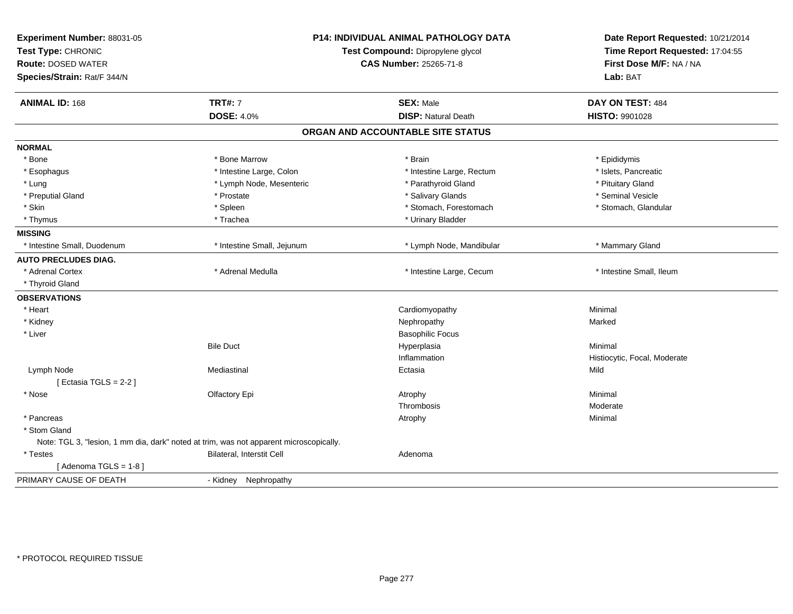| Experiment Number: 88031-05<br>Test Type: CHRONIC<br><b>Route: DOSED WATER</b><br>Species/Strain: Rat/F 344/N | P14: INDIVIDUAL ANIMAL PATHOLOGY DATA<br>Test Compound: Dipropylene glycol<br><b>CAS Number: 25265-71-8</b> |                                   | Date Report Requested: 10/21/2014<br>Time Report Requested: 17:04:55<br>First Dose M/F: NA / NA<br>Lab: BAT |
|---------------------------------------------------------------------------------------------------------------|-------------------------------------------------------------------------------------------------------------|-----------------------------------|-------------------------------------------------------------------------------------------------------------|
| <b>ANIMAL ID: 168</b>                                                                                         | <b>TRT#: 7</b>                                                                                              | <b>SEX: Male</b>                  | DAY ON TEST: 484                                                                                            |
|                                                                                                               | <b>DOSE: 4.0%</b>                                                                                           | <b>DISP: Natural Death</b>        | <b>HISTO: 9901028</b>                                                                                       |
|                                                                                                               |                                                                                                             | ORGAN AND ACCOUNTABLE SITE STATUS |                                                                                                             |
| <b>NORMAL</b>                                                                                                 |                                                                                                             |                                   |                                                                                                             |
| * Bone                                                                                                        | * Bone Marrow                                                                                               | * Brain                           | * Epididymis                                                                                                |
| * Esophagus                                                                                                   | * Intestine Large, Colon                                                                                    | * Intestine Large, Rectum         | * Islets, Pancreatic                                                                                        |
| * Lung                                                                                                        | * Lymph Node, Mesenteric                                                                                    | * Parathyroid Gland               | * Pituitary Gland                                                                                           |
| * Preputial Gland                                                                                             | * Prostate                                                                                                  | * Salivary Glands                 | * Seminal Vesicle                                                                                           |
| * Skin                                                                                                        | * Spleen                                                                                                    | * Stomach, Forestomach            | * Stomach, Glandular                                                                                        |
| * Thymus                                                                                                      | * Trachea                                                                                                   | * Urinary Bladder                 |                                                                                                             |
| <b>MISSING</b>                                                                                                |                                                                                                             |                                   |                                                                                                             |
| * Intestine Small, Duodenum                                                                                   | * Intestine Small, Jejunum                                                                                  | * Lymph Node, Mandibular          | * Mammary Gland                                                                                             |
| <b>AUTO PRECLUDES DIAG.</b>                                                                                   |                                                                                                             |                                   |                                                                                                             |
| * Adrenal Cortex                                                                                              | * Adrenal Medulla                                                                                           | * Intestine Large, Cecum          | * Intestine Small, Ileum                                                                                    |
| * Thyroid Gland                                                                                               |                                                                                                             |                                   |                                                                                                             |
| <b>OBSERVATIONS</b>                                                                                           |                                                                                                             |                                   |                                                                                                             |
| * Heart                                                                                                       |                                                                                                             | Cardiomyopathy                    | Minimal                                                                                                     |
| * Kidney                                                                                                      |                                                                                                             | Nephropathy                       | Marked                                                                                                      |
| * Liver                                                                                                       |                                                                                                             | <b>Basophilic Focus</b>           |                                                                                                             |
|                                                                                                               | <b>Bile Duct</b>                                                                                            | Hyperplasia                       | Minimal                                                                                                     |
|                                                                                                               |                                                                                                             | Inflammation                      | Histiocytic, Focal, Moderate                                                                                |
| Lymph Node                                                                                                    | Mediastinal                                                                                                 | Ectasia                           | Mild                                                                                                        |
| [Ectasia TGLS = $2-2$ ]                                                                                       |                                                                                                             |                                   |                                                                                                             |
| * Nose                                                                                                        | Olfactory Epi                                                                                               | Atrophy                           | Minimal                                                                                                     |
|                                                                                                               |                                                                                                             | Thrombosis                        | Moderate                                                                                                    |
| * Pancreas                                                                                                    |                                                                                                             | Atrophy                           | Minimal                                                                                                     |
| * Stom Gland                                                                                                  |                                                                                                             |                                   |                                                                                                             |
|                                                                                                               | Note: TGL 3, "lesion, 1 mm dia, dark" noted at trim, was not apparent microscopically.                      |                                   |                                                                                                             |
| * Testes                                                                                                      | Bilateral, Interstit Cell                                                                                   | Adenoma                           |                                                                                                             |
| [Adenoma TGLS = $1-8$ ]                                                                                       |                                                                                                             |                                   |                                                                                                             |
| PRIMARY CAUSE OF DEATH                                                                                        | - Kidney<br>Nephropathy                                                                                     |                                   |                                                                                                             |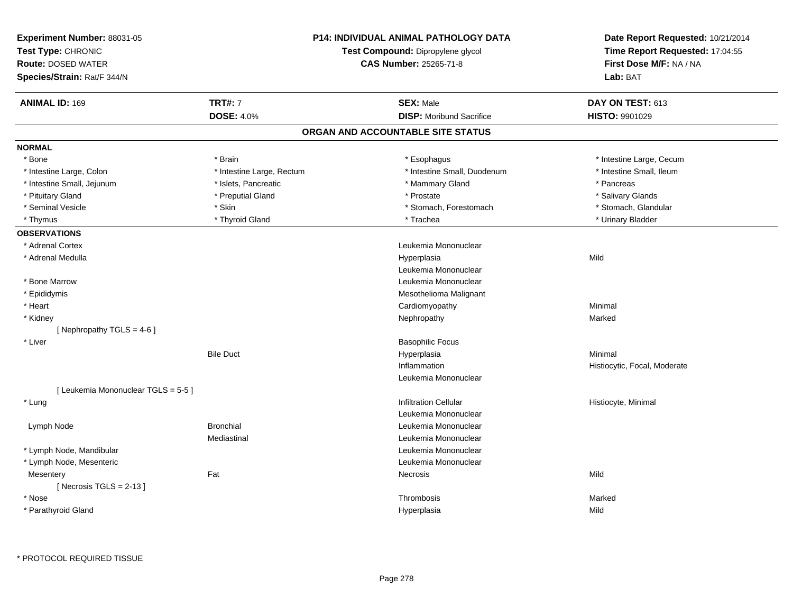| Experiment Number: 88031-05<br>Test Type: CHRONIC<br><b>Route: DOSED WATER</b><br>Species/Strain: Rat/F 344/N |                           | <b>P14: INDIVIDUAL ANIMAL PATHOLOGY DATA</b><br>Test Compound: Dipropylene glycol<br>CAS Number: 25265-71-8 | Date Report Requested: 10/21/2014<br>Time Report Requested: 17:04:55<br>First Dose M/F: NA / NA<br>Lab: BAT |
|---------------------------------------------------------------------------------------------------------------|---------------------------|-------------------------------------------------------------------------------------------------------------|-------------------------------------------------------------------------------------------------------------|
| <b>ANIMAL ID: 169</b>                                                                                         | <b>TRT#: 7</b>            | <b>SEX: Male</b>                                                                                            | DAY ON TEST: 613                                                                                            |
|                                                                                                               | <b>DOSE: 4.0%</b>         | <b>DISP:</b> Moribund Sacrifice                                                                             | HISTO: 9901029                                                                                              |
|                                                                                                               |                           | ORGAN AND ACCOUNTABLE SITE STATUS                                                                           |                                                                                                             |
| <b>NORMAL</b>                                                                                                 |                           |                                                                                                             |                                                                                                             |
| * Bone                                                                                                        | * Brain                   | * Esophagus                                                                                                 | * Intestine Large, Cecum                                                                                    |
| * Intestine Large, Colon                                                                                      | * Intestine Large, Rectum | * Intestine Small, Duodenum                                                                                 | * Intestine Small, Ileum                                                                                    |
| * Intestine Small, Jejunum                                                                                    | * Islets, Pancreatic      | * Mammary Gland                                                                                             | * Pancreas                                                                                                  |
| * Pituitary Gland                                                                                             | * Preputial Gland         | * Prostate                                                                                                  | * Salivary Glands                                                                                           |
| * Seminal Vesicle                                                                                             | * Skin                    | * Stomach, Forestomach                                                                                      | * Stomach, Glandular                                                                                        |
| * Thymus                                                                                                      | * Thyroid Gland           | * Trachea                                                                                                   | * Urinary Bladder                                                                                           |
| <b>OBSERVATIONS</b>                                                                                           |                           |                                                                                                             |                                                                                                             |
| * Adrenal Cortex                                                                                              |                           | Leukemia Mononuclear                                                                                        |                                                                                                             |
| * Adrenal Medulla                                                                                             |                           | Hyperplasia                                                                                                 | Mild                                                                                                        |
|                                                                                                               |                           | Leukemia Mononuclear                                                                                        |                                                                                                             |
| * Bone Marrow                                                                                                 |                           | Leukemia Mononuclear                                                                                        |                                                                                                             |
| * Epididymis                                                                                                  |                           | Mesothelioma Malignant                                                                                      |                                                                                                             |
| * Heart                                                                                                       |                           | Cardiomyopathy                                                                                              | Minimal                                                                                                     |
| * Kidney                                                                                                      |                           | Nephropathy                                                                                                 | Marked                                                                                                      |
| [Nephropathy TGLS = $4-6$ ]                                                                                   |                           |                                                                                                             |                                                                                                             |
| * Liver                                                                                                       |                           | <b>Basophilic Focus</b>                                                                                     |                                                                                                             |
|                                                                                                               | <b>Bile Duct</b>          | Hyperplasia                                                                                                 | Minimal                                                                                                     |
|                                                                                                               |                           | Inflammation                                                                                                | Histiocytic, Focal, Moderate                                                                                |
|                                                                                                               |                           | Leukemia Mononuclear                                                                                        |                                                                                                             |
| [ Leukemia Mononuclear TGLS = 5-5 ]                                                                           |                           |                                                                                                             |                                                                                                             |
| * Lung                                                                                                        |                           | <b>Infiltration Cellular</b>                                                                                | Histiocyte, Minimal                                                                                         |
|                                                                                                               |                           | Leukemia Mononuclear                                                                                        |                                                                                                             |
| Lymph Node                                                                                                    | <b>Bronchial</b>          | Leukemia Mononuclear                                                                                        |                                                                                                             |
|                                                                                                               | Mediastinal               | Leukemia Mononuclear                                                                                        |                                                                                                             |
| * Lymph Node, Mandibular                                                                                      |                           | Leukemia Mononuclear                                                                                        |                                                                                                             |
| * Lymph Node, Mesenteric                                                                                      |                           | Leukemia Mononuclear                                                                                        |                                                                                                             |
| Mesentery<br>[Necrosis TGLS = $2-13$ ]                                                                        | Fat                       | Necrosis                                                                                                    | Mild                                                                                                        |
| * Nose                                                                                                        |                           | Thrombosis                                                                                                  | Marked                                                                                                      |
| * Parathyroid Gland                                                                                           |                           | Hyperplasia                                                                                                 | Mild                                                                                                        |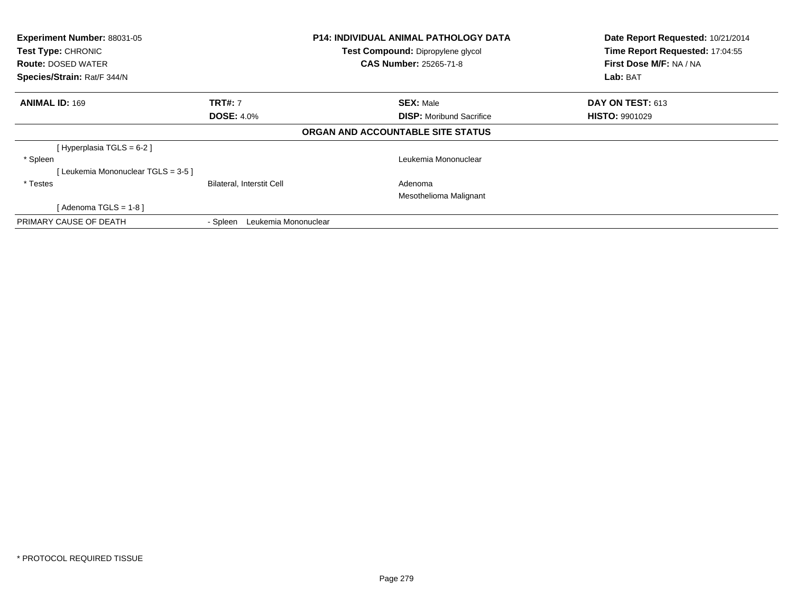| Experiment Number: 88031-05<br>Test Type: CHRONIC<br><b>Route: DOSED WATER</b><br>Species/Strain: Rat/F 344/N |                                  | <b>P14: INDIVIDUAL ANIMAL PATHOLOGY DATA</b><br>Test Compound: Dipropylene glycol<br><b>CAS Number: 25265-71-8</b> | Date Report Requested: 10/21/2014<br>Time Report Requested: 17:04:55<br>First Dose M/F: NA / NA<br>Lab: BAT |
|---------------------------------------------------------------------------------------------------------------|----------------------------------|--------------------------------------------------------------------------------------------------------------------|-------------------------------------------------------------------------------------------------------------|
| <b>ANIMAL ID: 169</b>                                                                                         | <b>TRT#: 7</b>                   | <b>SEX: Male</b>                                                                                                   | <b>DAY ON TEST: 613</b>                                                                                     |
|                                                                                                               | <b>DOSE: 4.0%</b>                | <b>DISP:</b> Moribund Sacrifice                                                                                    | <b>HISTO: 9901029</b>                                                                                       |
|                                                                                                               |                                  | ORGAN AND ACCOUNTABLE SITE STATUS                                                                                  |                                                                                                             |
| [Hyperplasia TGLS = $6-2$ ]                                                                                   |                                  |                                                                                                                    |                                                                                                             |
| * Spleen                                                                                                      |                                  | Leukemia Mononuclear                                                                                               |                                                                                                             |
| [Leukemia Mononuclear TGLS = 3-5 ]                                                                            |                                  |                                                                                                                    |                                                                                                             |
| * Testes                                                                                                      | Bilateral, Interstit Cell        | Adenoma                                                                                                            |                                                                                                             |
|                                                                                                               |                                  | Mesothelioma Malignant                                                                                             |                                                                                                             |
| [Adenoma TGLS = $1-8$ ]                                                                                       |                                  |                                                                                                                    |                                                                                                             |
| PRIMARY CAUSE OF DEATH                                                                                        | Leukemia Mononuclear<br>- Spleen |                                                                                                                    |                                                                                                             |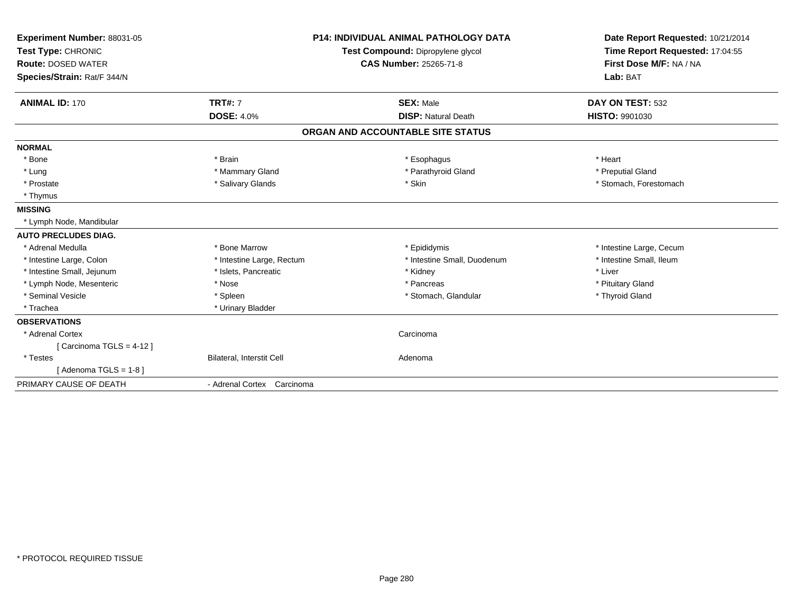| Experiment Number: 88031-05<br>Test Type: CHRONIC<br><b>Route: DOSED WATER</b><br>Species/Strain: Rat/F 344/N | <b>P14: INDIVIDUAL ANIMAL PATHOLOGY DATA</b><br>Test Compound: Dipropylene glycol<br><b>CAS Number: 25265-71-8</b> |                                                | Date Report Requested: 10/21/2014<br>Time Report Requested: 17:04:55<br>First Dose M/F: NA / NA<br>Lab: BAT |  |
|---------------------------------------------------------------------------------------------------------------|--------------------------------------------------------------------------------------------------------------------|------------------------------------------------|-------------------------------------------------------------------------------------------------------------|--|
| <b>ANIMAL ID: 170</b>                                                                                         | <b>TRT#: 7</b><br><b>DOSE: 4.0%</b>                                                                                | <b>SEX: Male</b><br><b>DISP: Natural Death</b> | DAY ON TEST: 532<br>HISTO: 9901030                                                                          |  |
|                                                                                                               |                                                                                                                    |                                                |                                                                                                             |  |
|                                                                                                               |                                                                                                                    | ORGAN AND ACCOUNTABLE SITE STATUS              |                                                                                                             |  |
| <b>NORMAL</b>                                                                                                 |                                                                                                                    |                                                |                                                                                                             |  |
| * Bone                                                                                                        | * Brain                                                                                                            | * Esophagus                                    | * Heart                                                                                                     |  |
| * Lung                                                                                                        | * Mammary Gland                                                                                                    | * Parathyroid Gland                            | * Preputial Gland                                                                                           |  |
| * Prostate                                                                                                    | * Salivary Glands                                                                                                  | * Skin                                         | * Stomach, Forestomach                                                                                      |  |
| * Thymus                                                                                                      |                                                                                                                    |                                                |                                                                                                             |  |
| <b>MISSING</b>                                                                                                |                                                                                                                    |                                                |                                                                                                             |  |
| * Lymph Node, Mandibular                                                                                      |                                                                                                                    |                                                |                                                                                                             |  |
| <b>AUTO PRECLUDES DIAG.</b>                                                                                   |                                                                                                                    |                                                |                                                                                                             |  |
| * Adrenal Medulla                                                                                             | * Bone Marrow                                                                                                      | * Epididymis                                   | * Intestine Large, Cecum                                                                                    |  |
| * Intestine Large, Colon                                                                                      | * Intestine Large, Rectum                                                                                          | * Intestine Small, Duodenum                    | * Intestine Small, Ileum                                                                                    |  |
| * Intestine Small, Jejunum                                                                                    | * Islets, Pancreatic                                                                                               | * Kidney                                       | * Liver                                                                                                     |  |
| * Lymph Node, Mesenteric                                                                                      | * Nose                                                                                                             | * Pancreas                                     | * Pituitary Gland                                                                                           |  |
| * Seminal Vesicle                                                                                             | * Spleen                                                                                                           | * Stomach, Glandular                           | * Thyroid Gland                                                                                             |  |
| * Trachea                                                                                                     | * Urinary Bladder                                                                                                  |                                                |                                                                                                             |  |
| <b>OBSERVATIONS</b>                                                                                           |                                                                                                                    |                                                |                                                                                                             |  |
| * Adrenal Cortex                                                                                              |                                                                                                                    | Carcinoma                                      |                                                                                                             |  |
| [Carcinoma TGLS = $4-12$ ]                                                                                    |                                                                                                                    |                                                |                                                                                                             |  |
| * Testes                                                                                                      | Bilateral, Interstit Cell                                                                                          | Adenoma                                        |                                                                                                             |  |
| $Adenoma TGLS = 1-8$                                                                                          |                                                                                                                    |                                                |                                                                                                             |  |
| PRIMARY CAUSE OF DEATH                                                                                        | - Adrenal Cortex Carcinoma                                                                                         |                                                |                                                                                                             |  |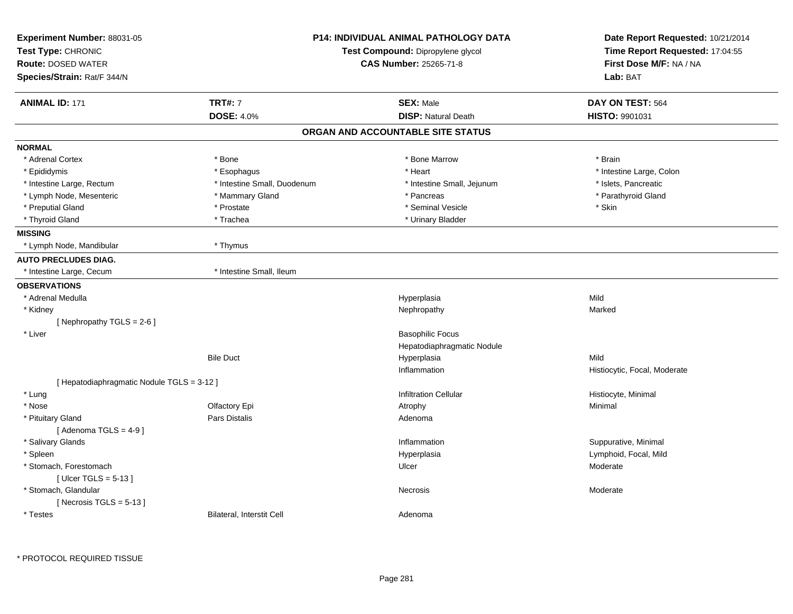| First Dose M/F: NA / NA<br><b>CAS Number: 25265-71-8</b><br>Lab: BAT<br><b>TRT#: 7</b><br><b>SEX: Male</b><br>DAY ON TEST: 564<br><b>DISP: Natural Death</b><br><b>DOSE: 4.0%</b><br>HISTO: 9901031<br>ORGAN AND ACCOUNTABLE SITE STATUS<br>* Adrenal Cortex<br>* Bone<br>* Bone Marrow<br>* Brain<br>* Heart<br>* Intestine Large, Colon<br>* Epididymis<br>* Esophagus<br>* Intestine Large, Rectum<br>* Intestine Small, Duodenum<br>* Intestine Small, Jejunum<br>* Islets, Pancreatic<br>* Mammary Gland<br>* Pancreas<br>* Parathyroid Gland<br>* Lymph Node, Mesenteric<br>* Preputial Gland<br>* Seminal Vesicle<br>* Skin<br>* Prostate<br>* Thyroid Gland<br>* Trachea<br>* Urinary Bladder<br>* Lymph Node, Mandibular<br>* Thymus<br>* Intestine Small, Ileum<br>* Intestine Large, Cecum<br>Mild<br>* Adrenal Medulla<br>Hyperplasia<br>* Kidney<br>Marked<br>Nephropathy<br>[Nephropathy TGLS = 2-6]<br><b>Basophilic Focus</b><br>* Liver<br>Hepatodiaphragmatic Nodule<br><b>Bile Duct</b><br>Hyperplasia<br>Mild<br>Inflammation<br>Histiocytic, Focal, Moderate<br>[ Hepatodiaphragmatic Nodule TGLS = 3-12 ]<br>* Lung<br><b>Infiltration Cellular</b><br>Histiocyte, Minimal<br>* Nose<br>Olfactory Epi<br>Minimal<br>Atrophy<br>Pars Distalis<br>* Pituitary Gland<br>Adenoma<br>[Adenoma TGLS = $4-9$ ]<br>* Salivary Glands<br>Inflammation<br>Suppurative, Minimal<br>* Spleen<br>Lymphoid, Focal, Mild<br>Hyperplasia<br>* Stomach, Forestomach<br>Ulcer<br>Moderate<br>[Ulcer TGLS = $5-13$ ]<br>* Stomach, Glandular<br><b>Necrosis</b><br>Moderate<br>[Necrosis TGLS = $5-13$ ]<br><b>Bilateral, Interstit Cell</b><br>* Testes<br>Adenoma | Experiment Number: 88031-05<br>Test Type: CHRONIC |  | <b>P14: INDIVIDUAL ANIMAL PATHOLOGY DATA</b><br>Test Compound: Dipropylene glycol | Date Report Requested: 10/21/2014<br>Time Report Requested: 17:04:55 |
|------------------------------------------------------------------------------------------------------------------------------------------------------------------------------------------------------------------------------------------------------------------------------------------------------------------------------------------------------------------------------------------------------------------------------------------------------------------------------------------------------------------------------------------------------------------------------------------------------------------------------------------------------------------------------------------------------------------------------------------------------------------------------------------------------------------------------------------------------------------------------------------------------------------------------------------------------------------------------------------------------------------------------------------------------------------------------------------------------------------------------------------------------------------------------------------------------------------------------------------------------------------------------------------------------------------------------------------------------------------------------------------------------------------------------------------------------------------------------------------------------------------------------------------------------------------------------------------------------------------------------------------------------------------------|---------------------------------------------------|--|-----------------------------------------------------------------------------------|----------------------------------------------------------------------|
|                                                                                                                                                                                                                                                                                                                                                                                                                                                                                                                                                                                                                                                                                                                                                                                                                                                                                                                                                                                                                                                                                                                                                                                                                                                                                                                                                                                                                                                                                                                                                                                                                                                                        | <b>Route: DOSED WATER</b>                         |  |                                                                                   |                                                                      |
|                                                                                                                                                                                                                                                                                                                                                                                                                                                                                                                                                                                                                                                                                                                                                                                                                                                                                                                                                                                                                                                                                                                                                                                                                                                                                                                                                                                                                                                                                                                                                                                                                                                                        | Species/Strain: Rat/F 344/N                       |  |                                                                                   |                                                                      |
|                                                                                                                                                                                                                                                                                                                                                                                                                                                                                                                                                                                                                                                                                                                                                                                                                                                                                                                                                                                                                                                                                                                                                                                                                                                                                                                                                                                                                                                                                                                                                                                                                                                                        | <b>ANIMAL ID: 171</b>                             |  |                                                                                   |                                                                      |
|                                                                                                                                                                                                                                                                                                                                                                                                                                                                                                                                                                                                                                                                                                                                                                                                                                                                                                                                                                                                                                                                                                                                                                                                                                                                                                                                                                                                                                                                                                                                                                                                                                                                        |                                                   |  |                                                                                   |                                                                      |
|                                                                                                                                                                                                                                                                                                                                                                                                                                                                                                                                                                                                                                                                                                                                                                                                                                                                                                                                                                                                                                                                                                                                                                                                                                                                                                                                                                                                                                                                                                                                                                                                                                                                        |                                                   |  |                                                                                   |                                                                      |
|                                                                                                                                                                                                                                                                                                                                                                                                                                                                                                                                                                                                                                                                                                                                                                                                                                                                                                                                                                                                                                                                                                                                                                                                                                                                                                                                                                                                                                                                                                                                                                                                                                                                        | <b>NORMAL</b>                                     |  |                                                                                   |                                                                      |
|                                                                                                                                                                                                                                                                                                                                                                                                                                                                                                                                                                                                                                                                                                                                                                                                                                                                                                                                                                                                                                                                                                                                                                                                                                                                                                                                                                                                                                                                                                                                                                                                                                                                        |                                                   |  |                                                                                   |                                                                      |
|                                                                                                                                                                                                                                                                                                                                                                                                                                                                                                                                                                                                                                                                                                                                                                                                                                                                                                                                                                                                                                                                                                                                                                                                                                                                                                                                                                                                                                                                                                                                                                                                                                                                        |                                                   |  |                                                                                   |                                                                      |
|                                                                                                                                                                                                                                                                                                                                                                                                                                                                                                                                                                                                                                                                                                                                                                                                                                                                                                                                                                                                                                                                                                                                                                                                                                                                                                                                                                                                                                                                                                                                                                                                                                                                        |                                                   |  |                                                                                   |                                                                      |
|                                                                                                                                                                                                                                                                                                                                                                                                                                                                                                                                                                                                                                                                                                                                                                                                                                                                                                                                                                                                                                                                                                                                                                                                                                                                                                                                                                                                                                                                                                                                                                                                                                                                        |                                                   |  |                                                                                   |                                                                      |
|                                                                                                                                                                                                                                                                                                                                                                                                                                                                                                                                                                                                                                                                                                                                                                                                                                                                                                                                                                                                                                                                                                                                                                                                                                                                                                                                                                                                                                                                                                                                                                                                                                                                        |                                                   |  |                                                                                   |                                                                      |
|                                                                                                                                                                                                                                                                                                                                                                                                                                                                                                                                                                                                                                                                                                                                                                                                                                                                                                                                                                                                                                                                                                                                                                                                                                                                                                                                                                                                                                                                                                                                                                                                                                                                        |                                                   |  |                                                                                   |                                                                      |
|                                                                                                                                                                                                                                                                                                                                                                                                                                                                                                                                                                                                                                                                                                                                                                                                                                                                                                                                                                                                                                                                                                                                                                                                                                                                                                                                                                                                                                                                                                                                                                                                                                                                        | <b>MISSING</b>                                    |  |                                                                                   |                                                                      |
|                                                                                                                                                                                                                                                                                                                                                                                                                                                                                                                                                                                                                                                                                                                                                                                                                                                                                                                                                                                                                                                                                                                                                                                                                                                                                                                                                                                                                                                                                                                                                                                                                                                                        |                                                   |  |                                                                                   |                                                                      |
|                                                                                                                                                                                                                                                                                                                                                                                                                                                                                                                                                                                                                                                                                                                                                                                                                                                                                                                                                                                                                                                                                                                                                                                                                                                                                                                                                                                                                                                                                                                                                                                                                                                                        | <b>AUTO PRECLUDES DIAG.</b>                       |  |                                                                                   |                                                                      |
|                                                                                                                                                                                                                                                                                                                                                                                                                                                                                                                                                                                                                                                                                                                                                                                                                                                                                                                                                                                                                                                                                                                                                                                                                                                                                                                                                                                                                                                                                                                                                                                                                                                                        |                                                   |  |                                                                                   |                                                                      |
|                                                                                                                                                                                                                                                                                                                                                                                                                                                                                                                                                                                                                                                                                                                                                                                                                                                                                                                                                                                                                                                                                                                                                                                                                                                                                                                                                                                                                                                                                                                                                                                                                                                                        | <b>OBSERVATIONS</b>                               |  |                                                                                   |                                                                      |
|                                                                                                                                                                                                                                                                                                                                                                                                                                                                                                                                                                                                                                                                                                                                                                                                                                                                                                                                                                                                                                                                                                                                                                                                                                                                                                                                                                                                                                                                                                                                                                                                                                                                        |                                                   |  |                                                                                   |                                                                      |
|                                                                                                                                                                                                                                                                                                                                                                                                                                                                                                                                                                                                                                                                                                                                                                                                                                                                                                                                                                                                                                                                                                                                                                                                                                                                                                                                                                                                                                                                                                                                                                                                                                                                        |                                                   |  |                                                                                   |                                                                      |
|                                                                                                                                                                                                                                                                                                                                                                                                                                                                                                                                                                                                                                                                                                                                                                                                                                                                                                                                                                                                                                                                                                                                                                                                                                                                                                                                                                                                                                                                                                                                                                                                                                                                        |                                                   |  |                                                                                   |                                                                      |
|                                                                                                                                                                                                                                                                                                                                                                                                                                                                                                                                                                                                                                                                                                                                                                                                                                                                                                                                                                                                                                                                                                                                                                                                                                                                                                                                                                                                                                                                                                                                                                                                                                                                        |                                                   |  |                                                                                   |                                                                      |
|                                                                                                                                                                                                                                                                                                                                                                                                                                                                                                                                                                                                                                                                                                                                                                                                                                                                                                                                                                                                                                                                                                                                                                                                                                                                                                                                                                                                                                                                                                                                                                                                                                                                        |                                                   |  |                                                                                   |                                                                      |
|                                                                                                                                                                                                                                                                                                                                                                                                                                                                                                                                                                                                                                                                                                                                                                                                                                                                                                                                                                                                                                                                                                                                                                                                                                                                                                                                                                                                                                                                                                                                                                                                                                                                        |                                                   |  |                                                                                   |                                                                      |
|                                                                                                                                                                                                                                                                                                                                                                                                                                                                                                                                                                                                                                                                                                                                                                                                                                                                                                                                                                                                                                                                                                                                                                                                                                                                                                                                                                                                                                                                                                                                                                                                                                                                        |                                                   |  |                                                                                   |                                                                      |
|                                                                                                                                                                                                                                                                                                                                                                                                                                                                                                                                                                                                                                                                                                                                                                                                                                                                                                                                                                                                                                                                                                                                                                                                                                                                                                                                                                                                                                                                                                                                                                                                                                                                        |                                                   |  |                                                                                   |                                                                      |
|                                                                                                                                                                                                                                                                                                                                                                                                                                                                                                                                                                                                                                                                                                                                                                                                                                                                                                                                                                                                                                                                                                                                                                                                                                                                                                                                                                                                                                                                                                                                                                                                                                                                        |                                                   |  |                                                                                   |                                                                      |
|                                                                                                                                                                                                                                                                                                                                                                                                                                                                                                                                                                                                                                                                                                                                                                                                                                                                                                                                                                                                                                                                                                                                                                                                                                                                                                                                                                                                                                                                                                                                                                                                                                                                        |                                                   |  |                                                                                   |                                                                      |
|                                                                                                                                                                                                                                                                                                                                                                                                                                                                                                                                                                                                                                                                                                                                                                                                                                                                                                                                                                                                                                                                                                                                                                                                                                                                                                                                                                                                                                                                                                                                                                                                                                                                        |                                                   |  |                                                                                   |                                                                      |
|                                                                                                                                                                                                                                                                                                                                                                                                                                                                                                                                                                                                                                                                                                                                                                                                                                                                                                                                                                                                                                                                                                                                                                                                                                                                                                                                                                                                                                                                                                                                                                                                                                                                        |                                                   |  |                                                                                   |                                                                      |
|                                                                                                                                                                                                                                                                                                                                                                                                                                                                                                                                                                                                                                                                                                                                                                                                                                                                                                                                                                                                                                                                                                                                                                                                                                                                                                                                                                                                                                                                                                                                                                                                                                                                        |                                                   |  |                                                                                   |                                                                      |
|                                                                                                                                                                                                                                                                                                                                                                                                                                                                                                                                                                                                                                                                                                                                                                                                                                                                                                                                                                                                                                                                                                                                                                                                                                                                                                                                                                                                                                                                                                                                                                                                                                                                        |                                                   |  |                                                                                   |                                                                      |
|                                                                                                                                                                                                                                                                                                                                                                                                                                                                                                                                                                                                                                                                                                                                                                                                                                                                                                                                                                                                                                                                                                                                                                                                                                                                                                                                                                                                                                                                                                                                                                                                                                                                        |                                                   |  |                                                                                   |                                                                      |
|                                                                                                                                                                                                                                                                                                                                                                                                                                                                                                                                                                                                                                                                                                                                                                                                                                                                                                                                                                                                                                                                                                                                                                                                                                                                                                                                                                                                                                                                                                                                                                                                                                                                        |                                                   |  |                                                                                   |                                                                      |
|                                                                                                                                                                                                                                                                                                                                                                                                                                                                                                                                                                                                                                                                                                                                                                                                                                                                                                                                                                                                                                                                                                                                                                                                                                                                                                                                                                                                                                                                                                                                                                                                                                                                        |                                                   |  |                                                                                   |                                                                      |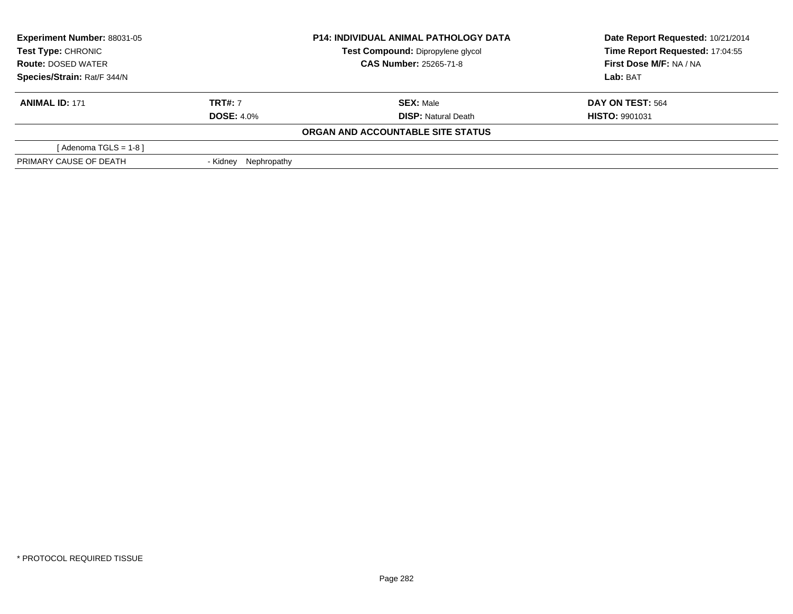| <b>Experiment Number: 88031-05</b><br>Test Type: CHRONIC<br><b>Route: DOSED WATER</b> |                         | <b>P14: INDIVIDUAL ANIMAL PATHOLOGY DATA</b> | Date Report Requested: 10/21/2014 |
|---------------------------------------------------------------------------------------|-------------------------|----------------------------------------------|-----------------------------------|
|                                                                                       |                         | Test Compound: Dipropylene glycol            | Time Report Requested: 17:04:55   |
|                                                                                       |                         | <b>CAS Number: 25265-71-8</b>                | First Dose M/F: NA / NA           |
| Species/Strain: Rat/F 344/N                                                           |                         |                                              | Lab: BAT                          |
| <b>ANIMAL ID: 171</b>                                                                 | <b>TRT#: 7</b>          | <b>SEX: Male</b>                             | <b>DAY ON TEST: 564</b>           |
|                                                                                       | <b>DOSE: 4.0%</b>       | <b>DISP:</b> Natural Death                   | <b>HISTO: 9901031</b>             |
|                                                                                       |                         | ORGAN AND ACCOUNTABLE SITE STATUS            |                                   |
| [Adenoma TGLS = $1-8$ ]                                                               |                         |                                              |                                   |
| PRIMARY CAUSE OF DEATH                                                                | Nephropathy<br>- Kidnev |                                              |                                   |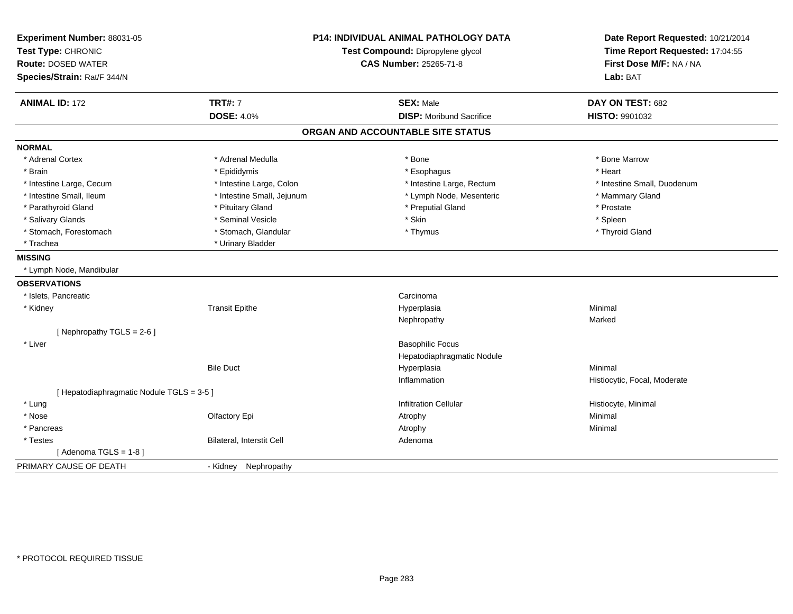| Experiment Number: 88031-05<br>Test Type: CHRONIC<br><b>Route: DOSED WATER</b><br>Species/Strain: Rat/F 344/N |                            | <b>P14: INDIVIDUAL ANIMAL PATHOLOGY DATA</b><br>Test Compound: Dipropylene glycol<br><b>CAS Number: 25265-71-8</b> |                              |
|---------------------------------------------------------------------------------------------------------------|----------------------------|--------------------------------------------------------------------------------------------------------------------|------------------------------|
| <b>ANIMAL ID: 172</b>                                                                                         | <b>TRT#: 7</b>             | <b>SEX: Male</b>                                                                                                   | DAY ON TEST: 682             |
|                                                                                                               | <b>DOSE: 4.0%</b>          | <b>DISP:</b> Moribund Sacrifice                                                                                    | HISTO: 9901032               |
|                                                                                                               |                            | ORGAN AND ACCOUNTABLE SITE STATUS                                                                                  |                              |
| <b>NORMAL</b>                                                                                                 |                            |                                                                                                                    |                              |
| * Adrenal Cortex                                                                                              | * Adrenal Medulla          | * Bone                                                                                                             | * Bone Marrow                |
| * Brain                                                                                                       | * Epididymis               | * Esophagus                                                                                                        | * Heart                      |
| * Intestine Large, Cecum                                                                                      | * Intestine Large, Colon   | * Intestine Large, Rectum                                                                                          | * Intestine Small, Duodenum  |
| * Intestine Small, Ileum                                                                                      | * Intestine Small, Jejunum | * Lymph Node, Mesenteric                                                                                           | * Mammary Gland              |
| * Parathyroid Gland                                                                                           | * Pituitary Gland          | * Preputial Gland                                                                                                  | * Prostate                   |
| * Salivary Glands                                                                                             | * Seminal Vesicle          | * Skin                                                                                                             | * Spleen                     |
| * Stomach, Forestomach                                                                                        | * Stomach, Glandular       | * Thymus                                                                                                           | * Thyroid Gland              |
| * Trachea                                                                                                     | * Urinary Bladder          |                                                                                                                    |                              |
| <b>MISSING</b>                                                                                                |                            |                                                                                                                    |                              |
| * Lymph Node, Mandibular                                                                                      |                            |                                                                                                                    |                              |
| <b>OBSERVATIONS</b>                                                                                           |                            |                                                                                                                    |                              |
| * Islets, Pancreatic                                                                                          |                            | Carcinoma                                                                                                          |                              |
| * Kidney                                                                                                      | <b>Transit Epithe</b>      | Hyperplasia                                                                                                        | Minimal                      |
|                                                                                                               |                            | Nephropathy                                                                                                        | Marked                       |
| [Nephropathy TGLS = 2-6]                                                                                      |                            |                                                                                                                    |                              |
| * Liver                                                                                                       |                            | <b>Basophilic Focus</b>                                                                                            |                              |
|                                                                                                               |                            | Hepatodiaphragmatic Nodule                                                                                         |                              |
|                                                                                                               | <b>Bile Duct</b>           | Hyperplasia                                                                                                        | Minimal                      |
|                                                                                                               |                            | Inflammation                                                                                                       | Histiocytic, Focal, Moderate |
| [ Hepatodiaphragmatic Nodule TGLS = 3-5 ]                                                                     |                            |                                                                                                                    |                              |
| * Lung                                                                                                        |                            | <b>Infiltration Cellular</b>                                                                                       | Histiocyte, Minimal          |
| * Nose                                                                                                        | Olfactory Epi              | Atrophy                                                                                                            | Minimal                      |
| * Pancreas                                                                                                    |                            | Atrophy                                                                                                            | Minimal                      |
| * Testes                                                                                                      | Bilateral, Interstit Cell  | Adenoma                                                                                                            |                              |
| [Adenoma TGLS = $1-8$ ]                                                                                       |                            |                                                                                                                    |                              |
| PRIMARY CAUSE OF DEATH                                                                                        | Nephropathy<br>- Kidney    |                                                                                                                    |                              |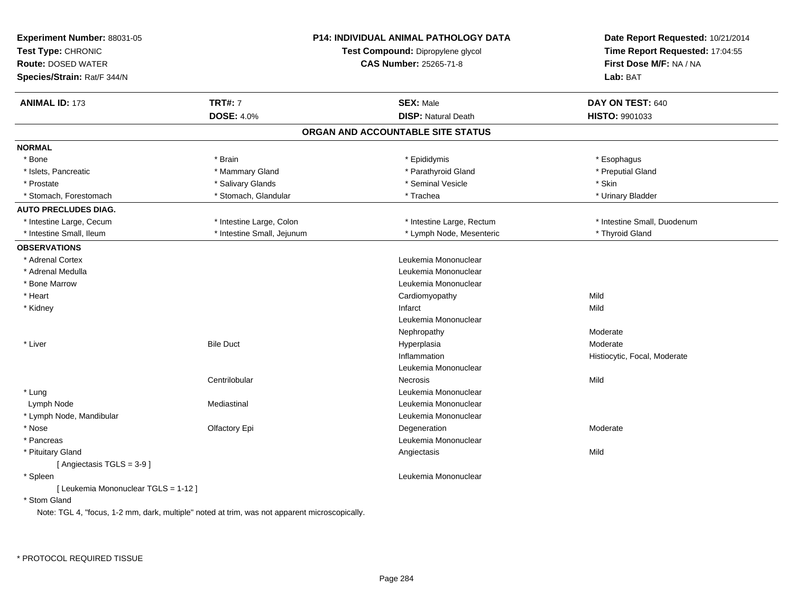| Experiment Number: 88031-05<br>Test Type: CHRONIC<br><b>Route: DOSED WATER</b><br>Species/Strain: Rat/F 344/N |                                                                                               | <b>P14: INDIVIDUAL ANIMAL PATHOLOGY DATA</b><br>Test Compound: Dipropylene glycol<br><b>CAS Number: 25265-71-8</b> | Date Report Requested: 10/21/2014<br>Time Report Requested: 17:04:55<br>First Dose M/F: NA / NA<br>Lab: BAT |
|---------------------------------------------------------------------------------------------------------------|-----------------------------------------------------------------------------------------------|--------------------------------------------------------------------------------------------------------------------|-------------------------------------------------------------------------------------------------------------|
| <b>ANIMAL ID: 173</b>                                                                                         | <b>TRT#: 7</b>                                                                                | <b>SEX: Male</b>                                                                                                   | DAY ON TEST: 640                                                                                            |
|                                                                                                               | <b>DOSE: 4.0%</b>                                                                             | <b>DISP: Natural Death</b>                                                                                         | HISTO: 9901033                                                                                              |
|                                                                                                               |                                                                                               | ORGAN AND ACCOUNTABLE SITE STATUS                                                                                  |                                                                                                             |
| <b>NORMAL</b>                                                                                                 |                                                                                               |                                                                                                                    |                                                                                                             |
| * Bone                                                                                                        | * Brain                                                                                       | * Epididymis                                                                                                       | * Esophagus                                                                                                 |
| * Islets, Pancreatic                                                                                          | * Mammary Gland                                                                               | * Parathyroid Gland                                                                                                | * Preputial Gland                                                                                           |
| * Prostate                                                                                                    | * Salivary Glands                                                                             | * Seminal Vesicle                                                                                                  | * Skin                                                                                                      |
| * Stomach, Forestomach                                                                                        | * Stomach, Glandular                                                                          | * Trachea                                                                                                          | * Urinary Bladder                                                                                           |
| <b>AUTO PRECLUDES DIAG.</b>                                                                                   |                                                                                               |                                                                                                                    |                                                                                                             |
| * Intestine Large, Cecum                                                                                      | * Intestine Large, Colon                                                                      | * Intestine Large, Rectum                                                                                          | * Intestine Small, Duodenum                                                                                 |
| * Intestine Small, Ileum                                                                                      | * Intestine Small, Jejunum                                                                    | * Lymph Node, Mesenteric                                                                                           | * Thyroid Gland                                                                                             |
| <b>OBSERVATIONS</b>                                                                                           |                                                                                               |                                                                                                                    |                                                                                                             |
| * Adrenal Cortex                                                                                              |                                                                                               | Leukemia Mononuclear                                                                                               |                                                                                                             |
| * Adrenal Medulla                                                                                             |                                                                                               | Leukemia Mononuclear                                                                                               |                                                                                                             |
| * Bone Marrow                                                                                                 |                                                                                               | Leukemia Mononuclear                                                                                               |                                                                                                             |
| * Heart                                                                                                       |                                                                                               | Cardiomyopathy                                                                                                     | Mild                                                                                                        |
| * Kidney                                                                                                      |                                                                                               | Infarct                                                                                                            | Mild                                                                                                        |
|                                                                                                               |                                                                                               | Leukemia Mononuclear                                                                                               |                                                                                                             |
|                                                                                                               |                                                                                               | Nephropathy                                                                                                        | Moderate                                                                                                    |
| * Liver                                                                                                       | <b>Bile Duct</b>                                                                              | Hyperplasia                                                                                                        | Moderate                                                                                                    |
|                                                                                                               |                                                                                               | Inflammation                                                                                                       | Histiocytic, Focal, Moderate                                                                                |
|                                                                                                               |                                                                                               | Leukemia Mononuclear                                                                                               |                                                                                                             |
|                                                                                                               | Centrilobular                                                                                 | Necrosis                                                                                                           | Mild                                                                                                        |
| * Lung                                                                                                        |                                                                                               | Leukemia Mononuclear                                                                                               |                                                                                                             |
| Lymph Node                                                                                                    | Mediastinal                                                                                   | Leukemia Mononuclear                                                                                               |                                                                                                             |
| * Lymph Node, Mandibular                                                                                      |                                                                                               | Leukemia Mononuclear                                                                                               |                                                                                                             |
| * Nose                                                                                                        | Olfactory Epi                                                                                 | Degeneration                                                                                                       | Moderate                                                                                                    |
| * Pancreas                                                                                                    |                                                                                               | Leukemia Mononuclear                                                                                               |                                                                                                             |
| * Pituitary Gland                                                                                             |                                                                                               | Angiectasis                                                                                                        | Mild                                                                                                        |
| [Angiectasis TGLS = 3-9]                                                                                      |                                                                                               |                                                                                                                    |                                                                                                             |
| * Spleen                                                                                                      |                                                                                               | Leukemia Mononuclear                                                                                               |                                                                                                             |
| [ Leukemia Mononuclear TGLS = 1-12 ]                                                                          |                                                                                               |                                                                                                                    |                                                                                                             |
| * Stom Gland                                                                                                  |                                                                                               |                                                                                                                    |                                                                                                             |
|                                                                                                               | Note: TGL 4, "focus, 1-2 mm, dark, multiple" noted at trim, was not apparent microscopically. |                                                                                                                    |                                                                                                             |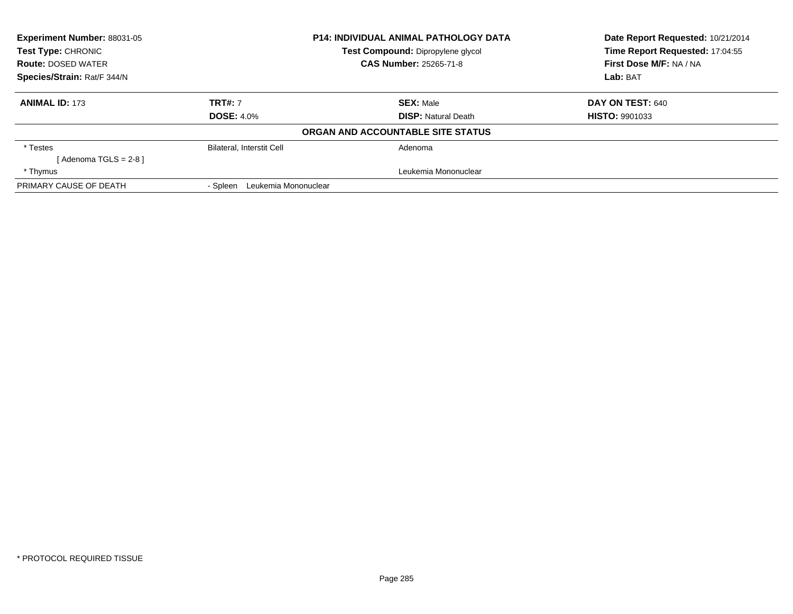| Experiment Number: 88031-05 | <b>P14: INDIVIDUAL ANIMAL PATHOLOGY DATA</b> |                                   | Date Report Requested: 10/21/2014 |
|-----------------------------|----------------------------------------------|-----------------------------------|-----------------------------------|
| Test Type: CHRONIC          |                                              | Test Compound: Dipropylene glycol | Time Report Requested: 17:04:55   |
| <b>Route: DOSED WATER</b>   |                                              | <b>CAS Number: 25265-71-8</b>     | First Dose M/F: NA / NA           |
| Species/Strain: Rat/F 344/N |                                              |                                   | Lab: BAT                          |
| <b>ANIMAL ID: 173</b>       | <b>TRT#: 7</b>                               | <b>SEX: Male</b>                  | DAY ON TEST: 640                  |
|                             | <b>DOSE: 4.0%</b>                            | <b>DISP: Natural Death</b>        | <b>HISTO: 9901033</b>             |
|                             |                                              | ORGAN AND ACCOUNTABLE SITE STATUS |                                   |
| * Testes                    | <b>Bilateral, Interstit Cell</b>             | Adenoma                           |                                   |
| [ Adenoma TGLS = 2-8 ]      |                                              |                                   |                                   |
| * Thymus                    |                                              | Leukemia Mononuclear              |                                   |
| PRIMARY CAUSE OF DEATH      | Leukemia Mononuclear<br>- Spleen             |                                   |                                   |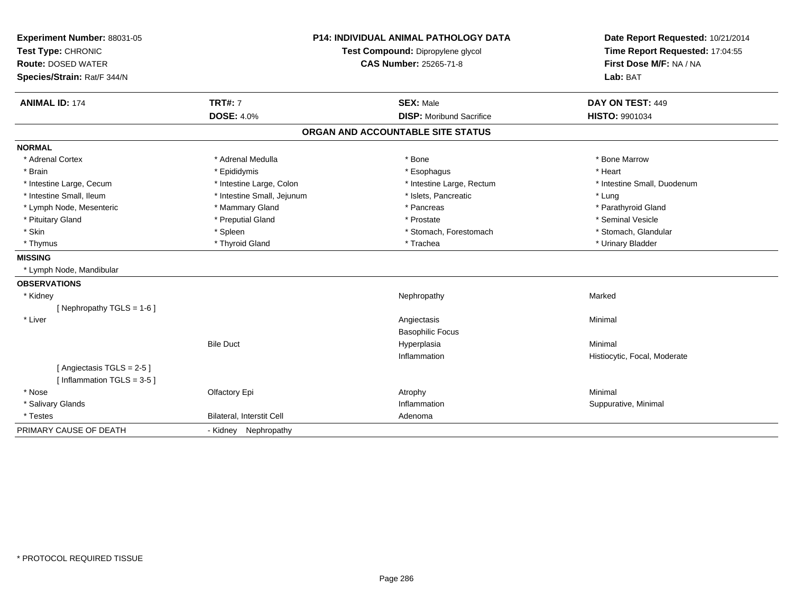| Experiment Number: 88031-05  | <b>P14: INDIVIDUAL ANIMAL PATHOLOGY DATA</b> |                                   | Date Report Requested: 10/21/2014 |
|------------------------------|----------------------------------------------|-----------------------------------|-----------------------------------|
| Test Type: CHRONIC           |                                              | Test Compound: Dipropylene glycol | Time Report Requested: 17:04:55   |
| <b>Route: DOSED WATER</b>    |                                              | <b>CAS Number: 25265-71-8</b>     | First Dose M/F: NA / NA           |
| Species/Strain: Rat/F 344/N  |                                              |                                   | Lab: BAT                          |
| <b>ANIMAL ID: 174</b>        | <b>TRT#: 7</b>                               | <b>SEX: Male</b>                  | DAY ON TEST: 449                  |
|                              | <b>DOSE: 4.0%</b>                            | <b>DISP:</b> Moribund Sacrifice   | HISTO: 9901034                    |
|                              |                                              | ORGAN AND ACCOUNTABLE SITE STATUS |                                   |
| <b>NORMAL</b>                |                                              |                                   |                                   |
| * Adrenal Cortex             | * Adrenal Medulla                            | * Bone                            | * Bone Marrow                     |
| * Brain                      | * Epididymis                                 | * Esophagus                       | * Heart                           |
| * Intestine Large, Cecum     | * Intestine Large, Colon                     | * Intestine Large, Rectum         | * Intestine Small. Duodenum       |
| * Intestine Small, Ileum     | * Intestine Small, Jejunum                   | * Islets, Pancreatic              | * Lung                            |
| * Lymph Node, Mesenteric     | * Mammary Gland                              | * Pancreas                        | * Parathyroid Gland               |
| * Pituitary Gland            | * Preputial Gland                            | * Prostate                        | * Seminal Vesicle                 |
| * Skin                       | * Spleen                                     | * Stomach, Forestomach            | * Stomach, Glandular              |
| * Thymus                     | * Thyroid Gland                              | * Trachea                         | * Urinary Bladder                 |
| <b>MISSING</b>               |                                              |                                   |                                   |
| * Lymph Node, Mandibular     |                                              |                                   |                                   |
| <b>OBSERVATIONS</b>          |                                              |                                   |                                   |
| * Kidney                     |                                              | Nephropathy                       | Marked                            |
| [Nephropathy TGLS = 1-6]     |                                              |                                   |                                   |
| * Liver                      |                                              | Angiectasis                       | Minimal                           |
|                              |                                              | <b>Basophilic Focus</b>           |                                   |
|                              | <b>Bile Duct</b>                             | Hyperplasia                       | Minimal                           |
|                              |                                              | Inflammation                      | Histiocytic, Focal, Moderate      |
| [Angiectasis TGLS = 2-5]     |                                              |                                   |                                   |
| [Inflammation TGLS = $3-5$ ] |                                              |                                   |                                   |
| * Nose                       | Olfactory Epi                                | Atrophy                           | Minimal                           |
| * Salivary Glands            |                                              | Inflammation                      | Suppurative, Minimal              |
| * Testes                     | Bilateral, Interstit Cell                    | Adenoma                           |                                   |
| PRIMARY CAUSE OF DEATH       | - Kidney Nephropathy                         |                                   |                                   |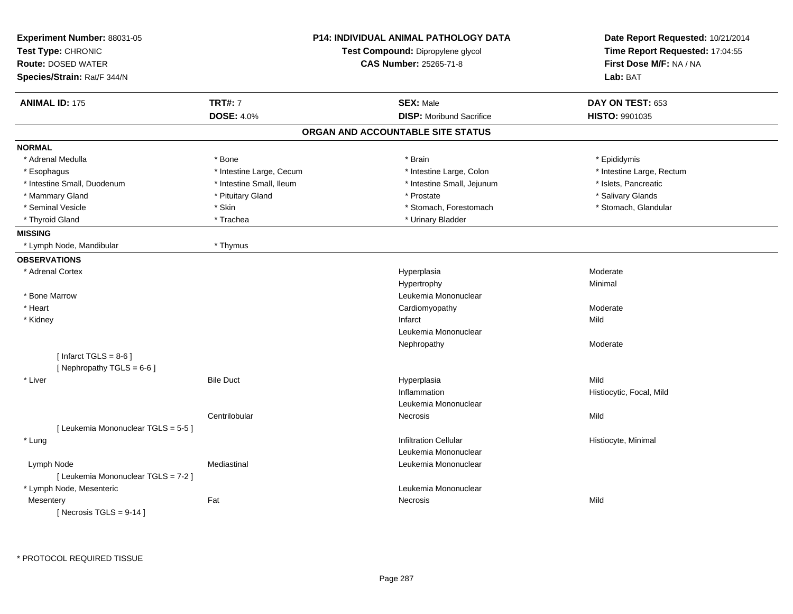| Experiment Number: 88031-05<br>Test Type: CHRONIC<br><b>Route: DOSED WATER</b><br>Species/Strain: Rat/F 344/N |                          | <b>P14: INDIVIDUAL ANIMAL PATHOLOGY DATA</b><br>Test Compound: Dipropylene glycol<br><b>CAS Number: 25265-71-8</b> | Date Report Requested: 10/21/2014<br>Time Report Requested: 17:04:55<br>First Dose M/F: NA / NA<br>Lab: BAT |
|---------------------------------------------------------------------------------------------------------------|--------------------------|--------------------------------------------------------------------------------------------------------------------|-------------------------------------------------------------------------------------------------------------|
| <b>ANIMAL ID: 175</b>                                                                                         | <b>TRT#: 7</b>           | <b>SEX: Male</b>                                                                                                   | DAY ON TEST: 653                                                                                            |
|                                                                                                               | <b>DOSE: 4.0%</b>        | <b>DISP:</b> Moribund Sacrifice                                                                                    | HISTO: 9901035                                                                                              |
|                                                                                                               |                          | ORGAN AND ACCOUNTABLE SITE STATUS                                                                                  |                                                                                                             |
| <b>NORMAL</b>                                                                                                 |                          |                                                                                                                    |                                                                                                             |
| * Adrenal Medulla                                                                                             | * Bone                   | * Brain                                                                                                            | * Epididymis                                                                                                |
| * Esophagus                                                                                                   | * Intestine Large, Cecum | * Intestine Large, Colon                                                                                           | * Intestine Large, Rectum                                                                                   |
| * Intestine Small, Duodenum                                                                                   | * Intestine Small, Ileum | * Intestine Small, Jejunum                                                                                         | * Islets, Pancreatic                                                                                        |
| * Mammary Gland                                                                                               | * Pituitary Gland        | * Prostate                                                                                                         | * Salivary Glands                                                                                           |
| * Seminal Vesicle                                                                                             | * Skin                   | * Stomach, Forestomach                                                                                             | * Stomach, Glandular                                                                                        |
| * Thyroid Gland                                                                                               | * Trachea                | * Urinary Bladder                                                                                                  |                                                                                                             |
| <b>MISSING</b>                                                                                                |                          |                                                                                                                    |                                                                                                             |
| * Lymph Node, Mandibular                                                                                      | * Thymus                 |                                                                                                                    |                                                                                                             |
| <b>OBSERVATIONS</b>                                                                                           |                          |                                                                                                                    |                                                                                                             |
| * Adrenal Cortex                                                                                              |                          | Hyperplasia                                                                                                        | Moderate                                                                                                    |
|                                                                                                               |                          | Hypertrophy                                                                                                        | Minimal                                                                                                     |
| * Bone Marrow                                                                                                 |                          | Leukemia Mononuclear                                                                                               |                                                                                                             |
| * Heart                                                                                                       |                          | Cardiomyopathy                                                                                                     | Moderate                                                                                                    |
| * Kidney                                                                                                      |                          | Infarct                                                                                                            | Mild                                                                                                        |
|                                                                                                               |                          | Leukemia Mononuclear                                                                                               |                                                                                                             |
|                                                                                                               |                          | Nephropathy                                                                                                        | Moderate                                                                                                    |
| [Infarct TGLS = $8-6$ ]<br>[Nephropathy TGLS = 6-6]                                                           |                          |                                                                                                                    |                                                                                                             |
| * Liver                                                                                                       | <b>Bile Duct</b>         | Hyperplasia                                                                                                        | Mild                                                                                                        |
|                                                                                                               |                          | Inflammation                                                                                                       | Histiocytic, Focal, Mild                                                                                    |
|                                                                                                               |                          | Leukemia Mononuclear                                                                                               |                                                                                                             |
|                                                                                                               | Centrilobular            | Necrosis                                                                                                           | Mild                                                                                                        |
| [ Leukemia Mononuclear TGLS = 5-5 ]                                                                           |                          |                                                                                                                    |                                                                                                             |
| * Lung                                                                                                        |                          | <b>Infiltration Cellular</b>                                                                                       | Histiocyte, Minimal                                                                                         |
|                                                                                                               |                          | Leukemia Mononuclear                                                                                               |                                                                                                             |
| Lymph Node                                                                                                    | Mediastinal              | Leukemia Mononuclear                                                                                               |                                                                                                             |
| [ Leukemia Mononuclear TGLS = 7-2 ]                                                                           |                          |                                                                                                                    |                                                                                                             |
| * Lymph Node, Mesenteric                                                                                      |                          | Leukemia Mononuclear                                                                                               |                                                                                                             |
| Mesentery                                                                                                     | Fat                      | Necrosis                                                                                                           | Mild                                                                                                        |
| [ Necrosis TGLS = $9-14$ ]                                                                                    |                          |                                                                                                                    |                                                                                                             |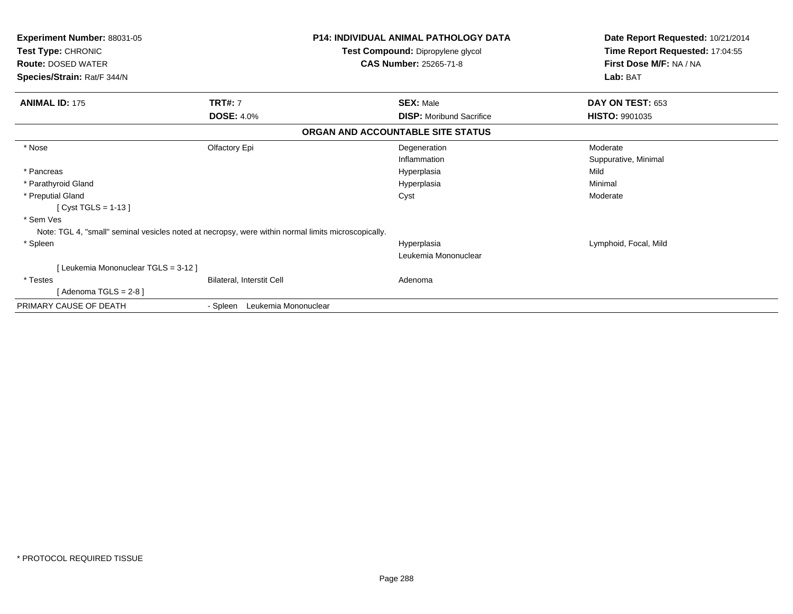| <b>Experiment Number: 88031-05</b><br>Test Type: CHRONIC<br><b>Route: DOSED WATER</b> | <b>P14: INDIVIDUAL ANIMAL PATHOLOGY DATA</b><br>Test Compound: Dipropylene glycol<br><b>CAS Number: 25265-71-8</b> |                                   | Date Report Requested: 10/21/2014<br>Time Report Requested: 17:04:55<br>First Dose M/F: NA / NA |  |
|---------------------------------------------------------------------------------------|--------------------------------------------------------------------------------------------------------------------|-----------------------------------|-------------------------------------------------------------------------------------------------|--|
| Species/Strain: Rat/F 344/N                                                           |                                                                                                                    |                                   | Lab: BAT                                                                                        |  |
| <b>ANIMAL ID: 175</b>                                                                 | <b>TRT#: 7</b>                                                                                                     | <b>SEX: Male</b>                  | DAY ON TEST: 653                                                                                |  |
|                                                                                       | <b>DOSE: 4.0%</b>                                                                                                  | <b>DISP: Moribund Sacrifice</b>   | <b>HISTO: 9901035</b>                                                                           |  |
|                                                                                       |                                                                                                                    | ORGAN AND ACCOUNTABLE SITE STATUS |                                                                                                 |  |
| * Nose                                                                                | Olfactory Epi                                                                                                      | Degeneration                      | Moderate                                                                                        |  |
|                                                                                       |                                                                                                                    | Inflammation                      | Suppurative, Minimal                                                                            |  |
| * Pancreas                                                                            |                                                                                                                    | Hyperplasia                       | Mild                                                                                            |  |
| * Parathyroid Gland                                                                   |                                                                                                                    | Hyperplasia                       | Minimal                                                                                         |  |
| * Preputial Gland                                                                     |                                                                                                                    | Cyst                              | Moderate                                                                                        |  |
| [ $Cyst TGLS = 1-13$ ]                                                                |                                                                                                                    |                                   |                                                                                                 |  |
| * Sem Ves                                                                             |                                                                                                                    |                                   |                                                                                                 |  |
|                                                                                       | Note: TGL 4, "small" seminal vesicles noted at necropsy, were within normal limits microscopically.                |                                   |                                                                                                 |  |
| * Spleen                                                                              |                                                                                                                    | Hyperplasia                       | Lymphoid, Focal, Mild                                                                           |  |
|                                                                                       |                                                                                                                    | Leukemia Mononuclear              |                                                                                                 |  |
| [Leukemia Mononuclear TGLS = 3-12]                                                    |                                                                                                                    |                                   |                                                                                                 |  |
| * Testes                                                                              | Bilateral, Interstit Cell                                                                                          | Adenoma                           |                                                                                                 |  |
| [Adenoma TGLS = $2-8$ ]                                                               |                                                                                                                    |                                   |                                                                                                 |  |
| PRIMARY CAUSE OF DEATH                                                                | Leukemia Mononuclear<br>- Spleen                                                                                   |                                   |                                                                                                 |  |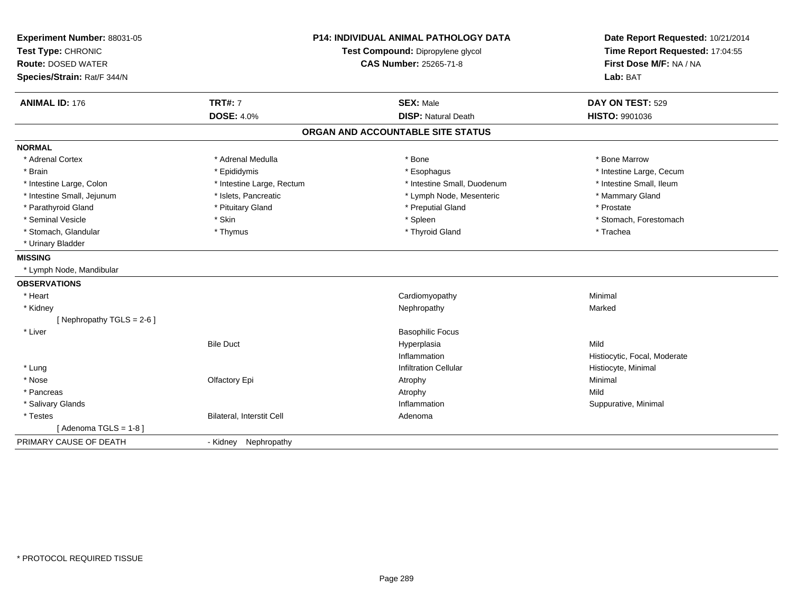| Experiment Number: 88031-05  | <b>P14: INDIVIDUAL ANIMAL PATHOLOGY DATA</b> |                                   | Date Report Requested: 10/21/2014                          |
|------------------------------|----------------------------------------------|-----------------------------------|------------------------------------------------------------|
| Test Type: CHRONIC           |                                              | Test Compound: Dipropylene glycol | Time Report Requested: 17:04:55<br>First Dose M/F: NA / NA |
| <b>Route: DOSED WATER</b>    |                                              | <b>CAS Number: 25265-71-8</b>     |                                                            |
| Species/Strain: Rat/F 344/N  |                                              |                                   | Lab: BAT                                                   |
| <b>ANIMAL ID: 176</b>        | <b>TRT#: 7</b>                               | <b>SEX: Male</b>                  | DAY ON TEST: 529                                           |
|                              | <b>DOSE: 4.0%</b>                            | <b>DISP: Natural Death</b>        | HISTO: 9901036                                             |
|                              |                                              | ORGAN AND ACCOUNTABLE SITE STATUS |                                                            |
| <b>NORMAL</b>                |                                              |                                   |                                                            |
| * Adrenal Cortex             | * Adrenal Medulla                            | * Bone                            | * Bone Marrow                                              |
| * Brain                      | * Epididymis                                 | * Esophagus                       | * Intestine Large, Cecum                                   |
| * Intestine Large, Colon     | * Intestine Large, Rectum                    | * Intestine Small, Duodenum       | * Intestine Small, Ileum                                   |
| * Intestine Small, Jejunum   | * Islets, Pancreatic                         | * Lymph Node, Mesenteric          | * Mammary Gland                                            |
| * Parathyroid Gland          | * Pituitary Gland                            | * Preputial Gland                 | * Prostate                                                 |
| * Seminal Vesicle            | * Skin                                       | * Spleen                          | * Stomach, Forestomach                                     |
| * Stomach, Glandular         | * Thymus                                     | * Thyroid Gland                   | * Trachea                                                  |
| * Urinary Bladder            |                                              |                                   |                                                            |
| <b>MISSING</b>               |                                              |                                   |                                                            |
| * Lymph Node, Mandibular     |                                              |                                   |                                                            |
| <b>OBSERVATIONS</b>          |                                              |                                   |                                                            |
| * Heart                      |                                              | Cardiomyopathy                    | Minimal                                                    |
| * Kidney                     |                                              | Nephropathy                       | Marked                                                     |
| [ Nephropathy TGLS = $2-6$ ] |                                              |                                   |                                                            |
| * Liver                      |                                              | <b>Basophilic Focus</b>           |                                                            |
|                              | <b>Bile Duct</b>                             | Hyperplasia                       | Mild                                                       |
|                              |                                              | Inflammation                      | Histiocytic, Focal, Moderate                               |
| * Lung                       |                                              | <b>Infiltration Cellular</b>      | Histiocyte, Minimal                                        |
| * Nose                       | Olfactory Epi                                | Atrophy                           | Minimal                                                    |
| * Pancreas                   |                                              | Atrophy                           | Mild                                                       |
| * Salivary Glands            |                                              | Inflammation                      | Suppurative, Minimal                                       |
| * Testes                     | Bilateral, Interstit Cell                    | Adenoma                           |                                                            |
| [Adenoma TGLS = $1-8$ ]      |                                              |                                   |                                                            |
| PRIMARY CAUSE OF DEATH       | - Kidney Nephropathy                         |                                   |                                                            |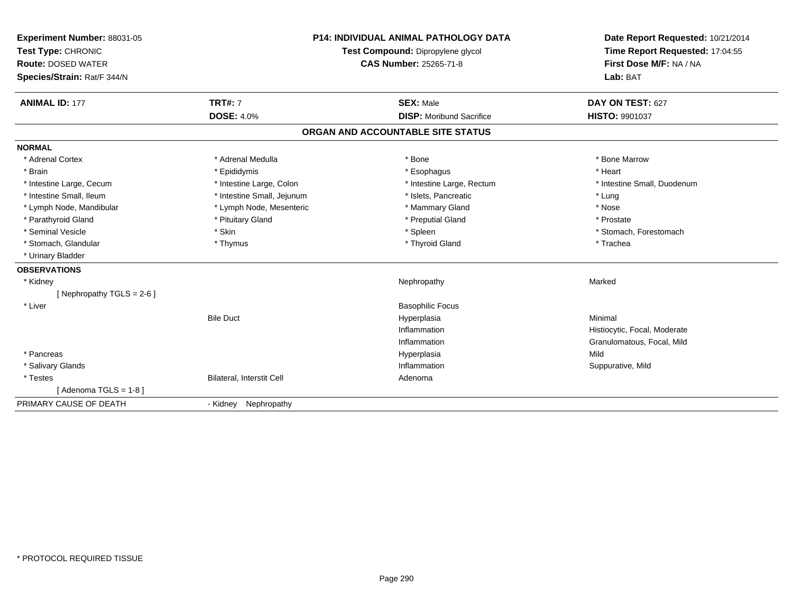| Experiment Number: 88031-05<br>Test Type: CHRONIC<br><b>Route: DOSED WATER</b><br>Species/Strain: Rat/F 344/N |                                  | <b>P14: INDIVIDUAL ANIMAL PATHOLOGY DATA</b><br>Test Compound: Dipropylene glycol<br><b>CAS Number: 25265-71-8</b> | Date Report Requested: 10/21/2014<br>Time Report Requested: 17:04:55<br>First Dose M/F: NA / NA<br>Lab: BAT |  |
|---------------------------------------------------------------------------------------------------------------|----------------------------------|--------------------------------------------------------------------------------------------------------------------|-------------------------------------------------------------------------------------------------------------|--|
| <b>ANIMAL ID: 177</b>                                                                                         | <b>TRT#: 7</b>                   | <b>SEX: Male</b>                                                                                                   | DAY ON TEST: 627                                                                                            |  |
|                                                                                                               | <b>DOSE: 4.0%</b>                | <b>DISP:</b> Moribund Sacrifice                                                                                    | <b>HISTO: 9901037</b>                                                                                       |  |
|                                                                                                               |                                  | ORGAN AND ACCOUNTABLE SITE STATUS                                                                                  |                                                                                                             |  |
| <b>NORMAL</b>                                                                                                 |                                  |                                                                                                                    |                                                                                                             |  |
| * Adrenal Cortex                                                                                              | * Adrenal Medulla                | * Bone                                                                                                             | * Bone Marrow                                                                                               |  |
| * Brain                                                                                                       | * Epididymis                     | * Esophagus                                                                                                        | * Heart                                                                                                     |  |
| * Intestine Large, Cecum                                                                                      | * Intestine Large, Colon         | * Intestine Large, Rectum                                                                                          | * Intestine Small, Duodenum                                                                                 |  |
| * Intestine Small, Ileum                                                                                      | * Intestine Small, Jejunum       | * Islets, Pancreatic                                                                                               | * Lung                                                                                                      |  |
| * Lymph Node, Mandibular                                                                                      | * Lymph Node, Mesenteric         | * Mammary Gland                                                                                                    | * Nose                                                                                                      |  |
| * Parathyroid Gland                                                                                           | * Pituitary Gland                | * Preputial Gland                                                                                                  | * Prostate                                                                                                  |  |
| * Seminal Vesicle                                                                                             | * Skin                           | * Spleen                                                                                                           | * Stomach, Forestomach                                                                                      |  |
| * Stomach, Glandular                                                                                          | * Thymus                         | * Thyroid Gland                                                                                                    | * Trachea                                                                                                   |  |
| * Urinary Bladder                                                                                             |                                  |                                                                                                                    |                                                                                                             |  |
| <b>OBSERVATIONS</b>                                                                                           |                                  |                                                                                                                    |                                                                                                             |  |
| * Kidney                                                                                                      |                                  | Nephropathy                                                                                                        | Marked                                                                                                      |  |
| [Nephropathy TGLS = $2-6$ ]                                                                                   |                                  |                                                                                                                    |                                                                                                             |  |
| * Liver                                                                                                       |                                  | <b>Basophilic Focus</b>                                                                                            |                                                                                                             |  |
|                                                                                                               | <b>Bile Duct</b>                 | Hyperplasia                                                                                                        | Minimal                                                                                                     |  |
|                                                                                                               |                                  | Inflammation                                                                                                       | Histiocytic, Focal, Moderate                                                                                |  |
|                                                                                                               |                                  | Inflammation                                                                                                       | Granulomatous, Focal, Mild                                                                                  |  |
| * Pancreas                                                                                                    |                                  | Hyperplasia                                                                                                        | Mild                                                                                                        |  |
| * Salivary Glands                                                                                             |                                  | Inflammation                                                                                                       | Suppurative, Mild                                                                                           |  |
| * Testes                                                                                                      | <b>Bilateral, Interstit Cell</b> | Adenoma                                                                                                            |                                                                                                             |  |
| [Adenoma TGLS = $1-8$ ]                                                                                       |                                  |                                                                                                                    |                                                                                                             |  |
| PRIMARY CAUSE OF DEATH                                                                                        | - Kidney<br>Nephropathy          |                                                                                                                    |                                                                                                             |  |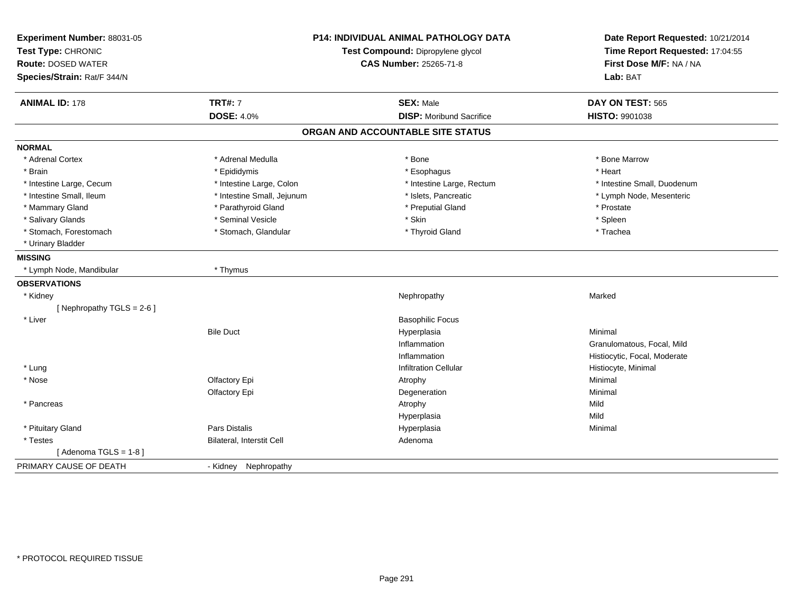| Experiment Number: 88031-05<br>Test Type: CHRONIC<br><b>Route: DOSED WATER</b><br>Species/Strain: Rat/F 344/N | <b>P14: INDIVIDUAL ANIMAL PATHOLOGY DATA</b><br>Test Compound: Dipropylene glycol<br><b>CAS Number: 25265-71-8</b> |                                   | Date Report Requested: 10/21/2014<br>Time Report Requested: 17:04:55<br>First Dose M/F: NA / NA<br>Lab: BAT |  |
|---------------------------------------------------------------------------------------------------------------|--------------------------------------------------------------------------------------------------------------------|-----------------------------------|-------------------------------------------------------------------------------------------------------------|--|
| <b>ANIMAL ID: 178</b>                                                                                         | <b>TRT#: 7</b>                                                                                                     | <b>SEX: Male</b>                  | DAY ON TEST: 565                                                                                            |  |
|                                                                                                               | <b>DOSE: 4.0%</b>                                                                                                  | <b>DISP: Moribund Sacrifice</b>   | HISTO: 9901038                                                                                              |  |
|                                                                                                               |                                                                                                                    | ORGAN AND ACCOUNTABLE SITE STATUS |                                                                                                             |  |
| <b>NORMAL</b>                                                                                                 |                                                                                                                    |                                   |                                                                                                             |  |
| * Adrenal Cortex                                                                                              | * Adrenal Medulla                                                                                                  | * Bone                            | * Bone Marrow                                                                                               |  |
| * Brain                                                                                                       | * Epididymis                                                                                                       | * Esophagus                       | * Heart                                                                                                     |  |
| * Intestine Large, Cecum                                                                                      | * Intestine Large, Colon                                                                                           | * Intestine Large, Rectum         | * Intestine Small, Duodenum                                                                                 |  |
| * Intestine Small, Ileum                                                                                      | * Intestine Small, Jejunum                                                                                         | * Islets, Pancreatic              | * Lymph Node, Mesenteric                                                                                    |  |
| * Mammary Gland                                                                                               | * Parathyroid Gland                                                                                                | * Preputial Gland                 | * Prostate                                                                                                  |  |
| * Salivary Glands                                                                                             | * Seminal Vesicle                                                                                                  | * Skin                            | * Spleen                                                                                                    |  |
| * Stomach, Forestomach                                                                                        | * Stomach, Glandular                                                                                               | * Thyroid Gland                   | * Trachea                                                                                                   |  |
| * Urinary Bladder                                                                                             |                                                                                                                    |                                   |                                                                                                             |  |
| <b>MISSING</b>                                                                                                |                                                                                                                    |                                   |                                                                                                             |  |
| * Lymph Node, Mandibular                                                                                      | * Thymus                                                                                                           |                                   |                                                                                                             |  |
| <b>OBSERVATIONS</b>                                                                                           |                                                                                                                    |                                   |                                                                                                             |  |
| * Kidney                                                                                                      |                                                                                                                    | Nephropathy                       | Marked                                                                                                      |  |
| [ Nephropathy TGLS = $2-6$ ]                                                                                  |                                                                                                                    |                                   |                                                                                                             |  |
| * Liver                                                                                                       |                                                                                                                    | <b>Basophilic Focus</b>           |                                                                                                             |  |
|                                                                                                               | <b>Bile Duct</b>                                                                                                   | Hyperplasia                       | Minimal                                                                                                     |  |
|                                                                                                               |                                                                                                                    | Inflammation                      | Granulomatous, Focal, Mild                                                                                  |  |
|                                                                                                               |                                                                                                                    | Inflammation                      | Histiocytic, Focal, Moderate                                                                                |  |
| * Lung                                                                                                        |                                                                                                                    | <b>Infiltration Cellular</b>      | Histiocyte, Minimal                                                                                         |  |
| * Nose                                                                                                        | Olfactory Epi                                                                                                      | Atrophy                           | Minimal                                                                                                     |  |
|                                                                                                               | Olfactory Epi                                                                                                      | Degeneration                      | Minimal                                                                                                     |  |
| * Pancreas                                                                                                    |                                                                                                                    | Atrophy                           | Mild                                                                                                        |  |
|                                                                                                               |                                                                                                                    | Hyperplasia                       | Mild                                                                                                        |  |
| * Pituitary Gland                                                                                             | <b>Pars Distalis</b>                                                                                               | Hyperplasia                       | Minimal                                                                                                     |  |
| * Testes                                                                                                      | <b>Bilateral, Interstit Cell</b>                                                                                   | Adenoma                           |                                                                                                             |  |
| [Adenoma TGLS = $1-8$ ]                                                                                       |                                                                                                                    |                                   |                                                                                                             |  |
| PRIMARY CAUSE OF DEATH                                                                                        | - Kidney Nephropathy                                                                                               |                                   |                                                                                                             |  |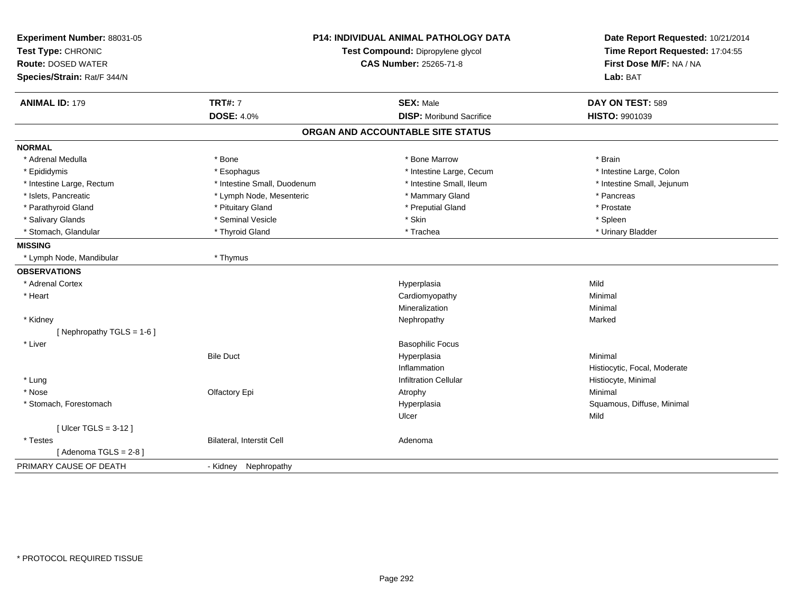| Experiment Number: 88031-05 | <b>P14: INDIVIDUAL ANIMAL PATHOLOGY DATA</b> |                                   | Date Report Requested: 10/21/2014 |  |
|-----------------------------|----------------------------------------------|-----------------------------------|-----------------------------------|--|
| Test Type: CHRONIC          |                                              | Test Compound: Dipropylene glycol | Time Report Requested: 17:04:55   |  |
| <b>Route: DOSED WATER</b>   |                                              | <b>CAS Number: 25265-71-8</b>     | First Dose M/F: NA / NA           |  |
| Species/Strain: Rat/F 344/N |                                              |                                   | Lab: BAT                          |  |
| <b>ANIMAL ID: 179</b>       | <b>TRT#: 7</b>                               | <b>SEX: Male</b>                  | DAY ON TEST: 589                  |  |
|                             | <b>DOSE: 4.0%</b>                            | <b>DISP:</b> Moribund Sacrifice   | <b>HISTO: 9901039</b>             |  |
|                             |                                              | ORGAN AND ACCOUNTABLE SITE STATUS |                                   |  |
| <b>NORMAL</b>               |                                              |                                   |                                   |  |
| * Adrenal Medulla           | * Bone                                       | * Bone Marrow                     | * Brain                           |  |
| * Epididymis                | * Esophagus                                  | * Intestine Large, Cecum          | * Intestine Large, Colon          |  |
| * Intestine Large, Rectum   | * Intestine Small, Duodenum                  | * Intestine Small, Ileum          | * Intestine Small, Jejunum        |  |
| * Islets, Pancreatic        | * Lymph Node, Mesenteric                     | * Mammary Gland                   | * Pancreas                        |  |
| * Parathyroid Gland         | * Pituitary Gland                            | * Preputial Gland                 | * Prostate                        |  |
| * Salivary Glands           | * Seminal Vesicle                            | * Skin                            | * Spleen                          |  |
| * Stomach, Glandular        | * Thyroid Gland                              | * Trachea                         | * Urinary Bladder                 |  |
| <b>MISSING</b>              |                                              |                                   |                                   |  |
| * Lymph Node, Mandibular    | * Thymus                                     |                                   |                                   |  |
| <b>OBSERVATIONS</b>         |                                              |                                   |                                   |  |
| * Adrenal Cortex            |                                              | Hyperplasia                       | Mild                              |  |
| * Heart                     |                                              | Cardiomyopathy                    | Minimal                           |  |
|                             |                                              | Mineralization                    | Minimal                           |  |
| * Kidney                    |                                              | Nephropathy                       | Marked                            |  |
| [Nephropathy TGLS = 1-6]    |                                              |                                   |                                   |  |
| * Liver                     |                                              | <b>Basophilic Focus</b>           |                                   |  |
|                             | <b>Bile Duct</b>                             | Hyperplasia                       | Minimal                           |  |
|                             |                                              | Inflammation                      | Histiocytic, Focal, Moderate      |  |
| * Lung                      |                                              | <b>Infiltration Cellular</b>      | Histiocyte, Minimal               |  |
| * Nose                      | Olfactory Epi                                | Atrophy                           | Minimal                           |  |
| * Stomach, Forestomach      |                                              | Hyperplasia                       | Squamous, Diffuse, Minimal        |  |
|                             |                                              | Ulcer                             | Mild                              |  |
| [ Ulcer TGLS = $3-12$ ]     |                                              |                                   |                                   |  |
| * Testes                    | Bilateral, Interstit Cell                    | Adenoma                           |                                   |  |
| [Adenoma TGLS = 2-8]        |                                              |                                   |                                   |  |
| PRIMARY CAUSE OF DEATH      | - Kidney Nephropathy                         |                                   |                                   |  |
|                             |                                              |                                   |                                   |  |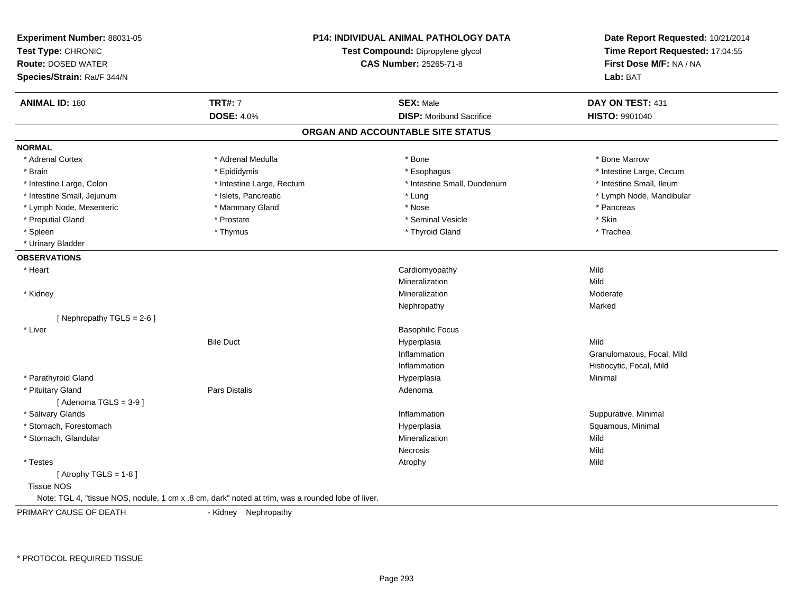| Experiment Number: 88031-05<br>Test Type: CHRONIC<br><b>Route: DOSED WATER</b><br>Species/Strain: Rat/F 344/N |                                                                                                   | <b>P14: INDIVIDUAL ANIMAL PATHOLOGY DATA</b><br>Test Compound: Dipropylene glycol<br><b>CAS Number: 25265-71-8</b> | Date Report Requested: 10/21/2014<br>Time Report Requested: 17:04:55<br>First Dose M/F: NA / NA<br>Lab: BAT |
|---------------------------------------------------------------------------------------------------------------|---------------------------------------------------------------------------------------------------|--------------------------------------------------------------------------------------------------------------------|-------------------------------------------------------------------------------------------------------------|
| <b>ANIMAL ID: 180</b>                                                                                         | <b>TRT#: 7</b>                                                                                    | <b>SEX: Male</b>                                                                                                   | DAY ON TEST: 431                                                                                            |
|                                                                                                               | <b>DOSE: 4.0%</b>                                                                                 | <b>DISP:</b> Moribund Sacrifice                                                                                    | HISTO: 9901040                                                                                              |
|                                                                                                               |                                                                                                   | ORGAN AND ACCOUNTABLE SITE STATUS                                                                                  |                                                                                                             |
| <b>NORMAL</b>                                                                                                 |                                                                                                   |                                                                                                                    |                                                                                                             |
| * Adrenal Cortex                                                                                              | * Adrenal Medulla                                                                                 | * Bone                                                                                                             | * Bone Marrow                                                                                               |
| * Brain                                                                                                       | * Epididymis                                                                                      | * Esophagus                                                                                                        | * Intestine Large, Cecum                                                                                    |
| * Intestine Large, Colon                                                                                      | * Intestine Large, Rectum                                                                         | * Intestine Small, Duodenum                                                                                        | * Intestine Small, Ileum                                                                                    |
| * Intestine Small, Jejunum                                                                                    | * Islets, Pancreatic                                                                              | * Lung                                                                                                             | * Lymph Node, Mandibular                                                                                    |
| * Lymph Node, Mesenteric                                                                                      | * Mammary Gland                                                                                   | * Nose                                                                                                             | * Pancreas                                                                                                  |
| * Preputial Gland                                                                                             | * Prostate                                                                                        | * Seminal Vesicle                                                                                                  | * Skin                                                                                                      |
| * Spleen                                                                                                      | * Thymus                                                                                          | * Thyroid Gland                                                                                                    | * Trachea                                                                                                   |
| * Urinary Bladder                                                                                             |                                                                                                   |                                                                                                                    |                                                                                                             |
| <b>OBSERVATIONS</b>                                                                                           |                                                                                                   |                                                                                                                    |                                                                                                             |
| * Heart                                                                                                       |                                                                                                   | Cardiomyopathy                                                                                                     | Mild                                                                                                        |
|                                                                                                               |                                                                                                   | Mineralization                                                                                                     | Mild                                                                                                        |
| * Kidney                                                                                                      |                                                                                                   | Mineralization                                                                                                     | Moderate                                                                                                    |
|                                                                                                               |                                                                                                   | Nephropathy                                                                                                        | Marked                                                                                                      |
| [Nephropathy TGLS = 2-6]                                                                                      |                                                                                                   |                                                                                                                    |                                                                                                             |
| * Liver                                                                                                       |                                                                                                   | <b>Basophilic Focus</b>                                                                                            |                                                                                                             |
|                                                                                                               | <b>Bile Duct</b>                                                                                  | Hyperplasia                                                                                                        | Mild                                                                                                        |
|                                                                                                               |                                                                                                   | Inflammation                                                                                                       | Granulomatous, Focal, Mild                                                                                  |
|                                                                                                               |                                                                                                   | Inflammation                                                                                                       | Histiocytic, Focal, Mild                                                                                    |
| * Parathyroid Gland                                                                                           |                                                                                                   | Hyperplasia                                                                                                        | Minimal                                                                                                     |
| * Pituitary Gland                                                                                             | <b>Pars Distalis</b>                                                                              | Adenoma                                                                                                            |                                                                                                             |
| [Adenoma TGLS = $3-9$ ]                                                                                       |                                                                                                   |                                                                                                                    |                                                                                                             |
| * Salivary Glands                                                                                             |                                                                                                   | Inflammation                                                                                                       | Suppurative, Minimal                                                                                        |
| * Stomach, Forestomach                                                                                        |                                                                                                   | Hyperplasia                                                                                                        | Squamous, Minimal                                                                                           |
| * Stomach, Glandular                                                                                          |                                                                                                   | Mineralization                                                                                                     | Mild                                                                                                        |
|                                                                                                               |                                                                                                   | <b>Necrosis</b>                                                                                                    | Mild                                                                                                        |
| * Testes                                                                                                      |                                                                                                   | Atrophy                                                                                                            | Mild                                                                                                        |
| [Atrophy TGLS = 1-8]                                                                                          |                                                                                                   |                                                                                                                    |                                                                                                             |
| <b>Tissue NOS</b>                                                                                             |                                                                                                   |                                                                                                                    |                                                                                                             |
|                                                                                                               | Note: TGL 4, "tissue NOS, nodule, 1 cm x .8 cm, dark" noted at trim, was a rounded lobe of liver. |                                                                                                                    |                                                                                                             |
| PRIMARY CAUSE OF DEATH                                                                                        | - Kidney Nephropathy                                                                              |                                                                                                                    |                                                                                                             |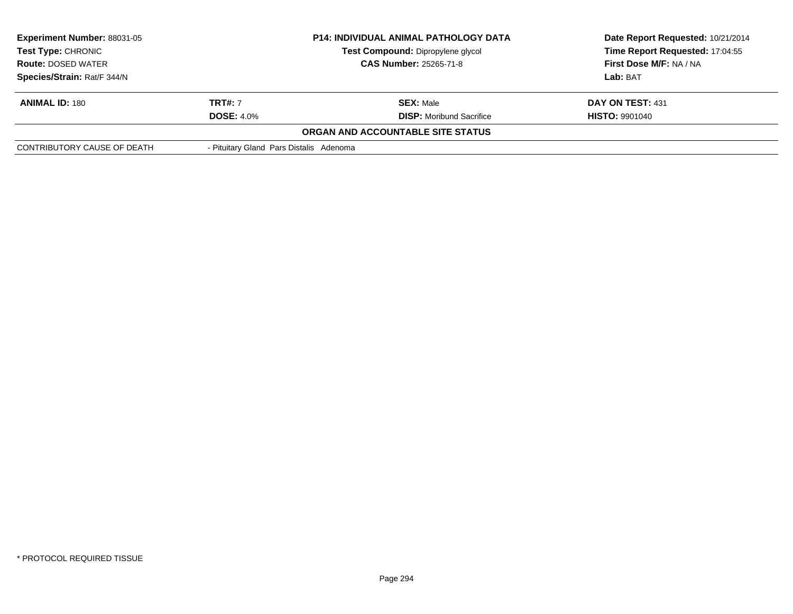| <b>Experiment Number: 88031-05</b><br><b>Test Type: CHRONIC</b><br><b>Route: DOSED WATER</b> |                                         | <b>P14: INDIVIDUAL ANIMAL PATHOLOGY DATA</b><br>Test Compound: Dipropylene glycol<br><b>CAS Number: 25265-71-8</b> | Date Report Requested: 10/21/2014<br>Time Report Requested: 17:04:55<br>First Dose M/F: NA / NA |
|----------------------------------------------------------------------------------------------|-----------------------------------------|--------------------------------------------------------------------------------------------------------------------|-------------------------------------------------------------------------------------------------|
| Species/Strain: Rat/F 344/N                                                                  |                                         |                                                                                                                    | Lab: BAT                                                                                        |
| <b>ANIMAL ID: 180</b>                                                                        | <b>TRT#:</b> 7                          | <b>SEX: Male</b>                                                                                                   | DAY ON TEST: 431                                                                                |
|                                                                                              | <b>DOSE: 4.0%</b>                       | <b>DISP:</b> Moribund Sacrifice                                                                                    | <b>HISTO: 9901040</b>                                                                           |
|                                                                                              |                                         | ORGAN AND ACCOUNTABLE SITE STATUS                                                                                  |                                                                                                 |
| CONTRIBUTORY CAUSE OF DEATH                                                                  | - Pituitary Gland Pars Distalis Adenoma |                                                                                                                    |                                                                                                 |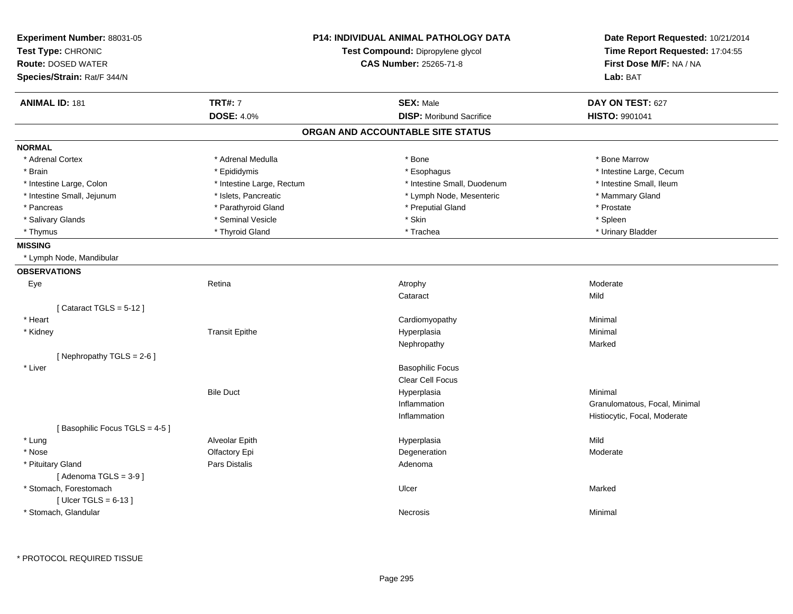| Experiment Number: 88031-05<br>Test Type: CHRONIC<br><b>Route: DOSED WATER</b><br>Species/Strain: Rat/F 344/N |                           | <b>P14: INDIVIDUAL ANIMAL PATHOLOGY DATA</b><br>Test Compound: Dipropylene glycol<br><b>CAS Number: 25265-71-8</b> | Date Report Requested: 10/21/2014<br>Time Report Requested: 17:04:55<br>First Dose M/F: NA / NA<br>Lab: BAT |
|---------------------------------------------------------------------------------------------------------------|---------------------------|--------------------------------------------------------------------------------------------------------------------|-------------------------------------------------------------------------------------------------------------|
| <b>ANIMAL ID: 181</b>                                                                                         | <b>TRT#: 7</b>            | <b>SEX: Male</b>                                                                                                   | DAY ON TEST: 627                                                                                            |
|                                                                                                               | <b>DOSE: 4.0%</b>         | <b>DISP:</b> Moribund Sacrifice                                                                                    | HISTO: 9901041                                                                                              |
|                                                                                                               |                           | ORGAN AND ACCOUNTABLE SITE STATUS                                                                                  |                                                                                                             |
| <b>NORMAL</b>                                                                                                 |                           |                                                                                                                    |                                                                                                             |
| * Adrenal Cortex                                                                                              | * Adrenal Medulla         | * Bone                                                                                                             | * Bone Marrow                                                                                               |
| * Brain                                                                                                       | * Epididymis              | * Esophagus                                                                                                        | * Intestine Large, Cecum                                                                                    |
| * Intestine Large, Colon                                                                                      | * Intestine Large, Rectum | * Intestine Small, Duodenum                                                                                        | * Intestine Small, Ileum                                                                                    |
| * Intestine Small, Jejunum                                                                                    | * Islets, Pancreatic      | * Lymph Node, Mesenteric                                                                                           | * Mammary Gland                                                                                             |
| * Pancreas                                                                                                    | * Parathyroid Gland       | * Preputial Gland                                                                                                  | * Prostate                                                                                                  |
| * Salivary Glands                                                                                             | * Seminal Vesicle         | * Skin                                                                                                             | * Spleen                                                                                                    |
| * Thymus                                                                                                      | * Thyroid Gland           | * Trachea                                                                                                          | * Urinary Bladder                                                                                           |
| <b>MISSING</b>                                                                                                |                           |                                                                                                                    |                                                                                                             |
| * Lymph Node, Mandibular                                                                                      |                           |                                                                                                                    |                                                                                                             |
| <b>OBSERVATIONS</b>                                                                                           |                           |                                                                                                                    |                                                                                                             |
| Eye                                                                                                           | Retina                    | Atrophy                                                                                                            | Moderate                                                                                                    |
|                                                                                                               |                           | Cataract                                                                                                           | Mild                                                                                                        |
| [Cataract TGLS = $5-12$ ]                                                                                     |                           |                                                                                                                    |                                                                                                             |
| * Heart                                                                                                       |                           | Cardiomyopathy                                                                                                     | Minimal                                                                                                     |
| * Kidney                                                                                                      | <b>Transit Epithe</b>     | Hyperplasia                                                                                                        | Minimal                                                                                                     |
|                                                                                                               |                           | Nephropathy                                                                                                        | Marked                                                                                                      |
| [ Nephropathy $TGLS = 2-6$ ]                                                                                  |                           |                                                                                                                    |                                                                                                             |
| * Liver                                                                                                       |                           | <b>Basophilic Focus</b>                                                                                            |                                                                                                             |
|                                                                                                               |                           | Clear Cell Focus                                                                                                   |                                                                                                             |
|                                                                                                               | <b>Bile Duct</b>          | Hyperplasia                                                                                                        | Minimal                                                                                                     |
|                                                                                                               |                           | Inflammation                                                                                                       | Granulomatous, Focal, Minimal                                                                               |
|                                                                                                               |                           | Inflammation                                                                                                       | Histiocytic, Focal, Moderate                                                                                |
| [Basophilic Focus TGLS = 4-5]                                                                                 |                           |                                                                                                                    |                                                                                                             |
| * Lung                                                                                                        | Alveolar Epith            | Hyperplasia                                                                                                        | Mild                                                                                                        |
| * Nose                                                                                                        | Olfactory Epi             | Degeneration                                                                                                       | Moderate                                                                                                    |
| * Pituitary Gland                                                                                             | <b>Pars Distalis</b>      | Adenoma                                                                                                            |                                                                                                             |
| [Adenoma TGLS = $3-9$ ]                                                                                       |                           |                                                                                                                    |                                                                                                             |
| * Stomach, Forestomach                                                                                        |                           | Ulcer                                                                                                              | Marked                                                                                                      |
| [Ulcer TGLS = $6-13$ ]                                                                                        |                           |                                                                                                                    |                                                                                                             |
| * Stomach, Glandular                                                                                          |                           | Necrosis                                                                                                           | Minimal                                                                                                     |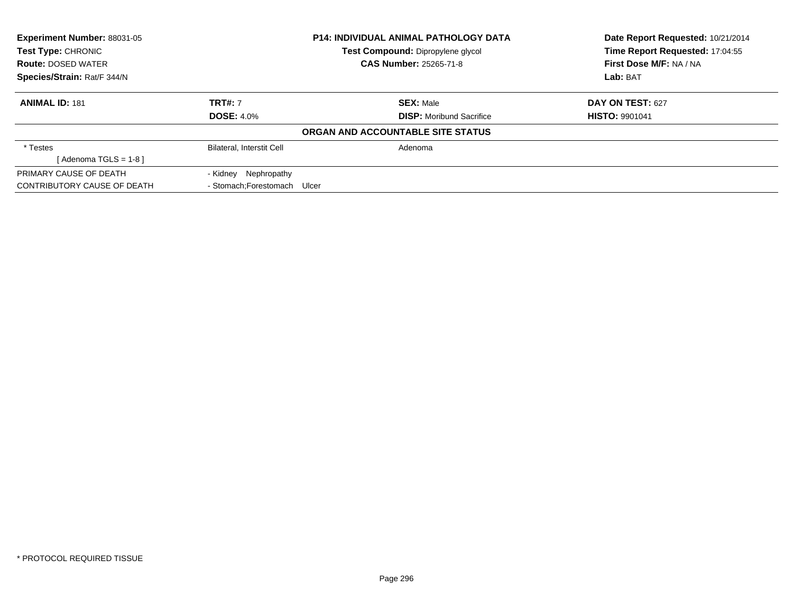|                              |                                 | Date Report Requested: 10/21/2014<br>Time Report Requested: 17:04:55                                                   |
|------------------------------|---------------------------------|------------------------------------------------------------------------------------------------------------------------|
|                              | <b>CAS Number: 25265-71-8</b>   | First Dose M/F: NA / NA                                                                                                |
|                              |                                 | Lab: BAT                                                                                                               |
| <b>TRT#: 7</b>               | <b>SEX: Male</b>                | DAY ON TEST: 627                                                                                                       |
| <b>DOSE: 4.0%</b>            | <b>DISP:</b> Moribund Sacrifice | <b>HISTO: 9901041</b>                                                                                                  |
|                              |                                 |                                                                                                                        |
| Bilateral, Interstit Cell    | Adenoma                         |                                                                                                                        |
|                              |                                 |                                                                                                                        |
| - Kidney Nephropathy         |                                 |                                                                                                                        |
| - Stomach: Forestomach Ulcer |                                 |                                                                                                                        |
|                              |                                 | <b>P14: INDIVIDUAL ANIMAL PATHOLOGY DATA</b><br>Test Compound: Dipropylene glycol<br>ORGAN AND ACCOUNTABLE SITE STATUS |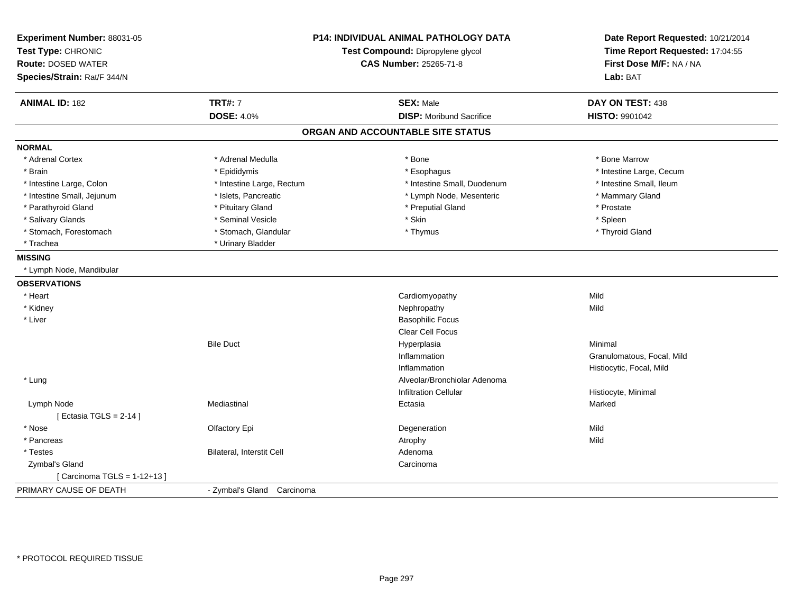| Experiment Number: 88031-05<br>Test Type: CHRONIC<br><b>Route: DOSED WATER</b><br>Species/Strain: Rat/F 344/N | <b>P14: INDIVIDUAL ANIMAL PATHOLOGY DATA</b><br>Test Compound: Dipropylene glycol<br><b>CAS Number: 25265-71-8</b> |                                   | Date Report Requested: 10/21/2014<br>Time Report Requested: 17:04:55<br>First Dose M/F: NA / NA<br>Lab: BAT |  |
|---------------------------------------------------------------------------------------------------------------|--------------------------------------------------------------------------------------------------------------------|-----------------------------------|-------------------------------------------------------------------------------------------------------------|--|
| <b>ANIMAL ID: 182</b>                                                                                         | <b>TRT#: 7</b>                                                                                                     | <b>SEX: Male</b>                  | DAY ON TEST: 438                                                                                            |  |
|                                                                                                               | <b>DOSE: 4.0%</b>                                                                                                  | <b>DISP:</b> Moribund Sacrifice   | <b>HISTO: 9901042</b>                                                                                       |  |
|                                                                                                               |                                                                                                                    | ORGAN AND ACCOUNTABLE SITE STATUS |                                                                                                             |  |
| <b>NORMAL</b>                                                                                                 |                                                                                                                    |                                   |                                                                                                             |  |
| * Adrenal Cortex                                                                                              | * Adrenal Medulla                                                                                                  | * Bone                            | * Bone Marrow                                                                                               |  |
| * Brain                                                                                                       | * Epididymis                                                                                                       | * Esophagus                       | * Intestine Large, Cecum                                                                                    |  |
| * Intestine Large, Colon                                                                                      | * Intestine Large, Rectum                                                                                          | * Intestine Small, Duodenum       | * Intestine Small, Ileum                                                                                    |  |
| * Intestine Small, Jejunum                                                                                    | * Islets, Pancreatic                                                                                               | * Lymph Node, Mesenteric          | * Mammary Gland                                                                                             |  |
| * Parathyroid Gland                                                                                           | * Pituitary Gland                                                                                                  | * Preputial Gland                 | * Prostate                                                                                                  |  |
| * Salivary Glands                                                                                             | * Seminal Vesicle                                                                                                  | * Skin                            | * Spleen                                                                                                    |  |
| * Stomach, Forestomach                                                                                        | * Stomach, Glandular                                                                                               | * Thymus                          | * Thyroid Gland                                                                                             |  |
| * Trachea                                                                                                     | * Urinary Bladder                                                                                                  |                                   |                                                                                                             |  |
| <b>MISSING</b>                                                                                                |                                                                                                                    |                                   |                                                                                                             |  |
| * Lymph Node, Mandibular                                                                                      |                                                                                                                    |                                   |                                                                                                             |  |
| <b>OBSERVATIONS</b>                                                                                           |                                                                                                                    |                                   |                                                                                                             |  |
| * Heart                                                                                                       |                                                                                                                    | Cardiomyopathy                    | Mild                                                                                                        |  |
| * Kidney                                                                                                      |                                                                                                                    | Nephropathy                       | Mild                                                                                                        |  |
| * Liver                                                                                                       |                                                                                                                    | <b>Basophilic Focus</b>           |                                                                                                             |  |
|                                                                                                               |                                                                                                                    | <b>Clear Cell Focus</b>           |                                                                                                             |  |
|                                                                                                               | <b>Bile Duct</b>                                                                                                   | Hyperplasia                       | Minimal                                                                                                     |  |
|                                                                                                               |                                                                                                                    | Inflammation                      | Granulomatous, Focal, Mild                                                                                  |  |
|                                                                                                               |                                                                                                                    | Inflammation                      | Histiocytic, Focal, Mild                                                                                    |  |
| * Lung                                                                                                        |                                                                                                                    | Alveolar/Bronchiolar Adenoma      |                                                                                                             |  |
|                                                                                                               |                                                                                                                    | <b>Infiltration Cellular</b>      | Histiocyte, Minimal                                                                                         |  |
| Lymph Node                                                                                                    | Mediastinal                                                                                                        | Ectasia                           | Marked                                                                                                      |  |
| [ Ectasia TGLS = $2-14$ ]                                                                                     |                                                                                                                    |                                   |                                                                                                             |  |
| * Nose                                                                                                        | Olfactory Epi                                                                                                      | Degeneration                      | Mild                                                                                                        |  |
| * Pancreas                                                                                                    |                                                                                                                    | Atrophy                           | Mild                                                                                                        |  |
| * Testes                                                                                                      | Bilateral, Interstit Cell                                                                                          | Adenoma                           |                                                                                                             |  |
| Zymbal's Gland                                                                                                |                                                                                                                    | Carcinoma                         |                                                                                                             |  |
| [ Carcinoma TGLS = 1-12+13 ]                                                                                  |                                                                                                                    |                                   |                                                                                                             |  |
| PRIMARY CAUSE OF DEATH                                                                                        | - Zymbal's Gland Carcinoma                                                                                         |                                   |                                                                                                             |  |
|                                                                                                               |                                                                                                                    |                                   |                                                                                                             |  |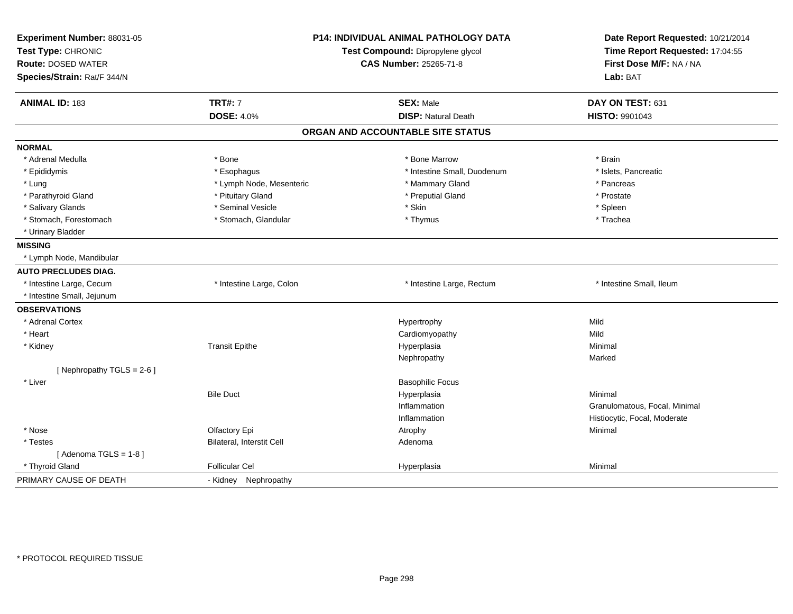| Experiment Number: 88031-05<br>Test Type: CHRONIC<br><b>Route: DOSED WATER</b><br>Species/Strain: Rat/F 344/N |                           | P14: INDIVIDUAL ANIMAL PATHOLOGY DATA<br>Test Compound: Dipropylene glycol<br><b>CAS Number: 25265-71-8</b> | Date Report Requested: 10/21/2014<br>Time Report Requested: 17:04:55<br>First Dose M/F: NA / NA<br>Lab: BAT |
|---------------------------------------------------------------------------------------------------------------|---------------------------|-------------------------------------------------------------------------------------------------------------|-------------------------------------------------------------------------------------------------------------|
| <b>ANIMAL ID: 183</b>                                                                                         | <b>TRT#: 7</b>            | <b>SEX: Male</b>                                                                                            | DAY ON TEST: 631                                                                                            |
|                                                                                                               | <b>DOSE: 4.0%</b>         | <b>DISP: Natural Death</b>                                                                                  | <b>HISTO: 9901043</b>                                                                                       |
|                                                                                                               |                           | ORGAN AND ACCOUNTABLE SITE STATUS                                                                           |                                                                                                             |
| <b>NORMAL</b>                                                                                                 |                           |                                                                                                             |                                                                                                             |
| * Adrenal Medulla                                                                                             | * Bone                    | * Bone Marrow                                                                                               | * Brain                                                                                                     |
| * Epididymis                                                                                                  | * Esophagus               | * Intestine Small, Duodenum                                                                                 | * Islets, Pancreatic                                                                                        |
| * Lung                                                                                                        | * Lymph Node, Mesenteric  | * Mammary Gland                                                                                             | * Pancreas                                                                                                  |
| * Parathyroid Gland                                                                                           | * Pituitary Gland         | * Preputial Gland                                                                                           | * Prostate                                                                                                  |
| * Salivary Glands                                                                                             | * Seminal Vesicle         | * Skin                                                                                                      | * Spleen                                                                                                    |
| * Stomach, Forestomach                                                                                        | * Stomach, Glandular      | * Thymus                                                                                                    | * Trachea                                                                                                   |
| * Urinary Bladder                                                                                             |                           |                                                                                                             |                                                                                                             |
| <b>MISSING</b>                                                                                                |                           |                                                                                                             |                                                                                                             |
| * Lymph Node, Mandibular                                                                                      |                           |                                                                                                             |                                                                                                             |
| <b>AUTO PRECLUDES DIAG.</b>                                                                                   |                           |                                                                                                             |                                                                                                             |
| * Intestine Large, Cecum                                                                                      | * Intestine Large, Colon  | * Intestine Large, Rectum                                                                                   | * Intestine Small, Ileum                                                                                    |
| * Intestine Small, Jejunum                                                                                    |                           |                                                                                                             |                                                                                                             |
| <b>OBSERVATIONS</b>                                                                                           |                           |                                                                                                             |                                                                                                             |
| * Adrenal Cortex                                                                                              |                           | Hypertrophy                                                                                                 | Mild                                                                                                        |
| * Heart                                                                                                       |                           | Cardiomyopathy                                                                                              | Mild                                                                                                        |
| * Kidney                                                                                                      | <b>Transit Epithe</b>     | Hyperplasia                                                                                                 | Minimal                                                                                                     |
|                                                                                                               |                           | Nephropathy                                                                                                 | Marked                                                                                                      |
| [Nephropathy TGLS = 2-6]                                                                                      |                           |                                                                                                             |                                                                                                             |
| * Liver                                                                                                       |                           | <b>Basophilic Focus</b>                                                                                     |                                                                                                             |
|                                                                                                               | <b>Bile Duct</b>          | Hyperplasia                                                                                                 | Minimal                                                                                                     |
|                                                                                                               |                           | Inflammation                                                                                                | Granulomatous, Focal, Minimal                                                                               |
|                                                                                                               |                           | Inflammation                                                                                                | Histiocytic, Focal, Moderate                                                                                |
| * Nose                                                                                                        | Olfactory Epi             | Atrophy                                                                                                     | Minimal                                                                                                     |
| * Testes                                                                                                      | Bilateral, Interstit Cell | Adenoma                                                                                                     |                                                                                                             |
| [Adenoma TGLS = $1-8$ ]                                                                                       |                           |                                                                                                             |                                                                                                             |
| * Thyroid Gland                                                                                               | <b>Follicular Cel</b>     | Hyperplasia                                                                                                 | Minimal                                                                                                     |
| PRIMARY CAUSE OF DEATH                                                                                        | - Kidney Nephropathy      |                                                                                                             |                                                                                                             |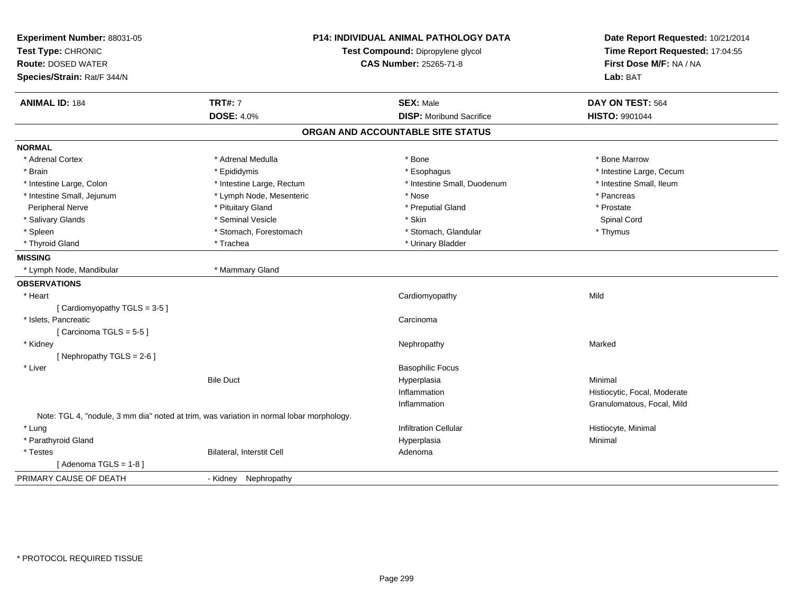| Experiment Number: 88031-05 |                                                                                          | P14: INDIVIDUAL ANIMAL PATHOLOGY DATA | Date Report Requested: 10/21/2014 |
|-----------------------------|------------------------------------------------------------------------------------------|---------------------------------------|-----------------------------------|
| Test Type: CHRONIC          | Test Compound: Dipropylene glycol                                                        |                                       | Time Report Requested: 17:04:55   |
| <b>Route: DOSED WATER</b>   |                                                                                          | <b>CAS Number: 25265-71-8</b>         | First Dose M/F: NA / NA           |
| Species/Strain: Rat/F 344/N |                                                                                          |                                       | Lab: BAT                          |
| <b>ANIMAL ID: 184</b>       | <b>TRT#: 7</b>                                                                           | <b>SEX: Male</b>                      | DAY ON TEST: 564                  |
|                             | <b>DOSE: 4.0%</b>                                                                        | <b>DISP:</b> Moribund Sacrifice       | HISTO: 9901044                    |
|                             |                                                                                          | ORGAN AND ACCOUNTABLE SITE STATUS     |                                   |
| <b>NORMAL</b>               |                                                                                          |                                       |                                   |
| * Adrenal Cortex            | * Adrenal Medulla                                                                        | * Bone                                | * Bone Marrow                     |
| * Brain                     | * Epididymis                                                                             | * Esophagus                           | * Intestine Large, Cecum          |
| * Intestine Large, Colon    | * Intestine Large, Rectum                                                                | * Intestine Small, Duodenum           | * Intestine Small, Ileum          |
| * Intestine Small, Jejunum  | * Lymph Node, Mesenteric                                                                 | * Nose                                | * Pancreas                        |
| Peripheral Nerve            | * Pituitary Gland                                                                        | * Preputial Gland                     | * Prostate                        |
| * Salivary Glands           | * Seminal Vesicle                                                                        | * Skin                                | Spinal Cord                       |
| * Spleen                    | * Stomach, Forestomach                                                                   | * Stomach, Glandular                  | * Thymus                          |
| * Thyroid Gland             | * Trachea                                                                                | * Urinary Bladder                     |                                   |
| <b>MISSING</b>              |                                                                                          |                                       |                                   |
| * Lymph Node, Mandibular    | * Mammary Gland                                                                          |                                       |                                   |
| <b>OBSERVATIONS</b>         |                                                                                          |                                       |                                   |
| * Heart                     |                                                                                          | Cardiomyopathy                        | Mild                              |
| [Cardiomyopathy TGLS = 3-5] |                                                                                          |                                       |                                   |
| * Islets, Pancreatic        |                                                                                          | Carcinoma                             |                                   |
| [Carcinoma TGLS = 5-5]      |                                                                                          |                                       |                                   |
| * Kidney                    |                                                                                          | Nephropathy                           | Marked                            |
| [Nephropathy TGLS = 2-6]    |                                                                                          |                                       |                                   |
| * Liver                     |                                                                                          | <b>Basophilic Focus</b>               |                                   |
|                             | <b>Bile Duct</b>                                                                         | Hyperplasia                           | Minimal                           |
|                             |                                                                                          | Inflammation                          | Histiocytic, Focal, Moderate      |
|                             |                                                                                          | Inflammation                          | Granulomatous, Focal, Mild        |
|                             | Note: TGL 4, "nodule, 3 mm dia" noted at trim, was variation in normal lobar morphology. |                                       |                                   |
| * Lung                      |                                                                                          | <b>Infiltration Cellular</b>          | Histiocyte, Minimal               |
| * Parathyroid Gland         |                                                                                          | Hyperplasia                           | Minimal                           |
| * Testes                    | Bilateral, Interstit Cell                                                                | Adenoma                               |                                   |
| [Adenoma TGLS = 1-8]        |                                                                                          |                                       |                                   |
| PRIMARY CAUSE OF DEATH      | - Kidney Nephropathy                                                                     |                                       |                                   |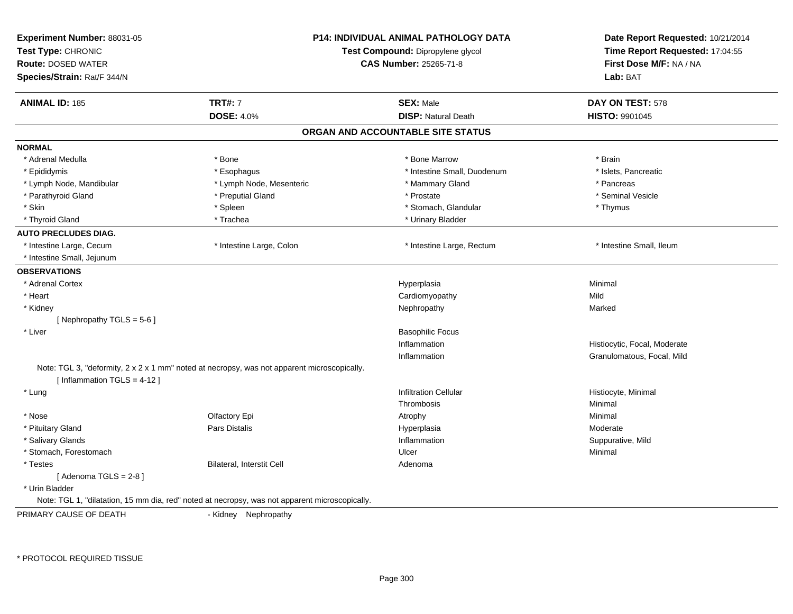| Experiment Number: 88031-05<br>Test Type: CHRONIC<br><b>Route: DOSED WATER</b><br>Species/Strain: Rat/F 344/N |                                                                                                | <b>P14: INDIVIDUAL ANIMAL PATHOLOGY DATA</b><br>Test Compound: Dipropylene glycol<br><b>CAS Number: 25265-71-8</b> |                              |
|---------------------------------------------------------------------------------------------------------------|------------------------------------------------------------------------------------------------|--------------------------------------------------------------------------------------------------------------------|------------------------------|
| <b>ANIMAL ID: 185</b>                                                                                         | <b>TRT#: 7</b>                                                                                 | <b>SEX: Male</b>                                                                                                   | DAY ON TEST: 578             |
|                                                                                                               | <b>DOSE: 4.0%</b>                                                                              | <b>DISP: Natural Death</b>                                                                                         | <b>HISTO: 9901045</b>        |
|                                                                                                               |                                                                                                | ORGAN AND ACCOUNTABLE SITE STATUS                                                                                  |                              |
| <b>NORMAL</b>                                                                                                 |                                                                                                |                                                                                                                    |                              |
| * Adrenal Medulla                                                                                             | * Bone                                                                                         | * Bone Marrow                                                                                                      | * Brain                      |
| * Epididymis                                                                                                  | * Esophagus                                                                                    | * Intestine Small, Duodenum                                                                                        | * Islets, Pancreatic         |
| * Lymph Node, Mandibular                                                                                      | * Lymph Node, Mesenteric                                                                       | * Mammary Gland                                                                                                    | * Pancreas                   |
| * Parathyroid Gland                                                                                           | * Preputial Gland                                                                              | * Prostate                                                                                                         | * Seminal Vesicle            |
| * Skin                                                                                                        | * Spleen                                                                                       | * Stomach, Glandular                                                                                               | * Thymus                     |
| * Thyroid Gland                                                                                               | * Trachea                                                                                      | * Urinary Bladder                                                                                                  |                              |
| <b>AUTO PRECLUDES DIAG.</b>                                                                                   |                                                                                                |                                                                                                                    |                              |
| * Intestine Large, Cecum                                                                                      | * Intestine Large, Colon                                                                       | * Intestine Large, Rectum                                                                                          | * Intestine Small, Ileum     |
| * Intestine Small, Jejunum                                                                                    |                                                                                                |                                                                                                                    |                              |
| <b>OBSERVATIONS</b>                                                                                           |                                                                                                |                                                                                                                    |                              |
| * Adrenal Cortex                                                                                              |                                                                                                | Hyperplasia                                                                                                        | Minimal                      |
| * Heart                                                                                                       |                                                                                                | Cardiomyopathy                                                                                                     | Mild                         |
| * Kidney                                                                                                      |                                                                                                | Nephropathy                                                                                                        | Marked                       |
| [Nephropathy TGLS = 5-6]                                                                                      |                                                                                                |                                                                                                                    |                              |
| * Liver                                                                                                       |                                                                                                | <b>Basophilic Focus</b>                                                                                            |                              |
|                                                                                                               |                                                                                                | Inflammation                                                                                                       | Histiocytic, Focal, Moderate |
|                                                                                                               |                                                                                                | Inflammation                                                                                                       | Granulomatous, Focal, Mild   |
| [Inflammation TGLS = $4-12$ ]                                                                                 | Note: TGL 3, "deformity, 2 x 2 x 1 mm" noted at necropsy, was not apparent microscopically.    |                                                                                                                    |                              |
| * Lung                                                                                                        |                                                                                                | <b>Infiltration Cellular</b>                                                                                       | Histiocyte, Minimal          |
|                                                                                                               |                                                                                                | Thrombosis                                                                                                         | Minimal                      |
| * Nose                                                                                                        | Olfactory Epi                                                                                  | Atrophy                                                                                                            | Minimal                      |
| * Pituitary Gland                                                                                             | <b>Pars Distalis</b>                                                                           | Hyperplasia                                                                                                        | Moderate                     |
| * Salivary Glands                                                                                             |                                                                                                | Inflammation                                                                                                       | Suppurative, Mild            |
| * Stomach, Forestomach                                                                                        |                                                                                                | Ulcer                                                                                                              | Minimal                      |
| * Testes                                                                                                      | Bilateral, Interstit Cell                                                                      | Adenoma                                                                                                            |                              |
| [Adenoma TGLS = $2-8$ ]                                                                                       |                                                                                                |                                                                                                                    |                              |
| * Urin Bladder                                                                                                |                                                                                                |                                                                                                                    |                              |
|                                                                                                               | Note: TGL 1, "dilatation, 15 mm dia, red" noted at necropsy, was not apparent microscopically. |                                                                                                                    |                              |
| PRIMARY CAUSE OF DEATH                                                                                        | - Kidney Nephropathy                                                                           |                                                                                                                    |                              |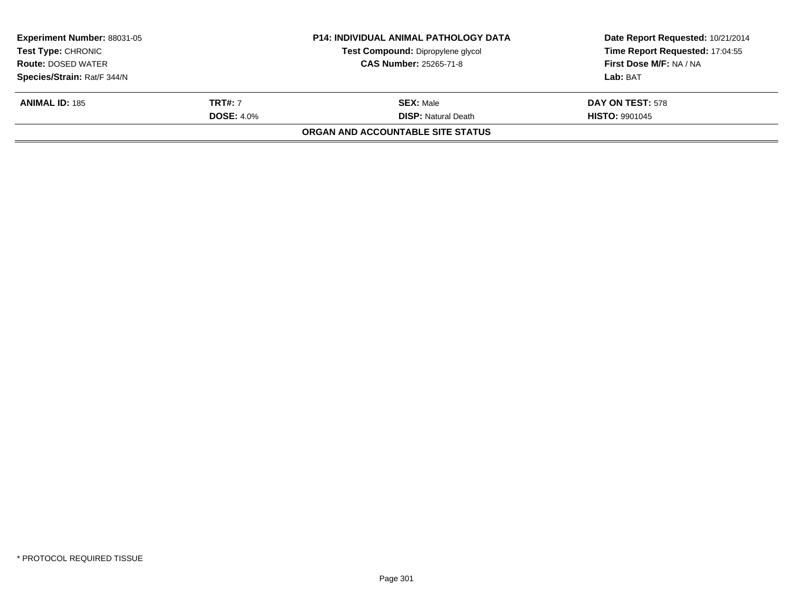|                   | <b>P14: INDIVIDUAL ANIMAL PATHOLOGY DATA</b><br>Test Compound: Dipropylene glycol | Date Report Requested: 10/21/2014<br>Time Report Requested: 17:04:55 |
|-------------------|-----------------------------------------------------------------------------------|----------------------------------------------------------------------|
|                   | <b>CAS Number: 25265-71-8</b>                                                     | First Dose M/F: NA / NA                                              |
|                   |                                                                                   | Lab: BAT                                                             |
| <b>TRT#: 7</b>    | <b>SEX:</b> Male                                                                  | DAY ON TEST: 578                                                     |
| <b>DOSE: 4.0%</b> | <b>DISP:</b> Natural Death                                                        | <b>HISTO: 9901045</b>                                                |
|                   | <b>ORGAN AND ACCOUNTABLE SITE STATUS</b>                                          |                                                                      |
|                   |                                                                                   |                                                                      |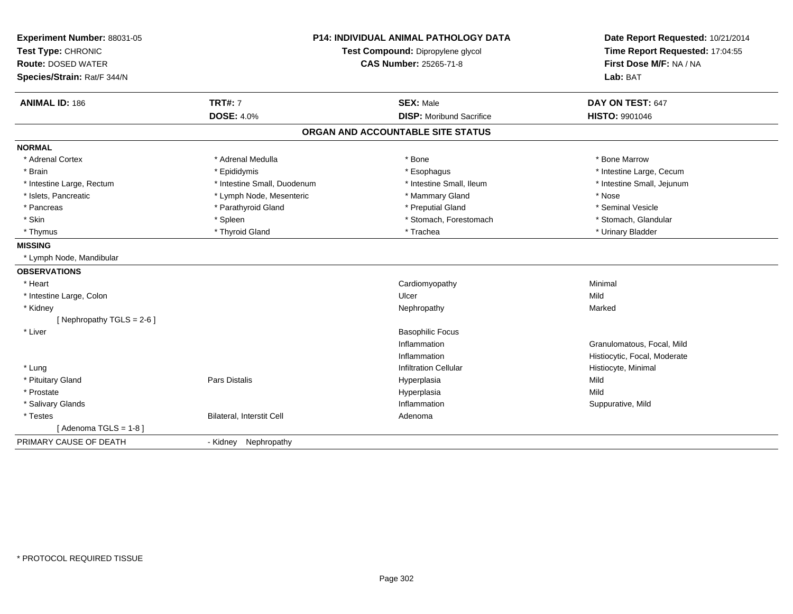| Experiment Number: 88031-05<br>Test Type: CHRONIC<br><b>Route: DOSED WATER</b><br>Species/Strain: Rat/F 344/N | <b>P14: INDIVIDUAL ANIMAL PATHOLOGY DATA</b><br>Test Compound: Dipropylene glycol<br>CAS Number: 25265-71-8 |                                   | Date Report Requested: 10/21/2014<br>Time Report Requested: 17:04:55<br>First Dose M/F: NA / NA<br>Lab: BAT |  |
|---------------------------------------------------------------------------------------------------------------|-------------------------------------------------------------------------------------------------------------|-----------------------------------|-------------------------------------------------------------------------------------------------------------|--|
| <b>ANIMAL ID: 186</b>                                                                                         | <b>TRT#: 7</b>                                                                                              | <b>SEX: Male</b>                  | DAY ON TEST: 647                                                                                            |  |
|                                                                                                               | <b>DOSE: 4.0%</b>                                                                                           | <b>DISP: Moribund Sacrifice</b>   | HISTO: 9901046                                                                                              |  |
|                                                                                                               |                                                                                                             | ORGAN AND ACCOUNTABLE SITE STATUS |                                                                                                             |  |
| <b>NORMAL</b>                                                                                                 |                                                                                                             |                                   |                                                                                                             |  |
| * Adrenal Cortex                                                                                              | * Adrenal Medulla                                                                                           | * Bone                            | * Bone Marrow                                                                                               |  |
| * Brain                                                                                                       | * Epididymis                                                                                                | * Esophagus                       | * Intestine Large, Cecum                                                                                    |  |
| * Intestine Large, Rectum                                                                                     | * Intestine Small, Duodenum                                                                                 | * Intestine Small. Ileum          | * Intestine Small, Jejunum                                                                                  |  |
| * Islets, Pancreatic                                                                                          | * Lymph Node, Mesenteric                                                                                    | * Mammary Gland                   | * Nose                                                                                                      |  |
| * Pancreas                                                                                                    | * Parathyroid Gland                                                                                         | * Preputial Gland                 | * Seminal Vesicle                                                                                           |  |
| * Skin                                                                                                        | * Spleen                                                                                                    | * Stomach, Forestomach            | * Stomach, Glandular                                                                                        |  |
| * Thymus                                                                                                      | * Thyroid Gland                                                                                             | * Trachea                         | * Urinary Bladder                                                                                           |  |
| <b>MISSING</b>                                                                                                |                                                                                                             |                                   |                                                                                                             |  |
| * Lymph Node, Mandibular                                                                                      |                                                                                                             |                                   |                                                                                                             |  |
| <b>OBSERVATIONS</b>                                                                                           |                                                                                                             |                                   |                                                                                                             |  |
| * Heart                                                                                                       |                                                                                                             | Cardiomyopathy                    | Minimal                                                                                                     |  |
| * Intestine Large, Colon                                                                                      |                                                                                                             | Ulcer                             | Mild                                                                                                        |  |
| * Kidney                                                                                                      |                                                                                                             | Nephropathy                       | Marked                                                                                                      |  |
| [Nephropathy TGLS = 2-6]                                                                                      |                                                                                                             |                                   |                                                                                                             |  |
| * Liver                                                                                                       |                                                                                                             | <b>Basophilic Focus</b>           |                                                                                                             |  |
|                                                                                                               |                                                                                                             | Inflammation                      | Granulomatous, Focal, Mild                                                                                  |  |
|                                                                                                               |                                                                                                             | Inflammation                      | Histiocytic, Focal, Moderate                                                                                |  |
| * Lung                                                                                                        |                                                                                                             | <b>Infiltration Cellular</b>      | Histiocyte, Minimal                                                                                         |  |
| * Pituitary Gland                                                                                             | <b>Pars Distalis</b>                                                                                        | Hyperplasia                       | Mild                                                                                                        |  |
| * Prostate                                                                                                    |                                                                                                             | Hyperplasia                       | Mild                                                                                                        |  |
| * Salivary Glands                                                                                             |                                                                                                             | Inflammation                      | Suppurative, Mild                                                                                           |  |
| * Testes                                                                                                      | Bilateral, Interstit Cell                                                                                   | Adenoma                           |                                                                                                             |  |
| [Adenoma TGLS = $1-8$ ]                                                                                       |                                                                                                             |                                   |                                                                                                             |  |
| PRIMARY CAUSE OF DEATH                                                                                        | - Kidney Nephropathy                                                                                        |                                   |                                                                                                             |  |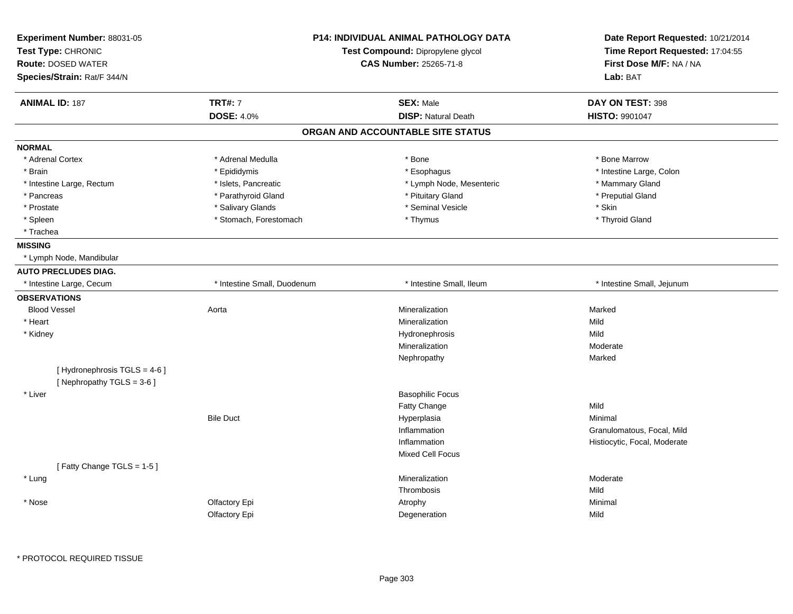| Experiment Number: 88031-05<br>Test Type: CHRONIC<br><b>Route: DOSED WATER</b><br>Species/Strain: Rat/F 344/N | <b>P14: INDIVIDUAL ANIMAL PATHOLOGY DATA</b><br>Test Compound: Dipropylene glycol<br><b>CAS Number: 25265-71-8</b> |                                   | Date Report Requested: 10/21/2014<br>Time Report Requested: 17:04:55<br>First Dose M/F: NA / NA<br>Lab: BAT |
|---------------------------------------------------------------------------------------------------------------|--------------------------------------------------------------------------------------------------------------------|-----------------------------------|-------------------------------------------------------------------------------------------------------------|
| <b>ANIMAL ID: 187</b>                                                                                         | <b>TRT#: 7</b>                                                                                                     | <b>SEX: Male</b>                  | DAY ON TEST: 398                                                                                            |
|                                                                                                               | <b>DOSE: 4.0%</b>                                                                                                  | <b>DISP: Natural Death</b>        | HISTO: 9901047                                                                                              |
|                                                                                                               |                                                                                                                    | ORGAN AND ACCOUNTABLE SITE STATUS |                                                                                                             |
| <b>NORMAL</b>                                                                                                 |                                                                                                                    |                                   |                                                                                                             |
| * Adrenal Cortex                                                                                              | * Adrenal Medulla                                                                                                  | * Bone                            | * Bone Marrow                                                                                               |
| * Brain                                                                                                       | * Epididymis                                                                                                       | * Esophagus                       | * Intestine Large, Colon                                                                                    |
| * Intestine Large, Rectum                                                                                     | * Islets, Pancreatic                                                                                               | * Lymph Node, Mesenteric          | * Mammary Gland                                                                                             |
| * Pancreas                                                                                                    | * Parathyroid Gland                                                                                                | * Pituitary Gland                 | * Preputial Gland                                                                                           |
| * Prostate                                                                                                    | * Salivary Glands                                                                                                  | * Seminal Vesicle                 | * Skin                                                                                                      |
| * Spleen                                                                                                      | * Stomach, Forestomach                                                                                             | * Thymus                          | * Thyroid Gland                                                                                             |
| * Trachea                                                                                                     |                                                                                                                    |                                   |                                                                                                             |
| <b>MISSING</b>                                                                                                |                                                                                                                    |                                   |                                                                                                             |
| * Lymph Node, Mandibular                                                                                      |                                                                                                                    |                                   |                                                                                                             |
| <b>AUTO PRECLUDES DIAG.</b>                                                                                   |                                                                                                                    |                                   |                                                                                                             |
| * Intestine Large, Cecum                                                                                      | * Intestine Small, Duodenum                                                                                        | * Intestine Small. Ileum          | * Intestine Small, Jejunum                                                                                  |
| <b>OBSERVATIONS</b>                                                                                           |                                                                                                                    |                                   |                                                                                                             |
| <b>Blood Vessel</b>                                                                                           | Aorta                                                                                                              | Mineralization                    | Marked                                                                                                      |
| * Heart                                                                                                       |                                                                                                                    | Mineralization                    | Mild                                                                                                        |
| * Kidney                                                                                                      |                                                                                                                    | Hydronephrosis                    | Mild                                                                                                        |
|                                                                                                               |                                                                                                                    | Mineralization                    | Moderate                                                                                                    |
|                                                                                                               |                                                                                                                    | Nephropathy                       | Marked                                                                                                      |
| [Hydronephrosis TGLS = 4-6]<br>[Nephropathy TGLS = 3-6]                                                       |                                                                                                                    |                                   |                                                                                                             |
| * Liver                                                                                                       |                                                                                                                    | <b>Basophilic Focus</b>           |                                                                                                             |
|                                                                                                               |                                                                                                                    | Fatty Change                      | Mild                                                                                                        |
|                                                                                                               | <b>Bile Duct</b>                                                                                                   | Hyperplasia                       | Minimal                                                                                                     |
|                                                                                                               |                                                                                                                    | Inflammation                      | Granulomatous, Focal, Mild                                                                                  |
|                                                                                                               |                                                                                                                    | Inflammation                      | Histiocytic, Focal, Moderate                                                                                |
|                                                                                                               |                                                                                                                    | Mixed Cell Focus                  |                                                                                                             |
| [Fatty Change TGLS = 1-5]                                                                                     |                                                                                                                    |                                   |                                                                                                             |
| * Lung                                                                                                        |                                                                                                                    | Mineralization                    | Moderate                                                                                                    |
|                                                                                                               |                                                                                                                    | Thrombosis                        | Mild                                                                                                        |
| * Nose                                                                                                        | Olfactory Epi                                                                                                      | Atrophy                           | Minimal                                                                                                     |
|                                                                                                               |                                                                                                                    |                                   |                                                                                                             |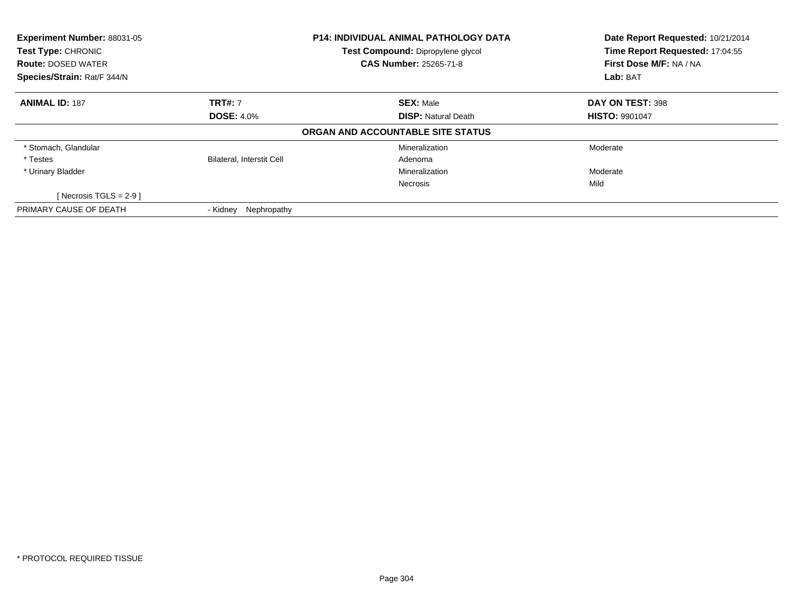| <b>Experiment Number: 88031-05</b><br>Test Type: CHRONIC<br><b>Route: DOSED WATER</b> |                                  | <b>P14: INDIVIDUAL ANIMAL PATHOLOGY DATA</b><br>Test Compound: Dipropylene glycol<br><b>CAS Number: 25265-71-8</b> | Date Report Requested: 10/21/2014<br>Time Report Requested: 17:04:55<br>First Dose M/F: NA / NA |
|---------------------------------------------------------------------------------------|----------------------------------|--------------------------------------------------------------------------------------------------------------------|-------------------------------------------------------------------------------------------------|
| Species/Strain: Rat/F 344/N                                                           |                                  |                                                                                                                    | Lab: BAT                                                                                        |
| <b>ANIMAL ID: 187</b>                                                                 | <b>TRT#: 7</b>                   | <b>SEX: Male</b>                                                                                                   | DAY ON TEST: 398                                                                                |
|                                                                                       | <b>DOSE: 4.0%</b>                | <b>DISP: Natural Death</b>                                                                                         | <b>HISTO: 9901047</b>                                                                           |
|                                                                                       |                                  | ORGAN AND ACCOUNTABLE SITE STATUS                                                                                  |                                                                                                 |
| * Stomach, Glandular                                                                  |                                  | Mineralization                                                                                                     | Moderate                                                                                        |
| * Testes                                                                              | <b>Bilateral, Interstit Cell</b> | Adenoma                                                                                                            |                                                                                                 |
| * Urinary Bladder                                                                     |                                  | Mineralization                                                                                                     | Moderate                                                                                        |
|                                                                                       |                                  | <b>Necrosis</b>                                                                                                    | Mild                                                                                            |
| [Necrosis TGLS = $2-9$ ]                                                              |                                  |                                                                                                                    |                                                                                                 |
| PRIMARY CAUSE OF DEATH                                                                | Nephropathy<br>- Kidnev          |                                                                                                                    |                                                                                                 |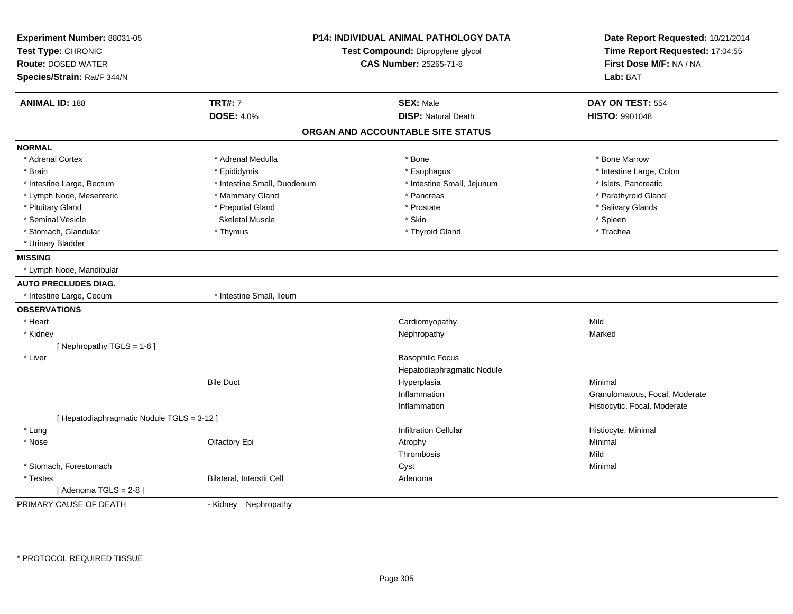| Experiment Number: 88031-05<br>Test Type: CHRONIC<br><b>Route: DOSED WATER</b><br>Species/Strain: Rat/F 344/N | <b>P14: INDIVIDUAL ANIMAL PATHOLOGY DATA</b><br>Test Compound: Dipropylene glycol<br><b>CAS Number: 25265-71-8</b> |                                   | Date Report Requested: 10/21/2014<br>Time Report Requested: 17:04:55<br>First Dose M/F: NA / NA<br>Lab: BAT |
|---------------------------------------------------------------------------------------------------------------|--------------------------------------------------------------------------------------------------------------------|-----------------------------------|-------------------------------------------------------------------------------------------------------------|
| <b>ANIMAL ID: 188</b>                                                                                         | <b>TRT#: 7</b>                                                                                                     | <b>SEX: Male</b>                  | DAY ON TEST: 554                                                                                            |
|                                                                                                               | <b>DOSE: 4.0%</b>                                                                                                  | <b>DISP: Natural Death</b>        | HISTO: 9901048                                                                                              |
|                                                                                                               |                                                                                                                    | ORGAN AND ACCOUNTABLE SITE STATUS |                                                                                                             |
| <b>NORMAL</b>                                                                                                 |                                                                                                                    |                                   |                                                                                                             |
| * Adrenal Cortex                                                                                              | * Adrenal Medulla                                                                                                  | * Bone                            | * Bone Marrow                                                                                               |
| * Brain                                                                                                       | * Epididymis                                                                                                       | * Esophagus                       | * Intestine Large, Colon                                                                                    |
| * Intestine Large, Rectum                                                                                     | * Intestine Small, Duodenum                                                                                        | * Intestine Small, Jejunum        | * Islets, Pancreatic                                                                                        |
| * Lymph Node, Mesenteric                                                                                      | * Mammary Gland                                                                                                    | * Pancreas                        | * Parathyroid Gland                                                                                         |
| * Pituitary Gland                                                                                             | * Preputial Gland                                                                                                  | * Prostate                        | * Salivary Glands                                                                                           |
| * Seminal Vesicle                                                                                             | <b>Skeletal Muscle</b>                                                                                             | * Skin                            | * Spleen                                                                                                    |
| * Stomach, Glandular                                                                                          | * Thymus                                                                                                           | * Thyroid Gland                   | * Trachea                                                                                                   |
| * Urinary Bladder                                                                                             |                                                                                                                    |                                   |                                                                                                             |
| <b>MISSING</b>                                                                                                |                                                                                                                    |                                   |                                                                                                             |
| * Lymph Node, Mandibular                                                                                      |                                                                                                                    |                                   |                                                                                                             |
| <b>AUTO PRECLUDES DIAG.</b>                                                                                   |                                                                                                                    |                                   |                                                                                                             |
| * Intestine Large, Cecum                                                                                      | * Intestine Small, Ileum                                                                                           |                                   |                                                                                                             |
| <b>OBSERVATIONS</b>                                                                                           |                                                                                                                    |                                   |                                                                                                             |
| * Heart                                                                                                       |                                                                                                                    | Cardiomyopathy                    | Mild                                                                                                        |
| * Kidney                                                                                                      |                                                                                                                    | Nephropathy                       | Marked                                                                                                      |
| [Nephropathy TGLS = 1-6]                                                                                      |                                                                                                                    |                                   |                                                                                                             |
| * Liver                                                                                                       |                                                                                                                    | <b>Basophilic Focus</b>           |                                                                                                             |
|                                                                                                               |                                                                                                                    | Hepatodiaphragmatic Nodule        |                                                                                                             |
|                                                                                                               | <b>Bile Duct</b>                                                                                                   | Hyperplasia                       | Minimal                                                                                                     |
|                                                                                                               |                                                                                                                    | Inflammation                      | Granulomatous, Focal, Moderate                                                                              |
|                                                                                                               |                                                                                                                    | Inflammation                      | Histiocytic, Focal, Moderate                                                                                |
| [ Hepatodiaphragmatic Nodule TGLS = 3-12 ]                                                                    |                                                                                                                    |                                   |                                                                                                             |
| * Lung                                                                                                        |                                                                                                                    | <b>Infiltration Cellular</b>      | Histiocyte, Minimal                                                                                         |
| * Nose                                                                                                        | Olfactory Epi                                                                                                      | Atrophy                           | Minimal                                                                                                     |
|                                                                                                               |                                                                                                                    | Thrombosis                        | Mild                                                                                                        |
| * Stomach, Forestomach                                                                                        |                                                                                                                    | Cyst                              | Minimal                                                                                                     |
| * Testes                                                                                                      | Bilateral, Interstit Cell                                                                                          | Adenoma                           |                                                                                                             |
| [Adenoma TGLS = $2-8$ ]                                                                                       |                                                                                                                    |                                   |                                                                                                             |
| PRIMARY CAUSE OF DEATH                                                                                        | - Kidney Nephropathy                                                                                               |                                   |                                                                                                             |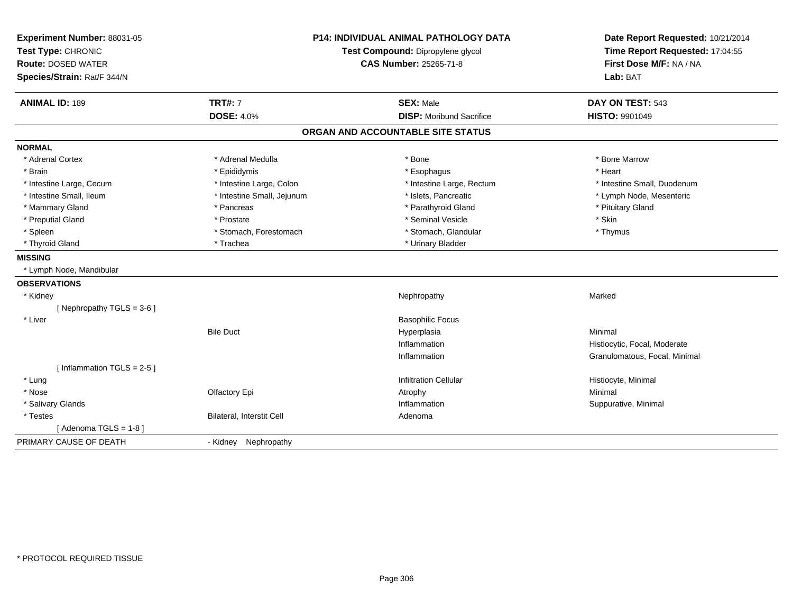| Experiment Number: 88031-05  | <b>P14: INDIVIDUAL ANIMAL PATHOLOGY DATA</b> |                                   | Date Report Requested: 10/21/2014                          |
|------------------------------|----------------------------------------------|-----------------------------------|------------------------------------------------------------|
| Test Type: CHRONIC           |                                              | Test Compound: Dipropylene glycol | Time Report Requested: 17:04:55<br>First Dose M/F: NA / NA |
| <b>Route: DOSED WATER</b>    |                                              | CAS Number: 25265-71-8            |                                                            |
| Species/Strain: Rat/F 344/N  |                                              |                                   | Lab: BAT                                                   |
| <b>ANIMAL ID: 189</b>        | <b>TRT#: 7</b>                               | <b>SEX: Male</b>                  | DAY ON TEST: 543                                           |
|                              | <b>DOSE: 4.0%</b>                            | <b>DISP: Moribund Sacrifice</b>   | HISTO: 9901049                                             |
|                              |                                              | ORGAN AND ACCOUNTABLE SITE STATUS |                                                            |
| <b>NORMAL</b>                |                                              |                                   |                                                            |
| * Adrenal Cortex             | * Adrenal Medulla                            | * Bone                            | * Bone Marrow                                              |
| * Brain                      | * Epididymis                                 | * Esophagus                       | * Heart                                                    |
| * Intestine Large, Cecum     | * Intestine Large, Colon                     | * Intestine Large, Rectum         | * Intestine Small, Duodenum                                |
| * Intestine Small. Ileum     | * Intestine Small, Jejunum                   | * Islets, Pancreatic              | * Lymph Node, Mesenteric                                   |
| * Mammary Gland              | * Pancreas                                   | * Parathyroid Gland               | * Pituitary Gland                                          |
| * Preputial Gland            | * Prostate                                   | * Seminal Vesicle                 | * Skin                                                     |
| * Spleen                     | * Stomach, Forestomach                       | * Stomach, Glandular              | * Thymus                                                   |
| * Thyroid Gland              | * Trachea                                    | * Urinary Bladder                 |                                                            |
| <b>MISSING</b>               |                                              |                                   |                                                            |
| * Lymph Node, Mandibular     |                                              |                                   |                                                            |
| <b>OBSERVATIONS</b>          |                                              |                                   |                                                            |
| * Kidney                     |                                              | Nephropathy                       | Marked                                                     |
| [Nephropathy TGLS = 3-6]     |                                              |                                   |                                                            |
| * Liver                      |                                              | <b>Basophilic Focus</b>           |                                                            |
|                              | <b>Bile Duct</b>                             | Hyperplasia                       | Minimal                                                    |
|                              |                                              | Inflammation                      | Histiocytic, Focal, Moderate                               |
|                              |                                              | Inflammation                      | Granulomatous, Focal, Minimal                              |
| [Inflammation TGLS = $2-5$ ] |                                              |                                   |                                                            |
| * Lung                       |                                              | <b>Infiltration Cellular</b>      | Histiocyte, Minimal                                        |
| * Nose                       | Olfactory Epi                                | Atrophy                           | Minimal                                                    |
| * Salivary Glands            |                                              | Inflammation                      | Suppurative, Minimal                                       |
| * Testes                     | Bilateral, Interstit Cell                    | Adenoma                           |                                                            |
| [Adenoma TGLS = $1-8$ ]      |                                              |                                   |                                                            |
| PRIMARY CAUSE OF DEATH       | Nephropathy<br>- Kidney                      |                                   |                                                            |
|                              |                                              |                                   |                                                            |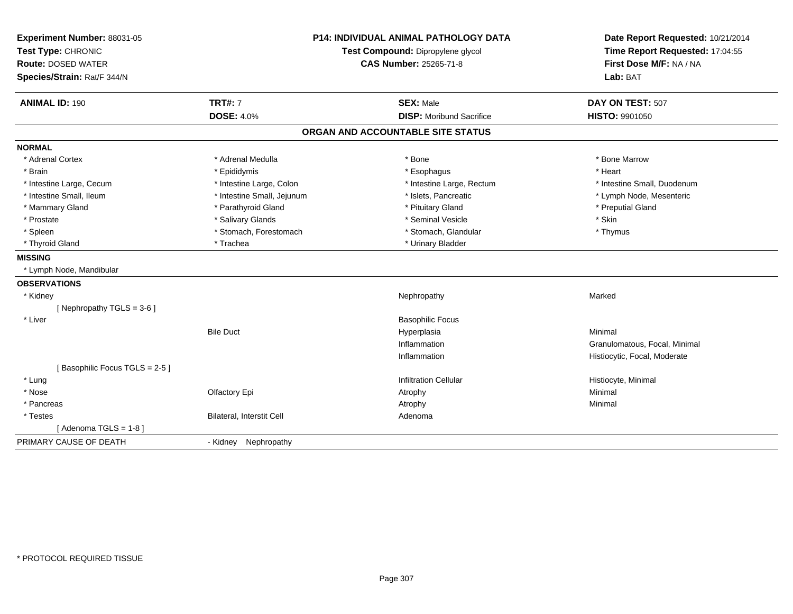| Experiment Number: 88031-05   | <b>P14: INDIVIDUAL ANIMAL PATHOLOGY DATA</b> |                                   | Date Report Requested: 10/21/2014                          |
|-------------------------------|----------------------------------------------|-----------------------------------|------------------------------------------------------------|
| Test Type: CHRONIC            |                                              | Test Compound: Dipropylene glycol | Time Report Requested: 17:04:55<br>First Dose M/F: NA / NA |
| <b>Route: DOSED WATER</b>     |                                              | CAS Number: 25265-71-8            |                                                            |
| Species/Strain: Rat/F 344/N   |                                              |                                   | Lab: BAT                                                   |
| <b>ANIMAL ID: 190</b>         | <b>TRT#: 7</b>                               | <b>SEX: Male</b>                  | DAY ON TEST: 507                                           |
|                               | <b>DOSE: 4.0%</b>                            | <b>DISP: Moribund Sacrifice</b>   | <b>HISTO: 9901050</b>                                      |
|                               |                                              | ORGAN AND ACCOUNTABLE SITE STATUS |                                                            |
| <b>NORMAL</b>                 |                                              |                                   |                                                            |
| * Adrenal Cortex              | * Adrenal Medulla                            | * Bone                            | * Bone Marrow                                              |
| * Brain                       | * Epididymis                                 | * Esophagus                       | * Heart                                                    |
| * Intestine Large, Cecum      | * Intestine Large, Colon                     | * Intestine Large, Rectum         | * Intestine Small, Duodenum                                |
| * Intestine Small. Ileum      | * Intestine Small, Jejunum                   | * Islets, Pancreatic              | * Lymph Node, Mesenteric                                   |
| * Mammary Gland               | * Parathyroid Gland                          | * Pituitary Gland                 | * Preputial Gland                                          |
| * Prostate                    | * Salivary Glands                            | * Seminal Vesicle                 | * Skin                                                     |
| * Spleen                      | * Stomach, Forestomach                       | * Stomach, Glandular              | * Thymus                                                   |
| * Thyroid Gland               | * Trachea                                    | * Urinary Bladder                 |                                                            |
| <b>MISSING</b>                |                                              |                                   |                                                            |
| * Lymph Node, Mandibular      |                                              |                                   |                                                            |
| <b>OBSERVATIONS</b>           |                                              |                                   |                                                            |
| * Kidney                      |                                              | Nephropathy                       | Marked                                                     |
| [ Nephropathy TGLS = $3-6$ ]  |                                              |                                   |                                                            |
| * Liver                       |                                              | <b>Basophilic Focus</b>           |                                                            |
|                               | <b>Bile Duct</b>                             | Hyperplasia                       | Minimal                                                    |
|                               |                                              | Inflammation                      | Granulomatous, Focal, Minimal                              |
|                               |                                              | Inflammation                      | Histiocytic, Focal, Moderate                               |
| [Basophilic Focus TGLS = 2-5] |                                              |                                   |                                                            |
| * Lung                        |                                              | <b>Infiltration Cellular</b>      | Histiocyte, Minimal                                        |
| * Nose                        | Olfactory Epi                                | Atrophy                           | Minimal                                                    |
| * Pancreas                    |                                              | Atrophy                           | Minimal                                                    |
| * Testes                      | Bilateral, Interstit Cell                    | Adenoma                           |                                                            |
| [Adenoma TGLS = $1-8$ ]       |                                              |                                   |                                                            |
| PRIMARY CAUSE OF DEATH        | Nephropathy<br>- Kidney                      |                                   |                                                            |
|                               |                                              |                                   |                                                            |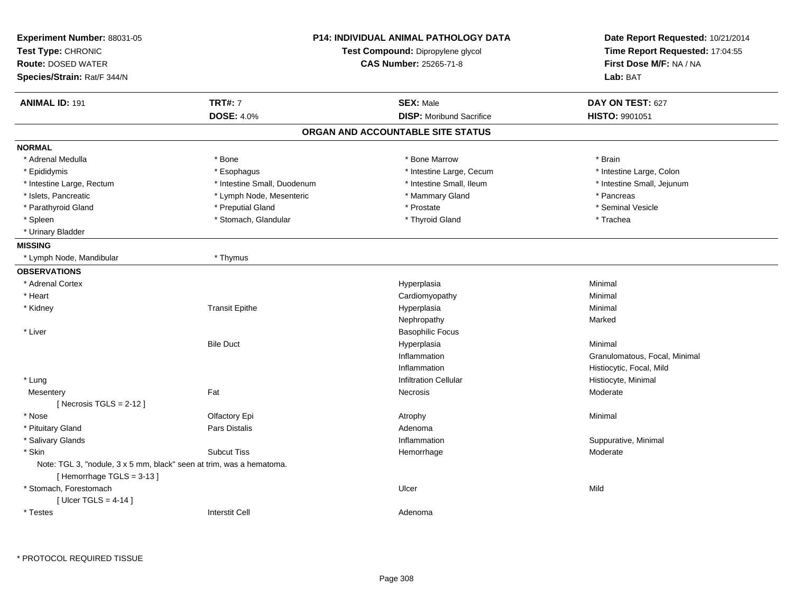| Experiment Number: 88031-05<br>Test Type: CHRONIC<br><b>Route: DOSED WATER</b><br>Species/Strain: Rat/F 344/N |                             | <b>P14: INDIVIDUAL ANIMAL PATHOLOGY DATA</b><br>Test Compound: Dipropylene glycol<br>CAS Number: 25265-71-8 | Date Report Requested: 10/21/2014<br>Time Report Requested: 17:04:55<br>First Dose M/F: NA / NA<br>Lab: BAT |
|---------------------------------------------------------------------------------------------------------------|-----------------------------|-------------------------------------------------------------------------------------------------------------|-------------------------------------------------------------------------------------------------------------|
| <b>ANIMAL ID: 191</b>                                                                                         | <b>TRT#: 7</b>              | <b>SEX: Male</b>                                                                                            | DAY ON TEST: 627                                                                                            |
|                                                                                                               | <b>DOSE: 4.0%</b>           | <b>DISP:</b> Moribund Sacrifice                                                                             | HISTO: 9901051                                                                                              |
|                                                                                                               |                             | ORGAN AND ACCOUNTABLE SITE STATUS                                                                           |                                                                                                             |
| <b>NORMAL</b>                                                                                                 |                             |                                                                                                             |                                                                                                             |
| * Adrenal Medulla                                                                                             | * Bone                      | * Bone Marrow                                                                                               | * Brain                                                                                                     |
| * Epididymis                                                                                                  | * Esophagus                 | * Intestine Large, Cecum                                                                                    | * Intestine Large, Colon                                                                                    |
| * Intestine Large, Rectum                                                                                     | * Intestine Small, Duodenum | * Intestine Small, Ileum                                                                                    | * Intestine Small, Jejunum                                                                                  |
| * Islets, Pancreatic                                                                                          | * Lymph Node, Mesenteric    | * Mammary Gland                                                                                             | * Pancreas                                                                                                  |
| * Parathyroid Gland                                                                                           | * Preputial Gland           | * Prostate                                                                                                  | * Seminal Vesicle                                                                                           |
| * Spleen                                                                                                      | * Stomach, Glandular        | * Thyroid Gland                                                                                             | * Trachea                                                                                                   |
| * Urinary Bladder                                                                                             |                             |                                                                                                             |                                                                                                             |
| <b>MISSING</b>                                                                                                |                             |                                                                                                             |                                                                                                             |
| * Lymph Node, Mandibular                                                                                      | * Thymus                    |                                                                                                             |                                                                                                             |
| <b>OBSERVATIONS</b>                                                                                           |                             |                                                                                                             |                                                                                                             |
| * Adrenal Cortex                                                                                              |                             | Hyperplasia                                                                                                 | Minimal                                                                                                     |
| * Heart                                                                                                       |                             | Cardiomyopathy                                                                                              | Minimal                                                                                                     |
| * Kidney                                                                                                      | <b>Transit Epithe</b>       | Hyperplasia                                                                                                 | Minimal                                                                                                     |
|                                                                                                               |                             | Nephropathy                                                                                                 | Marked                                                                                                      |
| * Liver                                                                                                       |                             | <b>Basophilic Focus</b>                                                                                     |                                                                                                             |
|                                                                                                               | <b>Bile Duct</b>            | Hyperplasia                                                                                                 | Minimal                                                                                                     |
|                                                                                                               |                             | Inflammation                                                                                                | Granulomatous, Focal, Minimal                                                                               |
|                                                                                                               |                             | Inflammation                                                                                                | Histiocytic, Focal, Mild                                                                                    |
| * Lung                                                                                                        |                             | <b>Infiltration Cellular</b>                                                                                | Histiocyte, Minimal                                                                                         |
| Mesentery                                                                                                     | Fat                         | Necrosis                                                                                                    | Moderate                                                                                                    |
| [ Necrosis TGLS = $2-12$ ]                                                                                    |                             |                                                                                                             |                                                                                                             |
| * Nose                                                                                                        | Olfactory Epi               | Atrophy                                                                                                     | Minimal                                                                                                     |
| * Pituitary Gland                                                                                             | Pars Distalis               | Adenoma                                                                                                     |                                                                                                             |
| * Salivary Glands                                                                                             |                             | Inflammation                                                                                                | Suppurative, Minimal                                                                                        |
| * Skin                                                                                                        | <b>Subcut Tiss</b>          | Hemorrhage                                                                                                  | Moderate                                                                                                    |
| Note: TGL 3, "nodule, 3 x 5 mm, black" seen at trim, was a hematoma.<br>[Hemorrhage TGLS = 3-13]              |                             |                                                                                                             |                                                                                                             |
| * Stomach, Forestomach<br>[ Ulcer TGLS = $4-14$ ]                                                             |                             | Ulcer                                                                                                       | Mild                                                                                                        |
| * Testes                                                                                                      | <b>Interstit Cell</b>       | Adenoma                                                                                                     |                                                                                                             |

\* PROTOCOL REQUIRED TISSUE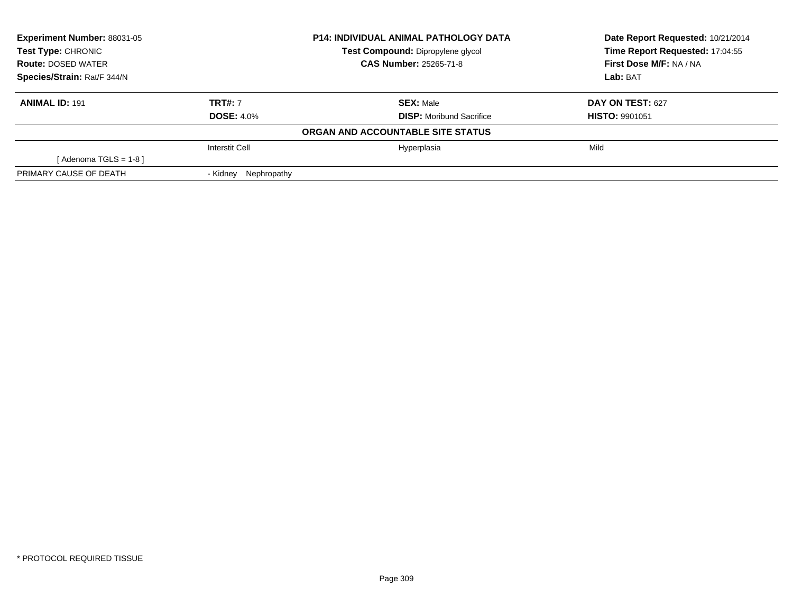| Experiment Number: 88031-05                                                               |                         | <b>P14: INDIVIDUAL ANIMAL PATHOLOGY DATA</b> | Date Report Requested: 10/21/2014 |  |
|-------------------------------------------------------------------------------------------|-------------------------|----------------------------------------------|-----------------------------------|--|
| <b>Test Type: CHRONIC</b>                                                                 |                         | Test Compound: Dipropylene glycol            | Time Report Requested: 17:04:55   |  |
| <b>CAS Number: 25265-71-8</b><br><b>Route: DOSED WATER</b><br>Species/Strain: Rat/F 344/N |                         |                                              | First Dose M/F: NA / NA           |  |
|                                                                                           |                         |                                              | Lab: BAT                          |  |
| <b>ANIMAL ID: 191</b>                                                                     | <b>TRT#: 7</b>          | <b>SEX:</b> Male                             | <b>DAY ON TEST: 627</b>           |  |
|                                                                                           | <b>DOSE: 4.0%</b>       | <b>DISP:</b> Moribund Sacrifice              | <b>HISTO: 9901051</b>             |  |
|                                                                                           |                         | ORGAN AND ACCOUNTABLE SITE STATUS            |                                   |  |
|                                                                                           | Interstit Cell          | Hyperplasia                                  | Mild                              |  |
| [Adenoma TGLS = $1-8$ ]                                                                   |                         |                                              |                                   |  |
| PRIMARY CAUSE OF DEATH                                                                    | Nephropathy<br>- Kidnev |                                              |                                   |  |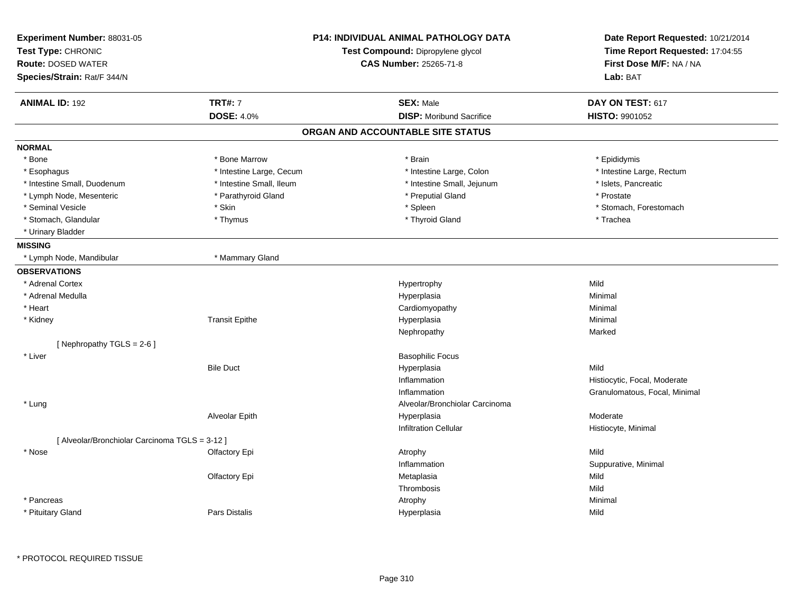| Experiment Number: 88031-05<br>Test Type: CHRONIC<br><b>Route: DOSED WATER</b><br>Species/Strain: Rat/F 344/N |                          | <b>P14: INDIVIDUAL ANIMAL PATHOLOGY DATA</b><br>Test Compound: Dipropylene glycol<br><b>CAS Number: 25265-71-8</b> | Date Report Requested: 10/21/2014<br>Time Report Requested: 17:04:55<br>First Dose M/F: NA / NA<br>Lab: BAT |
|---------------------------------------------------------------------------------------------------------------|--------------------------|--------------------------------------------------------------------------------------------------------------------|-------------------------------------------------------------------------------------------------------------|
| <b>ANIMAL ID: 192</b>                                                                                         | <b>TRT#: 7</b>           | <b>SEX: Male</b>                                                                                                   | DAY ON TEST: 617                                                                                            |
|                                                                                                               | <b>DOSE: 4.0%</b>        | <b>DISP:</b> Moribund Sacrifice                                                                                    | <b>HISTO: 9901052</b>                                                                                       |
|                                                                                                               |                          | ORGAN AND ACCOUNTABLE SITE STATUS                                                                                  |                                                                                                             |
| <b>NORMAL</b>                                                                                                 |                          |                                                                                                                    |                                                                                                             |
| * Bone                                                                                                        | * Bone Marrow            | * Brain                                                                                                            | * Epididymis                                                                                                |
| * Esophagus                                                                                                   | * Intestine Large, Cecum | * Intestine Large, Colon                                                                                           | * Intestine Large, Rectum                                                                                   |
| * Intestine Small, Duodenum                                                                                   | * Intestine Small. Ileum | * Intestine Small, Jejunum                                                                                         | * Islets, Pancreatic                                                                                        |
| * Lymph Node, Mesenteric                                                                                      | * Parathyroid Gland      | * Preputial Gland                                                                                                  | * Prostate                                                                                                  |
| * Seminal Vesicle                                                                                             | * Skin                   | * Spleen                                                                                                           | * Stomach, Forestomach                                                                                      |
| * Stomach, Glandular                                                                                          | * Thymus                 | * Thyroid Gland                                                                                                    | * Trachea                                                                                                   |
| * Urinary Bladder                                                                                             |                          |                                                                                                                    |                                                                                                             |
| <b>MISSING</b>                                                                                                |                          |                                                                                                                    |                                                                                                             |
| * Lymph Node, Mandibular                                                                                      | * Mammary Gland          |                                                                                                                    |                                                                                                             |
| <b>OBSERVATIONS</b>                                                                                           |                          |                                                                                                                    |                                                                                                             |
| * Adrenal Cortex                                                                                              |                          | Hypertrophy                                                                                                        | Mild                                                                                                        |
| * Adrenal Medulla                                                                                             |                          | Hyperplasia                                                                                                        | Minimal                                                                                                     |
| * Heart                                                                                                       |                          | Cardiomyopathy                                                                                                     | Minimal                                                                                                     |
| * Kidney                                                                                                      | <b>Transit Epithe</b>    | Hyperplasia                                                                                                        | Minimal                                                                                                     |
|                                                                                                               |                          | Nephropathy                                                                                                        | Marked                                                                                                      |
| [Nephropathy TGLS = 2-6]                                                                                      |                          |                                                                                                                    |                                                                                                             |
| * Liver                                                                                                       |                          | <b>Basophilic Focus</b>                                                                                            |                                                                                                             |
|                                                                                                               | <b>Bile Duct</b>         | Hyperplasia                                                                                                        | Mild                                                                                                        |
|                                                                                                               |                          | Inflammation                                                                                                       | Histiocytic, Focal, Moderate                                                                                |
|                                                                                                               |                          | Inflammation                                                                                                       | Granulomatous, Focal, Minimal                                                                               |
| * Lung                                                                                                        |                          | Alveolar/Bronchiolar Carcinoma                                                                                     |                                                                                                             |
|                                                                                                               | Alveolar Epith           | Hyperplasia                                                                                                        | Moderate                                                                                                    |
|                                                                                                               |                          | <b>Infiltration Cellular</b>                                                                                       | Histiocyte, Minimal                                                                                         |
| [ Alveolar/Bronchiolar Carcinoma TGLS = 3-12 ]                                                                |                          |                                                                                                                    |                                                                                                             |
| * Nose                                                                                                        | Olfactory Epi            | Atrophy                                                                                                            | Mild                                                                                                        |
|                                                                                                               |                          | Inflammation                                                                                                       | Suppurative, Minimal                                                                                        |
|                                                                                                               | Olfactory Epi            | Metaplasia                                                                                                         | Mild                                                                                                        |
|                                                                                                               |                          | Thrombosis                                                                                                         | Mild                                                                                                        |
| * Pancreas                                                                                                    |                          | Atrophy                                                                                                            | Minimal                                                                                                     |
| * Pituitary Gland                                                                                             | Pars Distalis            | Hyperplasia                                                                                                        | Mild                                                                                                        |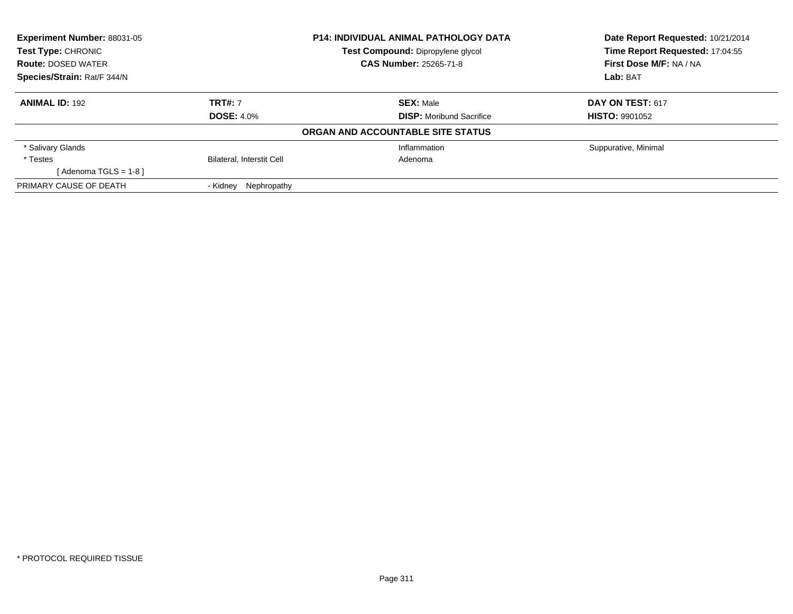| Experiment Number: 88031-05 |                                  | P14: INDIVIDUAL ANIMAL PATHOLOGY DATA | Date Report Requested: 10/21/2014<br>Time Report Requested: 17:04:55 |
|-----------------------------|----------------------------------|---------------------------------------|----------------------------------------------------------------------|
| Test Type: CHRONIC          |                                  | Test Compound: Dipropylene glycol     |                                                                      |
| <b>Route: DOSED WATER</b>   |                                  | <b>CAS Number: 25265-71-8</b>         | First Dose M/F: NA / NA                                              |
| Species/Strain: Rat/F 344/N |                                  |                                       | Lab: BAT                                                             |
| <b>ANIMAL ID: 192</b>       | <b>TRT#: 7</b>                   | <b>SEX: Male</b>                      | <b>DAY ON TEST: 617</b>                                              |
|                             | <b>DOSE: 4.0%</b>                | <b>DISP:</b> Moribund Sacrifice       | <b>HISTO: 9901052</b>                                                |
|                             |                                  | ORGAN AND ACCOUNTABLE SITE STATUS     |                                                                      |
| * Salivary Glands           |                                  | Inflammation                          | Suppurative, Minimal                                                 |
| * Testes                    | <b>Bilateral, Interstit Cell</b> | Adenoma                               |                                                                      |
| $Adenoma TGLS = 1-8$        |                                  |                                       |                                                                      |
| PRIMARY CAUSE OF DEATH      | Nephropathy<br>- Kidney          |                                       |                                                                      |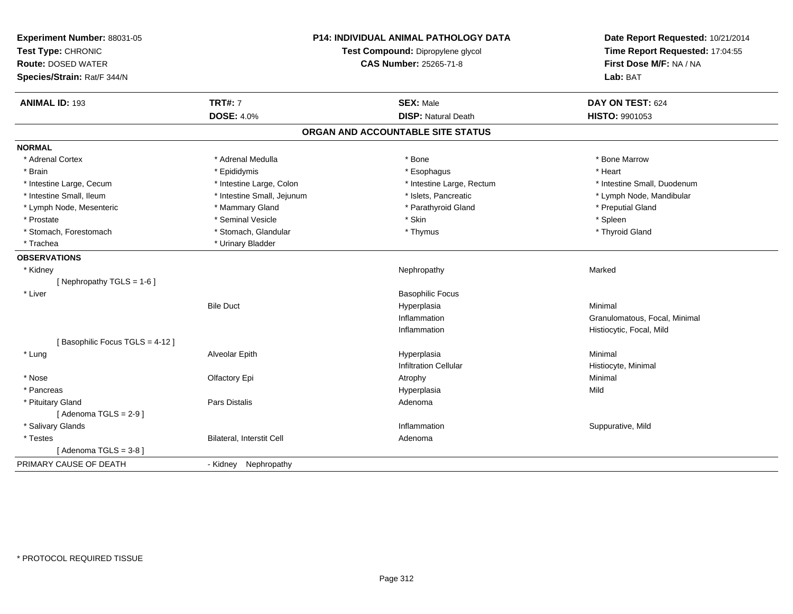| <b>TRT#: 7</b><br><b>ANIMAL ID: 193</b><br><b>SEX: Male</b><br>DAY ON TEST: 624<br><b>DOSE: 4.0%</b><br><b>DISP: Natural Death</b><br>HISTO: 9901053<br>ORGAN AND ACCOUNTABLE SITE STATUS<br><b>NORMAL</b><br>* Adrenal Cortex<br>* Bone Marrow<br>* Adrenal Medulla<br>* Bone<br>* Heart<br>* Epididymis<br>* Esophagus<br>* Brain<br>* Intestine Large, Cecum<br>* Intestine Large, Colon<br>* Intestine Large, Rectum<br>* Intestine Small, Duodenum<br>* Islets, Pancreatic<br>* Intestine Small, Ileum<br>* Intestine Small, Jejunum<br>* Lymph Node, Mandibular<br>* Parathyroid Gland<br>* Preputial Gland<br>* Lymph Node, Mesenteric<br>* Mammary Gland<br>* Seminal Vesicle<br>* Prostate<br>* Skin<br>* Spleen<br>* Stomach, Forestomach<br>* Stomach, Glandular<br>* Thyroid Gland<br>* Thymus<br>* Urinary Bladder<br>* Trachea<br><b>OBSERVATIONS</b><br>* Kidney<br>Nephropathy<br>Marked<br>[Nephropathy TGLS = 1-6]<br>* Liver<br><b>Basophilic Focus</b><br><b>Bile Duct</b><br>Hyperplasia<br>Minimal<br>Inflammation<br>Granulomatous, Focal, Minimal<br>Inflammation<br>Histiocytic, Focal, Mild<br>[Basophilic Focus TGLS = 4-12]<br>Alveolar Epith<br>Hyperplasia<br>Minimal<br>* Lung<br><b>Infiltration Cellular</b><br>Histiocyte, Minimal<br>Minimal<br>* Nose<br>Olfactory Epi<br>Atrophy<br>Hyperplasia<br>* Pancreas<br>Mild<br>* Pituitary Gland<br><b>Pars Distalis</b><br>Adenoma<br>[Adenoma TGLS = $2-9$ ]<br>* Salivary Glands<br>Inflammation<br>Suppurative, Mild<br>Bilateral, Interstit Cell<br>* Testes<br>Adenoma<br>[Adenoma TGLS = $3-8$ ]<br>PRIMARY CAUSE OF DEATH | Experiment Number: 88031-05<br>Test Type: CHRONIC<br><b>Route: DOSED WATER</b><br>Species/Strain: Rat/F 344/N | P14: INDIVIDUAL ANIMAL PATHOLOGY DATA<br>Test Compound: Dipropylene glycol<br>CAS Number: 25265-71-8 |  | Date Report Requested: 10/21/2014<br>Time Report Requested: 17:04:55<br>First Dose M/F: NA / NA<br>Lab: BAT |  |
|------------------------------------------------------------------------------------------------------------------------------------------------------------------------------------------------------------------------------------------------------------------------------------------------------------------------------------------------------------------------------------------------------------------------------------------------------------------------------------------------------------------------------------------------------------------------------------------------------------------------------------------------------------------------------------------------------------------------------------------------------------------------------------------------------------------------------------------------------------------------------------------------------------------------------------------------------------------------------------------------------------------------------------------------------------------------------------------------------------------------------------------------------------------------------------------------------------------------------------------------------------------------------------------------------------------------------------------------------------------------------------------------------------------------------------------------------------------------------------------------------------------------------------------------------------------------------------------------------------------|---------------------------------------------------------------------------------------------------------------|------------------------------------------------------------------------------------------------------|--|-------------------------------------------------------------------------------------------------------------|--|
|                                                                                                                                                                                                                                                                                                                                                                                                                                                                                                                                                                                                                                                                                                                                                                                                                                                                                                                                                                                                                                                                                                                                                                                                                                                                                                                                                                                                                                                                                                                                                                                                                  |                                                                                                               |                                                                                                      |  |                                                                                                             |  |
|                                                                                                                                                                                                                                                                                                                                                                                                                                                                                                                                                                                                                                                                                                                                                                                                                                                                                                                                                                                                                                                                                                                                                                                                                                                                                                                                                                                                                                                                                                                                                                                                                  |                                                                                                               |                                                                                                      |  |                                                                                                             |  |
|                                                                                                                                                                                                                                                                                                                                                                                                                                                                                                                                                                                                                                                                                                                                                                                                                                                                                                                                                                                                                                                                                                                                                                                                                                                                                                                                                                                                                                                                                                                                                                                                                  |                                                                                                               |                                                                                                      |  |                                                                                                             |  |
|                                                                                                                                                                                                                                                                                                                                                                                                                                                                                                                                                                                                                                                                                                                                                                                                                                                                                                                                                                                                                                                                                                                                                                                                                                                                                                                                                                                                                                                                                                                                                                                                                  |                                                                                                               |                                                                                                      |  |                                                                                                             |  |
|                                                                                                                                                                                                                                                                                                                                                                                                                                                                                                                                                                                                                                                                                                                                                                                                                                                                                                                                                                                                                                                                                                                                                                                                                                                                                                                                                                                                                                                                                                                                                                                                                  |                                                                                                               |                                                                                                      |  |                                                                                                             |  |
|                                                                                                                                                                                                                                                                                                                                                                                                                                                                                                                                                                                                                                                                                                                                                                                                                                                                                                                                                                                                                                                                                                                                                                                                                                                                                                                                                                                                                                                                                                                                                                                                                  |                                                                                                               |                                                                                                      |  |                                                                                                             |  |
|                                                                                                                                                                                                                                                                                                                                                                                                                                                                                                                                                                                                                                                                                                                                                                                                                                                                                                                                                                                                                                                                                                                                                                                                                                                                                                                                                                                                                                                                                                                                                                                                                  |                                                                                                               |                                                                                                      |  |                                                                                                             |  |
|                                                                                                                                                                                                                                                                                                                                                                                                                                                                                                                                                                                                                                                                                                                                                                                                                                                                                                                                                                                                                                                                                                                                                                                                                                                                                                                                                                                                                                                                                                                                                                                                                  |                                                                                                               |                                                                                                      |  |                                                                                                             |  |
|                                                                                                                                                                                                                                                                                                                                                                                                                                                                                                                                                                                                                                                                                                                                                                                                                                                                                                                                                                                                                                                                                                                                                                                                                                                                                                                                                                                                                                                                                                                                                                                                                  |                                                                                                               |                                                                                                      |  |                                                                                                             |  |
|                                                                                                                                                                                                                                                                                                                                                                                                                                                                                                                                                                                                                                                                                                                                                                                                                                                                                                                                                                                                                                                                                                                                                                                                                                                                                                                                                                                                                                                                                                                                                                                                                  |                                                                                                               |                                                                                                      |  |                                                                                                             |  |
|                                                                                                                                                                                                                                                                                                                                                                                                                                                                                                                                                                                                                                                                                                                                                                                                                                                                                                                                                                                                                                                                                                                                                                                                                                                                                                                                                                                                                                                                                                                                                                                                                  |                                                                                                               |                                                                                                      |  |                                                                                                             |  |
|                                                                                                                                                                                                                                                                                                                                                                                                                                                                                                                                                                                                                                                                                                                                                                                                                                                                                                                                                                                                                                                                                                                                                                                                                                                                                                                                                                                                                                                                                                                                                                                                                  |                                                                                                               |                                                                                                      |  |                                                                                                             |  |
|                                                                                                                                                                                                                                                                                                                                                                                                                                                                                                                                                                                                                                                                                                                                                                                                                                                                                                                                                                                                                                                                                                                                                                                                                                                                                                                                                                                                                                                                                                                                                                                                                  |                                                                                                               |                                                                                                      |  |                                                                                                             |  |
|                                                                                                                                                                                                                                                                                                                                                                                                                                                                                                                                                                                                                                                                                                                                                                                                                                                                                                                                                                                                                                                                                                                                                                                                                                                                                                                                                                                                                                                                                                                                                                                                                  |                                                                                                               |                                                                                                      |  |                                                                                                             |  |
|                                                                                                                                                                                                                                                                                                                                                                                                                                                                                                                                                                                                                                                                                                                                                                                                                                                                                                                                                                                                                                                                                                                                                                                                                                                                                                                                                                                                                                                                                                                                                                                                                  |                                                                                                               |                                                                                                      |  |                                                                                                             |  |
|                                                                                                                                                                                                                                                                                                                                                                                                                                                                                                                                                                                                                                                                                                                                                                                                                                                                                                                                                                                                                                                                                                                                                                                                                                                                                                                                                                                                                                                                                                                                                                                                                  |                                                                                                               |                                                                                                      |  |                                                                                                             |  |
|                                                                                                                                                                                                                                                                                                                                                                                                                                                                                                                                                                                                                                                                                                                                                                                                                                                                                                                                                                                                                                                                                                                                                                                                                                                                                                                                                                                                                                                                                                                                                                                                                  |                                                                                                               |                                                                                                      |  |                                                                                                             |  |
|                                                                                                                                                                                                                                                                                                                                                                                                                                                                                                                                                                                                                                                                                                                                                                                                                                                                                                                                                                                                                                                                                                                                                                                                                                                                                                                                                                                                                                                                                                                                                                                                                  |                                                                                                               |                                                                                                      |  |                                                                                                             |  |
|                                                                                                                                                                                                                                                                                                                                                                                                                                                                                                                                                                                                                                                                                                                                                                                                                                                                                                                                                                                                                                                                                                                                                                                                                                                                                                                                                                                                                                                                                                                                                                                                                  |                                                                                                               |                                                                                                      |  |                                                                                                             |  |
|                                                                                                                                                                                                                                                                                                                                                                                                                                                                                                                                                                                                                                                                                                                                                                                                                                                                                                                                                                                                                                                                                                                                                                                                                                                                                                                                                                                                                                                                                                                                                                                                                  |                                                                                                               |                                                                                                      |  |                                                                                                             |  |
|                                                                                                                                                                                                                                                                                                                                                                                                                                                                                                                                                                                                                                                                                                                                                                                                                                                                                                                                                                                                                                                                                                                                                                                                                                                                                                                                                                                                                                                                                                                                                                                                                  |                                                                                                               |                                                                                                      |  |                                                                                                             |  |
|                                                                                                                                                                                                                                                                                                                                                                                                                                                                                                                                                                                                                                                                                                                                                                                                                                                                                                                                                                                                                                                                                                                                                                                                                                                                                                                                                                                                                                                                                                                                                                                                                  |                                                                                                               |                                                                                                      |  |                                                                                                             |  |
|                                                                                                                                                                                                                                                                                                                                                                                                                                                                                                                                                                                                                                                                                                                                                                                                                                                                                                                                                                                                                                                                                                                                                                                                                                                                                                                                                                                                                                                                                                                                                                                                                  |                                                                                                               |                                                                                                      |  |                                                                                                             |  |
|                                                                                                                                                                                                                                                                                                                                                                                                                                                                                                                                                                                                                                                                                                                                                                                                                                                                                                                                                                                                                                                                                                                                                                                                                                                                                                                                                                                                                                                                                                                                                                                                                  |                                                                                                               |                                                                                                      |  |                                                                                                             |  |
|                                                                                                                                                                                                                                                                                                                                                                                                                                                                                                                                                                                                                                                                                                                                                                                                                                                                                                                                                                                                                                                                                                                                                                                                                                                                                                                                                                                                                                                                                                                                                                                                                  |                                                                                                               |                                                                                                      |  |                                                                                                             |  |
|                                                                                                                                                                                                                                                                                                                                                                                                                                                                                                                                                                                                                                                                                                                                                                                                                                                                                                                                                                                                                                                                                                                                                                                                                                                                                                                                                                                                                                                                                                                                                                                                                  |                                                                                                               |                                                                                                      |  |                                                                                                             |  |
|                                                                                                                                                                                                                                                                                                                                                                                                                                                                                                                                                                                                                                                                                                                                                                                                                                                                                                                                                                                                                                                                                                                                                                                                                                                                                                                                                                                                                                                                                                                                                                                                                  |                                                                                                               |                                                                                                      |  |                                                                                                             |  |
|                                                                                                                                                                                                                                                                                                                                                                                                                                                                                                                                                                                                                                                                                                                                                                                                                                                                                                                                                                                                                                                                                                                                                                                                                                                                                                                                                                                                                                                                                                                                                                                                                  |                                                                                                               |                                                                                                      |  |                                                                                                             |  |
|                                                                                                                                                                                                                                                                                                                                                                                                                                                                                                                                                                                                                                                                                                                                                                                                                                                                                                                                                                                                                                                                                                                                                                                                                                                                                                                                                                                                                                                                                                                                                                                                                  |                                                                                                               |                                                                                                      |  |                                                                                                             |  |
|                                                                                                                                                                                                                                                                                                                                                                                                                                                                                                                                                                                                                                                                                                                                                                                                                                                                                                                                                                                                                                                                                                                                                                                                                                                                                                                                                                                                                                                                                                                                                                                                                  |                                                                                                               | - Kidney Nephropathy                                                                                 |  |                                                                                                             |  |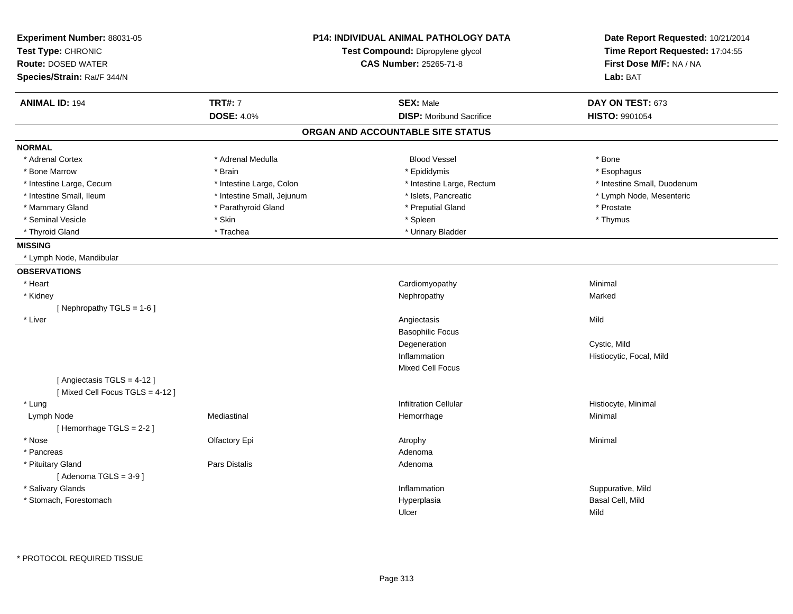| Experiment Number: 88031-05<br>Test Type: CHRONIC<br><b>Route: DOSED WATER</b> |                            | <b>P14: INDIVIDUAL ANIMAL PATHOLOGY DATA</b><br>Test Compound: Dipropylene glycol<br><b>CAS Number: 25265-71-8</b> | Date Report Requested: 10/21/2014<br>Time Report Requested: 17:04:55<br>First Dose M/F: NA / NA |
|--------------------------------------------------------------------------------|----------------------------|--------------------------------------------------------------------------------------------------------------------|-------------------------------------------------------------------------------------------------|
| Species/Strain: Rat/F 344/N                                                    |                            |                                                                                                                    | Lab: BAT                                                                                        |
| <b>ANIMAL ID: 194</b>                                                          | <b>TRT#: 7</b>             | <b>SEX: Male</b>                                                                                                   | DAY ON TEST: 673                                                                                |
|                                                                                | <b>DOSE: 4.0%</b>          | <b>DISP:</b> Moribund Sacrifice                                                                                    | HISTO: 9901054                                                                                  |
|                                                                                |                            | ORGAN AND ACCOUNTABLE SITE STATUS                                                                                  |                                                                                                 |
| <b>NORMAL</b>                                                                  |                            |                                                                                                                    |                                                                                                 |
| * Adrenal Cortex                                                               | * Adrenal Medulla          | <b>Blood Vessel</b>                                                                                                | * Bone                                                                                          |
| * Bone Marrow                                                                  | * Brain                    | * Epididymis                                                                                                       | * Esophagus                                                                                     |
| * Intestine Large, Cecum                                                       | * Intestine Large, Colon   | * Intestine Large, Rectum                                                                                          | * Intestine Small, Duodenum                                                                     |
| * Intestine Small, Ileum                                                       | * Intestine Small, Jejunum | * Islets, Pancreatic                                                                                               | * Lymph Node, Mesenteric                                                                        |
| * Mammary Gland                                                                | * Parathyroid Gland        | * Preputial Gland                                                                                                  | * Prostate                                                                                      |
| * Seminal Vesicle                                                              | * Skin                     | * Spleen                                                                                                           | * Thymus                                                                                        |
| * Thyroid Gland                                                                | * Trachea                  | * Urinary Bladder                                                                                                  |                                                                                                 |
| <b>MISSING</b>                                                                 |                            |                                                                                                                    |                                                                                                 |
| * Lymph Node, Mandibular                                                       |                            |                                                                                                                    |                                                                                                 |
| <b>OBSERVATIONS</b>                                                            |                            |                                                                                                                    |                                                                                                 |
| * Heart                                                                        |                            | Cardiomyopathy                                                                                                     | Minimal                                                                                         |
| * Kidney                                                                       |                            | Nephropathy                                                                                                        | Marked                                                                                          |
| [ Nephropathy TGLS = $1-6$ ]                                                   |                            |                                                                                                                    |                                                                                                 |
| * Liver                                                                        |                            | Angiectasis                                                                                                        | Mild                                                                                            |
|                                                                                |                            | <b>Basophilic Focus</b>                                                                                            |                                                                                                 |
|                                                                                |                            | Degeneration                                                                                                       | Cystic, Mild                                                                                    |
|                                                                                |                            | Inflammation                                                                                                       | Histiocytic, Focal, Mild                                                                        |
|                                                                                |                            | <b>Mixed Cell Focus</b>                                                                                            |                                                                                                 |
| [ Angiectasis TGLS = 4-12 ]                                                    |                            |                                                                                                                    |                                                                                                 |
| [Mixed Cell Focus TGLS = 4-12]                                                 |                            |                                                                                                                    |                                                                                                 |
| * Lung                                                                         |                            | <b>Infiltration Cellular</b>                                                                                       | Histiocyte, Minimal                                                                             |
| Lymph Node                                                                     | Mediastinal                | Hemorrhage                                                                                                         | Minimal                                                                                         |
| [Hemorrhage TGLS = 2-2]                                                        |                            |                                                                                                                    |                                                                                                 |
| * Nose                                                                         | Olfactory Epi              | Atrophy                                                                                                            | Minimal                                                                                         |
| * Pancreas                                                                     |                            | Adenoma                                                                                                            |                                                                                                 |
| * Pituitary Gland                                                              | Pars Distalis              | Adenoma                                                                                                            |                                                                                                 |
| [Adenoma TGLS = $3-9$ ]                                                        |                            |                                                                                                                    |                                                                                                 |
| * Salivary Glands                                                              |                            | Inflammation                                                                                                       | Suppurative, Mild                                                                               |
| * Stomach, Forestomach                                                         |                            | Hyperplasia                                                                                                        | Basal Cell, Mild                                                                                |
|                                                                                |                            | Ulcer                                                                                                              | Mild                                                                                            |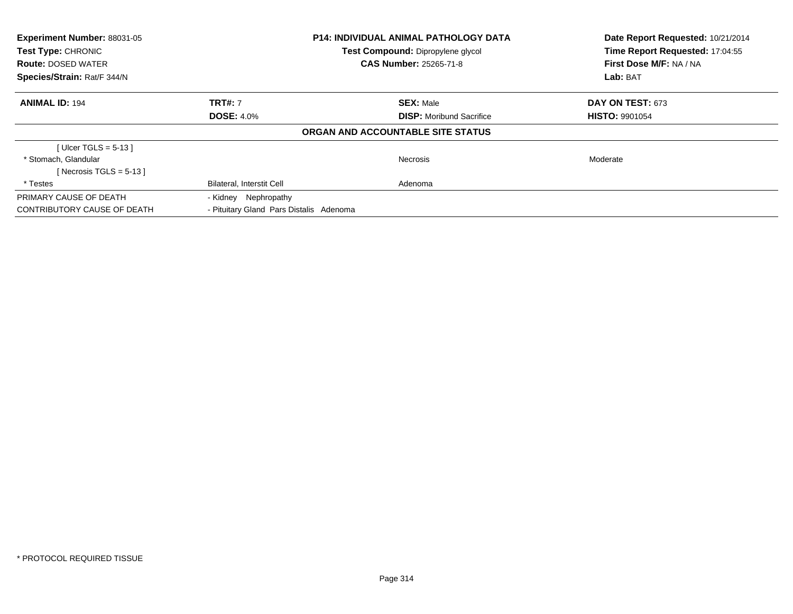| <b>Experiment Number: 88031-05</b><br><b>Test Type: CHRONIC</b><br><b>Route: DOSED WATER</b> |                                                      | <b>P14: INDIVIDUAL ANIMAL PATHOLOGY DATA</b><br>Test Compound: Dipropylene glycol<br><b>CAS Number: 25265-71-8</b> | Date Report Requested: 10/21/2014<br>Time Report Requested: 17:04:55<br>First Dose M/F: NA / NA |
|----------------------------------------------------------------------------------------------|------------------------------------------------------|--------------------------------------------------------------------------------------------------------------------|-------------------------------------------------------------------------------------------------|
| Species/Strain: Rat/F 344/N                                                                  |                                                      |                                                                                                                    | Lab: BAT                                                                                        |
| <b>ANIMAL ID: 194</b>                                                                        | <b>TRT#: 7</b>                                       | <b>SEX: Male</b>                                                                                                   | DAY ON TEST: 673                                                                                |
|                                                                                              | <b>DOSE: 4.0%</b><br><b>DISP:</b> Moribund Sacrifice |                                                                                                                    | <b>HISTO: 9901054</b>                                                                           |
|                                                                                              |                                                      | ORGAN AND ACCOUNTABLE SITE STATUS                                                                                  |                                                                                                 |
| [Ulcer TGLS = $5-13$ ]                                                                       |                                                      |                                                                                                                    |                                                                                                 |
| * Stomach, Glandular                                                                         |                                                      | <b>Necrosis</b>                                                                                                    | Moderate                                                                                        |
| [ Necrosis TGLS = $5-13$ ]                                                                   |                                                      |                                                                                                                    |                                                                                                 |
| * Testes                                                                                     | <b>Bilateral, Interstit Cell</b>                     | Adenoma                                                                                                            |                                                                                                 |
| PRIMARY CAUSE OF DEATH                                                                       | - Kidney Nephropathy                                 |                                                                                                                    |                                                                                                 |
| CONTRIBUTORY CAUSE OF DEATH                                                                  | - Pituitary Gland Pars Distalis Adenoma              |                                                                                                                    |                                                                                                 |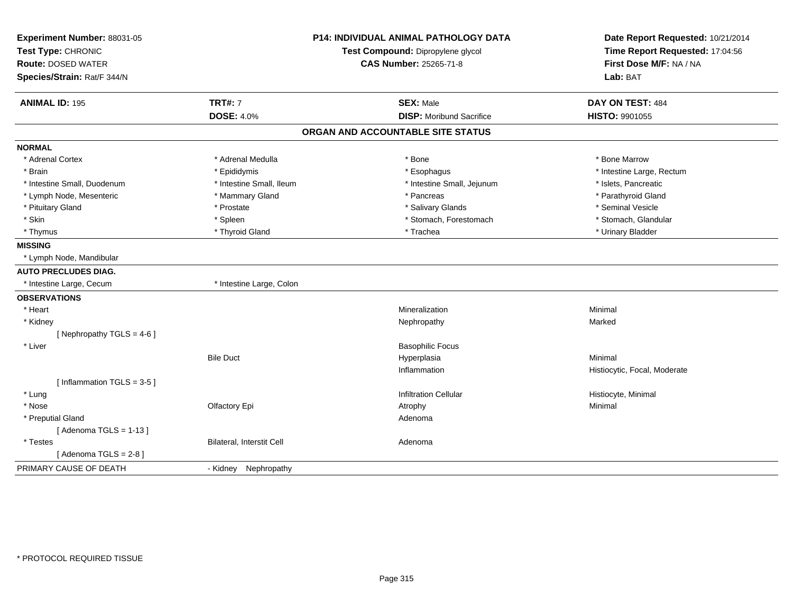| Experiment Number: 88031-05<br>Test Type: CHRONIC<br><b>Route: DOSED WATER</b><br>Species/Strain: Rat/F 344/N |                                     | <b>P14: INDIVIDUAL ANIMAL PATHOLOGY DATA</b><br>Test Compound: Dipropylene glycol<br>CAS Number: 25265-71-8 | Date Report Requested: 10/21/2014<br>Time Report Requested: 17:04:56<br>First Dose M/F: NA / NA<br>Lab: BAT |
|---------------------------------------------------------------------------------------------------------------|-------------------------------------|-------------------------------------------------------------------------------------------------------------|-------------------------------------------------------------------------------------------------------------|
|                                                                                                               |                                     |                                                                                                             |                                                                                                             |
| <b>ANIMAL ID: 195</b>                                                                                         | <b>TRT#: 7</b><br><b>DOSE: 4.0%</b> | <b>SEX: Male</b><br><b>DISP:</b> Moribund Sacrifice                                                         | DAY ON TEST: 484<br><b>HISTO: 9901055</b>                                                                   |
|                                                                                                               |                                     |                                                                                                             |                                                                                                             |
|                                                                                                               |                                     | ORGAN AND ACCOUNTABLE SITE STATUS                                                                           |                                                                                                             |
| <b>NORMAL</b>                                                                                                 |                                     |                                                                                                             |                                                                                                             |
| * Adrenal Cortex                                                                                              | * Adrenal Medulla                   | * Bone                                                                                                      | * Bone Marrow                                                                                               |
| * Brain                                                                                                       | * Epididymis                        | * Esophagus                                                                                                 | * Intestine Large, Rectum                                                                                   |
| * Intestine Small, Duodenum                                                                                   | * Intestine Small, Ileum            | * Intestine Small, Jejunum                                                                                  | * Islets, Pancreatic                                                                                        |
| * Lymph Node, Mesenteric                                                                                      | * Mammary Gland                     | * Pancreas                                                                                                  | * Parathyroid Gland                                                                                         |
| * Pituitary Gland                                                                                             | * Prostate                          | * Salivary Glands                                                                                           | * Seminal Vesicle                                                                                           |
| * Skin                                                                                                        | * Spleen                            | * Stomach, Forestomach                                                                                      | * Stomach, Glandular                                                                                        |
| * Thymus                                                                                                      | * Thyroid Gland                     | * Trachea                                                                                                   | * Urinary Bladder                                                                                           |
| <b>MISSING</b>                                                                                                |                                     |                                                                                                             |                                                                                                             |
| * Lymph Node, Mandibular                                                                                      |                                     |                                                                                                             |                                                                                                             |
| <b>AUTO PRECLUDES DIAG.</b>                                                                                   |                                     |                                                                                                             |                                                                                                             |
| * Intestine Large, Cecum                                                                                      | * Intestine Large, Colon            |                                                                                                             |                                                                                                             |
| <b>OBSERVATIONS</b>                                                                                           |                                     |                                                                                                             |                                                                                                             |
| * Heart                                                                                                       |                                     | Mineralization                                                                                              | Minimal                                                                                                     |
| * Kidney                                                                                                      |                                     | Nephropathy                                                                                                 | Marked                                                                                                      |
| [Nephropathy TGLS = $4-6$ ]                                                                                   |                                     |                                                                                                             |                                                                                                             |
| * Liver                                                                                                       |                                     | <b>Basophilic Focus</b>                                                                                     |                                                                                                             |
|                                                                                                               | <b>Bile Duct</b>                    | Hyperplasia                                                                                                 | Minimal                                                                                                     |
|                                                                                                               |                                     | Inflammation                                                                                                | Histiocytic, Focal, Moderate                                                                                |
| [Inflammation TGLS = $3-5$ ]                                                                                  |                                     |                                                                                                             |                                                                                                             |
| * Lung                                                                                                        |                                     | <b>Infiltration Cellular</b>                                                                                | Histiocyte, Minimal                                                                                         |
| * Nose                                                                                                        | Olfactory Epi                       | Atrophy                                                                                                     | Minimal                                                                                                     |
| * Preputial Gland                                                                                             |                                     | Adenoma                                                                                                     |                                                                                                             |
| [Adenoma TGLS = $1-13$ ]                                                                                      |                                     |                                                                                                             |                                                                                                             |
| * Testes                                                                                                      | Bilateral, Interstit Cell           | Adenoma                                                                                                     |                                                                                                             |
| [Adenoma TGLS = $2-8$ ]                                                                                       |                                     |                                                                                                             |                                                                                                             |
| PRIMARY CAUSE OF DEATH                                                                                        | - Kidney Nephropathy                |                                                                                                             |                                                                                                             |
|                                                                                                               |                                     |                                                                                                             |                                                                                                             |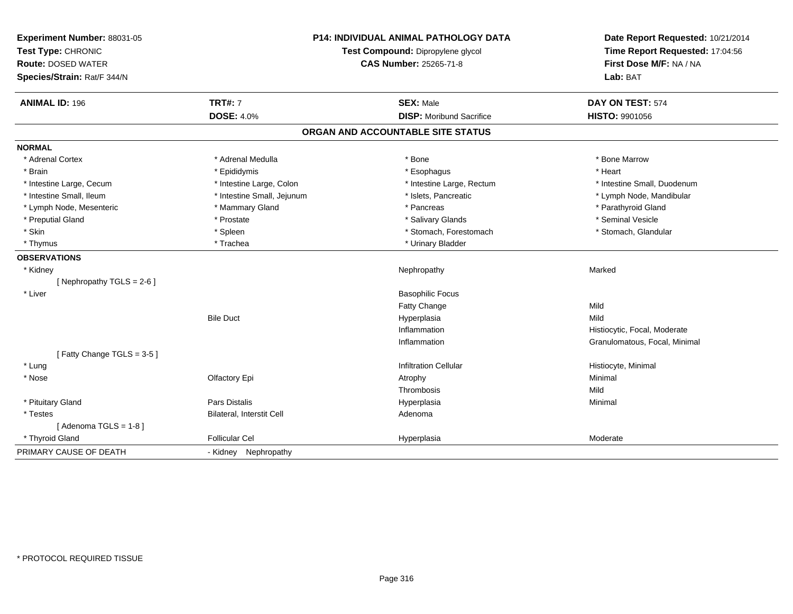| Experiment Number: 88031-05 | <b>P14: INDIVIDUAL ANIMAL PATHOLOGY DATA</b> |                                   | Date Report Requested: 10/21/2014                          |
|-----------------------------|----------------------------------------------|-----------------------------------|------------------------------------------------------------|
| Test Type: CHRONIC          |                                              | Test Compound: Dipropylene glycol | Time Report Requested: 17:04:56<br>First Dose M/F: NA / NA |
| <b>Route: DOSED WATER</b>   |                                              | <b>CAS Number: 25265-71-8</b>     |                                                            |
| Species/Strain: Rat/F 344/N |                                              |                                   | Lab: BAT                                                   |
| <b>ANIMAL ID: 196</b>       | <b>TRT#: 7</b>                               | <b>SEX: Male</b>                  | DAY ON TEST: 574                                           |
|                             | <b>DOSE: 4.0%</b>                            | <b>DISP:</b> Moribund Sacrifice   | HISTO: 9901056                                             |
|                             |                                              | ORGAN AND ACCOUNTABLE SITE STATUS |                                                            |
| <b>NORMAL</b>               |                                              |                                   |                                                            |
| * Adrenal Cortex            | * Adrenal Medulla                            | * Bone                            | * Bone Marrow                                              |
| * Brain                     | * Epididymis                                 | * Esophagus                       | * Heart                                                    |
| * Intestine Large, Cecum    | * Intestine Large, Colon                     | * Intestine Large, Rectum         | * Intestine Small, Duodenum                                |
| * Intestine Small, Ileum    | * Intestine Small, Jejunum                   | * Islets, Pancreatic              | * Lymph Node, Mandibular                                   |
| * Lymph Node, Mesenteric    | * Mammary Gland                              | * Pancreas                        | * Parathyroid Gland                                        |
| * Preputial Gland           | * Prostate                                   | * Salivary Glands                 | * Seminal Vesicle                                          |
| * Skin                      | * Spleen                                     | * Stomach, Forestomach            | * Stomach, Glandular                                       |
| * Thymus                    | * Trachea                                    | * Urinary Bladder                 |                                                            |
| <b>OBSERVATIONS</b>         |                                              |                                   |                                                            |
| * Kidney                    |                                              | Nephropathy                       | Marked                                                     |
| [Nephropathy TGLS = $2-6$ ] |                                              |                                   |                                                            |
| * Liver                     |                                              | <b>Basophilic Focus</b>           |                                                            |
|                             |                                              | Fatty Change                      | Mild                                                       |
|                             | <b>Bile Duct</b>                             | Hyperplasia                       | Mild                                                       |
|                             |                                              | Inflammation                      | Histiocytic, Focal, Moderate                               |
|                             |                                              | Inflammation                      | Granulomatous, Focal, Minimal                              |
| [Fatty Change TGLS = 3-5]   |                                              |                                   |                                                            |
| * Lung                      |                                              | <b>Infiltration Cellular</b>      | Histiocyte, Minimal                                        |
| * Nose                      | Olfactory Epi                                | Atrophy                           | Minimal                                                    |
|                             |                                              | Thrombosis                        | Mild                                                       |
| * Pituitary Gland           | <b>Pars Distalis</b>                         | Hyperplasia                       | Minimal                                                    |
| $*$ Testes                  | Bilateral, Interstit Cell                    | Adenoma                           |                                                            |
| [Adenoma TGLS = $1-8$ ]     |                                              |                                   |                                                            |
| * Thyroid Gland             | <b>Follicular Cel</b>                        | Hyperplasia                       | Moderate                                                   |
| PRIMARY CAUSE OF DEATH      | - Kidney Nephropathy                         |                                   |                                                            |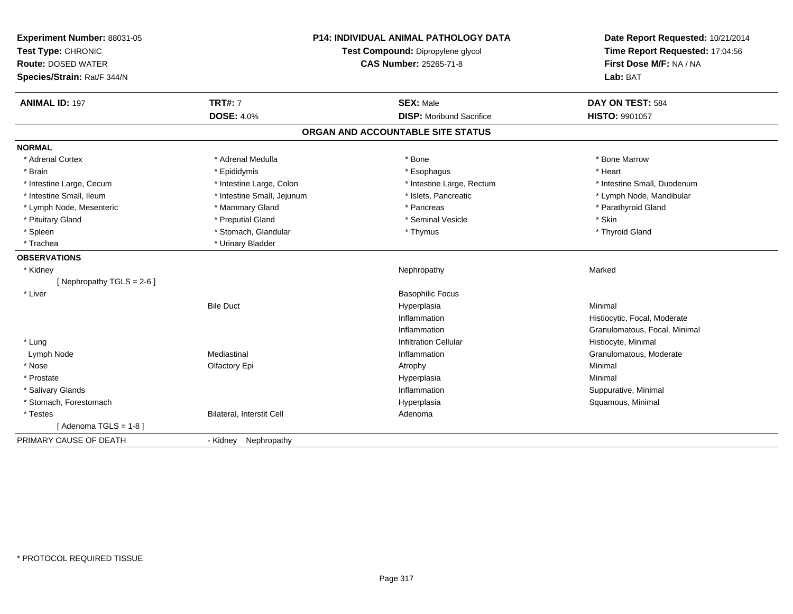| Experiment Number: 88031-05<br>Test Type: CHRONIC<br><b>Route: DOSED WATER</b> |                            | <b>P14: INDIVIDUAL ANIMAL PATHOLOGY DATA</b><br>Test Compound: Dipropylene glycol<br>CAS Number: 25265-71-8 | Date Report Requested: 10/21/2014<br>Time Report Requested: 17:04:56<br>First Dose M/F: NA / NA |
|--------------------------------------------------------------------------------|----------------------------|-------------------------------------------------------------------------------------------------------------|-------------------------------------------------------------------------------------------------|
| Species/Strain: Rat/F 344/N                                                    |                            |                                                                                                             | Lab: BAT                                                                                        |
| <b>ANIMAL ID: 197</b>                                                          | <b>TRT#: 7</b>             | <b>SEX: Male</b>                                                                                            | DAY ON TEST: 584                                                                                |
|                                                                                | <b>DOSE: 4.0%</b>          | <b>DISP: Moribund Sacrifice</b>                                                                             | <b>HISTO: 9901057</b>                                                                           |
|                                                                                |                            | ORGAN AND ACCOUNTABLE SITE STATUS                                                                           |                                                                                                 |
| <b>NORMAL</b>                                                                  |                            |                                                                                                             |                                                                                                 |
| * Adrenal Cortex                                                               | * Adrenal Medulla          | * Bone                                                                                                      | * Bone Marrow                                                                                   |
| * Brain                                                                        | * Epididymis               | * Esophagus                                                                                                 | * Heart                                                                                         |
| * Intestine Large, Cecum                                                       | * Intestine Large, Colon   | * Intestine Large, Rectum                                                                                   | * Intestine Small, Duodenum                                                                     |
| * Intestine Small, Ileum                                                       | * Intestine Small, Jejunum | * Islets, Pancreatic                                                                                        | * Lymph Node, Mandibular                                                                        |
| * Lymph Node, Mesenteric                                                       | * Mammary Gland            | * Pancreas                                                                                                  | * Parathyroid Gland                                                                             |
| * Pituitary Gland                                                              | * Preputial Gland          | * Seminal Vesicle                                                                                           | * Skin                                                                                          |
| * Spleen                                                                       | * Stomach, Glandular       | * Thymus                                                                                                    | * Thyroid Gland                                                                                 |
| * Trachea                                                                      | * Urinary Bladder          |                                                                                                             |                                                                                                 |
| <b>OBSERVATIONS</b>                                                            |                            |                                                                                                             |                                                                                                 |
| * Kidney                                                                       |                            | Nephropathy                                                                                                 | Marked                                                                                          |
| [Nephropathy TGLS = 2-6]                                                       |                            |                                                                                                             |                                                                                                 |
| * Liver                                                                        |                            | <b>Basophilic Focus</b>                                                                                     |                                                                                                 |
|                                                                                | <b>Bile Duct</b>           | Hyperplasia                                                                                                 | Minimal                                                                                         |
|                                                                                |                            | Inflammation                                                                                                | Histiocytic, Focal, Moderate                                                                    |
|                                                                                |                            | Inflammation                                                                                                | Granulomatous, Focal, Minimal                                                                   |
| * Lung                                                                         |                            | <b>Infiltration Cellular</b>                                                                                | Histiocyte, Minimal                                                                             |
| Lymph Node                                                                     | Mediastinal                | Inflammation                                                                                                | Granulomatous, Moderate                                                                         |
| * Nose                                                                         | Olfactory Epi              | Atrophy                                                                                                     | Minimal                                                                                         |
| * Prostate                                                                     |                            | Hyperplasia                                                                                                 | Minimal                                                                                         |
| * Salivary Glands                                                              |                            | Inflammation                                                                                                | Suppurative, Minimal                                                                            |
| * Stomach, Forestomach                                                         |                            | Hyperplasia                                                                                                 | Squamous, Minimal                                                                               |
| * Testes                                                                       | Bilateral, Interstit Cell  | Adenoma                                                                                                     |                                                                                                 |
| [Adenoma TGLS = $1-8$ ]                                                        |                            |                                                                                                             |                                                                                                 |
| PRIMARY CAUSE OF DEATH                                                         | - Kidney Nephropathy       |                                                                                                             |                                                                                                 |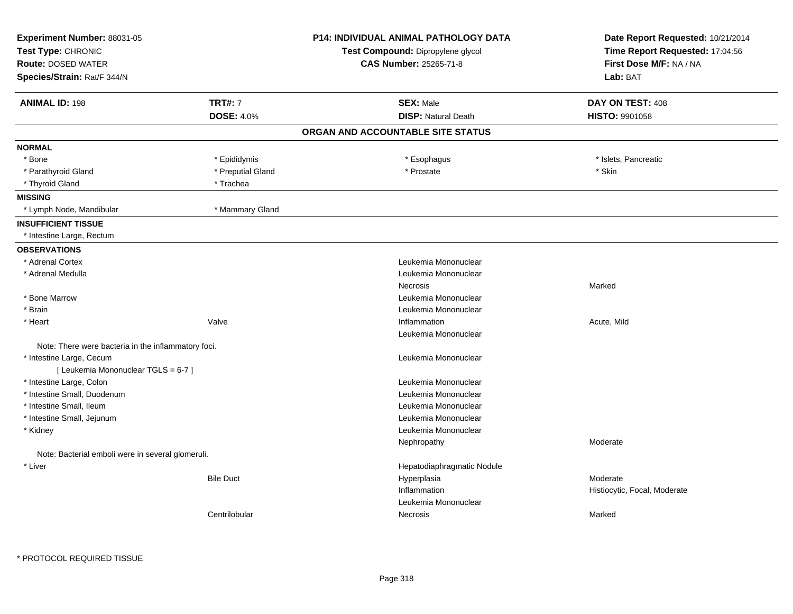| Experiment Number: 88031-05<br>Test Type: CHRONIC            |                   | <b>P14: INDIVIDUAL ANIMAL PATHOLOGY DATA</b><br>Test Compound: Dipropylene glycol | Date Report Requested: 10/21/2014<br>Time Report Requested: 17:04:56 |
|--------------------------------------------------------------|-------------------|-----------------------------------------------------------------------------------|----------------------------------------------------------------------|
| <b>Route: DOSED WATER</b>                                    |                   | <b>CAS Number: 25265-71-8</b>                                                     | First Dose M/F: NA / NA                                              |
| Species/Strain: Rat/F 344/N                                  |                   |                                                                                   | Lab: BAT                                                             |
| <b>ANIMAL ID: 198</b>                                        | <b>TRT#: 7</b>    | <b>SEX: Male</b>                                                                  | DAY ON TEST: 408                                                     |
|                                                              | <b>DOSE: 4.0%</b> | <b>DISP: Natural Death</b>                                                        | HISTO: 9901058                                                       |
|                                                              |                   | ORGAN AND ACCOUNTABLE SITE STATUS                                                 |                                                                      |
| <b>NORMAL</b>                                                |                   |                                                                                   |                                                                      |
| * Bone                                                       | * Epididymis      | * Esophagus                                                                       | * Islets, Pancreatic                                                 |
| * Parathyroid Gland                                          | * Preputial Gland | * Prostate                                                                        | * Skin                                                               |
| * Thyroid Gland                                              | * Trachea         |                                                                                   |                                                                      |
| <b>MISSING</b>                                               |                   |                                                                                   |                                                                      |
| * Lymph Node, Mandibular                                     | * Mammary Gland   |                                                                                   |                                                                      |
| <b>INSUFFICIENT TISSUE</b>                                   |                   |                                                                                   |                                                                      |
| * Intestine Large, Rectum                                    |                   |                                                                                   |                                                                      |
| <b>OBSERVATIONS</b>                                          |                   |                                                                                   |                                                                      |
| * Adrenal Cortex                                             |                   | Leukemia Mononuclear                                                              |                                                                      |
| * Adrenal Medulla                                            |                   | Leukemia Mononuclear                                                              |                                                                      |
|                                                              |                   | Necrosis                                                                          | Marked                                                               |
| * Bone Marrow                                                |                   | Leukemia Mononuclear                                                              |                                                                      |
| * Brain                                                      |                   | Leukemia Mononuclear                                                              |                                                                      |
| * Heart                                                      | Valve             | Inflammation                                                                      | Acute, Mild                                                          |
|                                                              |                   | Leukemia Mononuclear                                                              |                                                                      |
| Note: There were bacteria in the inflammatory foci.          |                   |                                                                                   |                                                                      |
| * Intestine Large, Cecum                                     |                   | Leukemia Mononuclear                                                              |                                                                      |
| [ Leukemia Mononuclear TGLS = 6-7 ]                          |                   |                                                                                   |                                                                      |
| * Intestine Large, Colon                                     |                   | Leukemia Mononuclear                                                              |                                                                      |
| * Intestine Small, Duodenum                                  |                   | Leukemia Mononuclear                                                              |                                                                      |
| * Intestine Small, Ileum                                     |                   | Leukemia Mononuclear                                                              |                                                                      |
| * Intestine Small, Jejunum                                   |                   | Leukemia Mononuclear                                                              |                                                                      |
| * Kidney                                                     |                   | Leukemia Mononuclear                                                              |                                                                      |
|                                                              |                   | Nephropathy                                                                       | Moderate                                                             |
| Note: Bacterial emboli were in several glomeruli.<br>* Liver |                   | Hepatodiaphragmatic Nodule                                                        |                                                                      |
|                                                              | <b>Bile Duct</b>  | Hyperplasia                                                                       | Moderate                                                             |
|                                                              |                   | Inflammation                                                                      | Histiocytic, Focal, Moderate                                         |
|                                                              |                   | Leukemia Mononuclear                                                              |                                                                      |
|                                                              | Centrilobular     | Necrosis                                                                          | Marked                                                               |
|                                                              |                   |                                                                                   |                                                                      |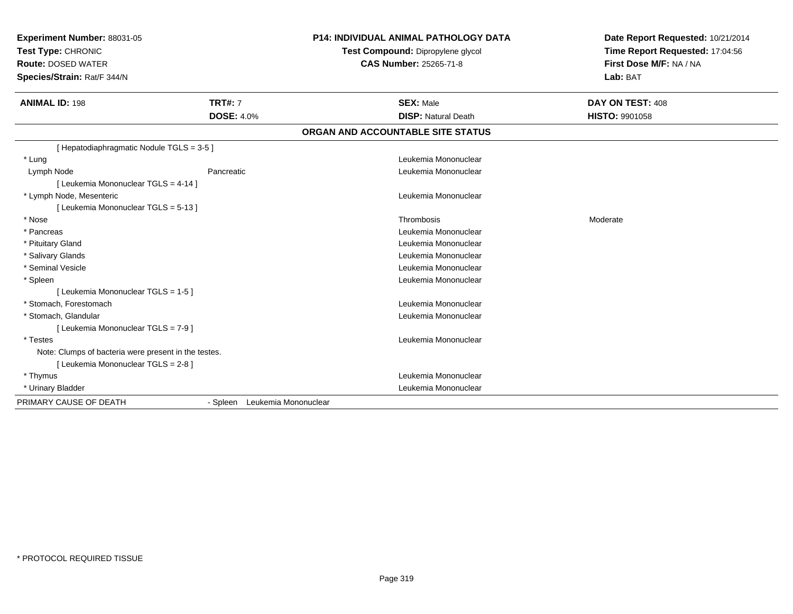| Experiment Number: 88031-05<br>Test Type: CHRONIC<br><b>Route: DOSED WATER</b><br>Species/Strain: Rat/F 344/N |                                     | <b>P14: INDIVIDUAL ANIMAL PATHOLOGY DATA</b><br>Test Compound: Dipropylene glycol<br><b>CAS Number: 25265-71-8</b> | Date Report Requested: 10/21/2014<br>Time Report Requested: 17:04:56<br>First Dose M/F: NA / NA<br>Lab: BAT |
|---------------------------------------------------------------------------------------------------------------|-------------------------------------|--------------------------------------------------------------------------------------------------------------------|-------------------------------------------------------------------------------------------------------------|
| <b>ANIMAL ID: 198</b>                                                                                         | <b>TRT#: 7</b><br><b>DOSE: 4.0%</b> | <b>SEX: Male</b><br><b>DISP: Natural Death</b>                                                                     | DAY ON TEST: 408<br>HISTO: 9901058                                                                          |
|                                                                                                               |                                     | ORGAN AND ACCOUNTABLE SITE STATUS                                                                                  |                                                                                                             |
|                                                                                                               |                                     |                                                                                                                    |                                                                                                             |
| [ Hepatodiaphragmatic Nodule TGLS = 3-5 ]                                                                     |                                     |                                                                                                                    |                                                                                                             |
| * Lung                                                                                                        |                                     | Leukemia Mononuclear                                                                                               |                                                                                                             |
| Lymph Node                                                                                                    | Pancreatic                          | Leukemia Mononuclear                                                                                               |                                                                                                             |
| [ Leukemia Mononuclear TGLS = 4-14 ]                                                                          |                                     |                                                                                                                    |                                                                                                             |
| * Lymph Node, Mesenteric                                                                                      |                                     | Leukemia Mononuclear                                                                                               |                                                                                                             |
| [ Leukemia Mononuclear TGLS = 5-13 ]                                                                          |                                     |                                                                                                                    |                                                                                                             |
| * Nose                                                                                                        |                                     | Thrombosis                                                                                                         | Moderate                                                                                                    |
| * Pancreas                                                                                                    |                                     | Leukemia Mononuclear                                                                                               |                                                                                                             |
| * Pituitary Gland                                                                                             |                                     | Leukemia Mononuclear                                                                                               |                                                                                                             |
| * Salivary Glands                                                                                             |                                     | Leukemia Mononuclear                                                                                               |                                                                                                             |
| * Seminal Vesicle                                                                                             |                                     | Leukemia Mononuclear                                                                                               |                                                                                                             |
| * Spleen                                                                                                      |                                     | Leukemia Mononuclear                                                                                               |                                                                                                             |
| [ Leukemia Mononuclear TGLS = 1-5 ]                                                                           |                                     |                                                                                                                    |                                                                                                             |
| * Stomach, Forestomach                                                                                        |                                     | Leukemia Mononuclear                                                                                               |                                                                                                             |
| * Stomach, Glandular                                                                                          |                                     | Leukemia Mononuclear                                                                                               |                                                                                                             |
| [ Leukemia Mononuclear TGLS = 7-9 ]                                                                           |                                     |                                                                                                                    |                                                                                                             |
| * Testes                                                                                                      |                                     | Leukemia Mononuclear                                                                                               |                                                                                                             |
| Note: Clumps of bacteria were present in the testes.                                                          |                                     |                                                                                                                    |                                                                                                             |
| [ Leukemia Mononuclear TGLS = 2-8 ]                                                                           |                                     |                                                                                                                    |                                                                                                             |
| * Thymus                                                                                                      |                                     | Leukemia Mononuclear                                                                                               |                                                                                                             |
| * Urinary Bladder                                                                                             |                                     | Leukemia Mononuclear                                                                                               |                                                                                                             |
| PRIMARY CAUSE OF DEATH                                                                                        | - Spleen Leukemia Mononuclear       |                                                                                                                    |                                                                                                             |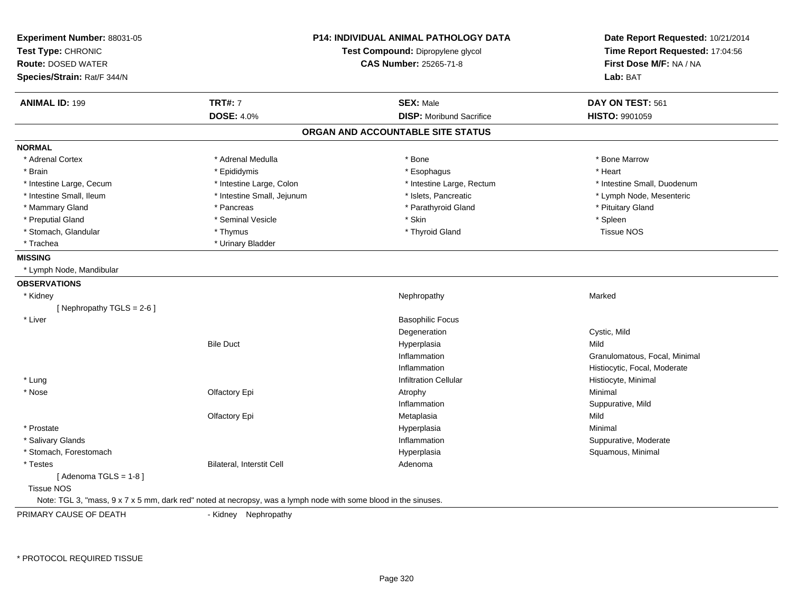| Experiment Number: 88031-05 |                                                                                                                 | <b>P14: INDIVIDUAL ANIMAL PATHOLOGY DATA</b> | Date Report Requested: 10/21/2014<br>Time Report Requested: 17:04:56 |
|-----------------------------|-----------------------------------------------------------------------------------------------------------------|----------------------------------------------|----------------------------------------------------------------------|
| Test Type: CHRONIC          |                                                                                                                 | Test Compound: Dipropylene glycol            |                                                                      |
| <b>Route: DOSED WATER</b>   |                                                                                                                 | CAS Number: 25265-71-8                       | First Dose M/F: NA / NA                                              |
| Species/Strain: Rat/F 344/N |                                                                                                                 |                                              | Lab: BAT                                                             |
| <b>ANIMAL ID: 199</b>       | <b>TRT#: 7</b>                                                                                                  | <b>SEX: Male</b>                             | DAY ON TEST: 561                                                     |
|                             | <b>DOSE: 4.0%</b>                                                                                               | <b>DISP:</b> Moribund Sacrifice              | HISTO: 9901059                                                       |
|                             |                                                                                                                 | ORGAN AND ACCOUNTABLE SITE STATUS            |                                                                      |
| <b>NORMAL</b>               |                                                                                                                 |                                              |                                                                      |
| * Adrenal Cortex            | * Adrenal Medulla                                                                                               | * Bone                                       | * Bone Marrow                                                        |
| * Brain                     | * Epididymis                                                                                                    | * Esophagus                                  | * Heart                                                              |
| * Intestine Large, Cecum    | * Intestine Large, Colon                                                                                        | * Intestine Large, Rectum                    | * Intestine Small, Duodenum                                          |
| * Intestine Small, Ileum    | * Intestine Small, Jejunum                                                                                      | * Islets, Pancreatic                         | * Lymph Node, Mesenteric                                             |
| * Mammary Gland             | * Pancreas                                                                                                      | * Parathyroid Gland                          | * Pituitary Gland                                                    |
| * Preputial Gland           | * Seminal Vesicle                                                                                               | * Skin                                       | * Spleen                                                             |
| * Stomach, Glandular        | * Thymus                                                                                                        | * Thyroid Gland                              | <b>Tissue NOS</b>                                                    |
| * Trachea                   | * Urinary Bladder                                                                                               |                                              |                                                                      |
| <b>MISSING</b>              |                                                                                                                 |                                              |                                                                      |
| * Lymph Node, Mandibular    |                                                                                                                 |                                              |                                                                      |
| <b>OBSERVATIONS</b>         |                                                                                                                 |                                              |                                                                      |
| * Kidney                    |                                                                                                                 | Nephropathy                                  | Marked                                                               |
| [Nephropathy TGLS = $2-6$ ] |                                                                                                                 |                                              |                                                                      |
| * Liver                     |                                                                                                                 | <b>Basophilic Focus</b>                      |                                                                      |
|                             |                                                                                                                 | Degeneration                                 | Cystic, Mild                                                         |
|                             | <b>Bile Duct</b>                                                                                                | Hyperplasia                                  | Mild                                                                 |
|                             |                                                                                                                 | Inflammation                                 | Granulomatous, Focal, Minimal                                        |
|                             |                                                                                                                 | Inflammation                                 | Histiocytic, Focal, Moderate                                         |
| * Lung                      |                                                                                                                 | <b>Infiltration Cellular</b>                 | Histiocyte, Minimal                                                  |
| * Nose                      | Olfactory Epi                                                                                                   | Atrophy                                      | Minimal                                                              |
|                             |                                                                                                                 | Inflammation                                 | Suppurative, Mild                                                    |
|                             | Olfactory Epi                                                                                                   | Metaplasia                                   | Mild                                                                 |
| * Prostate                  |                                                                                                                 | Hyperplasia                                  | Minimal                                                              |
| * Salivary Glands           |                                                                                                                 | Inflammation                                 | Suppurative, Moderate                                                |
| * Stomach, Forestomach      |                                                                                                                 | Hyperplasia                                  | Squamous, Minimal                                                    |
| * Testes                    | Bilateral, Interstit Cell                                                                                       | Adenoma                                      |                                                                      |
| [Adenoma TGLS = $1-8$ ]     |                                                                                                                 |                                              |                                                                      |
| <b>Tissue NOS</b>           |                                                                                                                 |                                              |                                                                      |
|                             | Note: TGL 3, "mass, 9 x 7 x 5 mm, dark red" noted at necropsy, was a lymph node with some blood in the sinuses. |                                              |                                                                      |
| PRIMARY CALISE OF DEATH     | - Kidney Nenhronathy                                                                                            |                                              |                                                                      |

PRIMARY CAUSE OF DEATH

- Kidney Nephropathy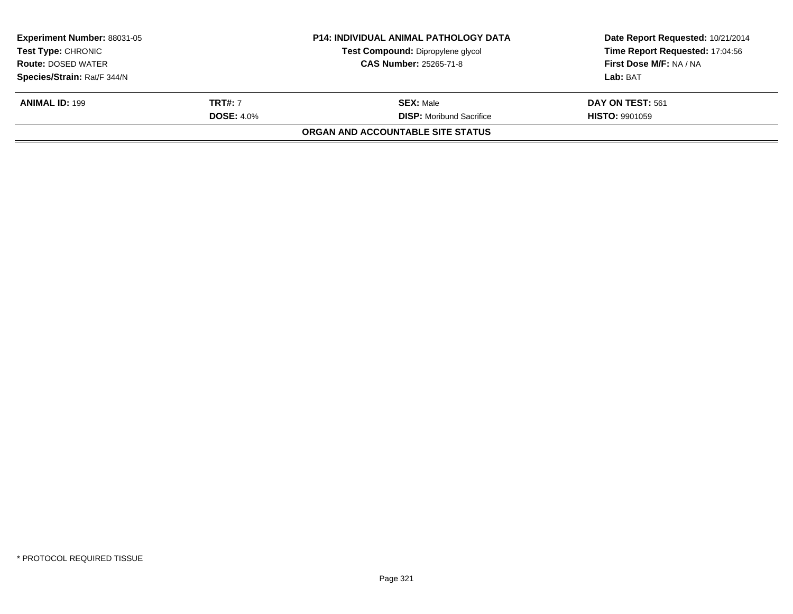| <b>Experiment Number: 88031-05</b> |                   | <b>P14: INDIVIDUAL ANIMAL PATHOLOGY DATA</b> | Date Report Requested: 10/21/2014 |  |
|------------------------------------|-------------------|----------------------------------------------|-----------------------------------|--|
| <b>Test Type: CHRONIC</b>          |                   | Test Compound: Dipropylene glycol            | Time Report Requested: 17:04:56   |  |
| <b>Route: DOSED WATER</b>          |                   | <b>CAS Number: 25265-71-8</b>                | First Dose M/F: NA / NA           |  |
| Species/Strain: Rat/F 344/N        |                   |                                              | Lab: BAT                          |  |
| <b>ANIMAL ID: 199</b>              | <b>TRT#:</b> 7    | <b>SEX:</b> Male                             | <b>DAY ON TEST: 561</b>           |  |
|                                    | <b>DOSE: 4.0%</b> | <b>DISP:</b> Moribund Sacrifice              | <b>HISTO: 9901059</b>             |  |
|                                    |                   | ORGAN AND ACCOUNTABLE SITE STATUS            |                                   |  |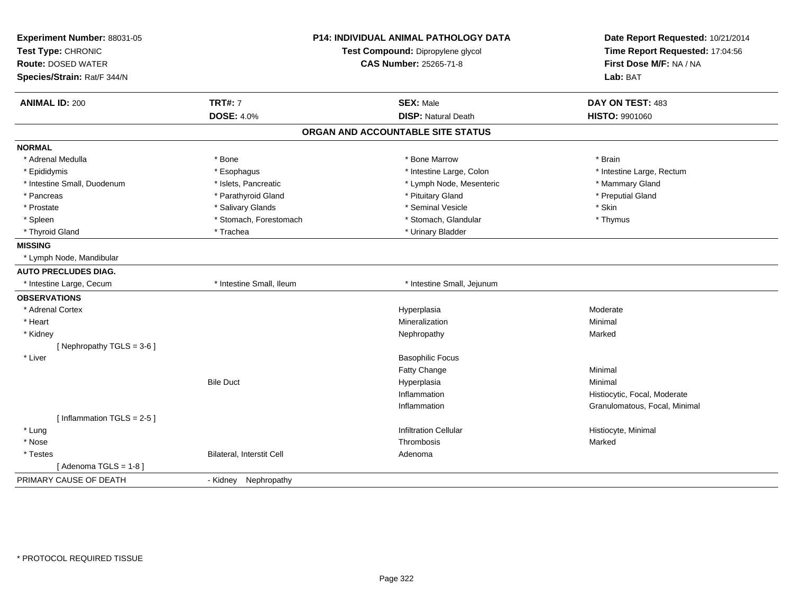| Experiment Number: 88031-05<br>Test Type: CHRONIC        |                           | P14: INDIVIDUAL ANIMAL PATHOLOGY DATA | Date Report Requested: 10/21/2014<br>Time Report Requested: 17:04:56 |
|----------------------------------------------------------|---------------------------|---------------------------------------|----------------------------------------------------------------------|
|                                                          |                           | Test Compound: Dipropylene glycol     | First Dose M/F: NA / NA                                              |
| <b>Route: DOSED WATER</b><br>Species/Strain: Rat/F 344/N |                           | <b>CAS Number: 25265-71-8</b>         | Lab: BAT                                                             |
|                                                          |                           |                                       |                                                                      |
| <b>ANIMAL ID: 200</b>                                    | <b>TRT#: 7</b>            | <b>SEX: Male</b>                      | DAY ON TEST: 483                                                     |
|                                                          | <b>DOSE: 4.0%</b>         | <b>DISP: Natural Death</b>            | <b>HISTO: 9901060</b>                                                |
|                                                          |                           | ORGAN AND ACCOUNTABLE SITE STATUS     |                                                                      |
| <b>NORMAL</b>                                            |                           |                                       |                                                                      |
| * Adrenal Medulla                                        | * Bone                    | * Bone Marrow                         | * Brain                                                              |
| * Epididymis                                             | * Esophagus               | * Intestine Large, Colon              | * Intestine Large, Rectum                                            |
| * Intestine Small, Duodenum                              | * Islets, Pancreatic      | * Lymph Node, Mesenteric              | * Mammary Gland                                                      |
| * Pancreas                                               | * Parathyroid Gland       | * Pituitary Gland                     | * Preputial Gland                                                    |
| * Prostate                                               | * Salivary Glands         | * Seminal Vesicle                     | * Skin                                                               |
| * Spleen                                                 | * Stomach, Forestomach    | * Stomach, Glandular                  | * Thymus                                                             |
| * Thyroid Gland                                          | * Trachea                 | * Urinary Bladder                     |                                                                      |
| <b>MISSING</b>                                           |                           |                                       |                                                                      |
| * Lymph Node, Mandibular                                 |                           |                                       |                                                                      |
| <b>AUTO PRECLUDES DIAG.</b>                              |                           |                                       |                                                                      |
| * Intestine Large, Cecum                                 | * Intestine Small, Ileum  | * Intestine Small, Jejunum            |                                                                      |
| <b>OBSERVATIONS</b>                                      |                           |                                       |                                                                      |
| * Adrenal Cortex                                         |                           | Hyperplasia                           | Moderate                                                             |
| * Heart                                                  |                           | Mineralization                        | Minimal                                                              |
| * Kidney                                                 |                           | Nephropathy                           | Marked                                                               |
| [Nephropathy TGLS = $3-6$ ]                              |                           |                                       |                                                                      |
| * Liver                                                  |                           | <b>Basophilic Focus</b>               |                                                                      |
|                                                          |                           | Fatty Change                          | Minimal                                                              |
|                                                          | <b>Bile Duct</b>          | Hyperplasia                           | Minimal                                                              |
|                                                          |                           | Inflammation                          | Histiocytic, Focal, Moderate                                         |
|                                                          |                           | Inflammation                          | Granulomatous, Focal, Minimal                                        |
| [Inflammation TGLS = $2-5$ ]                             |                           |                                       |                                                                      |
| * Lung                                                   |                           | <b>Infiltration Cellular</b>          | Histiocyte, Minimal                                                  |
| * Nose                                                   |                           | Thrombosis                            | Marked                                                               |
| * Testes                                                 | Bilateral, Interstit Cell | Adenoma                               |                                                                      |
| [Adenoma TGLS = $1-8$ ]                                  |                           |                                       |                                                                      |
| PRIMARY CAUSE OF DEATH                                   | - Kidney Nephropathy      |                                       |                                                                      |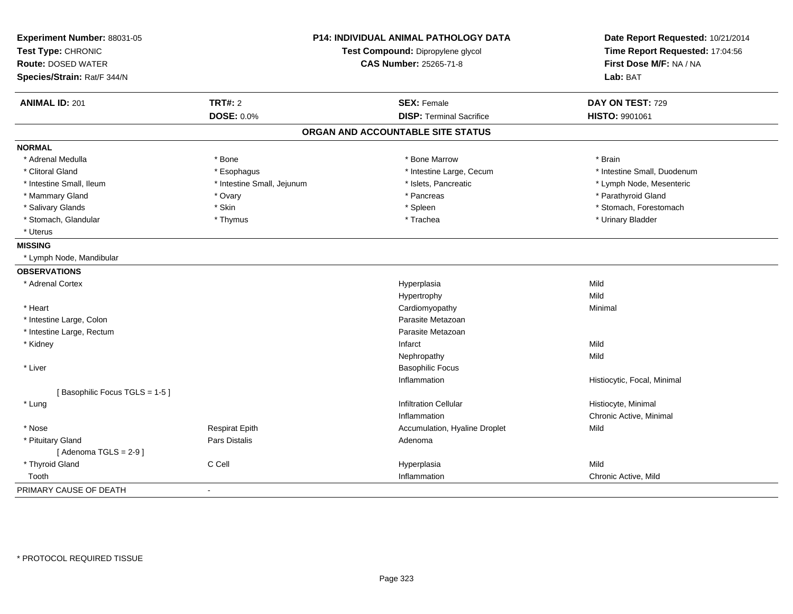| Experiment Number: 88031-05   | <b>P14: INDIVIDUAL ANIMAL PATHOLOGY DATA</b> |                                   | Date Report Requested: 10/21/2014 |
|-------------------------------|----------------------------------------------|-----------------------------------|-----------------------------------|
| Test Type: CHRONIC            |                                              | Test Compound: Dipropylene glycol | Time Report Requested: 17:04:56   |
| <b>Route: DOSED WATER</b>     |                                              | <b>CAS Number: 25265-71-8</b>     | First Dose M/F: NA / NA           |
| Species/Strain: Rat/F 344/N   |                                              |                                   | Lab: BAT                          |
| <b>ANIMAL ID: 201</b>         | <b>TRT#: 2</b>                               | <b>SEX: Female</b>                | DAY ON TEST: 729                  |
|                               | <b>DOSE: 0.0%</b>                            | <b>DISP: Terminal Sacrifice</b>   | HISTO: 9901061                    |
|                               |                                              | ORGAN AND ACCOUNTABLE SITE STATUS |                                   |
| <b>NORMAL</b>                 |                                              |                                   |                                   |
| * Adrenal Medulla             | * Bone                                       | * Bone Marrow                     | * Brain                           |
| * Clitoral Gland              | * Esophagus                                  | * Intestine Large, Cecum          | * Intestine Small, Duodenum       |
| * Intestine Small, Ileum      | * Intestine Small, Jejunum                   | * Islets, Pancreatic              | * Lymph Node, Mesenteric          |
| * Mammary Gland               | * Ovary                                      | * Pancreas                        | * Parathyroid Gland               |
| * Salivary Glands             | * Skin                                       | * Spleen                          | * Stomach, Forestomach            |
| * Stomach, Glandular          | * Thymus                                     | * Trachea                         | * Urinary Bladder                 |
| * Uterus                      |                                              |                                   |                                   |
| <b>MISSING</b>                |                                              |                                   |                                   |
| * Lymph Node, Mandibular      |                                              |                                   |                                   |
| <b>OBSERVATIONS</b>           |                                              |                                   |                                   |
| * Adrenal Cortex              |                                              | Hyperplasia                       | Mild                              |
|                               |                                              | Hypertrophy                       | Mild                              |
| * Heart                       |                                              | Cardiomyopathy                    | Minimal                           |
| * Intestine Large, Colon      |                                              | Parasite Metazoan                 |                                   |
| * Intestine Large, Rectum     |                                              | Parasite Metazoan                 |                                   |
| * Kidney                      |                                              | Infarct                           | Mild                              |
|                               |                                              | Nephropathy                       | Mild                              |
| * Liver                       |                                              | <b>Basophilic Focus</b>           |                                   |
|                               |                                              | Inflammation                      | Histiocytic, Focal, Minimal       |
| [Basophilic Focus TGLS = 1-5] |                                              |                                   |                                   |
| * Lung                        |                                              | <b>Infiltration Cellular</b>      | Histiocyte, Minimal               |
|                               |                                              | Inflammation                      | Chronic Active, Minimal           |
| * Nose                        | <b>Respirat Epith</b>                        | Accumulation, Hyaline Droplet     | Mild                              |
| * Pituitary Gland             | Pars Distalis                                | Adenoma                           |                                   |
| [Adenoma TGLS = $2-9$ ]       |                                              |                                   |                                   |
| * Thyroid Gland               | C Cell                                       | Hyperplasia                       | Mild                              |
| Tooth                         |                                              | Inflammation                      | Chronic Active, Mild              |
| PRIMARY CAUSE OF DEATH        | $\sim$                                       |                                   |                                   |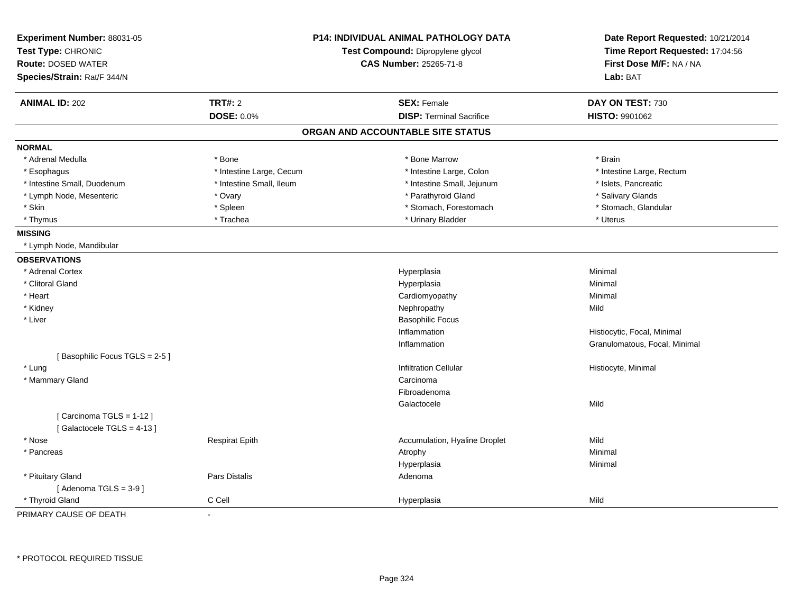| Experiment Number: 88031-05   |                          | P14: INDIVIDUAL ANIMAL PATHOLOGY DATA | Date Report Requested: 10/21/2014 |
|-------------------------------|--------------------------|---------------------------------------|-----------------------------------|
| Test Type: CHRONIC            |                          | Test Compound: Dipropylene glycol     | Time Report Requested: 17:04:56   |
| <b>Route: DOSED WATER</b>     |                          | <b>CAS Number: 25265-71-8</b>         | First Dose M/F: NA / NA           |
| Species/Strain: Rat/F 344/N   |                          |                                       | Lab: BAT                          |
| <b>ANIMAL ID: 202</b>         | <b>TRT#: 2</b>           | <b>SEX: Female</b>                    | DAY ON TEST: 730                  |
|                               | DOSE: 0.0%               | <b>DISP: Terminal Sacrifice</b>       | HISTO: 9901062                    |
|                               |                          | ORGAN AND ACCOUNTABLE SITE STATUS     |                                   |
| <b>NORMAL</b>                 |                          |                                       |                                   |
| * Adrenal Medulla             | * Bone                   | * Bone Marrow                         | * Brain                           |
| * Esophagus                   | * Intestine Large, Cecum | * Intestine Large, Colon              | * Intestine Large, Rectum         |
| * Intestine Small, Duodenum   | * Intestine Small, Ileum | * Intestine Small, Jejunum            | * Islets, Pancreatic              |
| * Lymph Node, Mesenteric      | * Ovary                  | * Parathyroid Gland                   | * Salivary Glands                 |
| * Skin                        | * Spleen                 | * Stomach, Forestomach                | * Stomach, Glandular              |
| * Thymus                      | * Trachea                | * Urinary Bladder                     | * Uterus                          |
| <b>MISSING</b>                |                          |                                       |                                   |
| * Lymph Node, Mandibular      |                          |                                       |                                   |
| <b>OBSERVATIONS</b>           |                          |                                       |                                   |
| * Adrenal Cortex              |                          | Hyperplasia                           | Minimal                           |
| * Clitoral Gland              |                          | Hyperplasia                           | Minimal                           |
| * Heart                       |                          | Cardiomyopathy                        | Minimal                           |
| * Kidney                      |                          | Nephropathy                           | Mild                              |
| * Liver                       |                          | <b>Basophilic Focus</b>               |                                   |
|                               |                          | Inflammation                          | Histiocytic, Focal, Minimal       |
|                               |                          | Inflammation                          | Granulomatous, Focal, Minimal     |
| [Basophilic Focus TGLS = 2-5] |                          |                                       |                                   |
| * Lung                        |                          | <b>Infiltration Cellular</b>          | Histiocyte, Minimal               |
| * Mammary Gland               |                          | Carcinoma                             |                                   |
|                               |                          | Fibroadenoma                          |                                   |
|                               |                          | Galactocele                           | Mild                              |
| [Carcinoma TGLS = 1-12]       |                          |                                       |                                   |
| [Galactocele TGLS = $4-13$ ]  |                          |                                       |                                   |
| * Nose                        | <b>Respirat Epith</b>    | Accumulation, Hyaline Droplet         | Mild                              |
| * Pancreas                    |                          | Atrophy                               | Minimal                           |
|                               |                          | Hyperplasia                           | Minimal                           |
| * Pituitary Gland             | <b>Pars Distalis</b>     | Adenoma                               |                                   |
| [Adenoma TGLS = $3-9$ ]       |                          |                                       |                                   |
| * Thyroid Gland               | C Cell                   | Hyperplasia                           | Mild                              |
| PRIMARY CAUSE OF DEATH        |                          |                                       |                                   |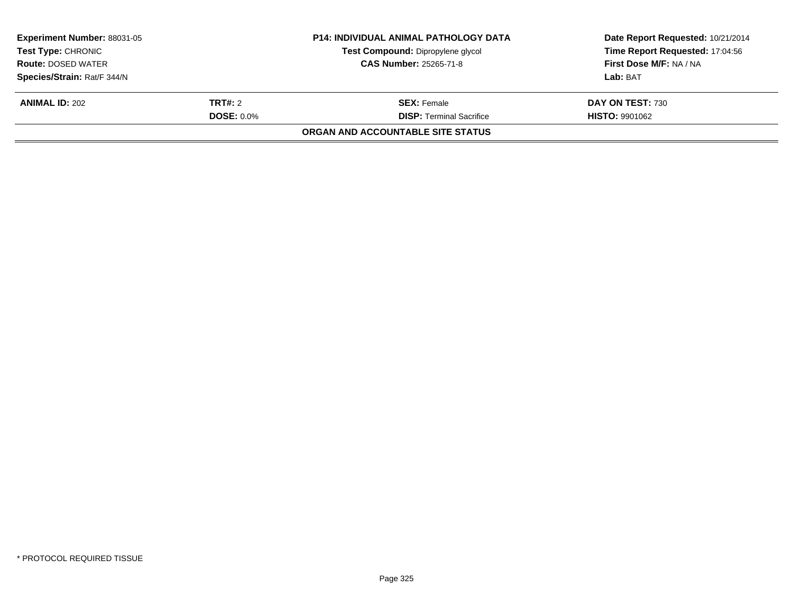| <b>P14: INDIVIDUAL ANIMAL PATHOLOGY DATA</b><br><b>Experiment Number: 88031-05</b><br>Test Compound: Dipropylene glycol<br><b>Test Type: CHRONIC</b><br><b>CAS Number: 25265-71-8</b><br><b>Route: DOSED WATER</b> |                   |                                          | Date Report Requested: 10/21/2014<br>Time Report Requested: 17:04:56 |  |
|--------------------------------------------------------------------------------------------------------------------------------------------------------------------------------------------------------------------|-------------------|------------------------------------------|----------------------------------------------------------------------|--|
|                                                                                                                                                                                                                    |                   | First Dose M/F: NA / NA                  |                                                                      |  |
| Species/Strain: Rat/F 344/N                                                                                                                                                                                        |                   |                                          | Lab: BAT                                                             |  |
| <b>ANIMAL ID: 202</b>                                                                                                                                                                                              | <b>TRT#:</b> 2    | <b>SEX: Female</b>                       | DAY ON TEST: 730                                                     |  |
|                                                                                                                                                                                                                    | <b>DOSE: 0.0%</b> | <b>DISP:</b> Terminal Sacrifice          | <b>HISTO: 9901062</b>                                                |  |
|                                                                                                                                                                                                                    |                   | <b>ORGAN AND ACCOUNTABLE SITE STATUS</b> |                                                                      |  |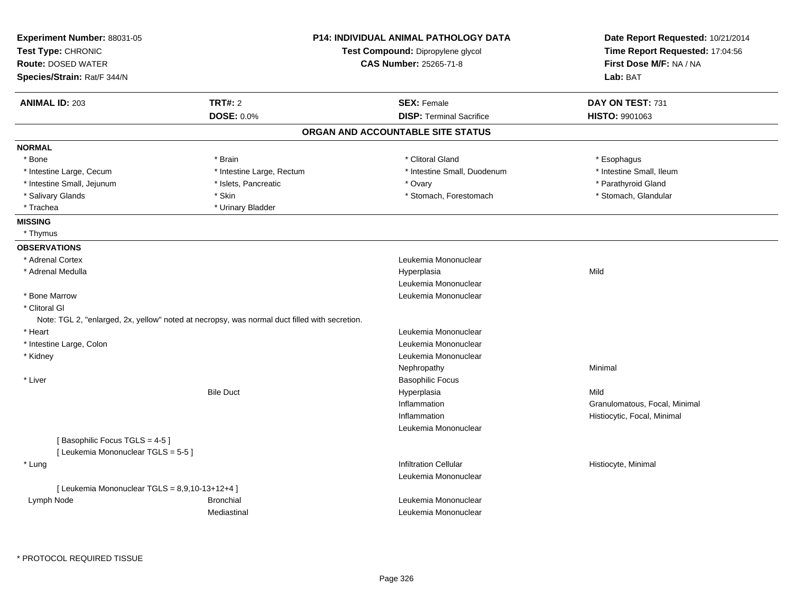| Experiment Number: 88031-05                      |                                                                                               | <b>P14: INDIVIDUAL ANIMAL PATHOLOGY DATA</b> | Date Report Requested: 10/21/2014 |
|--------------------------------------------------|-----------------------------------------------------------------------------------------------|----------------------------------------------|-----------------------------------|
| Test Type: CHRONIC                               |                                                                                               | Test Compound: Dipropylene glycol            | Time Report Requested: 17:04:56   |
| <b>Route: DOSED WATER</b>                        |                                                                                               | <b>CAS Number: 25265-71-8</b>                | First Dose M/F: NA / NA           |
| Species/Strain: Rat/F 344/N                      |                                                                                               |                                              | Lab: BAT                          |
| <b>ANIMAL ID: 203</b>                            | <b>TRT#: 2</b>                                                                                | <b>SEX: Female</b>                           | DAY ON TEST: 731                  |
|                                                  | <b>DOSE: 0.0%</b>                                                                             | <b>DISP: Terminal Sacrifice</b>              | <b>HISTO: 9901063</b>             |
|                                                  |                                                                                               | ORGAN AND ACCOUNTABLE SITE STATUS            |                                   |
| <b>NORMAL</b>                                    |                                                                                               |                                              |                                   |
| * Bone                                           | * Brain                                                                                       | * Clitoral Gland                             | * Esophagus                       |
| * Intestine Large, Cecum                         | * Intestine Large, Rectum                                                                     | * Intestine Small, Duodenum                  | * Intestine Small, Ileum          |
| * Intestine Small, Jejunum                       | * Islets, Pancreatic                                                                          | * Ovary                                      | * Parathyroid Gland               |
| * Salivary Glands                                | * Skin                                                                                        | * Stomach, Forestomach                       | * Stomach, Glandular              |
| * Trachea                                        | * Urinary Bladder                                                                             |                                              |                                   |
| <b>MISSING</b>                                   |                                                                                               |                                              |                                   |
| * Thymus                                         |                                                                                               |                                              |                                   |
| <b>OBSERVATIONS</b>                              |                                                                                               |                                              |                                   |
| * Adrenal Cortex                                 |                                                                                               | Leukemia Mononuclear                         |                                   |
| * Adrenal Medulla                                |                                                                                               | Hyperplasia                                  | Mild                              |
|                                                  |                                                                                               | Leukemia Mononuclear                         |                                   |
| * Bone Marrow                                    |                                                                                               | Leukemia Mononuclear                         |                                   |
| * Clitoral GI                                    |                                                                                               |                                              |                                   |
|                                                  | Note: TGL 2, "enlarged, 2x, yellow" noted at necropsy, was normal duct filled with secretion. |                                              |                                   |
| * Heart                                          |                                                                                               | Leukemia Mononuclear                         |                                   |
| * Intestine Large, Colon                         |                                                                                               | Leukemia Mononuclear                         |                                   |
| * Kidney                                         |                                                                                               | Leukemia Mononuclear                         |                                   |
|                                                  |                                                                                               | Nephropathy                                  | Minimal                           |
| * Liver                                          |                                                                                               | <b>Basophilic Focus</b>                      |                                   |
|                                                  | <b>Bile Duct</b>                                                                              | Hyperplasia                                  | Mild                              |
|                                                  |                                                                                               | Inflammation                                 | Granulomatous, Focal, Minimal     |
|                                                  |                                                                                               | Inflammation                                 | Histiocytic, Focal, Minimal       |
|                                                  |                                                                                               | Leukemia Mononuclear                         |                                   |
| [Basophilic Focus TGLS = 4-5]                    |                                                                                               |                                              |                                   |
| [ Leukemia Mononuclear TGLS = 5-5 ]              |                                                                                               |                                              |                                   |
| * Lung                                           |                                                                                               | <b>Infiltration Cellular</b>                 | Histiocyte, Minimal               |
|                                                  |                                                                                               | Leukemia Mononuclear                         |                                   |
| [ Leukemia Mononuclear TGLS = $8,9,10-13+12+4$ ] |                                                                                               |                                              |                                   |
| Lymph Node                                       | <b>Bronchial</b>                                                                              | Leukemia Mononuclear                         |                                   |
|                                                  | Mediastinal                                                                                   | Leukemia Mononuclear                         |                                   |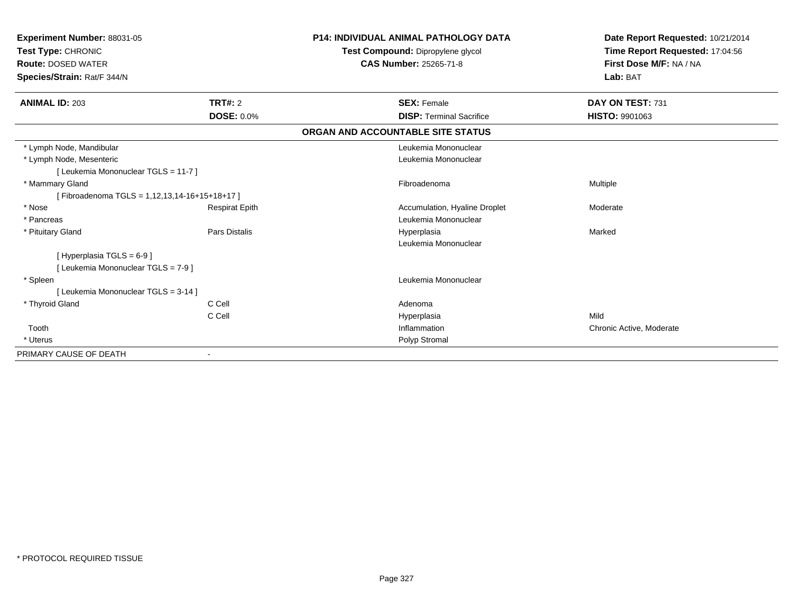| Experiment Number: 88031-05<br>Test Type: CHRONIC<br><b>Route: DOSED WATER</b><br>Species/Strain: Rat/F 344/N |                       | <b>P14: INDIVIDUAL ANIMAL PATHOLOGY DATA</b><br>Test Compound: Dipropylene glycol<br><b>CAS Number: 25265-71-8</b> | Date Report Requested: 10/21/2014<br>Time Report Requested: 17:04:56<br>First Dose M/F: NA / NA<br>Lab: BAT |
|---------------------------------------------------------------------------------------------------------------|-----------------------|--------------------------------------------------------------------------------------------------------------------|-------------------------------------------------------------------------------------------------------------|
| <b>ANIMAL ID: 203</b>                                                                                         | <b>TRT#: 2</b>        | <b>SEX: Female</b>                                                                                                 | DAY ON TEST: 731                                                                                            |
|                                                                                                               | <b>DOSE: 0.0%</b>     | <b>DISP: Terminal Sacrifice</b>                                                                                    | <b>HISTO: 9901063</b>                                                                                       |
|                                                                                                               |                       | ORGAN AND ACCOUNTABLE SITE STATUS                                                                                  |                                                                                                             |
| * Lymph Node, Mandibular                                                                                      |                       | Leukemia Mononuclear                                                                                               |                                                                                                             |
| * Lymph Node, Mesenteric                                                                                      |                       | Leukemia Mononuclear                                                                                               |                                                                                                             |
| [ Leukemia Mononuclear TGLS = 11-7 ]                                                                          |                       |                                                                                                                    |                                                                                                             |
| * Mammary Gland                                                                                               |                       | Fibroadenoma                                                                                                       | Multiple                                                                                                    |
| [Fibroadenoma TGLS = 1,12,13,14-16+15+18+17]                                                                  |                       |                                                                                                                    |                                                                                                             |
| * Nose                                                                                                        | <b>Respirat Epith</b> | Accumulation, Hyaline Droplet                                                                                      | Moderate                                                                                                    |
| * Pancreas                                                                                                    |                       | Leukemia Mononuclear                                                                                               |                                                                                                             |
| * Pituitary Gland                                                                                             | <b>Pars Distalis</b>  | Hyperplasia                                                                                                        | Marked                                                                                                      |
|                                                                                                               |                       | Leukemia Mononuclear                                                                                               |                                                                                                             |
| [Hyperplasia TGLS = $6-9$ ]                                                                                   |                       |                                                                                                                    |                                                                                                             |
| [ Leukemia Mononuclear TGLS = 7-9 ]                                                                           |                       |                                                                                                                    |                                                                                                             |
| * Spleen                                                                                                      |                       | Leukemia Mononuclear                                                                                               |                                                                                                             |
| [ Leukemia Mononuclear TGLS = 3-14 ]                                                                          |                       |                                                                                                                    |                                                                                                             |
| * Thyroid Gland                                                                                               | C Cell                | Adenoma                                                                                                            |                                                                                                             |
|                                                                                                               | C Cell                | Hyperplasia                                                                                                        | Mild                                                                                                        |
| Tooth                                                                                                         |                       | Inflammation                                                                                                       | Chronic Active, Moderate                                                                                    |
| * Uterus                                                                                                      |                       | Polyp Stromal                                                                                                      |                                                                                                             |
| PRIMARY CAUSE OF DEATH                                                                                        |                       |                                                                                                                    |                                                                                                             |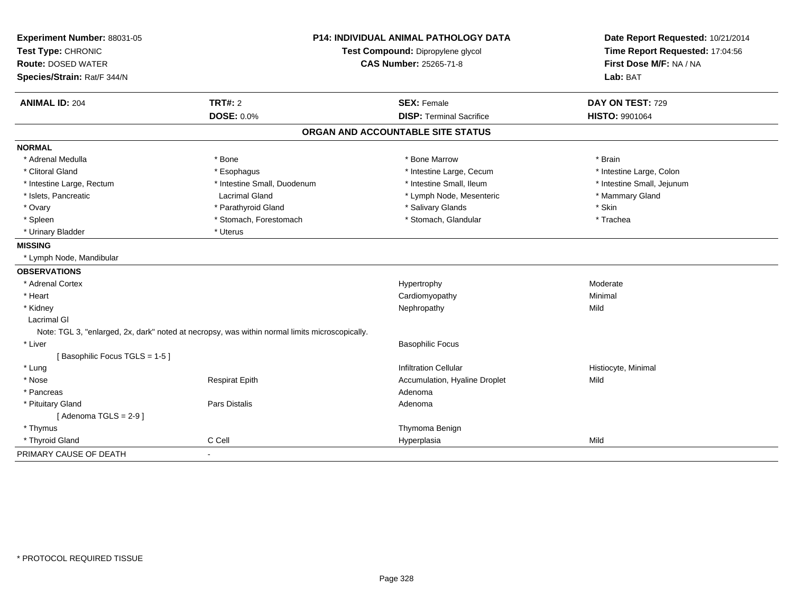| Experiment Number: 88031-05   | <b>P14: INDIVIDUAL ANIMAL PATHOLOGY DATA</b>                                                   |                                   | Date Report Requested: 10/21/2014 |
|-------------------------------|------------------------------------------------------------------------------------------------|-----------------------------------|-----------------------------------|
| Test Type: CHRONIC            |                                                                                                | Test Compound: Dipropylene glycol | Time Report Requested: 17:04:56   |
| <b>Route: DOSED WATER</b>     | <b>CAS Number: 25265-71-8</b>                                                                  |                                   | First Dose M/F: NA / NA           |
| Species/Strain: Rat/F 344/N   |                                                                                                |                                   | Lab: BAT                          |
| <b>ANIMAL ID: 204</b>         | <b>TRT#: 2</b>                                                                                 | <b>SEX: Female</b>                | DAY ON TEST: 729                  |
|                               | <b>DOSE: 0.0%</b>                                                                              | <b>DISP: Terminal Sacrifice</b>   | <b>HISTO: 9901064</b>             |
|                               |                                                                                                | ORGAN AND ACCOUNTABLE SITE STATUS |                                   |
| <b>NORMAL</b>                 |                                                                                                |                                   |                                   |
| * Adrenal Medulla             | * Bone                                                                                         | * Bone Marrow                     | * Brain                           |
| * Clitoral Gland              | * Esophagus                                                                                    | * Intestine Large, Cecum          | * Intestine Large, Colon          |
| * Intestine Large, Rectum     | * Intestine Small, Duodenum                                                                    | * Intestine Small, Ileum          | * Intestine Small, Jejunum        |
| * Islets, Pancreatic          | <b>Lacrimal Gland</b>                                                                          | * Lymph Node, Mesenteric          | * Mammary Gland                   |
| * Ovary                       | * Parathyroid Gland                                                                            | * Salivary Glands                 | * Skin                            |
| * Spleen                      | * Stomach, Forestomach                                                                         | * Stomach, Glandular              | * Trachea                         |
| * Urinary Bladder             | * Uterus                                                                                       |                                   |                                   |
| <b>MISSING</b>                |                                                                                                |                                   |                                   |
| * Lymph Node, Mandibular      |                                                                                                |                                   |                                   |
| <b>OBSERVATIONS</b>           |                                                                                                |                                   |                                   |
| * Adrenal Cortex              |                                                                                                | Hypertrophy                       | Moderate                          |
| * Heart                       |                                                                                                | Cardiomyopathy                    | Minimal                           |
| * Kidney                      |                                                                                                | Nephropathy                       | Mild                              |
| Lacrimal GI                   |                                                                                                |                                   |                                   |
|                               | Note: TGL 3, "enlarged, 2x, dark" noted at necropsy, was within normal limits microscopically. |                                   |                                   |
| * Liver                       |                                                                                                | <b>Basophilic Focus</b>           |                                   |
| [Basophilic Focus TGLS = 1-5] |                                                                                                |                                   |                                   |
| * Lung                        |                                                                                                | <b>Infiltration Cellular</b>      | Histiocyte, Minimal               |
| * Nose                        | <b>Respirat Epith</b>                                                                          | Accumulation, Hyaline Droplet     | Mild                              |
| * Pancreas                    |                                                                                                | Adenoma                           |                                   |
| * Pituitary Gland             | Pars Distalis                                                                                  | Adenoma                           |                                   |
| [Adenoma TGLS = $2-9$ ]       |                                                                                                |                                   |                                   |
| * Thymus                      |                                                                                                | Thymoma Benign                    |                                   |
| * Thyroid Gland               | C Cell                                                                                         | Hyperplasia                       | Mild                              |
| PRIMARY CAUSE OF DEATH        | $\blacksquare$                                                                                 |                                   |                                   |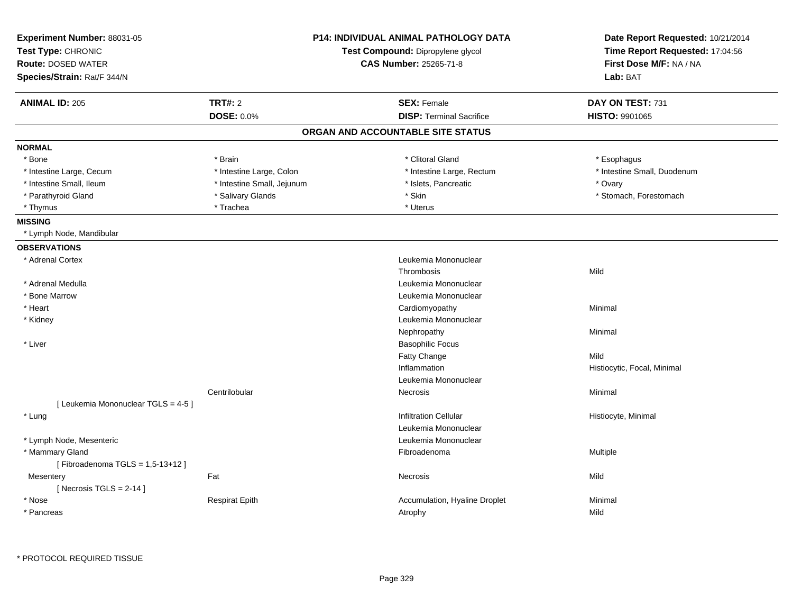| <b>TRT#: 2</b><br><b>ANIMAL ID: 205</b><br><b>SEX: Female</b><br>DAY ON TEST: 731<br>DOSE: 0.0%<br><b>DISP: Terminal Sacrifice</b><br>HISTO: 9901065<br>ORGAN AND ACCOUNTABLE SITE STATUS<br><b>NORMAL</b><br>* Bone<br>* Brain<br>* Clitoral Gland<br>* Esophagus<br>* Intestine Large, Colon<br>* Intestine Large, Rectum<br>* Intestine Small, Duodenum<br>* Intestine Large, Cecum<br>* Intestine Small, Ileum<br>* Intestine Small, Jejunum<br>* Islets, Pancreatic<br>* Ovary<br>* Skin<br>* Parathyroid Gland<br>* Salivary Glands<br>* Stomach, Forestomach<br>* Trachea<br>* Uterus<br>* Thymus<br><b>MISSING</b><br>* Lymph Node, Mandibular<br><b>OBSERVATIONS</b><br>* Adrenal Cortex<br>Leukemia Mononuclear<br>Thrombosis<br>Mild<br>* Adrenal Medulla<br>Leukemia Mononuclear<br>* Bone Marrow<br>Leukemia Mononuclear<br>* Heart<br>Cardiomyopathy<br>Minimal<br>* Kidney<br>Leukemia Mononuclear |  |
|-------------------------------------------------------------------------------------------------------------------------------------------------------------------------------------------------------------------------------------------------------------------------------------------------------------------------------------------------------------------------------------------------------------------------------------------------------------------------------------------------------------------------------------------------------------------------------------------------------------------------------------------------------------------------------------------------------------------------------------------------------------------------------------------------------------------------------------------------------------------------------------------------------------------|--|
|                                                                                                                                                                                                                                                                                                                                                                                                                                                                                                                                                                                                                                                                                                                                                                                                                                                                                                                   |  |
|                                                                                                                                                                                                                                                                                                                                                                                                                                                                                                                                                                                                                                                                                                                                                                                                                                                                                                                   |  |
|                                                                                                                                                                                                                                                                                                                                                                                                                                                                                                                                                                                                                                                                                                                                                                                                                                                                                                                   |  |
|                                                                                                                                                                                                                                                                                                                                                                                                                                                                                                                                                                                                                                                                                                                                                                                                                                                                                                                   |  |
|                                                                                                                                                                                                                                                                                                                                                                                                                                                                                                                                                                                                                                                                                                                                                                                                                                                                                                                   |  |
|                                                                                                                                                                                                                                                                                                                                                                                                                                                                                                                                                                                                                                                                                                                                                                                                                                                                                                                   |  |
|                                                                                                                                                                                                                                                                                                                                                                                                                                                                                                                                                                                                                                                                                                                                                                                                                                                                                                                   |  |
|                                                                                                                                                                                                                                                                                                                                                                                                                                                                                                                                                                                                                                                                                                                                                                                                                                                                                                                   |  |
|                                                                                                                                                                                                                                                                                                                                                                                                                                                                                                                                                                                                                                                                                                                                                                                                                                                                                                                   |  |
|                                                                                                                                                                                                                                                                                                                                                                                                                                                                                                                                                                                                                                                                                                                                                                                                                                                                                                                   |  |
|                                                                                                                                                                                                                                                                                                                                                                                                                                                                                                                                                                                                                                                                                                                                                                                                                                                                                                                   |  |
|                                                                                                                                                                                                                                                                                                                                                                                                                                                                                                                                                                                                                                                                                                                                                                                                                                                                                                                   |  |
|                                                                                                                                                                                                                                                                                                                                                                                                                                                                                                                                                                                                                                                                                                                                                                                                                                                                                                                   |  |
|                                                                                                                                                                                                                                                                                                                                                                                                                                                                                                                                                                                                                                                                                                                                                                                                                                                                                                                   |  |
|                                                                                                                                                                                                                                                                                                                                                                                                                                                                                                                                                                                                                                                                                                                                                                                                                                                                                                                   |  |
|                                                                                                                                                                                                                                                                                                                                                                                                                                                                                                                                                                                                                                                                                                                                                                                                                                                                                                                   |  |
|                                                                                                                                                                                                                                                                                                                                                                                                                                                                                                                                                                                                                                                                                                                                                                                                                                                                                                                   |  |
|                                                                                                                                                                                                                                                                                                                                                                                                                                                                                                                                                                                                                                                                                                                                                                                                                                                                                                                   |  |
| Nephropathy<br>Minimal                                                                                                                                                                                                                                                                                                                                                                                                                                                                                                                                                                                                                                                                                                                                                                                                                                                                                            |  |
| * Liver<br><b>Basophilic Focus</b>                                                                                                                                                                                                                                                                                                                                                                                                                                                                                                                                                                                                                                                                                                                                                                                                                                                                                |  |
| Fatty Change<br>Mild                                                                                                                                                                                                                                                                                                                                                                                                                                                                                                                                                                                                                                                                                                                                                                                                                                                                                              |  |
| Inflammation<br>Histiocytic, Focal, Minimal                                                                                                                                                                                                                                                                                                                                                                                                                                                                                                                                                                                                                                                                                                                                                                                                                                                                       |  |
| Leukemia Mononuclear                                                                                                                                                                                                                                                                                                                                                                                                                                                                                                                                                                                                                                                                                                                                                                                                                                                                                              |  |
| Centrilobular<br>Minimal<br>Necrosis                                                                                                                                                                                                                                                                                                                                                                                                                                                                                                                                                                                                                                                                                                                                                                                                                                                                              |  |
| [ Leukemia Mononuclear TGLS = 4-5 ]                                                                                                                                                                                                                                                                                                                                                                                                                                                                                                                                                                                                                                                                                                                                                                                                                                                                               |  |
| <b>Infiltration Cellular</b><br>* Lung<br>Histiocyte, Minimal                                                                                                                                                                                                                                                                                                                                                                                                                                                                                                                                                                                                                                                                                                                                                                                                                                                     |  |
| Leukemia Mononuclear                                                                                                                                                                                                                                                                                                                                                                                                                                                                                                                                                                                                                                                                                                                                                                                                                                                                                              |  |
| * Lymph Node, Mesenteric<br>Leukemia Mononuclear                                                                                                                                                                                                                                                                                                                                                                                                                                                                                                                                                                                                                                                                                                                                                                                                                                                                  |  |
| * Mammary Gland<br>Multiple<br>Fibroadenoma                                                                                                                                                                                                                                                                                                                                                                                                                                                                                                                                                                                                                                                                                                                                                                                                                                                                       |  |
| [Fibroadenoma TGLS = 1,5-13+12]                                                                                                                                                                                                                                                                                                                                                                                                                                                                                                                                                                                                                                                                                                                                                                                                                                                                                   |  |
| Fat<br>Mild<br>Mesentery<br>Necrosis                                                                                                                                                                                                                                                                                                                                                                                                                                                                                                                                                                                                                                                                                                                                                                                                                                                                              |  |
| [ Necrosis TGLS = $2-14$ ]                                                                                                                                                                                                                                                                                                                                                                                                                                                                                                                                                                                                                                                                                                                                                                                                                                                                                        |  |
| * Nose<br><b>Respirat Epith</b><br>Accumulation, Hyaline Droplet<br>Minimal                                                                                                                                                                                                                                                                                                                                                                                                                                                                                                                                                                                                                                                                                                                                                                                                                                       |  |
| Mild<br>* Pancreas<br>Atrophy                                                                                                                                                                                                                                                                                                                                                                                                                                                                                                                                                                                                                                                                                                                                                                                                                                                                                     |  |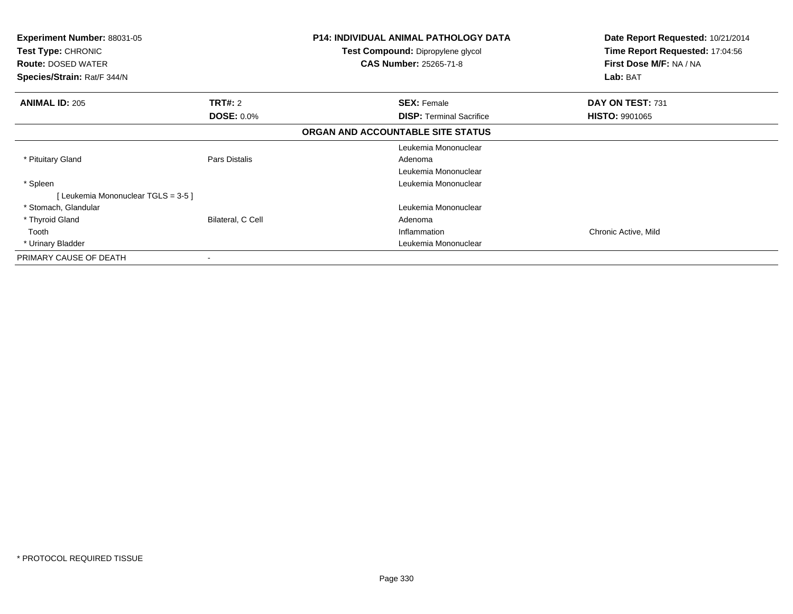| <b>Experiment Number: 88031-05</b><br><b>Test Type: CHRONIC</b><br><b>Route: DOSED WATER</b><br>Species/Strain: Rat/F 344/N |                   | <b>P14: INDIVIDUAL ANIMAL PATHOLOGY DATA</b><br>Test Compound: Dipropylene glycol<br><b>CAS Number: 25265-71-8</b> | Date Report Requested: 10/21/2014<br>Time Report Requested: 17:04:56<br>First Dose M/F: NA / NA<br>Lab: BAT |
|-----------------------------------------------------------------------------------------------------------------------------|-------------------|--------------------------------------------------------------------------------------------------------------------|-------------------------------------------------------------------------------------------------------------|
| <b>ANIMAL ID: 205</b>                                                                                                       | <b>TRT#: 2</b>    | <b>SEX: Female</b>                                                                                                 | DAY ON TEST: 731                                                                                            |
|                                                                                                                             | <b>DOSE: 0.0%</b> | <b>DISP:</b> Terminal Sacrifice                                                                                    | <b>HISTO: 9901065</b>                                                                                       |
|                                                                                                                             |                   | ORGAN AND ACCOUNTABLE SITE STATUS                                                                                  |                                                                                                             |
|                                                                                                                             |                   | Leukemia Mononuclear                                                                                               |                                                                                                             |
| * Pituitary Gland                                                                                                           | Pars Distalis     | Adenoma                                                                                                            |                                                                                                             |
|                                                                                                                             |                   | Leukemia Mononuclear                                                                                               |                                                                                                             |
| * Spleen                                                                                                                    |                   | Leukemia Mononuclear                                                                                               |                                                                                                             |
| [Leukemia Mononuclear TGLS = 3-5]                                                                                           |                   |                                                                                                                    |                                                                                                             |
| * Stomach, Glandular                                                                                                        |                   | Leukemia Mononuclear                                                                                               |                                                                                                             |
| * Thyroid Gland                                                                                                             | Bilateral, C Cell | Adenoma                                                                                                            |                                                                                                             |
| Tooth                                                                                                                       |                   | Inflammation                                                                                                       | Chronic Active, Mild                                                                                        |
| * Urinary Bladder                                                                                                           |                   | Leukemia Mononuclear                                                                                               |                                                                                                             |
| PRIMARY CAUSE OF DEATH                                                                                                      | ۰                 |                                                                                                                    |                                                                                                             |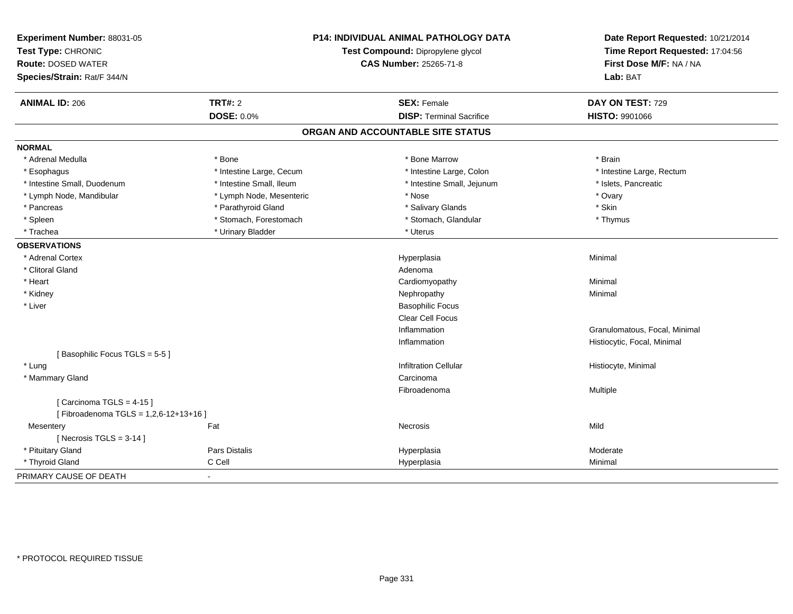| Experiment Number: 88031-05<br>Test Type: CHRONIC        |                               | P14: INDIVIDUAL ANIMAL PATHOLOGY DATA<br>Test Compound: Dipropylene glycol | Date Report Requested: 10/21/2014<br>Time Report Requested: 17:04:56 |
|----------------------------------------------------------|-------------------------------|----------------------------------------------------------------------------|----------------------------------------------------------------------|
| <b>Route: DOSED WATER</b><br>Species/Strain: Rat/F 344/N | <b>CAS Number: 25265-71-8</b> |                                                                            | First Dose M/F: NA / NA<br>Lab: BAT                                  |
|                                                          |                               |                                                                            |                                                                      |
| <b>ANIMAL ID: 206</b>                                    | <b>TRT#: 2</b>                | <b>SEX: Female</b>                                                         | DAY ON TEST: 729                                                     |
|                                                          | <b>DOSE: 0.0%</b>             | <b>DISP: Terminal Sacrifice</b>                                            | <b>HISTO: 9901066</b>                                                |
|                                                          |                               | ORGAN AND ACCOUNTABLE SITE STATUS                                          |                                                                      |
| <b>NORMAL</b>                                            |                               |                                                                            |                                                                      |
| * Adrenal Medulla                                        | * Bone                        | * Bone Marrow                                                              | * Brain                                                              |
| * Esophagus                                              | * Intestine Large, Cecum      | * Intestine Large, Colon                                                   | * Intestine Large, Rectum                                            |
| * Intestine Small, Duodenum                              | * Intestine Small, Ileum      | * Intestine Small, Jejunum                                                 | * Islets, Pancreatic                                                 |
| * Lymph Node, Mandibular                                 | * Lymph Node, Mesenteric      | * Nose                                                                     | * Ovary                                                              |
| * Pancreas                                               | * Parathyroid Gland           | * Salivary Glands                                                          | * Skin                                                               |
| * Spleen                                                 | * Stomach, Forestomach        | * Stomach, Glandular                                                       | * Thymus                                                             |
| * Trachea                                                | * Urinary Bladder             | * Uterus                                                                   |                                                                      |
| <b>OBSERVATIONS</b>                                      |                               |                                                                            |                                                                      |
| * Adrenal Cortex                                         |                               | Hyperplasia                                                                | Minimal                                                              |
| * Clitoral Gland                                         |                               | Adenoma                                                                    |                                                                      |
| * Heart                                                  |                               | Cardiomyopathy                                                             | Minimal                                                              |
| * Kidney                                                 |                               | Nephropathy                                                                | Minimal                                                              |
| * Liver                                                  |                               | <b>Basophilic Focus</b>                                                    |                                                                      |
|                                                          |                               | <b>Clear Cell Focus</b>                                                    |                                                                      |
|                                                          |                               | Inflammation                                                               | Granulomatous, Focal, Minimal                                        |
|                                                          |                               | Inflammation                                                               | Histiocytic, Focal, Minimal                                          |
| [Basophilic Focus TGLS = 5-5]                            |                               |                                                                            |                                                                      |
| * Lung                                                   |                               | <b>Infiltration Cellular</b>                                               | Histiocyte, Minimal                                                  |
| * Mammary Gland                                          |                               | Carcinoma                                                                  |                                                                      |
|                                                          |                               | Fibroadenoma                                                               | Multiple                                                             |
| [Carcinoma TGLS = $4-15$ ]                               |                               |                                                                            |                                                                      |
| [Fibroadenoma TGLS = 1,2,6-12+13+16]                     |                               |                                                                            |                                                                      |
| Mesentery                                                | Fat                           | Necrosis                                                                   | Mild                                                                 |
| [Necrosis $TGLS = 3-14$ ]                                |                               |                                                                            |                                                                      |
| * Pituitary Gland                                        | Pars Distalis                 | Hyperplasia                                                                | Moderate                                                             |
| * Thyroid Gland                                          | C Cell                        | Hyperplasia                                                                | Minimal                                                              |
| PRIMARY CAUSE OF DEATH                                   | $\blacksquare$                |                                                                            |                                                                      |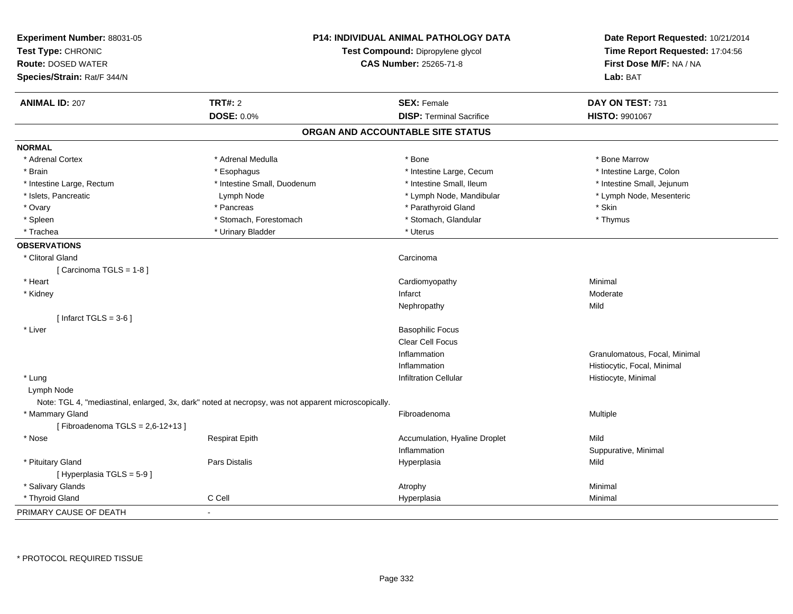| Experiment Number: 88031-05<br>Test Type: CHRONIC<br><b>Route: DOSED WATER</b><br>Species/Strain: Rat/F 344/N |                             | <b>P14: INDIVIDUAL ANIMAL PATHOLOGY DATA</b><br>Test Compound: Dipropylene glycol<br><b>CAS Number: 25265-71-8</b> | Date Report Requested: 10/21/2014<br>Time Report Requested: 17:04:56<br>First Dose M/F: NA / NA<br>Lab: BAT |
|---------------------------------------------------------------------------------------------------------------|-----------------------------|--------------------------------------------------------------------------------------------------------------------|-------------------------------------------------------------------------------------------------------------|
| <b>ANIMAL ID: 207</b>                                                                                         | <b>TRT#: 2</b>              | <b>SEX: Female</b>                                                                                                 | DAY ON TEST: 731                                                                                            |
|                                                                                                               | <b>DOSE: 0.0%</b>           | <b>DISP: Terminal Sacrifice</b>                                                                                    | HISTO: 9901067                                                                                              |
|                                                                                                               |                             | ORGAN AND ACCOUNTABLE SITE STATUS                                                                                  |                                                                                                             |
| <b>NORMAL</b>                                                                                                 |                             |                                                                                                                    |                                                                                                             |
| * Adrenal Cortex                                                                                              | * Adrenal Medulla           | $*$ Bone                                                                                                           | * Bone Marrow                                                                                               |
| * Brain                                                                                                       | * Esophagus                 | * Intestine Large, Cecum                                                                                           | * Intestine Large, Colon                                                                                    |
| * Intestine Large, Rectum                                                                                     | * Intestine Small, Duodenum | * Intestine Small, Ileum                                                                                           | * Intestine Small, Jejunum                                                                                  |
| * Islets, Pancreatic                                                                                          | Lymph Node                  | * Lymph Node, Mandibular                                                                                           | * Lymph Node, Mesenteric                                                                                    |
| * Ovary                                                                                                       | * Pancreas                  | * Parathyroid Gland                                                                                                | * Skin                                                                                                      |
| * Spleen                                                                                                      | * Stomach, Forestomach      | * Stomach, Glandular                                                                                               | * Thymus                                                                                                    |
| * Trachea                                                                                                     | * Urinary Bladder           | * Uterus                                                                                                           |                                                                                                             |
| <b>OBSERVATIONS</b>                                                                                           |                             |                                                                                                                    |                                                                                                             |
| * Clitoral Gland                                                                                              |                             | Carcinoma                                                                                                          |                                                                                                             |
| [Carcinoma TGLS = 1-8]                                                                                        |                             |                                                                                                                    |                                                                                                             |
| * Heart                                                                                                       |                             | Cardiomyopathy                                                                                                     | Minimal                                                                                                     |
| * Kidney                                                                                                      |                             | Infarct                                                                                                            | Moderate                                                                                                    |
|                                                                                                               |                             | Nephropathy                                                                                                        | Mild                                                                                                        |
| [Infarct TGLS = $3-6$ ]                                                                                       |                             |                                                                                                                    |                                                                                                             |
| * Liver                                                                                                       |                             | <b>Basophilic Focus</b>                                                                                            |                                                                                                             |
|                                                                                                               |                             | Clear Cell Focus                                                                                                   |                                                                                                             |
|                                                                                                               |                             | Inflammation                                                                                                       | Granulomatous, Focal, Minimal                                                                               |
|                                                                                                               |                             | Inflammation                                                                                                       | Histiocytic, Focal, Minimal                                                                                 |
| * Lung                                                                                                        |                             | <b>Infiltration Cellular</b>                                                                                       | Histiocyte, Minimal                                                                                         |
| Lymph Node                                                                                                    |                             |                                                                                                                    |                                                                                                             |
| Note: TGL 4, "mediastinal, enlarged, 3x, dark" noted at necropsy, was not apparent microscopically.           |                             |                                                                                                                    |                                                                                                             |
| * Mammary Gland                                                                                               |                             | Fibroadenoma                                                                                                       | Multiple                                                                                                    |
| [Fibroadenoma TGLS = $2,6-12+13$ ]                                                                            |                             |                                                                                                                    |                                                                                                             |
| * Nose                                                                                                        | <b>Respirat Epith</b>       | Accumulation, Hyaline Droplet                                                                                      | Mild                                                                                                        |
|                                                                                                               |                             | Inflammation                                                                                                       | Suppurative, Minimal                                                                                        |
| * Pituitary Gland                                                                                             | Pars Distalis               | Hyperplasia                                                                                                        | Mild                                                                                                        |
| [Hyperplasia TGLS = 5-9]                                                                                      |                             |                                                                                                                    |                                                                                                             |
| * Salivary Glands                                                                                             |                             | Atrophy                                                                                                            | Minimal                                                                                                     |
| * Thyroid Gland                                                                                               | C Cell                      | Hyperplasia                                                                                                        | Minimal                                                                                                     |
| PRIMARY CAUSE OF DEATH                                                                                        | $\blacksquare$              |                                                                                                                    |                                                                                                             |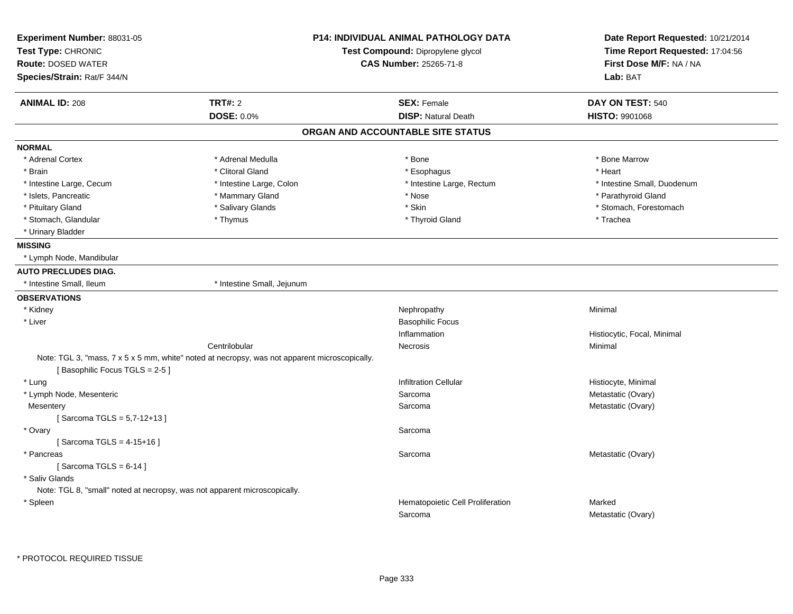| Experiment Number: 88031-05<br>Test Type: CHRONIC<br><b>Route: DOSED WATER</b><br>Species/Strain: Rat/F 344/N |                                                                                               | P14: INDIVIDUAL ANIMAL PATHOLOGY DATA<br>Test Compound: Dipropylene glycol<br><b>CAS Number: 25265-71-8</b> | Date Report Requested: 10/21/2014<br>Time Report Requested: 17:04:56<br>First Dose M/F: NA / NA<br>Lab: BAT |
|---------------------------------------------------------------------------------------------------------------|-----------------------------------------------------------------------------------------------|-------------------------------------------------------------------------------------------------------------|-------------------------------------------------------------------------------------------------------------|
|                                                                                                               |                                                                                               |                                                                                                             |                                                                                                             |
| <b>ANIMAL ID: 208</b>                                                                                         | <b>TRT#: 2</b>                                                                                | <b>SEX: Female</b>                                                                                          | DAY ON TEST: 540                                                                                            |
|                                                                                                               | <b>DOSE: 0.0%</b>                                                                             | <b>DISP: Natural Death</b>                                                                                  | <b>HISTO: 9901068</b>                                                                                       |
|                                                                                                               |                                                                                               | ORGAN AND ACCOUNTABLE SITE STATUS                                                                           |                                                                                                             |
| <b>NORMAL</b>                                                                                                 |                                                                                               |                                                                                                             |                                                                                                             |
| * Adrenal Cortex                                                                                              | * Adrenal Medulla                                                                             | * Bone                                                                                                      | * Bone Marrow                                                                                               |
| * Brain                                                                                                       | * Clitoral Gland                                                                              | * Esophagus                                                                                                 | * Heart                                                                                                     |
| * Intestine Large, Cecum                                                                                      | * Intestine Large, Colon                                                                      | * Intestine Large, Rectum                                                                                   | * Intestine Small, Duodenum                                                                                 |
| * Islets, Pancreatic                                                                                          | * Mammary Gland                                                                               | * Nose                                                                                                      | * Parathyroid Gland                                                                                         |
| * Pituitary Gland                                                                                             | * Salivary Glands                                                                             | * Skin                                                                                                      | * Stomach, Forestomach                                                                                      |
| * Stomach, Glandular                                                                                          | * Thymus                                                                                      | * Thyroid Gland                                                                                             | * Trachea                                                                                                   |
| * Urinary Bladder                                                                                             |                                                                                               |                                                                                                             |                                                                                                             |
| <b>MISSING</b>                                                                                                |                                                                                               |                                                                                                             |                                                                                                             |
| * Lymph Node, Mandibular                                                                                      |                                                                                               |                                                                                                             |                                                                                                             |
| <b>AUTO PRECLUDES DIAG.</b>                                                                                   |                                                                                               |                                                                                                             |                                                                                                             |
| * Intestine Small, Ileum                                                                                      | * Intestine Small, Jejunum                                                                    |                                                                                                             |                                                                                                             |
| <b>OBSERVATIONS</b>                                                                                           |                                                                                               |                                                                                                             |                                                                                                             |
| * Kidney                                                                                                      |                                                                                               | Nephropathy                                                                                                 | Minimal                                                                                                     |
| * Liver                                                                                                       |                                                                                               | <b>Basophilic Focus</b>                                                                                     |                                                                                                             |
|                                                                                                               |                                                                                               | Inflammation                                                                                                | Histiocytic, Focal, Minimal                                                                                 |
|                                                                                                               | Centrilobular                                                                                 | Necrosis                                                                                                    | Minimal                                                                                                     |
| [Basophilic Focus TGLS = 2-5]                                                                                 | Note: TGL 3, "mass, 7 x 5 x 5 mm, white" noted at necropsy, was not apparent microscopically. |                                                                                                             |                                                                                                             |
| * Lung                                                                                                        |                                                                                               | <b>Infiltration Cellular</b>                                                                                | Histiocyte, Minimal                                                                                         |
| * Lymph Node, Mesenteric                                                                                      |                                                                                               | Sarcoma                                                                                                     | Metastatic (Ovary)                                                                                          |
| Mesentery                                                                                                     |                                                                                               | Sarcoma                                                                                                     | Metastatic (Ovary)                                                                                          |
| [Sarcoma TGLS = 5,7-12+13]                                                                                    |                                                                                               |                                                                                                             |                                                                                                             |
| * Ovary                                                                                                       |                                                                                               | Sarcoma                                                                                                     |                                                                                                             |
| [Sarcoma TGLS = 4-15+16]                                                                                      |                                                                                               |                                                                                                             |                                                                                                             |
| * Pancreas                                                                                                    |                                                                                               | Sarcoma                                                                                                     | Metastatic (Ovary)                                                                                          |
| [Sarcoma TGLS = $6-14$ ]                                                                                      |                                                                                               |                                                                                                             |                                                                                                             |
| * Saliv Glands                                                                                                |                                                                                               |                                                                                                             |                                                                                                             |
| Note: TGL 8, "small" noted at necropsy, was not apparent microscopically.                                     |                                                                                               |                                                                                                             |                                                                                                             |
| * Spleen                                                                                                      |                                                                                               | Hematopoietic Cell Proliferation                                                                            | Marked                                                                                                      |
|                                                                                                               |                                                                                               | Sarcoma                                                                                                     | Metastatic (Ovary)                                                                                          |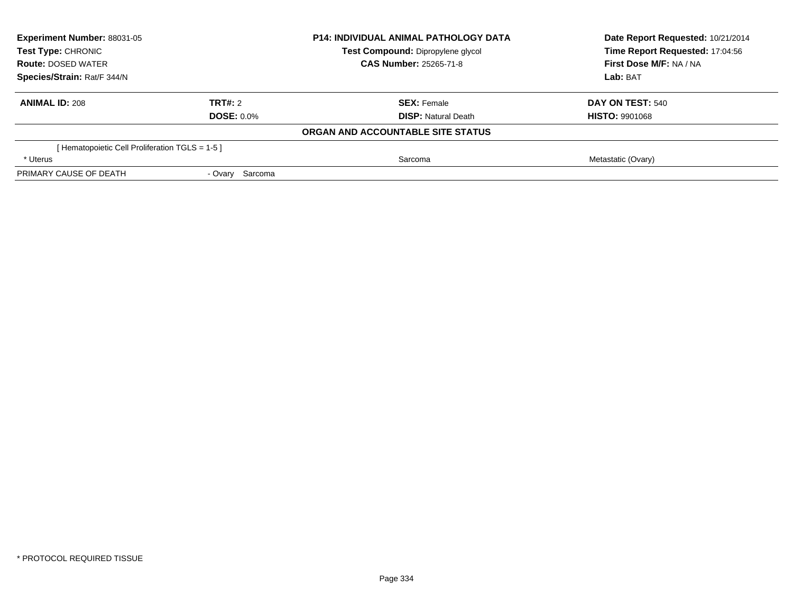| <b>Experiment Number: 88031-05</b><br>Test Type: CHRONIC<br><b>Route: DOSED WATER</b><br>Species/Strain: Rat/F 344/N |                   | <b>P14: INDIVIDUAL ANIMAL PATHOLOGY DATA</b> | Date Report Requested: 10/21/2014<br>Time Report Requested: 17:04:56 |
|----------------------------------------------------------------------------------------------------------------------|-------------------|----------------------------------------------|----------------------------------------------------------------------|
|                                                                                                                      |                   | Test Compound: Dipropylene glycol            |                                                                      |
|                                                                                                                      |                   | <b>CAS Number: 25265-71-8</b>                | First Dose M/F: NA / NA                                              |
|                                                                                                                      |                   |                                              | Lab: BAT                                                             |
| <b>ANIMAL ID: 208</b>                                                                                                | TRT#: 2           | <b>SEX: Female</b>                           | DAY ON TEST: 540                                                     |
|                                                                                                                      | <b>DOSE: 0.0%</b> | <b>DISP: Natural Death</b>                   | <b>HISTO: 9901068</b>                                                |
|                                                                                                                      |                   | ORGAN AND ACCOUNTABLE SITE STATUS            |                                                                      |
| [ Hematopoietic Cell Proliferation TGLS = 1-5 ]                                                                      |                   |                                              |                                                                      |
| * Uterus                                                                                                             |                   | Sarcoma                                      | Metastatic (Ovary)                                                   |
| PRIMARY CAUSE OF DEATH                                                                                               | - Ovary Sarcoma   |                                              |                                                                      |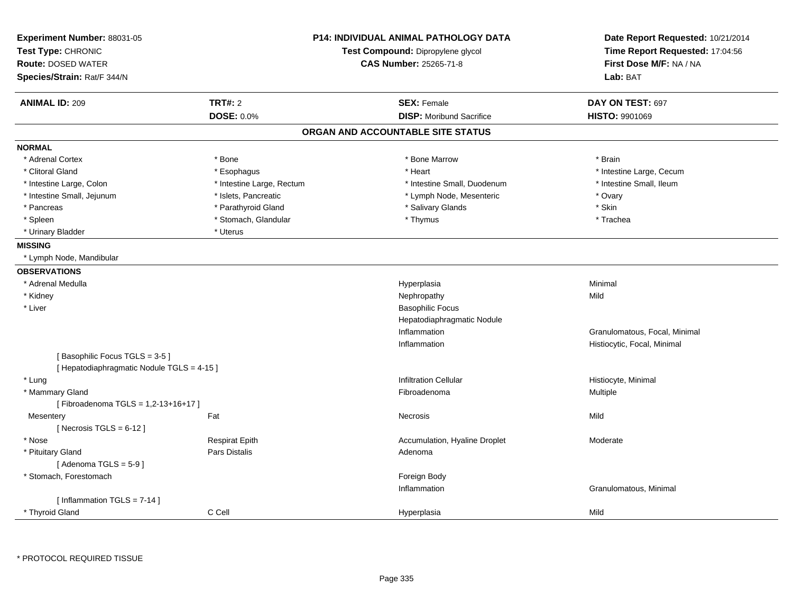| Experiment Number: 88031-05<br>Test Type: CHRONIC |                           | <b>P14: INDIVIDUAL ANIMAL PATHOLOGY DATA</b><br>Test Compound: Dipropylene glycol | Date Report Requested: 10/21/2014<br>Time Report Requested: 17:04:56 |
|---------------------------------------------------|---------------------------|-----------------------------------------------------------------------------------|----------------------------------------------------------------------|
| <b>Route: DOSED WATER</b>                         |                           | <b>CAS Number: 25265-71-8</b>                                                     | First Dose M/F: NA / NA<br>Lab: BAT                                  |
| Species/Strain: Rat/F 344/N                       |                           |                                                                                   |                                                                      |
| <b>ANIMAL ID: 209</b>                             | <b>TRT#: 2</b>            | <b>SEX: Female</b>                                                                | DAY ON TEST: 697                                                     |
|                                                   | <b>DOSE: 0.0%</b>         | <b>DISP:</b> Moribund Sacrifice                                                   | <b>HISTO: 9901069</b>                                                |
|                                                   |                           | ORGAN AND ACCOUNTABLE SITE STATUS                                                 |                                                                      |
| <b>NORMAL</b>                                     |                           |                                                                                   |                                                                      |
| * Adrenal Cortex                                  | * Bone                    | * Bone Marrow                                                                     | * Brain                                                              |
| * Clitoral Gland                                  | * Esophagus               | * Heart                                                                           | * Intestine Large, Cecum                                             |
| * Intestine Large, Colon                          | * Intestine Large, Rectum | * Intestine Small, Duodenum                                                       | * Intestine Small, Ileum                                             |
| * Intestine Small, Jejunum                        | * Islets, Pancreatic      | * Lymph Node, Mesenteric                                                          | * Ovary                                                              |
| * Pancreas                                        | * Parathyroid Gland       | * Salivary Glands                                                                 | * Skin                                                               |
| * Spleen                                          | * Stomach, Glandular      | * Thymus                                                                          | * Trachea                                                            |
| * Urinary Bladder                                 | * Uterus                  |                                                                                   |                                                                      |
| <b>MISSING</b>                                    |                           |                                                                                   |                                                                      |
| * Lymph Node, Mandibular                          |                           |                                                                                   |                                                                      |
| <b>OBSERVATIONS</b>                               |                           |                                                                                   |                                                                      |
| * Adrenal Medulla                                 |                           | Hyperplasia                                                                       | Minimal                                                              |
| * Kidney                                          |                           | Nephropathy                                                                       | Mild                                                                 |
| * Liver                                           |                           | <b>Basophilic Focus</b>                                                           |                                                                      |
|                                                   |                           | Hepatodiaphragmatic Nodule                                                        |                                                                      |
|                                                   |                           | Inflammation                                                                      | Granulomatous, Focal, Minimal                                        |
|                                                   |                           | Inflammation                                                                      | Histiocytic, Focal, Minimal                                          |
| [Basophilic Focus TGLS = 3-5]                     |                           |                                                                                   |                                                                      |
| [ Hepatodiaphragmatic Nodule TGLS = 4-15 ]        |                           |                                                                                   |                                                                      |
| * Lung                                            |                           | <b>Infiltration Cellular</b>                                                      | Histiocyte, Minimal                                                  |
| * Mammary Gland                                   |                           | Fibroadenoma                                                                      | Multiple                                                             |
| [Fibroadenoma TGLS = 1,2-13+16+17]                |                           |                                                                                   |                                                                      |
| Mesentery                                         | Fat                       | Necrosis                                                                          | Mild                                                                 |
| [ Necrosis TGLS = $6-12$ ]                        |                           |                                                                                   |                                                                      |
| * Nose                                            | <b>Respirat Epith</b>     | Accumulation, Hyaline Droplet                                                     | Moderate                                                             |
| * Pituitary Gland                                 | <b>Pars Distalis</b>      | Adenoma                                                                           |                                                                      |
| [Adenoma TGLS = $5-9$ ]                           |                           |                                                                                   |                                                                      |
| * Stomach, Forestomach                            |                           | Foreign Body                                                                      |                                                                      |
|                                                   |                           | Inflammation                                                                      | Granulomatous, Minimal                                               |
| [ Inflammation TGLS = $7-14$ ]<br>* Thyroid Gland | C Cell                    | Hyperplasia                                                                       | Mild                                                                 |
|                                                   |                           |                                                                                   |                                                                      |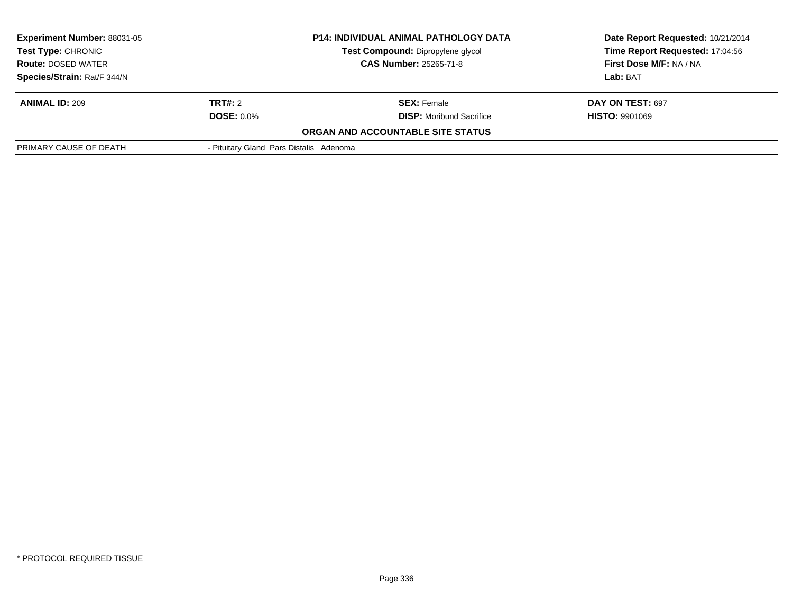|                                                                                           | <b>P14: INDIVIDUAL ANIMAL PATHOLOGY DATA</b> | Date Report Requested: 10/21/2014<br>Time Report Requested: 17:04:56 |
|-------------------------------------------------------------------------------------------|----------------------------------------------|----------------------------------------------------------------------|
|                                                                                           | Test Compound: Dipropylene glycol            |                                                                      |
| <b>CAS Number: 25265-71-8</b><br><b>Route: DOSED WATER</b><br>Species/Strain: Rat/F 344/N |                                              | First Dose M/F: NA / NA                                              |
|                                                                                           |                                              | <b>Lab: BAT</b>                                                      |
| TRT#: 2                                                                                   | <b>SEX:</b> Female                           | DAY ON TEST: 697                                                     |
| <b>DOSE: 0.0%</b>                                                                         | <b>DISP:</b> Moribund Sacrifice              | <b>HISTO: 9901069</b>                                                |
|                                                                                           | ORGAN AND ACCOUNTABLE SITE STATUS            |                                                                      |
|                                                                                           |                                              |                                                                      |
|                                                                                           |                                              | - Pituitary Gland Pars Distalis Adenoma                              |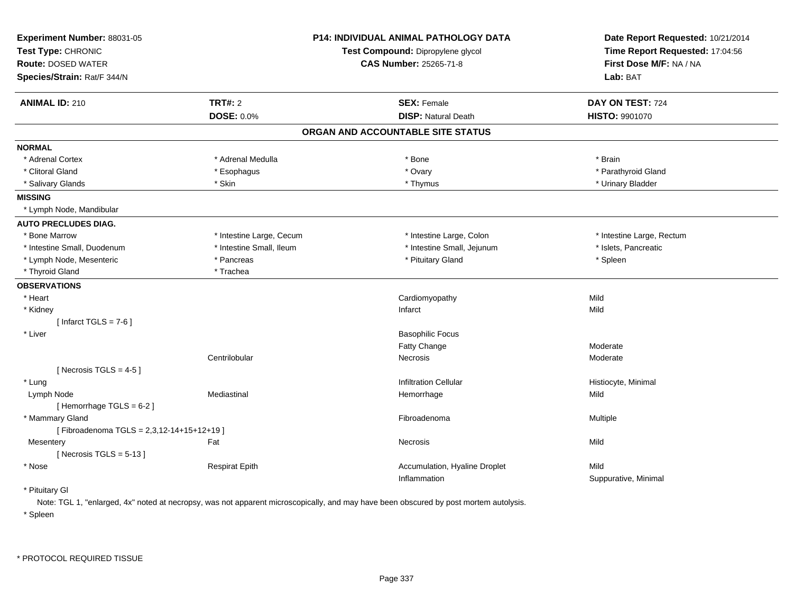| Experiment Number: 88031-05<br>Test Type: CHRONIC<br><b>Route: DOSED WATER</b><br>Species/Strain: Rat/F 344/N |                          | P14: INDIVIDUAL ANIMAL PATHOLOGY DATA<br>Test Compound: Dipropylene glycol<br><b>CAS Number: 25265-71-8</b> | Date Report Requested: 10/21/2014<br>Time Report Requested: 17:04:56<br>First Dose M/F: NA / NA<br>Lab: BAT |
|---------------------------------------------------------------------------------------------------------------|--------------------------|-------------------------------------------------------------------------------------------------------------|-------------------------------------------------------------------------------------------------------------|
| <b>ANIMAL ID: 210</b>                                                                                         | <b>TRT#: 2</b>           | <b>SEX: Female</b>                                                                                          | DAY ON TEST: 724                                                                                            |
|                                                                                                               | DOSE: 0.0%               | <b>DISP: Natural Death</b>                                                                                  | HISTO: 9901070                                                                                              |
|                                                                                                               |                          | ORGAN AND ACCOUNTABLE SITE STATUS                                                                           |                                                                                                             |
| <b>NORMAL</b>                                                                                                 |                          |                                                                                                             |                                                                                                             |
| * Adrenal Cortex                                                                                              | * Adrenal Medulla        | * Bone                                                                                                      | * Brain                                                                                                     |
| * Clitoral Gland                                                                                              | * Esophagus              | * Ovary                                                                                                     | * Parathyroid Gland                                                                                         |
| * Salivary Glands                                                                                             | * Skin                   | * Thymus                                                                                                    | * Urinary Bladder                                                                                           |
| <b>MISSING</b>                                                                                                |                          |                                                                                                             |                                                                                                             |
| * Lymph Node, Mandibular                                                                                      |                          |                                                                                                             |                                                                                                             |
| <b>AUTO PRECLUDES DIAG.</b>                                                                                   |                          |                                                                                                             |                                                                                                             |
| * Bone Marrow                                                                                                 | * Intestine Large, Cecum | * Intestine Large, Colon                                                                                    | * Intestine Large, Rectum                                                                                   |
| * Intestine Small, Duodenum                                                                                   | * Intestine Small, Ileum | * Intestine Small, Jejunum                                                                                  | * Islets, Pancreatic                                                                                        |
| * Lymph Node, Mesenteric                                                                                      | * Pancreas               | * Pituitary Gland                                                                                           | * Spleen                                                                                                    |
| * Thyroid Gland                                                                                               | * Trachea                |                                                                                                             |                                                                                                             |
| <b>OBSERVATIONS</b>                                                                                           |                          |                                                                                                             |                                                                                                             |
| * Heart                                                                                                       |                          | Cardiomyopathy                                                                                              | Mild                                                                                                        |
| * Kidney                                                                                                      |                          | Infarct                                                                                                     | Mild                                                                                                        |
| [Infarct TGLS = $7-6$ ]                                                                                       |                          |                                                                                                             |                                                                                                             |
| * Liver                                                                                                       |                          | <b>Basophilic Focus</b>                                                                                     |                                                                                                             |
|                                                                                                               |                          | Fatty Change                                                                                                | Moderate                                                                                                    |
|                                                                                                               | Centrilobular            | Necrosis                                                                                                    | Moderate                                                                                                    |
| [Necrosis TGLS = $4-5$ ]                                                                                      |                          |                                                                                                             |                                                                                                             |
| * Lung                                                                                                        |                          | <b>Infiltration Cellular</b>                                                                                | Histiocyte, Minimal                                                                                         |
| Lymph Node                                                                                                    | Mediastinal              | Hemorrhage                                                                                                  | Mild                                                                                                        |
| [Hemorrhage TGLS = 6-2]                                                                                       |                          |                                                                                                             |                                                                                                             |
| * Mammary Gland                                                                                               |                          | Fibroadenoma                                                                                                | Multiple                                                                                                    |
| [Fibroadenoma TGLS = 2,3,12-14+15+12+19]                                                                      |                          |                                                                                                             |                                                                                                             |
| Mesentery                                                                                                     | Fat                      | <b>Necrosis</b>                                                                                             | Mild                                                                                                        |
| [Necrosis TGLS = $5-13$ ]                                                                                     |                          |                                                                                                             |                                                                                                             |
| * Nose                                                                                                        | <b>Respirat Epith</b>    | Accumulation, Hyaline Droplet                                                                               | Mild                                                                                                        |
|                                                                                                               |                          | Inflammation                                                                                                | Suppurative, Minimal                                                                                        |
| * Pituitary Gl                                                                                                |                          |                                                                                                             |                                                                                                             |

Note: TGL 1, "enlarged, 4x" noted at necropsy, was not apparent microscopically, and may have been obscured by post mortem autolysis.

\* Spleen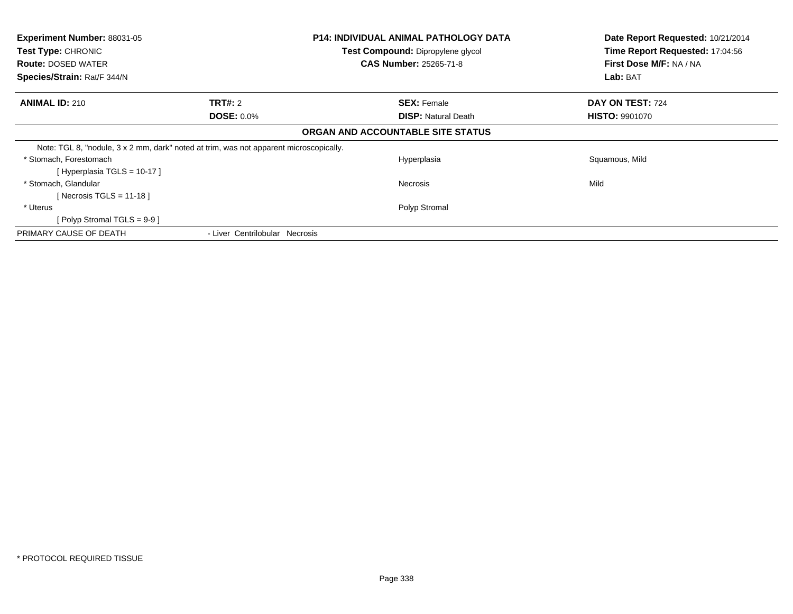| Experiment Number: 88031-05<br>Test Type: CHRONIC<br><b>Route: DOSED WATER</b><br>Species/Strain: Rat/F 344/N |                                     | <b>P14: INDIVIDUAL ANIMAL PATHOLOGY DATA</b><br>Test Compound: Dipropylene glycol<br><b>CAS Number: 25265-71-8</b> | Date Report Requested: 10/21/2014<br>Time Report Requested: 17:04:56<br>First Dose M/F: NA / NA<br>Lab: BAT |
|---------------------------------------------------------------------------------------------------------------|-------------------------------------|--------------------------------------------------------------------------------------------------------------------|-------------------------------------------------------------------------------------------------------------|
| <b>ANIMAL ID: 210</b>                                                                                         | <b>TRT#: 2</b><br><b>DOSE: 0.0%</b> | <b>SEX: Female</b><br><b>DISP:</b> Natural Death                                                                   | DAY ON TEST: 724<br><b>HISTO: 9901070</b>                                                                   |
|                                                                                                               |                                     | ORGAN AND ACCOUNTABLE SITE STATUS                                                                                  |                                                                                                             |
| Note: TGL 8, "nodule, 3 x 2 mm, dark" noted at trim, was not apparent microscopically.                        |                                     |                                                                                                                    |                                                                                                             |
| * Stomach, Forestomach<br>[Hyperplasia TGLS = 10-17 ]                                                         |                                     | Hyperplasia                                                                                                        | Squamous, Mild                                                                                              |
| * Stomach, Glandular<br>Necrosis TGLS = 11-18 ]                                                               |                                     | Necrosis                                                                                                           | Mild                                                                                                        |
| * Uterus<br>[Polyp Stromal TGLS = 9-9 ]                                                                       |                                     | Polyp Stromal                                                                                                      |                                                                                                             |
| PRIMARY CAUSE OF DEATH                                                                                        | - Liver Centrilobular Necrosis      |                                                                                                                    |                                                                                                             |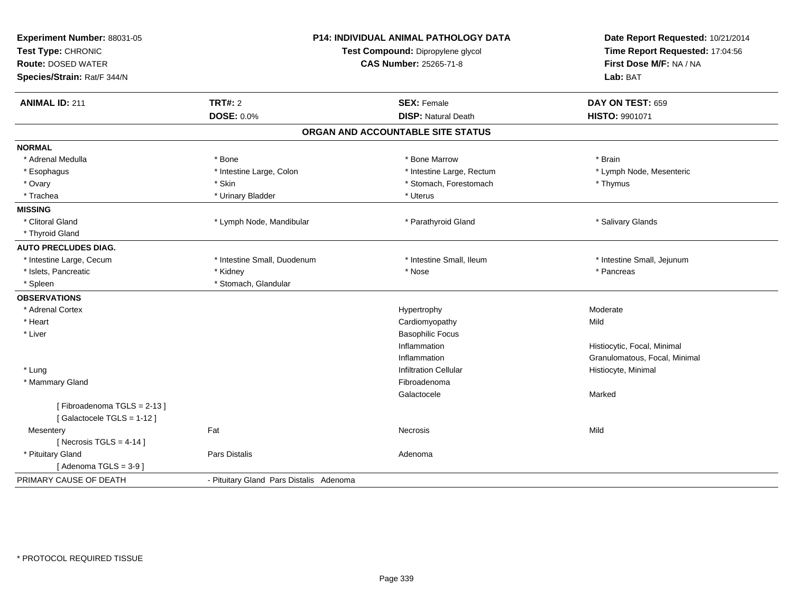| <b>TRT#: 2</b><br><b>ANIMAL ID: 211</b><br><b>DOSE: 0.0%</b><br><b>NORMAL</b><br>* Adrenal Medulla<br>* Bone<br>* Intestine Large, Colon<br>* Esophagus | <b>SEX: Female</b><br><b>DISP: Natural Death</b><br>ORGAN AND ACCOUNTABLE SITE STATUS<br>* Bone Marrow<br>* Intestine Large, Rectum<br>* Stomach, Forestomach<br>* Uterus | DAY ON TEST: 659<br>HISTO: 9901071<br>* Brain<br>* Lymph Node, Mesenteric<br>* Thymus |
|---------------------------------------------------------------------------------------------------------------------------------------------------------|---------------------------------------------------------------------------------------------------------------------------------------------------------------------------|---------------------------------------------------------------------------------------|
|                                                                                                                                                         |                                                                                                                                                                           |                                                                                       |
|                                                                                                                                                         |                                                                                                                                                                           |                                                                                       |
|                                                                                                                                                         |                                                                                                                                                                           |                                                                                       |
|                                                                                                                                                         |                                                                                                                                                                           |                                                                                       |
|                                                                                                                                                         |                                                                                                                                                                           |                                                                                       |
|                                                                                                                                                         |                                                                                                                                                                           |                                                                                       |
| * Ovary<br>* Skin                                                                                                                                       |                                                                                                                                                                           |                                                                                       |
| * Trachea<br>* Urinary Bladder                                                                                                                          |                                                                                                                                                                           |                                                                                       |
| <b>MISSING</b>                                                                                                                                          |                                                                                                                                                                           |                                                                                       |
| * Clitoral Gland<br>* Lymph Node, Mandibular                                                                                                            | * Parathyroid Gland                                                                                                                                                       | * Salivary Glands                                                                     |
| * Thyroid Gland                                                                                                                                         |                                                                                                                                                                           |                                                                                       |
| <b>AUTO PRECLUDES DIAG.</b>                                                                                                                             |                                                                                                                                                                           |                                                                                       |
| * Intestine Large, Cecum<br>* Intestine Small, Duodenum                                                                                                 | * Intestine Small, Ileum                                                                                                                                                  | * Intestine Small, Jejunum                                                            |
| * Islets, Pancreatic<br>* Kidney                                                                                                                        | * Nose                                                                                                                                                                    | * Pancreas                                                                            |
| * Stomach, Glandular<br>* Spleen                                                                                                                        |                                                                                                                                                                           |                                                                                       |
| <b>OBSERVATIONS</b>                                                                                                                                     |                                                                                                                                                                           |                                                                                       |
| * Adrenal Cortex                                                                                                                                        | Hypertrophy                                                                                                                                                               | Moderate                                                                              |
| * Heart                                                                                                                                                 | Cardiomyopathy                                                                                                                                                            | Mild                                                                                  |
| * Liver                                                                                                                                                 | <b>Basophilic Focus</b>                                                                                                                                                   |                                                                                       |
|                                                                                                                                                         | Inflammation                                                                                                                                                              | Histiocytic, Focal, Minimal                                                           |
|                                                                                                                                                         | Inflammation                                                                                                                                                              | Granulomatous, Focal, Minimal                                                         |
| * Lung                                                                                                                                                  | <b>Infiltration Cellular</b>                                                                                                                                              | Histiocyte, Minimal                                                                   |
| * Mammary Gland                                                                                                                                         | Fibroadenoma                                                                                                                                                              |                                                                                       |
|                                                                                                                                                         | Galactocele                                                                                                                                                               | Marked                                                                                |
| [Fibroadenoma TGLS = 2-13]<br>[Galactocele TGLS = 1-12]                                                                                                 |                                                                                                                                                                           |                                                                                       |
| Fat<br>Mesentery                                                                                                                                        | <b>Necrosis</b>                                                                                                                                                           | Mild                                                                                  |
| [Necrosis TGLS = $4-14$ ]                                                                                                                               |                                                                                                                                                                           |                                                                                       |
| * Pituitary Gland<br>Pars Distalis                                                                                                                      | Adenoma                                                                                                                                                                   |                                                                                       |
| [Adenoma $TGLS = 3-9$ ]                                                                                                                                 |                                                                                                                                                                           |                                                                                       |
| PRIMARY CAUSE OF DEATH<br>- Pituitary Gland Pars Distalis Adenoma                                                                                       |                                                                                                                                                                           |                                                                                       |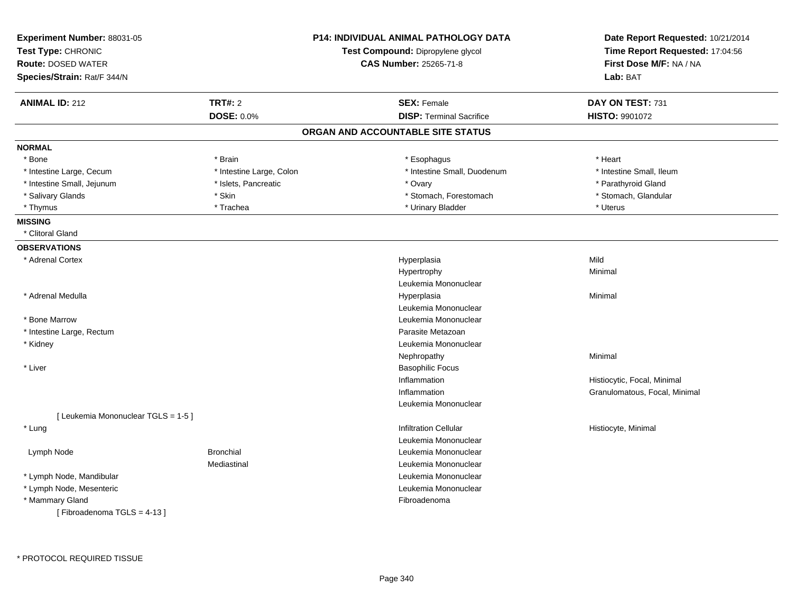| Experiment Number: 88031-05<br>Test Type: CHRONIC<br><b>Route: DOSED WATER</b> |                          | <b>P14: INDIVIDUAL ANIMAL PATHOLOGY DATA</b><br>Test Compound: Dipropylene glycol<br><b>CAS Number: 25265-71-8</b> | Date Report Requested: 10/21/2014<br>Time Report Requested: 17:04:56<br>First Dose M/F: NA / NA |
|--------------------------------------------------------------------------------|--------------------------|--------------------------------------------------------------------------------------------------------------------|-------------------------------------------------------------------------------------------------|
| Species/Strain: Rat/F 344/N                                                    |                          |                                                                                                                    | Lab: BAT                                                                                        |
| <b>ANIMAL ID: 212</b>                                                          | <b>TRT#: 2</b>           | <b>SEX: Female</b>                                                                                                 | DAY ON TEST: 731                                                                                |
|                                                                                | <b>DOSE: 0.0%</b>        | <b>DISP: Terminal Sacrifice</b>                                                                                    | <b>HISTO: 9901072</b>                                                                           |
|                                                                                |                          | ORGAN AND ACCOUNTABLE SITE STATUS                                                                                  |                                                                                                 |
| <b>NORMAL</b>                                                                  |                          |                                                                                                                    |                                                                                                 |
| * Bone                                                                         | * Brain                  | * Esophagus                                                                                                        | * Heart                                                                                         |
| * Intestine Large, Cecum                                                       | * Intestine Large, Colon | * Intestine Small, Duodenum                                                                                        | * Intestine Small, Ileum                                                                        |
| * Intestine Small, Jejunum                                                     | * Islets, Pancreatic     | * Ovary                                                                                                            | * Parathyroid Gland                                                                             |
| * Salivary Glands                                                              | * Skin                   | * Stomach, Forestomach                                                                                             | * Stomach, Glandular                                                                            |
| * Thymus                                                                       | * Trachea                | * Urinary Bladder                                                                                                  | * Uterus                                                                                        |
| <b>MISSING</b>                                                                 |                          |                                                                                                                    |                                                                                                 |
| * Clitoral Gland                                                               |                          |                                                                                                                    |                                                                                                 |
| <b>OBSERVATIONS</b>                                                            |                          |                                                                                                                    |                                                                                                 |
| * Adrenal Cortex                                                               |                          | Hyperplasia                                                                                                        | Mild                                                                                            |
|                                                                                |                          | Hypertrophy                                                                                                        | Minimal                                                                                         |
|                                                                                |                          | Leukemia Mononuclear                                                                                               |                                                                                                 |
| * Adrenal Medulla                                                              |                          | Hyperplasia                                                                                                        | Minimal                                                                                         |
|                                                                                |                          | Leukemia Mononuclear                                                                                               |                                                                                                 |
| * Bone Marrow                                                                  |                          | Leukemia Mononuclear                                                                                               |                                                                                                 |
| * Intestine Large, Rectum                                                      |                          | Parasite Metazoan                                                                                                  |                                                                                                 |
| * Kidney                                                                       |                          | Leukemia Mononuclear                                                                                               |                                                                                                 |
|                                                                                |                          | Nephropathy                                                                                                        | Minimal                                                                                         |
| * Liver                                                                        |                          | <b>Basophilic Focus</b>                                                                                            |                                                                                                 |
|                                                                                |                          | Inflammation                                                                                                       | Histiocytic, Focal, Minimal                                                                     |
|                                                                                |                          | Inflammation                                                                                                       | Granulomatous, Focal, Minimal                                                                   |
|                                                                                |                          | Leukemia Mononuclear                                                                                               |                                                                                                 |
| [ Leukemia Mononuclear TGLS = 1-5 ]                                            |                          |                                                                                                                    |                                                                                                 |
| * Lung                                                                         |                          | Infiltration Cellular                                                                                              | Histiocyte, Minimal                                                                             |
|                                                                                |                          | Leukemia Mononuclear                                                                                               |                                                                                                 |
| Lymph Node                                                                     | <b>Bronchial</b>         | Leukemia Mononuclear                                                                                               |                                                                                                 |
|                                                                                | Mediastinal              | Leukemia Mononuclear                                                                                               |                                                                                                 |
| * Lymph Node, Mandibular                                                       |                          | Leukemia Mononuclear                                                                                               |                                                                                                 |
| * Lymph Node, Mesenteric                                                       |                          | Leukemia Mononuclear                                                                                               |                                                                                                 |
| * Mammary Gland                                                                |                          | Fibroadenoma                                                                                                       |                                                                                                 |
| [Fibroadenoma TGLS = 4-13]                                                     |                          |                                                                                                                    |                                                                                                 |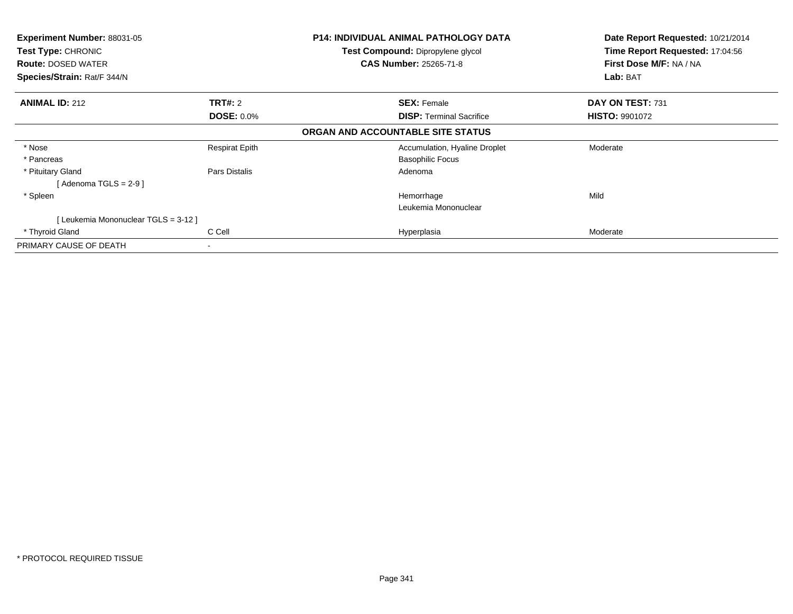| <b>Experiment Number: 88031-05</b><br>Test Type: CHRONIC |                       | <b>P14: INDIVIDUAL ANIMAL PATHOLOGY DATA</b> | Date Report Requested: 10/21/2014 |
|----------------------------------------------------------|-----------------------|----------------------------------------------|-----------------------------------|
|                                                          |                       | Test Compound: Dipropylene glycol            | Time Report Requested: 17:04:56   |
| <b>Route: DOSED WATER</b>                                |                       | <b>CAS Number: 25265-71-8</b>                | First Dose M/F: NA / NA           |
| Species/Strain: Rat/F 344/N                              |                       |                                              | Lab: BAT                          |
| <b>ANIMAL ID: 212</b>                                    | TRT#: 2               | <b>SEX: Female</b>                           | DAY ON TEST: 731                  |
|                                                          | <b>DOSE: 0.0%</b>     | <b>DISP:</b> Terminal Sacrifice              | <b>HISTO: 9901072</b>             |
|                                                          |                       | ORGAN AND ACCOUNTABLE SITE STATUS            |                                   |
| * Nose                                                   | <b>Respirat Epith</b> | Accumulation, Hyaline Droplet                | Moderate                          |
| * Pancreas                                               |                       | <b>Basophilic Focus</b>                      |                                   |
| * Pituitary Gland                                        | Pars Distalis         | Adenoma                                      |                                   |
| [ Adenoma TGLS = 2-9 ]                                   |                       |                                              |                                   |
| * Spleen                                                 |                       | Hemorrhage                                   | Mild                              |
|                                                          |                       | Leukemia Mononuclear                         |                                   |
| [ Leukemia Mononuclear TGLS = 3-12 ]                     |                       |                                              |                                   |
| * Thyroid Gland                                          | C Cell                | Hyperplasia                                  | Moderate                          |
| PRIMARY CAUSE OF DEATH                                   |                       |                                              |                                   |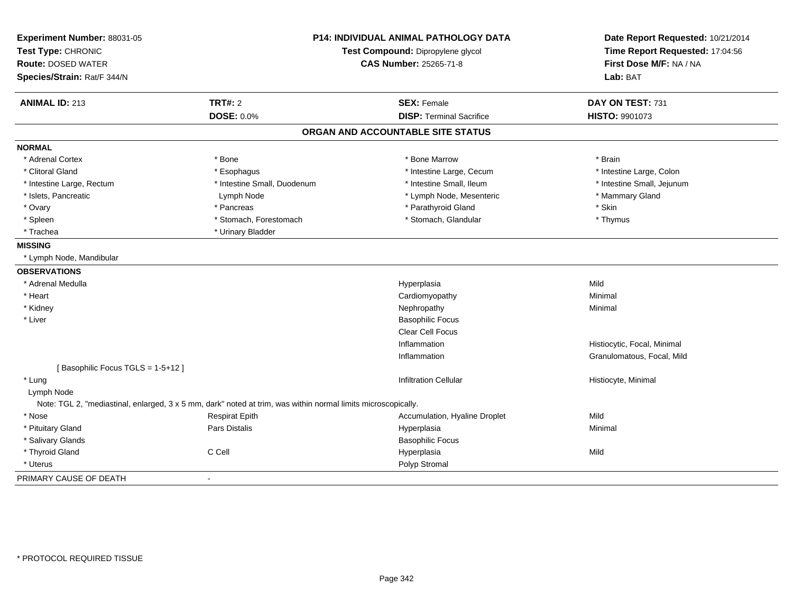| Experiment Number: 88031-05<br>Test Type: CHRONIC<br><b>Route: DOSED WATER</b><br>Species/Strain: Rat/F 344/N |                                                                                                               | P14: INDIVIDUAL ANIMAL PATHOLOGY DATA<br>Test Compound: Dipropylene glycol<br><b>CAS Number: 25265-71-8</b> | Date Report Requested: 10/21/2014<br>Time Report Requested: 17:04:56<br>First Dose M/F: NA / NA<br>Lab: BAT |
|---------------------------------------------------------------------------------------------------------------|---------------------------------------------------------------------------------------------------------------|-------------------------------------------------------------------------------------------------------------|-------------------------------------------------------------------------------------------------------------|
| <b>ANIMAL ID: 213</b>                                                                                         | <b>TRT#: 2</b>                                                                                                | <b>SEX: Female</b>                                                                                          | DAY ON TEST: 731                                                                                            |
|                                                                                                               | <b>DOSE: 0.0%</b>                                                                                             | <b>DISP: Terminal Sacrifice</b>                                                                             | HISTO: 9901073                                                                                              |
|                                                                                                               |                                                                                                               | ORGAN AND ACCOUNTABLE SITE STATUS                                                                           |                                                                                                             |
| <b>NORMAL</b>                                                                                                 |                                                                                                               |                                                                                                             |                                                                                                             |
| * Adrenal Cortex                                                                                              | * Bone                                                                                                        | * Bone Marrow                                                                                               | * Brain                                                                                                     |
| * Clitoral Gland                                                                                              | * Esophagus                                                                                                   | * Intestine Large, Cecum                                                                                    | * Intestine Large, Colon                                                                                    |
| * Intestine Large, Rectum                                                                                     | * Intestine Small, Duodenum                                                                                   | * Intestine Small, Ileum                                                                                    | * Intestine Small, Jejunum                                                                                  |
| * Islets, Pancreatic                                                                                          | Lymph Node                                                                                                    | * Lymph Node, Mesenteric                                                                                    | * Mammary Gland                                                                                             |
| * Ovary                                                                                                       | * Pancreas                                                                                                    | * Parathyroid Gland                                                                                         | * Skin                                                                                                      |
| * Spleen                                                                                                      | * Stomach, Forestomach                                                                                        | * Stomach, Glandular                                                                                        | * Thymus                                                                                                    |
| * Trachea                                                                                                     | * Urinary Bladder                                                                                             |                                                                                                             |                                                                                                             |
| <b>MISSING</b>                                                                                                |                                                                                                               |                                                                                                             |                                                                                                             |
| * Lymph Node, Mandibular                                                                                      |                                                                                                               |                                                                                                             |                                                                                                             |
| <b>OBSERVATIONS</b>                                                                                           |                                                                                                               |                                                                                                             |                                                                                                             |
| * Adrenal Medulla                                                                                             |                                                                                                               | Hyperplasia                                                                                                 | Mild                                                                                                        |
| * Heart                                                                                                       |                                                                                                               | Cardiomyopathy                                                                                              | Minimal                                                                                                     |
| * Kidney                                                                                                      |                                                                                                               | Nephropathy                                                                                                 | Minimal                                                                                                     |
| * Liver                                                                                                       |                                                                                                               | <b>Basophilic Focus</b>                                                                                     |                                                                                                             |
|                                                                                                               |                                                                                                               | Clear Cell Focus                                                                                            |                                                                                                             |
|                                                                                                               |                                                                                                               | Inflammation                                                                                                | Histiocytic, Focal, Minimal                                                                                 |
|                                                                                                               |                                                                                                               | Inflammation                                                                                                | Granulomatous, Focal, Mild                                                                                  |
| [Basophilic Focus TGLS = 1-5+12]                                                                              |                                                                                                               |                                                                                                             |                                                                                                             |
| * Lung                                                                                                        |                                                                                                               | <b>Infiltration Cellular</b>                                                                                | Histiocyte, Minimal                                                                                         |
| Lymph Node                                                                                                    |                                                                                                               |                                                                                                             |                                                                                                             |
|                                                                                                               | Note: TGL 2, "mediastinal, enlarged, 3 x 5 mm, dark" noted at trim, was within normal limits microscopically. |                                                                                                             |                                                                                                             |
| * Nose                                                                                                        | <b>Respirat Epith</b>                                                                                         | Accumulation, Hyaline Droplet                                                                               | Mild                                                                                                        |
| * Pituitary Gland                                                                                             | Pars Distalis                                                                                                 | Hyperplasia                                                                                                 | Minimal                                                                                                     |
| * Salivary Glands                                                                                             |                                                                                                               | <b>Basophilic Focus</b>                                                                                     |                                                                                                             |
| * Thyroid Gland                                                                                               | C Cell                                                                                                        | Hyperplasia                                                                                                 | Mild                                                                                                        |
| * Uterus                                                                                                      |                                                                                                               | Polyp Stromal                                                                                               |                                                                                                             |
| PRIMARY CAUSE OF DEATH                                                                                        |                                                                                                               |                                                                                                             |                                                                                                             |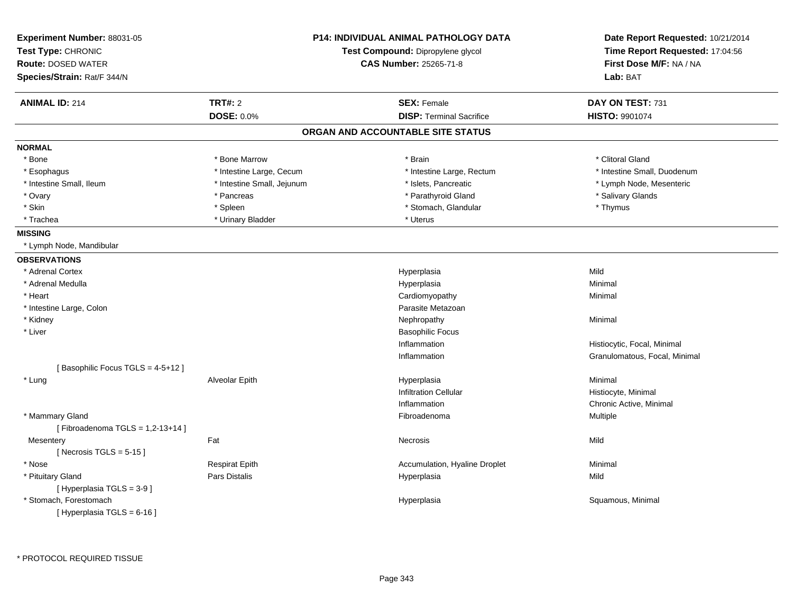| Experiment Number: 88031-05<br>Test Type: CHRONIC<br><b>Route: DOSED WATER</b><br>Species/Strain: Rat/F 344/N | <b>P14: INDIVIDUAL ANIMAL PATHOLOGY DATA</b><br>Test Compound: Dipropylene glycol<br><b>CAS Number: 25265-71-8</b> |                                   | Date Report Requested: 10/21/2014<br>Time Report Requested: 17:04:56<br>First Dose M/F: NA / NA<br>Lab: BAT |
|---------------------------------------------------------------------------------------------------------------|--------------------------------------------------------------------------------------------------------------------|-----------------------------------|-------------------------------------------------------------------------------------------------------------|
| <b>ANIMAL ID: 214</b>                                                                                         | <b>TRT#: 2</b>                                                                                                     | <b>SEX: Female</b>                | DAY ON TEST: 731                                                                                            |
|                                                                                                               | <b>DOSE: 0.0%</b>                                                                                                  | <b>DISP: Terminal Sacrifice</b>   | <b>HISTO: 9901074</b>                                                                                       |
|                                                                                                               |                                                                                                                    | ORGAN AND ACCOUNTABLE SITE STATUS |                                                                                                             |
| <b>NORMAL</b>                                                                                                 |                                                                                                                    |                                   |                                                                                                             |
| * Bone                                                                                                        | * Bone Marrow                                                                                                      | * Brain                           | * Clitoral Gland                                                                                            |
| * Esophagus                                                                                                   | * Intestine Large, Cecum                                                                                           | * Intestine Large, Rectum         | * Intestine Small, Duodenum                                                                                 |
| * Intestine Small, Ileum                                                                                      | * Intestine Small, Jejunum                                                                                         | * Islets, Pancreatic              | * Lymph Node, Mesenteric                                                                                    |
| * Ovary                                                                                                       | * Pancreas                                                                                                         | * Parathyroid Gland               | * Salivary Glands                                                                                           |
| * Skin                                                                                                        | * Spleen                                                                                                           | * Stomach, Glandular              | * Thymus                                                                                                    |
| * Trachea                                                                                                     | * Urinary Bladder                                                                                                  | * Uterus                          |                                                                                                             |
| <b>MISSING</b>                                                                                                |                                                                                                                    |                                   |                                                                                                             |
| * Lymph Node, Mandibular                                                                                      |                                                                                                                    |                                   |                                                                                                             |
| <b>OBSERVATIONS</b>                                                                                           |                                                                                                                    |                                   |                                                                                                             |
| * Adrenal Cortex                                                                                              |                                                                                                                    | Hyperplasia                       | Mild                                                                                                        |
| * Adrenal Medulla                                                                                             |                                                                                                                    | Hyperplasia                       | Minimal                                                                                                     |
| * Heart                                                                                                       |                                                                                                                    | Cardiomyopathy                    | Minimal                                                                                                     |
| * Intestine Large, Colon                                                                                      |                                                                                                                    | Parasite Metazoan                 |                                                                                                             |
| * Kidney                                                                                                      |                                                                                                                    | Nephropathy                       | Minimal                                                                                                     |
| * Liver                                                                                                       |                                                                                                                    | <b>Basophilic Focus</b>           |                                                                                                             |
|                                                                                                               |                                                                                                                    | Inflammation                      | Histiocytic, Focal, Minimal                                                                                 |
|                                                                                                               |                                                                                                                    | Inflammation                      | Granulomatous, Focal, Minimal                                                                               |
| [Basophilic Focus TGLS = 4-5+12]                                                                              |                                                                                                                    |                                   |                                                                                                             |
| * Lung                                                                                                        | <b>Alveolar Epith</b>                                                                                              | Hyperplasia                       | Minimal                                                                                                     |
|                                                                                                               |                                                                                                                    | <b>Infiltration Cellular</b>      | Histiocyte, Minimal                                                                                         |
|                                                                                                               |                                                                                                                    | Inflammation                      | Chronic Active, Minimal                                                                                     |
| * Mammary Gland<br>[Fibroadenoma TGLS = $1,2-13+14$ ]                                                         |                                                                                                                    | Fibroadenoma                      | Multiple                                                                                                    |
| Mesentery<br>[ Necrosis TGLS = $5-15$ ]                                                                       | Fat                                                                                                                | Necrosis                          | Mild                                                                                                        |
| * Nose                                                                                                        | <b>Respirat Epith</b>                                                                                              | Accumulation, Hyaline Droplet     | Minimal                                                                                                     |
| * Pituitary Gland                                                                                             | <b>Pars Distalis</b>                                                                                               | Hyperplasia                       | Mild                                                                                                        |
| [ Hyperplasia TGLS = 3-9 ]                                                                                    |                                                                                                                    |                                   |                                                                                                             |
| * Stomach, Forestomach<br>[ Hyperplasia TGLS = $6-16$ ]                                                       |                                                                                                                    | Hyperplasia                       | Squamous, Minimal                                                                                           |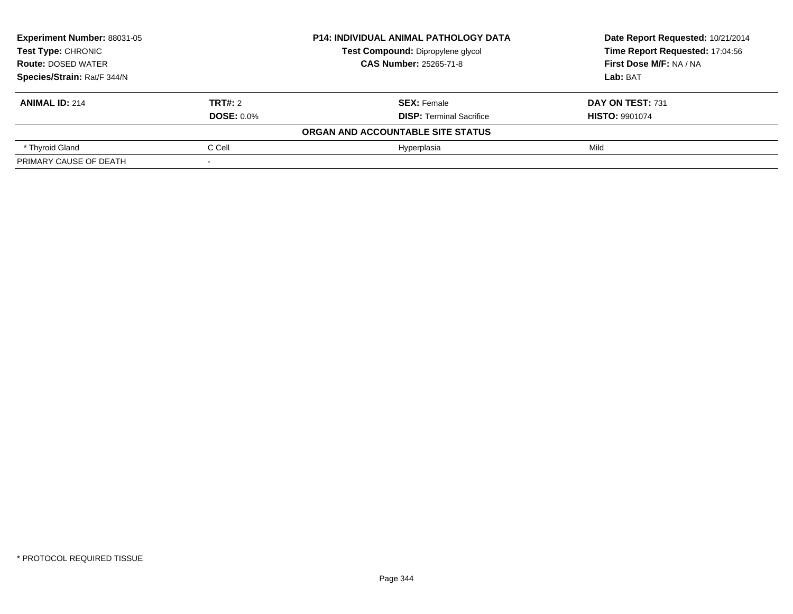| <b>Experiment Number: 88031-05</b><br><b>Test Type: CHRONIC</b><br><b>Route: DOSED WATER</b><br>Species/Strain: Rat/F 344/N |                   | <b>P14: INDIVIDUAL ANIMAL PATHOLOGY DATA</b> | Date Report Requested: 10/21/2014<br>Time Report Requested: 17:04:56<br>First Dose M/F: NA / NA |
|-----------------------------------------------------------------------------------------------------------------------------|-------------------|----------------------------------------------|-------------------------------------------------------------------------------------------------|
|                                                                                                                             |                   | Test Compound: Dipropylene glycol            |                                                                                                 |
|                                                                                                                             |                   | <b>CAS Number: 25265-71-8</b>                |                                                                                                 |
|                                                                                                                             |                   |                                              | Lab: BAT                                                                                        |
| <b>ANIMAL ID: 214</b>                                                                                                       | TRT#: 2           | <b>SEX: Female</b>                           | DAY ON TEST: 731                                                                                |
|                                                                                                                             | <b>DOSE: 0.0%</b> | <b>DISP:</b> Terminal Sacrifice              | <b>HISTO: 9901074</b>                                                                           |
|                                                                                                                             |                   | ORGAN AND ACCOUNTABLE SITE STATUS            |                                                                                                 |
| * Thyroid Gland                                                                                                             | C Cell            | Hvperplasia                                  | Mild                                                                                            |
| PRIMARY CAUSE OF DEATH                                                                                                      |                   |                                              |                                                                                                 |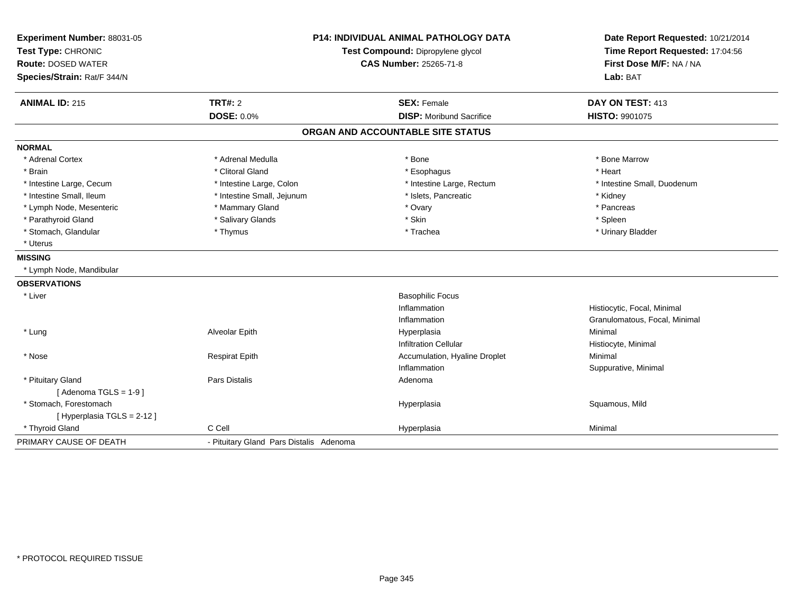| Experiment Number: 88031-05 | <b>P14: INDIVIDUAL ANIMAL PATHOLOGY DATA</b> |                                   | Date Report Requested: 10/21/2014                          |
|-----------------------------|----------------------------------------------|-----------------------------------|------------------------------------------------------------|
| Test Type: CHRONIC          |                                              | Test Compound: Dipropylene glycol | Time Report Requested: 17:04:56<br>First Dose M/F: NA / NA |
| <b>Route: DOSED WATER</b>   |                                              | <b>CAS Number: 25265-71-8</b>     |                                                            |
| Species/Strain: Rat/F 344/N |                                              |                                   | Lab: BAT                                                   |
| <b>ANIMAL ID: 215</b>       | <b>TRT#: 2</b>                               | <b>SEX: Female</b>                | DAY ON TEST: 413                                           |
|                             | DOSE: 0.0%                                   | <b>DISP: Moribund Sacrifice</b>   | HISTO: 9901075                                             |
|                             |                                              | ORGAN AND ACCOUNTABLE SITE STATUS |                                                            |
| <b>NORMAL</b>               |                                              |                                   |                                                            |
| * Adrenal Cortex            | * Adrenal Medulla                            | * Bone                            | * Bone Marrow                                              |
| * Brain                     | * Clitoral Gland                             | * Esophagus                       | * Heart                                                    |
| * Intestine Large, Cecum    | * Intestine Large, Colon                     | * Intestine Large, Rectum         | * Intestine Small. Duodenum                                |
| * Intestine Small, Ileum    | * Intestine Small, Jejunum                   | * Islets. Pancreatic              | * Kidney                                                   |
| * Lymph Node, Mesenteric    | * Mammary Gland                              | * Ovary                           | * Pancreas                                                 |
| * Parathyroid Gland         | * Salivary Glands                            | * Skin                            | * Spleen                                                   |
| * Stomach, Glandular        | * Thymus                                     | * Trachea                         | * Urinary Bladder                                          |
| * Uterus                    |                                              |                                   |                                                            |
| <b>MISSING</b>              |                                              |                                   |                                                            |
| * Lymph Node, Mandibular    |                                              |                                   |                                                            |
| <b>OBSERVATIONS</b>         |                                              |                                   |                                                            |
| * Liver                     |                                              | <b>Basophilic Focus</b>           |                                                            |
|                             |                                              | Inflammation                      | Histiocytic, Focal, Minimal                                |
|                             |                                              | Inflammation                      | Granulomatous, Focal, Minimal                              |
| * Lung                      | Alveolar Epith                               | Hyperplasia                       | Minimal                                                    |
|                             |                                              | <b>Infiltration Cellular</b>      | Histiocyte, Minimal                                        |
| * Nose                      | <b>Respirat Epith</b>                        | Accumulation, Hyaline Droplet     | Minimal                                                    |
|                             |                                              | Inflammation                      | Suppurative, Minimal                                       |
| * Pituitary Gland           | <b>Pars Distalis</b>                         | Adenoma                           |                                                            |
| [Adenoma TGLS = 1-9]        |                                              |                                   |                                                            |
| * Stomach, Forestomach      |                                              | Hyperplasia                       | Squamous, Mild                                             |
| [Hyperplasia TGLS = 2-12]   |                                              |                                   |                                                            |
| * Thyroid Gland             | C Cell                                       | Hyperplasia                       | Minimal                                                    |
| PRIMARY CAUSE OF DEATH      | - Pituitary Gland Pars Distalis Adenoma      |                                   |                                                            |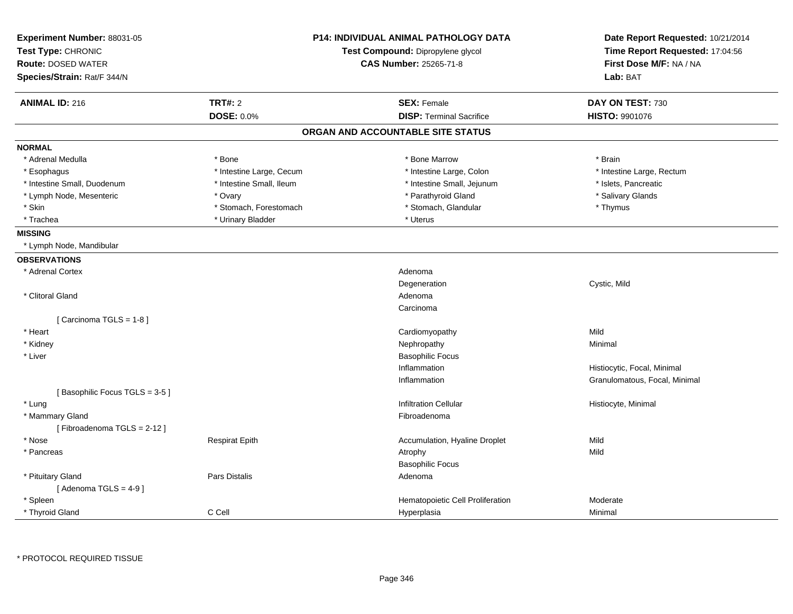| Experiment Number: 88031-05   |                          | <b>P14: INDIVIDUAL ANIMAL PATHOLOGY DATA</b> | Date Report Requested: 10/21/2014 |  |
|-------------------------------|--------------------------|----------------------------------------------|-----------------------------------|--|
| Test Type: CHRONIC            |                          | Test Compound: Dipropylene glycol            | Time Report Requested: 17:04:56   |  |
| <b>Route: DOSED WATER</b>     |                          | <b>CAS Number: 25265-71-8</b>                | First Dose M/F: NA / NA           |  |
| Species/Strain: Rat/F 344/N   |                          |                                              | Lab: BAT                          |  |
| <b>ANIMAL ID: 216</b>         | <b>TRT#: 2</b>           | <b>SEX: Female</b>                           | DAY ON TEST: 730                  |  |
|                               | <b>DOSE: 0.0%</b>        | <b>DISP: Terminal Sacrifice</b>              | <b>HISTO: 9901076</b>             |  |
|                               |                          | ORGAN AND ACCOUNTABLE SITE STATUS            |                                   |  |
| <b>NORMAL</b>                 |                          |                                              |                                   |  |
| * Adrenal Medulla             | * Bone                   | * Bone Marrow                                | * Brain                           |  |
| * Esophagus                   | * Intestine Large, Cecum | * Intestine Large, Colon                     | * Intestine Large, Rectum         |  |
| * Intestine Small, Duodenum   | * Intestine Small, Ileum | * Intestine Small, Jejunum                   | * Islets, Pancreatic              |  |
| * Lymph Node, Mesenteric      | * Ovary                  | * Parathyroid Gland                          | * Salivary Glands                 |  |
| * Skin                        | * Stomach, Forestomach   | * Stomach, Glandular                         | * Thymus                          |  |
| * Trachea                     | * Urinary Bladder        | * Uterus                                     |                                   |  |
| <b>MISSING</b>                |                          |                                              |                                   |  |
| * Lymph Node, Mandibular      |                          |                                              |                                   |  |
| <b>OBSERVATIONS</b>           |                          |                                              |                                   |  |
| * Adrenal Cortex              |                          | Adenoma                                      |                                   |  |
|                               |                          | Degeneration                                 | Cystic, Mild                      |  |
| * Clitoral Gland              |                          | Adenoma                                      |                                   |  |
|                               |                          | Carcinoma                                    |                                   |  |
| [Carcinoma TGLS = 1-8]        |                          |                                              |                                   |  |
| * Heart                       |                          | Cardiomyopathy                               | Mild                              |  |
| * Kidney                      |                          | Nephropathy                                  | Minimal                           |  |
| * Liver                       |                          | <b>Basophilic Focus</b>                      |                                   |  |
|                               |                          | Inflammation                                 | Histiocytic, Focal, Minimal       |  |
|                               |                          | Inflammation                                 | Granulomatous, Focal, Minimal     |  |
| [Basophilic Focus TGLS = 3-5] |                          |                                              |                                   |  |
| * Lung                        |                          | <b>Infiltration Cellular</b>                 | Histiocyte, Minimal               |  |
| * Mammary Gland               |                          | Fibroadenoma                                 |                                   |  |
| [Fibroadenoma TGLS = 2-12]    |                          |                                              |                                   |  |
| * Nose                        | <b>Respirat Epith</b>    | Accumulation, Hyaline Droplet                | Mild                              |  |
| * Pancreas                    |                          | Atrophy                                      | Mild                              |  |
|                               |                          | <b>Basophilic Focus</b>                      |                                   |  |
| * Pituitary Gland             | Pars Distalis            | Adenoma                                      |                                   |  |
| [Adenoma TGLS = $4-9$ ]       |                          |                                              |                                   |  |
| * Spleen                      |                          | Hematopoietic Cell Proliferation             | Moderate                          |  |
| * Thyroid Gland               | C Cell                   | Hyperplasia                                  | Minimal                           |  |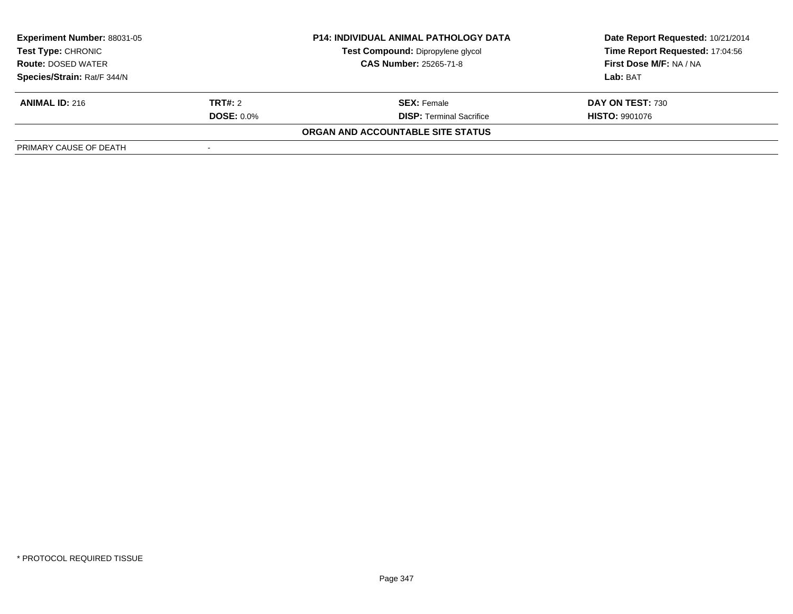| <b>Experiment Number: 88031-05</b><br>Test Type: CHRONIC<br><b>Route: DOSED WATER</b> |                   | <b>P14: INDIVIDUAL ANIMAL PATHOLOGY DATA</b> | Date Report Requested: 10/21/2014 |
|---------------------------------------------------------------------------------------|-------------------|----------------------------------------------|-----------------------------------|
|                                                                                       |                   | Test Compound: Dipropylene glycol            | Time Report Requested: 17:04:56   |
|                                                                                       |                   | <b>CAS Number: 25265-71-8</b>                | <b>First Dose M/F: NA / NA</b>    |
| Species/Strain: Rat/F 344/N                                                           |                   |                                              | Lab: BAT                          |
| <b>ANIMAL ID: 216</b>                                                                 | <b>TRT#:</b> 2    | <b>SEX:</b> Female                           | DAY ON TEST: 730                  |
|                                                                                       | <b>DOSE: 0.0%</b> | <b>DISP:</b> Terminal Sacrifice              | <b>HISTO: 9901076</b>             |
|                                                                                       |                   | ORGAN AND ACCOUNTABLE SITE STATUS            |                                   |
| PRIMARY CAUSE OF DEATH                                                                |                   |                                              |                                   |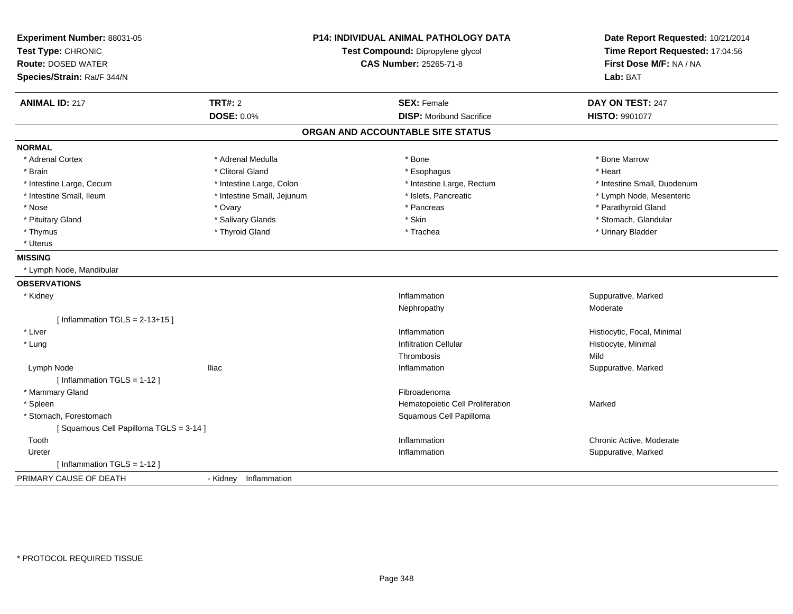| Experiment Number: 88031-05<br>Test Type: CHRONIC<br><b>Route: DOSED WATER</b><br>Species/Strain: Rat/F 344/N |                            | <b>P14: INDIVIDUAL ANIMAL PATHOLOGY DATA</b><br>Test Compound: Dipropylene glycol<br><b>CAS Number: 25265-71-8</b> | Date Report Requested: 10/21/2014<br>Time Report Requested: 17:04:56<br>First Dose M/F: NA / NA<br>Lab: BAT |
|---------------------------------------------------------------------------------------------------------------|----------------------------|--------------------------------------------------------------------------------------------------------------------|-------------------------------------------------------------------------------------------------------------|
| <b>ANIMAL ID: 217</b>                                                                                         | <b>TRT#: 2</b>             | <b>SEX: Female</b>                                                                                                 | DAY ON TEST: 247                                                                                            |
|                                                                                                               | <b>DOSE: 0.0%</b>          | <b>DISP:</b> Moribund Sacrifice                                                                                    | HISTO: 9901077                                                                                              |
|                                                                                                               |                            | ORGAN AND ACCOUNTABLE SITE STATUS                                                                                  |                                                                                                             |
| <b>NORMAL</b>                                                                                                 |                            |                                                                                                                    |                                                                                                             |
| * Adrenal Cortex                                                                                              | * Adrenal Medulla          | * Bone                                                                                                             | * Bone Marrow                                                                                               |
| * Brain                                                                                                       | * Clitoral Gland           | * Esophagus                                                                                                        | * Heart                                                                                                     |
| * Intestine Large, Cecum                                                                                      | * Intestine Large, Colon   | * Intestine Large, Rectum                                                                                          | * Intestine Small, Duodenum                                                                                 |
| * Intestine Small, Ileum                                                                                      | * Intestine Small, Jejunum | * Islets, Pancreatic                                                                                               | * Lymph Node, Mesenteric                                                                                    |
| * Nose                                                                                                        | * Ovary                    | * Pancreas                                                                                                         | * Parathyroid Gland                                                                                         |
| * Pituitary Gland                                                                                             | * Salivary Glands          | * Skin                                                                                                             | * Stomach, Glandular                                                                                        |
| * Thymus                                                                                                      | * Thyroid Gland            | * Trachea                                                                                                          | * Urinary Bladder                                                                                           |
| * Uterus                                                                                                      |                            |                                                                                                                    |                                                                                                             |
| <b>MISSING</b>                                                                                                |                            |                                                                                                                    |                                                                                                             |
| * Lymph Node, Mandibular                                                                                      |                            |                                                                                                                    |                                                                                                             |
| <b>OBSERVATIONS</b>                                                                                           |                            |                                                                                                                    |                                                                                                             |
| * Kidney                                                                                                      |                            | Inflammation                                                                                                       | Suppurative, Marked                                                                                         |
|                                                                                                               |                            | Nephropathy                                                                                                        | Moderate                                                                                                    |
| [Inflammation TGLS = $2-13+15$ ]                                                                              |                            |                                                                                                                    |                                                                                                             |
| * Liver                                                                                                       |                            | Inflammation                                                                                                       | Histiocytic, Focal, Minimal                                                                                 |
| * Lung                                                                                                        |                            | <b>Infiltration Cellular</b>                                                                                       | Histiocyte, Minimal                                                                                         |
|                                                                                                               |                            | Thrombosis                                                                                                         | Mild                                                                                                        |
| Lymph Node                                                                                                    | <b>Iliac</b>               | Inflammation                                                                                                       | Suppurative, Marked                                                                                         |
| [Inflammation TGLS = 1-12]                                                                                    |                            |                                                                                                                    |                                                                                                             |
| * Mammary Gland                                                                                               |                            | Fibroadenoma                                                                                                       |                                                                                                             |
| * Spleen                                                                                                      |                            | Hematopoietic Cell Proliferation                                                                                   | Marked                                                                                                      |
| * Stomach, Forestomach                                                                                        |                            | Squamous Cell Papilloma                                                                                            |                                                                                                             |
| [Squamous Cell Papilloma TGLS = 3-14]                                                                         |                            |                                                                                                                    |                                                                                                             |
| Tooth                                                                                                         |                            | Inflammation                                                                                                       | Chronic Active, Moderate                                                                                    |
| Ureter                                                                                                        |                            | Inflammation                                                                                                       | Suppurative, Marked                                                                                         |
| [Inflammation TGLS = $1-12$ ]                                                                                 |                            |                                                                                                                    |                                                                                                             |
| PRIMARY CAUSE OF DEATH                                                                                        | - Kidney Inflammation      |                                                                                                                    |                                                                                                             |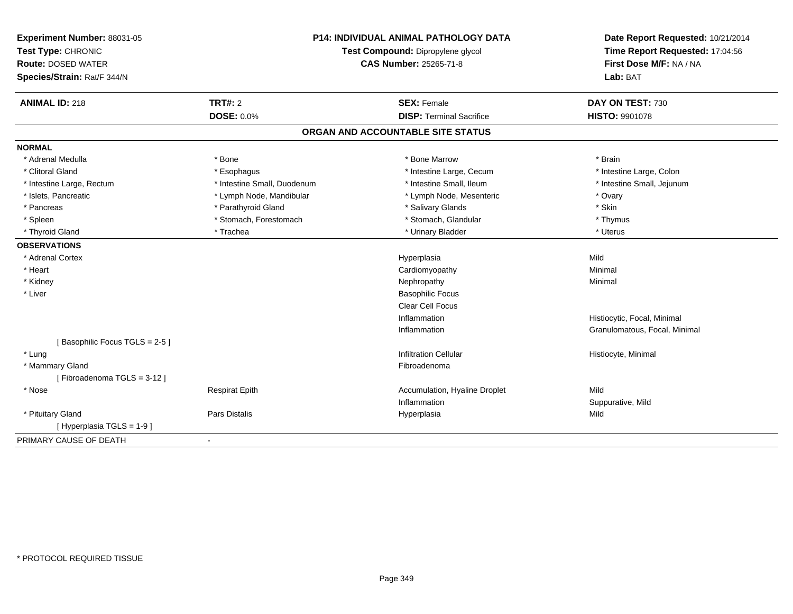| Experiment Number: 88031-05<br>Test Type: CHRONIC |                             | <b>P14: INDIVIDUAL ANIMAL PATHOLOGY DATA</b><br>Test Compound: Dipropylene glycol | Date Report Requested: 10/21/2014<br>Time Report Requested: 17:04:56 |
|---------------------------------------------------|-----------------------------|-----------------------------------------------------------------------------------|----------------------------------------------------------------------|
| <b>Route: DOSED WATER</b>                         |                             | <b>CAS Number: 25265-71-8</b>                                                     | First Dose M/F: NA / NA                                              |
| Species/Strain: Rat/F 344/N                       |                             |                                                                                   | Lab: BAT                                                             |
| <b>ANIMAL ID: 218</b>                             | <b>TRT#: 2</b>              | <b>SEX: Female</b>                                                                | DAY ON TEST: 730                                                     |
|                                                   | DOSE: 0.0%                  | <b>DISP: Terminal Sacrifice</b>                                                   | HISTO: 9901078                                                       |
|                                                   |                             | ORGAN AND ACCOUNTABLE SITE STATUS                                                 |                                                                      |
| <b>NORMAL</b>                                     |                             |                                                                                   |                                                                      |
| * Adrenal Medulla                                 | * Bone                      | * Bone Marrow                                                                     | * Brain                                                              |
| * Clitoral Gland                                  | * Esophagus                 | * Intestine Large, Cecum                                                          | * Intestine Large, Colon                                             |
| * Intestine Large, Rectum                         | * Intestine Small, Duodenum | * Intestine Small, Ileum                                                          | * Intestine Small, Jejunum                                           |
| * Islets, Pancreatic                              | * Lymph Node, Mandibular    | * Lymph Node, Mesenteric                                                          | * Ovary                                                              |
| * Pancreas                                        | * Parathyroid Gland         | * Salivary Glands                                                                 | * Skin                                                               |
| * Spleen                                          | * Stomach, Forestomach      | * Stomach, Glandular                                                              | * Thymus                                                             |
| * Thyroid Gland                                   | * Trachea                   | * Urinary Bladder                                                                 | * Uterus                                                             |
| <b>OBSERVATIONS</b>                               |                             |                                                                                   |                                                                      |
| * Adrenal Cortex                                  |                             | Hyperplasia                                                                       | Mild                                                                 |
| * Heart                                           |                             | Cardiomyopathy                                                                    | Minimal                                                              |
| * Kidney                                          |                             | Nephropathy                                                                       | Minimal                                                              |
| * Liver                                           |                             | <b>Basophilic Focus</b>                                                           |                                                                      |
|                                                   |                             | <b>Clear Cell Focus</b>                                                           |                                                                      |
|                                                   |                             | Inflammation                                                                      | Histiocytic, Focal, Minimal                                          |
|                                                   |                             | Inflammation                                                                      | Granulomatous, Focal, Minimal                                        |
| [Basophilic Focus TGLS = 2-5]                     |                             |                                                                                   |                                                                      |
| * Lung                                            |                             | <b>Infiltration Cellular</b>                                                      | Histiocyte, Minimal                                                  |
| * Mammary Gland                                   |                             | Fibroadenoma                                                                      |                                                                      |
| [Fibroadenoma TGLS = 3-12]                        |                             |                                                                                   |                                                                      |
| * Nose                                            | <b>Respirat Epith</b>       | Accumulation, Hyaline Droplet                                                     | Mild                                                                 |
|                                                   |                             | Inflammation                                                                      | Suppurative, Mild                                                    |
| * Pituitary Gland                                 | <b>Pars Distalis</b>        | Hyperplasia                                                                       | Mild                                                                 |
| [Hyperplasia TGLS = 1-9]                          |                             |                                                                                   |                                                                      |
| PRIMARY CAUSE OF DEATH                            | $\blacksquare$              |                                                                                   |                                                                      |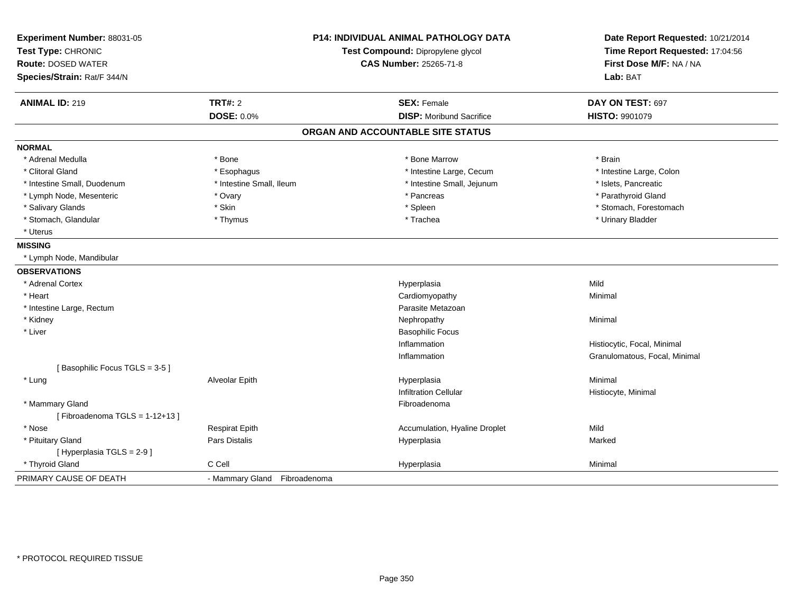| Experiment Number: 88031-05<br>Test Type: CHRONIC        | <b>P14: INDIVIDUAL ANIMAL PATHOLOGY DATA</b><br>Test Compound: Dipropylene glycol |                                   | Date Report Requested: 10/21/2014<br>Time Report Requested: 17:04:56 |
|----------------------------------------------------------|-----------------------------------------------------------------------------------|-----------------------------------|----------------------------------------------------------------------|
| <b>Route: DOSED WATER</b><br>Species/Strain: Rat/F 344/N |                                                                                   | CAS Number: 25265-71-8            | First Dose M/F: NA / NA<br>Lab: BAT                                  |
| <b>ANIMAL ID: 219</b>                                    | <b>TRT#: 2</b>                                                                    | <b>SEX: Female</b>                | DAY ON TEST: 697                                                     |
|                                                          | <b>DOSE: 0.0%</b>                                                                 | <b>DISP:</b> Moribund Sacrifice   | HISTO: 9901079                                                       |
|                                                          |                                                                                   | ORGAN AND ACCOUNTABLE SITE STATUS |                                                                      |
| <b>NORMAL</b>                                            |                                                                                   |                                   |                                                                      |
| * Adrenal Medulla                                        | * Bone                                                                            | * Bone Marrow                     | * Brain                                                              |
| * Clitoral Gland                                         | * Esophagus                                                                       | * Intestine Large, Cecum          | * Intestine Large, Colon                                             |
| * Intestine Small, Duodenum                              | * Intestine Small, Ileum                                                          | * Intestine Small, Jejunum        | * Islets, Pancreatic                                                 |
| * Lymph Node, Mesenteric                                 | * Ovary                                                                           | * Pancreas                        | * Parathyroid Gland                                                  |
| * Salivary Glands                                        | * Skin                                                                            | * Spleen                          | * Stomach, Forestomach                                               |
| * Stomach, Glandular                                     | * Thymus                                                                          | * Trachea                         | * Urinary Bladder                                                    |
| * Uterus                                                 |                                                                                   |                                   |                                                                      |
| <b>MISSING</b>                                           |                                                                                   |                                   |                                                                      |
| * Lymph Node, Mandibular                                 |                                                                                   |                                   |                                                                      |
| <b>OBSERVATIONS</b>                                      |                                                                                   |                                   |                                                                      |
| * Adrenal Cortex                                         |                                                                                   | Hyperplasia                       | Mild                                                                 |
| * Heart                                                  |                                                                                   | Cardiomyopathy                    | Minimal                                                              |
| * Intestine Large, Rectum                                |                                                                                   | Parasite Metazoan                 |                                                                      |
| * Kidney                                                 |                                                                                   | Nephropathy                       | Minimal                                                              |
| * Liver                                                  |                                                                                   | <b>Basophilic Focus</b>           |                                                                      |
|                                                          |                                                                                   | Inflammation                      | Histiocytic, Focal, Minimal                                          |
|                                                          |                                                                                   | Inflammation                      | Granulomatous, Focal, Minimal                                        |
| [Basophilic Focus TGLS = 3-5]                            |                                                                                   |                                   |                                                                      |
| * Lung                                                   | Alveolar Epith                                                                    | Hyperplasia                       | Minimal                                                              |
|                                                          |                                                                                   | <b>Infiltration Cellular</b>      | Histiocyte, Minimal                                                  |
| * Mammary Gland                                          |                                                                                   | Fibroadenoma                      |                                                                      |
| [Fibroadenoma TGLS = $1-12+13$ ]                         |                                                                                   |                                   |                                                                      |
| * Nose                                                   | <b>Respirat Epith</b>                                                             | Accumulation, Hyaline Droplet     | Mild                                                                 |
| * Pituitary Gland                                        | Pars Distalis                                                                     | Hyperplasia                       | Marked                                                               |
| [ Hyperplasia TGLS = 2-9]                                |                                                                                   |                                   |                                                                      |
| * Thyroid Gland                                          | C Cell                                                                            | Hyperplasia                       | Minimal                                                              |
| PRIMARY CAUSE OF DEATH                                   | - Mammary Gland Fibroadenoma                                                      |                                   |                                                                      |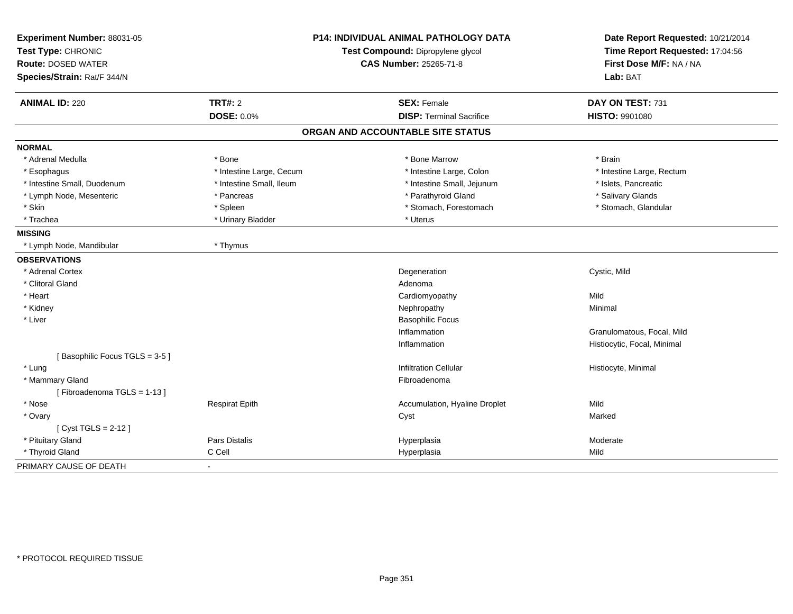| Experiment Number: 88031-05   |                          | <b>P14: INDIVIDUAL ANIMAL PATHOLOGY DATA</b> | Date Report Requested: 10/21/2014 |  |
|-------------------------------|--------------------------|----------------------------------------------|-----------------------------------|--|
| Test Type: CHRONIC            |                          | Test Compound: Dipropylene glycol            | Time Report Requested: 17:04:56   |  |
| <b>Route: DOSED WATER</b>     |                          | CAS Number: 25265-71-8                       | First Dose M/F: NA / NA           |  |
| Species/Strain: Rat/F 344/N   |                          |                                              | Lab: BAT                          |  |
| <b>ANIMAL ID: 220</b>         | <b>TRT#: 2</b>           | <b>SEX: Female</b>                           | DAY ON TEST: 731                  |  |
|                               | DOSE: 0.0%               | <b>DISP: Terminal Sacrifice</b>              | <b>HISTO: 9901080</b>             |  |
|                               |                          | ORGAN AND ACCOUNTABLE SITE STATUS            |                                   |  |
| <b>NORMAL</b>                 |                          |                                              |                                   |  |
| * Adrenal Medulla             | * Bone                   | * Bone Marrow                                | * Brain                           |  |
| * Esophagus                   | * Intestine Large, Cecum | * Intestine Large, Colon                     | * Intestine Large, Rectum         |  |
| * Intestine Small, Duodenum   | * Intestine Small, Ileum | * Intestine Small, Jejunum                   | * Islets, Pancreatic              |  |
| * Lymph Node, Mesenteric      | * Pancreas               | * Parathyroid Gland                          | * Salivary Glands                 |  |
| * Skin                        | * Spleen                 | * Stomach, Forestomach                       | * Stomach, Glandular              |  |
| * Trachea                     | * Urinary Bladder        | * Uterus                                     |                                   |  |
| <b>MISSING</b>                |                          |                                              |                                   |  |
| * Lymph Node, Mandibular      | * Thymus                 |                                              |                                   |  |
| <b>OBSERVATIONS</b>           |                          |                                              |                                   |  |
| * Adrenal Cortex              |                          | Degeneration                                 | Cystic, Mild                      |  |
| * Clitoral Gland              |                          | Adenoma                                      |                                   |  |
| * Heart                       |                          | Cardiomyopathy                               | Mild                              |  |
| * Kidney                      |                          | Nephropathy                                  | Minimal                           |  |
| * Liver                       |                          | <b>Basophilic Focus</b>                      |                                   |  |
|                               |                          | Inflammation                                 | Granulomatous, Focal, Mild        |  |
|                               |                          | Inflammation                                 | Histiocytic, Focal, Minimal       |  |
| [Basophilic Focus TGLS = 3-5] |                          |                                              |                                   |  |
| * Lung                        |                          | <b>Infiltration Cellular</b>                 | Histiocyte, Minimal               |  |
| * Mammary Gland               |                          | Fibroadenoma                                 |                                   |  |
| [Fibroadenoma TGLS = 1-13]    |                          |                                              |                                   |  |
| * Nose                        | <b>Respirat Epith</b>    | Accumulation, Hyaline Droplet                | Mild                              |  |
| * Ovary                       |                          | Cyst                                         | Marked                            |  |
| [ Cyst TGLS = 2-12 ]          |                          |                                              |                                   |  |
| * Pituitary Gland             | Pars Distalis            | Hyperplasia                                  | Moderate                          |  |
| * Thyroid Gland               | C Cell                   | Hyperplasia                                  | Mild                              |  |
| PRIMARY CAUSE OF DEATH        |                          |                                              |                                   |  |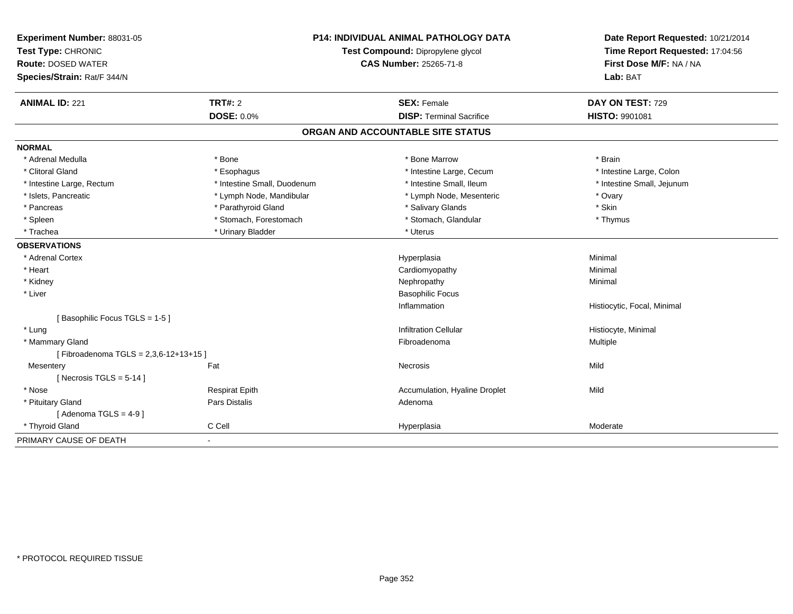| Experiment Number: 88031-05          | <b>P14: INDIVIDUAL ANIMAL PATHOLOGY DATA</b> |                                   | Date Report Requested: 10/21/2014                          |
|--------------------------------------|----------------------------------------------|-----------------------------------|------------------------------------------------------------|
| Test Type: CHRONIC                   |                                              | Test Compound: Dipropylene glycol | Time Report Requested: 17:04:56<br>First Dose M/F: NA / NA |
| <b>Route: DOSED WATER</b>            |                                              | <b>CAS Number: 25265-71-8</b>     |                                                            |
| Species/Strain: Rat/F 344/N          |                                              |                                   | Lab: BAT                                                   |
| <b>ANIMAL ID: 221</b>                | <b>TRT#: 2</b>                               | <b>SEX: Female</b>                | DAY ON TEST: 729                                           |
|                                      | <b>DOSE: 0.0%</b>                            | <b>DISP: Terminal Sacrifice</b>   | <b>HISTO: 9901081</b>                                      |
|                                      |                                              | ORGAN AND ACCOUNTABLE SITE STATUS |                                                            |
| <b>NORMAL</b>                        |                                              |                                   |                                                            |
| * Adrenal Medulla                    | * Bone                                       | * Bone Marrow                     | * Brain                                                    |
| * Clitoral Gland                     | * Esophagus                                  | * Intestine Large, Cecum          | * Intestine Large, Colon                                   |
| * Intestine Large, Rectum            | * Intestine Small, Duodenum                  | * Intestine Small, Ileum          | * Intestine Small, Jejunum                                 |
| * Islets, Pancreatic                 | * Lymph Node, Mandibular                     | * Lymph Node, Mesenteric          | * Ovary                                                    |
| * Pancreas                           | * Parathyroid Gland                          | * Salivary Glands                 | * Skin                                                     |
| * Spleen                             | * Stomach, Forestomach                       | * Stomach, Glandular              | * Thymus                                                   |
| * Trachea                            | * Urinary Bladder                            | * Uterus                          |                                                            |
| <b>OBSERVATIONS</b>                  |                                              |                                   |                                                            |
| * Adrenal Cortex                     |                                              | Hyperplasia                       | Minimal                                                    |
| * Heart                              |                                              | Cardiomyopathy                    | Minimal                                                    |
| * Kidney                             |                                              | Nephropathy                       | Minimal                                                    |
| * Liver                              |                                              | <b>Basophilic Focus</b>           |                                                            |
|                                      |                                              | Inflammation                      | Histiocytic, Focal, Minimal                                |
| [Basophilic Focus TGLS = 1-5]        |                                              |                                   |                                                            |
| * Lung                               |                                              | <b>Infiltration Cellular</b>      | Histiocyte, Minimal                                        |
| * Mammary Gland                      |                                              | Fibroadenoma                      | Multiple                                                   |
| [Fibroadenoma TGLS = 2,3,6-12+13+15] |                                              |                                   |                                                            |
| Mesentery                            | Fat                                          | Necrosis                          | Mild                                                       |
| [Necrosis TGLS = $5-14$ ]            |                                              |                                   |                                                            |
| * Nose                               | <b>Respirat Epith</b>                        | Accumulation, Hyaline Droplet     | Mild                                                       |
| * Pituitary Gland                    | Pars Distalis                                | Adenoma                           |                                                            |
| [Adenoma TGLS = $4-9$ ]              |                                              |                                   |                                                            |
| * Thyroid Gland                      | C Cell                                       | Hyperplasia                       | Moderate                                                   |
| PRIMARY CAUSE OF DEATH               | $\blacksquare$                               |                                   |                                                            |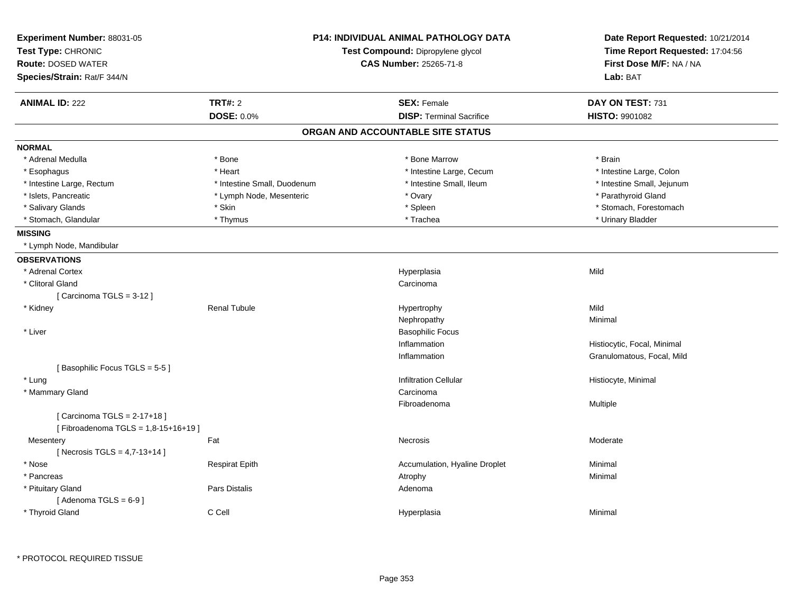| Experiment Number: 88031-05<br>Test Type: CHRONIC<br><b>Route: DOSED WATER</b><br>Species/Strain: Rat/F 344/N | <b>P14: INDIVIDUAL ANIMAL PATHOLOGY DATA</b><br>Test Compound: Dipropylene glycol<br><b>CAS Number: 25265-71-8</b> |                                   | Date Report Requested: 10/21/2014<br>Time Report Requested: 17:04:56<br>First Dose M/F: NA / NA<br>Lab: BAT |
|---------------------------------------------------------------------------------------------------------------|--------------------------------------------------------------------------------------------------------------------|-----------------------------------|-------------------------------------------------------------------------------------------------------------|
|                                                                                                               |                                                                                                                    |                                   |                                                                                                             |
| <b>ANIMAL ID: 222</b>                                                                                         | TRT#: 2                                                                                                            | <b>SEX: Female</b>                | DAY ON TEST: 731                                                                                            |
|                                                                                                               | <b>DOSE: 0.0%</b>                                                                                                  | <b>DISP: Terminal Sacrifice</b>   | HISTO: 9901082                                                                                              |
|                                                                                                               |                                                                                                                    | ORGAN AND ACCOUNTABLE SITE STATUS |                                                                                                             |
| <b>NORMAL</b>                                                                                                 |                                                                                                                    |                                   |                                                                                                             |
| * Adrenal Medulla                                                                                             | * Bone                                                                                                             | * Bone Marrow                     | * Brain                                                                                                     |
| * Esophagus                                                                                                   | * Heart                                                                                                            | * Intestine Large, Cecum          | * Intestine Large, Colon                                                                                    |
| * Intestine Large, Rectum                                                                                     | * Intestine Small, Duodenum                                                                                        | * Intestine Small, Ileum          | * Intestine Small, Jejunum                                                                                  |
| * Islets, Pancreatic                                                                                          | * Lymph Node, Mesenteric                                                                                           | * Ovary                           | * Parathyroid Gland                                                                                         |
| * Salivary Glands                                                                                             | * Skin                                                                                                             | * Spleen                          | * Stomach, Forestomach                                                                                      |
| * Stomach, Glandular                                                                                          | * Thymus                                                                                                           | * Trachea                         | * Urinary Bladder                                                                                           |
| <b>MISSING</b>                                                                                                |                                                                                                                    |                                   |                                                                                                             |
| * Lymph Node, Mandibular                                                                                      |                                                                                                                    |                                   |                                                                                                             |
| <b>OBSERVATIONS</b>                                                                                           |                                                                                                                    |                                   |                                                                                                             |
| * Adrenal Cortex                                                                                              |                                                                                                                    | Hyperplasia                       | Mild                                                                                                        |
| * Clitoral Gland                                                                                              |                                                                                                                    | Carcinoma                         |                                                                                                             |
| [Carcinoma TGLS = 3-12]                                                                                       |                                                                                                                    |                                   |                                                                                                             |
| * Kidney                                                                                                      | <b>Renal Tubule</b>                                                                                                | Hypertrophy                       | Mild                                                                                                        |
|                                                                                                               |                                                                                                                    | Nephropathy                       | Minimal                                                                                                     |
| * Liver                                                                                                       |                                                                                                                    | <b>Basophilic Focus</b>           |                                                                                                             |
|                                                                                                               |                                                                                                                    | Inflammation                      | Histiocytic, Focal, Minimal                                                                                 |
|                                                                                                               |                                                                                                                    | Inflammation                      | Granulomatous, Focal, Mild                                                                                  |
| [Basophilic Focus TGLS = 5-5]                                                                                 |                                                                                                                    |                                   |                                                                                                             |
| * Lung                                                                                                        |                                                                                                                    | <b>Infiltration Cellular</b>      | Histiocyte, Minimal                                                                                         |
| * Mammary Gland                                                                                               |                                                                                                                    | Carcinoma                         |                                                                                                             |
|                                                                                                               |                                                                                                                    | Fibroadenoma                      | Multiple                                                                                                    |
| [ Carcinoma TGLS = 2-17+18 ]                                                                                  |                                                                                                                    |                                   |                                                                                                             |
| [Fibroadenoma TGLS = 1,8-15+16+19]                                                                            |                                                                                                                    |                                   |                                                                                                             |
| Mesentery                                                                                                     | Fat                                                                                                                | Necrosis                          | Moderate                                                                                                    |
| [ Necrosis TGLS = $4,7-13+14$ ]                                                                               |                                                                                                                    |                                   |                                                                                                             |
| * Nose                                                                                                        | <b>Respirat Epith</b>                                                                                              | Accumulation, Hyaline Droplet     | Minimal                                                                                                     |
| * Pancreas                                                                                                    |                                                                                                                    | Atrophy                           | Minimal                                                                                                     |
| * Pituitary Gland                                                                                             | Pars Distalis                                                                                                      | Adenoma                           |                                                                                                             |
| [Adenoma TGLS = $6-9$ ]                                                                                       |                                                                                                                    |                                   |                                                                                                             |
| * Thyroid Gland                                                                                               | C Cell                                                                                                             | Hyperplasia                       | Minimal                                                                                                     |
|                                                                                                               |                                                                                                                    |                                   |                                                                                                             |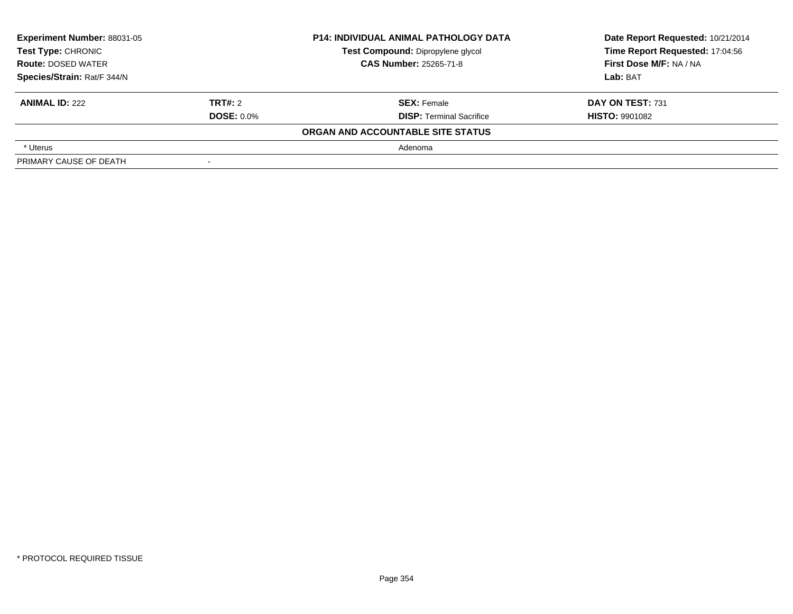| Experiment Number: 88031-05<br><b>Test Type: CHRONIC</b><br><b>Route: DOSED WATER</b> |                   | <b>P14: INDIVIDUAL ANIMAL PATHOLOGY DATA</b> | Date Report Requested: 10/21/2014 |
|---------------------------------------------------------------------------------------|-------------------|----------------------------------------------|-----------------------------------|
|                                                                                       |                   | Test Compound: Dipropylene glycol            | Time Report Requested: 17:04:56   |
|                                                                                       |                   | <b>CAS Number: 25265-71-8</b>                | First Dose M/F: NA / NA           |
| Species/Strain: Rat/F 344/N                                                           |                   |                                              | Lab: BAT                          |
| <b>ANIMAL ID: 222</b>                                                                 | TRT#: 2           | <b>SEX: Female</b>                           | DAY ON TEST: 731                  |
|                                                                                       | <b>DOSE: 0.0%</b> | <b>DISP: Terminal Sacrifice</b>              | <b>HISTO: 9901082</b>             |
|                                                                                       |                   | ORGAN AND ACCOUNTABLE SITE STATUS            |                                   |
| * Uterus                                                                              |                   | Adenoma                                      |                                   |
| PRIMARY CAUSE OF DEATH                                                                |                   |                                              |                                   |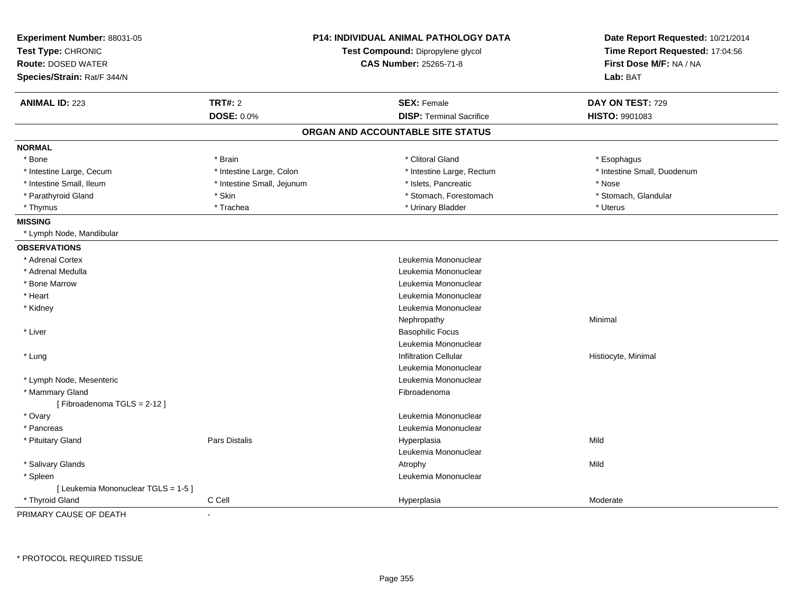| Experiment Number: 88031-05<br>Test Type: CHRONIC<br><b>Route: DOSED WATER</b><br>Species/Strain: Rat/F 344/N |                            | <b>P14: INDIVIDUAL ANIMAL PATHOLOGY DATA</b><br>Test Compound: Dipropylene glycol<br><b>CAS Number: 25265-71-8</b> | Date Report Requested: 10/21/2014<br>Time Report Requested: 17:04:56<br>First Dose M/F: NA / NA<br>Lab: BAT |
|---------------------------------------------------------------------------------------------------------------|----------------------------|--------------------------------------------------------------------------------------------------------------------|-------------------------------------------------------------------------------------------------------------|
| <b>ANIMAL ID: 223</b>                                                                                         | <b>TRT#: 2</b>             | <b>SEX: Female</b>                                                                                                 | DAY ON TEST: 729                                                                                            |
|                                                                                                               | <b>DOSE: 0.0%</b>          | <b>DISP: Terminal Sacrifice</b>                                                                                    | HISTO: 9901083                                                                                              |
|                                                                                                               |                            | ORGAN AND ACCOUNTABLE SITE STATUS                                                                                  |                                                                                                             |
| <b>NORMAL</b>                                                                                                 |                            |                                                                                                                    |                                                                                                             |
| * Bone                                                                                                        | * Brain                    | * Clitoral Gland                                                                                                   | * Esophagus                                                                                                 |
| * Intestine Large, Cecum                                                                                      | * Intestine Large, Colon   | * Intestine Large, Rectum                                                                                          | * Intestine Small, Duodenum                                                                                 |
| * Intestine Small, Ileum                                                                                      | * Intestine Small, Jejunum | * Islets, Pancreatic                                                                                               | * Nose                                                                                                      |
| * Parathyroid Gland                                                                                           | * Skin                     | * Stomach, Forestomach                                                                                             | * Stomach, Glandular                                                                                        |
| * Thymus                                                                                                      | * Trachea                  | * Urinary Bladder                                                                                                  | * Uterus                                                                                                    |
| <b>MISSING</b>                                                                                                |                            |                                                                                                                    |                                                                                                             |
| * Lymph Node, Mandibular                                                                                      |                            |                                                                                                                    |                                                                                                             |
| <b>OBSERVATIONS</b>                                                                                           |                            |                                                                                                                    |                                                                                                             |
| * Adrenal Cortex                                                                                              |                            | Leukemia Mononuclear                                                                                               |                                                                                                             |
| * Adrenal Medulla                                                                                             |                            | Leukemia Mononuclear                                                                                               |                                                                                                             |
| * Bone Marrow                                                                                                 |                            | Leukemia Mononuclear                                                                                               |                                                                                                             |
| * Heart                                                                                                       |                            | Leukemia Mononuclear                                                                                               |                                                                                                             |
| * Kidney                                                                                                      |                            | Leukemia Mononuclear                                                                                               |                                                                                                             |
|                                                                                                               |                            | Nephropathy                                                                                                        | Minimal                                                                                                     |
| * Liver                                                                                                       |                            | <b>Basophilic Focus</b>                                                                                            |                                                                                                             |
|                                                                                                               |                            | Leukemia Mononuclear                                                                                               |                                                                                                             |
| * Lung                                                                                                        |                            | <b>Infiltration Cellular</b>                                                                                       | Histiocyte, Minimal                                                                                         |
|                                                                                                               |                            | Leukemia Mononuclear                                                                                               |                                                                                                             |
| * Lymph Node, Mesenteric                                                                                      |                            | Leukemia Mononuclear                                                                                               |                                                                                                             |
| * Mammary Gland                                                                                               |                            | Fibroadenoma                                                                                                       |                                                                                                             |
| [Fibroadenoma TGLS = 2-12]                                                                                    |                            |                                                                                                                    |                                                                                                             |
| * Ovary                                                                                                       |                            | Leukemia Mononuclear                                                                                               |                                                                                                             |
| * Pancreas                                                                                                    |                            | Leukemia Mononuclear                                                                                               |                                                                                                             |
| * Pituitary Gland                                                                                             | <b>Pars Distalis</b>       | Hyperplasia                                                                                                        | Mild                                                                                                        |
|                                                                                                               |                            | Leukemia Mononuclear                                                                                               |                                                                                                             |
| * Salivary Glands                                                                                             |                            | Atrophy                                                                                                            | Mild                                                                                                        |
| * Spleen                                                                                                      |                            | Leukemia Mononuclear                                                                                               |                                                                                                             |
| [ Leukemia Mononuclear TGLS = 1-5 ]                                                                           |                            |                                                                                                                    |                                                                                                             |
| * Thyroid Gland                                                                                               | C Cell                     | Hyperplasia                                                                                                        | Moderate                                                                                                    |

PRIMARY CAUSE OF DEATH-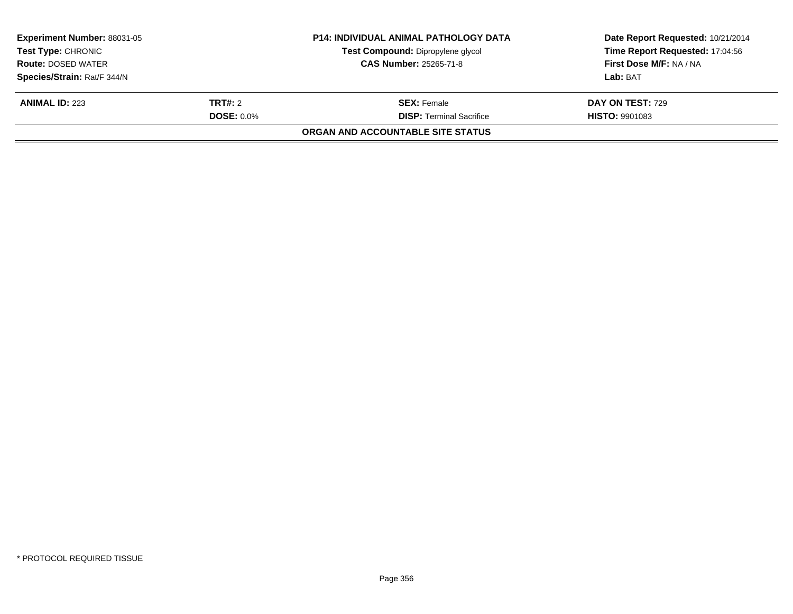| <b>Experiment Number: 88031-05</b><br><b>Test Type: CHRONIC</b> |                   | <b>P14: INDIVIDUAL ANIMAL PATHOLOGY DATA</b><br>Test Compound: Dipropylene glycol | Date Report Requested: 10/21/2014<br>Time Report Requested: 17:04:56 |
|-----------------------------------------------------------------|-------------------|-----------------------------------------------------------------------------------|----------------------------------------------------------------------|
| <b>Route: DOSED WATER</b>                                       |                   | <b>CAS Number: 25265-71-8</b>                                                     | First Dose M/F: NA / NA                                              |
| Species/Strain: Rat/F 344/N                                     |                   |                                                                                   | Lab: BAT                                                             |
| <b>ANIMAL ID: 223</b>                                           | <b>TRT#:</b> 2    | <b>SEX: Female</b>                                                                | <b>DAY ON TEST: 729</b>                                              |
|                                                                 | <b>DOSE: 0.0%</b> | <b>DISP:</b> Terminal Sacrifice                                                   | <b>HISTO: 9901083</b>                                                |
|                                                                 |                   | <b>ORGAN AND ACCOUNTABLE SITE STATUS</b>                                          |                                                                      |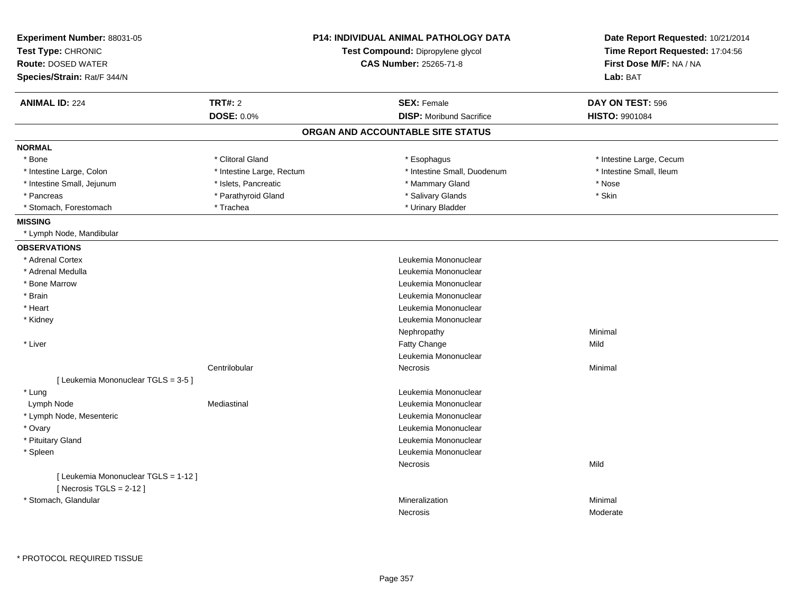| Experiment Number: 88031-05<br>Test Type: CHRONIC<br><b>Route: DOSED WATER</b><br>Species/Strain: Rat/F 344/N |                           | <b>P14: INDIVIDUAL ANIMAL PATHOLOGY DATA</b><br>Test Compound: Dipropylene glycol<br><b>CAS Number: 25265-71-8</b> | Date Report Requested: 10/21/2014<br>Time Report Requested: 17:04:56<br>First Dose M/F: NA / NA<br>Lab: BAT |
|---------------------------------------------------------------------------------------------------------------|---------------------------|--------------------------------------------------------------------------------------------------------------------|-------------------------------------------------------------------------------------------------------------|
| <b>ANIMAL ID: 224</b>                                                                                         | <b>TRT#: 2</b>            | <b>SEX: Female</b>                                                                                                 | DAY ON TEST: 596                                                                                            |
|                                                                                                               | <b>DOSE: 0.0%</b>         | <b>DISP:</b> Moribund Sacrifice                                                                                    | <b>HISTO: 9901084</b>                                                                                       |
|                                                                                                               |                           | ORGAN AND ACCOUNTABLE SITE STATUS                                                                                  |                                                                                                             |
| <b>NORMAL</b>                                                                                                 |                           |                                                                                                                    |                                                                                                             |
| * Bone                                                                                                        | * Clitoral Gland          | * Esophagus                                                                                                        | * Intestine Large, Cecum                                                                                    |
| * Intestine Large, Colon                                                                                      | * Intestine Large, Rectum | * Intestine Small, Duodenum                                                                                        | * Intestine Small, Ileum                                                                                    |
| * Intestine Small, Jejunum                                                                                    | * Islets, Pancreatic      | * Mammary Gland                                                                                                    | * Nose                                                                                                      |
| * Pancreas                                                                                                    | * Parathyroid Gland       | * Salivary Glands                                                                                                  | * Skin                                                                                                      |
| * Stomach, Forestomach                                                                                        | * Trachea                 | * Urinary Bladder                                                                                                  |                                                                                                             |
| <b>MISSING</b>                                                                                                |                           |                                                                                                                    |                                                                                                             |
| * Lymph Node, Mandibular                                                                                      |                           |                                                                                                                    |                                                                                                             |
| <b>OBSERVATIONS</b>                                                                                           |                           |                                                                                                                    |                                                                                                             |
| * Adrenal Cortex                                                                                              |                           | Leukemia Mononuclear                                                                                               |                                                                                                             |
| * Adrenal Medulla                                                                                             |                           | Leukemia Mononuclear                                                                                               |                                                                                                             |
| * Bone Marrow                                                                                                 |                           | Leukemia Mononuclear                                                                                               |                                                                                                             |
| * Brain                                                                                                       |                           | Leukemia Mononuclear                                                                                               |                                                                                                             |
| * Heart                                                                                                       |                           | Leukemia Mononuclear                                                                                               |                                                                                                             |
| * Kidney                                                                                                      |                           | Leukemia Mononuclear                                                                                               |                                                                                                             |
|                                                                                                               |                           | Nephropathy                                                                                                        | Minimal                                                                                                     |
| * Liver                                                                                                       |                           | Fatty Change                                                                                                       | Mild                                                                                                        |
|                                                                                                               |                           | Leukemia Mononuclear                                                                                               |                                                                                                             |
|                                                                                                               | Centrilobular             | Necrosis                                                                                                           | Minimal                                                                                                     |
| [ Leukemia Mononuclear TGLS = 3-5 ]                                                                           |                           |                                                                                                                    |                                                                                                             |
| * Lung                                                                                                        |                           | Leukemia Mononuclear                                                                                               |                                                                                                             |
| Lymph Node                                                                                                    | Mediastinal               | Leukemia Mononuclear                                                                                               |                                                                                                             |
| * Lymph Node, Mesenteric                                                                                      |                           | Leukemia Mononuclear                                                                                               |                                                                                                             |
| * Ovary                                                                                                       |                           | Leukemia Mononuclear                                                                                               |                                                                                                             |
| * Pituitary Gland                                                                                             |                           | Leukemia Mononuclear                                                                                               |                                                                                                             |
| * Spleen                                                                                                      |                           | Leukemia Mononuclear                                                                                               |                                                                                                             |
|                                                                                                               |                           | Necrosis                                                                                                           | Mild                                                                                                        |
| [ Leukemia Mononuclear TGLS = 1-12 ]<br>[Necrosis $TGLS = 2-12$ ]                                             |                           |                                                                                                                    |                                                                                                             |
| * Stomach, Glandular                                                                                          |                           | Mineralization                                                                                                     | Minimal                                                                                                     |
|                                                                                                               |                           | Necrosis                                                                                                           | Moderate                                                                                                    |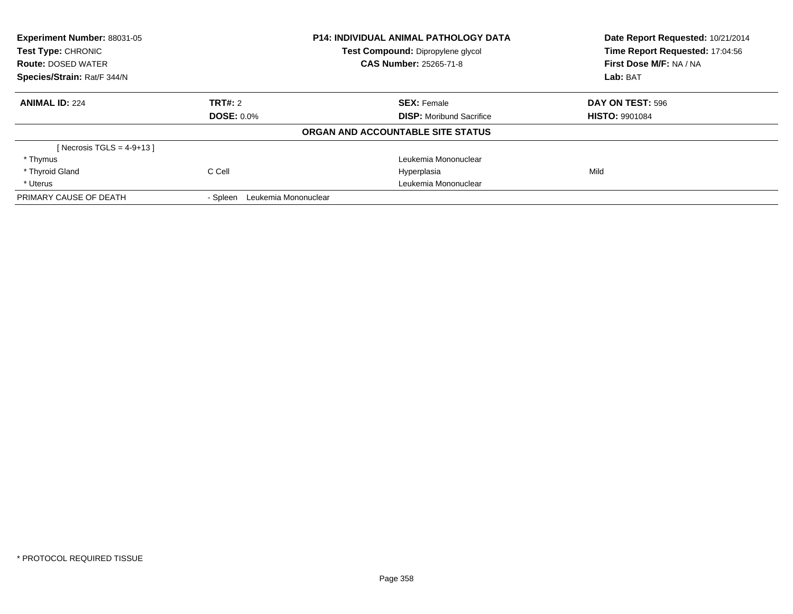| Experiment Number: 88031-05<br>Test Type: CHRONIC |                                  | <b>P14: INDIVIDUAL ANIMAL PATHOLOGY DATA</b><br>Test Compound: Dipropylene glycol | Date Report Requested: 10/21/2014<br>Time Report Requested: 17:04:56 |
|---------------------------------------------------|----------------------------------|-----------------------------------------------------------------------------------|----------------------------------------------------------------------|
| <b>Route: DOSED WATER</b>                         |                                  | <b>CAS Number: 25265-71-8</b>                                                     | First Dose M/F: NA / NA                                              |
| Species/Strain: Rat/F 344/N                       |                                  |                                                                                   | Lab: BAT                                                             |
| <b>ANIMAL ID: 224</b>                             | TRT#: 2                          | <b>SEX: Female</b>                                                                | DAY ON TEST: 596                                                     |
|                                                   | <b>DOSE: 0.0%</b>                | <b>DISP:</b> Moribund Sacrifice                                                   | <b>HISTO: 9901084</b>                                                |
|                                                   |                                  | ORGAN AND ACCOUNTABLE SITE STATUS                                                 |                                                                      |
| [Necrosis TGLS = $4-9+13$ ]                       |                                  |                                                                                   |                                                                      |
| * Thymus                                          |                                  | Leukemia Mononuclear                                                              |                                                                      |
| * Thyroid Gland                                   | C Cell                           | Hyperplasia                                                                       | Mild                                                                 |
| * Uterus                                          |                                  | Leukemia Mononuclear                                                              |                                                                      |
| PRIMARY CAUSE OF DEATH                            | Leukemia Mononuclear<br>- Spleen |                                                                                   |                                                                      |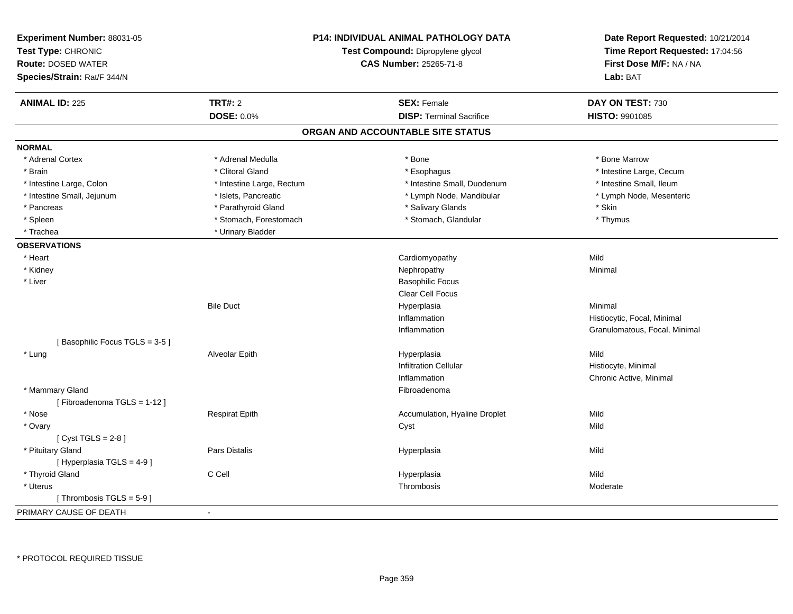| Experiment Number: 88031-05<br>Test Type: CHRONIC<br><b>Route: DOSED WATER</b><br>Species/Strain: Rat/F 344/N |                           | <b>P14: INDIVIDUAL ANIMAL PATHOLOGY DATA</b><br>Test Compound: Dipropylene glycol<br>CAS Number: 25265-71-8 | Date Report Requested: 10/21/2014<br>Time Report Requested: 17:04:56<br>First Dose M/F: NA / NA<br>Lab: BAT |
|---------------------------------------------------------------------------------------------------------------|---------------------------|-------------------------------------------------------------------------------------------------------------|-------------------------------------------------------------------------------------------------------------|
| <b>ANIMAL ID: 225</b>                                                                                         | <b>TRT#: 2</b>            | <b>SEX: Female</b>                                                                                          | DAY ON TEST: 730                                                                                            |
|                                                                                                               | <b>DOSE: 0.0%</b>         | <b>DISP: Terminal Sacrifice</b>                                                                             | HISTO: 9901085                                                                                              |
|                                                                                                               |                           | ORGAN AND ACCOUNTABLE SITE STATUS                                                                           |                                                                                                             |
| <b>NORMAL</b>                                                                                                 |                           |                                                                                                             |                                                                                                             |
| * Adrenal Cortex                                                                                              | * Adrenal Medulla         | * Bone                                                                                                      | * Bone Marrow                                                                                               |
| * Brain                                                                                                       | * Clitoral Gland          | * Esophagus                                                                                                 | * Intestine Large, Cecum                                                                                    |
| * Intestine Large, Colon                                                                                      | * Intestine Large, Rectum | * Intestine Small, Duodenum                                                                                 | * Intestine Small, Ileum                                                                                    |
| * Intestine Small, Jejunum                                                                                    | * Islets, Pancreatic      | * Lymph Node, Mandibular                                                                                    | * Lymph Node, Mesenteric                                                                                    |
| * Pancreas                                                                                                    | * Parathyroid Gland       | * Salivary Glands                                                                                           | * Skin                                                                                                      |
| * Spleen                                                                                                      | * Stomach, Forestomach    | * Stomach, Glandular                                                                                        | * Thymus                                                                                                    |
| * Trachea                                                                                                     | * Urinary Bladder         |                                                                                                             |                                                                                                             |
| <b>OBSERVATIONS</b>                                                                                           |                           |                                                                                                             |                                                                                                             |
| * Heart                                                                                                       |                           | Cardiomyopathy                                                                                              | Mild                                                                                                        |
| * Kidney                                                                                                      |                           | Nephropathy                                                                                                 | Minimal                                                                                                     |
| * Liver                                                                                                       |                           | <b>Basophilic Focus</b>                                                                                     |                                                                                                             |
|                                                                                                               |                           | Clear Cell Focus                                                                                            |                                                                                                             |
|                                                                                                               | <b>Bile Duct</b>          | Hyperplasia                                                                                                 | Minimal                                                                                                     |
|                                                                                                               |                           | Inflammation                                                                                                | Histiocytic, Focal, Minimal                                                                                 |
|                                                                                                               |                           | Inflammation                                                                                                | Granulomatous, Focal, Minimal                                                                               |
| [Basophilic Focus TGLS = 3-5]                                                                                 |                           |                                                                                                             |                                                                                                             |
| * Lung                                                                                                        | Alveolar Epith            | Hyperplasia                                                                                                 | Mild                                                                                                        |
|                                                                                                               |                           | <b>Infiltration Cellular</b>                                                                                | Histiocyte, Minimal                                                                                         |
|                                                                                                               |                           | Inflammation                                                                                                | Chronic Active, Minimal                                                                                     |
| * Mammary Gland                                                                                               |                           | Fibroadenoma                                                                                                |                                                                                                             |
| [Fibroadenoma TGLS = 1-12]                                                                                    |                           |                                                                                                             |                                                                                                             |
| * Nose                                                                                                        | <b>Respirat Epith</b>     | Accumulation, Hyaline Droplet                                                                               | Mild                                                                                                        |
| * Ovary                                                                                                       |                           | Cyst                                                                                                        | Mild                                                                                                        |
| [Cyst TGLS = $2-8$ ]                                                                                          |                           |                                                                                                             |                                                                                                             |
| * Pituitary Gland                                                                                             | Pars Distalis             | Hyperplasia                                                                                                 | Mild                                                                                                        |
| [ Hyperplasia TGLS = 4-9]                                                                                     |                           |                                                                                                             |                                                                                                             |
| * Thyroid Gland                                                                                               | C Cell                    | Hyperplasia                                                                                                 | Mild                                                                                                        |
| * Uterus                                                                                                      |                           | Thrombosis                                                                                                  | Moderate                                                                                                    |
| [Thrombosis TGLS = 5-9]                                                                                       |                           |                                                                                                             |                                                                                                             |
| PRIMARY CAUSE OF DEATH                                                                                        |                           |                                                                                                             |                                                                                                             |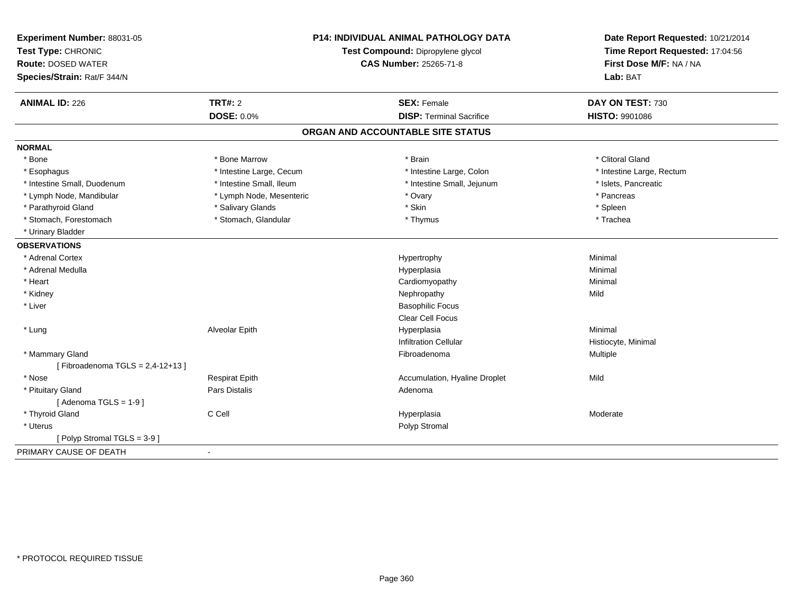| Experiment Number: 88031-05<br>Test Type: CHRONIC<br><b>Route: DOSED WATER</b><br>Species/Strain: Rat/F 344/N | <b>P14: INDIVIDUAL ANIMAL PATHOLOGY DATA</b><br>Test Compound: Dipropylene glycol<br><b>CAS Number: 25265-71-8</b> |                                   | Date Report Requested: 10/21/2014<br>Time Report Requested: 17:04:56<br>First Dose M/F: NA / NA<br>Lab: BAT |  |
|---------------------------------------------------------------------------------------------------------------|--------------------------------------------------------------------------------------------------------------------|-----------------------------------|-------------------------------------------------------------------------------------------------------------|--|
| <b>ANIMAL ID: 226</b>                                                                                         | <b>TRT#: 2</b>                                                                                                     | <b>SEX: Female</b>                | DAY ON TEST: 730                                                                                            |  |
|                                                                                                               | <b>DOSE: 0.0%</b>                                                                                                  | <b>DISP: Terminal Sacrifice</b>   | HISTO: 9901086                                                                                              |  |
|                                                                                                               |                                                                                                                    | ORGAN AND ACCOUNTABLE SITE STATUS |                                                                                                             |  |
| <b>NORMAL</b>                                                                                                 |                                                                                                                    |                                   |                                                                                                             |  |
| * Bone                                                                                                        | * Bone Marrow                                                                                                      | * Brain                           | * Clitoral Gland                                                                                            |  |
| * Esophagus                                                                                                   | * Intestine Large, Cecum                                                                                           | * Intestine Large, Colon          | * Intestine Large, Rectum                                                                                   |  |
| * Intestine Small, Duodenum                                                                                   | * Intestine Small, Ileum                                                                                           | * Intestine Small, Jejunum        | * Islets, Pancreatic                                                                                        |  |
| * Lymph Node, Mandibular                                                                                      | * Lymph Node, Mesenteric                                                                                           | * Ovary                           | * Pancreas                                                                                                  |  |
| * Parathyroid Gland                                                                                           | * Salivary Glands                                                                                                  | * Skin                            | * Spleen                                                                                                    |  |
| * Stomach, Forestomach                                                                                        | * Stomach, Glandular                                                                                               | * Thymus                          | * Trachea                                                                                                   |  |
| * Urinary Bladder                                                                                             |                                                                                                                    |                                   |                                                                                                             |  |
| <b>OBSERVATIONS</b>                                                                                           |                                                                                                                    |                                   |                                                                                                             |  |
| * Adrenal Cortex                                                                                              |                                                                                                                    | Hypertrophy                       | Minimal                                                                                                     |  |
| * Adrenal Medulla                                                                                             |                                                                                                                    | Hyperplasia                       | Minimal                                                                                                     |  |
| * Heart                                                                                                       |                                                                                                                    | Cardiomyopathy                    | Minimal                                                                                                     |  |
| * Kidney                                                                                                      |                                                                                                                    | Nephropathy                       | Mild                                                                                                        |  |
| * Liver                                                                                                       |                                                                                                                    | <b>Basophilic Focus</b>           |                                                                                                             |  |
|                                                                                                               |                                                                                                                    | Clear Cell Focus                  |                                                                                                             |  |
| * Lung                                                                                                        | Alveolar Epith                                                                                                     | Hyperplasia                       | Minimal                                                                                                     |  |
|                                                                                                               |                                                                                                                    | <b>Infiltration Cellular</b>      | Histiocyte, Minimal                                                                                         |  |
| * Mammary Gland                                                                                               |                                                                                                                    | Fibroadenoma                      | Multiple                                                                                                    |  |
| [Fibroadenoma TGLS = $2,4-12+13$ ]                                                                            |                                                                                                                    |                                   |                                                                                                             |  |
| * Nose                                                                                                        | <b>Respirat Epith</b>                                                                                              | Accumulation, Hyaline Droplet     | Mild                                                                                                        |  |
| * Pituitary Gland                                                                                             | Pars Distalis                                                                                                      | Adenoma                           |                                                                                                             |  |
| [Adenoma TGLS = $1-9$ ]                                                                                       |                                                                                                                    |                                   |                                                                                                             |  |
| * Thyroid Gland                                                                                               | C Cell                                                                                                             | Hyperplasia                       | Moderate                                                                                                    |  |
| * Uterus                                                                                                      |                                                                                                                    | Polyp Stromal                     |                                                                                                             |  |
| [Polyp Stromal TGLS = 3-9 ]                                                                                   |                                                                                                                    |                                   |                                                                                                             |  |
| PRIMARY CAUSE OF DEATH                                                                                        | $\mathbf{r}$                                                                                                       |                                   |                                                                                                             |  |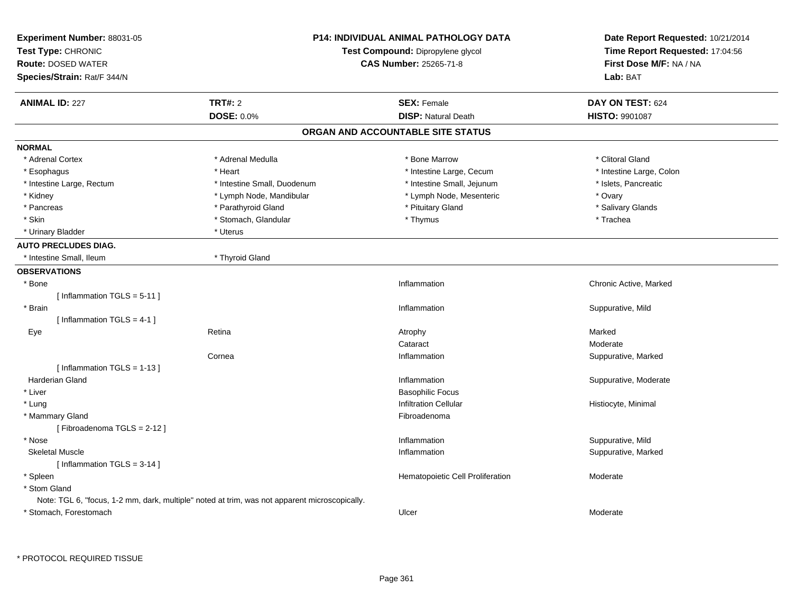| Experiment Number: 88031-05<br>Test Type: CHRONIC<br><b>Route: DOSED WATER</b><br>Species/Strain: Rat/F 344/N |                                                                                               | <b>P14: INDIVIDUAL ANIMAL PATHOLOGY DATA</b><br>Test Compound: Dipropylene glycol<br><b>CAS Number: 25265-71-8</b> | Date Report Requested: 10/21/2014<br>Time Report Requested: 17:04:56<br>First Dose M/F: NA / NA<br>Lab: BAT |
|---------------------------------------------------------------------------------------------------------------|-----------------------------------------------------------------------------------------------|--------------------------------------------------------------------------------------------------------------------|-------------------------------------------------------------------------------------------------------------|
| <b>ANIMAL ID: 227</b>                                                                                         | <b>TRT#: 2</b>                                                                                | <b>SEX: Female</b>                                                                                                 | DAY ON TEST: 624                                                                                            |
|                                                                                                               | <b>DOSE: 0.0%</b>                                                                             | <b>DISP: Natural Death</b>                                                                                         | <b>HISTO: 9901087</b>                                                                                       |
|                                                                                                               |                                                                                               | ORGAN AND ACCOUNTABLE SITE STATUS                                                                                  |                                                                                                             |
| <b>NORMAL</b>                                                                                                 |                                                                                               |                                                                                                                    |                                                                                                             |
| * Adrenal Cortex                                                                                              | * Adrenal Medulla                                                                             | * Bone Marrow                                                                                                      | * Clitoral Gland                                                                                            |
| * Esophagus                                                                                                   | * Heart                                                                                       | * Intestine Large, Cecum                                                                                           | * Intestine Large, Colon                                                                                    |
| * Intestine Large, Rectum                                                                                     | * Intestine Small, Duodenum                                                                   | * Intestine Small, Jejunum                                                                                         | * Islets, Pancreatic                                                                                        |
| * Kidney                                                                                                      | * Lymph Node, Mandibular                                                                      | * Lymph Node, Mesenteric                                                                                           | * Ovary                                                                                                     |
| * Pancreas                                                                                                    | * Parathyroid Gland                                                                           | * Pituitary Gland                                                                                                  | * Salivary Glands                                                                                           |
| * Skin                                                                                                        | * Stomach, Glandular                                                                          | * Thymus                                                                                                           | * Trachea                                                                                                   |
| * Urinary Bladder                                                                                             | * Uterus                                                                                      |                                                                                                                    |                                                                                                             |
| <b>AUTO PRECLUDES DIAG.</b>                                                                                   |                                                                                               |                                                                                                                    |                                                                                                             |
| * Intestine Small, Ileum                                                                                      | * Thyroid Gland                                                                               |                                                                                                                    |                                                                                                             |
| <b>OBSERVATIONS</b>                                                                                           |                                                                                               |                                                                                                                    |                                                                                                             |
| * Bone                                                                                                        |                                                                                               | Inflammation                                                                                                       | Chronic Active, Marked                                                                                      |
| [Inflammation TGLS = $5-11$ ]                                                                                 |                                                                                               |                                                                                                                    |                                                                                                             |
| * Brain                                                                                                       |                                                                                               | Inflammation                                                                                                       | Suppurative, Mild                                                                                           |
| [Inflammation $TGLS = 4-1$ ]                                                                                  |                                                                                               |                                                                                                                    |                                                                                                             |
| Eye                                                                                                           | Retina                                                                                        | Atrophy                                                                                                            | Marked                                                                                                      |
|                                                                                                               |                                                                                               | Cataract                                                                                                           | Moderate                                                                                                    |
|                                                                                                               | Cornea                                                                                        | Inflammation                                                                                                       | Suppurative, Marked                                                                                         |
| [Inflammation TGLS = $1-13$ ]                                                                                 |                                                                                               |                                                                                                                    |                                                                                                             |
| <b>Harderian Gland</b>                                                                                        |                                                                                               | Inflammation                                                                                                       | Suppurative, Moderate                                                                                       |
| * Liver                                                                                                       |                                                                                               | <b>Basophilic Focus</b>                                                                                            |                                                                                                             |
| * Lung                                                                                                        |                                                                                               | <b>Infiltration Cellular</b>                                                                                       | Histiocyte, Minimal                                                                                         |
| * Mammary Gland                                                                                               |                                                                                               | Fibroadenoma                                                                                                       |                                                                                                             |
| [Fibroadenoma TGLS = $2-12$ ]                                                                                 |                                                                                               |                                                                                                                    |                                                                                                             |
| * Nose                                                                                                        |                                                                                               | Inflammation                                                                                                       | Suppurative, Mild                                                                                           |
| <b>Skeletal Muscle</b>                                                                                        |                                                                                               | Inflammation                                                                                                       | Suppurative, Marked                                                                                         |
| [Inflammation $TGLS = 3-14$ ]                                                                                 |                                                                                               |                                                                                                                    |                                                                                                             |
| * Spleen                                                                                                      |                                                                                               | Hematopoietic Cell Proliferation                                                                                   | Moderate                                                                                                    |
| * Stom Gland                                                                                                  |                                                                                               |                                                                                                                    |                                                                                                             |
|                                                                                                               | Note: TGL 6, "focus, 1-2 mm, dark, multiple" noted at trim, was not apparent microscopically. |                                                                                                                    |                                                                                                             |
| * Stomach, Forestomach                                                                                        |                                                                                               | Ulcer                                                                                                              | Moderate                                                                                                    |
|                                                                                                               |                                                                                               |                                                                                                                    |                                                                                                             |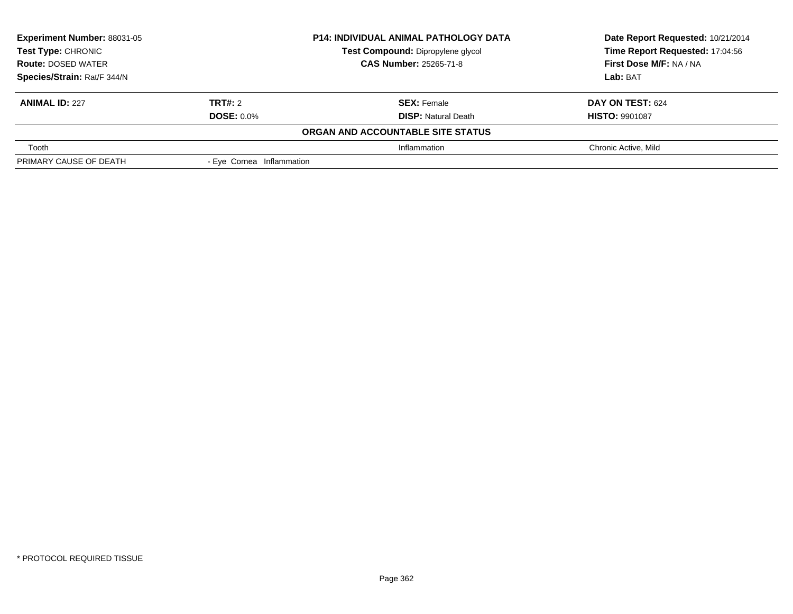| Experiment Number: 88031-05<br>Test Compound: Dipropylene glycol<br><b>Test Type: CHRONIC</b> |                           | <b>P14: INDIVIDUAL ANIMAL PATHOLOGY DATA</b> | Date Report Requested: 10/21/2014 |  |
|-----------------------------------------------------------------------------------------------|---------------------------|----------------------------------------------|-----------------------------------|--|
|                                                                                               |                           |                                              | Time Report Requested: 17:04:56   |  |
| <b>CAS Number: 25265-71-8</b><br><b>Route: DOSED WATER</b>                                    |                           | First Dose M/F: NA / NA                      |                                   |  |
| Species/Strain: Rat/F 344/N                                                                   |                           |                                              | Lab: BAT                          |  |
| <b>ANIMAL ID: 227</b>                                                                         | <b>TRT#: 2</b>            | <b>SEX: Female</b>                           | DAY ON TEST: 624                  |  |
|                                                                                               | <b>DOSE: 0.0%</b>         | <b>DISP:</b> Natural Death                   | <b>HISTO: 9901087</b>             |  |
|                                                                                               |                           | ORGAN AND ACCOUNTABLE SITE STATUS            |                                   |  |
| Tooth                                                                                         |                           | Inflammation                                 | Chronic Active, Mild              |  |
| PRIMARY CAUSE OF DEATH                                                                        | - Eve Cornea Inflammation |                                              |                                   |  |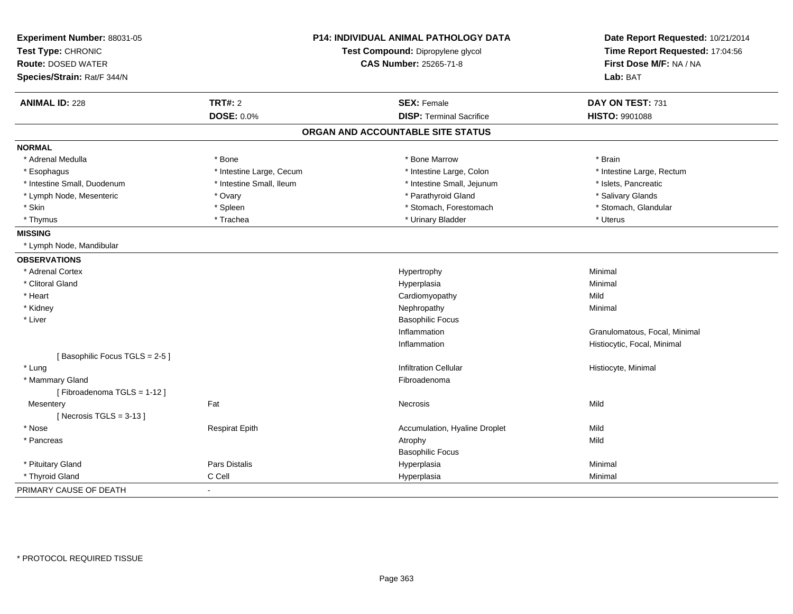| Experiment Number: 88031-05   | P14: INDIVIDUAL ANIMAL PATHOLOGY DATA<br>Test Compound: Dipropylene glycol |                                   | Date Report Requested: 10/21/2014 |
|-------------------------------|----------------------------------------------------------------------------|-----------------------------------|-----------------------------------|
| Test Type: CHRONIC            |                                                                            |                                   | Time Report Requested: 17:04:56   |
| <b>Route: DOSED WATER</b>     |                                                                            | <b>CAS Number: 25265-71-8</b>     | First Dose M/F: NA / NA           |
| Species/Strain: Rat/F 344/N   |                                                                            |                                   | Lab: BAT                          |
| <b>ANIMAL ID: 228</b>         | <b>TRT#: 2</b>                                                             | <b>SEX: Female</b>                | DAY ON TEST: 731                  |
|                               | <b>DOSE: 0.0%</b>                                                          | <b>DISP: Terminal Sacrifice</b>   | HISTO: 9901088                    |
|                               |                                                                            | ORGAN AND ACCOUNTABLE SITE STATUS |                                   |
| <b>NORMAL</b>                 |                                                                            |                                   |                                   |
| * Adrenal Medulla             | * Bone                                                                     | * Bone Marrow                     | * Brain                           |
| * Esophagus                   | * Intestine Large, Cecum                                                   | * Intestine Large, Colon          | * Intestine Large, Rectum         |
| * Intestine Small, Duodenum   | * Intestine Small, Ileum                                                   | * Intestine Small, Jejunum        | * Islets, Pancreatic              |
| * Lymph Node, Mesenteric      | * Ovary                                                                    | * Parathyroid Gland               | * Salivary Glands                 |
| * Skin                        | $*$ Spleen                                                                 | * Stomach, Forestomach            | * Stomach, Glandular              |
| * Thymus                      | * Trachea                                                                  | * Urinary Bladder                 | * Uterus                          |
| <b>MISSING</b>                |                                                                            |                                   |                                   |
| * Lymph Node, Mandibular      |                                                                            |                                   |                                   |
| <b>OBSERVATIONS</b>           |                                                                            |                                   |                                   |
| * Adrenal Cortex              |                                                                            | Hypertrophy                       | Minimal                           |
| * Clitoral Gland              |                                                                            | Hyperplasia                       | Minimal                           |
| * Heart                       |                                                                            | Cardiomyopathy                    | Mild                              |
| * Kidney                      |                                                                            | Nephropathy                       | Minimal                           |
| * Liver                       |                                                                            | <b>Basophilic Focus</b>           |                                   |
|                               |                                                                            | Inflammation                      | Granulomatous, Focal, Minimal     |
|                               |                                                                            | Inflammation                      | Histiocytic, Focal, Minimal       |
| [Basophilic Focus TGLS = 2-5] |                                                                            |                                   |                                   |
| * Lung                        |                                                                            | <b>Infiltration Cellular</b>      | Histiocyte, Minimal               |
| * Mammary Gland               |                                                                            | Fibroadenoma                      |                                   |
| [Fibroadenoma TGLS = 1-12]    |                                                                            |                                   |                                   |
| Mesentery                     | Fat                                                                        | Necrosis                          | Mild                              |
| [Necrosis $TGLS = 3-13$ ]     |                                                                            |                                   |                                   |
| * Nose                        | <b>Respirat Epith</b>                                                      | Accumulation, Hyaline Droplet     | Mild                              |
| * Pancreas                    |                                                                            | Atrophy                           | Mild                              |
|                               |                                                                            | <b>Basophilic Focus</b>           |                                   |
| * Pituitary Gland             | Pars Distalis                                                              | Hyperplasia                       | Minimal                           |
| * Thyroid Gland               | C Cell                                                                     | Hyperplasia                       | Minimal                           |
| PRIMARY CAUSE OF DEATH        |                                                                            |                                   |                                   |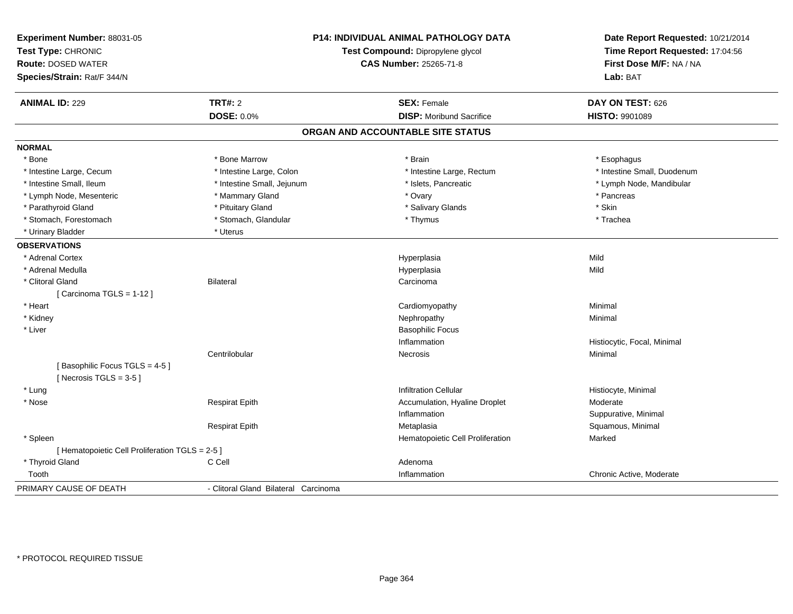| Experiment Number: 88031-05<br>Test Type: CHRONIC<br><b>Route: DOSED WATER</b><br>Species/Strain: Rat/F 344/N |                                      | <b>P14: INDIVIDUAL ANIMAL PATHOLOGY DATA</b><br>Test Compound: Dipropylene glycol<br><b>CAS Number: 25265-71-8</b> | Date Report Requested: 10/21/2014<br>Time Report Requested: 17:04:56<br>First Dose M/F: NA / NA<br>Lab: BAT |
|---------------------------------------------------------------------------------------------------------------|--------------------------------------|--------------------------------------------------------------------------------------------------------------------|-------------------------------------------------------------------------------------------------------------|
| <b>ANIMAL ID: 229</b>                                                                                         | <b>TRT#: 2</b>                       | <b>SEX: Female</b>                                                                                                 | DAY ON TEST: 626                                                                                            |
|                                                                                                               | <b>DOSE: 0.0%</b>                    | <b>DISP:</b> Moribund Sacrifice                                                                                    | <b>HISTO: 9901089</b>                                                                                       |
|                                                                                                               |                                      | ORGAN AND ACCOUNTABLE SITE STATUS                                                                                  |                                                                                                             |
| <b>NORMAL</b>                                                                                                 |                                      |                                                                                                                    |                                                                                                             |
| * Bone                                                                                                        | * Bone Marrow                        | * Brain                                                                                                            | * Esophagus                                                                                                 |
| * Intestine Large, Cecum                                                                                      | * Intestine Large, Colon             | * Intestine Large, Rectum                                                                                          | * Intestine Small, Duodenum                                                                                 |
| * Intestine Small, Ileum                                                                                      | * Intestine Small, Jejunum           | * Islets, Pancreatic                                                                                               | * Lymph Node, Mandibular                                                                                    |
| * Lymph Node, Mesenteric                                                                                      | * Mammary Gland                      | * Ovary                                                                                                            | * Pancreas                                                                                                  |
| * Parathyroid Gland                                                                                           | * Pituitary Gland                    | * Salivary Glands                                                                                                  | * Skin                                                                                                      |
| * Stomach, Forestomach                                                                                        | * Stomach, Glandular                 | * Thymus                                                                                                           | * Trachea                                                                                                   |
| * Urinary Bladder                                                                                             | * Uterus                             |                                                                                                                    |                                                                                                             |
| <b>OBSERVATIONS</b>                                                                                           |                                      |                                                                                                                    |                                                                                                             |
| * Adrenal Cortex                                                                                              |                                      | Hyperplasia                                                                                                        | Mild                                                                                                        |
| * Adrenal Medulla                                                                                             |                                      | Hyperplasia                                                                                                        | Mild                                                                                                        |
| * Clitoral Gland                                                                                              | <b>Bilateral</b>                     | Carcinoma                                                                                                          |                                                                                                             |
| [Carcinoma TGLS = 1-12]                                                                                       |                                      |                                                                                                                    |                                                                                                             |
| * Heart                                                                                                       |                                      | Cardiomyopathy                                                                                                     | Minimal                                                                                                     |
| * Kidney                                                                                                      |                                      | Nephropathy                                                                                                        | Minimal                                                                                                     |
| * Liver                                                                                                       |                                      | <b>Basophilic Focus</b>                                                                                            |                                                                                                             |
|                                                                                                               |                                      | Inflammation                                                                                                       | Histiocytic, Focal, Minimal                                                                                 |
|                                                                                                               | Centrilobular                        | Necrosis                                                                                                           | Minimal                                                                                                     |
| [Basophilic Focus TGLS = 4-5]<br>[Necrosis $TGLS = 3-5$ ]                                                     |                                      |                                                                                                                    |                                                                                                             |
| * Lung                                                                                                        |                                      | <b>Infiltration Cellular</b>                                                                                       | Histiocyte, Minimal                                                                                         |
| * Nose                                                                                                        | <b>Respirat Epith</b>                | Accumulation, Hyaline Droplet                                                                                      | Moderate                                                                                                    |
|                                                                                                               |                                      | Inflammation                                                                                                       | Suppurative, Minimal                                                                                        |
|                                                                                                               | <b>Respirat Epith</b>                | Metaplasia                                                                                                         | Squamous, Minimal                                                                                           |
| * Spleen                                                                                                      |                                      | Hematopoietic Cell Proliferation                                                                                   | Marked                                                                                                      |
| [ Hematopoietic Cell Proliferation TGLS = 2-5 ]                                                               |                                      |                                                                                                                    |                                                                                                             |
| * Thyroid Gland                                                                                               | C Cell                               | Adenoma                                                                                                            |                                                                                                             |
| Tooth                                                                                                         |                                      | Inflammation                                                                                                       | Chronic Active, Moderate                                                                                    |
| PRIMARY CAUSE OF DEATH                                                                                        | - Clitoral Gland Bilateral Carcinoma |                                                                                                                    |                                                                                                             |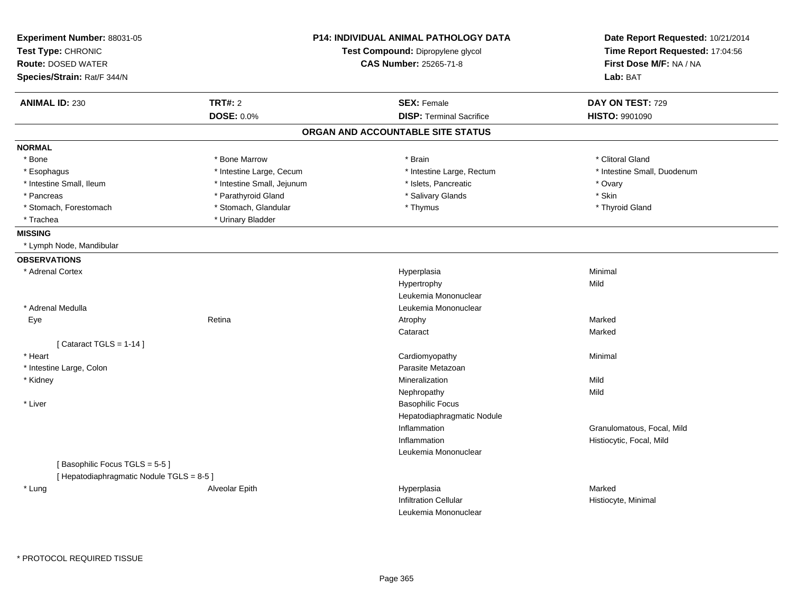| <b>TRT#: 2</b><br><b>SEX: Female</b><br>DAY ON TEST: 729<br><b>ANIMAL ID: 230</b><br><b>DOSE: 0.0%</b><br><b>DISP: Terminal Sacrifice</b><br>HISTO: 9901090<br>ORGAN AND ACCOUNTABLE SITE STATUS<br><b>NORMAL</b><br>* Bone Marrow<br>* Clitoral Gland<br>* Bone<br>* Brain<br>* Intestine Large, Cecum<br>* Intestine Large, Rectum<br>* Intestine Small, Duodenum<br>* Esophagus<br>* Intestine Small, Ileum<br>* Intestine Small, Jejunum<br>* Islets, Pancreatic<br>* Ovary<br>* Pancreas<br>* Parathyroid Gland<br>* Salivary Glands<br>* Skin<br>* Stomach, Forestomach<br>* Stomach, Glandular<br>* Thyroid Gland<br>* Thymus<br>* Urinary Bladder<br>* Trachea<br><b>MISSING</b><br>* Lymph Node, Mandibular<br><b>OBSERVATIONS</b><br>* Adrenal Cortex<br>Hyperplasia<br>Minimal<br>Hypertrophy<br>Mild<br>Leukemia Mononuclear<br>* Adrenal Medulla<br>Leukemia Mononuclear<br>Marked<br>Eye<br>Retina<br>Atrophy<br>Marked<br>Cataract<br>[Cataract TGLS = $1-14$ ]<br>* Heart<br>Cardiomyopathy<br>Minimal<br>Parasite Metazoan<br>* Intestine Large, Colon<br>* Kidney<br>Mineralization<br>Mild<br>Mild<br>Nephropathy<br>* Liver<br><b>Basophilic Focus</b><br>Hepatodiaphragmatic Nodule<br>Inflammation<br>Granulomatous, Focal, Mild<br>Inflammation<br>Histiocytic, Focal, Mild | Experiment Number: 88031-05<br>Test Type: CHRONIC<br><b>Route: DOSED WATER</b><br>Species/Strain: Rat/F 344/N | <b>P14: INDIVIDUAL ANIMAL PATHOLOGY DATA</b><br>Test Compound: Dipropylene glycol<br><b>CAS Number: 25265-71-8</b> | Date Report Requested: 10/21/2014<br>Time Report Requested: 17:04:56<br>First Dose M/F: NA / NA<br>Lab: BAT |
|----------------------------------------------------------------------------------------------------------------------------------------------------------------------------------------------------------------------------------------------------------------------------------------------------------------------------------------------------------------------------------------------------------------------------------------------------------------------------------------------------------------------------------------------------------------------------------------------------------------------------------------------------------------------------------------------------------------------------------------------------------------------------------------------------------------------------------------------------------------------------------------------------------------------------------------------------------------------------------------------------------------------------------------------------------------------------------------------------------------------------------------------------------------------------------------------------------------------------------------------------------------------------------------------------|---------------------------------------------------------------------------------------------------------------|--------------------------------------------------------------------------------------------------------------------|-------------------------------------------------------------------------------------------------------------|
|                                                                                                                                                                                                                                                                                                                                                                                                                                                                                                                                                                                                                                                                                                                                                                                                                                                                                                                                                                                                                                                                                                                                                                                                                                                                                                    |                                                                                                               |                                                                                                                    |                                                                                                             |
|                                                                                                                                                                                                                                                                                                                                                                                                                                                                                                                                                                                                                                                                                                                                                                                                                                                                                                                                                                                                                                                                                                                                                                                                                                                                                                    |                                                                                                               |                                                                                                                    |                                                                                                             |
|                                                                                                                                                                                                                                                                                                                                                                                                                                                                                                                                                                                                                                                                                                                                                                                                                                                                                                                                                                                                                                                                                                                                                                                                                                                                                                    |                                                                                                               |                                                                                                                    |                                                                                                             |
|                                                                                                                                                                                                                                                                                                                                                                                                                                                                                                                                                                                                                                                                                                                                                                                                                                                                                                                                                                                                                                                                                                                                                                                                                                                                                                    |                                                                                                               |                                                                                                                    |                                                                                                             |
|                                                                                                                                                                                                                                                                                                                                                                                                                                                                                                                                                                                                                                                                                                                                                                                                                                                                                                                                                                                                                                                                                                                                                                                                                                                                                                    |                                                                                                               |                                                                                                                    |                                                                                                             |
|                                                                                                                                                                                                                                                                                                                                                                                                                                                                                                                                                                                                                                                                                                                                                                                                                                                                                                                                                                                                                                                                                                                                                                                                                                                                                                    |                                                                                                               |                                                                                                                    |                                                                                                             |
|                                                                                                                                                                                                                                                                                                                                                                                                                                                                                                                                                                                                                                                                                                                                                                                                                                                                                                                                                                                                                                                                                                                                                                                                                                                                                                    |                                                                                                               |                                                                                                                    |                                                                                                             |
|                                                                                                                                                                                                                                                                                                                                                                                                                                                                                                                                                                                                                                                                                                                                                                                                                                                                                                                                                                                                                                                                                                                                                                                                                                                                                                    |                                                                                                               |                                                                                                                    |                                                                                                             |
|                                                                                                                                                                                                                                                                                                                                                                                                                                                                                                                                                                                                                                                                                                                                                                                                                                                                                                                                                                                                                                                                                                                                                                                                                                                                                                    |                                                                                                               |                                                                                                                    |                                                                                                             |
|                                                                                                                                                                                                                                                                                                                                                                                                                                                                                                                                                                                                                                                                                                                                                                                                                                                                                                                                                                                                                                                                                                                                                                                                                                                                                                    |                                                                                                               |                                                                                                                    |                                                                                                             |
|                                                                                                                                                                                                                                                                                                                                                                                                                                                                                                                                                                                                                                                                                                                                                                                                                                                                                                                                                                                                                                                                                                                                                                                                                                                                                                    |                                                                                                               |                                                                                                                    |                                                                                                             |
|                                                                                                                                                                                                                                                                                                                                                                                                                                                                                                                                                                                                                                                                                                                                                                                                                                                                                                                                                                                                                                                                                                                                                                                                                                                                                                    |                                                                                                               |                                                                                                                    |                                                                                                             |
|                                                                                                                                                                                                                                                                                                                                                                                                                                                                                                                                                                                                                                                                                                                                                                                                                                                                                                                                                                                                                                                                                                                                                                                                                                                                                                    |                                                                                                               |                                                                                                                    |                                                                                                             |
|                                                                                                                                                                                                                                                                                                                                                                                                                                                                                                                                                                                                                                                                                                                                                                                                                                                                                                                                                                                                                                                                                                                                                                                                                                                                                                    |                                                                                                               |                                                                                                                    |                                                                                                             |
|                                                                                                                                                                                                                                                                                                                                                                                                                                                                                                                                                                                                                                                                                                                                                                                                                                                                                                                                                                                                                                                                                                                                                                                                                                                                                                    |                                                                                                               |                                                                                                                    |                                                                                                             |
|                                                                                                                                                                                                                                                                                                                                                                                                                                                                                                                                                                                                                                                                                                                                                                                                                                                                                                                                                                                                                                                                                                                                                                                                                                                                                                    |                                                                                                               |                                                                                                                    |                                                                                                             |
|                                                                                                                                                                                                                                                                                                                                                                                                                                                                                                                                                                                                                                                                                                                                                                                                                                                                                                                                                                                                                                                                                                                                                                                                                                                                                                    |                                                                                                               |                                                                                                                    |                                                                                                             |
|                                                                                                                                                                                                                                                                                                                                                                                                                                                                                                                                                                                                                                                                                                                                                                                                                                                                                                                                                                                                                                                                                                                                                                                                                                                                                                    |                                                                                                               |                                                                                                                    |                                                                                                             |
|                                                                                                                                                                                                                                                                                                                                                                                                                                                                                                                                                                                                                                                                                                                                                                                                                                                                                                                                                                                                                                                                                                                                                                                                                                                                                                    |                                                                                                               |                                                                                                                    |                                                                                                             |
|                                                                                                                                                                                                                                                                                                                                                                                                                                                                                                                                                                                                                                                                                                                                                                                                                                                                                                                                                                                                                                                                                                                                                                                                                                                                                                    |                                                                                                               |                                                                                                                    |                                                                                                             |
|                                                                                                                                                                                                                                                                                                                                                                                                                                                                                                                                                                                                                                                                                                                                                                                                                                                                                                                                                                                                                                                                                                                                                                                                                                                                                                    |                                                                                                               |                                                                                                                    |                                                                                                             |
|                                                                                                                                                                                                                                                                                                                                                                                                                                                                                                                                                                                                                                                                                                                                                                                                                                                                                                                                                                                                                                                                                                                                                                                                                                                                                                    |                                                                                                               |                                                                                                                    |                                                                                                             |
|                                                                                                                                                                                                                                                                                                                                                                                                                                                                                                                                                                                                                                                                                                                                                                                                                                                                                                                                                                                                                                                                                                                                                                                                                                                                                                    |                                                                                                               |                                                                                                                    |                                                                                                             |
|                                                                                                                                                                                                                                                                                                                                                                                                                                                                                                                                                                                                                                                                                                                                                                                                                                                                                                                                                                                                                                                                                                                                                                                                                                                                                                    |                                                                                                               |                                                                                                                    |                                                                                                             |
|                                                                                                                                                                                                                                                                                                                                                                                                                                                                                                                                                                                                                                                                                                                                                                                                                                                                                                                                                                                                                                                                                                                                                                                                                                                                                                    |                                                                                                               |                                                                                                                    |                                                                                                             |
|                                                                                                                                                                                                                                                                                                                                                                                                                                                                                                                                                                                                                                                                                                                                                                                                                                                                                                                                                                                                                                                                                                                                                                                                                                                                                                    |                                                                                                               |                                                                                                                    |                                                                                                             |
|                                                                                                                                                                                                                                                                                                                                                                                                                                                                                                                                                                                                                                                                                                                                                                                                                                                                                                                                                                                                                                                                                                                                                                                                                                                                                                    |                                                                                                               |                                                                                                                    |                                                                                                             |
|                                                                                                                                                                                                                                                                                                                                                                                                                                                                                                                                                                                                                                                                                                                                                                                                                                                                                                                                                                                                                                                                                                                                                                                                                                                                                                    |                                                                                                               |                                                                                                                    |                                                                                                             |
| Leukemia Mononuclear                                                                                                                                                                                                                                                                                                                                                                                                                                                                                                                                                                                                                                                                                                                                                                                                                                                                                                                                                                                                                                                                                                                                                                                                                                                                               |                                                                                                               |                                                                                                                    |                                                                                                             |
| [Basophilic Focus TGLS = 5-5]                                                                                                                                                                                                                                                                                                                                                                                                                                                                                                                                                                                                                                                                                                                                                                                                                                                                                                                                                                                                                                                                                                                                                                                                                                                                      |                                                                                                               |                                                                                                                    |                                                                                                             |
| [ Hepatodiaphragmatic Nodule TGLS = 8-5 ]                                                                                                                                                                                                                                                                                                                                                                                                                                                                                                                                                                                                                                                                                                                                                                                                                                                                                                                                                                                                                                                                                                                                                                                                                                                          |                                                                                                               |                                                                                                                    |                                                                                                             |
| * Lung<br>Alveolar Epith<br>Hyperplasia<br>Marked                                                                                                                                                                                                                                                                                                                                                                                                                                                                                                                                                                                                                                                                                                                                                                                                                                                                                                                                                                                                                                                                                                                                                                                                                                                  |                                                                                                               |                                                                                                                    |                                                                                                             |
| <b>Infiltration Cellular</b><br>Histiocyte, Minimal                                                                                                                                                                                                                                                                                                                                                                                                                                                                                                                                                                                                                                                                                                                                                                                                                                                                                                                                                                                                                                                                                                                                                                                                                                                |                                                                                                               |                                                                                                                    |                                                                                                             |
| Leukemia Mononuclear                                                                                                                                                                                                                                                                                                                                                                                                                                                                                                                                                                                                                                                                                                                                                                                                                                                                                                                                                                                                                                                                                                                                                                                                                                                                               |                                                                                                               |                                                                                                                    |                                                                                                             |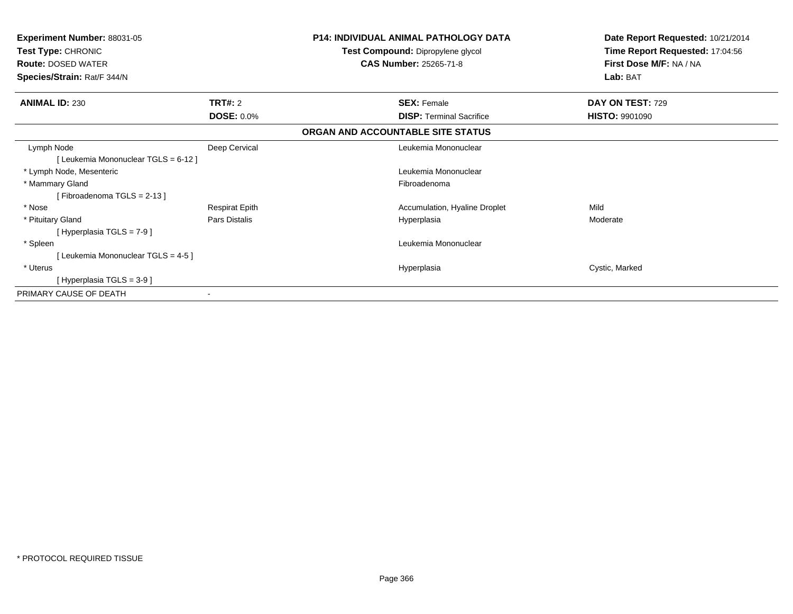| <b>Experiment Number: 88031-05</b><br><b>Test Type: CHRONIC</b><br><b>Route: DOSED WATER</b><br>Species/Strain: Rat/F 344/N |                       | <b>P14: INDIVIDUAL ANIMAL PATHOLOGY DATA</b><br>Test Compound: Dipropylene glycol<br><b>CAS Number: 25265-71-8</b> | Date Report Requested: 10/21/2014<br>Time Report Requested: 17:04:56<br>First Dose M/F: NA / NA<br>Lab: BAT |
|-----------------------------------------------------------------------------------------------------------------------------|-----------------------|--------------------------------------------------------------------------------------------------------------------|-------------------------------------------------------------------------------------------------------------|
| <b>ANIMAL ID: 230</b>                                                                                                       | <b>TRT#: 2</b>        | <b>SEX: Female</b>                                                                                                 | DAY ON TEST: 729                                                                                            |
|                                                                                                                             | <b>DOSE: 0.0%</b>     | <b>DISP:</b> Terminal Sacrifice                                                                                    | <b>HISTO: 9901090</b>                                                                                       |
|                                                                                                                             |                       | ORGAN AND ACCOUNTABLE SITE STATUS                                                                                  |                                                                                                             |
| Lymph Node<br>[ Leukemia Mononuclear TGLS = 6-12 ]                                                                          | Deep Cervical         | Leukemia Mononuclear                                                                                               |                                                                                                             |
| * Lymph Node, Mesenteric                                                                                                    |                       | Leukemia Mononuclear                                                                                               |                                                                                                             |
| * Mammary Gland<br>[Fibroadenoma TGLS = 2-13]                                                                               |                       | Fibroadenoma                                                                                                       |                                                                                                             |
| * Nose                                                                                                                      | <b>Respirat Epith</b> | Accumulation, Hyaline Droplet                                                                                      | Mild                                                                                                        |
| * Pituitary Gland<br>[Hyperplasia TGLS = $7-9$ ]                                                                            | Pars Distalis         | Hyperplasia                                                                                                        | Moderate                                                                                                    |
| * Spleen                                                                                                                    |                       | Leukemia Mononuclear                                                                                               |                                                                                                             |
| [Leukemia Mononuclear TGLS = 4-5]                                                                                           |                       |                                                                                                                    |                                                                                                             |
| * Uterus                                                                                                                    |                       | Hyperplasia                                                                                                        | Cystic, Marked                                                                                              |
| [Hyperplasia TGLS = $3-9$ ]                                                                                                 |                       |                                                                                                                    |                                                                                                             |
| PRIMARY CAUSE OF DEATH                                                                                                      |                       |                                                                                                                    |                                                                                                             |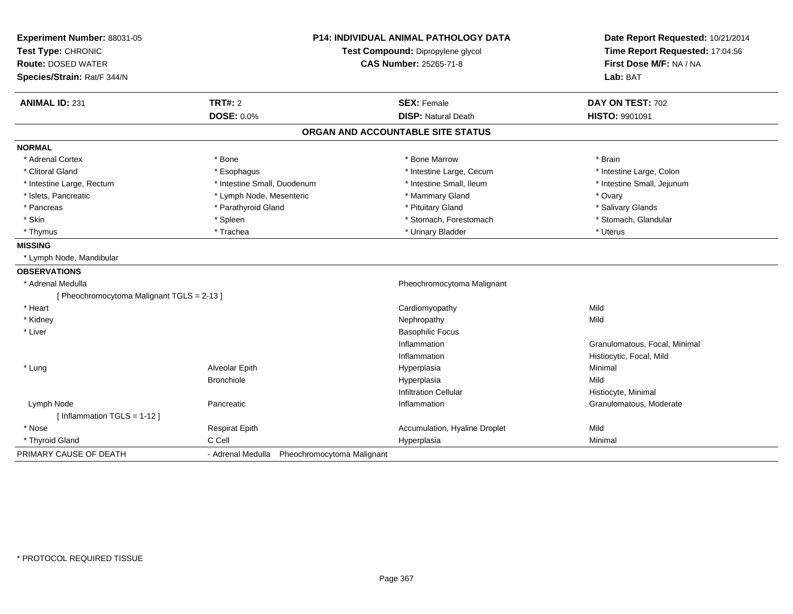| Experiment Number: 88031-05                | <b>P14: INDIVIDUAL ANIMAL PATHOLOGY DATA</b><br>Test Compound: Dipropylene glycol |                                   | Date Report Requested: 10/21/2014<br>Time Report Requested: 17:04:56 |
|--------------------------------------------|-----------------------------------------------------------------------------------|-----------------------------------|----------------------------------------------------------------------|
| Test Type: CHRONIC                         |                                                                                   |                                   |                                                                      |
| <b>Route: DOSED WATER</b>                  |                                                                                   | <b>CAS Number: 25265-71-8</b>     | First Dose M/F: NA / NA                                              |
| Species/Strain: Rat/F 344/N                |                                                                                   |                                   | Lab: BAT                                                             |
| <b>ANIMAL ID: 231</b>                      | <b>TRT#: 2</b>                                                                    | <b>SEX: Female</b>                | DAY ON TEST: 702                                                     |
|                                            | <b>DOSE: 0.0%</b>                                                                 | <b>DISP: Natural Death</b>        | HISTO: 9901091                                                       |
|                                            |                                                                                   | ORGAN AND ACCOUNTABLE SITE STATUS |                                                                      |
| <b>NORMAL</b>                              |                                                                                   |                                   |                                                                      |
| * Adrenal Cortex                           | * Bone                                                                            | * Bone Marrow                     | * Brain                                                              |
| * Clitoral Gland                           | * Esophagus                                                                       | * Intestine Large, Cecum          | * Intestine Large, Colon                                             |
| * Intestine Large, Rectum                  | * Intestine Small, Duodenum                                                       | * Intestine Small, Ileum          | * Intestine Small, Jejunum                                           |
| * Islets, Pancreatic                       | * Lymph Node, Mesenteric                                                          | * Mammary Gland                   | * Ovary                                                              |
| * Pancreas                                 | * Parathyroid Gland                                                               | * Pituitary Gland                 | * Salivary Glands                                                    |
| * Skin                                     | * Spleen                                                                          | * Stomach, Forestomach            | * Stomach, Glandular                                                 |
| * Thymus                                   | * Trachea                                                                         | * Urinary Bladder                 | * Uterus                                                             |
| <b>MISSING</b>                             |                                                                                   |                                   |                                                                      |
| * Lymph Node, Mandibular                   |                                                                                   |                                   |                                                                      |
| <b>OBSERVATIONS</b>                        |                                                                                   |                                   |                                                                      |
| * Adrenal Medulla                          |                                                                                   | Pheochromocytoma Malignant        |                                                                      |
| [ Pheochromocytoma Malignant TGLS = 2-13 ] |                                                                                   |                                   |                                                                      |
| * Heart                                    |                                                                                   | Cardiomyopathy                    | Mild                                                                 |
| * Kidney                                   |                                                                                   | Nephropathy                       | Mild                                                                 |
| * Liver                                    |                                                                                   | <b>Basophilic Focus</b>           |                                                                      |
|                                            |                                                                                   | Inflammation                      | Granulomatous, Focal, Minimal                                        |
|                                            |                                                                                   | Inflammation                      | Histiocytic, Focal, Mild                                             |
| * Lung                                     | Alveolar Epith                                                                    | Hyperplasia                       | Minimal                                                              |
|                                            | <b>Bronchiole</b>                                                                 | Hyperplasia                       | Mild                                                                 |
|                                            |                                                                                   | <b>Infiltration Cellular</b>      | Histiocyte, Minimal                                                  |
| Lymph Node                                 | Pancreatic                                                                        | Inflammation                      | Granulomatous, Moderate                                              |
| [Inflammation TGLS = 1-12]                 |                                                                                   |                                   |                                                                      |
| * Nose                                     | <b>Respirat Epith</b>                                                             | Accumulation, Hyaline Droplet     | Mild                                                                 |
| * Thyroid Gland                            | C Cell                                                                            | Hyperplasia                       | Minimal                                                              |
| PRIMARY CAUSE OF DEATH                     | - Adrenal Medulla Pheochromocytoma Malignant                                      |                                   |                                                                      |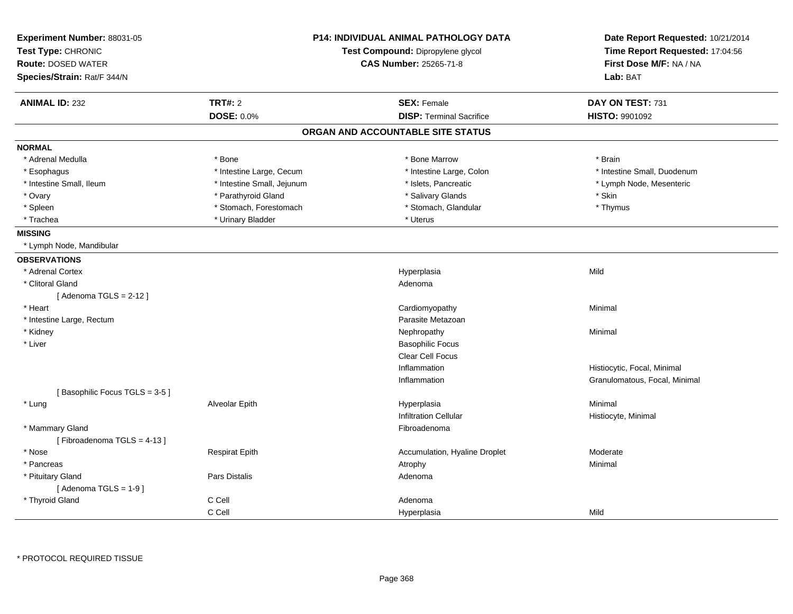| Experiment Number: 88031-05   |                                   | <b>P14: INDIVIDUAL ANIMAL PATHOLOGY DATA</b> | Date Report Requested: 10/21/2014 |
|-------------------------------|-----------------------------------|----------------------------------------------|-----------------------------------|
| Test Type: CHRONIC            | Test Compound: Dipropylene glycol |                                              | Time Report Requested: 17:04:56   |
| <b>Route: DOSED WATER</b>     |                                   | <b>CAS Number: 25265-71-8</b>                | First Dose M/F: NA / NA           |
| Species/Strain: Rat/F 344/N   |                                   |                                              | Lab: BAT                          |
| <b>ANIMAL ID: 232</b>         | <b>TRT#: 2</b>                    | <b>SEX: Female</b>                           | DAY ON TEST: 731                  |
|                               | <b>DOSE: 0.0%</b>                 | <b>DISP: Terminal Sacrifice</b>              | HISTO: 9901092                    |
|                               |                                   | ORGAN AND ACCOUNTABLE SITE STATUS            |                                   |
| <b>NORMAL</b>                 |                                   |                                              |                                   |
| * Adrenal Medulla             | * Bone                            | * Bone Marrow                                | * Brain                           |
| * Esophagus                   | * Intestine Large, Cecum          | * Intestine Large, Colon                     | * Intestine Small, Duodenum       |
| * Intestine Small, Ileum      | * Intestine Small, Jejunum        | * Islets, Pancreatic                         | * Lymph Node, Mesenteric          |
| * Ovary                       | * Parathyroid Gland               | * Salivary Glands                            | * Skin                            |
| * Spleen                      | * Stomach, Forestomach            | * Stomach, Glandular                         | * Thymus                          |
| * Trachea                     | * Urinary Bladder                 | * Uterus                                     |                                   |
| <b>MISSING</b>                |                                   |                                              |                                   |
| * Lymph Node, Mandibular      |                                   |                                              |                                   |
| <b>OBSERVATIONS</b>           |                                   |                                              |                                   |
| * Adrenal Cortex              |                                   | Hyperplasia                                  | Mild                              |
| * Clitoral Gland              |                                   | Adenoma                                      |                                   |
| [Adenoma TGLS = $2-12$ ]      |                                   |                                              |                                   |
| * Heart                       |                                   | Cardiomyopathy                               | Minimal                           |
| * Intestine Large, Rectum     |                                   | Parasite Metazoan                            |                                   |
| * Kidney                      |                                   | Nephropathy                                  | Minimal                           |
| * Liver                       |                                   | <b>Basophilic Focus</b>                      |                                   |
|                               |                                   | Clear Cell Focus                             |                                   |
|                               |                                   | Inflammation                                 | Histiocytic, Focal, Minimal       |
|                               |                                   | Inflammation                                 | Granulomatous, Focal, Minimal     |
| [Basophilic Focus TGLS = 3-5] |                                   |                                              |                                   |
| * Lung                        | Alveolar Epith                    | Hyperplasia                                  | Minimal                           |
|                               |                                   | <b>Infiltration Cellular</b>                 | Histiocyte, Minimal               |
| * Mammary Gland               |                                   | Fibroadenoma                                 |                                   |
| [Fibroadenoma TGLS = 4-13]    |                                   |                                              |                                   |
| * Nose                        | <b>Respirat Epith</b>             | Accumulation, Hyaline Droplet                | Moderate                          |
| * Pancreas                    |                                   | Atrophy                                      | Minimal                           |
| * Pituitary Gland             | <b>Pars Distalis</b>              | Adenoma                                      |                                   |
| [Adenoma TGLS = $1-9$ ]       |                                   |                                              |                                   |
| * Thyroid Gland               | C Cell                            | Adenoma                                      |                                   |
|                               | C Cell                            | Hyperplasia                                  | Mild                              |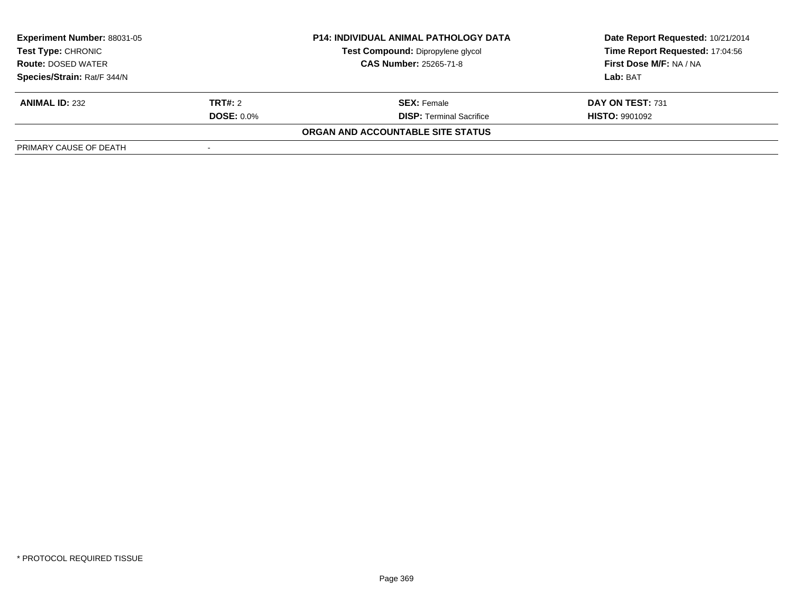| <b>Experiment Number: 88031-05</b><br><b>P14: INDIVIDUAL ANIMAL PATHOLOGY DATA</b><br>Test Compound: Dipropylene glycol<br>Test Type: CHRONIC<br><b>CAS Number: 25265-71-8</b><br><b>Route: DOSED WATER</b> |                   |                                   | Date Report Requested: 10/21/2014 |
|-------------------------------------------------------------------------------------------------------------------------------------------------------------------------------------------------------------|-------------------|-----------------------------------|-----------------------------------|
|                                                                                                                                                                                                             |                   |                                   | Time Report Requested: 17:04:56   |
|                                                                                                                                                                                                             |                   | First Dose M/F: NA / NA           |                                   |
| Species/Strain: Rat/F 344/N                                                                                                                                                                                 |                   |                                   | Lab: BAT                          |
| <b>ANIMAL ID: 232</b>                                                                                                                                                                                       | <b>TRT#: 2</b>    | <b>SEX: Female</b>                | DAY ON TEST: 731                  |
|                                                                                                                                                                                                             | <b>DOSE: 0.0%</b> | <b>DISP: Terminal Sacrifice</b>   | <b>HISTO: 9901092</b>             |
|                                                                                                                                                                                                             |                   | ORGAN AND ACCOUNTABLE SITE STATUS |                                   |
| PRIMARY CAUSE OF DEATH                                                                                                                                                                                      |                   |                                   |                                   |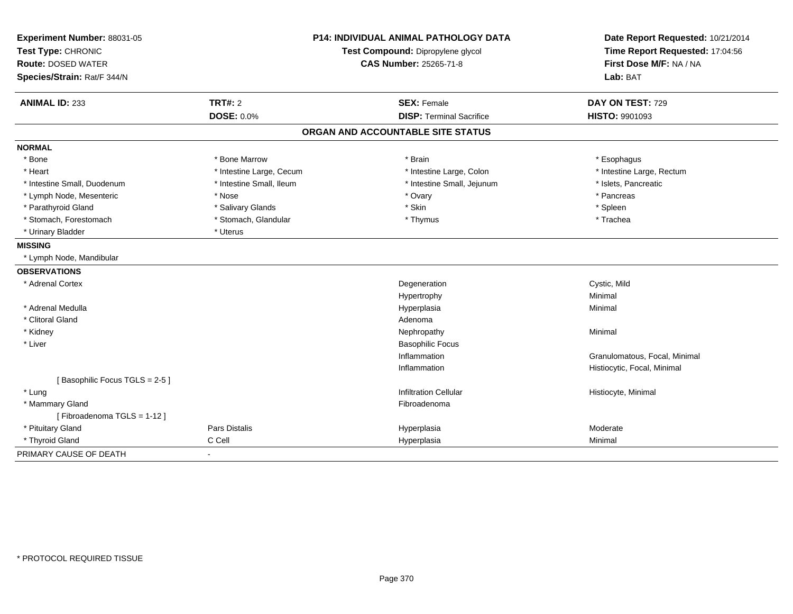| Experiment Number: 88031-05<br>Test Type: CHRONIC<br><b>Route: DOSED WATER</b> | <b>P14: INDIVIDUAL ANIMAL PATHOLOGY DATA</b><br>Test Compound: Dipropylene glycol<br><b>CAS Number: 25265-71-8</b> |                                   | Date Report Requested: 10/21/2014<br>Time Report Requested: 17:04:56<br>First Dose M/F: NA / NA |
|--------------------------------------------------------------------------------|--------------------------------------------------------------------------------------------------------------------|-----------------------------------|-------------------------------------------------------------------------------------------------|
| Species/Strain: Rat/F 344/N                                                    |                                                                                                                    |                                   | Lab: BAT                                                                                        |
| <b>ANIMAL ID: 233</b>                                                          | <b>TRT#: 2</b>                                                                                                     | <b>SEX: Female</b>                | DAY ON TEST: 729                                                                                |
|                                                                                | <b>DOSE: 0.0%</b>                                                                                                  | <b>DISP: Terminal Sacrifice</b>   | <b>HISTO: 9901093</b>                                                                           |
|                                                                                |                                                                                                                    | ORGAN AND ACCOUNTABLE SITE STATUS |                                                                                                 |
| <b>NORMAL</b>                                                                  |                                                                                                                    |                                   |                                                                                                 |
| * Bone                                                                         | * Bone Marrow                                                                                                      | * Brain                           | * Esophagus                                                                                     |
| * Heart                                                                        | * Intestine Large, Cecum                                                                                           | * Intestine Large, Colon          | * Intestine Large, Rectum                                                                       |
| * Intestine Small, Duodenum                                                    | * Intestine Small, Ileum                                                                                           | * Intestine Small, Jejunum        | * Islets, Pancreatic                                                                            |
| * Lymph Node, Mesenteric                                                       | * Nose                                                                                                             | * Ovary                           | * Pancreas                                                                                      |
| * Parathyroid Gland                                                            | * Salivary Glands                                                                                                  | * Skin                            | * Spleen                                                                                        |
| * Stomach, Forestomach                                                         | * Stomach, Glandular                                                                                               | * Thymus                          | * Trachea                                                                                       |
| * Urinary Bladder                                                              | * Uterus                                                                                                           |                                   |                                                                                                 |
| <b>MISSING</b>                                                                 |                                                                                                                    |                                   |                                                                                                 |
| * Lymph Node, Mandibular                                                       |                                                                                                                    |                                   |                                                                                                 |
| <b>OBSERVATIONS</b>                                                            |                                                                                                                    |                                   |                                                                                                 |
| * Adrenal Cortex                                                               |                                                                                                                    | Degeneration                      | Cystic, Mild                                                                                    |
|                                                                                |                                                                                                                    | Hypertrophy                       | Minimal                                                                                         |
| * Adrenal Medulla                                                              |                                                                                                                    | Hyperplasia                       | Minimal                                                                                         |
| * Clitoral Gland                                                               |                                                                                                                    | Adenoma                           |                                                                                                 |
| * Kidney                                                                       |                                                                                                                    | Nephropathy                       | Minimal                                                                                         |
| * Liver                                                                        |                                                                                                                    | <b>Basophilic Focus</b>           |                                                                                                 |
|                                                                                |                                                                                                                    | Inflammation                      | Granulomatous, Focal, Minimal                                                                   |
|                                                                                |                                                                                                                    | Inflammation                      | Histiocytic, Focal, Minimal                                                                     |
| [Basophilic Focus TGLS = 2-5]                                                  |                                                                                                                    |                                   |                                                                                                 |
| * Lung                                                                         |                                                                                                                    | <b>Infiltration Cellular</b>      | Histiocyte, Minimal                                                                             |
| * Mammary Gland                                                                |                                                                                                                    | Fibroadenoma                      |                                                                                                 |
| [Fibroadenoma TGLS = 1-12]                                                     |                                                                                                                    |                                   |                                                                                                 |
| * Pituitary Gland                                                              | <b>Pars Distalis</b>                                                                                               | Hyperplasia                       | Moderate                                                                                        |
| * Thyroid Gland                                                                | C Cell                                                                                                             | Hyperplasia                       | Minimal                                                                                         |
| PRIMARY CAUSE OF DEATH                                                         |                                                                                                                    |                                   |                                                                                                 |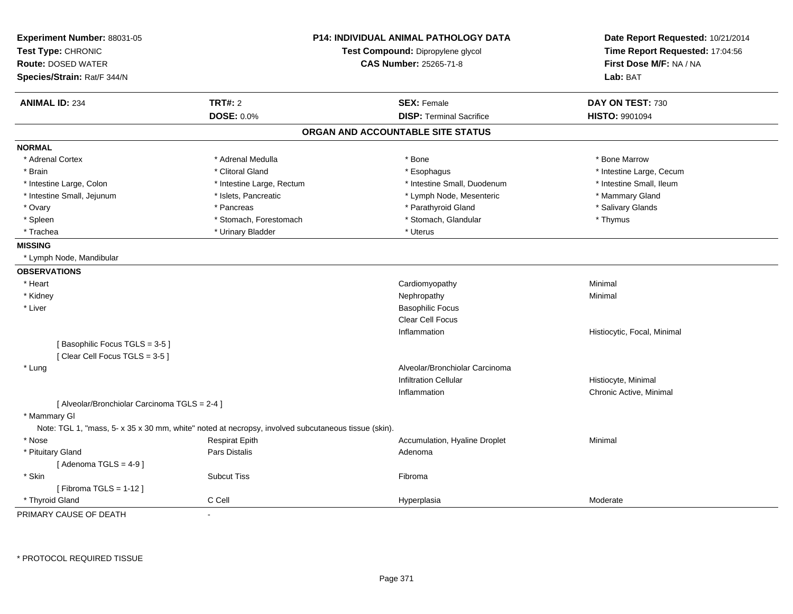| Experiment Number: 88031-05                   | <b>P14: INDIVIDUAL ANIMAL PATHOLOGY DATA</b><br>Test Compound: Dipropylene glycol                   |                                   | Date Report Requested: 10/21/2014 |
|-----------------------------------------------|-----------------------------------------------------------------------------------------------------|-----------------------------------|-----------------------------------|
| Test Type: CHRONIC                            |                                                                                                     |                                   | Time Report Requested: 17:04:56   |
| Route: DOSED WATER                            |                                                                                                     | <b>CAS Number: 25265-71-8</b>     | First Dose M/F: NA / NA           |
| Species/Strain: Rat/F 344/N                   |                                                                                                     |                                   | Lab: BAT                          |
| <b>ANIMAL ID: 234</b>                         | <b>TRT#: 2</b>                                                                                      | <b>SEX: Female</b>                | DAY ON TEST: 730                  |
|                                               | <b>DOSE: 0.0%</b>                                                                                   | <b>DISP: Terminal Sacrifice</b>   | <b>HISTO: 9901094</b>             |
|                                               |                                                                                                     | ORGAN AND ACCOUNTABLE SITE STATUS |                                   |
| <b>NORMAL</b>                                 |                                                                                                     |                                   |                                   |
| * Adrenal Cortex                              | * Adrenal Medulla                                                                                   | * Bone                            | * Bone Marrow                     |
| * Brain                                       | * Clitoral Gland                                                                                    | * Esophagus                       | * Intestine Large, Cecum          |
| * Intestine Large, Colon                      | * Intestine Large, Rectum                                                                           | * Intestine Small, Duodenum       | * Intestine Small, Ileum          |
| * Intestine Small, Jejunum                    | * Islets, Pancreatic                                                                                | * Lymph Node, Mesenteric          | * Mammary Gland                   |
| * Ovary                                       | * Pancreas                                                                                          | * Parathyroid Gland               | * Salivary Glands                 |
| * Spleen                                      | * Stomach, Forestomach                                                                              | * Stomach, Glandular              | * Thymus                          |
| * Trachea                                     | * Urinary Bladder                                                                                   | * Uterus                          |                                   |
| <b>MISSING</b>                                |                                                                                                     |                                   |                                   |
| * Lymph Node, Mandibular                      |                                                                                                     |                                   |                                   |
| <b>OBSERVATIONS</b>                           |                                                                                                     |                                   |                                   |
| * Heart                                       |                                                                                                     | Cardiomyopathy                    | Minimal                           |
| * Kidney                                      |                                                                                                     | Nephropathy                       | Minimal                           |
| * Liver                                       |                                                                                                     | <b>Basophilic Focus</b>           |                                   |
|                                               |                                                                                                     | <b>Clear Cell Focus</b>           |                                   |
|                                               |                                                                                                     | Inflammation                      | Histiocytic, Focal, Minimal       |
| [Basophilic Focus TGLS = 3-5]                 |                                                                                                     |                                   |                                   |
| [Clear Cell Focus TGLS = 3-5]                 |                                                                                                     |                                   |                                   |
| * Lung                                        |                                                                                                     | Alveolar/Bronchiolar Carcinoma    |                                   |
|                                               |                                                                                                     | <b>Infiltration Cellular</b>      | Histiocyte, Minimal               |
|                                               |                                                                                                     | Inflammation                      | Chronic Active, Minimal           |
| [ Alveolar/Bronchiolar Carcinoma TGLS = 2-4 ] |                                                                                                     |                                   |                                   |
| * Mammary GI                                  | Note: TGL 1, "mass, 5- x 35 x 30 mm, white" noted at necropsy, involved subcutaneous tissue (skin). |                                   |                                   |
| * Nose                                        |                                                                                                     |                                   |                                   |
|                                               | <b>Respirat Epith</b>                                                                               | Accumulation, Hyaline Droplet     | Minimal                           |
| * Pituitary Gland<br>[Adenoma TGLS = $4-9$ ]  | Pars Distalis                                                                                       | Adenoma                           |                                   |
| * Skin                                        | <b>Subcut Tiss</b>                                                                                  | Fibroma                           |                                   |
|                                               |                                                                                                     |                                   |                                   |
| [Fibroma TGLS = $1-12$ ]<br>* Thyroid Gland   | C Cell                                                                                              |                                   | Moderate                          |
| PRIMARY CAUSE OF DEATH                        |                                                                                                     | Hyperplasia                       |                                   |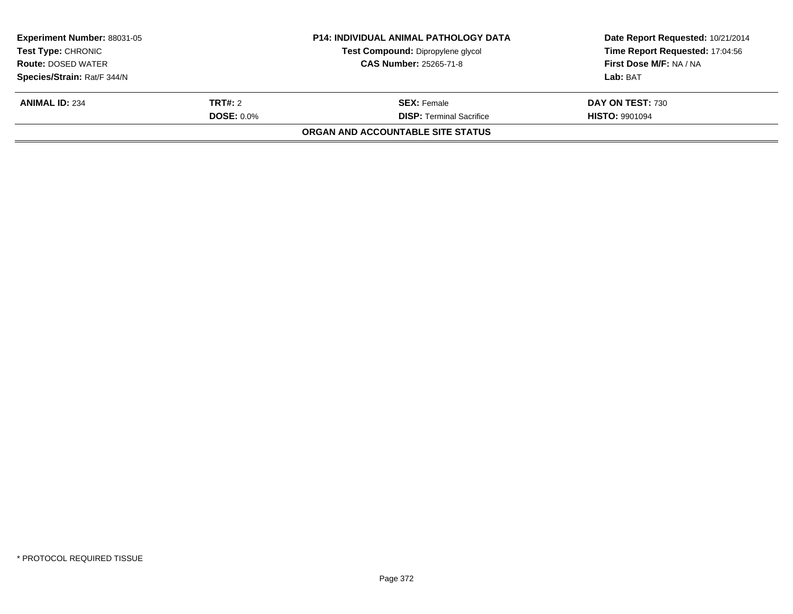| <b>Experiment Number: 88031-05</b><br><b>Test Type: CHRONIC</b> |                                                            | <b>P14: INDIVIDUAL ANIMAL PATHOLOGY DATA</b><br>Test Compound: Dipropylene glycol | Date Report Requested: 10/21/2014<br>Time Report Requested: 17:04:56 |
|-----------------------------------------------------------------|------------------------------------------------------------|-----------------------------------------------------------------------------------|----------------------------------------------------------------------|
|                                                                 | <b>CAS Number: 25265-71-8</b><br><b>Route: DOSED WATER</b> |                                                                                   | First Dose M/F: NA / NA                                              |
| Species/Strain: Rat/F 344/N                                     |                                                            |                                                                                   | Lab: BAT                                                             |
| <b>ANIMAL ID: 234</b>                                           | <b>TRT#:</b> 2                                             | <b>SEX: Female</b>                                                                | DAY ON TEST: 730                                                     |
|                                                                 | <b>DOSE: 0.0%</b>                                          | <b>DISP:</b> Terminal Sacrifice                                                   | <b>HISTO: 9901094</b>                                                |
|                                                                 |                                                            | <b>ORGAN AND ACCOUNTABLE SITE STATUS</b>                                          |                                                                      |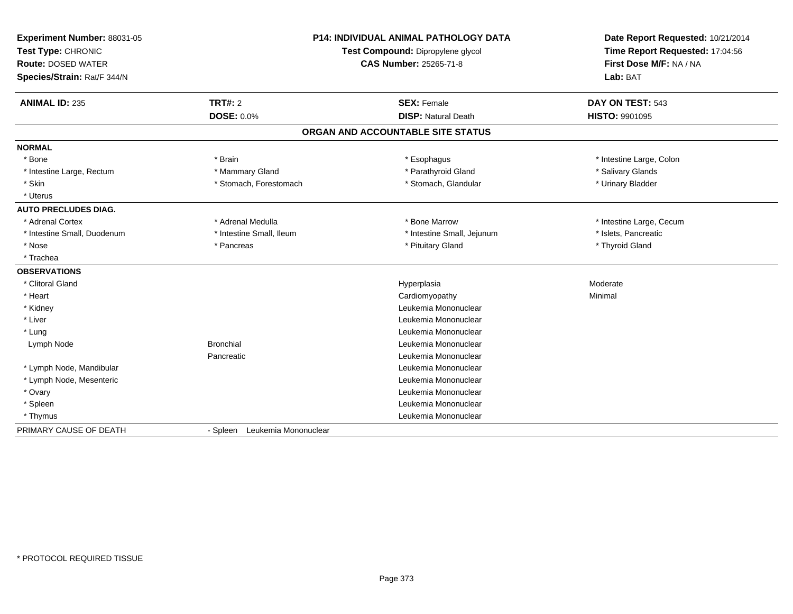| Experiment Number: 88031-05<br>Test Type: CHRONIC<br><b>Route: DOSED WATER</b><br>Species/Strain: Rat/F 344/N |                               | <b>P14: INDIVIDUAL ANIMAL PATHOLOGY DATA</b><br>Test Compound: Dipropylene glycol<br><b>CAS Number: 25265-71-8</b> | Date Report Requested: 10/21/2014<br>Time Report Requested: 17:04:56<br>First Dose M/F: NA / NA<br>Lab: BAT |
|---------------------------------------------------------------------------------------------------------------|-------------------------------|--------------------------------------------------------------------------------------------------------------------|-------------------------------------------------------------------------------------------------------------|
| <b>ANIMAL ID: 235</b>                                                                                         | <b>TRT#: 2</b>                | <b>SEX: Female</b>                                                                                                 | DAY ON TEST: 543                                                                                            |
|                                                                                                               | <b>DOSE: 0.0%</b>             | <b>DISP: Natural Death</b>                                                                                         | <b>HISTO: 9901095</b>                                                                                       |
|                                                                                                               |                               | ORGAN AND ACCOUNTABLE SITE STATUS                                                                                  |                                                                                                             |
| <b>NORMAL</b>                                                                                                 |                               |                                                                                                                    |                                                                                                             |
| * Bone                                                                                                        | * Brain                       | * Esophagus                                                                                                        | * Intestine Large, Colon                                                                                    |
| * Intestine Large, Rectum                                                                                     | * Mammary Gland               | * Parathyroid Gland                                                                                                | * Salivary Glands                                                                                           |
| * Skin                                                                                                        | * Stomach, Forestomach        | * Stomach, Glandular                                                                                               | * Urinary Bladder                                                                                           |
| * Uterus                                                                                                      |                               |                                                                                                                    |                                                                                                             |
| <b>AUTO PRECLUDES DIAG.</b>                                                                                   |                               |                                                                                                                    |                                                                                                             |
| * Adrenal Cortex                                                                                              | * Adrenal Medulla             | * Bone Marrow                                                                                                      | * Intestine Large, Cecum                                                                                    |
| * Intestine Small, Duodenum                                                                                   | * Intestine Small, Ileum      | * Intestine Small, Jejunum                                                                                         | * Islets. Pancreatic                                                                                        |
| * Nose                                                                                                        | * Pancreas                    | * Pituitary Gland                                                                                                  | * Thyroid Gland                                                                                             |
| * Trachea                                                                                                     |                               |                                                                                                                    |                                                                                                             |
| <b>OBSERVATIONS</b>                                                                                           |                               |                                                                                                                    |                                                                                                             |
| * Clitoral Gland                                                                                              |                               | Hyperplasia                                                                                                        | Moderate                                                                                                    |
| * Heart                                                                                                       |                               | Cardiomyopathy                                                                                                     | Minimal                                                                                                     |
| * Kidney                                                                                                      |                               | Leukemia Mononuclear                                                                                               |                                                                                                             |
| * Liver                                                                                                       |                               | Leukemia Mononuclear                                                                                               |                                                                                                             |
| * Lung                                                                                                        |                               | Leukemia Mononuclear                                                                                               |                                                                                                             |
| Lymph Node                                                                                                    | <b>Bronchial</b>              | Leukemia Mononuclear                                                                                               |                                                                                                             |
|                                                                                                               | Pancreatic                    | Leukemia Mononuclear                                                                                               |                                                                                                             |
| * Lymph Node, Mandibular                                                                                      |                               | Leukemia Mononuclear                                                                                               |                                                                                                             |
| * Lymph Node, Mesenteric                                                                                      |                               | Leukemia Mononuclear                                                                                               |                                                                                                             |
| * Ovary                                                                                                       |                               | Leukemia Mononuclear                                                                                               |                                                                                                             |
| * Spleen                                                                                                      |                               | Leukemia Mononuclear                                                                                               |                                                                                                             |
| * Thymus                                                                                                      |                               | Leukemia Mononuclear                                                                                               |                                                                                                             |
| PRIMARY CAUSE OF DEATH                                                                                        | - Spleen Leukemia Mononuclear |                                                                                                                    |                                                                                                             |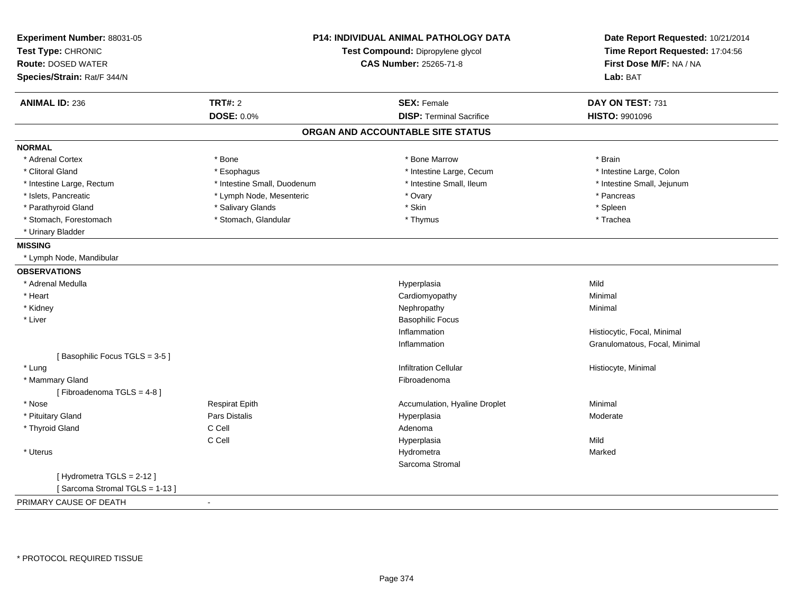| Experiment Number: 88031-05<br>Test Type: CHRONIC<br><b>Route: DOSED WATER</b><br>Species/Strain: Rat/F 344/N | P14: INDIVIDUAL ANIMAL PATHOLOGY DATA<br>Test Compound: Dipropylene glycol<br><b>CAS Number: 25265-71-8</b> |                                   | Date Report Requested: 10/21/2014<br>Time Report Requested: 17:04:56<br>First Dose M/F: NA / NA<br>Lab: BAT |
|---------------------------------------------------------------------------------------------------------------|-------------------------------------------------------------------------------------------------------------|-----------------------------------|-------------------------------------------------------------------------------------------------------------|
| <b>ANIMAL ID: 236</b>                                                                                         | <b>TRT#: 2</b>                                                                                              | <b>SEX: Female</b>                | DAY ON TEST: 731                                                                                            |
|                                                                                                               | <b>DOSE: 0.0%</b>                                                                                           | <b>DISP: Terminal Sacrifice</b>   | HISTO: 9901096                                                                                              |
|                                                                                                               |                                                                                                             | ORGAN AND ACCOUNTABLE SITE STATUS |                                                                                                             |
| <b>NORMAL</b>                                                                                                 |                                                                                                             |                                   |                                                                                                             |
| * Adrenal Cortex                                                                                              | * Bone                                                                                                      | * Bone Marrow                     | * Brain                                                                                                     |
| * Clitoral Gland                                                                                              | * Esophagus                                                                                                 | * Intestine Large, Cecum          | * Intestine Large, Colon                                                                                    |
| * Intestine Large, Rectum                                                                                     | * Intestine Small, Duodenum                                                                                 | * Intestine Small, Ileum          | * Intestine Small, Jejunum                                                                                  |
| * Islets, Pancreatic                                                                                          | * Lymph Node, Mesenteric                                                                                    | * Ovary                           | * Pancreas                                                                                                  |
| * Parathyroid Gland                                                                                           | * Salivary Glands                                                                                           | * Skin                            | * Spleen                                                                                                    |
| * Stomach, Forestomach                                                                                        | * Stomach, Glandular                                                                                        | * Thymus                          | * Trachea                                                                                                   |
| * Urinary Bladder                                                                                             |                                                                                                             |                                   |                                                                                                             |
| <b>MISSING</b>                                                                                                |                                                                                                             |                                   |                                                                                                             |
| * Lymph Node, Mandibular                                                                                      |                                                                                                             |                                   |                                                                                                             |
| <b>OBSERVATIONS</b>                                                                                           |                                                                                                             |                                   |                                                                                                             |
| * Adrenal Medulla                                                                                             |                                                                                                             | Hyperplasia                       | Mild                                                                                                        |
| * Heart                                                                                                       |                                                                                                             | Cardiomyopathy                    | Minimal                                                                                                     |
| * Kidney                                                                                                      |                                                                                                             | Nephropathy                       | Minimal                                                                                                     |
| * Liver                                                                                                       |                                                                                                             | <b>Basophilic Focus</b>           |                                                                                                             |
|                                                                                                               |                                                                                                             | Inflammation                      | Histiocytic, Focal, Minimal                                                                                 |
|                                                                                                               |                                                                                                             | Inflammation                      | Granulomatous, Focal, Minimal                                                                               |
| [Basophilic Focus TGLS = 3-5]                                                                                 |                                                                                                             |                                   |                                                                                                             |
| * Lung                                                                                                        |                                                                                                             | <b>Infiltration Cellular</b>      | Histiocyte, Minimal                                                                                         |
| * Mammary Gland                                                                                               |                                                                                                             | Fibroadenoma                      |                                                                                                             |
| [Fibroadenoma TGLS = 4-8]                                                                                     |                                                                                                             |                                   |                                                                                                             |
| * Nose                                                                                                        | <b>Respirat Epith</b>                                                                                       | Accumulation, Hyaline Droplet     | Minimal                                                                                                     |
| * Pituitary Gland                                                                                             | <b>Pars Distalis</b>                                                                                        | Hyperplasia                       | Moderate                                                                                                    |
| * Thyroid Gland                                                                                               | C Cell                                                                                                      | Adenoma                           |                                                                                                             |
|                                                                                                               | C Cell                                                                                                      | Hyperplasia                       | Mild                                                                                                        |
| * Uterus                                                                                                      |                                                                                                             | Hydrometra                        | Marked                                                                                                      |
|                                                                                                               |                                                                                                             | Sarcoma Stromal                   |                                                                                                             |
| [Hydrometra TGLS = 2-12]<br>[Sarcoma Stromal TGLS = 1-13]                                                     |                                                                                                             |                                   |                                                                                                             |
| PRIMARY CAUSE OF DEATH                                                                                        |                                                                                                             |                                   |                                                                                                             |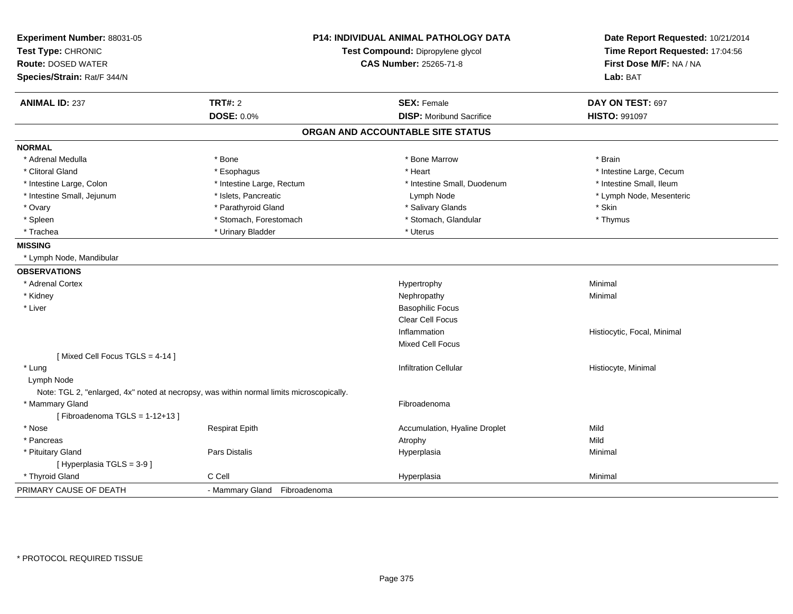| Experiment Number: 88031-05<br>Test Type: CHRONIC<br><b>Route: DOSED WATER</b><br>Species/Strain: Rat/F 344/N | P14: INDIVIDUAL ANIMAL PATHOLOGY DATA<br>Test Compound: Dipropylene glycol<br><b>CAS Number: 25265-71-8</b> | Date Report Requested: 10/21/2014<br>Time Report Requested: 17:04:56<br>First Dose M/F: NA / NA<br>Lab: BAT |
|---------------------------------------------------------------------------------------------------------------|-------------------------------------------------------------------------------------------------------------|-------------------------------------------------------------------------------------------------------------|
|                                                                                                               |                                                                                                             |                                                                                                             |
| <b>TRT#: 2</b><br><b>ANIMAL ID: 237</b><br><b>DOSE: 0.0%</b>                                                  | <b>SEX: Female</b><br><b>DISP:</b> Moribund Sacrifice                                                       | DAY ON TEST: 697<br><b>HISTO: 991097</b>                                                                    |
|                                                                                                               |                                                                                                             |                                                                                                             |
|                                                                                                               | ORGAN AND ACCOUNTABLE SITE STATUS                                                                           |                                                                                                             |
| <b>NORMAL</b>                                                                                                 |                                                                                                             |                                                                                                             |
| * Adrenal Medulla<br>* Bone                                                                                   | * Bone Marrow                                                                                               | * Brain                                                                                                     |
| * Clitoral Gland<br>* Esophagus                                                                               | * Heart                                                                                                     | * Intestine Large, Cecum                                                                                    |
| * Intestine Large, Colon<br>* Intestine Large, Rectum                                                         | * Intestine Small, Duodenum                                                                                 | * Intestine Small, Ileum                                                                                    |
| * Intestine Small, Jejunum<br>* Islets, Pancreatic                                                            | Lymph Node                                                                                                  | * Lymph Node, Mesenteric                                                                                    |
| * Parathyroid Gland<br>* Ovary                                                                                | * Salivary Glands                                                                                           | * Skin                                                                                                      |
| * Spleen<br>* Stomach, Forestomach                                                                            | * Stomach, Glandular                                                                                        | * Thymus                                                                                                    |
| * Urinary Bladder<br>* Trachea                                                                                | * Uterus                                                                                                    |                                                                                                             |
| <b>MISSING</b>                                                                                                |                                                                                                             |                                                                                                             |
| * Lymph Node, Mandibular                                                                                      |                                                                                                             |                                                                                                             |
| <b>OBSERVATIONS</b>                                                                                           |                                                                                                             |                                                                                                             |
| * Adrenal Cortex                                                                                              | Hypertrophy                                                                                                 | Minimal                                                                                                     |
| * Kidney                                                                                                      | Nephropathy                                                                                                 | Minimal                                                                                                     |
| $^{\star}$ Liver                                                                                              | <b>Basophilic Focus</b>                                                                                     |                                                                                                             |
|                                                                                                               | <b>Clear Cell Focus</b>                                                                                     |                                                                                                             |
|                                                                                                               | Inflammation                                                                                                | Histiocytic, Focal, Minimal                                                                                 |
|                                                                                                               | Mixed Cell Focus                                                                                            |                                                                                                             |
| [Mixed Cell Focus TGLS = 4-14]                                                                                |                                                                                                             |                                                                                                             |
| * Lung                                                                                                        | <b>Infiltration Cellular</b>                                                                                | Histiocyte, Minimal                                                                                         |
| Lymph Node                                                                                                    |                                                                                                             |                                                                                                             |
| Note: TGL 2, "enlarged, 4x" noted at necropsy, was within normal limits microscopically.                      |                                                                                                             |                                                                                                             |
| * Mammary Gland                                                                                               | Fibroadenoma                                                                                                |                                                                                                             |
| [Fibroadenoma TGLS = 1-12+13]                                                                                 |                                                                                                             |                                                                                                             |
| * Nose<br><b>Respirat Epith</b>                                                                               | Accumulation, Hyaline Droplet                                                                               | Mild                                                                                                        |
| * Pancreas                                                                                                    | Atrophy                                                                                                     | Mild                                                                                                        |
| * Pituitary Gland<br>Pars Distalis                                                                            | Hyperplasia                                                                                                 | Minimal                                                                                                     |
| [ Hyperplasia TGLS = 3-9 ]                                                                                    |                                                                                                             |                                                                                                             |
| * Thyroid Gland<br>C Cell                                                                                     | Hyperplasia                                                                                                 | Minimal                                                                                                     |
| PRIMARY CAUSE OF DEATH<br>- Mammary Gland Fibroadenoma                                                        |                                                                                                             |                                                                                                             |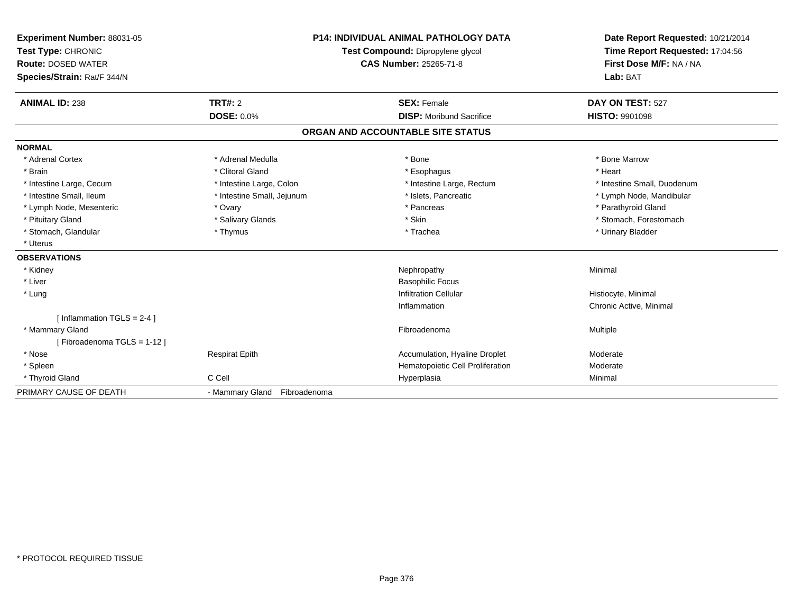| Experiment Number: 88031-05<br>Test Type: CHRONIC<br><b>Route: DOSED WATER</b><br>Species/Strain: Rat/F 344/N<br><b>ANIMAL ID: 238</b> | TRT#: 2<br><b>DOSE: 0.0%</b> | <b>P14: INDIVIDUAL ANIMAL PATHOLOGY DATA</b><br>Test Compound: Dipropylene glycol<br><b>CAS Number: 25265-71-8</b><br><b>SEX: Female</b><br><b>DISP:</b> Moribund Sacrifice | Date Report Requested: 10/21/2014<br>Time Report Requested: 17:04:56<br>First Dose M/F: NA / NA<br>Lab: BAT<br>DAY ON TEST: 527<br><b>HISTO: 9901098</b> |
|----------------------------------------------------------------------------------------------------------------------------------------|------------------------------|-----------------------------------------------------------------------------------------------------------------------------------------------------------------------------|----------------------------------------------------------------------------------------------------------------------------------------------------------|
|                                                                                                                                        |                              | ORGAN AND ACCOUNTABLE SITE STATUS                                                                                                                                           |                                                                                                                                                          |
|                                                                                                                                        |                              |                                                                                                                                                                             |                                                                                                                                                          |
| <b>NORMAL</b><br>* Adrenal Cortex                                                                                                      | * Adrenal Medulla            | * Bone                                                                                                                                                                      | * Bone Marrow                                                                                                                                            |
| * Brain                                                                                                                                | * Clitoral Gland             |                                                                                                                                                                             | * Heart                                                                                                                                                  |
|                                                                                                                                        |                              | * Esophagus                                                                                                                                                                 | * Intestine Small, Duodenum                                                                                                                              |
| * Intestine Large, Cecum<br>* Intestine Small, Ileum                                                                                   | * Intestine Large, Colon     | * Intestine Large, Rectum<br>* Islets, Pancreatic                                                                                                                           |                                                                                                                                                          |
|                                                                                                                                        | * Intestine Small, Jejunum   | * Pancreas                                                                                                                                                                  | * Lymph Node, Mandibular                                                                                                                                 |
| * Lymph Node, Mesenteric                                                                                                               | * Ovary                      | * Skin                                                                                                                                                                      | * Parathyroid Gland<br>* Stomach, Forestomach                                                                                                            |
| * Pituitary Gland                                                                                                                      | * Salivary Glands            | * Trachea                                                                                                                                                                   |                                                                                                                                                          |
| * Stomach, Glandular<br>* Uterus                                                                                                       | * Thymus                     |                                                                                                                                                                             | * Urinary Bladder                                                                                                                                        |
|                                                                                                                                        |                              |                                                                                                                                                                             |                                                                                                                                                          |
| <b>OBSERVATIONS</b>                                                                                                                    |                              |                                                                                                                                                                             |                                                                                                                                                          |
| * Kidney                                                                                                                               |                              | Nephropathy                                                                                                                                                                 | Minimal                                                                                                                                                  |
| * Liver                                                                                                                                |                              | <b>Basophilic Focus</b>                                                                                                                                                     |                                                                                                                                                          |
| * Lung                                                                                                                                 |                              | <b>Infiltration Cellular</b>                                                                                                                                                | Histiocyte, Minimal                                                                                                                                      |
|                                                                                                                                        |                              | Inflammation                                                                                                                                                                | Chronic Active, Minimal                                                                                                                                  |
| [ Inflammation TGLS = 2-4 ]                                                                                                            |                              |                                                                                                                                                                             |                                                                                                                                                          |
| * Mammary Gland                                                                                                                        |                              | Fibroadenoma                                                                                                                                                                | Multiple                                                                                                                                                 |
| [Fibroadenoma TGLS = 1-12]                                                                                                             |                              |                                                                                                                                                                             |                                                                                                                                                          |
| * Nose                                                                                                                                 | <b>Respirat Epith</b>        | Accumulation, Hyaline Droplet                                                                                                                                               | Moderate                                                                                                                                                 |
| * Spleen                                                                                                                               |                              | Hematopoietic Cell Proliferation                                                                                                                                            | Moderate                                                                                                                                                 |
| * Thyroid Gland                                                                                                                        | C Cell                       | Hyperplasia                                                                                                                                                                 | Minimal                                                                                                                                                  |
| PRIMARY CAUSE OF DEATH                                                                                                                 | - Mammary Gland Fibroadenoma |                                                                                                                                                                             |                                                                                                                                                          |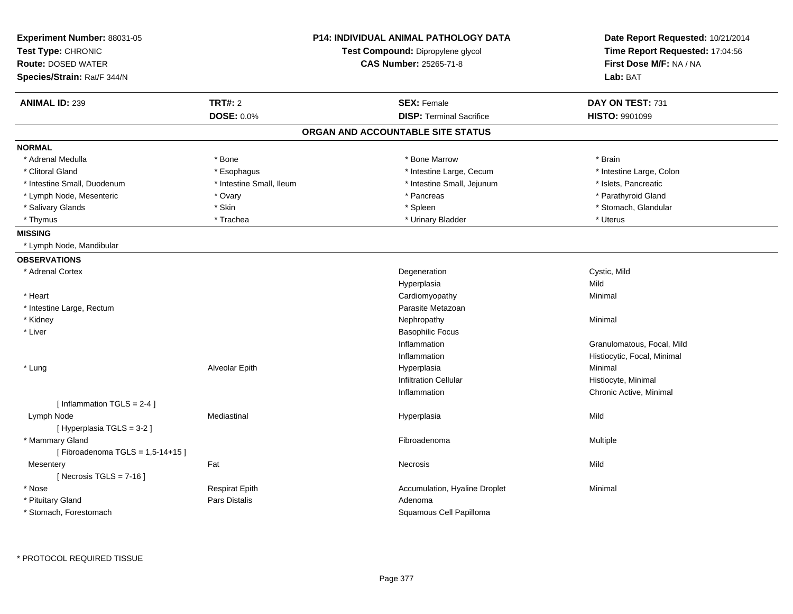| Experiment Number: 88031-05<br>Test Type: CHRONIC<br><b>Route: DOSED WATER</b><br>Species/Strain: Rat/F 344/N |                          | <b>P14: INDIVIDUAL ANIMAL PATHOLOGY DATA</b><br>Test Compound: Dipropylene glycol<br>CAS Number: 25265-71-8 | Date Report Requested: 10/21/2014<br>Time Report Requested: 17:04:56<br>First Dose M/F: NA / NA<br>Lab: BAT |
|---------------------------------------------------------------------------------------------------------------|--------------------------|-------------------------------------------------------------------------------------------------------------|-------------------------------------------------------------------------------------------------------------|
| <b>ANIMAL ID: 239</b>                                                                                         | <b>TRT#: 2</b>           | <b>SEX: Female</b>                                                                                          | DAY ON TEST: 731                                                                                            |
|                                                                                                               | <b>DOSE: 0.0%</b>        | <b>DISP: Terminal Sacrifice</b>                                                                             | <b>HISTO: 9901099</b>                                                                                       |
|                                                                                                               |                          | ORGAN AND ACCOUNTABLE SITE STATUS                                                                           |                                                                                                             |
| <b>NORMAL</b>                                                                                                 |                          |                                                                                                             |                                                                                                             |
| * Adrenal Medulla                                                                                             | * Bone                   | * Bone Marrow                                                                                               | * Brain                                                                                                     |
| * Clitoral Gland                                                                                              | * Esophagus              | * Intestine Large, Cecum                                                                                    | * Intestine Large, Colon                                                                                    |
| * Intestine Small, Duodenum                                                                                   | * Intestine Small, Ileum | * Intestine Small, Jejunum                                                                                  | * Islets, Pancreatic                                                                                        |
| * Lymph Node, Mesenteric                                                                                      | * Ovary                  | * Pancreas                                                                                                  | * Parathyroid Gland                                                                                         |
| * Salivary Glands                                                                                             | * Skin                   | * Spleen                                                                                                    | * Stomach, Glandular                                                                                        |
| * Thymus                                                                                                      | * Trachea                | * Urinary Bladder                                                                                           | * Uterus                                                                                                    |
| <b>MISSING</b>                                                                                                |                          |                                                                                                             |                                                                                                             |
| * Lymph Node, Mandibular                                                                                      |                          |                                                                                                             |                                                                                                             |
| <b>OBSERVATIONS</b>                                                                                           |                          |                                                                                                             |                                                                                                             |
| * Adrenal Cortex                                                                                              |                          | Degeneration                                                                                                | Cystic, Mild                                                                                                |
|                                                                                                               |                          | Hyperplasia                                                                                                 | Mild                                                                                                        |
| * Heart                                                                                                       |                          | Cardiomyopathy                                                                                              | Minimal                                                                                                     |
| * Intestine Large, Rectum                                                                                     |                          | Parasite Metazoan                                                                                           |                                                                                                             |
| * Kidney                                                                                                      |                          | Nephropathy                                                                                                 | Minimal                                                                                                     |
| * Liver                                                                                                       |                          | <b>Basophilic Focus</b>                                                                                     |                                                                                                             |
|                                                                                                               |                          | Inflammation                                                                                                | Granulomatous, Focal, Mild                                                                                  |
|                                                                                                               |                          | Inflammation                                                                                                | Histiocytic, Focal, Minimal                                                                                 |
| * Lung                                                                                                        | Alveolar Epith           | Hyperplasia                                                                                                 | Minimal                                                                                                     |
|                                                                                                               |                          | <b>Infiltration Cellular</b>                                                                                | Histiocyte, Minimal                                                                                         |
|                                                                                                               |                          | Inflammation                                                                                                | Chronic Active, Minimal                                                                                     |
| [ Inflammation TGLS = 2-4 ]                                                                                   |                          |                                                                                                             |                                                                                                             |
| Lymph Node                                                                                                    | Mediastinal              | Hyperplasia                                                                                                 | Mild                                                                                                        |
| [ Hyperplasia TGLS = 3-2 ]                                                                                    |                          |                                                                                                             |                                                                                                             |
| * Mammary Gland                                                                                               |                          | Fibroadenoma                                                                                                | Multiple                                                                                                    |
| [Fibroadenoma TGLS = $1,5-14+15$ ]                                                                            |                          |                                                                                                             |                                                                                                             |
| Mesentery                                                                                                     | Fat                      | Necrosis                                                                                                    | Mild                                                                                                        |
| [Necrosis TGLS = $7-16$ ]                                                                                     |                          |                                                                                                             |                                                                                                             |
| * Nose                                                                                                        | <b>Respirat Epith</b>    | Accumulation, Hyaline Droplet                                                                               | Minimal                                                                                                     |
| * Pituitary Gland                                                                                             | Pars Distalis            | Adenoma                                                                                                     |                                                                                                             |
| * Stomach, Forestomach                                                                                        |                          | Squamous Cell Papilloma                                                                                     |                                                                                                             |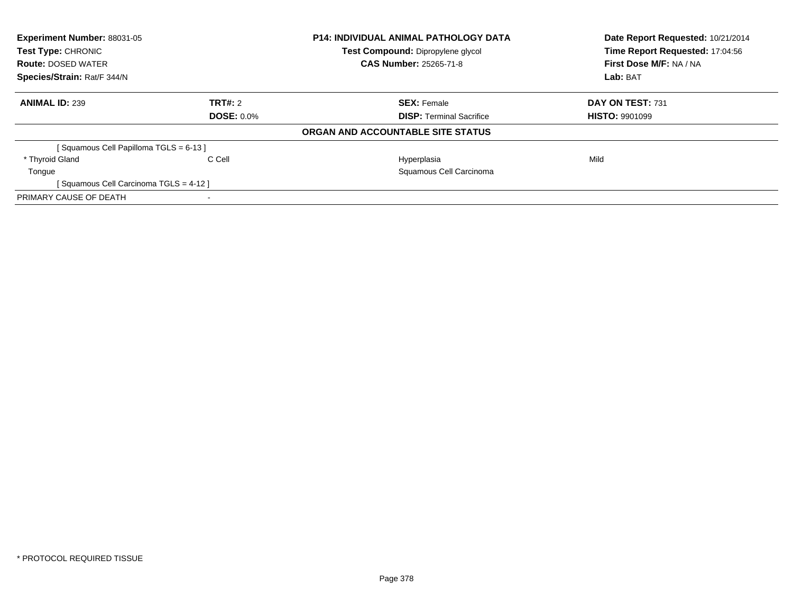| Experiment Number: 88031-05<br><b>Test Type: CHRONIC</b> |                   | <b>P14: INDIVIDUAL ANIMAL PATHOLOGY DATA</b> | Date Report Requested: 10/21/2014<br>Time Report Requested: 17:04:56 |
|----------------------------------------------------------|-------------------|----------------------------------------------|----------------------------------------------------------------------|
|                                                          |                   | Test Compound: Dipropylene glycol            |                                                                      |
| <b>Route: DOSED WATER</b>                                |                   | <b>CAS Number: 25265-71-8</b>                | First Dose M/F: NA / NA                                              |
| Species/Strain: Rat/F 344/N                              |                   |                                              | Lab: BAT                                                             |
| <b>ANIMAL ID: 239</b>                                    | TRT#: 2           | <b>SEX: Female</b>                           | DAY ON TEST: 731                                                     |
|                                                          | <b>DOSE: 0.0%</b> | <b>DISP:</b> Terminal Sacrifice              | <b>HISTO: 9901099</b>                                                |
|                                                          |                   | ORGAN AND ACCOUNTABLE SITE STATUS            |                                                                      |
| [Squamous Cell Papilloma TGLS = 6-13]                    |                   |                                              |                                                                      |
| * Thyroid Gland                                          | C Cell            | Hyperplasia                                  | Mild                                                                 |
| Tongue                                                   |                   | Squamous Cell Carcinoma                      |                                                                      |
| [Squamous Cell Carcinoma TGLS = 4-12]                    |                   |                                              |                                                                      |
| PRIMARY CAUSE OF DEATH                                   |                   |                                              |                                                                      |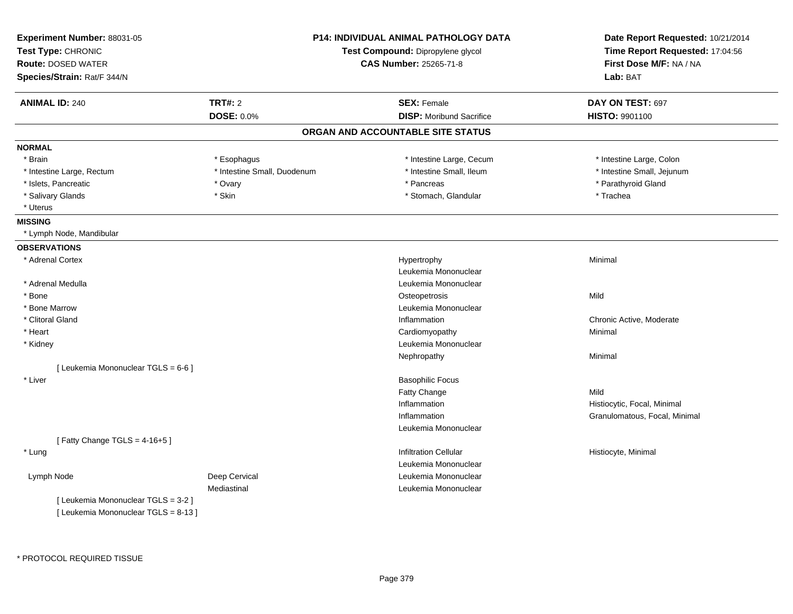| Experiment Number: 88031-05<br>Test Type: CHRONIC<br><b>Route: DOSED WATER</b><br>Species/Strain: Rat/F 344/N | <b>P14: INDIVIDUAL ANIMAL PATHOLOGY DATA</b><br>Test Compound: Dipropylene glycol<br><b>CAS Number: 25265-71-8</b> |                                   | Date Report Requested: 10/21/2014<br>Time Report Requested: 17:04:56<br>First Dose M/F: NA / NA<br>Lab: BAT |
|---------------------------------------------------------------------------------------------------------------|--------------------------------------------------------------------------------------------------------------------|-----------------------------------|-------------------------------------------------------------------------------------------------------------|
| <b>ANIMAL ID: 240</b>                                                                                         | <b>TRT#: 2</b>                                                                                                     | <b>SEX: Female</b>                | DAY ON TEST: 697                                                                                            |
|                                                                                                               | <b>DOSE: 0.0%</b>                                                                                                  | <b>DISP:</b> Moribund Sacrifice   | HISTO: 9901100                                                                                              |
|                                                                                                               |                                                                                                                    | ORGAN AND ACCOUNTABLE SITE STATUS |                                                                                                             |
| <b>NORMAL</b>                                                                                                 |                                                                                                                    |                                   |                                                                                                             |
| * Brain                                                                                                       | * Esophagus                                                                                                        | * Intestine Large, Cecum          | * Intestine Large, Colon                                                                                    |
| * Intestine Large, Rectum                                                                                     | * Intestine Small, Duodenum                                                                                        | * Intestine Small, Ileum          | * Intestine Small, Jejunum                                                                                  |
| * Islets, Pancreatic                                                                                          | * Ovary                                                                                                            | * Pancreas                        | * Parathyroid Gland                                                                                         |
| * Salivary Glands                                                                                             | * Skin                                                                                                             | * Stomach, Glandular              | * Trachea                                                                                                   |
| * Uterus                                                                                                      |                                                                                                                    |                                   |                                                                                                             |
| <b>MISSING</b>                                                                                                |                                                                                                                    |                                   |                                                                                                             |
| * Lymph Node, Mandibular                                                                                      |                                                                                                                    |                                   |                                                                                                             |
| <b>OBSERVATIONS</b>                                                                                           |                                                                                                                    |                                   |                                                                                                             |
| * Adrenal Cortex                                                                                              |                                                                                                                    | Hypertrophy                       | Minimal                                                                                                     |
|                                                                                                               |                                                                                                                    | Leukemia Mononuclear              |                                                                                                             |
| * Adrenal Medulla                                                                                             |                                                                                                                    | Leukemia Mononuclear              |                                                                                                             |
| $*$ Bone                                                                                                      |                                                                                                                    | Osteopetrosis                     | Mild                                                                                                        |
| * Bone Marrow                                                                                                 |                                                                                                                    | Leukemia Mononuclear              |                                                                                                             |
| * Clitoral Gland                                                                                              |                                                                                                                    | Inflammation                      | Chronic Active, Moderate                                                                                    |
| * Heart                                                                                                       |                                                                                                                    | Cardiomyopathy                    | Minimal                                                                                                     |
| * Kidney                                                                                                      |                                                                                                                    | Leukemia Mononuclear              |                                                                                                             |
|                                                                                                               |                                                                                                                    | Nephropathy                       | Minimal                                                                                                     |
| [ Leukemia Mononuclear TGLS = 6-6 ]                                                                           |                                                                                                                    |                                   |                                                                                                             |
| * Liver                                                                                                       |                                                                                                                    | <b>Basophilic Focus</b>           |                                                                                                             |
|                                                                                                               |                                                                                                                    | Fatty Change                      | Mild                                                                                                        |
|                                                                                                               |                                                                                                                    | Inflammation                      | Histiocytic, Focal, Minimal                                                                                 |
|                                                                                                               |                                                                                                                    | Inflammation                      | Granulomatous, Focal, Minimal                                                                               |
|                                                                                                               |                                                                                                                    | Leukemia Mononuclear              |                                                                                                             |
| [Fatty Change TGLS = $4-16+5$ ]                                                                               |                                                                                                                    |                                   |                                                                                                             |
| * Lung                                                                                                        |                                                                                                                    | <b>Infiltration Cellular</b>      | Histiocyte, Minimal                                                                                         |
|                                                                                                               |                                                                                                                    | Leukemia Mononuclear              |                                                                                                             |
| Lymph Node                                                                                                    | Deep Cervical                                                                                                      | Leukemia Mononuclear              |                                                                                                             |
|                                                                                                               | Mediastinal                                                                                                        | Leukemia Mononuclear              |                                                                                                             |
| [ Leukemia Mononuclear TGLS = 3-2 ]<br>[ Leukemia Mononuclear TGLS = 8-13 ]                                   |                                                                                                                    |                                   |                                                                                                             |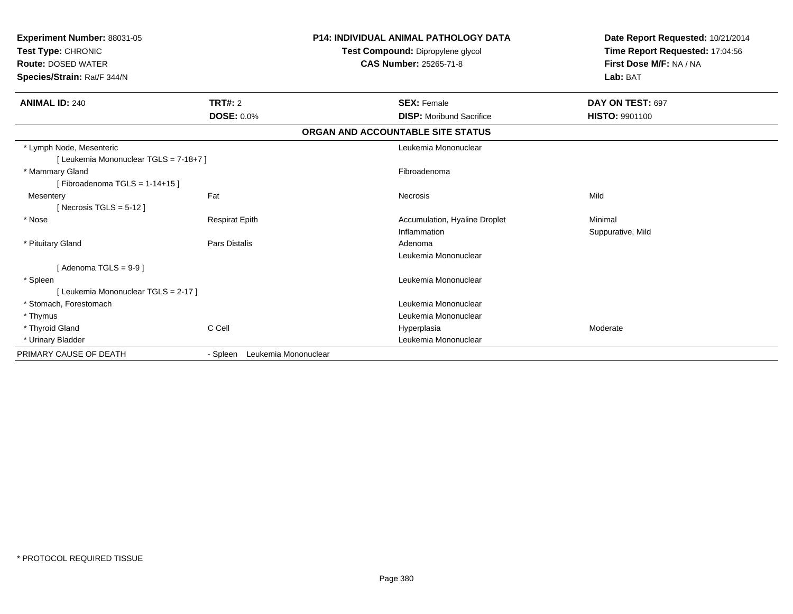| Experiment Number: 88031-05<br>Test Type: CHRONIC<br><b>Route: DOSED WATER</b><br>Species/Strain: Rat/F 344/N |                               | <b>P14: INDIVIDUAL ANIMAL PATHOLOGY DATA</b><br>Test Compound: Dipropylene glycol<br><b>CAS Number: 25265-71-8</b> | Date Report Requested: 10/21/2014<br>Time Report Requested: 17:04:56<br>First Dose M/F: NA / NA<br>Lab: BAT |  |
|---------------------------------------------------------------------------------------------------------------|-------------------------------|--------------------------------------------------------------------------------------------------------------------|-------------------------------------------------------------------------------------------------------------|--|
| <b>ANIMAL ID: 240</b>                                                                                         | TRT#: 2                       | <b>SEX: Female</b>                                                                                                 | DAY ON TEST: 697                                                                                            |  |
|                                                                                                               | <b>DOSE: 0.0%</b>             | <b>DISP: Moribund Sacrifice</b>                                                                                    | <b>HISTO: 9901100</b>                                                                                       |  |
|                                                                                                               |                               | ORGAN AND ACCOUNTABLE SITE STATUS                                                                                  |                                                                                                             |  |
| * Lymph Node, Mesenteric                                                                                      |                               | Leukemia Mononuclear                                                                                               |                                                                                                             |  |
| [ Leukemia Mononuclear TGLS = 7-18+7 ]                                                                        |                               |                                                                                                                    |                                                                                                             |  |
| * Mammary Gland                                                                                               |                               | Fibroadenoma                                                                                                       |                                                                                                             |  |
| [Fibroadenoma TGLS = $1-14+15$ ]                                                                              |                               |                                                                                                                    |                                                                                                             |  |
| Mesentery                                                                                                     | Fat                           | <b>Necrosis</b>                                                                                                    | Mild                                                                                                        |  |
| [Necrosis TGLS = $5-12$ ]                                                                                     |                               |                                                                                                                    |                                                                                                             |  |
| * Nose                                                                                                        | <b>Respirat Epith</b>         | Accumulation, Hyaline Droplet                                                                                      | Minimal                                                                                                     |  |
|                                                                                                               |                               | Inflammation                                                                                                       | Suppurative, Mild                                                                                           |  |
| * Pituitary Gland                                                                                             | <b>Pars Distalis</b>          | Adenoma                                                                                                            |                                                                                                             |  |
|                                                                                                               |                               | Leukemia Mononuclear                                                                                               |                                                                                                             |  |
| [Adenoma TGLS = $9-9$ ]                                                                                       |                               |                                                                                                                    |                                                                                                             |  |
| * Spleen                                                                                                      |                               | Leukemia Mononuclear                                                                                               |                                                                                                             |  |
| [ Leukemia Mononuclear TGLS = 2-17 ]                                                                          |                               |                                                                                                                    |                                                                                                             |  |
| * Stomach, Forestomach                                                                                        |                               | Leukemia Mononuclear                                                                                               |                                                                                                             |  |
| * Thymus                                                                                                      |                               | Leukemia Mononuclear                                                                                               |                                                                                                             |  |
| * Thyroid Gland                                                                                               | C Cell                        | Hyperplasia                                                                                                        | Moderate                                                                                                    |  |
| * Urinary Bladder                                                                                             |                               | Leukemia Mononuclear                                                                                               |                                                                                                             |  |
| PRIMARY CAUSE OF DEATH                                                                                        | - Spleen Leukemia Mononuclear |                                                                                                                    |                                                                                                             |  |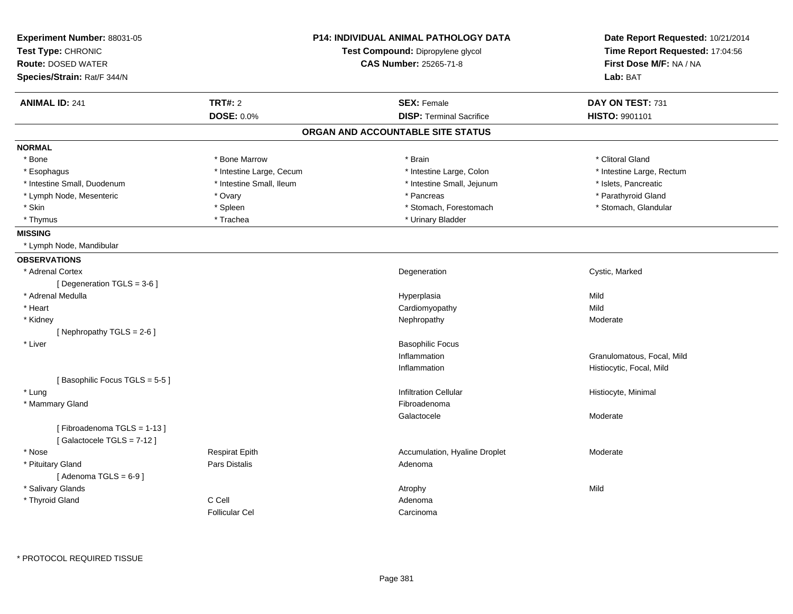| Experiment Number: 88031-05<br>Test Type: CHRONIC<br><b>Route: DOSED WATER</b> |                          | <b>P14: INDIVIDUAL ANIMAL PATHOLOGY DATA</b><br>Test Compound: Dipropylene glycol<br><b>CAS Number: 25265-71-8</b> | Date Report Requested: 10/21/2014<br>Time Report Requested: 17:04:56<br>First Dose M/F: NA / NA |  |
|--------------------------------------------------------------------------------|--------------------------|--------------------------------------------------------------------------------------------------------------------|-------------------------------------------------------------------------------------------------|--|
| Species/Strain: Rat/F 344/N                                                    |                          |                                                                                                                    | Lab: BAT                                                                                        |  |
| <b>ANIMAL ID: 241</b>                                                          | <b>TRT#: 2</b>           | <b>SEX: Female</b>                                                                                                 | DAY ON TEST: 731                                                                                |  |
|                                                                                | <b>DOSE: 0.0%</b>        | <b>DISP: Terminal Sacrifice</b>                                                                                    | HISTO: 9901101                                                                                  |  |
|                                                                                |                          | ORGAN AND ACCOUNTABLE SITE STATUS                                                                                  |                                                                                                 |  |
| <b>NORMAL</b>                                                                  |                          |                                                                                                                    |                                                                                                 |  |
| * Bone                                                                         | * Bone Marrow            | * Brain                                                                                                            | * Clitoral Gland                                                                                |  |
| * Esophagus                                                                    | * Intestine Large, Cecum | * Intestine Large, Colon                                                                                           | * Intestine Large, Rectum                                                                       |  |
| * Intestine Small, Duodenum                                                    | * Intestine Small, Ileum | * Intestine Small, Jejunum                                                                                         | * Islets, Pancreatic                                                                            |  |
| * Lymph Node, Mesenteric                                                       | * Ovary                  | * Pancreas                                                                                                         | * Parathyroid Gland                                                                             |  |
| * Skin                                                                         | * Spleen                 | * Stomach, Forestomach                                                                                             | * Stomach, Glandular                                                                            |  |
| * Thymus                                                                       | * Trachea                | * Urinary Bladder                                                                                                  |                                                                                                 |  |
| <b>MISSING</b>                                                                 |                          |                                                                                                                    |                                                                                                 |  |
| * Lymph Node, Mandibular                                                       |                          |                                                                                                                    |                                                                                                 |  |
| <b>OBSERVATIONS</b>                                                            |                          |                                                                                                                    |                                                                                                 |  |
| * Adrenal Cortex                                                               |                          | Degeneration                                                                                                       | Cystic, Marked                                                                                  |  |
| [Degeneration TGLS = 3-6]                                                      |                          |                                                                                                                    |                                                                                                 |  |
| * Adrenal Medulla                                                              |                          | Hyperplasia                                                                                                        | Mild                                                                                            |  |
| * Heart                                                                        |                          | Cardiomyopathy                                                                                                     | Mild                                                                                            |  |
| * Kidney                                                                       |                          | Nephropathy                                                                                                        | Moderate                                                                                        |  |
| [Nephropathy TGLS = $2-6$ ]                                                    |                          |                                                                                                                    |                                                                                                 |  |
| * Liver                                                                        |                          | <b>Basophilic Focus</b>                                                                                            |                                                                                                 |  |
|                                                                                |                          | Inflammation                                                                                                       | Granulomatous, Focal, Mild                                                                      |  |
|                                                                                |                          | Inflammation                                                                                                       | Histiocytic, Focal, Mild                                                                        |  |
| [Basophilic Focus TGLS = 5-5]                                                  |                          |                                                                                                                    |                                                                                                 |  |
| * Lung                                                                         |                          | <b>Infiltration Cellular</b>                                                                                       | Histiocyte, Minimal                                                                             |  |
| * Mammary Gland                                                                |                          | Fibroadenoma                                                                                                       |                                                                                                 |  |
|                                                                                |                          | Galactocele                                                                                                        | Moderate                                                                                        |  |
| [Fibroadenoma TGLS = 1-13]<br>[Galactocele TGLS = 7-12]                        |                          |                                                                                                                    |                                                                                                 |  |
| * Nose                                                                         | <b>Respirat Epith</b>    | Accumulation, Hyaline Droplet                                                                                      | Moderate                                                                                        |  |
| * Pituitary Gland                                                              | Pars Distalis            | Adenoma                                                                                                            |                                                                                                 |  |
| [Adenoma TGLS = $6-9$ ]                                                        |                          |                                                                                                                    |                                                                                                 |  |
| * Salivary Glands                                                              |                          | Atrophy                                                                                                            | Mild                                                                                            |  |
| * Thyroid Gland                                                                | C Cell                   | Adenoma                                                                                                            |                                                                                                 |  |
|                                                                                | <b>Follicular Cel</b>    | Carcinoma                                                                                                          |                                                                                                 |  |
|                                                                                |                          |                                                                                                                    |                                                                                                 |  |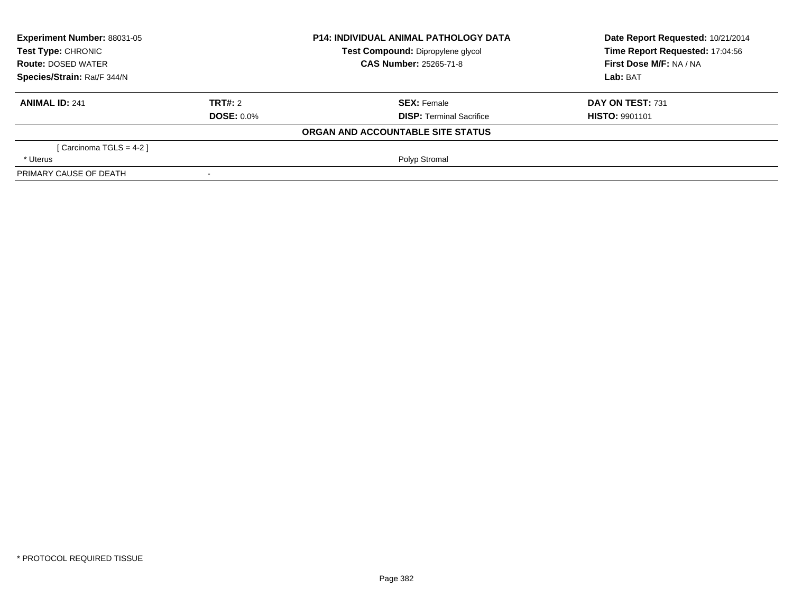| <b>Experiment Number: 88031-05</b><br>Test Type: CHRONIC<br><b>Route: DOSED WATER</b><br>Species/Strain: Rat/F 344/N |                   | <b>P14: INDIVIDUAL ANIMAL PATHOLOGY DATA</b> | Date Report Requested: 10/21/2014 |
|----------------------------------------------------------------------------------------------------------------------|-------------------|----------------------------------------------|-----------------------------------|
|                                                                                                                      |                   | Test Compound: Dipropylene glycol            | Time Report Requested: 17:04:56   |
|                                                                                                                      |                   | <b>CAS Number: 25265-71-8</b>                | First Dose M/F: NA / NA           |
|                                                                                                                      |                   |                                              | Lab: BAT                          |
| <b>ANIMAL ID: 241</b>                                                                                                | TRT#: 2           | <b>SEX: Female</b>                           | <b>DAY ON TEST: 731</b>           |
|                                                                                                                      | <b>DOSE: 0.0%</b> | <b>DISP: Terminal Sacrifice</b>              | <b>HISTO: 9901101</b>             |
|                                                                                                                      |                   | ORGAN AND ACCOUNTABLE SITE STATUS            |                                   |
| [ Carcinoma TGLS = 4-2 ]                                                                                             |                   |                                              |                                   |
| * Uterus                                                                                                             |                   | Polyp Stromal                                |                                   |
| PRIMARY CAUSE OF DEATH                                                                                               |                   |                                              |                                   |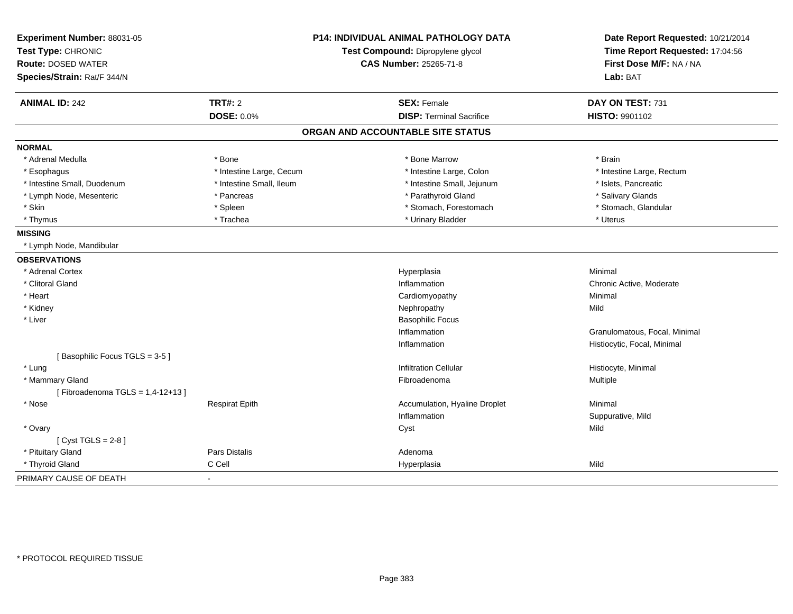| Experiment Number: 88031-05        |                               | P14: INDIVIDUAL ANIMAL PATHOLOGY DATA | Date Report Requested: 10/21/2014<br>Time Report Requested: 17:04:56 |
|------------------------------------|-------------------------------|---------------------------------------|----------------------------------------------------------------------|
| Test Type: CHRONIC                 |                               | Test Compound: Dipropylene glycol     |                                                                      |
| <b>Route: DOSED WATER</b>          | <b>CAS Number: 25265-71-8</b> |                                       | First Dose M/F: NA / NA                                              |
| Species/Strain: Rat/F 344/N        |                               |                                       | Lab: BAT                                                             |
| <b>ANIMAL ID: 242</b>              | <b>TRT#: 2</b>                | <b>SEX: Female</b>                    | DAY ON TEST: 731                                                     |
|                                    | <b>DOSE: 0.0%</b>             | <b>DISP: Terminal Sacrifice</b>       | HISTO: 9901102                                                       |
|                                    |                               | ORGAN AND ACCOUNTABLE SITE STATUS     |                                                                      |
| <b>NORMAL</b>                      |                               |                                       |                                                                      |
| * Adrenal Medulla                  | * Bone                        | * Bone Marrow                         | * Brain                                                              |
| * Esophagus                        | * Intestine Large, Cecum      | * Intestine Large, Colon              | * Intestine Large, Rectum                                            |
| * Intestine Small, Duodenum        | * Intestine Small, Ileum      | * Intestine Small, Jejunum            | * Islets, Pancreatic                                                 |
| * Lymph Node, Mesenteric           | * Pancreas                    | * Parathyroid Gland                   | * Salivary Glands                                                    |
| * Skin                             | * Spleen                      | * Stomach, Forestomach                | * Stomach, Glandular                                                 |
| * Thymus                           | * Trachea                     | * Urinary Bladder                     | * Uterus                                                             |
| <b>MISSING</b>                     |                               |                                       |                                                                      |
| * Lymph Node, Mandibular           |                               |                                       |                                                                      |
| <b>OBSERVATIONS</b>                |                               |                                       |                                                                      |
| * Adrenal Cortex                   |                               | Hyperplasia                           | Minimal                                                              |
| * Clitoral Gland                   |                               | Inflammation                          | Chronic Active, Moderate                                             |
| * Heart                            |                               | Cardiomyopathy                        | Minimal                                                              |
| * Kidney                           |                               | Nephropathy                           | Mild                                                                 |
| * Liver                            |                               | <b>Basophilic Focus</b>               |                                                                      |
|                                    |                               | Inflammation                          | Granulomatous, Focal, Minimal                                        |
|                                    |                               | Inflammation                          | Histiocytic, Focal, Minimal                                          |
| [Basophilic Focus TGLS = 3-5]      |                               |                                       |                                                                      |
| * Lung                             |                               | <b>Infiltration Cellular</b>          | Histiocyte, Minimal                                                  |
| * Mammary Gland                    |                               | Fibroadenoma                          | Multiple                                                             |
| [Fibroadenoma TGLS = $1,4-12+13$ ] |                               |                                       |                                                                      |
| * Nose                             | <b>Respirat Epith</b>         | Accumulation, Hyaline Droplet         | Minimal                                                              |
|                                    |                               | Inflammation                          | Suppurative, Mild                                                    |
| * Ovary                            |                               | Cyst                                  | Mild                                                                 |
| [Cyst TGLS = $2-8$ ]               |                               |                                       |                                                                      |
| * Pituitary Gland                  | Pars Distalis                 | Adenoma                               |                                                                      |
| * Thyroid Gland                    | C Cell                        | Hyperplasia                           | Mild                                                                 |
| PRIMARY CAUSE OF DEATH             |                               |                                       |                                                                      |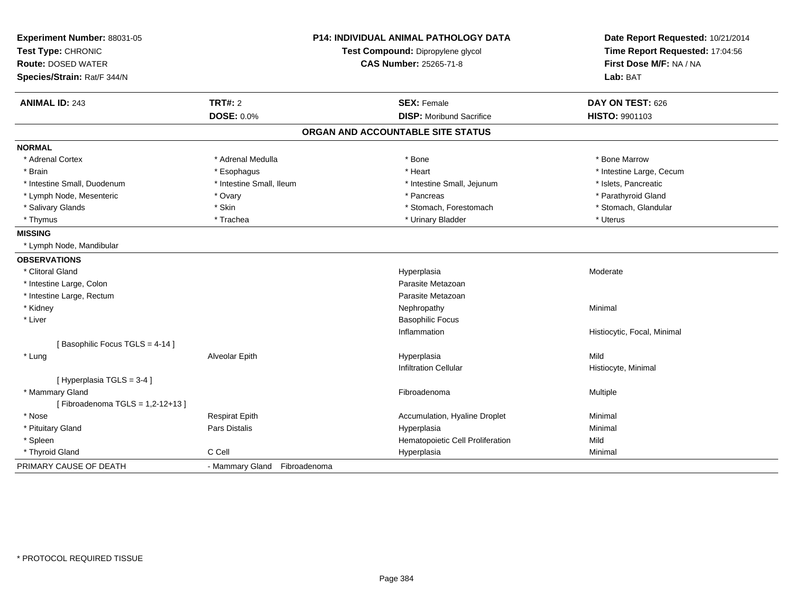| Experiment Number: 88031-05     |                              | <b>P14: INDIVIDUAL ANIMAL PATHOLOGY DATA</b> | Date Report Requested: 10/21/2014 |
|---------------------------------|------------------------------|----------------------------------------------|-----------------------------------|
| Test Type: CHRONIC              |                              | Test Compound: Dipropylene glycol            | Time Report Requested: 17:04:56   |
| <b>Route: DOSED WATER</b>       | CAS Number: 25265-71-8       |                                              | First Dose M/F: NA / NA           |
| Species/Strain: Rat/F 344/N     |                              |                                              | Lab: BAT                          |
| <b>ANIMAL ID: 243</b>           | <b>TRT#: 2</b>               | <b>SEX: Female</b>                           | DAY ON TEST: 626                  |
|                                 | <b>DOSE: 0.0%</b>            | <b>DISP:</b> Moribund Sacrifice              | HISTO: 9901103                    |
|                                 |                              | ORGAN AND ACCOUNTABLE SITE STATUS            |                                   |
| <b>NORMAL</b>                   |                              |                                              |                                   |
| * Adrenal Cortex                | * Adrenal Medulla            | * Bone                                       | * Bone Marrow                     |
| * Brain                         | * Esophagus                  | * Heart                                      | * Intestine Large, Cecum          |
| * Intestine Small, Duodenum     | * Intestine Small, Ileum     | * Intestine Small, Jejunum                   | * Islets, Pancreatic              |
| * Lymph Node, Mesenteric        | * Ovary                      | * Pancreas                                   | * Parathyroid Gland               |
| * Salivary Glands               | * Skin                       | * Stomach, Forestomach                       | * Stomach, Glandular              |
| * Thymus                        | * Trachea                    | * Urinary Bladder                            | * Uterus                          |
| <b>MISSING</b>                  |                              |                                              |                                   |
| * Lymph Node, Mandibular        |                              |                                              |                                   |
| <b>OBSERVATIONS</b>             |                              |                                              |                                   |
| * Clitoral Gland                |                              | Hyperplasia                                  | Moderate                          |
| * Intestine Large, Colon        |                              | Parasite Metazoan                            |                                   |
| * Intestine Large, Rectum       |                              | Parasite Metazoan                            |                                   |
| * Kidney                        |                              | Nephropathy                                  | Minimal                           |
| * Liver                         |                              | <b>Basophilic Focus</b>                      |                                   |
|                                 |                              | Inflammation                                 | Histiocytic, Focal, Minimal       |
| [Basophilic Focus TGLS = 4-14]  |                              |                                              |                                   |
| * Lung                          | Alveolar Epith               | Hyperplasia                                  | Mild                              |
|                                 |                              | <b>Infiltration Cellular</b>                 | Histiocyte, Minimal               |
| [ Hyperplasia TGLS = 3-4 ]      |                              |                                              |                                   |
| * Mammary Gland                 |                              | Fibroadenoma                                 | Multiple                          |
| [Fibroadenoma TGLS = 1,2-12+13] |                              |                                              |                                   |
| * Nose                          | <b>Respirat Epith</b>        | Accumulation, Hyaline Droplet                | Minimal                           |
| * Pituitary Gland               | Pars Distalis                | Hyperplasia                                  | Minimal                           |
| * Spleen                        |                              | Hematopoietic Cell Proliferation             | Mild                              |
| * Thyroid Gland                 | C Cell                       | Hyperplasia                                  | Minimal                           |
| PRIMARY CAUSE OF DEATH          | - Mammary Gland Fibroadenoma |                                              |                                   |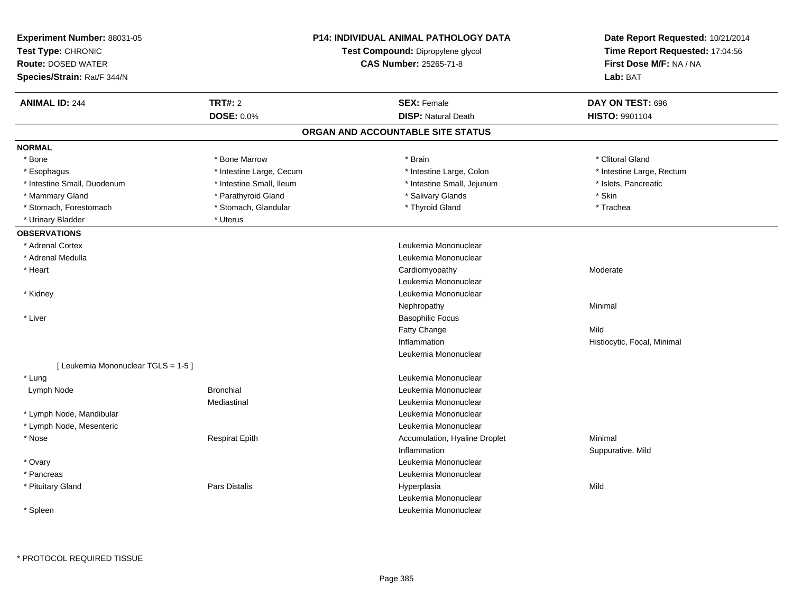| Experiment Number: 88031-05<br>Test Type: CHRONIC<br><b>Route: DOSED WATER</b><br>Species/Strain: Rat/F 344/N |                          | <b>P14: INDIVIDUAL ANIMAL PATHOLOGY DATA</b><br>Test Compound: Dipropylene glycol<br><b>CAS Number: 25265-71-8</b> | Date Report Requested: 10/21/2014<br>Time Report Requested: 17:04:56<br>First Dose M/F: NA / NA<br>Lab: BAT |
|---------------------------------------------------------------------------------------------------------------|--------------------------|--------------------------------------------------------------------------------------------------------------------|-------------------------------------------------------------------------------------------------------------|
| <b>ANIMAL ID: 244</b>                                                                                         | <b>TRT#: 2</b>           | <b>SEX: Female</b>                                                                                                 | DAY ON TEST: 696                                                                                            |
|                                                                                                               | <b>DOSE: 0.0%</b>        | <b>DISP: Natural Death</b>                                                                                         | HISTO: 9901104                                                                                              |
|                                                                                                               |                          | ORGAN AND ACCOUNTABLE SITE STATUS                                                                                  |                                                                                                             |
| <b>NORMAL</b>                                                                                                 |                          |                                                                                                                    |                                                                                                             |
| * Bone                                                                                                        | * Bone Marrow            | * Brain                                                                                                            | * Clitoral Gland                                                                                            |
| * Esophagus                                                                                                   | * Intestine Large, Cecum | * Intestine Large, Colon                                                                                           | * Intestine Large, Rectum                                                                                   |
| * Intestine Small, Duodenum                                                                                   | * Intestine Small, Ileum | * Intestine Small, Jejunum                                                                                         | * Islets, Pancreatic                                                                                        |
| * Mammary Gland                                                                                               | * Parathyroid Gland      | * Salivary Glands                                                                                                  | * Skin                                                                                                      |
| * Stomach, Forestomach                                                                                        | * Stomach, Glandular     | * Thyroid Gland                                                                                                    | * Trachea                                                                                                   |
| * Urinary Bladder                                                                                             | * Uterus                 |                                                                                                                    |                                                                                                             |
| <b>OBSERVATIONS</b>                                                                                           |                          |                                                                                                                    |                                                                                                             |
| * Adrenal Cortex                                                                                              |                          | Leukemia Mononuclear                                                                                               |                                                                                                             |
| * Adrenal Medulla                                                                                             |                          | Leukemia Mononuclear                                                                                               |                                                                                                             |
| * Heart                                                                                                       |                          | Cardiomyopathy                                                                                                     | Moderate                                                                                                    |
|                                                                                                               |                          | Leukemia Mononuclear                                                                                               |                                                                                                             |
| * Kidney                                                                                                      |                          | Leukemia Mononuclear                                                                                               |                                                                                                             |
|                                                                                                               |                          | Nephropathy                                                                                                        | Minimal                                                                                                     |
| * Liver                                                                                                       |                          | <b>Basophilic Focus</b>                                                                                            |                                                                                                             |
|                                                                                                               |                          | <b>Fatty Change</b>                                                                                                | Mild                                                                                                        |
|                                                                                                               |                          | Inflammation                                                                                                       | Histiocytic, Focal, Minimal                                                                                 |
|                                                                                                               |                          | Leukemia Mononuclear                                                                                               |                                                                                                             |
| [ Leukemia Mononuclear TGLS = 1-5 ]                                                                           |                          |                                                                                                                    |                                                                                                             |
| * Lung                                                                                                        |                          | Leukemia Mononuclear                                                                                               |                                                                                                             |
| Lymph Node                                                                                                    | <b>Bronchial</b>         | Leukemia Mononuclear                                                                                               |                                                                                                             |
|                                                                                                               | Mediastinal              | Leukemia Mononuclear                                                                                               |                                                                                                             |
| * Lymph Node, Mandibular                                                                                      |                          | Leukemia Mononuclear                                                                                               |                                                                                                             |
| * Lymph Node, Mesenteric                                                                                      |                          | Leukemia Mononuclear                                                                                               |                                                                                                             |
| * Nose                                                                                                        | <b>Respirat Epith</b>    | Accumulation, Hyaline Droplet                                                                                      | Minimal                                                                                                     |
|                                                                                                               |                          | Inflammation                                                                                                       | Suppurative, Mild                                                                                           |
| * Ovary                                                                                                       |                          | Leukemia Mononuclear                                                                                               |                                                                                                             |
| * Pancreas                                                                                                    |                          | Leukemia Mononuclear                                                                                               |                                                                                                             |
| * Pituitary Gland                                                                                             | <b>Pars Distalis</b>     | Hyperplasia                                                                                                        | Mild                                                                                                        |
|                                                                                                               |                          | Leukemia Mononuclear                                                                                               |                                                                                                             |
| * Spleen                                                                                                      |                          | Leukemia Mononuclear                                                                                               |                                                                                                             |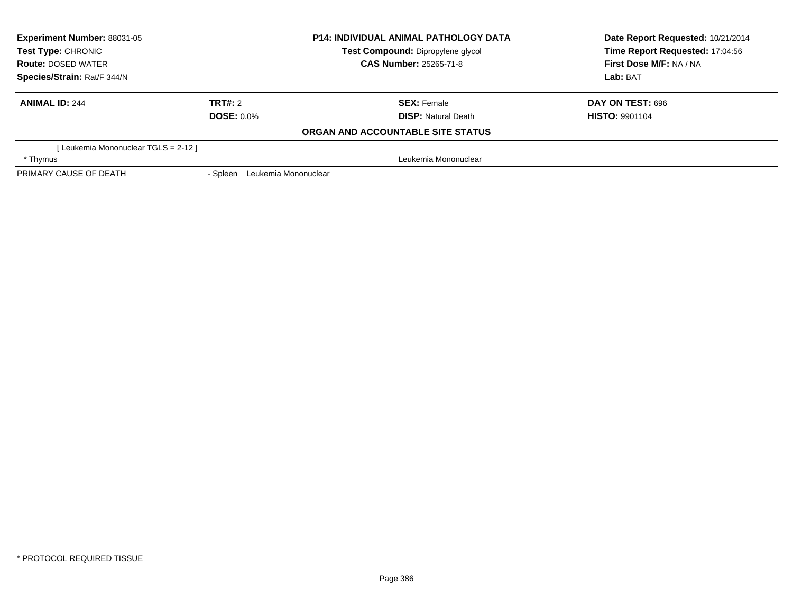| <b>Experiment Number: 88031-05</b>   |                               | <b>P14: INDIVIDUAL ANIMAL PATHOLOGY DATA</b> | Date Report Requested: 10/21/2014 |  |
|--------------------------------------|-------------------------------|----------------------------------------------|-----------------------------------|--|
| <b>Test Type: CHRONIC</b>            |                               | Test Compound: Dipropylene glycol            | Time Report Requested: 17:04:56   |  |
| <b>Route: DOSED WATER</b>            |                               | <b>CAS Number: 25265-71-8</b>                | First Dose M/F: NA / NA           |  |
| Species/Strain: Rat/F 344/N          |                               |                                              | Lab: BAT                          |  |
| <b>ANIMAL ID: 244</b>                | TRT#: 2                       | <b>SEX:</b> Female                           | DAY ON TEST: 696                  |  |
|                                      | <b>DOSE: 0.0%</b>             | <b>DISP:</b> Natural Death                   | <b>HISTO: 9901104</b>             |  |
|                                      |                               | <b>ORGAN AND ACCOUNTABLE SITE STATUS</b>     |                                   |  |
| [ Leukemia Mononuclear TGLS = 2-12 ] |                               |                                              |                                   |  |
| * Thymus                             |                               | Leukemia Mononuclear                         |                                   |  |
| PRIMARY CAUSE OF DEATH               | - Spleen Leukemia Mononuclear |                                              |                                   |  |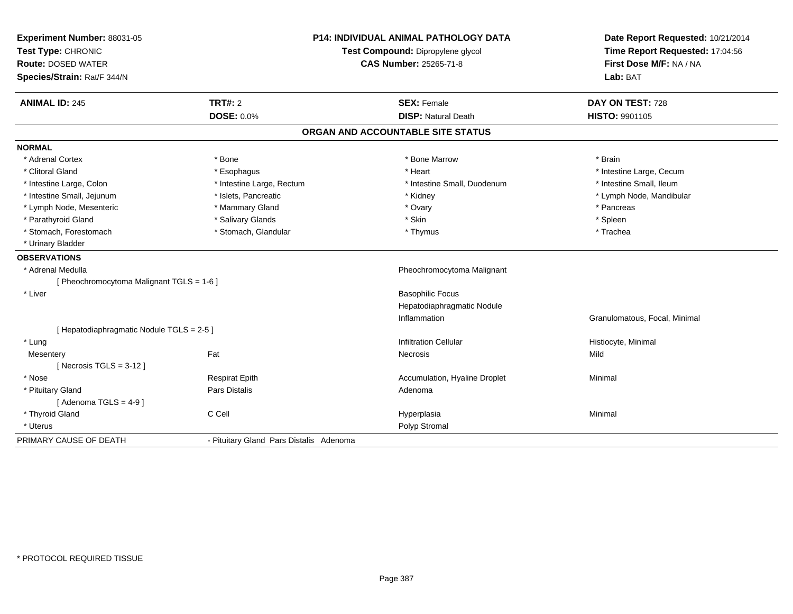| Experiment Number: 88031-05               | <b>P14: INDIVIDUAL ANIMAL PATHOLOGY DATA</b> |                                   | Date Report Requested: 10/21/2014                          |
|-------------------------------------------|----------------------------------------------|-----------------------------------|------------------------------------------------------------|
| Test Type: CHRONIC                        |                                              | Test Compound: Dipropylene glycol | Time Report Requested: 17:04:56<br>First Dose M/F: NA / NA |
| <b>Route: DOSED WATER</b>                 |                                              | <b>CAS Number: 25265-71-8</b>     |                                                            |
| Species/Strain: Rat/F 344/N               |                                              |                                   | Lab: BAT                                                   |
| <b>ANIMAL ID: 245</b>                     | <b>TRT#: 2</b>                               | <b>SEX: Female</b>                | DAY ON TEST: 728                                           |
|                                           | DOSE: 0.0%                                   | <b>DISP: Natural Death</b>        | HISTO: 9901105                                             |
|                                           |                                              | ORGAN AND ACCOUNTABLE SITE STATUS |                                                            |
| <b>NORMAL</b>                             |                                              |                                   |                                                            |
| * Adrenal Cortex                          | * Bone                                       | * Bone Marrow                     | * Brain                                                    |
| * Clitoral Gland                          | * Esophagus                                  | * Heart                           | * Intestine Large, Cecum                                   |
| * Intestine Large, Colon                  | * Intestine Large, Rectum                    | * Intestine Small, Duodenum       | * Intestine Small, Ileum                                   |
| * Intestine Small, Jejunum                | * Islets, Pancreatic                         | * Kidney                          | * Lymph Node, Mandibular                                   |
| * Lymph Node, Mesenteric                  | * Mammary Gland                              | * Ovary                           | * Pancreas                                                 |
| * Parathyroid Gland                       | * Salivary Glands                            | * Skin                            | * Spleen                                                   |
| * Stomach, Forestomach                    | * Stomach, Glandular                         | * Thymus                          | * Trachea                                                  |
| * Urinary Bladder                         |                                              |                                   |                                                            |
| <b>OBSERVATIONS</b>                       |                                              |                                   |                                                            |
| * Adrenal Medulla                         |                                              | Pheochromocytoma Malignant        |                                                            |
| [ Pheochromocytoma Malignant TGLS = 1-6 ] |                                              |                                   |                                                            |
| * Liver                                   |                                              | <b>Basophilic Focus</b>           |                                                            |
|                                           |                                              | Hepatodiaphragmatic Nodule        |                                                            |
|                                           |                                              | Inflammation                      | Granulomatous, Focal, Minimal                              |
| [ Hepatodiaphragmatic Nodule TGLS = 2-5 ] |                                              |                                   |                                                            |
| * Lung                                    |                                              | <b>Infiltration Cellular</b>      | Histiocyte, Minimal                                        |
| Mesentery                                 | Fat                                          | Necrosis                          | Mild                                                       |
| [Necrosis $TGLS = 3-12$ ]                 |                                              |                                   |                                                            |
| * Nose                                    | <b>Respirat Epith</b>                        | Accumulation, Hyaline Droplet     | Minimal                                                    |
| * Pituitary Gland                         | <b>Pars Distalis</b>                         | Adenoma                           |                                                            |
| [Adenoma TGLS = $4-9$ ]                   |                                              |                                   |                                                            |
| * Thyroid Gland                           | C Cell                                       | Hyperplasia                       | Minimal                                                    |
| * Uterus                                  |                                              | Polyp Stromal                     |                                                            |
| PRIMARY CAUSE OF DEATH                    | - Pituitary Gland Pars Distalis Adenoma      |                                   |                                                            |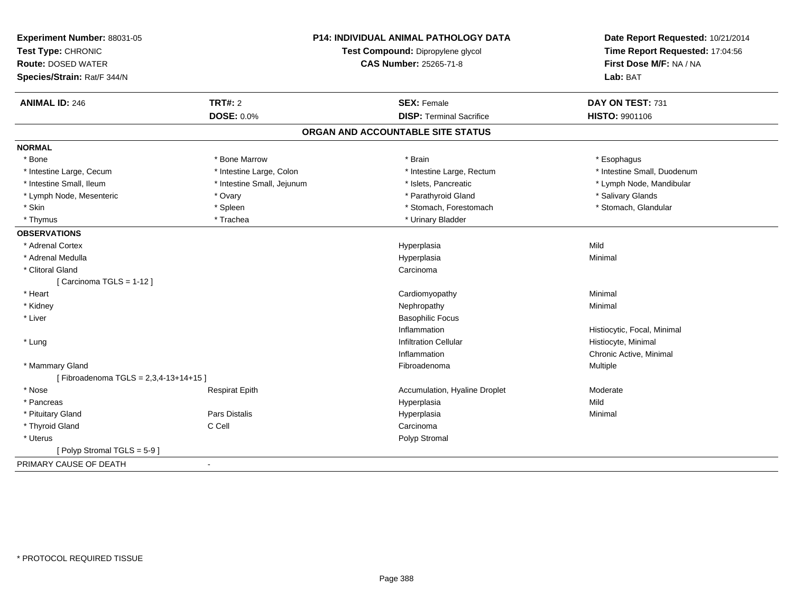| Experiment Number: 88031-05<br>Test Type: CHRONIC<br><b>Route: DOSED WATER</b><br>Species/Strain: Rat/F 344/N |                            | <b>P14: INDIVIDUAL ANIMAL PATHOLOGY DATA</b><br>Test Compound: Dipropylene glycol<br><b>CAS Number: 25265-71-8</b> | Date Report Requested: 10/21/2014<br>Time Report Requested: 17:04:56<br>First Dose M/F: NA / NA<br>Lab: BAT |
|---------------------------------------------------------------------------------------------------------------|----------------------------|--------------------------------------------------------------------------------------------------------------------|-------------------------------------------------------------------------------------------------------------|
| <b>ANIMAL ID: 246</b>                                                                                         | <b>TRT#: 2</b>             | <b>SEX: Female</b>                                                                                                 | DAY ON TEST: 731                                                                                            |
|                                                                                                               | <b>DOSE: 0.0%</b>          | <b>DISP: Terminal Sacrifice</b>                                                                                    | <b>HISTO: 9901106</b>                                                                                       |
|                                                                                                               |                            | ORGAN AND ACCOUNTABLE SITE STATUS                                                                                  |                                                                                                             |
| <b>NORMAL</b>                                                                                                 |                            |                                                                                                                    |                                                                                                             |
| * Bone                                                                                                        | * Bone Marrow              | * Brain                                                                                                            | * Esophagus                                                                                                 |
| * Intestine Large, Cecum                                                                                      | * Intestine Large, Colon   | * Intestine Large, Rectum                                                                                          | * Intestine Small, Duodenum                                                                                 |
| * Intestine Small, Ileum                                                                                      | * Intestine Small, Jejunum | * Islets, Pancreatic                                                                                               | * Lymph Node, Mandibular                                                                                    |
| * Lymph Node, Mesenteric                                                                                      | * Ovary                    | * Parathyroid Gland                                                                                                | * Salivary Glands                                                                                           |
| * Skin                                                                                                        | * Spleen                   | * Stomach, Forestomach                                                                                             | * Stomach, Glandular                                                                                        |
| * Thymus                                                                                                      | * Trachea                  | * Urinary Bladder                                                                                                  |                                                                                                             |
| <b>OBSERVATIONS</b>                                                                                           |                            |                                                                                                                    |                                                                                                             |
| * Adrenal Cortex                                                                                              |                            | Hyperplasia                                                                                                        | Mild                                                                                                        |
| * Adrenal Medulla                                                                                             |                            | Hyperplasia                                                                                                        | Minimal                                                                                                     |
| * Clitoral Gland                                                                                              |                            | Carcinoma                                                                                                          |                                                                                                             |
| [Carcinoma TGLS = $1-12$ ]                                                                                    |                            |                                                                                                                    |                                                                                                             |
| * Heart                                                                                                       |                            | Cardiomyopathy                                                                                                     | Minimal                                                                                                     |
| * Kidney                                                                                                      |                            | Nephropathy                                                                                                        | Minimal                                                                                                     |
| * Liver                                                                                                       |                            | <b>Basophilic Focus</b>                                                                                            |                                                                                                             |
|                                                                                                               |                            | Inflammation                                                                                                       | Histiocytic, Focal, Minimal                                                                                 |
| * Lung                                                                                                        |                            | <b>Infiltration Cellular</b>                                                                                       | Histiocyte, Minimal                                                                                         |
|                                                                                                               |                            | Inflammation                                                                                                       | Chronic Active, Minimal                                                                                     |
| * Mammary Gland                                                                                               |                            | Fibroadenoma                                                                                                       | Multiple                                                                                                    |
| [Fibroadenoma TGLS = 2,3,4-13+14+15]                                                                          |                            |                                                                                                                    |                                                                                                             |
| * Nose                                                                                                        | <b>Respirat Epith</b>      | Accumulation, Hyaline Droplet                                                                                      | Moderate                                                                                                    |
| * Pancreas                                                                                                    |                            | Hyperplasia                                                                                                        | Mild                                                                                                        |
| * Pituitary Gland                                                                                             | Pars Distalis              | Hyperplasia                                                                                                        | Minimal                                                                                                     |
| * Thyroid Gland                                                                                               | C Cell                     | Carcinoma                                                                                                          |                                                                                                             |
| * Uterus                                                                                                      |                            | Polyp Stromal                                                                                                      |                                                                                                             |
| [Polyp Stromal TGLS = 5-9]                                                                                    |                            |                                                                                                                    |                                                                                                             |
| PRIMARY CAUSE OF DEATH                                                                                        | $\blacksquare$             |                                                                                                                    |                                                                                                             |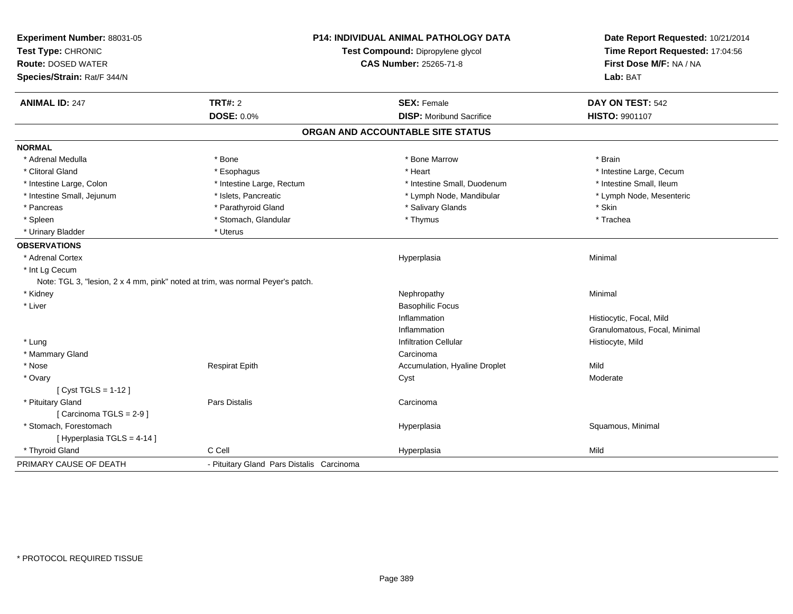| Experiment Number: 88031-05<br>Test Type: CHRONIC                              |                                           | <b>P14: INDIVIDUAL ANIMAL PATHOLOGY DATA</b><br>Test Compound: Dipropylene glycol | Date Report Requested: 10/21/2014<br>Time Report Requested: 17:04:56 |
|--------------------------------------------------------------------------------|-------------------------------------------|-----------------------------------------------------------------------------------|----------------------------------------------------------------------|
| <b>Route: DOSED WATER</b><br>Species/Strain: Rat/F 344/N                       |                                           | <b>CAS Number: 25265-71-8</b>                                                     | First Dose M/F: NA / NA<br>Lab: BAT                                  |
| <b>ANIMAL ID: 247</b>                                                          | <b>TRT#: 2</b>                            | <b>SEX: Female</b>                                                                | DAY ON TEST: 542                                                     |
|                                                                                | DOSE: 0.0%                                | <b>DISP: Moribund Sacrifice</b>                                                   | HISTO: 9901107                                                       |
|                                                                                |                                           | ORGAN AND ACCOUNTABLE SITE STATUS                                                 |                                                                      |
| <b>NORMAL</b>                                                                  |                                           |                                                                                   |                                                                      |
| * Adrenal Medulla                                                              | * Bone                                    | * Bone Marrow                                                                     | * Brain                                                              |
| * Clitoral Gland                                                               | * Esophagus                               | * Heart                                                                           | * Intestine Large, Cecum                                             |
| * Intestine Large, Colon                                                       | * Intestine Large, Rectum                 | * Intestine Small, Duodenum                                                       | * Intestine Small, Ileum                                             |
| * Intestine Small, Jejunum                                                     | * Islets, Pancreatic                      | * Lymph Node, Mandibular                                                          | * Lymph Node, Mesenteric                                             |
| * Pancreas                                                                     | * Parathyroid Gland                       | * Salivary Glands                                                                 | * Skin                                                               |
| * Spleen                                                                       | * Stomach, Glandular                      | * Thymus                                                                          | * Trachea                                                            |
| * Urinary Bladder                                                              | * Uterus                                  |                                                                                   |                                                                      |
| <b>OBSERVATIONS</b>                                                            |                                           |                                                                                   |                                                                      |
| * Adrenal Cortex                                                               |                                           | Hyperplasia                                                                       | Minimal                                                              |
| * Int Lg Cecum                                                                 |                                           |                                                                                   |                                                                      |
| Note: TGL 3, "lesion, 2 x 4 mm, pink" noted at trim, was normal Peyer's patch. |                                           |                                                                                   |                                                                      |
| * Kidney                                                                       |                                           | Nephropathy                                                                       | Minimal                                                              |
| * Liver                                                                        |                                           | <b>Basophilic Focus</b>                                                           |                                                                      |
|                                                                                |                                           | Inflammation                                                                      | Histiocytic, Focal, Mild                                             |
|                                                                                |                                           | Inflammation                                                                      | Granulomatous, Focal, Minimal                                        |
| * Lung                                                                         |                                           | <b>Infiltration Cellular</b>                                                      | Histiocyte, Mild                                                     |
| * Mammary Gland                                                                |                                           | Carcinoma                                                                         |                                                                      |
| * Nose                                                                         | <b>Respirat Epith</b>                     | Accumulation, Hyaline Droplet                                                     | Mild                                                                 |
| * Ovary                                                                        |                                           | Cyst                                                                              | Moderate                                                             |
| [ Cyst TGLS = 1-12 ]                                                           |                                           |                                                                                   |                                                                      |
| * Pituitary Gland                                                              | <b>Pars Distalis</b>                      | Carcinoma                                                                         |                                                                      |
| [Carcinoma TGLS = 2-9]                                                         |                                           |                                                                                   |                                                                      |
| * Stomach. Forestomach                                                         |                                           | Hyperplasia                                                                       | Squamous, Minimal                                                    |
| [ Hyperplasia TGLS = 4-14 ]                                                    |                                           |                                                                                   |                                                                      |
| * Thyroid Gland                                                                | C Cell                                    | Hyperplasia                                                                       | Mild                                                                 |
| PRIMARY CAUSE OF DEATH                                                         | - Pituitary Gland Pars Distalis Carcinoma |                                                                                   |                                                                      |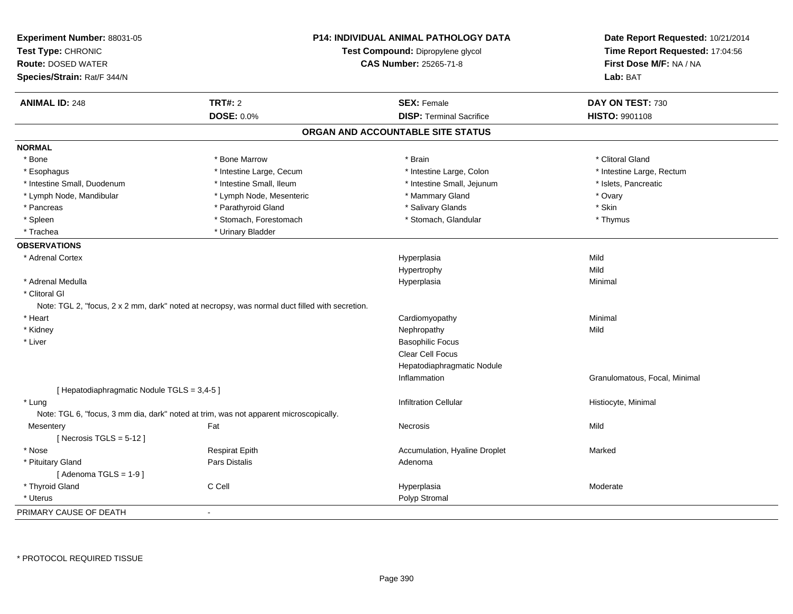| Experiment Number: 88031-05<br>Test Type: CHRONIC        |                                                                                                | P14: INDIVIDUAL ANIMAL PATHOLOGY DATA<br>Test Compound: Dipropylene glycol | Date Report Requested: 10/21/2014<br>Time Report Requested: 17:04:56<br>First Dose M/F: NA / NA |  |  |
|----------------------------------------------------------|------------------------------------------------------------------------------------------------|----------------------------------------------------------------------------|-------------------------------------------------------------------------------------------------|--|--|
| <b>Route: DOSED WATER</b><br>Species/Strain: Rat/F 344/N |                                                                                                | <b>CAS Number: 25265-71-8</b>                                              | Lab: BAT                                                                                        |  |  |
|                                                          |                                                                                                |                                                                            |                                                                                                 |  |  |
| <b>ANIMAL ID: 248</b>                                    | <b>TRT#: 2</b>                                                                                 | <b>SEX: Female</b>                                                         | DAY ON TEST: 730                                                                                |  |  |
|                                                          | <b>DOSE: 0.0%</b>                                                                              | <b>DISP: Terminal Sacrifice</b>                                            | HISTO: 9901108                                                                                  |  |  |
|                                                          |                                                                                                | ORGAN AND ACCOUNTABLE SITE STATUS                                          |                                                                                                 |  |  |
| <b>NORMAL</b>                                            |                                                                                                |                                                                            |                                                                                                 |  |  |
| * Bone                                                   | * Bone Marrow                                                                                  | * Brain                                                                    | * Clitoral Gland                                                                                |  |  |
| * Esophagus                                              | * Intestine Large, Cecum                                                                       | * Intestine Large, Colon                                                   | * Intestine Large, Rectum                                                                       |  |  |
| * Intestine Small, Duodenum                              | * Intestine Small, Ileum                                                                       | * Intestine Small, Jejunum                                                 | * Islets, Pancreatic                                                                            |  |  |
| * Lymph Node, Mandibular                                 | * Lymph Node, Mesenteric                                                                       | * Mammary Gland                                                            | * Ovary                                                                                         |  |  |
| * Pancreas                                               | * Parathyroid Gland                                                                            | * Salivary Glands                                                          | * Skin                                                                                          |  |  |
| * Spleen                                                 | * Stomach, Forestomach                                                                         | * Stomach, Glandular                                                       | * Thymus                                                                                        |  |  |
| * Trachea                                                | * Urinary Bladder                                                                              |                                                                            |                                                                                                 |  |  |
| <b>OBSERVATIONS</b>                                      |                                                                                                |                                                                            |                                                                                                 |  |  |
| * Adrenal Cortex                                         |                                                                                                | Hyperplasia                                                                | Mild                                                                                            |  |  |
|                                                          |                                                                                                | Hypertrophy                                                                | Mild                                                                                            |  |  |
| * Adrenal Medulla                                        |                                                                                                | Hyperplasia                                                                | Minimal                                                                                         |  |  |
| * Clitoral GI                                            |                                                                                                |                                                                            |                                                                                                 |  |  |
|                                                          | Note: TGL 2, "focus, 2 x 2 mm, dark" noted at necropsy, was normal duct filled with secretion. |                                                                            |                                                                                                 |  |  |
| * Heart                                                  |                                                                                                | Cardiomyopathy                                                             | Minimal                                                                                         |  |  |
| * Kidney                                                 |                                                                                                | Nephropathy                                                                | Mild                                                                                            |  |  |
| * Liver                                                  |                                                                                                | <b>Basophilic Focus</b>                                                    |                                                                                                 |  |  |
|                                                          |                                                                                                | <b>Clear Cell Focus</b>                                                    |                                                                                                 |  |  |
|                                                          |                                                                                                | Hepatodiaphragmatic Nodule                                                 |                                                                                                 |  |  |
|                                                          |                                                                                                | Inflammation                                                               | Granulomatous, Focal, Minimal                                                                   |  |  |
| [ Hepatodiaphragmatic Nodule TGLS = 3,4-5 ]              |                                                                                                |                                                                            |                                                                                                 |  |  |
| * Lung                                                   |                                                                                                | <b>Infiltration Cellular</b>                                               | Histiocyte, Minimal                                                                             |  |  |
|                                                          | Note: TGL 6, "focus, 3 mm dia, dark" noted at trim, was not apparent microscopically.          |                                                                            |                                                                                                 |  |  |
| Mesentery                                                | Fat                                                                                            | Necrosis                                                                   | Mild                                                                                            |  |  |
| [Necrosis TGLS = $5-12$ ]                                |                                                                                                |                                                                            |                                                                                                 |  |  |
| * Nose                                                   | <b>Respirat Epith</b>                                                                          | Accumulation, Hyaline Droplet                                              | Marked                                                                                          |  |  |
| * Pituitary Gland                                        | Pars Distalis                                                                                  | Adenoma                                                                    |                                                                                                 |  |  |
| [Adenoma TGLS = $1-9$ ]                                  |                                                                                                |                                                                            |                                                                                                 |  |  |
| * Thyroid Gland                                          | C Cell                                                                                         | Hyperplasia                                                                | Moderate                                                                                        |  |  |
| * Uterus                                                 |                                                                                                | Polyp Stromal                                                              |                                                                                                 |  |  |
| PRIMARY CAUSE OF DEATH                                   | $\blacksquare$                                                                                 |                                                                            |                                                                                                 |  |  |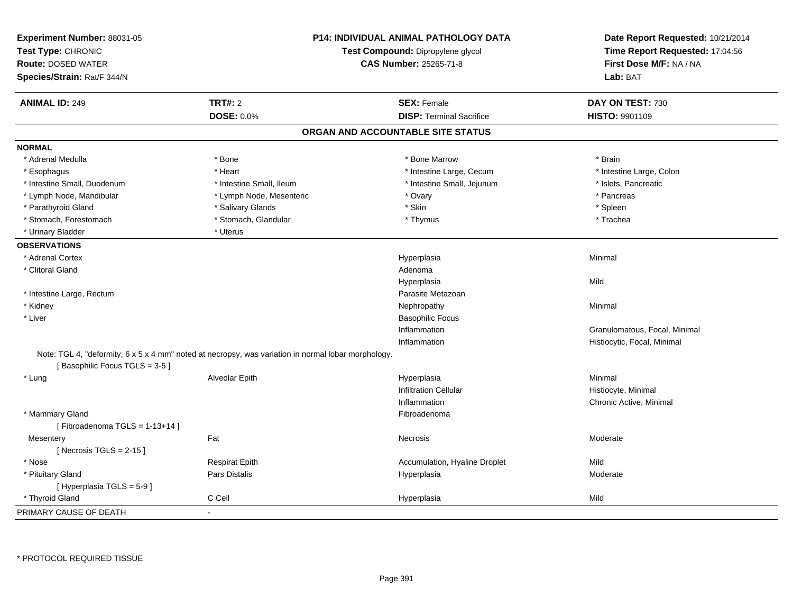| Experiment Number: 88031-05<br>Test Type: CHRONIC<br><b>Route: DOSED WATER</b><br>Species/Strain: Rat/F 344/N                        |                          | <b>P14: INDIVIDUAL ANIMAL PATHOLOGY DATA</b><br>Test Compound: Dipropylene glycol<br><b>CAS Number: 25265-71-8</b> | Date Report Requested: 10/21/2014<br>Time Report Requested: 17:04:56<br>First Dose M/F: NA / NA<br>Lab: BAT |
|--------------------------------------------------------------------------------------------------------------------------------------|--------------------------|--------------------------------------------------------------------------------------------------------------------|-------------------------------------------------------------------------------------------------------------|
| <b>ANIMAL ID: 249</b>                                                                                                                | TRT#: 2                  | <b>SEX: Female</b>                                                                                                 | DAY ON TEST: 730                                                                                            |
|                                                                                                                                      | <b>DOSE: 0.0%</b>        | <b>DISP: Terminal Sacrifice</b>                                                                                    | <b>HISTO: 9901109</b>                                                                                       |
|                                                                                                                                      |                          | ORGAN AND ACCOUNTABLE SITE STATUS                                                                                  |                                                                                                             |
| <b>NORMAL</b>                                                                                                                        |                          |                                                                                                                    |                                                                                                             |
| * Adrenal Medulla                                                                                                                    | * Bone                   | * Bone Marrow                                                                                                      | * Brain                                                                                                     |
| * Esophagus                                                                                                                          | * Heart                  | * Intestine Large, Cecum                                                                                           | * Intestine Large, Colon                                                                                    |
| * Intestine Small, Duodenum                                                                                                          | * Intestine Small, Ileum | * Intestine Small, Jejunum                                                                                         | * Islets, Pancreatic                                                                                        |
| * Lymph Node, Mandibular                                                                                                             | * Lymph Node, Mesenteric | * Ovary                                                                                                            | * Pancreas                                                                                                  |
| * Parathyroid Gland                                                                                                                  | * Salivary Glands        | * Skin                                                                                                             | * Spleen                                                                                                    |
| * Stomach, Forestomach                                                                                                               | * Stomach, Glandular     | * Thymus                                                                                                           | * Trachea                                                                                                   |
| * Urinary Bladder                                                                                                                    | * Uterus                 |                                                                                                                    |                                                                                                             |
| <b>OBSERVATIONS</b>                                                                                                                  |                          |                                                                                                                    |                                                                                                             |
| * Adrenal Cortex                                                                                                                     |                          | Hyperplasia                                                                                                        | Minimal                                                                                                     |
| * Clitoral Gland                                                                                                                     |                          | Adenoma                                                                                                            |                                                                                                             |
|                                                                                                                                      |                          | Hyperplasia                                                                                                        | Mild                                                                                                        |
| * Intestine Large, Rectum                                                                                                            |                          | Parasite Metazoan                                                                                                  |                                                                                                             |
| * Kidney                                                                                                                             |                          | Nephropathy                                                                                                        | Minimal                                                                                                     |
| * Liver                                                                                                                              |                          | <b>Basophilic Focus</b>                                                                                            |                                                                                                             |
|                                                                                                                                      |                          | Inflammation                                                                                                       | Granulomatous, Focal, Minimal                                                                               |
|                                                                                                                                      |                          | Inflammation                                                                                                       | Histiocytic, Focal, Minimal                                                                                 |
| Note: TGL 4, "deformity, 6 x 5 x 4 mm" noted at necropsy, was variation in normal lobar morphology.<br>[Basophilic Focus TGLS = 3-5] |                          |                                                                                                                    |                                                                                                             |
| * Lung                                                                                                                               | Alveolar Epith           | Hyperplasia                                                                                                        | Minimal                                                                                                     |
|                                                                                                                                      |                          | <b>Infiltration Cellular</b>                                                                                       | Histiocyte, Minimal                                                                                         |
|                                                                                                                                      |                          | Inflammation                                                                                                       | Chronic Active, Minimal                                                                                     |
| * Mammary Gland                                                                                                                      |                          | Fibroadenoma                                                                                                       |                                                                                                             |
| [Fibroadenoma TGLS = $1-13+14$ ]                                                                                                     |                          |                                                                                                                    |                                                                                                             |
| Mesentery                                                                                                                            | Fat                      | Necrosis                                                                                                           | Moderate                                                                                                    |
| [Necrosis TGLS = $2-15$ ]                                                                                                            |                          |                                                                                                                    |                                                                                                             |
| * Nose                                                                                                                               | <b>Respirat Epith</b>    | Accumulation, Hyaline Droplet                                                                                      | Mild                                                                                                        |
| * Pituitary Gland                                                                                                                    | Pars Distalis            | Hyperplasia                                                                                                        | Moderate                                                                                                    |
| [Hyperplasia TGLS = $5-9$ ]                                                                                                          |                          |                                                                                                                    |                                                                                                             |
| * Thyroid Gland                                                                                                                      | C Cell                   | Hyperplasia                                                                                                        | Mild                                                                                                        |
| PRIMARY CAUSE OF DEATH                                                                                                               | $\sim$                   |                                                                                                                    |                                                                                                             |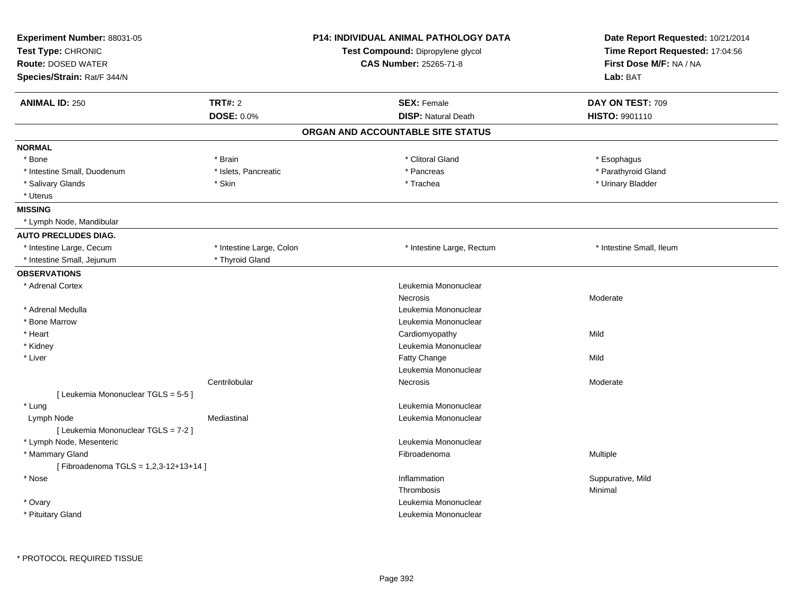| Experiment Number: 88031-05<br>Test Type: CHRONIC<br><b>Route: DOSED WATER</b><br>Species/Strain: Rat/F 344/N |                          | <b>P14: INDIVIDUAL ANIMAL PATHOLOGY DATA</b><br>Test Compound: Dipropylene glycol<br><b>CAS Number: 25265-71-8</b> | Date Report Requested: 10/21/2014<br>Time Report Requested: 17:04:56<br>First Dose M/F: NA / NA<br>Lab: BAT |
|---------------------------------------------------------------------------------------------------------------|--------------------------|--------------------------------------------------------------------------------------------------------------------|-------------------------------------------------------------------------------------------------------------|
| <b>ANIMAL ID: 250</b>                                                                                         | <b>TRT#: 2</b>           | <b>SEX: Female</b>                                                                                                 | DAY ON TEST: 709                                                                                            |
|                                                                                                               | <b>DOSE: 0.0%</b>        | <b>DISP: Natural Death</b>                                                                                         | HISTO: 9901110                                                                                              |
|                                                                                                               |                          | ORGAN AND ACCOUNTABLE SITE STATUS                                                                                  |                                                                                                             |
| <b>NORMAL</b>                                                                                                 |                          |                                                                                                                    |                                                                                                             |
| * Bone                                                                                                        | * Brain                  | * Clitoral Gland                                                                                                   | * Esophagus                                                                                                 |
| * Intestine Small, Duodenum                                                                                   | * Islets, Pancreatic     | * Pancreas                                                                                                         | * Parathyroid Gland                                                                                         |
| * Salivary Glands                                                                                             | * Skin                   | * Trachea                                                                                                          | * Urinary Bladder                                                                                           |
| * Uterus                                                                                                      |                          |                                                                                                                    |                                                                                                             |
| <b>MISSING</b>                                                                                                |                          |                                                                                                                    |                                                                                                             |
| * Lymph Node, Mandibular                                                                                      |                          |                                                                                                                    |                                                                                                             |
| <b>AUTO PRECLUDES DIAG.</b>                                                                                   |                          |                                                                                                                    |                                                                                                             |
| * Intestine Large, Cecum                                                                                      | * Intestine Large, Colon | * Intestine Large, Rectum                                                                                          | * Intestine Small, Ileum                                                                                    |
| * Intestine Small, Jejunum                                                                                    | * Thyroid Gland          |                                                                                                                    |                                                                                                             |
| <b>OBSERVATIONS</b>                                                                                           |                          |                                                                                                                    |                                                                                                             |
| * Adrenal Cortex                                                                                              |                          | Leukemia Mononuclear                                                                                               |                                                                                                             |
|                                                                                                               |                          | Necrosis                                                                                                           | Moderate                                                                                                    |
| * Adrenal Medulla                                                                                             |                          | Leukemia Mononuclear                                                                                               |                                                                                                             |
| * Bone Marrow                                                                                                 |                          | Leukemia Mononuclear                                                                                               |                                                                                                             |
| * Heart                                                                                                       |                          | Cardiomyopathy                                                                                                     | Mild                                                                                                        |
| * Kidney                                                                                                      |                          | Leukemia Mononuclear                                                                                               |                                                                                                             |
| * Liver                                                                                                       |                          | Fatty Change                                                                                                       | Mild                                                                                                        |
|                                                                                                               |                          | Leukemia Mononuclear                                                                                               |                                                                                                             |
|                                                                                                               | Centrilobular            | Necrosis                                                                                                           | Moderate                                                                                                    |
| [ Leukemia Mononuclear TGLS = 5-5 ]                                                                           |                          |                                                                                                                    |                                                                                                             |
| * Lung                                                                                                        |                          | Leukemia Mononuclear                                                                                               |                                                                                                             |
| Lymph Node                                                                                                    | Mediastinal              | Leukemia Mononuclear                                                                                               |                                                                                                             |
| [ Leukemia Mononuclear TGLS = 7-2 ]                                                                           |                          |                                                                                                                    |                                                                                                             |
| * Lymph Node, Mesenteric                                                                                      |                          | Leukemia Mononuclear                                                                                               |                                                                                                             |
| * Mammary Gland                                                                                               |                          | Fibroadenoma                                                                                                       | Multiple                                                                                                    |
| [Fibroadenoma TGLS = 1,2,3-12+13+14]                                                                          |                          |                                                                                                                    |                                                                                                             |
| * Nose                                                                                                        |                          | Inflammation                                                                                                       | Suppurative, Mild                                                                                           |
|                                                                                                               |                          | Thrombosis<br>Leukemia Mononuclear                                                                                 | Minimal                                                                                                     |
| * Ovary<br>* Pituitary Gland                                                                                  |                          | Leukemia Mononuclear                                                                                               |                                                                                                             |
|                                                                                                               |                          |                                                                                                                    |                                                                                                             |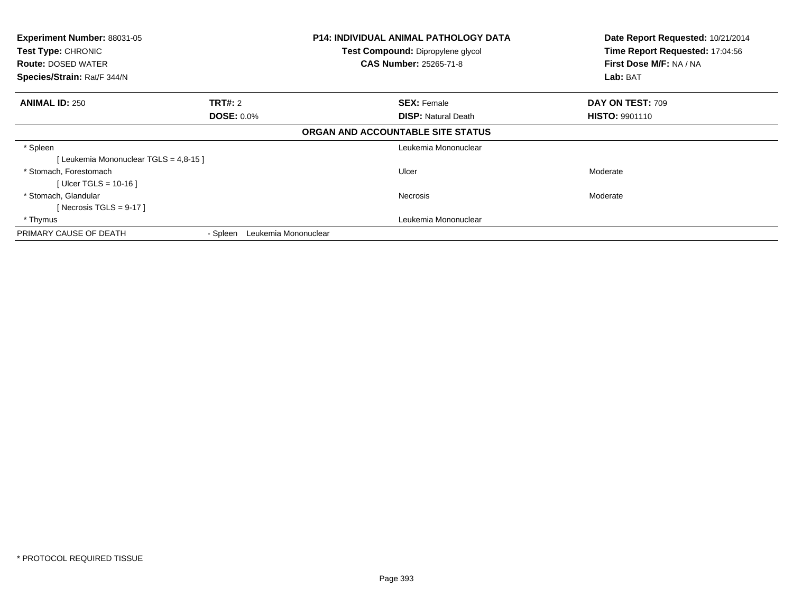| Experiment Number: 88031-05<br>Test Type: CHRONIC<br><b>Route: DOSED WATER</b><br>Species/Strain: Rat/F 344/N |                                  | <b>P14: INDIVIDUAL ANIMAL PATHOLOGY DATA</b><br><b>Test Compound: Dipropylene glycol</b><br><b>CAS Number: 25265-71-8</b> | Date Report Requested: 10/21/2014<br>Time Report Requested: 17:04:56<br>First Dose M/F: NA / NA<br>Lab: BAT |
|---------------------------------------------------------------------------------------------------------------|----------------------------------|---------------------------------------------------------------------------------------------------------------------------|-------------------------------------------------------------------------------------------------------------|
| <b>ANIMAL ID: 250</b>                                                                                         | <b>TRT#: 2</b>                   | <b>SEX: Female</b>                                                                                                        | DAY ON TEST: 709                                                                                            |
|                                                                                                               | <b>DOSE: 0.0%</b>                | <b>DISP: Natural Death</b>                                                                                                | <b>HISTO: 9901110</b>                                                                                       |
|                                                                                                               |                                  | ORGAN AND ACCOUNTABLE SITE STATUS                                                                                         |                                                                                                             |
| * Spleen                                                                                                      |                                  | Leukemia Mononuclear                                                                                                      |                                                                                                             |
| [Leukemia Mononuclear TGLS = 4,8-15]                                                                          |                                  |                                                                                                                           |                                                                                                             |
| * Stomach, Forestomach                                                                                        |                                  | Ulcer                                                                                                                     | Moderate                                                                                                    |
| [ Ulcer TGLS = $10-16$ ]                                                                                      |                                  |                                                                                                                           |                                                                                                             |
| * Stomach. Glandular                                                                                          |                                  | Necrosis                                                                                                                  | Moderate                                                                                                    |
| [Necrosis TGLS = $9-17$ ]                                                                                     |                                  |                                                                                                                           |                                                                                                             |
| * Thymus                                                                                                      |                                  | Leukemia Mononuclear                                                                                                      |                                                                                                             |
| PRIMARY CAUSE OF DEATH                                                                                        | Leukemia Mononuclear<br>- Spleen |                                                                                                                           |                                                                                                             |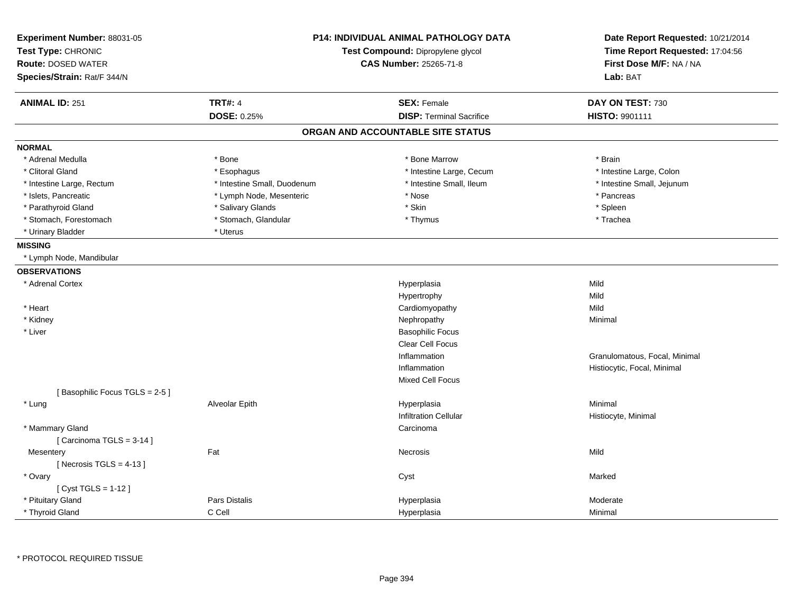| Experiment Number: 88031-05<br>Test Type: CHRONIC<br><b>Route: DOSED WATER</b><br>Species/Strain: Rat/F 344/N |                             | <b>P14: INDIVIDUAL ANIMAL PATHOLOGY DATA</b><br>Test Compound: Dipropylene glycol<br><b>CAS Number: 25265-71-8</b> | Date Report Requested: 10/21/2014<br>Time Report Requested: 17:04:56<br>First Dose M/F: NA / NA<br>Lab: BAT |
|---------------------------------------------------------------------------------------------------------------|-----------------------------|--------------------------------------------------------------------------------------------------------------------|-------------------------------------------------------------------------------------------------------------|
|                                                                                                               |                             |                                                                                                                    |                                                                                                             |
| <b>ANIMAL ID: 251</b>                                                                                         | <b>TRT#: 4</b>              | <b>SEX: Female</b>                                                                                                 | DAY ON TEST: 730                                                                                            |
|                                                                                                               | DOSE: 0.25%                 | <b>DISP: Terminal Sacrifice</b>                                                                                    | <b>HISTO: 9901111</b>                                                                                       |
|                                                                                                               |                             | ORGAN AND ACCOUNTABLE SITE STATUS                                                                                  |                                                                                                             |
| <b>NORMAL</b>                                                                                                 |                             |                                                                                                                    |                                                                                                             |
| * Adrenal Medulla                                                                                             | * Bone                      | * Bone Marrow                                                                                                      | * Brain                                                                                                     |
| * Clitoral Gland                                                                                              | * Esophagus                 | * Intestine Large, Cecum                                                                                           | * Intestine Large, Colon                                                                                    |
| * Intestine Large, Rectum                                                                                     | * Intestine Small, Duodenum | * Intestine Small, Ileum                                                                                           | * Intestine Small, Jejunum                                                                                  |
| * Islets, Pancreatic                                                                                          | * Lymph Node, Mesenteric    | $*$ Nose                                                                                                           | * Pancreas                                                                                                  |
| * Parathyroid Gland                                                                                           | * Salivary Glands           | * Skin                                                                                                             | * Spleen                                                                                                    |
| * Stomach, Forestomach                                                                                        | * Stomach, Glandular        | * Thymus                                                                                                           | * Trachea                                                                                                   |
| * Urinary Bladder                                                                                             | * Uterus                    |                                                                                                                    |                                                                                                             |
| <b>MISSING</b>                                                                                                |                             |                                                                                                                    |                                                                                                             |
| * Lymph Node, Mandibular                                                                                      |                             |                                                                                                                    |                                                                                                             |
| <b>OBSERVATIONS</b>                                                                                           |                             |                                                                                                                    |                                                                                                             |
| * Adrenal Cortex                                                                                              |                             | Hyperplasia                                                                                                        | Mild                                                                                                        |
|                                                                                                               |                             | Hypertrophy                                                                                                        | Mild                                                                                                        |
| * Heart                                                                                                       |                             | Cardiomyopathy                                                                                                     | Mild                                                                                                        |
| * Kidney                                                                                                      |                             | Nephropathy                                                                                                        | Minimal                                                                                                     |
| * Liver                                                                                                       |                             | <b>Basophilic Focus</b>                                                                                            |                                                                                                             |
|                                                                                                               |                             | Clear Cell Focus                                                                                                   |                                                                                                             |
|                                                                                                               |                             | Inflammation                                                                                                       | Granulomatous, Focal, Minimal                                                                               |
|                                                                                                               |                             | Inflammation                                                                                                       | Histiocytic, Focal, Minimal                                                                                 |
|                                                                                                               |                             | <b>Mixed Cell Focus</b>                                                                                            |                                                                                                             |
| [Basophilic Focus TGLS = 2-5]                                                                                 |                             |                                                                                                                    |                                                                                                             |
| * Lung                                                                                                        | Alveolar Epith              | Hyperplasia                                                                                                        | Minimal                                                                                                     |
|                                                                                                               |                             | <b>Infiltration Cellular</b>                                                                                       | Histiocyte, Minimal                                                                                         |
| * Mammary Gland                                                                                               |                             | Carcinoma                                                                                                          |                                                                                                             |
| [ Carcinoma TGLS = $3-14$ ]                                                                                   |                             |                                                                                                                    |                                                                                                             |
| Mesentery                                                                                                     | Fat                         | Necrosis                                                                                                           | Mild                                                                                                        |
| [Necrosis TGLS = $4-13$ ]                                                                                     |                             |                                                                                                                    |                                                                                                             |
| * Ovary                                                                                                       |                             | Cyst                                                                                                               | Marked                                                                                                      |
| [ Cyst TGLS = 1-12 ]                                                                                          |                             |                                                                                                                    |                                                                                                             |
| * Pituitary Gland                                                                                             | <b>Pars Distalis</b>        | Hyperplasia                                                                                                        | Moderate                                                                                                    |
| * Thyroid Gland                                                                                               | C Cell                      | Hyperplasia                                                                                                        | Minimal                                                                                                     |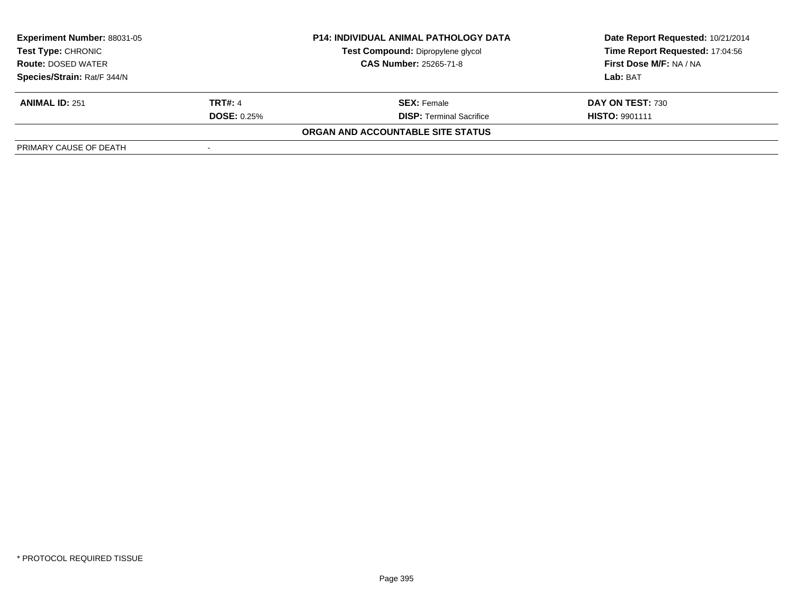| <b>Experiment Number: 88031-05</b> |                          | <b>P14: INDIVIDUAL ANIMAL PATHOLOGY DATA</b> | Date Report Requested: 10/21/2014 |
|------------------------------------|--------------------------|----------------------------------------------|-----------------------------------|
| Test Type: CHRONIC                 |                          | Test Compound: Dipropylene glycol            | Time Report Requested: 17:04:56   |
| <b>Route: DOSED WATER</b>          |                          | <b>CAS Number: 25265-71-8</b>                | First Dose M/F: NA / NA           |
| Species/Strain: Rat/F 344/N        |                          |                                              | Lab: BAT                          |
| <b>ANIMAL ID: 251</b>              | <b>TRT#: 4</b>           | <b>SEX:</b> Female                           | DAY ON TEST: 730                  |
|                                    | <b>DOSE: 0.25%</b>       | <b>DISP:</b> Terminal Sacrifice              | <b>HISTO: 9901111</b>             |
|                                    |                          | ORGAN AND ACCOUNTABLE SITE STATUS            |                                   |
| PRIMARY CAUSE OF DEATH             | $\overline{\phantom{a}}$ |                                              |                                   |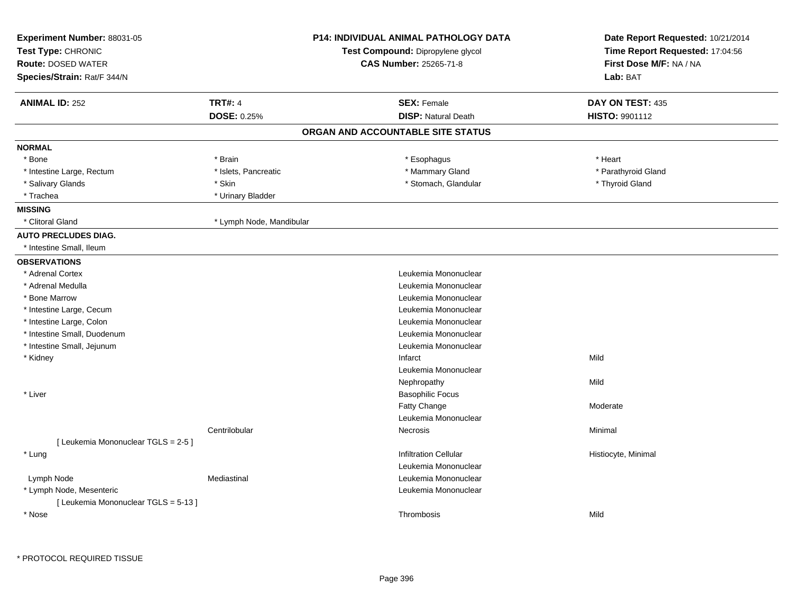| Experiment Number: 88031-05          |                          | <b>P14: INDIVIDUAL ANIMAL PATHOLOGY DATA</b> | Date Report Requested: 10/21/2014 |  |
|--------------------------------------|--------------------------|----------------------------------------------|-----------------------------------|--|
| Test Type: CHRONIC                   |                          | Test Compound: Dipropylene glycol            | Time Report Requested: 17:04:56   |  |
| <b>Route: DOSED WATER</b>            |                          | <b>CAS Number: 25265-71-8</b>                | First Dose M/F: NA / NA           |  |
| Species/Strain: Rat/F 344/N          |                          |                                              | Lab: BAT                          |  |
| <b>ANIMAL ID: 252</b>                | <b>TRT#: 4</b>           | <b>SEX: Female</b>                           | DAY ON TEST: 435                  |  |
|                                      | <b>DOSE: 0.25%</b>       | <b>DISP: Natural Death</b>                   | <b>HISTO: 9901112</b>             |  |
|                                      |                          | ORGAN AND ACCOUNTABLE SITE STATUS            |                                   |  |
| <b>NORMAL</b>                        |                          |                                              |                                   |  |
| * Bone                               | * Brain                  | * Esophagus                                  | * Heart                           |  |
| * Intestine Large, Rectum            | * Islets, Pancreatic     | * Mammary Gland                              | * Parathyroid Gland               |  |
| * Salivary Glands                    | * Skin                   | * Stomach, Glandular                         | * Thyroid Gland                   |  |
| * Trachea                            | * Urinary Bladder        |                                              |                                   |  |
| <b>MISSING</b>                       |                          |                                              |                                   |  |
| * Clitoral Gland                     | * Lymph Node, Mandibular |                                              |                                   |  |
| <b>AUTO PRECLUDES DIAG.</b>          |                          |                                              |                                   |  |
| * Intestine Small, Ileum             |                          |                                              |                                   |  |
| <b>OBSERVATIONS</b>                  |                          |                                              |                                   |  |
| * Adrenal Cortex                     |                          | Leukemia Mononuclear                         |                                   |  |
| * Adrenal Medulla                    |                          | Leukemia Mononuclear                         |                                   |  |
| * Bone Marrow                        |                          | Leukemia Mononuclear                         |                                   |  |
| * Intestine Large, Cecum             |                          | Leukemia Mononuclear                         |                                   |  |
| * Intestine Large, Colon             |                          | Leukemia Mononuclear                         |                                   |  |
| * Intestine Small, Duodenum          |                          | Leukemia Mononuclear                         |                                   |  |
| * Intestine Small, Jejunum           |                          | Leukemia Mononuclear                         |                                   |  |
| * Kidney                             |                          | Infarct                                      | Mild                              |  |
|                                      |                          | Leukemia Mononuclear                         |                                   |  |
|                                      |                          | Nephropathy                                  | Mild                              |  |
| * Liver                              |                          | <b>Basophilic Focus</b>                      |                                   |  |
|                                      |                          | <b>Fatty Change</b>                          | Moderate                          |  |
|                                      |                          | Leukemia Mononuclear                         |                                   |  |
|                                      | Centrilobular            | Necrosis                                     | Minimal                           |  |
| [ Leukemia Mononuclear TGLS = 2-5 ]  |                          |                                              |                                   |  |
| * Lung                               |                          | <b>Infiltration Cellular</b>                 | Histiocyte, Minimal               |  |
|                                      |                          | Leukemia Mononuclear                         |                                   |  |
| Lymph Node                           | Mediastinal              | Leukemia Mononuclear                         |                                   |  |
| * Lymph Node, Mesenteric             |                          | Leukemia Mononuclear                         |                                   |  |
| [ Leukemia Mononuclear TGLS = 5-13 ] |                          |                                              |                                   |  |
| * Nose                               |                          | Thrombosis                                   | Mild                              |  |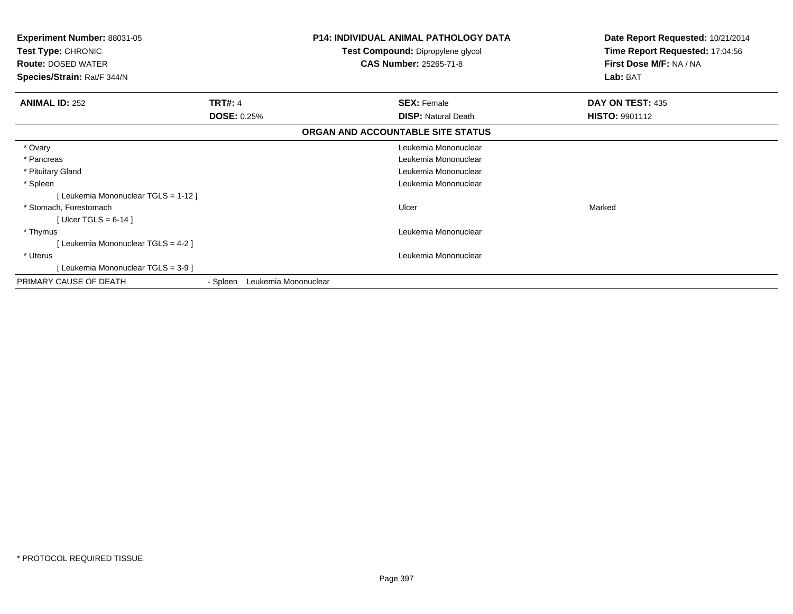| <b>Experiment Number: 88031-05</b><br>Test Type: CHRONIC<br><b>Route: DOSED WATER</b><br>Species/Strain: Rat/F 344/N |                                  | <b>P14: INDIVIDUAL ANIMAL PATHOLOGY DATA</b><br>Test Compound: Dipropylene glycol<br><b>CAS Number: 25265-71-8</b> | Date Report Requested: 10/21/2014<br>Time Report Requested: 17:04:56<br>First Dose M/F: NA / NA<br>Lab: BAT |
|----------------------------------------------------------------------------------------------------------------------|----------------------------------|--------------------------------------------------------------------------------------------------------------------|-------------------------------------------------------------------------------------------------------------|
| <b>ANIMAL ID: 252</b>                                                                                                | <b>TRT#: 4</b>                   | <b>SEX: Female</b>                                                                                                 | DAY ON TEST: 435                                                                                            |
|                                                                                                                      | <b>DOSE: 0.25%</b>               | <b>DISP:</b> Natural Death                                                                                         | <b>HISTO: 9901112</b>                                                                                       |
|                                                                                                                      |                                  | ORGAN AND ACCOUNTABLE SITE STATUS                                                                                  |                                                                                                             |
| * Ovary                                                                                                              |                                  | Leukemia Mononuclear                                                                                               |                                                                                                             |
| * Pancreas                                                                                                           |                                  | Leukemia Mononuclear                                                                                               |                                                                                                             |
| * Pituitary Gland                                                                                                    |                                  | Leukemia Mononuclear                                                                                               |                                                                                                             |
| * Spleen                                                                                                             |                                  | Leukemia Mononuclear                                                                                               |                                                                                                             |
| [Leukemia Mononuclear TGLS = 1-12]                                                                                   |                                  |                                                                                                                    |                                                                                                             |
| * Stomach, Forestomach                                                                                               |                                  | Ulcer                                                                                                              | Marked                                                                                                      |
| [Ulcer TGLS = $6-14$ ]                                                                                               |                                  |                                                                                                                    |                                                                                                             |
| * Thymus                                                                                                             |                                  | Leukemia Mononuclear                                                                                               |                                                                                                             |
| [Leukemia Mononuclear TGLS = 4-2]                                                                                    |                                  |                                                                                                                    |                                                                                                             |
| * Uterus                                                                                                             |                                  | Leukemia Mononuclear                                                                                               |                                                                                                             |
| [Leukemia Mononuclear TGLS = 3-9]                                                                                    |                                  |                                                                                                                    |                                                                                                             |
| PRIMARY CAUSE OF DEATH                                                                                               | Leukemia Mononuclear<br>- Spleen |                                                                                                                    |                                                                                                             |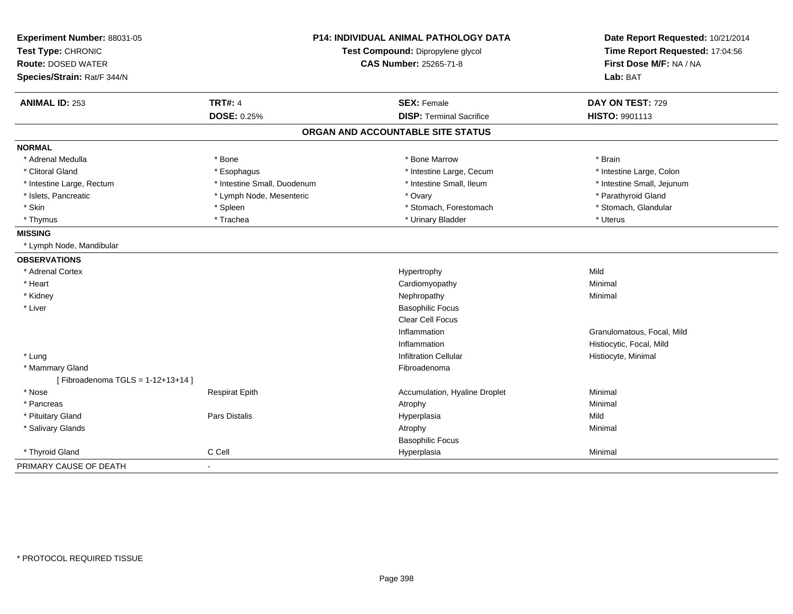| Experiment Number: 88031-05<br>Test Type: CHRONIC |                             | P14: INDIVIDUAL ANIMAL PATHOLOGY DATA<br>Test Compound: Dipropylene glycol | Date Report Requested: 10/21/2014<br>Time Report Requested: 17:04:56 |  |
|---------------------------------------------------|-----------------------------|----------------------------------------------------------------------------|----------------------------------------------------------------------|--|
| <b>Route: DOSED WATER</b>                         |                             | CAS Number: 25265-71-8                                                     | First Dose M/F: NA / NA                                              |  |
| Species/Strain: Rat/F 344/N                       |                             |                                                                            | Lab: BAT                                                             |  |
|                                                   |                             |                                                                            |                                                                      |  |
| <b>ANIMAL ID: 253</b>                             | <b>TRT#: 4</b>              | <b>SEX: Female</b>                                                         | DAY ON TEST: 729                                                     |  |
|                                                   | <b>DOSE: 0.25%</b>          | <b>DISP: Terminal Sacrifice</b>                                            | HISTO: 9901113                                                       |  |
|                                                   |                             | ORGAN AND ACCOUNTABLE SITE STATUS                                          |                                                                      |  |
| <b>NORMAL</b>                                     |                             |                                                                            |                                                                      |  |
| * Adrenal Medulla                                 | * Bone                      | * Bone Marrow                                                              | * Brain                                                              |  |
| * Clitoral Gland                                  | * Esophagus                 | * Intestine Large, Cecum                                                   | * Intestine Large, Colon                                             |  |
| * Intestine Large, Rectum                         | * Intestine Small, Duodenum | * Intestine Small, Ileum                                                   | * Intestine Small, Jejunum                                           |  |
| * Islets, Pancreatic                              | * Lymph Node, Mesenteric    | * Ovary                                                                    | * Parathyroid Gland                                                  |  |
| * Skin                                            | * Spleen                    | * Stomach, Forestomach                                                     | * Stomach, Glandular                                                 |  |
| * Thymus                                          | * Trachea                   | * Urinary Bladder                                                          | * Uterus                                                             |  |
| <b>MISSING</b>                                    |                             |                                                                            |                                                                      |  |
| * Lymph Node, Mandibular                          |                             |                                                                            |                                                                      |  |
| <b>OBSERVATIONS</b>                               |                             |                                                                            |                                                                      |  |
| * Adrenal Cortex                                  |                             | Hypertrophy                                                                | Mild                                                                 |  |
| * Heart                                           |                             | Cardiomyopathy                                                             | Minimal                                                              |  |
| * Kidney                                          |                             | Nephropathy                                                                | Minimal                                                              |  |
| * Liver                                           |                             | <b>Basophilic Focus</b>                                                    |                                                                      |  |
|                                                   |                             | Clear Cell Focus                                                           |                                                                      |  |
|                                                   |                             | Inflammation                                                               | Granulomatous, Focal, Mild                                           |  |
|                                                   |                             | Inflammation                                                               | Histiocytic, Focal, Mild                                             |  |
| * Lung                                            |                             | <b>Infiltration Cellular</b>                                               | Histiocyte, Minimal                                                  |  |
| * Mammary Gland                                   |                             | Fibroadenoma                                                               |                                                                      |  |
| [Fibroadenoma TGLS = $1-12+13+14$ ]               |                             |                                                                            |                                                                      |  |
| * Nose                                            | <b>Respirat Epith</b>       | Accumulation, Hyaline Droplet                                              | Minimal                                                              |  |
| * Pancreas                                        |                             | Atrophy                                                                    | Minimal                                                              |  |
| * Pituitary Gland                                 | Pars Distalis               | Hyperplasia                                                                | Mild                                                                 |  |
| * Salivary Glands                                 |                             | Atrophy                                                                    | Minimal                                                              |  |
|                                                   |                             | <b>Basophilic Focus</b>                                                    |                                                                      |  |
| * Thyroid Gland                                   | C Cell                      | Hyperplasia                                                                | Minimal                                                              |  |
| PRIMARY CAUSE OF DEATH                            | $\blacksquare$              |                                                                            |                                                                      |  |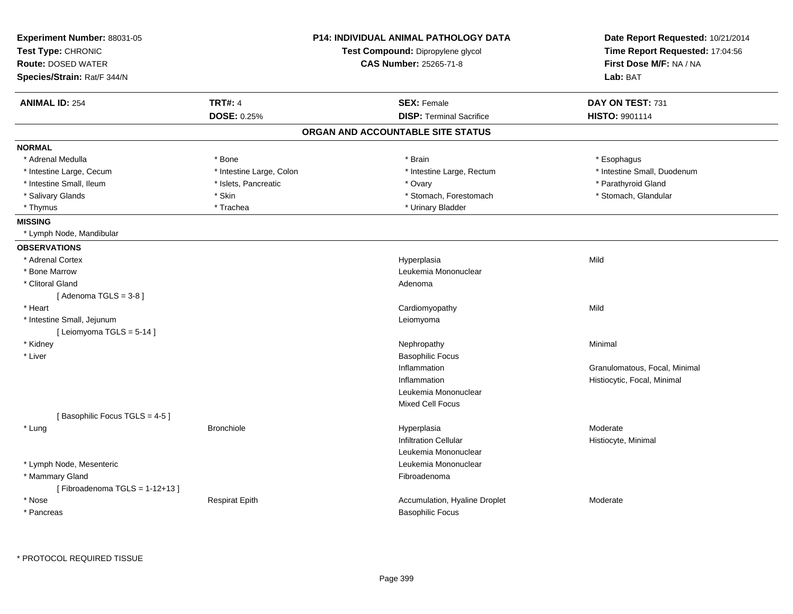| Experiment Number: 88031-05<br>Test Type: CHRONIC |                          | <b>P14: INDIVIDUAL ANIMAL PATHOLOGY DATA</b><br>Test Compound: Dipropylene glycol | Date Report Requested: 10/21/2014<br>Time Report Requested: 17:04:56 |  |
|---------------------------------------------------|--------------------------|-----------------------------------------------------------------------------------|----------------------------------------------------------------------|--|
| <b>Route: DOSED WATER</b>                         |                          | CAS Number: 25265-71-8                                                            | First Dose M/F: NA / NA                                              |  |
| Species/Strain: Rat/F 344/N                       |                          |                                                                                   | Lab: BAT                                                             |  |
| <b>ANIMAL ID: 254</b>                             | <b>TRT#: 4</b>           | <b>SEX: Female</b>                                                                | DAY ON TEST: 731                                                     |  |
|                                                   | <b>DOSE: 0.25%</b>       | <b>DISP: Terminal Sacrifice</b>                                                   | HISTO: 9901114                                                       |  |
|                                                   |                          | ORGAN AND ACCOUNTABLE SITE STATUS                                                 |                                                                      |  |
| <b>NORMAL</b>                                     |                          |                                                                                   |                                                                      |  |
| * Adrenal Medulla                                 | * Bone                   | * Brain                                                                           | * Esophagus                                                          |  |
| * Intestine Large, Cecum                          | * Intestine Large, Colon | * Intestine Large, Rectum                                                         | * Intestine Small, Duodenum                                          |  |
| * Intestine Small, Ileum                          | * Islets, Pancreatic     | * Ovary                                                                           | * Parathyroid Gland                                                  |  |
| * Salivary Glands                                 | * Skin                   | * Stomach, Forestomach                                                            | * Stomach, Glandular                                                 |  |
| * Thymus                                          | * Trachea                | * Urinary Bladder                                                                 |                                                                      |  |
| <b>MISSING</b>                                    |                          |                                                                                   |                                                                      |  |
| * Lymph Node, Mandibular                          |                          |                                                                                   |                                                                      |  |
| <b>OBSERVATIONS</b>                               |                          |                                                                                   |                                                                      |  |
| * Adrenal Cortex                                  |                          | Hyperplasia                                                                       | Mild                                                                 |  |
| * Bone Marrow                                     |                          | Leukemia Mononuclear                                                              |                                                                      |  |
| * Clitoral Gland                                  |                          | Adenoma                                                                           |                                                                      |  |
| [Adenoma TGLS = $3-8$ ]                           |                          |                                                                                   |                                                                      |  |
| * Heart                                           |                          | Cardiomyopathy                                                                    | Mild                                                                 |  |
| * Intestine Small, Jejunum                        |                          | Leiomyoma                                                                         |                                                                      |  |
| [ Leiomyoma TGLS = 5-14 ]                         |                          |                                                                                   |                                                                      |  |
| * Kidney                                          |                          | Nephropathy                                                                       | Minimal                                                              |  |
| * Liver                                           |                          | <b>Basophilic Focus</b>                                                           |                                                                      |  |
|                                                   |                          | Inflammation                                                                      | Granulomatous, Focal, Minimal                                        |  |
|                                                   |                          | Inflammation                                                                      | Histiocytic, Focal, Minimal                                          |  |
|                                                   |                          | Leukemia Mononuclear                                                              |                                                                      |  |
|                                                   |                          | <b>Mixed Cell Focus</b>                                                           |                                                                      |  |
| [Basophilic Focus TGLS = 4-5]                     |                          |                                                                                   |                                                                      |  |
| * Lung                                            | <b>Bronchiole</b>        | Hyperplasia                                                                       | Moderate                                                             |  |
|                                                   |                          | <b>Infiltration Cellular</b>                                                      | Histiocyte, Minimal                                                  |  |
|                                                   |                          | Leukemia Mononuclear                                                              |                                                                      |  |
| * Lymph Node, Mesenteric                          |                          | Leukemia Mononuclear                                                              |                                                                      |  |
| * Mammary Gland                                   |                          | Fibroadenoma                                                                      |                                                                      |  |
| [Fibroadenoma TGLS = $1-12+13$ ]                  |                          |                                                                                   |                                                                      |  |
| * Nose                                            | <b>Respirat Epith</b>    | Accumulation, Hyaline Droplet                                                     | Moderate                                                             |  |
| * Pancreas                                        |                          | <b>Basophilic Focus</b>                                                           |                                                                      |  |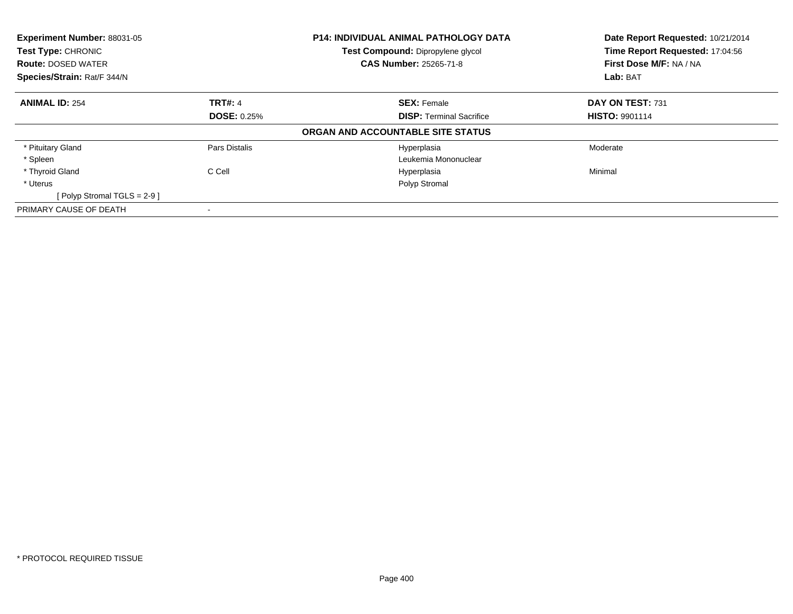| Experiment Number: 88031-05<br>Test Type: CHRONIC<br><b>Route: DOSED WATER</b> |                    | P14: INDIVIDUAL ANIMAL PATHOLOGY DATA<br>Test Compound: Dipropylene glycol<br><b>CAS Number: 25265-71-8</b> | Date Report Requested: 10/21/2014<br>Time Report Requested: 17:04:56<br>First Dose M/F: NA / NA |
|--------------------------------------------------------------------------------|--------------------|-------------------------------------------------------------------------------------------------------------|-------------------------------------------------------------------------------------------------|
| Species/Strain: Rat/F 344/N                                                    |                    |                                                                                                             | Lab: BAT                                                                                        |
| <b>ANIMAL ID: 254</b>                                                          | <b>TRT#: 4</b>     | <b>SEX: Female</b>                                                                                          | DAY ON TEST: 731                                                                                |
|                                                                                | <b>DOSE: 0.25%</b> | <b>DISP: Terminal Sacrifice</b>                                                                             | <b>HISTO: 9901114</b>                                                                           |
|                                                                                |                    | ORGAN AND ACCOUNTABLE SITE STATUS                                                                           |                                                                                                 |
| * Pituitary Gland                                                              | Pars Distalis      | Hyperplasia                                                                                                 | Moderate                                                                                        |
| * Spleen                                                                       |                    | Leukemia Mononuclear                                                                                        |                                                                                                 |
| * Thyroid Gland                                                                | C Cell             | Hyperplasia                                                                                                 | Minimal                                                                                         |
| * Uterus                                                                       |                    | Polyp Stromal                                                                                               |                                                                                                 |
| [ Polyp Stromal TGLS = $2-9$ ]                                                 |                    |                                                                                                             |                                                                                                 |
| PRIMARY CAUSE OF DEATH                                                         |                    |                                                                                                             |                                                                                                 |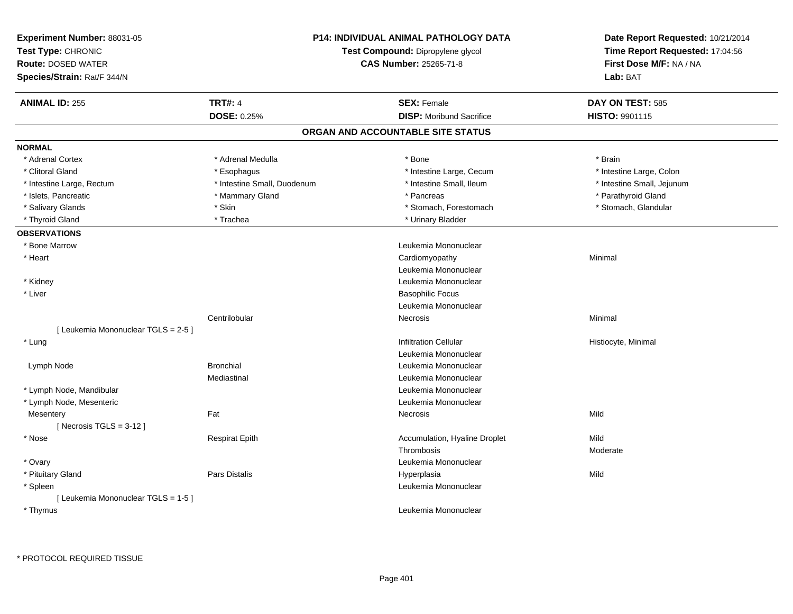| <b>Route: DOSED WATER</b><br>Species/Strain: Rat/F 344/N | <b>P14: INDIVIDUAL ANIMAL PATHOLOGY DATA</b><br>Test Compound: Dipropylene glycol<br><b>CAS Number: 25265-71-8</b> |                                   | Date Report Requested: 10/21/2014<br>Time Report Requested: 17:04:56<br>First Dose M/F: NA / NA<br>Lab: BAT |  |
|----------------------------------------------------------|--------------------------------------------------------------------------------------------------------------------|-----------------------------------|-------------------------------------------------------------------------------------------------------------|--|
| <b>ANIMAL ID: 255</b>                                    | <b>TRT#: 4</b>                                                                                                     | <b>SEX: Female</b>                | DAY ON TEST: 585                                                                                            |  |
|                                                          | DOSE: 0.25%                                                                                                        | <b>DISP:</b> Moribund Sacrifice   | HISTO: 9901115                                                                                              |  |
|                                                          |                                                                                                                    | ORGAN AND ACCOUNTABLE SITE STATUS |                                                                                                             |  |
| <b>NORMAL</b>                                            |                                                                                                                    |                                   |                                                                                                             |  |
| * Adrenal Cortex                                         | * Adrenal Medulla                                                                                                  | * Bone                            | * Brain                                                                                                     |  |
| * Clitoral Gland                                         | * Esophagus                                                                                                        | * Intestine Large, Cecum          | * Intestine Large, Colon                                                                                    |  |
| * Intestine Large, Rectum                                | * Intestine Small, Duodenum                                                                                        | * Intestine Small, Ileum          | * Intestine Small, Jejunum                                                                                  |  |
| * Islets, Pancreatic                                     | * Mammary Gland                                                                                                    | * Pancreas                        | * Parathyroid Gland                                                                                         |  |
| * Salivary Glands                                        | * Skin                                                                                                             | * Stomach, Forestomach            | * Stomach, Glandular                                                                                        |  |
| * Thyroid Gland                                          | * Trachea                                                                                                          | * Urinary Bladder                 |                                                                                                             |  |
| <b>OBSERVATIONS</b>                                      |                                                                                                                    |                                   |                                                                                                             |  |
| * Bone Marrow                                            |                                                                                                                    | Leukemia Mononuclear              |                                                                                                             |  |
| * Heart                                                  |                                                                                                                    | Cardiomyopathy                    | Minimal                                                                                                     |  |
|                                                          |                                                                                                                    | Leukemia Mononuclear              |                                                                                                             |  |
| * Kidney                                                 |                                                                                                                    | Leukemia Mononuclear              |                                                                                                             |  |
| * Liver                                                  |                                                                                                                    | <b>Basophilic Focus</b>           |                                                                                                             |  |
|                                                          |                                                                                                                    | Leukemia Mononuclear              |                                                                                                             |  |
|                                                          | Centrilobular                                                                                                      | Necrosis                          | Minimal                                                                                                     |  |
| [ Leukemia Mononuclear TGLS = 2-5 ]                      |                                                                                                                    |                                   |                                                                                                             |  |
| * Lung                                                   |                                                                                                                    | <b>Infiltration Cellular</b>      | Histiocyte, Minimal                                                                                         |  |
|                                                          |                                                                                                                    | Leukemia Mononuclear              |                                                                                                             |  |
| Lymph Node                                               | <b>Bronchial</b>                                                                                                   | Leukemia Mononuclear              |                                                                                                             |  |
|                                                          | Mediastinal                                                                                                        | Leukemia Mononuclear              |                                                                                                             |  |
| * Lymph Node, Mandibular                                 |                                                                                                                    | Leukemia Mononuclear              |                                                                                                             |  |
| * Lymph Node, Mesenteric                                 |                                                                                                                    | Leukemia Mononuclear              |                                                                                                             |  |
| Mesentery                                                | Fat                                                                                                                | Necrosis                          | Mild                                                                                                        |  |
| [Necrosis $TGLS = 3-12$ ]                                |                                                                                                                    |                                   |                                                                                                             |  |
| * Nose                                                   | <b>Respirat Epith</b>                                                                                              | Accumulation, Hyaline Droplet     | Mild                                                                                                        |  |
|                                                          |                                                                                                                    | Thrombosis                        | Moderate                                                                                                    |  |
| * Ovary                                                  |                                                                                                                    | Leukemia Mononuclear              |                                                                                                             |  |
| * Pituitary Gland                                        | Pars Distalis                                                                                                      | Hyperplasia                       | Mild                                                                                                        |  |
| * Spleen                                                 |                                                                                                                    | Leukemia Mononuclear              |                                                                                                             |  |
| [ Leukemia Mononuclear TGLS = 1-5 ]                      |                                                                                                                    |                                   |                                                                                                             |  |
| * Thymus                                                 |                                                                                                                    | Leukemia Mononuclear              |                                                                                                             |  |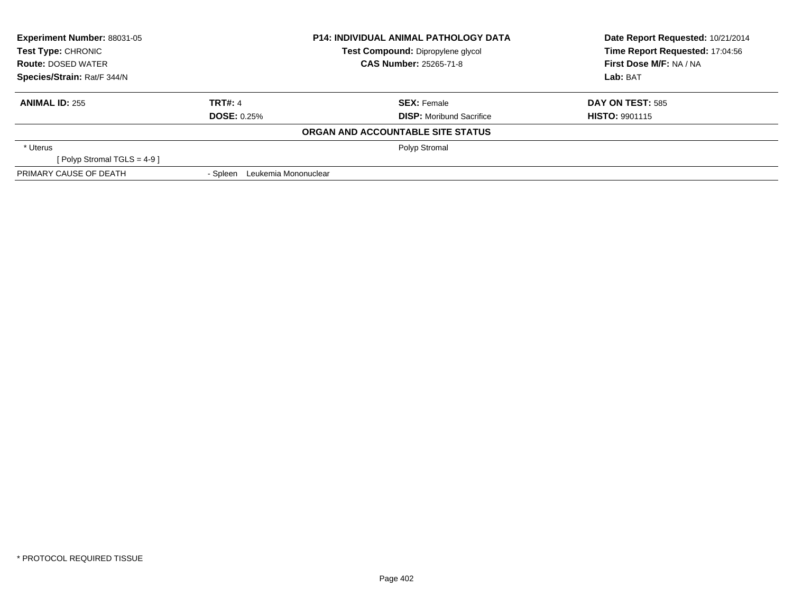| <b>Experiment Number: 88031-05</b><br><b>P14: INDIVIDUAL ANIMAL PATHOLOGY DATA</b><br>Test Type: CHRONIC<br>Test Compound: Dipropylene glycol |                                  |                                   | Date Report Requested: 10/21/2014 |  |
|-----------------------------------------------------------------------------------------------------------------------------------------------|----------------------------------|-----------------------------------|-----------------------------------|--|
|                                                                                                                                               |                                  | Time Report Requested: 17:04:56   |                                   |  |
| <b>Route: DOSED WATER</b>                                                                                                                     |                                  | <b>CAS Number: 25265-71-8</b>     | First Dose M/F: NA / NA           |  |
| Species/Strain: Rat/F 344/N                                                                                                                   |                                  |                                   | Lab: BAT                          |  |
| <b>ANIMAL ID: 255</b>                                                                                                                         | <b>TRT#: 4</b>                   | <b>SEX: Female</b>                | <b>DAY ON TEST: 585</b>           |  |
|                                                                                                                                               | <b>DOSE: 0.25%</b>               | <b>DISP:</b> Moribund Sacrifice   | <b>HISTO: 9901115</b>             |  |
|                                                                                                                                               |                                  | ORGAN AND ACCOUNTABLE SITE STATUS |                                   |  |
| * Uterus                                                                                                                                      |                                  | Polyp Stromal                     |                                   |  |
| [ Polyp Stromal TGLS = $4-9$ ]                                                                                                                |                                  |                                   |                                   |  |
| PRIMARY CAUSE OF DEATH                                                                                                                        | Leukemia Mononuclear<br>- Spleen |                                   |                                   |  |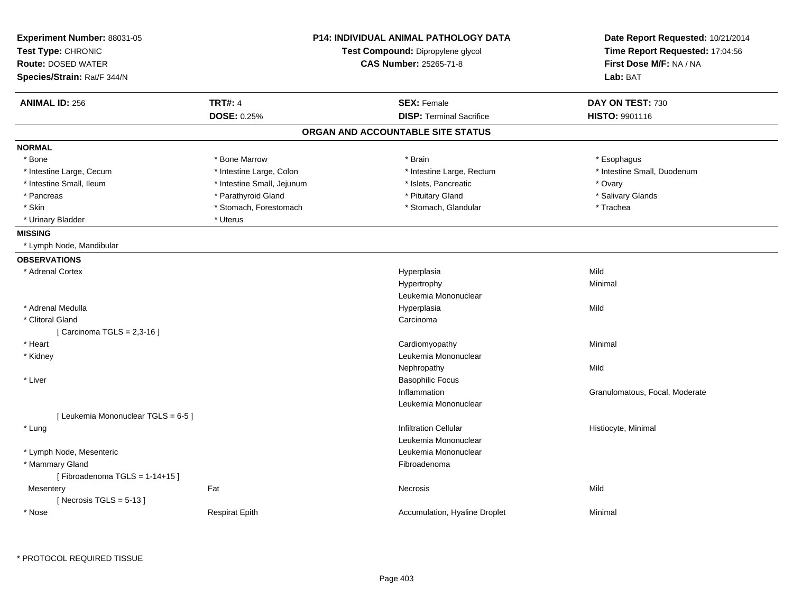| Experiment Number: 88031-05<br>Test Type: CHRONIC |                            | <b>P14: INDIVIDUAL ANIMAL PATHOLOGY DATA</b><br>Test Compound: Dipropylene glycol | Date Report Requested: 10/21/2014<br>Time Report Requested: 17:04:56 |
|---------------------------------------------------|----------------------------|-----------------------------------------------------------------------------------|----------------------------------------------------------------------|
| <b>Route: DOSED WATER</b>                         |                            | <b>CAS Number: 25265-71-8</b>                                                     | First Dose M/F: NA / NA                                              |
| Species/Strain: Rat/F 344/N                       |                            |                                                                                   | Lab: BAT                                                             |
| <b>ANIMAL ID: 256</b>                             | <b>TRT#: 4</b>             | <b>SEX: Female</b>                                                                | DAY ON TEST: 730                                                     |
|                                                   | <b>DOSE: 0.25%</b>         | <b>DISP: Terminal Sacrifice</b>                                                   | HISTO: 9901116                                                       |
|                                                   |                            | ORGAN AND ACCOUNTABLE SITE STATUS                                                 |                                                                      |
| <b>NORMAL</b>                                     |                            |                                                                                   |                                                                      |
| * Bone                                            | * Bone Marrow              | * Brain                                                                           | * Esophagus                                                          |
| * Intestine Large, Cecum                          | * Intestine Large, Colon   | * Intestine Large, Rectum                                                         | * Intestine Small, Duodenum                                          |
| * Intestine Small, Ileum                          | * Intestine Small, Jejunum | * Islets, Pancreatic                                                              | * Ovary                                                              |
| * Pancreas                                        | * Parathyroid Gland        | * Pituitary Gland                                                                 | * Salivary Glands                                                    |
| * Skin                                            | * Stomach, Forestomach     | * Stomach, Glandular                                                              | * Trachea                                                            |
| * Urinary Bladder                                 | * Uterus                   |                                                                                   |                                                                      |
| <b>MISSING</b>                                    |                            |                                                                                   |                                                                      |
| * Lymph Node, Mandibular                          |                            |                                                                                   |                                                                      |
| <b>OBSERVATIONS</b>                               |                            |                                                                                   |                                                                      |
| * Adrenal Cortex                                  |                            | Hyperplasia                                                                       | Mild                                                                 |
|                                                   |                            | Hypertrophy                                                                       | Minimal                                                              |
|                                                   |                            | Leukemia Mononuclear                                                              |                                                                      |
| * Adrenal Medulla                                 |                            | Hyperplasia                                                                       | Mild                                                                 |
| * Clitoral Gland                                  |                            | Carcinoma                                                                         |                                                                      |
| [ Carcinoma TGLS = 2,3-16 ]                       |                            |                                                                                   |                                                                      |
| * Heart                                           |                            | Cardiomyopathy                                                                    | Minimal                                                              |
| * Kidney                                          |                            | Leukemia Mononuclear                                                              |                                                                      |
|                                                   |                            | Nephropathy                                                                       | Mild                                                                 |
| * Liver                                           |                            | <b>Basophilic Focus</b>                                                           |                                                                      |
|                                                   |                            | Inflammation                                                                      | Granulomatous, Focal, Moderate                                       |
|                                                   |                            | Leukemia Mononuclear                                                              |                                                                      |
| [ Leukemia Mononuclear TGLS = 6-5 ]               |                            |                                                                                   |                                                                      |
| * Lung                                            |                            | <b>Infiltration Cellular</b>                                                      | Histiocyte, Minimal                                                  |
|                                                   |                            | Leukemia Mononuclear                                                              |                                                                      |
| * Lymph Node, Mesenteric                          |                            | Leukemia Mononuclear                                                              |                                                                      |
| * Mammary Gland                                   |                            | Fibroadenoma                                                                      |                                                                      |
| [Fibroadenoma TGLS = 1-14+15]                     |                            |                                                                                   |                                                                      |
| Mesentery                                         | Fat                        | Necrosis                                                                          | Mild                                                                 |
| [ Necrosis TGLS = $5-13$ ]                        |                            |                                                                                   |                                                                      |
| * Nose                                            | <b>Respirat Epith</b>      | Accumulation, Hyaline Droplet                                                     | Minimal                                                              |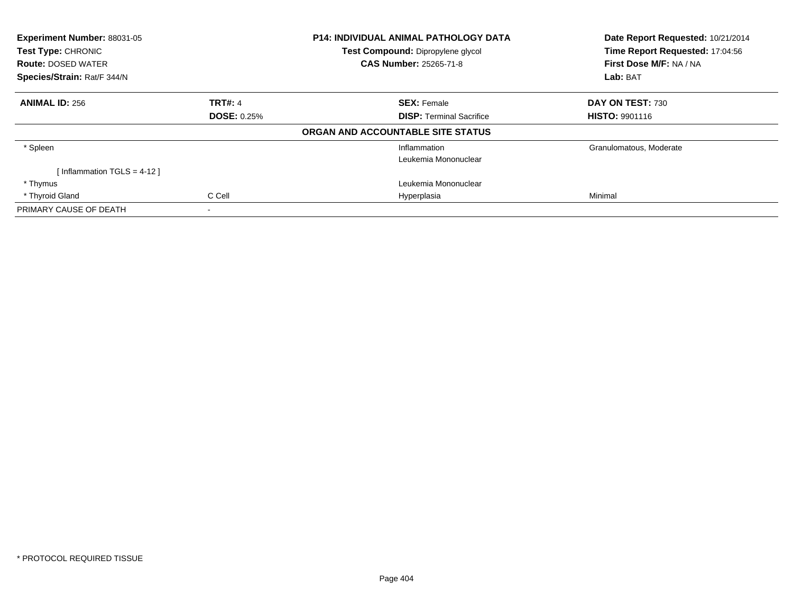| Experiment Number: 88031-05<br>Test Type: CHRONIC<br><b>Route: DOSED WATER</b><br>Species/Strain: Rat/F 344/N |                                      | <b>P14: INDIVIDUAL ANIMAL PATHOLOGY DATA</b><br>Test Compound: Dipropylene glycol<br><b>CAS Number: 25265-71-8</b> | Date Report Requested: 10/21/2014<br>Time Report Requested: 17:04:56<br>First Dose M/F: NA / NA<br>Lab: BAT |
|---------------------------------------------------------------------------------------------------------------|--------------------------------------|--------------------------------------------------------------------------------------------------------------------|-------------------------------------------------------------------------------------------------------------|
| <b>ANIMAL ID: 256</b>                                                                                         | <b>TRT#: 4</b><br><b>DOSE: 0.25%</b> | <b>SEX: Female</b><br><b>DISP: Terminal Sacrifice</b>                                                              | <b>DAY ON TEST: 730</b><br><b>HISTO: 9901116</b>                                                            |
|                                                                                                               |                                      | ORGAN AND ACCOUNTABLE SITE STATUS                                                                                  |                                                                                                             |
| * Spleen                                                                                                      |                                      | Inflammation<br>Leukemia Mononuclear                                                                               | Granulomatous, Moderate                                                                                     |
| [Inflammation TGLS = $4-12$ ]                                                                                 |                                      |                                                                                                                    |                                                                                                             |
| * Thymus                                                                                                      |                                      | Leukemia Mononuclear                                                                                               |                                                                                                             |
| * Thyroid Gland                                                                                               | C Cell                               | Hyperplasia                                                                                                        | Minimal                                                                                                     |
| PRIMARY CAUSE OF DEATH                                                                                        | $\blacksquare$                       |                                                                                                                    |                                                                                                             |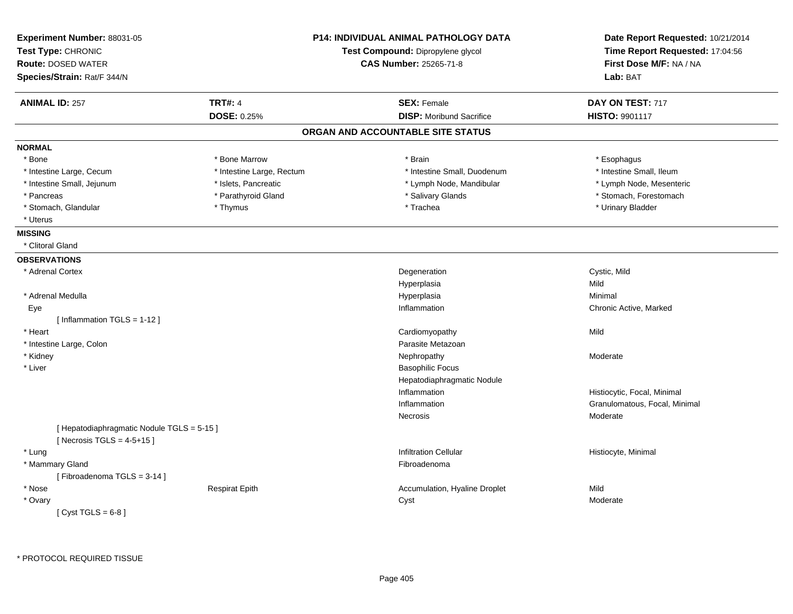| Experiment Number: 88031-05<br>Test Type: CHRONIC<br><b>Route: DOSED WATER</b><br>Species/Strain: Rat/F 344/N | <b>P14: INDIVIDUAL ANIMAL PATHOLOGY DATA</b><br>Test Compound: Dipropylene glycol<br>CAS Number: 25265-71-8 |                                   | Date Report Requested: 10/21/2014<br>Time Report Requested: 17:04:56<br>First Dose M/F: NA / NA<br>Lab: BAT |
|---------------------------------------------------------------------------------------------------------------|-------------------------------------------------------------------------------------------------------------|-----------------------------------|-------------------------------------------------------------------------------------------------------------|
|                                                                                                               |                                                                                                             |                                   |                                                                                                             |
| <b>ANIMAL ID: 257</b>                                                                                         | <b>TRT#: 4</b>                                                                                              | <b>SEX: Female</b>                | DAY ON TEST: 717                                                                                            |
|                                                                                                               | DOSE: 0.25%                                                                                                 | <b>DISP:</b> Moribund Sacrifice   | HISTO: 9901117                                                                                              |
|                                                                                                               |                                                                                                             | ORGAN AND ACCOUNTABLE SITE STATUS |                                                                                                             |
| <b>NORMAL</b>                                                                                                 |                                                                                                             |                                   |                                                                                                             |
| * Bone                                                                                                        | * Bone Marrow                                                                                               | * Brain                           | * Esophagus                                                                                                 |
| * Intestine Large, Cecum                                                                                      | * Intestine Large, Rectum                                                                                   | * Intestine Small, Duodenum       | * Intestine Small, Ileum                                                                                    |
| * Intestine Small, Jejunum                                                                                    | * Islets, Pancreatic                                                                                        | * Lymph Node, Mandibular          | * Lymph Node, Mesenteric                                                                                    |
| * Pancreas                                                                                                    | * Parathyroid Gland                                                                                         | * Salivary Glands                 | * Stomach, Forestomach                                                                                      |
| * Stomach, Glandular                                                                                          | * Thymus                                                                                                    | * Trachea                         | * Urinary Bladder                                                                                           |
| * Uterus                                                                                                      |                                                                                                             |                                   |                                                                                                             |
| <b>MISSING</b>                                                                                                |                                                                                                             |                                   |                                                                                                             |
| * Clitoral Gland                                                                                              |                                                                                                             |                                   |                                                                                                             |
| <b>OBSERVATIONS</b>                                                                                           |                                                                                                             |                                   |                                                                                                             |
| * Adrenal Cortex                                                                                              |                                                                                                             | Degeneration                      | Cystic, Mild                                                                                                |
|                                                                                                               |                                                                                                             | Hyperplasia                       | Mild                                                                                                        |
| * Adrenal Medulla                                                                                             |                                                                                                             | Hyperplasia                       | Minimal                                                                                                     |
| Eye                                                                                                           |                                                                                                             | Inflammation                      | Chronic Active, Marked                                                                                      |
| [Inflammation $TGLS = 1-12$ ]                                                                                 |                                                                                                             |                                   |                                                                                                             |
| * Heart                                                                                                       |                                                                                                             | Cardiomyopathy                    | Mild                                                                                                        |
| * Intestine Large, Colon                                                                                      |                                                                                                             | Parasite Metazoan                 |                                                                                                             |
| * Kidney                                                                                                      |                                                                                                             | Nephropathy                       | Moderate                                                                                                    |
| * Liver                                                                                                       |                                                                                                             | <b>Basophilic Focus</b>           |                                                                                                             |
|                                                                                                               |                                                                                                             | Hepatodiaphragmatic Nodule        |                                                                                                             |
|                                                                                                               |                                                                                                             | Inflammation                      | Histiocytic, Focal, Minimal                                                                                 |
|                                                                                                               |                                                                                                             | Inflammation                      | Granulomatous, Focal, Minimal                                                                               |
|                                                                                                               |                                                                                                             | Necrosis                          | Moderate                                                                                                    |
| [Hepatodiaphragmatic Nodule TGLS = 5-15]                                                                      |                                                                                                             |                                   |                                                                                                             |
| [Necrosis TGLS = $4-5+15$ ]                                                                                   |                                                                                                             |                                   |                                                                                                             |
| * Lung                                                                                                        |                                                                                                             | <b>Infiltration Cellular</b>      | Histiocyte, Minimal                                                                                         |
| * Mammary Gland                                                                                               |                                                                                                             | Fibroadenoma                      |                                                                                                             |
| [Fibroadenoma TGLS = 3-14]                                                                                    |                                                                                                             |                                   |                                                                                                             |
| * Nose                                                                                                        | <b>Respirat Epith</b>                                                                                       | Accumulation, Hyaline Droplet     | Mild                                                                                                        |
| * Ovary                                                                                                       |                                                                                                             | Cyst                              | Moderate                                                                                                    |
| [Cyst TGLS = $6-8$ ]                                                                                          |                                                                                                             |                                   |                                                                                                             |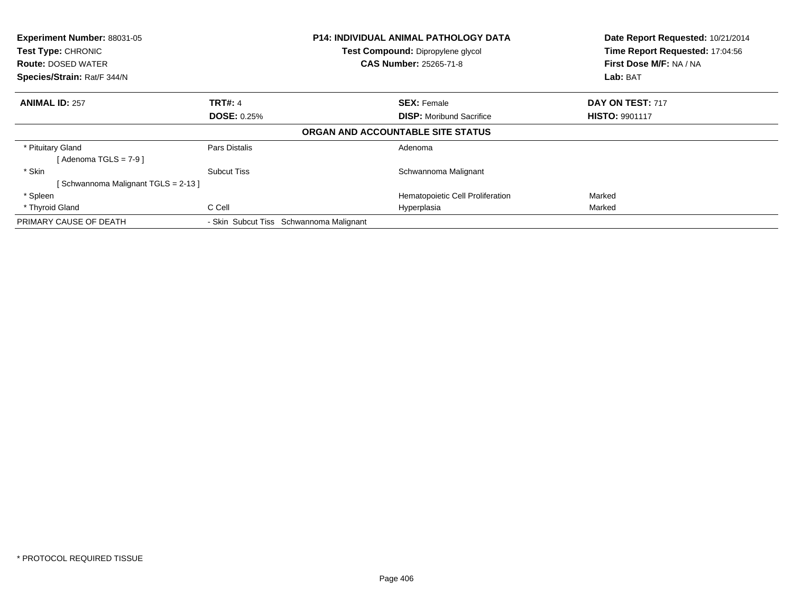| Experiment Number: 88031-05<br>Test Type: CHRONIC<br><b>Route: DOSED WATER</b><br>Species/Strain: Rat/F 344/N | <b>P14: INDIVIDUAL ANIMAL PATHOLOGY DATA</b><br>Test Compound: Dipropylene glycol<br><b>CAS Number: 25265-71-8</b> |                                                       | Date Report Requested: 10/21/2014<br>Time Report Requested: 17:04:56<br>First Dose M/F: NA / NA<br>Lab: BAT |
|---------------------------------------------------------------------------------------------------------------|--------------------------------------------------------------------------------------------------------------------|-------------------------------------------------------|-------------------------------------------------------------------------------------------------------------|
| <b>ANIMAL ID: 257</b>                                                                                         | <b>TRT#: 4</b><br><b>DOSE: 0.25%</b>                                                                               | <b>SEX: Female</b><br><b>DISP:</b> Moribund Sacrifice | DAY ON TEST: 717<br><b>HISTO: 9901117</b>                                                                   |
|                                                                                                               |                                                                                                                    | ORGAN AND ACCOUNTABLE SITE STATUS                     |                                                                                                             |
| * Pituitary Gland<br>[Adenoma TGLS = 7-9 ]                                                                    | Pars Distalis                                                                                                      | Adenoma                                               |                                                                                                             |
| * Skin<br>[Schwannoma Malignant TGLS = 2-13]                                                                  | Subcut Tiss                                                                                                        | Schwannoma Malignant                                  |                                                                                                             |
| * Spleen                                                                                                      |                                                                                                                    | Hematopoietic Cell Proliferation                      | Marked                                                                                                      |
| * Thyroid Gland                                                                                               | C Cell                                                                                                             | Hyperplasia                                           | Marked                                                                                                      |
| PRIMARY CAUSE OF DEATH                                                                                        | - Skin Subcut Tiss Schwannoma Malignant                                                                            |                                                       |                                                                                                             |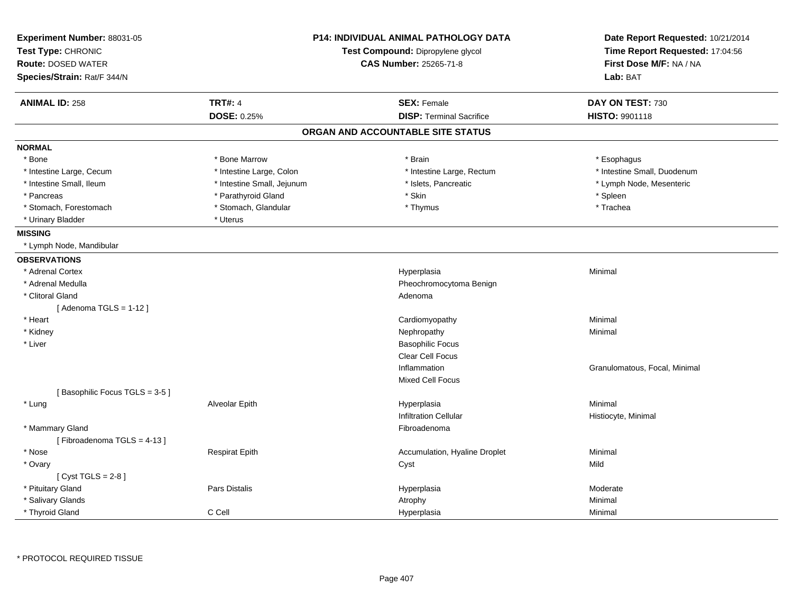| Experiment Number: 88031-05<br>Test Type: CHRONIC |                               | <b>P14: INDIVIDUAL ANIMAL PATHOLOGY DATA</b><br>Test Compound: Dipropylene glycol | Date Report Requested: 10/21/2014<br>Time Report Requested: 17:04:56 |
|---------------------------------------------------|-------------------------------|-----------------------------------------------------------------------------------|----------------------------------------------------------------------|
| <b>Route: DOSED WATER</b>                         | <b>CAS Number: 25265-71-8</b> |                                                                                   | First Dose M/F: NA / NA                                              |
| Species/Strain: Rat/F 344/N                       |                               |                                                                                   | Lab: BAT                                                             |
| <b>ANIMAL ID: 258</b>                             | <b>TRT#: 4</b>                | <b>SEX: Female</b>                                                                | DAY ON TEST: 730                                                     |
|                                                   | DOSE: 0.25%                   | <b>DISP: Terminal Sacrifice</b>                                                   | <b>HISTO: 9901118</b>                                                |
|                                                   |                               | ORGAN AND ACCOUNTABLE SITE STATUS                                                 |                                                                      |
| <b>NORMAL</b>                                     |                               |                                                                                   |                                                                      |
| * Bone                                            | * Bone Marrow                 | * Brain                                                                           | * Esophagus                                                          |
| * Intestine Large, Cecum                          | * Intestine Large, Colon      | * Intestine Large, Rectum                                                         | * Intestine Small, Duodenum                                          |
| * Intestine Small, Ileum                          | * Intestine Small, Jejunum    | * Islets, Pancreatic                                                              | * Lymph Node, Mesenteric                                             |
| * Pancreas                                        | * Parathyroid Gland           | * Skin                                                                            | * Spleen                                                             |
| * Stomach, Forestomach                            | * Stomach, Glandular          | * Thymus                                                                          | * Trachea                                                            |
| * Urinary Bladder                                 | * Uterus                      |                                                                                   |                                                                      |
| <b>MISSING</b>                                    |                               |                                                                                   |                                                                      |
| * Lymph Node, Mandibular                          |                               |                                                                                   |                                                                      |
| <b>OBSERVATIONS</b>                               |                               |                                                                                   |                                                                      |
| * Adrenal Cortex                                  |                               | Hyperplasia                                                                       | Minimal                                                              |
| * Adrenal Medulla                                 |                               | Pheochromocytoma Benign                                                           |                                                                      |
| * Clitoral Gland                                  |                               | Adenoma                                                                           |                                                                      |
| [Adenoma TGLS = $1-12$ ]                          |                               |                                                                                   |                                                                      |
| * Heart                                           |                               | Cardiomyopathy                                                                    | Minimal                                                              |
| * Kidney                                          |                               | Nephropathy                                                                       | Minimal                                                              |
| * Liver                                           |                               | <b>Basophilic Focus</b>                                                           |                                                                      |
|                                                   |                               | Clear Cell Focus                                                                  |                                                                      |
|                                                   |                               | Inflammation                                                                      | Granulomatous, Focal, Minimal                                        |
|                                                   |                               | <b>Mixed Cell Focus</b>                                                           |                                                                      |
| [Basophilic Focus TGLS = 3-5]                     |                               |                                                                                   |                                                                      |
| * Lung                                            | Alveolar Epith                | Hyperplasia                                                                       | Minimal                                                              |
|                                                   |                               | <b>Infiltration Cellular</b>                                                      | Histiocyte, Minimal                                                  |
| * Mammary Gland                                   |                               | Fibroadenoma                                                                      |                                                                      |
| [Fibroadenoma TGLS = 4-13]                        |                               |                                                                                   |                                                                      |
| * Nose                                            | <b>Respirat Epith</b>         | Accumulation, Hyaline Droplet                                                     | Minimal                                                              |
| * Ovary                                           |                               | Cyst                                                                              | Mild                                                                 |
| [Cyst TGLS = $2-8$ ]                              |                               |                                                                                   |                                                                      |
| * Pituitary Gland                                 | Pars Distalis                 | Hyperplasia                                                                       | Moderate                                                             |
| * Salivary Glands                                 |                               | Atrophy                                                                           | Minimal                                                              |
| * Thyroid Gland                                   | C Cell                        | Hyperplasia                                                                       | Minimal                                                              |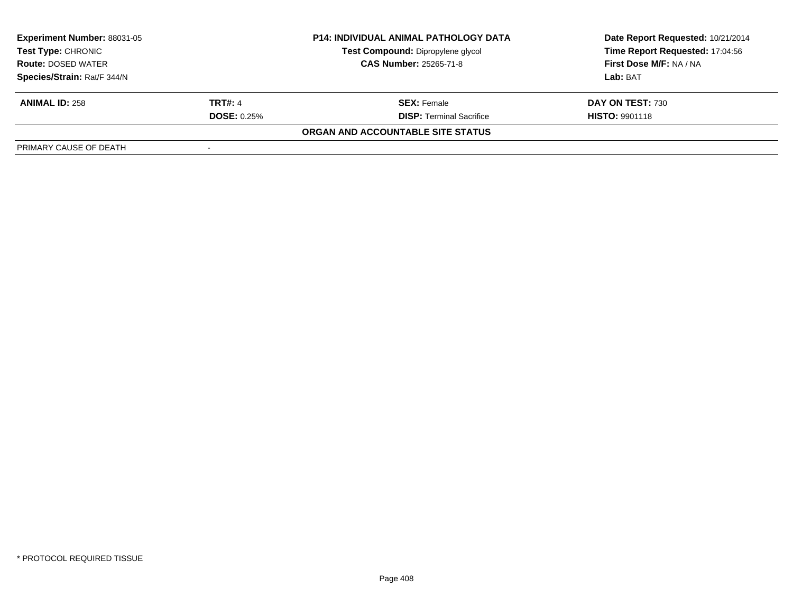| <b>Experiment Number: 88031-05</b><br>Test Type: CHRONIC |                               | <b>P14: INDIVIDUAL ANIMAL PATHOLOGY DATA</b> | Date Report Requested: 10/21/2014 |
|----------------------------------------------------------|-------------------------------|----------------------------------------------|-----------------------------------|
|                                                          |                               | Test Compound: Dipropylene glycol            | Time Report Requested: 17:04:56   |
| <b>Route: DOSED WATER</b>                                | <b>CAS Number: 25265-71-8</b> |                                              | <b>First Dose M/F: NA / NA</b>    |
| Species/Strain: Rat/F 344/N                              |                               |                                              | Lab: BAT                          |
| <b>ANIMAL ID: 258</b>                                    | <b>TRT#: 4</b>                | <b>SEX:</b> Female                           | DAY ON TEST: 730                  |
|                                                          | <b>DOSE: 0.25%</b>            | <b>DISP: Terminal Sacrifice</b>              | <b>HISTO: 9901118</b>             |
|                                                          |                               | ORGAN AND ACCOUNTABLE SITE STATUS            |                                   |
| PRIMARY CAUSE OF DEATH                                   |                               |                                              |                                   |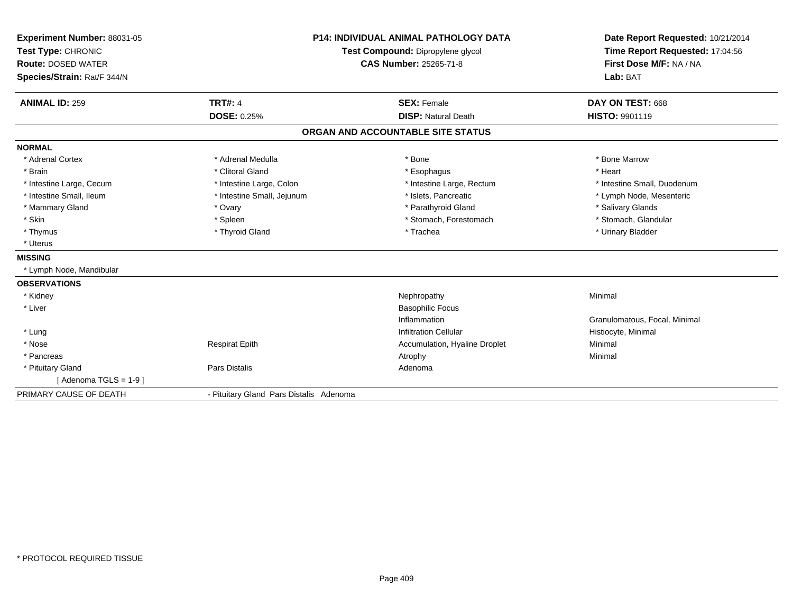| Experiment Number: 88031-05<br>Test Type: CHRONIC<br><b>Route: DOSED WATER</b><br>Species/Strain: Rat/F 344/N<br><b>ANIMAL ID: 259</b> | <b>TRT#: 4</b><br><b>DOSE: 0.25%</b>    | <b>P14: INDIVIDUAL ANIMAL PATHOLOGY DATA</b><br>Test Compound: Dipropylene glycol<br><b>CAS Number: 25265-71-8</b><br><b>SEX: Female</b><br><b>DISP: Natural Death</b> | Date Report Requested: 10/21/2014<br>Time Report Requested: 17:04:56<br>First Dose M/F: NA / NA<br>Lab: BAT<br>DAY ON TEST: 668<br><b>HISTO: 9901119</b> |
|----------------------------------------------------------------------------------------------------------------------------------------|-----------------------------------------|------------------------------------------------------------------------------------------------------------------------------------------------------------------------|----------------------------------------------------------------------------------------------------------------------------------------------------------|
|                                                                                                                                        |                                         | ORGAN AND ACCOUNTABLE SITE STATUS                                                                                                                                      |                                                                                                                                                          |
| <b>NORMAL</b>                                                                                                                          |                                         |                                                                                                                                                                        |                                                                                                                                                          |
| * Adrenal Cortex                                                                                                                       | * Adrenal Medulla                       | * Bone                                                                                                                                                                 | * Bone Marrow                                                                                                                                            |
| * Brain                                                                                                                                | * Clitoral Gland                        | * Esophagus                                                                                                                                                            | * Heart                                                                                                                                                  |
| * Intestine Large, Cecum                                                                                                               | * Intestine Large, Colon                | * Intestine Large, Rectum                                                                                                                                              | * Intestine Small, Duodenum                                                                                                                              |
| * Intestine Small, Ileum                                                                                                               | * Intestine Small, Jejunum              | * Islets, Pancreatic                                                                                                                                                   | * Lymph Node, Mesenteric                                                                                                                                 |
| * Mammary Gland                                                                                                                        | * Ovary                                 | * Parathyroid Gland                                                                                                                                                    | * Salivary Glands                                                                                                                                        |
| * Skin                                                                                                                                 | * Spleen                                | * Stomach, Forestomach                                                                                                                                                 | * Stomach, Glandular                                                                                                                                     |
| * Thymus                                                                                                                               | * Thyroid Gland                         | * Trachea                                                                                                                                                              | * Urinary Bladder                                                                                                                                        |
| * Uterus                                                                                                                               |                                         |                                                                                                                                                                        |                                                                                                                                                          |
| <b>MISSING</b>                                                                                                                         |                                         |                                                                                                                                                                        |                                                                                                                                                          |
| * Lymph Node, Mandibular                                                                                                               |                                         |                                                                                                                                                                        |                                                                                                                                                          |
| <b>OBSERVATIONS</b>                                                                                                                    |                                         |                                                                                                                                                                        |                                                                                                                                                          |
| * Kidney                                                                                                                               |                                         | Nephropathy                                                                                                                                                            | Minimal                                                                                                                                                  |
| * Liver                                                                                                                                |                                         | <b>Basophilic Focus</b>                                                                                                                                                |                                                                                                                                                          |
|                                                                                                                                        |                                         | Inflammation                                                                                                                                                           | Granulomatous, Focal, Minimal                                                                                                                            |
| * Lung                                                                                                                                 |                                         | <b>Infiltration Cellular</b>                                                                                                                                           | Histiocyte, Minimal                                                                                                                                      |
| * Nose                                                                                                                                 | <b>Respirat Epith</b>                   | Accumulation, Hyaline Droplet                                                                                                                                          | Minimal                                                                                                                                                  |
| * Pancreas                                                                                                                             |                                         | Atrophy                                                                                                                                                                | Minimal                                                                                                                                                  |
| * Pituitary Gland                                                                                                                      | <b>Pars Distalis</b>                    | Adenoma                                                                                                                                                                |                                                                                                                                                          |
| [Adenoma TGLS = $1-9$ ]                                                                                                                |                                         |                                                                                                                                                                        |                                                                                                                                                          |
| PRIMARY CAUSE OF DEATH                                                                                                                 | - Pituitary Gland Pars Distalis Adenoma |                                                                                                                                                                        |                                                                                                                                                          |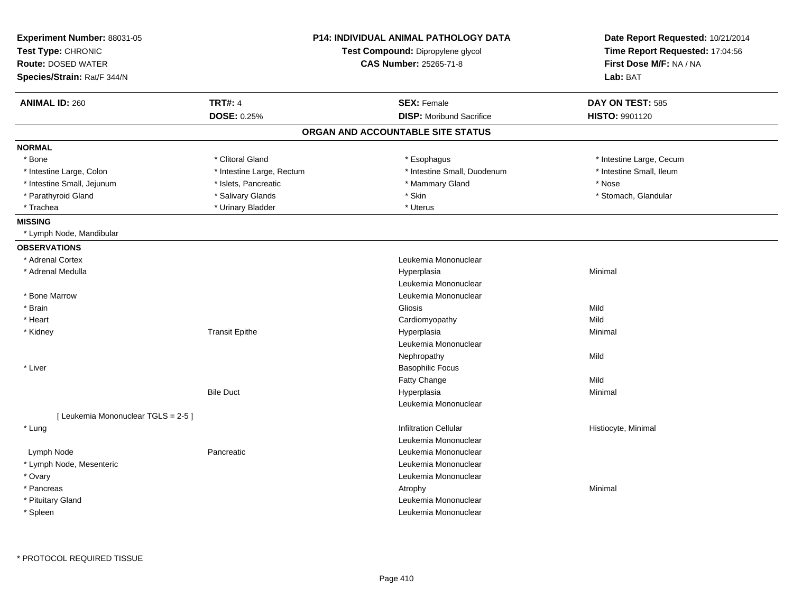| Experiment Number: 88031-05<br>Test Type: CHRONIC<br><b>Route: DOSED WATER</b><br>Species/Strain: Rat/F 344/N |                           | <b>P14: INDIVIDUAL ANIMAL PATHOLOGY DATA</b><br>Test Compound: Dipropylene glycol<br>CAS Number: 25265-71-8 | Date Report Requested: 10/21/2014<br>Time Report Requested: 17:04:56<br>First Dose M/F: NA / NA<br>Lab: BAT |
|---------------------------------------------------------------------------------------------------------------|---------------------------|-------------------------------------------------------------------------------------------------------------|-------------------------------------------------------------------------------------------------------------|
| <b>ANIMAL ID: 260</b>                                                                                         | <b>TRT#: 4</b>            | <b>SEX: Female</b>                                                                                          | DAY ON TEST: 585                                                                                            |
|                                                                                                               | DOSE: 0.25%               | <b>DISP:</b> Moribund Sacrifice                                                                             | HISTO: 9901120                                                                                              |
|                                                                                                               |                           | ORGAN AND ACCOUNTABLE SITE STATUS                                                                           |                                                                                                             |
| <b>NORMAL</b>                                                                                                 |                           |                                                                                                             |                                                                                                             |
| * Bone                                                                                                        | * Clitoral Gland          | * Esophagus                                                                                                 | * Intestine Large, Cecum                                                                                    |
| * Intestine Large, Colon                                                                                      | * Intestine Large, Rectum | * Intestine Small, Duodenum                                                                                 | * Intestine Small, Ileum                                                                                    |
| * Intestine Small, Jejunum                                                                                    | * Islets, Pancreatic      | * Mammary Gland                                                                                             | * Nose                                                                                                      |
| * Parathyroid Gland                                                                                           | * Salivary Glands         | * Skin                                                                                                      | * Stomach, Glandular                                                                                        |
| * Trachea                                                                                                     | * Urinary Bladder         | * Uterus                                                                                                    |                                                                                                             |
| <b>MISSING</b>                                                                                                |                           |                                                                                                             |                                                                                                             |
| * Lymph Node, Mandibular                                                                                      |                           |                                                                                                             |                                                                                                             |
| <b>OBSERVATIONS</b>                                                                                           |                           |                                                                                                             |                                                                                                             |
| * Adrenal Cortex                                                                                              |                           | Leukemia Mononuclear                                                                                        |                                                                                                             |
| * Adrenal Medulla                                                                                             |                           | Hyperplasia                                                                                                 | Minimal                                                                                                     |
|                                                                                                               |                           | Leukemia Mononuclear                                                                                        |                                                                                                             |
| * Bone Marrow                                                                                                 |                           | Leukemia Mononuclear                                                                                        |                                                                                                             |
| * Brain                                                                                                       |                           | Gliosis                                                                                                     | Mild                                                                                                        |
| * Heart                                                                                                       |                           | Cardiomyopathy                                                                                              | Mild                                                                                                        |
| * Kidney                                                                                                      | <b>Transit Epithe</b>     | Hyperplasia                                                                                                 | Minimal                                                                                                     |
|                                                                                                               |                           | Leukemia Mononuclear                                                                                        |                                                                                                             |
|                                                                                                               |                           | Nephropathy                                                                                                 | Mild                                                                                                        |
| * Liver                                                                                                       |                           | <b>Basophilic Focus</b>                                                                                     |                                                                                                             |
|                                                                                                               |                           | Fatty Change                                                                                                | Mild                                                                                                        |
|                                                                                                               | <b>Bile Duct</b>          | Hyperplasia                                                                                                 | Minimal                                                                                                     |
|                                                                                                               |                           | Leukemia Mononuclear                                                                                        |                                                                                                             |
| [ Leukemia Mononuclear TGLS = 2-5 ]                                                                           |                           |                                                                                                             |                                                                                                             |
| * Lung                                                                                                        |                           | <b>Infiltration Cellular</b>                                                                                | Histiocyte, Minimal                                                                                         |
|                                                                                                               |                           | Leukemia Mononuclear                                                                                        |                                                                                                             |
| Lymph Node                                                                                                    | Pancreatic                | Leukemia Mononuclear                                                                                        |                                                                                                             |
| * Lymph Node, Mesenteric                                                                                      |                           | Leukemia Mononuclear                                                                                        |                                                                                                             |
| * Ovary                                                                                                       |                           | Leukemia Mononuclear                                                                                        |                                                                                                             |
| * Pancreas                                                                                                    |                           | Atrophy                                                                                                     | Minimal                                                                                                     |
| * Pituitary Gland                                                                                             |                           | Leukemia Mononuclear                                                                                        |                                                                                                             |
| * Spleen                                                                                                      |                           | Leukemia Mononuclear                                                                                        |                                                                                                             |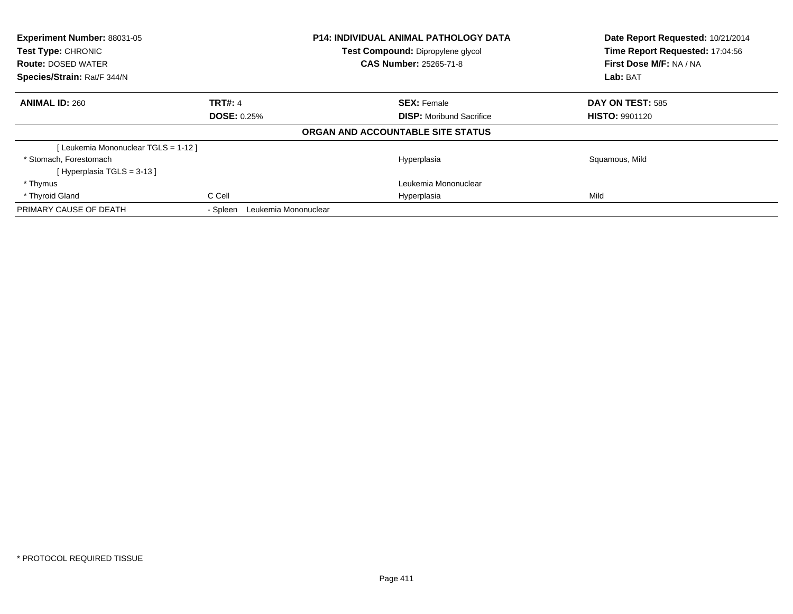| Experiment Number: 88031-05<br><b>Test Type: CHRONIC</b><br><b>Route: DOSED WATER</b><br>Species/Strain: Rat/F 344/N |                                  | <b>P14: INDIVIDUAL ANIMAL PATHOLOGY DATA</b><br>Test Compound: Dipropylene glycol<br><b>CAS Number: 25265-71-8</b> | Date Report Requested: 10/21/2014<br>Time Report Requested: 17:04:56<br>First Dose M/F: NA / NA<br>Lab: BAT |
|----------------------------------------------------------------------------------------------------------------------|----------------------------------|--------------------------------------------------------------------------------------------------------------------|-------------------------------------------------------------------------------------------------------------|
| <b>ANIMAL ID: 260</b>                                                                                                | <b>TRT#: 4</b>                   | <b>SEX: Female</b>                                                                                                 | DAY ON TEST: 585                                                                                            |
|                                                                                                                      | <b>DOSE: 0.25%</b>               | <b>DISP:</b> Moribund Sacrifice                                                                                    | <b>HISTO: 9901120</b>                                                                                       |
|                                                                                                                      |                                  | ORGAN AND ACCOUNTABLE SITE STATUS                                                                                  |                                                                                                             |
| [Leukemia Mononuclear TGLS = 1-12]                                                                                   |                                  |                                                                                                                    |                                                                                                             |
| * Stomach, Forestomach                                                                                               |                                  | Hyperplasia                                                                                                        | Squamous, Mild                                                                                              |
| [Hyperplasia TGLS = $3-13$ ]                                                                                         |                                  |                                                                                                                    |                                                                                                             |
| * Thymus                                                                                                             |                                  | Leukemia Mononuclear                                                                                               |                                                                                                             |
| * Thyroid Gland                                                                                                      | C Cell                           | Hyperplasia                                                                                                        | Mild                                                                                                        |
| PRIMARY CAUSE OF DEATH                                                                                               | Leukemia Mononuclear<br>- Spleen |                                                                                                                    |                                                                                                             |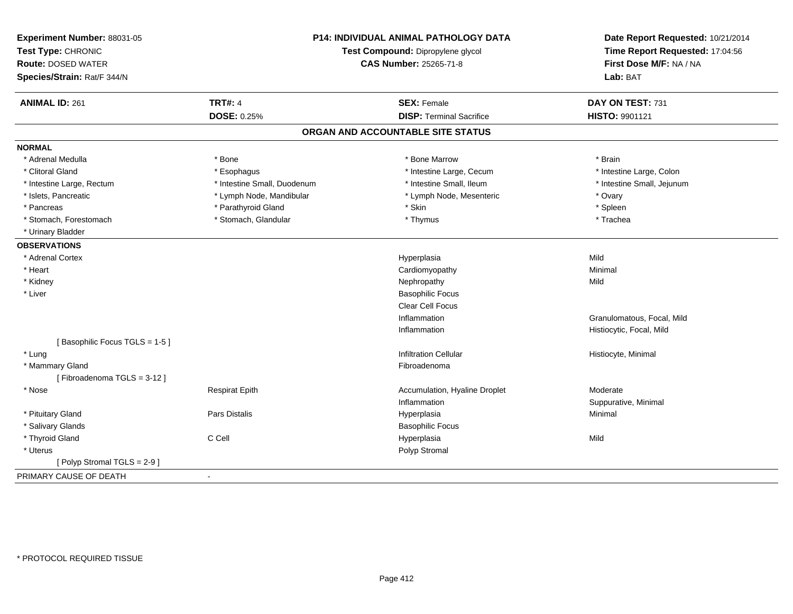| Experiment Number: 88031-05<br>Test Type: CHRONIC<br><b>Route: DOSED WATER</b><br>Species/Strain: Rat/F 344/N |                             | <b>P14: INDIVIDUAL ANIMAL PATHOLOGY DATA</b><br>Test Compound: Dipropylene glycol<br><b>CAS Number: 25265-71-8</b> | Date Report Requested: 10/21/2014<br>Time Report Requested: 17:04:56<br>First Dose M/F: NA / NA<br>Lab: BAT |
|---------------------------------------------------------------------------------------------------------------|-----------------------------|--------------------------------------------------------------------------------------------------------------------|-------------------------------------------------------------------------------------------------------------|
| <b>ANIMAL ID: 261</b>                                                                                         | <b>TRT#: 4</b>              | <b>SEX: Female</b>                                                                                                 | DAY ON TEST: 731                                                                                            |
|                                                                                                               | <b>DOSE: 0.25%</b>          | <b>DISP: Terminal Sacrifice</b>                                                                                    | <b>HISTO: 9901121</b>                                                                                       |
|                                                                                                               |                             | ORGAN AND ACCOUNTABLE SITE STATUS                                                                                  |                                                                                                             |
| <b>NORMAL</b>                                                                                                 |                             |                                                                                                                    |                                                                                                             |
| * Adrenal Medulla                                                                                             | * Bone                      | * Bone Marrow                                                                                                      | * Brain                                                                                                     |
| * Clitoral Gland                                                                                              | * Esophagus                 | * Intestine Large, Cecum                                                                                           | * Intestine Large, Colon                                                                                    |
| * Intestine Large, Rectum                                                                                     | * Intestine Small, Duodenum | * Intestine Small. Ileum                                                                                           | * Intestine Small, Jejunum                                                                                  |
| * Islets, Pancreatic                                                                                          | * Lymph Node, Mandibular    | * Lymph Node, Mesenteric                                                                                           | * Ovary                                                                                                     |
| * Pancreas                                                                                                    | * Parathyroid Gland         | * Skin                                                                                                             | * Spleen                                                                                                    |
| * Stomach, Forestomach                                                                                        | * Stomach, Glandular        | * Thymus                                                                                                           | * Trachea                                                                                                   |
| * Urinary Bladder                                                                                             |                             |                                                                                                                    |                                                                                                             |
| <b>OBSERVATIONS</b>                                                                                           |                             |                                                                                                                    |                                                                                                             |
| * Adrenal Cortex                                                                                              |                             | Hyperplasia                                                                                                        | Mild                                                                                                        |
| * Heart                                                                                                       |                             | Cardiomyopathy                                                                                                     | Minimal                                                                                                     |
| * Kidney                                                                                                      |                             | Nephropathy                                                                                                        | Mild                                                                                                        |
| * Liver                                                                                                       |                             | <b>Basophilic Focus</b>                                                                                            |                                                                                                             |
|                                                                                                               |                             | Clear Cell Focus                                                                                                   |                                                                                                             |
|                                                                                                               |                             | Inflammation                                                                                                       | Granulomatous, Focal, Mild                                                                                  |
|                                                                                                               |                             | Inflammation                                                                                                       | Histiocytic, Focal, Mild                                                                                    |
| [Basophilic Focus TGLS = 1-5]                                                                                 |                             |                                                                                                                    |                                                                                                             |
| * Lung                                                                                                        |                             | <b>Infiltration Cellular</b>                                                                                       | Histiocyte, Minimal                                                                                         |
| * Mammary Gland                                                                                               |                             | Fibroadenoma                                                                                                       |                                                                                                             |
| [Fibroadenoma TGLS = 3-12]                                                                                    |                             |                                                                                                                    |                                                                                                             |
| * Nose                                                                                                        | <b>Respirat Epith</b>       | Accumulation, Hyaline Droplet                                                                                      | Moderate                                                                                                    |
|                                                                                                               |                             | Inflammation                                                                                                       | Suppurative, Minimal                                                                                        |
| * Pituitary Gland                                                                                             | Pars Distalis               | Hyperplasia                                                                                                        | Minimal                                                                                                     |
| * Salivary Glands                                                                                             |                             | <b>Basophilic Focus</b>                                                                                            |                                                                                                             |
| * Thyroid Gland                                                                                               | C Cell                      | Hyperplasia                                                                                                        | Mild                                                                                                        |
| * Uterus                                                                                                      |                             | Polyp Stromal                                                                                                      |                                                                                                             |
| [Polyp Stromal TGLS = 2-9]                                                                                    |                             |                                                                                                                    |                                                                                                             |
| PRIMARY CAUSE OF DEATH                                                                                        | $\overline{\phantom{a}}$    |                                                                                                                    |                                                                                                             |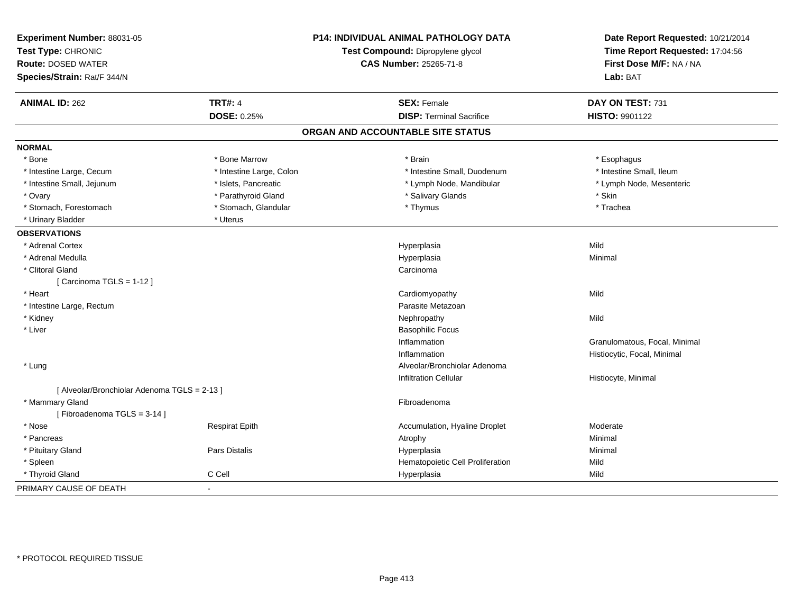| Experiment Number: 88031-05<br>Test Type: CHRONIC<br><b>Route: DOSED WATER</b><br>Species/Strain: Rat/F 344/N |                          | <b>P14: INDIVIDUAL ANIMAL PATHOLOGY DATA</b><br>Test Compound: Dipropylene glycol<br><b>CAS Number: 25265-71-8</b> | Date Report Requested: 10/21/2014<br>Time Report Requested: 17:04:56<br>First Dose M/F: NA / NA<br>Lab: BAT |
|---------------------------------------------------------------------------------------------------------------|--------------------------|--------------------------------------------------------------------------------------------------------------------|-------------------------------------------------------------------------------------------------------------|
| <b>ANIMAL ID: 262</b>                                                                                         | <b>TRT#: 4</b>           | <b>SEX: Female</b>                                                                                                 | DAY ON TEST: 731                                                                                            |
|                                                                                                               | <b>DOSE: 0.25%</b>       | <b>DISP: Terminal Sacrifice</b>                                                                                    | HISTO: 9901122                                                                                              |
|                                                                                                               |                          | ORGAN AND ACCOUNTABLE SITE STATUS                                                                                  |                                                                                                             |
| <b>NORMAL</b>                                                                                                 |                          |                                                                                                                    |                                                                                                             |
| * Bone                                                                                                        | * Bone Marrow            | * Brain                                                                                                            | * Esophagus                                                                                                 |
| * Intestine Large, Cecum                                                                                      | * Intestine Large, Colon | * Intestine Small, Duodenum                                                                                        | * Intestine Small, Ileum                                                                                    |
| * Intestine Small, Jejunum                                                                                    | * Islets, Pancreatic     | * Lymph Node, Mandibular                                                                                           | * Lymph Node, Mesenteric                                                                                    |
| * Ovary                                                                                                       | * Parathyroid Gland      | * Salivary Glands                                                                                                  | * Skin                                                                                                      |
| * Stomach, Forestomach                                                                                        | * Stomach, Glandular     | * Thymus                                                                                                           | * Trachea                                                                                                   |
| * Urinary Bladder                                                                                             | * Uterus                 |                                                                                                                    |                                                                                                             |
| <b>OBSERVATIONS</b>                                                                                           |                          |                                                                                                                    |                                                                                                             |
| * Adrenal Cortex                                                                                              |                          | Hyperplasia                                                                                                        | Mild                                                                                                        |
| * Adrenal Medulla                                                                                             |                          | Hyperplasia                                                                                                        | Minimal                                                                                                     |
| * Clitoral Gland                                                                                              |                          | Carcinoma                                                                                                          |                                                                                                             |
| [Carcinoma TGLS = 1-12]                                                                                       |                          |                                                                                                                    |                                                                                                             |
| * Heart                                                                                                       |                          | Cardiomyopathy                                                                                                     | Mild                                                                                                        |
| * Intestine Large, Rectum                                                                                     |                          | Parasite Metazoan                                                                                                  |                                                                                                             |
| * Kidney                                                                                                      |                          | Nephropathy                                                                                                        | Mild                                                                                                        |
| * Liver                                                                                                       |                          | <b>Basophilic Focus</b>                                                                                            |                                                                                                             |
|                                                                                                               |                          | Inflammation                                                                                                       | Granulomatous, Focal, Minimal                                                                               |
|                                                                                                               |                          | Inflammation                                                                                                       | Histiocytic, Focal, Minimal                                                                                 |
| * Lung                                                                                                        |                          | Alveolar/Bronchiolar Adenoma                                                                                       |                                                                                                             |
|                                                                                                               |                          | <b>Infiltration Cellular</b>                                                                                       | Histiocyte, Minimal                                                                                         |
| [ Alveolar/Bronchiolar Adenoma TGLS = 2-13 ]                                                                  |                          |                                                                                                                    |                                                                                                             |
| * Mammary Gland                                                                                               |                          | Fibroadenoma                                                                                                       |                                                                                                             |
| [Fibroadenoma TGLS = 3-14]                                                                                    |                          |                                                                                                                    |                                                                                                             |
| * Nose                                                                                                        | <b>Respirat Epith</b>    | Accumulation, Hyaline Droplet                                                                                      | Moderate                                                                                                    |
| * Pancreas                                                                                                    |                          | Atrophy                                                                                                            | Minimal                                                                                                     |
| * Pituitary Gland                                                                                             | Pars Distalis            | Hyperplasia                                                                                                        | Minimal                                                                                                     |
| * Spleen                                                                                                      |                          | Hematopoietic Cell Proliferation                                                                                   | Mild                                                                                                        |
| * Thyroid Gland                                                                                               | C Cell                   | Hyperplasia                                                                                                        | Mild                                                                                                        |
| PRIMARY CAUSE OF DEATH                                                                                        |                          |                                                                                                                    |                                                                                                             |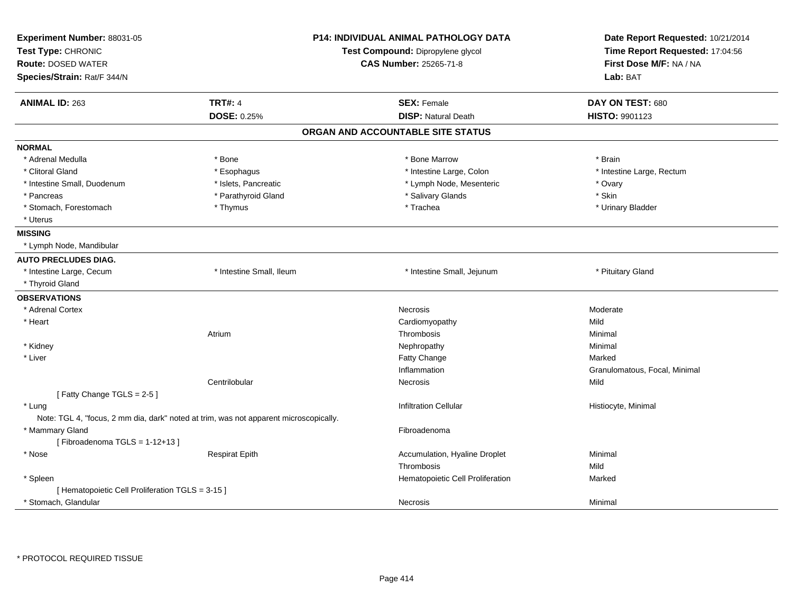| Experiment Number: 88031-05<br>Test Type: CHRONIC<br><b>Route: DOSED WATER</b><br>Species/Strain: Rat/F 344/N |                                                                                       | <b>P14: INDIVIDUAL ANIMAL PATHOLOGY DATA</b><br>Test Compound: Dipropylene glycol<br><b>CAS Number: 25265-71-8</b> | Date Report Requested: 10/21/2014<br>Time Report Requested: 17:04:56<br>First Dose M/F: NA / NA<br>Lab: BAT |
|---------------------------------------------------------------------------------------------------------------|---------------------------------------------------------------------------------------|--------------------------------------------------------------------------------------------------------------------|-------------------------------------------------------------------------------------------------------------|
| <b>ANIMAL ID: 263</b>                                                                                         | <b>TRT#: 4</b>                                                                        | <b>SEX: Female</b>                                                                                                 | DAY ON TEST: 680                                                                                            |
|                                                                                                               | <b>DOSE: 0.25%</b>                                                                    | <b>DISP: Natural Death</b>                                                                                         | HISTO: 9901123                                                                                              |
|                                                                                                               |                                                                                       | ORGAN AND ACCOUNTABLE SITE STATUS                                                                                  |                                                                                                             |
| <b>NORMAL</b>                                                                                                 |                                                                                       |                                                                                                                    |                                                                                                             |
| * Adrenal Medulla                                                                                             | * Bone                                                                                | * Bone Marrow                                                                                                      | * Brain                                                                                                     |
| * Clitoral Gland                                                                                              | * Esophagus                                                                           | * Intestine Large, Colon                                                                                           | * Intestine Large, Rectum                                                                                   |
| * Intestine Small, Duodenum                                                                                   | * Islets, Pancreatic                                                                  | * Lymph Node, Mesenteric                                                                                           | * Ovary                                                                                                     |
| * Pancreas                                                                                                    | * Parathyroid Gland                                                                   | * Salivary Glands                                                                                                  | * Skin                                                                                                      |
| * Stomach, Forestomach                                                                                        | * Thymus                                                                              | * Trachea                                                                                                          | * Urinary Bladder                                                                                           |
| * Uterus                                                                                                      |                                                                                       |                                                                                                                    |                                                                                                             |
| <b>MISSING</b>                                                                                                |                                                                                       |                                                                                                                    |                                                                                                             |
| * Lymph Node, Mandibular                                                                                      |                                                                                       |                                                                                                                    |                                                                                                             |
| <b>AUTO PRECLUDES DIAG.</b>                                                                                   |                                                                                       |                                                                                                                    |                                                                                                             |
| * Intestine Large, Cecum                                                                                      | * Intestine Small, Ileum                                                              | * Intestine Small, Jejunum                                                                                         | * Pituitary Gland                                                                                           |
| * Thyroid Gland                                                                                               |                                                                                       |                                                                                                                    |                                                                                                             |
| <b>OBSERVATIONS</b>                                                                                           |                                                                                       |                                                                                                                    |                                                                                                             |
| * Adrenal Cortex                                                                                              |                                                                                       | Necrosis                                                                                                           | Moderate                                                                                                    |
| * Heart                                                                                                       |                                                                                       | Cardiomyopathy                                                                                                     | Mild                                                                                                        |
|                                                                                                               | Atrium                                                                                | Thrombosis                                                                                                         | Minimal                                                                                                     |
| * Kidney                                                                                                      |                                                                                       | Nephropathy                                                                                                        | Minimal                                                                                                     |
| * Liver                                                                                                       |                                                                                       | Fatty Change                                                                                                       | Marked                                                                                                      |
|                                                                                                               |                                                                                       | Inflammation                                                                                                       | Granulomatous, Focal, Minimal                                                                               |
|                                                                                                               | Centrilobular                                                                         | <b>Necrosis</b>                                                                                                    | Mild                                                                                                        |
| [Fatty Change TGLS = 2-5]                                                                                     |                                                                                       |                                                                                                                    |                                                                                                             |
| * Lung                                                                                                        |                                                                                       | <b>Infiltration Cellular</b>                                                                                       | Histiocyte, Minimal                                                                                         |
|                                                                                                               | Note: TGL 4, "focus, 2 mm dia, dark" noted at trim, was not apparent microscopically. |                                                                                                                    |                                                                                                             |
| * Mammary Gland                                                                                               |                                                                                       | Fibroadenoma                                                                                                       |                                                                                                             |
| [Fibroadenoma TGLS = $1-12+13$ ]                                                                              |                                                                                       |                                                                                                                    |                                                                                                             |
| $^{\star}$ Nose                                                                                               | <b>Respirat Epith</b>                                                                 | Accumulation, Hyaline Droplet                                                                                      | Minimal                                                                                                     |
|                                                                                                               |                                                                                       | Thrombosis                                                                                                         | Mild                                                                                                        |
| * Spleen                                                                                                      |                                                                                       | Hematopoietic Cell Proliferation                                                                                   | Marked                                                                                                      |
| [ Hematopoietic Cell Proliferation TGLS = 3-15 ]                                                              |                                                                                       |                                                                                                                    |                                                                                                             |
| * Stomach, Glandular                                                                                          |                                                                                       | Necrosis                                                                                                           | Minimal                                                                                                     |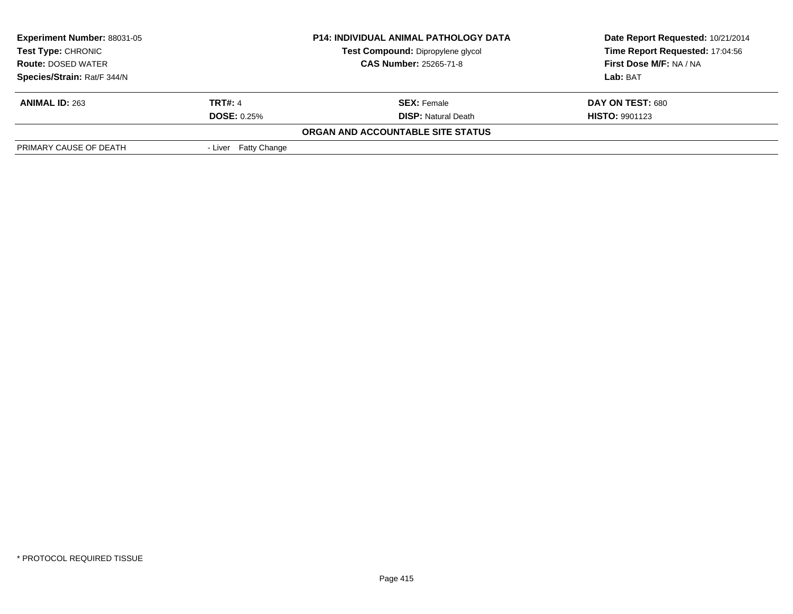| <b>P14: INDIVIDUAL ANIMAL PATHOLOGY DATA</b><br><b>Experiment Number: 88031-05</b><br>Test Compound: Dipropylene glycol<br><b>Test Type: CHRONIC</b> |                               |                                          | Date Report Requested: 10/21/2014 |  |
|------------------------------------------------------------------------------------------------------------------------------------------------------|-------------------------------|------------------------------------------|-----------------------------------|--|
|                                                                                                                                                      |                               | Time Report Requested: 17:04:56          |                                   |  |
| <b>Route: DOSED WATER</b>                                                                                                                            | <b>CAS Number: 25265-71-8</b> |                                          | <b>First Dose M/F: NA / NA</b>    |  |
| Species/Strain: Rat/F 344/N                                                                                                                          |                               |                                          | Lab: BAT                          |  |
| <b>ANIMAL ID: 263</b>                                                                                                                                | <b>TRT#: 4</b>                | <b>SEX: Female</b>                       | DAY ON TEST: 680                  |  |
|                                                                                                                                                      | <b>DOSE: 0.25%</b>            | <b>DISP:</b> Natural Death               | <b>HISTO: 9901123</b>             |  |
|                                                                                                                                                      |                               | <b>ORGAN AND ACCOUNTABLE SITE STATUS</b> |                                   |  |
| PRIMARY CAUSE OF DEATH                                                                                                                               | - Liver Fatty Change          |                                          |                                   |  |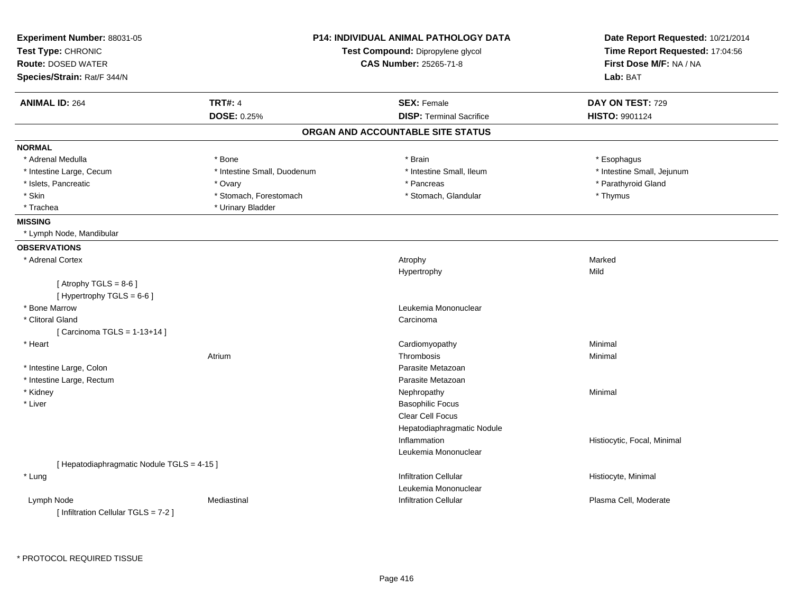| Experiment Number: 88031-05<br>Test Type: CHRONIC<br><b>Route: DOSED WATER</b> | <b>P14: INDIVIDUAL ANIMAL PATHOLOGY DATA</b><br>Test Compound: Dipropylene glycol<br><b>CAS Number: 25265-71-8</b> |                                   | Date Report Requested: 10/21/2014<br>Time Report Requested: 17:04:56<br>First Dose M/F: NA / NA |
|--------------------------------------------------------------------------------|--------------------------------------------------------------------------------------------------------------------|-----------------------------------|-------------------------------------------------------------------------------------------------|
| Species/Strain: Rat/F 344/N                                                    |                                                                                                                    |                                   | Lab: BAT                                                                                        |
| <b>ANIMAL ID: 264</b>                                                          | <b>TRT#: 4</b>                                                                                                     | <b>SEX: Female</b>                | DAY ON TEST: 729                                                                                |
|                                                                                | DOSE: 0.25%                                                                                                        | <b>DISP: Terminal Sacrifice</b>   | HISTO: 9901124                                                                                  |
|                                                                                |                                                                                                                    | ORGAN AND ACCOUNTABLE SITE STATUS |                                                                                                 |
| <b>NORMAL</b>                                                                  |                                                                                                                    |                                   |                                                                                                 |
| * Adrenal Medulla                                                              | * Bone                                                                                                             | * Brain                           | * Esophagus                                                                                     |
| * Intestine Large, Cecum                                                       | * Intestine Small, Duodenum                                                                                        | * Intestine Small, Ileum          | * Intestine Small, Jejunum                                                                      |
| * Islets, Pancreatic                                                           | * Ovary                                                                                                            | * Pancreas                        | * Parathyroid Gland                                                                             |
| * Skin                                                                         | * Stomach, Forestomach                                                                                             | * Stomach, Glandular              | * Thymus                                                                                        |
| * Trachea                                                                      | * Urinary Bladder                                                                                                  |                                   |                                                                                                 |
| <b>MISSING</b>                                                                 |                                                                                                                    |                                   |                                                                                                 |
| * Lymph Node, Mandibular                                                       |                                                                                                                    |                                   |                                                                                                 |
| <b>OBSERVATIONS</b>                                                            |                                                                                                                    |                                   |                                                                                                 |
| * Adrenal Cortex                                                               |                                                                                                                    | Atrophy                           | Marked                                                                                          |
|                                                                                |                                                                                                                    | Hypertrophy                       | Mild                                                                                            |
| [Atrophy TGLS = $8-6$ ]                                                        |                                                                                                                    |                                   |                                                                                                 |
| [Hypertrophy TGLS = 6-6]                                                       |                                                                                                                    |                                   |                                                                                                 |
| * Bone Marrow                                                                  |                                                                                                                    | Leukemia Mononuclear              |                                                                                                 |
| * Clitoral Gland                                                               |                                                                                                                    | Carcinoma                         |                                                                                                 |
| [ Carcinoma TGLS = 1-13+14 ]                                                   |                                                                                                                    |                                   |                                                                                                 |
| * Heart                                                                        |                                                                                                                    | Cardiomyopathy                    | Minimal                                                                                         |
|                                                                                | Atrium                                                                                                             | Thrombosis                        | Minimal                                                                                         |
| * Intestine Large, Colon                                                       |                                                                                                                    | Parasite Metazoan                 |                                                                                                 |
| * Intestine Large, Rectum                                                      |                                                                                                                    | Parasite Metazoan                 |                                                                                                 |
| * Kidney                                                                       |                                                                                                                    | Nephropathy                       | Minimal                                                                                         |
| * Liver                                                                        |                                                                                                                    | <b>Basophilic Focus</b>           |                                                                                                 |
|                                                                                |                                                                                                                    | Clear Cell Focus                  |                                                                                                 |
|                                                                                |                                                                                                                    | Hepatodiaphragmatic Nodule        |                                                                                                 |
|                                                                                |                                                                                                                    | Inflammation                      | Histiocytic, Focal, Minimal                                                                     |
|                                                                                |                                                                                                                    | Leukemia Mononuclear              |                                                                                                 |
| [ Hepatodiaphragmatic Nodule TGLS = 4-15 ]                                     |                                                                                                                    |                                   |                                                                                                 |
| * Lung                                                                         |                                                                                                                    | <b>Infiltration Cellular</b>      | Histiocyte, Minimal                                                                             |
|                                                                                |                                                                                                                    | Leukemia Mononuclear              |                                                                                                 |
| Lymph Node                                                                     | Mediastinal                                                                                                        | Infiltration Cellular             | Plasma Cell, Moderate                                                                           |
| [Infiltration Cellular TGLS = 7-2]                                             |                                                                                                                    |                                   |                                                                                                 |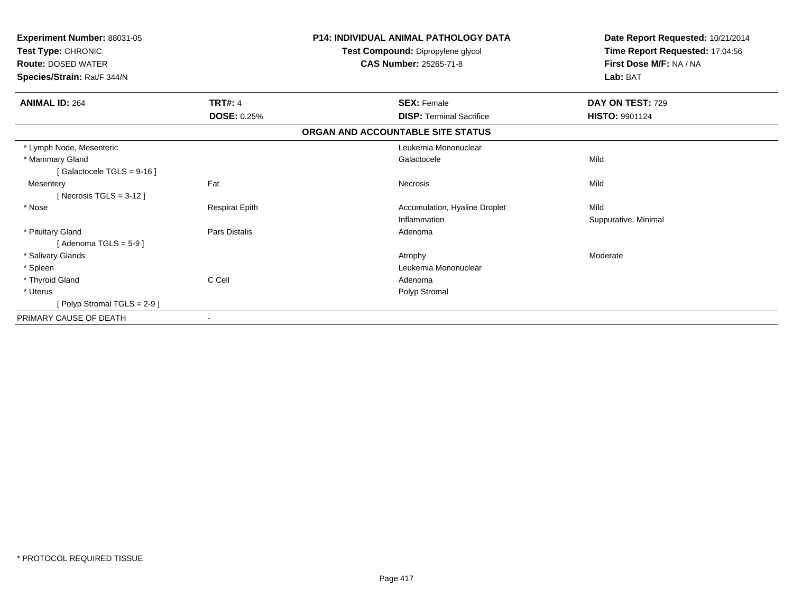| Experiment Number: 88031-05<br>Test Type: CHRONIC<br><b>Route: DOSED WATER</b><br>Species/Strain: Rat/F 344/N |                          | <b>P14: INDIVIDUAL ANIMAL PATHOLOGY DATA</b><br>Test Compound: Dipropylene glycol<br><b>CAS Number: 25265-71-8</b> | Date Report Requested: 10/21/2014<br>Time Report Requested: 17:04:56<br>First Dose M/F: NA / NA<br>Lab: BAT |
|---------------------------------------------------------------------------------------------------------------|--------------------------|--------------------------------------------------------------------------------------------------------------------|-------------------------------------------------------------------------------------------------------------|
| <b>ANIMAL ID: 264</b>                                                                                         | <b>TRT#: 4</b>           | <b>SEX: Female</b>                                                                                                 | DAY ON TEST: 729                                                                                            |
|                                                                                                               | <b>DOSE: 0.25%</b>       | <b>DISP: Terminal Sacrifice</b>                                                                                    | <b>HISTO: 9901124</b>                                                                                       |
|                                                                                                               |                          | ORGAN AND ACCOUNTABLE SITE STATUS                                                                                  |                                                                                                             |
| * Lymph Node, Mesenteric                                                                                      |                          | Leukemia Mononuclear                                                                                               |                                                                                                             |
| * Mammary Gland                                                                                               |                          | Galactocele                                                                                                        | Mild                                                                                                        |
| [Galactocele TGLS = $9-16$ ]                                                                                  |                          |                                                                                                                    |                                                                                                             |
| Mesentery                                                                                                     | Fat                      | Necrosis                                                                                                           | Mild                                                                                                        |
| [ Necrosis TGLS = $3-12$ ]                                                                                    |                          |                                                                                                                    |                                                                                                             |
| * Nose                                                                                                        | <b>Respirat Epith</b>    | Accumulation, Hyaline Droplet                                                                                      | Mild                                                                                                        |
|                                                                                                               |                          | Inflammation                                                                                                       | Suppurative, Minimal                                                                                        |
| * Pituitary Gland                                                                                             | <b>Pars Distalis</b>     | Adenoma                                                                                                            |                                                                                                             |
| [Adenoma TGLS = $5-9$ ]                                                                                       |                          |                                                                                                                    |                                                                                                             |
| * Salivary Glands                                                                                             |                          | Atrophy                                                                                                            | Moderate                                                                                                    |
| * Spleen                                                                                                      |                          | Leukemia Mononuclear                                                                                               |                                                                                                             |
| * Thyroid Gland                                                                                               | C Cell                   | Adenoma                                                                                                            |                                                                                                             |
| * Uterus                                                                                                      |                          | Polyp Stromal                                                                                                      |                                                                                                             |
| [ Polyp Stromal TGLS = $2-9$ ]                                                                                |                          |                                                                                                                    |                                                                                                             |
| PRIMARY CAUSE OF DEATH                                                                                        | $\overline{\phantom{a}}$ |                                                                                                                    |                                                                                                             |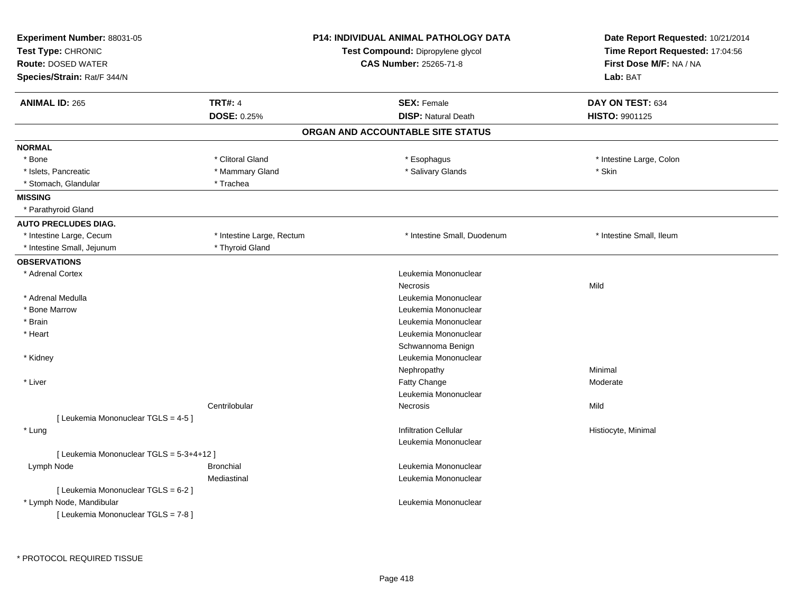| Experiment Number: 88031-05<br>Test Type: CHRONIC<br><b>Route: DOSED WATER</b><br>Species/Strain: Rat/F 344/N |                               | <b>P14: INDIVIDUAL ANIMAL PATHOLOGY DATA</b><br>Test Compound: Dipropylene glycol<br><b>CAS Number: 25265-71-8</b> | Date Report Requested: 10/21/2014<br>Time Report Requested: 17:04:56<br>First Dose M/F: NA / NA<br>Lab: BAT |
|---------------------------------------------------------------------------------------------------------------|-------------------------------|--------------------------------------------------------------------------------------------------------------------|-------------------------------------------------------------------------------------------------------------|
| <b>ANIMAL ID: 265</b>                                                                                         | <b>TRT#: 4</b><br>DOSE: 0.25% | <b>SEX: Female</b><br><b>DISP: Natural Death</b>                                                                   | DAY ON TEST: 634<br>HISTO: 9901125                                                                          |
|                                                                                                               |                               | ORGAN AND ACCOUNTABLE SITE STATUS                                                                                  |                                                                                                             |
| <b>NORMAL</b>                                                                                                 |                               |                                                                                                                    |                                                                                                             |
| * Bone                                                                                                        | * Clitoral Gland              | * Esophagus                                                                                                        | * Intestine Large, Colon                                                                                    |
| * Islets, Pancreatic                                                                                          | * Mammary Gland               | * Salivary Glands                                                                                                  | * Skin                                                                                                      |
| * Stomach, Glandular                                                                                          | * Trachea                     |                                                                                                                    |                                                                                                             |
| <b>MISSING</b>                                                                                                |                               |                                                                                                                    |                                                                                                             |
| * Parathyroid Gland                                                                                           |                               |                                                                                                                    |                                                                                                             |
| <b>AUTO PRECLUDES DIAG.</b>                                                                                   |                               |                                                                                                                    |                                                                                                             |
| * Intestine Large, Cecum                                                                                      | * Intestine Large, Rectum     | * Intestine Small, Duodenum                                                                                        | * Intestine Small, Ileum                                                                                    |
| * Intestine Small, Jejunum                                                                                    | * Thyroid Gland               |                                                                                                                    |                                                                                                             |
| <b>OBSERVATIONS</b>                                                                                           |                               |                                                                                                                    |                                                                                                             |
| * Adrenal Cortex                                                                                              |                               | Leukemia Mononuclear                                                                                               |                                                                                                             |
|                                                                                                               |                               | <b>Necrosis</b>                                                                                                    | Mild                                                                                                        |
| * Adrenal Medulla                                                                                             |                               | Leukemia Mononuclear                                                                                               |                                                                                                             |
| * Bone Marrow                                                                                                 |                               | Leukemia Mononuclear                                                                                               |                                                                                                             |
| * Brain                                                                                                       |                               | Leukemia Mononuclear                                                                                               |                                                                                                             |
| * Heart                                                                                                       |                               | Leukemia Mononuclear                                                                                               |                                                                                                             |
|                                                                                                               |                               | Schwannoma Benign                                                                                                  |                                                                                                             |
| * Kidney                                                                                                      |                               | Leukemia Mononuclear                                                                                               |                                                                                                             |
|                                                                                                               |                               | Nephropathy                                                                                                        | Minimal                                                                                                     |
| * Liver                                                                                                       |                               | <b>Fatty Change</b>                                                                                                | Moderate                                                                                                    |
|                                                                                                               |                               | Leukemia Mononuclear                                                                                               |                                                                                                             |
|                                                                                                               | Centrilobular                 | Necrosis                                                                                                           | Mild                                                                                                        |
| [ Leukemia Mononuclear TGLS = 4-5 ]                                                                           |                               |                                                                                                                    |                                                                                                             |
| * Lung                                                                                                        |                               | <b>Infiltration Cellular</b>                                                                                       | Histiocyte, Minimal                                                                                         |
|                                                                                                               |                               | Leukemia Mononuclear                                                                                               |                                                                                                             |
| [ Leukemia Mononuclear TGLS = 5-3+4+12 ]                                                                      |                               |                                                                                                                    |                                                                                                             |
| Lymph Node                                                                                                    | <b>Bronchial</b>              | Leukemia Mononuclear                                                                                               |                                                                                                             |
|                                                                                                               | Mediastinal                   | Leukemia Mononuclear                                                                                               |                                                                                                             |
| [ Leukemia Mononuclear TGLS = 6-2 ]                                                                           |                               |                                                                                                                    |                                                                                                             |
| * Lymph Node, Mandibular<br>[ Leukemia Mononuclear TGLS = 7-8 ]                                               |                               | Leukemia Mononuclear                                                                                               |                                                                                                             |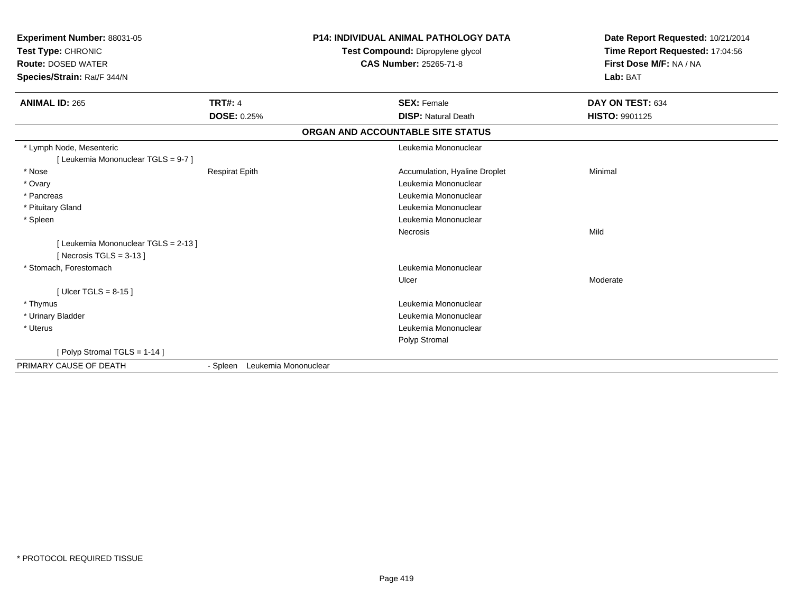| Experiment Number: 88031-05<br>Test Type: CHRONIC<br><b>Route: DOSED WATER</b><br>Species/Strain: Rat/F 344/N |                                  | <b>P14: INDIVIDUAL ANIMAL PATHOLOGY DATA</b><br>Test Compound: Dipropylene glycol<br><b>CAS Number: 25265-71-8</b> | Date Report Requested: 10/21/2014<br>Time Report Requested: 17:04:56<br>First Dose M/F: NA / NA<br>Lab: BAT |
|---------------------------------------------------------------------------------------------------------------|----------------------------------|--------------------------------------------------------------------------------------------------------------------|-------------------------------------------------------------------------------------------------------------|
| <b>ANIMAL ID: 265</b>                                                                                         | <b>TRT#: 4</b>                   | <b>SEX: Female</b>                                                                                                 | DAY ON TEST: 634                                                                                            |
|                                                                                                               | <b>DOSE: 0.25%</b>               | <b>DISP: Natural Death</b>                                                                                         | <b>HISTO: 9901125</b>                                                                                       |
|                                                                                                               |                                  | ORGAN AND ACCOUNTABLE SITE STATUS                                                                                  |                                                                                                             |
| * Lymph Node, Mesenteric                                                                                      |                                  | Leukemia Mononuclear                                                                                               |                                                                                                             |
| [Leukemia Mononuclear TGLS = 9-7]                                                                             |                                  |                                                                                                                    |                                                                                                             |
| * Nose                                                                                                        | <b>Respirat Epith</b>            | Accumulation, Hyaline Droplet                                                                                      | Minimal                                                                                                     |
| * Ovary                                                                                                       |                                  | Leukemia Mononuclear                                                                                               |                                                                                                             |
| * Pancreas                                                                                                    |                                  | Leukemia Mononuclear                                                                                               |                                                                                                             |
| * Pituitary Gland                                                                                             |                                  | Leukemia Mononuclear                                                                                               |                                                                                                             |
| * Spleen                                                                                                      |                                  | Leukemia Mononuclear                                                                                               |                                                                                                             |
|                                                                                                               |                                  | Necrosis                                                                                                           | Mild                                                                                                        |
| [Leukemia Mononuclear TGLS = 2-13]<br>[ Necrosis TGLS = $3-13$ ]                                              |                                  |                                                                                                                    |                                                                                                             |
| * Stomach, Forestomach                                                                                        |                                  | Leukemia Mononuclear                                                                                               |                                                                                                             |
|                                                                                                               |                                  | Ulcer                                                                                                              | Moderate                                                                                                    |
| [ Ulcer TGLS = $8-15$ ]                                                                                       |                                  |                                                                                                                    |                                                                                                             |
| * Thymus                                                                                                      |                                  | Leukemia Mononuclear                                                                                               |                                                                                                             |
| * Urinary Bladder                                                                                             |                                  | Leukemia Mononuclear                                                                                               |                                                                                                             |
| * Uterus                                                                                                      |                                  | Leukemia Mononuclear                                                                                               |                                                                                                             |
|                                                                                                               |                                  | Polyp Stromal                                                                                                      |                                                                                                             |
| [Polyp Stromal TGLS = 1-14]                                                                                   |                                  |                                                                                                                    |                                                                                                             |
| PRIMARY CAUSE OF DEATH                                                                                        | Leukemia Mononuclear<br>- Spleen |                                                                                                                    |                                                                                                             |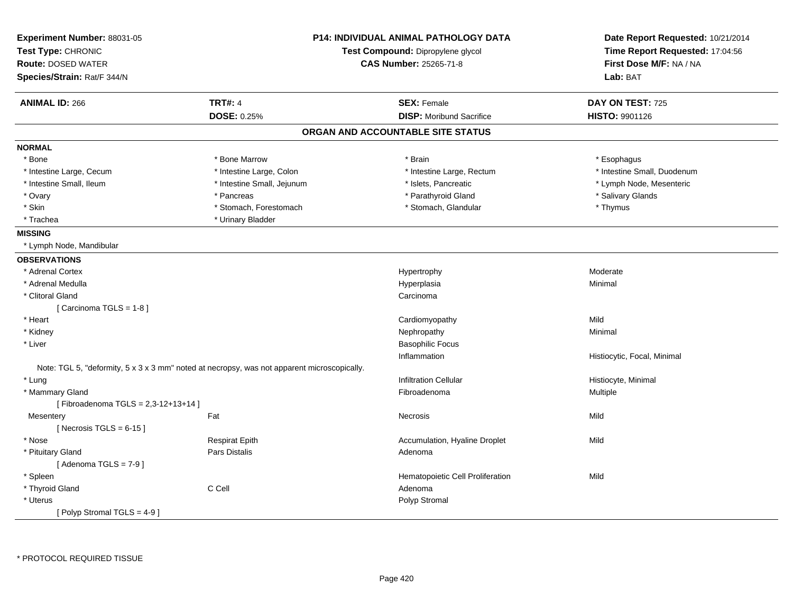| Experiment Number: 88031-05<br>Test Type: CHRONIC<br><b>Route: DOSED WATER</b> |                                                                                             | <b>P14: INDIVIDUAL ANIMAL PATHOLOGY DATA</b><br>Test Compound: Dipropylene glycol<br><b>CAS Number: 25265-71-8</b> | Date Report Requested: 10/21/2014<br>Time Report Requested: 17:04:56<br>First Dose M/F: NA / NA |
|--------------------------------------------------------------------------------|---------------------------------------------------------------------------------------------|--------------------------------------------------------------------------------------------------------------------|-------------------------------------------------------------------------------------------------|
| Species/Strain: Rat/F 344/N                                                    |                                                                                             |                                                                                                                    | Lab: BAT                                                                                        |
| <b>ANIMAL ID: 266</b>                                                          | <b>TRT#: 4</b>                                                                              | <b>SEX: Female</b>                                                                                                 | DAY ON TEST: 725                                                                                |
|                                                                                | <b>DOSE: 0.25%</b>                                                                          | <b>DISP:</b> Moribund Sacrifice                                                                                    | HISTO: 9901126                                                                                  |
|                                                                                |                                                                                             | ORGAN AND ACCOUNTABLE SITE STATUS                                                                                  |                                                                                                 |
| <b>NORMAL</b>                                                                  |                                                                                             |                                                                                                                    |                                                                                                 |
| * Bone                                                                         | * Bone Marrow                                                                               | * Brain                                                                                                            | * Esophagus                                                                                     |
| * Intestine Large, Cecum                                                       | * Intestine Large, Colon                                                                    | * Intestine Large, Rectum                                                                                          | * Intestine Small, Duodenum                                                                     |
| * Intestine Small, Ileum                                                       | * Intestine Small, Jejunum                                                                  | * Islets, Pancreatic                                                                                               | * Lymph Node, Mesenteric                                                                        |
| * Ovary                                                                        | * Pancreas                                                                                  | * Parathyroid Gland                                                                                                | * Salivary Glands                                                                               |
| * Skin                                                                         | * Stomach, Forestomach                                                                      | * Stomach, Glandular                                                                                               | * Thymus                                                                                        |
| * Trachea                                                                      | * Urinary Bladder                                                                           |                                                                                                                    |                                                                                                 |
| <b>MISSING</b>                                                                 |                                                                                             |                                                                                                                    |                                                                                                 |
| * Lymph Node, Mandibular                                                       |                                                                                             |                                                                                                                    |                                                                                                 |
| <b>OBSERVATIONS</b>                                                            |                                                                                             |                                                                                                                    |                                                                                                 |
| * Adrenal Cortex                                                               |                                                                                             | Hypertrophy                                                                                                        | Moderate                                                                                        |
| * Adrenal Medulla                                                              |                                                                                             | Hyperplasia                                                                                                        | Minimal                                                                                         |
| * Clitoral Gland                                                               |                                                                                             | Carcinoma                                                                                                          |                                                                                                 |
| [Carcinoma TGLS = 1-8]                                                         |                                                                                             |                                                                                                                    |                                                                                                 |
| * Heart                                                                        |                                                                                             | Cardiomyopathy                                                                                                     | Mild                                                                                            |
| * Kidney                                                                       |                                                                                             | Nephropathy                                                                                                        | Minimal                                                                                         |
| * Liver                                                                        |                                                                                             | <b>Basophilic Focus</b>                                                                                            |                                                                                                 |
|                                                                                |                                                                                             | Inflammation                                                                                                       | Histiocytic, Focal, Minimal                                                                     |
|                                                                                | Note: TGL 5, "deformity, 5 x 3 x 3 mm" noted at necropsy, was not apparent microscopically. |                                                                                                                    |                                                                                                 |
| * Lung                                                                         |                                                                                             | <b>Infiltration Cellular</b>                                                                                       | Histiocyte, Minimal                                                                             |
| * Mammary Gland                                                                |                                                                                             | Fibroadenoma                                                                                                       | Multiple                                                                                        |
| [Fibroadenoma TGLS = 2,3-12+13+14]                                             |                                                                                             |                                                                                                                    |                                                                                                 |
| Mesentery                                                                      | Fat                                                                                         | Necrosis                                                                                                           | Mild                                                                                            |
| [Necrosis TGLS = $6-15$ ]                                                      |                                                                                             |                                                                                                                    |                                                                                                 |
| * Nose                                                                         | <b>Respirat Epith</b>                                                                       | Accumulation, Hyaline Droplet                                                                                      | Mild                                                                                            |
| * Pituitary Gland                                                              | Pars Distalis                                                                               | Adenoma                                                                                                            |                                                                                                 |
| [Adenoma TGLS = $7-9$ ]                                                        |                                                                                             |                                                                                                                    |                                                                                                 |
| * Spleen                                                                       |                                                                                             | Hematopoietic Cell Proliferation                                                                                   | Mild                                                                                            |
| * Thyroid Gland                                                                | C Cell                                                                                      | Adenoma                                                                                                            |                                                                                                 |
| * Uterus                                                                       |                                                                                             | Polyp Stromal                                                                                                      |                                                                                                 |
| [ Polyp Stromal TGLS = $4-9$ ]                                                 |                                                                                             |                                                                                                                    |                                                                                                 |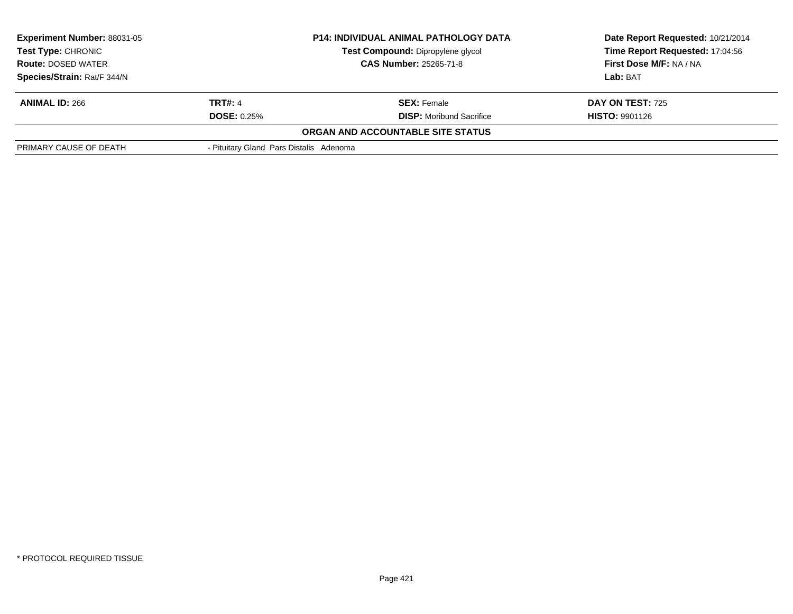| <b>Experiment Number: 88031-05</b><br>Test Type: CHRONIC<br><b>Route: DOSED WATER</b><br>Species/Strain: Rat/F 344/N | <b>P14: INDIVIDUAL ANIMAL PATHOLOGY DATA</b><br>Test Compound: Dipropylene glycol<br><b>CAS Number: 25265-71-8</b> |                                                       | Date Report Requested: 10/21/2014<br>Time Report Requested: 17:04:56<br>First Dose M/F: NA / NA<br>Lab: BAT |
|----------------------------------------------------------------------------------------------------------------------|--------------------------------------------------------------------------------------------------------------------|-------------------------------------------------------|-------------------------------------------------------------------------------------------------------------|
| <b>ANIMAL ID: 266</b>                                                                                                | <b>TRT#: 4</b><br><b>DOSE: 0.25%</b>                                                                               | <b>SEX:</b> Female<br><b>DISP:</b> Moribund Sacrifice | <b>DAY ON TEST: 725</b><br><b>HISTO: 9901126</b>                                                            |
|                                                                                                                      |                                                                                                                    | <b>ORGAN AND ACCOUNTABLE SITE STATUS</b>              |                                                                                                             |
| PRIMARY CAUSE OF DEATH                                                                                               | - Pituitary Gland Pars Distalis Adenoma                                                                            |                                                       |                                                                                                             |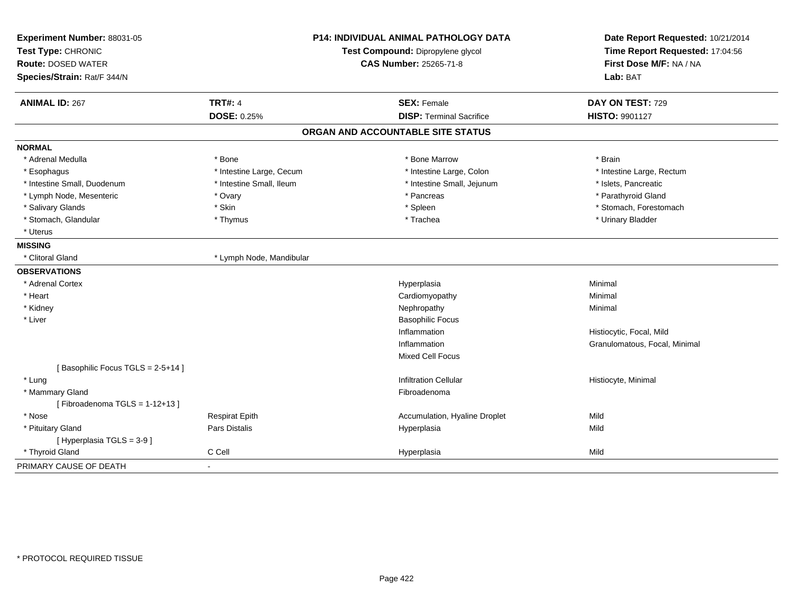| Experiment Number: 88031-05<br>Test Type: CHRONIC |                          | <b>P14: INDIVIDUAL ANIMAL PATHOLOGY DATA</b><br>Test Compound: Dipropylene glycol | Date Report Requested: 10/21/2014<br>Time Report Requested: 17:04:56 |
|---------------------------------------------------|--------------------------|-----------------------------------------------------------------------------------|----------------------------------------------------------------------|
| <b>Route: DOSED WATER</b>                         |                          | <b>CAS Number: 25265-71-8</b>                                                     | First Dose M/F: NA / NA                                              |
| Species/Strain: Rat/F 344/N                       |                          |                                                                                   | Lab: BAT                                                             |
| <b>ANIMAL ID: 267</b>                             | <b>TRT#: 4</b>           | <b>SEX: Female</b>                                                                | DAY ON TEST: 729                                                     |
|                                                   | <b>DOSE: 0.25%</b>       | <b>DISP: Terminal Sacrifice</b>                                                   | HISTO: 9901127                                                       |
|                                                   |                          | ORGAN AND ACCOUNTABLE SITE STATUS                                                 |                                                                      |
| <b>NORMAL</b>                                     |                          |                                                                                   |                                                                      |
| * Adrenal Medulla                                 | * Bone                   | * Bone Marrow                                                                     | * Brain                                                              |
| * Esophagus                                       | * Intestine Large, Cecum | * Intestine Large, Colon                                                          | * Intestine Large, Rectum                                            |
| * Intestine Small, Duodenum                       | * Intestine Small, Ileum | * Intestine Small, Jejunum                                                        | * Islets, Pancreatic                                                 |
| * Lymph Node, Mesenteric                          | * Ovary                  | * Pancreas                                                                        | * Parathyroid Gland                                                  |
| * Salivary Glands                                 | * Skin                   | * Spleen                                                                          | * Stomach, Forestomach                                               |
| * Stomach, Glandular                              | * Thymus                 | * Trachea                                                                         | * Urinary Bladder                                                    |
| * Uterus                                          |                          |                                                                                   |                                                                      |
| <b>MISSING</b>                                    |                          |                                                                                   |                                                                      |
| * Clitoral Gland                                  | * Lymph Node, Mandibular |                                                                                   |                                                                      |
| <b>OBSERVATIONS</b>                               |                          |                                                                                   |                                                                      |
| * Adrenal Cortex                                  |                          | Hyperplasia                                                                       | Minimal                                                              |
| * Heart                                           |                          | Cardiomyopathy                                                                    | Minimal                                                              |
| * Kidney                                          |                          | Nephropathy                                                                       | Minimal                                                              |
| * Liver                                           |                          | <b>Basophilic Focus</b>                                                           |                                                                      |
|                                                   |                          | Inflammation                                                                      | Histiocytic, Focal, Mild                                             |
|                                                   |                          | Inflammation                                                                      | Granulomatous, Focal, Minimal                                        |
|                                                   |                          | Mixed Cell Focus                                                                  |                                                                      |
| [Basophilic Focus TGLS = 2-5+14]                  |                          |                                                                                   |                                                                      |
| * Lung                                            |                          | <b>Infiltration Cellular</b>                                                      | Histiocyte, Minimal                                                  |
| * Mammary Gland                                   |                          | Fibroadenoma                                                                      |                                                                      |
| [Fibroadenoma TGLS = $1-12+13$ ]                  |                          |                                                                                   |                                                                      |
| * Nose                                            | <b>Respirat Epith</b>    | Accumulation, Hyaline Droplet                                                     | Mild                                                                 |
| * Pituitary Gland                                 | Pars Distalis            | Hyperplasia                                                                       | Mild                                                                 |
| [Hyperplasia TGLS = 3-9]                          |                          |                                                                                   |                                                                      |
| * Thyroid Gland                                   | C Cell                   | Hyperplasia                                                                       | Mild                                                                 |
| PRIMARY CAUSE OF DEATH                            | ÷.                       |                                                                                   |                                                                      |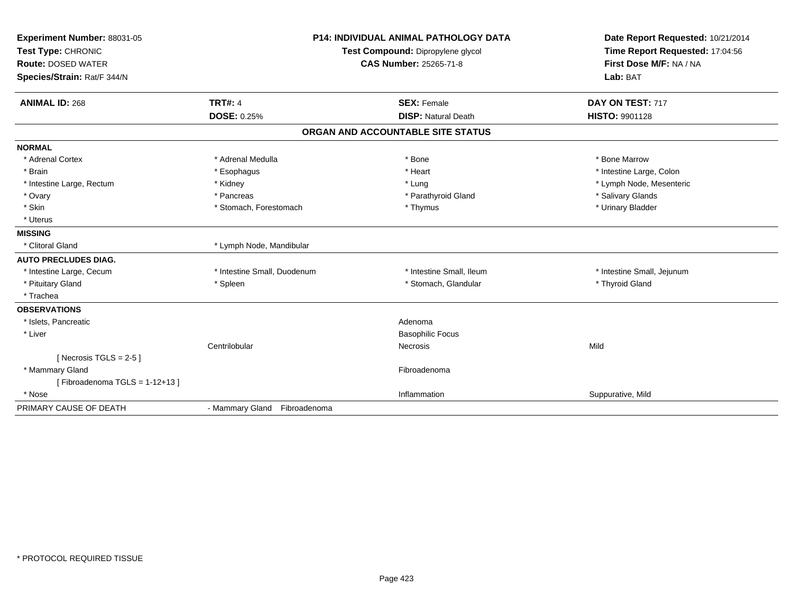| Experiment Number: 88031-05<br>Test Type: CHRONIC<br><b>Route: DOSED WATER</b><br>Species/Strain: Rat/F 344/N<br><b>ANIMAL ID: 268</b> | <b>P14: INDIVIDUAL ANIMAL PATHOLOGY DATA</b><br>Test Compound: Dipropylene glycol<br><b>CAS Number: 25265-71-8</b><br><b>TRT#: 4</b><br><b>SEX: Female</b><br><b>DOSE: 0.25%</b><br><b>DISP: Natural Death</b> |                                   | Date Report Requested: 10/21/2014<br>Time Report Requested: 17:04:56<br>First Dose M/F: NA / NA<br>Lab: BAT<br>DAY ON TEST: 717<br><b>HISTO: 9901128</b> |
|----------------------------------------------------------------------------------------------------------------------------------------|----------------------------------------------------------------------------------------------------------------------------------------------------------------------------------------------------------------|-----------------------------------|----------------------------------------------------------------------------------------------------------------------------------------------------------|
|                                                                                                                                        |                                                                                                                                                                                                                | ORGAN AND ACCOUNTABLE SITE STATUS |                                                                                                                                                          |
| <b>NORMAL</b>                                                                                                                          |                                                                                                                                                                                                                |                                   |                                                                                                                                                          |
| * Adrenal Cortex                                                                                                                       | * Adrenal Medulla                                                                                                                                                                                              | * Bone                            | * Bone Marrow                                                                                                                                            |
| * Brain                                                                                                                                | * Esophagus                                                                                                                                                                                                    | * Heart                           | * Intestine Large, Colon                                                                                                                                 |
| * Intestine Large, Rectum                                                                                                              | * Kidney                                                                                                                                                                                                       | * Lung                            | * Lymph Node, Mesenteric                                                                                                                                 |
| * Ovary                                                                                                                                | * Pancreas                                                                                                                                                                                                     | * Parathyroid Gland               | * Salivary Glands                                                                                                                                        |
| * Skin                                                                                                                                 | * Stomach, Forestomach                                                                                                                                                                                         | * Thymus                          | * Urinary Bladder                                                                                                                                        |
| * Uterus                                                                                                                               |                                                                                                                                                                                                                |                                   |                                                                                                                                                          |
| <b>MISSING</b>                                                                                                                         |                                                                                                                                                                                                                |                                   |                                                                                                                                                          |
| * Clitoral Gland                                                                                                                       | * Lymph Node, Mandibular                                                                                                                                                                                       |                                   |                                                                                                                                                          |
| <b>AUTO PRECLUDES DIAG.</b>                                                                                                            |                                                                                                                                                                                                                |                                   |                                                                                                                                                          |
| * Intestine Large, Cecum                                                                                                               | * Intestine Small, Duodenum                                                                                                                                                                                    | * Intestine Small, Ileum          | * Intestine Small, Jejunum                                                                                                                               |
| * Pituitary Gland                                                                                                                      | * Spleen                                                                                                                                                                                                       | * Stomach, Glandular              | * Thyroid Gland                                                                                                                                          |
| * Trachea                                                                                                                              |                                                                                                                                                                                                                |                                   |                                                                                                                                                          |
| <b>OBSERVATIONS</b>                                                                                                                    |                                                                                                                                                                                                                |                                   |                                                                                                                                                          |
| * Islets, Pancreatic                                                                                                                   |                                                                                                                                                                                                                | Adenoma                           |                                                                                                                                                          |
| * Liver                                                                                                                                |                                                                                                                                                                                                                | <b>Basophilic Focus</b>           |                                                                                                                                                          |
|                                                                                                                                        | Centrilobular                                                                                                                                                                                                  | Necrosis                          | Mild                                                                                                                                                     |
| [Necrosis TGLS = $2-5$ ]                                                                                                               |                                                                                                                                                                                                                |                                   |                                                                                                                                                          |
| * Mammary Gland                                                                                                                        |                                                                                                                                                                                                                | Fibroadenoma                      |                                                                                                                                                          |
| [Fibroadenoma TGLS = $1-12+13$ ]                                                                                                       |                                                                                                                                                                                                                |                                   |                                                                                                                                                          |
| * Nose                                                                                                                                 |                                                                                                                                                                                                                | Inflammation                      | Suppurative, Mild                                                                                                                                        |
| PRIMARY CAUSE OF DEATH                                                                                                                 | - Mammary Gland Fibroadenoma                                                                                                                                                                                   |                                   |                                                                                                                                                          |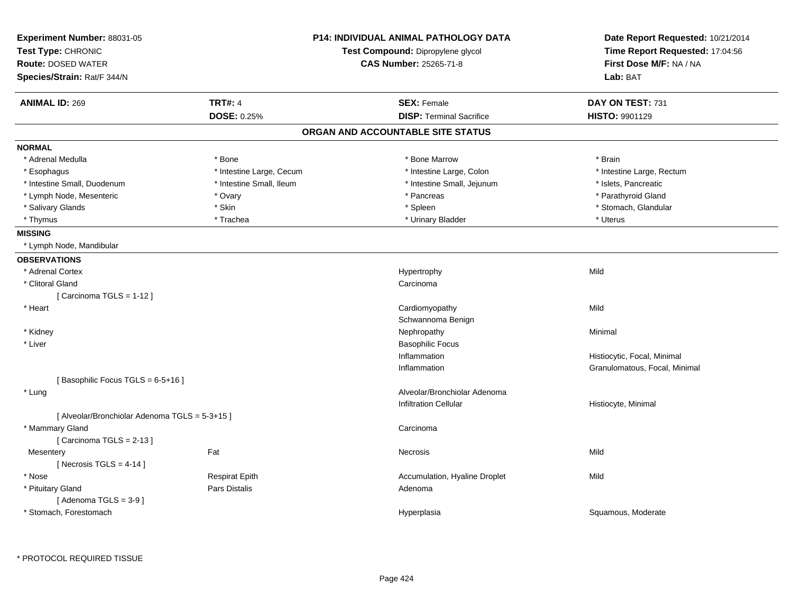| Experiment Number: 88031-05<br>Test Type: CHRONIC<br><b>Route: DOSED WATER</b><br>Species/Strain: Rat/F 344/N |                          | <b>P14: INDIVIDUAL ANIMAL PATHOLOGY DATA</b><br>Test Compound: Dipropylene glycol<br><b>CAS Number: 25265-71-8</b> | Date Report Requested: 10/21/2014<br>Time Report Requested: 17:04:56<br>First Dose M/F: NA / NA<br>Lab: BAT |
|---------------------------------------------------------------------------------------------------------------|--------------------------|--------------------------------------------------------------------------------------------------------------------|-------------------------------------------------------------------------------------------------------------|
| <b>ANIMAL ID: 269</b>                                                                                         | <b>TRT#: 4</b>           | <b>SEX: Female</b>                                                                                                 | DAY ON TEST: 731                                                                                            |
|                                                                                                               | <b>DOSE: 0.25%</b>       | <b>DISP: Terminal Sacrifice</b>                                                                                    | HISTO: 9901129                                                                                              |
|                                                                                                               |                          | ORGAN AND ACCOUNTABLE SITE STATUS                                                                                  |                                                                                                             |
| <b>NORMAL</b>                                                                                                 |                          |                                                                                                                    |                                                                                                             |
| * Adrenal Medulla                                                                                             | * Bone                   | * Bone Marrow                                                                                                      | * Brain                                                                                                     |
| * Esophagus                                                                                                   | * Intestine Large, Cecum | * Intestine Large, Colon                                                                                           | * Intestine Large, Rectum                                                                                   |
| * Intestine Small, Duodenum                                                                                   | * Intestine Small, Ileum | * Intestine Small, Jejunum                                                                                         | * Islets, Pancreatic                                                                                        |
| * Lymph Node, Mesenteric                                                                                      | * Ovary                  | * Pancreas                                                                                                         | * Parathyroid Gland                                                                                         |
| * Salivary Glands                                                                                             | * Skin                   | * Spleen                                                                                                           | * Stomach, Glandular                                                                                        |
| * Thymus                                                                                                      | * Trachea                | * Urinary Bladder                                                                                                  | * Uterus                                                                                                    |
| <b>MISSING</b>                                                                                                |                          |                                                                                                                    |                                                                                                             |
| * Lymph Node, Mandibular                                                                                      |                          |                                                                                                                    |                                                                                                             |
| <b>OBSERVATIONS</b>                                                                                           |                          |                                                                                                                    |                                                                                                             |
| * Adrenal Cortex                                                                                              |                          | Hypertrophy                                                                                                        | Mild                                                                                                        |
| * Clitoral Gland                                                                                              |                          | Carcinoma                                                                                                          |                                                                                                             |
| [Carcinoma TGLS = 1-12]                                                                                       |                          |                                                                                                                    |                                                                                                             |
| * Heart                                                                                                       |                          | Cardiomyopathy                                                                                                     | Mild                                                                                                        |
|                                                                                                               |                          | Schwannoma Benign                                                                                                  |                                                                                                             |
| * Kidney                                                                                                      |                          | Nephropathy                                                                                                        | Minimal                                                                                                     |
| * Liver                                                                                                       |                          | <b>Basophilic Focus</b>                                                                                            |                                                                                                             |
|                                                                                                               |                          | Inflammation                                                                                                       | Histiocytic, Focal, Minimal                                                                                 |
|                                                                                                               |                          | Inflammation                                                                                                       | Granulomatous, Focal, Minimal                                                                               |
| [Basophilic Focus TGLS = 6-5+16]                                                                              |                          |                                                                                                                    |                                                                                                             |
| * Lung                                                                                                        |                          | Alveolar/Bronchiolar Adenoma                                                                                       |                                                                                                             |
|                                                                                                               |                          | <b>Infiltration Cellular</b>                                                                                       | Histiocyte, Minimal                                                                                         |
| [Alveolar/Bronchiolar Adenoma TGLS = 5-3+15]                                                                  |                          |                                                                                                                    |                                                                                                             |
| * Mammary Gland                                                                                               |                          | Carcinoma                                                                                                          |                                                                                                             |
| [Carcinoma TGLS = 2-13]                                                                                       |                          |                                                                                                                    |                                                                                                             |
| Mesentery                                                                                                     | Fat                      | Necrosis                                                                                                           | Mild                                                                                                        |
| [ Necrosis TGLS = $4-14$ ]                                                                                    |                          |                                                                                                                    |                                                                                                             |
| * Nose                                                                                                        | <b>Respirat Epith</b>    | Accumulation, Hyaline Droplet                                                                                      | Mild                                                                                                        |
| * Pituitary Gland                                                                                             | Pars Distalis            | Adenoma                                                                                                            |                                                                                                             |
| [Adenoma TGLS = $3-9$ ]                                                                                       |                          |                                                                                                                    |                                                                                                             |
| * Stomach, Forestomach                                                                                        |                          | Hyperplasia                                                                                                        | Squamous, Moderate                                                                                          |
|                                                                                                               |                          |                                                                                                                    |                                                                                                             |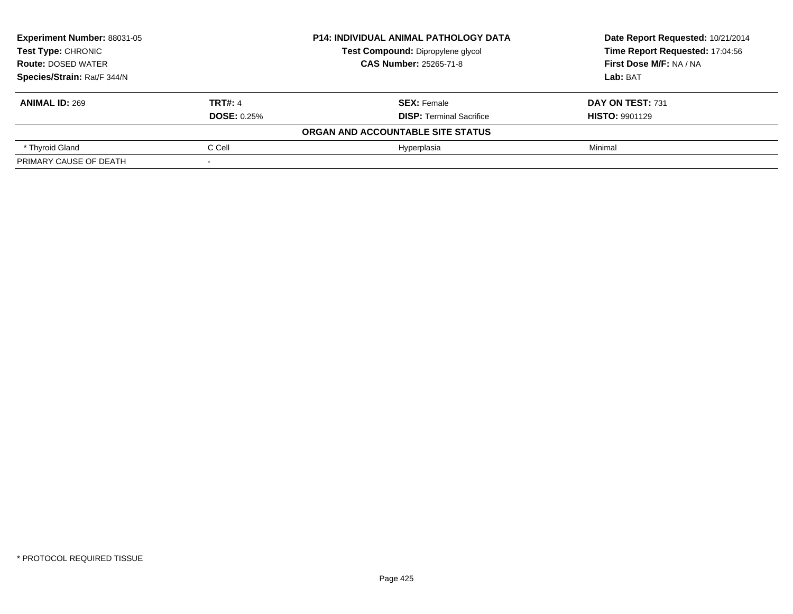| <b>Experiment Number: 88031-05</b><br><b>Test Type: CHRONIC</b> |                    | <b>P14: INDIVIDUAL ANIMAL PATHOLOGY DATA</b> | Date Report Requested: 10/21/2014 |
|-----------------------------------------------------------------|--------------------|----------------------------------------------|-----------------------------------|
|                                                                 |                    | Test Compound: Dipropylene glycol            | Time Report Requested: 17:04:56   |
| <b>Route: DOSED WATER</b>                                       |                    | <b>CAS Number: 25265-71-8</b>                | <b>First Dose M/F: NA / NA</b>    |
| Species/Strain: Rat/F 344/N                                     |                    |                                              | Lab: BAT                          |
| <b>ANIMAL ID: 269</b>                                           | <b>TRT#: 4</b>     | <b>SEX: Female</b>                           | DAY ON TEST: 731                  |
|                                                                 | <b>DOSE: 0.25%</b> | <b>DISP: Terminal Sacrifice</b>              | <b>HISTO: 9901129</b>             |
|                                                                 |                    | ORGAN AND ACCOUNTABLE SITE STATUS            |                                   |
| * Thyroid Gland                                                 | C Cell             | Hyperplasia                                  | Minimal                           |
| PRIMARY CAUSE OF DEATH                                          |                    |                                              |                                   |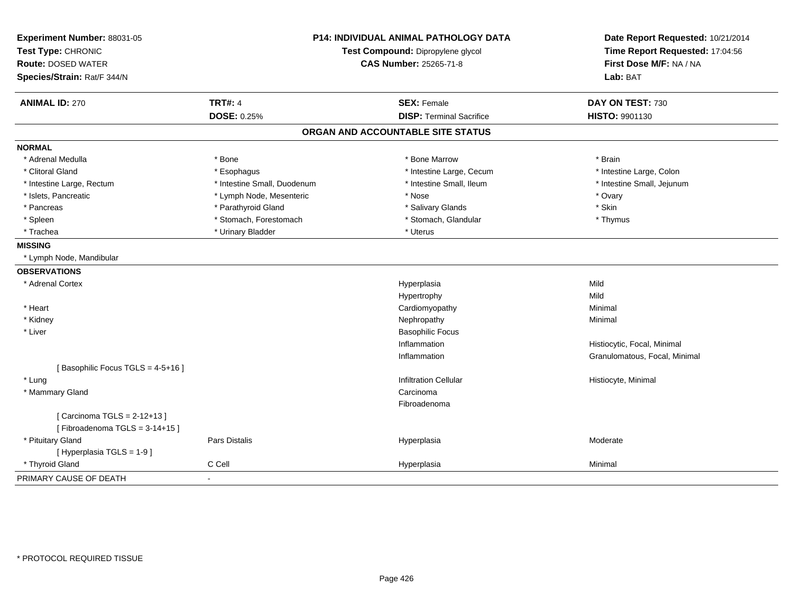| Experiment Number: 88031-05<br>Test Type: CHRONIC                |                             | P14: INDIVIDUAL ANIMAL PATHOLOGY DATA<br>Test Compound: Dipropylene glycol | Date Report Requested: 10/21/2014<br>Time Report Requested: 17:04:56 |
|------------------------------------------------------------------|-----------------------------|----------------------------------------------------------------------------|----------------------------------------------------------------------|
| <b>Route: DOSED WATER</b><br>Species/Strain: Rat/F 344/N         |                             | CAS Number: 25265-71-8                                                     | First Dose M/F: NA / NA<br>Lab: BAT                                  |
| <b>ANIMAL ID: 270</b>                                            | <b>TRT#: 4</b>              | <b>SEX: Female</b>                                                         | DAY ON TEST: 730                                                     |
|                                                                  | DOSE: 0.25%                 | <b>DISP: Terminal Sacrifice</b>                                            | HISTO: 9901130                                                       |
|                                                                  |                             | ORGAN AND ACCOUNTABLE SITE STATUS                                          |                                                                      |
| <b>NORMAL</b>                                                    |                             |                                                                            |                                                                      |
| * Adrenal Medulla                                                | * Bone                      | * Bone Marrow                                                              | * Brain                                                              |
| * Clitoral Gland                                                 | * Esophagus                 | * Intestine Large, Cecum                                                   | * Intestine Large, Colon                                             |
| * Intestine Large, Rectum                                        | * Intestine Small, Duodenum | * Intestine Small, Ileum                                                   | * Intestine Small, Jejunum                                           |
| * Islets, Pancreatic                                             | * Lymph Node, Mesenteric    | * Nose                                                                     | * Ovary                                                              |
| * Pancreas                                                       | * Parathyroid Gland         | * Salivary Glands                                                          | * Skin                                                               |
| * Spleen                                                         | * Stomach, Forestomach      | * Stomach, Glandular                                                       | * Thymus                                                             |
| * Trachea                                                        | * Urinary Bladder           | * Uterus                                                                   |                                                                      |
| <b>MISSING</b>                                                   |                             |                                                                            |                                                                      |
| * Lymph Node, Mandibular                                         |                             |                                                                            |                                                                      |
| <b>OBSERVATIONS</b>                                              |                             |                                                                            |                                                                      |
| * Adrenal Cortex                                                 |                             | Hyperplasia                                                                | Mild                                                                 |
|                                                                  |                             | Hypertrophy                                                                | Mild                                                                 |
| * Heart                                                          |                             | Cardiomyopathy                                                             | Minimal                                                              |
| * Kidney                                                         |                             | Nephropathy                                                                | Minimal                                                              |
| * Liver                                                          |                             | <b>Basophilic Focus</b>                                                    |                                                                      |
|                                                                  |                             | Inflammation                                                               | Histiocytic, Focal, Minimal                                          |
|                                                                  |                             | Inflammation                                                               | Granulomatous, Focal, Minimal                                        |
| [Basophilic Focus TGLS = 4-5+16]                                 |                             |                                                                            |                                                                      |
| * Lung                                                           |                             | <b>Infiltration Cellular</b>                                               | Histiocyte, Minimal                                                  |
| * Mammary Gland                                                  |                             | Carcinoma                                                                  |                                                                      |
|                                                                  |                             | Fibroadenoma                                                               |                                                                      |
| [ Carcinoma TGLS = 2-12+13 ]<br>[Fibroadenoma TGLS = $3-14+15$ ] |                             |                                                                            |                                                                      |
| * Pituitary Gland                                                | Pars Distalis               | Hyperplasia                                                                | Moderate                                                             |
| [ Hyperplasia TGLS = 1-9 ]                                       |                             |                                                                            |                                                                      |
| * Thyroid Gland                                                  | C Cell                      | Hyperplasia                                                                | Minimal                                                              |
| PRIMARY CAUSE OF DEATH                                           | $\sim$                      |                                                                            |                                                                      |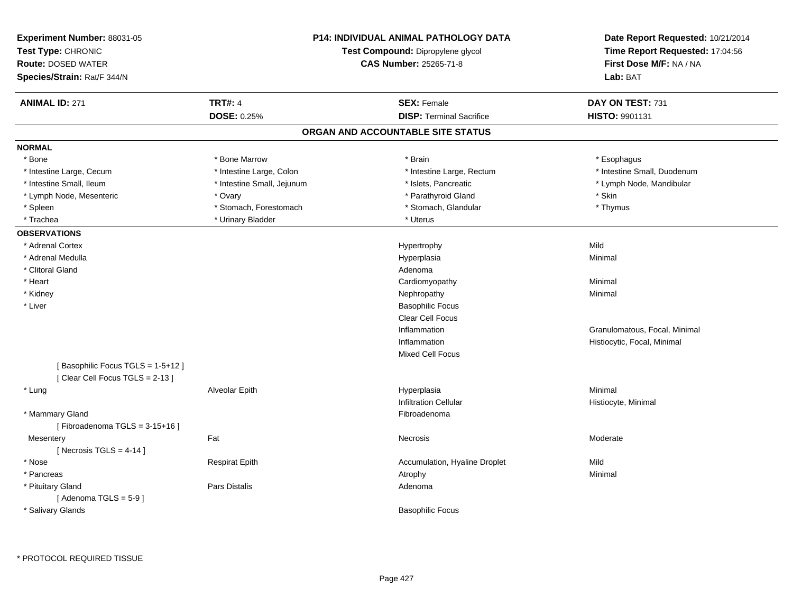| <b>TRT#: 4</b><br><b>SEX: Female</b><br>DAY ON TEST: 731<br><b>DISP: Terminal Sacrifice</b><br>DOSE: 0.25%<br>HISTO: 9901131<br>ORGAN AND ACCOUNTABLE SITE STATUS<br>* Bone Marrow<br>* Bone<br>* Brain<br>* Esophagus<br>* Intestine Large, Colon<br>* Intestine Small, Duodenum<br>* Intestine Large, Cecum<br>* Intestine Large, Rectum<br>* Intestine Small, Ileum<br>* Intestine Small, Jejunum<br>* Islets, Pancreatic<br>* Lymph Node, Mandibular<br>* Parathyroid Gland<br>* Skin<br>* Lymph Node, Mesenteric<br>* Ovary<br>* Stomach, Forestomach<br>* Stomach, Glandular<br>* Thymus<br>* Spleen<br>* Trachea<br>* Urinary Bladder<br>* Uterus<br>Mild<br>* Adrenal Cortex<br>Hypertrophy<br>* Adrenal Medulla<br>Hyperplasia<br>Minimal<br>* Clitoral Gland<br>Adenoma<br>* Heart<br>Cardiomyopathy<br>Minimal<br>* Kidney<br>Nephropathy<br>Minimal<br>* Liver<br><b>Basophilic Focus</b><br>Clear Cell Focus<br>Inflammation<br>Granulomatous, Focal, Minimal<br>Inflammation<br>Histiocytic, Focal, Minimal<br><b>Mixed Cell Focus</b><br>[Basophilic Focus TGLS = 1-5+12]<br>[Clear Cell Focus TGLS = 2-13]<br>* Lung<br>Alveolar Epith<br>Minimal<br>Hyperplasia<br><b>Infiltration Cellular</b><br>Histiocyte, Minimal<br>* Mammary Gland<br>Fibroadenoma<br>[Fibroadenoma TGLS = $3-15+16$ ]<br>Fat<br>Moderate<br>Mesentery<br>Necrosis<br>[Necrosis TGLS = $4-14$ ]<br>* Nose<br><b>Respirat Epith</b><br>Accumulation, Hyaline Droplet<br>Mild<br>* Pancreas<br>Atrophy<br>Minimal<br>Pars Distalis<br>* Pituitary Gland<br>Adenoma<br>[Adenoma TGLS = $5-9$ ] | Experiment Number: 88031-05<br>Test Type: CHRONIC<br><b>Route: DOSED WATER</b><br>Species/Strain: Rat/F 344/N |  | <b>P14: INDIVIDUAL ANIMAL PATHOLOGY DATA</b><br>Test Compound: Dipropylene glycol<br><b>CAS Number: 25265-71-8</b> | Date Report Requested: 10/21/2014<br>Time Report Requested: 17:04:56<br>First Dose M/F: NA / NA<br>Lab: BAT |
|-------------------------------------------------------------------------------------------------------------------------------------------------------------------------------------------------------------------------------------------------------------------------------------------------------------------------------------------------------------------------------------------------------------------------------------------------------------------------------------------------------------------------------------------------------------------------------------------------------------------------------------------------------------------------------------------------------------------------------------------------------------------------------------------------------------------------------------------------------------------------------------------------------------------------------------------------------------------------------------------------------------------------------------------------------------------------------------------------------------------------------------------------------------------------------------------------------------------------------------------------------------------------------------------------------------------------------------------------------------------------------------------------------------------------------------------------------------------------------------------------------------------------------------------------------------------------------------|---------------------------------------------------------------------------------------------------------------|--|--------------------------------------------------------------------------------------------------------------------|-------------------------------------------------------------------------------------------------------------|
|                                                                                                                                                                                                                                                                                                                                                                                                                                                                                                                                                                                                                                                                                                                                                                                                                                                                                                                                                                                                                                                                                                                                                                                                                                                                                                                                                                                                                                                                                                                                                                                     | <b>ANIMAL ID: 271</b>                                                                                         |  |                                                                                                                    |                                                                                                             |
|                                                                                                                                                                                                                                                                                                                                                                                                                                                                                                                                                                                                                                                                                                                                                                                                                                                                                                                                                                                                                                                                                                                                                                                                                                                                                                                                                                                                                                                                                                                                                                                     |                                                                                                               |  |                                                                                                                    |                                                                                                             |
|                                                                                                                                                                                                                                                                                                                                                                                                                                                                                                                                                                                                                                                                                                                                                                                                                                                                                                                                                                                                                                                                                                                                                                                                                                                                                                                                                                                                                                                                                                                                                                                     |                                                                                                               |  |                                                                                                                    |                                                                                                             |
|                                                                                                                                                                                                                                                                                                                                                                                                                                                                                                                                                                                                                                                                                                                                                                                                                                                                                                                                                                                                                                                                                                                                                                                                                                                                                                                                                                                                                                                                                                                                                                                     | <b>NORMAL</b>                                                                                                 |  |                                                                                                                    |                                                                                                             |
|                                                                                                                                                                                                                                                                                                                                                                                                                                                                                                                                                                                                                                                                                                                                                                                                                                                                                                                                                                                                                                                                                                                                                                                                                                                                                                                                                                                                                                                                                                                                                                                     |                                                                                                               |  |                                                                                                                    |                                                                                                             |
|                                                                                                                                                                                                                                                                                                                                                                                                                                                                                                                                                                                                                                                                                                                                                                                                                                                                                                                                                                                                                                                                                                                                                                                                                                                                                                                                                                                                                                                                                                                                                                                     |                                                                                                               |  |                                                                                                                    |                                                                                                             |
|                                                                                                                                                                                                                                                                                                                                                                                                                                                                                                                                                                                                                                                                                                                                                                                                                                                                                                                                                                                                                                                                                                                                                                                                                                                                                                                                                                                                                                                                                                                                                                                     |                                                                                                               |  |                                                                                                                    |                                                                                                             |
|                                                                                                                                                                                                                                                                                                                                                                                                                                                                                                                                                                                                                                                                                                                                                                                                                                                                                                                                                                                                                                                                                                                                                                                                                                                                                                                                                                                                                                                                                                                                                                                     |                                                                                                               |  |                                                                                                                    |                                                                                                             |
|                                                                                                                                                                                                                                                                                                                                                                                                                                                                                                                                                                                                                                                                                                                                                                                                                                                                                                                                                                                                                                                                                                                                                                                                                                                                                                                                                                                                                                                                                                                                                                                     |                                                                                                               |  |                                                                                                                    |                                                                                                             |
|                                                                                                                                                                                                                                                                                                                                                                                                                                                                                                                                                                                                                                                                                                                                                                                                                                                                                                                                                                                                                                                                                                                                                                                                                                                                                                                                                                                                                                                                                                                                                                                     |                                                                                                               |  |                                                                                                                    |                                                                                                             |
|                                                                                                                                                                                                                                                                                                                                                                                                                                                                                                                                                                                                                                                                                                                                                                                                                                                                                                                                                                                                                                                                                                                                                                                                                                                                                                                                                                                                                                                                                                                                                                                     | <b>OBSERVATIONS</b>                                                                                           |  |                                                                                                                    |                                                                                                             |
|                                                                                                                                                                                                                                                                                                                                                                                                                                                                                                                                                                                                                                                                                                                                                                                                                                                                                                                                                                                                                                                                                                                                                                                                                                                                                                                                                                                                                                                                                                                                                                                     |                                                                                                               |  |                                                                                                                    |                                                                                                             |
|                                                                                                                                                                                                                                                                                                                                                                                                                                                                                                                                                                                                                                                                                                                                                                                                                                                                                                                                                                                                                                                                                                                                                                                                                                                                                                                                                                                                                                                                                                                                                                                     |                                                                                                               |  |                                                                                                                    |                                                                                                             |
|                                                                                                                                                                                                                                                                                                                                                                                                                                                                                                                                                                                                                                                                                                                                                                                                                                                                                                                                                                                                                                                                                                                                                                                                                                                                                                                                                                                                                                                                                                                                                                                     |                                                                                                               |  |                                                                                                                    |                                                                                                             |
|                                                                                                                                                                                                                                                                                                                                                                                                                                                                                                                                                                                                                                                                                                                                                                                                                                                                                                                                                                                                                                                                                                                                                                                                                                                                                                                                                                                                                                                                                                                                                                                     |                                                                                                               |  |                                                                                                                    |                                                                                                             |
|                                                                                                                                                                                                                                                                                                                                                                                                                                                                                                                                                                                                                                                                                                                                                                                                                                                                                                                                                                                                                                                                                                                                                                                                                                                                                                                                                                                                                                                                                                                                                                                     |                                                                                                               |  |                                                                                                                    |                                                                                                             |
|                                                                                                                                                                                                                                                                                                                                                                                                                                                                                                                                                                                                                                                                                                                                                                                                                                                                                                                                                                                                                                                                                                                                                                                                                                                                                                                                                                                                                                                                                                                                                                                     |                                                                                                               |  |                                                                                                                    |                                                                                                             |
|                                                                                                                                                                                                                                                                                                                                                                                                                                                                                                                                                                                                                                                                                                                                                                                                                                                                                                                                                                                                                                                                                                                                                                                                                                                                                                                                                                                                                                                                                                                                                                                     |                                                                                                               |  |                                                                                                                    |                                                                                                             |
|                                                                                                                                                                                                                                                                                                                                                                                                                                                                                                                                                                                                                                                                                                                                                                                                                                                                                                                                                                                                                                                                                                                                                                                                                                                                                                                                                                                                                                                                                                                                                                                     |                                                                                                               |  |                                                                                                                    |                                                                                                             |
|                                                                                                                                                                                                                                                                                                                                                                                                                                                                                                                                                                                                                                                                                                                                                                                                                                                                                                                                                                                                                                                                                                                                                                                                                                                                                                                                                                                                                                                                                                                                                                                     |                                                                                                               |  |                                                                                                                    |                                                                                                             |
|                                                                                                                                                                                                                                                                                                                                                                                                                                                                                                                                                                                                                                                                                                                                                                                                                                                                                                                                                                                                                                                                                                                                                                                                                                                                                                                                                                                                                                                                                                                                                                                     |                                                                                                               |  |                                                                                                                    |                                                                                                             |
|                                                                                                                                                                                                                                                                                                                                                                                                                                                                                                                                                                                                                                                                                                                                                                                                                                                                                                                                                                                                                                                                                                                                                                                                                                                                                                                                                                                                                                                                                                                                                                                     |                                                                                                               |  |                                                                                                                    |                                                                                                             |
|                                                                                                                                                                                                                                                                                                                                                                                                                                                                                                                                                                                                                                                                                                                                                                                                                                                                                                                                                                                                                                                                                                                                                                                                                                                                                                                                                                                                                                                                                                                                                                                     |                                                                                                               |  |                                                                                                                    |                                                                                                             |
|                                                                                                                                                                                                                                                                                                                                                                                                                                                                                                                                                                                                                                                                                                                                                                                                                                                                                                                                                                                                                                                                                                                                                                                                                                                                                                                                                                                                                                                                                                                                                                                     |                                                                                                               |  |                                                                                                                    |                                                                                                             |
|                                                                                                                                                                                                                                                                                                                                                                                                                                                                                                                                                                                                                                                                                                                                                                                                                                                                                                                                                                                                                                                                                                                                                                                                                                                                                                                                                                                                                                                                                                                                                                                     |                                                                                                               |  |                                                                                                                    |                                                                                                             |
|                                                                                                                                                                                                                                                                                                                                                                                                                                                                                                                                                                                                                                                                                                                                                                                                                                                                                                                                                                                                                                                                                                                                                                                                                                                                                                                                                                                                                                                                                                                                                                                     |                                                                                                               |  |                                                                                                                    |                                                                                                             |
|                                                                                                                                                                                                                                                                                                                                                                                                                                                                                                                                                                                                                                                                                                                                                                                                                                                                                                                                                                                                                                                                                                                                                                                                                                                                                                                                                                                                                                                                                                                                                                                     |                                                                                                               |  |                                                                                                                    |                                                                                                             |
|                                                                                                                                                                                                                                                                                                                                                                                                                                                                                                                                                                                                                                                                                                                                                                                                                                                                                                                                                                                                                                                                                                                                                                                                                                                                                                                                                                                                                                                                                                                                                                                     |                                                                                                               |  |                                                                                                                    |                                                                                                             |
|                                                                                                                                                                                                                                                                                                                                                                                                                                                                                                                                                                                                                                                                                                                                                                                                                                                                                                                                                                                                                                                                                                                                                                                                                                                                                                                                                                                                                                                                                                                                                                                     |                                                                                                               |  |                                                                                                                    |                                                                                                             |
|                                                                                                                                                                                                                                                                                                                                                                                                                                                                                                                                                                                                                                                                                                                                                                                                                                                                                                                                                                                                                                                                                                                                                                                                                                                                                                                                                                                                                                                                                                                                                                                     |                                                                                                               |  |                                                                                                                    |                                                                                                             |
|                                                                                                                                                                                                                                                                                                                                                                                                                                                                                                                                                                                                                                                                                                                                                                                                                                                                                                                                                                                                                                                                                                                                                                                                                                                                                                                                                                                                                                                                                                                                                                                     |                                                                                                               |  |                                                                                                                    |                                                                                                             |
|                                                                                                                                                                                                                                                                                                                                                                                                                                                                                                                                                                                                                                                                                                                                                                                                                                                                                                                                                                                                                                                                                                                                                                                                                                                                                                                                                                                                                                                                                                                                                                                     |                                                                                                               |  |                                                                                                                    |                                                                                                             |
|                                                                                                                                                                                                                                                                                                                                                                                                                                                                                                                                                                                                                                                                                                                                                                                                                                                                                                                                                                                                                                                                                                                                                                                                                                                                                                                                                                                                                                                                                                                                                                                     | * Salivary Glands                                                                                             |  | <b>Basophilic Focus</b>                                                                                            |                                                                                                             |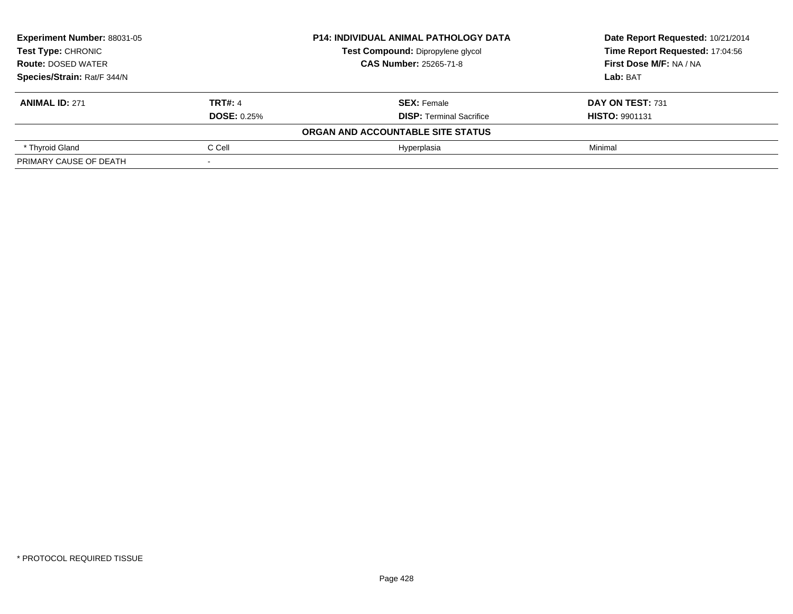| <b>Experiment Number: 88031-05</b><br><b>Test Type: CHRONIC</b> |                    | <b>P14: INDIVIDUAL ANIMAL PATHOLOGY DATA</b> | Date Report Requested: 10/21/2014 |
|-----------------------------------------------------------------|--------------------|----------------------------------------------|-----------------------------------|
|                                                                 |                    | <b>Test Compound: Dipropylene glycol</b>     | Time Report Requested: 17:04:56   |
| <b>Route: DOSED WATER</b>                                       |                    | <b>CAS Number: 25265-71-8</b>                | First Dose M/F: NA / NA           |
| Species/Strain: Rat/F 344/N                                     |                    |                                              | Lab: BAT                          |
| <b>ANIMAL ID: 271</b>                                           | <b>TRT#: 4</b>     | <b>SEX: Female</b>                           | DAY ON TEST: 731                  |
|                                                                 | <b>DOSE: 0.25%</b> | <b>DISP: Terminal Sacrifice</b>              | <b>HISTO: 9901131</b>             |
|                                                                 |                    | ORGAN AND ACCOUNTABLE SITE STATUS            |                                   |
| * Thyroid Gland                                                 | C Cell             | Hvperplasia                                  | Minimal                           |
| PRIMARY CAUSE OF DEATH                                          |                    |                                              |                                   |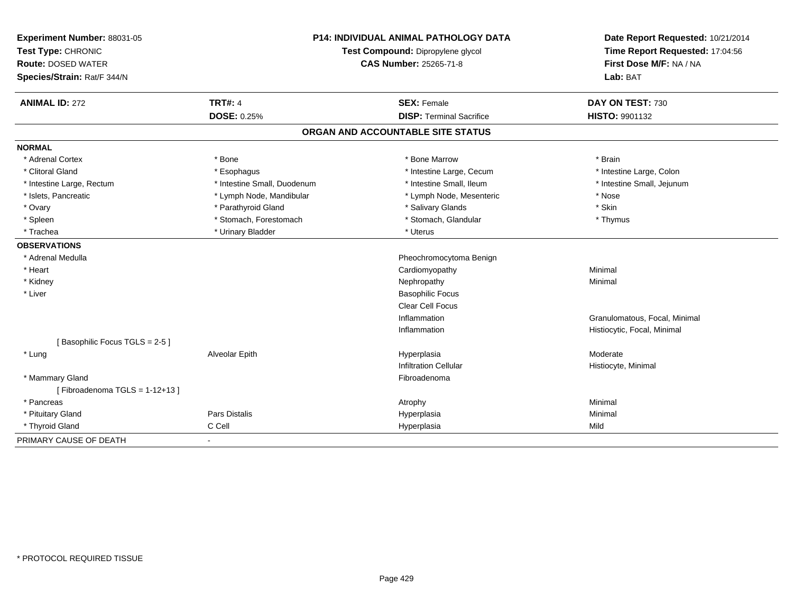| Experiment Number: 88031-05      | <b>P14: INDIVIDUAL ANIMAL PATHOLOGY DATA</b> |                                   | Date Report Requested: 10/21/2014 |
|----------------------------------|----------------------------------------------|-----------------------------------|-----------------------------------|
| Test Type: CHRONIC               |                                              | Test Compound: Dipropylene glycol | Time Report Requested: 17:04:56   |
| <b>Route: DOSED WATER</b>        |                                              | CAS Number: 25265-71-8            | First Dose M/F: NA / NA           |
| Species/Strain: Rat/F 344/N      |                                              |                                   | Lab: BAT                          |
| <b>ANIMAL ID: 272</b>            | <b>TRT#: 4</b>                               | <b>SEX: Female</b>                | DAY ON TEST: 730                  |
|                                  | <b>DOSE: 0.25%</b>                           | <b>DISP: Terminal Sacrifice</b>   | HISTO: 9901132                    |
|                                  |                                              | ORGAN AND ACCOUNTABLE SITE STATUS |                                   |
| <b>NORMAL</b>                    |                                              |                                   |                                   |
| * Adrenal Cortex                 | * Bone                                       | * Bone Marrow                     | * Brain                           |
| * Clitoral Gland                 | * Esophagus                                  | * Intestine Large, Cecum          | * Intestine Large, Colon          |
| * Intestine Large, Rectum        | * Intestine Small, Duodenum                  | * Intestine Small. Ileum          | * Intestine Small, Jejunum        |
| * Islets, Pancreatic             | * Lymph Node, Mandibular                     | * Lymph Node, Mesenteric          | * Nose                            |
| * Ovary                          | * Parathyroid Gland                          | * Salivary Glands                 | * Skin                            |
| * Spleen                         | * Stomach, Forestomach                       | * Stomach, Glandular              | * Thymus                          |
| * Trachea                        | * Urinary Bladder                            | * Uterus                          |                                   |
| <b>OBSERVATIONS</b>              |                                              |                                   |                                   |
| * Adrenal Medulla                |                                              | Pheochromocytoma Benign           |                                   |
| * Heart                          |                                              | Cardiomyopathy                    | Minimal                           |
| * Kidney                         |                                              | Nephropathy                       | Minimal                           |
| * Liver                          |                                              | <b>Basophilic Focus</b>           |                                   |
|                                  |                                              | <b>Clear Cell Focus</b>           |                                   |
|                                  |                                              | Inflammation                      | Granulomatous, Focal, Minimal     |
|                                  |                                              | Inflammation                      | Histiocytic, Focal, Minimal       |
| [Basophilic Focus TGLS = 2-5]    |                                              |                                   |                                   |
| * Lung                           | Alveolar Epith                               | Hyperplasia                       | Moderate                          |
|                                  |                                              | <b>Infiltration Cellular</b>      | Histiocyte, Minimal               |
| * Mammary Gland                  |                                              | Fibroadenoma                      |                                   |
| [Fibroadenoma TGLS = $1-12+13$ ] |                                              |                                   |                                   |
| * Pancreas                       |                                              | Atrophy                           | Minimal                           |
| * Pituitary Gland                | Pars Distalis                                | Hyperplasia                       | Minimal                           |
| * Thyroid Gland                  | C Cell                                       | Hyperplasia                       | Mild                              |
| PRIMARY CAUSE OF DEATH           | $\blacksquare$                               |                                   |                                   |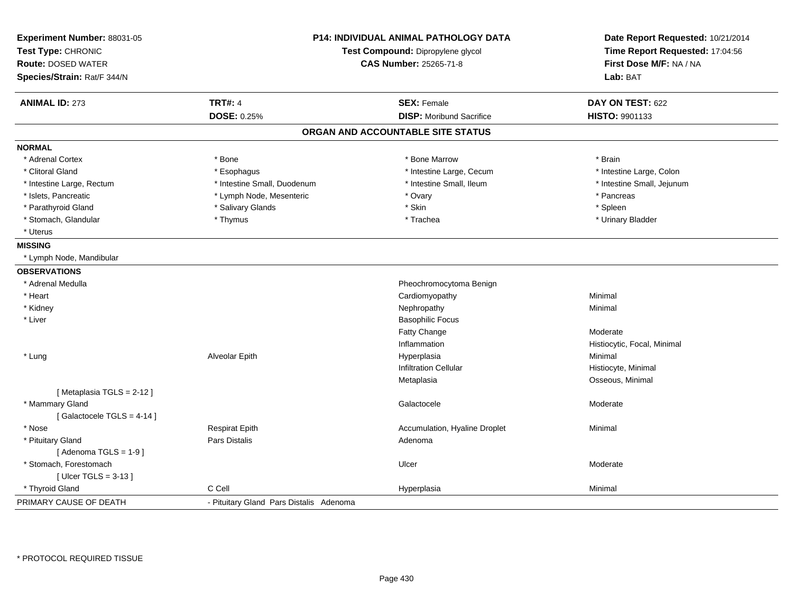| Experiment Number: 88031-05<br>Test Type: CHRONIC<br><b>Route: DOSED WATER</b><br>Species/Strain: Rat/F 344/N | <b>P14: INDIVIDUAL ANIMAL PATHOLOGY DATA</b><br>Test Compound: Dipropylene glycol<br><b>CAS Number: 25265-71-8</b> |                                                       | Date Report Requested: 10/21/2014<br>Time Report Requested: 17:04:56<br>First Dose M/F: NA / NA<br>Lab: BAT |  |
|---------------------------------------------------------------------------------------------------------------|--------------------------------------------------------------------------------------------------------------------|-------------------------------------------------------|-------------------------------------------------------------------------------------------------------------|--|
| <b>ANIMAL ID: 273</b>                                                                                         | <b>TRT#: 4</b><br><b>DOSE: 0.25%</b>                                                                               | <b>SEX: Female</b><br><b>DISP:</b> Moribund Sacrifice | DAY ON TEST: 622<br><b>HISTO: 9901133</b>                                                                   |  |
|                                                                                                               |                                                                                                                    | ORGAN AND ACCOUNTABLE SITE STATUS                     |                                                                                                             |  |
| <b>NORMAL</b>                                                                                                 |                                                                                                                    |                                                       |                                                                                                             |  |
| * Adrenal Cortex                                                                                              | * Bone                                                                                                             | * Bone Marrow                                         | * Brain                                                                                                     |  |
| * Clitoral Gland                                                                                              | * Esophagus                                                                                                        | * Intestine Large, Cecum                              | * Intestine Large, Colon                                                                                    |  |
| * Intestine Large, Rectum                                                                                     | * Intestine Small, Duodenum                                                                                        | * Intestine Small, Ileum                              | * Intestine Small, Jejunum                                                                                  |  |
| * Islets, Pancreatic                                                                                          | * Lymph Node, Mesenteric                                                                                           | * Ovary                                               | * Pancreas                                                                                                  |  |
| * Parathyroid Gland                                                                                           | * Salivary Glands                                                                                                  | * Skin                                                | * Spleen                                                                                                    |  |
| * Stomach, Glandular                                                                                          | * Thymus                                                                                                           | * Trachea                                             | * Urinary Bladder                                                                                           |  |
| * Uterus                                                                                                      |                                                                                                                    |                                                       |                                                                                                             |  |
| <b>MISSING</b>                                                                                                |                                                                                                                    |                                                       |                                                                                                             |  |
| * Lymph Node, Mandibular                                                                                      |                                                                                                                    |                                                       |                                                                                                             |  |
| <b>OBSERVATIONS</b>                                                                                           |                                                                                                                    |                                                       |                                                                                                             |  |
| * Adrenal Medulla                                                                                             |                                                                                                                    | Pheochromocytoma Benign                               |                                                                                                             |  |
| * Heart                                                                                                       |                                                                                                                    | Cardiomyopathy                                        | Minimal                                                                                                     |  |
| * Kidney                                                                                                      |                                                                                                                    | Nephropathy                                           | Minimal                                                                                                     |  |
| * Liver                                                                                                       |                                                                                                                    | <b>Basophilic Focus</b>                               |                                                                                                             |  |
|                                                                                                               |                                                                                                                    | <b>Fatty Change</b>                                   | Moderate                                                                                                    |  |
|                                                                                                               |                                                                                                                    | Inflammation                                          | Histiocytic, Focal, Minimal                                                                                 |  |
| * Lung                                                                                                        | Alveolar Epith                                                                                                     | Hyperplasia                                           | Minimal                                                                                                     |  |
|                                                                                                               |                                                                                                                    | <b>Infiltration Cellular</b>                          | Histiocyte, Minimal                                                                                         |  |
|                                                                                                               |                                                                                                                    | Metaplasia                                            | Osseous, Minimal                                                                                            |  |
| [Metaplasia TGLS = 2-12]                                                                                      |                                                                                                                    |                                                       |                                                                                                             |  |
| * Mammary Gland                                                                                               |                                                                                                                    | Galactocele                                           | Moderate                                                                                                    |  |
| [Galactocele TGLS = $4-14$ ]                                                                                  |                                                                                                                    |                                                       |                                                                                                             |  |
| * Nose                                                                                                        | <b>Respirat Epith</b>                                                                                              | Accumulation, Hyaline Droplet                         | Minimal                                                                                                     |  |
| * Pituitary Gland                                                                                             | <b>Pars Distalis</b>                                                                                               | Adenoma                                               |                                                                                                             |  |
| [Adenoma TGLS = $1-9$ ]                                                                                       |                                                                                                                    |                                                       |                                                                                                             |  |
| * Stomach, Forestomach                                                                                        |                                                                                                                    | Ulcer                                                 | Moderate                                                                                                    |  |
| [Ulcer TGLS = $3-13$ ]                                                                                        |                                                                                                                    |                                                       |                                                                                                             |  |
| * Thyroid Gland                                                                                               | C Cell                                                                                                             | Hyperplasia                                           | Minimal                                                                                                     |  |
| PRIMARY CAUSE OF DEATH                                                                                        | - Pituitary Gland Pars Distalis Adenoma                                                                            |                                                       |                                                                                                             |  |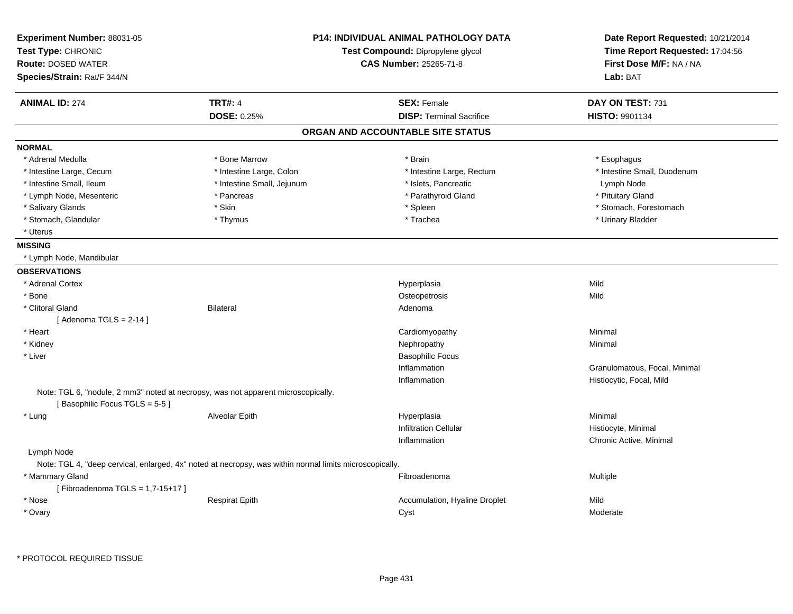| Experiment Number: 88031-05<br>Test Type: CHRONIC<br><b>Route: DOSED WATER</b> |                                                                                                         | <b>P14: INDIVIDUAL ANIMAL PATHOLOGY DATA</b><br>Test Compound: Dipropylene glycol<br><b>CAS Number: 25265-71-8</b> | Date Report Requested: 10/21/2014<br>Time Report Requested: 17:04:56<br>First Dose M/F: NA / NA |  |
|--------------------------------------------------------------------------------|---------------------------------------------------------------------------------------------------------|--------------------------------------------------------------------------------------------------------------------|-------------------------------------------------------------------------------------------------|--|
| Species/Strain: Rat/F 344/N                                                    |                                                                                                         |                                                                                                                    | Lab: BAT                                                                                        |  |
| <b>ANIMAL ID: 274</b>                                                          | <b>TRT#: 4</b>                                                                                          | <b>SEX: Female</b>                                                                                                 | DAY ON TEST: 731                                                                                |  |
|                                                                                | DOSE: 0.25%                                                                                             | <b>DISP: Terminal Sacrifice</b>                                                                                    | HISTO: 9901134                                                                                  |  |
|                                                                                |                                                                                                         | ORGAN AND ACCOUNTABLE SITE STATUS                                                                                  |                                                                                                 |  |
| <b>NORMAL</b>                                                                  |                                                                                                         |                                                                                                                    |                                                                                                 |  |
| * Adrenal Medulla                                                              | * Bone Marrow                                                                                           | * Brain                                                                                                            | * Esophagus                                                                                     |  |
| * Intestine Large, Cecum                                                       | * Intestine Large, Colon                                                                                | * Intestine Large, Rectum                                                                                          | * Intestine Small, Duodenum                                                                     |  |
| * Intestine Small, Ileum                                                       | * Intestine Small, Jejunum                                                                              | * Islets, Pancreatic                                                                                               | Lymph Node                                                                                      |  |
| * Lymph Node, Mesenteric                                                       | * Pancreas                                                                                              | * Parathyroid Gland                                                                                                | * Pituitary Gland                                                                               |  |
| * Salivary Glands                                                              | * Skin                                                                                                  | * Spleen                                                                                                           | * Stomach, Forestomach                                                                          |  |
| * Stomach, Glandular                                                           | * Thymus                                                                                                | * Trachea                                                                                                          | * Urinary Bladder                                                                               |  |
| * Uterus                                                                       |                                                                                                         |                                                                                                                    |                                                                                                 |  |
| <b>MISSING</b>                                                                 |                                                                                                         |                                                                                                                    |                                                                                                 |  |
| * Lymph Node, Mandibular                                                       |                                                                                                         |                                                                                                                    |                                                                                                 |  |
| <b>OBSERVATIONS</b>                                                            |                                                                                                         |                                                                                                                    |                                                                                                 |  |
| * Adrenal Cortex                                                               |                                                                                                         | Hyperplasia                                                                                                        | Mild                                                                                            |  |
| * Bone                                                                         |                                                                                                         | Osteopetrosis                                                                                                      | Mild                                                                                            |  |
| * Clitoral Gland                                                               | Bilateral                                                                                               | Adenoma                                                                                                            |                                                                                                 |  |
| [Adenoma TGLS = $2-14$ ]                                                       |                                                                                                         |                                                                                                                    |                                                                                                 |  |
| * Heart                                                                        |                                                                                                         | Cardiomyopathy                                                                                                     | Minimal                                                                                         |  |
| * Kidney                                                                       |                                                                                                         | Nephropathy                                                                                                        | Minimal                                                                                         |  |
| * Liver                                                                        |                                                                                                         | <b>Basophilic Focus</b>                                                                                            |                                                                                                 |  |
|                                                                                |                                                                                                         | Inflammation                                                                                                       | Granulomatous, Focal, Minimal                                                                   |  |
|                                                                                |                                                                                                         | Inflammation                                                                                                       | Histiocytic, Focal, Mild                                                                        |  |
| [Basophilic Focus TGLS = 5-5]                                                  | Note: TGL 6, "nodule, 2 mm3" noted at necropsy, was not apparent microscopically.                       |                                                                                                                    |                                                                                                 |  |
| * Lung                                                                         | Alveolar Epith                                                                                          | Hyperplasia                                                                                                        | Minimal                                                                                         |  |
|                                                                                |                                                                                                         | <b>Infiltration Cellular</b>                                                                                       | Histiocyte, Minimal                                                                             |  |
|                                                                                |                                                                                                         | Inflammation                                                                                                       | Chronic Active, Minimal                                                                         |  |
| Lymph Node                                                                     |                                                                                                         |                                                                                                                    |                                                                                                 |  |
|                                                                                | Note: TGL 4, "deep cervical, enlarged, 4x" noted at necropsy, was within normal limits microscopically. |                                                                                                                    |                                                                                                 |  |
| * Mammary Gland<br>[Fibroadenoma TGLS = 1,7-15+17]                             |                                                                                                         | Fibroadenoma                                                                                                       | Multiple                                                                                        |  |
| * Nose                                                                         | <b>Respirat Epith</b>                                                                                   | Accumulation, Hyaline Droplet                                                                                      | Mild                                                                                            |  |
| * Ovary                                                                        |                                                                                                         | Cyst                                                                                                               | Moderate                                                                                        |  |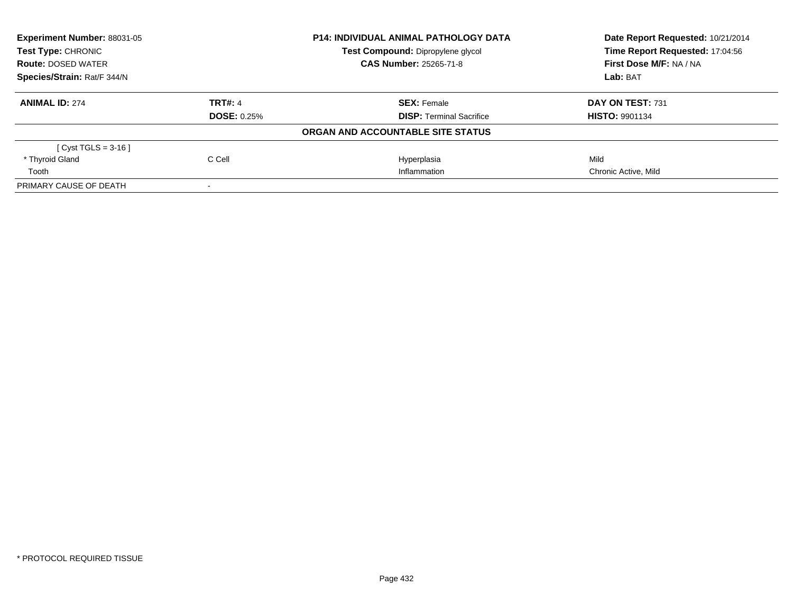| Experiment Number: 88031-05<br>Test Type: CHRONIC |                    | <b>P14: INDIVIDUAL ANIMAL PATHOLOGY DATA</b> | Date Report Requested: 10/21/2014<br>Time Report Requested: 17:04:56 |
|---------------------------------------------------|--------------------|----------------------------------------------|----------------------------------------------------------------------|
|                                                   |                    | Test Compound: Dipropylene glycol            |                                                                      |
| <b>Route: DOSED WATER</b>                         |                    | <b>CAS Number: 25265-71-8</b>                | First Dose M/F: NA / NA                                              |
| Species/Strain: Rat/F 344/N                       |                    |                                              | Lab: BAT                                                             |
| <b>ANIMAL ID: 274</b>                             | <b>TRT#: 4</b>     | <b>SEX: Female</b>                           | DAY ON TEST: 731                                                     |
|                                                   | <b>DOSE: 0.25%</b> | <b>DISP:</b> Terminal Sacrifice              | <b>HISTO: 9901134</b>                                                |
|                                                   |                    | ORGAN AND ACCOUNTABLE SITE STATUS            |                                                                      |
| [ Cyst TGLS = $3-16$ ]                            |                    |                                              |                                                                      |
| * Thyroid Gland                                   | C Cell             | Hyperplasia                                  | Mild                                                                 |
| Tooth                                             |                    | Inflammation                                 | Chronic Active, Mild                                                 |
| PRIMARY CAUSE OF DEATH                            |                    |                                              |                                                                      |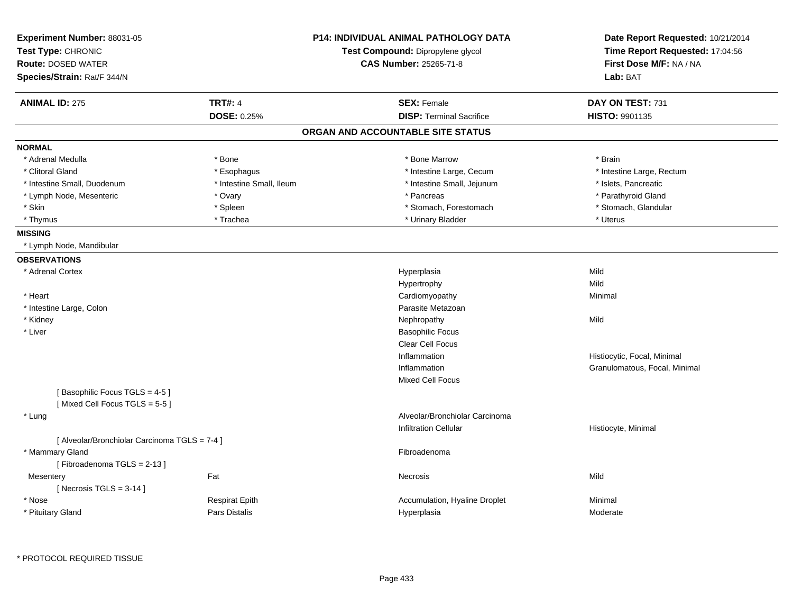| Species/Strain: Rat/F 344/N                             | <b>CAS Number: 25265-71-8</b>     | First Dose M/F: NA / NA<br>Lab: BAT |
|---------------------------------------------------------|-----------------------------------|-------------------------------------|
| <b>TRT#: 4</b><br><b>ANIMAL ID: 275</b>                 | <b>SEX: Female</b>                | DAY ON TEST: 731                    |
| <b>DOSE: 0.25%</b>                                      | <b>DISP: Terminal Sacrifice</b>   | <b>HISTO: 9901135</b>               |
|                                                         | ORGAN AND ACCOUNTABLE SITE STATUS |                                     |
| <b>NORMAL</b>                                           |                                   |                                     |
| * Adrenal Medulla<br>* Bone                             | * Bone Marrow                     | * Brain                             |
| * Esophagus<br>* Clitoral Gland                         | * Intestine Large, Cecum          | * Intestine Large, Rectum           |
| * Intestine Small, Duodenum<br>* Intestine Small, Ileum | * Intestine Small, Jejunum        | * Islets, Pancreatic                |
| * Ovary<br>* Lymph Node, Mesenteric                     | * Pancreas                        | * Parathyroid Gland                 |
| * Skin<br>* Spleen                                      | * Stomach, Forestomach            | * Stomach, Glandular                |
| * Trachea<br>* Thymus                                   | * Urinary Bladder                 | * Uterus                            |
| <b>MISSING</b>                                          |                                   |                                     |
| * Lymph Node, Mandibular                                |                                   |                                     |
| <b>OBSERVATIONS</b>                                     |                                   |                                     |
| * Adrenal Cortex                                        | Hyperplasia                       | Mild                                |
|                                                         | Hypertrophy                       | Mild                                |
| * Heart                                                 | Cardiomyopathy                    | Minimal                             |
| * Intestine Large, Colon                                | Parasite Metazoan                 |                                     |
| * Kidney                                                | Nephropathy                       | Mild                                |
| * Liver                                                 | <b>Basophilic Focus</b>           |                                     |
|                                                         | <b>Clear Cell Focus</b>           |                                     |
|                                                         | Inflammation                      | Histiocytic, Focal, Minimal         |
|                                                         | Inflammation                      | Granulomatous, Focal, Minimal       |
|                                                         | Mixed Cell Focus                  |                                     |
| [Basophilic Focus TGLS = 4-5]                           |                                   |                                     |
| [Mixed Cell Focus TGLS = 5-5]                           |                                   |                                     |
| * Lung                                                  | Alveolar/Bronchiolar Carcinoma    |                                     |
|                                                         | <b>Infiltration Cellular</b>      | Histiocyte, Minimal                 |
| [ Alveolar/Bronchiolar Carcinoma TGLS = 7-4 ]           |                                   |                                     |
| * Mammary Gland                                         | Fibroadenoma                      |                                     |
| [Fibroadenoma TGLS = 2-13]                              |                                   |                                     |
| Fat<br>Mesentery                                        | Necrosis                          | Mild                                |
| [Necrosis $TGLS = 3-14$ ]                               |                                   |                                     |
| * Nose<br><b>Respirat Epith</b>                         | Accumulation, Hyaline Droplet     | Minimal                             |
| * Pituitary Gland<br>Pars Distalis                      | Hyperplasia                       | Moderate                            |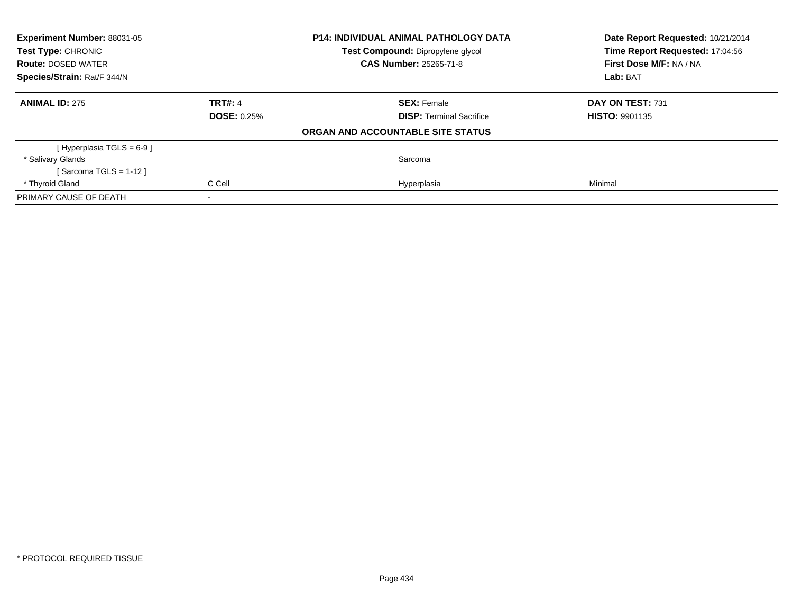| Experiment Number: 88031-05<br>Test Type: CHRONIC |                    | <b>P14: INDIVIDUAL ANIMAL PATHOLOGY DATA</b> | Date Report Requested: 10/21/2014<br>Time Report Requested: 17:04:56 |
|---------------------------------------------------|--------------------|----------------------------------------------|----------------------------------------------------------------------|
|                                                   |                    | Test Compound: Dipropylene glycol            |                                                                      |
| <b>Route: DOSED WATER</b>                         |                    | <b>CAS Number: 25265-71-8</b>                | First Dose M/F: NA / NA                                              |
| Species/Strain: Rat/F 344/N                       |                    |                                              | Lab: BAT                                                             |
| <b>ANIMAL ID: 275</b>                             | <b>TRT#: 4</b>     | <b>SEX: Female</b>                           | DAY ON TEST: 731                                                     |
|                                                   | <b>DOSE: 0.25%</b> | <b>DISP:</b> Terminal Sacrifice              | <b>HISTO: 9901135</b>                                                |
|                                                   |                    | ORGAN AND ACCOUNTABLE SITE STATUS            |                                                                      |
| [Hyperplasia TGLS = $6-9$ ]                       |                    |                                              |                                                                      |
| * Salivary Glands                                 |                    | Sarcoma                                      |                                                                      |
| [Sarcoma TGLS = 1-12 ]                            |                    |                                              |                                                                      |
| * Thyroid Gland                                   | C Cell             | Hyperplasia                                  | Minimal                                                              |
| PRIMARY CAUSE OF DEATH                            |                    |                                              |                                                                      |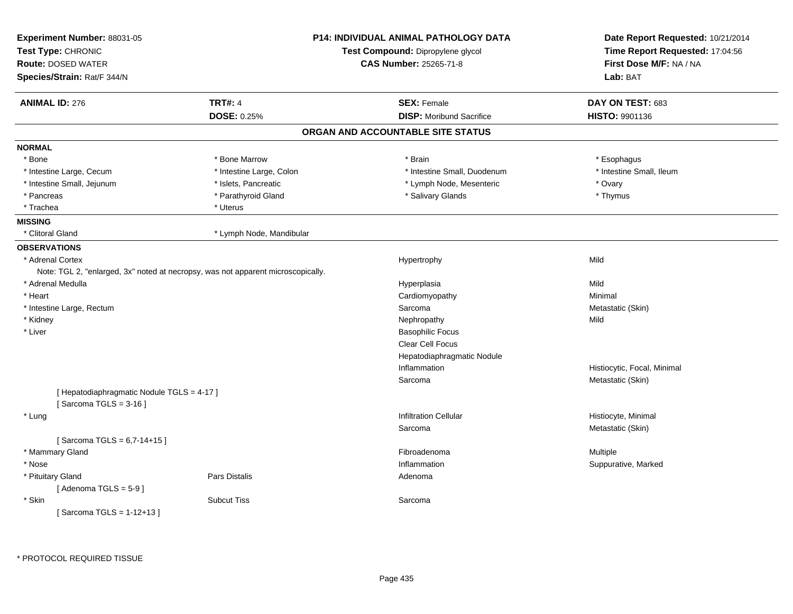| Experiment Number: 88031-05<br>Test Type: CHRONIC<br><b>Route: DOSED WATER</b><br>Species/Strain: Rat/F 344/N |                                                                                  | <b>P14: INDIVIDUAL ANIMAL PATHOLOGY DATA</b><br>Test Compound: Dipropylene glycol<br><b>CAS Number: 25265-71-8</b> | Date Report Requested: 10/21/2014<br>Time Report Requested: 17:04:56<br>First Dose M/F: NA / NA<br>Lab: BAT |
|---------------------------------------------------------------------------------------------------------------|----------------------------------------------------------------------------------|--------------------------------------------------------------------------------------------------------------------|-------------------------------------------------------------------------------------------------------------|
| <b>ANIMAL ID: 276</b>                                                                                         | <b>TRT#: 4</b>                                                                   | <b>SEX: Female</b>                                                                                                 | DAY ON TEST: 683                                                                                            |
|                                                                                                               | <b>DOSE: 0.25%</b>                                                               | <b>DISP:</b> Moribund Sacrifice                                                                                    | HISTO: 9901136                                                                                              |
|                                                                                                               |                                                                                  | ORGAN AND ACCOUNTABLE SITE STATUS                                                                                  |                                                                                                             |
| <b>NORMAL</b>                                                                                                 |                                                                                  |                                                                                                                    |                                                                                                             |
| * Bone                                                                                                        | * Bone Marrow                                                                    | * Brain                                                                                                            | * Esophagus                                                                                                 |
| * Intestine Large, Cecum                                                                                      | * Intestine Large, Colon                                                         | * Intestine Small, Duodenum                                                                                        | * Intestine Small, Ileum                                                                                    |
| * Intestine Small, Jejunum                                                                                    | * Islets, Pancreatic                                                             | * Lymph Node, Mesenteric                                                                                           | * Ovary                                                                                                     |
| * Pancreas                                                                                                    | * Parathyroid Gland                                                              | * Salivary Glands                                                                                                  | * Thymus                                                                                                    |
| * Trachea                                                                                                     | * Uterus                                                                         |                                                                                                                    |                                                                                                             |
| <b>MISSING</b>                                                                                                |                                                                                  |                                                                                                                    |                                                                                                             |
| * Clitoral Gland                                                                                              | * Lymph Node, Mandibular                                                         |                                                                                                                    |                                                                                                             |
| <b>OBSERVATIONS</b>                                                                                           |                                                                                  |                                                                                                                    |                                                                                                             |
| * Adrenal Cortex                                                                                              |                                                                                  | Hypertrophy                                                                                                        | Mild                                                                                                        |
|                                                                                                               | Note: TGL 2, "enlarged, 3x" noted at necropsy, was not apparent microscopically. |                                                                                                                    |                                                                                                             |
| * Adrenal Medulla                                                                                             |                                                                                  | Hyperplasia                                                                                                        | Mild                                                                                                        |
| * Heart                                                                                                       |                                                                                  | Cardiomyopathy                                                                                                     | Minimal                                                                                                     |
| * Intestine Large, Rectum                                                                                     |                                                                                  | Sarcoma                                                                                                            | Metastatic (Skin)                                                                                           |
| * Kidney                                                                                                      |                                                                                  | Nephropathy                                                                                                        | Mild                                                                                                        |
| * Liver                                                                                                       |                                                                                  | <b>Basophilic Focus</b>                                                                                            |                                                                                                             |
|                                                                                                               |                                                                                  | Clear Cell Focus                                                                                                   |                                                                                                             |
|                                                                                                               |                                                                                  | Hepatodiaphragmatic Nodule                                                                                         |                                                                                                             |
|                                                                                                               |                                                                                  | Inflammation                                                                                                       | Histiocytic, Focal, Minimal                                                                                 |
|                                                                                                               |                                                                                  | Sarcoma                                                                                                            | Metastatic (Skin)                                                                                           |
| [ Hepatodiaphragmatic Nodule TGLS = 4-17 ]                                                                    |                                                                                  |                                                                                                                    |                                                                                                             |
| [Sarcoma TGLS = $3-16$ ]                                                                                      |                                                                                  |                                                                                                                    |                                                                                                             |
| * Lung                                                                                                        |                                                                                  | <b>Infiltration Cellular</b>                                                                                       | Histiocyte, Minimal                                                                                         |
|                                                                                                               |                                                                                  | Sarcoma                                                                                                            | Metastatic (Skin)                                                                                           |
| [Sarcoma TGLS = 6,7-14+15]                                                                                    |                                                                                  |                                                                                                                    |                                                                                                             |
| * Mammary Gland                                                                                               |                                                                                  | Fibroadenoma                                                                                                       | Multiple                                                                                                    |
| * Nose                                                                                                        |                                                                                  | Inflammation                                                                                                       | Suppurative, Marked                                                                                         |
| * Pituitary Gland                                                                                             | Pars Distalis                                                                    | Adenoma                                                                                                            |                                                                                                             |
| [Adenoma TGLS = $5-9$ ]                                                                                       |                                                                                  |                                                                                                                    |                                                                                                             |
| * Skin                                                                                                        | <b>Subcut Tiss</b>                                                               | Sarcoma                                                                                                            |                                                                                                             |
| [Sarcoma TGLS = $1-12+13$ ]                                                                                   |                                                                                  |                                                                                                                    |                                                                                                             |
|                                                                                                               |                                                                                  |                                                                                                                    |                                                                                                             |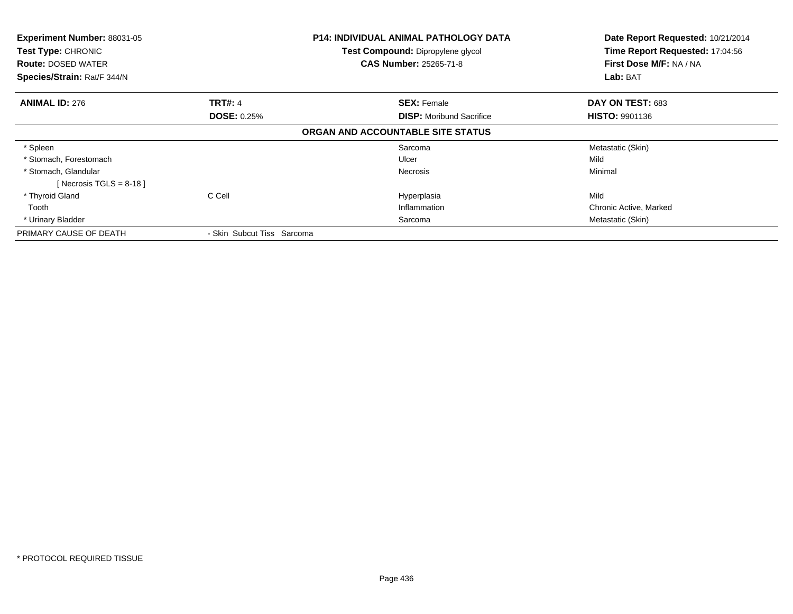| Experiment Number: 88031-05<br>Test Type: CHRONIC<br><b>Route: DOSED WATER</b><br>Species/Strain: Rat/F 344/N |                            | <b>P14: INDIVIDUAL ANIMAL PATHOLOGY DATA</b><br><b>Test Compound: Dipropylene glycol</b><br><b>CAS Number: 25265-71-8</b> | Date Report Requested: 10/21/2014<br>Time Report Requested: 17:04:56<br>First Dose M/F: NA / NA<br>Lab: BAT |
|---------------------------------------------------------------------------------------------------------------|----------------------------|---------------------------------------------------------------------------------------------------------------------------|-------------------------------------------------------------------------------------------------------------|
|                                                                                                               |                            |                                                                                                                           |                                                                                                             |
| <b>ANIMAL ID: 276</b>                                                                                         | <b>TRT#: 4</b>             | <b>SEX: Female</b>                                                                                                        | DAY ON TEST: 683                                                                                            |
|                                                                                                               | <b>DOSE: 0.25%</b>         | <b>DISP:</b> Moribund Sacrifice                                                                                           | <b>HISTO: 9901136</b>                                                                                       |
|                                                                                                               |                            | ORGAN AND ACCOUNTABLE SITE STATUS                                                                                         |                                                                                                             |
| * Spleen                                                                                                      |                            | Sarcoma                                                                                                                   | Metastatic (Skin)                                                                                           |
| * Stomach, Forestomach                                                                                        |                            | Ulcer                                                                                                                     | Mild                                                                                                        |
| * Stomach, Glandular                                                                                          |                            | <b>Necrosis</b>                                                                                                           | Minimal                                                                                                     |
| [Necrosis TGLS = $8-18$ ]                                                                                     |                            |                                                                                                                           |                                                                                                             |
| * Thyroid Gland                                                                                               | C Cell                     | Hyperplasia                                                                                                               | Mild                                                                                                        |
| Tooth                                                                                                         |                            | Inflammation                                                                                                              | Chronic Active, Marked                                                                                      |
| * Urinary Bladder                                                                                             |                            | Sarcoma                                                                                                                   | Metastatic (Skin)                                                                                           |
| PRIMARY CAUSE OF DEATH                                                                                        | - Skin Subcut Tiss Sarcoma |                                                                                                                           |                                                                                                             |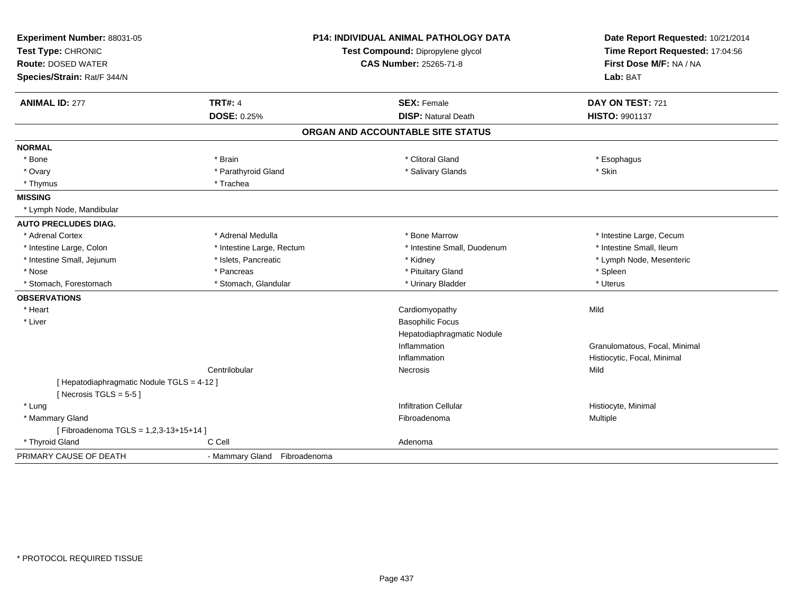| Experiment Number: 88031-05<br>Test Type: CHRONIC<br><b>Route: DOSED WATER</b><br>Species/Strain: Rat/F 344/N |                              | <b>P14: INDIVIDUAL ANIMAL PATHOLOGY DATA</b><br>Test Compound: Dipropylene glycol<br><b>CAS Number: 25265-71-8</b> | Date Report Requested: 10/21/2014<br>Time Report Requested: 17:04:56<br>First Dose M/F: NA / NA<br>Lab: BAT |  |
|---------------------------------------------------------------------------------------------------------------|------------------------------|--------------------------------------------------------------------------------------------------------------------|-------------------------------------------------------------------------------------------------------------|--|
| <b>ANIMAL ID: 277</b>                                                                                         | <b>TRT#: 4</b>               | <b>SEX: Female</b>                                                                                                 | DAY ON TEST: 721                                                                                            |  |
|                                                                                                               | <b>DOSE: 0.25%</b>           | <b>DISP: Natural Death</b>                                                                                         | HISTO: 9901137                                                                                              |  |
|                                                                                                               |                              | ORGAN AND ACCOUNTABLE SITE STATUS                                                                                  |                                                                                                             |  |
| <b>NORMAL</b>                                                                                                 |                              |                                                                                                                    |                                                                                                             |  |
| * Bone                                                                                                        | * Brain                      | * Clitoral Gland                                                                                                   | * Esophagus                                                                                                 |  |
| * Ovary                                                                                                       | * Parathyroid Gland          | * Salivary Glands                                                                                                  | * Skin                                                                                                      |  |
| * Thymus                                                                                                      | * Trachea                    |                                                                                                                    |                                                                                                             |  |
| <b>MISSING</b>                                                                                                |                              |                                                                                                                    |                                                                                                             |  |
| * Lymph Node, Mandibular                                                                                      |                              |                                                                                                                    |                                                                                                             |  |
| <b>AUTO PRECLUDES DIAG.</b>                                                                                   |                              |                                                                                                                    |                                                                                                             |  |
| * Adrenal Cortex                                                                                              | * Adrenal Medulla            | * Bone Marrow                                                                                                      | * Intestine Large, Cecum                                                                                    |  |
| * Intestine Large, Colon                                                                                      | * Intestine Large, Rectum    | * Intestine Small, Duodenum                                                                                        | * Intestine Small, Ileum                                                                                    |  |
| * Intestine Small, Jejunum                                                                                    | * Islets, Pancreatic         | * Kidney                                                                                                           | * Lymph Node, Mesenteric                                                                                    |  |
| * Nose                                                                                                        | * Pancreas                   | * Pituitary Gland                                                                                                  | * Spleen                                                                                                    |  |
| * Stomach, Forestomach                                                                                        | * Stomach, Glandular         | * Urinary Bladder                                                                                                  | * Uterus                                                                                                    |  |
| <b>OBSERVATIONS</b>                                                                                           |                              |                                                                                                                    |                                                                                                             |  |
| * Heart                                                                                                       |                              | Cardiomyopathy                                                                                                     | Mild                                                                                                        |  |
| * Liver                                                                                                       |                              | <b>Basophilic Focus</b>                                                                                            |                                                                                                             |  |
|                                                                                                               |                              | Hepatodiaphragmatic Nodule                                                                                         |                                                                                                             |  |
|                                                                                                               |                              | Inflammation                                                                                                       | Granulomatous, Focal, Minimal                                                                               |  |
|                                                                                                               |                              | Inflammation                                                                                                       | Histiocytic, Focal, Minimal                                                                                 |  |
|                                                                                                               | Centrilobular                | Necrosis                                                                                                           | Mild                                                                                                        |  |
| [ Hepatodiaphragmatic Nodule TGLS = 4-12 ]<br>[Necrosis TGLS = $5-5$ ]                                        |                              |                                                                                                                    |                                                                                                             |  |
| * Lung                                                                                                        |                              | <b>Infiltration Cellular</b>                                                                                       | Histiocyte, Minimal                                                                                         |  |
| * Mammary Gland                                                                                               |                              | Fibroadenoma                                                                                                       | Multiple                                                                                                    |  |
| [Fibroadenoma TGLS = 1,2,3-13+15+14]                                                                          |                              |                                                                                                                    |                                                                                                             |  |
| * Thyroid Gland                                                                                               | C Cell                       | Adenoma                                                                                                            |                                                                                                             |  |
| PRIMARY CAUSE OF DEATH                                                                                        | - Mammary Gland Fibroadenoma |                                                                                                                    |                                                                                                             |  |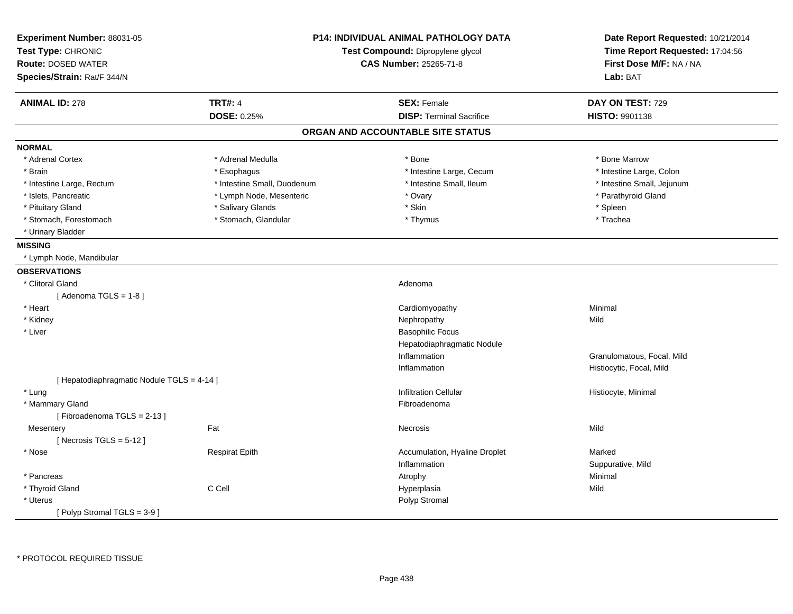| Experiment Number: 88031-05<br>Test Type: CHRONIC<br><b>Route: DOSED WATER</b><br>Species/Strain: Rat/F 344/N | <b>P14: INDIVIDUAL ANIMAL PATHOLOGY DATA</b><br>Test Compound: Dipropylene glycol<br><b>CAS Number: 25265-71-8</b> |                                   | Date Report Requested: 10/21/2014<br>Time Report Requested: 17:04:56<br>First Dose M/F: NA / NA<br>Lab: BAT |
|---------------------------------------------------------------------------------------------------------------|--------------------------------------------------------------------------------------------------------------------|-----------------------------------|-------------------------------------------------------------------------------------------------------------|
| <b>ANIMAL ID: 278</b>                                                                                         | <b>TRT#: 4</b>                                                                                                     | <b>SEX: Female</b>                | DAY ON TEST: 729                                                                                            |
|                                                                                                               | <b>DOSE: 0.25%</b>                                                                                                 | <b>DISP: Terminal Sacrifice</b>   | <b>HISTO: 9901138</b>                                                                                       |
|                                                                                                               |                                                                                                                    | ORGAN AND ACCOUNTABLE SITE STATUS |                                                                                                             |
| <b>NORMAL</b>                                                                                                 |                                                                                                                    |                                   |                                                                                                             |
| * Adrenal Cortex                                                                                              | * Adrenal Medulla                                                                                                  | * Bone                            | * Bone Marrow                                                                                               |
| * Brain                                                                                                       | * Esophagus                                                                                                        | * Intestine Large, Cecum          | * Intestine Large, Colon                                                                                    |
| * Intestine Large, Rectum                                                                                     | * Intestine Small, Duodenum                                                                                        | * Intestine Small, Ileum          | * Intestine Small, Jejunum                                                                                  |
| * Islets, Pancreatic                                                                                          | * Lymph Node, Mesenteric                                                                                           | * Ovary                           | * Parathyroid Gland                                                                                         |
| * Pituitary Gland                                                                                             | * Salivary Glands                                                                                                  | * Skin                            | * Spleen                                                                                                    |
| * Stomach, Forestomach                                                                                        | * Stomach, Glandular                                                                                               | * Thymus                          | * Trachea                                                                                                   |
| * Urinary Bladder                                                                                             |                                                                                                                    |                                   |                                                                                                             |
| <b>MISSING</b>                                                                                                |                                                                                                                    |                                   |                                                                                                             |
| * Lymph Node, Mandibular                                                                                      |                                                                                                                    |                                   |                                                                                                             |
| <b>OBSERVATIONS</b>                                                                                           |                                                                                                                    |                                   |                                                                                                             |
| * Clitoral Gland                                                                                              |                                                                                                                    | Adenoma                           |                                                                                                             |
| [Adenoma TGLS = $1-8$ ]                                                                                       |                                                                                                                    |                                   |                                                                                                             |
| * Heart                                                                                                       |                                                                                                                    | Cardiomyopathy                    | Minimal                                                                                                     |
| * Kidney                                                                                                      |                                                                                                                    | Nephropathy                       | Mild                                                                                                        |
| * Liver                                                                                                       |                                                                                                                    | <b>Basophilic Focus</b>           |                                                                                                             |
|                                                                                                               |                                                                                                                    | Hepatodiaphragmatic Nodule        |                                                                                                             |
|                                                                                                               |                                                                                                                    | Inflammation                      | Granulomatous, Focal, Mild                                                                                  |
|                                                                                                               |                                                                                                                    | Inflammation                      | Histiocytic, Focal, Mild                                                                                    |
| [ Hepatodiaphragmatic Nodule TGLS = 4-14 ]                                                                    |                                                                                                                    |                                   |                                                                                                             |
| * Lung                                                                                                        |                                                                                                                    | <b>Infiltration Cellular</b>      | Histiocyte, Minimal                                                                                         |
| * Mammary Gland                                                                                               |                                                                                                                    | Fibroadenoma                      |                                                                                                             |
| [Fibroadenoma TGLS = $2-13$ ]                                                                                 |                                                                                                                    |                                   |                                                                                                             |
| Mesentery                                                                                                     | Fat                                                                                                                | Necrosis                          | Mild                                                                                                        |
| [Necrosis TGLS = $5-12$ ]                                                                                     |                                                                                                                    |                                   |                                                                                                             |
| * Nose                                                                                                        | <b>Respirat Epith</b>                                                                                              | Accumulation, Hyaline Droplet     | Marked                                                                                                      |
|                                                                                                               |                                                                                                                    | Inflammation                      | Suppurative, Mild                                                                                           |
| * Pancreas                                                                                                    |                                                                                                                    | Atrophy                           | Minimal                                                                                                     |
| * Thyroid Gland                                                                                               | C Cell                                                                                                             | Hyperplasia                       | Mild                                                                                                        |
| * Uterus                                                                                                      |                                                                                                                    | Polyp Stromal                     |                                                                                                             |
| [Polyp Stromal TGLS = 3-9]                                                                                    |                                                                                                                    |                                   |                                                                                                             |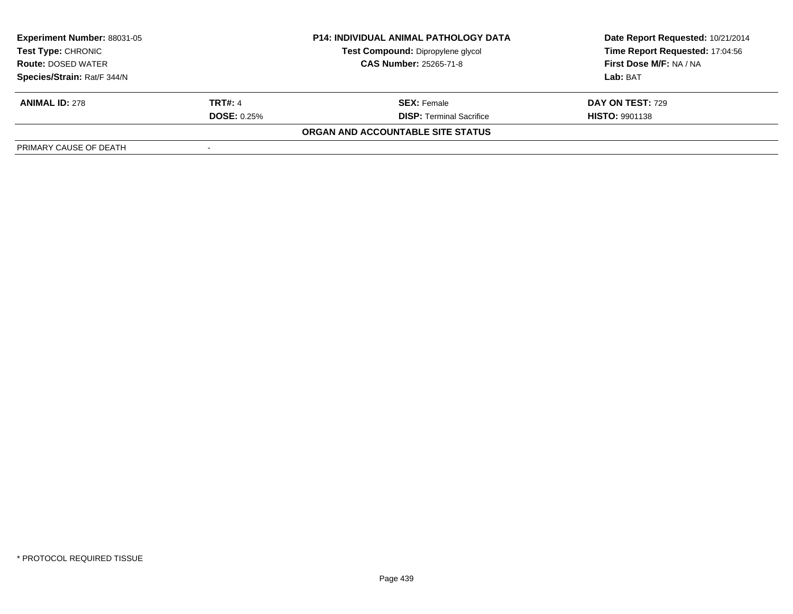| <b>Experiment Number: 88031-05</b><br><b>Test Type: CHRONIC</b> |                               | <b>P14: INDIVIDUAL ANIMAL PATHOLOGY DATA</b> | Date Report Requested: 10/21/2014 |  |
|-----------------------------------------------------------------|-------------------------------|----------------------------------------------|-----------------------------------|--|
|                                                                 |                               | Test Compound: Dipropylene glycol            | Time Report Requested: 17:04:56   |  |
| <b>Route: DOSED WATER</b>                                       | <b>CAS Number: 25265-71-8</b> |                                              | First Dose M/F: NA / NA           |  |
| Species/Strain: Rat/F 344/N                                     |                               |                                              | Lab: BAT                          |  |
| <b>ANIMAL ID: 278</b>                                           | <b>TRT#: 4</b>                | <b>SEX: Female</b>                           | <b>DAY ON TEST: 729</b>           |  |
|                                                                 | <b>DOSE:</b> $0.25%$          | <b>DISP:</b> Terminal Sacrifice              | <b>HISTO: 9901138</b>             |  |
|                                                                 |                               | ORGAN AND ACCOUNTABLE SITE STATUS            |                                   |  |
| PRIMARY CAUSE OF DEATH                                          |                               |                                              |                                   |  |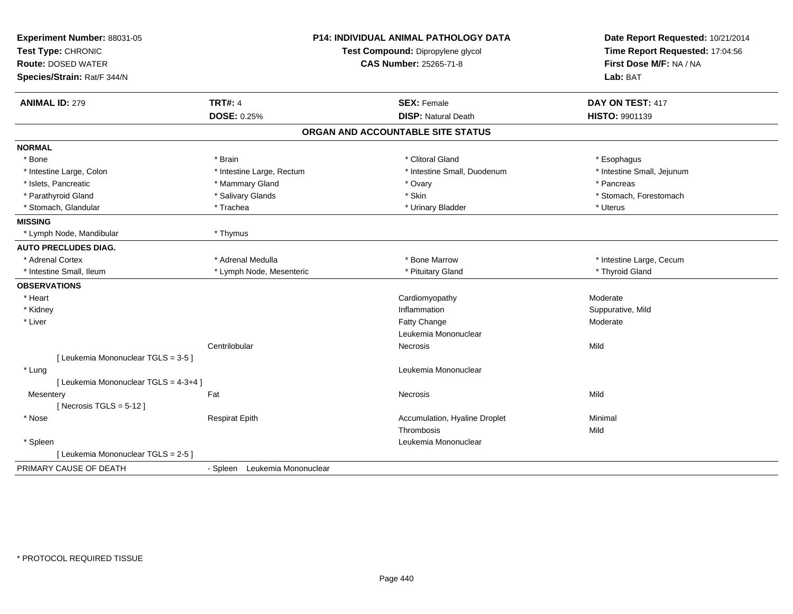| <b>TRT#: 4</b><br><b>ANIMAL ID: 279</b><br><b>SEX: Female</b><br>DAY ON TEST: 417<br><b>DOSE: 0.25%</b><br><b>DISP: Natural Death</b><br>HISTO: 9901139<br>ORGAN AND ACCOUNTABLE SITE STATUS<br><b>NORMAL</b><br>* Clitoral Gland<br>* Bone<br>* Brain<br>* Esophagus<br>* Intestine Large, Rectum<br>* Intestine Small, Jejunum<br>* Intestine Large, Colon<br>* Intestine Small, Duodenum<br>* Islets, Pancreatic<br>* Mammary Gland<br>* Ovary<br>* Pancreas<br>* Skin<br>* Parathyroid Gland<br>* Salivary Glands<br>* Stomach, Forestomach<br>* Stomach, Glandular<br>* Trachea<br>* Urinary Bladder<br>* Uterus<br><b>MISSING</b><br>* Lymph Node, Mandibular<br>* Thymus<br><b>AUTO PRECLUDES DIAG.</b><br>* Adrenal Medulla<br>* Adrenal Cortex<br>* Bone Marrow<br>* Intestine Large, Cecum<br>* Thyroid Gland<br>* Intestine Small, Ileum<br>* Lymph Node, Mesenteric<br>* Pituitary Gland<br><b>OBSERVATIONS</b><br>* Heart<br>Cardiomyopathy<br>Moderate<br>* Kidney<br>Inflammation<br>Suppurative, Mild<br>* Liver<br>Fatty Change<br>Moderate<br>Leukemia Mononuclear<br>Centrilobular<br>Mild<br>Necrosis<br>[ Leukemia Mononuclear TGLS = 3-5 ]<br>Leukemia Mononuclear<br>* Lung<br>[ Leukemia Mononuclear TGLS = 4-3+4 ]<br>Mild<br>Fat<br>Mesentery<br>Necrosis<br>[Necrosis TGLS = $5-12$ ]<br>* Nose<br><b>Respirat Epith</b><br>Accumulation, Hyaline Droplet<br>Minimal<br>Mild<br>Thrombosis<br>Leukemia Mononuclear<br>* Spleen<br>[ Leukemia Mononuclear TGLS = 2-5 ] | Experiment Number: 88031-05<br>Test Type: CHRONIC<br><b>Route: DOSED WATER</b><br>Species/Strain: Rat/F 344/N | <b>P14: INDIVIDUAL ANIMAL PATHOLOGY DATA</b><br>Test Compound: Dipropylene glycol<br><b>CAS Number: 25265-71-8</b> |  | Date Report Requested: 10/21/2014<br>Time Report Requested: 17:04:56<br>First Dose M/F: NA / NA<br>Lab: BAT |  |
|--------------------------------------------------------------------------------------------------------------------------------------------------------------------------------------------------------------------------------------------------------------------------------------------------------------------------------------------------------------------------------------------------------------------------------------------------------------------------------------------------------------------------------------------------------------------------------------------------------------------------------------------------------------------------------------------------------------------------------------------------------------------------------------------------------------------------------------------------------------------------------------------------------------------------------------------------------------------------------------------------------------------------------------------------------------------------------------------------------------------------------------------------------------------------------------------------------------------------------------------------------------------------------------------------------------------------------------------------------------------------------------------------------------------------------------------------------------------------------------------------|---------------------------------------------------------------------------------------------------------------|--------------------------------------------------------------------------------------------------------------------|--|-------------------------------------------------------------------------------------------------------------|--|
|                                                                                                                                                                                                                                                                                                                                                                                                                                                                                                                                                                                                                                                                                                                                                                                                                                                                                                                                                                                                                                                                                                                                                                                                                                                                                                                                                                                                                                                                                                  |                                                                                                               |                                                                                                                    |  |                                                                                                             |  |
|                                                                                                                                                                                                                                                                                                                                                                                                                                                                                                                                                                                                                                                                                                                                                                                                                                                                                                                                                                                                                                                                                                                                                                                                                                                                                                                                                                                                                                                                                                  |                                                                                                               |                                                                                                                    |  |                                                                                                             |  |
|                                                                                                                                                                                                                                                                                                                                                                                                                                                                                                                                                                                                                                                                                                                                                                                                                                                                                                                                                                                                                                                                                                                                                                                                                                                                                                                                                                                                                                                                                                  |                                                                                                               |                                                                                                                    |  |                                                                                                             |  |
|                                                                                                                                                                                                                                                                                                                                                                                                                                                                                                                                                                                                                                                                                                                                                                                                                                                                                                                                                                                                                                                                                                                                                                                                                                                                                                                                                                                                                                                                                                  |                                                                                                               |                                                                                                                    |  |                                                                                                             |  |
|                                                                                                                                                                                                                                                                                                                                                                                                                                                                                                                                                                                                                                                                                                                                                                                                                                                                                                                                                                                                                                                                                                                                                                                                                                                                                                                                                                                                                                                                                                  |                                                                                                               |                                                                                                                    |  |                                                                                                             |  |
|                                                                                                                                                                                                                                                                                                                                                                                                                                                                                                                                                                                                                                                                                                                                                                                                                                                                                                                                                                                                                                                                                                                                                                                                                                                                                                                                                                                                                                                                                                  |                                                                                                               |                                                                                                                    |  |                                                                                                             |  |
|                                                                                                                                                                                                                                                                                                                                                                                                                                                                                                                                                                                                                                                                                                                                                                                                                                                                                                                                                                                                                                                                                                                                                                                                                                                                                                                                                                                                                                                                                                  |                                                                                                               |                                                                                                                    |  |                                                                                                             |  |
|                                                                                                                                                                                                                                                                                                                                                                                                                                                                                                                                                                                                                                                                                                                                                                                                                                                                                                                                                                                                                                                                                                                                                                                                                                                                                                                                                                                                                                                                                                  |                                                                                                               |                                                                                                                    |  |                                                                                                             |  |
|                                                                                                                                                                                                                                                                                                                                                                                                                                                                                                                                                                                                                                                                                                                                                                                                                                                                                                                                                                                                                                                                                                                                                                                                                                                                                                                                                                                                                                                                                                  |                                                                                                               |                                                                                                                    |  |                                                                                                             |  |
|                                                                                                                                                                                                                                                                                                                                                                                                                                                                                                                                                                                                                                                                                                                                                                                                                                                                                                                                                                                                                                                                                                                                                                                                                                                                                                                                                                                                                                                                                                  |                                                                                                               |                                                                                                                    |  |                                                                                                             |  |
|                                                                                                                                                                                                                                                                                                                                                                                                                                                                                                                                                                                                                                                                                                                                                                                                                                                                                                                                                                                                                                                                                                                                                                                                                                                                                                                                                                                                                                                                                                  |                                                                                                               |                                                                                                                    |  |                                                                                                             |  |
|                                                                                                                                                                                                                                                                                                                                                                                                                                                                                                                                                                                                                                                                                                                                                                                                                                                                                                                                                                                                                                                                                                                                                                                                                                                                                                                                                                                                                                                                                                  |                                                                                                               |                                                                                                                    |  |                                                                                                             |  |
|                                                                                                                                                                                                                                                                                                                                                                                                                                                                                                                                                                                                                                                                                                                                                                                                                                                                                                                                                                                                                                                                                                                                                                                                                                                                                                                                                                                                                                                                                                  |                                                                                                               |                                                                                                                    |  |                                                                                                             |  |
|                                                                                                                                                                                                                                                                                                                                                                                                                                                                                                                                                                                                                                                                                                                                                                                                                                                                                                                                                                                                                                                                                                                                                                                                                                                                                                                                                                                                                                                                                                  |                                                                                                               |                                                                                                                    |  |                                                                                                             |  |
|                                                                                                                                                                                                                                                                                                                                                                                                                                                                                                                                                                                                                                                                                                                                                                                                                                                                                                                                                                                                                                                                                                                                                                                                                                                                                                                                                                                                                                                                                                  |                                                                                                               |                                                                                                                    |  |                                                                                                             |  |
|                                                                                                                                                                                                                                                                                                                                                                                                                                                                                                                                                                                                                                                                                                                                                                                                                                                                                                                                                                                                                                                                                                                                                                                                                                                                                                                                                                                                                                                                                                  |                                                                                                               |                                                                                                                    |  |                                                                                                             |  |
|                                                                                                                                                                                                                                                                                                                                                                                                                                                                                                                                                                                                                                                                                                                                                                                                                                                                                                                                                                                                                                                                                                                                                                                                                                                                                                                                                                                                                                                                                                  |                                                                                                               |                                                                                                                    |  |                                                                                                             |  |
|                                                                                                                                                                                                                                                                                                                                                                                                                                                                                                                                                                                                                                                                                                                                                                                                                                                                                                                                                                                                                                                                                                                                                                                                                                                                                                                                                                                                                                                                                                  |                                                                                                               |                                                                                                                    |  |                                                                                                             |  |
|                                                                                                                                                                                                                                                                                                                                                                                                                                                                                                                                                                                                                                                                                                                                                                                                                                                                                                                                                                                                                                                                                                                                                                                                                                                                                                                                                                                                                                                                                                  |                                                                                                               |                                                                                                                    |  |                                                                                                             |  |
|                                                                                                                                                                                                                                                                                                                                                                                                                                                                                                                                                                                                                                                                                                                                                                                                                                                                                                                                                                                                                                                                                                                                                                                                                                                                                                                                                                                                                                                                                                  |                                                                                                               |                                                                                                                    |  |                                                                                                             |  |
|                                                                                                                                                                                                                                                                                                                                                                                                                                                                                                                                                                                                                                                                                                                                                                                                                                                                                                                                                                                                                                                                                                                                                                                                                                                                                                                                                                                                                                                                                                  |                                                                                                               |                                                                                                                    |  |                                                                                                             |  |
|                                                                                                                                                                                                                                                                                                                                                                                                                                                                                                                                                                                                                                                                                                                                                                                                                                                                                                                                                                                                                                                                                                                                                                                                                                                                                                                                                                                                                                                                                                  |                                                                                                               |                                                                                                                    |  |                                                                                                             |  |
|                                                                                                                                                                                                                                                                                                                                                                                                                                                                                                                                                                                                                                                                                                                                                                                                                                                                                                                                                                                                                                                                                                                                                                                                                                                                                                                                                                                                                                                                                                  |                                                                                                               |                                                                                                                    |  |                                                                                                             |  |
|                                                                                                                                                                                                                                                                                                                                                                                                                                                                                                                                                                                                                                                                                                                                                                                                                                                                                                                                                                                                                                                                                                                                                                                                                                                                                                                                                                                                                                                                                                  |                                                                                                               |                                                                                                                    |  |                                                                                                             |  |
|                                                                                                                                                                                                                                                                                                                                                                                                                                                                                                                                                                                                                                                                                                                                                                                                                                                                                                                                                                                                                                                                                                                                                                                                                                                                                                                                                                                                                                                                                                  |                                                                                                               |                                                                                                                    |  |                                                                                                             |  |
|                                                                                                                                                                                                                                                                                                                                                                                                                                                                                                                                                                                                                                                                                                                                                                                                                                                                                                                                                                                                                                                                                                                                                                                                                                                                                                                                                                                                                                                                                                  |                                                                                                               |                                                                                                                    |  |                                                                                                             |  |
|                                                                                                                                                                                                                                                                                                                                                                                                                                                                                                                                                                                                                                                                                                                                                                                                                                                                                                                                                                                                                                                                                                                                                                                                                                                                                                                                                                                                                                                                                                  |                                                                                                               |                                                                                                                    |  |                                                                                                             |  |
|                                                                                                                                                                                                                                                                                                                                                                                                                                                                                                                                                                                                                                                                                                                                                                                                                                                                                                                                                                                                                                                                                                                                                                                                                                                                                                                                                                                                                                                                                                  |                                                                                                               |                                                                                                                    |  |                                                                                                             |  |
|                                                                                                                                                                                                                                                                                                                                                                                                                                                                                                                                                                                                                                                                                                                                                                                                                                                                                                                                                                                                                                                                                                                                                                                                                                                                                                                                                                                                                                                                                                  |                                                                                                               |                                                                                                                    |  |                                                                                                             |  |
| PRIMARY CAUSE OF DEATH<br>- Spleen Leukemia Mononuclear                                                                                                                                                                                                                                                                                                                                                                                                                                                                                                                                                                                                                                                                                                                                                                                                                                                                                                                                                                                                                                                                                                                                                                                                                                                                                                                                                                                                                                          |                                                                                                               |                                                                                                                    |  |                                                                                                             |  |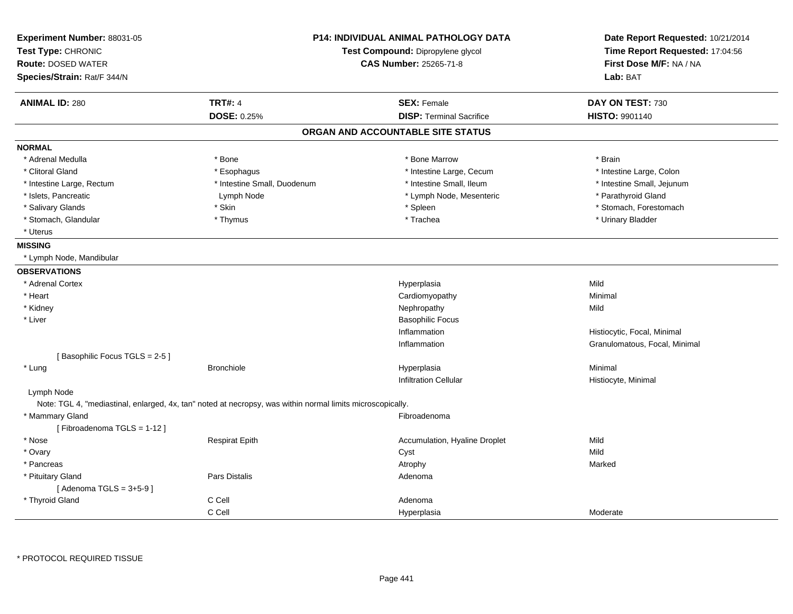| Experiment Number: 88031-05<br>Test Type: CHRONIC<br><b>Route: DOSED WATER</b><br>Species/Strain: Rat/F 344/N | <b>P14: INDIVIDUAL ANIMAL PATHOLOGY DATA</b><br>Test Compound: Dipropylene glycol<br><b>CAS Number: 25265-71-8</b> |                                   | Date Report Requested: 10/21/2014<br>Time Report Requested: 17:04:56<br>First Dose M/F: NA / NA<br>Lab: BAT |
|---------------------------------------------------------------------------------------------------------------|--------------------------------------------------------------------------------------------------------------------|-----------------------------------|-------------------------------------------------------------------------------------------------------------|
|                                                                                                               | <b>TRT#: 4</b>                                                                                                     | <b>SEX: Female</b>                | DAY ON TEST: 730                                                                                            |
| <b>ANIMAL ID: 280</b>                                                                                         | DOSE: 0.25%                                                                                                        | <b>DISP: Terminal Sacrifice</b>   | <b>HISTO: 9901140</b>                                                                                       |
|                                                                                                               |                                                                                                                    |                                   |                                                                                                             |
|                                                                                                               |                                                                                                                    | ORGAN AND ACCOUNTABLE SITE STATUS |                                                                                                             |
| <b>NORMAL</b>                                                                                                 |                                                                                                                    |                                   |                                                                                                             |
| * Adrenal Medulla                                                                                             | * Bone                                                                                                             | * Bone Marrow                     | * Brain                                                                                                     |
| * Clitoral Gland                                                                                              | * Esophagus                                                                                                        | * Intestine Large, Cecum          | * Intestine Large, Colon                                                                                    |
| * Intestine Large, Rectum                                                                                     | * Intestine Small, Duodenum                                                                                        | * Intestine Small, Ileum          | * Intestine Small, Jejunum                                                                                  |
| * Islets, Pancreatic                                                                                          | Lymph Node                                                                                                         | * Lymph Node, Mesenteric          | * Parathyroid Gland                                                                                         |
| * Salivary Glands                                                                                             | * Skin                                                                                                             | * Spleen                          | * Stomach, Forestomach                                                                                      |
| * Stomach, Glandular                                                                                          | * Thymus                                                                                                           | * Trachea                         | * Urinary Bladder                                                                                           |
| * Uterus                                                                                                      |                                                                                                                    |                                   |                                                                                                             |
| <b>MISSING</b>                                                                                                |                                                                                                                    |                                   |                                                                                                             |
| * Lymph Node, Mandibular                                                                                      |                                                                                                                    |                                   |                                                                                                             |
| <b>OBSERVATIONS</b>                                                                                           |                                                                                                                    |                                   |                                                                                                             |
| * Adrenal Cortex                                                                                              |                                                                                                                    | Hyperplasia                       | Mild                                                                                                        |
| * Heart                                                                                                       |                                                                                                                    | Cardiomyopathy                    | Minimal                                                                                                     |
| * Kidney                                                                                                      |                                                                                                                    | Nephropathy                       | Mild                                                                                                        |
| * Liver                                                                                                       |                                                                                                                    | <b>Basophilic Focus</b>           |                                                                                                             |
|                                                                                                               |                                                                                                                    | Inflammation                      | Histiocytic, Focal, Minimal                                                                                 |
|                                                                                                               |                                                                                                                    | Inflammation                      | Granulomatous, Focal, Minimal                                                                               |
| [Basophilic Focus TGLS = $2-5$ ]                                                                              |                                                                                                                    |                                   |                                                                                                             |
| * Lung                                                                                                        | <b>Bronchiole</b>                                                                                                  | Hyperplasia                       | Minimal                                                                                                     |
|                                                                                                               |                                                                                                                    | <b>Infiltration Cellular</b>      | Histiocyte, Minimal                                                                                         |
| Lymph Node                                                                                                    |                                                                                                                    |                                   |                                                                                                             |
|                                                                                                               | Note: TGL 4, "mediastinal, enlarged, 4x, tan" noted at necropsy, was within normal limits microscopically.         |                                   |                                                                                                             |
| * Mammary Gland                                                                                               |                                                                                                                    | Fibroadenoma                      |                                                                                                             |
| [Fibroadenoma TGLS = 1-12]                                                                                    |                                                                                                                    |                                   |                                                                                                             |
| * Nose                                                                                                        | <b>Respirat Epith</b>                                                                                              | Accumulation, Hyaline Droplet     | Mild                                                                                                        |
| * Ovary                                                                                                       |                                                                                                                    | Cyst                              | Mild                                                                                                        |
| * Pancreas                                                                                                    |                                                                                                                    | Atrophy                           | Marked                                                                                                      |
| * Pituitary Gland                                                                                             | <b>Pars Distalis</b>                                                                                               | Adenoma                           |                                                                                                             |
| [Adenoma TGLS = $3+5-9$ ]                                                                                     |                                                                                                                    |                                   |                                                                                                             |
| * Thyroid Gland                                                                                               | C Cell                                                                                                             | Adenoma                           |                                                                                                             |
|                                                                                                               | C Cell                                                                                                             | Hyperplasia                       | Moderate                                                                                                    |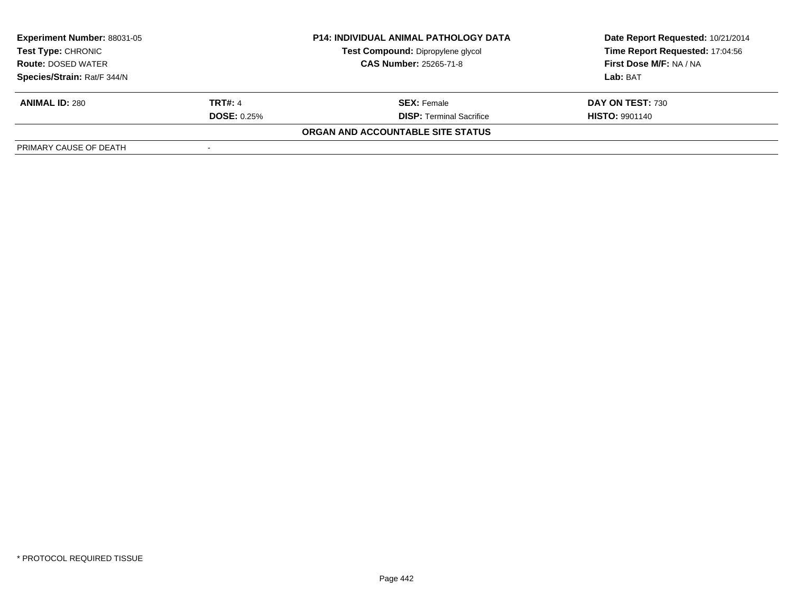| <b>Experiment Number: 88031-05</b><br><b>P14: INDIVIDUAL ANIMAL PATHOLOGY DATA</b><br>Test Compound: Dipropylene glycol<br>Test Type: CHRONIC<br><b>CAS Number: 25265-71-8</b><br><b>Route: DOSED WATER</b> |                    |                                   | Date Report Requested: 10/21/2014 |  |
|-------------------------------------------------------------------------------------------------------------------------------------------------------------------------------------------------------------|--------------------|-----------------------------------|-----------------------------------|--|
|                                                                                                                                                                                                             |                    |                                   | Time Report Requested: 17:04:56   |  |
|                                                                                                                                                                                                             |                    |                                   | First Dose M/F: NA / NA           |  |
| Species/Strain: Rat/F 344/N                                                                                                                                                                                 |                    |                                   | Lab: BAT                          |  |
| <b>ANIMAL ID: 280</b>                                                                                                                                                                                       | <b>TRT#: 4</b>     | <b>SEX:</b> Female                | DAY ON TEST: 730                  |  |
|                                                                                                                                                                                                             | <b>DOSE: 0.25%</b> | <b>DISP: Terminal Sacrifice</b>   | <b>HISTO: 9901140</b>             |  |
|                                                                                                                                                                                                             |                    | ORGAN AND ACCOUNTABLE SITE STATUS |                                   |  |
| PRIMARY CAUSE OF DEATH                                                                                                                                                                                      |                    |                                   |                                   |  |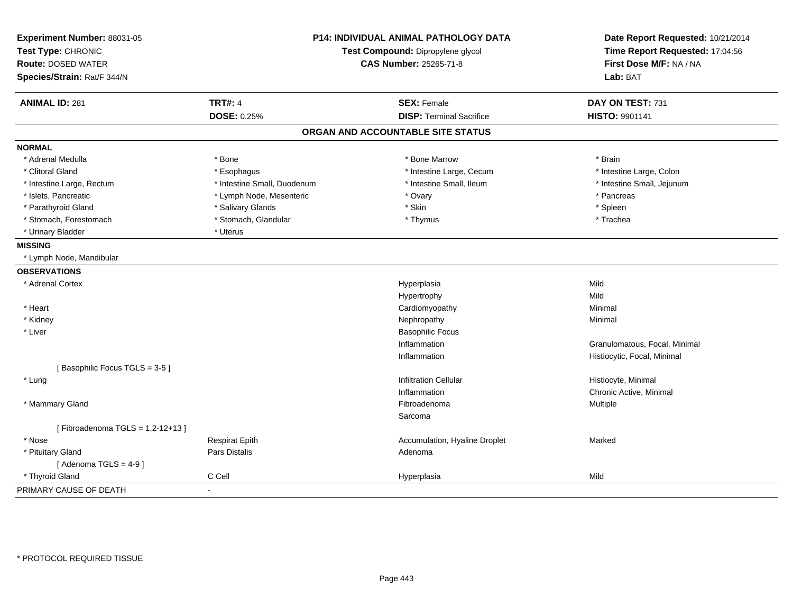| Experiment Number: 88031-05<br>Test Type: CHRONIC<br><b>Route: DOSED WATER</b><br>Species/Strain: Rat/F 344/N |                             | <b>P14: INDIVIDUAL ANIMAL PATHOLOGY DATA</b><br>Test Compound: Dipropylene glycol<br><b>CAS Number: 25265-71-8</b> | Date Report Requested: 10/21/2014<br>Time Report Requested: 17:04:56<br>First Dose M/F: NA / NA<br>Lab: BAT |
|---------------------------------------------------------------------------------------------------------------|-----------------------------|--------------------------------------------------------------------------------------------------------------------|-------------------------------------------------------------------------------------------------------------|
| <b>ANIMAL ID: 281</b>                                                                                         | <b>TRT#: 4</b>              | <b>SEX: Female</b>                                                                                                 | DAY ON TEST: 731                                                                                            |
|                                                                                                               | <b>DOSE: 0.25%</b>          | <b>DISP: Terminal Sacrifice</b>                                                                                    | HISTO: 9901141                                                                                              |
|                                                                                                               |                             | ORGAN AND ACCOUNTABLE SITE STATUS                                                                                  |                                                                                                             |
| <b>NORMAL</b>                                                                                                 |                             |                                                                                                                    |                                                                                                             |
| * Adrenal Medulla                                                                                             | * Bone                      | * Bone Marrow                                                                                                      | * Brain                                                                                                     |
| * Clitoral Gland                                                                                              | * Esophagus                 | * Intestine Large, Cecum                                                                                           | * Intestine Large, Colon                                                                                    |
| * Intestine Large, Rectum                                                                                     | * Intestine Small, Duodenum | * Intestine Small, Ileum                                                                                           | * Intestine Small, Jejunum                                                                                  |
| * Islets, Pancreatic                                                                                          | * Lymph Node, Mesenteric    | * Ovary                                                                                                            | * Pancreas                                                                                                  |
| * Parathyroid Gland                                                                                           | * Salivary Glands           | * Skin                                                                                                             | * Spleen                                                                                                    |
| * Stomach, Forestomach                                                                                        | * Stomach, Glandular        | * Thymus                                                                                                           | * Trachea                                                                                                   |
| * Urinary Bladder                                                                                             | * Uterus                    |                                                                                                                    |                                                                                                             |
| <b>MISSING</b>                                                                                                |                             |                                                                                                                    |                                                                                                             |
| * Lymph Node, Mandibular                                                                                      |                             |                                                                                                                    |                                                                                                             |
| <b>OBSERVATIONS</b>                                                                                           |                             |                                                                                                                    |                                                                                                             |
| * Adrenal Cortex                                                                                              |                             | Hyperplasia                                                                                                        | Mild                                                                                                        |
|                                                                                                               |                             | Hypertrophy                                                                                                        | Mild                                                                                                        |
| * Heart                                                                                                       |                             | Cardiomyopathy                                                                                                     | Minimal                                                                                                     |
| * Kidney                                                                                                      |                             | Nephropathy                                                                                                        | Minimal                                                                                                     |
| * Liver                                                                                                       |                             | <b>Basophilic Focus</b>                                                                                            |                                                                                                             |
|                                                                                                               |                             | Inflammation                                                                                                       | Granulomatous, Focal, Minimal                                                                               |
|                                                                                                               |                             | Inflammation                                                                                                       | Histiocytic, Focal, Minimal                                                                                 |
| [Basophilic Focus TGLS = 3-5]                                                                                 |                             |                                                                                                                    |                                                                                                             |
| * Lung                                                                                                        |                             | <b>Infiltration Cellular</b>                                                                                       | Histiocyte, Minimal                                                                                         |
|                                                                                                               |                             | Inflammation                                                                                                       | Chronic Active, Minimal                                                                                     |
| * Mammary Gland                                                                                               |                             | Fibroadenoma                                                                                                       | Multiple                                                                                                    |
|                                                                                                               |                             | Sarcoma                                                                                                            |                                                                                                             |
| [Fibroadenoma TGLS = $1,2-12+13$ ]                                                                            |                             |                                                                                                                    |                                                                                                             |
| * Nose                                                                                                        | <b>Respirat Epith</b>       | Accumulation, Hyaline Droplet                                                                                      | Marked                                                                                                      |
| * Pituitary Gland                                                                                             | <b>Pars Distalis</b>        | Adenoma                                                                                                            |                                                                                                             |
| [Adenoma TGLS = $4-9$ ]                                                                                       |                             |                                                                                                                    |                                                                                                             |
| * Thyroid Gland                                                                                               | C Cell                      | Hyperplasia                                                                                                        | Mild                                                                                                        |
| PRIMARY CAUSE OF DEATH                                                                                        |                             |                                                                                                                    |                                                                                                             |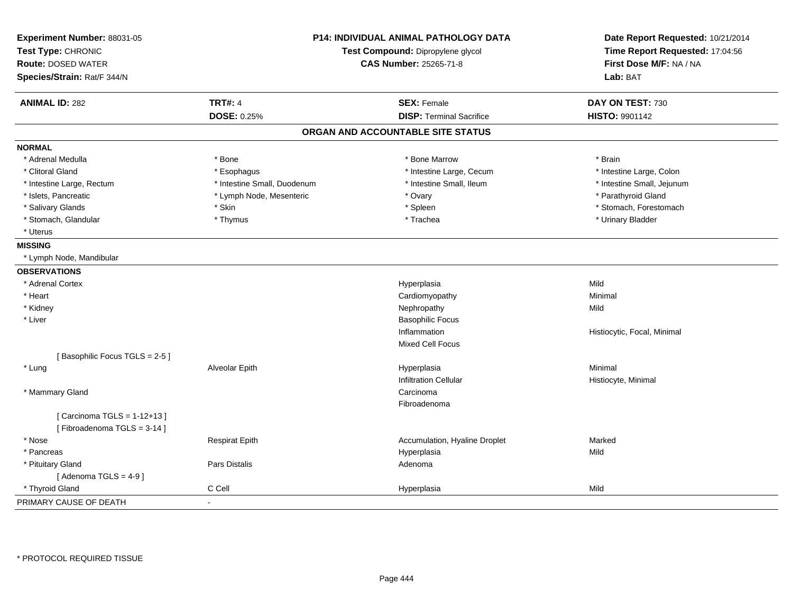| Experiment Number: 88031-05<br>Test Type: CHRONIC<br><b>Route: DOSED WATER</b><br>Species/Strain: Rat/F 344/N | <b>P14: INDIVIDUAL ANIMAL PATHOLOGY DATA</b><br>Test Compound: Dipropylene glycol<br><b>CAS Number: 25265-71-8</b> |                                   | Date Report Requested: 10/21/2014<br>Time Report Requested: 17:04:56<br>First Dose M/F: NA / NA<br>Lab: BAT |
|---------------------------------------------------------------------------------------------------------------|--------------------------------------------------------------------------------------------------------------------|-----------------------------------|-------------------------------------------------------------------------------------------------------------|
| <b>ANIMAL ID: 282</b>                                                                                         | <b>TRT#: 4</b>                                                                                                     | <b>SEX: Female</b>                | DAY ON TEST: 730                                                                                            |
|                                                                                                               | <b>DOSE: 0.25%</b>                                                                                                 | <b>DISP: Terminal Sacrifice</b>   | <b>HISTO: 9901142</b>                                                                                       |
|                                                                                                               |                                                                                                                    | ORGAN AND ACCOUNTABLE SITE STATUS |                                                                                                             |
| <b>NORMAL</b>                                                                                                 |                                                                                                                    |                                   |                                                                                                             |
| * Adrenal Medulla                                                                                             | * Bone                                                                                                             | * Bone Marrow                     | * Brain                                                                                                     |
| * Clitoral Gland                                                                                              | * Esophagus                                                                                                        | * Intestine Large, Cecum          | * Intestine Large, Colon                                                                                    |
| * Intestine Large, Rectum                                                                                     | * Intestine Small, Duodenum                                                                                        | * Intestine Small, Ileum          | * Intestine Small, Jejunum                                                                                  |
| * Islets, Pancreatic                                                                                          | * Lymph Node, Mesenteric                                                                                           | * Ovary                           | * Parathyroid Gland                                                                                         |
| * Salivary Glands                                                                                             | * Skin                                                                                                             | * Spleen                          | * Stomach, Forestomach                                                                                      |
| * Stomach, Glandular                                                                                          | * Thymus                                                                                                           | * Trachea                         | * Urinary Bladder                                                                                           |
| * Uterus                                                                                                      |                                                                                                                    |                                   |                                                                                                             |
| <b>MISSING</b>                                                                                                |                                                                                                                    |                                   |                                                                                                             |
| * Lymph Node, Mandibular                                                                                      |                                                                                                                    |                                   |                                                                                                             |
| <b>OBSERVATIONS</b>                                                                                           |                                                                                                                    |                                   |                                                                                                             |
| * Adrenal Cortex                                                                                              |                                                                                                                    | Hyperplasia                       | Mild                                                                                                        |
| * Heart                                                                                                       |                                                                                                                    | Cardiomyopathy                    | Minimal                                                                                                     |
| * Kidney                                                                                                      |                                                                                                                    | Nephropathy                       | Mild                                                                                                        |
| * Liver                                                                                                       |                                                                                                                    | <b>Basophilic Focus</b>           |                                                                                                             |
|                                                                                                               |                                                                                                                    | Inflammation                      | Histiocytic, Focal, Minimal                                                                                 |
|                                                                                                               |                                                                                                                    | Mixed Cell Focus                  |                                                                                                             |
| [Basophilic Focus TGLS = 2-5]                                                                                 |                                                                                                                    |                                   |                                                                                                             |
| * Lung                                                                                                        | Alveolar Epith                                                                                                     | Hyperplasia                       | Minimal                                                                                                     |
|                                                                                                               |                                                                                                                    | <b>Infiltration Cellular</b>      | Histiocyte, Minimal                                                                                         |
| * Mammary Gland                                                                                               |                                                                                                                    | Carcinoma                         |                                                                                                             |
|                                                                                                               |                                                                                                                    | Fibroadenoma                      |                                                                                                             |
| [ Carcinoma TGLS = 1-12+13 ]                                                                                  |                                                                                                                    |                                   |                                                                                                             |
| [Fibroadenoma TGLS = 3-14]                                                                                    |                                                                                                                    |                                   |                                                                                                             |
| * Nose                                                                                                        | <b>Respirat Epith</b>                                                                                              | Accumulation, Hyaline Droplet     | Marked                                                                                                      |
| * Pancreas                                                                                                    |                                                                                                                    | Hyperplasia                       | Mild                                                                                                        |
| * Pituitary Gland                                                                                             | Pars Distalis                                                                                                      | Adenoma                           |                                                                                                             |
| [Adenoma TGLS = $4-9$ ]                                                                                       |                                                                                                                    |                                   |                                                                                                             |
| * Thyroid Gland                                                                                               | C Cell                                                                                                             | Hyperplasia                       | Mild                                                                                                        |
| PRIMARY CAUSE OF DEATH                                                                                        | ä,                                                                                                                 |                                   |                                                                                                             |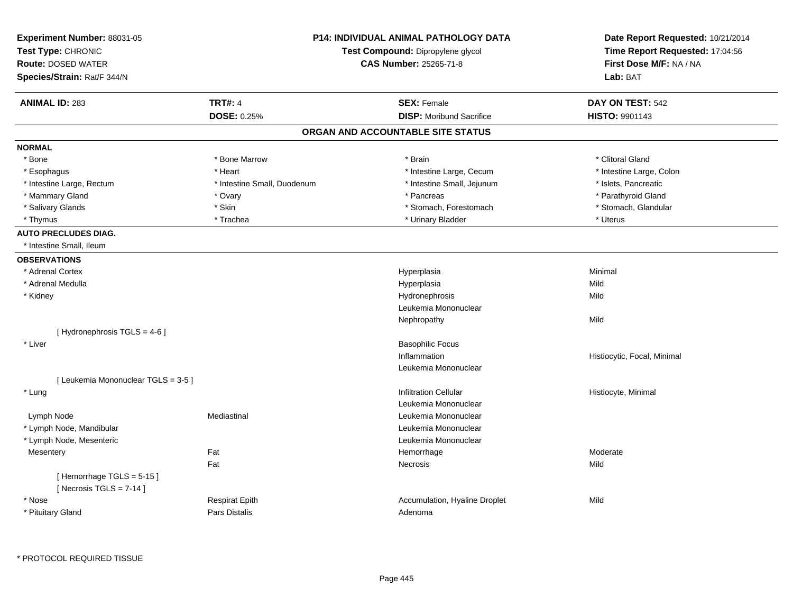| Experiment Number: 88031-05<br>Test Type: CHRONIC |                             | <b>P14: INDIVIDUAL ANIMAL PATHOLOGY DATA</b><br>Test Compound: Dipropylene glycol | Date Report Requested: 10/21/2014<br>Time Report Requested: 17:04:56 |
|---------------------------------------------------|-----------------------------|-----------------------------------------------------------------------------------|----------------------------------------------------------------------|
| <b>Route: DOSED WATER</b>                         |                             | CAS Number: 25265-71-8                                                            | First Dose M/F: NA / NA                                              |
| Species/Strain: Rat/F 344/N                       |                             |                                                                                   | Lab: BAT                                                             |
| <b>ANIMAL ID: 283</b>                             | <b>TRT#: 4</b>              | <b>SEX: Female</b>                                                                | DAY ON TEST: 542                                                     |
|                                                   | <b>DOSE: 0.25%</b>          | <b>DISP:</b> Moribund Sacrifice                                                   | HISTO: 9901143                                                       |
|                                                   |                             | ORGAN AND ACCOUNTABLE SITE STATUS                                                 |                                                                      |
| <b>NORMAL</b>                                     |                             |                                                                                   |                                                                      |
| * Bone                                            | * Bone Marrow               | * Brain                                                                           | * Clitoral Gland                                                     |
| * Esophagus                                       | * Heart                     | * Intestine Large, Cecum                                                          | * Intestine Large, Colon                                             |
| * Intestine Large, Rectum                         | * Intestine Small, Duodenum | * Intestine Small, Jejunum                                                        | * Islets, Pancreatic                                                 |
| * Mammary Gland                                   | * Ovary                     | * Pancreas                                                                        | * Parathyroid Gland                                                  |
| * Salivary Glands                                 | * Skin                      | * Stomach, Forestomach                                                            | * Stomach, Glandular                                                 |
| * Thymus                                          | * Trachea                   | * Urinary Bladder                                                                 | * Uterus                                                             |
| <b>AUTO PRECLUDES DIAG.</b>                       |                             |                                                                                   |                                                                      |
| * Intestine Small, Ileum                          |                             |                                                                                   |                                                                      |
| <b>OBSERVATIONS</b>                               |                             |                                                                                   |                                                                      |
| * Adrenal Cortex                                  |                             | Hyperplasia                                                                       | Minimal                                                              |
| * Adrenal Medulla                                 |                             | Hyperplasia                                                                       | Mild                                                                 |
| * Kidney                                          |                             | Hydronephrosis                                                                    | Mild                                                                 |
|                                                   |                             | Leukemia Mononuclear                                                              |                                                                      |
|                                                   |                             | Nephropathy                                                                       | Mild                                                                 |
| [Hydronephrosis TGLS = 4-6]                       |                             |                                                                                   |                                                                      |
| * Liver                                           |                             | <b>Basophilic Focus</b>                                                           |                                                                      |
|                                                   |                             | Inflammation                                                                      | Histiocytic, Focal, Minimal                                          |
|                                                   |                             | Leukemia Mononuclear                                                              |                                                                      |
| [ Leukemia Mononuclear TGLS = 3-5 ]               |                             |                                                                                   |                                                                      |
| * Lung                                            |                             | <b>Infiltration Cellular</b>                                                      | Histiocyte, Minimal                                                  |
|                                                   |                             | Leukemia Mononuclear                                                              |                                                                      |
| Lymph Node                                        | Mediastinal                 | Leukemia Mononuclear                                                              |                                                                      |
| * Lymph Node, Mandibular                          |                             | Leukemia Mononuclear                                                              |                                                                      |
| * Lymph Node, Mesenteric                          |                             | Leukemia Mononuclear                                                              |                                                                      |
| Mesentery                                         | Fat                         | Hemorrhage                                                                        | Moderate                                                             |
|                                                   | Fat                         | Necrosis                                                                          | Mild                                                                 |
| [Hemorrhage TGLS = 5-15]                          |                             |                                                                                   |                                                                      |
| [ Necrosis TGLS = $7-14$ ]                        |                             |                                                                                   |                                                                      |
| * Nose                                            | <b>Respirat Epith</b>       | Accumulation, Hyaline Droplet                                                     | Mild                                                                 |
| * Pituitary Gland                                 | Pars Distalis               | Adenoma                                                                           |                                                                      |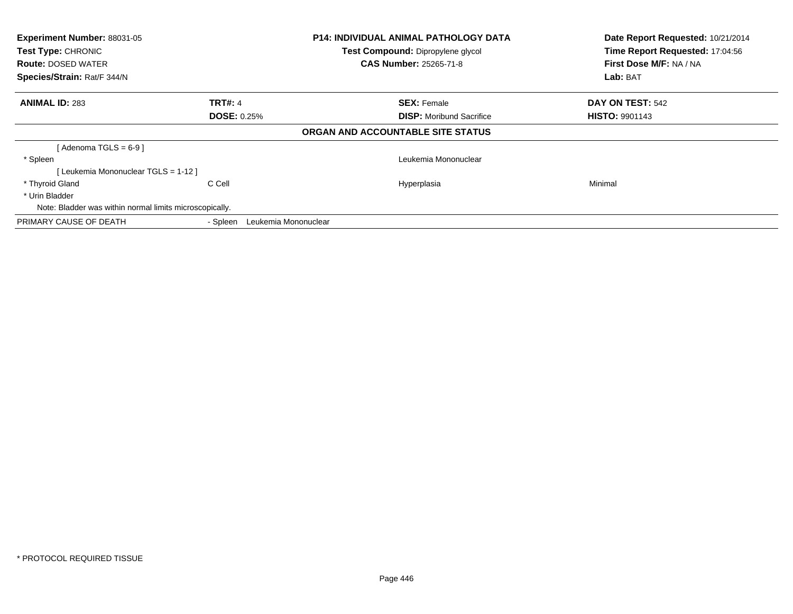| Experiment Number: 88031-05<br><b>Test Type: CHRONIC</b><br><b>Route: DOSED WATER</b><br>Species/Strain: Rat/F 344/N |                                  | <b>P14: INDIVIDUAL ANIMAL PATHOLOGY DATA</b><br>Test Compound: Dipropylene glycol<br><b>CAS Number: 25265-71-8</b> | Date Report Requested: 10/21/2014<br>Time Report Requested: 17:04:56<br>First Dose M/F: NA / NA<br>Lab: BAT |
|----------------------------------------------------------------------------------------------------------------------|----------------------------------|--------------------------------------------------------------------------------------------------------------------|-------------------------------------------------------------------------------------------------------------|
| <b>ANIMAL ID: 283</b>                                                                                                | <b>TRT#: 4</b>                   | <b>SEX: Female</b>                                                                                                 | DAY ON TEST: 542                                                                                            |
|                                                                                                                      | <b>DOSE: 0.25%</b>               | <b>DISP:</b> Moribund Sacrifice                                                                                    | <b>HISTO: 9901143</b>                                                                                       |
|                                                                                                                      |                                  | ORGAN AND ACCOUNTABLE SITE STATUS                                                                                  |                                                                                                             |
| [ Adenoma TGLS = 6-9 ]                                                                                               |                                  |                                                                                                                    |                                                                                                             |
| * Spleen                                                                                                             |                                  | Leukemia Mononuclear                                                                                               |                                                                                                             |
| [ Leukemia Mononuclear TGLS = 1-12 ]                                                                                 |                                  |                                                                                                                    |                                                                                                             |
| * Thyroid Gland                                                                                                      | C Cell                           | Hyperplasia                                                                                                        | Minimal                                                                                                     |
| * Urin Bladder                                                                                                       |                                  |                                                                                                                    |                                                                                                             |
| Note: Bladder was within normal limits microscopically.                                                              |                                  |                                                                                                                    |                                                                                                             |
| PRIMARY CAUSE OF DEATH                                                                                               | Leukemia Mononuclear<br>- Spleen |                                                                                                                    |                                                                                                             |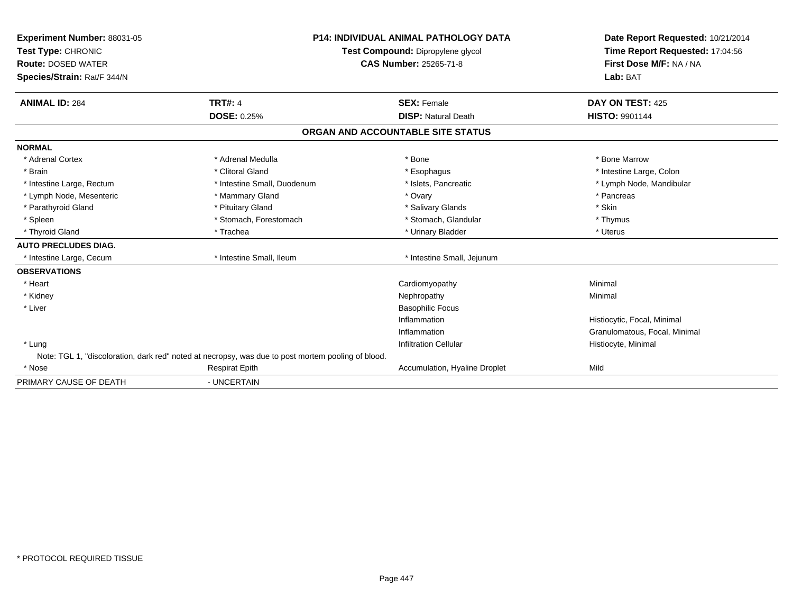| Experiment Number: 88031-05<br>Test Type: CHRONIC<br><b>Route: DOSED WATER</b><br>Species/Strain: Rat/F 344/N |                                                                                                    | <b>P14: INDIVIDUAL ANIMAL PATHOLOGY DATA</b><br>Test Compound: Dipropylene glycol<br><b>CAS Number: 25265-71-8</b> | Date Report Requested: 10/21/2014<br>Time Report Requested: 17:04:56<br>First Dose M/F: NA / NA<br>Lab: BAT |
|---------------------------------------------------------------------------------------------------------------|----------------------------------------------------------------------------------------------------|--------------------------------------------------------------------------------------------------------------------|-------------------------------------------------------------------------------------------------------------|
| <b>ANIMAL ID: 284</b>                                                                                         | <b>TRT#: 4</b>                                                                                     | <b>SEX: Female</b>                                                                                                 | DAY ON TEST: 425                                                                                            |
|                                                                                                               | <b>DOSE: 0.25%</b>                                                                                 | <b>DISP: Natural Death</b>                                                                                         | <b>HISTO: 9901144</b>                                                                                       |
|                                                                                                               |                                                                                                    | ORGAN AND ACCOUNTABLE SITE STATUS                                                                                  |                                                                                                             |
| <b>NORMAL</b>                                                                                                 |                                                                                                    |                                                                                                                    |                                                                                                             |
| * Adrenal Cortex                                                                                              | * Adrenal Medulla                                                                                  | * Bone                                                                                                             | * Bone Marrow                                                                                               |
| * Brain                                                                                                       | * Clitoral Gland                                                                                   | * Esophagus                                                                                                        | * Intestine Large, Colon                                                                                    |
| * Intestine Large, Rectum                                                                                     | * Intestine Small, Duodenum                                                                        | * Islets, Pancreatic                                                                                               | * Lymph Node, Mandibular                                                                                    |
| * Lymph Node, Mesenteric                                                                                      | * Mammary Gland                                                                                    | * Ovary                                                                                                            | * Pancreas                                                                                                  |
| * Parathyroid Gland                                                                                           | * Pituitary Gland                                                                                  | * Salivary Glands                                                                                                  | * Skin                                                                                                      |
| * Spleen                                                                                                      | * Stomach, Forestomach                                                                             | * Stomach, Glandular                                                                                               | * Thymus                                                                                                    |
| * Thyroid Gland                                                                                               | * Trachea                                                                                          | * Urinary Bladder                                                                                                  | * Uterus                                                                                                    |
| <b>AUTO PRECLUDES DIAG.</b>                                                                                   |                                                                                                    |                                                                                                                    |                                                                                                             |
| * Intestine Large, Cecum                                                                                      | * Intestine Small, Ileum                                                                           | * Intestine Small, Jejunum                                                                                         |                                                                                                             |
| <b>OBSERVATIONS</b>                                                                                           |                                                                                                    |                                                                                                                    |                                                                                                             |
| * Heart                                                                                                       |                                                                                                    | Cardiomyopathy                                                                                                     | Minimal                                                                                                     |
| * Kidney                                                                                                      |                                                                                                    | Nephropathy                                                                                                        | Minimal                                                                                                     |
| * Liver                                                                                                       |                                                                                                    | <b>Basophilic Focus</b>                                                                                            |                                                                                                             |
|                                                                                                               |                                                                                                    | Inflammation                                                                                                       | Histiocytic, Focal, Minimal                                                                                 |
|                                                                                                               |                                                                                                    | Inflammation                                                                                                       | Granulomatous, Focal, Minimal                                                                               |
| * Lung                                                                                                        |                                                                                                    | <b>Infiltration Cellular</b>                                                                                       | Histiocyte, Minimal                                                                                         |
|                                                                                                               | Note: TGL 1, "discoloration, dark red" noted at necropsy, was due to post mortem pooling of blood. |                                                                                                                    |                                                                                                             |
| * Nose                                                                                                        | <b>Respirat Epith</b>                                                                              | Accumulation, Hyaline Droplet                                                                                      | Mild                                                                                                        |
| PRIMARY CAUSE OF DEATH                                                                                        | - UNCERTAIN                                                                                        |                                                                                                                    |                                                                                                             |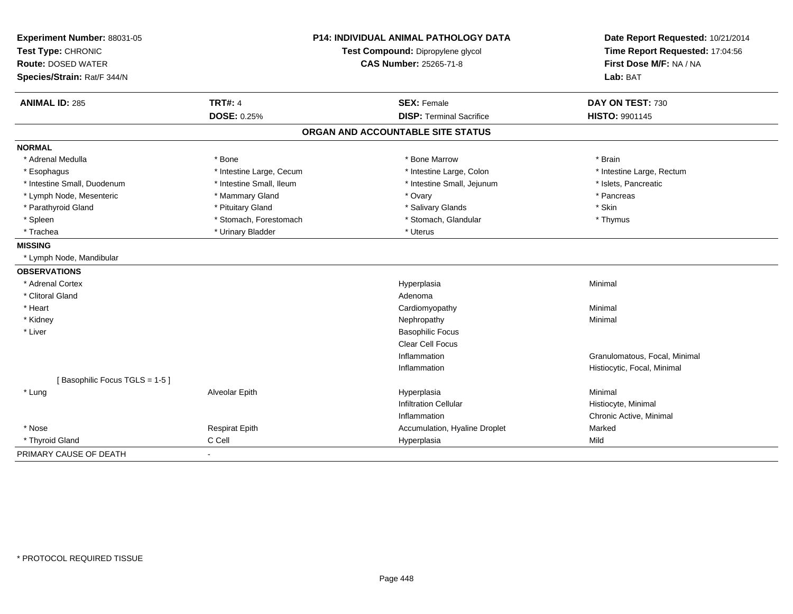| Experiment Number: 88031-05   | <b>P14: INDIVIDUAL ANIMAL PATHOLOGY DATA</b><br>Test Compound: Dipropylene glycol |                                   | Date Report Requested: 10/21/2014 |
|-------------------------------|-----------------------------------------------------------------------------------|-----------------------------------|-----------------------------------|
| Test Type: CHRONIC            |                                                                                   |                                   | Time Report Requested: 17:04:56   |
| <b>Route: DOSED WATER</b>     |                                                                                   | <b>CAS Number: 25265-71-8</b>     | First Dose M/F: NA / NA           |
| Species/Strain: Rat/F 344/N   |                                                                                   |                                   | Lab: BAT                          |
| <b>ANIMAL ID: 285</b>         | <b>TRT#: 4</b>                                                                    | <b>SEX: Female</b>                | DAY ON TEST: 730                  |
|                               | DOSE: 0.25%                                                                       | <b>DISP: Terminal Sacrifice</b>   | HISTO: 9901145                    |
|                               |                                                                                   | ORGAN AND ACCOUNTABLE SITE STATUS |                                   |
| <b>NORMAL</b>                 |                                                                                   |                                   |                                   |
| * Adrenal Medulla             | * Bone                                                                            | * Bone Marrow                     | * Brain                           |
| * Esophagus                   | * Intestine Large, Cecum                                                          | * Intestine Large, Colon          | * Intestine Large, Rectum         |
| * Intestine Small, Duodenum   | * Intestine Small, Ileum                                                          | * Intestine Small, Jejunum        | * Islets, Pancreatic              |
| * Lymph Node, Mesenteric      | * Mammary Gland                                                                   | * Ovary                           | * Pancreas                        |
| * Parathyroid Gland           | * Pituitary Gland                                                                 | * Salivary Glands                 | * Skin                            |
| * Spleen                      | * Stomach, Forestomach                                                            | * Stomach, Glandular              | * Thymus                          |
| * Trachea                     | * Urinary Bladder                                                                 | * Uterus                          |                                   |
| <b>MISSING</b>                |                                                                                   |                                   |                                   |
| * Lymph Node, Mandibular      |                                                                                   |                                   |                                   |
| <b>OBSERVATIONS</b>           |                                                                                   |                                   |                                   |
| * Adrenal Cortex              |                                                                                   | Hyperplasia                       | Minimal                           |
| * Clitoral Gland              |                                                                                   | Adenoma                           |                                   |
| * Heart                       |                                                                                   | Cardiomyopathy                    | Minimal                           |
| * Kidney                      |                                                                                   | Nephropathy                       | Minimal                           |
| * Liver                       |                                                                                   | <b>Basophilic Focus</b>           |                                   |
|                               |                                                                                   | Clear Cell Focus                  |                                   |
|                               |                                                                                   | Inflammation                      | Granulomatous, Focal, Minimal     |
|                               |                                                                                   | Inflammation                      | Histiocytic, Focal, Minimal       |
| [Basophilic Focus TGLS = 1-5] |                                                                                   |                                   |                                   |
| * Lung                        | Alveolar Epith                                                                    | Hyperplasia                       | Minimal                           |
|                               |                                                                                   | <b>Infiltration Cellular</b>      | Histiocyte, Minimal               |
|                               |                                                                                   | Inflammation                      | Chronic Active, Minimal           |
| * Nose                        | <b>Respirat Epith</b>                                                             | Accumulation, Hyaline Droplet     | Marked                            |
| * Thyroid Gland               | C Cell                                                                            | Hyperplasia                       | Mild                              |
| PRIMARY CAUSE OF DEATH        | $\blacksquare$                                                                    |                                   |                                   |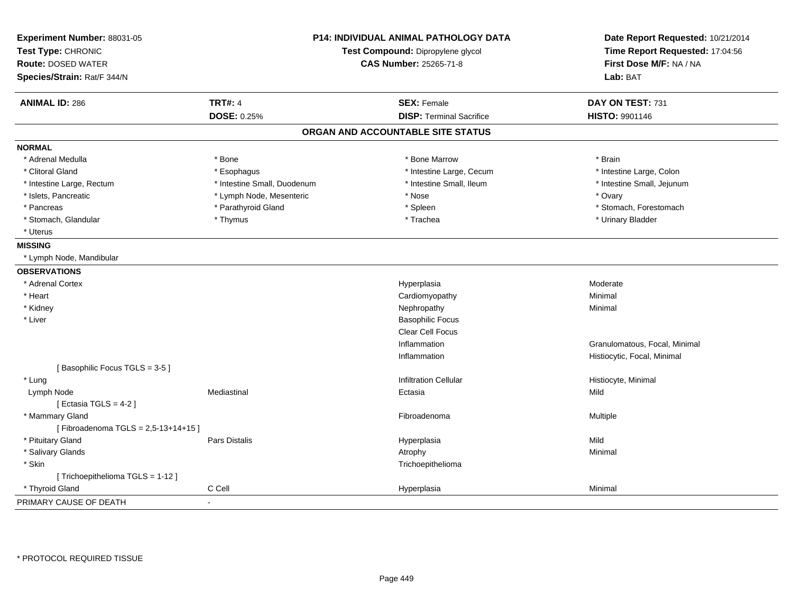| Experiment Number: 88031-05<br>Test Type: CHRONIC<br><b>Route: DOSED WATER</b><br>Species/Strain: Rat/F 344/N |                             | <b>P14: INDIVIDUAL ANIMAL PATHOLOGY DATA</b><br>Test Compound: Dipropylene glycol<br><b>CAS Number: 25265-71-8</b> | Date Report Requested: 10/21/2014<br>Time Report Requested: 17:04:56<br>First Dose M/F: NA / NA<br>Lab: BAT |
|---------------------------------------------------------------------------------------------------------------|-----------------------------|--------------------------------------------------------------------------------------------------------------------|-------------------------------------------------------------------------------------------------------------|
| <b>ANIMAL ID: 286</b>                                                                                         | <b>TRT#: 4</b>              | <b>SEX: Female</b>                                                                                                 | DAY ON TEST: 731                                                                                            |
|                                                                                                               | <b>DOSE: 0.25%</b>          | <b>DISP: Terminal Sacrifice</b>                                                                                    | HISTO: 9901146                                                                                              |
|                                                                                                               |                             | ORGAN AND ACCOUNTABLE SITE STATUS                                                                                  |                                                                                                             |
| <b>NORMAL</b>                                                                                                 |                             |                                                                                                                    |                                                                                                             |
| * Adrenal Medulla                                                                                             | * Bone                      | * Bone Marrow                                                                                                      | * Brain                                                                                                     |
| * Clitoral Gland                                                                                              | * Esophagus                 | * Intestine Large, Cecum                                                                                           | * Intestine Large, Colon                                                                                    |
| * Intestine Large, Rectum                                                                                     | * Intestine Small, Duodenum | * Intestine Small, Ileum                                                                                           | * Intestine Small, Jejunum                                                                                  |
| * Islets, Pancreatic                                                                                          | * Lymph Node, Mesenteric    | * Nose                                                                                                             | * Ovary                                                                                                     |
| * Pancreas                                                                                                    | * Parathyroid Gland         | * Spleen                                                                                                           | * Stomach, Forestomach                                                                                      |
| * Stomach, Glandular                                                                                          | * Thymus                    | * Trachea                                                                                                          | * Urinary Bladder                                                                                           |
| * Uterus                                                                                                      |                             |                                                                                                                    |                                                                                                             |
| <b>MISSING</b>                                                                                                |                             |                                                                                                                    |                                                                                                             |
| * Lymph Node, Mandibular                                                                                      |                             |                                                                                                                    |                                                                                                             |
| <b>OBSERVATIONS</b>                                                                                           |                             |                                                                                                                    |                                                                                                             |
| * Adrenal Cortex                                                                                              |                             | Hyperplasia                                                                                                        | Moderate                                                                                                    |
| * Heart                                                                                                       |                             | Cardiomyopathy                                                                                                     | Minimal                                                                                                     |
| * Kidney                                                                                                      |                             | Nephropathy                                                                                                        | Minimal                                                                                                     |
| * Liver                                                                                                       |                             | <b>Basophilic Focus</b>                                                                                            |                                                                                                             |
|                                                                                                               |                             | <b>Clear Cell Focus</b>                                                                                            |                                                                                                             |
|                                                                                                               |                             | Inflammation                                                                                                       | Granulomatous, Focal, Minimal                                                                               |
|                                                                                                               |                             | Inflammation                                                                                                       | Histiocytic, Focal, Minimal                                                                                 |
| [Basophilic Focus TGLS = 3-5]                                                                                 |                             |                                                                                                                    |                                                                                                             |
| * Lung                                                                                                        |                             | <b>Infiltration Cellular</b>                                                                                       | Histiocyte, Minimal                                                                                         |
| Lymph Node                                                                                                    | Mediastinal                 | Ectasia                                                                                                            | Mild                                                                                                        |
| [ Ectasia TGLS = $4-2$ ]                                                                                      |                             |                                                                                                                    |                                                                                                             |
| * Mammary Gland                                                                                               |                             | Fibroadenoma                                                                                                       | Multiple                                                                                                    |
| [Fibroadenoma TGLS = 2,5-13+14+15]                                                                            |                             |                                                                                                                    |                                                                                                             |
| * Pituitary Gland                                                                                             | Pars Distalis               | Hyperplasia                                                                                                        | Mild                                                                                                        |
| * Salivary Glands                                                                                             |                             | Atrophy                                                                                                            | Minimal                                                                                                     |
| * Skin                                                                                                        |                             | Trichoepithelioma                                                                                                  |                                                                                                             |
| [ Trichoepithelioma TGLS = 1-12 ]                                                                             |                             |                                                                                                                    |                                                                                                             |
| * Thyroid Gland                                                                                               | C Cell                      | Hyperplasia                                                                                                        | Minimal                                                                                                     |
| PRIMARY CAUSE OF DEATH                                                                                        |                             |                                                                                                                    |                                                                                                             |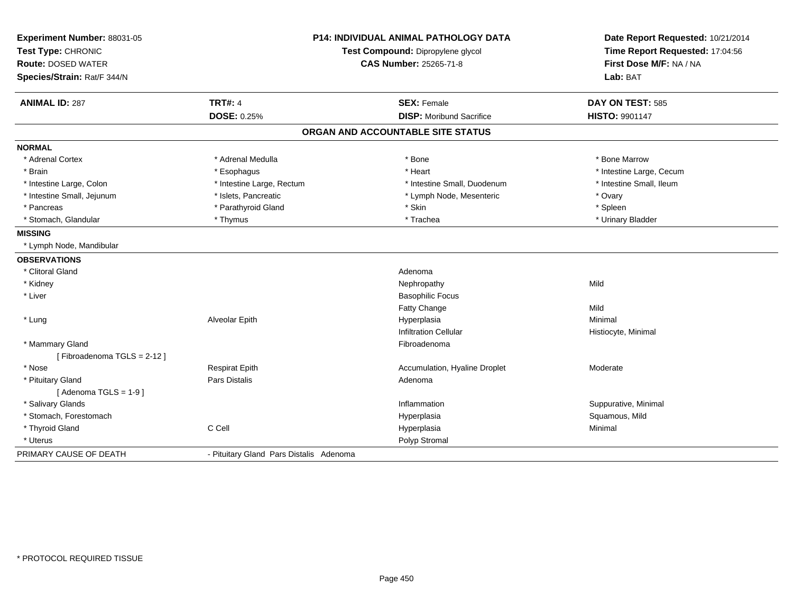| Experiment Number: 88031-05 | <b>P14: INDIVIDUAL ANIMAL PATHOLOGY DATA</b><br>Test Compound: Dipropylene glycol |                                   | Date Report Requested: 10/21/2014 |
|-----------------------------|-----------------------------------------------------------------------------------|-----------------------------------|-----------------------------------|
| Test Type: CHRONIC          |                                                                                   |                                   | Time Report Requested: 17:04:56   |
| <b>Route: DOSED WATER</b>   |                                                                                   | <b>CAS Number: 25265-71-8</b>     | First Dose M/F: NA / NA           |
| Species/Strain: Rat/F 344/N |                                                                                   |                                   | Lab: BAT                          |
| <b>ANIMAL ID: 287</b>       | <b>TRT#: 4</b>                                                                    | <b>SEX: Female</b>                | DAY ON TEST: 585                  |
|                             | <b>DOSE: 0.25%</b>                                                                | <b>DISP:</b> Moribund Sacrifice   | <b>HISTO: 9901147</b>             |
|                             |                                                                                   | ORGAN AND ACCOUNTABLE SITE STATUS |                                   |
| <b>NORMAL</b>               |                                                                                   |                                   |                                   |
| * Adrenal Cortex            | * Adrenal Medulla                                                                 | * Bone                            | * Bone Marrow                     |
| * Brain                     | * Esophagus                                                                       | * Heart                           | * Intestine Large, Cecum          |
| * Intestine Large, Colon    | * Intestine Large, Rectum                                                         | * Intestine Small, Duodenum       | * Intestine Small, Ileum          |
| * Intestine Small, Jejunum  | * Islets, Pancreatic                                                              | * Lymph Node, Mesenteric          | * Ovary                           |
| * Pancreas                  | * Parathyroid Gland                                                               | * Skin                            | * Spleen                          |
| * Stomach, Glandular        | * Thymus                                                                          | * Trachea                         | * Urinary Bladder                 |
| <b>MISSING</b>              |                                                                                   |                                   |                                   |
| * Lymph Node, Mandibular    |                                                                                   |                                   |                                   |
| <b>OBSERVATIONS</b>         |                                                                                   |                                   |                                   |
| * Clitoral Gland            |                                                                                   | Adenoma                           |                                   |
| * Kidney                    |                                                                                   | Nephropathy                       | Mild                              |
| * Liver                     |                                                                                   | <b>Basophilic Focus</b>           |                                   |
|                             |                                                                                   | <b>Fatty Change</b>               | Mild                              |
| * Lung                      | Alveolar Epith                                                                    | Hyperplasia                       | Minimal                           |
|                             |                                                                                   | <b>Infiltration Cellular</b>      | Histiocyte, Minimal               |
| * Mammary Gland             |                                                                                   | Fibroadenoma                      |                                   |
| [Fibroadenoma TGLS = 2-12]  |                                                                                   |                                   |                                   |
| * Nose                      | <b>Respirat Epith</b>                                                             | Accumulation, Hyaline Droplet     | Moderate                          |
| * Pituitary Gland           | <b>Pars Distalis</b>                                                              | Adenoma                           |                                   |
| [Adenoma TGLS = $1-9$ ]     |                                                                                   |                                   |                                   |
| * Salivary Glands           |                                                                                   | Inflammation                      | Suppurative, Minimal              |
| * Stomach, Forestomach      |                                                                                   | Hyperplasia                       | Squamous, Mild                    |
| * Thyroid Gland             | C Cell                                                                            | Hyperplasia                       | Minimal                           |
| * Uterus                    |                                                                                   | Polyp Stromal                     |                                   |
| PRIMARY CAUSE OF DEATH      | - Pituitary Gland Pars Distalis Adenoma                                           |                                   |                                   |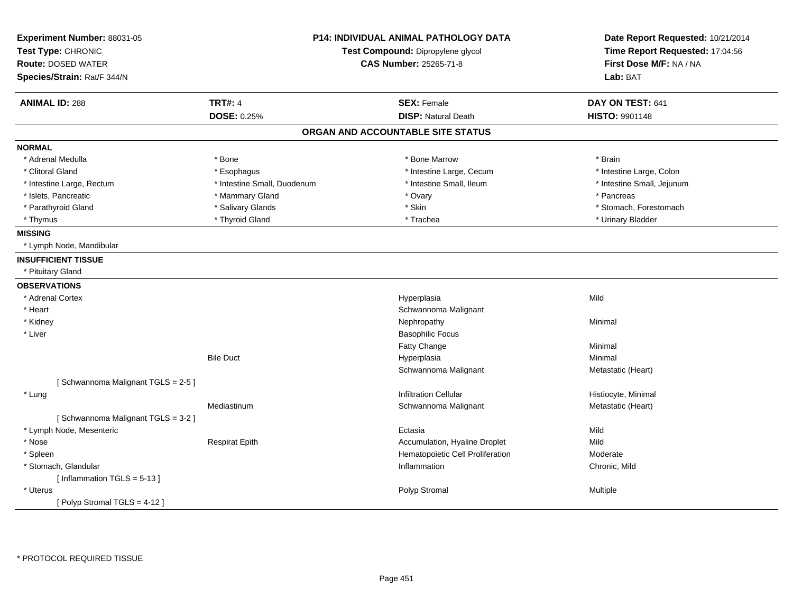| Experiment Number: 88031-05<br>Test Type: CHRONIC<br><b>Route: DOSED WATER</b><br>Species/Strain: Rat/F 344/N |                             | <b>P14: INDIVIDUAL ANIMAL PATHOLOGY DATA</b><br>Test Compound: Dipropylene glycol<br><b>CAS Number: 25265-71-8</b> | Date Report Requested: 10/21/2014<br>Time Report Requested: 17:04:56<br>First Dose M/F: NA / NA<br>Lab: BAT |
|---------------------------------------------------------------------------------------------------------------|-----------------------------|--------------------------------------------------------------------------------------------------------------------|-------------------------------------------------------------------------------------------------------------|
| <b>ANIMAL ID: 288</b>                                                                                         | <b>TRT#: 4</b>              | <b>SEX: Female</b>                                                                                                 | DAY ON TEST: 641                                                                                            |
|                                                                                                               | DOSE: 0.25%                 | <b>DISP: Natural Death</b>                                                                                         | HISTO: 9901148                                                                                              |
|                                                                                                               |                             | ORGAN AND ACCOUNTABLE SITE STATUS                                                                                  |                                                                                                             |
| <b>NORMAL</b>                                                                                                 |                             |                                                                                                                    |                                                                                                             |
| * Adrenal Medulla                                                                                             | * Bone                      | * Bone Marrow                                                                                                      | * Brain                                                                                                     |
| * Clitoral Gland                                                                                              | * Esophagus                 | * Intestine Large, Cecum                                                                                           | * Intestine Large, Colon                                                                                    |
| * Intestine Large, Rectum                                                                                     | * Intestine Small, Duodenum | * Intestine Small, Ileum                                                                                           | * Intestine Small, Jejunum                                                                                  |
| * Islets, Pancreatic                                                                                          | * Mammary Gland             | * Ovary                                                                                                            | * Pancreas                                                                                                  |
| * Parathyroid Gland                                                                                           | * Salivary Glands           | * Skin                                                                                                             | * Stomach, Forestomach                                                                                      |
| * Thymus                                                                                                      | * Thyroid Gland             | * Trachea                                                                                                          | * Urinary Bladder                                                                                           |
| <b>MISSING</b>                                                                                                |                             |                                                                                                                    |                                                                                                             |
| * Lymph Node, Mandibular                                                                                      |                             |                                                                                                                    |                                                                                                             |
| <b>INSUFFICIENT TISSUE</b>                                                                                    |                             |                                                                                                                    |                                                                                                             |
| * Pituitary Gland                                                                                             |                             |                                                                                                                    |                                                                                                             |
| <b>OBSERVATIONS</b>                                                                                           |                             |                                                                                                                    |                                                                                                             |
| * Adrenal Cortex                                                                                              |                             | Hyperplasia                                                                                                        | Mild                                                                                                        |
| * Heart                                                                                                       |                             | Schwannoma Malignant                                                                                               |                                                                                                             |
| * Kidney                                                                                                      |                             | Nephropathy                                                                                                        | Minimal                                                                                                     |
| * Liver                                                                                                       |                             | <b>Basophilic Focus</b>                                                                                            |                                                                                                             |
|                                                                                                               |                             | Fatty Change                                                                                                       | Minimal                                                                                                     |
|                                                                                                               | <b>Bile Duct</b>            | Hyperplasia                                                                                                        | Minimal                                                                                                     |
|                                                                                                               |                             | Schwannoma Malignant                                                                                               | Metastatic (Heart)                                                                                          |
| [Schwannoma Malignant TGLS = 2-5]                                                                             |                             |                                                                                                                    |                                                                                                             |
| * Lung                                                                                                        |                             | <b>Infiltration Cellular</b>                                                                                       | Histiocyte, Minimal                                                                                         |
|                                                                                                               | Mediastinum                 | Schwannoma Malignant                                                                                               | Metastatic (Heart)                                                                                          |
| [Schwannoma Malignant TGLS = 3-2]                                                                             |                             |                                                                                                                    |                                                                                                             |
| * Lymph Node, Mesenteric                                                                                      |                             | Ectasia                                                                                                            | Mild                                                                                                        |
| * Nose                                                                                                        | <b>Respirat Epith</b>       | Accumulation, Hyaline Droplet                                                                                      | Mild                                                                                                        |
| * Spleen                                                                                                      |                             | Hematopoietic Cell Proliferation                                                                                   | Moderate                                                                                                    |
| * Stomach, Glandular                                                                                          |                             | Inflammation                                                                                                       | Chronic, Mild                                                                                               |
| [Inflammation TGLS = 5-13]                                                                                    |                             |                                                                                                                    |                                                                                                             |
| * Uterus                                                                                                      |                             | Polyp Stromal                                                                                                      | Multiple                                                                                                    |
| [Polyp Stromal TGLS = 4-12]                                                                                   |                             |                                                                                                                    |                                                                                                             |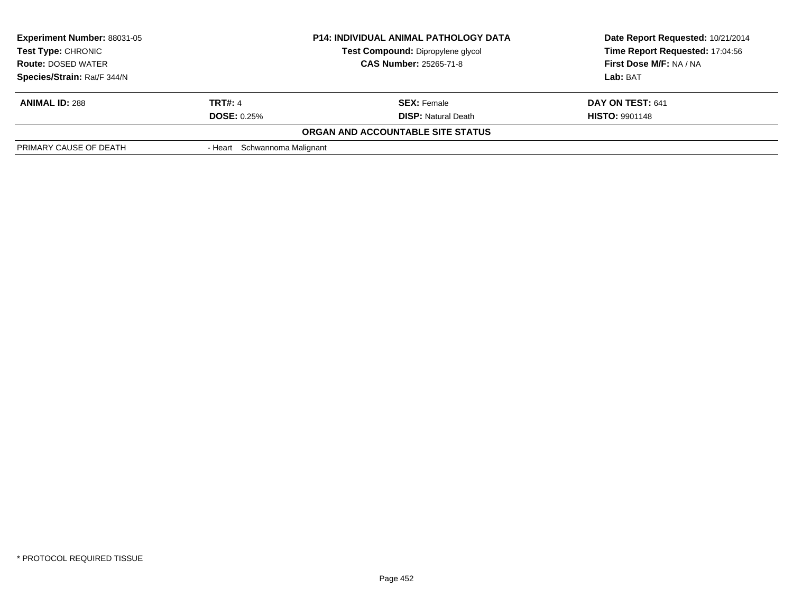| <b>Experiment Number: 88031-05</b><br><b>Test Type: CHRONIC</b><br><b>Route: DOSED WATER</b> |                              | <b>P14: INDIVIDUAL ANIMAL PATHOLOGY DATA</b><br>Test Compound: Dipropylene glycol<br><b>CAS Number: 25265-71-8</b> | Date Report Requested: 10/21/2014<br>Time Report Requested: 17:04:56<br>First Dose M/F: NA / NA |
|----------------------------------------------------------------------------------------------|------------------------------|--------------------------------------------------------------------------------------------------------------------|-------------------------------------------------------------------------------------------------|
| Species/Strain: Rat/F 344/N                                                                  |                              |                                                                                                                    | Lab: BAT                                                                                        |
| <b>ANIMAL ID: 288</b>                                                                        | <b>TRT#: 4</b>               | <b>SEX:</b> Female                                                                                                 | DAY ON TEST: 641                                                                                |
|                                                                                              | <b>DOSE: 0.25%</b>           | <b>DISP:</b> Natural Death                                                                                         | <b>HISTO: 9901148</b>                                                                           |
|                                                                                              |                              | ORGAN AND ACCOUNTABLE SITE STATUS                                                                                  |                                                                                                 |
| PRIMARY CAUSE OF DEATH                                                                       | - Heart Schwannoma Malignant |                                                                                                                    |                                                                                                 |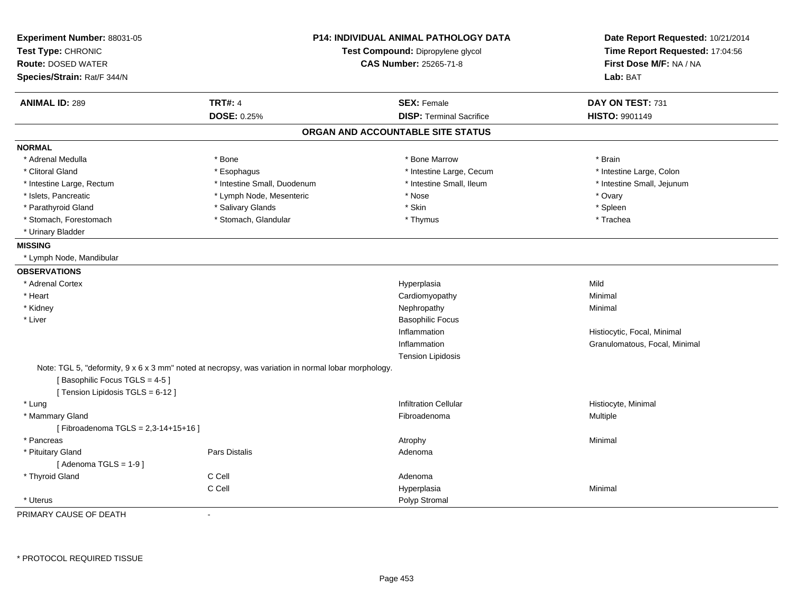| Experiment Number: 88031-05<br>Test Type: CHRONIC<br><b>Route: DOSED WATER</b><br>Species/Strain: Rat/F 344/N                                                                       | <b>P14: INDIVIDUAL ANIMAL PATHOLOGY DATA</b><br>Test Compound: Dipropylene glycol<br><b>CAS Number: 25265-71-8</b> |                                   | Date Report Requested: 10/21/2014<br>Time Report Requested: 17:04:56<br>First Dose M/F: NA / NA<br>Lab: BAT |
|-------------------------------------------------------------------------------------------------------------------------------------------------------------------------------------|--------------------------------------------------------------------------------------------------------------------|-----------------------------------|-------------------------------------------------------------------------------------------------------------|
| <b>ANIMAL ID: 289</b>                                                                                                                                                               | <b>TRT#: 4</b>                                                                                                     | <b>SEX: Female</b>                | DAY ON TEST: 731                                                                                            |
|                                                                                                                                                                                     | DOSE: 0.25%                                                                                                        | <b>DISP: Terminal Sacrifice</b>   | <b>HISTO: 9901149</b>                                                                                       |
|                                                                                                                                                                                     |                                                                                                                    | ORGAN AND ACCOUNTABLE SITE STATUS |                                                                                                             |
| <b>NORMAL</b>                                                                                                                                                                       |                                                                                                                    |                                   |                                                                                                             |
| * Adrenal Medulla                                                                                                                                                                   | * Bone                                                                                                             | * Bone Marrow                     | * Brain                                                                                                     |
| * Clitoral Gland                                                                                                                                                                    | * Esophagus                                                                                                        | * Intestine Large, Cecum          | * Intestine Large, Colon                                                                                    |
| * Intestine Large, Rectum                                                                                                                                                           | * Intestine Small, Duodenum                                                                                        | * Intestine Small, Ileum          | * Intestine Small, Jejunum                                                                                  |
| * Islets, Pancreatic                                                                                                                                                                | * Lymph Node, Mesenteric                                                                                           | * Nose                            | * Ovary                                                                                                     |
| * Parathyroid Gland                                                                                                                                                                 | * Salivary Glands                                                                                                  | * Skin                            | * Spleen                                                                                                    |
| * Stomach, Forestomach                                                                                                                                                              | * Stomach, Glandular                                                                                               | * Thymus                          | * Trachea                                                                                                   |
| * Urinary Bladder                                                                                                                                                                   |                                                                                                                    |                                   |                                                                                                             |
| <b>MISSING</b>                                                                                                                                                                      |                                                                                                                    |                                   |                                                                                                             |
| * Lymph Node, Mandibular                                                                                                                                                            |                                                                                                                    |                                   |                                                                                                             |
| <b>OBSERVATIONS</b>                                                                                                                                                                 |                                                                                                                    |                                   |                                                                                                             |
| * Adrenal Cortex                                                                                                                                                                    |                                                                                                                    | Hyperplasia                       | Mild                                                                                                        |
| * Heart                                                                                                                                                                             |                                                                                                                    | Cardiomyopathy                    | Minimal                                                                                                     |
| * Kidney                                                                                                                                                                            |                                                                                                                    | Nephropathy                       | Minimal                                                                                                     |
| * Liver                                                                                                                                                                             |                                                                                                                    | <b>Basophilic Focus</b>           |                                                                                                             |
|                                                                                                                                                                                     |                                                                                                                    | Inflammation                      | Histiocytic, Focal, Minimal                                                                                 |
|                                                                                                                                                                                     |                                                                                                                    | Inflammation                      | Granulomatous, Focal, Minimal                                                                               |
|                                                                                                                                                                                     |                                                                                                                    | <b>Tension Lipidosis</b>          |                                                                                                             |
| Note: TGL 5, "deformity, $9 \times 6 \times 3$ mm" noted at necropsy, was variation in normal lobar morphology.<br>[Basophilic Focus TGLS = 4-5]<br>[Tension Lipidosis TGLS = 6-12] |                                                                                                                    |                                   |                                                                                                             |
| * Lung                                                                                                                                                                              |                                                                                                                    | <b>Infiltration Cellular</b>      | Histiocyte, Minimal                                                                                         |
| * Mammary Gland                                                                                                                                                                     |                                                                                                                    | Fibroadenoma                      | Multiple                                                                                                    |
| [Fibroadenoma TGLS = 2,3-14+15+16]                                                                                                                                                  |                                                                                                                    |                                   |                                                                                                             |
| * Pancreas                                                                                                                                                                          |                                                                                                                    | Atrophy                           | Minimal                                                                                                     |
| * Pituitary Gland                                                                                                                                                                   | <b>Pars Distalis</b>                                                                                               | Adenoma                           |                                                                                                             |
| [Adenoma TGLS = $1-9$ ]                                                                                                                                                             |                                                                                                                    |                                   |                                                                                                             |
| * Thyroid Gland                                                                                                                                                                     | C Cell                                                                                                             | Adenoma                           |                                                                                                             |
|                                                                                                                                                                                     | C Cell                                                                                                             | Hyperplasia                       | Minimal                                                                                                     |
| * Uterus                                                                                                                                                                            |                                                                                                                    | Polyp Stromal                     |                                                                                                             |
| PRIMARY CAUSE OF DEATH                                                                                                                                                              | $\blacksquare$                                                                                                     |                                   |                                                                                                             |

\* PROTOCOL REQUIRED TISSUE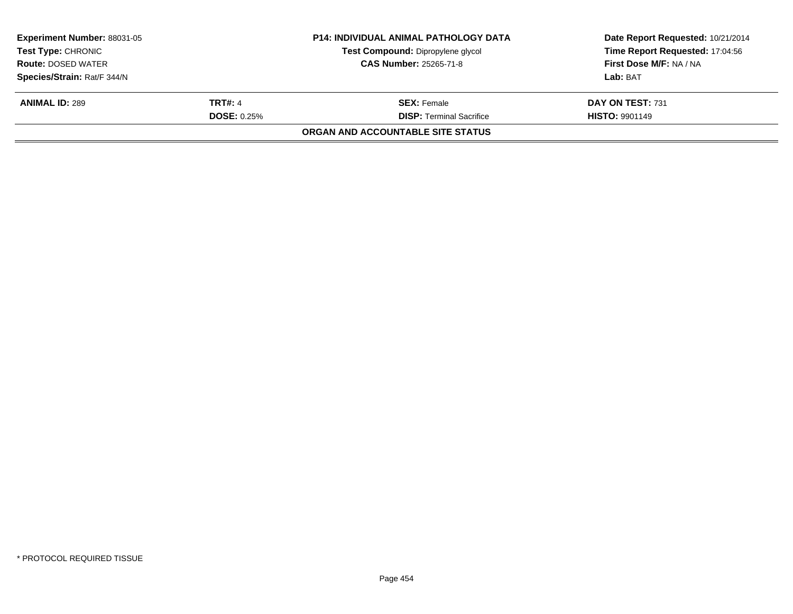| <b>Experiment Number: 88031-05</b><br><b>Test Type: CHRONIC</b><br><b>Route: DOSED WATER</b> |                    | <b>P14: INDIVIDUAL ANIMAL PATHOLOGY DATA</b><br>Test Compound: Dipropylene glycol<br><b>CAS Number: 25265-71-8</b> | Date Report Requested: 10/21/2014<br>Time Report Requested: 17:04:56<br>First Dose M/F: NA / NA |
|----------------------------------------------------------------------------------------------|--------------------|--------------------------------------------------------------------------------------------------------------------|-------------------------------------------------------------------------------------------------|
| Species/Strain: Rat/F 344/N                                                                  |                    |                                                                                                                    | Lab: BAT                                                                                        |
| <b>ANIMAL ID: 289</b>                                                                        | <b>TRT#: 4</b>     | <b>SEX:</b> Female                                                                                                 | DAY ON TEST: 731                                                                                |
|                                                                                              | <b>DOSE: 0.25%</b> | <b>DISP: Terminal Sacrifice</b>                                                                                    | <b>HISTO: 9901149</b>                                                                           |
|                                                                                              |                    | ORGAN AND ACCOUNTABLE SITE STATUS                                                                                  |                                                                                                 |
|                                                                                              |                    |                                                                                                                    |                                                                                                 |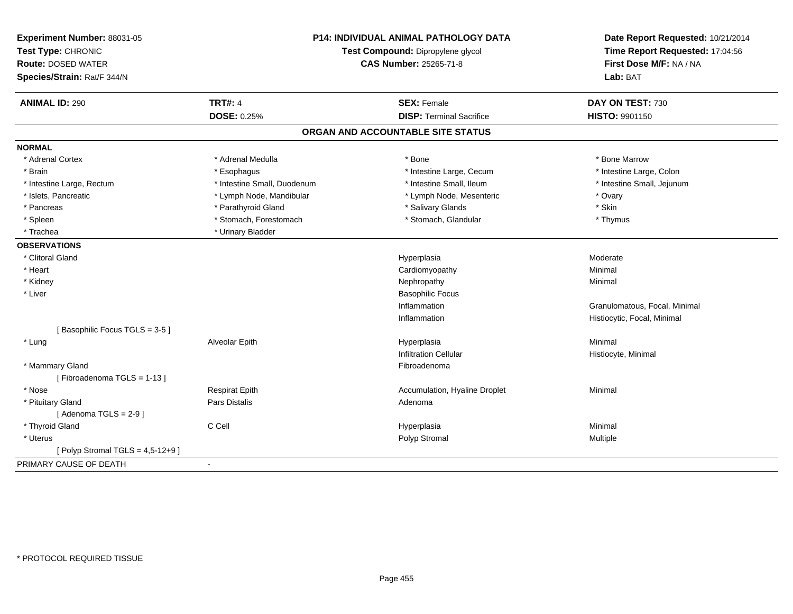| Experiment Number: 88031-05<br>Test Type: CHRONIC<br><b>Route: DOSED WATER</b><br>Species/Strain: Rat/F 344/N | P14: INDIVIDUAL ANIMAL PATHOLOGY DATA<br>Test Compound: Dipropylene glycol<br><b>CAS Number: 25265-71-8</b> |                                   | Date Report Requested: 10/21/2014<br>Time Report Requested: 17:04:56<br>First Dose M/F: NA / NA<br>Lab: BAT |
|---------------------------------------------------------------------------------------------------------------|-------------------------------------------------------------------------------------------------------------|-----------------------------------|-------------------------------------------------------------------------------------------------------------|
| <b>ANIMAL ID: 290</b>                                                                                         | <b>TRT#: 4</b>                                                                                              | <b>SEX: Female</b>                | DAY ON TEST: 730                                                                                            |
|                                                                                                               | <b>DOSE: 0.25%</b>                                                                                          | <b>DISP: Terminal Sacrifice</b>   | HISTO: 9901150                                                                                              |
|                                                                                                               |                                                                                                             | ORGAN AND ACCOUNTABLE SITE STATUS |                                                                                                             |
| <b>NORMAL</b>                                                                                                 |                                                                                                             |                                   |                                                                                                             |
| * Adrenal Cortex                                                                                              | * Adrenal Medulla                                                                                           | * Bone                            | * Bone Marrow                                                                                               |
| * Brain                                                                                                       | * Esophagus                                                                                                 | * Intestine Large, Cecum          | * Intestine Large, Colon                                                                                    |
| * Intestine Large, Rectum                                                                                     | * Intestine Small, Duodenum                                                                                 | * Intestine Small, Ileum          | * Intestine Small, Jejunum                                                                                  |
| * Islets, Pancreatic                                                                                          | * Lymph Node, Mandibular                                                                                    | * Lymph Node, Mesenteric          | * Ovary                                                                                                     |
| * Pancreas                                                                                                    | * Parathyroid Gland                                                                                         | * Salivary Glands                 | * Skin                                                                                                      |
| * Spleen                                                                                                      | * Stomach, Forestomach                                                                                      | * Stomach, Glandular              | * Thymus                                                                                                    |
| * Trachea                                                                                                     | * Urinary Bladder                                                                                           |                                   |                                                                                                             |
| <b>OBSERVATIONS</b>                                                                                           |                                                                                                             |                                   |                                                                                                             |
| * Clitoral Gland                                                                                              |                                                                                                             | Hyperplasia                       | Moderate                                                                                                    |
| * Heart                                                                                                       |                                                                                                             | Cardiomyopathy                    | Minimal                                                                                                     |
| * Kidney                                                                                                      |                                                                                                             | Nephropathy                       | Minimal                                                                                                     |
| * Liver                                                                                                       |                                                                                                             | <b>Basophilic Focus</b>           |                                                                                                             |
|                                                                                                               |                                                                                                             | Inflammation                      | Granulomatous, Focal, Minimal                                                                               |
|                                                                                                               |                                                                                                             | Inflammation                      | Histiocytic, Focal, Minimal                                                                                 |
| [Basophilic Focus TGLS = 3-5]                                                                                 |                                                                                                             |                                   |                                                                                                             |
| * Lung                                                                                                        | Alveolar Epith                                                                                              | Hyperplasia                       | Minimal                                                                                                     |
|                                                                                                               |                                                                                                             | <b>Infiltration Cellular</b>      | Histiocyte, Minimal                                                                                         |
| * Mammary Gland                                                                                               |                                                                                                             | Fibroadenoma                      |                                                                                                             |
| [Fibroadenoma TGLS = 1-13]                                                                                    |                                                                                                             |                                   |                                                                                                             |
| * Nose                                                                                                        | <b>Respirat Epith</b>                                                                                       | Accumulation, Hyaline Droplet     | Minimal                                                                                                     |
| * Pituitary Gland                                                                                             | Pars Distalis                                                                                               | Adenoma                           |                                                                                                             |
| [Adenoma TGLS = $2-9$ ]                                                                                       |                                                                                                             |                                   |                                                                                                             |
| * Thyroid Gland                                                                                               | C Cell                                                                                                      | Hyperplasia                       | Minimal                                                                                                     |
| * Uterus                                                                                                      |                                                                                                             | Polyp Stromal                     | Multiple                                                                                                    |
| [ Polyp Stromal TGLS = $4,5-12+9$ ]                                                                           |                                                                                                             |                                   |                                                                                                             |
| PRIMARY CAUSE OF DEATH                                                                                        | $\blacksquare$                                                                                              |                                   |                                                                                                             |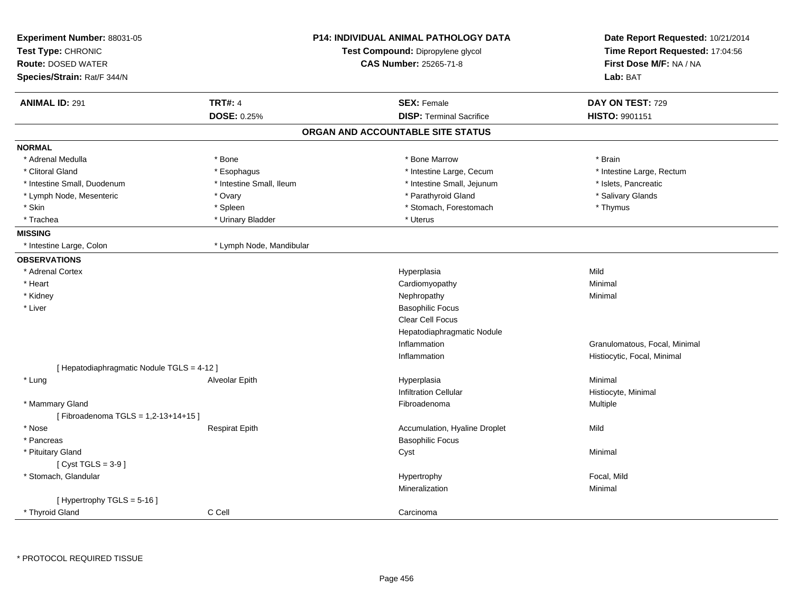| Experiment Number: 88031-05<br>Test Type: CHRONIC<br><b>Route: DOSED WATER</b> |                          | <b>P14: INDIVIDUAL ANIMAL PATHOLOGY DATA</b><br>Test Compound: Dipropylene glycol<br>CAS Number: 25265-71-8 | Date Report Requested: 10/21/2014<br>Time Report Requested: 17:04:56<br>First Dose M/F: NA / NA |
|--------------------------------------------------------------------------------|--------------------------|-------------------------------------------------------------------------------------------------------------|-------------------------------------------------------------------------------------------------|
| Species/Strain: Rat/F 344/N                                                    |                          |                                                                                                             | Lab: BAT                                                                                        |
| <b>ANIMAL ID: 291</b>                                                          | <b>TRT#: 4</b>           | <b>SEX: Female</b>                                                                                          | DAY ON TEST: 729                                                                                |
|                                                                                | DOSE: 0.25%              | <b>DISP: Terminal Sacrifice</b>                                                                             | HISTO: 9901151                                                                                  |
|                                                                                |                          | ORGAN AND ACCOUNTABLE SITE STATUS                                                                           |                                                                                                 |
| <b>NORMAL</b>                                                                  |                          |                                                                                                             |                                                                                                 |
| * Adrenal Medulla                                                              | * Bone                   | * Bone Marrow                                                                                               | * Brain                                                                                         |
| * Clitoral Gland                                                               | * Esophagus              | * Intestine Large, Cecum                                                                                    | * Intestine Large, Rectum                                                                       |
| * Intestine Small, Duodenum                                                    | * Intestine Small, Ileum | * Intestine Small, Jejunum                                                                                  | * Islets, Pancreatic                                                                            |
| * Lymph Node, Mesenteric                                                       | * Ovary                  | * Parathyroid Gland                                                                                         | * Salivary Glands                                                                               |
| * Skin                                                                         | * Spleen                 | * Stomach, Forestomach                                                                                      | * Thymus                                                                                        |
| * Trachea                                                                      | * Urinary Bladder        | * Uterus                                                                                                    |                                                                                                 |
| <b>MISSING</b>                                                                 |                          |                                                                                                             |                                                                                                 |
| * Intestine Large, Colon                                                       | * Lymph Node, Mandibular |                                                                                                             |                                                                                                 |
| <b>OBSERVATIONS</b>                                                            |                          |                                                                                                             |                                                                                                 |
| * Adrenal Cortex                                                               |                          | Hyperplasia                                                                                                 | Mild                                                                                            |
| * Heart                                                                        |                          | Cardiomyopathy                                                                                              | Minimal                                                                                         |
| * Kidney                                                                       |                          | Nephropathy                                                                                                 | Minimal                                                                                         |
| * Liver                                                                        |                          | <b>Basophilic Focus</b>                                                                                     |                                                                                                 |
|                                                                                |                          | Clear Cell Focus                                                                                            |                                                                                                 |
|                                                                                |                          | Hepatodiaphragmatic Nodule                                                                                  |                                                                                                 |
|                                                                                |                          | Inflammation                                                                                                | Granulomatous, Focal, Minimal                                                                   |
|                                                                                |                          | Inflammation                                                                                                | Histiocytic, Focal, Minimal                                                                     |
| [ Hepatodiaphragmatic Nodule TGLS = 4-12 ]                                     |                          |                                                                                                             |                                                                                                 |
| * Lung                                                                         | Alveolar Epith           | Hyperplasia                                                                                                 | Minimal                                                                                         |
|                                                                                |                          | <b>Infiltration Cellular</b>                                                                                | Histiocyte, Minimal                                                                             |
| * Mammary Gland                                                                |                          | Fibroadenoma                                                                                                | Multiple                                                                                        |
| [Fibroadenoma TGLS = 1,2-13+14+15]                                             |                          |                                                                                                             |                                                                                                 |
| * Nose                                                                         | <b>Respirat Epith</b>    | Accumulation, Hyaline Droplet                                                                               | Mild                                                                                            |
| * Pancreas                                                                     |                          | <b>Basophilic Focus</b>                                                                                     |                                                                                                 |
| * Pituitary Gland                                                              |                          | Cyst                                                                                                        | Minimal                                                                                         |
| [Cyst TGLS = $3-9$ ]                                                           |                          |                                                                                                             |                                                                                                 |
| * Stomach, Glandular                                                           |                          | Hypertrophy                                                                                                 | Focal, Mild                                                                                     |
|                                                                                |                          | Mineralization                                                                                              | Minimal                                                                                         |
| [Hypertrophy TGLS = 5-16]                                                      |                          |                                                                                                             |                                                                                                 |
| * Thyroid Gland                                                                | C Cell                   | Carcinoma                                                                                                   |                                                                                                 |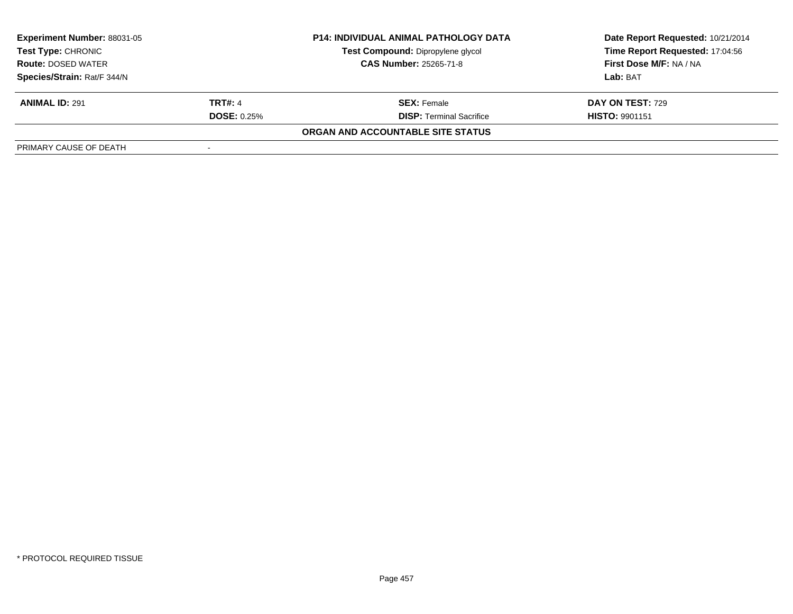| <b>Experiment Number: 88031-05</b>              |                    | <b>P14: INDIVIDUAL ANIMAL PATHOLOGY DATA</b> | Date Report Requested: 10/21/2014 |
|-------------------------------------------------|--------------------|----------------------------------------------|-----------------------------------|
| Test Type: CHRONIC<br><b>Route: DOSED WATER</b> |                    | Test Compound: Dipropylene glycol            | Time Report Requested: 17:04:56   |
|                                                 |                    | <b>CAS Number: 25265-71-8</b>                | <b>First Dose M/F: NA / NA</b>    |
| Species/Strain: Rat/F 344/N                     |                    |                                              | Lab: BAT                          |
| <b>ANIMAL ID: 291</b>                           | <b>TRT#: 4</b>     | <b>SEX:</b> Female                           | <b>DAY ON TEST: 729</b>           |
|                                                 | <b>DOSE: 0.25%</b> | <b>DISP: Terminal Sacrifice</b>              | <b>HISTO: 9901151</b>             |
|                                                 |                    | ORGAN AND ACCOUNTABLE SITE STATUS            |                                   |
| PRIMARY CAUSE OF DEATH                          |                    |                                              |                                   |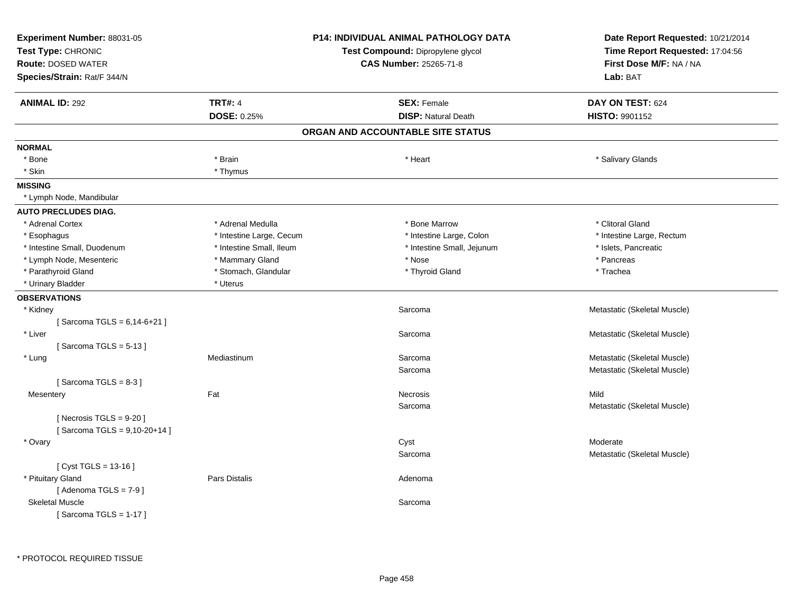| Experiment Number: 88031-05<br>Test Type: CHRONIC<br><b>Route: DOSED WATER</b><br>Species/Strain: Rat/F 344/N |                          | <b>P14: INDIVIDUAL ANIMAL PATHOLOGY DATA</b><br>Test Compound: Dipropylene glycol<br>CAS Number: 25265-71-8 | Date Report Requested: 10/21/2014<br>Time Report Requested: 17:04:56<br>First Dose M/F: NA / NA<br>Lab: BAT |
|---------------------------------------------------------------------------------------------------------------|--------------------------|-------------------------------------------------------------------------------------------------------------|-------------------------------------------------------------------------------------------------------------|
| <b>ANIMAL ID: 292</b>                                                                                         | <b>TRT#: 4</b>           | <b>SEX: Female</b>                                                                                          | DAY ON TEST: 624                                                                                            |
|                                                                                                               | <b>DOSE: 0.25%</b>       | <b>DISP: Natural Death</b>                                                                                  | HISTO: 9901152                                                                                              |
|                                                                                                               |                          | ORGAN AND ACCOUNTABLE SITE STATUS                                                                           |                                                                                                             |
| <b>NORMAL</b>                                                                                                 |                          |                                                                                                             |                                                                                                             |
| * Bone                                                                                                        | * Brain                  | * Heart                                                                                                     | * Salivary Glands                                                                                           |
| * Skin                                                                                                        | * Thymus                 |                                                                                                             |                                                                                                             |
| <b>MISSING</b>                                                                                                |                          |                                                                                                             |                                                                                                             |
| * Lymph Node, Mandibular                                                                                      |                          |                                                                                                             |                                                                                                             |
| <b>AUTO PRECLUDES DIAG.</b>                                                                                   |                          |                                                                                                             |                                                                                                             |
| * Adrenal Cortex                                                                                              | * Adrenal Medulla        | * Bone Marrow                                                                                               | * Clitoral Gland                                                                                            |
| * Esophagus                                                                                                   | * Intestine Large, Cecum | * Intestine Large, Colon                                                                                    | * Intestine Large, Rectum                                                                                   |
| * Intestine Small, Duodenum                                                                                   | * Intestine Small, Ileum | * Intestine Small, Jejunum                                                                                  | * Islets, Pancreatic                                                                                        |
| * Lymph Node, Mesenteric                                                                                      | * Mammary Gland          | $^*$ Nose                                                                                                   | * Pancreas                                                                                                  |
| * Parathyroid Gland                                                                                           | * Stomach, Glandular     | * Thyroid Gland                                                                                             | * Trachea                                                                                                   |
| * Urinary Bladder                                                                                             | * Uterus                 |                                                                                                             |                                                                                                             |
| <b>OBSERVATIONS</b>                                                                                           |                          |                                                                                                             |                                                                                                             |
| * Kidney                                                                                                      |                          | Sarcoma                                                                                                     | Metastatic (Skeletal Muscle)                                                                                |
| [Sarcoma TGLS = $6,14-6+21$ ]                                                                                 |                          |                                                                                                             |                                                                                                             |
| * Liver                                                                                                       |                          | Sarcoma                                                                                                     | Metastatic (Skeletal Muscle)                                                                                |
| [Sarcoma TGLS = $5-13$ ]                                                                                      |                          |                                                                                                             |                                                                                                             |
| * Lung                                                                                                        | Mediastinum              | Sarcoma                                                                                                     | Metastatic (Skeletal Muscle)                                                                                |
|                                                                                                               |                          | Sarcoma                                                                                                     | Metastatic (Skeletal Muscle)                                                                                |
| [Sarcoma TGLS = $8-3$ ]                                                                                       |                          |                                                                                                             |                                                                                                             |
| Mesentery                                                                                                     | Fat                      | <b>Necrosis</b>                                                                                             | Mild                                                                                                        |
|                                                                                                               |                          | Sarcoma                                                                                                     | Metastatic (Skeletal Muscle)                                                                                |
| [Necrosis $TGLS = 9-20$ ]                                                                                     |                          |                                                                                                             |                                                                                                             |
| [Sarcoma TGLS = 9,10-20+14]                                                                                   |                          |                                                                                                             |                                                                                                             |
| * Ovary                                                                                                       |                          | Cyst                                                                                                        | Moderate                                                                                                    |
|                                                                                                               |                          | Sarcoma                                                                                                     | Metastatic (Skeletal Muscle)                                                                                |
| [Cyst TGLS = 13-16]                                                                                           | <b>Pars Distalis</b>     |                                                                                                             |                                                                                                             |
| * Pituitary Gland                                                                                             |                          | Adenoma                                                                                                     |                                                                                                             |
| [Adenoma TGLS = $7-9$ ]<br><b>Skeletal Muscle</b>                                                             |                          |                                                                                                             |                                                                                                             |
| [Sarcoma TGLS = $1-17$ ]                                                                                      |                          | Sarcoma                                                                                                     |                                                                                                             |
|                                                                                                               |                          |                                                                                                             |                                                                                                             |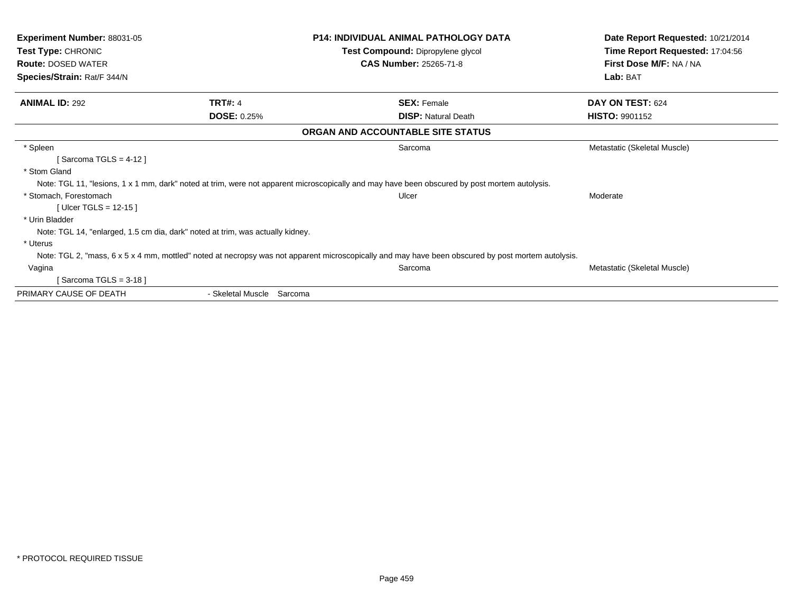| <b>Experiment Number: 88031-05</b><br><b>Test Type: CHRONIC</b>                |                              | <b>P14: INDIVIDUAL ANIMAL PATHOLOGY DATA</b>                                                                                                       | Date Report Requested: 10/21/2014 |
|--------------------------------------------------------------------------------|------------------------------|----------------------------------------------------------------------------------------------------------------------------------------------------|-----------------------------------|
|                                                                                |                              | Test Compound: Dipropylene glycol                                                                                                                  | Time Report Requested: 17:04:56   |
| <b>Route: DOSED WATER</b>                                                      |                              | <b>CAS Number: 25265-71-8</b>                                                                                                                      | First Dose M/F: NA / NA           |
| Species/Strain: Rat/F 344/N                                                    |                              |                                                                                                                                                    | Lab: BAT                          |
| <b>ANIMAL ID: 292</b>                                                          | <b>TRT#: 4</b>               | <b>SEX: Female</b>                                                                                                                                 | DAY ON TEST: 624                  |
|                                                                                | <b>DOSE: 0.25%</b>           | <b>DISP:</b> Natural Death                                                                                                                         | <b>HISTO: 9901152</b>             |
|                                                                                |                              | ORGAN AND ACCOUNTABLE SITE STATUS                                                                                                                  |                                   |
| * Spleen                                                                       |                              | Sarcoma                                                                                                                                            | Metastatic (Skeletal Muscle)      |
| Sarcoma TGLS = $4-12$ ]                                                        |                              |                                                                                                                                                    |                                   |
| * Stom Gland                                                                   |                              |                                                                                                                                                    |                                   |
|                                                                                |                              | Note: TGL 11, "lesions, 1 x 1 mm, dark" noted at trim, were not apparent microscopically and may have been obscured by post mortem autolysis.      |                                   |
| * Stomach, Forestomach                                                         |                              | Ulcer                                                                                                                                              | Moderate                          |
| [Ulcer TGLS = $12-15$ ]                                                        |                              |                                                                                                                                                    |                                   |
| * Urin Bladder                                                                 |                              |                                                                                                                                                    |                                   |
| Note: TGL 14, "enlarged, 1.5 cm dia, dark" noted at trim, was actually kidney. |                              |                                                                                                                                                    |                                   |
| * Uterus                                                                       |                              |                                                                                                                                                    |                                   |
|                                                                                |                              | Note: TGL 2, "mass, 6 x 5 x 4 mm, mottled" noted at necropsy was not apparent microscopically and may have been obscured by post mortem autolysis. |                                   |
| Vagina                                                                         |                              | Sarcoma                                                                                                                                            | Metastatic (Skeletal Muscle)      |
| Sarcoma TGLS = 3-18 ]                                                          |                              |                                                                                                                                                    |                                   |
| PRIMARY CAUSE OF DEATH                                                         | - Skeletal Muscle<br>Sarcoma |                                                                                                                                                    |                                   |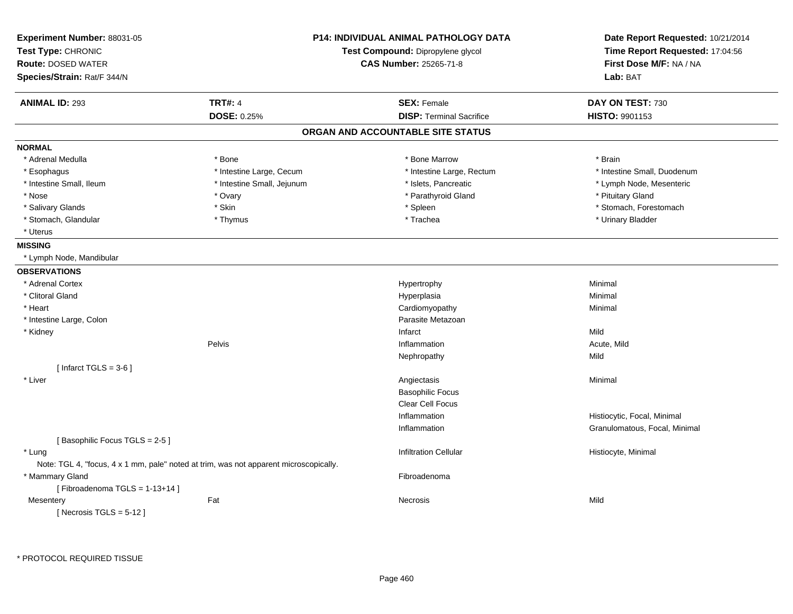| Experiment Number: 88031-05<br>Test Type: CHRONIC<br><b>Route: DOSED WATER</b> |                                                                                       | <b>P14: INDIVIDUAL ANIMAL PATHOLOGY DATA</b><br>Test Compound: Dipropylene glycol<br><b>CAS Number: 25265-71-8</b> | Date Report Requested: 10/21/2014<br>Time Report Requested: 17:04:56<br>First Dose M/F: NA / NA |
|--------------------------------------------------------------------------------|---------------------------------------------------------------------------------------|--------------------------------------------------------------------------------------------------------------------|-------------------------------------------------------------------------------------------------|
| Species/Strain: Rat/F 344/N                                                    |                                                                                       |                                                                                                                    | Lab: BAT                                                                                        |
| <b>ANIMAL ID: 293</b>                                                          | <b>TRT#: 4</b>                                                                        | <b>SEX: Female</b>                                                                                                 | DAY ON TEST: 730                                                                                |
|                                                                                | DOSE: 0.25%                                                                           | <b>DISP: Terminal Sacrifice</b>                                                                                    | HISTO: 9901153                                                                                  |
|                                                                                |                                                                                       | ORGAN AND ACCOUNTABLE SITE STATUS                                                                                  |                                                                                                 |
| <b>NORMAL</b>                                                                  |                                                                                       |                                                                                                                    |                                                                                                 |
| * Adrenal Medulla                                                              | * Bone                                                                                | * Bone Marrow                                                                                                      | * Brain                                                                                         |
| * Esophagus                                                                    | * Intestine Large, Cecum                                                              | * Intestine Large, Rectum                                                                                          | * Intestine Small, Duodenum                                                                     |
| * Intestine Small, Ileum                                                       | * Intestine Small, Jejunum                                                            | * Islets, Pancreatic                                                                                               | * Lymph Node, Mesenteric                                                                        |
| * Nose                                                                         | * Ovary                                                                               | * Parathyroid Gland                                                                                                | * Pituitary Gland                                                                               |
| * Salivary Glands                                                              | * Skin                                                                                | * Spleen                                                                                                           | * Stomach, Forestomach                                                                          |
| * Stomach, Glandular                                                           | * Thymus                                                                              | * Trachea                                                                                                          | * Urinary Bladder                                                                               |
| * Uterus                                                                       |                                                                                       |                                                                                                                    |                                                                                                 |
| <b>MISSING</b>                                                                 |                                                                                       |                                                                                                                    |                                                                                                 |
| * Lymph Node, Mandibular                                                       |                                                                                       |                                                                                                                    |                                                                                                 |
| <b>OBSERVATIONS</b>                                                            |                                                                                       |                                                                                                                    |                                                                                                 |
| * Adrenal Cortex                                                               |                                                                                       | Hypertrophy                                                                                                        | Minimal                                                                                         |
| * Clitoral Gland                                                               |                                                                                       | Hyperplasia                                                                                                        | Minimal                                                                                         |
| * Heart                                                                        |                                                                                       | Cardiomyopathy                                                                                                     | Minimal                                                                                         |
| * Intestine Large, Colon                                                       |                                                                                       | Parasite Metazoan                                                                                                  |                                                                                                 |
| * Kidney                                                                       |                                                                                       | Infarct                                                                                                            | Mild                                                                                            |
|                                                                                | Pelvis                                                                                | Inflammation                                                                                                       | Acute, Mild                                                                                     |
|                                                                                |                                                                                       | Nephropathy                                                                                                        | Mild                                                                                            |
| [Infarct TGLS = $3-6$ ]                                                        |                                                                                       |                                                                                                                    |                                                                                                 |
| * Liver                                                                        |                                                                                       | Angiectasis                                                                                                        | Minimal                                                                                         |
|                                                                                |                                                                                       | <b>Basophilic Focus</b>                                                                                            |                                                                                                 |
|                                                                                |                                                                                       | Clear Cell Focus                                                                                                   |                                                                                                 |
|                                                                                |                                                                                       | Inflammation                                                                                                       | Histiocytic, Focal, Minimal                                                                     |
|                                                                                |                                                                                       | Inflammation                                                                                                       | Granulomatous, Focal, Minimal                                                                   |
| [Basophilic Focus TGLS = 2-5]                                                  |                                                                                       |                                                                                                                    |                                                                                                 |
| * Lung                                                                         |                                                                                       | <b>Infiltration Cellular</b>                                                                                       | Histiocyte, Minimal                                                                             |
|                                                                                | Note: TGL 4, "focus, 4 x 1 mm, pale" noted at trim, was not apparent microscopically. |                                                                                                                    |                                                                                                 |
| * Mammary Gland                                                                |                                                                                       | Fibroadenoma                                                                                                       |                                                                                                 |
| [Fibroadenoma TGLS = $1-13+14$ ]                                               |                                                                                       |                                                                                                                    |                                                                                                 |
| Mesentery                                                                      | Fat                                                                                   | Necrosis                                                                                                           | Mild                                                                                            |
| [ Necrosis TGLS = $5-12$ ]                                                     |                                                                                       |                                                                                                                    |                                                                                                 |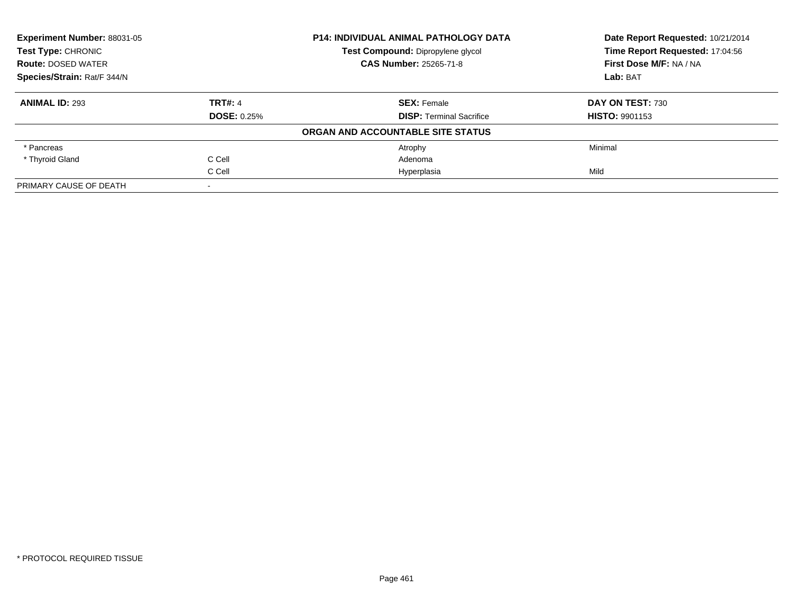| Experiment Number: 88031-05<br><b>Test Type: CHRONIC</b><br><b>Route: DOSED WATER</b><br>Species/Strain: Rat/F 344/N |                    | <b>P14: INDIVIDUAL ANIMAL PATHOLOGY DATA</b> | Date Report Requested: 10/21/2014<br>Time Report Requested: 17:04:56 |
|----------------------------------------------------------------------------------------------------------------------|--------------------|----------------------------------------------|----------------------------------------------------------------------|
|                                                                                                                      |                    | Test Compound: Dipropylene glycol            |                                                                      |
|                                                                                                                      |                    | <b>CAS Number: 25265-71-8</b>                | First Dose M/F: NA / NA                                              |
|                                                                                                                      |                    |                                              | Lab: BAT                                                             |
| <b>ANIMAL ID: 293</b>                                                                                                | <b>TRT#: 4</b>     | <b>SEX: Female</b>                           | DAY ON TEST: 730                                                     |
|                                                                                                                      | <b>DOSE: 0.25%</b> | <b>DISP:</b> Terminal Sacrifice              | <b>HISTO: 9901153</b>                                                |
|                                                                                                                      |                    | ORGAN AND ACCOUNTABLE SITE STATUS            |                                                                      |
| * Pancreas                                                                                                           |                    | Atrophy                                      | Minimal                                                              |
| * Thyroid Gland                                                                                                      | C Cell             | Adenoma                                      |                                                                      |
|                                                                                                                      | C Cell             | Hyperplasia                                  | Mild                                                                 |
| PRIMARY CAUSE OF DEATH                                                                                               |                    |                                              |                                                                      |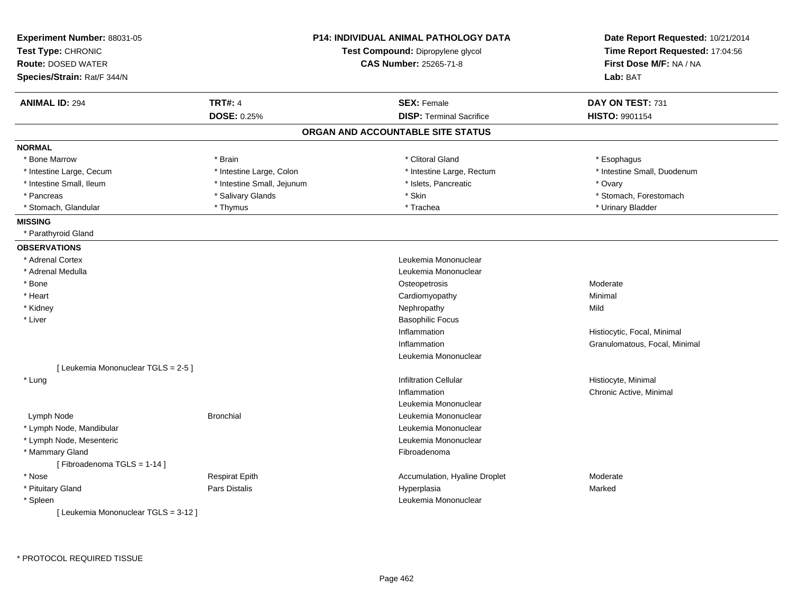| Experiment Number: 88031-05<br>Test Type: CHRONIC<br><b>Route: DOSED WATER</b><br>Species/Strain: Rat/F 344/N |                            | <b>P14: INDIVIDUAL ANIMAL PATHOLOGY DATA</b><br>Test Compound: Dipropylene glycol<br>CAS Number: 25265-71-8 | Date Report Requested: 10/21/2014<br>Time Report Requested: 17:04:56<br>First Dose M/F: NA / NA<br>Lab: BAT |
|---------------------------------------------------------------------------------------------------------------|----------------------------|-------------------------------------------------------------------------------------------------------------|-------------------------------------------------------------------------------------------------------------|
| <b>ANIMAL ID: 294</b>                                                                                         | <b>TRT#: 4</b>             | <b>SEX: Female</b>                                                                                          | DAY ON TEST: 731                                                                                            |
|                                                                                                               | <b>DOSE: 0.25%</b>         | <b>DISP: Terminal Sacrifice</b>                                                                             | <b>HISTO: 9901154</b>                                                                                       |
|                                                                                                               |                            | ORGAN AND ACCOUNTABLE SITE STATUS                                                                           |                                                                                                             |
| <b>NORMAL</b>                                                                                                 |                            |                                                                                                             |                                                                                                             |
| * Bone Marrow                                                                                                 | * Brain                    | * Clitoral Gland                                                                                            | * Esophagus                                                                                                 |
| * Intestine Large, Cecum                                                                                      | * Intestine Large, Colon   | * Intestine Large, Rectum                                                                                   | * Intestine Small, Duodenum                                                                                 |
| * Intestine Small, Ileum                                                                                      | * Intestine Small, Jejunum | * Islets, Pancreatic                                                                                        | * Ovary                                                                                                     |
| * Pancreas                                                                                                    | * Salivary Glands          | * Skin                                                                                                      | * Stomach, Forestomach                                                                                      |
| * Stomach, Glandular                                                                                          | * Thymus                   | * Trachea                                                                                                   | * Urinary Bladder                                                                                           |
| <b>MISSING</b>                                                                                                |                            |                                                                                                             |                                                                                                             |
| * Parathyroid Gland                                                                                           |                            |                                                                                                             |                                                                                                             |
| <b>OBSERVATIONS</b>                                                                                           |                            |                                                                                                             |                                                                                                             |
| * Adrenal Cortex                                                                                              |                            | Leukemia Mononuclear                                                                                        |                                                                                                             |
| * Adrenal Medulla                                                                                             |                            | Leukemia Mononuclear                                                                                        |                                                                                                             |
| * Bone                                                                                                        |                            | Osteopetrosis                                                                                               | Moderate                                                                                                    |
| * Heart                                                                                                       |                            | Cardiomyopathy                                                                                              | Minimal                                                                                                     |
| * Kidney                                                                                                      |                            | Nephropathy                                                                                                 | Mild                                                                                                        |
| * Liver                                                                                                       |                            | <b>Basophilic Focus</b>                                                                                     |                                                                                                             |
|                                                                                                               |                            | Inflammation                                                                                                | Histiocytic, Focal, Minimal                                                                                 |
|                                                                                                               |                            | Inflammation                                                                                                | Granulomatous, Focal, Minimal                                                                               |
|                                                                                                               |                            | Leukemia Mononuclear                                                                                        |                                                                                                             |
| [ Leukemia Mononuclear TGLS = 2-5 ]                                                                           |                            |                                                                                                             |                                                                                                             |
| * Lung                                                                                                        |                            | <b>Infiltration Cellular</b>                                                                                | Histiocyte, Minimal                                                                                         |
|                                                                                                               |                            | Inflammation                                                                                                | Chronic Active, Minimal                                                                                     |
|                                                                                                               |                            | Leukemia Mononuclear                                                                                        |                                                                                                             |
| Lymph Node                                                                                                    | <b>Bronchial</b>           | Leukemia Mononuclear                                                                                        |                                                                                                             |
| * Lymph Node, Mandibular                                                                                      |                            | Leukemia Mononuclear                                                                                        |                                                                                                             |
| * Lymph Node, Mesenteric                                                                                      |                            | Leukemia Mononuclear                                                                                        |                                                                                                             |
| * Mammary Gland<br>[Fibroadenoma TGLS = 1-14]                                                                 |                            | Fibroadenoma                                                                                                |                                                                                                             |
| * Nose                                                                                                        | <b>Respirat Epith</b>      | Accumulation, Hyaline Droplet                                                                               | Moderate                                                                                                    |
| * Pituitary Gland                                                                                             | <b>Pars Distalis</b>       | Hyperplasia                                                                                                 | Marked                                                                                                      |
| * Spleen                                                                                                      |                            | Leukemia Mononuclear                                                                                        |                                                                                                             |
| [ Leukemia Mononuclear TGLS = 3-12 ]                                                                          |                            |                                                                                                             |                                                                                                             |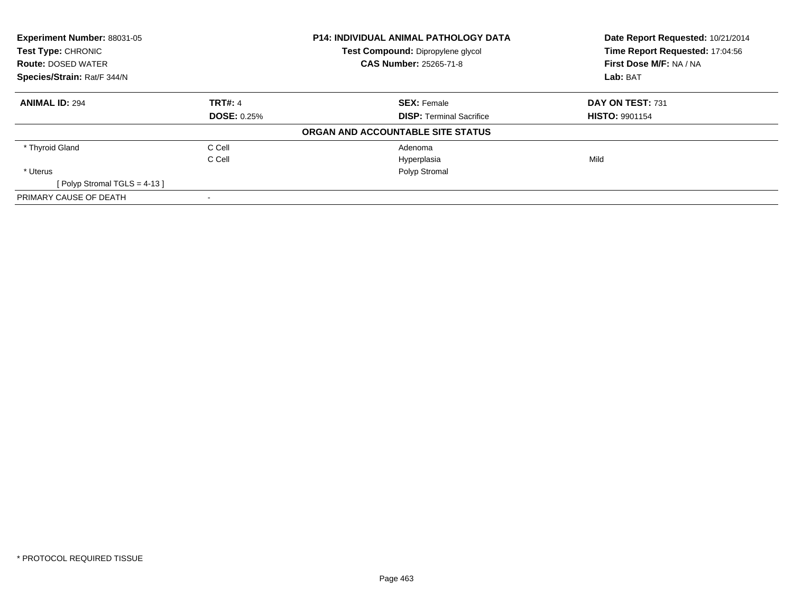| <b>Experiment Number: 88031-05</b><br><b>Test Type: CHRONIC</b><br><b>Route: DOSED WATER</b><br>Species/Strain: Rat/F 344/N |                    | P14: INDIVIDUAL ANIMAL PATHOLOGY DATA<br>Test Compound: Dipropylene glycol | Date Report Requested: 10/21/2014<br>Time Report Requested: 17:04:56<br>First Dose M/F: NA / NA<br>Lab: BAT |
|-----------------------------------------------------------------------------------------------------------------------------|--------------------|----------------------------------------------------------------------------|-------------------------------------------------------------------------------------------------------------|
|                                                                                                                             |                    | <b>CAS Number: 25265-71-8</b>                                              |                                                                                                             |
|                                                                                                                             |                    |                                                                            |                                                                                                             |
| <b>ANIMAL ID: 294</b>                                                                                                       | <b>TRT#: 4</b>     | <b>SEX: Female</b>                                                         | DAY ON TEST: 731                                                                                            |
|                                                                                                                             | <b>DOSE: 0.25%</b> | <b>DISP:</b> Terminal Sacrifice                                            | <b>HISTO: 9901154</b>                                                                                       |
|                                                                                                                             |                    | ORGAN AND ACCOUNTABLE SITE STATUS                                          |                                                                                                             |
| * Thyroid Gland                                                                                                             | C Cell             | Adenoma                                                                    |                                                                                                             |
|                                                                                                                             | C Cell             | Hyperplasia                                                                | Mild                                                                                                        |
| * Uterus                                                                                                                    |                    | Polyp Stromal                                                              |                                                                                                             |
| [Polyp Stromal TGLS = 4-13]                                                                                                 |                    |                                                                            |                                                                                                             |
| PRIMARY CAUSE OF DEATH                                                                                                      |                    |                                                                            |                                                                                                             |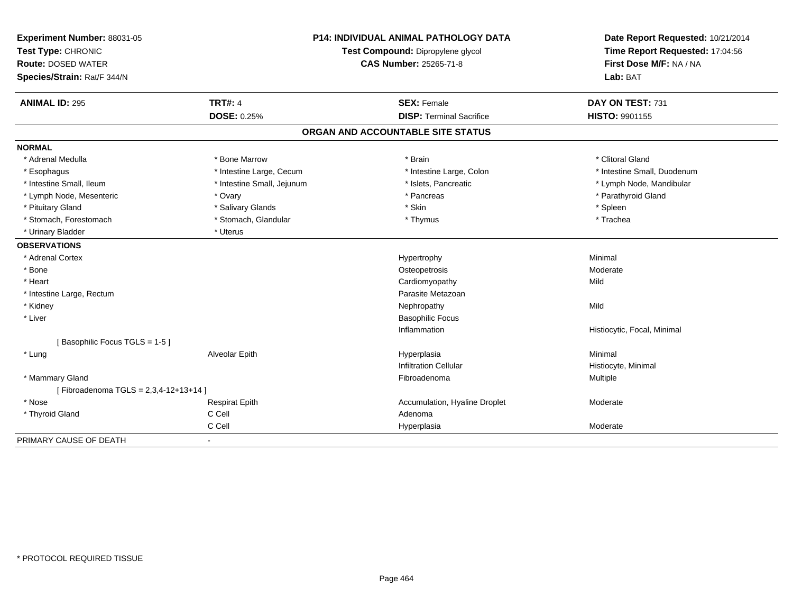| Experiment Number: 88031-05          |                                   | <b>P14: INDIVIDUAL ANIMAL PATHOLOGY DATA</b> | Date Report Requested: 10/21/2014 |
|--------------------------------------|-----------------------------------|----------------------------------------------|-----------------------------------|
| Test Type: CHRONIC                   | Test Compound: Dipropylene glycol |                                              | Time Report Requested: 17:04:56   |
| <b>Route: DOSED WATER</b>            |                                   | <b>CAS Number: 25265-71-8</b>                | First Dose M/F: NA / NA           |
| Species/Strain: Rat/F 344/N          |                                   |                                              | Lab: BAT                          |
| <b>ANIMAL ID: 295</b>                | <b>TRT#: 4</b>                    | <b>SEX: Female</b>                           | DAY ON TEST: 731                  |
|                                      | <b>DOSE: 0.25%</b>                | <b>DISP: Terminal Sacrifice</b>              | HISTO: 9901155                    |
|                                      |                                   | ORGAN AND ACCOUNTABLE SITE STATUS            |                                   |
| <b>NORMAL</b>                        |                                   |                                              |                                   |
| * Adrenal Medulla                    | * Bone Marrow                     | * Brain                                      | * Clitoral Gland                  |
| * Esophagus                          | * Intestine Large, Cecum          | * Intestine Large, Colon                     | * Intestine Small, Duodenum       |
| * Intestine Small, Ileum             | * Intestine Small, Jejunum        | * Islets, Pancreatic                         | * Lymph Node, Mandibular          |
| * Lymph Node, Mesenteric             | * Ovary                           | * Pancreas                                   | * Parathyroid Gland               |
| * Pituitary Gland                    | * Salivary Glands                 | * Skin                                       | * Spleen                          |
| * Stomach, Forestomach               | * Stomach, Glandular              | * Thymus                                     | * Trachea                         |
| * Urinary Bladder                    | * Uterus                          |                                              |                                   |
| <b>OBSERVATIONS</b>                  |                                   |                                              |                                   |
| * Adrenal Cortex                     |                                   | Hypertrophy                                  | Minimal                           |
| * Bone                               |                                   | Osteopetrosis                                | Moderate                          |
| * Heart                              |                                   | Cardiomyopathy                               | Mild                              |
| * Intestine Large, Rectum            |                                   | Parasite Metazoan                            |                                   |
| * Kidney                             |                                   | Nephropathy                                  | Mild                              |
| * Liver                              |                                   | <b>Basophilic Focus</b>                      |                                   |
|                                      |                                   | Inflammation                                 | Histiocytic, Focal, Minimal       |
| [Basophilic Focus TGLS = 1-5]        |                                   |                                              |                                   |
| * Lung                               | Alveolar Epith                    | Hyperplasia                                  | Minimal                           |
|                                      |                                   | <b>Infiltration Cellular</b>                 | Histiocyte, Minimal               |
| * Mammary Gland                      |                                   | Fibroadenoma                                 | Multiple                          |
| [Fibroadenoma TGLS = 2,3,4-12+13+14] |                                   |                                              |                                   |
| * Nose                               | <b>Respirat Epith</b>             | Accumulation, Hyaline Droplet                | Moderate                          |
| * Thyroid Gland                      | C Cell                            | Adenoma                                      |                                   |
|                                      | C Cell                            | Hyperplasia                                  | Moderate                          |
| PRIMARY CAUSE OF DEATH               | $\blacksquare$                    |                                              |                                   |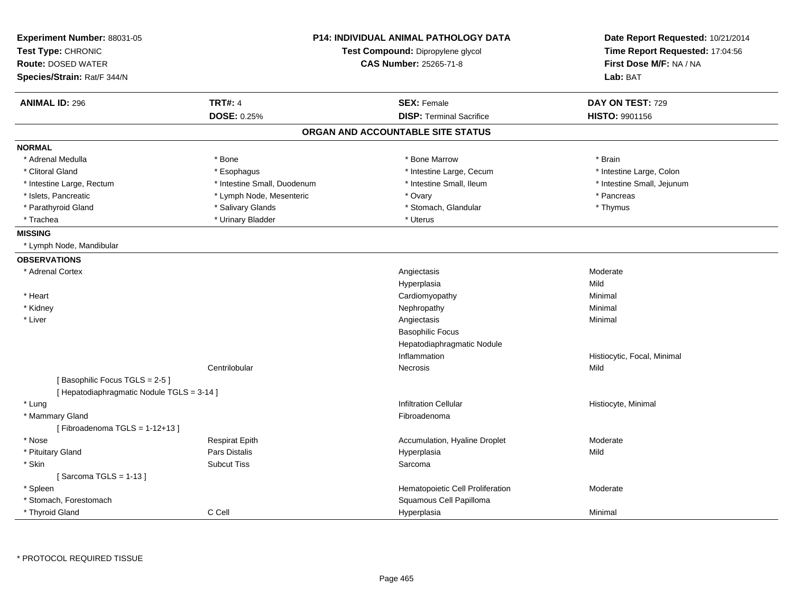| Experiment Number: 88031-05<br>Test Type: CHRONIC<br><b>Route: DOSED WATER</b><br>Species/Strain: Rat/F 344/N |                             | <b>P14: INDIVIDUAL ANIMAL PATHOLOGY DATA</b><br>Test Compound: Dipropylene glycol<br><b>CAS Number: 25265-71-8</b> | Date Report Requested: 10/21/2014<br>Time Report Requested: 17:04:56<br>First Dose M/F: NA / NA<br>Lab: BAT |
|---------------------------------------------------------------------------------------------------------------|-----------------------------|--------------------------------------------------------------------------------------------------------------------|-------------------------------------------------------------------------------------------------------------|
| <b>ANIMAL ID: 296</b>                                                                                         | <b>TRT#: 4</b>              | <b>SEX: Female</b>                                                                                                 | DAY ON TEST: 729                                                                                            |
|                                                                                                               | DOSE: 0.25%                 | <b>DISP: Terminal Sacrifice</b>                                                                                    | <b>HISTO: 9901156</b>                                                                                       |
|                                                                                                               |                             | ORGAN AND ACCOUNTABLE SITE STATUS                                                                                  |                                                                                                             |
| <b>NORMAL</b>                                                                                                 |                             |                                                                                                                    |                                                                                                             |
| * Adrenal Medulla                                                                                             | * Bone                      | * Bone Marrow                                                                                                      | * Brain                                                                                                     |
| * Clitoral Gland                                                                                              | * Esophagus                 | * Intestine Large, Cecum                                                                                           | * Intestine Large, Colon                                                                                    |
| * Intestine Large, Rectum                                                                                     | * Intestine Small, Duodenum | * Intestine Small, Ileum                                                                                           | * Intestine Small, Jejunum                                                                                  |
| * Islets, Pancreatic                                                                                          | * Lymph Node, Mesenteric    | * Ovary                                                                                                            | * Pancreas                                                                                                  |
| * Parathyroid Gland                                                                                           | * Salivary Glands           | * Stomach, Glandular                                                                                               | * Thymus                                                                                                    |
| * Trachea                                                                                                     | * Urinary Bladder           | * Uterus                                                                                                           |                                                                                                             |
| <b>MISSING</b>                                                                                                |                             |                                                                                                                    |                                                                                                             |
| * Lymph Node, Mandibular                                                                                      |                             |                                                                                                                    |                                                                                                             |
| <b>OBSERVATIONS</b>                                                                                           |                             |                                                                                                                    |                                                                                                             |
| * Adrenal Cortex                                                                                              |                             | Angiectasis                                                                                                        | Moderate                                                                                                    |
|                                                                                                               |                             | Hyperplasia                                                                                                        | Mild                                                                                                        |
| * Heart                                                                                                       |                             | Cardiomyopathy                                                                                                     | Minimal                                                                                                     |
| * Kidney                                                                                                      |                             | Nephropathy                                                                                                        | Minimal                                                                                                     |
| * Liver                                                                                                       |                             | Angiectasis                                                                                                        | Minimal                                                                                                     |
|                                                                                                               |                             | <b>Basophilic Focus</b>                                                                                            |                                                                                                             |
|                                                                                                               |                             | Hepatodiaphragmatic Nodule                                                                                         |                                                                                                             |
|                                                                                                               |                             | Inflammation                                                                                                       | Histiocytic, Focal, Minimal                                                                                 |
|                                                                                                               | Centrilobular               | Necrosis                                                                                                           | Mild                                                                                                        |
| [Basophilic Focus TGLS = 2-5]                                                                                 |                             |                                                                                                                    |                                                                                                             |
| [ Hepatodiaphragmatic Nodule TGLS = 3-14 ]                                                                    |                             |                                                                                                                    |                                                                                                             |
| * Lung                                                                                                        |                             | <b>Infiltration Cellular</b>                                                                                       | Histiocyte, Minimal                                                                                         |
| * Mammary Gland                                                                                               |                             | Fibroadenoma                                                                                                       |                                                                                                             |
| [Fibroadenoma TGLS = $1-12+13$ ]                                                                              |                             |                                                                                                                    |                                                                                                             |
| * Nose                                                                                                        | <b>Respirat Epith</b>       | Accumulation, Hyaline Droplet                                                                                      | Moderate                                                                                                    |
| * Pituitary Gland                                                                                             | Pars Distalis               | Hyperplasia                                                                                                        | Mild                                                                                                        |
| * Skin                                                                                                        | <b>Subcut Tiss</b>          | Sarcoma                                                                                                            |                                                                                                             |
| [Sarcoma TGLS = $1-13$ ]                                                                                      |                             |                                                                                                                    |                                                                                                             |
| * Spleen                                                                                                      |                             | Hematopoietic Cell Proliferation                                                                                   | Moderate                                                                                                    |
| * Stomach, Forestomach                                                                                        |                             | Squamous Cell Papilloma                                                                                            |                                                                                                             |
| * Thyroid Gland                                                                                               | C Cell                      | Hyperplasia                                                                                                        | Minimal                                                                                                     |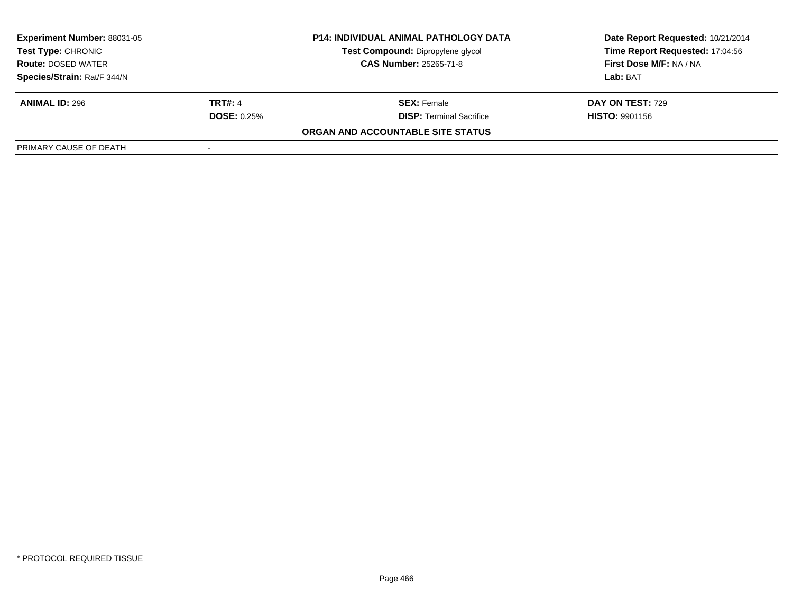| <b>Experiment Number: 88031-05</b><br>Test Type: CHRONIC<br><b>Route: DOSED WATER</b> |                    | <b>P14: INDIVIDUAL ANIMAL PATHOLOGY DATA</b> | Date Report Requested: 10/21/2014 |
|---------------------------------------------------------------------------------------|--------------------|----------------------------------------------|-----------------------------------|
|                                                                                       |                    | Test Compound: Dipropylene glycol            | Time Report Requested: 17:04:56   |
|                                                                                       |                    | <b>CAS Number: 25265-71-8</b>                | First Dose M/F: NA / NA           |
| Species/Strain: Rat/F 344/N                                                           |                    |                                              | Lab: BAT                          |
| <b>ANIMAL ID: 296</b>                                                                 | <b>TRT#: 4</b>     | <b>SEX:</b> Female                           | <b>DAY ON TEST: 729</b>           |
|                                                                                       | <b>DOSE: 0.25%</b> | <b>DISP: Terminal Sacrifice</b>              | <b>HISTO: 9901156</b>             |
|                                                                                       |                    | ORGAN AND ACCOUNTABLE SITE STATUS            |                                   |
| PRIMARY CAUSE OF DEATH                                                                |                    |                                              |                                   |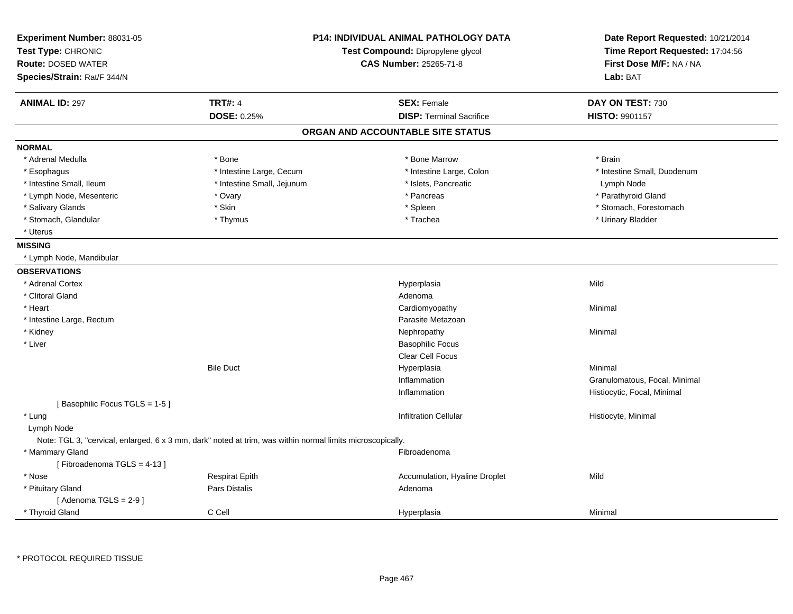| Experiment Number: 88031-05<br>Test Type: CHRONIC<br><b>Route: DOSED WATER</b><br>Species/Strain: Rat/F 344/N |                                                                                                            | <b>P14: INDIVIDUAL ANIMAL PATHOLOGY DATA</b><br>Test Compound: Dipropylene glycol<br><b>CAS Number: 25265-71-8</b> | Date Report Requested: 10/21/2014<br>Time Report Requested: 17:04:56<br>First Dose M/F: NA / NA<br>Lab: BAT |
|---------------------------------------------------------------------------------------------------------------|------------------------------------------------------------------------------------------------------------|--------------------------------------------------------------------------------------------------------------------|-------------------------------------------------------------------------------------------------------------|
| <b>ANIMAL ID: 297</b>                                                                                         | <b>TRT#: 4</b>                                                                                             | <b>SEX: Female</b>                                                                                                 | DAY ON TEST: 730                                                                                            |
|                                                                                                               | DOSE: 0.25%                                                                                                | <b>DISP: Terminal Sacrifice</b>                                                                                    | <b>HISTO: 9901157</b>                                                                                       |
|                                                                                                               |                                                                                                            | ORGAN AND ACCOUNTABLE SITE STATUS                                                                                  |                                                                                                             |
| <b>NORMAL</b>                                                                                                 |                                                                                                            |                                                                                                                    |                                                                                                             |
| * Adrenal Medulla                                                                                             | * Bone                                                                                                     | * Bone Marrow                                                                                                      | * Brain                                                                                                     |
| * Esophagus                                                                                                   | * Intestine Large, Cecum                                                                                   | * Intestine Large, Colon                                                                                           | * Intestine Small, Duodenum                                                                                 |
| * Intestine Small, Ileum                                                                                      | * Intestine Small, Jejunum                                                                                 | * Islets, Pancreatic                                                                                               | Lymph Node                                                                                                  |
| * Lymph Node, Mesenteric                                                                                      | * Ovary                                                                                                    | * Pancreas                                                                                                         | * Parathyroid Gland                                                                                         |
| * Salivary Glands                                                                                             | * Skin                                                                                                     | * Spleen                                                                                                           | * Stomach, Forestomach                                                                                      |
| * Stomach, Glandular                                                                                          | * Thymus                                                                                                   | * Trachea                                                                                                          | * Urinary Bladder                                                                                           |
| * Uterus                                                                                                      |                                                                                                            |                                                                                                                    |                                                                                                             |
| <b>MISSING</b>                                                                                                |                                                                                                            |                                                                                                                    |                                                                                                             |
| * Lymph Node, Mandibular                                                                                      |                                                                                                            |                                                                                                                    |                                                                                                             |
| <b>OBSERVATIONS</b>                                                                                           |                                                                                                            |                                                                                                                    |                                                                                                             |
| * Adrenal Cortex                                                                                              |                                                                                                            | Hyperplasia                                                                                                        | Mild                                                                                                        |
| * Clitoral Gland                                                                                              |                                                                                                            | Adenoma                                                                                                            |                                                                                                             |
| * Heart                                                                                                       |                                                                                                            | Cardiomyopathy                                                                                                     | Minimal                                                                                                     |
| * Intestine Large, Rectum                                                                                     |                                                                                                            | Parasite Metazoan                                                                                                  |                                                                                                             |
| * Kidney                                                                                                      |                                                                                                            | Nephropathy                                                                                                        | Minimal                                                                                                     |
| * Liver                                                                                                       |                                                                                                            | <b>Basophilic Focus</b>                                                                                            |                                                                                                             |
|                                                                                                               |                                                                                                            | <b>Clear Cell Focus</b>                                                                                            |                                                                                                             |
|                                                                                                               | <b>Bile Duct</b>                                                                                           | Hyperplasia                                                                                                        | Minimal                                                                                                     |
|                                                                                                               |                                                                                                            | Inflammation                                                                                                       | Granulomatous, Focal, Minimal                                                                               |
|                                                                                                               |                                                                                                            | Inflammation                                                                                                       | Histiocytic, Focal, Minimal                                                                                 |
| [Basophilic Focus TGLS = 1-5]                                                                                 |                                                                                                            |                                                                                                                    |                                                                                                             |
| * Lung                                                                                                        |                                                                                                            | <b>Infiltration Cellular</b>                                                                                       | Histiocyte, Minimal                                                                                         |
| Lymph Node                                                                                                    |                                                                                                            |                                                                                                                    |                                                                                                             |
|                                                                                                               | Note: TGL 3, "cervical, enlarged, 6 x 3 mm, dark" noted at trim, was within normal limits microscopically. |                                                                                                                    |                                                                                                             |
| * Mammary Gland                                                                                               |                                                                                                            | Fibroadenoma                                                                                                       |                                                                                                             |
| [Fibroadenoma TGLS = 4-13]                                                                                    |                                                                                                            |                                                                                                                    |                                                                                                             |
| * Nose                                                                                                        | <b>Respirat Epith</b>                                                                                      | Accumulation, Hyaline Droplet                                                                                      | Mild                                                                                                        |
| * Pituitary Gland                                                                                             | Pars Distalis                                                                                              | Adenoma                                                                                                            |                                                                                                             |
| [Adenoma TGLS = $2-9$ ]                                                                                       |                                                                                                            |                                                                                                                    |                                                                                                             |
| * Thyroid Gland                                                                                               | C Cell                                                                                                     | Hyperplasia                                                                                                        | Minimal                                                                                                     |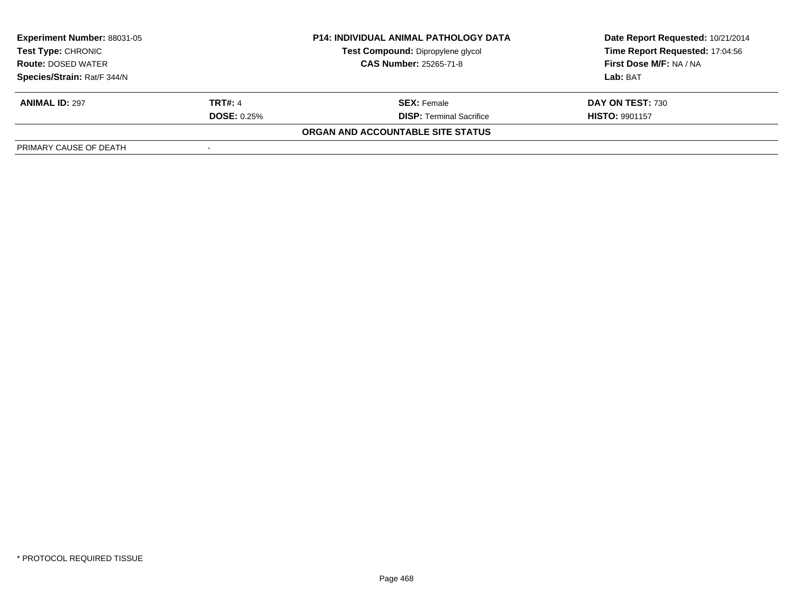| <b>Experiment Number: 88031-05</b>              |                    | <b>P14: INDIVIDUAL ANIMAL PATHOLOGY DATA</b> | Date Report Requested: 10/21/2014 |
|-------------------------------------------------|--------------------|----------------------------------------------|-----------------------------------|
| Test Type: CHRONIC<br><b>Route: DOSED WATER</b> |                    | Test Compound: Dipropylene glycol            | Time Report Requested: 17:04:56   |
|                                                 |                    | <b>CAS Number: 25265-71-8</b>                | <b>First Dose M/F: NA / NA</b>    |
| Species/Strain: Rat/F 344/N                     |                    |                                              | Lab: BAT                          |
| <b>ANIMAL ID: 297</b>                           | <b>TRT#: 4</b>     | <b>SEX:</b> Female                           | DAY ON TEST: 730                  |
|                                                 | <b>DOSE: 0.25%</b> | <b>DISP: Terminal Sacrifice</b>              | <b>HISTO: 9901157</b>             |
|                                                 |                    | ORGAN AND ACCOUNTABLE SITE STATUS            |                                   |
| PRIMARY CAUSE OF DEATH                          |                    |                                              |                                   |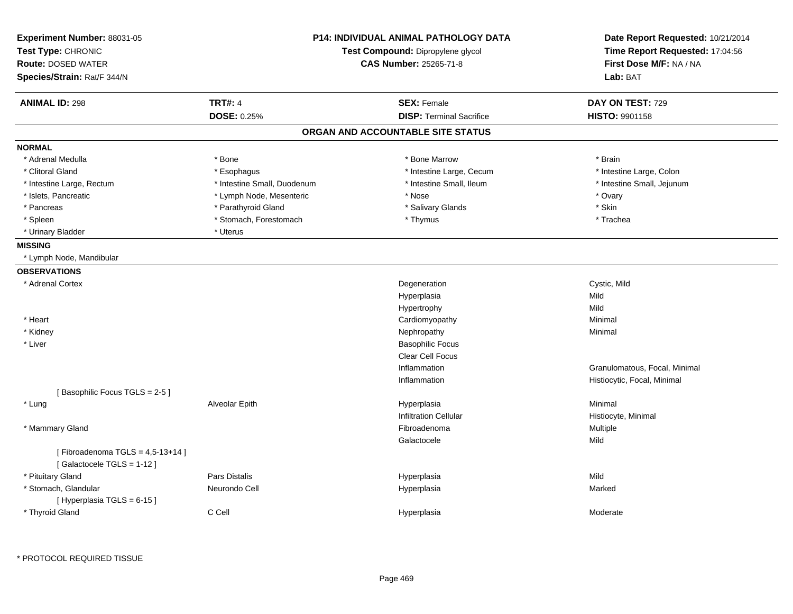| Experiment Number: 88031-05<br>Test Type: CHRONIC<br><b>Route: DOSED WATER</b><br>Species/Strain: Rat/F 344/N | <b>P14: INDIVIDUAL ANIMAL PATHOLOGY DATA</b><br>Test Compound: Dipropylene glycol<br><b>CAS Number: 25265-71-8</b> |                                   | Date Report Requested: 10/21/2014<br>Time Report Requested: 17:04:56<br>First Dose M/F: NA / NA<br>Lab: BAT |
|---------------------------------------------------------------------------------------------------------------|--------------------------------------------------------------------------------------------------------------------|-----------------------------------|-------------------------------------------------------------------------------------------------------------|
| <b>ANIMAL ID: 298</b>                                                                                         | <b>TRT#: 4</b>                                                                                                     | <b>SEX: Female</b>                | DAY ON TEST: 729                                                                                            |
|                                                                                                               | <b>DOSE: 0.25%</b>                                                                                                 | <b>DISP: Terminal Sacrifice</b>   | <b>HISTO: 9901158</b>                                                                                       |
|                                                                                                               |                                                                                                                    | ORGAN AND ACCOUNTABLE SITE STATUS |                                                                                                             |
| <b>NORMAL</b>                                                                                                 |                                                                                                                    |                                   |                                                                                                             |
| * Adrenal Medulla                                                                                             | * Bone                                                                                                             | * Bone Marrow                     | * Brain                                                                                                     |
| * Clitoral Gland                                                                                              | * Esophagus                                                                                                        | * Intestine Large, Cecum          | * Intestine Large, Colon                                                                                    |
| * Intestine Large, Rectum                                                                                     | * Intestine Small, Duodenum                                                                                        | * Intestine Small, Ileum          | * Intestine Small, Jejunum                                                                                  |
| * Islets, Pancreatic                                                                                          | * Lymph Node, Mesenteric                                                                                           | * Nose                            | * Ovary                                                                                                     |
| * Pancreas                                                                                                    | * Parathyroid Gland                                                                                                | * Salivary Glands                 | * Skin                                                                                                      |
| * Spleen                                                                                                      | * Stomach, Forestomach                                                                                             | * Thymus                          | * Trachea                                                                                                   |
| * Urinary Bladder                                                                                             | * Uterus                                                                                                           |                                   |                                                                                                             |
| <b>MISSING</b>                                                                                                |                                                                                                                    |                                   |                                                                                                             |
| * Lymph Node, Mandibular                                                                                      |                                                                                                                    |                                   |                                                                                                             |
| <b>OBSERVATIONS</b>                                                                                           |                                                                                                                    |                                   |                                                                                                             |
| * Adrenal Cortex                                                                                              |                                                                                                                    | Degeneration                      | Cystic, Mild                                                                                                |
|                                                                                                               |                                                                                                                    | Hyperplasia                       | Mild                                                                                                        |
|                                                                                                               |                                                                                                                    | Hypertrophy                       | Mild                                                                                                        |
| * Heart                                                                                                       |                                                                                                                    | Cardiomyopathy                    | Minimal                                                                                                     |
| * Kidney                                                                                                      |                                                                                                                    | Nephropathy                       | Minimal                                                                                                     |
| * Liver                                                                                                       |                                                                                                                    | <b>Basophilic Focus</b>           |                                                                                                             |
|                                                                                                               |                                                                                                                    | Clear Cell Focus                  |                                                                                                             |
|                                                                                                               |                                                                                                                    | Inflammation                      | Granulomatous, Focal, Minimal                                                                               |
|                                                                                                               |                                                                                                                    | Inflammation                      | Histiocytic, Focal, Minimal                                                                                 |
| [Basophilic Focus TGLS = 2-5]                                                                                 |                                                                                                                    |                                   |                                                                                                             |
| * Lung                                                                                                        | Alveolar Epith                                                                                                     | Hyperplasia                       | Minimal                                                                                                     |
|                                                                                                               |                                                                                                                    | <b>Infiltration Cellular</b>      | Histiocyte, Minimal                                                                                         |
| * Mammary Gland                                                                                               |                                                                                                                    | Fibroadenoma                      | Multiple                                                                                                    |
|                                                                                                               |                                                                                                                    | Galactocele                       | Mild                                                                                                        |
| [Fibroadenoma TGLS = $4,5-13+14$ ]<br>[Galactocele TGLS = 1-12]                                               |                                                                                                                    |                                   |                                                                                                             |
| * Pituitary Gland                                                                                             | Pars Distalis                                                                                                      | Hyperplasia                       | Mild                                                                                                        |
| * Stomach, Glandular                                                                                          | Neurondo Cell                                                                                                      | Hyperplasia                       | Marked                                                                                                      |
| [Hyperplasia TGLS = 6-15]                                                                                     |                                                                                                                    |                                   |                                                                                                             |
| * Thyroid Gland                                                                                               | C Cell                                                                                                             | Hyperplasia                       | Moderate                                                                                                    |
|                                                                                                               |                                                                                                                    |                                   |                                                                                                             |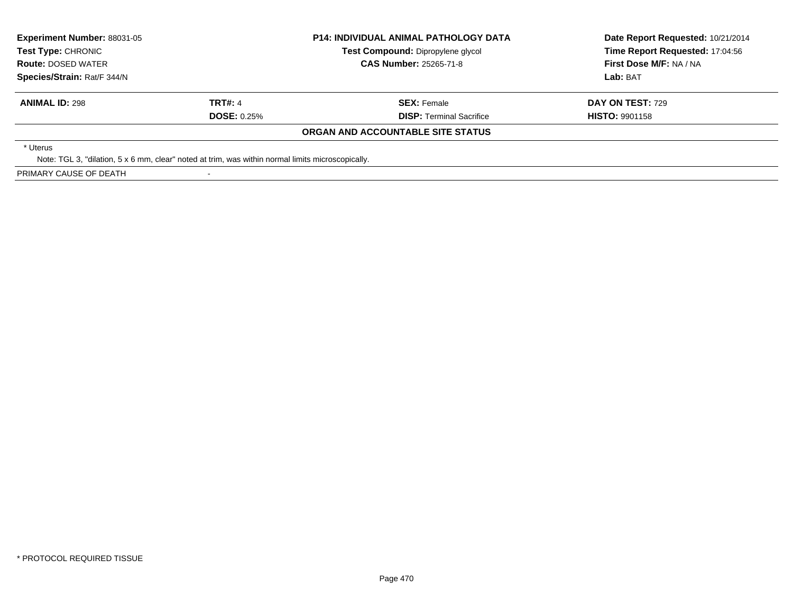| <b>Experiment Number: 88031-05</b><br><b>Test Type: CHRONIC</b><br><b>Route: DOSED WATER</b><br>Species/Strain: Rat/F 344/N |                      | <b>P14: INDIVIDUAL ANIMAL PATHOLOGY DATA</b><br>Test Compound: Dipropylene glycol<br><b>CAS Number: 25265-71-8</b> | Date Report Requested: 10/21/2014<br>Time Report Requested: 17:04:56<br>First Dose M/F: NA / NA<br>Lab: BAT |
|-----------------------------------------------------------------------------------------------------------------------------|----------------------|--------------------------------------------------------------------------------------------------------------------|-------------------------------------------------------------------------------------------------------------|
| <b>ANIMAL ID: 298</b>                                                                                                       | TRT#: 4              | <b>SEX: Female</b>                                                                                                 | <b>DAY ON TEST: 729</b>                                                                                     |
|                                                                                                                             | <b>DOSE:</b> $0.25%$ | <b>DISP:</b> Terminal Sacrifice                                                                                    | <b>HISTO: 9901158</b>                                                                                       |
|                                                                                                                             |                      | ORGAN AND ACCOUNTABLE SITE STATUS                                                                                  |                                                                                                             |
| * Uterus<br>Note: TGL 3, "dilation, 5 x 6 mm, clear" noted at trim, was within normal limits microscopically.               |                      |                                                                                                                    |                                                                                                             |

PRIMARY CAUSE OF DEATH

-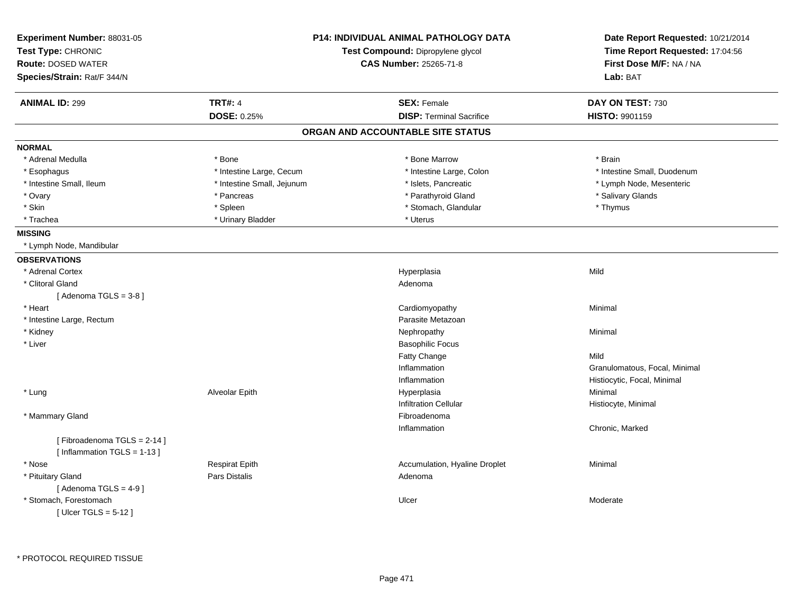| Experiment Number: 88031-05<br>Test Type: CHRONIC<br><b>Route: DOSED WATER</b><br>Species/Strain: Rat/F 344/N |                               | <b>P14: INDIVIDUAL ANIMAL PATHOLOGY DATA</b><br>Test Compound: Dipropylene glycol<br><b>CAS Number: 25265-71-8</b> | Date Report Requested: 10/21/2014<br>Time Report Requested: 17:04:56<br>First Dose M/F: NA / NA<br>Lab: BAT |
|---------------------------------------------------------------------------------------------------------------|-------------------------------|--------------------------------------------------------------------------------------------------------------------|-------------------------------------------------------------------------------------------------------------|
| <b>ANIMAL ID: 299</b>                                                                                         | <b>TRT#: 4</b><br>DOSE: 0.25% | <b>SEX: Female</b><br><b>DISP: Terminal Sacrifice</b>                                                              | DAY ON TEST: 730<br><b>HISTO: 9901159</b>                                                                   |
|                                                                                                               |                               | ORGAN AND ACCOUNTABLE SITE STATUS                                                                                  |                                                                                                             |
| <b>NORMAL</b>                                                                                                 |                               |                                                                                                                    |                                                                                                             |
| * Adrenal Medulla                                                                                             | * Bone                        | * Bone Marrow                                                                                                      | * Brain                                                                                                     |
| * Esophagus                                                                                                   | * Intestine Large, Cecum      | * Intestine Large, Colon                                                                                           | * Intestine Small, Duodenum                                                                                 |
| * Intestine Small, Ileum                                                                                      | * Intestine Small, Jejunum    | * Islets, Pancreatic                                                                                               | * Lymph Node, Mesenteric                                                                                    |
| * Ovary                                                                                                       | * Pancreas                    | * Parathyroid Gland                                                                                                | * Salivary Glands                                                                                           |
| * Skin                                                                                                        | * Spleen                      | * Stomach, Glandular                                                                                               | * Thymus                                                                                                    |
| * Trachea                                                                                                     | * Urinary Bladder             | * Uterus                                                                                                           |                                                                                                             |
| <b>MISSING</b>                                                                                                |                               |                                                                                                                    |                                                                                                             |
| * Lymph Node, Mandibular                                                                                      |                               |                                                                                                                    |                                                                                                             |
| <b>OBSERVATIONS</b>                                                                                           |                               |                                                                                                                    |                                                                                                             |
| * Adrenal Cortex                                                                                              |                               | Hyperplasia                                                                                                        | Mild                                                                                                        |
| * Clitoral Gland                                                                                              |                               | Adenoma                                                                                                            |                                                                                                             |
| [Adenoma TGLS = $3-8$ ]                                                                                       |                               |                                                                                                                    |                                                                                                             |
| * Heart                                                                                                       |                               | Cardiomyopathy                                                                                                     | Minimal                                                                                                     |
| * Intestine Large, Rectum                                                                                     |                               | Parasite Metazoan                                                                                                  |                                                                                                             |
| * Kidney                                                                                                      |                               | Nephropathy                                                                                                        | Minimal                                                                                                     |
| * Liver                                                                                                       |                               | <b>Basophilic Focus</b>                                                                                            |                                                                                                             |
|                                                                                                               |                               | Fatty Change                                                                                                       | Mild                                                                                                        |
|                                                                                                               |                               | Inflammation                                                                                                       | Granulomatous, Focal, Minimal                                                                               |
|                                                                                                               |                               | Inflammation                                                                                                       | Histiocytic, Focal, Minimal                                                                                 |
| * Lung                                                                                                        | Alveolar Epith                | Hyperplasia                                                                                                        | Minimal                                                                                                     |
|                                                                                                               |                               | <b>Infiltration Cellular</b>                                                                                       | Histiocyte, Minimal                                                                                         |
| * Mammary Gland                                                                                               |                               | Fibroadenoma                                                                                                       |                                                                                                             |
|                                                                                                               |                               | Inflammation                                                                                                       | Chronic, Marked                                                                                             |
| [Fibroadenoma TGLS = 2-14]<br>[Inflammation TGLS = $1-13$ ]                                                   |                               |                                                                                                                    |                                                                                                             |
| * Nose                                                                                                        | <b>Respirat Epith</b>         | Accumulation, Hyaline Droplet                                                                                      | Minimal                                                                                                     |
| * Pituitary Gland<br>[Adenoma TGLS = $4-9$ ]                                                                  | Pars Distalis                 | Adenoma                                                                                                            |                                                                                                             |
| * Stomach, Forestomach<br>[ Ulcer TGLS = $5-12$ ]                                                             |                               | Ulcer                                                                                                              | Moderate                                                                                                    |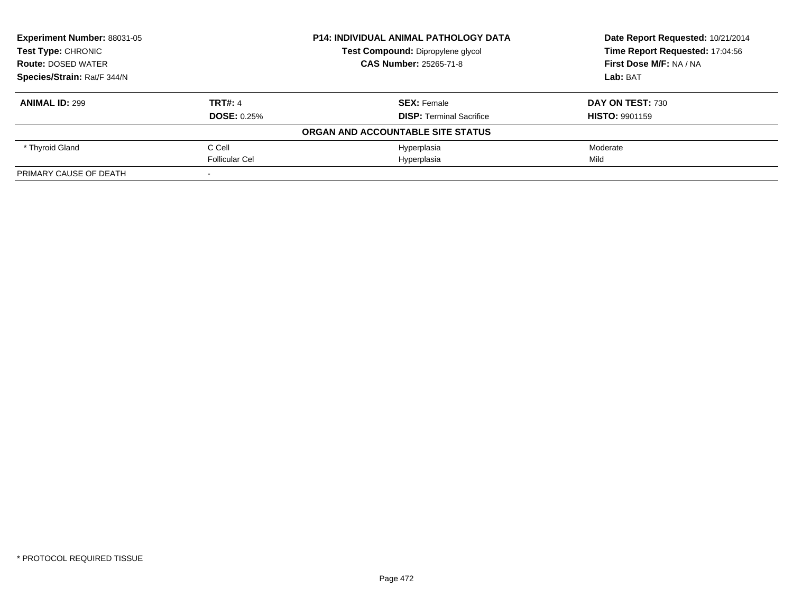| Experiment Number: 88031-05 |                       | <b>P14: INDIVIDUAL ANIMAL PATHOLOGY DATA</b> | Date Report Requested: 10/21/2014 |
|-----------------------------|-----------------------|----------------------------------------------|-----------------------------------|
| <b>Test Type: CHRONIC</b>   |                       | Test Compound: Dipropylene glycol            | Time Report Requested: 17:04:56   |
| <b>Route: DOSED WATER</b>   |                       | <b>CAS Number: 25265-71-8</b>                | First Dose M/F: NA / NA           |
| Species/Strain: Rat/F 344/N |                       |                                              | Lab: BAT                          |
| <b>ANIMAL ID: 299</b>       | <b>TRT#: 4</b>        | <b>SEX: Female</b>                           | DAY ON TEST: 730                  |
|                             | <b>DOSE: 0.25%</b>    | <b>DISP:</b> Terminal Sacrifice              | <b>HISTO: 9901159</b>             |
|                             |                       | ORGAN AND ACCOUNTABLE SITE STATUS            |                                   |
| * Thyroid Gland             | C Cell                | Hyperplasia                                  | Moderate                          |
|                             | <b>Follicular Cel</b> | Hyperplasia                                  | Mild                              |
| PRIMARY CAUSE OF DEATH      |                       |                                              |                                   |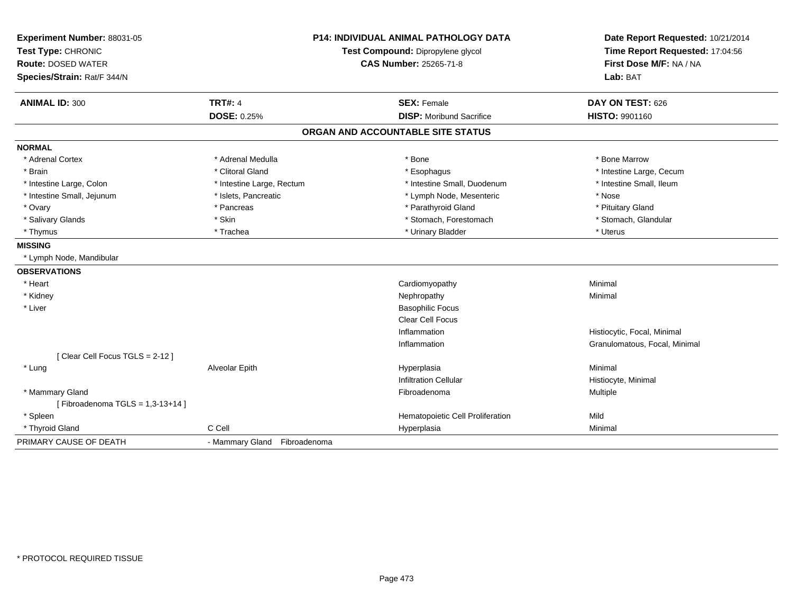| Experiment Number: 88031-05     | P14: INDIVIDUAL ANIMAL PATHOLOGY DATA<br>Test Compound: Dipropylene glycol |                                   | Date Report Requested: 10/21/2014 |
|---------------------------------|----------------------------------------------------------------------------|-----------------------------------|-----------------------------------|
| Test Type: CHRONIC              |                                                                            |                                   | Time Report Requested: 17:04:56   |
| <b>Route: DOSED WATER</b>       |                                                                            | <b>CAS Number: 25265-71-8</b>     | First Dose M/F: NA / NA           |
| Species/Strain: Rat/F 344/N     |                                                                            |                                   | Lab: BAT                          |
| <b>ANIMAL ID: 300</b>           | <b>TRT#: 4</b>                                                             | <b>SEX: Female</b>                | DAY ON TEST: 626                  |
|                                 | DOSE: 0.25%                                                                | <b>DISP:</b> Moribund Sacrifice   | HISTO: 9901160                    |
|                                 |                                                                            | ORGAN AND ACCOUNTABLE SITE STATUS |                                   |
| <b>NORMAL</b>                   |                                                                            |                                   |                                   |
| * Adrenal Cortex                | * Adrenal Medulla                                                          | * Bone                            | * Bone Marrow                     |
| * Brain                         | * Clitoral Gland                                                           | * Esophagus                       | * Intestine Large, Cecum          |
| * Intestine Large, Colon        | * Intestine Large, Rectum                                                  | * Intestine Small, Duodenum       | * Intestine Small, Ileum          |
| * Intestine Small, Jejunum      | * Islets, Pancreatic                                                       | * Lymph Node, Mesenteric          | * Nose                            |
| * Ovary                         | * Pancreas                                                                 | * Parathyroid Gland               | * Pituitary Gland                 |
| * Salivary Glands               | * Skin                                                                     | * Stomach, Forestomach            | * Stomach, Glandular              |
| * Thymus                        | * Trachea                                                                  | * Urinary Bladder                 | * Uterus                          |
| <b>MISSING</b>                  |                                                                            |                                   |                                   |
| * Lymph Node, Mandibular        |                                                                            |                                   |                                   |
| <b>OBSERVATIONS</b>             |                                                                            |                                   |                                   |
| * Heart                         |                                                                            | Cardiomyopathy                    | Minimal                           |
| * Kidney                        |                                                                            | Nephropathy                       | Minimal                           |
| * Liver                         |                                                                            | <b>Basophilic Focus</b>           |                                   |
|                                 |                                                                            | Clear Cell Focus                  |                                   |
|                                 |                                                                            | Inflammation                      | Histiocytic, Focal, Minimal       |
|                                 |                                                                            | Inflammation                      | Granulomatous, Focal, Minimal     |
| [Clear Cell Focus TGLS = 2-12]  |                                                                            |                                   |                                   |
| * Lung                          | Alveolar Epith                                                             | Hyperplasia                       | Minimal                           |
|                                 |                                                                            | <b>Infiltration Cellular</b>      | Histiocyte, Minimal               |
| * Mammary Gland                 |                                                                            | Fibroadenoma                      | Multiple                          |
| [Fibroadenoma TGLS = 1,3-13+14] |                                                                            |                                   |                                   |
| * Spleen                        |                                                                            | Hematopoietic Cell Proliferation  | Mild                              |
| * Thyroid Gland                 | C Cell                                                                     | Hyperplasia                       | Minimal                           |
| PRIMARY CAUSE OF DEATH          | - Mammary Gland Fibroadenoma                                               |                                   |                                   |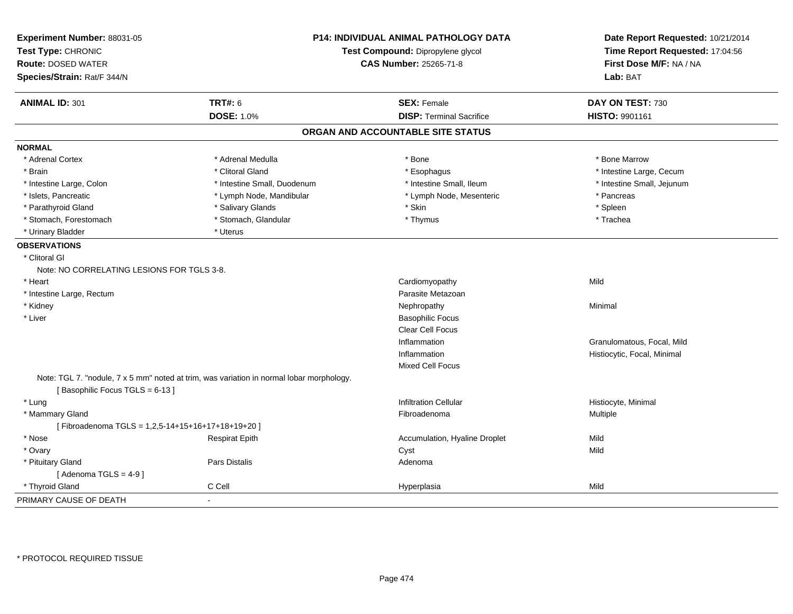| Experiment Number: 88031-05<br>Test Type: CHRONIC<br><b>Route: DOSED WATER</b><br>Species/Strain: Rat/F 344/N |                                                                                          | <b>P14: INDIVIDUAL ANIMAL PATHOLOGY DATA</b><br>Test Compound: Dipropylene glycol<br><b>CAS Number: 25265-71-8</b> | Date Report Requested: 10/21/2014<br>Time Report Requested: 17:04:56<br>First Dose M/F: NA / NA<br>Lab: BAT |
|---------------------------------------------------------------------------------------------------------------|------------------------------------------------------------------------------------------|--------------------------------------------------------------------------------------------------------------------|-------------------------------------------------------------------------------------------------------------|
| <b>ANIMAL ID: 301</b>                                                                                         | <b>TRT#: 6</b>                                                                           | <b>SEX: Female</b>                                                                                                 | DAY ON TEST: 730                                                                                            |
|                                                                                                               | <b>DOSE: 1.0%</b>                                                                        | <b>DISP: Terminal Sacrifice</b>                                                                                    | HISTO: 9901161                                                                                              |
|                                                                                                               |                                                                                          | ORGAN AND ACCOUNTABLE SITE STATUS                                                                                  |                                                                                                             |
| <b>NORMAL</b>                                                                                                 |                                                                                          |                                                                                                                    |                                                                                                             |
| * Adrenal Cortex                                                                                              | * Adrenal Medulla                                                                        | * Bone                                                                                                             | * Bone Marrow                                                                                               |
| * Brain                                                                                                       | * Clitoral Gland                                                                         | * Esophagus                                                                                                        | * Intestine Large, Cecum                                                                                    |
| * Intestine Large, Colon                                                                                      | * Intestine Small, Duodenum                                                              | * Intestine Small, Ileum                                                                                           | * Intestine Small, Jejunum                                                                                  |
| * Islets, Pancreatic                                                                                          | * Lymph Node, Mandibular                                                                 | * Lymph Node, Mesenteric                                                                                           | * Pancreas                                                                                                  |
| * Parathyroid Gland                                                                                           | * Salivary Glands                                                                        | * Skin                                                                                                             | * Spleen                                                                                                    |
| * Stomach, Forestomach                                                                                        | * Stomach, Glandular                                                                     | * Thymus                                                                                                           | * Trachea                                                                                                   |
| * Urinary Bladder                                                                                             | * Uterus                                                                                 |                                                                                                                    |                                                                                                             |
| <b>OBSERVATIONS</b>                                                                                           |                                                                                          |                                                                                                                    |                                                                                                             |
| * Clitoral Gl                                                                                                 |                                                                                          |                                                                                                                    |                                                                                                             |
| Note: NO CORRELATING LESIONS FOR TGLS 3-8.                                                                    |                                                                                          |                                                                                                                    |                                                                                                             |
| * Heart                                                                                                       |                                                                                          | Cardiomyopathy                                                                                                     | Mild                                                                                                        |
| * Intestine Large, Rectum                                                                                     |                                                                                          | Parasite Metazoan                                                                                                  |                                                                                                             |
| * Kidney                                                                                                      |                                                                                          | Nephropathy                                                                                                        | Minimal                                                                                                     |
| * Liver                                                                                                       |                                                                                          | <b>Basophilic Focus</b>                                                                                            |                                                                                                             |
|                                                                                                               |                                                                                          | Clear Cell Focus                                                                                                   |                                                                                                             |
|                                                                                                               |                                                                                          | Inflammation                                                                                                       | Granulomatous, Focal, Mild                                                                                  |
|                                                                                                               |                                                                                          | Inflammation                                                                                                       | Histiocytic, Focal, Minimal                                                                                 |
|                                                                                                               |                                                                                          | <b>Mixed Cell Focus</b>                                                                                            |                                                                                                             |
|                                                                                                               | Note: TGL 7. "nodule, 7 x 5 mm" noted at trim, was variation in normal lobar morphology. |                                                                                                                    |                                                                                                             |
| [Basophilic Focus TGLS = 6-13]                                                                                |                                                                                          |                                                                                                                    |                                                                                                             |
| * Lung                                                                                                        |                                                                                          | <b>Infiltration Cellular</b>                                                                                       | Histiocyte, Minimal                                                                                         |
| * Mammary Gland                                                                                               |                                                                                          | Fibroadenoma                                                                                                       | Multiple                                                                                                    |
| [Fibroadenoma TGLS = 1,2,5-14+15+16+17+18+19+20]                                                              |                                                                                          |                                                                                                                    |                                                                                                             |
| * Nose                                                                                                        | <b>Respirat Epith</b>                                                                    | Accumulation, Hyaline Droplet                                                                                      | Mild                                                                                                        |
| * Ovary                                                                                                       |                                                                                          | Cyst                                                                                                               | Mild                                                                                                        |
| * Pituitary Gland                                                                                             | Pars Distalis                                                                            | Adenoma                                                                                                            |                                                                                                             |
| [Adenoma TGLS = $4-9$ ]                                                                                       |                                                                                          |                                                                                                                    |                                                                                                             |
| * Thyroid Gland                                                                                               | C Cell                                                                                   | Hyperplasia                                                                                                        | Mild                                                                                                        |
| PRIMARY CAUSE OF DEATH                                                                                        | $\mathbf{r}$                                                                             |                                                                                                                    |                                                                                                             |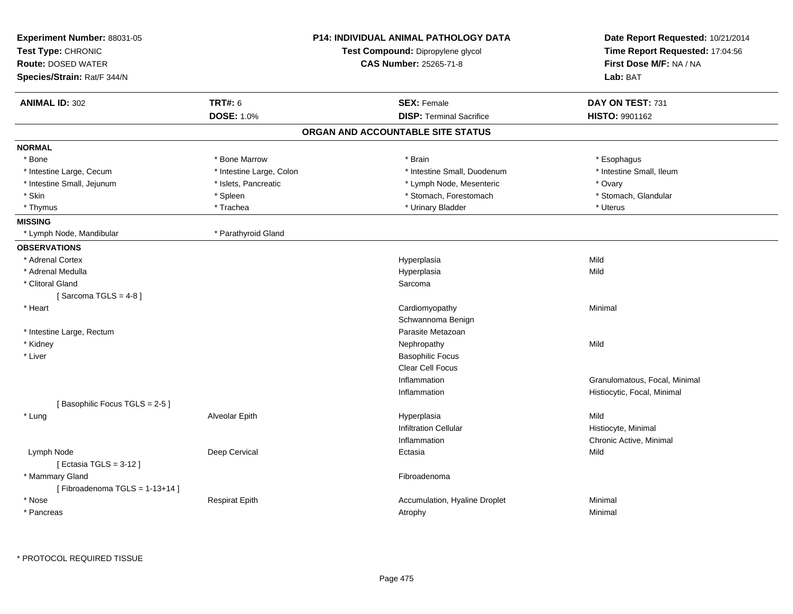| Experiment Number: 88031-05<br>Test Type: CHRONIC<br><b>Route: DOSED WATER</b><br>Species/Strain: Rat/F 344/N |                          | <b>P14: INDIVIDUAL ANIMAL PATHOLOGY DATA</b><br>Test Compound: Dipropylene glycol<br><b>CAS Number: 25265-71-8</b> | Date Report Requested: 10/21/2014<br>Time Report Requested: 17:04:56<br>First Dose M/F: NA / NA<br>Lab: BAT |
|---------------------------------------------------------------------------------------------------------------|--------------------------|--------------------------------------------------------------------------------------------------------------------|-------------------------------------------------------------------------------------------------------------|
| <b>ANIMAL ID: 302</b>                                                                                         | <b>TRT#: 6</b>           | <b>SEX: Female</b>                                                                                                 | DAY ON TEST: 731                                                                                            |
|                                                                                                               | <b>DOSE: 1.0%</b>        | <b>DISP: Terminal Sacrifice</b>                                                                                    | HISTO: 9901162                                                                                              |
|                                                                                                               |                          | ORGAN AND ACCOUNTABLE SITE STATUS                                                                                  |                                                                                                             |
| <b>NORMAL</b>                                                                                                 |                          |                                                                                                                    |                                                                                                             |
| * Bone                                                                                                        | * Bone Marrow            | * Brain                                                                                                            | * Esophagus                                                                                                 |
| * Intestine Large, Cecum                                                                                      | * Intestine Large, Colon | * Intestine Small, Duodenum                                                                                        | * Intestine Small, Ileum                                                                                    |
| * Intestine Small, Jejunum                                                                                    | * Islets, Pancreatic     | * Lymph Node, Mesenteric                                                                                           | * Ovary                                                                                                     |
| * Skin                                                                                                        | * Spleen                 | * Stomach, Forestomach                                                                                             | * Stomach, Glandular                                                                                        |
| * Thymus                                                                                                      | * Trachea                | * Urinary Bladder                                                                                                  | * Uterus                                                                                                    |
| <b>MISSING</b>                                                                                                |                          |                                                                                                                    |                                                                                                             |
| * Lymph Node, Mandibular                                                                                      | * Parathyroid Gland      |                                                                                                                    |                                                                                                             |
| <b>OBSERVATIONS</b>                                                                                           |                          |                                                                                                                    |                                                                                                             |
| * Adrenal Cortex                                                                                              |                          | Hyperplasia                                                                                                        | Mild                                                                                                        |
| * Adrenal Medulla                                                                                             |                          | Hyperplasia                                                                                                        | Mild                                                                                                        |
| * Clitoral Gland                                                                                              |                          | Sarcoma                                                                                                            |                                                                                                             |
| [Sarcoma TGLS = $4-8$ ]                                                                                       |                          |                                                                                                                    |                                                                                                             |
| * Heart                                                                                                       |                          | Cardiomyopathy                                                                                                     | Minimal                                                                                                     |
|                                                                                                               |                          | Schwannoma Benign                                                                                                  |                                                                                                             |
| * Intestine Large, Rectum                                                                                     |                          | Parasite Metazoan                                                                                                  |                                                                                                             |
| * Kidney                                                                                                      |                          | Nephropathy                                                                                                        | Mild                                                                                                        |
| * Liver                                                                                                       |                          | <b>Basophilic Focus</b>                                                                                            |                                                                                                             |
|                                                                                                               |                          | <b>Clear Cell Focus</b>                                                                                            |                                                                                                             |
|                                                                                                               |                          | Inflammation                                                                                                       | Granulomatous, Focal, Minimal                                                                               |
|                                                                                                               |                          | Inflammation                                                                                                       | Histiocytic, Focal, Minimal                                                                                 |
| [Basophilic Focus TGLS = 2-5]                                                                                 |                          |                                                                                                                    |                                                                                                             |
| * Lung                                                                                                        | Alveolar Epith           | Hyperplasia                                                                                                        | Mild                                                                                                        |
|                                                                                                               |                          | <b>Infiltration Cellular</b>                                                                                       | Histiocyte, Minimal                                                                                         |
|                                                                                                               |                          | Inflammation                                                                                                       | Chronic Active, Minimal                                                                                     |
| Lymph Node<br>[Ectasia TGLS = $3-12$ ]                                                                        | Deep Cervical            | Ectasia                                                                                                            | Mild                                                                                                        |
| * Mammary Gland<br>[Fibroadenoma TGLS = 1-13+14]                                                              |                          | Fibroadenoma                                                                                                       |                                                                                                             |
| * Nose                                                                                                        | <b>Respirat Epith</b>    | Accumulation, Hyaline Droplet                                                                                      | Minimal                                                                                                     |
| * Pancreas                                                                                                    |                          | Atrophy                                                                                                            | Minimal                                                                                                     |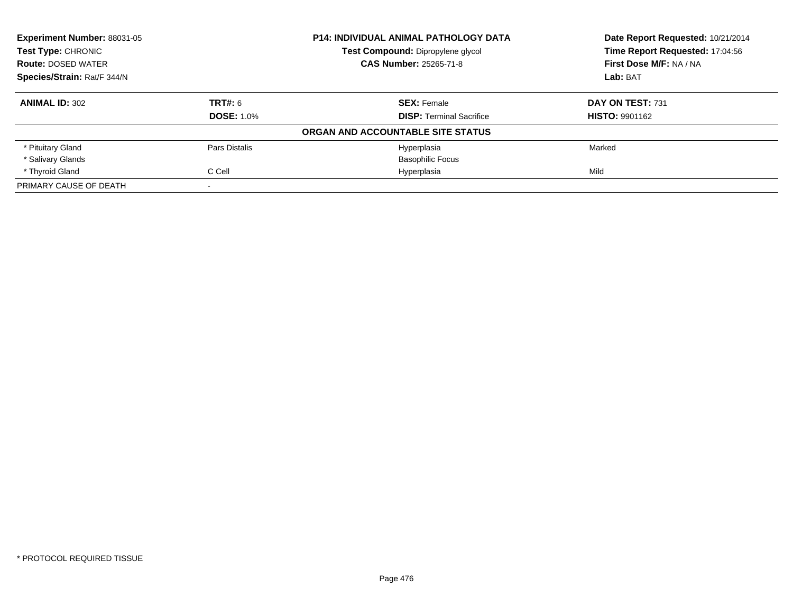| <b>Experiment Number: 88031-05</b><br><b>Test Type: CHRONIC</b> |                   | <b>P14: INDIVIDUAL ANIMAL PATHOLOGY DATA</b> | Date Report Requested: 10/21/2014<br>Time Report Requested: 17:04:56 |
|-----------------------------------------------------------------|-------------------|----------------------------------------------|----------------------------------------------------------------------|
|                                                                 |                   | Test Compound: Dipropylene glycol            |                                                                      |
| <b>Route: DOSED WATER</b>                                       |                   | <b>CAS Number: 25265-71-8</b>                | First Dose M/F: NA / NA                                              |
| Species/Strain: Rat/F 344/N                                     |                   |                                              | Lab: BAT                                                             |
| <b>ANIMAL ID: 302</b>                                           | TRT#: 6           | <b>SEX: Female</b>                           | DAY ON TEST: 731                                                     |
|                                                                 | <b>DOSE: 1.0%</b> | <b>DISP:</b> Terminal Sacrifice              | <b>HISTO: 9901162</b>                                                |
|                                                                 |                   | ORGAN AND ACCOUNTABLE SITE STATUS            |                                                                      |
| * Pituitary Gland                                               | Pars Distalis     | Hyperplasia                                  | Marked                                                               |
| * Salivary Glands                                               |                   | <b>Basophilic Focus</b>                      |                                                                      |
| * Thyroid Gland                                                 | C Cell            | Hyperplasia                                  | Mild                                                                 |
| PRIMARY CAUSE OF DEATH                                          |                   |                                              |                                                                      |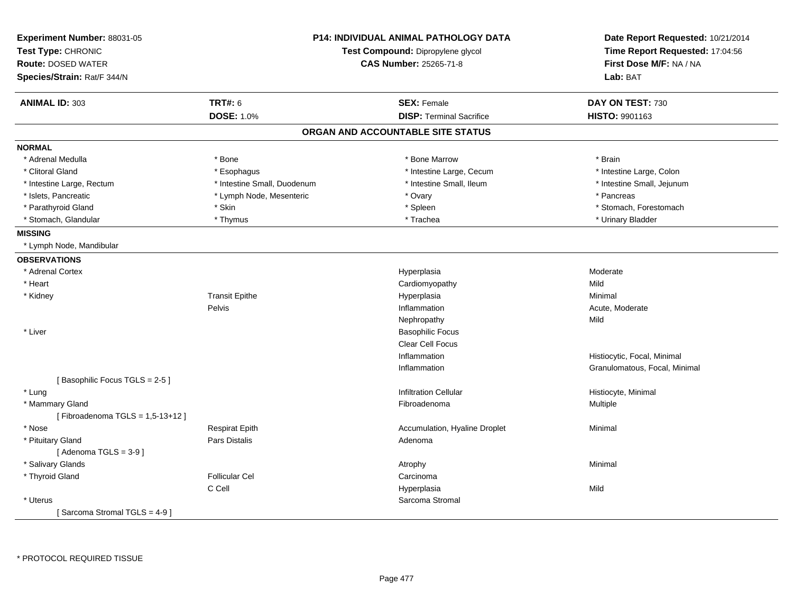| Experiment Number: 88031-05<br>Test Type: CHRONIC<br><b>Route: DOSED WATER</b><br>Species/Strain: Rat/F 344/N |                             | <b>P14: INDIVIDUAL ANIMAL PATHOLOGY DATA</b><br>Test Compound: Dipropylene glycol<br><b>CAS Number: 25265-71-8</b> | Date Report Requested: 10/21/2014<br>Time Report Requested: 17:04:56<br>First Dose M/F: NA / NA<br>Lab: BAT |
|---------------------------------------------------------------------------------------------------------------|-----------------------------|--------------------------------------------------------------------------------------------------------------------|-------------------------------------------------------------------------------------------------------------|
| <b>ANIMAL ID: 303</b>                                                                                         | <b>TRT#: 6</b>              | <b>SEX: Female</b>                                                                                                 | DAY ON TEST: 730                                                                                            |
|                                                                                                               | <b>DOSE: 1.0%</b>           | <b>DISP: Terminal Sacrifice</b>                                                                                    | <b>HISTO: 9901163</b>                                                                                       |
|                                                                                                               |                             | ORGAN AND ACCOUNTABLE SITE STATUS                                                                                  |                                                                                                             |
| <b>NORMAL</b>                                                                                                 |                             |                                                                                                                    |                                                                                                             |
| * Adrenal Medulla                                                                                             | * Bone                      | * Bone Marrow                                                                                                      | * Brain                                                                                                     |
| * Clitoral Gland                                                                                              | * Esophagus                 | * Intestine Large, Cecum                                                                                           | * Intestine Large, Colon                                                                                    |
| * Intestine Large, Rectum                                                                                     | * Intestine Small, Duodenum | * Intestine Small, Ileum                                                                                           | * Intestine Small, Jejunum                                                                                  |
| * Islets, Pancreatic                                                                                          | * Lymph Node, Mesenteric    | * Ovary                                                                                                            | * Pancreas                                                                                                  |
| * Parathyroid Gland                                                                                           | * Skin                      | * Spleen                                                                                                           | * Stomach, Forestomach                                                                                      |
| * Stomach, Glandular                                                                                          | * Thymus                    | * Trachea                                                                                                          | * Urinary Bladder                                                                                           |
| <b>MISSING</b>                                                                                                |                             |                                                                                                                    |                                                                                                             |
| * Lymph Node, Mandibular                                                                                      |                             |                                                                                                                    |                                                                                                             |
| <b>OBSERVATIONS</b>                                                                                           |                             |                                                                                                                    |                                                                                                             |
| * Adrenal Cortex                                                                                              |                             | Hyperplasia                                                                                                        | Moderate                                                                                                    |
| * Heart                                                                                                       |                             | Cardiomyopathy                                                                                                     | Mild                                                                                                        |
| * Kidney                                                                                                      | <b>Transit Epithe</b>       | Hyperplasia                                                                                                        | Minimal                                                                                                     |
|                                                                                                               | Pelvis                      | Inflammation                                                                                                       | Acute, Moderate                                                                                             |
|                                                                                                               |                             | Nephropathy                                                                                                        | Mild                                                                                                        |
| * Liver                                                                                                       |                             | <b>Basophilic Focus</b>                                                                                            |                                                                                                             |
|                                                                                                               |                             | <b>Clear Cell Focus</b>                                                                                            |                                                                                                             |
|                                                                                                               |                             | Inflammation                                                                                                       | Histiocytic, Focal, Minimal                                                                                 |
|                                                                                                               |                             | Inflammation                                                                                                       | Granulomatous, Focal, Minimal                                                                               |
| [Basophilic Focus TGLS = 2-5]                                                                                 |                             |                                                                                                                    |                                                                                                             |
| * Lung                                                                                                        |                             | <b>Infiltration Cellular</b>                                                                                       | Histiocyte, Minimal                                                                                         |
| * Mammary Gland                                                                                               |                             | Fibroadenoma                                                                                                       | Multiple                                                                                                    |
| [Fibroadenoma TGLS = $1,5-13+12$ ]                                                                            |                             |                                                                                                                    |                                                                                                             |
| * Nose                                                                                                        | <b>Respirat Epith</b>       | Accumulation, Hyaline Droplet                                                                                      | Minimal                                                                                                     |
| * Pituitary Gland                                                                                             | Pars Distalis               | Adenoma                                                                                                            |                                                                                                             |
| [Adenoma TGLS = $3-9$ ]                                                                                       |                             |                                                                                                                    |                                                                                                             |
| * Salivary Glands                                                                                             |                             | Atrophy                                                                                                            | Minimal                                                                                                     |
| * Thyroid Gland                                                                                               | <b>Follicular Cel</b>       | Carcinoma                                                                                                          |                                                                                                             |
|                                                                                                               | C Cell                      | Hyperplasia                                                                                                        | Mild                                                                                                        |
| * Uterus                                                                                                      |                             | Sarcoma Stromal                                                                                                    |                                                                                                             |
| [Sarcoma Stromal TGLS = 4-9 ]                                                                                 |                             |                                                                                                                    |                                                                                                             |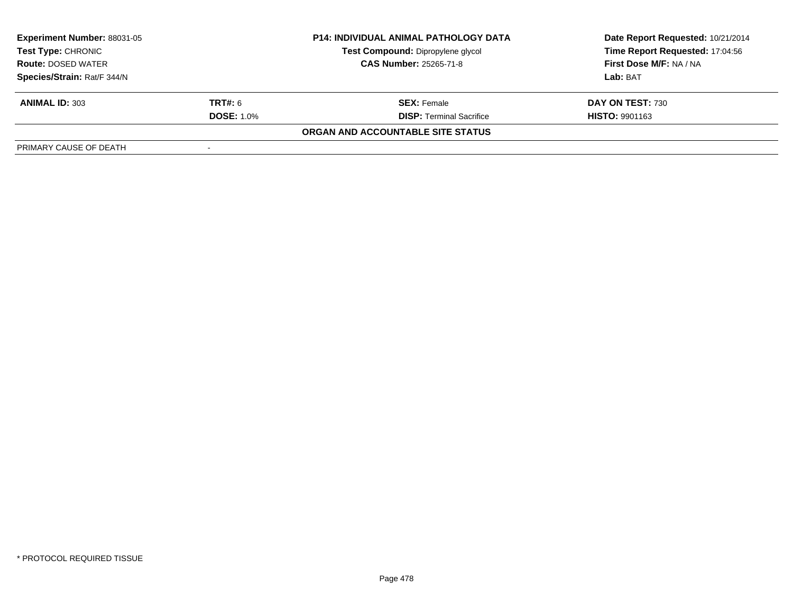| <b>Experiment Number: 88031-05</b><br>Test Type: CHRONIC |                   | <b>P14: INDIVIDUAL ANIMAL PATHOLOGY DATA</b> | Date Report Requested: 10/21/2014 |  |
|----------------------------------------------------------|-------------------|----------------------------------------------|-----------------------------------|--|
|                                                          |                   | Test Compound: Dipropylene glycol            | Time Report Requested: 17:04:56   |  |
| <b>Route: DOSED WATER</b>                                |                   | <b>CAS Number: 25265-71-8</b>                | <b>First Dose M/F: NA / NA</b>    |  |
| Species/Strain: Rat/F 344/N                              |                   |                                              | Lab: BAT                          |  |
| <b>ANIMAL ID: 303</b>                                    | <b>TRT#:</b> 6    | <b>SEX:</b> Female                           | DAY ON TEST: 730                  |  |
|                                                          | <b>DOSE: 1.0%</b> | <b>DISP: Terminal Sacrifice</b>              | <b>HISTO: 9901163</b>             |  |
|                                                          |                   | ORGAN AND ACCOUNTABLE SITE STATUS            |                                   |  |
| PRIMARY CAUSE OF DEATH                                   |                   |                                              |                                   |  |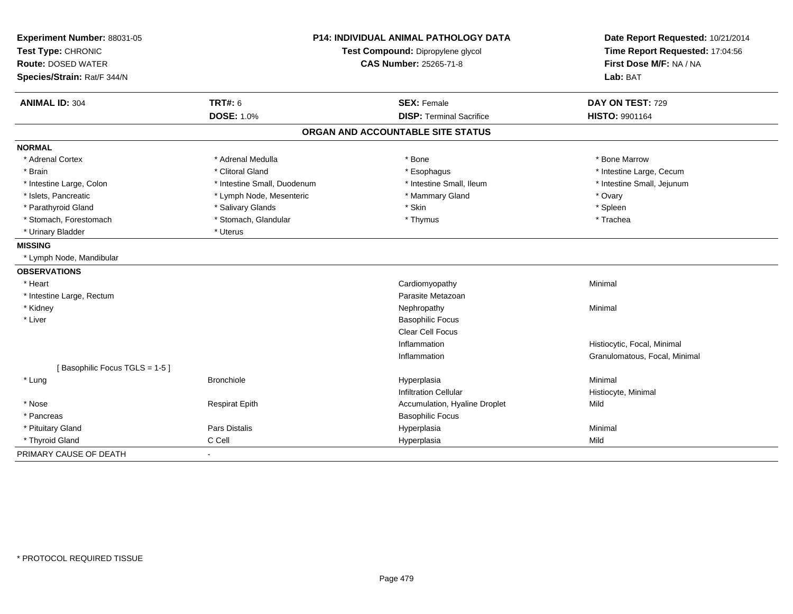| Experiment Number: 88031-05<br>Test Type: CHRONIC<br><b>Route: DOSED WATER</b><br>Species/Strain: Rat/F 344/N | <b>P14: INDIVIDUAL ANIMAL PATHOLOGY DATA</b><br>Test Compound: Dipropylene glycol<br><b>CAS Number: 25265-71-8</b> |                                   | Date Report Requested: 10/21/2014<br>Time Report Requested: 17:04:56<br>First Dose M/F: NA / NA<br>Lab: BAT |  |
|---------------------------------------------------------------------------------------------------------------|--------------------------------------------------------------------------------------------------------------------|-----------------------------------|-------------------------------------------------------------------------------------------------------------|--|
| <b>ANIMAL ID: 304</b>                                                                                         | <b>TRT#: 6</b>                                                                                                     | <b>SEX: Female</b>                | DAY ON TEST: 729                                                                                            |  |
|                                                                                                               | <b>DOSE: 1.0%</b>                                                                                                  | <b>DISP: Terminal Sacrifice</b>   | <b>HISTO: 9901164</b>                                                                                       |  |
|                                                                                                               |                                                                                                                    | ORGAN AND ACCOUNTABLE SITE STATUS |                                                                                                             |  |
| <b>NORMAL</b>                                                                                                 |                                                                                                                    |                                   |                                                                                                             |  |
| * Adrenal Cortex                                                                                              | * Adrenal Medulla                                                                                                  | * Bone                            | * Bone Marrow                                                                                               |  |
| * Brain                                                                                                       | * Clitoral Gland                                                                                                   | * Esophagus                       | * Intestine Large, Cecum                                                                                    |  |
| * Intestine Large, Colon                                                                                      | * Intestine Small, Duodenum                                                                                        | * Intestine Small, Ileum          | * Intestine Small, Jejunum                                                                                  |  |
| * Islets, Pancreatic                                                                                          | * Lymph Node, Mesenteric                                                                                           | * Mammary Gland                   | * Ovary                                                                                                     |  |
| * Parathyroid Gland                                                                                           | * Salivary Glands                                                                                                  | * Skin                            | * Spleen                                                                                                    |  |
| * Stomach, Forestomach                                                                                        | * Stomach, Glandular                                                                                               | * Thymus                          | * Trachea                                                                                                   |  |
| * Urinary Bladder                                                                                             | * Uterus                                                                                                           |                                   |                                                                                                             |  |
| <b>MISSING</b>                                                                                                |                                                                                                                    |                                   |                                                                                                             |  |
| * Lymph Node, Mandibular                                                                                      |                                                                                                                    |                                   |                                                                                                             |  |
| <b>OBSERVATIONS</b>                                                                                           |                                                                                                                    |                                   |                                                                                                             |  |
| * Heart                                                                                                       |                                                                                                                    | Cardiomyopathy                    | Minimal                                                                                                     |  |
| * Intestine Large, Rectum                                                                                     |                                                                                                                    | Parasite Metazoan                 |                                                                                                             |  |
| * Kidney                                                                                                      |                                                                                                                    | Nephropathy                       | Minimal                                                                                                     |  |
| * Liver                                                                                                       |                                                                                                                    | <b>Basophilic Focus</b>           |                                                                                                             |  |
|                                                                                                               |                                                                                                                    | Clear Cell Focus                  |                                                                                                             |  |
|                                                                                                               |                                                                                                                    | Inflammation                      | Histiocytic, Focal, Minimal                                                                                 |  |
|                                                                                                               |                                                                                                                    | Inflammation                      | Granulomatous, Focal, Minimal                                                                               |  |
| [Basophilic Focus TGLS = 1-5]                                                                                 |                                                                                                                    |                                   |                                                                                                             |  |
| * Lung                                                                                                        | <b>Bronchiole</b>                                                                                                  | Hyperplasia                       | Minimal                                                                                                     |  |
|                                                                                                               |                                                                                                                    | <b>Infiltration Cellular</b>      | Histiocyte, Minimal                                                                                         |  |
| * Nose                                                                                                        | <b>Respirat Epith</b>                                                                                              | Accumulation, Hyaline Droplet     | Mild                                                                                                        |  |
| * Pancreas                                                                                                    |                                                                                                                    | <b>Basophilic Focus</b>           |                                                                                                             |  |
| * Pituitary Gland                                                                                             | <b>Pars Distalis</b>                                                                                               | Hyperplasia                       | Minimal                                                                                                     |  |
| * Thyroid Gland                                                                                               | C Cell                                                                                                             | Hyperplasia                       | Mild                                                                                                        |  |
| PRIMARY CAUSE OF DEATH                                                                                        |                                                                                                                    |                                   |                                                                                                             |  |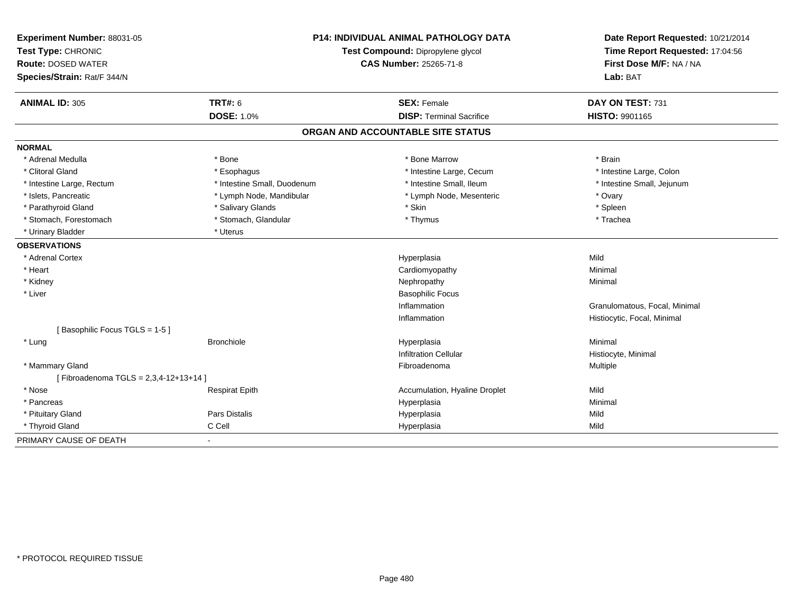| Experiment Number: 88031-05<br>Test Type: CHRONIC<br><b>Route: DOSED WATER</b> |                             | <b>P14: INDIVIDUAL ANIMAL PATHOLOGY DATA</b><br>Test Compound: Dipropylene glycol<br><b>CAS Number: 25265-71-8</b> | Date Report Requested: 10/21/2014<br>Time Report Requested: 17:04:56<br>First Dose M/F: NA / NA |
|--------------------------------------------------------------------------------|-----------------------------|--------------------------------------------------------------------------------------------------------------------|-------------------------------------------------------------------------------------------------|
| Species/Strain: Rat/F 344/N                                                    |                             |                                                                                                                    | Lab: BAT                                                                                        |
| <b>ANIMAL ID: 305</b>                                                          | <b>TRT#: 6</b>              | <b>SEX: Female</b>                                                                                                 | DAY ON TEST: 731                                                                                |
|                                                                                | <b>DOSE: 1.0%</b>           | <b>DISP: Terminal Sacrifice</b>                                                                                    | HISTO: 9901165                                                                                  |
|                                                                                |                             | ORGAN AND ACCOUNTABLE SITE STATUS                                                                                  |                                                                                                 |
| <b>NORMAL</b>                                                                  |                             |                                                                                                                    |                                                                                                 |
| * Adrenal Medulla                                                              | * Bone                      | * Bone Marrow                                                                                                      | * Brain                                                                                         |
| * Clitoral Gland                                                               | * Esophagus                 | * Intestine Large, Cecum                                                                                           | * Intestine Large, Colon                                                                        |
| * Intestine Large, Rectum                                                      | * Intestine Small, Duodenum | * Intestine Small, Ileum                                                                                           | * Intestine Small, Jejunum                                                                      |
| * Islets, Pancreatic                                                           | * Lymph Node, Mandibular    | * Lymph Node, Mesenteric                                                                                           | * Ovary                                                                                         |
| * Parathyroid Gland                                                            | * Salivary Glands           | * Skin                                                                                                             | * Spleen                                                                                        |
| * Stomach, Forestomach                                                         | * Stomach, Glandular        | * Thymus                                                                                                           | * Trachea                                                                                       |
| * Urinary Bladder                                                              | * Uterus                    |                                                                                                                    |                                                                                                 |
| <b>OBSERVATIONS</b>                                                            |                             |                                                                                                                    |                                                                                                 |
| * Adrenal Cortex                                                               |                             | Hyperplasia                                                                                                        | Mild                                                                                            |
| * Heart                                                                        |                             | Cardiomyopathy                                                                                                     | Minimal                                                                                         |
| * Kidney                                                                       |                             | Nephropathy                                                                                                        | Minimal                                                                                         |
| * Liver                                                                        |                             | <b>Basophilic Focus</b>                                                                                            |                                                                                                 |
|                                                                                |                             | Inflammation                                                                                                       | Granulomatous, Focal, Minimal                                                                   |
|                                                                                |                             | Inflammation                                                                                                       | Histiocytic, Focal, Minimal                                                                     |
| [Basophilic Focus TGLS = 1-5]                                                  |                             |                                                                                                                    |                                                                                                 |
| * Lung                                                                         | <b>Bronchiole</b>           | Hyperplasia                                                                                                        | Minimal                                                                                         |
|                                                                                |                             | <b>Infiltration Cellular</b>                                                                                       | Histiocyte, Minimal                                                                             |
| * Mammary Gland                                                                |                             | Fibroadenoma                                                                                                       | <b>Multiple</b>                                                                                 |
| [Fibroadenoma TGLS = 2,3,4-12+13+14]                                           |                             |                                                                                                                    |                                                                                                 |
| * Nose                                                                         | <b>Respirat Epith</b>       | Accumulation, Hyaline Droplet                                                                                      | Mild                                                                                            |
| * Pancreas                                                                     |                             | Hyperplasia                                                                                                        | Minimal                                                                                         |
| * Pituitary Gland                                                              | Pars Distalis               | Hyperplasia                                                                                                        | Mild                                                                                            |
| * Thyroid Gland                                                                | C Cell                      | Hyperplasia                                                                                                        | Mild                                                                                            |
| PRIMARY CAUSE OF DEATH                                                         | $\blacksquare$              |                                                                                                                    |                                                                                                 |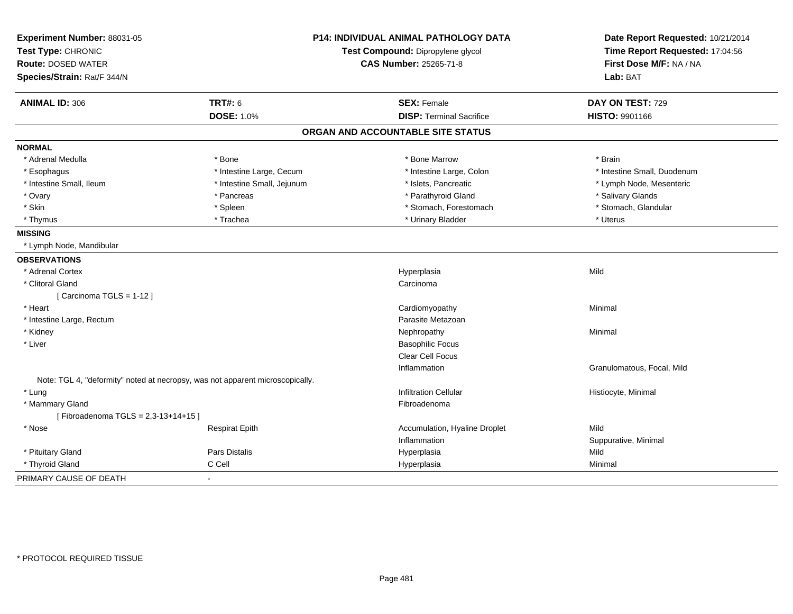| Experiment Number: 88031-05                                                   |                            | P14: INDIVIDUAL ANIMAL PATHOLOGY DATA | Date Report Requested: 10/21/2014                          |  |
|-------------------------------------------------------------------------------|----------------------------|---------------------------------------|------------------------------------------------------------|--|
| Test Type: CHRONIC                                                            |                            | Test Compound: Dipropylene glycol     | Time Report Requested: 17:04:56<br>First Dose M/F: NA / NA |  |
| <b>Route: DOSED WATER</b>                                                     |                            | <b>CAS Number: 25265-71-8</b>         |                                                            |  |
| Species/Strain: Rat/F 344/N                                                   |                            |                                       | Lab: BAT                                                   |  |
| <b>ANIMAL ID: 306</b>                                                         | <b>TRT#: 6</b>             | <b>SEX: Female</b>                    | DAY ON TEST: 729                                           |  |
|                                                                               | <b>DOSE: 1.0%</b>          | <b>DISP: Terminal Sacrifice</b>       | HISTO: 9901166                                             |  |
|                                                                               |                            | ORGAN AND ACCOUNTABLE SITE STATUS     |                                                            |  |
| <b>NORMAL</b>                                                                 |                            |                                       |                                                            |  |
| * Adrenal Medulla                                                             | * Bone                     | * Bone Marrow                         | * Brain                                                    |  |
| * Esophagus                                                                   | * Intestine Large, Cecum   | * Intestine Large, Colon              | * Intestine Small, Duodenum                                |  |
| * Intestine Small, Ileum                                                      | * Intestine Small, Jejunum | * Islets, Pancreatic                  | * Lymph Node, Mesenteric                                   |  |
| * Ovary                                                                       | * Pancreas                 | * Parathyroid Gland                   | * Salivary Glands                                          |  |
| * Skin                                                                        | * Spleen                   | * Stomach, Forestomach                | * Stomach, Glandular                                       |  |
| * Thymus                                                                      | * Trachea                  | * Urinary Bladder                     | * Uterus                                                   |  |
| <b>MISSING</b>                                                                |                            |                                       |                                                            |  |
| * Lymph Node, Mandibular                                                      |                            |                                       |                                                            |  |
| <b>OBSERVATIONS</b>                                                           |                            |                                       |                                                            |  |
| * Adrenal Cortex                                                              |                            | Hyperplasia                           | Mild                                                       |  |
| * Clitoral Gland                                                              |                            | Carcinoma                             |                                                            |  |
| [Carcinoma TGLS = 1-12]                                                       |                            |                                       |                                                            |  |
| * Heart                                                                       |                            | Cardiomyopathy                        | Minimal                                                    |  |
| * Intestine Large, Rectum                                                     |                            | Parasite Metazoan                     |                                                            |  |
| * Kidney                                                                      |                            | Nephropathy                           | Minimal                                                    |  |
| * Liver                                                                       |                            | <b>Basophilic Focus</b>               |                                                            |  |
|                                                                               |                            | Clear Cell Focus                      |                                                            |  |
|                                                                               |                            | Inflammation                          | Granulomatous, Focal, Mild                                 |  |
| Note: TGL 4, "deformity" noted at necropsy, was not apparent microscopically. |                            |                                       |                                                            |  |
| * Lung                                                                        |                            | <b>Infiltration Cellular</b>          | Histiocyte, Minimal                                        |  |
| * Mammary Gland                                                               |                            | Fibroadenoma                          |                                                            |  |
| [Fibroadenoma TGLS = 2,3-13+14+15]                                            |                            |                                       |                                                            |  |
| * Nose                                                                        | <b>Respirat Epith</b>      | Accumulation, Hyaline Droplet         | Mild                                                       |  |
|                                                                               |                            | Inflammation                          | Suppurative, Minimal                                       |  |
| * Pituitary Gland                                                             | Pars Distalis              | Hyperplasia                           | Mild                                                       |  |
| * Thyroid Gland                                                               | C Cell                     | Hyperplasia                           | Minimal                                                    |  |
| PRIMARY CAUSE OF DEATH                                                        |                            |                                       |                                                            |  |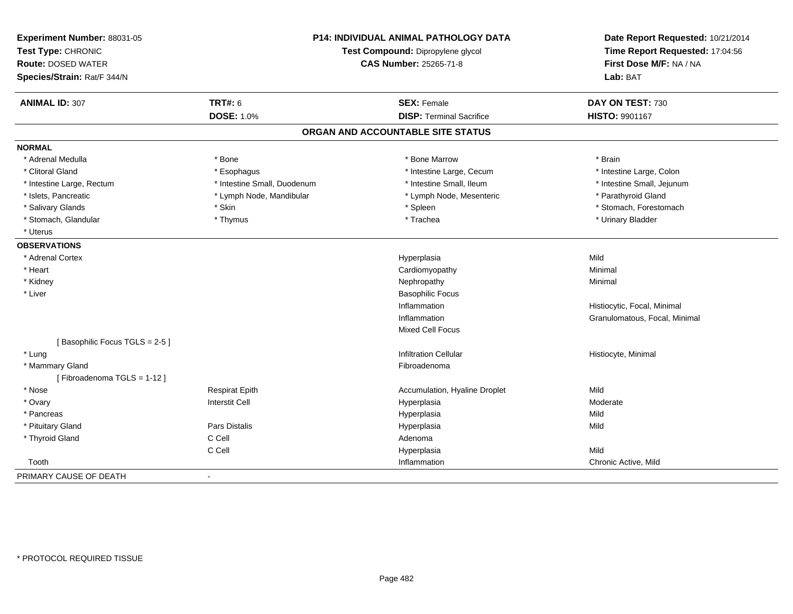| Experiment Number: 88031-05<br>Test Type: CHRONIC        |                             | <b>P14: INDIVIDUAL ANIMAL PATHOLOGY DATA</b><br>Test Compound: Dipropylene glycol | Date Report Requested: 10/21/2014<br>Time Report Requested: 17:04:56 |  |
|----------------------------------------------------------|-----------------------------|-----------------------------------------------------------------------------------|----------------------------------------------------------------------|--|
| <b>Route: DOSED WATER</b><br>Species/Strain: Rat/F 344/N |                             | <b>CAS Number: 25265-71-8</b>                                                     | First Dose M/F: NA / NA<br>Lab: BAT                                  |  |
| <b>ANIMAL ID: 307</b>                                    | <b>TRT#: 6</b>              | <b>SEX: Female</b>                                                                | DAY ON TEST: 730                                                     |  |
|                                                          | <b>DOSE: 1.0%</b>           | <b>DISP: Terminal Sacrifice</b>                                                   | HISTO: 9901167                                                       |  |
|                                                          |                             | ORGAN AND ACCOUNTABLE SITE STATUS                                                 |                                                                      |  |
| <b>NORMAL</b>                                            |                             |                                                                                   |                                                                      |  |
| * Adrenal Medulla                                        | * Bone                      | * Bone Marrow                                                                     | * Brain                                                              |  |
| * Clitoral Gland                                         | * Esophagus                 | * Intestine Large, Cecum                                                          | * Intestine Large, Colon                                             |  |
| * Intestine Large, Rectum                                | * Intestine Small, Duodenum | * Intestine Small, Ileum                                                          | * Intestine Small, Jejunum                                           |  |
| * Islets, Pancreatic                                     | * Lymph Node, Mandibular    | * Lymph Node, Mesenteric                                                          | * Parathyroid Gland                                                  |  |
| * Salivary Glands                                        | * Skin                      | * Spleen                                                                          | * Stomach, Forestomach                                               |  |
| * Stomach, Glandular                                     | * Thymus                    | * Trachea                                                                         | * Urinary Bladder                                                    |  |
| * Uterus                                                 |                             |                                                                                   |                                                                      |  |
| <b>OBSERVATIONS</b>                                      |                             |                                                                                   |                                                                      |  |
| * Adrenal Cortex                                         |                             | Hyperplasia                                                                       | Mild                                                                 |  |
| * Heart                                                  |                             | Cardiomyopathy                                                                    | Minimal                                                              |  |
| * Kidney                                                 |                             | Nephropathy                                                                       | Minimal                                                              |  |
| * Liver                                                  |                             | <b>Basophilic Focus</b>                                                           |                                                                      |  |
|                                                          |                             | Inflammation                                                                      | Histiocytic, Focal, Minimal                                          |  |
|                                                          |                             | Inflammation                                                                      | Granulomatous, Focal, Minimal                                        |  |
|                                                          |                             | <b>Mixed Cell Focus</b>                                                           |                                                                      |  |
| [Basophilic Focus TGLS = 2-5]                            |                             |                                                                                   |                                                                      |  |
| * Lung                                                   |                             | <b>Infiltration Cellular</b>                                                      | Histiocyte, Minimal                                                  |  |
| * Mammary Gland                                          |                             | Fibroadenoma                                                                      |                                                                      |  |
| [Fibroadenoma TGLS = 1-12]                               |                             |                                                                                   |                                                                      |  |
| * Nose                                                   | <b>Respirat Epith</b>       | Accumulation, Hyaline Droplet                                                     | Mild                                                                 |  |
| * Ovary                                                  | <b>Interstit Cell</b>       | Hyperplasia                                                                       | Moderate                                                             |  |
| * Pancreas                                               |                             | Hyperplasia                                                                       | Mild                                                                 |  |
| * Pituitary Gland                                        | Pars Distalis               | Hyperplasia                                                                       | Mild                                                                 |  |
| * Thyroid Gland                                          | C Cell                      | Adenoma                                                                           |                                                                      |  |
|                                                          | C Cell                      | Hyperplasia                                                                       | Mild                                                                 |  |
| Tooth                                                    |                             | Inflammation                                                                      | Chronic Active, Mild                                                 |  |
| PRIMARY CAUSE OF DEATH                                   | $\sim$                      |                                                                                   |                                                                      |  |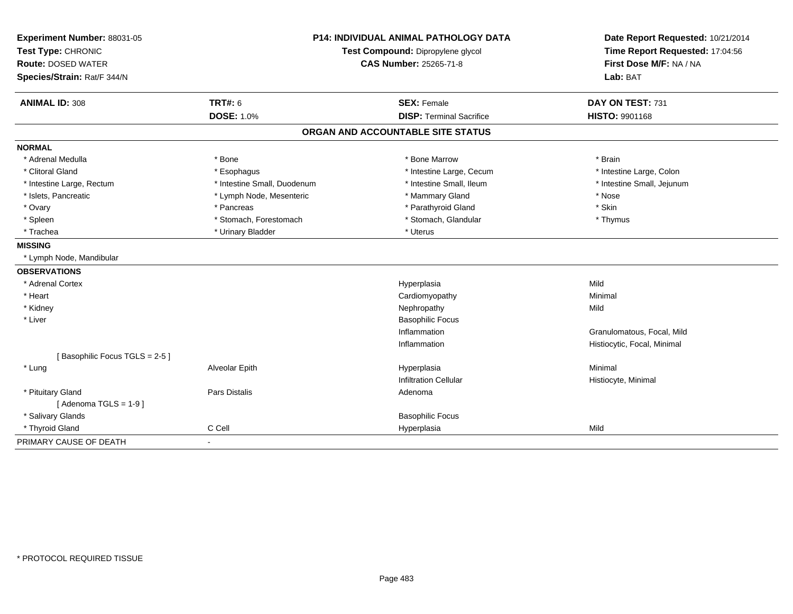| Experiment Number: 88031-05   | <b>P14: INDIVIDUAL ANIMAL PATHOLOGY DATA</b><br>Test Compound: Dipropylene glycol |                                   | Date Report Requested: 10/21/2014 |
|-------------------------------|-----------------------------------------------------------------------------------|-----------------------------------|-----------------------------------|
| Test Type: CHRONIC            |                                                                                   |                                   | Time Report Requested: 17:04:56   |
| <b>Route: DOSED WATER</b>     |                                                                                   | <b>CAS Number: 25265-71-8</b>     | First Dose M/F: NA / NA           |
| Species/Strain: Rat/F 344/N   |                                                                                   |                                   | Lab: BAT                          |
| <b>ANIMAL ID: 308</b>         | <b>TRT#: 6</b>                                                                    | <b>SEX: Female</b>                | DAY ON TEST: 731                  |
|                               | <b>DOSE: 1.0%</b>                                                                 | <b>DISP: Terminal Sacrifice</b>   | <b>HISTO: 9901168</b>             |
|                               |                                                                                   | ORGAN AND ACCOUNTABLE SITE STATUS |                                   |
| <b>NORMAL</b>                 |                                                                                   |                                   |                                   |
| * Adrenal Medulla             | * Bone                                                                            | * Bone Marrow                     | * Brain                           |
| * Clitoral Gland              | * Esophagus                                                                       | * Intestine Large, Cecum          | * Intestine Large, Colon          |
| * Intestine Large, Rectum     | * Intestine Small, Duodenum                                                       | * Intestine Small, Ileum          | * Intestine Small, Jejunum        |
| * Islets, Pancreatic          | * Lymph Node, Mesenteric                                                          | * Mammary Gland                   | * Nose                            |
| * Ovary                       | * Pancreas                                                                        | * Parathyroid Gland               | * Skin                            |
| * Spleen                      | * Stomach, Forestomach                                                            | * Stomach, Glandular              | * Thymus                          |
| * Trachea                     | * Urinary Bladder                                                                 | * Uterus                          |                                   |
| <b>MISSING</b>                |                                                                                   |                                   |                                   |
| * Lymph Node, Mandibular      |                                                                                   |                                   |                                   |
| <b>OBSERVATIONS</b>           |                                                                                   |                                   |                                   |
| * Adrenal Cortex              |                                                                                   | Hyperplasia                       | Mild                              |
| * Heart                       |                                                                                   | Cardiomyopathy                    | Minimal                           |
| * Kidney                      |                                                                                   | Nephropathy                       | Mild                              |
| * Liver                       |                                                                                   | <b>Basophilic Focus</b>           |                                   |
|                               |                                                                                   | Inflammation                      | Granulomatous, Focal, Mild        |
|                               |                                                                                   | Inflammation                      | Histiocytic, Focal, Minimal       |
| [Basophilic Focus TGLS = 2-5] |                                                                                   |                                   |                                   |
| * Lung                        | Alveolar Epith                                                                    | Hyperplasia                       | Minimal                           |
|                               |                                                                                   | <b>Infiltration Cellular</b>      | Histiocyte, Minimal               |
| * Pituitary Gland             | <b>Pars Distalis</b>                                                              | Adenoma                           |                                   |
| [Adenoma TGLS = $1-9$ ]       |                                                                                   |                                   |                                   |
| * Salivary Glands             |                                                                                   | <b>Basophilic Focus</b>           |                                   |
| * Thyroid Gland               | C Cell                                                                            | Hyperplasia                       | Mild                              |
| PRIMARY CAUSE OF DEATH        | $\blacksquare$                                                                    |                                   |                                   |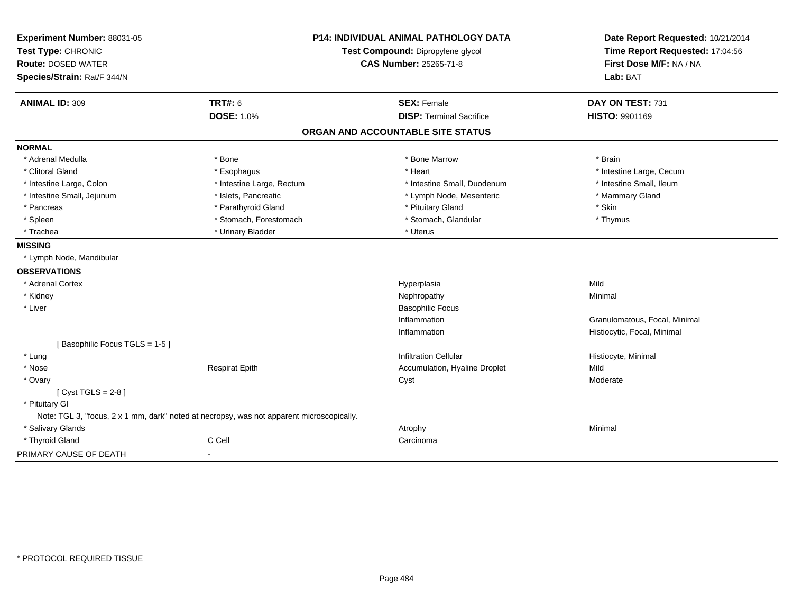| Experiment Number: 88031-05   | <b>P14: INDIVIDUAL ANIMAL PATHOLOGY DATA</b>                                              |                                   | Date Report Requested: 10/21/2014                          |
|-------------------------------|-------------------------------------------------------------------------------------------|-----------------------------------|------------------------------------------------------------|
| Test Type: CHRONIC            |                                                                                           | Test Compound: Dipropylene glycol | Time Report Requested: 17:04:56<br>First Dose M/F: NA / NA |
| <b>Route: DOSED WATER</b>     |                                                                                           | <b>CAS Number: 25265-71-8</b>     |                                                            |
| Species/Strain: Rat/F 344/N   |                                                                                           |                                   | Lab: BAT                                                   |
| <b>ANIMAL ID: 309</b>         | <b>TRT#: 6</b>                                                                            | <b>SEX: Female</b>                | DAY ON TEST: 731                                           |
|                               | <b>DOSE: 1.0%</b>                                                                         | <b>DISP: Terminal Sacrifice</b>   | HISTO: 9901169                                             |
|                               |                                                                                           | ORGAN AND ACCOUNTABLE SITE STATUS |                                                            |
| <b>NORMAL</b>                 |                                                                                           |                                   |                                                            |
| * Adrenal Medulla             | * Bone                                                                                    | * Bone Marrow                     | * Brain                                                    |
| * Clitoral Gland              | * Esophagus                                                                               | * Heart                           | * Intestine Large, Cecum                                   |
| * Intestine Large, Colon      | * Intestine Large, Rectum                                                                 | * Intestine Small, Duodenum       | * Intestine Small, Ileum                                   |
| * Intestine Small, Jejunum    | * Islets, Pancreatic                                                                      | * Lymph Node, Mesenteric          | * Mammary Gland                                            |
| * Pancreas                    | * Parathyroid Gland                                                                       | * Pituitary Gland                 | * Skin                                                     |
| * Spleen                      | * Stomach, Forestomach                                                                    | * Stomach, Glandular              | * Thymus                                                   |
| * Trachea                     | * Urinary Bladder                                                                         | * Uterus                          |                                                            |
| <b>MISSING</b>                |                                                                                           |                                   |                                                            |
| * Lymph Node, Mandibular      |                                                                                           |                                   |                                                            |
| <b>OBSERVATIONS</b>           |                                                                                           |                                   |                                                            |
| * Adrenal Cortex              |                                                                                           | Hyperplasia                       | Mild                                                       |
| * Kidney                      |                                                                                           | Nephropathy                       | Minimal                                                    |
| * Liver                       |                                                                                           | <b>Basophilic Focus</b>           |                                                            |
|                               |                                                                                           | Inflammation                      | Granulomatous, Focal, Minimal                              |
|                               |                                                                                           | Inflammation                      | Histiocytic, Focal, Minimal                                |
| [Basophilic Focus TGLS = 1-5] |                                                                                           |                                   |                                                            |
| * Lung                        |                                                                                           | <b>Infiltration Cellular</b>      | Histiocyte, Minimal                                        |
| * Nose                        | <b>Respirat Epith</b>                                                                     | Accumulation, Hyaline Droplet     | Mild                                                       |
| * Ovary                       |                                                                                           | Cyst                              | Moderate                                                   |
| [Cyst TGLS = $2-8$ ]          |                                                                                           |                                   |                                                            |
| * Pituitary Gl                |                                                                                           |                                   |                                                            |
|                               | Note: TGL 3, "focus, 2 x 1 mm, dark" noted at necropsy, was not apparent microscopically. |                                   |                                                            |
| * Salivary Glands             |                                                                                           | Atrophy                           | Minimal                                                    |
| * Thyroid Gland               | C Cell                                                                                    | Carcinoma                         |                                                            |
| PRIMARY CAUSE OF DEATH        | $\blacksquare$                                                                            |                                   |                                                            |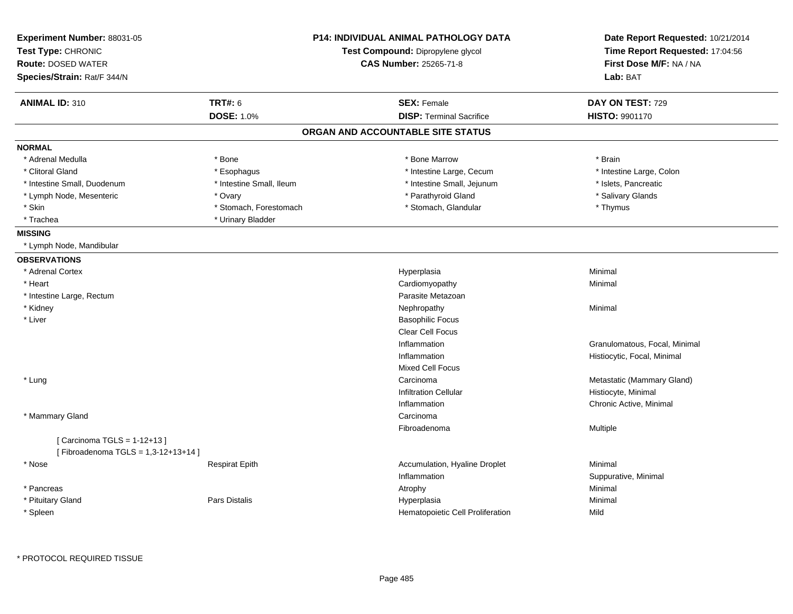| Experiment Number: 88031-05<br>Test Type: CHRONIC |                          | <b>P14: INDIVIDUAL ANIMAL PATHOLOGY DATA</b><br>Test Compound: Dipropylene glycol | Date Report Requested: 10/21/2014<br>Time Report Requested: 17:04:56 |
|---------------------------------------------------|--------------------------|-----------------------------------------------------------------------------------|----------------------------------------------------------------------|
| <b>Route: DOSED WATER</b>                         |                          | <b>CAS Number: 25265-71-8</b>                                                     | First Dose M/F: NA / NA                                              |
| Species/Strain: Rat/F 344/N                       |                          |                                                                                   | Lab: BAT                                                             |
| <b>ANIMAL ID: 310</b>                             | <b>TRT#: 6</b>           | <b>SEX: Female</b>                                                                | DAY ON TEST: 729                                                     |
|                                                   | <b>DOSE: 1.0%</b>        | <b>DISP: Terminal Sacrifice</b>                                                   | <b>HISTO: 9901170</b>                                                |
|                                                   |                          | ORGAN AND ACCOUNTABLE SITE STATUS                                                 |                                                                      |
| <b>NORMAL</b>                                     |                          |                                                                                   |                                                                      |
| * Adrenal Medulla                                 | * Bone                   | * Bone Marrow                                                                     | * Brain                                                              |
| * Clitoral Gland                                  | * Esophagus              | * Intestine Large, Cecum                                                          | * Intestine Large, Colon                                             |
| * Intestine Small, Duodenum                       | * Intestine Small, Ileum | * Intestine Small, Jejunum                                                        | * Islets, Pancreatic                                                 |
| * Lymph Node, Mesenteric                          | * Ovary                  | * Parathyroid Gland                                                               | * Salivary Glands                                                    |
| * Skin                                            | * Stomach, Forestomach   | * Stomach, Glandular                                                              | * Thymus                                                             |
| * Trachea                                         | * Urinary Bladder        |                                                                                   |                                                                      |
| <b>MISSING</b>                                    |                          |                                                                                   |                                                                      |
| * Lymph Node, Mandibular                          |                          |                                                                                   |                                                                      |
| <b>OBSERVATIONS</b>                               |                          |                                                                                   |                                                                      |
| * Adrenal Cortex                                  |                          | Hyperplasia                                                                       | Minimal                                                              |
| * Heart                                           |                          | Cardiomyopathy                                                                    | Minimal                                                              |
| * Intestine Large, Rectum                         |                          | Parasite Metazoan                                                                 |                                                                      |
| * Kidney                                          |                          | Nephropathy                                                                       | Minimal                                                              |
| * Liver                                           |                          | <b>Basophilic Focus</b>                                                           |                                                                      |
|                                                   |                          | <b>Clear Cell Focus</b>                                                           |                                                                      |
|                                                   |                          | Inflammation                                                                      | Granulomatous, Focal, Minimal                                        |
|                                                   |                          | Inflammation                                                                      | Histiocytic, Focal, Minimal                                          |
|                                                   |                          | <b>Mixed Cell Focus</b>                                                           |                                                                      |
| * Lung                                            |                          | Carcinoma                                                                         | Metastatic (Mammary Gland)                                           |
|                                                   |                          | <b>Infiltration Cellular</b>                                                      | Histiocyte, Minimal                                                  |
|                                                   |                          | Inflammation                                                                      | Chronic Active, Minimal                                              |
| * Mammary Gland                                   |                          | Carcinoma                                                                         |                                                                      |
|                                                   |                          | Fibroadenoma                                                                      | Multiple                                                             |
| [ Carcinoma TGLS = 1-12+13 ]                      |                          |                                                                                   |                                                                      |
| [Fibroadenoma TGLS = 1,3-12+13+14]                |                          |                                                                                   |                                                                      |
| * Nose                                            | <b>Respirat Epith</b>    | Accumulation, Hyaline Droplet                                                     | Minimal                                                              |
|                                                   |                          | Inflammation                                                                      | Suppurative, Minimal                                                 |
| * Pancreas                                        |                          | Atrophy                                                                           | Minimal                                                              |
| * Pituitary Gland                                 | Pars Distalis            | Hyperplasia                                                                       | Minimal                                                              |
| * Spleen                                          |                          | Hematopoietic Cell Proliferation                                                  | Mild                                                                 |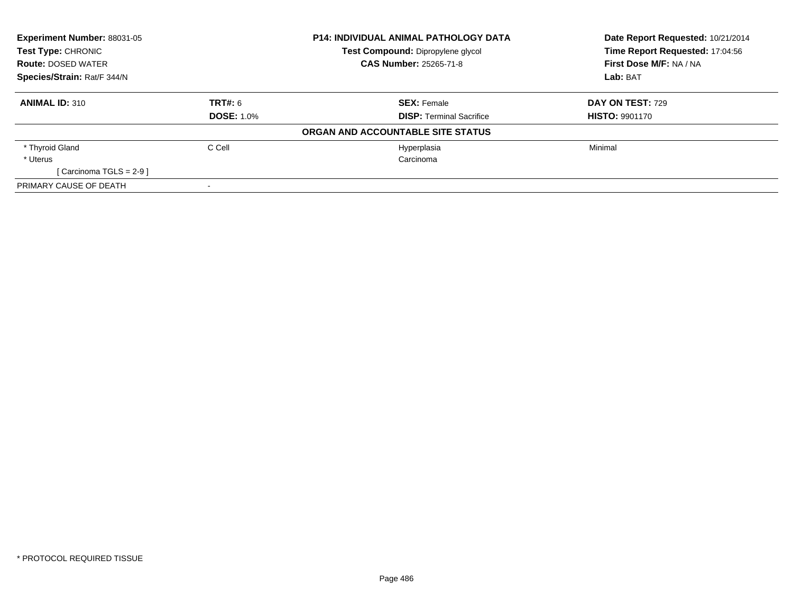| Experiment Number: 88031-05<br>Test Type: CHRONIC<br><b>Route: DOSED WATER</b><br>Species/Strain: Rat/F 344/N |                   | <b>P14: INDIVIDUAL ANIMAL PATHOLOGY DATA</b> | Date Report Requested: 10/21/2014<br>Time Report Requested: 17:04:56 |
|---------------------------------------------------------------------------------------------------------------|-------------------|----------------------------------------------|----------------------------------------------------------------------|
|                                                                                                               |                   | Test Compound: Dipropylene glycol            |                                                                      |
|                                                                                                               |                   | <b>CAS Number: 25265-71-8</b>                | First Dose M/F: NA / NA                                              |
|                                                                                                               |                   |                                              | Lab: BAT                                                             |
| <b>ANIMAL ID: 310</b>                                                                                         | <b>TRT#: 6</b>    | <b>SEX: Female</b>                           | <b>DAY ON TEST: 729</b>                                              |
|                                                                                                               | <b>DOSE: 1.0%</b> | <b>DISP: Terminal Sacrifice</b>              | <b>HISTO: 9901170</b>                                                |
|                                                                                                               |                   | ORGAN AND ACCOUNTABLE SITE STATUS            |                                                                      |
| * Thyroid Gland                                                                                               | C Cell            | Hyperplasia                                  | Minimal                                                              |
| * Uterus                                                                                                      |                   | Carcinoma                                    |                                                                      |
| [Carcinoma TGLS = 2-9 ]                                                                                       |                   |                                              |                                                                      |
| PRIMARY CAUSE OF DEATH                                                                                        |                   |                                              |                                                                      |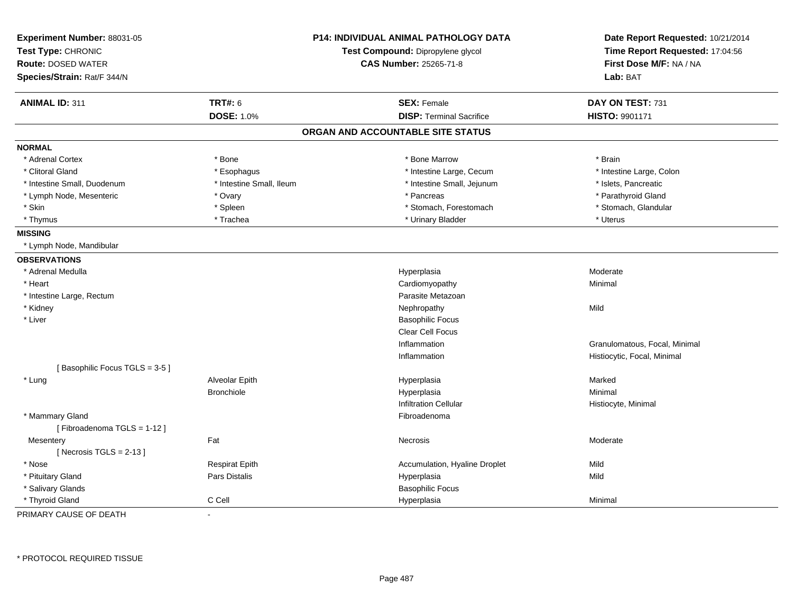| Experiment Number: 88031-05<br>Test Type: CHRONIC |                          | P14: INDIVIDUAL ANIMAL PATHOLOGY DATA<br>Test Compound: Dipropylene glycol | Date Report Requested: 10/21/2014<br>Time Report Requested: 17:04:56 |  |
|---------------------------------------------------|--------------------------|----------------------------------------------------------------------------|----------------------------------------------------------------------|--|
| <b>Route: DOSED WATER</b>                         |                          | <b>CAS Number: 25265-71-8</b>                                              | First Dose M/F: NA / NA                                              |  |
| Species/Strain: Rat/F 344/N                       |                          |                                                                            | Lab: BAT                                                             |  |
| <b>ANIMAL ID: 311</b>                             | <b>TRT#: 6</b>           | <b>SEX: Female</b>                                                         | DAY ON TEST: 731                                                     |  |
|                                                   | <b>DOSE: 1.0%</b>        | <b>DISP: Terminal Sacrifice</b>                                            | HISTO: 9901171                                                       |  |
|                                                   |                          | ORGAN AND ACCOUNTABLE SITE STATUS                                          |                                                                      |  |
| <b>NORMAL</b>                                     |                          |                                                                            |                                                                      |  |
| * Adrenal Cortex                                  | * Bone                   | * Bone Marrow                                                              | * Brain                                                              |  |
| * Clitoral Gland                                  | * Esophagus              | * Intestine Large, Cecum                                                   | * Intestine Large, Colon                                             |  |
| * Intestine Small, Duodenum                       | * Intestine Small, Ileum | * Intestine Small, Jejunum                                                 | * Islets, Pancreatic                                                 |  |
| * Lymph Node, Mesenteric                          | * Ovary                  | * Pancreas                                                                 | * Parathyroid Gland                                                  |  |
| * Skin                                            | * Spleen                 | * Stomach, Forestomach                                                     | * Stomach, Glandular                                                 |  |
| * Thymus                                          | * Trachea                | * Urinary Bladder                                                          | * Uterus                                                             |  |
| <b>MISSING</b>                                    |                          |                                                                            |                                                                      |  |
| * Lymph Node, Mandibular                          |                          |                                                                            |                                                                      |  |
| <b>OBSERVATIONS</b>                               |                          |                                                                            |                                                                      |  |
| * Adrenal Medulla                                 |                          | Hyperplasia                                                                | Moderate                                                             |  |
| * Heart                                           |                          | Cardiomyopathy                                                             | Minimal                                                              |  |
| * Intestine Large, Rectum                         |                          | Parasite Metazoan                                                          |                                                                      |  |
| * Kidney                                          |                          | Nephropathy                                                                | Mild                                                                 |  |
| * Liver                                           |                          | <b>Basophilic Focus</b>                                                    |                                                                      |  |
|                                                   |                          | Clear Cell Focus                                                           |                                                                      |  |
|                                                   |                          | Inflammation                                                               | Granulomatous, Focal, Minimal                                        |  |
|                                                   |                          | Inflammation                                                               | Histiocytic, Focal, Minimal                                          |  |
| [Basophilic Focus TGLS = 3-5]                     |                          |                                                                            |                                                                      |  |
| * Lung                                            | Alveolar Epith           | Hyperplasia                                                                | Marked                                                               |  |
|                                                   | <b>Bronchiole</b>        | Hyperplasia                                                                | Minimal                                                              |  |
|                                                   |                          | <b>Infiltration Cellular</b>                                               | Histiocyte, Minimal                                                  |  |
| * Mammary Gland                                   |                          | Fibroadenoma                                                               |                                                                      |  |
| [Fibroadenoma TGLS = 1-12]                        |                          |                                                                            |                                                                      |  |
| Mesentery                                         | Fat                      | <b>Necrosis</b>                                                            | Moderate                                                             |  |
| [Necrosis $TGLS = 2-13$ ]                         |                          |                                                                            |                                                                      |  |
| * Nose                                            | <b>Respirat Epith</b>    | Accumulation, Hyaline Droplet                                              | Mild                                                                 |  |
| * Pituitary Gland                                 | Pars Distalis            | Hyperplasia                                                                | Mild                                                                 |  |
| * Salivary Glands                                 |                          | <b>Basophilic Focus</b>                                                    |                                                                      |  |
| * Thyroid Gland                                   | C Cell                   | Hyperplasia                                                                | Minimal                                                              |  |

PRIMARY CAUSE OF DEATH-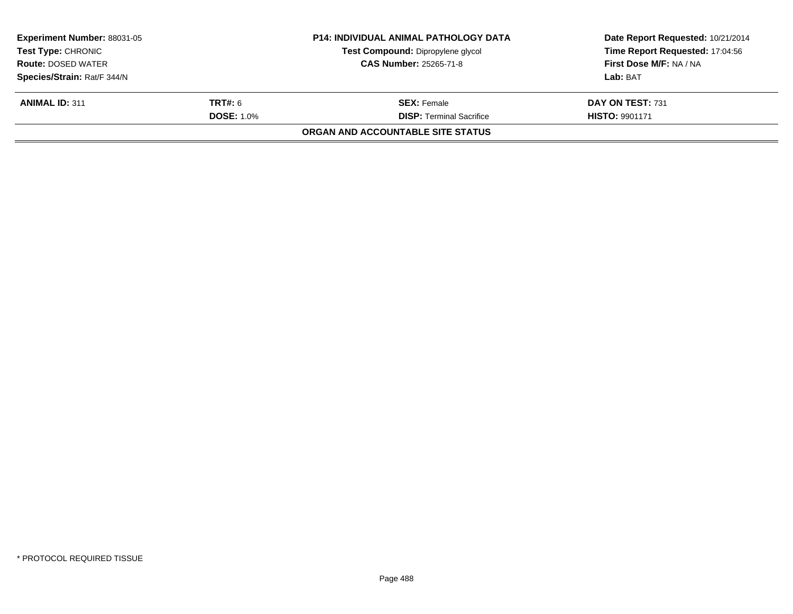| <b>Experiment Number: 88031-05</b><br><b>Test Type: CHRONIC</b> |                   | <b>P14: INDIVIDUAL ANIMAL PATHOLOGY DATA</b> | Date Report Requested: 10/21/2014 |  |
|-----------------------------------------------------------------|-------------------|----------------------------------------------|-----------------------------------|--|
|                                                                 |                   | Test Compound: Dipropylene glycol            | Time Report Requested: 17:04:56   |  |
| <b>Route: DOSED WATER</b>                                       |                   | <b>CAS Number: 25265-71-8</b>                | First Dose M/F: NA / NA           |  |
| Species/Strain: Rat/F 344/N                                     |                   |                                              | Lab: BAT                          |  |
| <b>ANIMAL ID: 311</b>                                           | <b>TRT#: 6</b>    | <b>SEX: Female</b>                           | DAY ON TEST: 731                  |  |
|                                                                 | <b>DOSE: 1.0%</b> | <b>DISP:</b> Terminal Sacrifice              | <b>HISTO: 9901171</b>             |  |
|                                                                 |                   | ORGAN AND ACCOUNTABLE SITE STATUS            |                                   |  |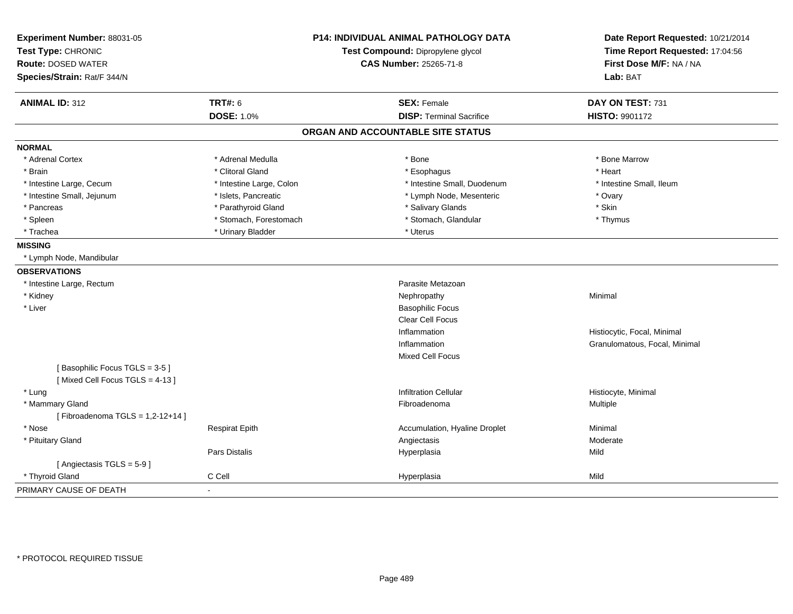| Experiment Number: 88031-05<br>Test Type: CHRONIC<br><b>Route: DOSED WATER</b><br>Species/Strain: Rat/F 344/N | <b>P14: INDIVIDUAL ANIMAL PATHOLOGY DATA</b><br>Test Compound: Dipropylene glycol<br><b>CAS Number: 25265-71-8</b> |                                   | Date Report Requested: 10/21/2014<br>Time Report Requested: 17:04:56<br>First Dose M/F: NA / NA<br>Lab: BAT |
|---------------------------------------------------------------------------------------------------------------|--------------------------------------------------------------------------------------------------------------------|-----------------------------------|-------------------------------------------------------------------------------------------------------------|
| <b>ANIMAL ID: 312</b>                                                                                         | <b>TRT#: 6</b>                                                                                                     | <b>SEX: Female</b>                | DAY ON TEST: 731                                                                                            |
|                                                                                                               | <b>DOSE: 1.0%</b>                                                                                                  | <b>DISP: Terminal Sacrifice</b>   | HISTO: 9901172                                                                                              |
|                                                                                                               |                                                                                                                    | ORGAN AND ACCOUNTABLE SITE STATUS |                                                                                                             |
| <b>NORMAL</b>                                                                                                 |                                                                                                                    |                                   |                                                                                                             |
| * Adrenal Cortex                                                                                              | * Adrenal Medulla                                                                                                  | * Bone                            | * Bone Marrow                                                                                               |
| * Brain                                                                                                       | * Clitoral Gland                                                                                                   | * Esophagus                       | * Heart                                                                                                     |
| * Intestine Large, Cecum                                                                                      | * Intestine Large, Colon                                                                                           | * Intestine Small, Duodenum       | * Intestine Small, Ileum                                                                                    |
| * Intestine Small, Jejunum                                                                                    | * Islets, Pancreatic                                                                                               | * Lymph Node, Mesenteric          | * Ovary                                                                                                     |
| * Pancreas                                                                                                    | * Parathyroid Gland                                                                                                | * Salivary Glands                 | * Skin                                                                                                      |
| * Spleen                                                                                                      | * Stomach, Forestomach                                                                                             | * Stomach, Glandular              | * Thymus                                                                                                    |
| * Trachea                                                                                                     | * Urinary Bladder                                                                                                  | * Uterus                          |                                                                                                             |
| <b>MISSING</b>                                                                                                |                                                                                                                    |                                   |                                                                                                             |
| * Lymph Node, Mandibular                                                                                      |                                                                                                                    |                                   |                                                                                                             |
| <b>OBSERVATIONS</b>                                                                                           |                                                                                                                    |                                   |                                                                                                             |
| * Intestine Large, Rectum                                                                                     |                                                                                                                    | Parasite Metazoan                 |                                                                                                             |
| * Kidney                                                                                                      |                                                                                                                    | Nephropathy                       | Minimal                                                                                                     |
| * Liver                                                                                                       |                                                                                                                    | <b>Basophilic Focus</b>           |                                                                                                             |
|                                                                                                               |                                                                                                                    | Clear Cell Focus                  |                                                                                                             |
|                                                                                                               |                                                                                                                    | Inflammation                      | Histiocytic, Focal, Minimal                                                                                 |
|                                                                                                               |                                                                                                                    | Inflammation                      | Granulomatous, Focal, Minimal                                                                               |
|                                                                                                               |                                                                                                                    | Mixed Cell Focus                  |                                                                                                             |
| [Basophilic Focus TGLS = 3-5]<br>[Mixed Cell Focus TGLS = 4-13]                                               |                                                                                                                    |                                   |                                                                                                             |
| * Lung                                                                                                        |                                                                                                                    | <b>Infiltration Cellular</b>      | Histiocyte, Minimal                                                                                         |
| * Mammary Gland                                                                                               |                                                                                                                    | Fibroadenoma                      | Multiple                                                                                                    |
| [Fibroadenoma TGLS = $1,2-12+14$ ]                                                                            |                                                                                                                    |                                   |                                                                                                             |
| * Nose                                                                                                        | <b>Respirat Epith</b>                                                                                              | Accumulation, Hyaline Droplet     | Minimal                                                                                                     |
| * Pituitary Gland                                                                                             |                                                                                                                    | Angiectasis                       | Moderate                                                                                                    |
|                                                                                                               | Pars Distalis                                                                                                      | Hyperplasia                       | Mild                                                                                                        |
| [Angiectasis TGLS = 5-9]                                                                                      |                                                                                                                    |                                   |                                                                                                             |
| * Thyroid Gland                                                                                               | C Cell                                                                                                             | Hyperplasia                       | Mild                                                                                                        |
| PRIMARY CAUSE OF DEATH                                                                                        |                                                                                                                    |                                   |                                                                                                             |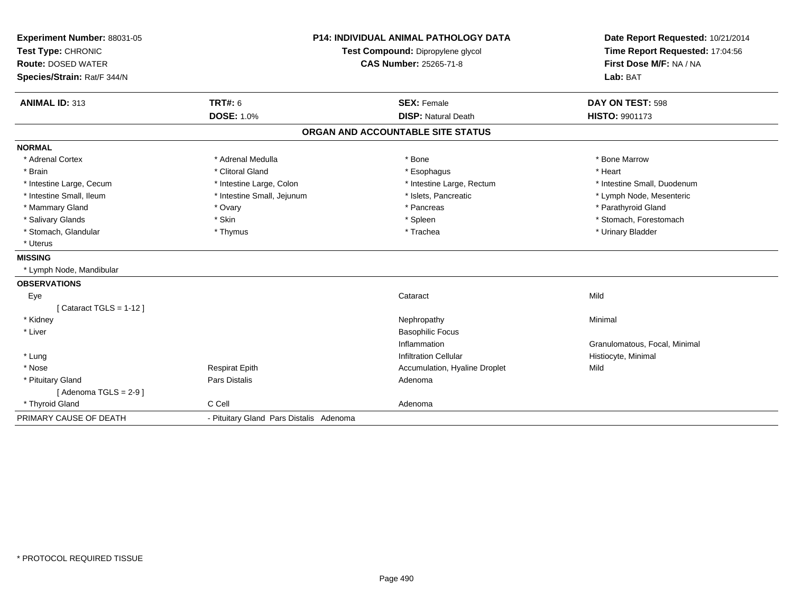| Experiment Number: 88031-05 |                                         | <b>P14: INDIVIDUAL ANIMAL PATHOLOGY DATA</b> | Date Report Requested: 10/21/2014 |
|-----------------------------|-----------------------------------------|----------------------------------------------|-----------------------------------|
| Test Type: CHRONIC          |                                         | Test Compound: Dipropylene glycol            | Time Report Requested: 17:04:56   |
| <b>Route: DOSED WATER</b>   | <b>CAS Number: 25265-71-8</b>           |                                              | First Dose M/F: NA / NA           |
| Species/Strain: Rat/F 344/N |                                         |                                              | Lab: BAT                          |
| <b>ANIMAL ID: 313</b>       | <b>TRT#: 6</b>                          | <b>SEX: Female</b>                           | DAY ON TEST: 598                  |
|                             | <b>DOSE: 1.0%</b>                       | <b>DISP: Natural Death</b>                   | <b>HISTO: 9901173</b>             |
|                             |                                         | ORGAN AND ACCOUNTABLE SITE STATUS            |                                   |
| <b>NORMAL</b>               |                                         |                                              |                                   |
| * Adrenal Cortex            | * Adrenal Medulla                       | * Bone                                       | * Bone Marrow                     |
| * Brain                     | * Clitoral Gland                        | * Esophagus                                  | * Heart                           |
| * Intestine Large, Cecum    | * Intestine Large, Colon                | * Intestine Large, Rectum                    | * Intestine Small, Duodenum       |
| * Intestine Small. Ileum    | * Intestine Small, Jejunum              | * Islets, Pancreatic                         | * Lymph Node, Mesenteric          |
| * Mammary Gland             | * Ovary                                 | * Pancreas                                   | * Parathyroid Gland               |
| * Salivary Glands           | * Skin                                  | * Spleen                                     | * Stomach, Forestomach            |
| * Stomach, Glandular        | * Thymus                                | * Trachea                                    | * Urinary Bladder                 |
| * Uterus                    |                                         |                                              |                                   |
| <b>MISSING</b>              |                                         |                                              |                                   |
| * Lymph Node, Mandibular    |                                         |                                              |                                   |
| <b>OBSERVATIONS</b>         |                                         |                                              |                                   |
| Eye                         |                                         | Cataract                                     | Mild                              |
| [Cataract TGLS = $1-12$ ]   |                                         |                                              |                                   |
| * Kidney                    |                                         | Nephropathy                                  | Minimal                           |
| * Liver                     |                                         | <b>Basophilic Focus</b>                      |                                   |
|                             |                                         | Inflammation                                 | Granulomatous, Focal, Minimal     |
| * Lung                      |                                         | <b>Infiltration Cellular</b>                 | Histiocyte, Minimal               |
| * Nose                      | <b>Respirat Epith</b>                   | Accumulation, Hyaline Droplet                | Mild                              |
| * Pituitary Gland           | Pars Distalis                           | Adenoma                                      |                                   |
| [Adenoma TGLS = $2-9$ ]     |                                         |                                              |                                   |
| * Thyroid Gland             | C Cell                                  | Adenoma                                      |                                   |
| PRIMARY CAUSE OF DEATH      | - Pituitary Gland Pars Distalis Adenoma |                                              |                                   |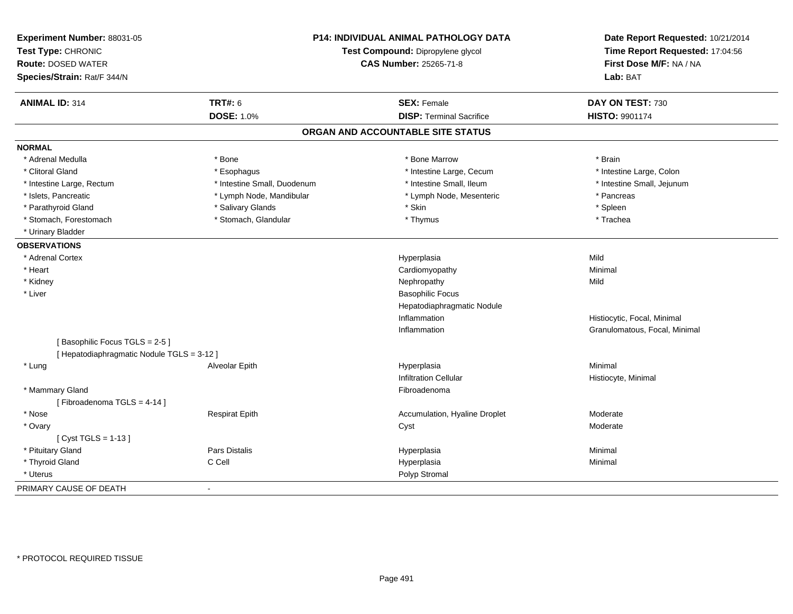| Experiment Number: 88031-05<br>Test Type: CHRONIC<br><b>Route: DOSED WATER</b><br>Species/Strain: Rat/F 344/N |                             | <b>P14: INDIVIDUAL ANIMAL PATHOLOGY DATA</b><br>Test Compound: Dipropylene glycol<br><b>CAS Number: 25265-71-8</b> |                               |
|---------------------------------------------------------------------------------------------------------------|-----------------------------|--------------------------------------------------------------------------------------------------------------------|-------------------------------|
| <b>ANIMAL ID: 314</b>                                                                                         | <b>TRT#: 6</b>              | <b>SEX: Female</b>                                                                                                 | DAY ON TEST: 730              |
|                                                                                                               | <b>DOSE: 1.0%</b>           | <b>DISP: Terminal Sacrifice</b>                                                                                    | HISTO: 9901174                |
|                                                                                                               |                             | ORGAN AND ACCOUNTABLE SITE STATUS                                                                                  |                               |
| <b>NORMAL</b>                                                                                                 |                             |                                                                                                                    |                               |
| * Adrenal Medulla                                                                                             | * Bone                      | * Bone Marrow                                                                                                      | * Brain                       |
| * Clitoral Gland                                                                                              | * Esophagus                 | * Intestine Large, Cecum                                                                                           | * Intestine Large, Colon      |
| * Intestine Large, Rectum                                                                                     | * Intestine Small, Duodenum | * Intestine Small, Ileum                                                                                           | * Intestine Small, Jejunum    |
| * Islets, Pancreatic                                                                                          | * Lymph Node, Mandibular    | * Lymph Node, Mesenteric                                                                                           | * Pancreas                    |
| * Parathyroid Gland                                                                                           | * Salivary Glands           | * Skin                                                                                                             | * Spleen                      |
| * Stomach, Forestomach                                                                                        | * Stomach, Glandular        | * Thymus                                                                                                           | * Trachea                     |
| * Urinary Bladder                                                                                             |                             |                                                                                                                    |                               |
| <b>OBSERVATIONS</b>                                                                                           |                             |                                                                                                                    |                               |
| * Adrenal Cortex                                                                                              |                             | Hyperplasia                                                                                                        | Mild                          |
| * Heart                                                                                                       |                             | Cardiomyopathy                                                                                                     | Minimal                       |
| * Kidney                                                                                                      |                             | Nephropathy                                                                                                        | Mild                          |
| * Liver                                                                                                       |                             | <b>Basophilic Focus</b>                                                                                            |                               |
|                                                                                                               |                             | Hepatodiaphragmatic Nodule                                                                                         |                               |
|                                                                                                               |                             | Inflammation                                                                                                       | Histiocytic, Focal, Minimal   |
|                                                                                                               |                             | Inflammation                                                                                                       | Granulomatous, Focal, Minimal |
| [Basophilic Focus TGLS = 2-5]                                                                                 |                             |                                                                                                                    |                               |
| [ Hepatodiaphragmatic Nodule TGLS = 3-12 ]                                                                    |                             |                                                                                                                    |                               |
| * Lung                                                                                                        | Alveolar Epith              | Hyperplasia                                                                                                        | Minimal                       |
|                                                                                                               |                             | <b>Infiltration Cellular</b>                                                                                       | Histiocyte, Minimal           |
| * Mammary Gland                                                                                               |                             | Fibroadenoma                                                                                                       |                               |
| [Fibroadenoma TGLS = 4-14]                                                                                    |                             |                                                                                                                    |                               |
| * Nose                                                                                                        | <b>Respirat Epith</b>       | Accumulation, Hyaline Droplet                                                                                      | Moderate                      |
| * Ovary                                                                                                       |                             | Cyst                                                                                                               | Moderate                      |
| [ $Cyst TGLS = 1-13$ ]                                                                                        |                             |                                                                                                                    |                               |
| * Pituitary Gland                                                                                             | <b>Pars Distalis</b>        | Hyperplasia                                                                                                        | Minimal                       |
| * Thyroid Gland                                                                                               | C Cell                      | Hyperplasia                                                                                                        | Minimal                       |
| * Uterus                                                                                                      |                             | Polyp Stromal                                                                                                      |                               |
| PRIMARY CAUSE OF DEATH                                                                                        | $\sim$                      |                                                                                                                    |                               |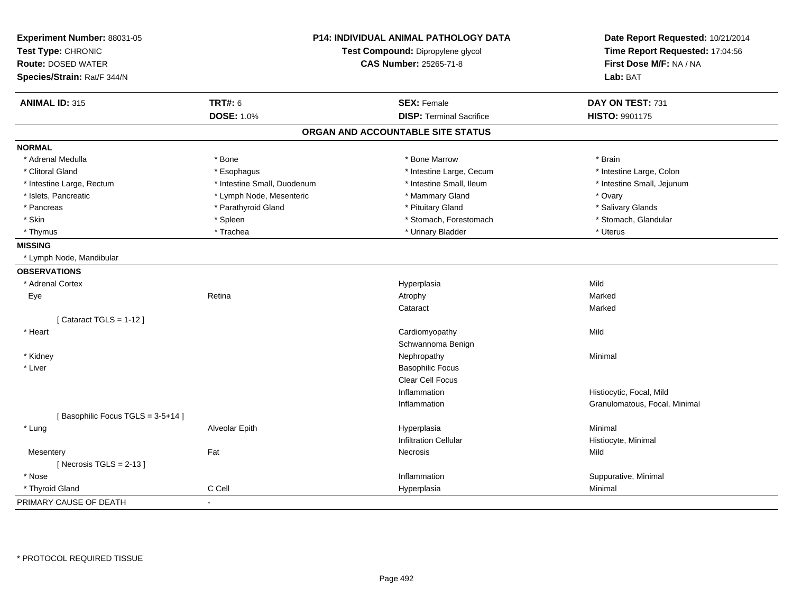| Experiment Number: 88031-05<br>Test Type: CHRONIC<br><b>Route: DOSED WATER</b><br>Species/Strain: Rat/F 344/N | <b>P14: INDIVIDUAL ANIMAL PATHOLOGY DATA</b><br>Test Compound: Dipropylene glycol<br><b>CAS Number: 25265-71-8</b> |                                   | Date Report Requested: 10/21/2014<br>Time Report Requested: 17:04:56<br>First Dose M/F: NA / NA<br>Lab: BAT |
|---------------------------------------------------------------------------------------------------------------|--------------------------------------------------------------------------------------------------------------------|-----------------------------------|-------------------------------------------------------------------------------------------------------------|
| <b>ANIMAL ID: 315</b>                                                                                         | <b>TRT#: 6</b>                                                                                                     | <b>SEX: Female</b>                | DAY ON TEST: 731                                                                                            |
|                                                                                                               | <b>DOSE: 1.0%</b>                                                                                                  | <b>DISP: Terminal Sacrifice</b>   | HISTO: 9901175                                                                                              |
|                                                                                                               |                                                                                                                    | ORGAN AND ACCOUNTABLE SITE STATUS |                                                                                                             |
| <b>NORMAL</b>                                                                                                 |                                                                                                                    |                                   |                                                                                                             |
| * Adrenal Medulla                                                                                             | * Bone                                                                                                             | * Bone Marrow                     | * Brain                                                                                                     |
| * Clitoral Gland                                                                                              | * Esophagus                                                                                                        | * Intestine Large, Cecum          | * Intestine Large, Colon                                                                                    |
| * Intestine Large, Rectum                                                                                     | * Intestine Small, Duodenum                                                                                        | * Intestine Small, Ileum          | * Intestine Small, Jejunum                                                                                  |
| * Islets, Pancreatic                                                                                          | * Lymph Node, Mesenteric                                                                                           | * Mammary Gland                   | * Ovary                                                                                                     |
| * Pancreas                                                                                                    | * Parathyroid Gland                                                                                                | * Pituitary Gland                 | * Salivary Glands                                                                                           |
| * Skin                                                                                                        | * Spleen                                                                                                           | * Stomach, Forestomach            | * Stomach, Glandular                                                                                        |
| * Thymus                                                                                                      | * Trachea                                                                                                          | * Urinary Bladder                 | * Uterus                                                                                                    |
| <b>MISSING</b>                                                                                                |                                                                                                                    |                                   |                                                                                                             |
| * Lymph Node, Mandibular                                                                                      |                                                                                                                    |                                   |                                                                                                             |
| <b>OBSERVATIONS</b>                                                                                           |                                                                                                                    |                                   |                                                                                                             |
| * Adrenal Cortex                                                                                              |                                                                                                                    | Hyperplasia                       | Mild                                                                                                        |
| Eye                                                                                                           | Retina                                                                                                             | Atrophy                           | Marked                                                                                                      |
|                                                                                                               |                                                                                                                    | Cataract                          | Marked                                                                                                      |
| [Cataract TGLS = $1-12$ ]                                                                                     |                                                                                                                    |                                   |                                                                                                             |
| * Heart                                                                                                       |                                                                                                                    | Cardiomyopathy                    | Mild                                                                                                        |
|                                                                                                               |                                                                                                                    | Schwannoma Benign                 |                                                                                                             |
| * Kidney                                                                                                      |                                                                                                                    | Nephropathy                       | Minimal                                                                                                     |
| * Liver                                                                                                       |                                                                                                                    | <b>Basophilic Focus</b>           |                                                                                                             |
|                                                                                                               |                                                                                                                    | Clear Cell Focus                  |                                                                                                             |
|                                                                                                               |                                                                                                                    | Inflammation                      | Histiocytic, Focal, Mild                                                                                    |
|                                                                                                               |                                                                                                                    | Inflammation                      | Granulomatous, Focal, Minimal                                                                               |
| [Basophilic Focus TGLS = 3-5+14]                                                                              |                                                                                                                    |                                   |                                                                                                             |
| * Lung                                                                                                        | Alveolar Epith                                                                                                     | Hyperplasia                       | Minimal                                                                                                     |
|                                                                                                               |                                                                                                                    | <b>Infiltration Cellular</b>      | Histiocyte, Minimal                                                                                         |
| Mesentery                                                                                                     | Fat                                                                                                                | <b>Necrosis</b>                   | Mild                                                                                                        |
| [Necrosis $TGLS = 2-13$ ]                                                                                     |                                                                                                                    |                                   |                                                                                                             |
| * Nose                                                                                                        |                                                                                                                    | Inflammation                      | Suppurative, Minimal                                                                                        |
| * Thyroid Gland                                                                                               | C Cell                                                                                                             | Hyperplasia                       | Minimal                                                                                                     |
| PRIMARY CAUSE OF DEATH                                                                                        | $\sim$                                                                                                             |                                   |                                                                                                             |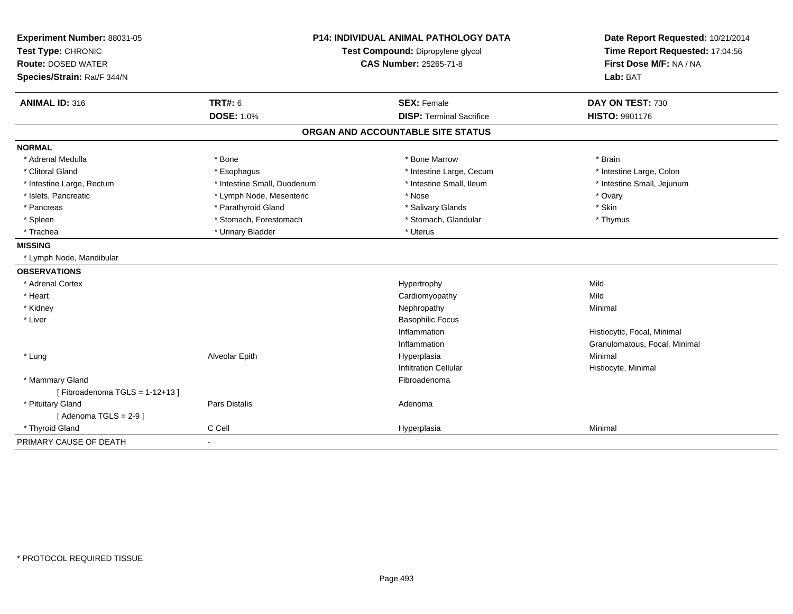| Experiment Number: 88031-05      | <b>P14: INDIVIDUAL ANIMAL PATHOLOGY DATA</b><br>Test Compound: Dipropylene glycol |                                   | Date Report Requested: 10/21/2014 |
|----------------------------------|-----------------------------------------------------------------------------------|-----------------------------------|-----------------------------------|
| Test Type: CHRONIC               |                                                                                   |                                   | Time Report Requested: 17:04:56   |
| <b>Route: DOSED WATER</b>        |                                                                                   | CAS Number: 25265-71-8            | First Dose M/F: NA / NA           |
| Species/Strain: Rat/F 344/N      |                                                                                   |                                   | Lab: BAT                          |
| <b>ANIMAL ID: 316</b>            | <b>TRT#: 6</b>                                                                    | <b>SEX: Female</b>                | DAY ON TEST: 730                  |
|                                  | <b>DOSE: 1.0%</b>                                                                 | <b>DISP: Terminal Sacrifice</b>   | <b>HISTO: 9901176</b>             |
|                                  |                                                                                   | ORGAN AND ACCOUNTABLE SITE STATUS |                                   |
| <b>NORMAL</b>                    |                                                                                   |                                   |                                   |
| * Adrenal Medulla                | * Bone                                                                            | * Bone Marrow                     | * Brain                           |
| * Clitoral Gland                 | * Esophagus                                                                       | * Intestine Large, Cecum          | * Intestine Large, Colon          |
| * Intestine Large, Rectum        | * Intestine Small, Duodenum                                                       | * Intestine Small, Ileum          | * Intestine Small, Jejunum        |
| * Islets, Pancreatic             | * Lymph Node, Mesenteric                                                          | * Nose                            | * Ovary                           |
| * Pancreas                       | * Parathyroid Gland                                                               | * Salivary Glands                 | * Skin                            |
| * Spleen                         | * Stomach, Forestomach                                                            | * Stomach, Glandular              | * Thymus                          |
| * Trachea                        | * Urinary Bladder                                                                 | * Uterus                          |                                   |
| <b>MISSING</b>                   |                                                                                   |                                   |                                   |
| * Lymph Node, Mandibular         |                                                                                   |                                   |                                   |
| <b>OBSERVATIONS</b>              |                                                                                   |                                   |                                   |
| * Adrenal Cortex                 |                                                                                   | Hypertrophy                       | Mild                              |
| * Heart                          |                                                                                   | Cardiomyopathy                    | Mild                              |
| * Kidney                         |                                                                                   | Nephropathy                       | Minimal                           |
| * Liver                          |                                                                                   | <b>Basophilic Focus</b>           |                                   |
|                                  |                                                                                   | Inflammation                      | Histiocytic, Focal, Minimal       |
|                                  |                                                                                   | Inflammation                      | Granulomatous, Focal, Minimal     |
| * Lung                           | Alveolar Epith                                                                    | Hyperplasia                       | Minimal                           |
|                                  |                                                                                   | <b>Infiltration Cellular</b>      | Histiocyte, Minimal               |
| * Mammary Gland                  |                                                                                   | Fibroadenoma                      |                                   |
| [Fibroadenoma TGLS = $1-12+13$ ] |                                                                                   |                                   |                                   |
| * Pituitary Gland                | Pars Distalis                                                                     | Adenoma                           |                                   |
| [Adenoma TGLS = $2-9$ ]          |                                                                                   |                                   |                                   |
| * Thyroid Gland                  | C Cell                                                                            | Hyperplasia                       | Minimal                           |
| PRIMARY CAUSE OF DEATH           | $\blacksquare$                                                                    |                                   |                                   |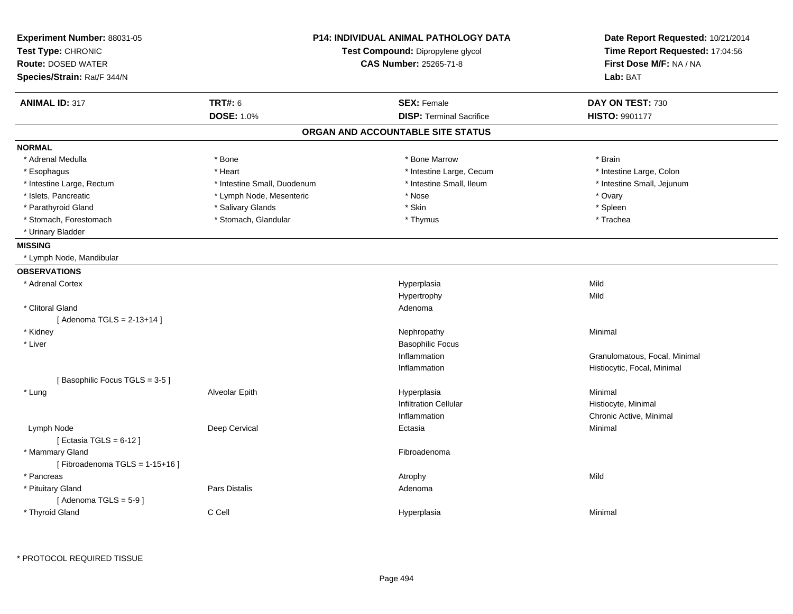| Experiment Number: 88031-05<br>Test Type: CHRONIC<br><b>Route: DOSED WATER</b><br>Species/Strain: Rat/F 344/N | <b>P14: INDIVIDUAL ANIMAL PATHOLOGY DATA</b><br>Test Compound: Dipropylene glycol<br>CAS Number: 25265-71-8 |                                   | Date Report Requested: 10/21/2014<br>Time Report Requested: 17:04:56<br>First Dose M/F: NA / NA<br>Lab: BAT |
|---------------------------------------------------------------------------------------------------------------|-------------------------------------------------------------------------------------------------------------|-----------------------------------|-------------------------------------------------------------------------------------------------------------|
| <b>ANIMAL ID: 317</b>                                                                                         | <b>TRT#: 6</b>                                                                                              | <b>SEX: Female</b>                | DAY ON TEST: 730                                                                                            |
|                                                                                                               | <b>DOSE: 1.0%</b>                                                                                           | <b>DISP: Terminal Sacrifice</b>   | <b>HISTO: 9901177</b>                                                                                       |
|                                                                                                               |                                                                                                             | ORGAN AND ACCOUNTABLE SITE STATUS |                                                                                                             |
| <b>NORMAL</b>                                                                                                 |                                                                                                             |                                   |                                                                                                             |
| * Adrenal Medulla                                                                                             | * Bone                                                                                                      | * Bone Marrow                     | * Brain                                                                                                     |
| * Esophagus                                                                                                   | * Heart                                                                                                     | * Intestine Large, Cecum          | * Intestine Large, Colon                                                                                    |
| * Intestine Large, Rectum                                                                                     | * Intestine Small, Duodenum                                                                                 | * Intestine Small, Ileum          | * Intestine Small, Jejunum                                                                                  |
| * Islets, Pancreatic                                                                                          | * Lymph Node, Mesenteric                                                                                    | * Nose                            | * Ovary                                                                                                     |
| * Parathyroid Gland                                                                                           | * Salivary Glands                                                                                           | * Skin                            | * Spleen                                                                                                    |
| * Stomach, Forestomach                                                                                        | * Stomach, Glandular                                                                                        | * Thymus                          | * Trachea                                                                                                   |
| * Urinary Bladder                                                                                             |                                                                                                             |                                   |                                                                                                             |
| <b>MISSING</b>                                                                                                |                                                                                                             |                                   |                                                                                                             |
| * Lymph Node, Mandibular                                                                                      |                                                                                                             |                                   |                                                                                                             |
| <b>OBSERVATIONS</b>                                                                                           |                                                                                                             |                                   |                                                                                                             |
| * Adrenal Cortex                                                                                              |                                                                                                             | Hyperplasia                       | Mild                                                                                                        |
|                                                                                                               |                                                                                                             | Hypertrophy                       | Mild                                                                                                        |
| * Clitoral Gland                                                                                              |                                                                                                             | Adenoma                           |                                                                                                             |
| [Adenoma TGLS = $2-13+14$ ]                                                                                   |                                                                                                             |                                   |                                                                                                             |
| * Kidney                                                                                                      |                                                                                                             | Nephropathy                       | Minimal                                                                                                     |
| * Liver                                                                                                       |                                                                                                             | <b>Basophilic Focus</b>           |                                                                                                             |
|                                                                                                               |                                                                                                             | Inflammation                      | Granulomatous, Focal, Minimal                                                                               |
|                                                                                                               |                                                                                                             | Inflammation                      | Histiocytic, Focal, Minimal                                                                                 |
| [Basophilic Focus TGLS = 3-5]                                                                                 |                                                                                                             |                                   |                                                                                                             |
| * Lung                                                                                                        | Alveolar Epith                                                                                              | Hyperplasia                       | Minimal                                                                                                     |
|                                                                                                               |                                                                                                             | <b>Infiltration Cellular</b>      | Histiocyte, Minimal                                                                                         |
|                                                                                                               |                                                                                                             | Inflammation                      | Chronic Active, Minimal                                                                                     |
| Lymph Node<br>[Ectasia TGLS = $6-12$ ]                                                                        | Deep Cervical                                                                                               | Ectasia                           | Minimal                                                                                                     |
| * Mammary Gland<br>[Fibroadenoma TGLS = $1-15+16$ ]                                                           |                                                                                                             | Fibroadenoma                      |                                                                                                             |
| * Pancreas                                                                                                    |                                                                                                             | Atrophy                           | Mild                                                                                                        |
| * Pituitary Gland                                                                                             | Pars Distalis                                                                                               | Adenoma                           |                                                                                                             |
| [Adenoma TGLS = $5-9$ ]                                                                                       |                                                                                                             |                                   |                                                                                                             |
| * Thyroid Gland                                                                                               | C Cell                                                                                                      | Hyperplasia                       | Minimal                                                                                                     |
|                                                                                                               |                                                                                                             |                                   |                                                                                                             |

\* PROTOCOL REQUIRED TISSUE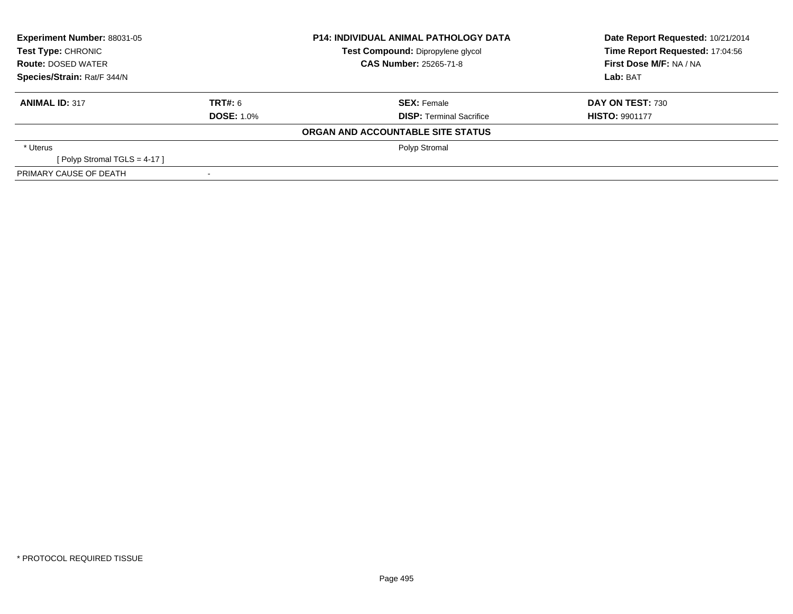| <b>Experiment Number: 88031-05</b><br>Test Type: CHRONIC |                   | <b>P14: INDIVIDUAL ANIMAL PATHOLOGY DATA</b> | Date Report Requested: 10/21/2014 |  |
|----------------------------------------------------------|-------------------|----------------------------------------------|-----------------------------------|--|
|                                                          |                   | Test Compound: Dipropylene glycol            | Time Report Requested: 17:04:56   |  |
| <b>Route: DOSED WATER</b>                                |                   | <b>CAS Number: 25265-71-8</b>                | First Dose M/F: NA / NA           |  |
| Species/Strain: Rat/F 344/N                              |                   |                                              | Lab: BAT                          |  |
| <b>ANIMAL ID: 317</b>                                    | TRT#: 6           | <b>SEX: Female</b>                           | <b>DAY ON TEST: 730</b>           |  |
|                                                          | <b>DOSE: 1.0%</b> | <b>DISP: Terminal Sacrifice</b>              | <b>HISTO: 9901177</b>             |  |
|                                                          |                   | ORGAN AND ACCOUNTABLE SITE STATUS            |                                   |  |
| * Uterus                                                 |                   | Polyp Stromal                                |                                   |  |
| [Polyp Stromal TGLS = 4-17]                              |                   |                                              |                                   |  |
| PRIMARY CAUSE OF DEATH                                   |                   |                                              |                                   |  |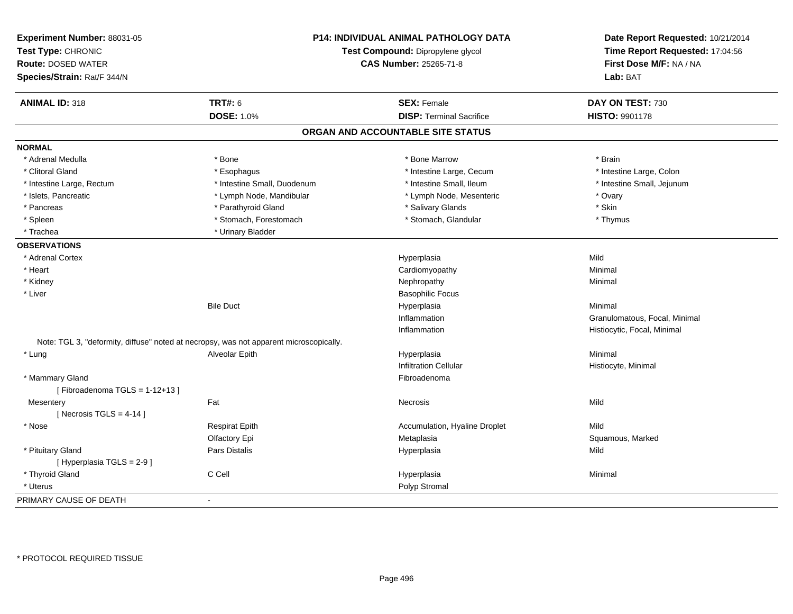| Experiment Number: 88031-05<br>Test Type: CHRONIC<br><b>Route: DOSED WATER</b><br>Species/Strain: Rat/F 344/N | <b>P14: INDIVIDUAL ANIMAL PATHOLOGY DATA</b><br>Test Compound: Dipropylene glycol<br><b>CAS Number: 25265-71-8</b> |                                   | Date Report Requested: 10/21/2014<br>Time Report Requested: 17:04:56<br>First Dose M/F: NA / NA<br>Lab: BAT |
|---------------------------------------------------------------------------------------------------------------|--------------------------------------------------------------------------------------------------------------------|-----------------------------------|-------------------------------------------------------------------------------------------------------------|
| <b>ANIMAL ID: 318</b>                                                                                         | <b>TRT#: 6</b>                                                                                                     | <b>SEX: Female</b>                | DAY ON TEST: 730                                                                                            |
|                                                                                                               | <b>DOSE: 1.0%</b>                                                                                                  | <b>DISP: Terminal Sacrifice</b>   | HISTO: 9901178                                                                                              |
|                                                                                                               |                                                                                                                    | ORGAN AND ACCOUNTABLE SITE STATUS |                                                                                                             |
| <b>NORMAL</b>                                                                                                 |                                                                                                                    |                                   |                                                                                                             |
| * Adrenal Medulla                                                                                             | * Bone                                                                                                             | * Bone Marrow                     | * Brain                                                                                                     |
| * Clitoral Gland                                                                                              | * Esophagus                                                                                                        | * Intestine Large, Cecum          | * Intestine Large, Colon                                                                                    |
| * Intestine Large, Rectum                                                                                     | * Intestine Small, Duodenum                                                                                        | * Intestine Small, Ileum          | * Intestine Small, Jejunum                                                                                  |
| * Islets, Pancreatic                                                                                          | * Lymph Node, Mandibular                                                                                           | * Lymph Node, Mesenteric          | * Ovary                                                                                                     |
| * Pancreas                                                                                                    | * Parathyroid Gland                                                                                                | * Salivary Glands                 | * Skin                                                                                                      |
| * Spleen                                                                                                      | * Stomach, Forestomach                                                                                             | * Stomach, Glandular              | * Thymus                                                                                                    |
| * Trachea                                                                                                     | * Urinary Bladder                                                                                                  |                                   |                                                                                                             |
| <b>OBSERVATIONS</b>                                                                                           |                                                                                                                    |                                   |                                                                                                             |
| * Adrenal Cortex                                                                                              |                                                                                                                    | Hyperplasia                       | Mild                                                                                                        |
| * Heart                                                                                                       |                                                                                                                    | Cardiomyopathy                    | Minimal                                                                                                     |
| * Kidney                                                                                                      |                                                                                                                    | Nephropathy                       | Minimal                                                                                                     |
| * Liver                                                                                                       |                                                                                                                    | <b>Basophilic Focus</b>           |                                                                                                             |
|                                                                                                               | <b>Bile Duct</b>                                                                                                   | Hyperplasia                       | Minimal                                                                                                     |
|                                                                                                               |                                                                                                                    | Inflammation                      | Granulomatous, Focal, Minimal                                                                               |
|                                                                                                               |                                                                                                                    | Inflammation                      | Histiocytic, Focal, Minimal                                                                                 |
|                                                                                                               | Note: TGL 3, "deformity, diffuse" noted at necropsy, was not apparent microscopically.                             |                                   |                                                                                                             |
| * Lung                                                                                                        | Alveolar Epith                                                                                                     | Hyperplasia                       | Minimal                                                                                                     |
|                                                                                                               |                                                                                                                    | <b>Infiltration Cellular</b>      | Histiocyte, Minimal                                                                                         |
| * Mammary Gland                                                                                               |                                                                                                                    | Fibroadenoma                      |                                                                                                             |
| [Fibroadenoma TGLS = 1-12+13]                                                                                 |                                                                                                                    |                                   |                                                                                                             |
| Mesentery                                                                                                     | Fat                                                                                                                | Necrosis                          | Mild                                                                                                        |
| [Necrosis TGLS = $4-14$ ]                                                                                     |                                                                                                                    |                                   |                                                                                                             |
| * Nose                                                                                                        | <b>Respirat Epith</b>                                                                                              | Accumulation, Hyaline Droplet     | Mild                                                                                                        |
|                                                                                                               | Olfactory Epi                                                                                                      | Metaplasia                        | Squamous, Marked                                                                                            |
| * Pituitary Gland                                                                                             | Pars Distalis                                                                                                      | Hyperplasia                       | Mild                                                                                                        |
| [ Hyperplasia TGLS = 2-9 ]                                                                                    |                                                                                                                    |                                   |                                                                                                             |
| * Thyroid Gland                                                                                               | C Cell                                                                                                             | Hyperplasia                       | Minimal                                                                                                     |
| * Uterus                                                                                                      |                                                                                                                    | Polyp Stromal                     |                                                                                                             |
| PRIMARY CAUSE OF DEATH                                                                                        | $\blacksquare$                                                                                                     |                                   |                                                                                                             |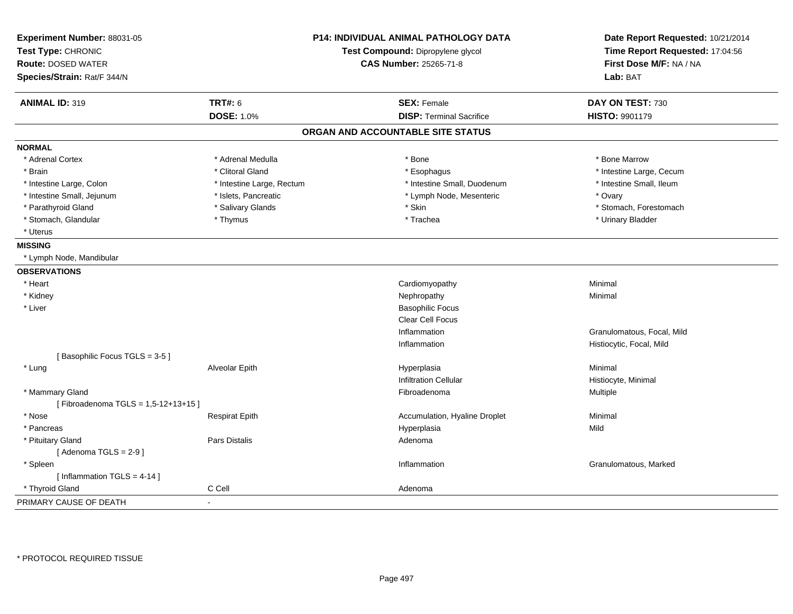| Experiment Number: 88031-05<br>Test Type: CHRONIC<br><b>Route: DOSED WATER</b><br>Species/Strain: Rat/F 344/N |                           | <b>P14: INDIVIDUAL ANIMAL PATHOLOGY DATA</b><br>Test Compound: Dipropylene glycol<br><b>CAS Number: 25265-71-8</b> | Date Report Requested: 10/21/2014<br>Time Report Requested: 17:04:56<br>First Dose M/F: NA / NA<br>Lab: BAT |
|---------------------------------------------------------------------------------------------------------------|---------------------------|--------------------------------------------------------------------------------------------------------------------|-------------------------------------------------------------------------------------------------------------|
| <b>ANIMAL ID: 319</b>                                                                                         | <b>TRT#: 6</b>            | <b>SEX: Female</b>                                                                                                 | DAY ON TEST: 730                                                                                            |
|                                                                                                               | <b>DOSE: 1.0%</b>         | <b>DISP: Terminal Sacrifice</b>                                                                                    | HISTO: 9901179                                                                                              |
|                                                                                                               |                           | ORGAN AND ACCOUNTABLE SITE STATUS                                                                                  |                                                                                                             |
| <b>NORMAL</b>                                                                                                 |                           |                                                                                                                    |                                                                                                             |
| * Adrenal Cortex                                                                                              | * Adrenal Medulla         | * Bone                                                                                                             | * Bone Marrow                                                                                               |
| * Brain                                                                                                       | * Clitoral Gland          | * Esophagus                                                                                                        | * Intestine Large, Cecum                                                                                    |
| * Intestine Large, Colon                                                                                      | * Intestine Large, Rectum | * Intestine Small, Duodenum                                                                                        | * Intestine Small, Ileum                                                                                    |
| * Intestine Small, Jejunum                                                                                    | * Islets, Pancreatic      | * Lymph Node, Mesenteric                                                                                           | * Ovary                                                                                                     |
| * Parathyroid Gland                                                                                           | * Salivary Glands         | * Skin                                                                                                             | * Stomach, Forestomach                                                                                      |
| * Stomach, Glandular                                                                                          | * Thymus                  | * Trachea                                                                                                          | * Urinary Bladder                                                                                           |
| * Uterus                                                                                                      |                           |                                                                                                                    |                                                                                                             |
| <b>MISSING</b>                                                                                                |                           |                                                                                                                    |                                                                                                             |
| * Lymph Node, Mandibular                                                                                      |                           |                                                                                                                    |                                                                                                             |
| <b>OBSERVATIONS</b>                                                                                           |                           |                                                                                                                    |                                                                                                             |
| * Heart                                                                                                       |                           | Cardiomyopathy                                                                                                     | Minimal                                                                                                     |
| * Kidney                                                                                                      |                           | Nephropathy                                                                                                        | Minimal                                                                                                     |
| * Liver                                                                                                       |                           | <b>Basophilic Focus</b>                                                                                            |                                                                                                             |
|                                                                                                               |                           | <b>Clear Cell Focus</b>                                                                                            |                                                                                                             |
|                                                                                                               |                           | Inflammation                                                                                                       | Granulomatous, Focal, Mild                                                                                  |
|                                                                                                               |                           | Inflammation                                                                                                       | Histiocytic, Focal, Mild                                                                                    |
| [Basophilic Focus TGLS = 3-5]                                                                                 |                           |                                                                                                                    |                                                                                                             |
| * Lung                                                                                                        | Alveolar Epith            | Hyperplasia                                                                                                        | Minimal                                                                                                     |
|                                                                                                               |                           | <b>Infiltration Cellular</b>                                                                                       | Histiocyte, Minimal                                                                                         |
| * Mammary Gland                                                                                               |                           | Fibroadenoma                                                                                                       | <b>Multiple</b>                                                                                             |
| [Fibroadenoma TGLS = 1,5-12+13+15]                                                                            |                           |                                                                                                                    |                                                                                                             |
| * Nose                                                                                                        | <b>Respirat Epith</b>     | Accumulation, Hyaline Droplet                                                                                      | Minimal                                                                                                     |
| * Pancreas                                                                                                    |                           | Hyperplasia                                                                                                        | Mild                                                                                                        |
| * Pituitary Gland                                                                                             | Pars Distalis             | Adenoma                                                                                                            |                                                                                                             |
| [Adenoma TGLS = $2-9$ ]                                                                                       |                           |                                                                                                                    |                                                                                                             |
| * Spleen                                                                                                      |                           | Inflammation                                                                                                       | Granulomatous, Marked                                                                                       |
| [Inflammation TGLS = $4-14$ ]                                                                                 |                           |                                                                                                                    |                                                                                                             |
| * Thyroid Gland                                                                                               | C Cell                    | Adenoma                                                                                                            |                                                                                                             |
| PRIMARY CAUSE OF DEATH                                                                                        | ÷,                        |                                                                                                                    |                                                                                                             |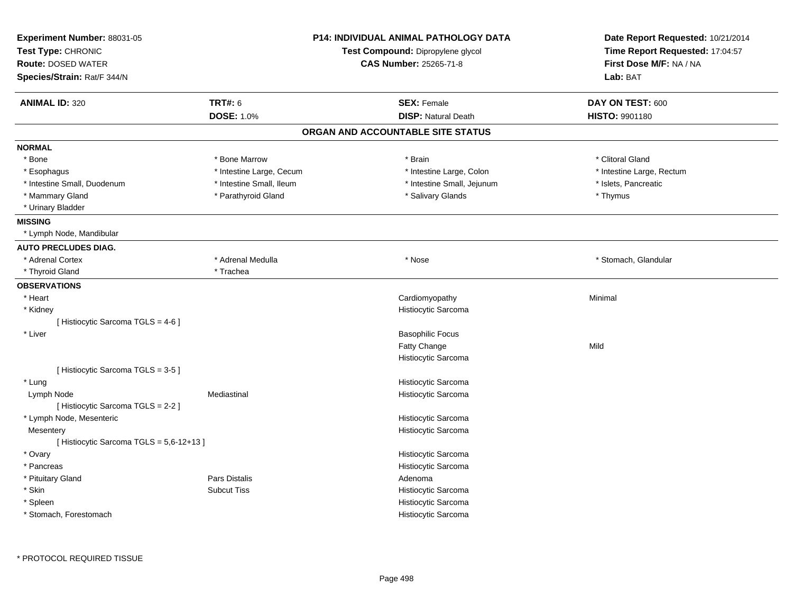| Experiment Number: 88031-05<br>Test Type: CHRONIC<br><b>Route: DOSED WATER</b><br>Species/Strain: Rat/F 344/N |                                     | <b>P14: INDIVIDUAL ANIMAL PATHOLOGY DATA</b><br>Test Compound: Dipropylene glycol<br><b>CAS Number: 25265-71-8</b> | Date Report Requested: 10/21/2014<br>Time Report Requested: 17:04:57<br>First Dose M/F: NA / NA<br>Lab: BAT |
|---------------------------------------------------------------------------------------------------------------|-------------------------------------|--------------------------------------------------------------------------------------------------------------------|-------------------------------------------------------------------------------------------------------------|
|                                                                                                               |                                     |                                                                                                                    |                                                                                                             |
| <b>ANIMAL ID: 320</b>                                                                                         | <b>TRT#: 6</b><br><b>DOSE: 1.0%</b> | <b>SEX: Female</b><br><b>DISP: Natural Death</b>                                                                   | DAY ON TEST: 600<br><b>HISTO: 9901180</b>                                                                   |
|                                                                                                               |                                     |                                                                                                                    |                                                                                                             |
|                                                                                                               |                                     | ORGAN AND ACCOUNTABLE SITE STATUS                                                                                  |                                                                                                             |
| <b>NORMAL</b>                                                                                                 |                                     |                                                                                                                    |                                                                                                             |
| * Bone                                                                                                        | * Bone Marrow                       | * Brain                                                                                                            | * Clitoral Gland                                                                                            |
| * Esophagus                                                                                                   | * Intestine Large, Cecum            | * Intestine Large, Colon                                                                                           | * Intestine Large, Rectum                                                                                   |
| * Intestine Small, Duodenum                                                                                   | * Intestine Small, Ileum            | * Intestine Small, Jejunum                                                                                         | * Islets, Pancreatic                                                                                        |
| * Mammary Gland                                                                                               | * Parathyroid Gland                 | * Salivary Glands                                                                                                  | * Thymus                                                                                                    |
| * Urinary Bladder                                                                                             |                                     |                                                                                                                    |                                                                                                             |
| <b>MISSING</b>                                                                                                |                                     |                                                                                                                    |                                                                                                             |
| * Lymph Node, Mandibular                                                                                      |                                     |                                                                                                                    |                                                                                                             |
| <b>AUTO PRECLUDES DIAG.</b>                                                                                   |                                     |                                                                                                                    |                                                                                                             |
| * Adrenal Cortex                                                                                              | * Adrenal Medulla                   | * Nose                                                                                                             | * Stomach, Glandular                                                                                        |
| * Thyroid Gland                                                                                               | * Trachea                           |                                                                                                                    |                                                                                                             |
| <b>OBSERVATIONS</b>                                                                                           |                                     |                                                                                                                    |                                                                                                             |
| * Heart                                                                                                       |                                     | Cardiomyopathy                                                                                                     | Minimal                                                                                                     |
| * Kidney                                                                                                      |                                     | Histiocytic Sarcoma                                                                                                |                                                                                                             |
| [Histiocytic Sarcoma TGLS = 4-6]                                                                              |                                     |                                                                                                                    |                                                                                                             |
| * Liver                                                                                                       |                                     | <b>Basophilic Focus</b>                                                                                            |                                                                                                             |
|                                                                                                               |                                     | Fatty Change                                                                                                       | Mild                                                                                                        |
|                                                                                                               |                                     | Histiocytic Sarcoma                                                                                                |                                                                                                             |
| [Histiocytic Sarcoma TGLS = 3-5]                                                                              |                                     |                                                                                                                    |                                                                                                             |
| * Lung                                                                                                        |                                     | Histiocytic Sarcoma                                                                                                |                                                                                                             |
| Lymph Node                                                                                                    | Mediastinal                         | Histiocytic Sarcoma                                                                                                |                                                                                                             |
| [Histiocytic Sarcoma TGLS = 2-2]                                                                              |                                     |                                                                                                                    |                                                                                                             |
| * Lymph Node, Mesenteric                                                                                      |                                     | Histiocytic Sarcoma                                                                                                |                                                                                                             |
| Mesentery                                                                                                     |                                     | Histiocytic Sarcoma                                                                                                |                                                                                                             |
| [Histiocytic Sarcoma TGLS = 5,6-12+13]                                                                        |                                     |                                                                                                                    |                                                                                                             |
| * Ovary                                                                                                       |                                     | Histiocytic Sarcoma                                                                                                |                                                                                                             |
| * Pancreas                                                                                                    |                                     | Histiocytic Sarcoma                                                                                                |                                                                                                             |
| * Pituitary Gland                                                                                             | <b>Pars Distalis</b>                | Adenoma                                                                                                            |                                                                                                             |
| * Skin                                                                                                        | <b>Subcut Tiss</b>                  | Histiocytic Sarcoma                                                                                                |                                                                                                             |
| * Spleen                                                                                                      |                                     | Histiocytic Sarcoma                                                                                                |                                                                                                             |
| * Stomach, Forestomach                                                                                        |                                     | Histiocytic Sarcoma                                                                                                |                                                                                                             |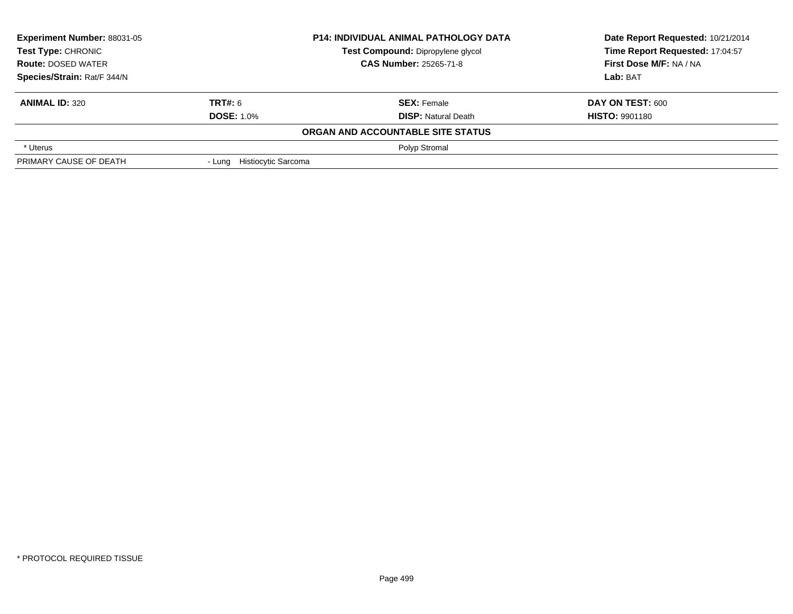| Experiment Number: 88031-05 |                            | <b>P14: INDIVIDUAL ANIMAL PATHOLOGY DATA</b> | Date Report Requested: 10/21/2014 |
|-----------------------------|----------------------------|----------------------------------------------|-----------------------------------|
| <b>Test Type: CHRONIC</b>   |                            | Test Compound: Dipropylene glycol            | Time Report Requested: 17:04:57   |
| <b>Route: DOSED WATER</b>   |                            | <b>CAS Number: 25265-71-8</b>                | First Dose M/F: NA / NA           |
| Species/Strain: Rat/F 344/N |                            |                                              | Lab: BAT                          |
| <b>ANIMAL ID: 320</b>       | TRT#: 6                    | <b>SEX: Female</b>                           | DAY ON TEST: 600                  |
|                             | <b>DOSE: 1.0%</b>          | <b>DISP: Natural Death</b>                   | <b>HISTO: 9901180</b>             |
|                             |                            | ORGAN AND ACCOUNTABLE SITE STATUS            |                                   |
| * Uterus                    |                            | Polyp Stromal                                |                                   |
| PRIMARY CAUSE OF DEATH      | - Lung Histiocytic Sarcoma |                                              |                                   |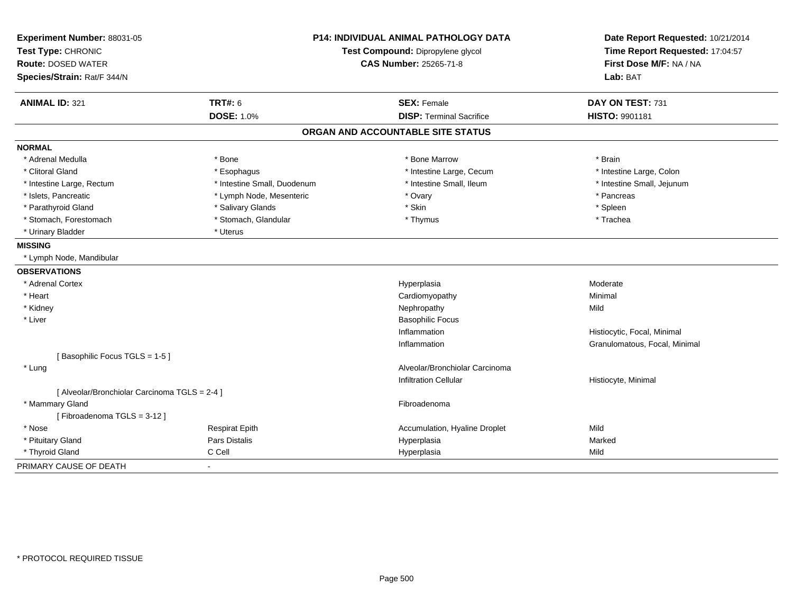| Experiment Number: 88031-05<br>Test Type: CHRONIC |                             | <b>P14: INDIVIDUAL ANIMAL PATHOLOGY DATA</b><br>Test Compound: Dipropylene glycol | Date Report Requested: 10/21/2014<br>Time Report Requested: 17:04:57 |
|---------------------------------------------------|-----------------------------|-----------------------------------------------------------------------------------|----------------------------------------------------------------------|
| <b>Route: DOSED WATER</b>                         |                             |                                                                                   | First Dose M/F: NA / NA                                              |
| Species/Strain: Rat/F 344/N                       |                             | CAS Number: 25265-71-8                                                            | Lab: BAT                                                             |
|                                                   |                             |                                                                                   |                                                                      |
| <b>ANIMAL ID: 321</b>                             | <b>TRT#: 6</b>              | <b>SEX: Female</b>                                                                | DAY ON TEST: 731                                                     |
|                                                   | <b>DOSE: 1.0%</b>           | <b>DISP: Terminal Sacrifice</b>                                                   | <b>HISTO: 9901181</b>                                                |
|                                                   |                             | ORGAN AND ACCOUNTABLE SITE STATUS                                                 |                                                                      |
| <b>NORMAL</b>                                     |                             |                                                                                   |                                                                      |
| * Adrenal Medulla                                 | * Bone                      | * Bone Marrow                                                                     | * Brain                                                              |
| * Clitoral Gland                                  | * Esophagus                 | * Intestine Large, Cecum                                                          | * Intestine Large, Colon                                             |
| * Intestine Large, Rectum                         | * Intestine Small, Duodenum | * Intestine Small, Ileum                                                          | * Intestine Small, Jejunum                                           |
| * Islets, Pancreatic                              | * Lymph Node, Mesenteric    | * Ovary                                                                           | * Pancreas                                                           |
| * Parathyroid Gland                               | * Salivary Glands           | * Skin                                                                            | * Spleen                                                             |
| * Stomach, Forestomach                            | * Stomach, Glandular        | * Thymus                                                                          | * Trachea                                                            |
| * Urinary Bladder                                 | * Uterus                    |                                                                                   |                                                                      |
| <b>MISSING</b>                                    |                             |                                                                                   |                                                                      |
| * Lymph Node, Mandibular                          |                             |                                                                                   |                                                                      |
| <b>OBSERVATIONS</b>                               |                             |                                                                                   |                                                                      |
| * Adrenal Cortex                                  |                             | Hyperplasia                                                                       | Moderate                                                             |
| * Heart                                           |                             | Cardiomyopathy                                                                    | Minimal                                                              |
| * Kidney                                          |                             | Nephropathy                                                                       | Mild                                                                 |
| * Liver                                           |                             | <b>Basophilic Focus</b>                                                           |                                                                      |
|                                                   |                             | Inflammation                                                                      | Histiocytic, Focal, Minimal                                          |
|                                                   |                             | Inflammation                                                                      | Granulomatous, Focal, Minimal                                        |
| [Basophilic Focus TGLS = 1-5]                     |                             |                                                                                   |                                                                      |
| * Lung                                            |                             | Alveolar/Bronchiolar Carcinoma                                                    |                                                                      |
|                                                   |                             | <b>Infiltration Cellular</b>                                                      | Histiocyte, Minimal                                                  |
| [ Alveolar/Bronchiolar Carcinoma TGLS = 2-4 ]     |                             |                                                                                   |                                                                      |
| * Mammary Gland                                   |                             | Fibroadenoma                                                                      |                                                                      |
| [Fibroadenoma TGLS = 3-12]                        |                             |                                                                                   |                                                                      |
| * Nose                                            | <b>Respirat Epith</b>       | Accumulation, Hyaline Droplet                                                     | Mild                                                                 |
| * Pituitary Gland                                 | Pars Distalis               | Hyperplasia                                                                       | Marked                                                               |
| * Thyroid Gland                                   | C Cell                      | Hyperplasia                                                                       | Mild                                                                 |
| PRIMARY CAUSE OF DEATH                            | $\sim$                      |                                                                                   |                                                                      |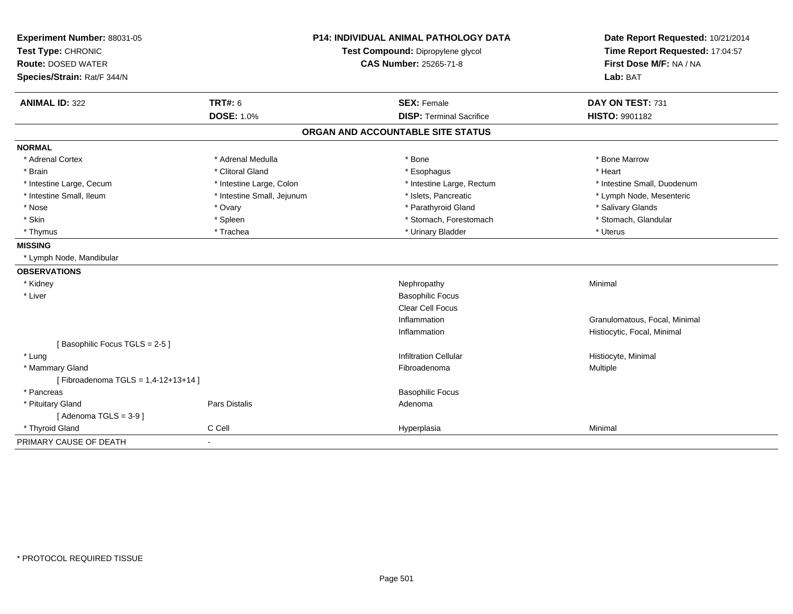| Experiment Number: 88031-05        | <b>P14: INDIVIDUAL ANIMAL PATHOLOGY DATA</b><br>Test Compound: Dipropylene glycol |                                   | Date Report Requested: 10/21/2014 |
|------------------------------------|-----------------------------------------------------------------------------------|-----------------------------------|-----------------------------------|
| Test Type: CHRONIC                 |                                                                                   |                                   | Time Report Requested: 17:04:57   |
| <b>Route: DOSED WATER</b>          |                                                                                   | <b>CAS Number: 25265-71-8</b>     | First Dose M/F: NA / NA           |
| Species/Strain: Rat/F 344/N        |                                                                                   |                                   | Lab: BAT                          |
| <b>ANIMAL ID: 322</b>              | <b>TRT#: 6</b>                                                                    | <b>SEX: Female</b>                | DAY ON TEST: 731                  |
|                                    | <b>DOSE: 1.0%</b>                                                                 | <b>DISP: Terminal Sacrifice</b>   | <b>HISTO: 9901182</b>             |
|                                    |                                                                                   | ORGAN AND ACCOUNTABLE SITE STATUS |                                   |
| <b>NORMAL</b>                      |                                                                                   |                                   |                                   |
| * Adrenal Cortex                   | * Adrenal Medulla                                                                 | * Bone                            | * Bone Marrow                     |
| * Brain                            | * Clitoral Gland                                                                  | * Esophagus                       | * Heart                           |
| * Intestine Large, Cecum           | * Intestine Large, Colon                                                          | * Intestine Large, Rectum         | * Intestine Small, Duodenum       |
| * Intestine Small, Ileum           | * Intestine Small, Jejunum                                                        | * Islets, Pancreatic              | * Lymph Node, Mesenteric          |
| * Nose                             | * Ovary                                                                           | * Parathyroid Gland               | * Salivary Glands                 |
| * Skin                             | * Spleen                                                                          | * Stomach, Forestomach            | * Stomach, Glandular              |
| * Thymus                           | * Trachea                                                                         | * Urinary Bladder                 | * Uterus                          |
| <b>MISSING</b>                     |                                                                                   |                                   |                                   |
| * Lymph Node, Mandibular           |                                                                                   |                                   |                                   |
| <b>OBSERVATIONS</b>                |                                                                                   |                                   |                                   |
| * Kidney                           |                                                                                   | Nephropathy                       | Minimal                           |
| * Liver                            |                                                                                   | <b>Basophilic Focus</b>           |                                   |
|                                    |                                                                                   | <b>Clear Cell Focus</b>           |                                   |
|                                    |                                                                                   | Inflammation                      | Granulomatous, Focal, Minimal     |
|                                    |                                                                                   | Inflammation                      | Histiocytic, Focal, Minimal       |
| [Basophilic Focus TGLS = 2-5]      |                                                                                   |                                   |                                   |
| * Lung                             |                                                                                   | <b>Infiltration Cellular</b>      | Histiocyte, Minimal               |
| * Mammary Gland                    |                                                                                   | Fibroadenoma                      | Multiple                          |
| [Fibroadenoma TGLS = 1,4-12+13+14] |                                                                                   |                                   |                                   |
| * Pancreas                         |                                                                                   | <b>Basophilic Focus</b>           |                                   |
| * Pituitary Gland                  | Pars Distalis                                                                     | Adenoma                           |                                   |
| [Adenoma TGLS = $3-9$ ]            |                                                                                   |                                   |                                   |
| * Thyroid Gland                    | C Cell                                                                            | Hyperplasia                       | Minimal                           |
| PRIMARY CAUSE OF DEATH             | $\blacksquare$                                                                    |                                   |                                   |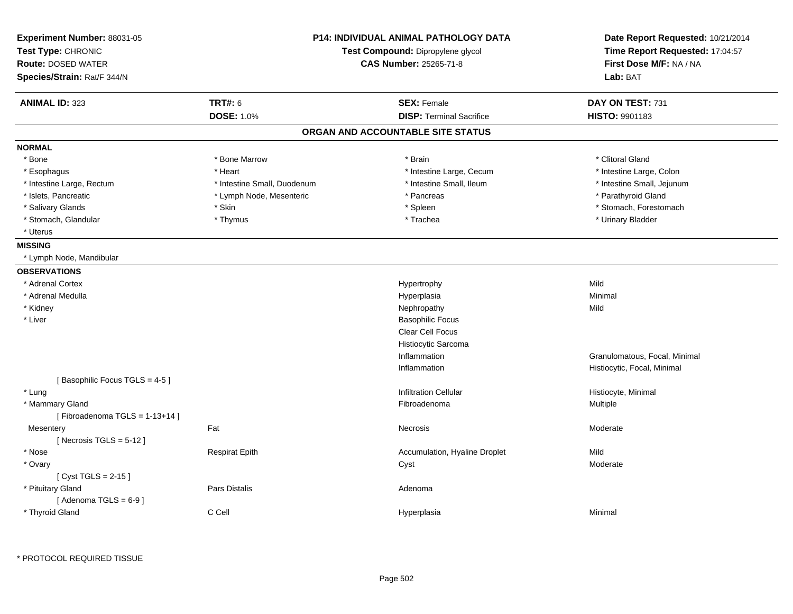| Experiment Number: 88031-05<br>Test Type: CHRONIC<br><b>Route: DOSED WATER</b><br>Species/Strain: Rat/F 344/N |                             | <b>P14: INDIVIDUAL ANIMAL PATHOLOGY DATA</b><br>Test Compound: Dipropylene glycol<br><b>CAS Number: 25265-71-8</b> | Date Report Requested: 10/21/2014<br>Time Report Requested: 17:04:57<br>First Dose M/F: NA / NA<br>Lab: BAT |
|---------------------------------------------------------------------------------------------------------------|-----------------------------|--------------------------------------------------------------------------------------------------------------------|-------------------------------------------------------------------------------------------------------------|
| <b>ANIMAL ID: 323</b>                                                                                         | <b>TRT#: 6</b>              | <b>SEX: Female</b>                                                                                                 | DAY ON TEST: 731                                                                                            |
|                                                                                                               | <b>DOSE: 1.0%</b>           | <b>DISP: Terminal Sacrifice</b>                                                                                    | HISTO: 9901183                                                                                              |
|                                                                                                               |                             | ORGAN AND ACCOUNTABLE SITE STATUS                                                                                  |                                                                                                             |
| <b>NORMAL</b>                                                                                                 |                             |                                                                                                                    |                                                                                                             |
| * Bone                                                                                                        | * Bone Marrow               | * Brain                                                                                                            | * Clitoral Gland                                                                                            |
| * Esophagus                                                                                                   | * Heart                     | * Intestine Large, Cecum                                                                                           | * Intestine Large, Colon                                                                                    |
| * Intestine Large, Rectum                                                                                     | * Intestine Small, Duodenum | * Intestine Small, Ileum                                                                                           | * Intestine Small, Jejunum                                                                                  |
| * Islets, Pancreatic                                                                                          | * Lymph Node, Mesenteric    | * Pancreas                                                                                                         | * Parathyroid Gland                                                                                         |
| * Salivary Glands                                                                                             | * Skin                      | * Spleen                                                                                                           | * Stomach, Forestomach                                                                                      |
| * Stomach, Glandular                                                                                          | * Thymus                    | * Trachea                                                                                                          | * Urinary Bladder                                                                                           |
| * Uterus                                                                                                      |                             |                                                                                                                    |                                                                                                             |
| <b>MISSING</b>                                                                                                |                             |                                                                                                                    |                                                                                                             |
| * Lymph Node, Mandibular                                                                                      |                             |                                                                                                                    |                                                                                                             |
| <b>OBSERVATIONS</b>                                                                                           |                             |                                                                                                                    |                                                                                                             |
| * Adrenal Cortex                                                                                              |                             | Hypertrophy                                                                                                        | Mild                                                                                                        |
| * Adrenal Medulla                                                                                             |                             | Hyperplasia                                                                                                        | Minimal                                                                                                     |
| * Kidney                                                                                                      |                             | Nephropathy                                                                                                        | Mild                                                                                                        |
| * Liver                                                                                                       |                             | <b>Basophilic Focus</b>                                                                                            |                                                                                                             |
|                                                                                                               |                             | Clear Cell Focus                                                                                                   |                                                                                                             |
|                                                                                                               |                             | Histiocytic Sarcoma                                                                                                |                                                                                                             |
|                                                                                                               |                             | Inflammation                                                                                                       | Granulomatous, Focal, Minimal                                                                               |
|                                                                                                               |                             | Inflammation                                                                                                       | Histiocytic, Focal, Minimal                                                                                 |
| [Basophilic Focus TGLS = 4-5]                                                                                 |                             |                                                                                                                    |                                                                                                             |
| * Lung                                                                                                        |                             | <b>Infiltration Cellular</b>                                                                                       |                                                                                                             |
| * Mammary Gland                                                                                               |                             | Fibroadenoma                                                                                                       | Histiocyte, Minimal<br>Multiple                                                                             |
|                                                                                                               |                             |                                                                                                                    |                                                                                                             |
| [Fibroadenoma TGLS = $1-13+14$ ]                                                                              |                             |                                                                                                                    |                                                                                                             |
| Mesentery                                                                                                     | Fat                         | Necrosis                                                                                                           | Moderate                                                                                                    |
| [Necrosis TGLS = $5-12$ ]                                                                                     |                             |                                                                                                                    |                                                                                                             |
| * Nose                                                                                                        | <b>Respirat Epith</b>       | Accumulation, Hyaline Droplet                                                                                      | Mild                                                                                                        |
| * Ovary                                                                                                       |                             | Cyst                                                                                                               | Moderate                                                                                                    |
| [ $Cyst TGLS = 2-15$ ]                                                                                        |                             |                                                                                                                    |                                                                                                             |
| * Pituitary Gland                                                                                             | Pars Distalis               | Adenoma                                                                                                            |                                                                                                             |
| [Adenoma TGLS = $6-9$ ]                                                                                       |                             |                                                                                                                    |                                                                                                             |
| * Thyroid Gland                                                                                               | C Cell                      | Hyperplasia                                                                                                        | Minimal                                                                                                     |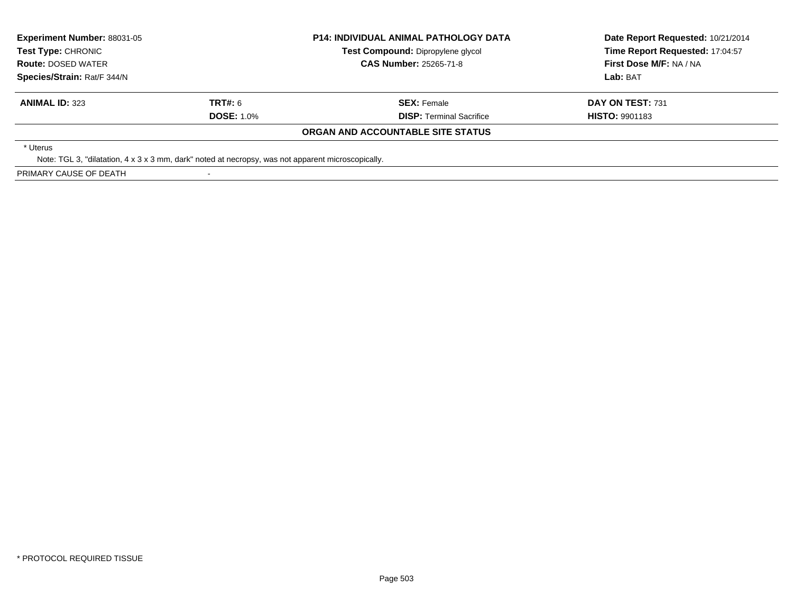| <b>Experiment Number: 88031-05</b>                                                                 |                                   | <b>P14: INDIVIDUAL ANIMAL PATHOLOGY DATA</b> | Date Report Requested: 10/21/2014 |
|----------------------------------------------------------------------------------------------------|-----------------------------------|----------------------------------------------|-----------------------------------|
| <b>Test Type: CHRONIC</b>                                                                          | Test Compound: Dipropylene glycol |                                              | Time Report Requested: 17:04:57   |
| <b>Route: DOSED WATER</b>                                                                          |                                   | <b>CAS Number: 25265-71-8</b>                | First Dose M/F: NA / NA           |
| Species/Strain: Rat/F 344/N                                                                        |                                   |                                              | Lab: BAT                          |
| <b>ANIMAL ID: 323</b>                                                                              | TRT#: 6                           | <b>SEX: Female</b>                           | DAY ON TEST: 731                  |
|                                                                                                    | <b>DOSE: 1.0%</b>                 | <b>DISP:</b> Terminal Sacrifice              | <b>HISTO: 9901183</b>             |
|                                                                                                    |                                   | ORGAN AND ACCOUNTABLE SITE STATUS            |                                   |
| * Uterus                                                                                           |                                   |                                              |                                   |
| Note: TGL 3, "dilatation, 4 x 3 x 3 mm, dark" noted at necropsy, was not apparent microscopically. |                                   |                                              |                                   |
| PRIMARY CAUSE OF DEATH                                                                             |                                   |                                              |                                   |

-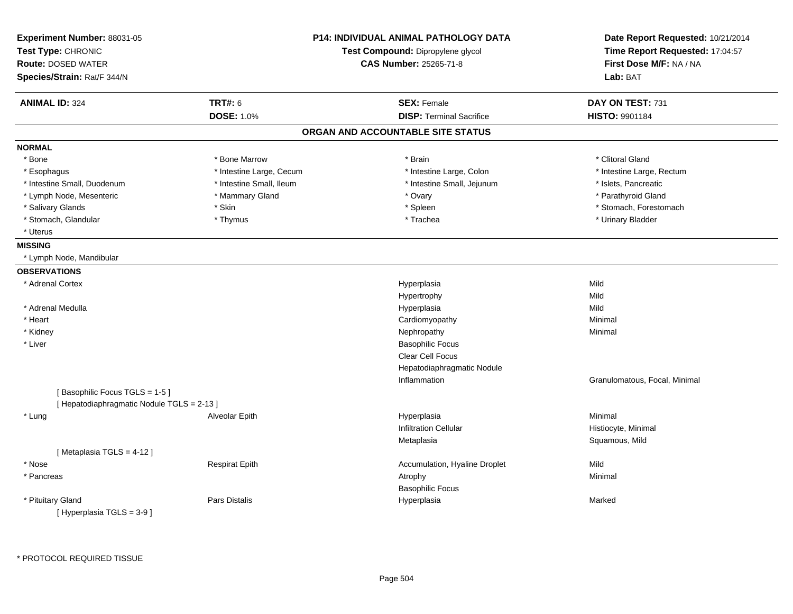| Experiment Number: 88031-05<br>Test Type: CHRONIC<br><b>Route: DOSED WATER</b><br>Species/Strain: Rat/F 344/N |                          | <b>P14: INDIVIDUAL ANIMAL PATHOLOGY DATA</b><br>Test Compound: Dipropylene glycol<br><b>CAS Number: 25265-71-8</b> | Date Report Requested: 10/21/2014<br>Time Report Requested: 17:04:57<br>First Dose M/F: NA / NA<br>Lab: BAT |
|---------------------------------------------------------------------------------------------------------------|--------------------------|--------------------------------------------------------------------------------------------------------------------|-------------------------------------------------------------------------------------------------------------|
| <b>ANIMAL ID: 324</b>                                                                                         | <b>TRT#: 6</b>           | <b>SEX: Female</b>                                                                                                 | DAY ON TEST: 731                                                                                            |
|                                                                                                               | <b>DOSE: 1.0%</b>        | <b>DISP: Terminal Sacrifice</b>                                                                                    | <b>HISTO: 9901184</b>                                                                                       |
|                                                                                                               |                          | ORGAN AND ACCOUNTABLE SITE STATUS                                                                                  |                                                                                                             |
| <b>NORMAL</b>                                                                                                 |                          |                                                                                                                    |                                                                                                             |
| * Bone                                                                                                        | * Bone Marrow            | * Brain                                                                                                            | * Clitoral Gland                                                                                            |
| * Esophagus                                                                                                   | * Intestine Large, Cecum | * Intestine Large, Colon                                                                                           | * Intestine Large, Rectum                                                                                   |
| * Intestine Small, Duodenum                                                                                   | * Intestine Small, Ileum | * Intestine Small, Jejunum                                                                                         | * Islets, Pancreatic                                                                                        |
| * Lymph Node, Mesenteric                                                                                      | * Mammary Gland          | * Ovary                                                                                                            | * Parathyroid Gland                                                                                         |
| * Salivary Glands                                                                                             | * Skin                   | * Spleen                                                                                                           | * Stomach, Forestomach                                                                                      |
| * Stomach, Glandular                                                                                          | * Thymus                 | * Trachea                                                                                                          | * Urinary Bladder                                                                                           |
| * Uterus                                                                                                      |                          |                                                                                                                    |                                                                                                             |
| <b>MISSING</b>                                                                                                |                          |                                                                                                                    |                                                                                                             |
| * Lymph Node, Mandibular                                                                                      |                          |                                                                                                                    |                                                                                                             |
| <b>OBSERVATIONS</b>                                                                                           |                          |                                                                                                                    |                                                                                                             |
| * Adrenal Cortex                                                                                              |                          | Hyperplasia                                                                                                        | Mild                                                                                                        |
|                                                                                                               |                          | Hypertrophy                                                                                                        | Mild                                                                                                        |
| * Adrenal Medulla                                                                                             |                          | Hyperplasia                                                                                                        | Mild                                                                                                        |
| * Heart                                                                                                       |                          | Cardiomyopathy                                                                                                     | Minimal                                                                                                     |
| * Kidney                                                                                                      |                          | Nephropathy                                                                                                        | Minimal                                                                                                     |
| * Liver                                                                                                       |                          | <b>Basophilic Focus</b>                                                                                            |                                                                                                             |
|                                                                                                               |                          | <b>Clear Cell Focus</b>                                                                                            |                                                                                                             |
|                                                                                                               |                          | Hepatodiaphragmatic Nodule                                                                                         |                                                                                                             |
|                                                                                                               |                          | Inflammation                                                                                                       | Granulomatous, Focal, Minimal                                                                               |
| [Basophilic Focus TGLS = 1-5]                                                                                 |                          |                                                                                                                    |                                                                                                             |
| [ Hepatodiaphragmatic Nodule TGLS = 2-13 ]                                                                    |                          |                                                                                                                    |                                                                                                             |
| * Lung                                                                                                        | Alveolar Epith           | Hyperplasia                                                                                                        | Minimal                                                                                                     |
|                                                                                                               |                          | <b>Infiltration Cellular</b>                                                                                       | Histiocyte, Minimal                                                                                         |
|                                                                                                               |                          | Metaplasia                                                                                                         | Squamous, Mild                                                                                              |
| [Metaplasia TGLS = 4-12]                                                                                      |                          |                                                                                                                    |                                                                                                             |
| * Nose                                                                                                        | <b>Respirat Epith</b>    | Accumulation, Hyaline Droplet                                                                                      | Mild                                                                                                        |
| * Pancreas                                                                                                    |                          | Atrophy                                                                                                            | Minimal                                                                                                     |
|                                                                                                               |                          | <b>Basophilic Focus</b>                                                                                            |                                                                                                             |
| * Pituitary Gland                                                                                             | Pars Distalis            | Hyperplasia                                                                                                        | Marked                                                                                                      |
| [Hyperplasia TGLS = $3-9$ ]                                                                                   |                          |                                                                                                                    |                                                                                                             |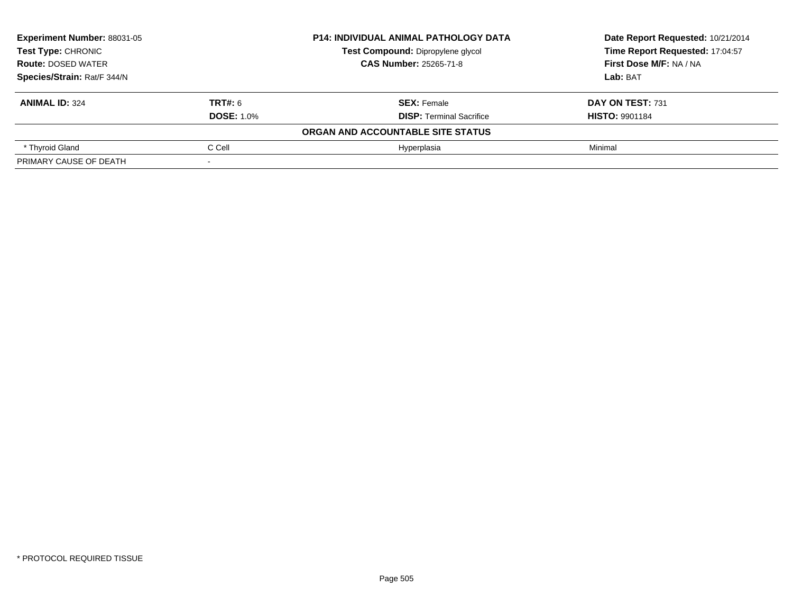| <b>Experiment Number: 88031-05</b><br><b>Test Type: CHRONIC</b><br><b>Route: DOSED WATER</b> |                   | <b>P14: INDIVIDUAL ANIMAL PATHOLOGY DATA</b> | Date Report Requested: 10/21/2014<br>Time Report Requested: 17:04:57 |  |
|----------------------------------------------------------------------------------------------|-------------------|----------------------------------------------|----------------------------------------------------------------------|--|
|                                                                                              |                   | Test Compound: Dipropylene glycol            |                                                                      |  |
|                                                                                              |                   | <b>CAS Number: 25265-71-8</b>                | First Dose M/F: NA / NA                                              |  |
| Species/Strain: Rat/F 344/N                                                                  |                   |                                              | Lab: BAT                                                             |  |
| <b>ANIMAL ID: 324</b>                                                                        | TRT#: 6           | <b>SEX: Female</b>                           | DAY ON TEST: 731                                                     |  |
|                                                                                              | <b>DOSE: 1.0%</b> | <b>DISP:</b> Terminal Sacrifice              | <b>HISTO: 9901184</b>                                                |  |
|                                                                                              |                   | ORGAN AND ACCOUNTABLE SITE STATUS            |                                                                      |  |
| * Thyroid Gland                                                                              | C Cell            | Hvperplasia                                  | Minimal                                                              |  |
| PRIMARY CAUSE OF DEATH                                                                       |                   |                                              |                                                                      |  |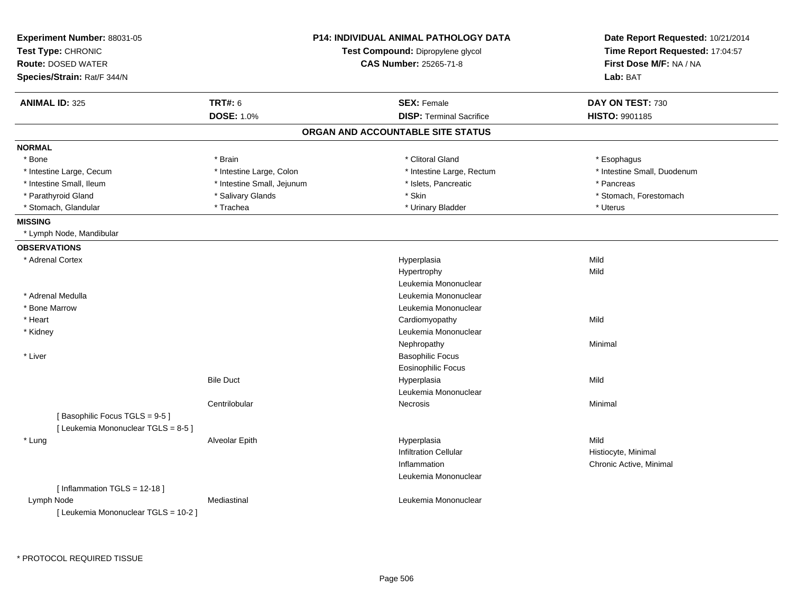| Experiment Number: 88031-05<br>Test Type: CHRONIC<br><b>Route: DOSED WATER</b><br>Species/Strain: Rat/F 344/N |                            | P14: INDIVIDUAL ANIMAL PATHOLOGY DATA<br>Test Compound: Dipropylene glycol<br><b>CAS Number: 25265-71-8</b> | Date Report Requested: 10/21/2014<br>Time Report Requested: 17:04:57<br>First Dose M/F: NA / NA<br>Lab: BAT |
|---------------------------------------------------------------------------------------------------------------|----------------------------|-------------------------------------------------------------------------------------------------------------|-------------------------------------------------------------------------------------------------------------|
| <b>ANIMAL ID: 325</b>                                                                                         | <b>TRT#: 6</b>             | <b>SEX: Female</b>                                                                                          | DAY ON TEST: 730                                                                                            |
|                                                                                                               | <b>DOSE: 1.0%</b>          | <b>DISP: Terminal Sacrifice</b>                                                                             | HISTO: 9901185                                                                                              |
|                                                                                                               |                            | ORGAN AND ACCOUNTABLE SITE STATUS                                                                           |                                                                                                             |
| <b>NORMAL</b>                                                                                                 |                            |                                                                                                             |                                                                                                             |
| * Bone                                                                                                        | * Brain                    | * Clitoral Gland                                                                                            | * Esophagus                                                                                                 |
| * Intestine Large, Cecum                                                                                      | * Intestine Large, Colon   | * Intestine Large, Rectum                                                                                   | * Intestine Small, Duodenum                                                                                 |
| * Intestine Small, Ileum                                                                                      | * Intestine Small, Jejunum | * Islets, Pancreatic                                                                                        | * Pancreas                                                                                                  |
| * Parathyroid Gland                                                                                           | * Salivary Glands          | * Skin                                                                                                      | * Stomach, Forestomach                                                                                      |
| * Stomach, Glandular                                                                                          | * Trachea                  | * Urinary Bladder                                                                                           | * Uterus                                                                                                    |
| <b>MISSING</b>                                                                                                |                            |                                                                                                             |                                                                                                             |
| * Lymph Node, Mandibular                                                                                      |                            |                                                                                                             |                                                                                                             |
| <b>OBSERVATIONS</b>                                                                                           |                            |                                                                                                             |                                                                                                             |
| * Adrenal Cortex                                                                                              |                            | Hyperplasia                                                                                                 | Mild                                                                                                        |
|                                                                                                               |                            | Hypertrophy                                                                                                 | Mild                                                                                                        |
|                                                                                                               |                            | Leukemia Mononuclear                                                                                        |                                                                                                             |
| * Adrenal Medulla                                                                                             |                            | Leukemia Mononuclear                                                                                        |                                                                                                             |
| * Bone Marrow                                                                                                 |                            | Leukemia Mononuclear                                                                                        |                                                                                                             |
| * Heart                                                                                                       |                            | Cardiomyopathy                                                                                              | Mild                                                                                                        |
| * Kidney                                                                                                      |                            | Leukemia Mononuclear                                                                                        |                                                                                                             |
|                                                                                                               |                            | Nephropathy                                                                                                 | Minimal                                                                                                     |
| * Liver                                                                                                       |                            | <b>Basophilic Focus</b>                                                                                     |                                                                                                             |
|                                                                                                               |                            | <b>Eosinophilic Focus</b>                                                                                   |                                                                                                             |
|                                                                                                               | <b>Bile Duct</b>           | Hyperplasia                                                                                                 | Mild                                                                                                        |
|                                                                                                               |                            | Leukemia Mononuclear                                                                                        |                                                                                                             |
|                                                                                                               | Centrilobular              | Necrosis                                                                                                    | Minimal                                                                                                     |
| [Basophilic Focus TGLS = 9-5]                                                                                 |                            |                                                                                                             |                                                                                                             |
| [Leukemia Mononuclear TGLS = 8-5]                                                                             |                            |                                                                                                             |                                                                                                             |
| * Lung                                                                                                        | Alveolar Epith             | Hyperplasia                                                                                                 | Mild                                                                                                        |
|                                                                                                               |                            | <b>Infiltration Cellular</b>                                                                                | Histiocyte, Minimal                                                                                         |
|                                                                                                               |                            | Inflammation                                                                                                | Chronic Active, Minimal                                                                                     |
|                                                                                                               |                            | Leukemia Mononuclear                                                                                        |                                                                                                             |
| [Inflammation TGLS = 12-18]                                                                                   |                            |                                                                                                             |                                                                                                             |
| Lymph Node                                                                                                    | Mediastinal                | Leukemia Mononuclear                                                                                        |                                                                                                             |
| [ Leukemia Mononuclear TGLS = 10-2 ]                                                                          |                            |                                                                                                             |                                                                                                             |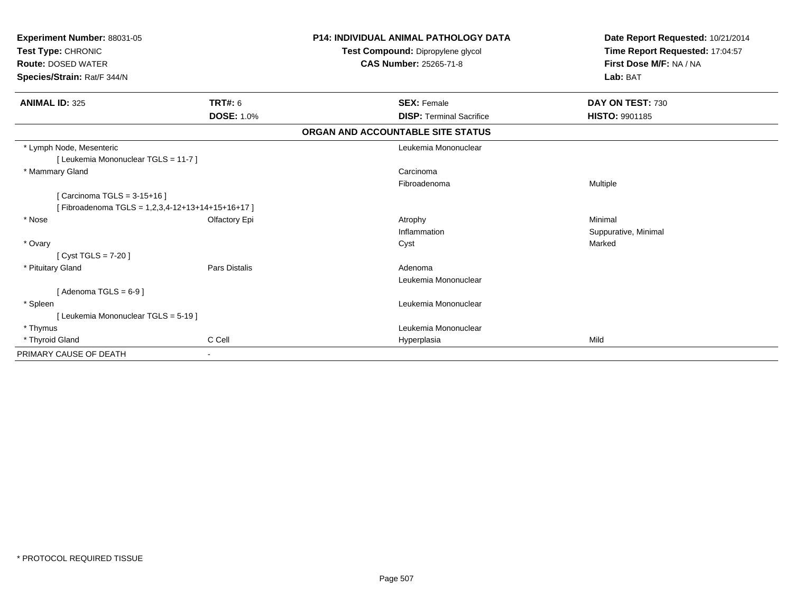| Experiment Number: 88031-05<br>Test Type: CHRONIC<br><b>Route: DOSED WATER</b><br>Species/Strain: Rat/F 344/N |                   | <b>P14: INDIVIDUAL ANIMAL PATHOLOGY DATA</b><br>Test Compound: Dipropylene glycol<br><b>CAS Number: 25265-71-8</b> | Date Report Requested: 10/21/2014<br>Time Report Requested: 17:04:57<br>First Dose M/F: NA / NA<br>Lab: BAT |  |
|---------------------------------------------------------------------------------------------------------------|-------------------|--------------------------------------------------------------------------------------------------------------------|-------------------------------------------------------------------------------------------------------------|--|
| <b>ANIMAL ID: 325</b>                                                                                         | <b>TRT#: 6</b>    | <b>SEX: Female</b>                                                                                                 | DAY ON TEST: 730                                                                                            |  |
|                                                                                                               | <b>DOSE: 1.0%</b> | <b>DISP: Terminal Sacrifice</b>                                                                                    | <b>HISTO: 9901185</b>                                                                                       |  |
|                                                                                                               |                   | ORGAN AND ACCOUNTABLE SITE STATUS                                                                                  |                                                                                                             |  |
| * Lymph Node, Mesenteric                                                                                      |                   | Leukemia Mononuclear                                                                                               |                                                                                                             |  |
| [ Leukemia Mononuclear TGLS = 11-7 ]                                                                          |                   |                                                                                                                    |                                                                                                             |  |
| * Mammary Gland                                                                                               |                   | Carcinoma                                                                                                          |                                                                                                             |  |
|                                                                                                               |                   | Fibroadenoma                                                                                                       | Multiple                                                                                                    |  |
| [ Carcinoma TGLS = 3-15+16 ]                                                                                  |                   |                                                                                                                    |                                                                                                             |  |
| [Fibroadenoma TGLS = 1,2,3,4-12+13+14+15+16+17]                                                               |                   |                                                                                                                    |                                                                                                             |  |
| * Nose                                                                                                        | Olfactory Epi     | Atrophy                                                                                                            | Minimal                                                                                                     |  |
|                                                                                                               |                   | Inflammation                                                                                                       | Suppurative, Minimal                                                                                        |  |
| * Ovary                                                                                                       |                   | Cyst                                                                                                               | Marked                                                                                                      |  |
| [ Cyst TGLS = $7-20$ ]                                                                                        |                   |                                                                                                                    |                                                                                                             |  |
| * Pituitary Gland                                                                                             | Pars Distalis     | Adenoma                                                                                                            |                                                                                                             |  |
|                                                                                                               |                   | Leukemia Mononuclear                                                                                               |                                                                                                             |  |
| [Adenoma TGLS = $6-9$ ]                                                                                       |                   |                                                                                                                    |                                                                                                             |  |
| * Spleen                                                                                                      |                   | Leukemia Mononuclear                                                                                               |                                                                                                             |  |
| [Leukemia Mononuclear TGLS = 5-19]                                                                            |                   |                                                                                                                    |                                                                                                             |  |
| * Thymus                                                                                                      |                   | Leukemia Mononuclear                                                                                               |                                                                                                             |  |
| * Thyroid Gland                                                                                               | C Cell            | Hyperplasia                                                                                                        | Mild                                                                                                        |  |
| PRIMARY CAUSE OF DEATH                                                                                        |                   |                                                                                                                    |                                                                                                             |  |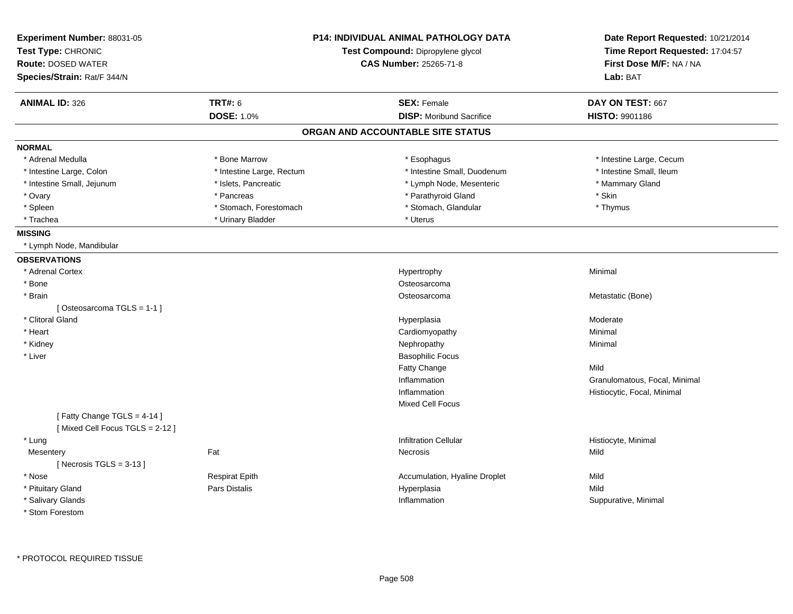| Experiment Number: 88031-05<br>Test Type: CHRONIC<br><b>Route: DOSED WATER</b><br>Species/Strain: Rat/F 344/N | P14: INDIVIDUAL ANIMAL PATHOLOGY DATA<br>Test Compound: Dipropylene glycol<br><b>CAS Number: 25265-71-8</b> |                                   | Date Report Requested: 10/21/2014<br>Time Report Requested: 17:04:57<br>First Dose M/F: NA / NA<br>Lab: BAT |
|---------------------------------------------------------------------------------------------------------------|-------------------------------------------------------------------------------------------------------------|-----------------------------------|-------------------------------------------------------------------------------------------------------------|
| <b>ANIMAL ID: 326</b>                                                                                         | <b>TRT#: 6</b>                                                                                              | <b>SEX: Female</b>                | DAY ON TEST: 667                                                                                            |
|                                                                                                               | <b>DOSE: 1.0%</b>                                                                                           | <b>DISP:</b> Moribund Sacrifice   | <b>HISTO: 9901186</b>                                                                                       |
|                                                                                                               |                                                                                                             | ORGAN AND ACCOUNTABLE SITE STATUS |                                                                                                             |
| <b>NORMAL</b>                                                                                                 |                                                                                                             |                                   |                                                                                                             |
| * Adrenal Medulla                                                                                             | * Bone Marrow                                                                                               | * Esophagus                       | * Intestine Large, Cecum                                                                                    |
| * Intestine Large, Colon                                                                                      | * Intestine Large, Rectum                                                                                   | * Intestine Small, Duodenum       | * Intestine Small, Ileum                                                                                    |
| * Intestine Small, Jejunum                                                                                    | * Islets, Pancreatic                                                                                        | * Lymph Node, Mesenteric          | * Mammary Gland                                                                                             |
| * Ovary                                                                                                       | * Pancreas                                                                                                  | * Parathyroid Gland               | * Skin                                                                                                      |
| * Spleen                                                                                                      | * Stomach, Forestomach                                                                                      | * Stomach, Glandular              | * Thymus                                                                                                    |
| * Trachea                                                                                                     | * Urinary Bladder                                                                                           | * Uterus                          |                                                                                                             |
| <b>MISSING</b>                                                                                                |                                                                                                             |                                   |                                                                                                             |
| * Lymph Node, Mandibular                                                                                      |                                                                                                             |                                   |                                                                                                             |
| <b>OBSERVATIONS</b>                                                                                           |                                                                                                             |                                   |                                                                                                             |
| * Adrenal Cortex                                                                                              |                                                                                                             | Hypertrophy                       | Minimal                                                                                                     |
| * Bone                                                                                                        |                                                                                                             | Osteosarcoma                      |                                                                                                             |
| * Brain                                                                                                       |                                                                                                             | Osteosarcoma                      | Metastatic (Bone)                                                                                           |
| [Osteosarcoma TGLS = 1-1]                                                                                     |                                                                                                             |                                   |                                                                                                             |
| * Clitoral Gland                                                                                              |                                                                                                             | Hyperplasia                       | Moderate                                                                                                    |
| * Heart                                                                                                       |                                                                                                             | Cardiomyopathy                    | Minimal                                                                                                     |
| * Kidney                                                                                                      |                                                                                                             | Nephropathy                       | Minimal                                                                                                     |
| * Liver                                                                                                       |                                                                                                             | <b>Basophilic Focus</b>           |                                                                                                             |
|                                                                                                               |                                                                                                             | Fatty Change                      | Mild                                                                                                        |
|                                                                                                               |                                                                                                             | Inflammation                      | Granulomatous, Focal, Minimal                                                                               |
|                                                                                                               |                                                                                                             | Inflammation                      | Histiocytic, Focal, Minimal                                                                                 |
|                                                                                                               |                                                                                                             | <b>Mixed Cell Focus</b>           |                                                                                                             |
| [Fatty Change TGLS = 4-14]                                                                                    |                                                                                                             |                                   |                                                                                                             |
| [Mixed Cell Focus TGLS = 2-12]                                                                                |                                                                                                             |                                   |                                                                                                             |
| * Lung                                                                                                        |                                                                                                             | <b>Infiltration Cellular</b>      | Histiocyte, Minimal                                                                                         |
| Mesentery                                                                                                     | Fat                                                                                                         | Necrosis                          | Mild                                                                                                        |
| [Necrosis TGLS = $3-13$ ]                                                                                     |                                                                                                             |                                   |                                                                                                             |
| * Nose                                                                                                        | <b>Respirat Epith</b>                                                                                       | Accumulation, Hyaline Droplet     | Mild                                                                                                        |
| * Pituitary Gland                                                                                             | Pars Distalis                                                                                               | Hyperplasia                       | Mild                                                                                                        |
| * Salivary Glands                                                                                             |                                                                                                             | Inflammation                      | Suppurative, Minimal                                                                                        |
| * Stom Forestom                                                                                               |                                                                                                             |                                   |                                                                                                             |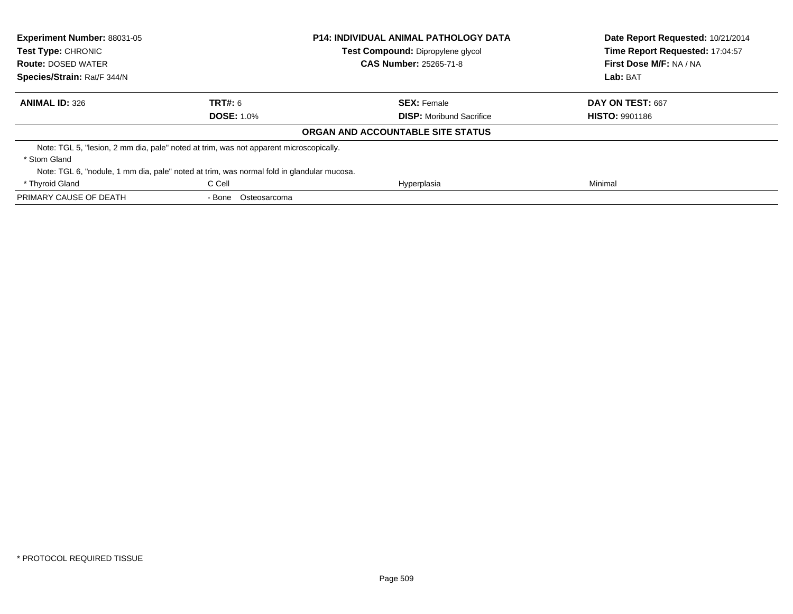| <b>Experiment Number: 88031-05</b><br><b>Test Type: CHRONIC</b><br><b>Route: DOSED WATER</b> |                                                                                           | <b>P14: INDIVIDUAL ANIMAL PATHOLOGY DATA</b><br>Test Compound: Dipropylene glycol<br><b>CAS Number: 25265-71-8</b> | Date Report Requested: 10/21/2014<br>Time Report Requested: 17:04:57<br>First Dose M/F: NA / NA<br>Lab: BAT |
|----------------------------------------------------------------------------------------------|-------------------------------------------------------------------------------------------|--------------------------------------------------------------------------------------------------------------------|-------------------------------------------------------------------------------------------------------------|
| Species/Strain: Rat/F 344/N                                                                  |                                                                                           |                                                                                                                    |                                                                                                             |
| <b>ANIMAL ID: 326</b>                                                                        | TRT#: 6                                                                                   | <b>SEX: Female</b>                                                                                                 | DAY ON TEST: 667                                                                                            |
|                                                                                              | <b>DOSE: 1.0%</b>                                                                         | <b>DISP:</b> Moribund Sacrifice                                                                                    | <b>HISTO: 9901186</b>                                                                                       |
|                                                                                              |                                                                                           | ORGAN AND ACCOUNTABLE SITE STATUS                                                                                  |                                                                                                             |
|                                                                                              | Note: TGL 5, "lesion, 2 mm dia, pale" noted at trim, was not apparent microscopically.    |                                                                                                                    |                                                                                                             |
| * Stom Gland                                                                                 |                                                                                           |                                                                                                                    |                                                                                                             |
|                                                                                              | Note: TGL 6, "nodule, 1 mm dia, pale" noted at trim, was normal fold in glandular mucosa. |                                                                                                                    |                                                                                                             |
| * Thyroid Gland                                                                              | C Cell                                                                                    | Hyperplasia                                                                                                        | Minimal                                                                                                     |
| PRIMARY CAUSE OF DEATH                                                                       | - Bone Osteosarcoma                                                                       |                                                                                                                    |                                                                                                             |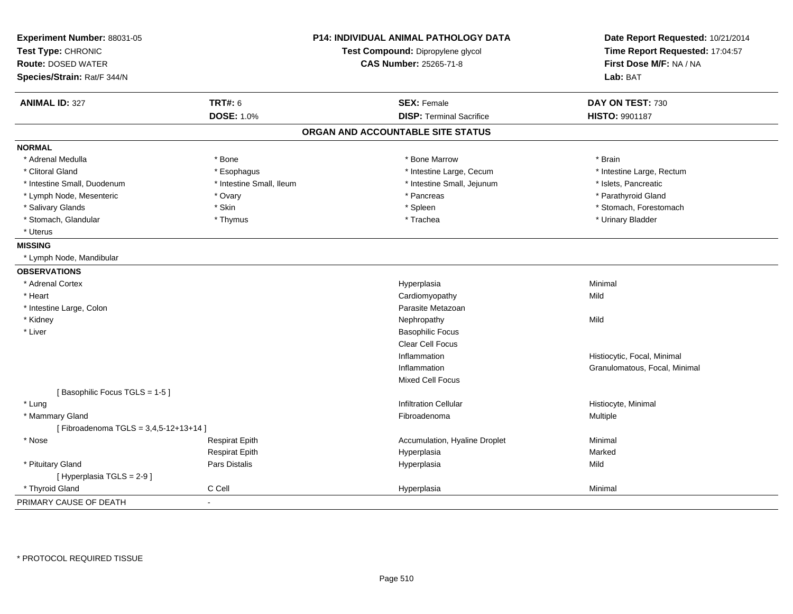| Experiment Number: 88031-05<br>Test Type: CHRONIC<br><b>Route: DOSED WATER</b><br>Species/Strain: Rat/F 344/N |                          | <b>P14: INDIVIDUAL ANIMAL PATHOLOGY DATA</b><br>Test Compound: Dipropylene glycol<br><b>CAS Number: 25265-71-8</b> | Date Report Requested: 10/21/2014<br>Time Report Requested: 17:04:57<br>First Dose M/F: NA / NA<br>Lab: BAT |
|---------------------------------------------------------------------------------------------------------------|--------------------------|--------------------------------------------------------------------------------------------------------------------|-------------------------------------------------------------------------------------------------------------|
| <b>ANIMAL ID: 327</b>                                                                                         | TRT#: 6                  | <b>SEX: Female</b>                                                                                                 | DAY ON TEST: 730                                                                                            |
|                                                                                                               | <b>DOSE: 1.0%</b>        | <b>DISP: Terminal Sacrifice</b>                                                                                    | HISTO: 9901187                                                                                              |
|                                                                                                               |                          | ORGAN AND ACCOUNTABLE SITE STATUS                                                                                  |                                                                                                             |
| <b>NORMAL</b>                                                                                                 |                          |                                                                                                                    |                                                                                                             |
| * Adrenal Medulla                                                                                             | * Bone                   | * Bone Marrow                                                                                                      | * Brain                                                                                                     |
| * Clitoral Gland                                                                                              | * Esophagus              | * Intestine Large, Cecum                                                                                           | * Intestine Large, Rectum                                                                                   |
| * Intestine Small, Duodenum                                                                                   | * Intestine Small, Ileum | * Intestine Small, Jejunum                                                                                         | * Islets, Pancreatic                                                                                        |
| * Lymph Node, Mesenteric                                                                                      | * Ovary                  | * Pancreas                                                                                                         | * Parathyroid Gland                                                                                         |
| * Salivary Glands                                                                                             | * Skin                   | * Spleen                                                                                                           | * Stomach, Forestomach                                                                                      |
| * Stomach, Glandular                                                                                          | * Thymus                 | * Trachea                                                                                                          | * Urinary Bladder                                                                                           |
| * Uterus                                                                                                      |                          |                                                                                                                    |                                                                                                             |
| <b>MISSING</b>                                                                                                |                          |                                                                                                                    |                                                                                                             |
| * Lymph Node, Mandibular                                                                                      |                          |                                                                                                                    |                                                                                                             |
| <b>OBSERVATIONS</b>                                                                                           |                          |                                                                                                                    |                                                                                                             |
| * Adrenal Cortex                                                                                              |                          | Hyperplasia                                                                                                        | Minimal                                                                                                     |
| * Heart                                                                                                       |                          | Cardiomyopathy                                                                                                     | Mild                                                                                                        |
| * Intestine Large, Colon                                                                                      |                          | Parasite Metazoan                                                                                                  |                                                                                                             |
| * Kidney                                                                                                      |                          | Nephropathy                                                                                                        | Mild                                                                                                        |
| * Liver                                                                                                       |                          | <b>Basophilic Focus</b>                                                                                            |                                                                                                             |
|                                                                                                               |                          | Clear Cell Focus                                                                                                   |                                                                                                             |
|                                                                                                               |                          | Inflammation                                                                                                       | Histiocytic, Focal, Minimal                                                                                 |
|                                                                                                               |                          | Inflammation                                                                                                       | Granulomatous, Focal, Minimal                                                                               |
|                                                                                                               |                          | Mixed Cell Focus                                                                                                   |                                                                                                             |
| [Basophilic Focus TGLS = 1-5]                                                                                 |                          |                                                                                                                    |                                                                                                             |
| * Lung                                                                                                        |                          | <b>Infiltration Cellular</b>                                                                                       | Histiocyte, Minimal                                                                                         |
| * Mammary Gland                                                                                               |                          | Fibroadenoma                                                                                                       | Multiple                                                                                                    |
| [Fibroadenoma TGLS = 3,4,5-12+13+14]                                                                          |                          |                                                                                                                    |                                                                                                             |
| * Nose                                                                                                        | <b>Respirat Epith</b>    | Accumulation, Hyaline Droplet                                                                                      | Minimal                                                                                                     |
|                                                                                                               | <b>Respirat Epith</b>    | Hyperplasia                                                                                                        | Marked                                                                                                      |
| * Pituitary Gland                                                                                             | Pars Distalis            | Hyperplasia                                                                                                        | Mild                                                                                                        |
| [Hyperplasia TGLS = 2-9]                                                                                      |                          |                                                                                                                    |                                                                                                             |
| * Thyroid Gland                                                                                               | C Cell                   | Hyperplasia                                                                                                        | Minimal                                                                                                     |
| PRIMARY CAUSE OF DEATH                                                                                        |                          |                                                                                                                    |                                                                                                             |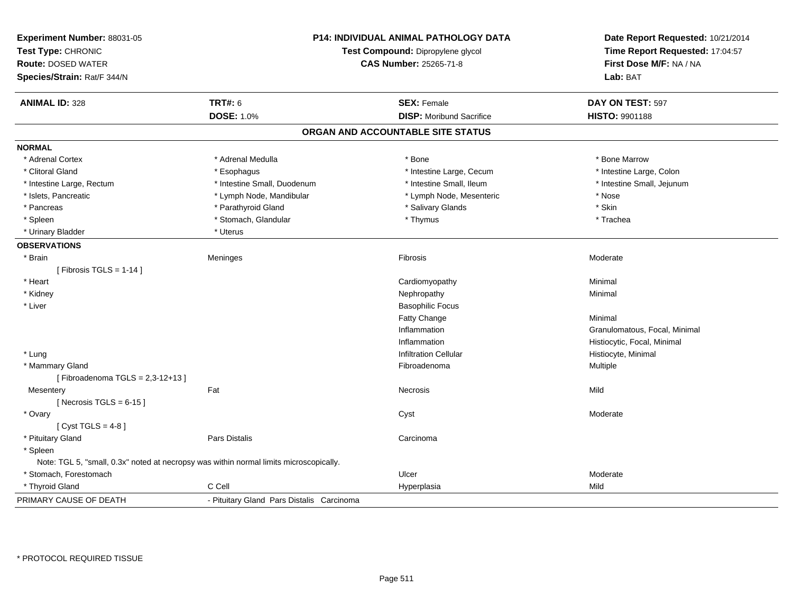| Experiment Number: 88031-05<br>Test Type: CHRONIC<br><b>Route: DOSED WATER</b><br>Species/Strain: Rat/F 344/N | <b>P14: INDIVIDUAL ANIMAL PATHOLOGY DATA</b><br>Test Compound: Dipropylene glycol<br><b>CAS Number: 25265-71-8</b> |                                   | Date Report Requested: 10/21/2014<br>Time Report Requested: 17:04:57<br>First Dose M/F: NA / NA<br>Lab: BAT |
|---------------------------------------------------------------------------------------------------------------|--------------------------------------------------------------------------------------------------------------------|-----------------------------------|-------------------------------------------------------------------------------------------------------------|
| <b>ANIMAL ID: 328</b>                                                                                         | <b>TRT#: 6</b>                                                                                                     | <b>SEX: Female</b>                | DAY ON TEST: 597                                                                                            |
|                                                                                                               | <b>DOSE: 1.0%</b>                                                                                                  | <b>DISP:</b> Moribund Sacrifice   | HISTO: 9901188                                                                                              |
|                                                                                                               |                                                                                                                    | ORGAN AND ACCOUNTABLE SITE STATUS |                                                                                                             |
| <b>NORMAL</b>                                                                                                 |                                                                                                                    |                                   |                                                                                                             |
| * Adrenal Cortex                                                                                              | * Adrenal Medulla                                                                                                  | * Bone                            | * Bone Marrow                                                                                               |
| * Clitoral Gland                                                                                              | * Esophagus                                                                                                        | * Intestine Large, Cecum          | * Intestine Large, Colon                                                                                    |
| * Intestine Large, Rectum                                                                                     | * Intestine Small, Duodenum                                                                                        | * Intestine Small, Ileum          | * Intestine Small, Jejunum                                                                                  |
| * Islets, Pancreatic                                                                                          | * Lymph Node, Mandibular                                                                                           | * Lymph Node, Mesenteric          | * Nose                                                                                                      |
| * Pancreas                                                                                                    | * Parathyroid Gland                                                                                                | * Salivary Glands                 | * Skin                                                                                                      |
| * Spleen                                                                                                      | * Stomach, Glandular                                                                                               | * Thymus                          | * Trachea                                                                                                   |
| * Urinary Bladder                                                                                             | * Uterus                                                                                                           |                                   |                                                                                                             |
| <b>OBSERVATIONS</b>                                                                                           |                                                                                                                    |                                   |                                                                                                             |
| * Brain                                                                                                       | Meninges                                                                                                           | Fibrosis                          | Moderate                                                                                                    |
| [Fibrosis TGLS = $1-14$ ]                                                                                     |                                                                                                                    |                                   |                                                                                                             |
| * Heart                                                                                                       |                                                                                                                    | Cardiomyopathy                    | Minimal                                                                                                     |
| * Kidney                                                                                                      |                                                                                                                    | Nephropathy                       | Minimal                                                                                                     |
| * Liver                                                                                                       |                                                                                                                    | <b>Basophilic Focus</b>           |                                                                                                             |
|                                                                                                               |                                                                                                                    | Fatty Change                      | Minimal                                                                                                     |
|                                                                                                               |                                                                                                                    | Inflammation                      | Granulomatous, Focal, Minimal                                                                               |
|                                                                                                               |                                                                                                                    | Inflammation                      | Histiocytic, Focal, Minimal                                                                                 |
| * Lung                                                                                                        |                                                                                                                    | <b>Infiltration Cellular</b>      | Histiocyte, Minimal                                                                                         |
| * Mammary Gland                                                                                               |                                                                                                                    | Fibroadenoma                      | Multiple                                                                                                    |
| [Fibroadenoma TGLS = $2,3-12+13$ ]                                                                            |                                                                                                                    |                                   |                                                                                                             |
| Mesentery                                                                                                     | Fat                                                                                                                | Necrosis                          | Mild                                                                                                        |
| [Necrosis TGLS = $6-15$ ]                                                                                     |                                                                                                                    |                                   |                                                                                                             |
| * Ovary                                                                                                       |                                                                                                                    | Cyst                              | Moderate                                                                                                    |
| [ $Cyst TGLS = 4-8$ ]                                                                                         |                                                                                                                    |                                   |                                                                                                             |
| * Pituitary Gland                                                                                             | <b>Pars Distalis</b>                                                                                               | Carcinoma                         |                                                                                                             |
| * Spleen                                                                                                      |                                                                                                                    |                                   |                                                                                                             |
| Note: TGL 5, "small, 0.3x" noted at necropsy was within normal limits microscopically.                        |                                                                                                                    |                                   |                                                                                                             |
| * Stomach, Forestomach                                                                                        |                                                                                                                    | Ulcer                             | Moderate                                                                                                    |
| * Thyroid Gland                                                                                               | C Cell                                                                                                             | Hyperplasia                       | Mild                                                                                                        |
| PRIMARY CAUSE OF DEATH                                                                                        | - Pituitary Gland Pars Distalis Carcinoma                                                                          |                                   |                                                                                                             |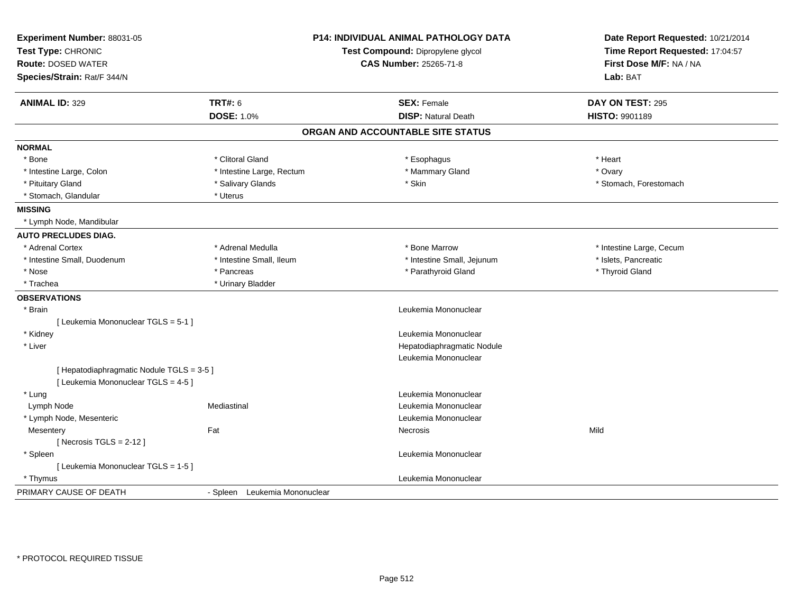| Experiment Number: 88031-05<br>Test Type: CHRONIC<br><b>Route: DOSED WATER</b><br>Species/Strain: Rat/F 344/N |                               | <b>P14: INDIVIDUAL ANIMAL PATHOLOGY DATA</b><br>Test Compound: Dipropylene glycol<br><b>CAS Number: 25265-71-8</b> | Date Report Requested: 10/21/2014<br>Time Report Requested: 17:04:57<br>First Dose M/F: NA / NA<br>Lab: BAT |
|---------------------------------------------------------------------------------------------------------------|-------------------------------|--------------------------------------------------------------------------------------------------------------------|-------------------------------------------------------------------------------------------------------------|
| <b>ANIMAL ID: 329</b>                                                                                         | <b>TRT#: 6</b>                | <b>SEX: Female</b>                                                                                                 | DAY ON TEST: 295                                                                                            |
|                                                                                                               | <b>DOSE: 1.0%</b>             | <b>DISP: Natural Death</b>                                                                                         | HISTO: 9901189                                                                                              |
|                                                                                                               |                               | ORGAN AND ACCOUNTABLE SITE STATUS                                                                                  |                                                                                                             |
| <b>NORMAL</b>                                                                                                 |                               |                                                                                                                    |                                                                                                             |
| * Bone                                                                                                        | * Clitoral Gland              | * Esophagus                                                                                                        | * Heart                                                                                                     |
| * Intestine Large, Colon                                                                                      | * Intestine Large, Rectum     | * Mammary Gland                                                                                                    | * Ovary                                                                                                     |
| * Pituitary Gland                                                                                             | * Salivary Glands             | * Skin                                                                                                             | * Stomach, Forestomach                                                                                      |
| * Stomach, Glandular                                                                                          | * Uterus                      |                                                                                                                    |                                                                                                             |
| <b>MISSING</b>                                                                                                |                               |                                                                                                                    |                                                                                                             |
| * Lymph Node, Mandibular                                                                                      |                               |                                                                                                                    |                                                                                                             |
| <b>AUTO PRECLUDES DIAG.</b>                                                                                   |                               |                                                                                                                    |                                                                                                             |
| * Adrenal Cortex                                                                                              | * Adrenal Medulla             | * Bone Marrow                                                                                                      | * Intestine Large, Cecum                                                                                    |
| * Intestine Small, Duodenum                                                                                   | * Intestine Small, Ileum      | * Intestine Small, Jejunum                                                                                         | * Islets, Pancreatic                                                                                        |
| * Nose                                                                                                        | * Pancreas                    | * Parathyroid Gland                                                                                                | * Thyroid Gland                                                                                             |
| * Trachea                                                                                                     | * Urinary Bladder             |                                                                                                                    |                                                                                                             |
| <b>OBSERVATIONS</b>                                                                                           |                               |                                                                                                                    |                                                                                                             |
| * Brain                                                                                                       |                               | Leukemia Mononuclear                                                                                               |                                                                                                             |
| [ Leukemia Mononuclear TGLS = 5-1 ]                                                                           |                               |                                                                                                                    |                                                                                                             |
| * Kidney                                                                                                      |                               | Leukemia Mononuclear                                                                                               |                                                                                                             |
| * Liver                                                                                                       |                               | Hepatodiaphragmatic Nodule                                                                                         |                                                                                                             |
|                                                                                                               |                               | Leukemia Mononuclear                                                                                               |                                                                                                             |
| [ Hepatodiaphragmatic Nodule TGLS = 3-5 ]                                                                     |                               |                                                                                                                    |                                                                                                             |
| [ Leukemia Mononuclear TGLS = 4-5 ]                                                                           |                               |                                                                                                                    |                                                                                                             |
| * Lung                                                                                                        |                               | Leukemia Mononuclear                                                                                               |                                                                                                             |
| Lymph Node                                                                                                    | Mediastinal                   | Leukemia Mononuclear                                                                                               |                                                                                                             |
| * Lymph Node, Mesenteric                                                                                      |                               | Leukemia Mononuclear                                                                                               |                                                                                                             |
| Mesentery                                                                                                     | Fat                           | Necrosis                                                                                                           | Mild                                                                                                        |
| [Necrosis $TGLS = 2-12$ ]                                                                                     |                               |                                                                                                                    |                                                                                                             |
| * Spleen                                                                                                      |                               | Leukemia Mononuclear                                                                                               |                                                                                                             |
| [ Leukemia Mononuclear TGLS = 1-5 ]                                                                           |                               |                                                                                                                    |                                                                                                             |
| * Thymus                                                                                                      |                               | Leukemia Mononuclear                                                                                               |                                                                                                             |
| PRIMARY CAUSE OF DEATH                                                                                        | - Spleen Leukemia Mononuclear |                                                                                                                    |                                                                                                             |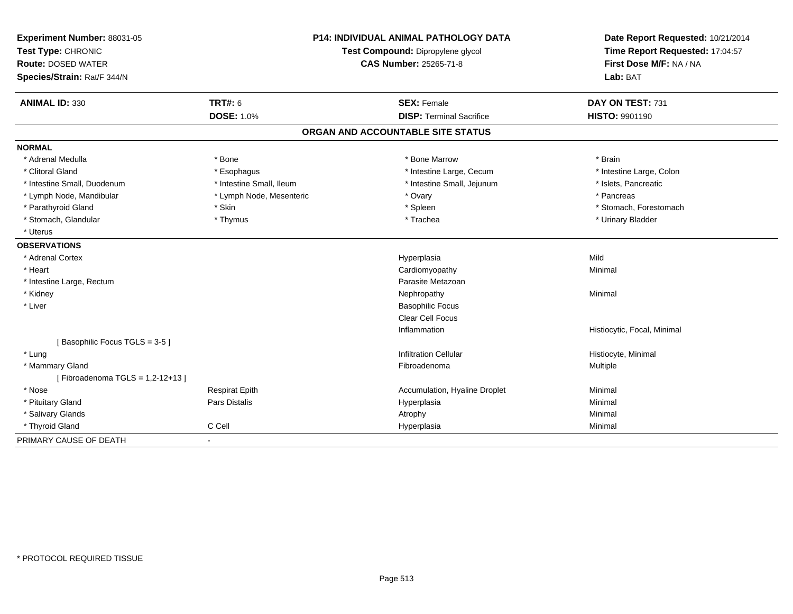| Experiment Number: 88031-05     | <b>P14: INDIVIDUAL ANIMAL PATHOLOGY DATA</b><br>Test Compound: Dipropylene glycol |                                   | Date Report Requested: 10/21/2014 |
|---------------------------------|-----------------------------------------------------------------------------------|-----------------------------------|-----------------------------------|
| Test Type: CHRONIC              |                                                                                   |                                   | Time Report Requested: 17:04:57   |
| <b>Route: DOSED WATER</b>       |                                                                                   | <b>CAS Number: 25265-71-8</b>     | First Dose M/F: NA / NA           |
| Species/Strain: Rat/F 344/N     |                                                                                   |                                   | Lab: BAT                          |
| <b>ANIMAL ID: 330</b>           | TRT#: 6                                                                           | <b>SEX: Female</b>                | DAY ON TEST: 731                  |
|                                 | <b>DOSE: 1.0%</b>                                                                 | <b>DISP: Terminal Sacrifice</b>   | <b>HISTO: 9901190</b>             |
|                                 |                                                                                   | ORGAN AND ACCOUNTABLE SITE STATUS |                                   |
| <b>NORMAL</b>                   |                                                                                   |                                   |                                   |
| * Adrenal Medulla               | * Bone                                                                            | * Bone Marrow                     | * Brain                           |
| * Clitoral Gland                | * Esophagus                                                                       | * Intestine Large, Cecum          | * Intestine Large, Colon          |
| * Intestine Small, Duodenum     | * Intestine Small, Ileum                                                          | * Intestine Small, Jejunum        | * Islets, Pancreatic              |
| * Lymph Node, Mandibular        | * Lymph Node, Mesenteric                                                          | * Ovary                           | * Pancreas                        |
| * Parathyroid Gland             | * Skin                                                                            | * Spleen                          | * Stomach, Forestomach            |
| * Stomach, Glandular            | * Thymus                                                                          | * Trachea                         | * Urinary Bladder                 |
| * Uterus                        |                                                                                   |                                   |                                   |
| <b>OBSERVATIONS</b>             |                                                                                   |                                   |                                   |
| * Adrenal Cortex                |                                                                                   | Hyperplasia                       | Mild                              |
| * Heart                         |                                                                                   | Cardiomyopathy                    | Minimal                           |
| * Intestine Large, Rectum       |                                                                                   | Parasite Metazoan                 |                                   |
| * Kidney                        |                                                                                   | Nephropathy                       | Minimal                           |
| * Liver                         |                                                                                   | <b>Basophilic Focus</b>           |                                   |
|                                 |                                                                                   | <b>Clear Cell Focus</b>           |                                   |
|                                 |                                                                                   | Inflammation                      | Histiocytic, Focal, Minimal       |
| [Basophilic Focus TGLS = 3-5]   |                                                                                   |                                   |                                   |
| * Lung                          |                                                                                   | <b>Infiltration Cellular</b>      | Histiocyte, Minimal               |
| * Mammary Gland                 |                                                                                   | Fibroadenoma                      | Multiple                          |
| [Fibroadenoma TGLS = 1,2-12+13] |                                                                                   |                                   |                                   |
| * Nose                          | <b>Respirat Epith</b>                                                             | Accumulation, Hyaline Droplet     | Minimal                           |
| * Pituitary Gland               | Pars Distalis                                                                     | Hyperplasia                       | Minimal                           |
| * Salivary Glands               |                                                                                   | Atrophy                           | Minimal                           |
| * Thyroid Gland                 | C Cell                                                                            | Hyperplasia                       | Minimal                           |
| PRIMARY CAUSE OF DEATH          | $\blacksquare$                                                                    |                                   |                                   |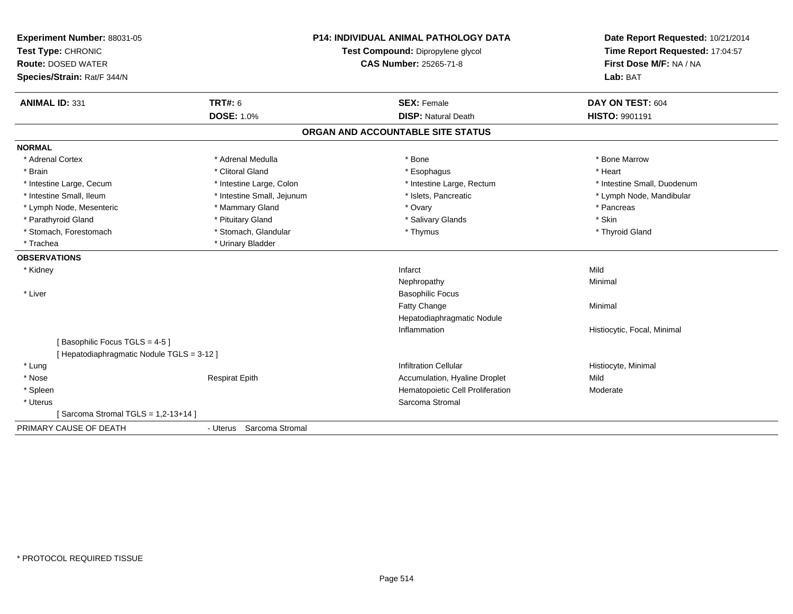| Experiment Number: 88031-05<br>Test Type: CHRONIC<br><b>Route: DOSED WATER</b><br>Species/Strain: Rat/F 344/N |                            | <b>P14: INDIVIDUAL ANIMAL PATHOLOGY DATA</b><br>Test Compound: Dipropylene glycol<br><b>CAS Number: 25265-71-8</b> | Date Report Requested: 10/21/2014<br>Time Report Requested: 17:04:57<br>First Dose M/F: NA / NA<br>Lab: BAT |
|---------------------------------------------------------------------------------------------------------------|----------------------------|--------------------------------------------------------------------------------------------------------------------|-------------------------------------------------------------------------------------------------------------|
| <b>ANIMAL ID: 331</b>                                                                                         | <b>TRT#: 6</b>             | <b>SEX: Female</b>                                                                                                 | DAY ON TEST: 604                                                                                            |
|                                                                                                               | <b>DOSE: 1.0%</b>          | <b>DISP: Natural Death</b>                                                                                         | <b>HISTO: 9901191</b>                                                                                       |
|                                                                                                               |                            | ORGAN AND ACCOUNTABLE SITE STATUS                                                                                  |                                                                                                             |
| <b>NORMAL</b>                                                                                                 |                            |                                                                                                                    |                                                                                                             |
| * Adrenal Cortex                                                                                              | * Adrenal Medulla          | * Bone                                                                                                             | * Bone Marrow                                                                                               |
| * Brain                                                                                                       | * Clitoral Gland           | * Esophagus                                                                                                        | * Heart                                                                                                     |
| * Intestine Large, Cecum                                                                                      | * Intestine Large, Colon   | * Intestine Large, Rectum                                                                                          | * Intestine Small. Duodenum                                                                                 |
| * Intestine Small, Ileum                                                                                      | * Intestine Small, Jejunum | * Islets, Pancreatic                                                                                               | * Lymph Node, Mandibular                                                                                    |
| * Lymph Node, Mesenteric                                                                                      | * Mammary Gland            | * Ovary                                                                                                            | * Pancreas                                                                                                  |
| * Parathyroid Gland                                                                                           | * Pituitary Gland          | * Salivary Glands                                                                                                  | * Skin                                                                                                      |
| * Stomach, Forestomach                                                                                        | * Stomach, Glandular       | * Thymus                                                                                                           | * Thyroid Gland                                                                                             |
| * Trachea                                                                                                     | * Urinary Bladder          |                                                                                                                    |                                                                                                             |
| <b>OBSERVATIONS</b>                                                                                           |                            |                                                                                                                    |                                                                                                             |
| * Kidney                                                                                                      |                            | Infarct                                                                                                            | Mild                                                                                                        |
|                                                                                                               |                            | Nephropathy                                                                                                        | Minimal                                                                                                     |
| * Liver                                                                                                       |                            | <b>Basophilic Focus</b>                                                                                            |                                                                                                             |
|                                                                                                               |                            | Fatty Change                                                                                                       | Minimal                                                                                                     |
|                                                                                                               |                            | Hepatodiaphragmatic Nodule                                                                                         |                                                                                                             |
|                                                                                                               |                            | Inflammation                                                                                                       | Histiocytic, Focal, Minimal                                                                                 |
| [Basophilic Focus TGLS = 4-5]                                                                                 |                            |                                                                                                                    |                                                                                                             |
| [ Hepatodiaphragmatic Nodule TGLS = 3-12 ]                                                                    |                            |                                                                                                                    |                                                                                                             |
| * Lung                                                                                                        |                            | <b>Infiltration Cellular</b>                                                                                       | Histiocyte, Minimal                                                                                         |
| * Nose                                                                                                        | <b>Respirat Epith</b>      | Accumulation, Hyaline Droplet                                                                                      | Mild                                                                                                        |
| * Spleen                                                                                                      |                            | Hematopoietic Cell Proliferation                                                                                   | Moderate                                                                                                    |
| * Uterus                                                                                                      |                            | Sarcoma Stromal                                                                                                    |                                                                                                             |
| [Sarcoma Stromal TGLS = 1,2-13+14]                                                                            |                            |                                                                                                                    |                                                                                                             |
| PRIMARY CAUSE OF DEATH                                                                                        | - Uterus Sarcoma Stromal   |                                                                                                                    |                                                                                                             |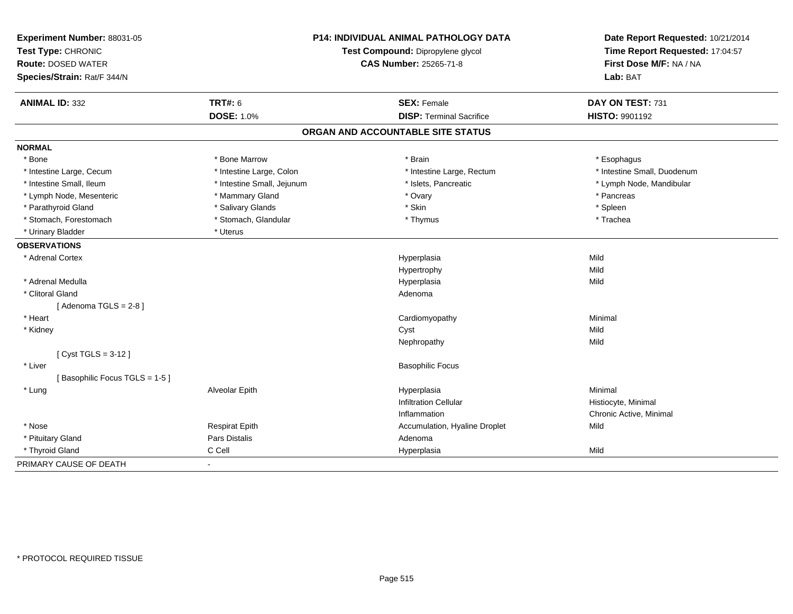| Experiment Number: 88031-05<br>Test Type: CHRONIC<br><b>Route: DOSED WATER</b><br>Species/Strain: Rat/F 344/N | P14: INDIVIDUAL ANIMAL PATHOLOGY DATA<br>Test Compound: Dipropylene glycol<br><b>CAS Number: 25265-71-8</b> |                                   | Date Report Requested: 10/21/2014<br>Time Report Requested: 17:04:57<br>First Dose M/F: NA / NA<br>Lab: BAT |
|---------------------------------------------------------------------------------------------------------------|-------------------------------------------------------------------------------------------------------------|-----------------------------------|-------------------------------------------------------------------------------------------------------------|
| <b>ANIMAL ID: 332</b>                                                                                         | <b>TRT#: 6</b>                                                                                              | <b>SEX: Female</b>                | DAY ON TEST: 731                                                                                            |
|                                                                                                               | <b>DOSE: 1.0%</b>                                                                                           | <b>DISP: Terminal Sacrifice</b>   | <b>HISTO: 9901192</b>                                                                                       |
|                                                                                                               |                                                                                                             | ORGAN AND ACCOUNTABLE SITE STATUS |                                                                                                             |
| <b>NORMAL</b>                                                                                                 |                                                                                                             |                                   |                                                                                                             |
| * Bone                                                                                                        | * Bone Marrow                                                                                               | * Brain                           | * Esophagus                                                                                                 |
| * Intestine Large, Cecum                                                                                      | * Intestine Large, Colon                                                                                    | * Intestine Large, Rectum         | * Intestine Small, Duodenum                                                                                 |
| * Intestine Small, Ileum                                                                                      | * Intestine Small, Jejunum                                                                                  | * Islets, Pancreatic              | * Lymph Node, Mandibular                                                                                    |
| * Lymph Node, Mesenteric                                                                                      | * Mammary Gland                                                                                             | * Ovary                           | * Pancreas                                                                                                  |
| * Parathyroid Gland                                                                                           | * Salivary Glands                                                                                           | * Skin                            | * Spleen                                                                                                    |
| * Stomach, Forestomach                                                                                        | * Stomach, Glandular                                                                                        | * Thymus                          | * Trachea                                                                                                   |
| * Urinary Bladder                                                                                             | * Uterus                                                                                                    |                                   |                                                                                                             |
| <b>OBSERVATIONS</b>                                                                                           |                                                                                                             |                                   |                                                                                                             |
| * Adrenal Cortex                                                                                              |                                                                                                             | Hyperplasia                       | Mild                                                                                                        |
|                                                                                                               |                                                                                                             | Hypertrophy                       | Mild                                                                                                        |
| * Adrenal Medulla                                                                                             |                                                                                                             | Hyperplasia                       | Mild                                                                                                        |
| * Clitoral Gland                                                                                              |                                                                                                             | Adenoma                           |                                                                                                             |
| [Adenoma TGLS = $2-8$ ]                                                                                       |                                                                                                             |                                   |                                                                                                             |
| * Heart                                                                                                       |                                                                                                             | Cardiomyopathy                    | Minimal                                                                                                     |
| * Kidney                                                                                                      |                                                                                                             | Cyst                              | Mild                                                                                                        |
|                                                                                                               |                                                                                                             | Nephropathy                       | Mild                                                                                                        |
| [ $Cyst TGLS = 3-12$ ]                                                                                        |                                                                                                             |                                   |                                                                                                             |
| * Liver                                                                                                       |                                                                                                             | <b>Basophilic Focus</b>           |                                                                                                             |
| [Basophilic Focus TGLS = 1-5]                                                                                 |                                                                                                             |                                   |                                                                                                             |
| * Lung                                                                                                        | Alveolar Epith                                                                                              | Hyperplasia                       | Minimal                                                                                                     |
|                                                                                                               |                                                                                                             | <b>Infiltration Cellular</b>      | Histiocyte, Minimal                                                                                         |
|                                                                                                               |                                                                                                             | Inflammation                      | Chronic Active, Minimal                                                                                     |
| * Nose                                                                                                        | <b>Respirat Epith</b>                                                                                       | Accumulation, Hyaline Droplet     | Mild                                                                                                        |
| * Pituitary Gland                                                                                             | Pars Distalis                                                                                               | Adenoma                           |                                                                                                             |
| * Thyroid Gland                                                                                               | C Cell                                                                                                      | Hyperplasia                       | Mild                                                                                                        |
| PRIMARY CAUSE OF DEATH                                                                                        | $\blacksquare$                                                                                              |                                   |                                                                                                             |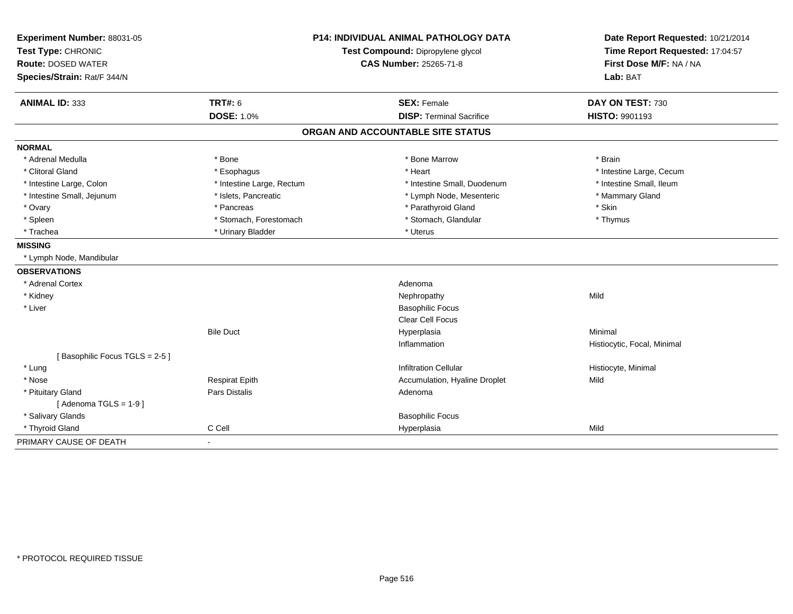| Experiment Number: 88031-05   | P14: INDIVIDUAL ANIMAL PATHOLOGY DATA<br>Test Compound: Dipropylene glycol |                                   | Date Report Requested: 10/21/2014 |
|-------------------------------|----------------------------------------------------------------------------|-----------------------------------|-----------------------------------|
| Test Type: CHRONIC            |                                                                            |                                   | Time Report Requested: 17:04:57   |
| <b>Route: DOSED WATER</b>     |                                                                            | CAS Number: 25265-71-8            | First Dose M/F: NA / NA           |
| Species/Strain: Rat/F 344/N   |                                                                            |                                   | Lab: BAT                          |
| <b>ANIMAL ID: 333</b>         | <b>TRT#: 6</b>                                                             | <b>SEX: Female</b>                | DAY ON TEST: 730                  |
|                               | <b>DOSE: 1.0%</b>                                                          | <b>DISP: Terminal Sacrifice</b>   | HISTO: 9901193                    |
|                               |                                                                            | ORGAN AND ACCOUNTABLE SITE STATUS |                                   |
| <b>NORMAL</b>                 |                                                                            |                                   |                                   |
| * Adrenal Medulla             | * Bone                                                                     | * Bone Marrow                     | * Brain                           |
| * Clitoral Gland              | * Esophagus                                                                | * Heart                           | * Intestine Large, Cecum          |
| * Intestine Large, Colon      | * Intestine Large, Rectum                                                  | * Intestine Small, Duodenum       | * Intestine Small, Ileum          |
| * Intestine Small, Jejunum    | * Islets, Pancreatic                                                       | * Lymph Node, Mesenteric          | * Mammary Gland                   |
| * Ovary                       | * Pancreas                                                                 | * Parathyroid Gland               | * Skin                            |
| * Spleen                      | * Stomach, Forestomach                                                     | * Stomach, Glandular              | * Thymus                          |
| * Trachea                     | * Urinary Bladder                                                          | * Uterus                          |                                   |
| <b>MISSING</b>                |                                                                            |                                   |                                   |
| * Lymph Node, Mandibular      |                                                                            |                                   |                                   |
| <b>OBSERVATIONS</b>           |                                                                            |                                   |                                   |
| * Adrenal Cortex              |                                                                            | Adenoma                           |                                   |
| * Kidney                      |                                                                            | Nephropathy                       | Mild                              |
| * Liver                       |                                                                            | <b>Basophilic Focus</b>           |                                   |
|                               |                                                                            | Clear Cell Focus                  |                                   |
|                               | <b>Bile Duct</b>                                                           | Hyperplasia                       | Minimal                           |
|                               |                                                                            | Inflammation                      | Histiocytic, Focal, Minimal       |
| [Basophilic Focus TGLS = 2-5] |                                                                            |                                   |                                   |
| * Lung                        |                                                                            | <b>Infiltration Cellular</b>      | Histiocyte, Minimal               |
| * Nose                        | <b>Respirat Epith</b>                                                      | Accumulation, Hyaline Droplet     | Mild                              |
| * Pituitary Gland             | <b>Pars Distalis</b>                                                       | Adenoma                           |                                   |
| [Adenoma TGLS = $1-9$ ]       |                                                                            |                                   |                                   |
| * Salivary Glands             |                                                                            | <b>Basophilic Focus</b>           |                                   |
| * Thyroid Gland               | C Cell                                                                     | Hyperplasia                       | Mild                              |
| PRIMARY CAUSE OF DEATH        | $\blacksquare$                                                             |                                   |                                   |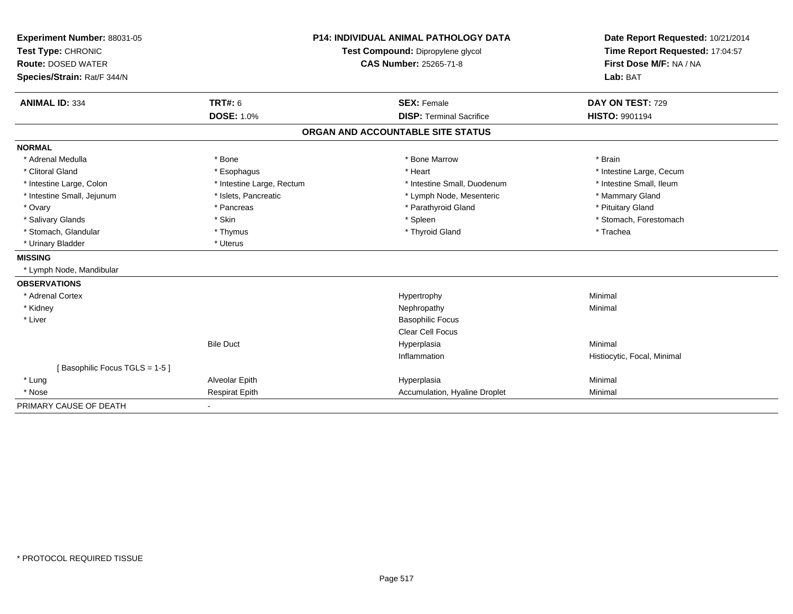| Experiment Number: 88031-05                     | <b>P14: INDIVIDUAL ANIMAL PATHOLOGY DATA</b> |                                   | Date Report Requested: 10/21/2014                          |
|-------------------------------------------------|----------------------------------------------|-----------------------------------|------------------------------------------------------------|
| Test Type: CHRONIC<br><b>Route: DOSED WATER</b> |                                              | Test Compound: Dipropylene glycol | Time Report Requested: 17:04:57<br>First Dose M/F: NA / NA |
|                                                 |                                              | <b>CAS Number: 25265-71-8</b>     |                                                            |
| Species/Strain: Rat/F 344/N                     |                                              |                                   | Lab: BAT                                                   |
|                                                 |                                              |                                   |                                                            |
| <b>ANIMAL ID: 334</b>                           | <b>TRT#: 6</b>                               | <b>SEX: Female</b>                | DAY ON TEST: 729                                           |
|                                                 | <b>DOSE: 1.0%</b>                            | <b>DISP: Terminal Sacrifice</b>   | HISTO: 9901194                                             |
|                                                 |                                              | ORGAN AND ACCOUNTABLE SITE STATUS |                                                            |
| <b>NORMAL</b>                                   |                                              |                                   |                                                            |
| * Adrenal Medulla                               | * Bone                                       | * Bone Marrow                     | * Brain                                                    |
| * Clitoral Gland                                | * Esophagus                                  | * Heart                           | * Intestine Large, Cecum                                   |
| * Intestine Large, Colon                        | * Intestine Large, Rectum                    | * Intestine Small, Duodenum       | * Intestine Small, Ileum                                   |
| * Intestine Small, Jejunum                      | * Islets, Pancreatic                         | * Lymph Node, Mesenteric          | * Mammary Gland                                            |
| * Ovary                                         | * Pancreas                                   | * Parathyroid Gland               | * Pituitary Gland                                          |
| * Salivary Glands                               | * Skin                                       | * Spleen                          | * Stomach, Forestomach                                     |
| * Stomach, Glandular                            | * Thymus                                     | * Thyroid Gland                   | * Trachea                                                  |
| * Urinary Bladder                               | * Uterus                                     |                                   |                                                            |
| <b>MISSING</b>                                  |                                              |                                   |                                                            |
| * Lymph Node, Mandibular                        |                                              |                                   |                                                            |
| <b>OBSERVATIONS</b>                             |                                              |                                   |                                                            |
| * Adrenal Cortex                                |                                              | Hypertrophy                       | Minimal                                                    |
| * Kidney                                        |                                              | Nephropathy                       | Minimal                                                    |
| * Liver                                         |                                              | <b>Basophilic Focus</b>           |                                                            |
|                                                 |                                              | <b>Clear Cell Focus</b>           |                                                            |
|                                                 | <b>Bile Duct</b>                             | Hyperplasia                       | Minimal                                                    |
|                                                 |                                              | Inflammation                      | Histiocytic, Focal, Minimal                                |
| [Basophilic Focus TGLS = 1-5]                   |                                              |                                   |                                                            |
| * Lung                                          | Alveolar Epith                               | Hyperplasia                       | Minimal                                                    |
| * Nose                                          | <b>Respirat Epith</b>                        | Accumulation, Hyaline Droplet     | Minimal                                                    |
| PRIMARY CAUSE OF DEATH                          |                                              |                                   |                                                            |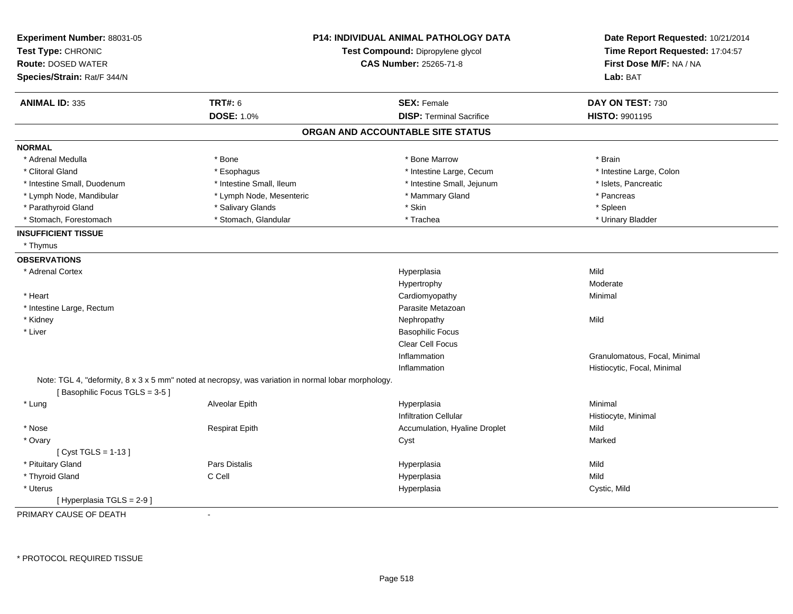| Experiment Number: 88031-05<br>Test Type: CHRONIC<br><b>Route: DOSED WATER</b><br>Species/Strain: Rat/F 344/N | <b>P14: INDIVIDUAL ANIMAL PATHOLOGY DATA</b><br>Test Compound: Dipropylene glycol<br><b>CAS Number: 25265-71-8</b> |                                   | Date Report Requested: 10/21/2014<br>Time Report Requested: 17:04:57<br>First Dose M/F: NA / NA<br>Lab: BAT |
|---------------------------------------------------------------------------------------------------------------|--------------------------------------------------------------------------------------------------------------------|-----------------------------------|-------------------------------------------------------------------------------------------------------------|
| <b>ANIMAL ID: 335</b>                                                                                         | <b>TRT#: 6</b>                                                                                                     | <b>SEX: Female</b>                | DAY ON TEST: 730                                                                                            |
|                                                                                                               | <b>DOSE: 1.0%</b>                                                                                                  | <b>DISP: Terminal Sacrifice</b>   | <b>HISTO: 9901195</b>                                                                                       |
|                                                                                                               |                                                                                                                    | ORGAN AND ACCOUNTABLE SITE STATUS |                                                                                                             |
| <b>NORMAL</b>                                                                                                 |                                                                                                                    |                                   |                                                                                                             |
| * Adrenal Medulla                                                                                             | * Bone                                                                                                             | * Bone Marrow                     | * Brain                                                                                                     |
| * Clitoral Gland                                                                                              | * Esophagus                                                                                                        | * Intestine Large, Cecum          | * Intestine Large, Colon                                                                                    |
| * Intestine Small, Duodenum                                                                                   | * Intestine Small, Ileum                                                                                           | * Intestine Small, Jejunum        | * Islets, Pancreatic                                                                                        |
| * Lymph Node, Mandibular                                                                                      | * Lymph Node, Mesenteric                                                                                           | * Mammary Gland                   | * Pancreas                                                                                                  |
| * Parathyroid Gland                                                                                           | * Salivary Glands                                                                                                  | * Skin                            | * Spleen                                                                                                    |
| * Stomach, Forestomach                                                                                        | * Stomach, Glandular                                                                                               | * Trachea                         | * Urinary Bladder                                                                                           |
| <b>INSUFFICIENT TISSUE</b>                                                                                    |                                                                                                                    |                                   |                                                                                                             |
| * Thymus                                                                                                      |                                                                                                                    |                                   |                                                                                                             |
| <b>OBSERVATIONS</b>                                                                                           |                                                                                                                    |                                   |                                                                                                             |
| * Adrenal Cortex                                                                                              |                                                                                                                    | Hyperplasia                       | Mild                                                                                                        |
|                                                                                                               |                                                                                                                    | Hypertrophy                       | Moderate                                                                                                    |
| * Heart                                                                                                       |                                                                                                                    | Cardiomyopathy                    | Minimal                                                                                                     |
| * Intestine Large, Rectum                                                                                     |                                                                                                                    | Parasite Metazoan                 |                                                                                                             |
| * Kidney                                                                                                      |                                                                                                                    | Nephropathy                       | Mild                                                                                                        |
| * Liver                                                                                                       |                                                                                                                    | <b>Basophilic Focus</b>           |                                                                                                             |
|                                                                                                               |                                                                                                                    | <b>Clear Cell Focus</b>           |                                                                                                             |
|                                                                                                               |                                                                                                                    | Inflammation                      | Granulomatous, Focal, Minimal                                                                               |
|                                                                                                               |                                                                                                                    | Inflammation                      | Histiocytic, Focal, Minimal                                                                                 |
| [Basophilic Focus TGLS = 3-5]                                                                                 | Note: TGL 4, "deformity, 8 x 3 x 5 mm" noted at necropsy, was variation in normal lobar morphology.                |                                   |                                                                                                             |
| * Lung                                                                                                        | Alveolar Epith                                                                                                     | Hyperplasia                       | Minimal                                                                                                     |
|                                                                                                               |                                                                                                                    | <b>Infiltration Cellular</b>      | Histiocyte, Minimal                                                                                         |
| * Nose                                                                                                        | <b>Respirat Epith</b>                                                                                              | Accumulation, Hyaline Droplet     | Mild                                                                                                        |
| * Ovary                                                                                                       |                                                                                                                    | Cyst                              | Marked                                                                                                      |
| [ $Cyst TGLS = 1-13$ ]                                                                                        |                                                                                                                    |                                   |                                                                                                             |
| * Pituitary Gland                                                                                             | Pars Distalis                                                                                                      | Hyperplasia                       | Mild                                                                                                        |
| * Thyroid Gland                                                                                               | C Cell                                                                                                             | Hyperplasia                       | Mild                                                                                                        |
| * Uterus                                                                                                      |                                                                                                                    | Hyperplasia                       | Cystic, Mild                                                                                                |
| [Hyperplasia TGLS = 2-9]                                                                                      |                                                                                                                    |                                   |                                                                                                             |
| PRIMARY CAUSE OF DEATH                                                                                        | $\blacksquare$                                                                                                     |                                   |                                                                                                             |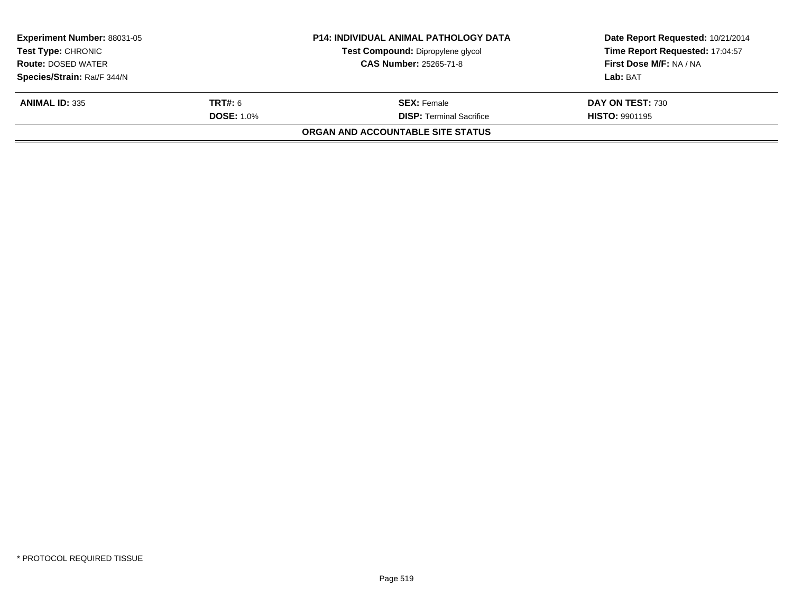| <b>Experiment Number: 88031-05</b><br><b>Test Type: CHRONIC</b> |                               | <b>P14: INDIVIDUAL ANIMAL PATHOLOGY DATA</b> | Date Report Requested: 10/21/2014 |  |
|-----------------------------------------------------------------|-------------------------------|----------------------------------------------|-----------------------------------|--|
|                                                                 |                               | Test Compound: Dipropylene glycol            | Time Report Requested: 17:04:57   |  |
| <b>Route: DOSED WATER</b>                                       | <b>CAS Number: 25265-71-8</b> |                                              | First Dose M/F: NA / NA           |  |
| Species/Strain: Rat/F 344/N                                     |                               |                                              | Lab: BAT                          |  |
| <b>ANIMAL ID: 335</b>                                           | <b>TRT#: 6</b>                | <b>SEX: Female</b>                           | DAY ON TEST: 730                  |  |
|                                                                 | <b>DOSE: 1.0%</b>             | <b>DISP: Terminal Sacrifice</b>              | <b>HISTO: 9901195</b>             |  |
|                                                                 |                               | ORGAN AND ACCOUNTABLE SITE STATUS            |                                   |  |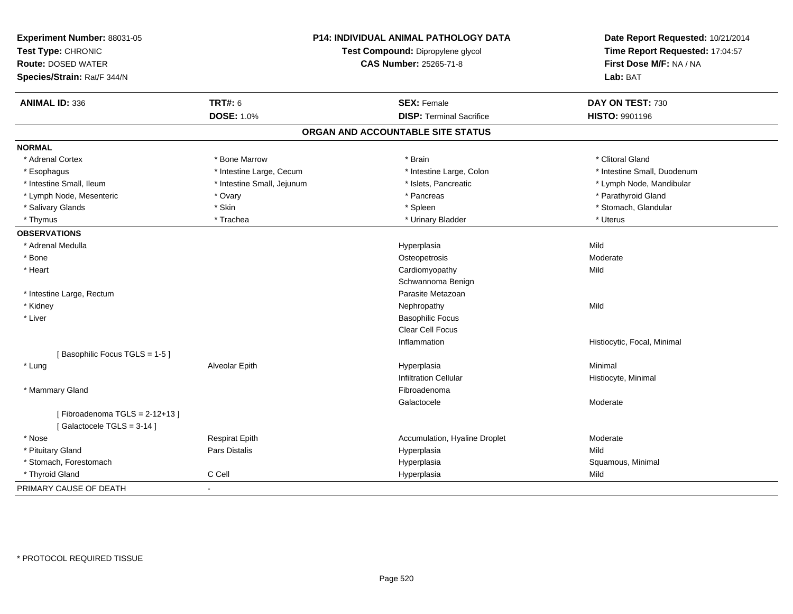| Experiment Number: 88031-05<br>Test Type: CHRONIC<br><b>Route: DOSED WATER</b><br>Species/Strain: Rat/F 344/N | <b>P14: INDIVIDUAL ANIMAL PATHOLOGY DATA</b><br>Test Compound: Dipropylene glycol<br><b>CAS Number: 25265-71-8</b> |                                   | Date Report Requested: 10/21/2014<br>Time Report Requested: 17:04:57<br>First Dose M/F: NA / NA<br>Lab: BAT |
|---------------------------------------------------------------------------------------------------------------|--------------------------------------------------------------------------------------------------------------------|-----------------------------------|-------------------------------------------------------------------------------------------------------------|
| <b>ANIMAL ID: 336</b>                                                                                         | <b>TRT#: 6</b>                                                                                                     | <b>SEX: Female</b>                | DAY ON TEST: 730                                                                                            |
|                                                                                                               | <b>DOSE: 1.0%</b>                                                                                                  | <b>DISP: Terminal Sacrifice</b>   | <b>HISTO: 9901196</b>                                                                                       |
|                                                                                                               |                                                                                                                    | ORGAN AND ACCOUNTABLE SITE STATUS |                                                                                                             |
| <b>NORMAL</b>                                                                                                 |                                                                                                                    |                                   |                                                                                                             |
| * Adrenal Cortex                                                                                              | * Bone Marrow                                                                                                      | * Brain                           | * Clitoral Gland                                                                                            |
| * Esophagus                                                                                                   | * Intestine Large, Cecum                                                                                           | * Intestine Large, Colon          | * Intestine Small, Duodenum                                                                                 |
| * Intestine Small, Ileum                                                                                      | * Intestine Small, Jejunum                                                                                         | * Islets, Pancreatic              | * Lymph Node, Mandibular                                                                                    |
| * Lymph Node, Mesenteric                                                                                      | * Ovary                                                                                                            | * Pancreas                        | * Parathyroid Gland                                                                                         |
| * Salivary Glands                                                                                             | * Skin                                                                                                             | * Spleen                          | * Stomach, Glandular                                                                                        |
| * Thymus                                                                                                      | * Trachea                                                                                                          | * Urinary Bladder                 | * Uterus                                                                                                    |
| <b>OBSERVATIONS</b>                                                                                           |                                                                                                                    |                                   |                                                                                                             |
| * Adrenal Medulla                                                                                             |                                                                                                                    | Hyperplasia                       | Mild                                                                                                        |
| * Bone                                                                                                        |                                                                                                                    | Osteopetrosis                     | Moderate                                                                                                    |
| * Heart                                                                                                       |                                                                                                                    | Cardiomyopathy                    | Mild                                                                                                        |
|                                                                                                               |                                                                                                                    | Schwannoma Benign                 |                                                                                                             |
| * Intestine Large, Rectum                                                                                     |                                                                                                                    | Parasite Metazoan                 |                                                                                                             |
| * Kidney                                                                                                      |                                                                                                                    | Nephropathy                       | Mild                                                                                                        |
| * Liver                                                                                                       |                                                                                                                    | <b>Basophilic Focus</b>           |                                                                                                             |
|                                                                                                               |                                                                                                                    | Clear Cell Focus                  |                                                                                                             |
|                                                                                                               |                                                                                                                    | Inflammation                      | Histiocytic, Focal, Minimal                                                                                 |
| [Basophilic Focus TGLS = 1-5]                                                                                 |                                                                                                                    |                                   |                                                                                                             |
| * Lung                                                                                                        | Alveolar Epith                                                                                                     | Hyperplasia                       | Minimal                                                                                                     |
|                                                                                                               |                                                                                                                    | <b>Infiltration Cellular</b>      | Histiocyte, Minimal                                                                                         |
| * Mammary Gland                                                                                               |                                                                                                                    | Fibroadenoma                      |                                                                                                             |
|                                                                                                               |                                                                                                                    | Galactocele                       | Moderate                                                                                                    |
| [Fibroadenoma TGLS = 2-12+13]<br>[Galactocele TGLS = 3-14]                                                    |                                                                                                                    |                                   |                                                                                                             |
| * Nose                                                                                                        | <b>Respirat Epith</b>                                                                                              | Accumulation, Hyaline Droplet     | Moderate                                                                                                    |
| * Pituitary Gland                                                                                             | Pars Distalis                                                                                                      | Hyperplasia                       | Mild                                                                                                        |
| * Stomach, Forestomach                                                                                        |                                                                                                                    | Hyperplasia                       | Squamous, Minimal                                                                                           |
| * Thyroid Gland                                                                                               | C Cell                                                                                                             | Hyperplasia                       | Mild                                                                                                        |
| PRIMARY CAUSE OF DEATH                                                                                        | $\blacksquare$                                                                                                     |                                   |                                                                                                             |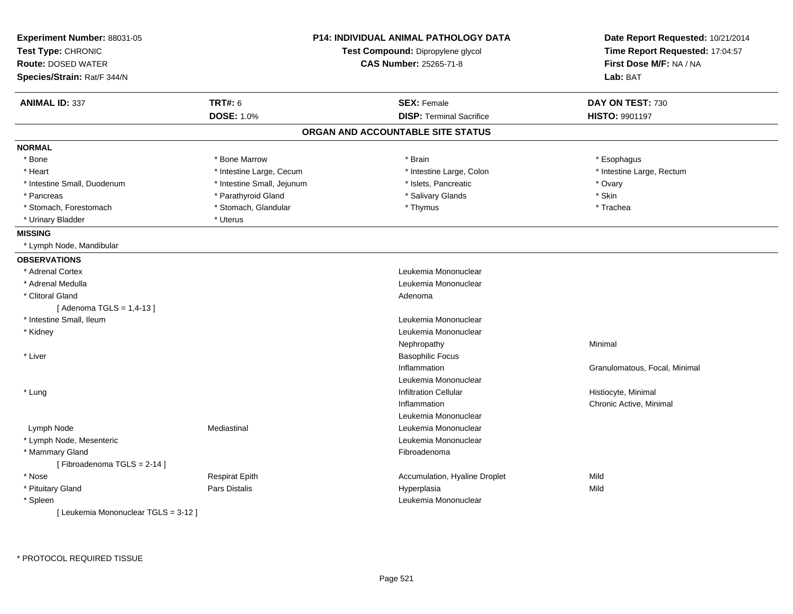| Experiment Number: 88031-05<br>Test Type: CHRONIC<br><b>Route: DOSED WATER</b><br>Species/Strain: Rat/F 344/N |                            | <b>P14: INDIVIDUAL ANIMAL PATHOLOGY DATA</b><br>Test Compound: Dipropylene glycol<br><b>CAS Number: 25265-71-8</b> | Date Report Requested: 10/21/2014<br>Time Report Requested: 17:04:57<br>First Dose M/F: NA / NA<br>Lab: BAT |
|---------------------------------------------------------------------------------------------------------------|----------------------------|--------------------------------------------------------------------------------------------------------------------|-------------------------------------------------------------------------------------------------------------|
| <b>ANIMAL ID: 337</b>                                                                                         | <b>TRT#: 6</b>             | <b>SEX: Female</b>                                                                                                 | DAY ON TEST: 730                                                                                            |
|                                                                                                               | <b>DOSE: 1.0%</b>          | <b>DISP: Terminal Sacrifice</b>                                                                                    | <b>HISTO: 9901197</b>                                                                                       |
|                                                                                                               |                            | ORGAN AND ACCOUNTABLE SITE STATUS                                                                                  |                                                                                                             |
| <b>NORMAL</b>                                                                                                 |                            |                                                                                                                    |                                                                                                             |
| * Bone                                                                                                        | * Bone Marrow              | * Brain                                                                                                            | * Esophagus                                                                                                 |
| * Heart                                                                                                       | * Intestine Large, Cecum   | * Intestine Large, Colon                                                                                           | * Intestine Large, Rectum                                                                                   |
| * Intestine Small, Duodenum                                                                                   | * Intestine Small, Jejunum | * Islets, Pancreatic                                                                                               | * Ovary                                                                                                     |
| * Pancreas                                                                                                    | * Parathyroid Gland        | * Salivary Glands                                                                                                  | * Skin                                                                                                      |
| * Stomach, Forestomach                                                                                        | * Stomach, Glandular       | * Thymus                                                                                                           | * Trachea                                                                                                   |
| * Urinary Bladder                                                                                             | * Uterus                   |                                                                                                                    |                                                                                                             |
| <b>MISSING</b>                                                                                                |                            |                                                                                                                    |                                                                                                             |
| * Lymph Node, Mandibular                                                                                      |                            |                                                                                                                    |                                                                                                             |
| <b>OBSERVATIONS</b>                                                                                           |                            |                                                                                                                    |                                                                                                             |
| * Adrenal Cortex                                                                                              |                            | Leukemia Mononuclear                                                                                               |                                                                                                             |
| * Adrenal Medulla                                                                                             |                            | Leukemia Mononuclear                                                                                               |                                                                                                             |
| * Clitoral Gland                                                                                              |                            | Adenoma                                                                                                            |                                                                                                             |
| [Adenoma TGLS = $1,4-13$ ]                                                                                    |                            |                                                                                                                    |                                                                                                             |
| * Intestine Small. Ileum                                                                                      |                            | Leukemia Mononuclear                                                                                               |                                                                                                             |
| * Kidney                                                                                                      |                            | Leukemia Mononuclear                                                                                               |                                                                                                             |
|                                                                                                               |                            | Nephropathy                                                                                                        | Minimal                                                                                                     |
| * Liver                                                                                                       |                            | <b>Basophilic Focus</b>                                                                                            |                                                                                                             |
|                                                                                                               |                            | Inflammation                                                                                                       | Granulomatous, Focal, Minimal                                                                               |
|                                                                                                               |                            | Leukemia Mononuclear                                                                                               |                                                                                                             |
| * Lung                                                                                                        |                            | <b>Infiltration Cellular</b>                                                                                       | Histiocyte, Minimal                                                                                         |
|                                                                                                               |                            | Inflammation                                                                                                       | Chronic Active, Minimal                                                                                     |
|                                                                                                               |                            | Leukemia Mononuclear                                                                                               |                                                                                                             |
| Lymph Node                                                                                                    | Mediastinal                | Leukemia Mononuclear                                                                                               |                                                                                                             |
| * Lymph Node, Mesenteric                                                                                      |                            | Leukemia Mononuclear                                                                                               |                                                                                                             |
| * Mammary Gland<br>[Fibroadenoma TGLS = 2-14]                                                                 |                            | Fibroadenoma                                                                                                       |                                                                                                             |
| * Nose                                                                                                        | <b>Respirat Epith</b>      | Accumulation, Hyaline Droplet                                                                                      | Mild                                                                                                        |
| * Pituitary Gland                                                                                             | Pars Distalis              | Hyperplasia                                                                                                        | Mild                                                                                                        |
| * Spleen                                                                                                      |                            | Leukemia Mononuclear                                                                                               |                                                                                                             |
| [ Leukemia Mononuclear TGLS = 3-12 ]                                                                          |                            |                                                                                                                    |                                                                                                             |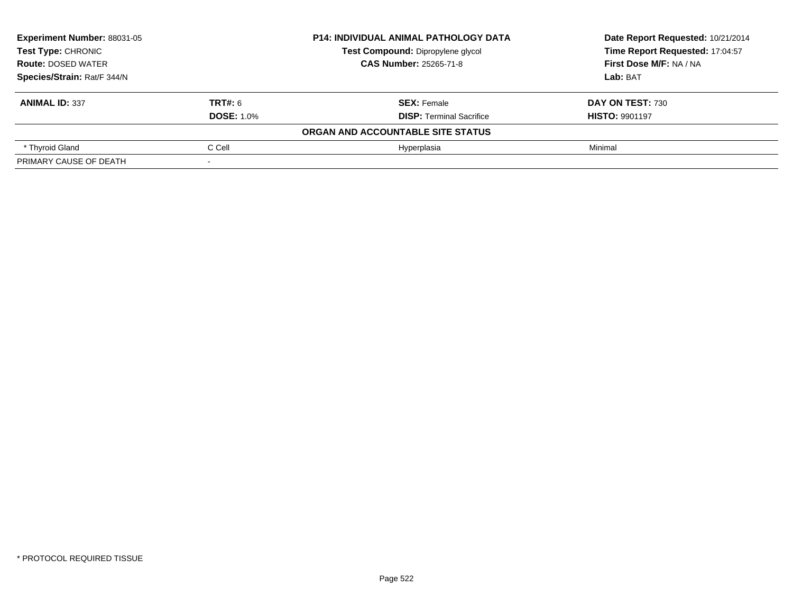| <b>Experiment Number: 88031-05</b><br><b>Test Type: CHRONIC</b><br><b>Route: DOSED WATER</b><br>Species/Strain: Rat/F 344/N |                   | <b>P14: INDIVIDUAL ANIMAL PATHOLOGY DATA</b> | Date Report Requested: 10/21/2014<br>Time Report Requested: 17:04:57 |
|-----------------------------------------------------------------------------------------------------------------------------|-------------------|----------------------------------------------|----------------------------------------------------------------------|
|                                                                                                                             |                   | Test Compound: Dipropylene glycol            |                                                                      |
|                                                                                                                             |                   | <b>CAS Number: 25265-71-8</b>                | First Dose M/F: NA / NA                                              |
|                                                                                                                             |                   |                                              | Lab: BAT                                                             |
| <b>ANIMAL ID: 337</b>                                                                                                       | TRT#: 6           | <b>SEX: Female</b>                           | DAY ON TEST: 730                                                     |
|                                                                                                                             | <b>DOSE: 1.0%</b> | <b>DISP:</b> Terminal Sacrifice              | <b>HISTO: 9901197</b>                                                |
|                                                                                                                             |                   | ORGAN AND ACCOUNTABLE SITE STATUS            |                                                                      |
| * Thyroid Gland                                                                                                             | C Cell            | Hvperplasia                                  | Minimal                                                              |
| PRIMARY CAUSE OF DEATH                                                                                                      |                   |                                              |                                                                      |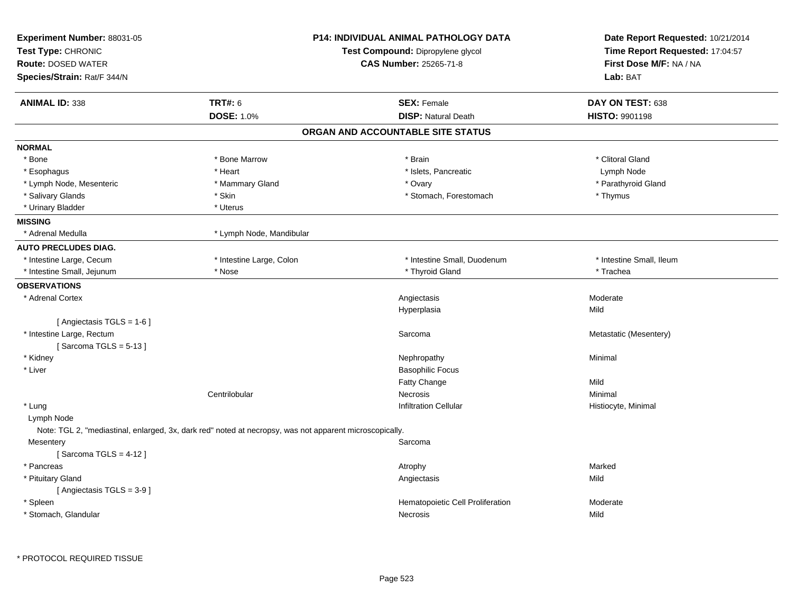| <b>TRT#: 6</b><br><b>ANIMAL ID: 338</b><br><b>DOSE: 1.0%</b><br><b>NORMAL</b><br>* Bone Marrow<br>$^{\star}$ Bone<br>* Heart<br>* Esophagus<br>* Lymph Node, Mesenteric<br>* Mammary Gland | <b>SEX: Female</b><br><b>DISP: Natural Death</b><br>ORGAN AND ACCOUNTABLE SITE STATUS | DAY ON TEST: 638<br><b>HISTO: 9901198</b> |
|--------------------------------------------------------------------------------------------------------------------------------------------------------------------------------------------|---------------------------------------------------------------------------------------|-------------------------------------------|
|                                                                                                                                                                                            |                                                                                       |                                           |
|                                                                                                                                                                                            |                                                                                       |                                           |
|                                                                                                                                                                                            |                                                                                       |                                           |
|                                                                                                                                                                                            |                                                                                       |                                           |
|                                                                                                                                                                                            | * Brain                                                                               | * Clitoral Gland                          |
|                                                                                                                                                                                            | * Islets, Pancreatic                                                                  | Lymph Node                                |
|                                                                                                                                                                                            | * Ovary                                                                               | * Parathyroid Gland                       |
| * Salivary Glands<br>* Skin                                                                                                                                                                | * Stomach, Forestomach                                                                | * Thymus                                  |
| * Uterus<br>* Urinary Bladder                                                                                                                                                              |                                                                                       |                                           |
| <b>MISSING</b>                                                                                                                                                                             |                                                                                       |                                           |
| * Adrenal Medulla<br>* Lymph Node, Mandibular                                                                                                                                              |                                                                                       |                                           |
| <b>AUTO PRECLUDES DIAG.</b>                                                                                                                                                                |                                                                                       |                                           |
| * Intestine Large, Cecum<br>* Intestine Large, Colon                                                                                                                                       | * Intestine Small, Duodenum                                                           | * Intestine Small, Ileum                  |
| * Intestine Small, Jejunum<br>* Nose                                                                                                                                                       | * Thyroid Gland                                                                       | * Trachea                                 |
| <b>OBSERVATIONS</b>                                                                                                                                                                        |                                                                                       |                                           |
| * Adrenal Cortex                                                                                                                                                                           | Angiectasis                                                                           | Moderate                                  |
|                                                                                                                                                                                            | Hyperplasia                                                                           | Mild                                      |
| [Angiectasis TGLS = 1-6]                                                                                                                                                                   |                                                                                       |                                           |
| * Intestine Large, Rectum                                                                                                                                                                  | Sarcoma                                                                               | Metastatic (Mesentery)                    |
| [Sarcoma TGLS = $5-13$ ]                                                                                                                                                                   |                                                                                       |                                           |
| * Kidney                                                                                                                                                                                   | Nephropathy                                                                           | Minimal                                   |
| * Liver                                                                                                                                                                                    | <b>Basophilic Focus</b>                                                               |                                           |
|                                                                                                                                                                                            | <b>Fatty Change</b>                                                                   | Mild                                      |
| Centrilobular                                                                                                                                                                              | Necrosis                                                                              | Minimal                                   |
| * Lung                                                                                                                                                                                     | <b>Infiltration Cellular</b>                                                          | Histiocyte, Minimal                       |
| Lymph Node                                                                                                                                                                                 |                                                                                       |                                           |
| Note: TGL 2, "mediastinal, enlarged, 3x, dark red" noted at necropsy, was not apparent microscopically.                                                                                    | Sarcoma                                                                               |                                           |
| Mesentery<br>[Sarcoma TGLS = $4-12$ ]                                                                                                                                                      |                                                                                       |                                           |
| * Pancreas                                                                                                                                                                                 | Atrophy                                                                               | Marked                                    |
| * Pituitary Gland                                                                                                                                                                          | Angiectasis                                                                           | Mild                                      |
| [Angiectasis TGLS = 3-9]                                                                                                                                                                   |                                                                                       |                                           |
| * Spleen                                                                                                                                                                                   | Hematopoietic Cell Proliferation                                                      | Moderate                                  |
| * Stomach, Glandular                                                                                                                                                                       | Necrosis                                                                              | Mild                                      |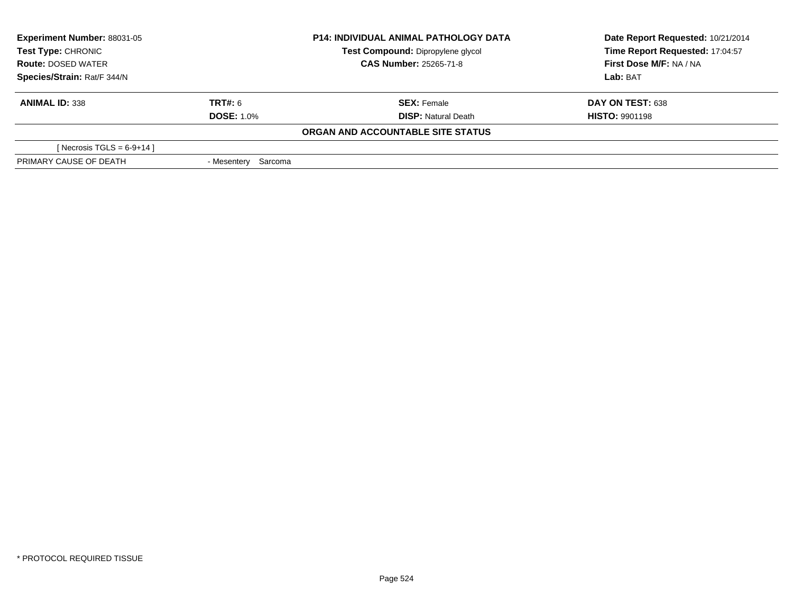| <b>Experiment Number: 88031-05</b><br>Test Type: CHRONIC<br><b>Route: DOSED WATER</b><br>Species/Strain: Rat/F 344/N |                     | <b>P14: INDIVIDUAL ANIMAL PATHOLOGY DATA</b> | Date Report Requested: 10/21/2014<br>Time Report Requested: 17:04:57<br>First Dose M/F: NA / NA |
|----------------------------------------------------------------------------------------------------------------------|---------------------|----------------------------------------------|-------------------------------------------------------------------------------------------------|
|                                                                                                                      |                     | Test Compound: Dipropylene glycol            |                                                                                                 |
|                                                                                                                      |                     | <b>CAS Number: 25265-71-8</b>                |                                                                                                 |
|                                                                                                                      |                     |                                              | Lab: BAT                                                                                        |
| <b>ANIMAL ID: 338</b>                                                                                                | <b>TRT#: 6</b>      | <b>SEX: Female</b>                           | DAY ON TEST: 638                                                                                |
|                                                                                                                      | <b>DOSE: 1.0%</b>   | <b>DISP:</b> Natural Death                   | <b>HISTO: 9901198</b>                                                                           |
|                                                                                                                      |                     | ORGAN AND ACCOUNTABLE SITE STATUS            |                                                                                                 |
| [Necrosis TGLS = $6-9+14$ ]                                                                                          |                     |                                              |                                                                                                 |
| PRIMARY CAUSE OF DEATH                                                                                               | - Mesentery Sarcoma |                                              |                                                                                                 |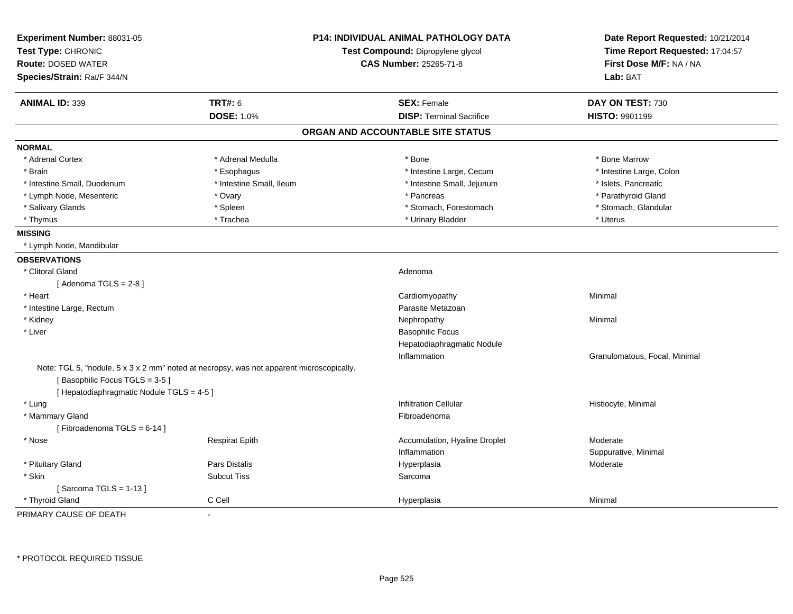| Experiment Number: 88031-05<br>Test Type: CHRONIC<br><b>Route: DOSED WATER</b><br>Species/Strain: Rat/F 344/N |                                                                                          | <b>P14: INDIVIDUAL ANIMAL PATHOLOGY DATA</b><br>Test Compound: Dipropylene glycol<br><b>CAS Number: 25265-71-8</b> |                               |
|---------------------------------------------------------------------------------------------------------------|------------------------------------------------------------------------------------------|--------------------------------------------------------------------------------------------------------------------|-------------------------------|
|                                                                                                               |                                                                                          |                                                                                                                    | Lab: BAT                      |
| <b>ANIMAL ID: 339</b>                                                                                         | <b>TRT#: 6</b>                                                                           | <b>SEX: Female</b>                                                                                                 | DAY ON TEST: 730              |
|                                                                                                               | <b>DOSE: 1.0%</b>                                                                        | <b>DISP: Terminal Sacrifice</b>                                                                                    | HISTO: 9901199                |
|                                                                                                               |                                                                                          | ORGAN AND ACCOUNTABLE SITE STATUS                                                                                  |                               |
| <b>NORMAL</b>                                                                                                 |                                                                                          |                                                                                                                    |                               |
| * Adrenal Cortex                                                                                              | * Adrenal Medulla                                                                        | * Bone                                                                                                             | * Bone Marrow                 |
| * Brain                                                                                                       | * Esophagus                                                                              | * Intestine Large, Cecum                                                                                           | * Intestine Large, Colon      |
| * Intestine Small, Duodenum                                                                                   | * Intestine Small, Ileum                                                                 | * Intestine Small, Jejunum                                                                                         | * Islets, Pancreatic          |
| * Lymph Node, Mesenteric                                                                                      | * Ovary                                                                                  | * Pancreas                                                                                                         | * Parathyroid Gland           |
| * Salivary Glands                                                                                             | * Spleen                                                                                 | * Stomach, Forestomach                                                                                             | * Stomach, Glandular          |
| * Thymus                                                                                                      | * Trachea                                                                                | * Urinary Bladder                                                                                                  | * Uterus                      |
| <b>MISSING</b>                                                                                                |                                                                                          |                                                                                                                    |                               |
| * Lymph Node, Mandibular                                                                                      |                                                                                          |                                                                                                                    |                               |
| <b>OBSERVATIONS</b>                                                                                           |                                                                                          |                                                                                                                    |                               |
| * Clitoral Gland                                                                                              |                                                                                          | Adenoma                                                                                                            |                               |
| [Adenoma TGLS = $2-8$ ]                                                                                       |                                                                                          |                                                                                                                    |                               |
| * Heart                                                                                                       |                                                                                          | Cardiomyopathy                                                                                                     | Minimal                       |
| * Intestine Large, Rectum                                                                                     |                                                                                          | Parasite Metazoan                                                                                                  |                               |
| * Kidney                                                                                                      |                                                                                          | Nephropathy                                                                                                        | Minimal                       |
| * Liver                                                                                                       |                                                                                          | <b>Basophilic Focus</b>                                                                                            |                               |
|                                                                                                               |                                                                                          | Hepatodiaphragmatic Nodule                                                                                         |                               |
|                                                                                                               |                                                                                          | Inflammation                                                                                                       | Granulomatous, Focal, Minimal |
| [Basophilic Focus TGLS = 3-5]<br>[ Hepatodiaphragmatic Nodule TGLS = 4-5 ]                                    | Note: TGL 5, "nodule, 5 x 3 x 2 mm" noted at necropsy, was not apparent microscopically. |                                                                                                                    |                               |
| * Lung                                                                                                        |                                                                                          | <b>Infiltration Cellular</b>                                                                                       | Histiocyte, Minimal           |
| * Mammary Gland                                                                                               |                                                                                          | Fibroadenoma                                                                                                       |                               |
| [Fibroadenoma TGLS = 6-14]                                                                                    |                                                                                          |                                                                                                                    |                               |
| * Nose                                                                                                        | Respirat Epith                                                                           | Accumulation, Hyaline Droplet                                                                                      | Moderate                      |
|                                                                                                               |                                                                                          | Inflammation                                                                                                       | Suppurative, Minimal          |
| * Pituitary Gland                                                                                             | <b>Pars Distalis</b>                                                                     | Hyperplasia                                                                                                        | Moderate                      |
| * Skin                                                                                                        | <b>Subcut Tiss</b>                                                                       | Sarcoma                                                                                                            |                               |
| [Sarcoma TGLS = $1-13$ ]                                                                                      |                                                                                          |                                                                                                                    |                               |
| * Thyroid Gland                                                                                               | C Cell                                                                                   | Hyperplasia                                                                                                        | Minimal                       |
| PRIMARY CAUSE OF DEATH                                                                                        | $\blacksquare$                                                                           |                                                                                                                    |                               |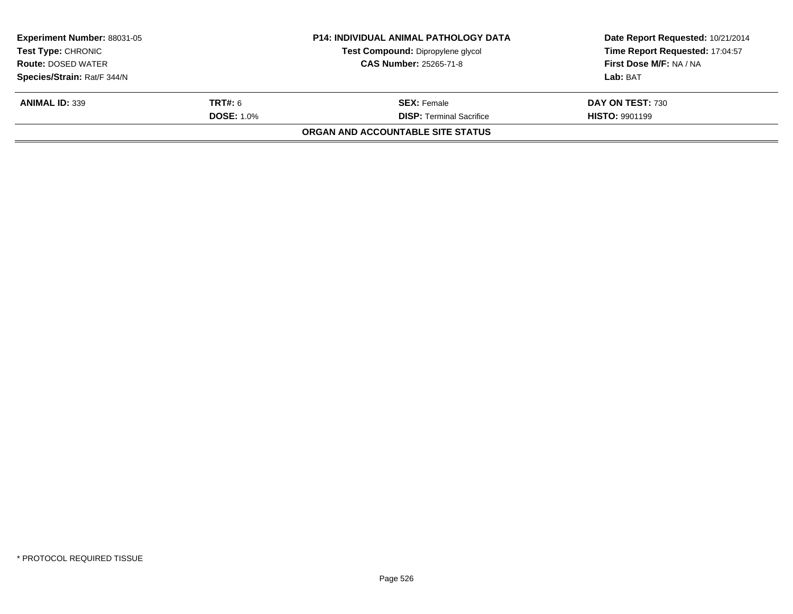| <b>Experiment Number: 88031-05</b><br><b>Test Type: CHRONIC</b> |                   | <b>P14: INDIVIDUAL ANIMAL PATHOLOGY DATA</b> | Date Report Requested: 10/21/2014 |  |
|-----------------------------------------------------------------|-------------------|----------------------------------------------|-----------------------------------|--|
|                                                                 |                   | Test Compound: Dipropylene glycol            | Time Report Requested: 17:04:57   |  |
| <b>CAS Number: 25265-71-8</b><br><b>Route: DOSED WATER</b>      |                   |                                              | First Dose M/F: NA / NA           |  |
| Species/Strain: Rat/F 344/N                                     |                   |                                              | Lab: BAT                          |  |
| <b>ANIMAL ID: 339</b>                                           | <b>TRT#: 6</b>    | <b>SEX: Female</b>                           | DAY ON TEST: 730                  |  |
|                                                                 | <b>DOSE: 1.0%</b> | <b>DISP: Terminal Sacrifice</b>              | <b>HISTO: 9901199</b>             |  |
|                                                                 |                   | ORGAN AND ACCOUNTABLE SITE STATUS            |                                   |  |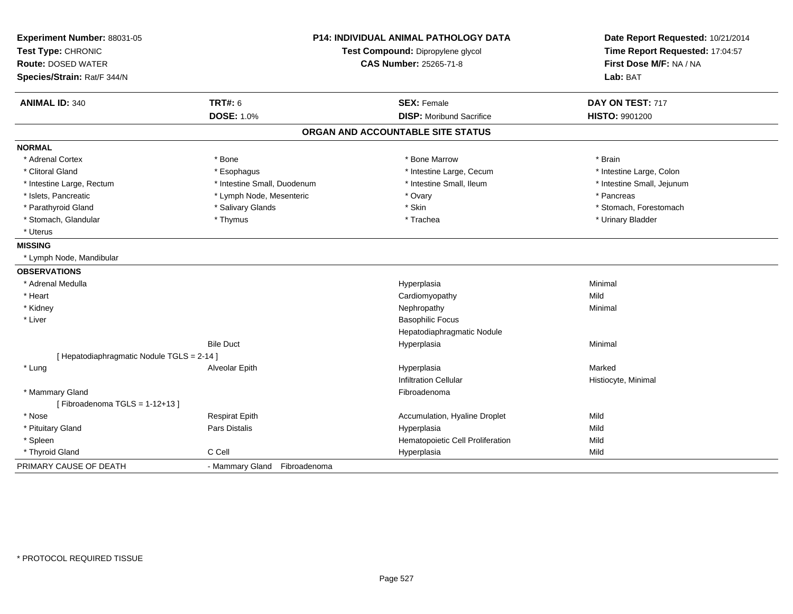| Experiment Number: 88031-05<br>Test Type: CHRONIC<br><b>Route: DOSED WATER</b><br>Species/Strain: Rat/F 344/N |                              | P14: INDIVIDUAL ANIMAL PATHOLOGY DATA<br>Test Compound: Dipropylene glycol<br><b>CAS Number: 25265-71-8</b> | Date Report Requested: 10/21/2014<br>Time Report Requested: 17:04:57<br>First Dose M/F: NA / NA<br>Lab: BAT |
|---------------------------------------------------------------------------------------------------------------|------------------------------|-------------------------------------------------------------------------------------------------------------|-------------------------------------------------------------------------------------------------------------|
| <b>ANIMAL ID: 340</b>                                                                                         | <b>TRT#: 6</b>               | <b>SEX: Female</b>                                                                                          | DAY ON TEST: 717                                                                                            |
|                                                                                                               | <b>DOSE: 1.0%</b>            | <b>DISP:</b> Moribund Sacrifice                                                                             | HISTO: 9901200                                                                                              |
|                                                                                                               |                              | ORGAN AND ACCOUNTABLE SITE STATUS                                                                           |                                                                                                             |
| <b>NORMAL</b>                                                                                                 |                              |                                                                                                             |                                                                                                             |
| * Adrenal Cortex                                                                                              | * Bone                       | * Bone Marrow                                                                                               | * Brain                                                                                                     |
| * Clitoral Gland                                                                                              | * Esophagus                  | * Intestine Large, Cecum                                                                                    | * Intestine Large, Colon                                                                                    |
| * Intestine Large, Rectum                                                                                     | * Intestine Small, Duodenum  | * Intestine Small, Ileum                                                                                    | * Intestine Small, Jejunum                                                                                  |
| * Islets, Pancreatic                                                                                          | * Lymph Node, Mesenteric     | * Ovary                                                                                                     | * Pancreas                                                                                                  |
| * Parathyroid Gland                                                                                           | * Salivary Glands            | * Skin                                                                                                      | * Stomach, Forestomach                                                                                      |
| * Stomach, Glandular                                                                                          | * Thymus                     | * Trachea                                                                                                   | * Urinary Bladder                                                                                           |
| * Uterus                                                                                                      |                              |                                                                                                             |                                                                                                             |
| <b>MISSING</b>                                                                                                |                              |                                                                                                             |                                                                                                             |
| * Lymph Node, Mandibular                                                                                      |                              |                                                                                                             |                                                                                                             |
| <b>OBSERVATIONS</b>                                                                                           |                              |                                                                                                             |                                                                                                             |
| * Adrenal Medulla                                                                                             |                              | Hyperplasia                                                                                                 | Minimal                                                                                                     |
| * Heart                                                                                                       |                              | Cardiomyopathy                                                                                              | Mild                                                                                                        |
| * Kidney                                                                                                      |                              | Nephropathy                                                                                                 | Minimal                                                                                                     |
| * Liver                                                                                                       |                              | <b>Basophilic Focus</b>                                                                                     |                                                                                                             |
|                                                                                                               |                              | Hepatodiaphragmatic Nodule                                                                                  |                                                                                                             |
|                                                                                                               | <b>Bile Duct</b>             | Hyperplasia                                                                                                 | Minimal                                                                                                     |
| [ Hepatodiaphragmatic Nodule TGLS = 2-14 ]                                                                    |                              |                                                                                                             |                                                                                                             |
| * Lung                                                                                                        | Alveolar Epith               | Hyperplasia                                                                                                 | Marked                                                                                                      |
|                                                                                                               |                              | <b>Infiltration Cellular</b>                                                                                | Histiocyte, Minimal                                                                                         |
| * Mammary Gland                                                                                               |                              | Fibroadenoma                                                                                                |                                                                                                             |
| [Fibroadenoma TGLS = $1-12+13$ ]                                                                              |                              |                                                                                                             |                                                                                                             |
| * Nose                                                                                                        | <b>Respirat Epith</b>        | Accumulation, Hyaline Droplet                                                                               | Mild                                                                                                        |
| * Pituitary Gland                                                                                             | Pars Distalis                | Hyperplasia                                                                                                 | Mild                                                                                                        |
| * Spleen                                                                                                      |                              | Hematopoietic Cell Proliferation                                                                            | Mild                                                                                                        |
| * Thyroid Gland                                                                                               | C Cell                       | Hyperplasia                                                                                                 | Mild                                                                                                        |
| PRIMARY CAUSE OF DEATH                                                                                        | - Mammary Gland Fibroadenoma |                                                                                                             |                                                                                                             |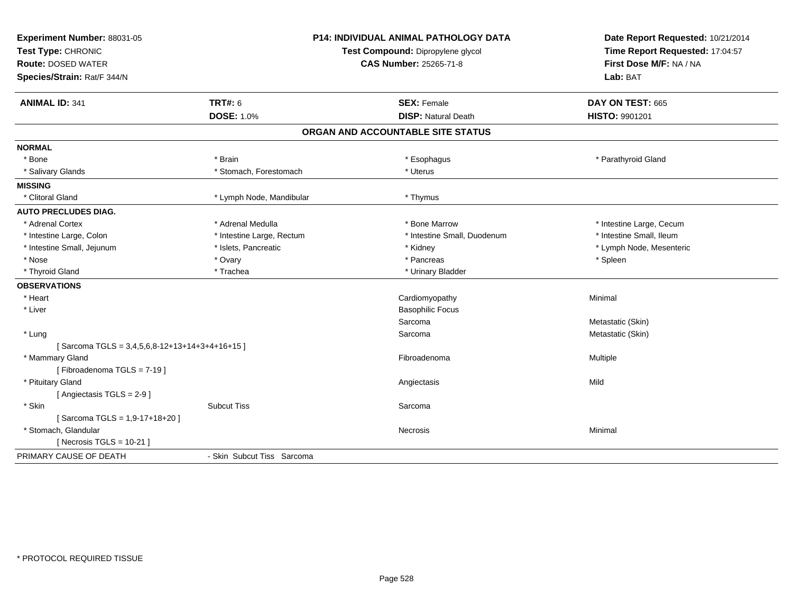| Experiment Number: 88031-05<br>Test Type: CHRONIC<br><b>Route: DOSED WATER</b><br>Species/Strain: Rat/F 344/N<br><b>ANIMAL ID: 341</b> | <b>TRT#: 6</b>             | <b>P14: INDIVIDUAL ANIMAL PATHOLOGY DATA</b><br>Test Compound: Dipropylene glycol<br><b>CAS Number: 25265-71-8</b><br><b>SEX: Female</b> | Date Report Requested: 10/21/2014<br>Time Report Requested: 17:04:57<br>First Dose M/F: NA / NA<br>Lab: BAT<br>DAY ON TEST: 665 |
|----------------------------------------------------------------------------------------------------------------------------------------|----------------------------|------------------------------------------------------------------------------------------------------------------------------------------|---------------------------------------------------------------------------------------------------------------------------------|
|                                                                                                                                        | DOSE: 1.0%                 | <b>DISP: Natural Death</b>                                                                                                               | HISTO: 9901201                                                                                                                  |
|                                                                                                                                        |                            | ORGAN AND ACCOUNTABLE SITE STATUS                                                                                                        |                                                                                                                                 |
| <b>NORMAL</b>                                                                                                                          |                            |                                                                                                                                          |                                                                                                                                 |
| * Bone                                                                                                                                 | * Brain                    | * Esophagus                                                                                                                              | * Parathyroid Gland                                                                                                             |
| * Salivary Glands                                                                                                                      | * Stomach, Forestomach     | * Uterus                                                                                                                                 |                                                                                                                                 |
| <b>MISSING</b>                                                                                                                         |                            |                                                                                                                                          |                                                                                                                                 |
| * Clitoral Gland                                                                                                                       | * Lymph Node, Mandibular   | * Thymus                                                                                                                                 |                                                                                                                                 |
| <b>AUTO PRECLUDES DIAG.</b>                                                                                                            |                            |                                                                                                                                          |                                                                                                                                 |
| * Adrenal Cortex                                                                                                                       | * Adrenal Medulla          | * Bone Marrow                                                                                                                            | * Intestine Large, Cecum                                                                                                        |
| * Intestine Large, Colon                                                                                                               | * Intestine Large, Rectum  | * Intestine Small, Duodenum                                                                                                              | * Intestine Small, Ileum                                                                                                        |
| * Intestine Small, Jejunum                                                                                                             | * Islets, Pancreatic       | * Kidney                                                                                                                                 | * Lymph Node, Mesenteric                                                                                                        |
| * Nose                                                                                                                                 | * Ovary                    | * Pancreas                                                                                                                               | * Spleen                                                                                                                        |
| * Thyroid Gland                                                                                                                        | * Trachea                  | * Urinary Bladder                                                                                                                        |                                                                                                                                 |
| <b>OBSERVATIONS</b>                                                                                                                    |                            |                                                                                                                                          |                                                                                                                                 |
| * Heart                                                                                                                                |                            | Cardiomyopathy                                                                                                                           | Minimal                                                                                                                         |
| * Liver                                                                                                                                |                            | <b>Basophilic Focus</b>                                                                                                                  |                                                                                                                                 |
|                                                                                                                                        |                            | Sarcoma                                                                                                                                  | Metastatic (Skin)                                                                                                               |
| * Lung                                                                                                                                 |                            | Sarcoma                                                                                                                                  | Metastatic (Skin)                                                                                                               |
| [Sarcoma TGLS = 3,4,5,6,8-12+13+14+3+4+16+15]                                                                                          |                            |                                                                                                                                          |                                                                                                                                 |
| * Mammary Gland                                                                                                                        |                            | Fibroadenoma                                                                                                                             | Multiple                                                                                                                        |
| [Fibroadenoma TGLS = 7-19]                                                                                                             |                            |                                                                                                                                          |                                                                                                                                 |
| * Pituitary Gland                                                                                                                      |                            | Angiectasis                                                                                                                              | Mild                                                                                                                            |
| [Angiectasis TGLS = 2-9]                                                                                                               |                            |                                                                                                                                          |                                                                                                                                 |
| * Skin                                                                                                                                 | <b>Subcut Tiss</b>         | Sarcoma                                                                                                                                  |                                                                                                                                 |
| [Sarcoma TGLS = 1,9-17+18+20]                                                                                                          |                            |                                                                                                                                          |                                                                                                                                 |
| * Stomach, Glandular                                                                                                                   |                            | Necrosis                                                                                                                                 | Minimal                                                                                                                         |
| [Necrosis TGLS = $10-21$ ]                                                                                                             |                            |                                                                                                                                          |                                                                                                                                 |
| PRIMARY CAUSE OF DEATH                                                                                                                 | - Skin Subcut Tiss Sarcoma |                                                                                                                                          |                                                                                                                                 |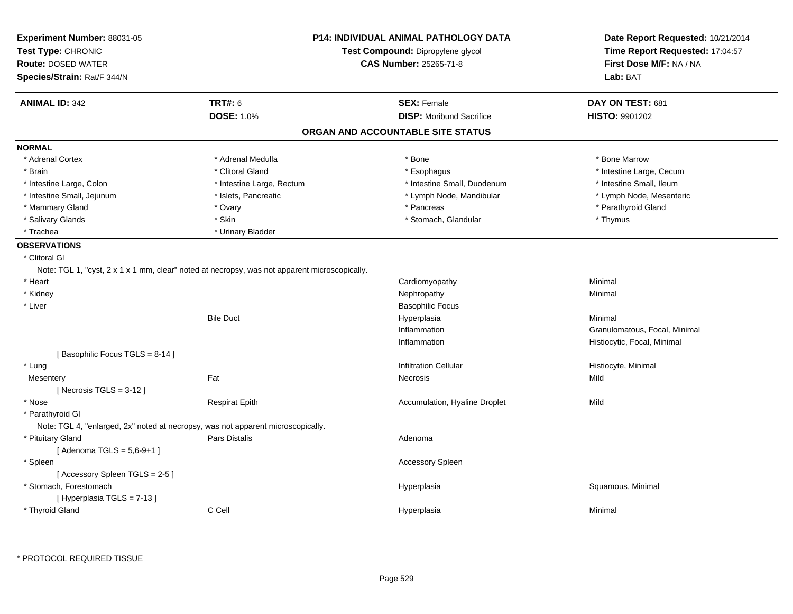| Experiment Number: 88031-05<br>Test Type: CHRONIC<br><b>Route: DOSED WATER</b><br>Species/Strain: Rat/F 344/N |                                                                                               | <b>P14: INDIVIDUAL ANIMAL PATHOLOGY DATA</b><br>Test Compound: Dipropylene glycol<br><b>CAS Number: 25265-71-8</b> | Date Report Requested: 10/21/2014<br>Time Report Requested: 17:04:57<br>First Dose M/F: NA / NA<br>Lab: BAT |
|---------------------------------------------------------------------------------------------------------------|-----------------------------------------------------------------------------------------------|--------------------------------------------------------------------------------------------------------------------|-------------------------------------------------------------------------------------------------------------|
| <b>ANIMAL ID: 342</b>                                                                                         | <b>TRT#: 6</b>                                                                                | <b>SEX: Female</b>                                                                                                 | DAY ON TEST: 681                                                                                            |
|                                                                                                               | <b>DOSE: 1.0%</b>                                                                             | <b>DISP:</b> Moribund Sacrifice                                                                                    | <b>HISTO: 9901202</b>                                                                                       |
|                                                                                                               |                                                                                               | ORGAN AND ACCOUNTABLE SITE STATUS                                                                                  |                                                                                                             |
| <b>NORMAL</b>                                                                                                 |                                                                                               |                                                                                                                    |                                                                                                             |
| * Adrenal Cortex                                                                                              | * Adrenal Medulla                                                                             | * Bone                                                                                                             | * Bone Marrow                                                                                               |
| * Brain                                                                                                       | * Clitoral Gland                                                                              | * Esophagus                                                                                                        | * Intestine Large, Cecum                                                                                    |
| * Intestine Large, Colon                                                                                      | * Intestine Large, Rectum                                                                     | * Intestine Small, Duodenum                                                                                        | * Intestine Small, Ileum                                                                                    |
| * Intestine Small, Jejunum                                                                                    | * Islets, Pancreatic                                                                          | * Lymph Node, Mandibular                                                                                           | * Lymph Node, Mesenteric                                                                                    |
| * Mammary Gland                                                                                               | * Ovary                                                                                       | * Pancreas                                                                                                         | * Parathyroid Gland                                                                                         |
| * Salivary Glands                                                                                             | * Skin                                                                                        | * Stomach, Glandular                                                                                               | * Thymus                                                                                                    |
| * Trachea                                                                                                     | * Urinary Bladder                                                                             |                                                                                                                    |                                                                                                             |
| <b>OBSERVATIONS</b>                                                                                           |                                                                                               |                                                                                                                    |                                                                                                             |
| * Clitoral Gl                                                                                                 | Note: TGL 1, "cyst, 2 x 1 x 1 mm, clear" noted at necropsy, was not apparent microscopically. |                                                                                                                    |                                                                                                             |
| * Heart                                                                                                       |                                                                                               | Cardiomyopathy                                                                                                     | Minimal                                                                                                     |
| * Kidney                                                                                                      |                                                                                               | Nephropathy                                                                                                        | Minimal                                                                                                     |
| * Liver                                                                                                       |                                                                                               | <b>Basophilic Focus</b>                                                                                            |                                                                                                             |
|                                                                                                               | <b>Bile Duct</b>                                                                              | Hyperplasia                                                                                                        | Minimal                                                                                                     |
|                                                                                                               |                                                                                               | Inflammation                                                                                                       | Granulomatous, Focal, Minimal                                                                               |
|                                                                                                               |                                                                                               | Inflammation                                                                                                       | Histiocytic, Focal, Minimal                                                                                 |
| [Basophilic Focus TGLS = 8-14]                                                                                |                                                                                               |                                                                                                                    |                                                                                                             |
| * Lung                                                                                                        |                                                                                               | <b>Infiltration Cellular</b>                                                                                       | Histiocyte, Minimal                                                                                         |
| Mesentery                                                                                                     | Fat                                                                                           | Necrosis                                                                                                           | Mild                                                                                                        |
| [ Necrosis TGLS = $3-12$ ]                                                                                    |                                                                                               |                                                                                                                    |                                                                                                             |
| * Nose                                                                                                        | <b>Respirat Epith</b>                                                                         | Accumulation, Hyaline Droplet                                                                                      | Mild                                                                                                        |
| * Parathyroid Gl                                                                                              | Note: TGL 4, "enlarged, 2x" noted at necropsy, was not apparent microscopically.              |                                                                                                                    |                                                                                                             |
| * Pituitary Gland                                                                                             | <b>Pars Distalis</b>                                                                          | Adenoma                                                                                                            |                                                                                                             |
| [Adenoma TGLS = $5,6-9+1$ ]                                                                                   |                                                                                               |                                                                                                                    |                                                                                                             |
| * Spleen                                                                                                      |                                                                                               | <b>Accessory Spleen</b>                                                                                            |                                                                                                             |
| [Accessory Spleen TGLS = 2-5]                                                                                 |                                                                                               |                                                                                                                    |                                                                                                             |
| * Stomach, Forestomach                                                                                        |                                                                                               | Hyperplasia                                                                                                        | Squamous, Minimal                                                                                           |
| [Hyperplasia TGLS = 7-13]                                                                                     |                                                                                               |                                                                                                                    |                                                                                                             |
| * Thyroid Gland                                                                                               | C Cell                                                                                        | Hyperplasia                                                                                                        | Minimal                                                                                                     |
|                                                                                                               |                                                                                               |                                                                                                                    |                                                                                                             |

\* PROTOCOL REQUIRED TISSUE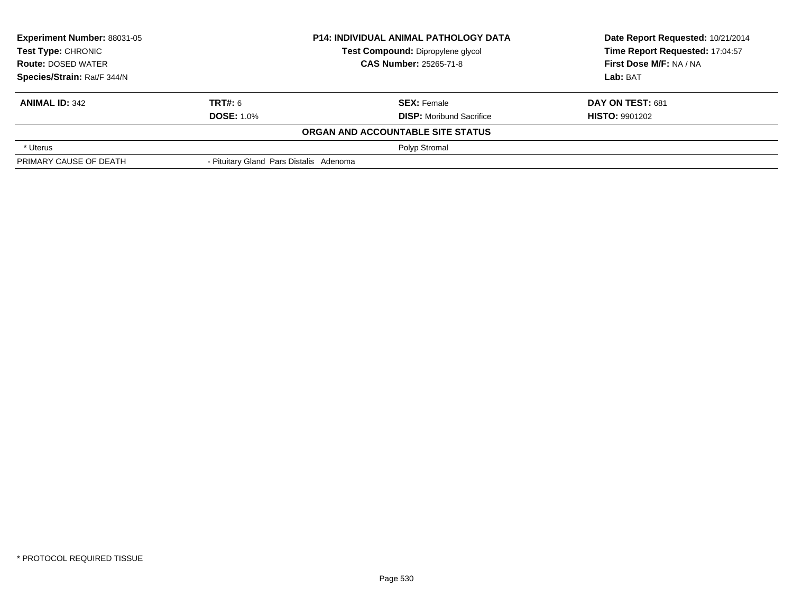| <b>Experiment Number: 88031-05</b><br><b>Test Type: CHRONIC</b> |                                         | <b>P14: INDIVIDUAL ANIMAL PATHOLOGY DATA</b> | Date Report Requested: 10/21/2014 |  |
|-----------------------------------------------------------------|-----------------------------------------|----------------------------------------------|-----------------------------------|--|
|                                                                 |                                         | Test Compound: Dipropylene glycol            | Time Report Requested: 17:04:57   |  |
| <b>Route: DOSED WATER</b>                                       |                                         | <b>CAS Number: 25265-71-8</b>                | First Dose M/F: NA / NA           |  |
| Species/Strain: Rat/F 344/N                                     |                                         |                                              | Lab: BAT                          |  |
| <b>ANIMAL ID: 342</b>                                           | TRT#: 6                                 | <b>SEX: Female</b>                           | DAY ON TEST: 681                  |  |
|                                                                 | <b>DOSE: 1.0%</b>                       | <b>DISP:</b> Moribund Sacrifice              | <b>HISTO: 9901202</b>             |  |
|                                                                 |                                         | ORGAN AND ACCOUNTABLE SITE STATUS            |                                   |  |
| * Uterus                                                        |                                         | Polyp Stromal                                |                                   |  |
| PRIMARY CAUSE OF DEATH                                          | - Pituitary Gland Pars Distalis Adenoma |                                              |                                   |  |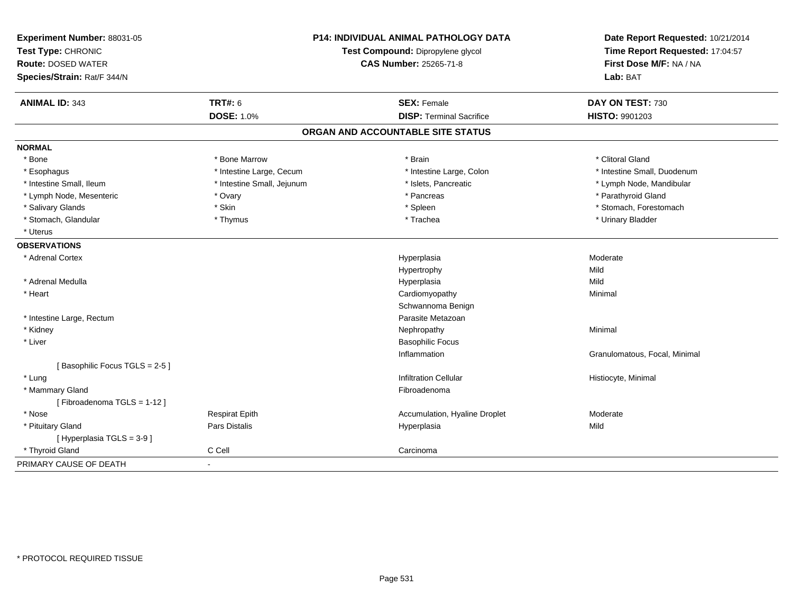| Experiment Number: 88031-05<br>Test Type: CHRONIC<br><b>Route: DOSED WATER</b><br>Species/Strain: Rat/F 344/N | P14: INDIVIDUAL ANIMAL PATHOLOGY DATA<br>Test Compound: Dipropylene glycol<br><b>CAS Number: 25265-71-8</b> |                                   | Date Report Requested: 10/21/2014<br>Time Report Requested: 17:04:57<br>First Dose M/F: NA / NA<br>Lab: BAT |  |
|---------------------------------------------------------------------------------------------------------------|-------------------------------------------------------------------------------------------------------------|-----------------------------------|-------------------------------------------------------------------------------------------------------------|--|
| <b>ANIMAL ID: 343</b>                                                                                         | <b>TRT#: 6</b>                                                                                              | <b>SEX: Female</b>                | DAY ON TEST: 730                                                                                            |  |
|                                                                                                               | <b>DOSE: 1.0%</b>                                                                                           | <b>DISP: Terminal Sacrifice</b>   | <b>HISTO: 9901203</b>                                                                                       |  |
|                                                                                                               |                                                                                                             | ORGAN AND ACCOUNTABLE SITE STATUS |                                                                                                             |  |
| <b>NORMAL</b>                                                                                                 |                                                                                                             |                                   |                                                                                                             |  |
| * Bone                                                                                                        | * Bone Marrow                                                                                               | * Brain                           | * Clitoral Gland                                                                                            |  |
| * Esophagus                                                                                                   | * Intestine Large, Cecum                                                                                    | * Intestine Large, Colon          | * Intestine Small, Duodenum                                                                                 |  |
| * Intestine Small, Ileum                                                                                      | * Intestine Small, Jejunum                                                                                  | * Islets, Pancreatic              | * Lymph Node, Mandibular                                                                                    |  |
| * Lymph Node, Mesenteric                                                                                      | * Ovary                                                                                                     | * Pancreas                        | * Parathyroid Gland                                                                                         |  |
| * Salivary Glands                                                                                             | * Skin                                                                                                      | * Spleen                          | * Stomach, Forestomach                                                                                      |  |
| * Stomach, Glandular                                                                                          | * Thymus                                                                                                    | * Trachea                         | * Urinary Bladder                                                                                           |  |
| * Uterus                                                                                                      |                                                                                                             |                                   |                                                                                                             |  |
| <b>OBSERVATIONS</b>                                                                                           |                                                                                                             |                                   |                                                                                                             |  |
| * Adrenal Cortex                                                                                              |                                                                                                             | Hyperplasia                       | Moderate                                                                                                    |  |
|                                                                                                               |                                                                                                             | Hypertrophy                       | Mild                                                                                                        |  |
| * Adrenal Medulla                                                                                             |                                                                                                             | Hyperplasia                       | Mild                                                                                                        |  |
| * Heart                                                                                                       |                                                                                                             | Cardiomyopathy                    | Minimal                                                                                                     |  |
|                                                                                                               |                                                                                                             | Schwannoma Benign                 |                                                                                                             |  |
| * Intestine Large, Rectum                                                                                     |                                                                                                             | Parasite Metazoan                 |                                                                                                             |  |
| * Kidney                                                                                                      |                                                                                                             | Nephropathy                       | Minimal                                                                                                     |  |
| * Liver                                                                                                       |                                                                                                             | <b>Basophilic Focus</b>           |                                                                                                             |  |
|                                                                                                               |                                                                                                             | Inflammation                      | Granulomatous, Focal, Minimal                                                                               |  |
| [Basophilic Focus TGLS = 2-5]                                                                                 |                                                                                                             |                                   |                                                                                                             |  |
| * Lung                                                                                                        |                                                                                                             | <b>Infiltration Cellular</b>      | Histiocyte, Minimal                                                                                         |  |
| * Mammary Gland                                                                                               |                                                                                                             | Fibroadenoma                      |                                                                                                             |  |
| [Fibroadenoma TGLS = 1-12]                                                                                    |                                                                                                             |                                   |                                                                                                             |  |
| * Nose                                                                                                        | <b>Respirat Epith</b>                                                                                       | Accumulation, Hyaline Droplet     | Moderate                                                                                                    |  |
| * Pituitary Gland                                                                                             | Pars Distalis                                                                                               | Hyperplasia                       | Mild                                                                                                        |  |
| [Hyperplasia TGLS = 3-9]                                                                                      |                                                                                                             |                                   |                                                                                                             |  |
| * Thyroid Gland                                                                                               | C Cell                                                                                                      | Carcinoma                         |                                                                                                             |  |
| PRIMARY CAUSE OF DEATH                                                                                        | $\blacksquare$                                                                                              |                                   |                                                                                                             |  |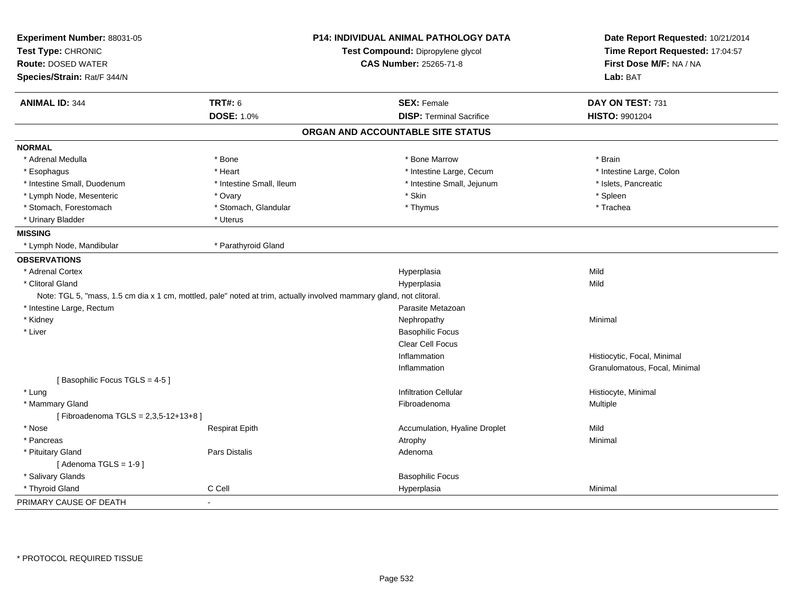| Experiment Number: 88031-05<br>Test Type: CHRONIC                                                                   |                          | <b>P14: INDIVIDUAL ANIMAL PATHOLOGY DATA</b> | Date Report Requested: 10/21/2014<br>Time Report Requested: 17:04:57 |
|---------------------------------------------------------------------------------------------------------------------|--------------------------|----------------------------------------------|----------------------------------------------------------------------|
|                                                                                                                     |                          | Test Compound: Dipropylene glycol            |                                                                      |
| <b>Route: DOSED WATER</b>                                                                                           |                          | <b>CAS Number: 25265-71-8</b>                | First Dose M/F: NA / NA                                              |
| Species/Strain: Rat/F 344/N                                                                                         |                          |                                              | Lab: BAT                                                             |
| <b>ANIMAL ID: 344</b>                                                                                               | <b>TRT#: 6</b>           | <b>SEX: Female</b>                           | DAY ON TEST: 731                                                     |
|                                                                                                                     | <b>DOSE: 1.0%</b>        | <b>DISP: Terminal Sacrifice</b>              | <b>HISTO: 9901204</b>                                                |
|                                                                                                                     |                          | ORGAN AND ACCOUNTABLE SITE STATUS            |                                                                      |
| <b>NORMAL</b>                                                                                                       |                          |                                              |                                                                      |
| * Adrenal Medulla                                                                                                   | * Bone                   | * Bone Marrow                                | * Brain                                                              |
| * Esophagus                                                                                                         | * Heart                  | * Intestine Large, Cecum                     | * Intestine Large, Colon                                             |
| * Intestine Small, Duodenum                                                                                         | * Intestine Small, Ileum | * Intestine Small, Jejunum                   | * Islets, Pancreatic                                                 |
| * Lymph Node, Mesenteric                                                                                            | * Ovary                  | * Skin                                       | * Spleen                                                             |
| * Stomach, Forestomach                                                                                              | * Stomach, Glandular     | * Thymus                                     | * Trachea                                                            |
| * Urinary Bladder                                                                                                   | * Uterus                 |                                              |                                                                      |
| <b>MISSING</b>                                                                                                      |                          |                                              |                                                                      |
| * Lymph Node, Mandibular                                                                                            | * Parathyroid Gland      |                                              |                                                                      |
| <b>OBSERVATIONS</b>                                                                                                 |                          |                                              |                                                                      |
| * Adrenal Cortex                                                                                                    |                          | Hyperplasia                                  | Mild                                                                 |
| * Clitoral Gland                                                                                                    |                          | Hyperplasia                                  | Mild                                                                 |
| Note: TGL 5, "mass, 1.5 cm dia x 1 cm, mottled, pale" noted at trim, actually involved mammary gland, not clitoral. |                          |                                              |                                                                      |
| * Intestine Large, Rectum                                                                                           |                          | Parasite Metazoan                            |                                                                      |
| * Kidney                                                                                                            |                          | Nephropathy                                  | Minimal                                                              |
| * Liver                                                                                                             |                          | <b>Basophilic Focus</b>                      |                                                                      |
|                                                                                                                     |                          | Clear Cell Focus                             |                                                                      |
|                                                                                                                     |                          | Inflammation                                 | Histiocytic, Focal, Minimal                                          |
|                                                                                                                     |                          | Inflammation                                 | Granulomatous, Focal, Minimal                                        |
| [Basophilic Focus TGLS = 4-5]                                                                                       |                          |                                              |                                                                      |
| * Lung                                                                                                              |                          | <b>Infiltration Cellular</b>                 | Histiocyte, Minimal                                                  |
| * Mammary Gland                                                                                                     |                          | Fibroadenoma                                 | Multiple                                                             |
| [Fibroadenoma TGLS = 2,3,5-12+13+8]                                                                                 |                          |                                              |                                                                      |
| * Nose                                                                                                              | <b>Respirat Epith</b>    | Accumulation, Hyaline Droplet                | Mild                                                                 |
| * Pancreas                                                                                                          |                          | Atrophy                                      | Minimal                                                              |
| * Pituitary Gland                                                                                                   | Pars Distalis            | Adenoma                                      |                                                                      |
| [Adenoma TGLS = $1-9$ ]                                                                                             |                          |                                              |                                                                      |
| * Salivary Glands                                                                                                   |                          | <b>Basophilic Focus</b>                      |                                                                      |
| * Thyroid Gland                                                                                                     | C Cell                   | Hyperplasia                                  | Minimal                                                              |
| PRIMARY CAUSE OF DEATH                                                                                              | $\blacksquare$           |                                              |                                                                      |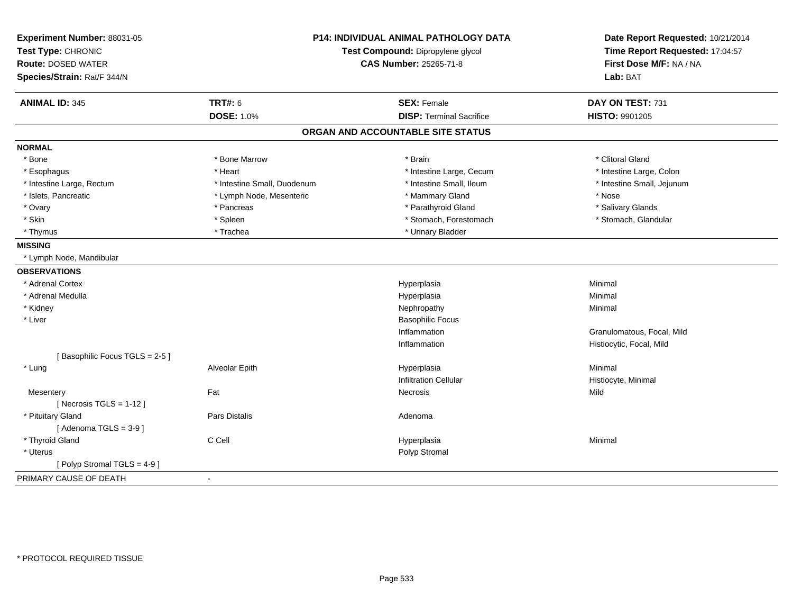| Experiment Number: 88031-05<br>Test Type: CHRONIC<br><b>Route: DOSED WATER</b><br>Species/Strain: Rat/F 344/N | P14: INDIVIDUAL ANIMAL PATHOLOGY DATA<br>Test Compound: Dipropylene glycol<br><b>CAS Number: 25265-71-8</b> |                                   | Date Report Requested: 10/21/2014<br>Time Report Requested: 17:04:57<br>First Dose M/F: NA / NA<br>Lab: BAT |
|---------------------------------------------------------------------------------------------------------------|-------------------------------------------------------------------------------------------------------------|-----------------------------------|-------------------------------------------------------------------------------------------------------------|
| <b>ANIMAL ID: 345</b>                                                                                         | <b>TRT#: 6</b>                                                                                              | <b>SEX: Female</b>                | DAY ON TEST: 731                                                                                            |
|                                                                                                               | <b>DOSE: 1.0%</b>                                                                                           | <b>DISP: Terminal Sacrifice</b>   | <b>HISTO: 9901205</b>                                                                                       |
|                                                                                                               |                                                                                                             | ORGAN AND ACCOUNTABLE SITE STATUS |                                                                                                             |
| <b>NORMAL</b>                                                                                                 |                                                                                                             |                                   |                                                                                                             |
| * Bone                                                                                                        | * Bone Marrow                                                                                               | * Brain                           | * Clitoral Gland                                                                                            |
| * Esophagus                                                                                                   | * Heart                                                                                                     | * Intestine Large, Cecum          | * Intestine Large, Colon                                                                                    |
| * Intestine Large, Rectum                                                                                     | * Intestine Small, Duodenum                                                                                 | * Intestine Small, Ileum          | * Intestine Small, Jejunum                                                                                  |
| * Islets, Pancreatic                                                                                          | * Lymph Node, Mesenteric                                                                                    | * Mammary Gland                   | * Nose                                                                                                      |
| * Ovary                                                                                                       | * Pancreas                                                                                                  | * Parathyroid Gland               | * Salivary Glands                                                                                           |
| * Skin                                                                                                        | * Spleen                                                                                                    | * Stomach, Forestomach            | * Stomach, Glandular                                                                                        |
| * Thymus                                                                                                      | * Trachea                                                                                                   | * Urinary Bladder                 |                                                                                                             |
| <b>MISSING</b>                                                                                                |                                                                                                             |                                   |                                                                                                             |
| * Lymph Node, Mandibular                                                                                      |                                                                                                             |                                   |                                                                                                             |
| <b>OBSERVATIONS</b>                                                                                           |                                                                                                             |                                   |                                                                                                             |
| * Adrenal Cortex                                                                                              |                                                                                                             | Hyperplasia                       | Minimal                                                                                                     |
| * Adrenal Medulla                                                                                             |                                                                                                             | Hyperplasia                       | Minimal                                                                                                     |
| * Kidney                                                                                                      |                                                                                                             | Nephropathy                       | Minimal                                                                                                     |
| * Liver                                                                                                       |                                                                                                             | <b>Basophilic Focus</b>           |                                                                                                             |
|                                                                                                               |                                                                                                             | Inflammation                      | Granulomatous, Focal, Mild                                                                                  |
|                                                                                                               |                                                                                                             | Inflammation                      | Histiocytic, Focal, Mild                                                                                    |
| [Basophilic Focus TGLS = 2-5]                                                                                 |                                                                                                             |                                   |                                                                                                             |
| * Lung                                                                                                        | Alveolar Epith                                                                                              | Hyperplasia                       | Minimal                                                                                                     |
|                                                                                                               |                                                                                                             | <b>Infiltration Cellular</b>      | Histiocyte, Minimal                                                                                         |
| Mesentery                                                                                                     | Fat                                                                                                         | Necrosis                          | Mild                                                                                                        |
| [Necrosis $TGLS = 1-12$ ]                                                                                     |                                                                                                             |                                   |                                                                                                             |
| * Pituitary Gland                                                                                             | Pars Distalis                                                                                               | Adenoma                           |                                                                                                             |
| [Adenoma TGLS = 3-9]                                                                                          |                                                                                                             |                                   |                                                                                                             |
| * Thyroid Gland                                                                                               | C Cell                                                                                                      | Hyperplasia                       | Minimal                                                                                                     |
| * Uterus                                                                                                      |                                                                                                             | Polyp Stromal                     |                                                                                                             |
| [Polyp Stromal TGLS = 4-9]                                                                                    |                                                                                                             |                                   |                                                                                                             |
| PRIMARY CAUSE OF DEATH                                                                                        | $\overline{\phantom{a}}$                                                                                    |                                   |                                                                                                             |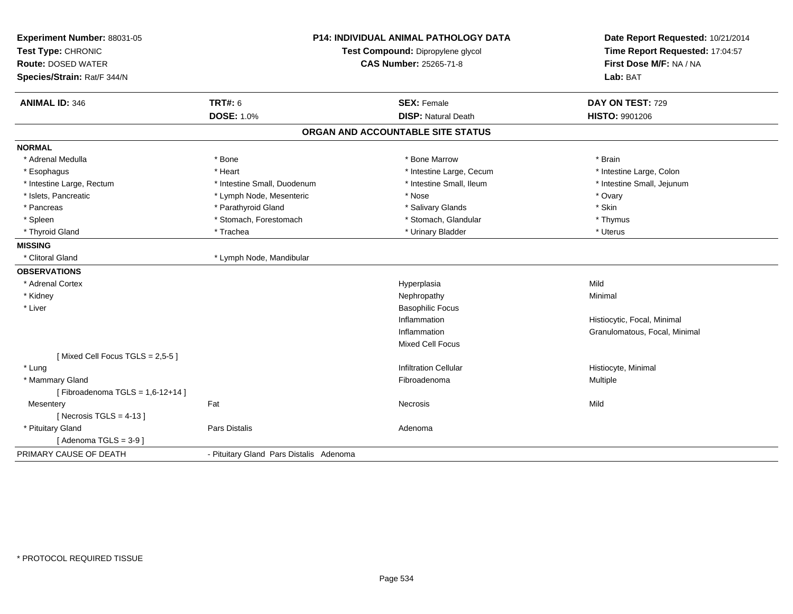| Experiment Number: 88031-05        | <b>P14: INDIVIDUAL ANIMAL PATHOLOGY DATA</b> |                                   | Date Report Requested: 10/21/2014 |  |
|------------------------------------|----------------------------------------------|-----------------------------------|-----------------------------------|--|
| Test Type: CHRONIC                 |                                              | Test Compound: Dipropylene glycol | Time Report Requested: 17:04:57   |  |
| <b>Route: DOSED WATER</b>          |                                              | CAS Number: 25265-71-8            | First Dose M/F: NA / NA           |  |
| Species/Strain: Rat/F 344/N        |                                              |                                   | Lab: BAT                          |  |
| <b>ANIMAL ID: 346</b>              | <b>TRT#: 6</b>                               | <b>SEX: Female</b>                | DAY ON TEST: 729                  |  |
|                                    | <b>DOSE: 1.0%</b>                            | <b>DISP: Natural Death</b>        | <b>HISTO: 9901206</b>             |  |
|                                    |                                              | ORGAN AND ACCOUNTABLE SITE STATUS |                                   |  |
| <b>NORMAL</b>                      |                                              |                                   |                                   |  |
| * Adrenal Medulla                  | * Bone                                       | * Bone Marrow                     | * Brain                           |  |
| * Esophagus                        | * Heart                                      | * Intestine Large, Cecum          | * Intestine Large, Colon          |  |
| * Intestine Large, Rectum          | * Intestine Small, Duodenum                  | * Intestine Small, Ileum          | * Intestine Small, Jejunum        |  |
| * Islets, Pancreatic               | * Lymph Node, Mesenteric                     | * Nose                            | * Ovary                           |  |
| * Pancreas                         | * Parathyroid Gland                          | * Salivary Glands                 | * Skin                            |  |
| * Spleen                           | * Stomach, Forestomach                       | * Stomach, Glandular              | * Thymus                          |  |
| * Thyroid Gland                    | * Trachea                                    | * Urinary Bladder                 | * Uterus                          |  |
| <b>MISSING</b>                     |                                              |                                   |                                   |  |
| * Clitoral Gland                   | * Lymph Node, Mandibular                     |                                   |                                   |  |
| <b>OBSERVATIONS</b>                |                                              |                                   |                                   |  |
| * Adrenal Cortex                   |                                              | Hyperplasia                       | Mild                              |  |
| * Kidney                           |                                              | Nephropathy                       | Minimal                           |  |
| * Liver                            |                                              | <b>Basophilic Focus</b>           |                                   |  |
|                                    |                                              | Inflammation                      | Histiocytic, Focal, Minimal       |  |
|                                    |                                              | Inflammation                      | Granulomatous, Focal, Minimal     |  |
|                                    |                                              | Mixed Cell Focus                  |                                   |  |
| [Mixed Cell Focus TGLS = 2,5-5]    |                                              |                                   |                                   |  |
| * Lung                             |                                              | <b>Infiltration Cellular</b>      | Histiocyte, Minimal               |  |
| * Mammary Gland                    |                                              | Fibroadenoma                      | Multiple                          |  |
| [Fibroadenoma TGLS = $1,6-12+14$ ] |                                              |                                   |                                   |  |
| Fat<br>Mesentery                   |                                              | <b>Necrosis</b>                   | Mild                              |  |
| [Necrosis TGLS = $4-13$ ]          |                                              |                                   |                                   |  |
| * Pituitary Gland                  | Pars Distalis                                | Adenoma                           |                                   |  |
| [Adenoma TGLS = $3-9$ ]            |                                              |                                   |                                   |  |
| PRIMARY CAUSE OF DEATH             | - Pituitary Gland Pars Distalis Adenoma      |                                   |                                   |  |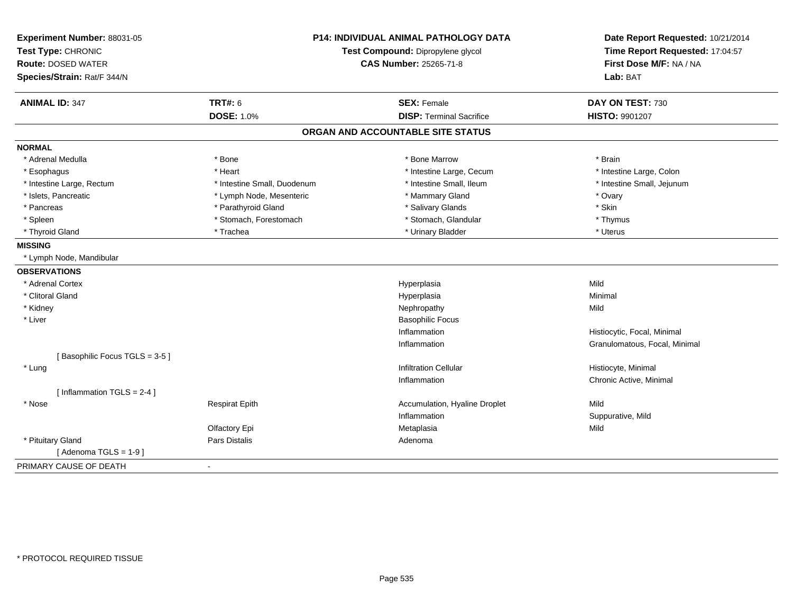| Experiment Number: 88031-05<br>Test Type: CHRONIC<br><b>Route: DOSED WATER</b><br>Species/Strain: Rat/F 344/N |                             | <b>P14: INDIVIDUAL ANIMAL PATHOLOGY DATA</b><br>Test Compound: Dipropylene glycol<br><b>CAS Number: 25265-71-8</b> | Date Report Requested: 10/21/2014<br>Time Report Requested: 17:04:57<br>First Dose M/F: NA / NA<br>Lab: BAT |
|---------------------------------------------------------------------------------------------------------------|-----------------------------|--------------------------------------------------------------------------------------------------------------------|-------------------------------------------------------------------------------------------------------------|
| <b>ANIMAL ID: 347</b>                                                                                         | <b>TRT#: 6</b>              | <b>SEX: Female</b>                                                                                                 | DAY ON TEST: 730                                                                                            |
|                                                                                                               | DOSE: 1.0%                  | <b>DISP: Terminal Sacrifice</b>                                                                                    | <b>HISTO: 9901207</b>                                                                                       |
|                                                                                                               |                             | ORGAN AND ACCOUNTABLE SITE STATUS                                                                                  |                                                                                                             |
| <b>NORMAL</b>                                                                                                 |                             |                                                                                                                    |                                                                                                             |
| * Adrenal Medulla                                                                                             | * Bone                      | * Bone Marrow                                                                                                      | * Brain                                                                                                     |
| * Esophagus                                                                                                   | * Heart                     | * Intestine Large, Cecum                                                                                           | * Intestine Large, Colon                                                                                    |
| * Intestine Large, Rectum                                                                                     | * Intestine Small, Duodenum | * Intestine Small, Ileum                                                                                           | * Intestine Small, Jejunum                                                                                  |
| * Islets, Pancreatic                                                                                          | * Lymph Node, Mesenteric    | * Mammary Gland                                                                                                    | * Ovary                                                                                                     |
| * Pancreas                                                                                                    | * Parathyroid Gland         | * Salivary Glands                                                                                                  | * Skin                                                                                                      |
| * Spleen                                                                                                      | * Stomach, Forestomach      | * Stomach, Glandular                                                                                               | * Thymus                                                                                                    |
| * Thyroid Gland                                                                                               | * Trachea                   | * Urinary Bladder                                                                                                  | * Uterus                                                                                                    |
| <b>MISSING</b>                                                                                                |                             |                                                                                                                    |                                                                                                             |
| * Lymph Node, Mandibular                                                                                      |                             |                                                                                                                    |                                                                                                             |
| <b>OBSERVATIONS</b>                                                                                           |                             |                                                                                                                    |                                                                                                             |
| * Adrenal Cortex                                                                                              |                             | Hyperplasia                                                                                                        | Mild                                                                                                        |
| * Clitoral Gland                                                                                              |                             | Hyperplasia                                                                                                        | Minimal                                                                                                     |
| * Kidney                                                                                                      |                             | Nephropathy                                                                                                        | Mild                                                                                                        |
| * Liver                                                                                                       |                             | <b>Basophilic Focus</b>                                                                                            |                                                                                                             |
|                                                                                                               |                             | Inflammation                                                                                                       | Histiocytic, Focal, Minimal                                                                                 |
|                                                                                                               |                             | Inflammation                                                                                                       | Granulomatous, Focal, Minimal                                                                               |
| [Basophilic Focus TGLS = 3-5]                                                                                 |                             |                                                                                                                    |                                                                                                             |
| * Lung                                                                                                        |                             | <b>Infiltration Cellular</b>                                                                                       | Histiocyte, Minimal                                                                                         |
|                                                                                                               |                             | Inflammation                                                                                                       | Chronic Active, Minimal                                                                                     |
| [Inflammation TGLS = $2-4$ ]                                                                                  |                             |                                                                                                                    |                                                                                                             |
| * Nose                                                                                                        | <b>Respirat Epith</b>       | Accumulation, Hyaline Droplet                                                                                      | Mild                                                                                                        |
|                                                                                                               |                             | Inflammation                                                                                                       | Suppurative, Mild                                                                                           |
|                                                                                                               | Olfactory Epi               | Metaplasia                                                                                                         | Mild                                                                                                        |
| * Pituitary Gland                                                                                             | Pars Distalis               | Adenoma                                                                                                            |                                                                                                             |
| [Adenoma TGLS = 1-9]                                                                                          |                             |                                                                                                                    |                                                                                                             |
| PRIMARY CAUSE OF DEATH                                                                                        | $\sim$                      |                                                                                                                    |                                                                                                             |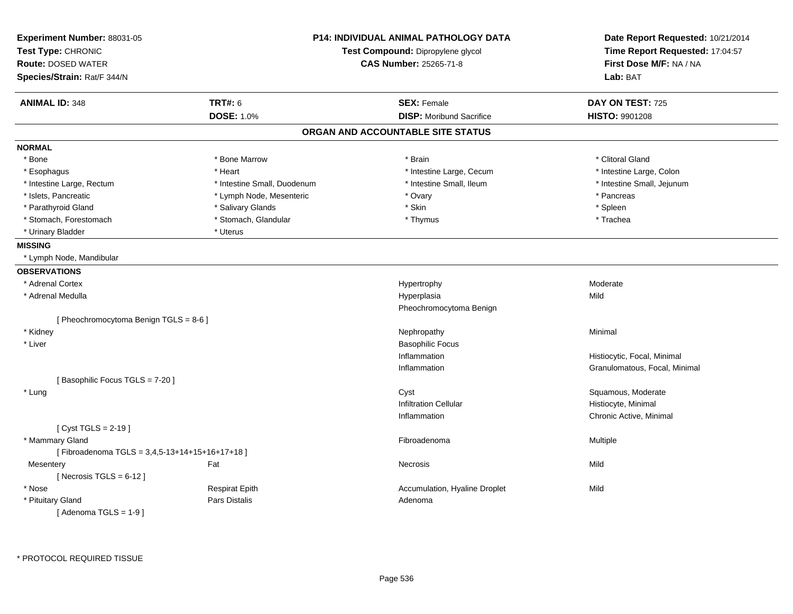| Experiment Number: 88031-05<br>Test Type: CHRONIC<br><b>Route: DOSED WATER</b><br>Species/Strain: Rat/F 344/N |                             | <b>P14: INDIVIDUAL ANIMAL PATHOLOGY DATA</b><br>Test Compound: Dipropylene glycol<br><b>CAS Number: 25265-71-8</b> | Date Report Requested: 10/21/2014<br>Time Report Requested: 17:04:57<br>First Dose M/F: NA / NA<br>Lab: BAT |
|---------------------------------------------------------------------------------------------------------------|-----------------------------|--------------------------------------------------------------------------------------------------------------------|-------------------------------------------------------------------------------------------------------------|
| <b>ANIMAL ID: 348</b>                                                                                         | <b>TRT#: 6</b>              | <b>SEX: Female</b>                                                                                                 | DAY ON TEST: 725                                                                                            |
|                                                                                                               | <b>DOSE: 1.0%</b>           | <b>DISP:</b> Moribund Sacrifice                                                                                    | <b>HISTO: 9901208</b>                                                                                       |
|                                                                                                               |                             | ORGAN AND ACCOUNTABLE SITE STATUS                                                                                  |                                                                                                             |
| <b>NORMAL</b>                                                                                                 |                             |                                                                                                                    |                                                                                                             |
| * Bone                                                                                                        | * Bone Marrow               | * Brain                                                                                                            | * Clitoral Gland                                                                                            |
| * Esophagus                                                                                                   | * Heart                     | * Intestine Large, Cecum                                                                                           | * Intestine Large, Colon                                                                                    |
| * Intestine Large, Rectum                                                                                     | * Intestine Small, Duodenum | * Intestine Small, Ileum                                                                                           | * Intestine Small, Jejunum                                                                                  |
| * Islets, Pancreatic                                                                                          | * Lymph Node, Mesenteric    | * Ovary                                                                                                            | * Pancreas                                                                                                  |
| * Parathyroid Gland                                                                                           | * Salivary Glands           | * Skin                                                                                                             | * Spleen                                                                                                    |
| * Stomach, Forestomach                                                                                        | * Stomach, Glandular        | * Thymus                                                                                                           | * Trachea                                                                                                   |
| * Urinary Bladder                                                                                             | * Uterus                    |                                                                                                                    |                                                                                                             |
| <b>MISSING</b>                                                                                                |                             |                                                                                                                    |                                                                                                             |
| * Lymph Node, Mandibular                                                                                      |                             |                                                                                                                    |                                                                                                             |
| <b>OBSERVATIONS</b>                                                                                           |                             |                                                                                                                    |                                                                                                             |
| * Adrenal Cortex                                                                                              |                             | Hypertrophy                                                                                                        | Moderate                                                                                                    |
| * Adrenal Medulla                                                                                             |                             | Hyperplasia                                                                                                        | Mild                                                                                                        |
|                                                                                                               |                             | Pheochromocytoma Benign                                                                                            |                                                                                                             |
| [Pheochromocytoma Benign TGLS = 8-6]                                                                          |                             |                                                                                                                    |                                                                                                             |
| * Kidney                                                                                                      |                             | Nephropathy                                                                                                        | Minimal                                                                                                     |
| * Liver                                                                                                       |                             | <b>Basophilic Focus</b>                                                                                            |                                                                                                             |
|                                                                                                               |                             | Inflammation                                                                                                       | Histiocytic, Focal, Minimal                                                                                 |
|                                                                                                               |                             | Inflammation                                                                                                       | Granulomatous, Focal, Minimal                                                                               |
| [Basophilic Focus TGLS = 7-20]                                                                                |                             |                                                                                                                    |                                                                                                             |
| * Lung                                                                                                        |                             | Cyst                                                                                                               | Squamous, Moderate                                                                                          |
|                                                                                                               |                             | <b>Infiltration Cellular</b>                                                                                       | Histiocyte, Minimal                                                                                         |
|                                                                                                               |                             | Inflammation                                                                                                       | Chronic Active, Minimal                                                                                     |
| [ $Cyst TGLS = 2-19$ ]                                                                                        |                             |                                                                                                                    |                                                                                                             |
| * Mammary Gland                                                                                               |                             | Fibroadenoma                                                                                                       | Multiple                                                                                                    |
| [Fibroadenoma TGLS = 3,4,5-13+14+15+16+17+18]                                                                 |                             |                                                                                                                    |                                                                                                             |
| Mesentery                                                                                                     | Fat                         | Necrosis                                                                                                           | Mild                                                                                                        |
| [Necrosis TGLS = $6-12$ ]                                                                                     |                             |                                                                                                                    |                                                                                                             |
| * Nose                                                                                                        | <b>Respirat Epith</b>       | Accumulation, Hyaline Droplet                                                                                      | Mild                                                                                                        |
| * Pituitary Gland                                                                                             | Pars Distalis               | Adenoma                                                                                                            |                                                                                                             |
| [Adenoma TGLS = $1-9$ ]                                                                                       |                             |                                                                                                                    |                                                                                                             |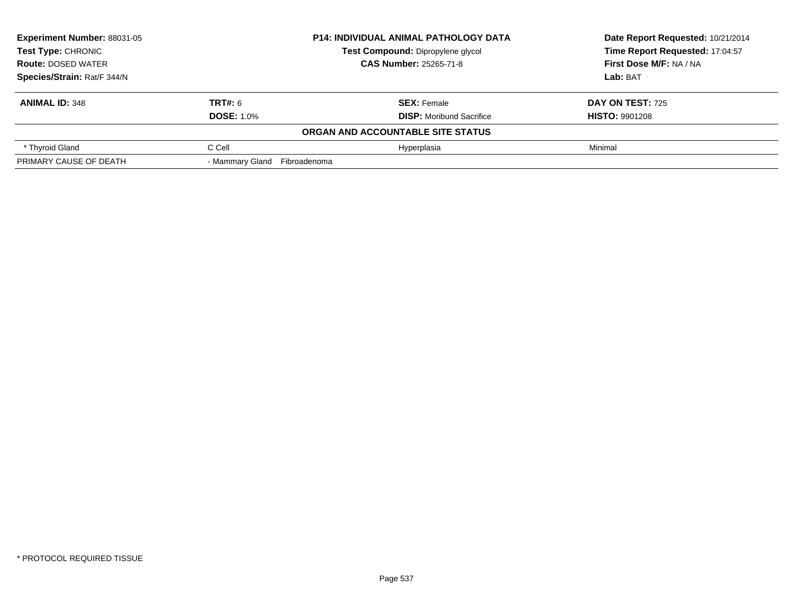| Experiment Number: 88031-05 |                              | <b>P14: INDIVIDUAL ANIMAL PATHOLOGY DATA</b> | Date Report Requested: 10/21/2014 |  |
|-----------------------------|------------------------------|----------------------------------------------|-----------------------------------|--|
| <b>Test Type: CHRONIC</b>   |                              | <b>Test Compound: Dipropylene glycol</b>     | Time Report Requested: 17:04:57   |  |
| <b>Route: DOSED WATER</b>   |                              | <b>CAS Number: 25265-71-8</b>                | First Dose M/F: NA / NA           |  |
| Species/Strain: Rat/F 344/N |                              |                                              | Lab: BAT                          |  |
| <b>ANIMAL ID: 348</b>       | <b>TRT#: 6</b>               | <b>SEX: Female</b>                           | DAY ON TEST: 725                  |  |
|                             | <b>DOSE: 1.0%</b>            | <b>DISP:</b> Moribund Sacrifice              | <b>HISTO: 9901208</b>             |  |
|                             |                              | ORGAN AND ACCOUNTABLE SITE STATUS            |                                   |  |
| * Thyroid Gland             | C Cell                       | Hyperplasia                                  | Minimal                           |  |
| PRIMARY CAUSE OF DEATH      | - Mammary Gland Fibroadenoma |                                              |                                   |  |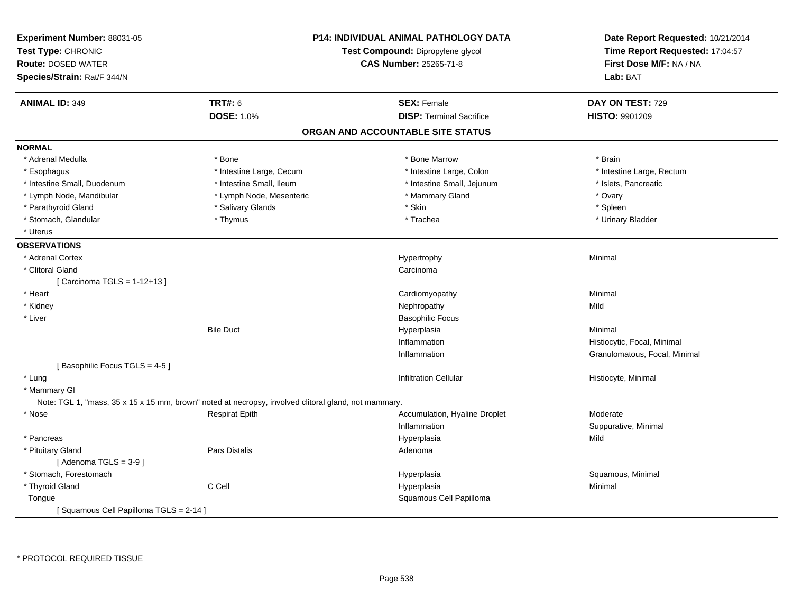| Experiment Number: 88031-05<br>Test Type: CHRONIC<br><b>Route: DOSED WATER</b><br>Species/Strain: Rat/F 344/N | <b>P14: INDIVIDUAL ANIMAL PATHOLOGY DATA</b><br>Test Compound: Dipropylene glycol<br><b>CAS Number: 25265-71-8</b> |                                   | Date Report Requested: 10/21/2014<br>Time Report Requested: 17:04:57<br>First Dose M/F: NA / NA<br>Lab: BAT |
|---------------------------------------------------------------------------------------------------------------|--------------------------------------------------------------------------------------------------------------------|-----------------------------------|-------------------------------------------------------------------------------------------------------------|
| <b>ANIMAL ID: 349</b>                                                                                         | <b>TRT#: 6</b>                                                                                                     | <b>SEX: Female</b>                | DAY ON TEST: 729                                                                                            |
|                                                                                                               | <b>DOSE: 1.0%</b>                                                                                                  | <b>DISP: Terminal Sacrifice</b>   | HISTO: 9901209                                                                                              |
|                                                                                                               |                                                                                                                    | ORGAN AND ACCOUNTABLE SITE STATUS |                                                                                                             |
| <b>NORMAL</b>                                                                                                 |                                                                                                                    |                                   |                                                                                                             |
| * Adrenal Medulla                                                                                             | * Bone                                                                                                             | * Bone Marrow                     | * Brain                                                                                                     |
| * Esophagus                                                                                                   | * Intestine Large, Cecum                                                                                           | * Intestine Large, Colon          | * Intestine Large, Rectum                                                                                   |
| * Intestine Small, Duodenum                                                                                   | * Intestine Small, Ileum                                                                                           | * Intestine Small, Jejunum        | * Islets, Pancreatic                                                                                        |
| * Lymph Node, Mandibular                                                                                      | * Lymph Node, Mesenteric                                                                                           | * Mammary Gland                   | * Ovary                                                                                                     |
| * Parathyroid Gland                                                                                           | * Salivary Glands                                                                                                  | * Skin                            | * Spleen                                                                                                    |
| * Stomach, Glandular                                                                                          | * Thymus                                                                                                           | * Trachea                         | * Urinary Bladder                                                                                           |
| * Uterus                                                                                                      |                                                                                                                    |                                   |                                                                                                             |
| <b>OBSERVATIONS</b>                                                                                           |                                                                                                                    |                                   |                                                                                                             |
| * Adrenal Cortex                                                                                              |                                                                                                                    | Hypertrophy                       | Minimal                                                                                                     |
| * Clitoral Gland                                                                                              |                                                                                                                    | Carcinoma                         |                                                                                                             |
| [ Carcinoma TGLS = 1-12+13 ]                                                                                  |                                                                                                                    |                                   |                                                                                                             |
| * Heart                                                                                                       |                                                                                                                    | Cardiomyopathy                    | Minimal                                                                                                     |
| * Kidney                                                                                                      |                                                                                                                    | Nephropathy                       | Mild                                                                                                        |
| * Liver                                                                                                       |                                                                                                                    | <b>Basophilic Focus</b>           |                                                                                                             |
|                                                                                                               | <b>Bile Duct</b>                                                                                                   | Hyperplasia                       | Minimal                                                                                                     |
|                                                                                                               |                                                                                                                    | Inflammation                      | Histiocytic, Focal, Minimal                                                                                 |
|                                                                                                               |                                                                                                                    | Inflammation                      | Granulomatous, Focal, Minimal                                                                               |
| [Basophilic Focus TGLS = 4-5]                                                                                 |                                                                                                                    |                                   |                                                                                                             |
| * Lung                                                                                                        |                                                                                                                    | <b>Infiltration Cellular</b>      | Histiocyte, Minimal                                                                                         |
| * Mammary GI                                                                                                  |                                                                                                                    |                                   |                                                                                                             |
|                                                                                                               | Note: TGL 1, "mass, 35 x 15 x 15 mm, brown" noted at necropsy, involved clitoral gland, not mammary.               |                                   |                                                                                                             |
| * Nose                                                                                                        | <b>Respirat Epith</b>                                                                                              | Accumulation, Hyaline Droplet     | Moderate                                                                                                    |
|                                                                                                               |                                                                                                                    | Inflammation                      | Suppurative, Minimal                                                                                        |
| * Pancreas                                                                                                    |                                                                                                                    | Hyperplasia                       | Mild                                                                                                        |
| * Pituitary Gland                                                                                             | Pars Distalis                                                                                                      | Adenoma                           |                                                                                                             |
| [Adenoma TGLS = $3-9$ ]                                                                                       |                                                                                                                    |                                   |                                                                                                             |
| * Stomach, Forestomach                                                                                        |                                                                                                                    | Hyperplasia                       | Squamous, Minimal                                                                                           |
| * Thyroid Gland                                                                                               | C Cell                                                                                                             | Hyperplasia                       | Minimal                                                                                                     |
| Tongue                                                                                                        |                                                                                                                    | Squamous Cell Papilloma           |                                                                                                             |
| [Squamous Cell Papilloma TGLS = 2-14]                                                                         |                                                                                                                    |                                   |                                                                                                             |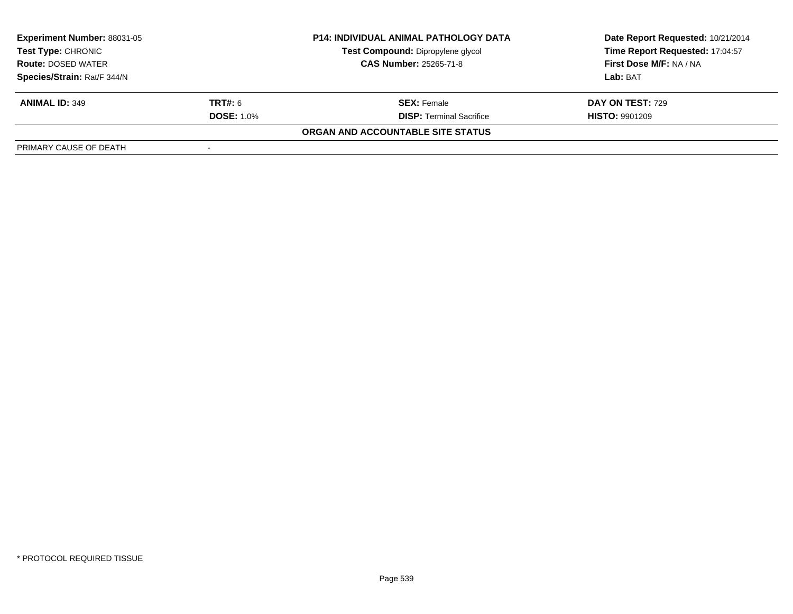| <b>Experiment Number: 88031-05</b><br>Test Type: CHRONIC |                   | <b>P14: INDIVIDUAL ANIMAL PATHOLOGY DATA</b> | Date Report Requested: 10/21/2014 |  |
|----------------------------------------------------------|-------------------|----------------------------------------------|-----------------------------------|--|
|                                                          |                   | Test Compound: Dipropylene glycol            | Time Report Requested: 17:04:57   |  |
| <b>Route: DOSED WATER</b>                                |                   | <b>CAS Number: 25265-71-8</b>                | <b>First Dose M/F: NA / NA</b>    |  |
| Species/Strain: Rat/F 344/N                              |                   |                                              | Lab: BAT                          |  |
| <b>ANIMAL ID: 349</b>                                    | <b>TRT#:</b> 6    | <b>SEX:</b> Female                           | DAY ON TEST: 729                  |  |
|                                                          | <b>DOSE: 1.0%</b> | <b>DISP:</b> Terminal Sacrifice              | <b>HISTO: 9901209</b>             |  |
|                                                          |                   | ORGAN AND ACCOUNTABLE SITE STATUS            |                                   |  |
| PRIMARY CAUSE OF DEATH                                   |                   |                                              |                                   |  |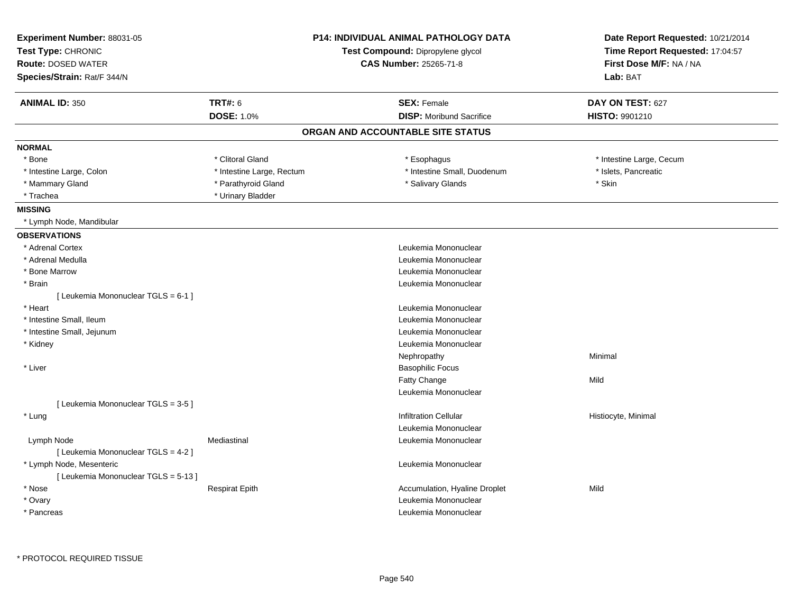| Experiment Number: 88031-05<br>Test Type: CHRONIC<br><b>Route: DOSED WATER</b><br>Species/Strain: Rat/F 344/N | <b>P14: INDIVIDUAL ANIMAL PATHOLOGY DATA</b><br>Test Compound: Dipropylene glycol<br><b>CAS Number: 25265-71-8</b> |                                   | Date Report Requested: 10/21/2014<br>Time Report Requested: 17:04:57<br>First Dose M/F: NA / NA<br>Lab: BAT |  |
|---------------------------------------------------------------------------------------------------------------|--------------------------------------------------------------------------------------------------------------------|-----------------------------------|-------------------------------------------------------------------------------------------------------------|--|
| <b>ANIMAL ID: 350</b>                                                                                         | <b>TRT#: 6</b>                                                                                                     | <b>SEX: Female</b>                | DAY ON TEST: 627                                                                                            |  |
|                                                                                                               | <b>DOSE: 1.0%</b>                                                                                                  | <b>DISP:</b> Moribund Sacrifice   | HISTO: 9901210                                                                                              |  |
|                                                                                                               |                                                                                                                    | ORGAN AND ACCOUNTABLE SITE STATUS |                                                                                                             |  |
| <b>NORMAL</b>                                                                                                 |                                                                                                                    |                                   |                                                                                                             |  |
| * Bone                                                                                                        | * Clitoral Gland                                                                                                   | * Esophagus                       | * Intestine Large, Cecum                                                                                    |  |
| * Intestine Large, Colon                                                                                      | * Intestine Large, Rectum                                                                                          | * Intestine Small, Duodenum       | * Islets, Pancreatic                                                                                        |  |
| * Mammary Gland                                                                                               | * Parathyroid Gland                                                                                                | * Salivary Glands                 | * Skin                                                                                                      |  |
| * Trachea                                                                                                     | * Urinary Bladder                                                                                                  |                                   |                                                                                                             |  |
| <b>MISSING</b>                                                                                                |                                                                                                                    |                                   |                                                                                                             |  |
| * Lymph Node, Mandibular                                                                                      |                                                                                                                    |                                   |                                                                                                             |  |
| <b>OBSERVATIONS</b>                                                                                           |                                                                                                                    |                                   |                                                                                                             |  |
| * Adrenal Cortex                                                                                              |                                                                                                                    | Leukemia Mononuclear              |                                                                                                             |  |
| * Adrenal Medulla                                                                                             |                                                                                                                    | Leukemia Mononuclear              |                                                                                                             |  |
| * Bone Marrow                                                                                                 |                                                                                                                    | Leukemia Mononuclear              |                                                                                                             |  |
| * Brain                                                                                                       |                                                                                                                    | Leukemia Mononuclear              |                                                                                                             |  |
| [ Leukemia Mononuclear TGLS = 6-1 ]                                                                           |                                                                                                                    |                                   |                                                                                                             |  |
| * Heart                                                                                                       |                                                                                                                    | Leukemia Mononuclear              |                                                                                                             |  |
| * Intestine Small, Ileum                                                                                      |                                                                                                                    | Leukemia Mononuclear              |                                                                                                             |  |
| * Intestine Small, Jejunum                                                                                    |                                                                                                                    | Leukemia Mononuclear              |                                                                                                             |  |
| * Kidney                                                                                                      |                                                                                                                    | Leukemia Mononuclear              |                                                                                                             |  |
|                                                                                                               |                                                                                                                    | Nephropathy                       | Minimal                                                                                                     |  |
| * Liver                                                                                                       |                                                                                                                    | <b>Basophilic Focus</b>           |                                                                                                             |  |
|                                                                                                               |                                                                                                                    | <b>Fatty Change</b>               | Mild                                                                                                        |  |
|                                                                                                               |                                                                                                                    | Leukemia Mononuclear              |                                                                                                             |  |
| [ Leukemia Mononuclear TGLS = 3-5 ]                                                                           |                                                                                                                    |                                   |                                                                                                             |  |
| * Lung                                                                                                        |                                                                                                                    | <b>Infiltration Cellular</b>      | Histiocyte, Minimal                                                                                         |  |
|                                                                                                               |                                                                                                                    | Leukemia Mononuclear              |                                                                                                             |  |
| Lymph Node                                                                                                    | Mediastinal                                                                                                        | Leukemia Mononuclear              |                                                                                                             |  |
| [ Leukemia Mononuclear TGLS = 4-2 ]                                                                           |                                                                                                                    |                                   |                                                                                                             |  |
| * Lymph Node, Mesenteric                                                                                      |                                                                                                                    | Leukemia Mononuclear              |                                                                                                             |  |
| [ Leukemia Mononuclear TGLS = 5-13 ]                                                                          |                                                                                                                    |                                   |                                                                                                             |  |
| * Nose                                                                                                        | <b>Respirat Epith</b>                                                                                              | Accumulation, Hyaline Droplet     | Mild                                                                                                        |  |
| * Ovary                                                                                                       |                                                                                                                    | Leukemia Mononuclear              |                                                                                                             |  |
| * Pancreas                                                                                                    |                                                                                                                    | Leukemia Mononuclear              |                                                                                                             |  |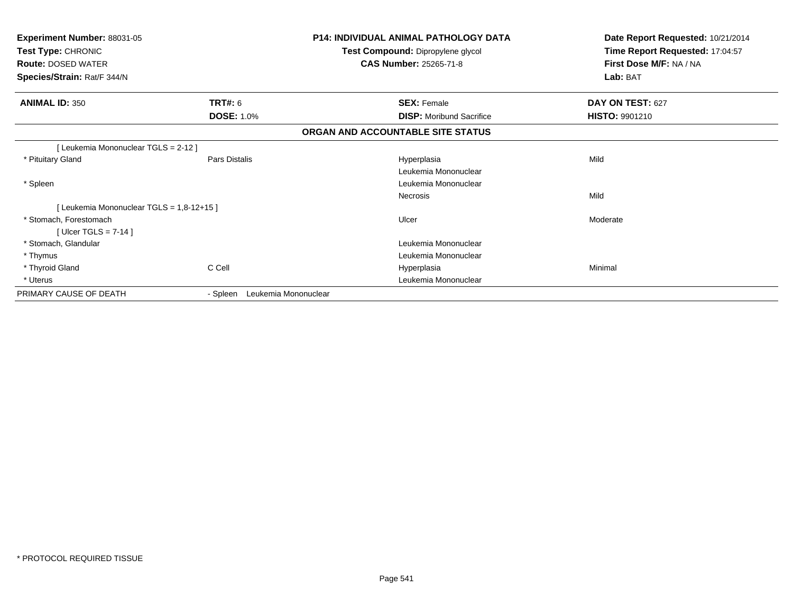| <b>Experiment Number: 88031-05</b><br>Test Type: CHRONIC<br><b>Route: DOSED WATER</b><br>Species/Strain: Rat/F 344/N |                   | <b>P14: INDIVIDUAL ANIMAL PATHOLOGY DATA</b><br>Test Compound: Dipropylene glycol<br><b>CAS Number: 25265-71-8</b> | Date Report Requested: 10/21/2014<br>Time Report Requested: 17:04:57<br>First Dose M/F: NA / NA<br>Lab: BAT |
|----------------------------------------------------------------------------------------------------------------------|-------------------|--------------------------------------------------------------------------------------------------------------------|-------------------------------------------------------------------------------------------------------------|
| <b>ANIMAL ID: 350</b>                                                                                                | <b>TRT#: 6</b>    | <b>SEX: Female</b>                                                                                                 | DAY ON TEST: 627                                                                                            |
|                                                                                                                      | <b>DOSE: 1.0%</b> | <b>DISP:</b> Moribund Sacrifice                                                                                    | HISTO: 9901210                                                                                              |
|                                                                                                                      |                   | ORGAN AND ACCOUNTABLE SITE STATUS                                                                                  |                                                                                                             |
| [ Leukemia Mononuclear TGLS = 2-12 ]                                                                                 |                   |                                                                                                                    |                                                                                                             |
| * Pituitary Gland                                                                                                    | Pars Distalis     | Hyperplasia                                                                                                        | Mild                                                                                                        |
|                                                                                                                      |                   | Leukemia Mononuclear                                                                                               |                                                                                                             |
| * Spleen                                                                                                             |                   | Leukemia Mononuclear                                                                                               |                                                                                                             |
|                                                                                                                      |                   | <b>Necrosis</b>                                                                                                    | Mild                                                                                                        |
| [Leukemia Mononuclear TGLS = 1,8-12+15]                                                                              |                   |                                                                                                                    |                                                                                                             |
| * Stomach, Forestomach                                                                                               |                   | Ulcer                                                                                                              | Moderate                                                                                                    |
| [ Ulcer TGLS = $7-14$ ]                                                                                              |                   |                                                                                                                    |                                                                                                             |
| * Stomach, Glandular                                                                                                 |                   | Leukemia Mononuclear                                                                                               |                                                                                                             |
| * Thymus                                                                                                             |                   | Leukemia Mononuclear                                                                                               |                                                                                                             |
| * Thyroid Gland                                                                                                      | C Cell            | Hyperplasia                                                                                                        | Minimal                                                                                                     |
| * Uterus                                                                                                             |                   | Leukemia Mononuclear                                                                                               |                                                                                                             |
| PRIMARY CAUSE OF DEATH                                                                                               | - Spleen          | Leukemia Mononuclear                                                                                               |                                                                                                             |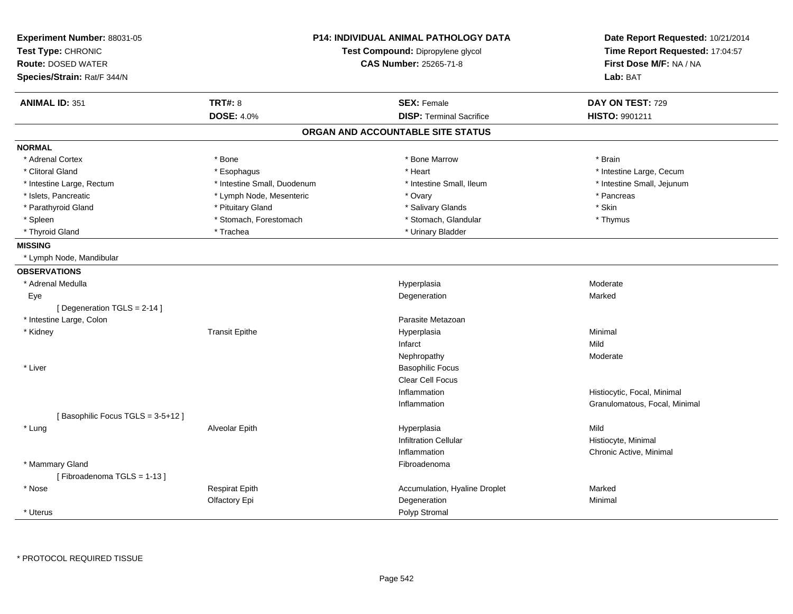| Experiment Number: 88031-05<br>Test Type: CHRONIC<br><b>Route: DOSED WATER</b><br>Species/Strain: Rat/F 344/N |                             | <b>P14: INDIVIDUAL ANIMAL PATHOLOGY DATA</b><br>Test Compound: Dipropylene glycol<br><b>CAS Number: 25265-71-8</b> | Date Report Requested: 10/21/2014<br>Time Report Requested: 17:04:57<br>First Dose M/F: NA / NA<br>Lab: BAT |
|---------------------------------------------------------------------------------------------------------------|-----------------------------|--------------------------------------------------------------------------------------------------------------------|-------------------------------------------------------------------------------------------------------------|
| <b>ANIMAL ID: 351</b>                                                                                         | <b>TRT#: 8</b>              | <b>SEX: Female</b>                                                                                                 | DAY ON TEST: 729                                                                                            |
|                                                                                                               | <b>DOSE: 4.0%</b>           | <b>DISP: Terminal Sacrifice</b>                                                                                    | HISTO: 9901211                                                                                              |
|                                                                                                               |                             | ORGAN AND ACCOUNTABLE SITE STATUS                                                                                  |                                                                                                             |
| <b>NORMAL</b>                                                                                                 |                             |                                                                                                                    |                                                                                                             |
| * Adrenal Cortex                                                                                              | * Bone                      | * Bone Marrow                                                                                                      | * Brain                                                                                                     |
| * Clitoral Gland                                                                                              | * Esophagus                 | * Heart                                                                                                            | * Intestine Large, Cecum                                                                                    |
| * Intestine Large, Rectum                                                                                     | * Intestine Small, Duodenum | * Intestine Small, Ileum                                                                                           | * Intestine Small, Jejunum                                                                                  |
| * Islets, Pancreatic                                                                                          | * Lymph Node, Mesenteric    | * Ovary                                                                                                            | * Pancreas                                                                                                  |
| * Parathyroid Gland                                                                                           | * Pituitary Gland           | * Salivary Glands                                                                                                  | * Skin                                                                                                      |
| * Spleen                                                                                                      | * Stomach, Forestomach      | * Stomach, Glandular                                                                                               | * Thymus                                                                                                    |
| * Thyroid Gland                                                                                               | * Trachea                   | * Urinary Bladder                                                                                                  |                                                                                                             |
| <b>MISSING</b>                                                                                                |                             |                                                                                                                    |                                                                                                             |
| * Lymph Node, Mandibular                                                                                      |                             |                                                                                                                    |                                                                                                             |
| <b>OBSERVATIONS</b>                                                                                           |                             |                                                                                                                    |                                                                                                             |
| * Adrenal Medulla                                                                                             |                             | Hyperplasia                                                                                                        | Moderate                                                                                                    |
| Eye                                                                                                           |                             | Degeneration                                                                                                       | Marked                                                                                                      |
| [ Degeneration TGLS = 2-14 ]                                                                                  |                             |                                                                                                                    |                                                                                                             |
| * Intestine Large, Colon                                                                                      |                             | Parasite Metazoan                                                                                                  |                                                                                                             |
| * Kidney                                                                                                      | <b>Transit Epithe</b>       | Hyperplasia                                                                                                        | Minimal                                                                                                     |
|                                                                                                               |                             | Infarct                                                                                                            | Mild                                                                                                        |
|                                                                                                               |                             | Nephropathy                                                                                                        | Moderate                                                                                                    |
| * Liver                                                                                                       |                             | <b>Basophilic Focus</b>                                                                                            |                                                                                                             |
|                                                                                                               |                             | <b>Clear Cell Focus</b>                                                                                            |                                                                                                             |
|                                                                                                               |                             | Inflammation                                                                                                       | Histiocytic, Focal, Minimal                                                                                 |
|                                                                                                               |                             | Inflammation                                                                                                       | Granulomatous, Focal, Minimal                                                                               |
| [Basophilic Focus TGLS = 3-5+12]                                                                              |                             |                                                                                                                    |                                                                                                             |
| * Lung                                                                                                        | Alveolar Epith              | Hyperplasia                                                                                                        | Mild                                                                                                        |
|                                                                                                               |                             | <b>Infiltration Cellular</b>                                                                                       | Histiocyte, Minimal                                                                                         |
|                                                                                                               |                             | Inflammation                                                                                                       | Chronic Active, Minimal                                                                                     |
| * Mammary Gland<br>[Fibroadenoma TGLS = 1-13]                                                                 |                             | Fibroadenoma                                                                                                       |                                                                                                             |
| * Nose                                                                                                        | <b>Respirat Epith</b>       | Accumulation, Hyaline Droplet                                                                                      | Marked                                                                                                      |
|                                                                                                               | Olfactory Epi               | Degeneration                                                                                                       | Minimal                                                                                                     |
| * Uterus                                                                                                      |                             | Polyp Stromal                                                                                                      |                                                                                                             |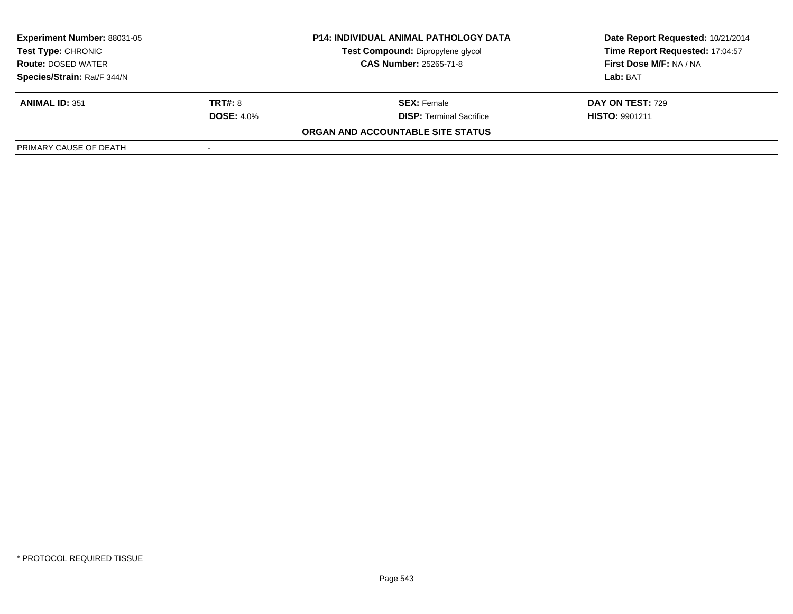| <b>Experiment Number: 88031-05</b><br>Test Type: CHRONIC<br><b>Route: DOSED WATER</b> |                   | <b>P14: INDIVIDUAL ANIMAL PATHOLOGY DATA</b> | Date Report Requested: 10/21/2014 |
|---------------------------------------------------------------------------------------|-------------------|----------------------------------------------|-----------------------------------|
|                                                                                       |                   | Test Compound: Dipropylene glycol            | Time Report Requested: 17:04:57   |
|                                                                                       |                   | <b>CAS Number: 25265-71-8</b>                | <b>First Dose M/F: NA / NA</b>    |
| Species/Strain: Rat/F 344/N                                                           |                   |                                              | Lab: BAT                          |
| <b>ANIMAL ID: 351</b>                                                                 | <b>TRT#: 8</b>    | <b>SEX:</b> Female                           | DAY ON TEST: 729                  |
|                                                                                       | <b>DOSE: 4.0%</b> | <b>DISP:</b> Terminal Sacrifice              | <b>HISTO: 9901211</b>             |
|                                                                                       |                   | ORGAN AND ACCOUNTABLE SITE STATUS            |                                   |
| PRIMARY CAUSE OF DEATH                                                                |                   |                                              |                                   |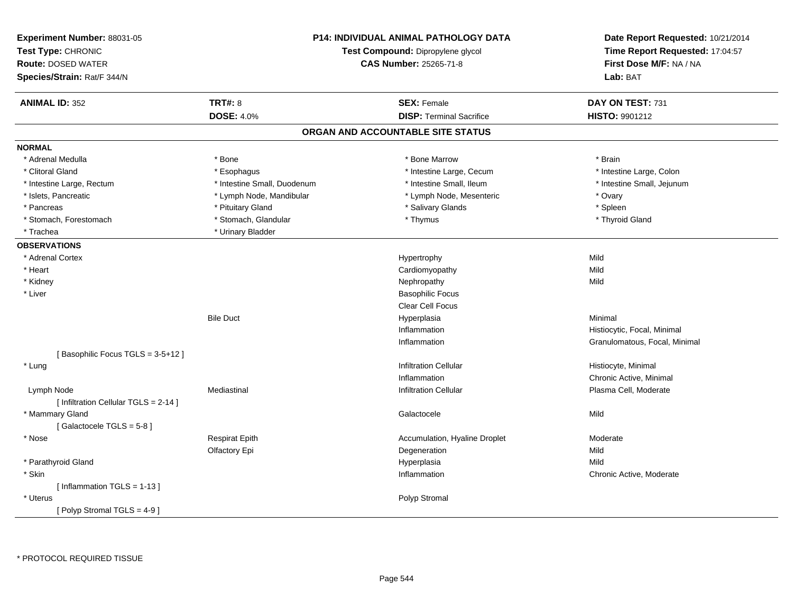| Experiment Number: 88031-05<br>Test Type: CHRONIC<br><b>Route: DOSED WATER</b><br>Species/Strain: Rat/F 344/N | <b>P14: INDIVIDUAL ANIMAL PATHOLOGY DATA</b><br>Test Compound: Dipropylene glycol<br>CAS Number: 25265-71-8 |                                   | Date Report Requested: 10/21/2014<br>Time Report Requested: 17:04:57<br>First Dose M/F: NA / NA<br>Lab: BAT |
|---------------------------------------------------------------------------------------------------------------|-------------------------------------------------------------------------------------------------------------|-----------------------------------|-------------------------------------------------------------------------------------------------------------|
| <b>ANIMAL ID: 352</b>                                                                                         | <b>TRT#: 8</b>                                                                                              | <b>SEX: Female</b>                | DAY ON TEST: 731                                                                                            |
|                                                                                                               | <b>DOSE: 4.0%</b>                                                                                           | <b>DISP: Terminal Sacrifice</b>   | <b>HISTO: 9901212</b>                                                                                       |
|                                                                                                               |                                                                                                             | ORGAN AND ACCOUNTABLE SITE STATUS |                                                                                                             |
| <b>NORMAL</b>                                                                                                 |                                                                                                             |                                   |                                                                                                             |
| * Adrenal Medulla                                                                                             | * Bone                                                                                                      | * Bone Marrow                     | * Brain                                                                                                     |
| * Clitoral Gland                                                                                              | * Esophagus                                                                                                 | * Intestine Large, Cecum          | * Intestine Large, Colon                                                                                    |
| * Intestine Large, Rectum                                                                                     | * Intestine Small, Duodenum                                                                                 | * Intestine Small, Ileum          | * Intestine Small, Jejunum                                                                                  |
| * Islets, Pancreatic                                                                                          | * Lymph Node, Mandibular                                                                                    | * Lymph Node, Mesenteric          | * Ovary                                                                                                     |
| * Pancreas                                                                                                    | * Pituitary Gland                                                                                           | * Salivary Glands                 | * Spleen                                                                                                    |
| * Stomach, Forestomach                                                                                        | * Stomach, Glandular                                                                                        | * Thymus                          | * Thyroid Gland                                                                                             |
| * Trachea                                                                                                     | * Urinary Bladder                                                                                           |                                   |                                                                                                             |
| <b>OBSERVATIONS</b>                                                                                           |                                                                                                             |                                   |                                                                                                             |
| * Adrenal Cortex                                                                                              |                                                                                                             | Hypertrophy                       | Mild                                                                                                        |
| * Heart                                                                                                       |                                                                                                             | Cardiomyopathy                    | Mild                                                                                                        |
| * Kidney                                                                                                      |                                                                                                             | Nephropathy                       | Mild                                                                                                        |
| * Liver                                                                                                       |                                                                                                             | <b>Basophilic Focus</b>           |                                                                                                             |
|                                                                                                               |                                                                                                             | Clear Cell Focus                  |                                                                                                             |
|                                                                                                               | <b>Bile Duct</b>                                                                                            | Hyperplasia                       | Minimal                                                                                                     |
|                                                                                                               |                                                                                                             | Inflammation                      | Histiocytic, Focal, Minimal                                                                                 |
|                                                                                                               |                                                                                                             | Inflammation                      | Granulomatous, Focal, Minimal                                                                               |
| [Basophilic Focus TGLS = 3-5+12]                                                                              |                                                                                                             |                                   |                                                                                                             |
| * Lung                                                                                                        |                                                                                                             | <b>Infiltration Cellular</b>      | Histiocyte, Minimal                                                                                         |
|                                                                                                               |                                                                                                             | Inflammation                      | Chronic Active, Minimal                                                                                     |
| Lymph Node                                                                                                    | Mediastinal                                                                                                 | <b>Infiltration Cellular</b>      | Plasma Cell, Moderate                                                                                       |
| [ Infiltration Cellular TGLS = 2-14 ]                                                                         |                                                                                                             |                                   |                                                                                                             |
| * Mammary Gland                                                                                               |                                                                                                             | Galactocele                       | Mild                                                                                                        |
| [Galactocele TGLS = 5-8]                                                                                      |                                                                                                             |                                   |                                                                                                             |
| * Nose                                                                                                        | <b>Respirat Epith</b>                                                                                       | Accumulation, Hyaline Droplet     | Moderate                                                                                                    |
|                                                                                                               | Olfactory Epi                                                                                               | Degeneration                      | Mild                                                                                                        |
| * Parathyroid Gland                                                                                           |                                                                                                             | Hyperplasia                       | Mild                                                                                                        |
| * Skin                                                                                                        |                                                                                                             | Inflammation                      | Chronic Active, Moderate                                                                                    |
| [Inflammation TGLS = $1-13$ ]                                                                                 |                                                                                                             |                                   |                                                                                                             |
| * Uterus                                                                                                      |                                                                                                             | Polyp Stromal                     |                                                                                                             |
| [ Polyp Stromal TGLS = $4-9$ ]                                                                                |                                                                                                             |                                   |                                                                                                             |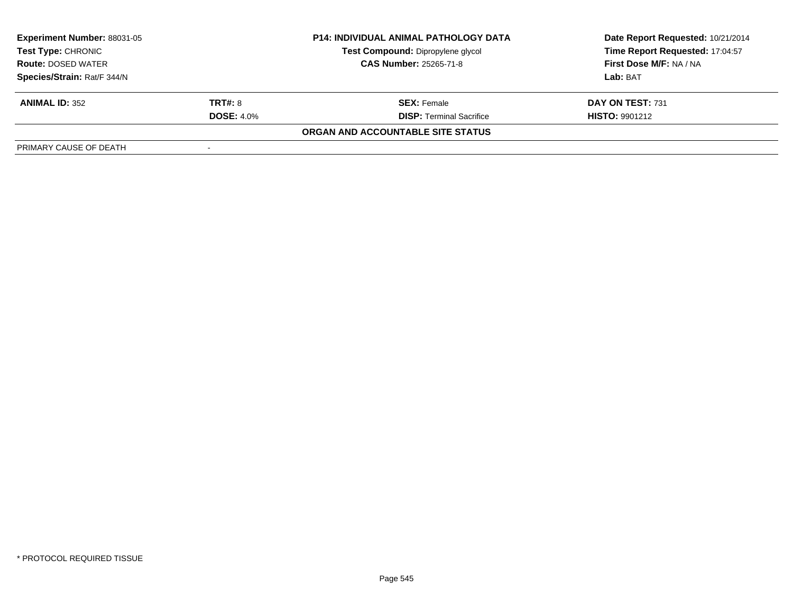| <b>Experiment Number: 88031-05</b><br>Test Type: CHRONIC<br><b>Route: DOSED WATER</b> |                   | <b>P14: INDIVIDUAL ANIMAL PATHOLOGY DATA</b> | Date Report Requested: 10/21/2014 |  |
|---------------------------------------------------------------------------------------|-------------------|----------------------------------------------|-----------------------------------|--|
|                                                                                       |                   | Test Compound: Dipropylene glycol            | Time Report Requested: 17:04:57   |  |
|                                                                                       |                   | <b>CAS Number: 25265-71-8</b>                | <b>First Dose M/F: NA / NA</b>    |  |
| Species/Strain: Rat/F 344/N                                                           |                   |                                              | Lab: BAT                          |  |
| <b>ANIMAL ID: 352</b>                                                                 | <b>TRT#: 8</b>    | <b>SEX:</b> Female                           | DAY ON TEST: 731                  |  |
|                                                                                       | <b>DOSE: 4.0%</b> | <b>DISP: Terminal Sacrifice</b>              | <b>HISTO: 9901212</b>             |  |
|                                                                                       |                   | ORGAN AND ACCOUNTABLE SITE STATUS            |                                   |  |
| PRIMARY CAUSE OF DEATH                                                                |                   |                                              |                                   |  |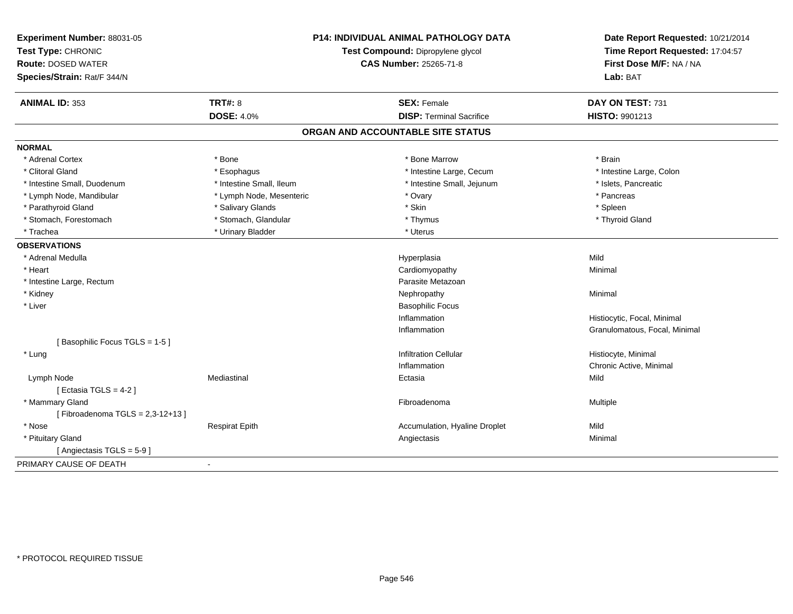| Experiment Number: 88031-05<br>Test Type: CHRONIC<br><b>Route: DOSED WATER</b><br>Species/Strain: Rat/F 344/N | P14: INDIVIDUAL ANIMAL PATHOLOGY DATA<br>Test Compound: Dipropylene glycol<br><b>CAS Number: 25265-71-8</b> |                                   | Date Report Requested: 10/21/2014<br>Time Report Requested: 17:04:57<br>First Dose M/F: NA / NA<br>Lab: BAT |
|---------------------------------------------------------------------------------------------------------------|-------------------------------------------------------------------------------------------------------------|-----------------------------------|-------------------------------------------------------------------------------------------------------------|
| <b>ANIMAL ID: 353</b>                                                                                         | <b>TRT#: 8</b>                                                                                              | <b>SEX: Female</b>                | DAY ON TEST: 731                                                                                            |
|                                                                                                               | <b>DOSE: 4.0%</b>                                                                                           | <b>DISP: Terminal Sacrifice</b>   | <b>HISTO: 9901213</b>                                                                                       |
|                                                                                                               |                                                                                                             | ORGAN AND ACCOUNTABLE SITE STATUS |                                                                                                             |
| <b>NORMAL</b>                                                                                                 |                                                                                                             |                                   |                                                                                                             |
| * Adrenal Cortex                                                                                              | * Bone                                                                                                      | * Bone Marrow                     | * Brain                                                                                                     |
| * Clitoral Gland                                                                                              | * Esophagus                                                                                                 | * Intestine Large, Cecum          | * Intestine Large, Colon                                                                                    |
| * Intestine Small, Duodenum                                                                                   | * Intestine Small, Ileum                                                                                    | * Intestine Small, Jejunum        | * Islets, Pancreatic                                                                                        |
| * Lymph Node, Mandibular                                                                                      | * Lymph Node, Mesenteric                                                                                    | * Ovary                           | * Pancreas                                                                                                  |
| * Parathyroid Gland                                                                                           | * Salivary Glands                                                                                           | * Skin                            | * Spleen                                                                                                    |
| * Stomach, Forestomach                                                                                        | * Stomach, Glandular                                                                                        | * Thymus                          | * Thyroid Gland                                                                                             |
| * Trachea                                                                                                     | * Urinary Bladder                                                                                           | * Uterus                          |                                                                                                             |
| <b>OBSERVATIONS</b>                                                                                           |                                                                                                             |                                   |                                                                                                             |
| * Adrenal Medulla                                                                                             |                                                                                                             | Hyperplasia                       | Mild                                                                                                        |
| * Heart                                                                                                       |                                                                                                             | Cardiomyopathy                    | Minimal                                                                                                     |
| * Intestine Large, Rectum                                                                                     |                                                                                                             | Parasite Metazoan                 |                                                                                                             |
| * Kidney                                                                                                      |                                                                                                             | Nephropathy                       | Minimal                                                                                                     |
| * Liver                                                                                                       |                                                                                                             | <b>Basophilic Focus</b>           |                                                                                                             |
|                                                                                                               |                                                                                                             | Inflammation                      | Histiocytic, Focal, Minimal                                                                                 |
|                                                                                                               |                                                                                                             | Inflammation                      | Granulomatous, Focal, Minimal                                                                               |
| [Basophilic Focus TGLS = 1-5]                                                                                 |                                                                                                             |                                   |                                                                                                             |
| * Lung                                                                                                        |                                                                                                             | <b>Infiltration Cellular</b>      | Histiocyte, Minimal                                                                                         |
|                                                                                                               |                                                                                                             | Inflammation                      | Chronic Active, Minimal                                                                                     |
| Lymph Node                                                                                                    | Mediastinal                                                                                                 | Ectasia                           | Mild                                                                                                        |
| [ Ectasia TGLS = $4-2$ ]                                                                                      |                                                                                                             |                                   |                                                                                                             |
| * Mammary Gland                                                                                               |                                                                                                             | Fibroadenoma                      | Multiple                                                                                                    |
| [Fibroadenoma TGLS = $2,3-12+13$ ]                                                                            |                                                                                                             |                                   |                                                                                                             |
| * Nose                                                                                                        | <b>Respirat Epith</b>                                                                                       | Accumulation, Hyaline Droplet     | Mild                                                                                                        |
| * Pituitary Gland                                                                                             |                                                                                                             | Angiectasis                       | Minimal                                                                                                     |
| [Angiectasis TGLS = 5-9]                                                                                      |                                                                                                             |                                   |                                                                                                             |
| PRIMARY CAUSE OF DEATH                                                                                        | $\blacksquare$                                                                                              |                                   |                                                                                                             |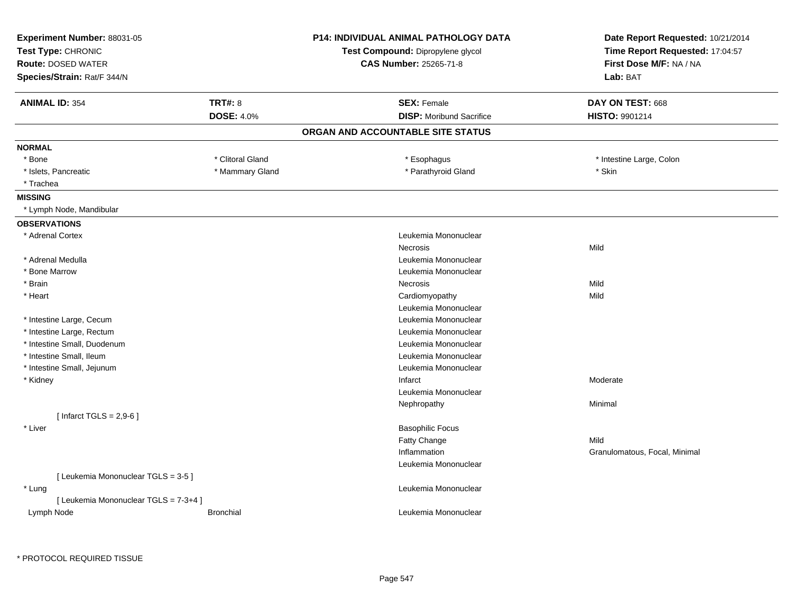| Experiment Number: 88031-05<br>Test Type: CHRONIC<br><b>Route: DOSED WATER</b><br>Species/Strain: Rat/F 344/N |                                     | <b>P14: INDIVIDUAL ANIMAL PATHOLOGY DATA</b><br>Test Compound: Dipropylene glycol<br><b>CAS Number: 25265-71-8</b> | Date Report Requested: 10/21/2014<br>Time Report Requested: 17:04:57<br>First Dose M/F: NA / NA<br>Lab: BAT |
|---------------------------------------------------------------------------------------------------------------|-------------------------------------|--------------------------------------------------------------------------------------------------------------------|-------------------------------------------------------------------------------------------------------------|
| <b>ANIMAL ID: 354</b>                                                                                         | <b>TRT#: 8</b><br><b>DOSE: 4.0%</b> | <b>SEX: Female</b><br><b>DISP:</b> Moribund Sacrifice                                                              | DAY ON TEST: 668<br>HISTO: 9901214                                                                          |
|                                                                                                               |                                     |                                                                                                                    |                                                                                                             |
|                                                                                                               |                                     | ORGAN AND ACCOUNTABLE SITE STATUS                                                                                  |                                                                                                             |
| <b>NORMAL</b>                                                                                                 |                                     |                                                                                                                    |                                                                                                             |
| * Bone                                                                                                        | * Clitoral Gland                    | * Esophagus                                                                                                        | * Intestine Large, Colon                                                                                    |
| * Islets, Pancreatic                                                                                          | * Mammary Gland                     | * Parathyroid Gland                                                                                                | * Skin                                                                                                      |
| * Trachea                                                                                                     |                                     |                                                                                                                    |                                                                                                             |
| <b>MISSING</b>                                                                                                |                                     |                                                                                                                    |                                                                                                             |
| * Lymph Node, Mandibular                                                                                      |                                     |                                                                                                                    |                                                                                                             |
| <b>OBSERVATIONS</b>                                                                                           |                                     |                                                                                                                    |                                                                                                             |
| * Adrenal Cortex                                                                                              |                                     | Leukemia Mononuclear                                                                                               |                                                                                                             |
|                                                                                                               |                                     | <b>Necrosis</b>                                                                                                    | Mild                                                                                                        |
| * Adrenal Medulla                                                                                             |                                     | Leukemia Mononuclear                                                                                               |                                                                                                             |
| * Bone Marrow                                                                                                 |                                     | Leukemia Mononuclear                                                                                               |                                                                                                             |
| * Brain                                                                                                       |                                     | Necrosis                                                                                                           | Mild                                                                                                        |
| * Heart                                                                                                       |                                     | Cardiomyopathy                                                                                                     | Mild                                                                                                        |
|                                                                                                               |                                     | Leukemia Mononuclear                                                                                               |                                                                                                             |
| * Intestine Large, Cecum                                                                                      |                                     | Leukemia Mononuclear                                                                                               |                                                                                                             |
| * Intestine Large, Rectum                                                                                     |                                     | Leukemia Mononuclear                                                                                               |                                                                                                             |
| * Intestine Small, Duodenum                                                                                   |                                     | Leukemia Mononuclear                                                                                               |                                                                                                             |
| * Intestine Small, Ileum                                                                                      |                                     | Leukemia Mononuclear                                                                                               |                                                                                                             |
| * Intestine Small, Jejunum                                                                                    |                                     | Leukemia Mononuclear                                                                                               |                                                                                                             |
| * Kidney                                                                                                      |                                     | Infarct                                                                                                            | Moderate                                                                                                    |
|                                                                                                               |                                     | Leukemia Mononuclear                                                                                               |                                                                                                             |
|                                                                                                               |                                     | Nephropathy                                                                                                        | Minimal                                                                                                     |
| [Infarct TGLS = $2,9-6$ ]                                                                                     |                                     |                                                                                                                    |                                                                                                             |
| * Liver                                                                                                       |                                     | <b>Basophilic Focus</b>                                                                                            |                                                                                                             |
|                                                                                                               |                                     | Fatty Change                                                                                                       | Mild                                                                                                        |
|                                                                                                               |                                     | Inflammation                                                                                                       | Granulomatous, Focal, Minimal                                                                               |
|                                                                                                               |                                     | Leukemia Mononuclear                                                                                               |                                                                                                             |
| [ Leukemia Mononuclear TGLS = 3-5 ]                                                                           |                                     |                                                                                                                    |                                                                                                             |
| * Lung                                                                                                        |                                     | Leukemia Mononuclear                                                                                               |                                                                                                             |
| [ Leukemia Mononuclear TGLS = 7-3+4 ]                                                                         |                                     |                                                                                                                    |                                                                                                             |
| Lymph Node                                                                                                    | <b>Bronchial</b>                    | Leukemia Mononuclear                                                                                               |                                                                                                             |
|                                                                                                               |                                     |                                                                                                                    |                                                                                                             |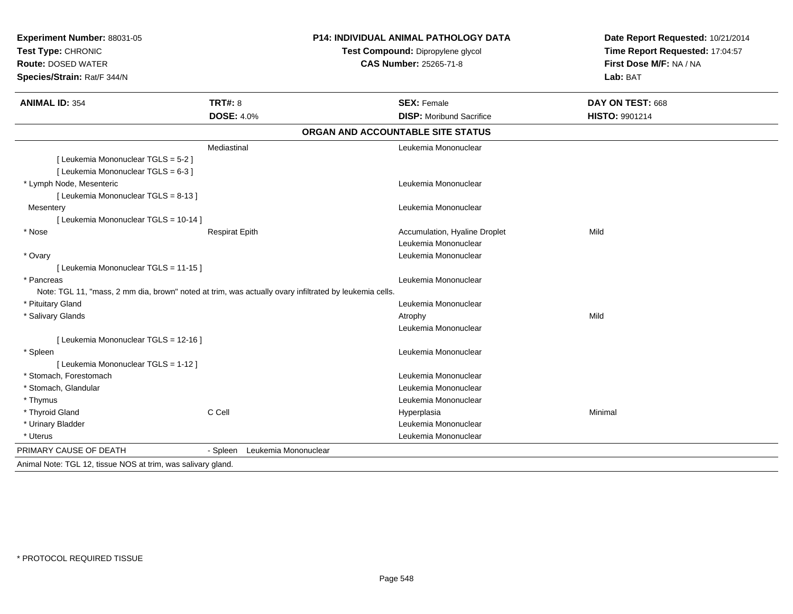| Experiment Number: 88031-05<br>Test Type: CHRONIC<br><b>Route: DOSED WATER</b><br>Species/Strain: Rat/F 344/N        | <b>P14: INDIVIDUAL ANIMAL PATHOLOGY DATA</b><br>Test Compound: Dipropylene glycol<br><b>CAS Number: 25265-71-8</b> |                                                       | Date Report Requested: 10/21/2014<br>Time Report Requested: 17:04:57<br>First Dose M/F: NA / NA<br>Lab: BAT |
|----------------------------------------------------------------------------------------------------------------------|--------------------------------------------------------------------------------------------------------------------|-------------------------------------------------------|-------------------------------------------------------------------------------------------------------------|
| <b>ANIMAL ID: 354</b>                                                                                                | <b>TRT#: 8</b><br><b>DOSE: 4.0%</b>                                                                                | <b>SEX: Female</b><br><b>DISP:</b> Moribund Sacrifice | DAY ON TEST: 668<br><b>HISTO: 9901214</b>                                                                   |
|                                                                                                                      |                                                                                                                    | ORGAN AND ACCOUNTABLE SITE STATUS                     |                                                                                                             |
| [ Leukemia Mononuclear TGLS = 5-2 ]<br>[ Leukemia Mononuclear TGLS = 6-3 ]                                           | Mediastinal                                                                                                        | Leukemia Mononuclear                                  |                                                                                                             |
| * Lymph Node, Mesenteric<br>[ Leukemia Mononuclear TGLS = 8-13 ]                                                     |                                                                                                                    | Leukemia Mononuclear                                  |                                                                                                             |
| Mesentery<br>[ Leukemia Mononuclear TGLS = 10-14 ]                                                                   |                                                                                                                    | Leukemia Mononuclear                                  |                                                                                                             |
| * Nose                                                                                                               | <b>Respirat Epith</b>                                                                                              | Accumulation, Hyaline Droplet<br>Leukemia Mononuclear | Mild                                                                                                        |
| * Ovary<br>[ Leukemia Mononuclear TGLS = 11-15 ]                                                                     |                                                                                                                    | Leukemia Mononuclear                                  |                                                                                                             |
| * Pancreas<br>Note: TGL 11, "mass, 2 mm dia, brown" noted at trim, was actually ovary infiltrated by leukemia cells. |                                                                                                                    | Leukemia Mononuclear                                  |                                                                                                             |
| * Pituitary Gland                                                                                                    |                                                                                                                    | Leukemia Mononuclear                                  |                                                                                                             |
| * Salivary Glands                                                                                                    |                                                                                                                    | Atrophy<br>Leukemia Mononuclear                       | Mild                                                                                                        |
| [ Leukemia Mononuclear TGLS = 12-16 ]                                                                                |                                                                                                                    |                                                       |                                                                                                             |
| * Spleen<br>[ Leukemia Mononuclear TGLS = 1-12 ]                                                                     |                                                                                                                    | Leukemia Mononuclear                                  |                                                                                                             |
| * Stomach, Forestomach                                                                                               |                                                                                                                    | Leukemia Mononuclear                                  |                                                                                                             |
| * Stomach, Glandular                                                                                                 |                                                                                                                    | Leukemia Mononuclear                                  |                                                                                                             |
| * Thymus                                                                                                             |                                                                                                                    | Leukemia Mononuclear                                  |                                                                                                             |
| * Thyroid Gland                                                                                                      | C Cell                                                                                                             | Hyperplasia                                           | Minimal                                                                                                     |
| * Urinary Bladder                                                                                                    |                                                                                                                    | Leukemia Mononuclear                                  |                                                                                                             |
| * Uterus                                                                                                             |                                                                                                                    | Leukemia Mononuclear                                  |                                                                                                             |
| PRIMARY CAUSE OF DEATH                                                                                               | Leukemia Mononuclear<br>- Spleen                                                                                   |                                                       |                                                                                                             |
| Animal Note: TGL 12, tissue NOS at trim, was salivary gland.                                                         |                                                                                                                    |                                                       |                                                                                                             |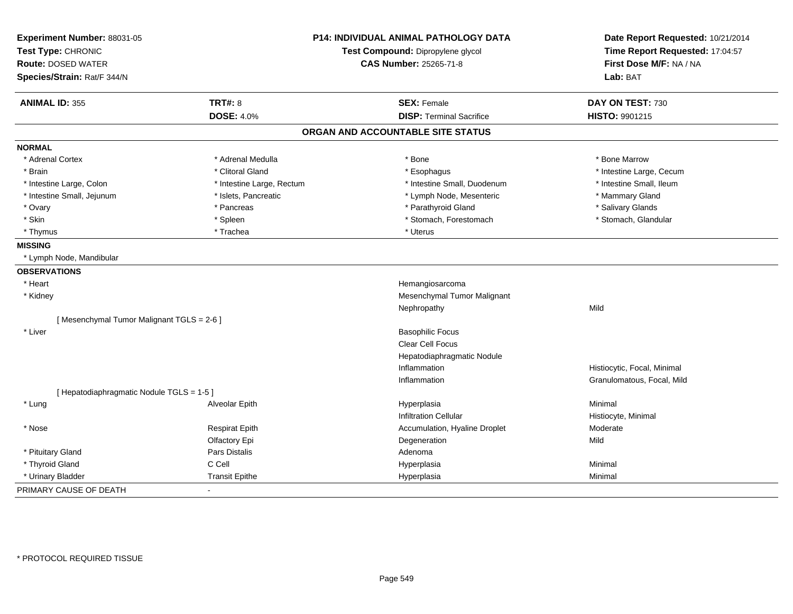| Experiment Number: 88031-05               |                           | P14: INDIVIDUAL ANIMAL PATHOLOGY DATA | Date Report Requested: 10/21/2014<br>Time Report Requested: 17:04:57 |
|-------------------------------------------|---------------------------|---------------------------------------|----------------------------------------------------------------------|
| Test Type: CHRONIC                        |                           | Test Compound: Dipropylene glycol     |                                                                      |
| <b>Route: DOSED WATER</b>                 |                           | <b>CAS Number: 25265-71-8</b>         | First Dose M/F: NA / NA                                              |
| Species/Strain: Rat/F 344/N               |                           |                                       | Lab: BAT                                                             |
| <b>ANIMAL ID: 355</b>                     | <b>TRT#: 8</b>            | <b>SEX: Female</b>                    | DAY ON TEST: 730                                                     |
|                                           | <b>DOSE: 4.0%</b>         | <b>DISP: Terminal Sacrifice</b>       | HISTO: 9901215                                                       |
|                                           |                           | ORGAN AND ACCOUNTABLE SITE STATUS     |                                                                      |
| <b>NORMAL</b>                             |                           |                                       |                                                                      |
| * Adrenal Cortex                          | * Adrenal Medulla         | * Bone                                | * Bone Marrow                                                        |
| * Brain                                   | * Clitoral Gland          | * Esophagus                           | * Intestine Large, Cecum                                             |
| * Intestine Large, Colon                  | * Intestine Large, Rectum | * Intestine Small, Duodenum           | * Intestine Small, Ileum                                             |
| * Intestine Small, Jejunum                | * Islets, Pancreatic      | * Lymph Node, Mesenteric              | * Mammary Gland                                                      |
| * Ovary                                   | * Pancreas                | * Parathyroid Gland                   | * Salivary Glands                                                    |
| * Skin                                    | * Spleen                  | * Stomach, Forestomach                | * Stomach, Glandular                                                 |
| * Thymus                                  | * Trachea                 | * Uterus                              |                                                                      |
| <b>MISSING</b>                            |                           |                                       |                                                                      |
| * Lymph Node, Mandibular                  |                           |                                       |                                                                      |
| <b>OBSERVATIONS</b>                       |                           |                                       |                                                                      |
| * Heart                                   |                           | Hemangiosarcoma                       |                                                                      |
| * Kidney                                  |                           | Mesenchymal Tumor Malignant           |                                                                      |
|                                           |                           | Nephropathy                           | Mild                                                                 |
| [Mesenchymal Tumor Malignant TGLS = 2-6]  |                           |                                       |                                                                      |
| * Liver                                   |                           | <b>Basophilic Focus</b>               |                                                                      |
|                                           |                           | Clear Cell Focus                      |                                                                      |
|                                           |                           | Hepatodiaphragmatic Nodule            |                                                                      |
|                                           |                           | Inflammation                          | Histiocytic, Focal, Minimal                                          |
|                                           |                           | Inflammation                          | Granulomatous, Focal, Mild                                           |
| [ Hepatodiaphragmatic Nodule TGLS = 1-5 ] |                           |                                       |                                                                      |
| * Lung                                    | Alveolar Epith            | Hyperplasia                           | Minimal                                                              |
|                                           |                           | <b>Infiltration Cellular</b>          | Histiocyte, Minimal                                                  |
| * Nose                                    | <b>Respirat Epith</b>     | Accumulation, Hyaline Droplet         | Moderate                                                             |
|                                           | Olfactory Epi             | Degeneration                          | Mild                                                                 |
| * Pituitary Gland                         | Pars Distalis             | Adenoma                               |                                                                      |
| * Thyroid Gland                           | C Cell                    | Hyperplasia                           | Minimal                                                              |
| * Urinary Bladder                         | <b>Transit Epithe</b>     | Hyperplasia                           | Minimal                                                              |
| PRIMARY CAUSE OF DEATH                    |                           |                                       |                                                                      |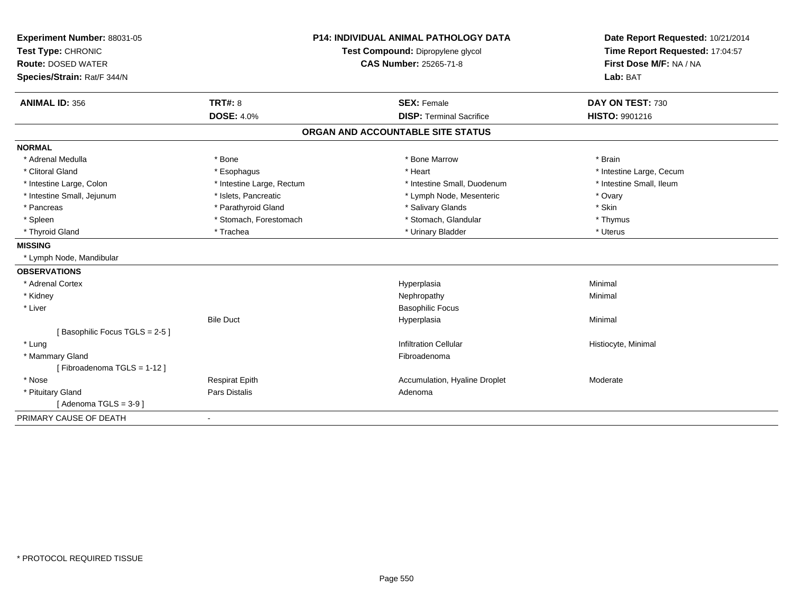| Experiment Number: 88031-05   | <b>P14: INDIVIDUAL ANIMAL PATHOLOGY DATA</b><br>Test Compound: Dipropylene glycol |                                   | Date Report Requested: 10/21/2014 |  |
|-------------------------------|-----------------------------------------------------------------------------------|-----------------------------------|-----------------------------------|--|
| Test Type: CHRONIC            |                                                                                   |                                   | Time Report Requested: 17:04:57   |  |
| <b>Route: DOSED WATER</b>     |                                                                                   | <b>CAS Number: 25265-71-8</b>     | First Dose M/F: NA / NA           |  |
| Species/Strain: Rat/F 344/N   |                                                                                   |                                   | Lab: BAT                          |  |
| <b>ANIMAL ID: 356</b>         | <b>TRT#: 8</b>                                                                    | <b>SEX: Female</b>                | DAY ON TEST: 730                  |  |
|                               | <b>DOSE: 4.0%</b>                                                                 | <b>DISP: Terminal Sacrifice</b>   | <b>HISTO: 9901216</b>             |  |
|                               |                                                                                   | ORGAN AND ACCOUNTABLE SITE STATUS |                                   |  |
| <b>NORMAL</b>                 |                                                                                   |                                   |                                   |  |
| * Adrenal Medulla             | * Bone                                                                            | * Bone Marrow                     | * Brain                           |  |
| * Clitoral Gland              | * Esophagus                                                                       | * Heart                           | * Intestine Large, Cecum          |  |
| * Intestine Large, Colon      | * Intestine Large, Rectum                                                         | * Intestine Small, Duodenum       | * Intestine Small, Ileum          |  |
| * Intestine Small, Jejunum    | * Islets, Pancreatic                                                              | * Lymph Node, Mesenteric          | * Ovary                           |  |
| * Pancreas                    | * Parathyroid Gland                                                               | * Salivary Glands                 | * Skin                            |  |
| * Spleen                      | * Stomach, Forestomach                                                            | * Stomach, Glandular              | * Thymus                          |  |
| * Thyroid Gland               | * Trachea                                                                         | * Urinary Bladder                 | * Uterus                          |  |
| <b>MISSING</b>                |                                                                                   |                                   |                                   |  |
| * Lymph Node, Mandibular      |                                                                                   |                                   |                                   |  |
| <b>OBSERVATIONS</b>           |                                                                                   |                                   |                                   |  |
| * Adrenal Cortex              |                                                                                   | Hyperplasia                       | Minimal                           |  |
| * Kidney                      |                                                                                   | Nephropathy                       | Minimal                           |  |
| * Liver                       |                                                                                   | <b>Basophilic Focus</b>           |                                   |  |
|                               | <b>Bile Duct</b>                                                                  | Hyperplasia                       | Minimal                           |  |
| [Basophilic Focus TGLS = 2-5] |                                                                                   |                                   |                                   |  |
| * Lung                        |                                                                                   | <b>Infiltration Cellular</b>      | Histiocyte, Minimal               |  |
| * Mammary Gland               |                                                                                   | Fibroadenoma                      |                                   |  |
| [Fibroadenoma TGLS = 1-12]    |                                                                                   |                                   |                                   |  |
| * Nose                        | <b>Respirat Epith</b>                                                             | Accumulation, Hyaline Droplet     | Moderate                          |  |
| * Pituitary Gland             | <b>Pars Distalis</b>                                                              | Adenoma                           |                                   |  |
| [Adenoma TGLS = $3-9$ ]       |                                                                                   |                                   |                                   |  |
| PRIMARY CAUSE OF DEATH        |                                                                                   |                                   |                                   |  |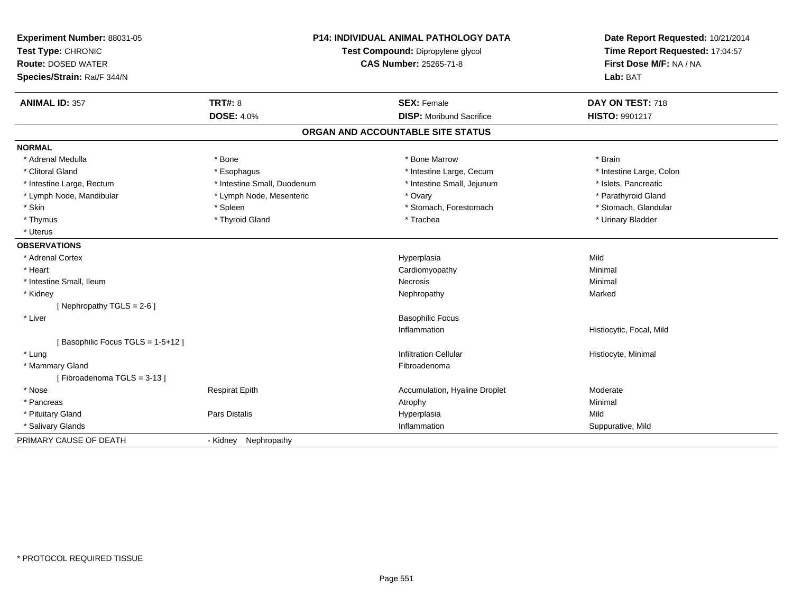| Experiment Number: 88031-05      |                                   | <b>P14: INDIVIDUAL ANIMAL PATHOLOGY DATA</b> | Date Report Requested: 10/21/2014 |  |
|----------------------------------|-----------------------------------|----------------------------------------------|-----------------------------------|--|
| Test Type: CHRONIC               | Test Compound: Dipropylene glycol |                                              | Time Report Requested: 17:04:57   |  |
| <b>Route: DOSED WATER</b>        |                                   | <b>CAS Number: 25265-71-8</b>                | First Dose M/F: NA / NA           |  |
| Species/Strain: Rat/F 344/N      |                                   |                                              | Lab: BAT                          |  |
| <b>ANIMAL ID: 357</b>            | <b>TRT#: 8</b>                    | <b>SEX: Female</b>                           | DAY ON TEST: 718                  |  |
|                                  | <b>DOSE: 4.0%</b>                 | <b>DISP:</b> Moribund Sacrifice              | <b>HISTO: 9901217</b>             |  |
|                                  |                                   | ORGAN AND ACCOUNTABLE SITE STATUS            |                                   |  |
| <b>NORMAL</b>                    |                                   |                                              |                                   |  |
| * Adrenal Medulla                | * Bone                            | * Bone Marrow                                | * Brain                           |  |
| * Clitoral Gland                 | * Esophagus                       | * Intestine Large, Cecum                     | * Intestine Large, Colon          |  |
| * Intestine Large, Rectum        | * Intestine Small, Duodenum       | * Intestine Small, Jejunum                   | * Islets, Pancreatic              |  |
| * Lymph Node, Mandibular         | * Lymph Node, Mesenteric          | * Ovary                                      | * Parathyroid Gland               |  |
| * Skin                           | * Spleen                          | * Stomach, Forestomach                       | * Stomach, Glandular              |  |
| * Thymus                         | * Thyroid Gland                   | * Trachea                                    | * Urinary Bladder                 |  |
| * Uterus                         |                                   |                                              |                                   |  |
| <b>OBSERVATIONS</b>              |                                   |                                              |                                   |  |
| * Adrenal Cortex                 |                                   | Hyperplasia                                  | Mild                              |  |
| * Heart                          |                                   | Cardiomyopathy                               | Minimal                           |  |
| * Intestine Small, Ileum         |                                   | Necrosis                                     | Minimal                           |  |
| * Kidney                         |                                   | Nephropathy                                  | Marked                            |  |
| [Nephropathy TGLS = $2-6$ ]      |                                   |                                              |                                   |  |
| * Liver                          |                                   | <b>Basophilic Focus</b>                      |                                   |  |
|                                  |                                   | Inflammation                                 | Histiocytic, Focal, Mild          |  |
| [Basophilic Focus TGLS = 1-5+12] |                                   |                                              |                                   |  |
| * Lung                           |                                   | <b>Infiltration Cellular</b>                 | Histiocyte, Minimal               |  |
| * Mammary Gland                  |                                   | Fibroadenoma                                 |                                   |  |
| [Fibroadenoma TGLS = 3-13]       |                                   |                                              |                                   |  |
| * Nose                           | <b>Respirat Epith</b>             | Accumulation, Hyaline Droplet                | Moderate                          |  |
| * Pancreas                       |                                   | Atrophy                                      | Minimal                           |  |
| * Pituitary Gland                | Pars Distalis                     | Hyperplasia                                  | Mild                              |  |
| * Salivary Glands                |                                   | Inflammation                                 | Suppurative, Mild                 |  |
| PRIMARY CAUSE OF DEATH           | - Kidney Nephropathy              |                                              |                                   |  |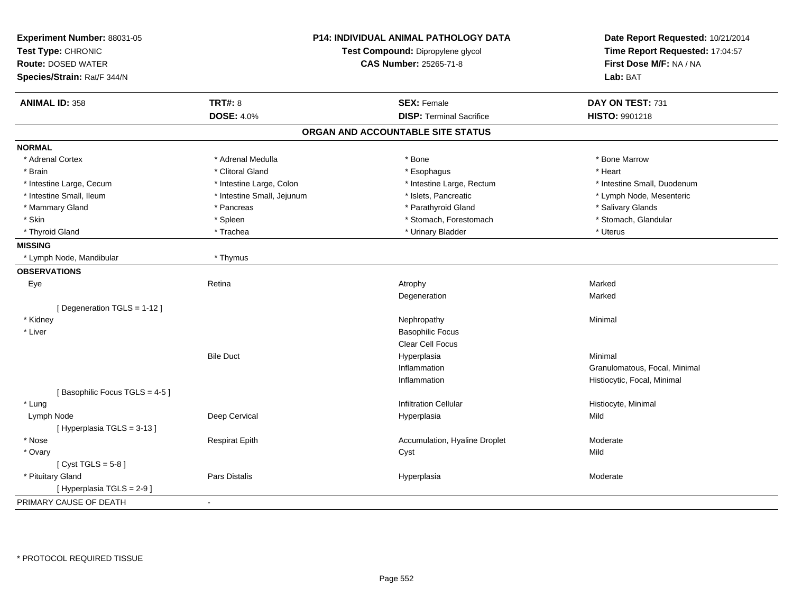| Experiment Number: 88031-05<br>Test Type: CHRONIC<br><b>Route: DOSED WATER</b><br>Species/Strain: Rat/F 344/N | P14: INDIVIDUAL ANIMAL PATHOLOGY DATA<br>Test Compound: Dipropylene glycol<br><b>CAS Number: 25265-71-8</b> |                                   | Date Report Requested: 10/21/2014<br>Time Report Requested: 17:04:57<br>First Dose M/F: NA / NA<br>Lab: BAT |
|---------------------------------------------------------------------------------------------------------------|-------------------------------------------------------------------------------------------------------------|-----------------------------------|-------------------------------------------------------------------------------------------------------------|
| <b>ANIMAL ID: 358</b>                                                                                         | <b>TRT#: 8</b>                                                                                              | <b>SEX: Female</b>                | DAY ON TEST: 731                                                                                            |
|                                                                                                               | <b>DOSE: 4.0%</b>                                                                                           | <b>DISP: Terminal Sacrifice</b>   | HISTO: 9901218                                                                                              |
|                                                                                                               |                                                                                                             | ORGAN AND ACCOUNTABLE SITE STATUS |                                                                                                             |
| <b>NORMAL</b>                                                                                                 |                                                                                                             |                                   |                                                                                                             |
| * Adrenal Cortex                                                                                              | * Adrenal Medulla                                                                                           | * Bone                            | * Bone Marrow                                                                                               |
| * Brain                                                                                                       | * Clitoral Gland                                                                                            | * Esophagus                       | * Heart                                                                                                     |
| * Intestine Large, Cecum                                                                                      | * Intestine Large, Colon                                                                                    | * Intestine Large, Rectum         | * Intestine Small, Duodenum                                                                                 |
| * Intestine Small, Ileum                                                                                      | * Intestine Small, Jejunum                                                                                  | * Islets, Pancreatic              | * Lymph Node, Mesenteric                                                                                    |
| * Mammary Gland                                                                                               | * Pancreas                                                                                                  | * Parathyroid Gland               | * Salivary Glands                                                                                           |
| * Skin                                                                                                        | * Spleen                                                                                                    | * Stomach, Forestomach            | * Stomach, Glandular                                                                                        |
| * Thyroid Gland                                                                                               | * Trachea                                                                                                   | * Urinary Bladder                 | * Uterus                                                                                                    |
| <b>MISSING</b>                                                                                                |                                                                                                             |                                   |                                                                                                             |
| * Lymph Node, Mandibular                                                                                      | * Thymus                                                                                                    |                                   |                                                                                                             |
| <b>OBSERVATIONS</b>                                                                                           |                                                                                                             |                                   |                                                                                                             |
| Eye                                                                                                           | Retina                                                                                                      | Atrophy                           | Marked                                                                                                      |
|                                                                                                               |                                                                                                             | Degeneration                      | Marked                                                                                                      |
| [Degeneration TGLS = 1-12]                                                                                    |                                                                                                             |                                   |                                                                                                             |
| * Kidney                                                                                                      |                                                                                                             | Nephropathy                       | Minimal                                                                                                     |
| * Liver                                                                                                       |                                                                                                             | <b>Basophilic Focus</b>           |                                                                                                             |
|                                                                                                               |                                                                                                             | Clear Cell Focus                  |                                                                                                             |
|                                                                                                               | <b>Bile Duct</b>                                                                                            | Hyperplasia                       | Minimal                                                                                                     |
|                                                                                                               |                                                                                                             | Inflammation                      | Granulomatous, Focal, Minimal                                                                               |
|                                                                                                               |                                                                                                             | Inflammation                      | Histiocytic, Focal, Minimal                                                                                 |
| [Basophilic Focus TGLS = 4-5]                                                                                 |                                                                                                             |                                   |                                                                                                             |
| * Lung                                                                                                        |                                                                                                             | <b>Infiltration Cellular</b>      | Histiocyte, Minimal                                                                                         |
| Lymph Node                                                                                                    | Deep Cervical                                                                                               | Hyperplasia                       | Mild                                                                                                        |
| [Hyperplasia TGLS = 3-13]                                                                                     |                                                                                                             |                                   |                                                                                                             |
| * Nose                                                                                                        | <b>Respirat Epith</b>                                                                                       | Accumulation, Hyaline Droplet     | Moderate                                                                                                    |
| * Ovary                                                                                                       |                                                                                                             | Cyst                              | Mild                                                                                                        |
| [Cyst TGLS = $5-8$ ]                                                                                          |                                                                                                             |                                   |                                                                                                             |
| * Pituitary Gland                                                                                             | Pars Distalis                                                                                               | Hyperplasia                       | Moderate                                                                                                    |
| [ Hyperplasia TGLS = 2-9]                                                                                     |                                                                                                             |                                   |                                                                                                             |
| PRIMARY CAUSE OF DEATH                                                                                        |                                                                                                             |                                   |                                                                                                             |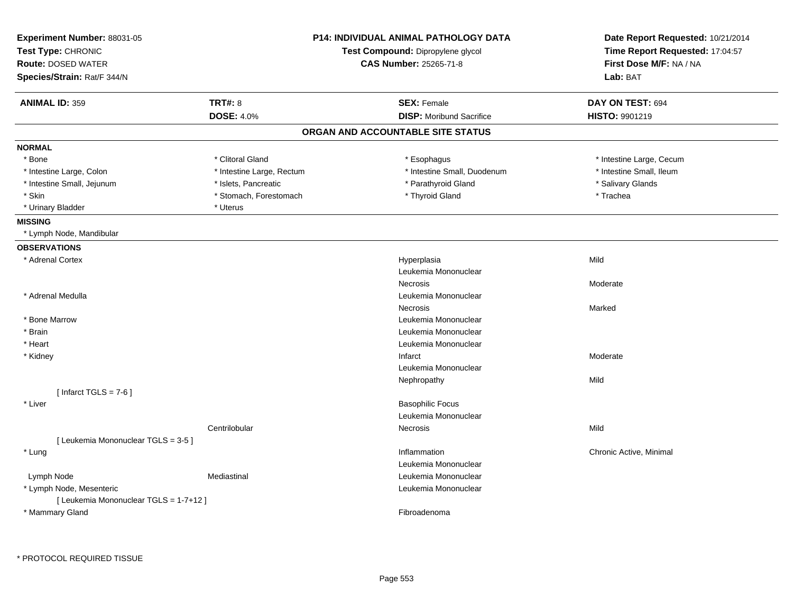| Experiment Number: 88031-05            | <b>P14: INDIVIDUAL ANIMAL PATHOLOGY DATA</b><br>Test Compound: Dipropylene glycol |                                   | Date Report Requested: 10/21/2014 |  |
|----------------------------------------|-----------------------------------------------------------------------------------|-----------------------------------|-----------------------------------|--|
| Test Type: CHRONIC                     |                                                                                   |                                   | Time Report Requested: 17:04:57   |  |
| <b>Route: DOSED WATER</b>              |                                                                                   | CAS Number: 25265-71-8            | First Dose M/F: NA / NA           |  |
| Species/Strain: Rat/F 344/N            |                                                                                   |                                   | Lab: BAT                          |  |
| <b>ANIMAL ID: 359</b>                  | <b>TRT#: 8</b>                                                                    | <b>SEX: Female</b>                | DAY ON TEST: 694                  |  |
|                                        | <b>DOSE: 4.0%</b>                                                                 | <b>DISP:</b> Moribund Sacrifice   | <b>HISTO: 9901219</b>             |  |
|                                        |                                                                                   | ORGAN AND ACCOUNTABLE SITE STATUS |                                   |  |
| <b>NORMAL</b>                          |                                                                                   |                                   |                                   |  |
| * Bone                                 | * Clitoral Gland                                                                  | * Esophagus                       | * Intestine Large, Cecum          |  |
| * Intestine Large, Colon               | * Intestine Large, Rectum                                                         | * Intestine Small, Duodenum       | * Intestine Small, Ileum          |  |
| * Intestine Small, Jejunum             | * Islets, Pancreatic                                                              | * Parathyroid Gland               | * Salivary Glands                 |  |
| * Skin                                 | * Stomach, Forestomach                                                            | * Thyroid Gland                   | * Trachea                         |  |
| * Urinary Bladder                      | * Uterus                                                                          |                                   |                                   |  |
| <b>MISSING</b>                         |                                                                                   |                                   |                                   |  |
| * Lymph Node, Mandibular               |                                                                                   |                                   |                                   |  |
| <b>OBSERVATIONS</b>                    |                                                                                   |                                   |                                   |  |
| * Adrenal Cortex                       |                                                                                   | Hyperplasia                       | Mild                              |  |
|                                        |                                                                                   | Leukemia Mononuclear              |                                   |  |
|                                        |                                                                                   | <b>Necrosis</b>                   | Moderate                          |  |
| * Adrenal Medulla                      |                                                                                   | Leukemia Mononuclear              |                                   |  |
|                                        |                                                                                   | Necrosis                          | Marked                            |  |
| * Bone Marrow                          |                                                                                   | Leukemia Mononuclear              |                                   |  |
| * Brain                                |                                                                                   | Leukemia Mononuclear              |                                   |  |
| * Heart                                |                                                                                   | Leukemia Mononuclear              |                                   |  |
| * Kidney                               |                                                                                   | Infarct                           | Moderate                          |  |
|                                        |                                                                                   | Leukemia Mononuclear              |                                   |  |
|                                        |                                                                                   | Nephropathy                       | Mild                              |  |
| [Infarct TGLS = $7-6$ ]                |                                                                                   |                                   |                                   |  |
| * Liver                                |                                                                                   | <b>Basophilic Focus</b>           |                                   |  |
|                                        |                                                                                   | Leukemia Mononuclear              |                                   |  |
|                                        | Centrilobular                                                                     | Necrosis                          | Mild                              |  |
| [ Leukemia Mononuclear TGLS = 3-5 ]    |                                                                                   |                                   |                                   |  |
| * Lung                                 |                                                                                   | Inflammation                      | Chronic Active, Minimal           |  |
|                                        |                                                                                   | Leukemia Mononuclear              |                                   |  |
| Lymph Node                             | Mediastinal                                                                       | Leukemia Mononuclear              |                                   |  |
| * Lymph Node, Mesenteric               |                                                                                   | Leukemia Mononuclear              |                                   |  |
| [ Leukemia Mononuclear TGLS = 1-7+12 ] |                                                                                   |                                   |                                   |  |
| * Mammary Gland                        |                                                                                   | Fibroadenoma                      |                                   |  |
|                                        |                                                                                   |                                   |                                   |  |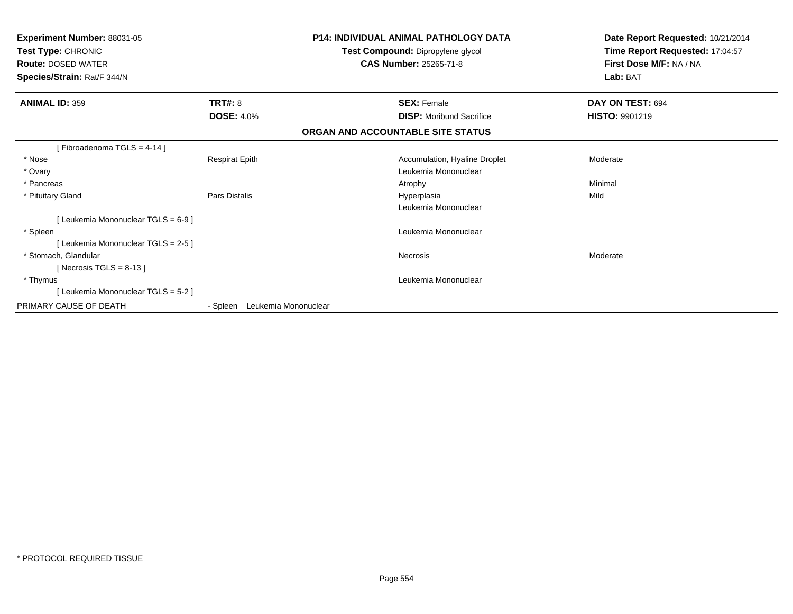| <b>Experiment Number: 88031-05</b><br>Test Type: CHRONIC<br><b>Route: DOSED WATER</b><br>Species/Strain: Rat/F 344/N |                                  | <b>P14: INDIVIDUAL ANIMAL PATHOLOGY DATA</b><br>Test Compound: Dipropylene glycol<br>CAS Number: 25265-71-8 | Date Report Requested: 10/21/2014<br>Time Report Requested: 17:04:57<br>First Dose M/F: NA / NA<br>Lab: BAT |
|----------------------------------------------------------------------------------------------------------------------|----------------------------------|-------------------------------------------------------------------------------------------------------------|-------------------------------------------------------------------------------------------------------------|
| <b>ANIMAL ID: 359</b>                                                                                                | TRT#: 8                          | <b>SEX: Female</b>                                                                                          | DAY ON TEST: 694                                                                                            |
|                                                                                                                      | <b>DOSE: 4.0%</b>                | <b>DISP:</b> Moribund Sacrifice                                                                             | <b>HISTO: 9901219</b>                                                                                       |
|                                                                                                                      |                                  | ORGAN AND ACCOUNTABLE SITE STATUS                                                                           |                                                                                                             |
| [Fibroadenoma TGLS = 4-14]                                                                                           |                                  |                                                                                                             |                                                                                                             |
| * Nose                                                                                                               | <b>Respirat Epith</b>            | Accumulation, Hyaline Droplet                                                                               | Moderate                                                                                                    |
| * Ovary                                                                                                              |                                  | Leukemia Mononuclear                                                                                        |                                                                                                             |
| * Pancreas                                                                                                           |                                  | Atrophy                                                                                                     | Minimal                                                                                                     |
| * Pituitary Gland                                                                                                    | Pars Distalis                    | Hyperplasia                                                                                                 | Mild                                                                                                        |
|                                                                                                                      |                                  | Leukemia Mononuclear                                                                                        |                                                                                                             |
| [Leukemia Mononuclear TGLS = 6-9]                                                                                    |                                  |                                                                                                             |                                                                                                             |
| * Spleen                                                                                                             |                                  | Leukemia Mononuclear                                                                                        |                                                                                                             |
| [Leukemia Mononuclear TGLS = 2-5]                                                                                    |                                  |                                                                                                             |                                                                                                             |
| * Stomach, Glandular                                                                                                 |                                  | Necrosis                                                                                                    | Moderate                                                                                                    |
| [Necrosis TGLS = $8-13$ ]                                                                                            |                                  |                                                                                                             |                                                                                                             |
| * Thymus                                                                                                             |                                  | Leukemia Mononuclear                                                                                        |                                                                                                             |
| [Leukemia Mononuclear TGLS = 5-2]                                                                                    |                                  |                                                                                                             |                                                                                                             |
| PRIMARY CAUSE OF DEATH                                                                                               | Leukemia Mononuclear<br>- Spleen |                                                                                                             |                                                                                                             |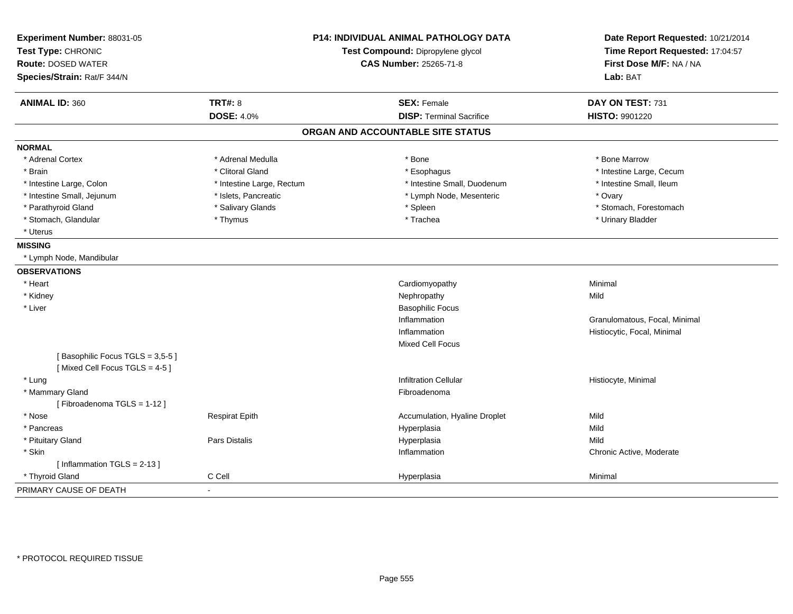| Experiment Number: 88031-05<br>Test Type: CHRONIC<br><b>Route: DOSED WATER</b><br>Species/Strain: Rat/F 344/N | <b>P14: INDIVIDUAL ANIMAL PATHOLOGY DATA</b><br>Test Compound: Dipropylene glycol<br><b>CAS Number: 25265-71-8</b> |                                   | Date Report Requested: 10/21/2014<br>Time Report Requested: 17:04:57<br>First Dose M/F: NA / NA<br>Lab: BAT |  |
|---------------------------------------------------------------------------------------------------------------|--------------------------------------------------------------------------------------------------------------------|-----------------------------------|-------------------------------------------------------------------------------------------------------------|--|
| <b>ANIMAL ID: 360</b>                                                                                         | <b>TRT#: 8</b>                                                                                                     | <b>SEX: Female</b>                | DAY ON TEST: 731                                                                                            |  |
|                                                                                                               | <b>DOSE: 4.0%</b>                                                                                                  | <b>DISP: Terminal Sacrifice</b>   | HISTO: 9901220                                                                                              |  |
|                                                                                                               |                                                                                                                    | ORGAN AND ACCOUNTABLE SITE STATUS |                                                                                                             |  |
| <b>NORMAL</b>                                                                                                 |                                                                                                                    |                                   |                                                                                                             |  |
| * Adrenal Cortex                                                                                              | * Adrenal Medulla                                                                                                  | * Bone                            | * Bone Marrow                                                                                               |  |
| * Brain                                                                                                       | * Clitoral Gland                                                                                                   | * Esophagus                       | * Intestine Large, Cecum                                                                                    |  |
| * Intestine Large, Colon                                                                                      | * Intestine Large, Rectum                                                                                          | * Intestine Small, Duodenum       | * Intestine Small, Ileum                                                                                    |  |
| * Intestine Small, Jejunum                                                                                    | * Islets, Pancreatic                                                                                               | * Lymph Node, Mesenteric          | * Ovary                                                                                                     |  |
| * Parathyroid Gland                                                                                           | * Salivary Glands                                                                                                  | * Spleen                          | * Stomach, Forestomach                                                                                      |  |
| * Stomach, Glandular                                                                                          | * Thymus                                                                                                           | * Trachea                         | * Urinary Bladder                                                                                           |  |
| * Uterus                                                                                                      |                                                                                                                    |                                   |                                                                                                             |  |
| <b>MISSING</b>                                                                                                |                                                                                                                    |                                   |                                                                                                             |  |
| * Lymph Node, Mandibular                                                                                      |                                                                                                                    |                                   |                                                                                                             |  |
| <b>OBSERVATIONS</b>                                                                                           |                                                                                                                    |                                   |                                                                                                             |  |
| * Heart                                                                                                       |                                                                                                                    | Cardiomyopathy                    | Minimal                                                                                                     |  |
| * Kidney                                                                                                      |                                                                                                                    | Nephropathy                       | Mild                                                                                                        |  |
| * Liver                                                                                                       |                                                                                                                    | <b>Basophilic Focus</b>           |                                                                                                             |  |
|                                                                                                               |                                                                                                                    | Inflammation                      | Granulomatous, Focal, Minimal                                                                               |  |
|                                                                                                               |                                                                                                                    | Inflammation                      | Histiocytic, Focal, Minimal                                                                                 |  |
|                                                                                                               |                                                                                                                    | <b>Mixed Cell Focus</b>           |                                                                                                             |  |
| [Basophilic Focus TGLS = 3,5-5]<br>[Mixed Cell Focus TGLS = 4-5]                                              |                                                                                                                    |                                   |                                                                                                             |  |
| * Lung                                                                                                        |                                                                                                                    | <b>Infiltration Cellular</b>      | Histiocyte, Minimal                                                                                         |  |
| * Mammary Gland                                                                                               |                                                                                                                    | Fibroadenoma                      |                                                                                                             |  |
| [Fibroadenoma TGLS = 1-12]                                                                                    |                                                                                                                    |                                   |                                                                                                             |  |
| * Nose                                                                                                        | <b>Respirat Epith</b>                                                                                              | Accumulation, Hyaline Droplet     | Mild                                                                                                        |  |
| * Pancreas                                                                                                    |                                                                                                                    | Hyperplasia                       | Mild                                                                                                        |  |
| * Pituitary Gland                                                                                             | <b>Pars Distalis</b>                                                                                               | Hyperplasia                       | Mild                                                                                                        |  |
| * Skin                                                                                                        |                                                                                                                    | Inflammation                      | Chronic Active, Moderate                                                                                    |  |
| [Inflammation $TGLS = 2-13$ ]                                                                                 |                                                                                                                    |                                   |                                                                                                             |  |
| * Thyroid Gland                                                                                               | C Cell                                                                                                             | Hyperplasia                       | Minimal                                                                                                     |  |
| PRIMARY CAUSE OF DEATH                                                                                        | $\blacksquare$                                                                                                     |                                   |                                                                                                             |  |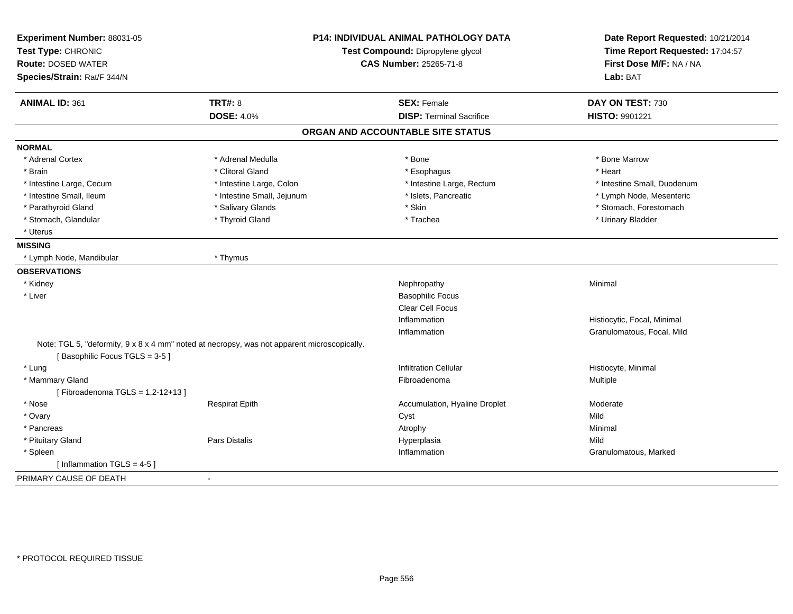| Experiment Number: 88031-05<br>Test Type: CHRONIC<br><b>Route: DOSED WATER</b><br>Species/Strain: Rat/F 344/N | P14: INDIVIDUAL ANIMAL PATHOLOGY DATA<br>Test Compound: Dipropylene glycol<br><b>CAS Number: 25265-71-8</b> |                                   | Date Report Requested: 10/21/2014<br>Time Report Requested: 17:04:57<br>First Dose M/F: NA / NA<br>Lab: BAT |  |
|---------------------------------------------------------------------------------------------------------------|-------------------------------------------------------------------------------------------------------------|-----------------------------------|-------------------------------------------------------------------------------------------------------------|--|
| <b>ANIMAL ID: 361</b>                                                                                         | <b>TRT#: 8</b>                                                                                              | <b>SEX: Female</b>                | DAY ON TEST: 730                                                                                            |  |
|                                                                                                               | <b>DOSE: 4.0%</b>                                                                                           | <b>DISP: Terminal Sacrifice</b>   | HISTO: 9901221                                                                                              |  |
|                                                                                                               |                                                                                                             | ORGAN AND ACCOUNTABLE SITE STATUS |                                                                                                             |  |
| <b>NORMAL</b>                                                                                                 |                                                                                                             |                                   |                                                                                                             |  |
| * Adrenal Cortex                                                                                              | * Adrenal Medulla                                                                                           | * Bone                            | * Bone Marrow                                                                                               |  |
| * Brain                                                                                                       | * Clitoral Gland                                                                                            | * Esophagus                       | * Heart                                                                                                     |  |
| * Intestine Large, Cecum                                                                                      | * Intestine Large, Colon                                                                                    | * Intestine Large, Rectum         | * Intestine Small, Duodenum                                                                                 |  |
| * Intestine Small, Ileum                                                                                      | * Intestine Small, Jejunum                                                                                  | * Islets, Pancreatic              | * Lymph Node, Mesenteric                                                                                    |  |
| * Parathyroid Gland                                                                                           | * Salivary Glands                                                                                           | * Skin                            | * Stomach, Forestomach                                                                                      |  |
| * Stomach, Glandular                                                                                          | * Thyroid Gland                                                                                             | * Trachea                         | * Urinary Bladder                                                                                           |  |
| * Uterus                                                                                                      |                                                                                                             |                                   |                                                                                                             |  |
| <b>MISSING</b>                                                                                                |                                                                                                             |                                   |                                                                                                             |  |
| * Lymph Node, Mandibular                                                                                      | * Thymus                                                                                                    |                                   |                                                                                                             |  |
| <b>OBSERVATIONS</b>                                                                                           |                                                                                                             |                                   |                                                                                                             |  |
| * Kidney                                                                                                      |                                                                                                             | Nephropathy                       | Minimal                                                                                                     |  |
| * Liver                                                                                                       |                                                                                                             | <b>Basophilic Focus</b>           |                                                                                                             |  |
|                                                                                                               |                                                                                                             | Clear Cell Focus                  |                                                                                                             |  |
|                                                                                                               |                                                                                                             | Inflammation                      | Histiocytic, Focal, Minimal                                                                                 |  |
|                                                                                                               |                                                                                                             | Inflammation                      | Granulomatous, Focal, Mild                                                                                  |  |
| [Basophilic Focus TGLS = 3-5]                                                                                 | Note: TGL 5, "deformity, 9 x 8 x 4 mm" noted at necropsy, was not apparent microscopically.                 |                                   |                                                                                                             |  |
| * Lung                                                                                                        |                                                                                                             | <b>Infiltration Cellular</b>      | Histiocyte, Minimal                                                                                         |  |
| * Mammary Gland                                                                                               |                                                                                                             | Fibroadenoma                      | Multiple                                                                                                    |  |
| [Fibroadenoma TGLS = 1,2-12+13]                                                                               |                                                                                                             |                                   |                                                                                                             |  |
| * Nose                                                                                                        | <b>Respirat Epith</b>                                                                                       | Accumulation, Hyaline Droplet     | Moderate                                                                                                    |  |
| * Ovary                                                                                                       |                                                                                                             | Cyst                              | Mild                                                                                                        |  |
| * Pancreas                                                                                                    |                                                                                                             | Atrophy                           | Minimal                                                                                                     |  |
| * Pituitary Gland                                                                                             | Pars Distalis                                                                                               | Hyperplasia                       | Mild                                                                                                        |  |
| * Spleen                                                                                                      |                                                                                                             | Inflammation                      | Granulomatous, Marked                                                                                       |  |
| [Inflammation TGLS = $4-5$ ]                                                                                  |                                                                                                             |                                   |                                                                                                             |  |
| PRIMARY CAUSE OF DEATH                                                                                        | $\sim$                                                                                                      |                                   |                                                                                                             |  |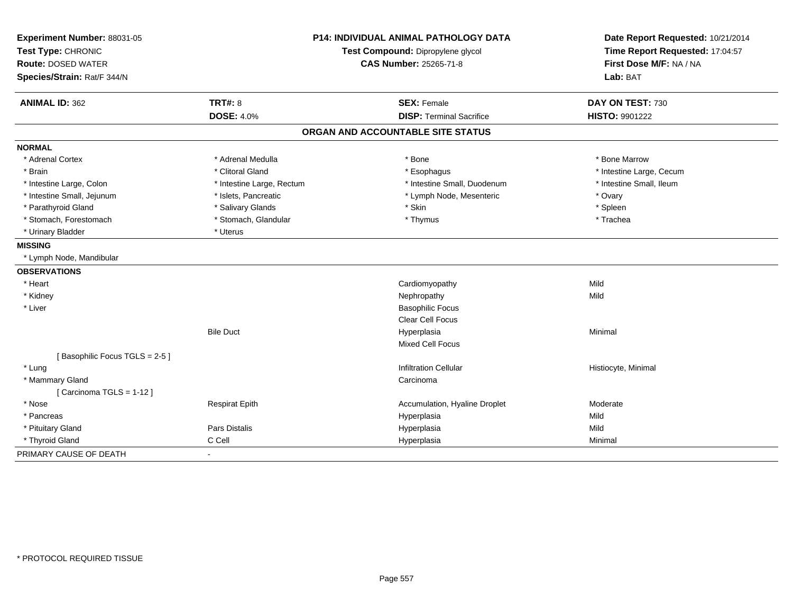| Experiment Number: 88031-05<br>Test Type: CHRONIC        | <b>P14: INDIVIDUAL ANIMAL PATHOLOGY DATA</b><br>Test Compound: Dipropylene glycol<br>CAS Number: 25265-71-8 |                                   | Date Report Requested: 10/21/2014<br>Time Report Requested: 17:04:57 |
|----------------------------------------------------------|-------------------------------------------------------------------------------------------------------------|-----------------------------------|----------------------------------------------------------------------|
| <b>Route: DOSED WATER</b><br>Species/Strain: Rat/F 344/N |                                                                                                             |                                   | First Dose M/F: NA / NA<br>Lab: BAT                                  |
| <b>ANIMAL ID: 362</b>                                    | <b>TRT#: 8</b>                                                                                              | <b>SEX: Female</b>                | DAY ON TEST: 730                                                     |
|                                                          | <b>DOSE: 4.0%</b>                                                                                           | <b>DISP: Terminal Sacrifice</b>   | HISTO: 9901222                                                       |
|                                                          |                                                                                                             | ORGAN AND ACCOUNTABLE SITE STATUS |                                                                      |
| <b>NORMAL</b>                                            |                                                                                                             |                                   |                                                                      |
| * Adrenal Cortex                                         | * Adrenal Medulla                                                                                           | * Bone                            | * Bone Marrow                                                        |
| * Brain                                                  | * Clitoral Gland                                                                                            | * Esophagus                       | * Intestine Large, Cecum                                             |
| * Intestine Large, Colon                                 | * Intestine Large, Rectum                                                                                   | * Intestine Small, Duodenum       | * Intestine Small, Ileum                                             |
| * Intestine Small, Jejunum                               | * Islets, Pancreatic                                                                                        | * Lymph Node, Mesenteric          | * Ovary                                                              |
| * Parathyroid Gland                                      | * Salivary Glands                                                                                           | * Skin                            | * Spleen                                                             |
| * Stomach, Forestomach                                   | * Stomach, Glandular                                                                                        | * Thymus                          | * Trachea                                                            |
| * Urinary Bladder                                        | * Uterus                                                                                                    |                                   |                                                                      |
| <b>MISSING</b>                                           |                                                                                                             |                                   |                                                                      |
| * Lymph Node, Mandibular                                 |                                                                                                             |                                   |                                                                      |
| <b>OBSERVATIONS</b>                                      |                                                                                                             |                                   |                                                                      |
| * Heart                                                  |                                                                                                             | Cardiomyopathy                    | Mild                                                                 |
| * Kidney                                                 |                                                                                                             | Nephropathy                       | Mild                                                                 |
| * Liver                                                  |                                                                                                             | <b>Basophilic Focus</b>           |                                                                      |
|                                                          |                                                                                                             | <b>Clear Cell Focus</b>           |                                                                      |
|                                                          | <b>Bile Duct</b>                                                                                            | Hyperplasia                       | Minimal                                                              |
|                                                          |                                                                                                             | Mixed Cell Focus                  |                                                                      |
| [Basophilic Focus TGLS = 2-5]                            |                                                                                                             |                                   |                                                                      |
| * Lung                                                   |                                                                                                             | <b>Infiltration Cellular</b>      | Histiocyte, Minimal                                                  |
| * Mammary Gland                                          |                                                                                                             | Carcinoma                         |                                                                      |
| [Carcinoma TGLS = $1-12$ ]                               |                                                                                                             |                                   |                                                                      |
| * Nose                                                   | <b>Respirat Epith</b>                                                                                       | Accumulation, Hyaline Droplet     | Moderate                                                             |
| * Pancreas                                               |                                                                                                             | Hyperplasia                       | Mild                                                                 |
| * Pituitary Gland                                        | <b>Pars Distalis</b>                                                                                        | Hyperplasia                       | Mild                                                                 |
| * Thyroid Gland                                          | C Cell                                                                                                      | Hyperplasia                       | Minimal                                                              |
| PRIMARY CAUSE OF DEATH                                   |                                                                                                             |                                   |                                                                      |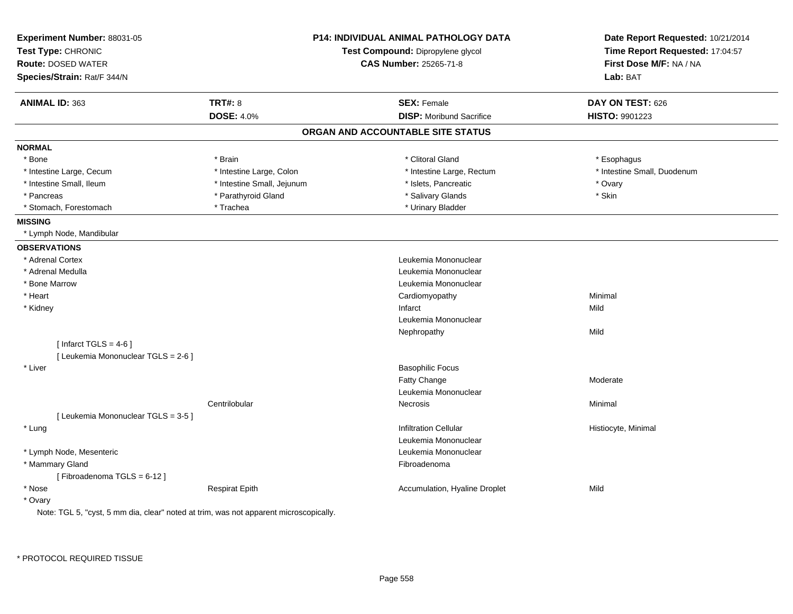| Experiment Number: 88031-05<br>Test Type: CHRONIC<br><b>Route: DOSED WATER</b> |                            | <b>P14: INDIVIDUAL ANIMAL PATHOLOGY DATA</b><br>Test Compound: Dipropylene glycol<br><b>CAS Number: 25265-71-8</b> | Date Report Requested: 10/21/2014<br>Time Report Requested: 17:04:57<br>First Dose M/F: NA / NA |
|--------------------------------------------------------------------------------|----------------------------|--------------------------------------------------------------------------------------------------------------------|-------------------------------------------------------------------------------------------------|
| Species/Strain: Rat/F 344/N                                                    |                            |                                                                                                                    | Lab: BAT                                                                                        |
| <b>ANIMAL ID: 363</b>                                                          | <b>TRT#: 8</b>             | <b>SEX: Female</b>                                                                                                 | DAY ON TEST: 626                                                                                |
|                                                                                | <b>DOSE: 4.0%</b>          | <b>DISP:</b> Moribund Sacrifice                                                                                    | HISTO: 9901223                                                                                  |
|                                                                                |                            | ORGAN AND ACCOUNTABLE SITE STATUS                                                                                  |                                                                                                 |
| <b>NORMAL</b>                                                                  |                            |                                                                                                                    |                                                                                                 |
| * Bone                                                                         | * Brain                    | * Clitoral Gland                                                                                                   | * Esophagus                                                                                     |
| * Intestine Large, Cecum                                                       | * Intestine Large, Colon   | * Intestine Large, Rectum                                                                                          | * Intestine Small, Duodenum                                                                     |
| * Intestine Small, Ileum                                                       | * Intestine Small, Jejunum | * Islets, Pancreatic                                                                                               | * Ovary                                                                                         |
| * Pancreas                                                                     | * Parathyroid Gland        | * Salivary Glands                                                                                                  | * Skin                                                                                          |
| * Stomach, Forestomach                                                         | * Trachea                  | * Urinary Bladder                                                                                                  |                                                                                                 |
| <b>MISSING</b>                                                                 |                            |                                                                                                                    |                                                                                                 |
| * Lymph Node, Mandibular                                                       |                            |                                                                                                                    |                                                                                                 |
| <b>OBSERVATIONS</b>                                                            |                            |                                                                                                                    |                                                                                                 |
| * Adrenal Cortex                                                               |                            | Leukemia Mononuclear                                                                                               |                                                                                                 |
| * Adrenal Medulla                                                              |                            | Leukemia Mononuclear                                                                                               |                                                                                                 |
| * Bone Marrow                                                                  |                            | Leukemia Mononuclear                                                                                               |                                                                                                 |
| * Heart                                                                        |                            | Cardiomyopathy                                                                                                     | Minimal                                                                                         |
| * Kidney                                                                       |                            | Infarct                                                                                                            | Mild                                                                                            |
|                                                                                |                            | Leukemia Mononuclear                                                                                               |                                                                                                 |
|                                                                                |                            | Nephropathy                                                                                                        | Mild                                                                                            |
| [ Infarct TGLS = $4-6$ ]                                                       |                            |                                                                                                                    |                                                                                                 |
| [ Leukemia Mononuclear TGLS = 2-6 ]                                            |                            |                                                                                                                    |                                                                                                 |
| * Liver                                                                        |                            | <b>Basophilic Focus</b>                                                                                            |                                                                                                 |
|                                                                                |                            | Fatty Change                                                                                                       | Moderate                                                                                        |
|                                                                                |                            | Leukemia Mononuclear                                                                                               |                                                                                                 |
|                                                                                | Centrilobular              | Necrosis                                                                                                           | Minimal                                                                                         |
| [ Leukemia Mononuclear TGLS = 3-5 ]                                            |                            |                                                                                                                    |                                                                                                 |
| * Lung                                                                         |                            | <b>Infiltration Cellular</b>                                                                                       | Histiocyte, Minimal                                                                             |
|                                                                                |                            | Leukemia Mononuclear                                                                                               |                                                                                                 |
| * Lymph Node, Mesenteric                                                       |                            | Leukemia Mononuclear                                                                                               |                                                                                                 |
| * Mammary Gland                                                                |                            | Fibroadenoma                                                                                                       |                                                                                                 |
| [Fibroadenoma TGLS = $6-12$ ]                                                  |                            |                                                                                                                    |                                                                                                 |
| * Nose                                                                         | <b>Respirat Epith</b>      | Accumulation, Hyaline Droplet                                                                                      | Mild                                                                                            |
| * Ovary                                                                        |                            |                                                                                                                    |                                                                                                 |

Note: TGL 5, "cyst, 5 mm dia, clear" noted at trim, was not apparent microscopically.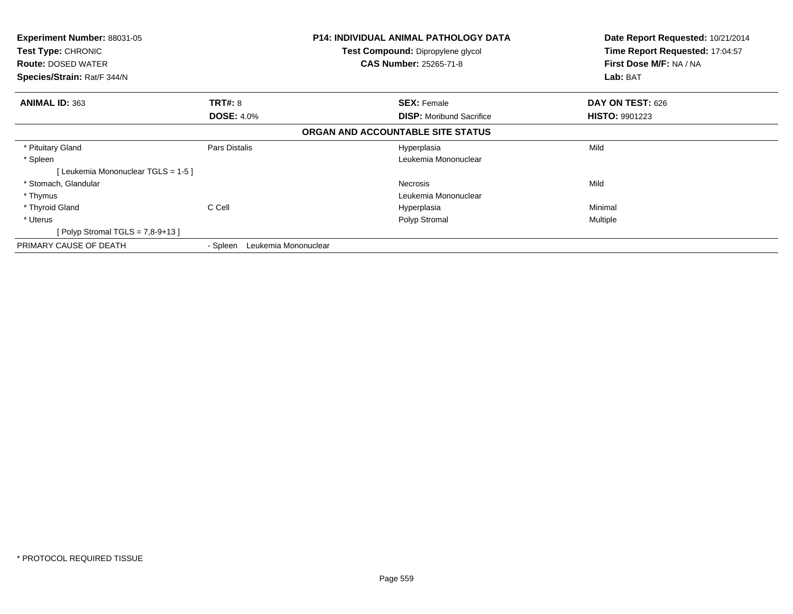| Experiment Number: 88031-05<br><b>Test Type: CHRONIC</b><br><b>Route: DOSED WATER</b><br>Species/Strain: Rat/F 344/N | <b>P14: INDIVIDUAL ANIMAL PATHOLOGY DATA</b><br>Test Compound: Dipropylene glycol<br><b>CAS Number: 25265-71-8</b> |                                   | Date Report Requested: 10/21/2014<br>Time Report Requested: 17:04:57<br>First Dose M/F: NA / NA<br>Lab: BAT |
|----------------------------------------------------------------------------------------------------------------------|--------------------------------------------------------------------------------------------------------------------|-----------------------------------|-------------------------------------------------------------------------------------------------------------|
| <b>ANIMAL ID: 363</b>                                                                                                | <b>TRT#: 8</b>                                                                                                     | <b>SEX: Female</b>                | DAY ON TEST: 626                                                                                            |
|                                                                                                                      | <b>DOSE: 4.0%</b>                                                                                                  | <b>DISP:</b> Moribund Sacrifice   | <b>HISTO: 9901223</b>                                                                                       |
|                                                                                                                      |                                                                                                                    | ORGAN AND ACCOUNTABLE SITE STATUS |                                                                                                             |
| * Pituitary Gland                                                                                                    | Pars Distalis                                                                                                      | Hyperplasia                       | Mild                                                                                                        |
| * Spleen                                                                                                             |                                                                                                                    | Leukemia Mononuclear              |                                                                                                             |
| [Leukemia Mononuclear TGLS = 1-5]                                                                                    |                                                                                                                    |                                   |                                                                                                             |
| * Stomach, Glandular                                                                                                 |                                                                                                                    | Necrosis                          | Mild                                                                                                        |
| * Thymus                                                                                                             |                                                                                                                    | Leukemia Mononuclear              |                                                                                                             |
| * Thyroid Gland                                                                                                      | C Cell                                                                                                             | Hyperplasia                       | Minimal                                                                                                     |
| * Uterus                                                                                                             |                                                                                                                    | Polyp Stromal                     | Multiple                                                                                                    |
| Polyp Stromal TGLS = $7,8-9+13$ ]                                                                                    |                                                                                                                    |                                   |                                                                                                             |
| PRIMARY CAUSE OF DEATH                                                                                               | Leukemia Mononuclear<br>- Spleen                                                                                   |                                   |                                                                                                             |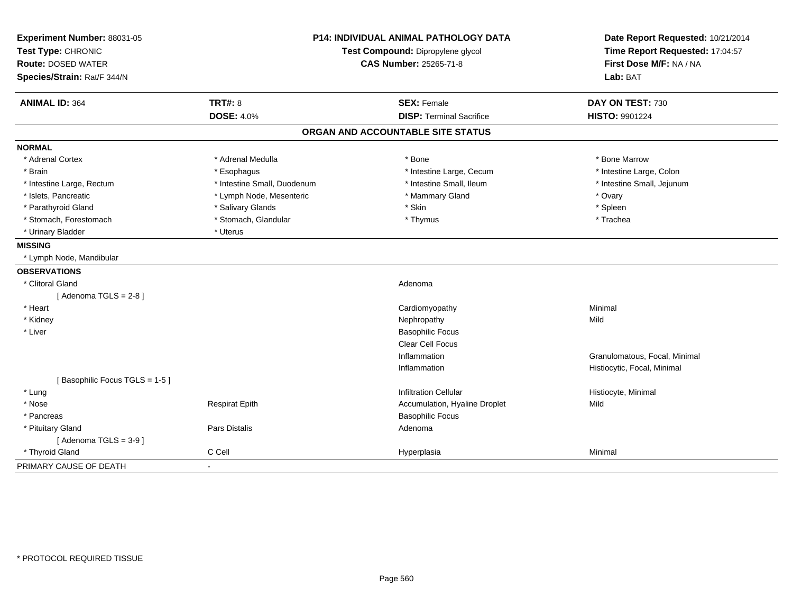| Experiment Number: 88031-05   | <b>P14: INDIVIDUAL ANIMAL PATHOLOGY DATA</b><br>Test Compound: Dipropylene glycol<br><b>CAS Number: 25265-71-8</b> |                                   | Date Report Requested: 10/21/2014                          |  |
|-------------------------------|--------------------------------------------------------------------------------------------------------------------|-----------------------------------|------------------------------------------------------------|--|
| Test Type: CHRONIC            |                                                                                                                    |                                   | Time Report Requested: 17:04:57<br>First Dose M/F: NA / NA |  |
| <b>Route: DOSED WATER</b>     |                                                                                                                    |                                   |                                                            |  |
| Species/Strain: Rat/F 344/N   |                                                                                                                    |                                   | Lab: BAT                                                   |  |
| <b>ANIMAL ID: 364</b>         | <b>TRT#: 8</b>                                                                                                     | <b>SEX: Female</b>                | DAY ON TEST: 730                                           |  |
|                               | <b>DOSE: 4.0%</b>                                                                                                  | <b>DISP: Terminal Sacrifice</b>   | <b>HISTO: 9901224</b>                                      |  |
|                               |                                                                                                                    | ORGAN AND ACCOUNTABLE SITE STATUS |                                                            |  |
| <b>NORMAL</b>                 |                                                                                                                    |                                   |                                                            |  |
| * Adrenal Cortex              | * Adrenal Medulla                                                                                                  | * Bone                            | * Bone Marrow                                              |  |
| * Brain                       | * Esophagus                                                                                                        | * Intestine Large, Cecum          | * Intestine Large, Colon                                   |  |
| * Intestine Large, Rectum     | * Intestine Small, Duodenum                                                                                        | * Intestine Small. Ileum          | * Intestine Small, Jejunum                                 |  |
| * Islets, Pancreatic          | * Lymph Node, Mesenteric                                                                                           | * Mammary Gland                   | * Ovary                                                    |  |
| * Parathyroid Gland           | * Salivary Glands                                                                                                  | * Skin                            | * Spleen                                                   |  |
| * Stomach, Forestomach        | * Stomach, Glandular                                                                                               | * Thymus                          | * Trachea                                                  |  |
| * Urinary Bladder             | * Uterus                                                                                                           |                                   |                                                            |  |
| <b>MISSING</b>                |                                                                                                                    |                                   |                                                            |  |
| * Lymph Node, Mandibular      |                                                                                                                    |                                   |                                                            |  |
| <b>OBSERVATIONS</b>           |                                                                                                                    |                                   |                                                            |  |
| * Clitoral Gland              |                                                                                                                    | Adenoma                           |                                                            |  |
| [Adenoma TGLS = $2-8$ ]       |                                                                                                                    |                                   |                                                            |  |
| * Heart                       |                                                                                                                    | Cardiomyopathy                    | Minimal                                                    |  |
| * Kidney                      |                                                                                                                    | Nephropathy                       | Mild                                                       |  |
| * Liver                       |                                                                                                                    | <b>Basophilic Focus</b>           |                                                            |  |
|                               |                                                                                                                    | <b>Clear Cell Focus</b>           |                                                            |  |
|                               |                                                                                                                    | Inflammation                      | Granulomatous, Focal, Minimal                              |  |
|                               |                                                                                                                    | Inflammation                      | Histiocytic, Focal, Minimal                                |  |
| [Basophilic Focus TGLS = 1-5] |                                                                                                                    |                                   |                                                            |  |
| * Lung                        |                                                                                                                    | <b>Infiltration Cellular</b>      | Histiocyte, Minimal                                        |  |
| * Nose                        | <b>Respirat Epith</b>                                                                                              | Accumulation, Hyaline Droplet     | Mild                                                       |  |
| * Pancreas                    |                                                                                                                    | <b>Basophilic Focus</b>           |                                                            |  |
| * Pituitary Gland             | Pars Distalis                                                                                                      | Adenoma                           |                                                            |  |
| [Adenoma TGLS = $3-9$ ]       |                                                                                                                    |                                   |                                                            |  |
| * Thyroid Gland               | C Cell                                                                                                             | Hyperplasia                       | Minimal                                                    |  |
| PRIMARY CAUSE OF DEATH        |                                                                                                                    |                                   |                                                            |  |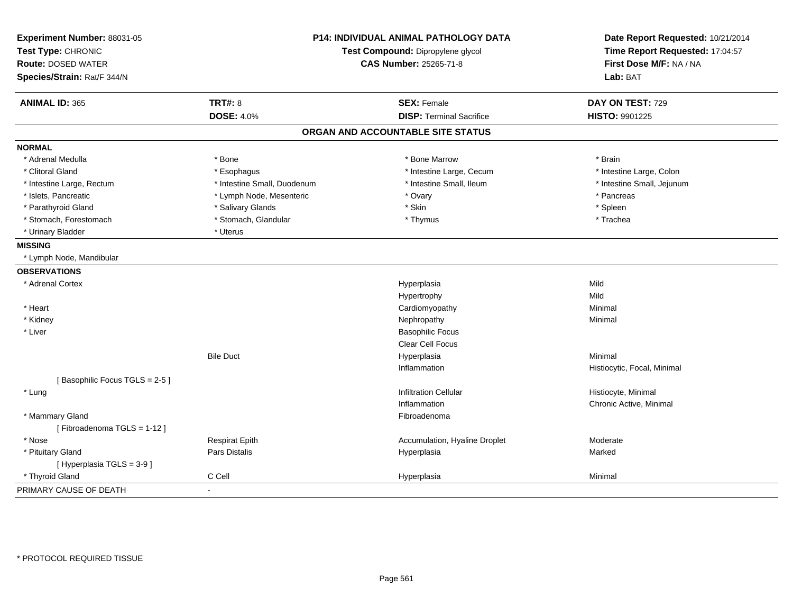| Experiment Number: 88031-05<br>Test Type: CHRONIC<br><b>Route: DOSED WATER</b><br>Species/Strain: Rat/F 344/N | <b>P14: INDIVIDUAL ANIMAL PATHOLOGY DATA</b><br>Test Compound: Dipropylene glycol<br><b>CAS Number: 25265-71-8</b> |                                   | Date Report Requested: 10/21/2014<br>Time Report Requested: 17:04:57<br>First Dose M/F: NA / NA<br>Lab: BAT |
|---------------------------------------------------------------------------------------------------------------|--------------------------------------------------------------------------------------------------------------------|-----------------------------------|-------------------------------------------------------------------------------------------------------------|
| <b>ANIMAL ID: 365</b>                                                                                         | <b>TRT#: 8</b>                                                                                                     | <b>SEX: Female</b>                | DAY ON TEST: 729                                                                                            |
|                                                                                                               | <b>DOSE: 4.0%</b>                                                                                                  | <b>DISP: Terminal Sacrifice</b>   | HISTO: 9901225                                                                                              |
|                                                                                                               |                                                                                                                    | ORGAN AND ACCOUNTABLE SITE STATUS |                                                                                                             |
| <b>NORMAL</b>                                                                                                 |                                                                                                                    |                                   |                                                                                                             |
| * Adrenal Medulla                                                                                             | * Bone                                                                                                             | * Bone Marrow                     | * Brain                                                                                                     |
| * Clitoral Gland                                                                                              | * Esophagus                                                                                                        | * Intestine Large, Cecum          | * Intestine Large, Colon                                                                                    |
| * Intestine Large, Rectum                                                                                     | * Intestine Small, Duodenum                                                                                        | * Intestine Small, Ileum          | * Intestine Small, Jejunum                                                                                  |
| * Islets, Pancreatic                                                                                          | * Lymph Node, Mesenteric                                                                                           | * Ovary                           | * Pancreas                                                                                                  |
| * Parathyroid Gland                                                                                           | * Salivary Glands                                                                                                  | * Skin                            | * Spleen                                                                                                    |
| * Stomach, Forestomach                                                                                        | * Stomach, Glandular                                                                                               | * Thymus                          | * Trachea                                                                                                   |
| * Urinary Bladder                                                                                             | * Uterus                                                                                                           |                                   |                                                                                                             |
| <b>MISSING</b>                                                                                                |                                                                                                                    |                                   |                                                                                                             |
| * Lymph Node, Mandibular                                                                                      |                                                                                                                    |                                   |                                                                                                             |
| <b>OBSERVATIONS</b>                                                                                           |                                                                                                                    |                                   |                                                                                                             |
| * Adrenal Cortex                                                                                              |                                                                                                                    | Hyperplasia                       | Mild                                                                                                        |
|                                                                                                               |                                                                                                                    | Hypertrophy                       | Mild                                                                                                        |
| * Heart                                                                                                       |                                                                                                                    | Cardiomyopathy                    | Minimal                                                                                                     |
| * Kidney                                                                                                      |                                                                                                                    | Nephropathy                       | Minimal                                                                                                     |
| * Liver                                                                                                       |                                                                                                                    | <b>Basophilic Focus</b>           |                                                                                                             |
|                                                                                                               |                                                                                                                    | Clear Cell Focus                  |                                                                                                             |
|                                                                                                               | <b>Bile Duct</b>                                                                                                   | Hyperplasia                       | Minimal                                                                                                     |
|                                                                                                               |                                                                                                                    | Inflammation                      | Histiocytic, Focal, Minimal                                                                                 |
| [Basophilic Focus TGLS = 2-5]                                                                                 |                                                                                                                    |                                   |                                                                                                             |
| * Lung                                                                                                        |                                                                                                                    | <b>Infiltration Cellular</b>      | Histiocyte, Minimal                                                                                         |
|                                                                                                               |                                                                                                                    | Inflammation                      | Chronic Active, Minimal                                                                                     |
| * Mammary Gland                                                                                               |                                                                                                                    | Fibroadenoma                      |                                                                                                             |
| [Fibroadenoma TGLS = 1-12]                                                                                    |                                                                                                                    |                                   |                                                                                                             |
| * Nose                                                                                                        | <b>Respirat Epith</b>                                                                                              | Accumulation, Hyaline Droplet     | Moderate                                                                                                    |
| * Pituitary Gland                                                                                             | <b>Pars Distalis</b>                                                                                               | Hyperplasia                       | Marked                                                                                                      |
| [Hyperplasia TGLS = 3-9]                                                                                      |                                                                                                                    |                                   |                                                                                                             |
| * Thyroid Gland                                                                                               | C Cell                                                                                                             | Hyperplasia                       | Minimal                                                                                                     |
| PRIMARY CAUSE OF DEATH                                                                                        |                                                                                                                    |                                   |                                                                                                             |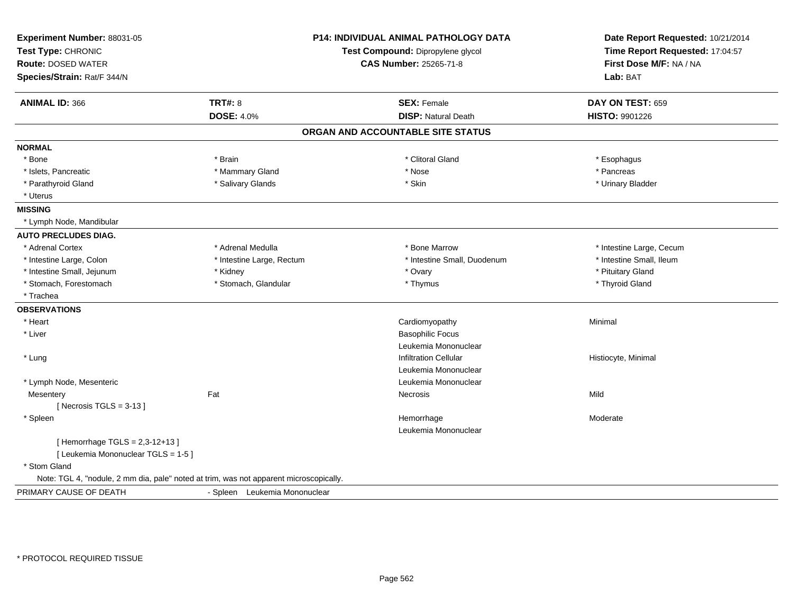| Experiment Number: 88031-05<br>Test Type: CHRONIC<br><b>Route: DOSED WATER</b><br>Species/Strain: Rat/F 344/N | P14: INDIVIDUAL ANIMAL PATHOLOGY DATA<br>Test Compound: Dipropylene glycol<br><b>CAS Number: 25265-71-8</b> |                                   | Date Report Requested: 10/21/2014<br>Time Report Requested: 17:04:57<br>First Dose M/F: NA / NA<br>Lab: BAT |  |
|---------------------------------------------------------------------------------------------------------------|-------------------------------------------------------------------------------------------------------------|-----------------------------------|-------------------------------------------------------------------------------------------------------------|--|
| <b>ANIMAL ID: 366</b>                                                                                         | <b>TRT#: 8</b>                                                                                              | <b>SEX: Female</b>                | DAY ON TEST: 659                                                                                            |  |
|                                                                                                               | <b>DOSE: 4.0%</b>                                                                                           | <b>DISP: Natural Death</b>        | HISTO: 9901226                                                                                              |  |
|                                                                                                               |                                                                                                             | ORGAN AND ACCOUNTABLE SITE STATUS |                                                                                                             |  |
| <b>NORMAL</b>                                                                                                 |                                                                                                             |                                   |                                                                                                             |  |
| * Bone                                                                                                        | * Brain                                                                                                     | * Clitoral Gland                  | * Esophagus                                                                                                 |  |
| * Islets, Pancreatic                                                                                          | * Mammary Gland                                                                                             | * Nose                            | * Pancreas                                                                                                  |  |
| * Parathyroid Gland                                                                                           | * Salivary Glands                                                                                           | * Skin                            | * Urinary Bladder                                                                                           |  |
| * Uterus                                                                                                      |                                                                                                             |                                   |                                                                                                             |  |
| <b>MISSING</b>                                                                                                |                                                                                                             |                                   |                                                                                                             |  |
| * Lymph Node, Mandibular                                                                                      |                                                                                                             |                                   |                                                                                                             |  |
| <b>AUTO PRECLUDES DIAG.</b>                                                                                   |                                                                                                             |                                   |                                                                                                             |  |
| * Adrenal Cortex                                                                                              | * Adrenal Medulla                                                                                           | * Bone Marrow                     | * Intestine Large, Cecum                                                                                    |  |
| * Intestine Large, Colon                                                                                      | * Intestine Large, Rectum                                                                                   | * Intestine Small, Duodenum       | * Intestine Small, Ileum                                                                                    |  |
| * Intestine Small, Jejunum                                                                                    | * Kidney                                                                                                    | * Ovary                           | * Pituitary Gland                                                                                           |  |
| * Stomach, Forestomach                                                                                        | * Stomach, Glandular                                                                                        | * Thymus                          | * Thyroid Gland                                                                                             |  |
| * Trachea                                                                                                     |                                                                                                             |                                   |                                                                                                             |  |
| <b>OBSERVATIONS</b>                                                                                           |                                                                                                             |                                   |                                                                                                             |  |
| * Heart                                                                                                       |                                                                                                             | Cardiomyopathy                    | Minimal                                                                                                     |  |
| * Liver                                                                                                       |                                                                                                             | <b>Basophilic Focus</b>           |                                                                                                             |  |
|                                                                                                               |                                                                                                             | Leukemia Mononuclear              |                                                                                                             |  |
| * Lung                                                                                                        |                                                                                                             | <b>Infiltration Cellular</b>      | Histiocyte, Minimal                                                                                         |  |
|                                                                                                               |                                                                                                             | Leukemia Mononuclear              |                                                                                                             |  |
| * Lymph Node, Mesenteric                                                                                      |                                                                                                             | Leukemia Mononuclear              |                                                                                                             |  |
| Mesentery                                                                                                     | Fat                                                                                                         | Necrosis                          | Mild                                                                                                        |  |
| [Necrosis TGLS = $3-13$ ]                                                                                     |                                                                                                             |                                   |                                                                                                             |  |
| * Spleen                                                                                                      |                                                                                                             | Hemorrhage                        | Moderate                                                                                                    |  |
|                                                                                                               |                                                                                                             | Leukemia Mononuclear              |                                                                                                             |  |
| [Hemorrhage TGLS = 2,3-12+13]                                                                                 |                                                                                                             |                                   |                                                                                                             |  |
| [ Leukemia Mononuclear TGLS = 1-5 ]                                                                           |                                                                                                             |                                   |                                                                                                             |  |
| * Stom Gland                                                                                                  |                                                                                                             |                                   |                                                                                                             |  |
| Note: TGL 4, "nodule, 2 mm dia, pale" noted at trim, was not apparent microscopically.                        |                                                                                                             |                                   |                                                                                                             |  |
| PRIMARY CAUSE OF DEATH                                                                                        | - Spleen Leukemia Mononuclear                                                                               |                                   |                                                                                                             |  |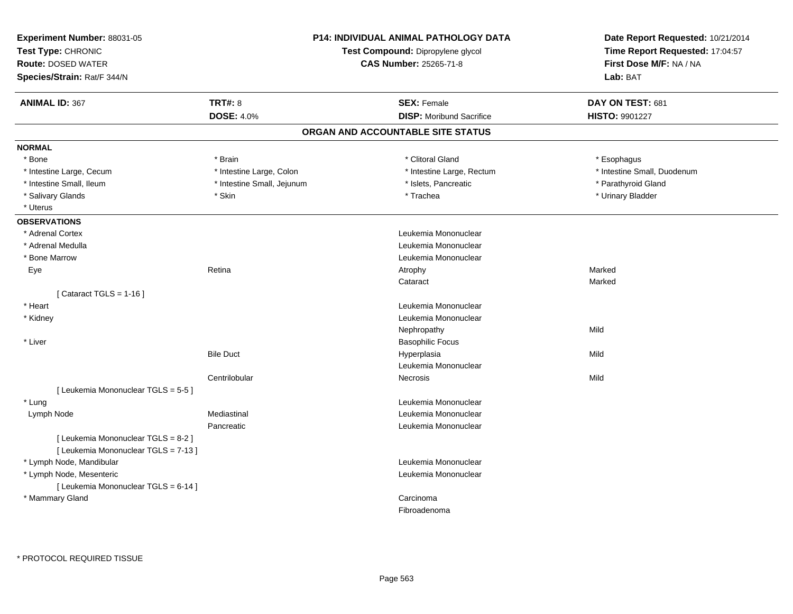| Experiment Number: 88031-05<br>Test Type: CHRONIC<br><b>Route: DOSED WATER</b><br>Species/Strain: Rat/F 344/N |                            | P14: INDIVIDUAL ANIMAL PATHOLOGY DATA<br>Test Compound: Dipropylene glycol<br><b>CAS Number: 25265-71-8</b> | Date Report Requested: 10/21/2014<br>Time Report Requested: 17:04:57<br>First Dose M/F: NA / NA<br>Lab: BAT |
|---------------------------------------------------------------------------------------------------------------|----------------------------|-------------------------------------------------------------------------------------------------------------|-------------------------------------------------------------------------------------------------------------|
| <b>ANIMAL ID: 367</b>                                                                                         | <b>TRT#: 8</b>             | <b>SEX: Female</b>                                                                                          | DAY ON TEST: 681                                                                                            |
|                                                                                                               | <b>DOSE: 4.0%</b>          | <b>DISP:</b> Moribund Sacrifice                                                                             | HISTO: 9901227                                                                                              |
|                                                                                                               |                            | ORGAN AND ACCOUNTABLE SITE STATUS                                                                           |                                                                                                             |
| <b>NORMAL</b>                                                                                                 |                            |                                                                                                             |                                                                                                             |
| * Bone                                                                                                        | * Brain                    | * Clitoral Gland                                                                                            | * Esophagus                                                                                                 |
| * Intestine Large, Cecum                                                                                      | * Intestine Large, Colon   | * Intestine Large, Rectum                                                                                   | * Intestine Small, Duodenum                                                                                 |
| * Intestine Small, Ileum                                                                                      | * Intestine Small, Jejunum | * Islets, Pancreatic                                                                                        | * Parathyroid Gland                                                                                         |
| * Salivary Glands                                                                                             | * Skin                     | * Trachea                                                                                                   | * Urinary Bladder                                                                                           |
| * Uterus                                                                                                      |                            |                                                                                                             |                                                                                                             |
| <b>OBSERVATIONS</b>                                                                                           |                            |                                                                                                             |                                                                                                             |
| * Adrenal Cortex                                                                                              |                            | Leukemia Mononuclear                                                                                        |                                                                                                             |
| * Adrenal Medulla                                                                                             |                            | Leukemia Mononuclear                                                                                        |                                                                                                             |
| * Bone Marrow                                                                                                 |                            | Leukemia Mononuclear                                                                                        |                                                                                                             |
| Eye                                                                                                           | Retina                     | Atrophy                                                                                                     | Marked                                                                                                      |
|                                                                                                               |                            | Cataract                                                                                                    | Marked                                                                                                      |
| [Cataract TGLS = $1-16$ ]                                                                                     |                            |                                                                                                             |                                                                                                             |
| * Heart                                                                                                       |                            | Leukemia Mononuclear                                                                                        |                                                                                                             |
| * Kidney                                                                                                      |                            | Leukemia Mononuclear                                                                                        |                                                                                                             |
|                                                                                                               |                            | Nephropathy                                                                                                 | Mild                                                                                                        |
| * Liver                                                                                                       |                            | <b>Basophilic Focus</b>                                                                                     |                                                                                                             |
|                                                                                                               | <b>Bile Duct</b>           | Hyperplasia                                                                                                 | Mild                                                                                                        |
|                                                                                                               |                            | Leukemia Mononuclear                                                                                        |                                                                                                             |
|                                                                                                               | Centrilobular              | Necrosis                                                                                                    | Mild                                                                                                        |
| [ Leukemia Mononuclear TGLS = 5-5 ]                                                                           |                            |                                                                                                             |                                                                                                             |
| * Lung                                                                                                        |                            | Leukemia Mononuclear                                                                                        |                                                                                                             |
| Lymph Node                                                                                                    | Mediastinal                | Leukemia Mononuclear                                                                                        |                                                                                                             |
|                                                                                                               | Pancreatic                 | Leukemia Mononuclear                                                                                        |                                                                                                             |
| [ Leukemia Mononuclear TGLS = 8-2 ]                                                                           |                            |                                                                                                             |                                                                                                             |
| [ Leukemia Mononuclear TGLS = 7-13 ]                                                                          |                            |                                                                                                             |                                                                                                             |
| * Lymph Node, Mandibular                                                                                      |                            | Leukemia Mononuclear                                                                                        |                                                                                                             |
| * Lymph Node, Mesenteric                                                                                      |                            | Leukemia Mononuclear                                                                                        |                                                                                                             |
| [ Leukemia Mononuclear TGLS = 6-14 ]                                                                          |                            |                                                                                                             |                                                                                                             |
| * Mammary Gland                                                                                               |                            | Carcinoma<br>Fibroadenoma                                                                                   |                                                                                                             |
|                                                                                                               |                            |                                                                                                             |                                                                                                             |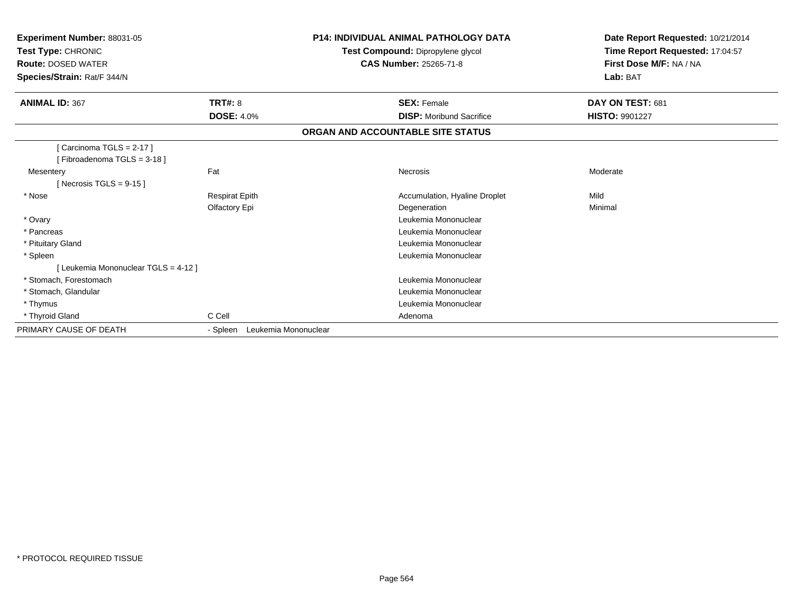| Experiment Number: 88031-05<br><b>Test Type: CHRONIC</b><br><b>Route: DOSED WATER</b><br>Species/Strain: Rat/F 344/N |                                  | <b>P14: INDIVIDUAL ANIMAL PATHOLOGY DATA</b><br>Date Report Requested: 10/21/2014<br>Test Compound: Dipropylene glycol<br>Time Report Requested: 17:04:57<br>First Dose M/F: NA / NA<br><b>CAS Number: 25265-71-8</b><br>Lab: BAT |                       |
|----------------------------------------------------------------------------------------------------------------------|----------------------------------|-----------------------------------------------------------------------------------------------------------------------------------------------------------------------------------------------------------------------------------|-----------------------|
| <b>ANIMAL ID: 367</b>                                                                                                | <b>TRT#: 8</b>                   | <b>SEX: Female</b>                                                                                                                                                                                                                | DAY ON TEST: 681      |
|                                                                                                                      | <b>DOSE: 4.0%</b>                | <b>DISP:</b> Moribund Sacrifice                                                                                                                                                                                                   | <b>HISTO: 9901227</b> |
|                                                                                                                      |                                  | ORGAN AND ACCOUNTABLE SITE STATUS                                                                                                                                                                                                 |                       |
| [ Carcinoma TGLS = 2-17 ]<br>[Fibroadenoma TGLS = 3-18]                                                              |                                  |                                                                                                                                                                                                                                   |                       |
| Mesentery<br>[Necrosis TGLS = $9-15$ ]                                                                               | Fat                              | Necrosis                                                                                                                                                                                                                          | Moderate              |
| * Nose                                                                                                               | <b>Respirat Epith</b>            | Accumulation, Hyaline Droplet                                                                                                                                                                                                     | Mild                  |
|                                                                                                                      | Olfactory Epi                    | Degeneration                                                                                                                                                                                                                      | Minimal               |
| * Ovary                                                                                                              |                                  | Leukemia Mononuclear                                                                                                                                                                                                              |                       |
| * Pancreas                                                                                                           |                                  | Leukemia Mononuclear                                                                                                                                                                                                              |                       |
| * Pituitary Gland                                                                                                    |                                  | Leukemia Mononuclear                                                                                                                                                                                                              |                       |
| * Spleen                                                                                                             |                                  | Leukemia Mononuclear                                                                                                                                                                                                              |                       |
| [Leukemia Mononuclear TGLS = 4-12 ]                                                                                  |                                  |                                                                                                                                                                                                                                   |                       |
| * Stomach, Forestomach                                                                                               |                                  | Leukemia Mononuclear                                                                                                                                                                                                              |                       |
| * Stomach, Glandular                                                                                                 |                                  | Leukemia Mononuclear                                                                                                                                                                                                              |                       |
| * Thymus                                                                                                             |                                  | Leukemia Mononuclear                                                                                                                                                                                                              |                       |
| * Thyroid Gland                                                                                                      | C Cell                           | Adenoma                                                                                                                                                                                                                           |                       |
| PRIMARY CAUSE OF DEATH                                                                                               | Leukemia Mononuclear<br>- Spleen |                                                                                                                                                                                                                                   |                       |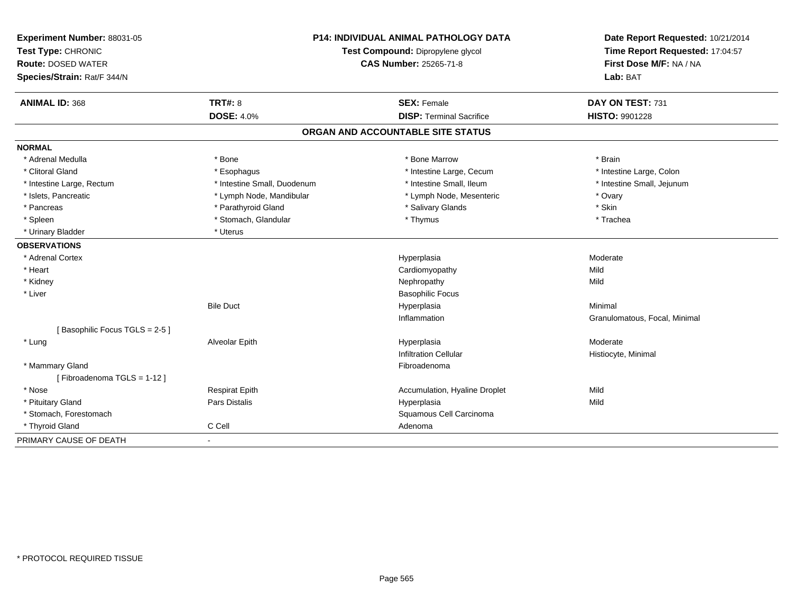| Experiment Number: 88031-05<br>Test Type: CHRONIC |                             | <b>P14: INDIVIDUAL ANIMAL PATHOLOGY DATA</b><br>Test Compound: Dipropylene glycol | Date Report Requested: 10/21/2014<br>Time Report Requested: 17:04:57<br>First Dose M/F: NA / NA |
|---------------------------------------------------|-----------------------------|-----------------------------------------------------------------------------------|-------------------------------------------------------------------------------------------------|
| <b>Route: DOSED WATER</b>                         |                             | <b>CAS Number: 25265-71-8</b>                                                     |                                                                                                 |
| Species/Strain: Rat/F 344/N                       |                             |                                                                                   | Lab: BAT                                                                                        |
| <b>ANIMAL ID: 368</b>                             | <b>TRT#: 8</b>              | <b>SEX: Female</b>                                                                | DAY ON TEST: 731                                                                                |
|                                                   | <b>DOSE: 4.0%</b>           | <b>DISP: Terminal Sacrifice</b>                                                   | <b>HISTO: 9901228</b>                                                                           |
|                                                   |                             | ORGAN AND ACCOUNTABLE SITE STATUS                                                 |                                                                                                 |
| <b>NORMAL</b>                                     |                             |                                                                                   |                                                                                                 |
| * Adrenal Medulla                                 | * Bone                      | * Bone Marrow                                                                     | * Brain                                                                                         |
| * Clitoral Gland                                  | * Esophagus                 | * Intestine Large, Cecum                                                          | * Intestine Large, Colon                                                                        |
| * Intestine Large, Rectum                         | * Intestine Small, Duodenum | * Intestine Small, Ileum                                                          | * Intestine Small, Jejunum                                                                      |
| * Islets, Pancreatic                              | * Lymph Node, Mandibular    | * Lymph Node, Mesenteric                                                          | * Ovary                                                                                         |
| * Pancreas                                        | * Parathyroid Gland         | * Salivary Glands                                                                 | * Skin                                                                                          |
| * Spleen                                          | * Stomach, Glandular        | * Thymus                                                                          | * Trachea                                                                                       |
| * Urinary Bladder                                 | * Uterus                    |                                                                                   |                                                                                                 |
| <b>OBSERVATIONS</b>                               |                             |                                                                                   |                                                                                                 |
| * Adrenal Cortex                                  |                             | Hyperplasia                                                                       | Moderate                                                                                        |
| * Heart                                           |                             | Cardiomyopathy                                                                    | Mild                                                                                            |
| * Kidney                                          |                             | Nephropathy                                                                       | Mild                                                                                            |
| * Liver                                           |                             | <b>Basophilic Focus</b>                                                           |                                                                                                 |
|                                                   | <b>Bile Duct</b>            | Hyperplasia                                                                       | Minimal                                                                                         |
|                                                   |                             | Inflammation                                                                      | Granulomatous, Focal, Minimal                                                                   |
| [Basophilic Focus TGLS = 2-5]                     |                             |                                                                                   |                                                                                                 |
| * Lung                                            | Alveolar Epith              | Hyperplasia                                                                       | Moderate                                                                                        |
|                                                   |                             | <b>Infiltration Cellular</b>                                                      | Histiocyte, Minimal                                                                             |
| * Mammary Gland                                   |                             | Fibroadenoma                                                                      |                                                                                                 |
| [Fibroadenoma TGLS = 1-12]                        |                             |                                                                                   |                                                                                                 |
| * Nose                                            | <b>Respirat Epith</b>       | Accumulation, Hyaline Droplet                                                     | Mild                                                                                            |
| * Pituitary Gland                                 | Pars Distalis               | Hyperplasia                                                                       | Mild                                                                                            |
| * Stomach, Forestomach                            |                             | Squamous Cell Carcinoma                                                           |                                                                                                 |
| * Thyroid Gland                                   | C Cell                      | Adenoma                                                                           |                                                                                                 |
| PRIMARY CAUSE OF DEATH                            | $\blacksquare$              |                                                                                   |                                                                                                 |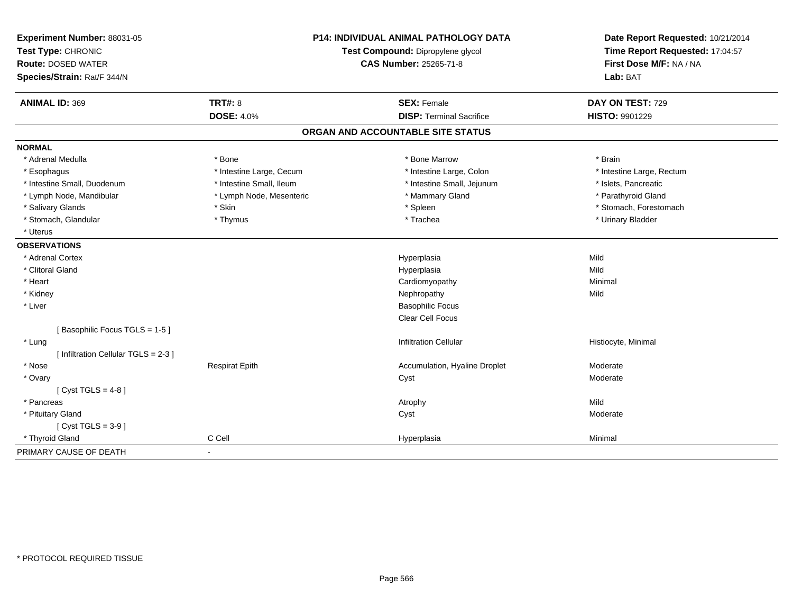| Experiment Number: 88031-05<br>Test Type: CHRONIC |                               | <b>P14: INDIVIDUAL ANIMAL PATHOLOGY DATA</b><br>Test Compound: Dipropylene glycol | Date Report Requested: 10/21/2014<br>Time Report Requested: 17:04:57 |
|---------------------------------------------------|-------------------------------|-----------------------------------------------------------------------------------|----------------------------------------------------------------------|
| <b>Route: DOSED WATER</b>                         | <b>CAS Number: 25265-71-8</b> |                                                                                   | First Dose M/F: NA / NA                                              |
| Species/Strain: Rat/F 344/N                       |                               |                                                                                   | Lab: BAT                                                             |
| <b>ANIMAL ID: 369</b>                             | <b>TRT#: 8</b>                | <b>SEX: Female</b>                                                                | DAY ON TEST: 729                                                     |
|                                                   | <b>DOSE: 4.0%</b>             | <b>DISP: Terminal Sacrifice</b>                                                   | HISTO: 9901229                                                       |
|                                                   |                               | ORGAN AND ACCOUNTABLE SITE STATUS                                                 |                                                                      |
| <b>NORMAL</b>                                     |                               |                                                                                   |                                                                      |
| * Adrenal Medulla                                 | * Bone                        | * Bone Marrow                                                                     | * Brain                                                              |
| * Esophagus                                       | * Intestine Large, Cecum      | * Intestine Large, Colon                                                          | * Intestine Large, Rectum                                            |
| * Intestine Small, Duodenum                       | * Intestine Small, Ileum      | * Intestine Small, Jejunum                                                        | * Islets, Pancreatic                                                 |
| * Lymph Node, Mandibular                          | * Lymph Node, Mesenteric      | * Mammary Gland                                                                   | * Parathyroid Gland                                                  |
| * Salivary Glands                                 | * Skin                        | * Spleen                                                                          | * Stomach, Forestomach                                               |
| * Stomach, Glandular                              | * Thymus                      | * Trachea                                                                         | * Urinary Bladder                                                    |
| * Uterus                                          |                               |                                                                                   |                                                                      |
| <b>OBSERVATIONS</b>                               |                               |                                                                                   |                                                                      |
| * Adrenal Cortex                                  |                               | Hyperplasia                                                                       | Mild                                                                 |
| * Clitoral Gland                                  |                               | Hyperplasia                                                                       | Mild                                                                 |
| * Heart                                           |                               | Cardiomyopathy                                                                    | Minimal                                                              |
| * Kidney                                          |                               | Nephropathy                                                                       | Mild                                                                 |
| * Liver                                           |                               | <b>Basophilic Focus</b>                                                           |                                                                      |
|                                                   |                               | <b>Clear Cell Focus</b>                                                           |                                                                      |
| [Basophilic Focus TGLS = 1-5]                     |                               |                                                                                   |                                                                      |
| * Lung                                            |                               | Infiltration Cellular                                                             | Histiocyte, Minimal                                                  |
| [ Infiltration Cellular TGLS = 2-3 ]              |                               |                                                                                   |                                                                      |
| * Nose                                            | <b>Respirat Epith</b>         | Accumulation, Hyaline Droplet                                                     | Moderate                                                             |
| * Ovary                                           |                               | Cyst                                                                              | Moderate                                                             |
| [Cyst TGLS = $4-8$ ]                              |                               |                                                                                   |                                                                      |
| * Pancreas                                        |                               | Atrophy                                                                           | Mild                                                                 |
| * Pituitary Gland                                 |                               | Cyst                                                                              | Moderate                                                             |
| $[Cyst TGLS = 3-9]$                               |                               |                                                                                   |                                                                      |
| * Thyroid Gland                                   | C Cell                        | Hyperplasia                                                                       | Minimal                                                              |
| PRIMARY CAUSE OF DEATH                            | $\sim$                        |                                                                                   |                                                                      |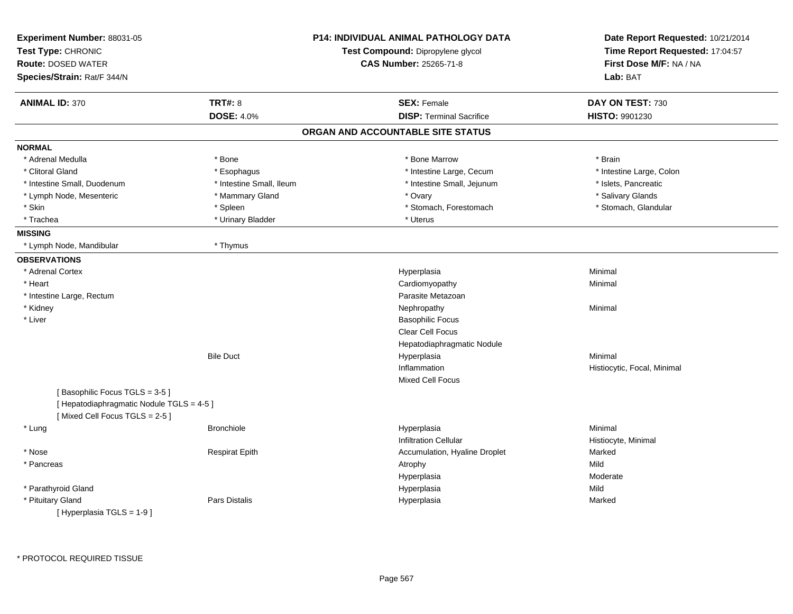| Experiment Number: 88031-05<br>Test Type: CHRONIC<br><b>Route: DOSED WATER</b><br>Species/Strain: Rat/F 344/N |                          | <b>P14: INDIVIDUAL ANIMAL PATHOLOGY DATA</b><br>Test Compound: Dipropylene glycol<br><b>CAS Number: 25265-71-8</b> | Date Report Requested: 10/21/2014<br>Time Report Requested: 17:04:57<br>First Dose M/F: NA / NA<br>Lab: BAT |
|---------------------------------------------------------------------------------------------------------------|--------------------------|--------------------------------------------------------------------------------------------------------------------|-------------------------------------------------------------------------------------------------------------|
| <b>ANIMAL ID: 370</b>                                                                                         | <b>TRT#: 8</b>           | <b>SEX: Female</b>                                                                                                 | DAY ON TEST: 730                                                                                            |
|                                                                                                               | <b>DOSE: 4.0%</b>        | <b>DISP: Terminal Sacrifice</b>                                                                                    | HISTO: 9901230                                                                                              |
|                                                                                                               |                          | ORGAN AND ACCOUNTABLE SITE STATUS                                                                                  |                                                                                                             |
| <b>NORMAL</b>                                                                                                 |                          |                                                                                                                    |                                                                                                             |
| * Adrenal Medulla                                                                                             | * Bone                   | * Bone Marrow                                                                                                      | * Brain                                                                                                     |
| * Clitoral Gland                                                                                              | * Esophagus              | * Intestine Large, Cecum                                                                                           | * Intestine Large, Colon                                                                                    |
| * Intestine Small, Duodenum                                                                                   | * Intestine Small, Ileum | * Intestine Small, Jejunum                                                                                         | * Islets, Pancreatic                                                                                        |
| * Lymph Node, Mesenteric                                                                                      | * Mammary Gland          | * Ovary                                                                                                            | * Salivary Glands                                                                                           |
| * Skin                                                                                                        | * Spleen                 | * Stomach, Forestomach                                                                                             | * Stomach, Glandular                                                                                        |
| * Trachea                                                                                                     | * Urinary Bladder        | * Uterus                                                                                                           |                                                                                                             |
| <b>MISSING</b>                                                                                                |                          |                                                                                                                    |                                                                                                             |
| * Lymph Node, Mandibular                                                                                      | * Thymus                 |                                                                                                                    |                                                                                                             |
| <b>OBSERVATIONS</b>                                                                                           |                          |                                                                                                                    |                                                                                                             |
| * Adrenal Cortex                                                                                              |                          | Hyperplasia                                                                                                        | Minimal                                                                                                     |
| * Heart                                                                                                       |                          | Cardiomyopathy                                                                                                     | Minimal                                                                                                     |
| * Intestine Large, Rectum                                                                                     |                          | Parasite Metazoan                                                                                                  |                                                                                                             |
| * Kidney                                                                                                      |                          | Nephropathy                                                                                                        | Minimal                                                                                                     |
| * Liver                                                                                                       |                          | <b>Basophilic Focus</b>                                                                                            |                                                                                                             |
|                                                                                                               |                          | Clear Cell Focus                                                                                                   |                                                                                                             |
|                                                                                                               |                          | Hepatodiaphragmatic Nodule                                                                                         |                                                                                                             |
|                                                                                                               | <b>Bile Duct</b>         | Hyperplasia                                                                                                        | Minimal                                                                                                     |
|                                                                                                               |                          | Inflammation                                                                                                       | Histiocytic, Focal, Minimal                                                                                 |
|                                                                                                               |                          | <b>Mixed Cell Focus</b>                                                                                            |                                                                                                             |
| [Basophilic Focus TGLS = 3-5]                                                                                 |                          |                                                                                                                    |                                                                                                             |
| [ Hepatodiaphragmatic Nodule TGLS = 4-5 ]                                                                     |                          |                                                                                                                    |                                                                                                             |
| [Mixed Cell Focus TGLS = 2-5]<br>* Lung                                                                       | <b>Bronchiole</b>        | Hyperplasia                                                                                                        | Minimal                                                                                                     |
|                                                                                                               |                          | <b>Infiltration Cellular</b>                                                                                       | Histiocyte, Minimal                                                                                         |
| * Nose                                                                                                        | <b>Respirat Epith</b>    | Accumulation, Hyaline Droplet                                                                                      | Marked                                                                                                      |
| * Pancreas                                                                                                    |                          | Atrophy                                                                                                            | Mild                                                                                                        |
|                                                                                                               |                          | Hyperplasia                                                                                                        | Moderate                                                                                                    |
| * Parathyroid Gland                                                                                           |                          | Hyperplasia                                                                                                        | Mild                                                                                                        |
| * Pituitary Gland                                                                                             | Pars Distalis            |                                                                                                                    | Marked                                                                                                      |
| [Hyperplasia TGLS = $1-9$ ]                                                                                   |                          | Hyperplasia                                                                                                        |                                                                                                             |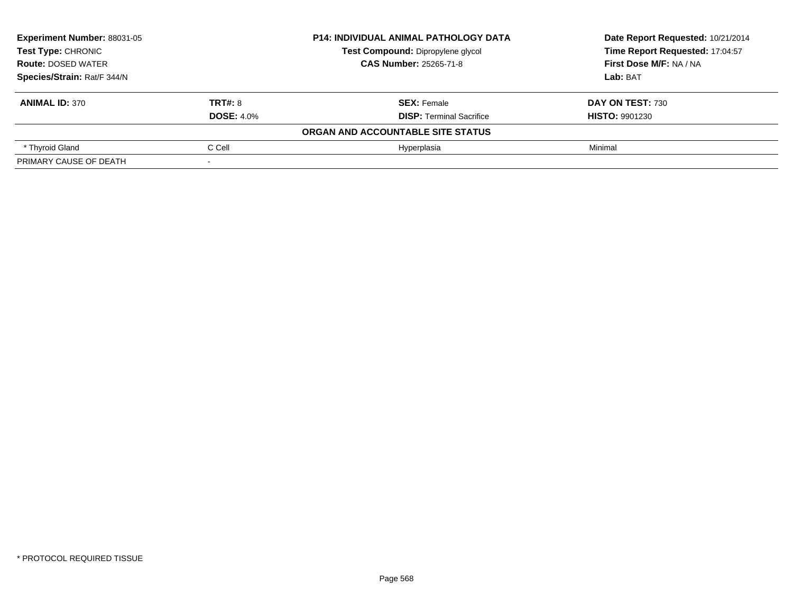| <b>Experiment Number: 88031-05</b><br><b>Test Type: CHRONIC</b> |                   | <b>P14: INDIVIDUAL ANIMAL PATHOLOGY DATA</b> | Date Report Requested: 10/21/2014 |
|-----------------------------------------------------------------|-------------------|----------------------------------------------|-----------------------------------|
|                                                                 |                   | Test Compound: Dipropylene glycol            | Time Report Requested: 17:04:57   |
| <b>Route: DOSED WATER</b>                                       |                   | <b>CAS Number: 25265-71-8</b>                | First Dose M/F: NA / NA           |
| Species/Strain: Rat/F 344/N                                     |                   |                                              | Lab: BAT                          |
| <b>ANIMAL ID: 370</b>                                           | TRT#: 8           | <b>SEX: Female</b>                           | DAY ON TEST: 730                  |
|                                                                 | <b>DOSE: 4.0%</b> | <b>DISP:</b> Terminal Sacrifice              | <b>HISTO: 9901230</b>             |
|                                                                 |                   | ORGAN AND ACCOUNTABLE SITE STATUS            |                                   |
| * Thyroid Gland                                                 | C Cell            | Hvperplasia                                  | Minimal                           |
| PRIMARY CAUSE OF DEATH                                          |                   |                                              |                                   |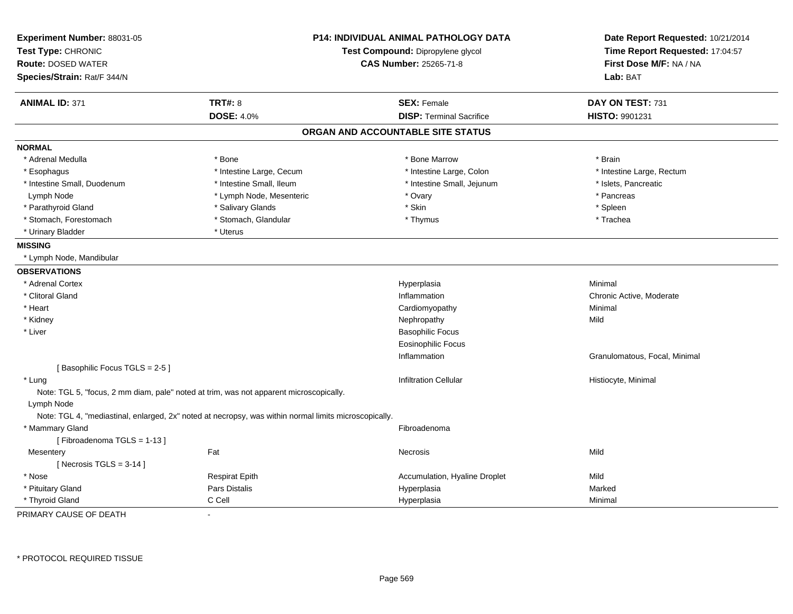| Experiment Number: 88031-05<br>Test Type: CHRONIC<br><b>Route: DOSED WATER</b><br>Species/Strain: Rat/F 344/N | <b>P14: INDIVIDUAL ANIMAL PATHOLOGY DATA</b><br>Test Compound: Dipropylene glycol<br><b>CAS Number: 25265-71-8</b> |                                   | Date Report Requested: 10/21/2014<br>Time Report Requested: 17:04:57<br>First Dose M/F: NA / NA<br>Lab: BAT |
|---------------------------------------------------------------------------------------------------------------|--------------------------------------------------------------------------------------------------------------------|-----------------------------------|-------------------------------------------------------------------------------------------------------------|
| <b>ANIMAL ID: 371</b>                                                                                         | <b>TRT#: 8</b>                                                                                                     | <b>SEX: Female</b>                | DAY ON TEST: 731                                                                                            |
|                                                                                                               | <b>DOSE: 4.0%</b>                                                                                                  | <b>DISP: Terminal Sacrifice</b>   | HISTO: 9901231                                                                                              |
|                                                                                                               |                                                                                                                    | ORGAN AND ACCOUNTABLE SITE STATUS |                                                                                                             |
| <b>NORMAL</b>                                                                                                 |                                                                                                                    |                                   |                                                                                                             |
| * Adrenal Medulla                                                                                             | * Bone                                                                                                             | * Bone Marrow                     | * Brain                                                                                                     |
| * Esophagus                                                                                                   | * Intestine Large, Cecum                                                                                           | * Intestine Large, Colon          | * Intestine Large, Rectum                                                                                   |
| * Intestine Small, Duodenum                                                                                   | * Intestine Small, Ileum                                                                                           | * Intestine Small, Jejunum        | * Islets, Pancreatic                                                                                        |
| Lymph Node                                                                                                    | * Lymph Node, Mesenteric                                                                                           | * Ovary                           | * Pancreas                                                                                                  |
| * Parathyroid Gland                                                                                           | * Salivary Glands                                                                                                  | * Skin                            | * Spleen                                                                                                    |
| * Stomach, Forestomach                                                                                        | * Stomach, Glandular                                                                                               | * Thymus                          | * Trachea                                                                                                   |
| * Urinary Bladder                                                                                             | * Uterus                                                                                                           |                                   |                                                                                                             |
| <b>MISSING</b>                                                                                                |                                                                                                                    |                                   |                                                                                                             |
| * Lymph Node, Mandibular                                                                                      |                                                                                                                    |                                   |                                                                                                             |
| <b>OBSERVATIONS</b>                                                                                           |                                                                                                                    |                                   |                                                                                                             |
| * Adrenal Cortex                                                                                              |                                                                                                                    | Hyperplasia                       | Minimal                                                                                                     |
| * Clitoral Gland                                                                                              |                                                                                                                    | Inflammation                      | Chronic Active, Moderate                                                                                    |
| * Heart                                                                                                       |                                                                                                                    | Cardiomyopathy                    | Minimal                                                                                                     |
| * Kidney                                                                                                      |                                                                                                                    | Nephropathy                       | Mild                                                                                                        |
| * Liver                                                                                                       |                                                                                                                    | <b>Basophilic Focus</b>           |                                                                                                             |
|                                                                                                               |                                                                                                                    | <b>Eosinophilic Focus</b>         |                                                                                                             |
|                                                                                                               |                                                                                                                    | Inflammation                      | Granulomatous, Focal, Minimal                                                                               |
| [Basophilic Focus TGLS = 2-5]                                                                                 |                                                                                                                    |                                   |                                                                                                             |
| * Lung<br>Lymph Node                                                                                          | Note: TGL 5, "focus, 2 mm diam, pale" noted at trim, was not apparent microscopically.                             | <b>Infiltration Cellular</b>      | Histiocyte, Minimal                                                                                         |
|                                                                                                               | Note: TGL 4, "mediastinal, enlarged, 2x" noted at necropsy, was within normal limits microscopically.              |                                   |                                                                                                             |
| * Mammary Gland<br>[Fibroadenoma TGLS = 1-13]                                                                 |                                                                                                                    | Fibroadenoma                      |                                                                                                             |
| Mesentery<br>[Necrosis $TGLS = 3-14$ ]                                                                        | Fat                                                                                                                | <b>Necrosis</b>                   | Mild                                                                                                        |
| * Nose                                                                                                        | <b>Respirat Epith</b>                                                                                              | Accumulation, Hyaline Droplet     | Mild                                                                                                        |
| * Pituitary Gland                                                                                             | Pars Distalis                                                                                                      | Hyperplasia                       | Marked                                                                                                      |
| * Thyroid Gland                                                                                               | C Cell                                                                                                             | Hyperplasia                       | Minimal                                                                                                     |

PRIMARY CAUSE OF DEATH-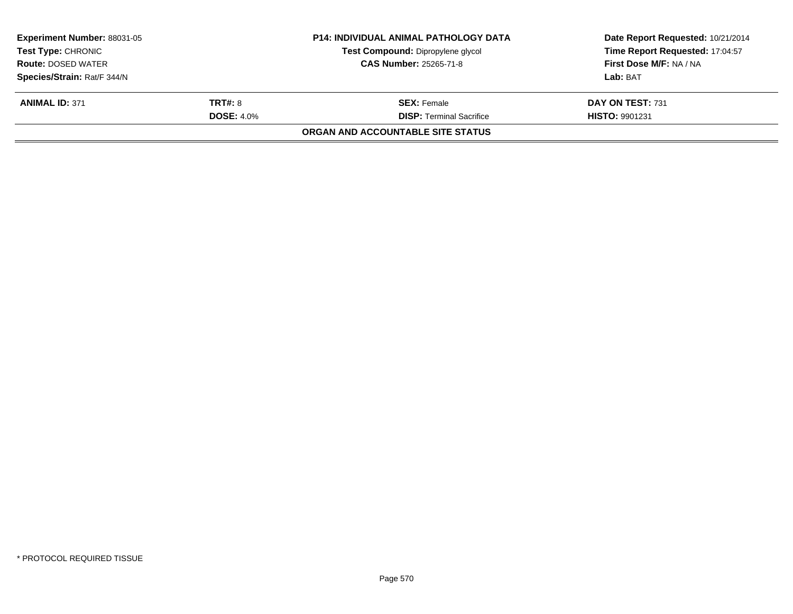| <b>Experiment Number: 88031-05</b> |                   | <b>P14: INDIVIDUAL ANIMAL PATHOLOGY DATA</b> | Date Report Requested: 10/21/2014 |  |
|------------------------------------|-------------------|----------------------------------------------|-----------------------------------|--|
| <b>Test Type: CHRONIC</b>          |                   | Test Compound: Dipropylene glycol            | Time Report Requested: 17:04:57   |  |
| <b>Route: DOSED WATER</b>          |                   | <b>CAS Number: 25265-71-8</b>                | First Dose M/F: NA / NA           |  |
| Species/Strain: Rat/F 344/N        |                   |                                              | Lab: BAT                          |  |
| <b>ANIMAL ID: 371</b>              | <b>TRT#: 8</b>    | <b>SEX: Female</b>                           | DAY ON TEST: 731                  |  |
|                                    | <b>DOSE: 4.0%</b> | <b>DISP:</b> Terminal Sacrifice              | <b>HISTO: 9901231</b>             |  |
|                                    |                   | ORGAN AND ACCOUNTABLE SITE STATUS            |                                   |  |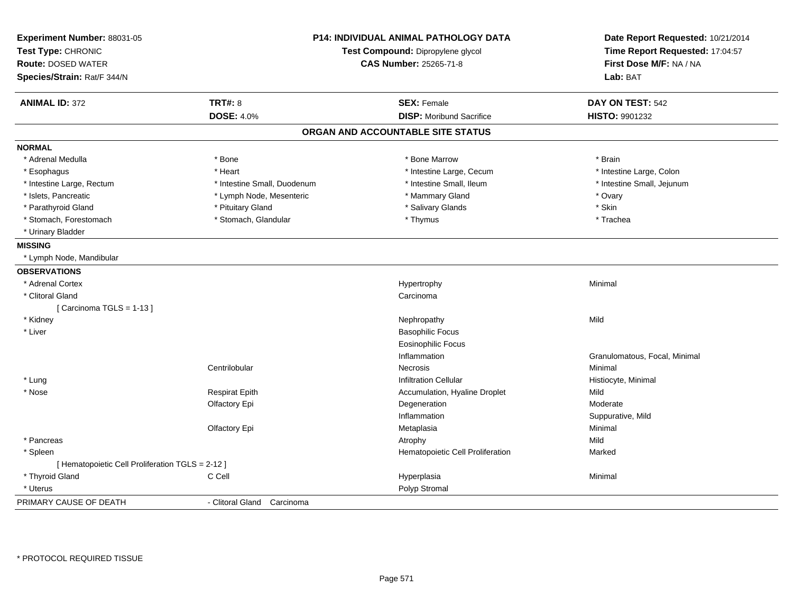| Experiment Number: 88031-05                      |                               | <b>P14: INDIVIDUAL ANIMAL PATHOLOGY DATA</b> | Date Report Requested: 10/21/2014 |
|--------------------------------------------------|-------------------------------|----------------------------------------------|-----------------------------------|
| Test Type: CHRONIC                               |                               | Test Compound: Dipropylene glycol            | Time Report Requested: 17:04:57   |
| <b>Route: DOSED WATER</b>                        |                               | <b>CAS Number: 25265-71-8</b>                | First Dose M/F: NA / NA           |
| Species/Strain: Rat/F 344/N                      |                               |                                              | Lab: BAT                          |
| <b>ANIMAL ID: 372</b>                            | <b>TRT#: 8</b>                | <b>SEX: Female</b>                           | DAY ON TEST: 542                  |
|                                                  | <b>DOSE: 4.0%</b>             | <b>DISP:</b> Moribund Sacrifice              | HISTO: 9901232                    |
|                                                  |                               | ORGAN AND ACCOUNTABLE SITE STATUS            |                                   |
| <b>NORMAL</b>                                    |                               |                                              |                                   |
| * Adrenal Medulla                                | * Bone                        | * Bone Marrow                                | * Brain                           |
| * Esophagus                                      | * Heart                       | * Intestine Large, Cecum                     | * Intestine Large, Colon          |
| * Intestine Large, Rectum                        | * Intestine Small, Duodenum   | * Intestine Small, Ileum                     | * Intestine Small, Jejunum        |
| * Islets, Pancreatic                             | * Lymph Node, Mesenteric      | * Mammary Gland                              | * Ovary                           |
| * Parathyroid Gland                              | * Pituitary Gland             | * Salivary Glands                            | * Skin                            |
| * Stomach, Forestomach                           | * Stomach, Glandular          | * Thymus                                     | * Trachea                         |
| * Urinary Bladder                                |                               |                                              |                                   |
| <b>MISSING</b>                                   |                               |                                              |                                   |
| * Lymph Node, Mandibular                         |                               |                                              |                                   |
| <b>OBSERVATIONS</b>                              |                               |                                              |                                   |
| * Adrenal Cortex                                 |                               | Hypertrophy                                  | Minimal                           |
| * Clitoral Gland                                 |                               | Carcinoma                                    |                                   |
| [Carcinoma TGLS = 1-13]                          |                               |                                              |                                   |
| * Kidney                                         |                               | Nephropathy                                  | Mild                              |
| * Liver                                          |                               | <b>Basophilic Focus</b>                      |                                   |
|                                                  |                               | <b>Eosinophilic Focus</b>                    |                                   |
|                                                  |                               | Inflammation                                 | Granulomatous, Focal, Minimal     |
|                                                  | Centrilobular                 | <b>Necrosis</b>                              | Minimal                           |
| * Lung                                           |                               | Infiltration Cellular                        | Histiocyte, Minimal               |
| * Nose                                           | <b>Respirat Epith</b>         | Accumulation, Hyaline Droplet                | Mild                              |
|                                                  | Olfactory Epi                 | Degeneration                                 | Moderate                          |
|                                                  |                               | Inflammation                                 | Suppurative, Mild                 |
|                                                  | Olfactory Epi                 | Metaplasia                                   | Minimal                           |
| * Pancreas                                       |                               | Atrophy                                      | Mild                              |
| * Spleen                                         |                               | Hematopoietic Cell Proliferation             | Marked                            |
| [ Hematopoietic Cell Proliferation TGLS = 2-12 ] |                               |                                              |                                   |
| * Thyroid Gland                                  | C Cell                        | Hyperplasia                                  | Minimal                           |
| * Uterus                                         |                               | Polyp Stromal                                |                                   |
| PRIMARY CAUSE OF DEATH                           | - Clitoral Gland<br>Carcinoma |                                              |                                   |
|                                                  |                               |                                              |                                   |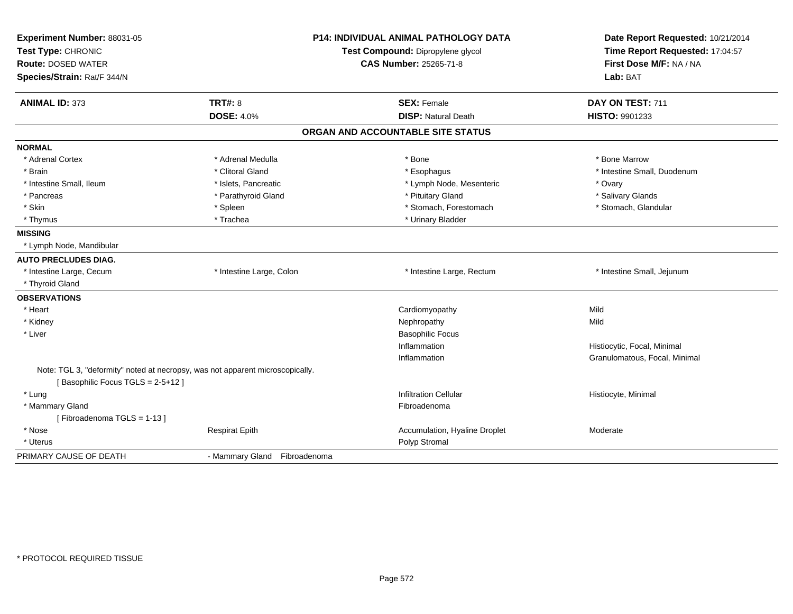| Experiment Number: 88031-05<br>Test Type: CHRONIC                                                                 | <b>P14: INDIVIDUAL ANIMAL PATHOLOGY DATA</b><br>Test Compound: Dipropylene glycol |                                   | Date Report Requested: 10/21/2014<br>Time Report Requested: 17:04:57 |
|-------------------------------------------------------------------------------------------------------------------|-----------------------------------------------------------------------------------|-----------------------------------|----------------------------------------------------------------------|
| <b>Route: DOSED WATER</b>                                                                                         |                                                                                   | <b>CAS Number: 25265-71-8</b>     | First Dose M/F: NA / NA                                              |
| Species/Strain: Rat/F 344/N                                                                                       |                                                                                   |                                   | Lab: BAT                                                             |
| <b>TRT#: 8</b><br><b>ANIMAL ID: 373</b>                                                                           |                                                                                   | <b>SEX: Female</b>                | DAY ON TEST: 711                                                     |
|                                                                                                                   | <b>DOSE: 4.0%</b>                                                                 | <b>DISP: Natural Death</b>        | HISTO: 9901233                                                       |
|                                                                                                                   |                                                                                   | ORGAN AND ACCOUNTABLE SITE STATUS |                                                                      |
| <b>NORMAL</b>                                                                                                     |                                                                                   |                                   |                                                                      |
| * Adrenal Cortex                                                                                                  | * Adrenal Medulla                                                                 | * Bone                            | * Bone Marrow                                                        |
| * Brain                                                                                                           | * Clitoral Gland                                                                  | * Esophagus                       | * Intestine Small, Duodenum                                          |
| * Intestine Small, Ileum                                                                                          | * Islets, Pancreatic                                                              | * Lymph Node, Mesenteric          | * Ovary                                                              |
| * Pancreas                                                                                                        | * Parathyroid Gland                                                               | * Pituitary Gland                 | * Salivary Glands                                                    |
| * Skin<br>* Spleen                                                                                                |                                                                                   | * Stomach, Forestomach            | * Stomach, Glandular                                                 |
| * Thymus                                                                                                          | * Trachea                                                                         | * Urinary Bladder                 |                                                                      |
| <b>MISSING</b>                                                                                                    |                                                                                   |                                   |                                                                      |
| * Lymph Node, Mandibular                                                                                          |                                                                                   |                                   |                                                                      |
| <b>AUTO PRECLUDES DIAG.</b>                                                                                       |                                                                                   |                                   |                                                                      |
| * Intestine Large, Cecum                                                                                          | * Intestine Large, Colon                                                          | * Intestine Large, Rectum         | * Intestine Small, Jejunum                                           |
| * Thyroid Gland                                                                                                   |                                                                                   |                                   |                                                                      |
| <b>OBSERVATIONS</b>                                                                                               |                                                                                   |                                   |                                                                      |
| * Heart                                                                                                           |                                                                                   | Cardiomyopathy                    | Mild                                                                 |
| * Kidney                                                                                                          |                                                                                   | Nephropathy                       | Mild                                                                 |
| * Liver                                                                                                           |                                                                                   | <b>Basophilic Focus</b>           |                                                                      |
|                                                                                                                   |                                                                                   | Inflammation                      | Histiocytic, Focal, Minimal                                          |
|                                                                                                                   |                                                                                   | Inflammation                      | Granulomatous, Focal, Minimal                                        |
| Note: TGL 3, "deformity" noted at necropsy, was not apparent microscopically.<br>[Basophilic Focus TGLS = 2-5+12] |                                                                                   |                                   |                                                                      |
| * Lung                                                                                                            |                                                                                   | <b>Infiltration Cellular</b>      | Histiocyte, Minimal                                                  |
| * Mammary Gland                                                                                                   |                                                                                   | Fibroadenoma                      |                                                                      |
| [Fibroadenoma TGLS = 1-13]                                                                                        |                                                                                   |                                   |                                                                      |
| * Nose                                                                                                            | <b>Respirat Epith</b>                                                             | Accumulation, Hyaline Droplet     | Moderate                                                             |
| * Uterus                                                                                                          |                                                                                   | Polyp Stromal                     |                                                                      |
| PRIMARY CAUSE OF DEATH                                                                                            | - Mammary Gland Fibroadenoma                                                      |                                   |                                                                      |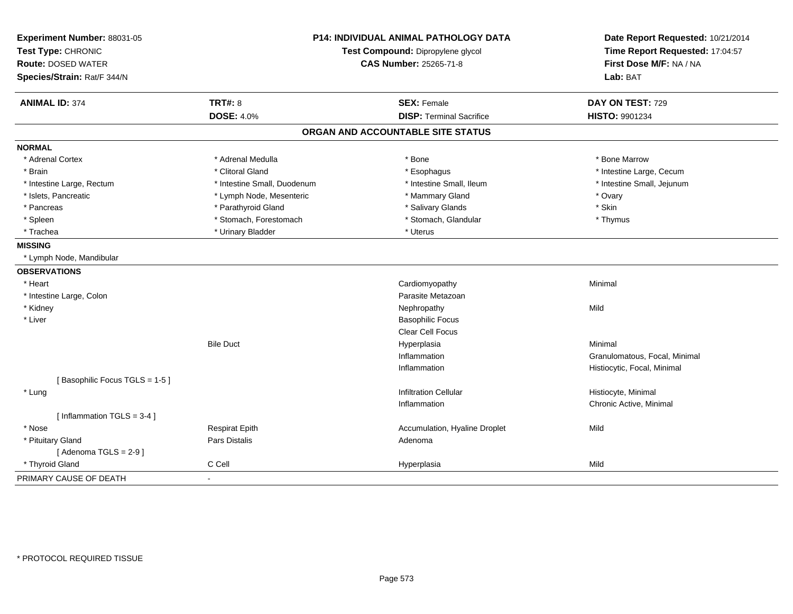| Experiment Number: 88031-05<br>Test Type: CHRONIC<br><b>Route: DOSED WATER</b><br>Species/Strain: Rat/F 344/N | <b>P14: INDIVIDUAL ANIMAL PATHOLOGY DATA</b><br>Test Compound: Dipropylene glycol<br><b>CAS Number: 25265-71-8</b> |                                   | Date Report Requested: 10/21/2014<br>Time Report Requested: 17:04:57<br>First Dose M/F: NA / NA<br>Lab: BAT |
|---------------------------------------------------------------------------------------------------------------|--------------------------------------------------------------------------------------------------------------------|-----------------------------------|-------------------------------------------------------------------------------------------------------------|
| <b>ANIMAL ID: 374</b>                                                                                         | <b>TRT#: 8</b>                                                                                                     | <b>SEX: Female</b>                | DAY ON TEST: 729                                                                                            |
|                                                                                                               | <b>DOSE: 4.0%</b>                                                                                                  | <b>DISP: Terminal Sacrifice</b>   | <b>HISTO: 9901234</b>                                                                                       |
|                                                                                                               |                                                                                                                    | ORGAN AND ACCOUNTABLE SITE STATUS |                                                                                                             |
| <b>NORMAL</b>                                                                                                 |                                                                                                                    |                                   |                                                                                                             |
| * Adrenal Cortex                                                                                              | * Adrenal Medulla                                                                                                  | * Bone                            | * Bone Marrow                                                                                               |
| * Brain                                                                                                       | * Clitoral Gland                                                                                                   | * Esophagus                       | * Intestine Large, Cecum                                                                                    |
| * Intestine Large, Rectum                                                                                     | * Intestine Small, Duodenum                                                                                        | * Intestine Small, Ileum          | * Intestine Small, Jejunum                                                                                  |
| * Islets, Pancreatic                                                                                          | * Lymph Node, Mesenteric                                                                                           | * Mammary Gland                   | * Ovary                                                                                                     |
| * Pancreas                                                                                                    | * Parathyroid Gland                                                                                                | * Salivary Glands                 | * Skin                                                                                                      |
| * Spleen                                                                                                      | * Stomach, Forestomach                                                                                             | * Stomach, Glandular              | * Thymus                                                                                                    |
| * Trachea                                                                                                     | * Urinary Bladder                                                                                                  | * Uterus                          |                                                                                                             |
| <b>MISSING</b>                                                                                                |                                                                                                                    |                                   |                                                                                                             |
| * Lymph Node, Mandibular                                                                                      |                                                                                                                    |                                   |                                                                                                             |
| <b>OBSERVATIONS</b>                                                                                           |                                                                                                                    |                                   |                                                                                                             |
| * Heart                                                                                                       |                                                                                                                    | Cardiomyopathy                    | Minimal                                                                                                     |
| * Intestine Large, Colon                                                                                      |                                                                                                                    | Parasite Metazoan                 |                                                                                                             |
| * Kidney                                                                                                      |                                                                                                                    | Nephropathy                       | Mild                                                                                                        |
| * Liver                                                                                                       |                                                                                                                    | <b>Basophilic Focus</b>           |                                                                                                             |
|                                                                                                               |                                                                                                                    | <b>Clear Cell Focus</b>           |                                                                                                             |
|                                                                                                               | <b>Bile Duct</b>                                                                                                   | Hyperplasia                       | Minimal                                                                                                     |
|                                                                                                               |                                                                                                                    | Inflammation                      | Granulomatous, Focal, Minimal                                                                               |
|                                                                                                               |                                                                                                                    | Inflammation                      | Histiocytic, Focal, Minimal                                                                                 |
| [Basophilic Focus TGLS = 1-5]                                                                                 |                                                                                                                    |                                   |                                                                                                             |
| * Lung                                                                                                        |                                                                                                                    | <b>Infiltration Cellular</b>      | Histiocyte, Minimal                                                                                         |
|                                                                                                               |                                                                                                                    | Inflammation                      | Chronic Active, Minimal                                                                                     |
| [Inflammation TGLS = 3-4]                                                                                     |                                                                                                                    |                                   |                                                                                                             |
| * Nose                                                                                                        | <b>Respirat Epith</b>                                                                                              | Accumulation, Hyaline Droplet     | Mild                                                                                                        |
| * Pituitary Gland                                                                                             | <b>Pars Distalis</b>                                                                                               | Adenoma                           |                                                                                                             |
| [Adenoma TGLS = $2-9$ ]                                                                                       |                                                                                                                    |                                   |                                                                                                             |
| * Thyroid Gland                                                                                               | C Cell                                                                                                             | Hyperplasia                       | Mild                                                                                                        |
| PRIMARY CAUSE OF DEATH                                                                                        |                                                                                                                    |                                   |                                                                                                             |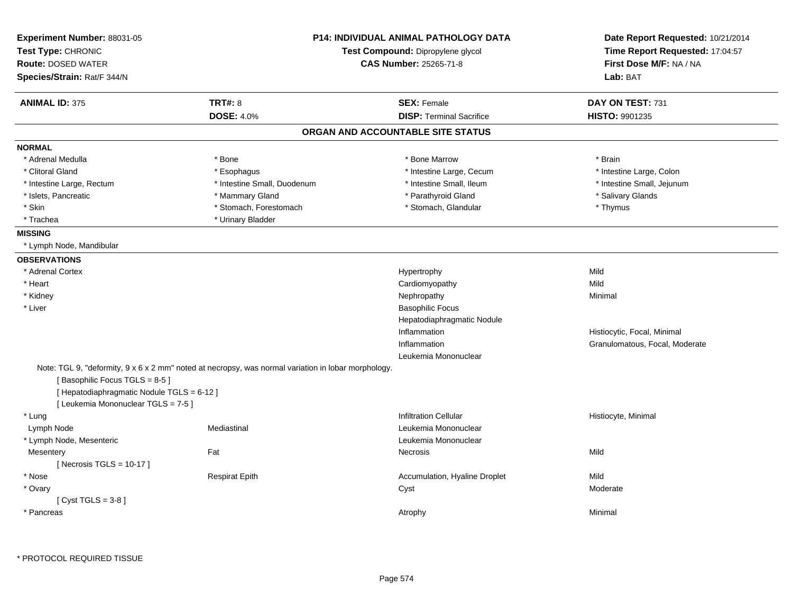| Experiment Number: 88031-05<br>Test Type: CHRONIC<br>Route: DOSED WATER<br>Species/Strain: Rat/F 344/N             |                                                                                                     | P14: INDIVIDUAL ANIMAL PATHOLOGY DATA<br>Test Compound: Dipropylene glycol<br><b>CAS Number: 25265-71-8</b> | Date Report Requested: 10/21/2014<br>Time Report Requested: 17:04:57<br>First Dose M/F: NA / NA<br>Lab: BAT |
|--------------------------------------------------------------------------------------------------------------------|-----------------------------------------------------------------------------------------------------|-------------------------------------------------------------------------------------------------------------|-------------------------------------------------------------------------------------------------------------|
| <b>ANIMAL ID: 375</b>                                                                                              | <b>TRT#: 8</b>                                                                                      | <b>SEX: Female</b>                                                                                          | DAY ON TEST: 731                                                                                            |
|                                                                                                                    | <b>DOSE: 4.0%</b>                                                                                   | <b>DISP: Terminal Sacrifice</b>                                                                             | <b>HISTO: 9901235</b>                                                                                       |
|                                                                                                                    |                                                                                                     | ORGAN AND ACCOUNTABLE SITE STATUS                                                                           |                                                                                                             |
| <b>NORMAL</b>                                                                                                      |                                                                                                     |                                                                                                             |                                                                                                             |
| * Adrenal Medulla                                                                                                  | * Bone                                                                                              | * Bone Marrow                                                                                               | * Brain                                                                                                     |
| * Clitoral Gland                                                                                                   | * Esophagus                                                                                         | * Intestine Large, Cecum                                                                                    | * Intestine Large, Colon                                                                                    |
| * Intestine Large, Rectum                                                                                          | * Intestine Small, Duodenum                                                                         | * Intestine Small, Ileum                                                                                    | * Intestine Small, Jejunum                                                                                  |
| * Islets, Pancreatic                                                                                               | * Mammary Gland                                                                                     | * Parathyroid Gland                                                                                         | * Salivary Glands                                                                                           |
| * Skin                                                                                                             | * Stomach, Forestomach                                                                              | * Stomach, Glandular                                                                                        | * Thymus                                                                                                    |
| * Trachea                                                                                                          | * Urinary Bladder                                                                                   |                                                                                                             |                                                                                                             |
| <b>MISSING</b>                                                                                                     |                                                                                                     |                                                                                                             |                                                                                                             |
| * Lymph Node, Mandibular                                                                                           |                                                                                                     |                                                                                                             |                                                                                                             |
| <b>OBSERVATIONS</b>                                                                                                |                                                                                                     |                                                                                                             |                                                                                                             |
| * Adrenal Cortex                                                                                                   |                                                                                                     | Hypertrophy                                                                                                 | Mild                                                                                                        |
| * Heart                                                                                                            |                                                                                                     | Cardiomyopathy                                                                                              | Mild                                                                                                        |
| * Kidney                                                                                                           |                                                                                                     | Nephropathy                                                                                                 | Minimal                                                                                                     |
| * Liver                                                                                                            |                                                                                                     | <b>Basophilic Focus</b>                                                                                     |                                                                                                             |
|                                                                                                                    |                                                                                                     | Hepatodiaphragmatic Nodule                                                                                  |                                                                                                             |
|                                                                                                                    |                                                                                                     | Inflammation                                                                                                | Histiocytic, Focal, Minimal                                                                                 |
|                                                                                                                    |                                                                                                     | Inflammation                                                                                                | Granulomatous, Focal, Moderate                                                                              |
|                                                                                                                    |                                                                                                     | Leukemia Mononuclear                                                                                        |                                                                                                             |
| [Basophilic Focus TGLS = 8-5]<br>[ Hepatodiaphragmatic Nodule TGLS = 6-12 ]<br>[ Leukemia Mononuclear TGLS = 7-5 ] | Note: TGL 9, "deformity, 9 x 6 x 2 mm" noted at necropsy, was normal variation in lobar morphology. |                                                                                                             |                                                                                                             |
| * Lung                                                                                                             |                                                                                                     | <b>Infiltration Cellular</b>                                                                                | Histiocyte, Minimal                                                                                         |
| Lymph Node                                                                                                         | Mediastinal                                                                                         | Leukemia Mononuclear                                                                                        |                                                                                                             |
| * Lymph Node, Mesenteric                                                                                           |                                                                                                     | Leukemia Mononuclear                                                                                        |                                                                                                             |
| Mesentery                                                                                                          | Fat                                                                                                 | Necrosis                                                                                                    | Mild                                                                                                        |
| [ Necrosis TGLS = $10-17$ ]                                                                                        |                                                                                                     |                                                                                                             |                                                                                                             |
| * Nose                                                                                                             | <b>Respirat Epith</b>                                                                               | Accumulation, Hyaline Droplet                                                                               | Mild                                                                                                        |
| * Ovary                                                                                                            |                                                                                                     | Cyst                                                                                                        | Moderate                                                                                                    |
| [Cyst TGLS = $3-8$ ]                                                                                               |                                                                                                     |                                                                                                             |                                                                                                             |
|                                                                                                                    |                                                                                                     |                                                                                                             |                                                                                                             |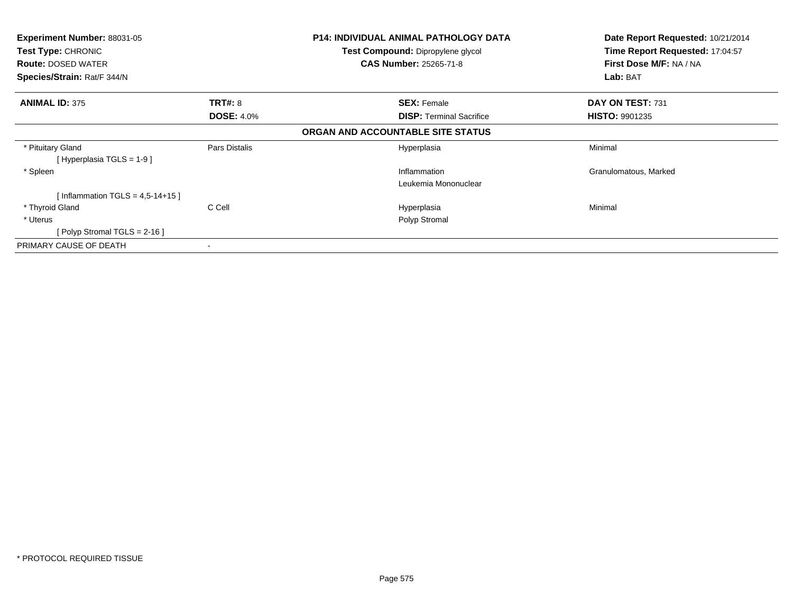| <b>Experiment Number: 88031-05</b> |                   | <b>P14: INDIVIDUAL ANIMAL PATHOLOGY DATA</b> | Date Report Requested: 10/21/2014 |
|------------------------------------|-------------------|----------------------------------------------|-----------------------------------|
| Test Type: CHRONIC                 |                   | Test Compound: Dipropylene glycol            | Time Report Requested: 17:04:57   |
| <b>Route: DOSED WATER</b>          |                   | <b>CAS Number: 25265-71-8</b>                | First Dose M/F: NA / NA           |
| Species/Strain: Rat/F 344/N        |                   |                                              | Lab: BAT                          |
| <b>ANIMAL ID: 375</b>              | <b>TRT#: 8</b>    | <b>SEX: Female</b>                           | DAY ON TEST: 731                  |
|                                    | <b>DOSE: 4.0%</b> | <b>DISP:</b> Terminal Sacrifice              | <b>HISTO: 9901235</b>             |
|                                    |                   | ORGAN AND ACCOUNTABLE SITE STATUS            |                                   |
| * Pituitary Gland                  | Pars Distalis     | Hyperplasia                                  | Minimal                           |
| [Hyperplasia TGLS = 1-9 ]          |                   |                                              |                                   |
| * Spleen                           |                   | Inflammation                                 | Granulomatous, Marked             |
|                                    |                   | Leukemia Mononuclear                         |                                   |
| Inflammation TGLS = $4,5-14+15$ ]  |                   |                                              |                                   |
| * Thyroid Gland                    | C Cell            | Hyperplasia                                  | Minimal                           |
| * Uterus                           |                   | Polyp Stromal                                |                                   |
| [Polyp Stromal TGLS = 2-16]        |                   |                                              |                                   |
| PRIMARY CAUSE OF DEATH             |                   |                                              |                                   |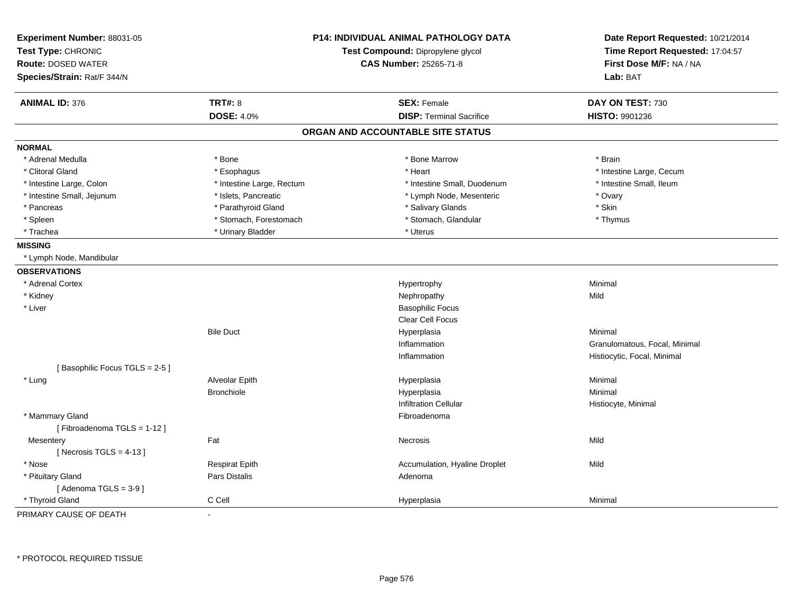| Experiment Number: 88031-05<br>Test Type: CHRONIC<br><b>Route: DOSED WATER</b><br>Species/Strain: Rat/F 344/N |                           | <b>P14: INDIVIDUAL ANIMAL PATHOLOGY DATA</b><br>Test Compound: Dipropylene glycol<br><b>CAS Number: 25265-71-8</b> | Date Report Requested: 10/21/2014<br>Time Report Requested: 17:04:57<br>First Dose M/F: NA / NA<br>Lab: BAT |
|---------------------------------------------------------------------------------------------------------------|---------------------------|--------------------------------------------------------------------------------------------------------------------|-------------------------------------------------------------------------------------------------------------|
| <b>ANIMAL ID: 376</b>                                                                                         | <b>TRT#: 8</b>            | <b>SEX: Female</b>                                                                                                 | DAY ON TEST: 730                                                                                            |
|                                                                                                               | <b>DOSE: 4.0%</b>         | <b>DISP: Terminal Sacrifice</b>                                                                                    | HISTO: 9901236                                                                                              |
|                                                                                                               |                           | ORGAN AND ACCOUNTABLE SITE STATUS                                                                                  |                                                                                                             |
| <b>NORMAL</b>                                                                                                 |                           |                                                                                                                    |                                                                                                             |
| * Adrenal Medulla                                                                                             | * Bone                    | * Bone Marrow                                                                                                      | * Brain                                                                                                     |
| * Clitoral Gland                                                                                              | * Esophagus               | * Heart                                                                                                            | * Intestine Large, Cecum                                                                                    |
| * Intestine Large, Colon                                                                                      | * Intestine Large, Rectum | * Intestine Small, Duodenum                                                                                        | * Intestine Small, Ileum                                                                                    |
| * Intestine Small, Jejunum                                                                                    | * Islets, Pancreatic      | * Lymph Node, Mesenteric                                                                                           | * Ovary                                                                                                     |
| * Pancreas                                                                                                    | * Parathyroid Gland       | * Salivary Glands                                                                                                  | * Skin                                                                                                      |
| * Spleen                                                                                                      | * Stomach, Forestomach    | * Stomach, Glandular                                                                                               | * Thymus                                                                                                    |
| * Trachea                                                                                                     | * Urinary Bladder         | * Uterus                                                                                                           |                                                                                                             |
| <b>MISSING</b>                                                                                                |                           |                                                                                                                    |                                                                                                             |
| * Lymph Node, Mandibular                                                                                      |                           |                                                                                                                    |                                                                                                             |
| <b>OBSERVATIONS</b>                                                                                           |                           |                                                                                                                    |                                                                                                             |
| * Adrenal Cortex                                                                                              |                           | Hypertrophy                                                                                                        | Minimal                                                                                                     |
| * Kidney                                                                                                      |                           | Nephropathy                                                                                                        | Mild                                                                                                        |
| * Liver                                                                                                       |                           | <b>Basophilic Focus</b>                                                                                            |                                                                                                             |
|                                                                                                               |                           | <b>Clear Cell Focus</b>                                                                                            |                                                                                                             |
|                                                                                                               | <b>Bile Duct</b>          | Hyperplasia                                                                                                        | Minimal                                                                                                     |
|                                                                                                               |                           | Inflammation                                                                                                       | Granulomatous, Focal, Minimal                                                                               |
|                                                                                                               |                           | Inflammation                                                                                                       | Histiocytic, Focal, Minimal                                                                                 |
| [Basophilic Focus TGLS = 2-5]                                                                                 |                           |                                                                                                                    |                                                                                                             |
| * Lung                                                                                                        | Alveolar Epith            | Hyperplasia                                                                                                        | Minimal                                                                                                     |
|                                                                                                               | <b>Bronchiole</b>         | Hyperplasia                                                                                                        | Minimal                                                                                                     |
|                                                                                                               |                           | <b>Infiltration Cellular</b>                                                                                       | Histiocyte, Minimal                                                                                         |
| * Mammary Gland                                                                                               |                           | Fibroadenoma                                                                                                       |                                                                                                             |
| [Fibroadenoma TGLS = 1-12]                                                                                    |                           |                                                                                                                    |                                                                                                             |
| Mesentery                                                                                                     | Fat                       | Necrosis                                                                                                           | Mild                                                                                                        |
| [Necrosis TGLS = $4-13$ ]                                                                                     |                           |                                                                                                                    |                                                                                                             |
| * Nose                                                                                                        | <b>Respirat Epith</b>     | Accumulation, Hyaline Droplet                                                                                      | Mild                                                                                                        |
| * Pituitary Gland                                                                                             | Pars Distalis             | Adenoma                                                                                                            |                                                                                                             |
| [Adenoma TGLS = $3-9$ ]                                                                                       |                           |                                                                                                                    |                                                                                                             |
| * Thyroid Gland                                                                                               | C Cell                    | Hyperplasia                                                                                                        | Minimal                                                                                                     |

PRIMARY CAUSE OF DEATH-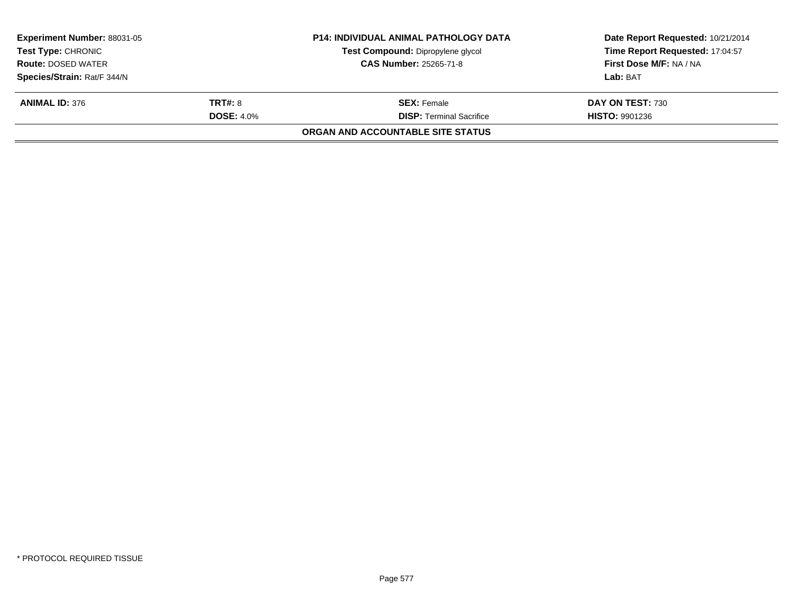| <b>Experiment Number: 88031-05</b> |                               | <b>P14: INDIVIDUAL ANIMAL PATHOLOGY DATA</b> | Date Report Requested: 10/21/2014 |  |
|------------------------------------|-------------------------------|----------------------------------------------|-----------------------------------|--|
| <b>Test Type: CHRONIC</b>          |                               | Test Compound: Dipropylene glycol            | Time Report Requested: 17:04:57   |  |
| <b>Route: DOSED WATER</b>          | <b>CAS Number: 25265-71-8</b> |                                              | First Dose M/F: NA / NA           |  |
| Species/Strain: Rat/F 344/N        |                               |                                              | Lab: BAT                          |  |
| <b>ANIMAL ID: 376</b>              | <b>TRT#: 8</b>                | <b>SEX: Female</b>                           | DAY ON TEST: 730                  |  |
|                                    | <b>DOSE: 4.0%</b>             | <b>DISP: Terminal Sacrifice</b>              | <b>HISTO: 9901236</b>             |  |
|                                    |                               | ORGAN AND ACCOUNTABLE SITE STATUS            |                                   |  |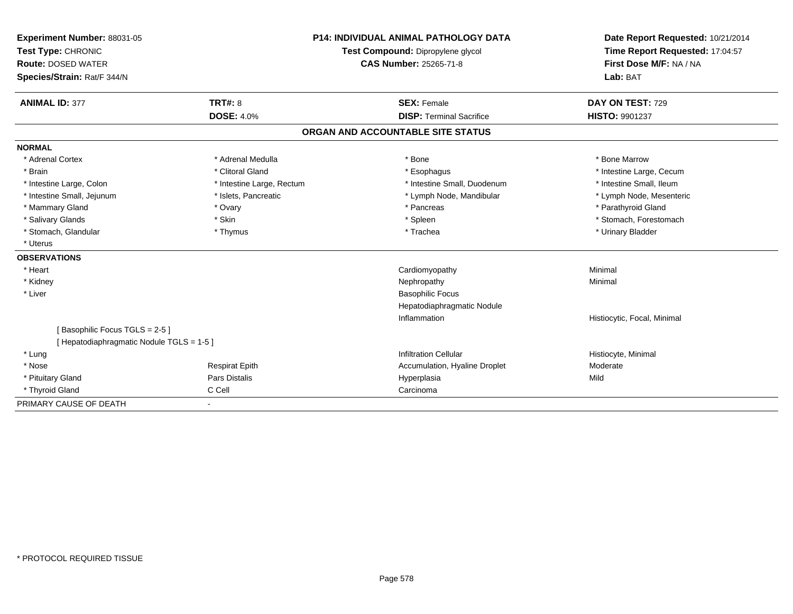| Experiment Number: 88031-05               |                                   | <b>P14: INDIVIDUAL ANIMAL PATHOLOGY DATA</b> | Date Report Requested: 10/21/2014 |
|-------------------------------------------|-----------------------------------|----------------------------------------------|-----------------------------------|
| Test Type: CHRONIC                        | Test Compound: Dipropylene glycol |                                              | Time Report Requested: 17:04:57   |
| <b>Route: DOSED WATER</b>                 |                                   | CAS Number: 25265-71-8                       | First Dose M/F: NA / NA           |
| Species/Strain: Rat/F 344/N               |                                   |                                              | Lab: BAT                          |
| <b>ANIMAL ID: 377</b>                     | <b>TRT#: 8</b>                    | <b>SEX: Female</b>                           | DAY ON TEST: 729                  |
|                                           | <b>DOSE: 4.0%</b>                 | <b>DISP: Terminal Sacrifice</b>              | HISTO: 9901237                    |
|                                           |                                   | ORGAN AND ACCOUNTABLE SITE STATUS            |                                   |
| <b>NORMAL</b>                             |                                   |                                              |                                   |
| * Adrenal Cortex                          | * Adrenal Medulla                 | * Bone                                       | * Bone Marrow                     |
| * Brain                                   | * Clitoral Gland                  | * Esophagus                                  | * Intestine Large, Cecum          |
| * Intestine Large, Colon                  | * Intestine Large, Rectum         | * Intestine Small, Duodenum                  | * Intestine Small, Ileum          |
| * Intestine Small, Jejunum                | * Islets, Pancreatic              | * Lymph Node, Mandibular                     | * Lymph Node, Mesenteric          |
| * Mammary Gland                           | * Ovary                           | * Pancreas                                   | * Parathyroid Gland               |
| * Salivary Glands                         | * Skin                            | * Spleen                                     | * Stomach, Forestomach            |
| * Stomach, Glandular                      | * Thymus                          | * Trachea                                    | * Urinary Bladder                 |
| * Uterus                                  |                                   |                                              |                                   |
| <b>OBSERVATIONS</b>                       |                                   |                                              |                                   |
| * Heart                                   |                                   | Cardiomyopathy                               | Minimal                           |
| * Kidney                                  |                                   | Nephropathy                                  | Minimal                           |
| * Liver                                   |                                   | <b>Basophilic Focus</b>                      |                                   |
|                                           |                                   | Hepatodiaphragmatic Nodule                   |                                   |
|                                           |                                   | Inflammation                                 | Histiocytic, Focal, Minimal       |
| [Basophilic Focus TGLS = 2-5]             |                                   |                                              |                                   |
| [ Hepatodiaphragmatic Nodule TGLS = 1-5 ] |                                   |                                              |                                   |
| * Lung                                    |                                   | <b>Infiltration Cellular</b>                 | Histiocyte, Minimal               |
| * Nose                                    | <b>Respirat Epith</b>             | Accumulation, Hyaline Droplet                | Moderate                          |
| * Pituitary Gland                         | Pars Distalis                     | Hyperplasia                                  | Mild                              |
| * Thyroid Gland                           | C Cell                            | Carcinoma                                    |                                   |
| PRIMARY CAUSE OF DEATH                    |                                   |                                              |                                   |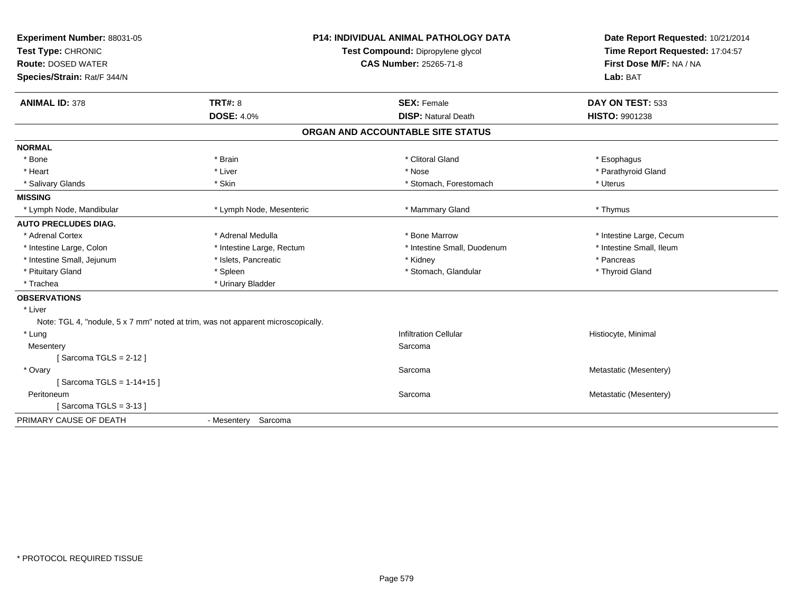| Experiment Number: 88031-05<br>Test Type: CHRONIC<br><b>Route: DOSED WATER</b><br>Species/Strain: Rat/F 344/N | <b>P14: INDIVIDUAL ANIMAL PATHOLOGY DATA</b><br>Test Compound: Dipropylene glycol<br>CAS Number: 25265-71-8 |                                   | Date Report Requested: 10/21/2014<br>Time Report Requested: 17:04:57<br>First Dose M/F: NA / NA<br>Lab: BAT |  |
|---------------------------------------------------------------------------------------------------------------|-------------------------------------------------------------------------------------------------------------|-----------------------------------|-------------------------------------------------------------------------------------------------------------|--|
| <b>ANIMAL ID: 378</b>                                                                                         | <b>TRT#: 8</b>                                                                                              | <b>SEX: Female</b>                | DAY ON TEST: 533                                                                                            |  |
|                                                                                                               | <b>DOSE: 4.0%</b>                                                                                           | <b>DISP: Natural Death</b>        | <b>HISTO: 9901238</b>                                                                                       |  |
|                                                                                                               |                                                                                                             | ORGAN AND ACCOUNTABLE SITE STATUS |                                                                                                             |  |
| <b>NORMAL</b>                                                                                                 |                                                                                                             |                                   |                                                                                                             |  |
| * Bone                                                                                                        | * Brain                                                                                                     | * Clitoral Gland                  | * Esophagus                                                                                                 |  |
| * Heart                                                                                                       | * Liver                                                                                                     | * Nose                            | * Parathyroid Gland                                                                                         |  |
| * Salivary Glands                                                                                             | * Skin                                                                                                      | * Stomach, Forestomach            | * Uterus                                                                                                    |  |
| <b>MISSING</b>                                                                                                |                                                                                                             |                                   |                                                                                                             |  |
| * Lymph Node, Mandibular                                                                                      | * Lymph Node, Mesenteric                                                                                    | * Mammary Gland                   | * Thymus                                                                                                    |  |
| <b>AUTO PRECLUDES DIAG.</b>                                                                                   |                                                                                                             |                                   |                                                                                                             |  |
| * Adrenal Cortex                                                                                              | * Adrenal Medulla                                                                                           | * Bone Marrow                     | * Intestine Large, Cecum                                                                                    |  |
| * Intestine Large, Colon                                                                                      | * Intestine Large, Rectum                                                                                   | * Intestine Small, Duodenum       | * Intestine Small, Ileum                                                                                    |  |
| * Intestine Small, Jejunum                                                                                    | * Islets, Pancreatic                                                                                        | * Kidney                          | * Pancreas                                                                                                  |  |
| * Pituitary Gland                                                                                             | * Spleen                                                                                                    | * Stomach, Glandular              | * Thyroid Gland                                                                                             |  |
| * Trachea                                                                                                     | * Urinary Bladder                                                                                           |                                   |                                                                                                             |  |
| <b>OBSERVATIONS</b>                                                                                           |                                                                                                             |                                   |                                                                                                             |  |
| * Liver                                                                                                       |                                                                                                             |                                   |                                                                                                             |  |
| Note: TGL 4, "nodule, 5 x 7 mm" noted at trim, was not apparent microscopically.                              |                                                                                                             |                                   |                                                                                                             |  |
| * Lung                                                                                                        |                                                                                                             | <b>Infiltration Cellular</b>      | Histiocyte, Minimal                                                                                         |  |
| Mesentery                                                                                                     |                                                                                                             | Sarcoma                           |                                                                                                             |  |
| [Sarcoma TGLS = $2-12$ ]                                                                                      |                                                                                                             |                                   |                                                                                                             |  |
| * Ovary                                                                                                       |                                                                                                             | Sarcoma                           | Metastatic (Mesentery)                                                                                      |  |
| [Sarcoma TGLS = 1-14+15]                                                                                      |                                                                                                             |                                   |                                                                                                             |  |
| Peritoneum                                                                                                    |                                                                                                             | Sarcoma                           | Metastatic (Mesentery)                                                                                      |  |
| [Sarcoma TGLS = $3-13$ ]                                                                                      |                                                                                                             |                                   |                                                                                                             |  |
| PRIMARY CAUSE OF DEATH                                                                                        | - Mesentery Sarcoma                                                                                         |                                   |                                                                                                             |  |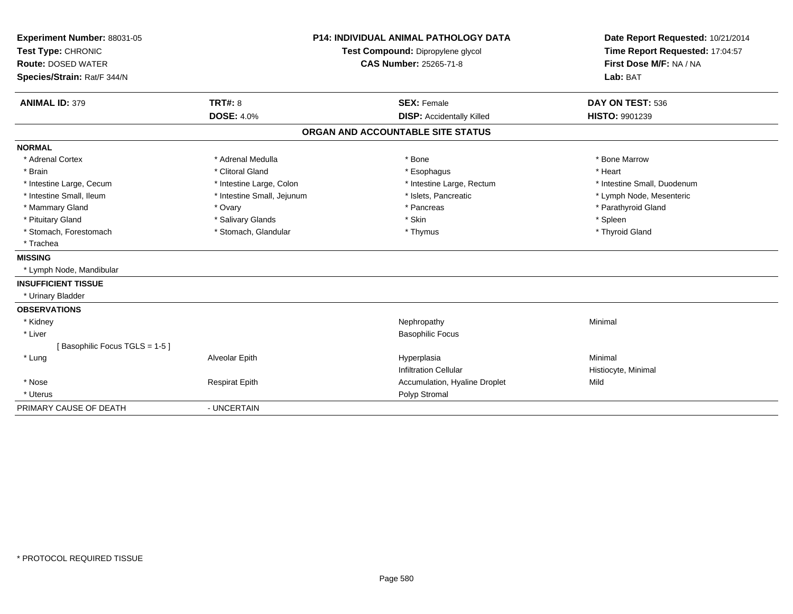| Experiment Number: 88031-05<br>Test Type: CHRONIC<br><b>Route: DOSED WATER</b><br>Species/Strain: Rat/F 344/N<br><b>ANIMAL ID: 379</b> | <b>TRT#: 8</b>             | <b>P14: INDIVIDUAL ANIMAL PATHOLOGY DATA</b><br>Test Compound: Dipropylene glycol<br><b>CAS Number: 25265-71-8</b><br><b>SEX: Female</b> |  | Date Report Requested: 10/21/2014<br>Time Report Requested: 17:04:57<br>First Dose M/F: NA / NA<br>Lab: BAT<br>DAY ON TEST: 536 |
|----------------------------------------------------------------------------------------------------------------------------------------|----------------------------|------------------------------------------------------------------------------------------------------------------------------------------|--|---------------------------------------------------------------------------------------------------------------------------------|
|                                                                                                                                        | <b>DOSE: 4.0%</b>          | <b>DISP: Accidentally Killed</b>                                                                                                         |  | <b>HISTO: 9901239</b>                                                                                                           |
|                                                                                                                                        |                            | ORGAN AND ACCOUNTABLE SITE STATUS                                                                                                        |  |                                                                                                                                 |
| <b>NORMAL</b>                                                                                                                          |                            |                                                                                                                                          |  |                                                                                                                                 |
| * Adrenal Cortex                                                                                                                       | * Adrenal Medulla          | * Bone                                                                                                                                   |  | * Bone Marrow                                                                                                                   |
| * Brain                                                                                                                                | * Clitoral Gland           | * Esophagus                                                                                                                              |  | * Heart                                                                                                                         |
| * Intestine Large, Cecum                                                                                                               | * Intestine Large, Colon   | * Intestine Large, Rectum                                                                                                                |  | * Intestine Small, Duodenum                                                                                                     |
| * Intestine Small, Ileum                                                                                                               | * Intestine Small, Jejunum | * Islets, Pancreatic                                                                                                                     |  | * Lymph Node, Mesenteric                                                                                                        |
| * Mammary Gland                                                                                                                        | * Ovary                    | * Pancreas                                                                                                                               |  | * Parathyroid Gland                                                                                                             |
| * Pituitary Gland                                                                                                                      | * Salivary Glands          | * Skin                                                                                                                                   |  | * Spleen                                                                                                                        |
| * Stomach, Forestomach                                                                                                                 | * Stomach, Glandular       | * Thymus                                                                                                                                 |  | * Thyroid Gland                                                                                                                 |
| * Trachea                                                                                                                              |                            |                                                                                                                                          |  |                                                                                                                                 |
| <b>MISSING</b>                                                                                                                         |                            |                                                                                                                                          |  |                                                                                                                                 |
| * Lymph Node, Mandibular                                                                                                               |                            |                                                                                                                                          |  |                                                                                                                                 |
| <b>INSUFFICIENT TISSUE</b>                                                                                                             |                            |                                                                                                                                          |  |                                                                                                                                 |
| * Urinary Bladder                                                                                                                      |                            |                                                                                                                                          |  |                                                                                                                                 |
| <b>OBSERVATIONS</b>                                                                                                                    |                            |                                                                                                                                          |  |                                                                                                                                 |
| * Kidney                                                                                                                               |                            | Nephropathy                                                                                                                              |  | Minimal                                                                                                                         |
| * Liver                                                                                                                                |                            | <b>Basophilic Focus</b>                                                                                                                  |  |                                                                                                                                 |
| [Basophilic Focus TGLS = 1-5]                                                                                                          |                            |                                                                                                                                          |  |                                                                                                                                 |
| * Lung                                                                                                                                 | Alveolar Epith             | Hyperplasia                                                                                                                              |  | Minimal                                                                                                                         |
|                                                                                                                                        |                            | <b>Infiltration Cellular</b>                                                                                                             |  | Histiocyte, Minimal                                                                                                             |
| * Nose                                                                                                                                 | <b>Respirat Epith</b>      | Accumulation, Hyaline Droplet                                                                                                            |  | Mild                                                                                                                            |
| * Uterus                                                                                                                               |                            | Polyp Stromal                                                                                                                            |  |                                                                                                                                 |
| PRIMARY CAUSE OF DEATH                                                                                                                 | - UNCERTAIN                |                                                                                                                                          |  |                                                                                                                                 |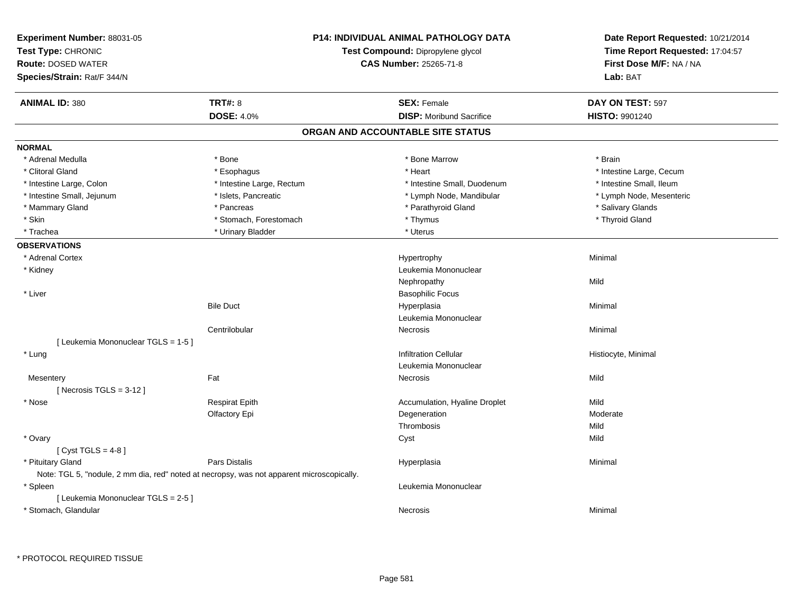| Experiment Number: 88031-05<br>Test Type: CHRONIC<br><b>Route: DOSED WATER</b><br>Species/Strain: Rat/F 344/N |                           | P14: INDIVIDUAL ANIMAL PATHOLOGY DATA<br>Test Compound: Dipropylene glycol<br><b>CAS Number: 25265-71-8</b> | Date Report Requested: 10/21/2014<br>Time Report Requested: 17:04:57<br>First Dose M/F: NA / NA<br>Lab: BAT |
|---------------------------------------------------------------------------------------------------------------|---------------------------|-------------------------------------------------------------------------------------------------------------|-------------------------------------------------------------------------------------------------------------|
| <b>ANIMAL ID: 380</b>                                                                                         | <b>TRT#: 8</b>            | <b>SEX: Female</b>                                                                                          | DAY ON TEST: 597                                                                                            |
|                                                                                                               | <b>DOSE: 4.0%</b>         | <b>DISP:</b> Moribund Sacrifice                                                                             | <b>HISTO: 9901240</b>                                                                                       |
|                                                                                                               |                           | ORGAN AND ACCOUNTABLE SITE STATUS                                                                           |                                                                                                             |
| <b>NORMAL</b>                                                                                                 |                           |                                                                                                             |                                                                                                             |
| * Adrenal Medulla                                                                                             | * Bone                    | * Bone Marrow                                                                                               | * Brain                                                                                                     |
| * Clitoral Gland                                                                                              | * Esophagus               | * Heart                                                                                                     | * Intestine Large, Cecum                                                                                    |
| * Intestine Large, Colon                                                                                      | * Intestine Large, Rectum | * Intestine Small, Duodenum                                                                                 | * Intestine Small, Ileum                                                                                    |
| * Intestine Small, Jejunum                                                                                    | * Islets, Pancreatic      | * Lymph Node, Mandibular                                                                                    | * Lymph Node, Mesenteric                                                                                    |
| * Mammary Gland                                                                                               | * Pancreas                | * Parathyroid Gland                                                                                         | * Salivary Glands                                                                                           |
| * Skin                                                                                                        | * Stomach, Forestomach    | * Thymus                                                                                                    | * Thyroid Gland                                                                                             |
| * Trachea                                                                                                     | * Urinary Bladder         | * Uterus                                                                                                    |                                                                                                             |
| <b>OBSERVATIONS</b>                                                                                           |                           |                                                                                                             |                                                                                                             |
| * Adrenal Cortex                                                                                              |                           | Hypertrophy                                                                                                 | Minimal                                                                                                     |
| * Kidney                                                                                                      |                           | Leukemia Mononuclear                                                                                        |                                                                                                             |
|                                                                                                               |                           | Nephropathy                                                                                                 | Mild                                                                                                        |
| * Liver                                                                                                       |                           | <b>Basophilic Focus</b>                                                                                     |                                                                                                             |
|                                                                                                               | <b>Bile Duct</b>          | Hyperplasia                                                                                                 | Minimal                                                                                                     |
|                                                                                                               |                           | Leukemia Mononuclear                                                                                        |                                                                                                             |
|                                                                                                               | Centrilobular             | Necrosis                                                                                                    | Minimal                                                                                                     |
| [ Leukemia Mononuclear TGLS = 1-5 ]                                                                           |                           |                                                                                                             |                                                                                                             |
| * Lung                                                                                                        |                           | <b>Infiltration Cellular</b>                                                                                | Histiocyte, Minimal                                                                                         |
|                                                                                                               |                           | Leukemia Mononuclear                                                                                        |                                                                                                             |
| Mesentery                                                                                                     | Fat                       | <b>Necrosis</b>                                                                                             | Mild                                                                                                        |
| [Necrosis $TGLS = 3-12$ ]                                                                                     |                           |                                                                                                             |                                                                                                             |
| * Nose                                                                                                        | <b>Respirat Epith</b>     | Accumulation, Hyaline Droplet                                                                               | Mild                                                                                                        |
|                                                                                                               | Olfactory Epi             | Degeneration                                                                                                | Moderate                                                                                                    |
|                                                                                                               |                           | Thrombosis                                                                                                  | Mild                                                                                                        |
| * Ovary                                                                                                       |                           | Cyst                                                                                                        | Mild                                                                                                        |
| [Cyst TGLS = $4-8$ ]                                                                                          |                           |                                                                                                             |                                                                                                             |
| * Pituitary Gland                                                                                             | Pars Distalis             | Hyperplasia                                                                                                 | Minimal                                                                                                     |
| Note: TGL 5, "nodule, 2 mm dia, red" noted at necropsy, was not apparent microscopically.                     |                           |                                                                                                             |                                                                                                             |
| * Spleen                                                                                                      |                           | Leukemia Mononuclear                                                                                        |                                                                                                             |
| [ Leukemia Mononuclear TGLS = 2-5 ]                                                                           |                           |                                                                                                             |                                                                                                             |
| * Stomach, Glandular                                                                                          |                           | Necrosis                                                                                                    | Minimal                                                                                                     |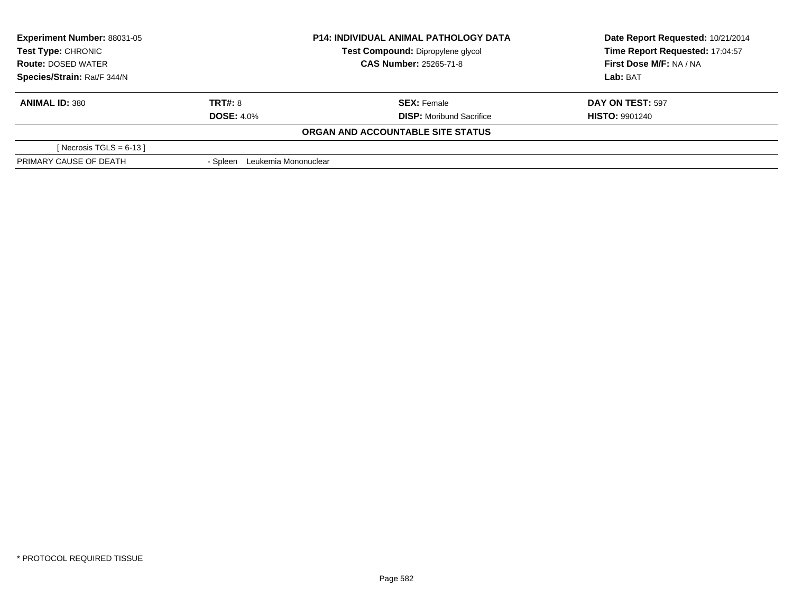| <b>Experiment Number: 88031-05</b><br>Test Type: CHRONIC |                               | <b>P14: INDIVIDUAL ANIMAL PATHOLOGY DATA</b> | Date Report Requested: 10/21/2014 |  |
|----------------------------------------------------------|-------------------------------|----------------------------------------------|-----------------------------------|--|
|                                                          |                               | Test Compound: Dipropylene glycol            | Time Report Requested: 17:04:57   |  |
| <b>Route: DOSED WATER</b>                                |                               | <b>CAS Number: 25265-71-8</b>                | First Dose M/F: NA / NA           |  |
| Species/Strain: Rat/F 344/N                              |                               |                                              | Lab: BAT                          |  |
| <b>ANIMAL ID: 380</b>                                    | TRT#: 8                       | <b>SEX: Female</b>                           | DAY ON TEST: 597                  |  |
|                                                          | <b>DOSE: 4.0%</b>             | <b>DISP:</b> Moribund Sacrifice              | <b>HISTO: 9901240</b>             |  |
|                                                          |                               | ORGAN AND ACCOUNTABLE SITE STATUS            |                                   |  |
| [Necrosis TGLS = $6-13$ ]                                |                               |                                              |                                   |  |
| PRIMARY CAUSE OF DEATH                                   | - Spleen Leukemia Mononuclear |                                              |                                   |  |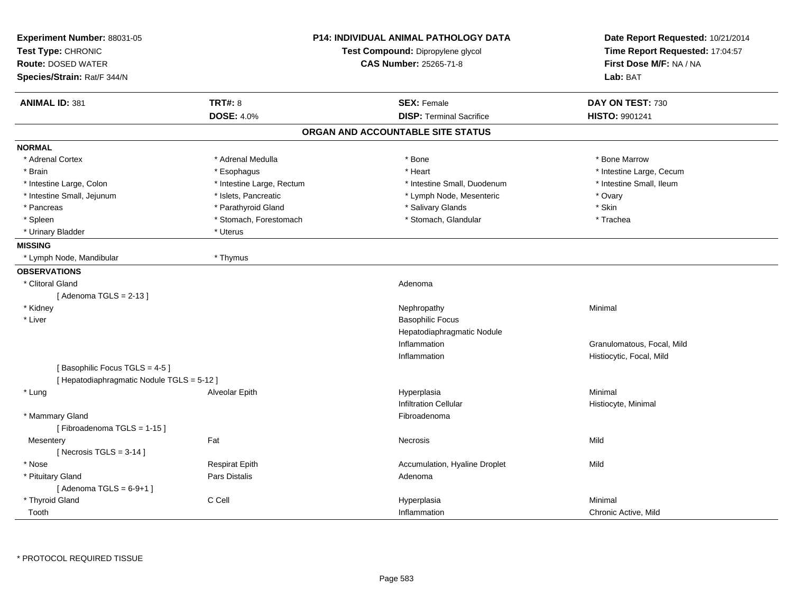| Experiment Number: 88031-05<br>Test Type: CHRONIC<br><b>Route: DOSED WATER</b> |                           | <b>P14: INDIVIDUAL ANIMAL PATHOLOGY DATA</b><br>Test Compound: Dipropylene glycol<br><b>CAS Number: 25265-71-8</b> | Date Report Requested: 10/21/2014<br>Time Report Requested: 17:04:57<br>First Dose M/F: NA / NA |
|--------------------------------------------------------------------------------|---------------------------|--------------------------------------------------------------------------------------------------------------------|-------------------------------------------------------------------------------------------------|
| Species/Strain: Rat/F 344/N                                                    |                           |                                                                                                                    | Lab: BAT                                                                                        |
| <b>ANIMAL ID: 381</b>                                                          | <b>TRT#: 8</b>            | <b>SEX: Female</b>                                                                                                 | DAY ON TEST: 730                                                                                |
|                                                                                | <b>DOSE: 4.0%</b>         | <b>DISP: Terminal Sacrifice</b>                                                                                    | <b>HISTO: 9901241</b>                                                                           |
|                                                                                |                           | ORGAN AND ACCOUNTABLE SITE STATUS                                                                                  |                                                                                                 |
| <b>NORMAL</b>                                                                  |                           |                                                                                                                    |                                                                                                 |
| * Adrenal Cortex                                                               | * Adrenal Medulla         | * Bone                                                                                                             | * Bone Marrow                                                                                   |
| * Brain                                                                        | * Esophagus               | * Heart                                                                                                            | * Intestine Large, Cecum                                                                        |
| * Intestine Large, Colon                                                       | * Intestine Large, Rectum | * Intestine Small, Duodenum                                                                                        | * Intestine Small, Ileum                                                                        |
| * Intestine Small, Jejunum                                                     | * Islets, Pancreatic      | * Lymph Node, Mesenteric                                                                                           | * Ovary                                                                                         |
| * Pancreas                                                                     | * Parathyroid Gland       | * Salivary Glands                                                                                                  | * Skin                                                                                          |
| * Spleen                                                                       | * Stomach, Forestomach    | * Stomach, Glandular                                                                                               | * Trachea                                                                                       |
| * Urinary Bladder                                                              | * Uterus                  |                                                                                                                    |                                                                                                 |
| <b>MISSING</b>                                                                 |                           |                                                                                                                    |                                                                                                 |
| * Lymph Node, Mandibular                                                       | * Thymus                  |                                                                                                                    |                                                                                                 |
| <b>OBSERVATIONS</b>                                                            |                           |                                                                                                                    |                                                                                                 |
| * Clitoral Gland                                                               |                           | Adenoma                                                                                                            |                                                                                                 |
| [Adenoma TGLS = $2-13$ ]                                                       |                           |                                                                                                                    |                                                                                                 |
| * Kidney                                                                       |                           | Nephropathy                                                                                                        | Minimal                                                                                         |
| * Liver                                                                        |                           | <b>Basophilic Focus</b>                                                                                            |                                                                                                 |
|                                                                                |                           | Hepatodiaphragmatic Nodule                                                                                         |                                                                                                 |
|                                                                                |                           | Inflammation                                                                                                       | Granulomatous, Focal, Mild                                                                      |
|                                                                                |                           | Inflammation                                                                                                       | Histiocytic, Focal, Mild                                                                        |
| [Basophilic Focus TGLS = 4-5]                                                  |                           |                                                                                                                    |                                                                                                 |
| [ Hepatodiaphragmatic Nodule TGLS = 5-12 ]                                     |                           |                                                                                                                    |                                                                                                 |
| * Lung                                                                         | Alveolar Epith            | Hyperplasia                                                                                                        | Minimal                                                                                         |
|                                                                                |                           | <b>Infiltration Cellular</b>                                                                                       | Histiocyte, Minimal                                                                             |
| * Mammary Gland                                                                |                           | Fibroadenoma                                                                                                       |                                                                                                 |
| [Fibroadenoma TGLS = 1-15]                                                     |                           |                                                                                                                    |                                                                                                 |
| Mesentery                                                                      | Fat                       | Necrosis                                                                                                           | Mild                                                                                            |
| [Necrosis TGLS = $3-14$ ]                                                      |                           |                                                                                                                    |                                                                                                 |
| * Nose                                                                         | <b>Respirat Epith</b>     | Accumulation, Hyaline Droplet                                                                                      | Mild                                                                                            |
| * Pituitary Gland                                                              | <b>Pars Distalis</b>      | Adenoma                                                                                                            |                                                                                                 |
| [Adenoma TGLS = $6-9+1$ ]                                                      |                           |                                                                                                                    |                                                                                                 |
| * Thyroid Gland                                                                | C Cell                    | Hyperplasia                                                                                                        | Minimal                                                                                         |
| Tooth                                                                          |                           | Inflammation                                                                                                       | Chronic Active, Mild                                                                            |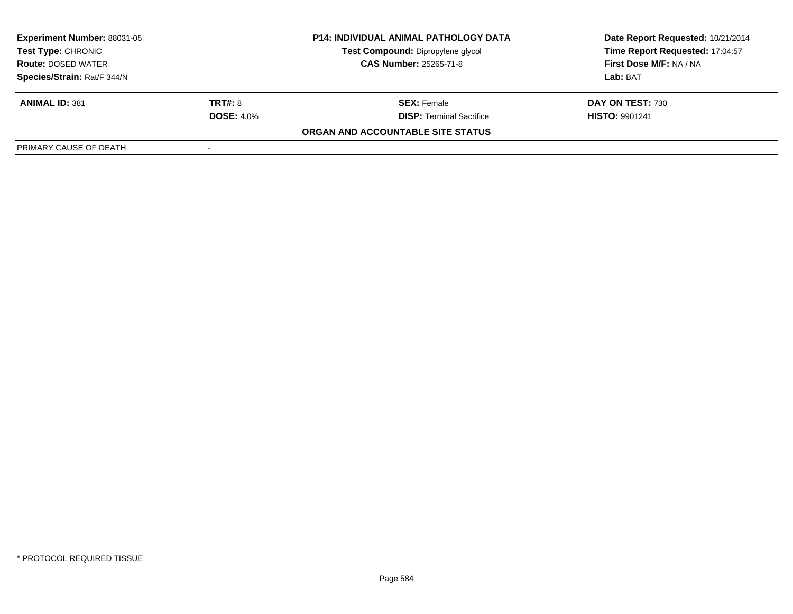| <b>Experiment Number: 88031-05</b><br><b>P14: INDIVIDUAL ANIMAL PATHOLOGY DATA</b><br>Test Compound: Dipropylene glycol<br>Test Type: CHRONIC<br><b>CAS Number: 25265-71-8</b><br><b>Route: DOSED WATER</b> |                   |                                   | Date Report Requested: 10/21/2014 |
|-------------------------------------------------------------------------------------------------------------------------------------------------------------------------------------------------------------|-------------------|-----------------------------------|-----------------------------------|
|                                                                                                                                                                                                             |                   |                                   | Time Report Requested: 17:04:57   |
|                                                                                                                                                                                                             |                   |                                   | First Dose M/F: NA / NA           |
| Species/Strain: Rat/F 344/N                                                                                                                                                                                 |                   |                                   | Lab: BAT                          |
| <b>ANIMAL ID: 381</b>                                                                                                                                                                                       | <b>TRT#: 8</b>    | <b>SEX:</b> Female                | DAY ON TEST: 730                  |
|                                                                                                                                                                                                             | <b>DOSE: 4.0%</b> | <b>DISP:</b> Terminal Sacrifice   | <b>HISTO: 9901241</b>             |
|                                                                                                                                                                                                             |                   | ORGAN AND ACCOUNTABLE SITE STATUS |                                   |
| PRIMARY CAUSE OF DEATH                                                                                                                                                                                      |                   |                                   |                                   |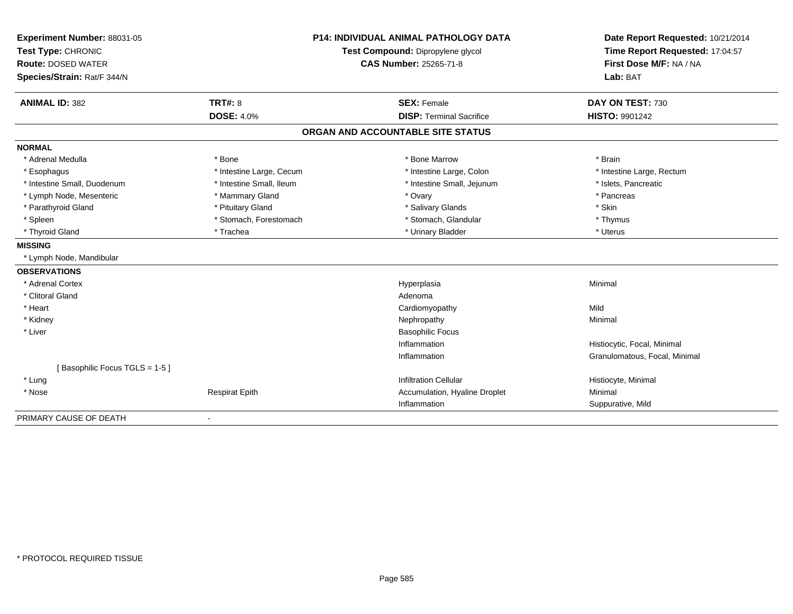| Experiment Number: 88031-05   | <b>P14: INDIVIDUAL ANIMAL PATHOLOGY DATA</b><br>Test Compound: Dipropylene glycol |                                   | Date Report Requested: 10/21/2014                          |  |
|-------------------------------|-----------------------------------------------------------------------------------|-----------------------------------|------------------------------------------------------------|--|
| Test Type: CHRONIC            |                                                                                   |                                   | Time Report Requested: 17:04:57<br>First Dose M/F: NA / NA |  |
| <b>Route: DOSED WATER</b>     |                                                                                   | <b>CAS Number: 25265-71-8</b>     |                                                            |  |
| Species/Strain: Rat/F 344/N   |                                                                                   |                                   | Lab: BAT                                                   |  |
| <b>ANIMAL ID: 382</b>         | <b>TRT#: 8</b>                                                                    | <b>SEX: Female</b>                | DAY ON TEST: 730                                           |  |
|                               | <b>DOSE: 4.0%</b>                                                                 | <b>DISP: Terminal Sacrifice</b>   | <b>HISTO: 9901242</b>                                      |  |
|                               |                                                                                   | ORGAN AND ACCOUNTABLE SITE STATUS |                                                            |  |
| <b>NORMAL</b>                 |                                                                                   |                                   |                                                            |  |
| * Adrenal Medulla             | * Bone                                                                            | * Bone Marrow                     | * Brain                                                    |  |
| * Esophagus                   | * Intestine Large, Cecum                                                          | * Intestine Large, Colon          | * Intestine Large, Rectum                                  |  |
| * Intestine Small, Duodenum   | * Intestine Small. Ileum                                                          | * Intestine Small, Jejunum        | * Islets, Pancreatic                                       |  |
| * Lymph Node, Mesenteric      | * Mammary Gland                                                                   | * Ovary                           | * Pancreas                                                 |  |
| * Parathyroid Gland           | * Pituitary Gland                                                                 | * Salivary Glands                 | * Skin                                                     |  |
| * Spleen                      | * Stomach, Forestomach                                                            | * Stomach, Glandular              | * Thymus                                                   |  |
| * Thyroid Gland               | * Trachea                                                                         | * Urinary Bladder                 | * Uterus                                                   |  |
| <b>MISSING</b>                |                                                                                   |                                   |                                                            |  |
| * Lymph Node, Mandibular      |                                                                                   |                                   |                                                            |  |
| <b>OBSERVATIONS</b>           |                                                                                   |                                   |                                                            |  |
| * Adrenal Cortex              |                                                                                   | Hyperplasia                       | Minimal                                                    |  |
| * Clitoral Gland              |                                                                                   | Adenoma                           |                                                            |  |
| * Heart                       |                                                                                   | Cardiomyopathy                    | Mild                                                       |  |
| * Kidney                      |                                                                                   | Nephropathy                       | Minimal                                                    |  |
| * Liver                       |                                                                                   | <b>Basophilic Focus</b>           |                                                            |  |
|                               |                                                                                   | Inflammation                      | Histiocytic, Focal, Minimal                                |  |
|                               |                                                                                   | Inflammation                      | Granulomatous, Focal, Minimal                              |  |
| [Basophilic Focus TGLS = 1-5] |                                                                                   |                                   |                                                            |  |
| * Lung                        |                                                                                   | <b>Infiltration Cellular</b>      | Histiocyte, Minimal                                        |  |
| * Nose                        | <b>Respirat Epith</b>                                                             | Accumulation, Hyaline Droplet     | Minimal                                                    |  |
|                               |                                                                                   | Inflammation                      | Suppurative, Mild                                          |  |
| PRIMARY CAUSE OF DEATH        |                                                                                   |                                   |                                                            |  |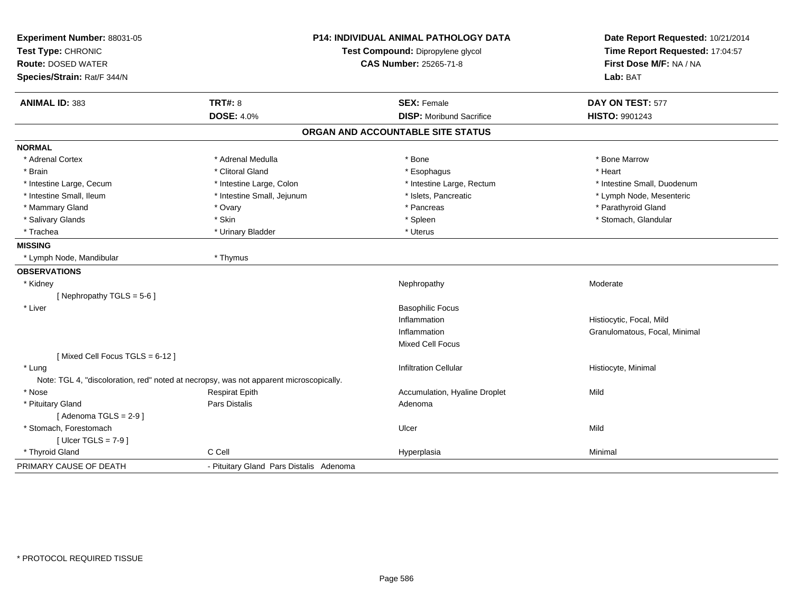| Experiment Number: 88031-05<br>Test Type: CHRONIC<br><b>Route: DOSED WATER</b><br>Species/Strain: Rat/F 344/N | <b>P14: INDIVIDUAL ANIMAL PATHOLOGY DATA</b><br>Test Compound: Dipropylene glycol<br><b>CAS Number: 25265-71-8</b> |                                   | Date Report Requested: 10/21/2014<br>Time Report Requested: 17:04:57<br>First Dose M/F: NA / NA<br>Lab: BAT |  |
|---------------------------------------------------------------------------------------------------------------|--------------------------------------------------------------------------------------------------------------------|-----------------------------------|-------------------------------------------------------------------------------------------------------------|--|
| <b>ANIMAL ID: 383</b>                                                                                         | <b>TRT#: 8</b>                                                                                                     | <b>SEX: Female</b>                | DAY ON TEST: 577                                                                                            |  |
|                                                                                                               | <b>DOSE: 4.0%</b>                                                                                                  | <b>DISP:</b> Moribund Sacrifice   | HISTO: 9901243                                                                                              |  |
|                                                                                                               |                                                                                                                    | ORGAN AND ACCOUNTABLE SITE STATUS |                                                                                                             |  |
| <b>NORMAL</b>                                                                                                 |                                                                                                                    |                                   |                                                                                                             |  |
| * Adrenal Cortex                                                                                              | * Adrenal Medulla                                                                                                  | * Bone                            | * Bone Marrow                                                                                               |  |
| * Brain                                                                                                       | * Clitoral Gland                                                                                                   | * Esophagus                       | * Heart                                                                                                     |  |
| * Intestine Large, Cecum                                                                                      | * Intestine Large, Colon                                                                                           | * Intestine Large, Rectum         | * Intestine Small, Duodenum                                                                                 |  |
| * Intestine Small, Ileum                                                                                      | * Intestine Small, Jejunum                                                                                         | * Islets, Pancreatic              | * Lymph Node, Mesenteric                                                                                    |  |
| * Mammary Gland                                                                                               | * Ovary                                                                                                            | * Pancreas                        | * Parathyroid Gland                                                                                         |  |
| * Salivary Glands                                                                                             | * Skin                                                                                                             | * Spleen                          | * Stomach, Glandular                                                                                        |  |
| * Trachea                                                                                                     | * Urinary Bladder                                                                                                  | * Uterus                          |                                                                                                             |  |
| <b>MISSING</b>                                                                                                |                                                                                                                    |                                   |                                                                                                             |  |
| * Lymph Node, Mandibular                                                                                      | * Thymus                                                                                                           |                                   |                                                                                                             |  |
| <b>OBSERVATIONS</b>                                                                                           |                                                                                                                    |                                   |                                                                                                             |  |
| * Kidney                                                                                                      |                                                                                                                    | Nephropathy                       | Moderate                                                                                                    |  |
| [Nephropathy TGLS = $5-6$ ]                                                                                   |                                                                                                                    |                                   |                                                                                                             |  |
| * Liver                                                                                                       |                                                                                                                    | <b>Basophilic Focus</b>           |                                                                                                             |  |
|                                                                                                               |                                                                                                                    | Inflammation                      | Histiocytic, Focal, Mild                                                                                    |  |
|                                                                                                               |                                                                                                                    | Inflammation                      | Granulomatous, Focal, Minimal                                                                               |  |
|                                                                                                               |                                                                                                                    | Mixed Cell Focus                  |                                                                                                             |  |
| [Mixed Cell Focus TGLS = 6-12]                                                                                |                                                                                                                    |                                   |                                                                                                             |  |
| * Lung                                                                                                        |                                                                                                                    | <b>Infiltration Cellular</b>      | Histiocyte, Minimal                                                                                         |  |
|                                                                                                               | Note: TGL 4, "discoloration, red" noted at necropsy, was not apparent microscopically.                             |                                   |                                                                                                             |  |
| * Nose                                                                                                        | <b>Respirat Epith</b>                                                                                              | Accumulation, Hyaline Droplet     | Mild                                                                                                        |  |
| * Pituitary Gland                                                                                             | <b>Pars Distalis</b>                                                                                               | Adenoma                           |                                                                                                             |  |
| [Adenoma TGLS = $2-9$ ]                                                                                       |                                                                                                                    |                                   |                                                                                                             |  |
| * Stomach, Forestomach                                                                                        |                                                                                                                    | Ulcer                             | Mild                                                                                                        |  |
| [Ulcer TGLS = $7-9$ ]                                                                                         |                                                                                                                    |                                   |                                                                                                             |  |
| * Thyroid Gland                                                                                               | C Cell                                                                                                             | Hyperplasia                       | Minimal                                                                                                     |  |
| PRIMARY CAUSE OF DEATH                                                                                        | - Pituitary Gland Pars Distalis Adenoma                                                                            |                                   |                                                                                                             |  |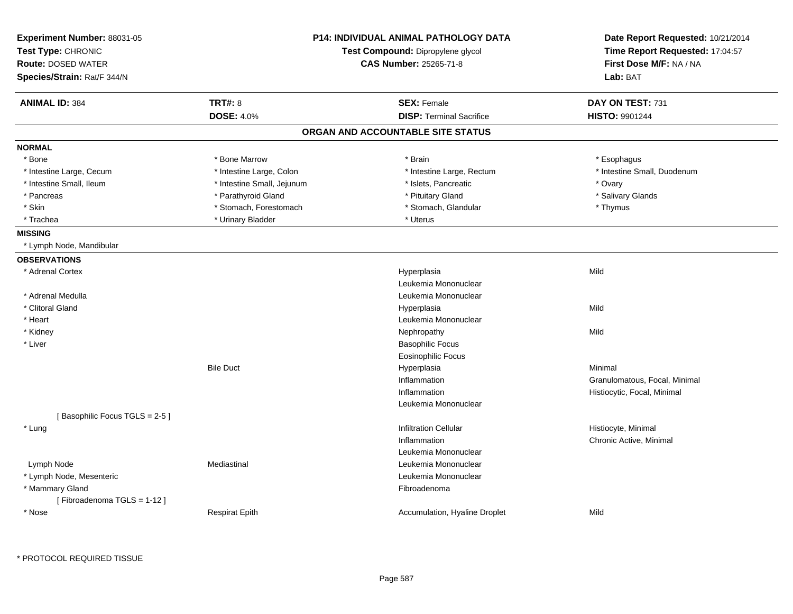| Experiment Number: 88031-05<br>Test Type: CHRONIC<br><b>Route: DOSED WATER</b><br>Species/Strain: Rat/F 344/N | <b>P14: INDIVIDUAL ANIMAL PATHOLOGY DATA</b><br>Test Compound: Dipropylene glycol<br><b>CAS Number: 25265-71-8</b> |                                              | Date Report Requested: 10/21/2014<br>Time Report Requested: 17:04:57<br>First Dose M/F: NA / NA<br>Lab: BAT |
|---------------------------------------------------------------------------------------------------------------|--------------------------------------------------------------------------------------------------------------------|----------------------------------------------|-------------------------------------------------------------------------------------------------------------|
| <b>ANIMAL ID: 384</b>                                                                                         | <b>TRT#: 8</b>                                                                                                     | <b>SEX: Female</b>                           | DAY ON TEST: 731                                                                                            |
|                                                                                                               | <b>DOSE: 4.0%</b>                                                                                                  | <b>DISP: Terminal Sacrifice</b>              | HISTO: 9901244                                                                                              |
|                                                                                                               |                                                                                                                    | ORGAN AND ACCOUNTABLE SITE STATUS            |                                                                                                             |
| <b>NORMAL</b>                                                                                                 |                                                                                                                    |                                              |                                                                                                             |
| * Bone                                                                                                        | * Bone Marrow                                                                                                      | * Brain                                      | * Esophagus                                                                                                 |
| * Intestine Large, Cecum                                                                                      | * Intestine Large, Colon                                                                                           | * Intestine Large, Rectum                    | * Intestine Small, Duodenum                                                                                 |
| * Intestine Small, Ileum                                                                                      | * Intestine Small, Jejunum                                                                                         | * Islets, Pancreatic                         | * Ovary                                                                                                     |
| * Pancreas                                                                                                    | * Parathyroid Gland                                                                                                | * Pituitary Gland                            | * Salivary Glands                                                                                           |
| * Skin                                                                                                        | * Stomach, Forestomach                                                                                             | * Stomach, Glandular                         | * Thymus                                                                                                    |
| * Trachea                                                                                                     | * Urinary Bladder                                                                                                  | * Uterus                                     |                                                                                                             |
| <b>MISSING</b>                                                                                                |                                                                                                                    |                                              |                                                                                                             |
| * Lymph Node, Mandibular                                                                                      |                                                                                                                    |                                              |                                                                                                             |
| <b>OBSERVATIONS</b>                                                                                           |                                                                                                                    |                                              |                                                                                                             |
| * Adrenal Cortex                                                                                              |                                                                                                                    | Hyperplasia                                  | Mild                                                                                                        |
|                                                                                                               |                                                                                                                    | Leukemia Mononuclear                         |                                                                                                             |
| * Adrenal Medulla                                                                                             |                                                                                                                    | Leukemia Mononuclear                         |                                                                                                             |
| * Clitoral Gland                                                                                              |                                                                                                                    | Hyperplasia                                  | Mild                                                                                                        |
| * Heart                                                                                                       |                                                                                                                    | Leukemia Mononuclear                         |                                                                                                             |
| * Kidney                                                                                                      |                                                                                                                    | Nephropathy                                  | Mild                                                                                                        |
| * Liver                                                                                                       |                                                                                                                    | <b>Basophilic Focus</b>                      |                                                                                                             |
|                                                                                                               |                                                                                                                    | <b>Eosinophilic Focus</b>                    |                                                                                                             |
|                                                                                                               | <b>Bile Duct</b>                                                                                                   | Hyperplasia                                  | Minimal                                                                                                     |
|                                                                                                               |                                                                                                                    | Inflammation                                 | Granulomatous, Focal, Minimal                                                                               |
|                                                                                                               |                                                                                                                    | Inflammation                                 | Histiocytic, Focal, Minimal                                                                                 |
|                                                                                                               |                                                                                                                    | Leukemia Mononuclear                         |                                                                                                             |
| [Basophilic Focus TGLS = 2-5]                                                                                 |                                                                                                                    |                                              |                                                                                                             |
| * Lung                                                                                                        |                                                                                                                    | <b>Infiltration Cellular</b>                 | Histiocyte, Minimal                                                                                         |
|                                                                                                               |                                                                                                                    | Inflammation                                 | Chronic Active, Minimal                                                                                     |
|                                                                                                               | Mediastinal                                                                                                        | Leukemia Mononuclear<br>Leukemia Mononuclear |                                                                                                             |
| Lymph Node                                                                                                    |                                                                                                                    |                                              |                                                                                                             |
| * Lymph Node, Mesenteric                                                                                      |                                                                                                                    | Leukemia Mononuclear                         |                                                                                                             |
| * Mammary Gland                                                                                               |                                                                                                                    | Fibroadenoma                                 |                                                                                                             |
| [Fibroadenoma TGLS = 1-12]<br>* Nose                                                                          |                                                                                                                    |                                              | Mild                                                                                                        |
|                                                                                                               | <b>Respirat Epith</b>                                                                                              | Accumulation, Hyaline Droplet                |                                                                                                             |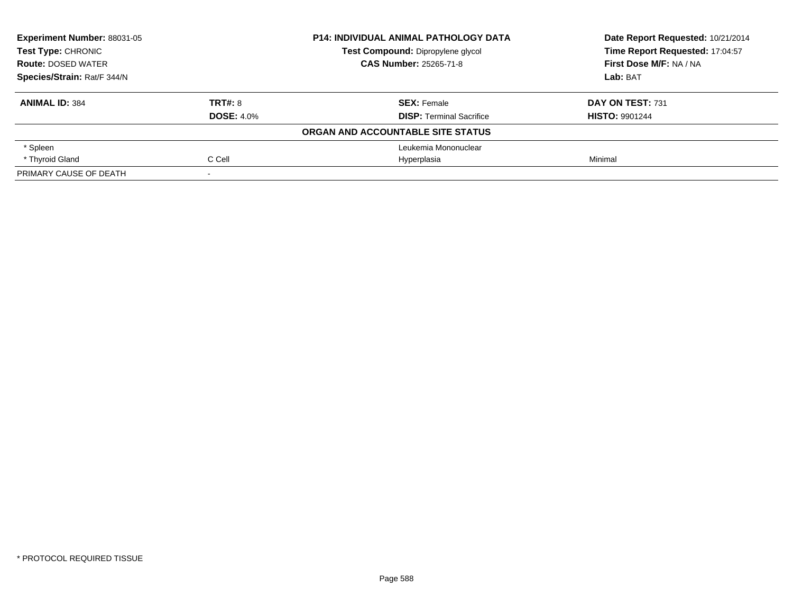| Experiment Number: 88031-05<br><b>Test Type: CHRONIC</b><br><b>Route: DOSED WATER</b><br>Species/Strain: Rat/F 344/N |                   | <b>P14: INDIVIDUAL ANIMAL PATHOLOGY DATA</b> | Date Report Requested: 10/21/2014<br>Time Report Requested: 17:04:57 |
|----------------------------------------------------------------------------------------------------------------------|-------------------|----------------------------------------------|----------------------------------------------------------------------|
|                                                                                                                      |                   | Test Compound: Dipropylene glycol            |                                                                      |
|                                                                                                                      |                   | <b>CAS Number: 25265-71-8</b>                | First Dose M/F: NA / NA                                              |
|                                                                                                                      |                   |                                              | Lab: BAT                                                             |
| <b>ANIMAL ID: 384</b>                                                                                                | TRT#: 8           | <b>SEX: Female</b>                           | DAY ON TEST: 731                                                     |
|                                                                                                                      | <b>DOSE: 4.0%</b> | <b>DISP:</b> Terminal Sacrifice              | <b>HISTO: 9901244</b>                                                |
|                                                                                                                      |                   | ORGAN AND ACCOUNTABLE SITE STATUS            |                                                                      |
| * Spleen                                                                                                             |                   | Leukemia Mononuclear                         |                                                                      |
| * Thyroid Gland                                                                                                      | C Cell            | Hyperplasia                                  | Minimal                                                              |
| PRIMARY CAUSE OF DEATH                                                                                               |                   |                                              |                                                                      |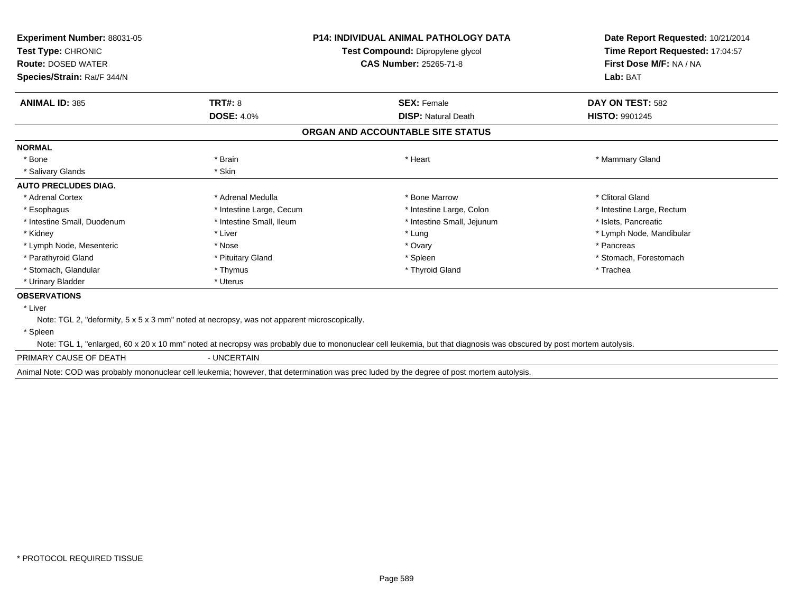| <b>Experiment Number: 88031-05</b><br>Test Type: CHRONIC<br><b>Route: DOSED WATER</b><br>Species/Strain: Rat/F 344/N |                                                                                             | <b>P14: INDIVIDUAL ANIMAL PATHOLOGY DATA</b><br>Test Compound: Dipropylene glycol<br><b>CAS Number: 25265-71-8</b>                                                  | Date Report Requested: 10/21/2014<br>Time Report Requested: 17:04:57<br>First Dose M/F: NA / NA<br>Lab: BAT |
|----------------------------------------------------------------------------------------------------------------------|---------------------------------------------------------------------------------------------|---------------------------------------------------------------------------------------------------------------------------------------------------------------------|-------------------------------------------------------------------------------------------------------------|
| <b>ANIMAL ID: 385</b>                                                                                                | <b>TRT#: 8</b>                                                                              | <b>SEX: Female</b>                                                                                                                                                  | DAY ON TEST: 582                                                                                            |
|                                                                                                                      | <b>DOSE: 4.0%</b>                                                                           | <b>DISP: Natural Death</b>                                                                                                                                          | <b>HISTO: 9901245</b>                                                                                       |
|                                                                                                                      |                                                                                             | ORGAN AND ACCOUNTABLE SITE STATUS                                                                                                                                   |                                                                                                             |
| <b>NORMAL</b>                                                                                                        |                                                                                             |                                                                                                                                                                     |                                                                                                             |
| * Bone                                                                                                               | * Brain                                                                                     | * Heart                                                                                                                                                             | * Mammary Gland                                                                                             |
| * Salivary Glands                                                                                                    | * Skin                                                                                      |                                                                                                                                                                     |                                                                                                             |
| <b>AUTO PRECLUDES DIAG.</b>                                                                                          |                                                                                             |                                                                                                                                                                     |                                                                                                             |
| * Adrenal Cortex                                                                                                     | * Adrenal Medulla                                                                           | * Bone Marrow                                                                                                                                                       | * Clitoral Gland                                                                                            |
| * Esophagus                                                                                                          | * Intestine Large, Cecum                                                                    | * Intestine Large, Colon                                                                                                                                            | * Intestine Large, Rectum                                                                                   |
| * Intestine Small, Duodenum                                                                                          | * Intestine Small, Ileum                                                                    | * Intestine Small, Jejunum                                                                                                                                          | * Islets, Pancreatic                                                                                        |
| * Kidney                                                                                                             | * Liver                                                                                     | * Lung                                                                                                                                                              | * Lymph Node, Mandibular                                                                                    |
| * Lymph Node, Mesenteric                                                                                             | * Nose                                                                                      | * Ovary                                                                                                                                                             | * Pancreas                                                                                                  |
| * Parathyroid Gland                                                                                                  | * Pituitary Gland                                                                           | * Spleen                                                                                                                                                            | * Stomach, Forestomach                                                                                      |
| * Stomach, Glandular                                                                                                 | * Thymus                                                                                    | * Thyroid Gland                                                                                                                                                     | * Trachea                                                                                                   |
| * Urinary Bladder                                                                                                    | * Uterus                                                                                    |                                                                                                                                                                     |                                                                                                             |
| <b>OBSERVATIONS</b>                                                                                                  |                                                                                             |                                                                                                                                                                     |                                                                                                             |
| * Liver                                                                                                              |                                                                                             |                                                                                                                                                                     |                                                                                                             |
|                                                                                                                      | Note: TGL 2, "deformity, 5 x 5 x 3 mm" noted at necropsy, was not apparent microscopically. |                                                                                                                                                                     |                                                                                                             |
| * Spleen                                                                                                             |                                                                                             |                                                                                                                                                                     |                                                                                                             |
|                                                                                                                      |                                                                                             | Note: TGL 1, "enlarged, 60 x 20 x 10 mm" noted at necropsy was probably due to mononuclear cell leukemia, but that diagnosis was obscured by post mortem autolysis. |                                                                                                             |
| PRIMARY CAUSE OF DEATH                                                                                               | - UNCERTAIN                                                                                 |                                                                                                                                                                     |                                                                                                             |

Animal Note: COD was probably mononuclear cell leukemia; however, that determination was prec luded by the degree of post mortem autolysis.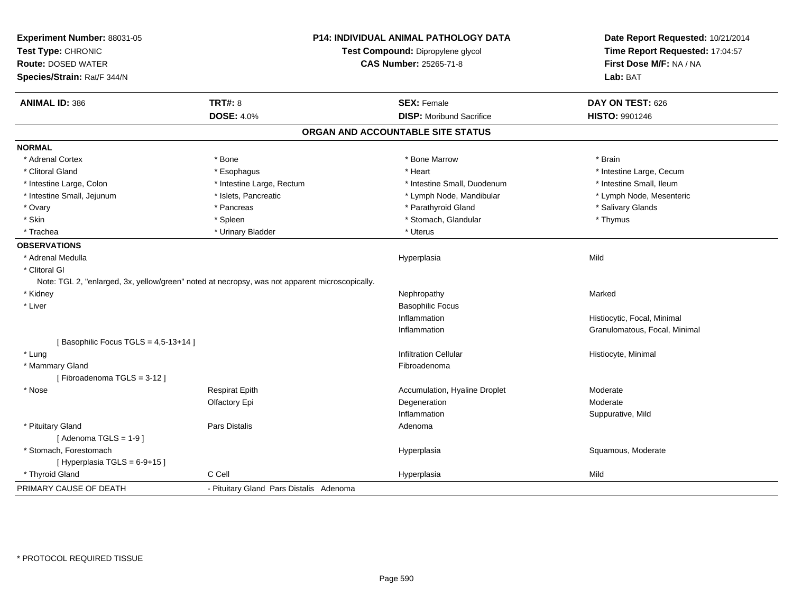| Experiment Number: 88031-05<br>Test Type: CHRONIC<br><b>Route: DOSED WATER</b><br>Species/Strain: Rat/F 344/N |                                                                                                | <b>P14: INDIVIDUAL ANIMAL PATHOLOGY DATA</b><br>Test Compound: Dipropylene glycol<br><b>CAS Number: 25265-71-8</b> | Date Report Requested: 10/21/2014<br>Time Report Requested: 17:04:57<br>First Dose M/F: NA / NA<br>Lab: BAT |
|---------------------------------------------------------------------------------------------------------------|------------------------------------------------------------------------------------------------|--------------------------------------------------------------------------------------------------------------------|-------------------------------------------------------------------------------------------------------------|
| <b>ANIMAL ID: 386</b>                                                                                         | <b>TRT#: 8</b>                                                                                 | <b>SEX: Female</b>                                                                                                 | DAY ON TEST: 626                                                                                            |
|                                                                                                               | <b>DOSE: 4.0%</b>                                                                              | <b>DISP: Moribund Sacrifice</b>                                                                                    | <b>HISTO: 9901246</b>                                                                                       |
|                                                                                                               |                                                                                                | ORGAN AND ACCOUNTABLE SITE STATUS                                                                                  |                                                                                                             |
| <b>NORMAL</b>                                                                                                 |                                                                                                |                                                                                                                    |                                                                                                             |
| * Adrenal Cortex                                                                                              | * Bone                                                                                         | * Bone Marrow                                                                                                      | * Brain                                                                                                     |
| * Clitoral Gland                                                                                              | * Esophagus                                                                                    | * Heart                                                                                                            | * Intestine Large, Cecum                                                                                    |
| * Intestine Large, Colon                                                                                      | * Intestine Large, Rectum                                                                      | * Intestine Small, Duodenum                                                                                        | * Intestine Small, Ileum                                                                                    |
| * Intestine Small, Jejunum                                                                                    | * Islets, Pancreatic                                                                           | * Lymph Node, Mandibular                                                                                           | * Lymph Node, Mesenteric                                                                                    |
| * Ovary                                                                                                       | * Pancreas                                                                                     | * Parathyroid Gland                                                                                                | * Salivary Glands                                                                                           |
| * Skin                                                                                                        | * Spleen                                                                                       | * Stomach, Glandular                                                                                               | * Thymus                                                                                                    |
| * Trachea                                                                                                     | * Urinary Bladder                                                                              | * Uterus                                                                                                           |                                                                                                             |
| <b>OBSERVATIONS</b>                                                                                           |                                                                                                |                                                                                                                    |                                                                                                             |
| * Adrenal Medulla                                                                                             |                                                                                                | Hyperplasia                                                                                                        | Mild                                                                                                        |
| * Clitoral GI                                                                                                 |                                                                                                |                                                                                                                    |                                                                                                             |
|                                                                                                               | Note: TGL 2, "enlarged, 3x, yellow/green" noted at necropsy, was not apparent microscopically. |                                                                                                                    |                                                                                                             |
| * Kidney                                                                                                      |                                                                                                | Nephropathy                                                                                                        | Marked                                                                                                      |
| * Liver                                                                                                       |                                                                                                | <b>Basophilic Focus</b>                                                                                            |                                                                                                             |
|                                                                                                               |                                                                                                | Inflammation                                                                                                       | Histiocytic, Focal, Minimal                                                                                 |
|                                                                                                               |                                                                                                | Inflammation                                                                                                       | Granulomatous, Focal, Minimal                                                                               |
| [Basophilic Focus TGLS = 4,5-13+14]                                                                           |                                                                                                |                                                                                                                    |                                                                                                             |
| * Lung                                                                                                        |                                                                                                | <b>Infiltration Cellular</b>                                                                                       | Histiocyte, Minimal                                                                                         |
| * Mammary Gland                                                                                               |                                                                                                | Fibroadenoma                                                                                                       |                                                                                                             |
| [Fibroadenoma TGLS = 3-12]                                                                                    |                                                                                                |                                                                                                                    |                                                                                                             |
| * Nose                                                                                                        | <b>Respirat Epith</b>                                                                          | Accumulation, Hyaline Droplet                                                                                      | Moderate                                                                                                    |
|                                                                                                               | Olfactory Epi                                                                                  | Degeneration                                                                                                       | Moderate                                                                                                    |
|                                                                                                               |                                                                                                | Inflammation                                                                                                       | Suppurative, Mild                                                                                           |
| * Pituitary Gland                                                                                             | Pars Distalis                                                                                  | Adenoma                                                                                                            |                                                                                                             |
| [Adenoma TGLS = $1-9$ ]                                                                                       |                                                                                                |                                                                                                                    |                                                                                                             |
| * Stomach, Forestomach<br>[Hyperplasia TGLS = 6-9+15]                                                         |                                                                                                | Hyperplasia                                                                                                        | Squamous, Moderate                                                                                          |
| * Thyroid Gland                                                                                               | C Cell                                                                                         | Hyperplasia                                                                                                        | Mild                                                                                                        |
|                                                                                                               |                                                                                                |                                                                                                                    |                                                                                                             |
| PRIMARY CAUSE OF DEATH                                                                                        | - Pituitary Gland Pars Distalis Adenoma                                                        |                                                                                                                    |                                                                                                             |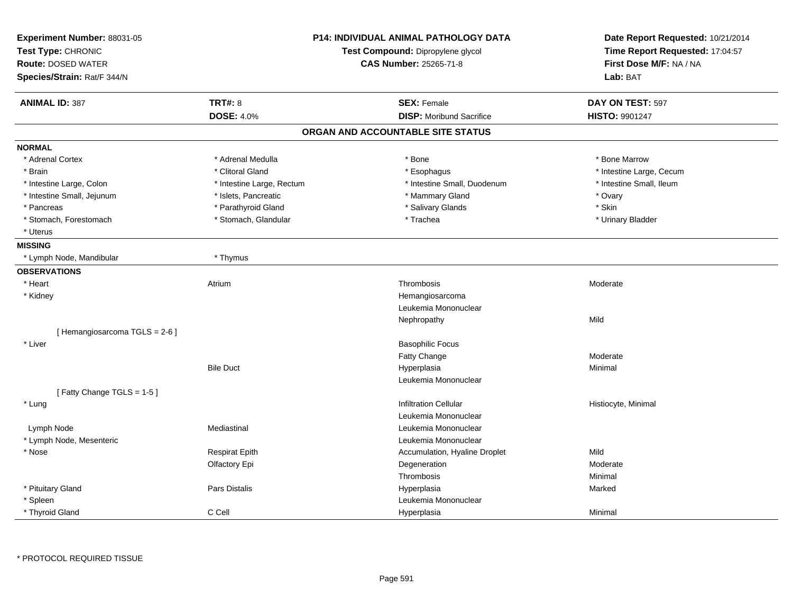| Experiment Number: 88031-05<br>Test Type: CHRONIC<br><b>Route: DOSED WATER</b><br>Species/Strain: Rat/F 344/N | <b>P14: INDIVIDUAL ANIMAL PATHOLOGY DATA</b><br>Test Compound: Dipropylene glycol<br><b>CAS Number: 25265-71-8</b> |                                   | Date Report Requested: 10/21/2014<br>Time Report Requested: 17:04:57<br>First Dose M/F: NA / NA<br>Lab: BAT |
|---------------------------------------------------------------------------------------------------------------|--------------------------------------------------------------------------------------------------------------------|-----------------------------------|-------------------------------------------------------------------------------------------------------------|
|                                                                                                               |                                                                                                                    |                                   |                                                                                                             |
| <b>ANIMAL ID: 387</b>                                                                                         | <b>TRT#: 8</b>                                                                                                     | <b>SEX: Female</b>                | DAY ON TEST: 597                                                                                            |
|                                                                                                               | <b>DOSE: 4.0%</b>                                                                                                  | <b>DISP: Moribund Sacrifice</b>   | <b>HISTO: 9901247</b>                                                                                       |
|                                                                                                               |                                                                                                                    | ORGAN AND ACCOUNTABLE SITE STATUS |                                                                                                             |
| <b>NORMAL</b>                                                                                                 |                                                                                                                    |                                   |                                                                                                             |
| * Adrenal Cortex                                                                                              | * Adrenal Medulla                                                                                                  | * Bone                            | * Bone Marrow                                                                                               |
| * Brain                                                                                                       | * Clitoral Gland                                                                                                   | * Esophagus                       | * Intestine Large, Cecum                                                                                    |
| * Intestine Large, Colon                                                                                      | * Intestine Large, Rectum                                                                                          | * Intestine Small, Duodenum       | * Intestine Small, Ileum                                                                                    |
| * Intestine Small, Jejunum                                                                                    | * Islets, Pancreatic                                                                                               | * Mammary Gland                   | * Ovary                                                                                                     |
| * Pancreas                                                                                                    | * Parathyroid Gland                                                                                                | * Salivary Glands                 | * Skin                                                                                                      |
| * Stomach, Forestomach                                                                                        | * Stomach, Glandular                                                                                               | * Trachea                         | * Urinary Bladder                                                                                           |
| * Uterus                                                                                                      |                                                                                                                    |                                   |                                                                                                             |
| <b>MISSING</b>                                                                                                |                                                                                                                    |                                   |                                                                                                             |
| * Lymph Node, Mandibular                                                                                      | * Thymus                                                                                                           |                                   |                                                                                                             |
| <b>OBSERVATIONS</b>                                                                                           |                                                                                                                    |                                   |                                                                                                             |
| * Heart                                                                                                       | Atrium                                                                                                             | Thrombosis                        | Moderate                                                                                                    |
| * Kidney                                                                                                      |                                                                                                                    | Hemangiosarcoma                   |                                                                                                             |
|                                                                                                               |                                                                                                                    | Leukemia Mononuclear              |                                                                                                             |
|                                                                                                               |                                                                                                                    | Nephropathy                       | Mild                                                                                                        |
| [Hemangiosarcoma TGLS = 2-6]                                                                                  |                                                                                                                    |                                   |                                                                                                             |
| * Liver                                                                                                       |                                                                                                                    | <b>Basophilic Focus</b>           |                                                                                                             |
|                                                                                                               |                                                                                                                    | Fatty Change                      | Moderate                                                                                                    |
|                                                                                                               | <b>Bile Duct</b>                                                                                                   | Hyperplasia                       | Minimal                                                                                                     |
|                                                                                                               |                                                                                                                    | Leukemia Mononuclear              |                                                                                                             |
| [Fatty Change TGLS = 1-5]                                                                                     |                                                                                                                    |                                   |                                                                                                             |
| * Lung                                                                                                        |                                                                                                                    | <b>Infiltration Cellular</b>      | Histiocyte, Minimal                                                                                         |
|                                                                                                               |                                                                                                                    | Leukemia Mononuclear              |                                                                                                             |
| Lymph Node                                                                                                    | Mediastinal                                                                                                        | Leukemia Mononuclear              |                                                                                                             |
| * Lymph Node, Mesenteric                                                                                      |                                                                                                                    | Leukemia Mononuclear              |                                                                                                             |
| * Nose                                                                                                        | <b>Respirat Epith</b>                                                                                              | Accumulation, Hyaline Droplet     | Mild                                                                                                        |
|                                                                                                               | Olfactory Epi                                                                                                      | Degeneration                      | Moderate                                                                                                    |
|                                                                                                               |                                                                                                                    | Thrombosis                        | Minimal                                                                                                     |
| * Pituitary Gland                                                                                             | Pars Distalis                                                                                                      | Hyperplasia                       | Marked                                                                                                      |
| * Spleen                                                                                                      |                                                                                                                    | Leukemia Mononuclear              |                                                                                                             |
| * Thyroid Gland                                                                                               | C Cell                                                                                                             | Hyperplasia                       | Minimal                                                                                                     |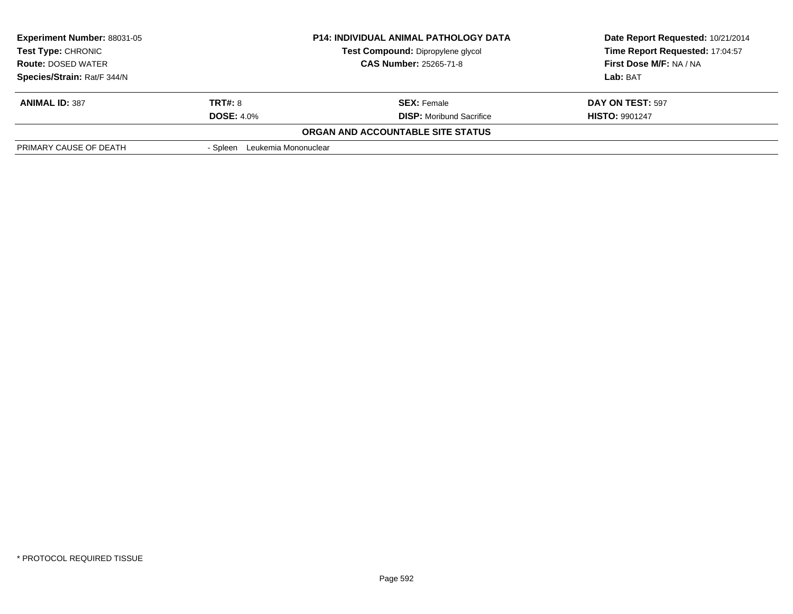| <b>Experiment Number: 88031-05</b><br><b>Test Type: CHRONIC</b><br><b>Route: DOSED WATER</b><br>Species/Strain: Rat/F 344/N |                                     | <b>P14: INDIVIDUAL ANIMAL PATHOLOGY DATA</b><br>Test Compound: Dipropylene glycol<br><b>CAS Number: 25265-71-8</b> | Date Report Requested: 10/21/2014<br>Time Report Requested: 17:04:57<br>First Dose M/F: NA / NA<br>Lab: BAT |
|-----------------------------------------------------------------------------------------------------------------------------|-------------------------------------|--------------------------------------------------------------------------------------------------------------------|-------------------------------------------------------------------------------------------------------------|
| <b>ANIMAL ID: 387</b>                                                                                                       | <b>TRT#: 8</b><br><b>DOSE: 4.0%</b> | <b>SEX: Female</b><br><b>DISP:</b> Moribund Sacrifice                                                              | DAY ON TEST: 597<br><b>HISTO: 9901247</b>                                                                   |
|                                                                                                                             |                                     | <b>ORGAN AND ACCOUNTABLE SITE STATUS</b>                                                                           |                                                                                                             |
| PRIMARY CAUSE OF DEATH                                                                                                      | Leukemia Mononuclear<br>- Spleen    |                                                                                                                    |                                                                                                             |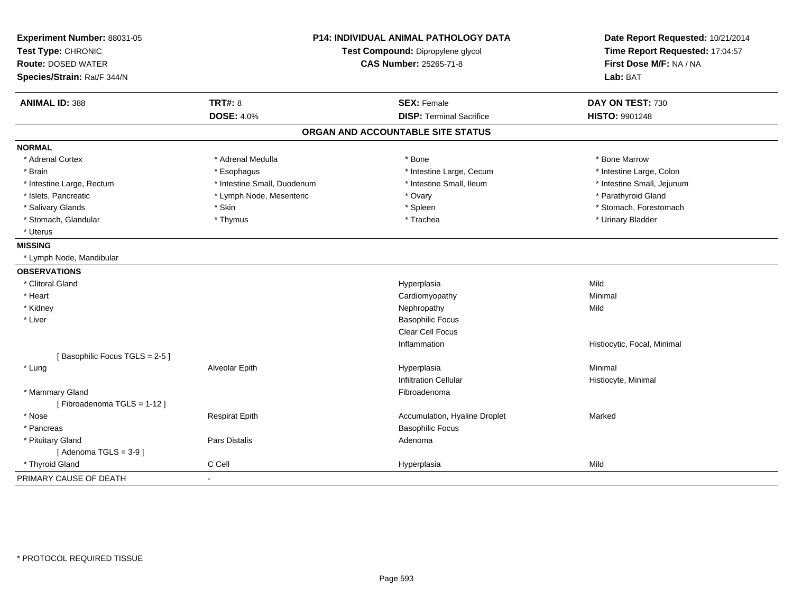| Experiment Number: 88031-05<br>Test Type: CHRONIC<br><b>Route: DOSED WATER</b> | <b>P14: INDIVIDUAL ANIMAL PATHOLOGY DATA</b><br>Test Compound: Dipropylene glycol<br><b>CAS Number: 25265-71-8</b> |                                   | Date Report Requested: 10/21/2014<br>Time Report Requested: 17:04:57<br>First Dose M/F: NA / NA |
|--------------------------------------------------------------------------------|--------------------------------------------------------------------------------------------------------------------|-----------------------------------|-------------------------------------------------------------------------------------------------|
| Species/Strain: Rat/F 344/N                                                    |                                                                                                                    |                                   | Lab: BAT                                                                                        |
| <b>ANIMAL ID: 388</b>                                                          | <b>TRT#: 8</b>                                                                                                     | <b>SEX: Female</b>                | DAY ON TEST: 730                                                                                |
|                                                                                | <b>DOSE: 4.0%</b>                                                                                                  | <b>DISP: Terminal Sacrifice</b>   | <b>HISTO: 9901248</b>                                                                           |
|                                                                                |                                                                                                                    | ORGAN AND ACCOUNTABLE SITE STATUS |                                                                                                 |
| <b>NORMAL</b>                                                                  |                                                                                                                    |                                   |                                                                                                 |
| * Adrenal Cortex                                                               | * Adrenal Medulla                                                                                                  | * Bone                            | * Bone Marrow                                                                                   |
| * Brain                                                                        | * Esophagus                                                                                                        | * Intestine Large, Cecum          | * Intestine Large, Colon                                                                        |
| * Intestine Large, Rectum                                                      | * Intestine Small, Duodenum                                                                                        | * Intestine Small, Ileum          | * Intestine Small, Jejunum                                                                      |
| * Islets, Pancreatic                                                           | * Lymph Node, Mesenteric                                                                                           | * Ovary                           | * Parathyroid Gland                                                                             |
| * Salivary Glands                                                              | * Skin                                                                                                             | * Spleen                          | * Stomach, Forestomach                                                                          |
| * Stomach, Glandular                                                           | * Thymus                                                                                                           | * Trachea                         | * Urinary Bladder                                                                               |
| * Uterus                                                                       |                                                                                                                    |                                   |                                                                                                 |
| <b>MISSING</b>                                                                 |                                                                                                                    |                                   |                                                                                                 |
| * Lymph Node, Mandibular                                                       |                                                                                                                    |                                   |                                                                                                 |
| <b>OBSERVATIONS</b>                                                            |                                                                                                                    |                                   |                                                                                                 |
| * Clitoral Gland                                                               |                                                                                                                    | Hyperplasia                       | Mild                                                                                            |
| * Heart                                                                        |                                                                                                                    | Cardiomyopathy                    | Minimal                                                                                         |
| * Kidney                                                                       |                                                                                                                    | Nephropathy                       | Mild                                                                                            |
| * Liver                                                                        |                                                                                                                    | <b>Basophilic Focus</b>           |                                                                                                 |
|                                                                                |                                                                                                                    | Clear Cell Focus                  |                                                                                                 |
|                                                                                |                                                                                                                    | Inflammation                      | Histiocytic, Focal, Minimal                                                                     |
| [Basophilic Focus TGLS = 2-5]                                                  |                                                                                                                    |                                   |                                                                                                 |
| * Lung                                                                         | Alveolar Epith                                                                                                     | Hyperplasia                       | Minimal                                                                                         |
|                                                                                |                                                                                                                    | <b>Infiltration Cellular</b>      | Histiocyte, Minimal                                                                             |
| * Mammary Gland                                                                |                                                                                                                    | Fibroadenoma                      |                                                                                                 |
| [Fibroadenoma TGLS = 1-12]                                                     |                                                                                                                    |                                   |                                                                                                 |
| * Nose                                                                         | <b>Respirat Epith</b>                                                                                              | Accumulation, Hyaline Droplet     | Marked                                                                                          |
| * Pancreas                                                                     |                                                                                                                    | <b>Basophilic Focus</b>           |                                                                                                 |
| * Pituitary Gland                                                              | Pars Distalis                                                                                                      | Adenoma                           |                                                                                                 |
| [Adenoma TGLS = $3-9$ ]                                                        |                                                                                                                    |                                   |                                                                                                 |
| * Thyroid Gland                                                                | C Cell                                                                                                             | Hyperplasia                       | Mild                                                                                            |
| PRIMARY CAUSE OF DEATH                                                         | $\blacksquare$                                                                                                     |                                   |                                                                                                 |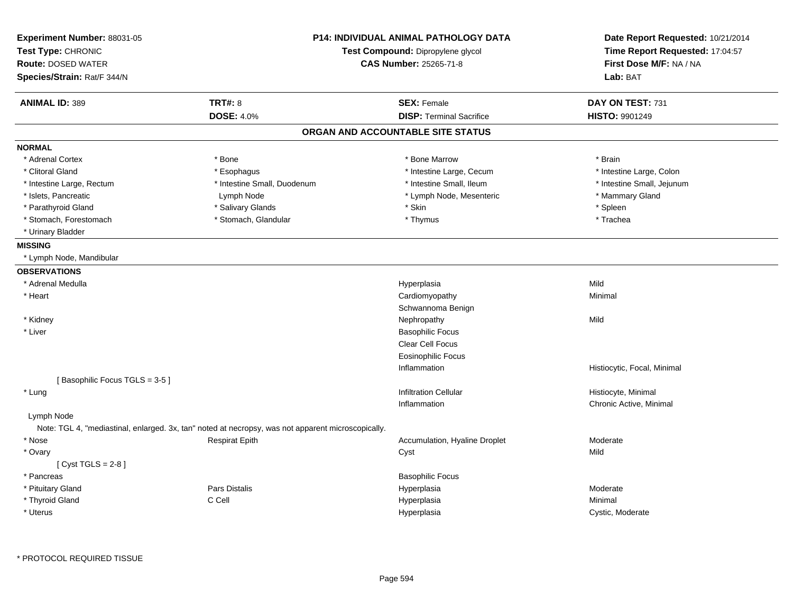| Experiment Number: 88031-05<br>Test Type: CHRONIC<br><b>Route: DOSED WATER</b><br>Species/Strain: Rat/F 344/N |                                                                                                    | <b>P14: INDIVIDUAL ANIMAL PATHOLOGY DATA</b><br>Test Compound: Dipropylene glycol<br><b>CAS Number: 25265-71-8</b> |                             |
|---------------------------------------------------------------------------------------------------------------|----------------------------------------------------------------------------------------------------|--------------------------------------------------------------------------------------------------------------------|-----------------------------|
| <b>ANIMAL ID: 389</b>                                                                                         | <b>TRT#: 8</b>                                                                                     | <b>SEX: Female</b>                                                                                                 | DAY ON TEST: 731            |
|                                                                                                               | <b>DOSE: 4.0%</b>                                                                                  | <b>DISP: Terminal Sacrifice</b>                                                                                    | <b>HISTO: 9901249</b>       |
|                                                                                                               |                                                                                                    | ORGAN AND ACCOUNTABLE SITE STATUS                                                                                  |                             |
| <b>NORMAL</b>                                                                                                 |                                                                                                    |                                                                                                                    |                             |
| * Adrenal Cortex                                                                                              | * Bone                                                                                             | * Bone Marrow                                                                                                      | * Brain                     |
| * Clitoral Gland                                                                                              | * Esophagus                                                                                        | * Intestine Large, Cecum                                                                                           | * Intestine Large, Colon    |
| * Intestine Large, Rectum                                                                                     | * Intestine Small, Duodenum                                                                        | * Intestine Small, Ileum                                                                                           | * Intestine Small, Jejunum  |
| * Islets, Pancreatic                                                                                          | Lymph Node                                                                                         | * Lymph Node, Mesenteric                                                                                           | * Mammary Gland             |
| * Parathyroid Gland                                                                                           | * Salivary Glands                                                                                  | * Skin                                                                                                             | * Spleen                    |
| * Stomach, Forestomach                                                                                        | * Stomach, Glandular                                                                               | * Thymus                                                                                                           | * Trachea                   |
| * Urinary Bladder                                                                                             |                                                                                                    |                                                                                                                    |                             |
| <b>MISSING</b>                                                                                                |                                                                                                    |                                                                                                                    |                             |
| * Lymph Node, Mandibular                                                                                      |                                                                                                    |                                                                                                                    |                             |
| <b>OBSERVATIONS</b>                                                                                           |                                                                                                    |                                                                                                                    |                             |
| * Adrenal Medulla                                                                                             |                                                                                                    | Hyperplasia                                                                                                        | Mild                        |
| * Heart                                                                                                       |                                                                                                    | Cardiomyopathy                                                                                                     | Minimal                     |
|                                                                                                               |                                                                                                    | Schwannoma Benign                                                                                                  |                             |
| * Kidney                                                                                                      |                                                                                                    | Nephropathy                                                                                                        | Mild                        |
| * Liver                                                                                                       |                                                                                                    | <b>Basophilic Focus</b>                                                                                            |                             |
|                                                                                                               |                                                                                                    | Clear Cell Focus                                                                                                   |                             |
|                                                                                                               |                                                                                                    | <b>Eosinophilic Focus</b>                                                                                          |                             |
|                                                                                                               |                                                                                                    | Inflammation                                                                                                       | Histiocytic, Focal, Minimal |
| [Basophilic Focus TGLS = 3-5]                                                                                 |                                                                                                    |                                                                                                                    |                             |
| * Lung                                                                                                        |                                                                                                    | <b>Infiltration Cellular</b>                                                                                       | Histiocyte, Minimal         |
|                                                                                                               |                                                                                                    | Inflammation                                                                                                       | Chronic Active, Minimal     |
| Lymph Node                                                                                                    |                                                                                                    |                                                                                                                    |                             |
|                                                                                                               | Note: TGL 4, "mediastinal, enlarged. 3x, tan" noted at necropsy, was not apparent microscopically. |                                                                                                                    |                             |
| * Nose                                                                                                        | <b>Respirat Epith</b>                                                                              | Accumulation, Hyaline Droplet                                                                                      | Moderate                    |
| * Ovary<br>[Cyst TGLS = $2-8$ ]                                                                               |                                                                                                    | Cyst                                                                                                               | Mild                        |
| * Pancreas                                                                                                    |                                                                                                    | <b>Basophilic Focus</b>                                                                                            |                             |
| * Pituitary Gland                                                                                             | Pars Distalis                                                                                      | Hyperplasia                                                                                                        | Moderate                    |
| * Thyroid Gland                                                                                               | C Cell                                                                                             | Hyperplasia                                                                                                        | Minimal                     |
|                                                                                                               |                                                                                                    |                                                                                                                    |                             |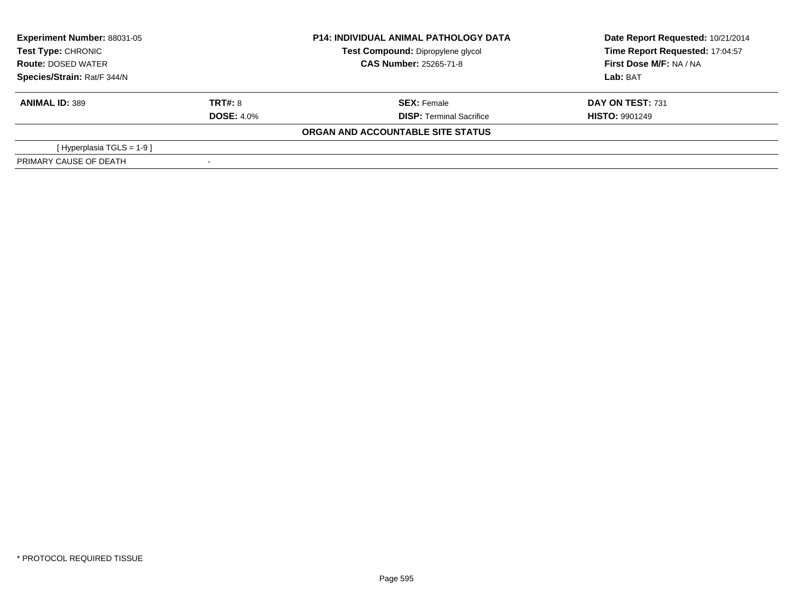| <b>Experiment Number: 88031-05</b> |                   | <b>P14: INDIVIDUAL ANIMAL PATHOLOGY DATA</b> | Date Report Requested: 10/21/2014 |
|------------------------------------|-------------------|----------------------------------------------|-----------------------------------|
| Test Type: CHRONIC                 |                   | Test Compound: Dipropylene glycol            | Time Report Requested: 17:04:57   |
| <b>Route: DOSED WATER</b>          |                   | <b>CAS Number: 25265-71-8</b>                | First Dose M/F: NA / NA           |
| Species/Strain: Rat/F 344/N        |                   |                                              | Lab: BAT                          |
| <b>ANIMAL ID: 389</b>              | <b>TRT#: 8</b>    | <b>SEX: Female</b>                           | <b>DAY ON TEST: 731</b>           |
|                                    | <b>DOSE: 4.0%</b> | <b>DISP: Terminal Sacrifice</b>              | <b>HISTO: 9901249</b>             |
|                                    |                   | ORGAN AND ACCOUNTABLE SITE STATUS            |                                   |
| [Hyperplasia TGLS = 1-9 ]          |                   |                                              |                                   |
| PRIMARY CAUSE OF DEATH             | $\,$              |                                              |                                   |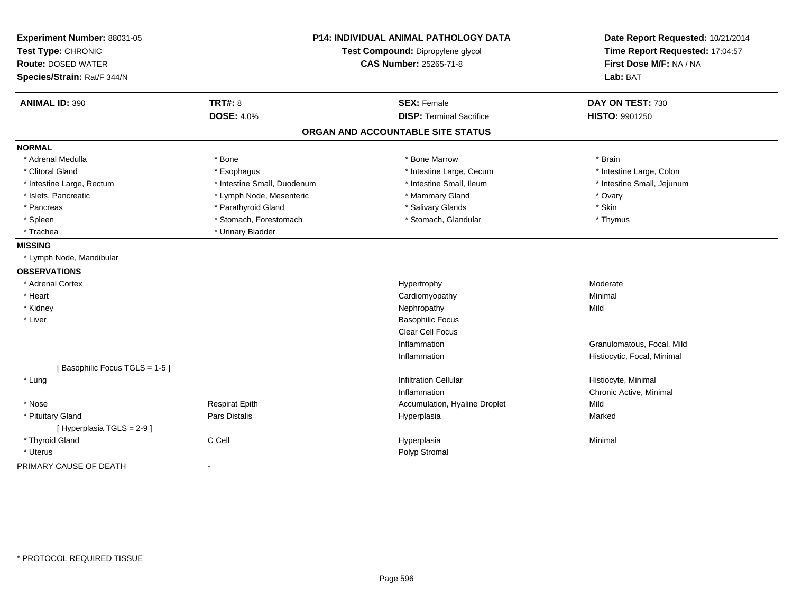| Experiment Number: 88031-05   |                                   | P14: INDIVIDUAL ANIMAL PATHOLOGY DATA | Date Report Requested: 10/21/2014 |
|-------------------------------|-----------------------------------|---------------------------------------|-----------------------------------|
| Test Type: CHRONIC            | Test Compound: Dipropylene glycol |                                       | Time Report Requested: 17:04:57   |
| <b>Route: DOSED WATER</b>     |                                   | CAS Number: 25265-71-8                | First Dose M/F: NA / NA           |
| Species/Strain: Rat/F 344/N   |                                   |                                       | Lab: BAT                          |
| <b>ANIMAL ID: 390</b>         | <b>TRT#: 8</b>                    | <b>SEX: Female</b>                    | DAY ON TEST: 730                  |
|                               | <b>DOSE: 4.0%</b>                 | <b>DISP: Terminal Sacrifice</b>       | HISTO: 9901250                    |
|                               |                                   | ORGAN AND ACCOUNTABLE SITE STATUS     |                                   |
| <b>NORMAL</b>                 |                                   |                                       |                                   |
| * Adrenal Medulla             | * Bone                            | * Bone Marrow                         | * Brain                           |
| * Clitoral Gland              | * Esophagus                       | * Intestine Large, Cecum              | * Intestine Large, Colon          |
| * Intestine Large, Rectum     | * Intestine Small, Duodenum       | * Intestine Small, Ileum              | * Intestine Small, Jejunum        |
| * Islets, Pancreatic          | * Lymph Node, Mesenteric          | * Mammary Gland                       | * Ovary                           |
| * Pancreas                    | * Parathyroid Gland               | * Salivary Glands                     | * Skin                            |
| * Spleen                      | * Stomach, Forestomach            | * Stomach, Glandular                  | * Thymus                          |
| * Trachea                     | * Urinary Bladder                 |                                       |                                   |
| <b>MISSING</b>                |                                   |                                       |                                   |
| * Lymph Node, Mandibular      |                                   |                                       |                                   |
| <b>OBSERVATIONS</b>           |                                   |                                       |                                   |
| * Adrenal Cortex              |                                   | Hypertrophy                           | Moderate                          |
| * Heart                       |                                   | Cardiomyopathy                        | Minimal                           |
| * Kidney                      |                                   | Nephropathy                           | Mild                              |
| * Liver                       |                                   | <b>Basophilic Focus</b>               |                                   |
|                               |                                   | Clear Cell Focus                      |                                   |
|                               |                                   | Inflammation                          | Granulomatous, Focal, Mild        |
|                               |                                   | Inflammation                          | Histiocytic, Focal, Minimal       |
| [Basophilic Focus TGLS = 1-5] |                                   |                                       |                                   |
| * Lung                        |                                   | <b>Infiltration Cellular</b>          | Histiocyte, Minimal               |
|                               |                                   | Inflammation                          | Chronic Active, Minimal           |
| * Nose                        | <b>Respirat Epith</b>             | Accumulation, Hyaline Droplet         | Mild                              |
| * Pituitary Gland             | Pars Distalis                     | Hyperplasia                           | Marked                            |
| [ Hyperplasia TGLS = 2-9 ]    |                                   |                                       |                                   |
| * Thyroid Gland               | C Cell                            | Hyperplasia                           | Minimal                           |
| * Uterus                      |                                   | Polyp Stromal                         |                                   |
| PRIMARY CAUSE OF DEATH        |                                   |                                       |                                   |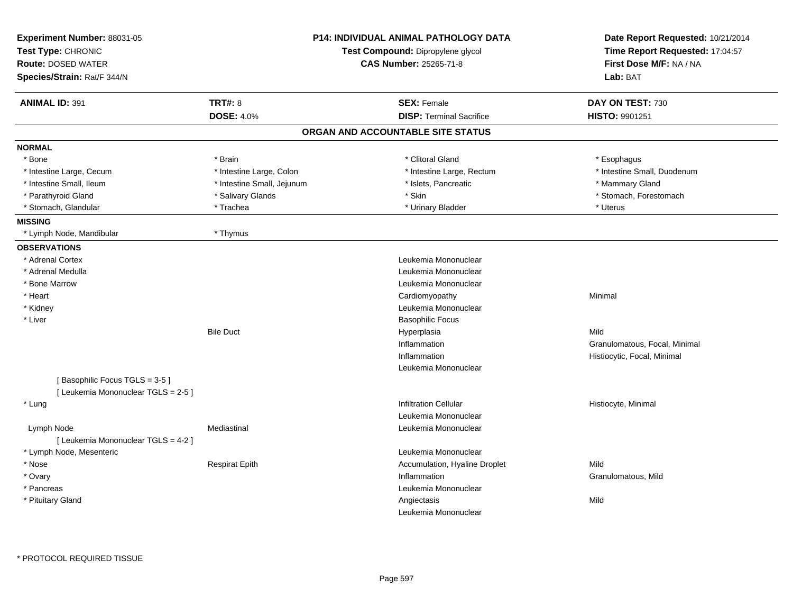| Experiment Number: 88031-05<br>Test Type: CHRONIC<br><b>Route: DOSED WATER</b><br>Species/Strain: Rat/F 344/N | <b>P14: INDIVIDUAL ANIMAL PATHOLOGY DATA</b><br>Test Compound: Dipropylene glycol<br>CAS Number: 25265-71-8 |                                   | Date Report Requested: 10/21/2014<br>Time Report Requested: 17:04:57<br>First Dose M/F: NA / NA<br>Lab: BAT |
|---------------------------------------------------------------------------------------------------------------|-------------------------------------------------------------------------------------------------------------|-----------------------------------|-------------------------------------------------------------------------------------------------------------|
| <b>ANIMAL ID: 391</b>                                                                                         | <b>TRT#: 8</b>                                                                                              | <b>SEX: Female</b>                | DAY ON TEST: 730                                                                                            |
|                                                                                                               | <b>DOSE: 4.0%</b>                                                                                           | <b>DISP: Terminal Sacrifice</b>   | HISTO: 9901251                                                                                              |
|                                                                                                               |                                                                                                             | ORGAN AND ACCOUNTABLE SITE STATUS |                                                                                                             |
| <b>NORMAL</b>                                                                                                 |                                                                                                             |                                   |                                                                                                             |
| * Bone                                                                                                        | * Brain                                                                                                     | * Clitoral Gland                  | * Esophagus                                                                                                 |
| * Intestine Large, Cecum                                                                                      | * Intestine Large, Colon                                                                                    | * Intestine Large, Rectum         | * Intestine Small, Duodenum                                                                                 |
| * Intestine Small, Ileum                                                                                      | * Intestine Small, Jejunum                                                                                  | * Islets, Pancreatic              | * Mammary Gland                                                                                             |
| * Parathyroid Gland                                                                                           | * Salivary Glands                                                                                           | * Skin                            | * Stomach, Forestomach                                                                                      |
| * Stomach, Glandular                                                                                          | * Trachea                                                                                                   | * Urinary Bladder                 | * Uterus                                                                                                    |
| <b>MISSING</b>                                                                                                |                                                                                                             |                                   |                                                                                                             |
| * Lymph Node, Mandibular                                                                                      | * Thymus                                                                                                    |                                   |                                                                                                             |
| <b>OBSERVATIONS</b>                                                                                           |                                                                                                             |                                   |                                                                                                             |
| * Adrenal Cortex                                                                                              |                                                                                                             | Leukemia Mononuclear              |                                                                                                             |
| * Adrenal Medulla                                                                                             |                                                                                                             | Leukemia Mononuclear              |                                                                                                             |
| * Bone Marrow                                                                                                 |                                                                                                             | Leukemia Mononuclear              |                                                                                                             |
| * Heart                                                                                                       |                                                                                                             | Cardiomyopathy                    | Minimal                                                                                                     |
| * Kidney                                                                                                      |                                                                                                             | Leukemia Mononuclear              |                                                                                                             |
| * Liver                                                                                                       |                                                                                                             | <b>Basophilic Focus</b>           |                                                                                                             |
|                                                                                                               | <b>Bile Duct</b>                                                                                            | Hyperplasia                       | Mild                                                                                                        |
|                                                                                                               |                                                                                                             | Inflammation                      | Granulomatous, Focal, Minimal                                                                               |
|                                                                                                               |                                                                                                             | Inflammation                      | Histiocytic, Focal, Minimal                                                                                 |
|                                                                                                               |                                                                                                             | Leukemia Mononuclear              |                                                                                                             |
| [Basophilic Focus TGLS = 3-5]                                                                                 |                                                                                                             |                                   |                                                                                                             |
| [ Leukemia Mononuclear TGLS = 2-5 ]                                                                           |                                                                                                             |                                   |                                                                                                             |
| * Lung                                                                                                        |                                                                                                             | <b>Infiltration Cellular</b>      | Histiocyte, Minimal                                                                                         |
|                                                                                                               |                                                                                                             | Leukemia Mononuclear              |                                                                                                             |
| Lymph Node                                                                                                    | Mediastinal                                                                                                 | Leukemia Mononuclear              |                                                                                                             |
| [ Leukemia Mononuclear TGLS = 4-2 ]                                                                           |                                                                                                             |                                   |                                                                                                             |
| * Lymph Node, Mesenteric                                                                                      |                                                                                                             | Leukemia Mononuclear              |                                                                                                             |
| * Nose                                                                                                        | <b>Respirat Epith</b>                                                                                       | Accumulation, Hyaline Droplet     | Mild                                                                                                        |
| * Ovary                                                                                                       |                                                                                                             | Inflammation                      | Granulomatous, Mild                                                                                         |
| * Pancreas                                                                                                    |                                                                                                             | Leukemia Mononuclear              |                                                                                                             |
| * Pituitary Gland                                                                                             |                                                                                                             | Angiectasis                       | Mild                                                                                                        |
|                                                                                                               |                                                                                                             | Leukemia Mononuclear              |                                                                                                             |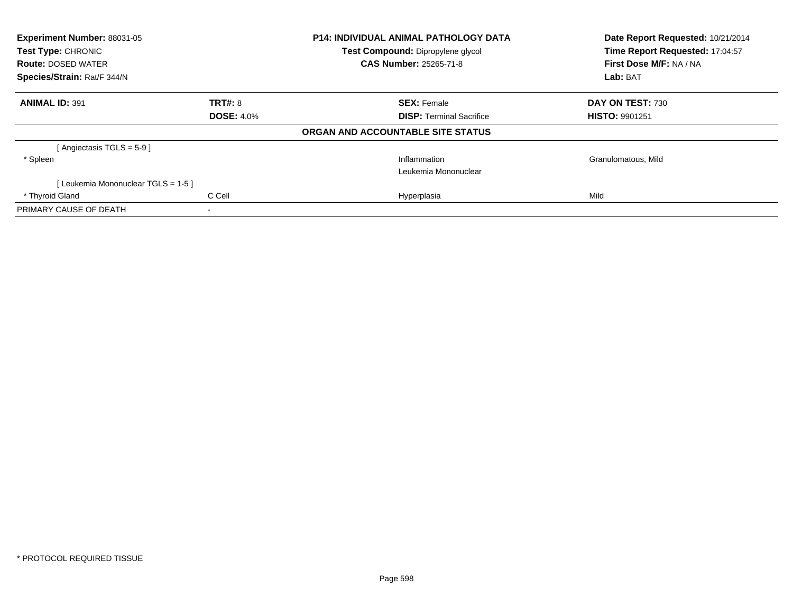| <b>Experiment Number: 88031-05</b><br>Test Type: CHRONIC |                   | P14: INDIVIDUAL ANIMAL PATHOLOGY DATA | Date Report Requested: 10/21/2014 |  |
|----------------------------------------------------------|-------------------|---------------------------------------|-----------------------------------|--|
|                                                          |                   | Test Compound: Dipropylene glycol     | Time Report Requested: 17:04:57   |  |
| <b>Route: DOSED WATER</b>                                |                   | <b>CAS Number: 25265-71-8</b>         | First Dose M/F: NA / NA           |  |
| Species/Strain: Rat/F 344/N                              |                   |                                       | Lab: BAT                          |  |
| <b>ANIMAL ID: 391</b>                                    | <b>TRT#: 8</b>    | <b>SEX: Female</b>                    | DAY ON TEST: 730                  |  |
|                                                          | <b>DOSE: 4.0%</b> | <b>DISP:</b> Terminal Sacrifice       | <b>HISTO: 9901251</b>             |  |
|                                                          |                   | ORGAN AND ACCOUNTABLE SITE STATUS     |                                   |  |
| [Angiectasis TGLS = 5-9 ]                                |                   |                                       |                                   |  |
| * Spleen                                                 |                   | Inflammation                          | Granulomatous, Mild               |  |
|                                                          |                   | Leukemia Mononuclear                  |                                   |  |
| [Leukemia Mononuclear TGLS = 1-5]                        |                   |                                       |                                   |  |
| * Thyroid Gland                                          | C Cell            | Hyperplasia                           | Mild                              |  |
| PRIMARY CAUSE OF DEATH                                   |                   |                                       |                                   |  |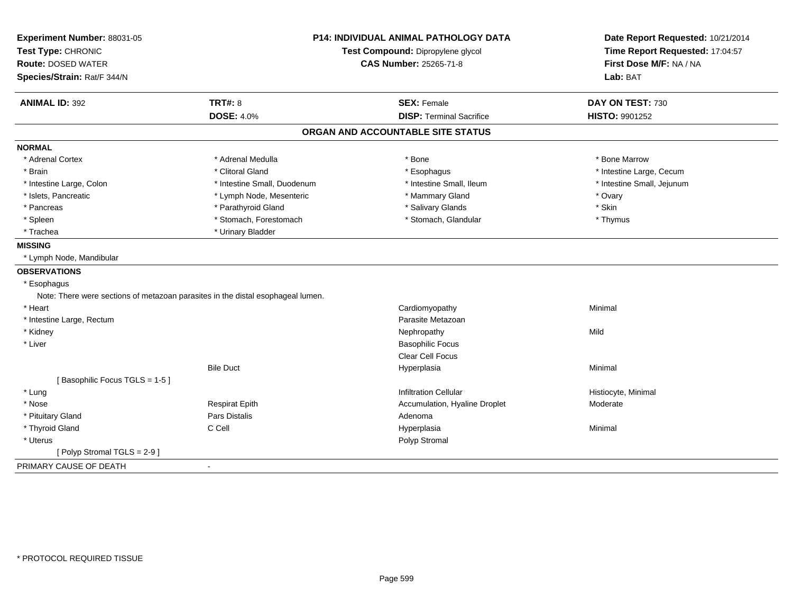| Experiment Number: 88031-05<br>Test Type: CHRONIC<br><b>Route: DOSED WATER</b><br>Species/Strain: Rat/F 344/N | <b>P14: INDIVIDUAL ANIMAL PATHOLOGY DATA</b><br>Test Compound: Dipropylene glycol<br><b>CAS Number: 25265-71-8</b> |                                   | Date Report Requested: 10/21/2014<br>Time Report Requested: 17:04:57<br>First Dose M/F: NA / NA<br>Lab: BAT |
|---------------------------------------------------------------------------------------------------------------|--------------------------------------------------------------------------------------------------------------------|-----------------------------------|-------------------------------------------------------------------------------------------------------------|
| <b>ANIMAL ID: 392</b>                                                                                         | <b>TRT#: 8</b>                                                                                                     | <b>SEX: Female</b>                | DAY ON TEST: 730                                                                                            |
|                                                                                                               | <b>DOSE: 4.0%</b>                                                                                                  | <b>DISP: Terminal Sacrifice</b>   | HISTO: 9901252                                                                                              |
|                                                                                                               |                                                                                                                    | ORGAN AND ACCOUNTABLE SITE STATUS |                                                                                                             |
| <b>NORMAL</b>                                                                                                 |                                                                                                                    |                                   |                                                                                                             |
| * Adrenal Cortex                                                                                              | * Adrenal Medulla                                                                                                  | * Bone                            | * Bone Marrow                                                                                               |
| * Brain                                                                                                       | * Clitoral Gland                                                                                                   | * Esophagus                       | * Intestine Large, Cecum                                                                                    |
| * Intestine Large, Colon                                                                                      | * Intestine Small, Duodenum                                                                                        | * Intestine Small, Ileum          | * Intestine Small, Jejunum                                                                                  |
| * Islets, Pancreatic                                                                                          | * Lymph Node, Mesenteric                                                                                           | * Mammary Gland                   | * Ovary                                                                                                     |
| * Pancreas                                                                                                    | * Parathyroid Gland                                                                                                | * Salivary Glands                 | * Skin                                                                                                      |
| * Spleen                                                                                                      | * Stomach, Forestomach                                                                                             | * Stomach, Glandular              | * Thymus                                                                                                    |
| * Trachea                                                                                                     | * Urinary Bladder                                                                                                  |                                   |                                                                                                             |
| <b>MISSING</b>                                                                                                |                                                                                                                    |                                   |                                                                                                             |
| * Lymph Node, Mandibular                                                                                      |                                                                                                                    |                                   |                                                                                                             |
| <b>OBSERVATIONS</b>                                                                                           |                                                                                                                    |                                   |                                                                                                             |
| * Esophagus                                                                                                   |                                                                                                                    |                                   |                                                                                                             |
|                                                                                                               | Note: There were sections of metazoan parasites in the distal esophageal lumen.                                    |                                   |                                                                                                             |
| * Heart                                                                                                       |                                                                                                                    | Cardiomyopathy                    | Minimal                                                                                                     |
| * Intestine Large, Rectum                                                                                     |                                                                                                                    | Parasite Metazoan                 |                                                                                                             |
| * Kidney                                                                                                      |                                                                                                                    | Nephropathy                       | Mild                                                                                                        |
| * Liver                                                                                                       |                                                                                                                    | <b>Basophilic Focus</b>           |                                                                                                             |
|                                                                                                               |                                                                                                                    | Clear Cell Focus                  |                                                                                                             |
|                                                                                                               | <b>Bile Duct</b>                                                                                                   | Hyperplasia                       | Minimal                                                                                                     |
| [Basophilic Focus TGLS = 1-5]                                                                                 |                                                                                                                    |                                   |                                                                                                             |
| * Lung                                                                                                        |                                                                                                                    | <b>Infiltration Cellular</b>      | Histiocyte, Minimal                                                                                         |
| * Nose                                                                                                        | <b>Respirat Epith</b>                                                                                              | Accumulation, Hyaline Droplet     | Moderate                                                                                                    |
| * Pituitary Gland                                                                                             | Pars Distalis                                                                                                      | Adenoma                           |                                                                                                             |
| * Thyroid Gland                                                                                               | C Cell                                                                                                             | Hyperplasia                       | Minimal                                                                                                     |
| * Uterus                                                                                                      |                                                                                                                    | Polyp Stromal                     |                                                                                                             |
| [Polyp Stromal TGLS = 2-9]                                                                                    |                                                                                                                    |                                   |                                                                                                             |
| PRIMARY CAUSE OF DEATH                                                                                        | $\sim$                                                                                                             |                                   |                                                                                                             |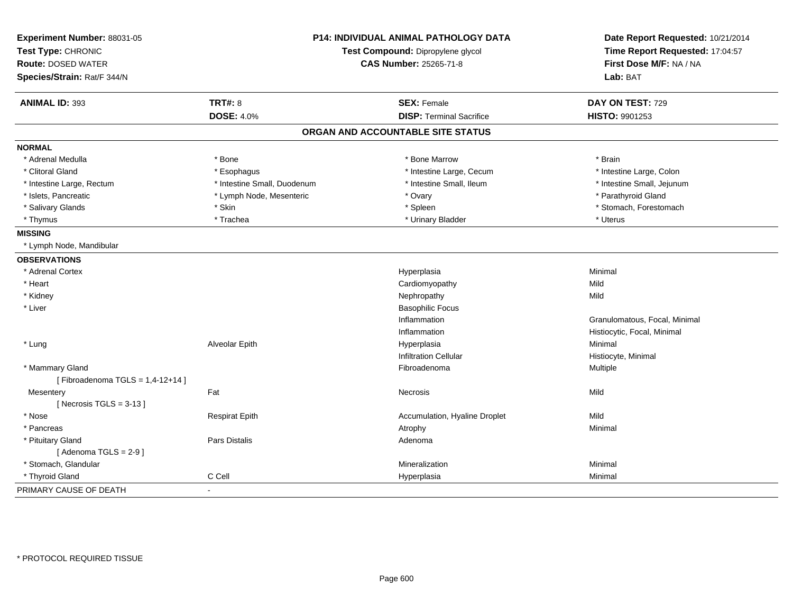| Experiment Number: 88031-05<br>Test Type: CHRONIC<br><b>Route: DOSED WATER</b><br>Species/Strain: Rat/F 344/N | <b>P14: INDIVIDUAL ANIMAL PATHOLOGY DATA</b><br>Test Compound: Dipropylene glycol<br><b>CAS Number: 25265-71-8</b> |                                   | Date Report Requested: 10/21/2014<br>Time Report Requested: 17:04:57<br>First Dose M/F: NA / NA<br>Lab: BAT |
|---------------------------------------------------------------------------------------------------------------|--------------------------------------------------------------------------------------------------------------------|-----------------------------------|-------------------------------------------------------------------------------------------------------------|
| <b>ANIMAL ID: 393</b>                                                                                         | <b>TRT#: 8</b>                                                                                                     | <b>SEX: Female</b>                | DAY ON TEST: 729                                                                                            |
|                                                                                                               | <b>DOSE: 4.0%</b>                                                                                                  | <b>DISP: Terminal Sacrifice</b>   | <b>HISTO: 9901253</b>                                                                                       |
|                                                                                                               |                                                                                                                    | ORGAN AND ACCOUNTABLE SITE STATUS |                                                                                                             |
| <b>NORMAL</b>                                                                                                 |                                                                                                                    |                                   |                                                                                                             |
| * Adrenal Medulla                                                                                             | * Bone                                                                                                             | * Bone Marrow                     | * Brain                                                                                                     |
| * Clitoral Gland                                                                                              | * Esophagus                                                                                                        | * Intestine Large, Cecum          | * Intestine Large, Colon                                                                                    |
| * Intestine Large, Rectum                                                                                     | * Intestine Small, Duodenum                                                                                        | * Intestine Small, Ileum          | * Intestine Small, Jejunum                                                                                  |
| * Islets, Pancreatic                                                                                          | * Lymph Node, Mesenteric                                                                                           | * Ovary                           | * Parathyroid Gland                                                                                         |
| * Salivary Glands                                                                                             | * Skin                                                                                                             | * Spleen                          | * Stomach, Forestomach                                                                                      |
| * Thymus                                                                                                      | * Trachea                                                                                                          | * Urinary Bladder                 | * Uterus                                                                                                    |
| <b>MISSING</b>                                                                                                |                                                                                                                    |                                   |                                                                                                             |
| * Lymph Node, Mandibular                                                                                      |                                                                                                                    |                                   |                                                                                                             |
| <b>OBSERVATIONS</b>                                                                                           |                                                                                                                    |                                   |                                                                                                             |
| * Adrenal Cortex                                                                                              |                                                                                                                    | Hyperplasia                       | Minimal                                                                                                     |
| * Heart                                                                                                       |                                                                                                                    | Cardiomyopathy                    | Mild                                                                                                        |
| * Kidney                                                                                                      |                                                                                                                    | Nephropathy                       | Mild                                                                                                        |
| * Liver                                                                                                       |                                                                                                                    | <b>Basophilic Focus</b>           |                                                                                                             |
|                                                                                                               |                                                                                                                    | Inflammation                      | Granulomatous, Focal, Minimal                                                                               |
|                                                                                                               |                                                                                                                    | Inflammation                      | Histiocytic, Focal, Minimal                                                                                 |
| * Lung                                                                                                        | Alveolar Epith                                                                                                     | Hyperplasia                       | Minimal                                                                                                     |
|                                                                                                               |                                                                                                                    | <b>Infiltration Cellular</b>      | Histiocyte, Minimal                                                                                         |
| * Mammary Gland                                                                                               |                                                                                                                    | Fibroadenoma                      | Multiple                                                                                                    |
| [Fibroadenoma TGLS = $1,4-12+14$ ]                                                                            |                                                                                                                    |                                   |                                                                                                             |
| Mesentery                                                                                                     | Fat                                                                                                                | Necrosis                          | Mild                                                                                                        |
| [Necrosis $TGLS = 3-13$ ]                                                                                     |                                                                                                                    |                                   |                                                                                                             |
| * Nose                                                                                                        | <b>Respirat Epith</b>                                                                                              | Accumulation, Hyaline Droplet     | Mild                                                                                                        |
| * Pancreas                                                                                                    |                                                                                                                    | Atrophy                           | Minimal                                                                                                     |
| * Pituitary Gland                                                                                             | Pars Distalis                                                                                                      | Adenoma                           |                                                                                                             |
| [Adenoma TGLS = $2-9$ ]                                                                                       |                                                                                                                    |                                   |                                                                                                             |
| * Stomach, Glandular                                                                                          |                                                                                                                    | Mineralization                    | Minimal                                                                                                     |
| * Thyroid Gland                                                                                               | C Cell                                                                                                             | Hyperplasia                       | Minimal                                                                                                     |
| PRIMARY CAUSE OF DEATH                                                                                        | $\sim$                                                                                                             |                                   |                                                                                                             |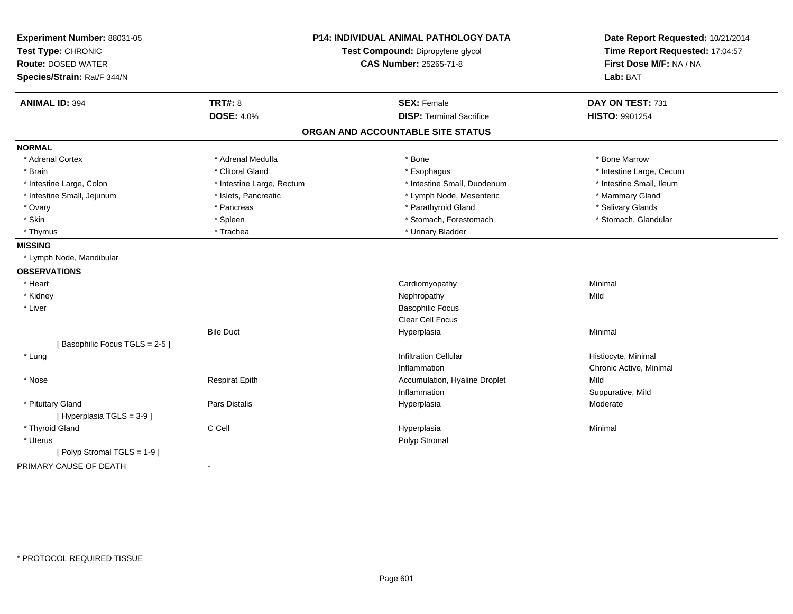| Experiment Number: 88031-05<br>Test Type: CHRONIC |                           | <b>P14: INDIVIDUAL ANIMAL PATHOLOGY DATA</b> | Date Report Requested: 10/21/2014<br>Time Report Requested: 17:04:57 |
|---------------------------------------------------|---------------------------|----------------------------------------------|----------------------------------------------------------------------|
|                                                   |                           | Test Compound: Dipropylene glycol            |                                                                      |
| <b>Route: DOSED WATER</b>                         |                           | <b>CAS Number: 25265-71-8</b>                | First Dose M/F: NA / NA                                              |
| Species/Strain: Rat/F 344/N                       |                           |                                              | Lab: BAT                                                             |
| <b>ANIMAL ID: 394</b>                             | <b>TRT#: 8</b>            | <b>SEX: Female</b>                           | DAY ON TEST: 731                                                     |
|                                                   | <b>DOSE: 4.0%</b>         | <b>DISP: Terminal Sacrifice</b>              | HISTO: 9901254                                                       |
|                                                   |                           | ORGAN AND ACCOUNTABLE SITE STATUS            |                                                                      |
| <b>NORMAL</b>                                     |                           |                                              |                                                                      |
| * Adrenal Cortex                                  | * Adrenal Medulla         | * Bone                                       | * Bone Marrow                                                        |
| * Brain                                           | * Clitoral Gland          | * Esophagus                                  | * Intestine Large, Cecum                                             |
| * Intestine Large, Colon                          | * Intestine Large, Rectum | * Intestine Small, Duodenum                  | * Intestine Small, Ileum                                             |
| * Intestine Small, Jejunum                        | * Islets, Pancreatic      | * Lymph Node, Mesenteric                     | * Mammary Gland                                                      |
| * Ovary                                           | * Pancreas                | * Parathyroid Gland                          | * Salivary Glands                                                    |
| * Skin                                            | * Spleen                  | * Stomach, Forestomach                       | * Stomach, Glandular                                                 |
| * Thymus                                          | * Trachea                 | * Urinary Bladder                            |                                                                      |
| <b>MISSING</b>                                    |                           |                                              |                                                                      |
| * Lymph Node, Mandibular                          |                           |                                              |                                                                      |
| <b>OBSERVATIONS</b>                               |                           |                                              |                                                                      |
| * Heart                                           |                           | Cardiomyopathy                               | Minimal                                                              |
| * Kidney                                          |                           | Nephropathy                                  | Mild                                                                 |
| * Liver                                           |                           | <b>Basophilic Focus</b>                      |                                                                      |
|                                                   |                           | Clear Cell Focus                             |                                                                      |
|                                                   | <b>Bile Duct</b>          | Hyperplasia                                  | Minimal                                                              |
| [Basophilic Focus TGLS = 2-5]                     |                           |                                              |                                                                      |
| * Lung                                            |                           | <b>Infiltration Cellular</b>                 | Histiocyte, Minimal                                                  |
|                                                   |                           | Inflammation                                 | Chronic Active, Minimal                                              |
| * Nose                                            | <b>Respirat Epith</b>     | Accumulation, Hyaline Droplet                | Mild                                                                 |
|                                                   |                           | Inflammation                                 | Suppurative, Mild                                                    |
| * Pituitary Gland                                 | <b>Pars Distalis</b>      | Hyperplasia                                  | Moderate                                                             |
| [ Hyperplasia TGLS = 3-9 ]                        |                           |                                              |                                                                      |
| * Thyroid Gland                                   | C Cell                    | Hyperplasia                                  | Minimal                                                              |
| * Uterus                                          |                           | Polyp Stromal                                |                                                                      |
| [Polyp Stromal TGLS = 1-9]                        |                           |                                              |                                                                      |
| PRIMARY CAUSE OF DEATH                            |                           |                                              |                                                                      |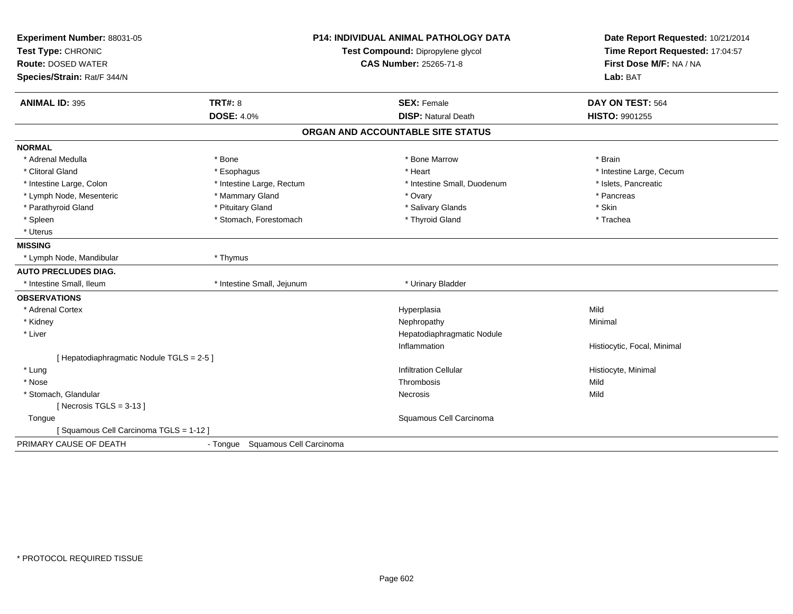| Experiment Number: 88031-05               |                                   | <b>P14: INDIVIDUAL ANIMAL PATHOLOGY DATA</b> | Date Report Requested: 10/21/2014 |
|-------------------------------------------|-----------------------------------|----------------------------------------------|-----------------------------------|
| Test Type: CHRONIC                        | Test Compound: Dipropylene glycol |                                              | Time Report Requested: 17:04:57   |
| <b>Route: DOSED WATER</b>                 |                                   | <b>CAS Number: 25265-71-8</b>                | First Dose M/F: NA / NA           |
| Species/Strain: Rat/F 344/N               |                                   |                                              | Lab: BAT                          |
| <b>ANIMAL ID: 395</b>                     | <b>TRT#: 8</b>                    | <b>SEX: Female</b>                           | DAY ON TEST: 564                  |
|                                           | <b>DOSE: 4.0%</b>                 | <b>DISP: Natural Death</b>                   | HISTO: 9901255                    |
|                                           |                                   | ORGAN AND ACCOUNTABLE SITE STATUS            |                                   |
| <b>NORMAL</b>                             |                                   |                                              |                                   |
| * Adrenal Medulla                         | * Bone                            | * Bone Marrow                                | * Brain                           |
| * Clitoral Gland                          | * Esophagus                       | * Heart                                      | * Intestine Large, Cecum          |
| * Intestine Large, Colon                  | * Intestine Large, Rectum         | * Intestine Small, Duodenum                  | * Islets, Pancreatic              |
| * Lymph Node, Mesenteric                  | * Mammary Gland                   | * Ovary                                      | * Pancreas                        |
| * Parathyroid Gland                       | * Pituitary Gland                 | * Salivary Glands                            | * Skin                            |
| * Spleen                                  | * Stomach, Forestomach            | * Thyroid Gland                              | * Trachea                         |
| * Uterus                                  |                                   |                                              |                                   |
| <b>MISSING</b>                            |                                   |                                              |                                   |
| * Lymph Node, Mandibular                  | * Thymus                          |                                              |                                   |
| <b>AUTO PRECLUDES DIAG.</b>               |                                   |                                              |                                   |
| * Intestine Small, Ileum                  | * Intestine Small, Jejunum        | * Urinary Bladder                            |                                   |
| <b>OBSERVATIONS</b>                       |                                   |                                              |                                   |
| * Adrenal Cortex                          |                                   | Hyperplasia                                  | Mild                              |
| * Kidney                                  |                                   | Nephropathy                                  | Minimal                           |
| * Liver                                   |                                   | Hepatodiaphragmatic Nodule                   |                                   |
|                                           |                                   | Inflammation                                 | Histiocytic, Focal, Minimal       |
| [ Hepatodiaphragmatic Nodule TGLS = 2-5 ] |                                   |                                              |                                   |
| * Lung                                    |                                   | <b>Infiltration Cellular</b>                 | Histiocyte, Minimal               |
| * Nose                                    |                                   | Thrombosis                                   | Mild                              |
| * Stomach, Glandular                      |                                   | Necrosis                                     | Mild                              |
| [Necrosis $TGLS = 3-13$ ]                 |                                   |                                              |                                   |
| Tongue                                    |                                   | Squamous Cell Carcinoma                      |                                   |
| [Squamous Cell Carcinoma TGLS = 1-12]     |                                   |                                              |                                   |
| PRIMARY CAUSE OF DEATH                    | - Tongue Squamous Cell Carcinoma  |                                              |                                   |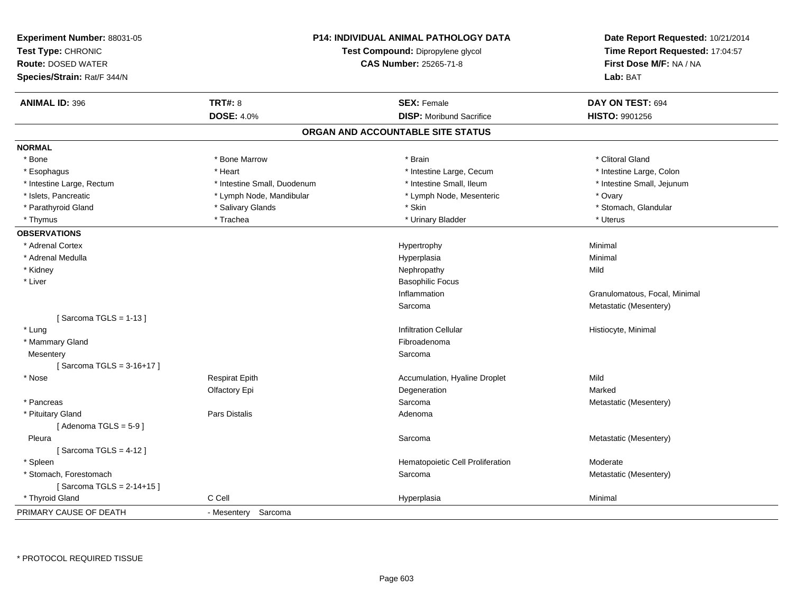| Experiment Number: 88031-05<br>Test Type: CHRONIC<br><b>Route: DOSED WATER</b><br>Species/Strain: Rat/F 344/N |                             | <b>P14: INDIVIDUAL ANIMAL PATHOLOGY DATA</b><br>Test Compound: Dipropylene glycol<br><b>CAS Number: 25265-71-8</b> | Date Report Requested: 10/21/2014<br>Time Report Requested: 17:04:57<br>First Dose M/F: NA / NA<br>Lab: BAT |
|---------------------------------------------------------------------------------------------------------------|-----------------------------|--------------------------------------------------------------------------------------------------------------------|-------------------------------------------------------------------------------------------------------------|
| <b>ANIMAL ID: 396</b>                                                                                         | <b>TRT#: 8</b>              | <b>SEX: Female</b>                                                                                                 | DAY ON TEST: 694                                                                                            |
|                                                                                                               | <b>DOSE: 4.0%</b>           | <b>DISP:</b> Moribund Sacrifice                                                                                    | HISTO: 9901256                                                                                              |
|                                                                                                               |                             | ORGAN AND ACCOUNTABLE SITE STATUS                                                                                  |                                                                                                             |
| <b>NORMAL</b>                                                                                                 |                             |                                                                                                                    |                                                                                                             |
| * Bone                                                                                                        | * Bone Marrow               | * Brain                                                                                                            | * Clitoral Gland                                                                                            |
| * Esophagus                                                                                                   | * Heart                     | * Intestine Large, Cecum                                                                                           | * Intestine Large, Colon                                                                                    |
| * Intestine Large, Rectum                                                                                     | * Intestine Small, Duodenum | * Intestine Small, Ileum                                                                                           | * Intestine Small, Jejunum                                                                                  |
| * Islets, Pancreatic                                                                                          | * Lymph Node, Mandibular    | * Lymph Node, Mesenteric                                                                                           | * Ovary                                                                                                     |
| * Parathyroid Gland                                                                                           | * Salivary Glands           | * Skin                                                                                                             | * Stomach, Glandular                                                                                        |
| * Thymus                                                                                                      | * Trachea                   | * Urinary Bladder                                                                                                  | * Uterus                                                                                                    |
| <b>OBSERVATIONS</b>                                                                                           |                             |                                                                                                                    |                                                                                                             |
| * Adrenal Cortex                                                                                              |                             | Hypertrophy                                                                                                        | Minimal                                                                                                     |
| * Adrenal Medulla                                                                                             |                             | Hyperplasia                                                                                                        | Minimal                                                                                                     |
| * Kidney                                                                                                      |                             | Nephropathy                                                                                                        | Mild                                                                                                        |
| * Liver                                                                                                       |                             | <b>Basophilic Focus</b>                                                                                            |                                                                                                             |
|                                                                                                               |                             | Inflammation                                                                                                       | Granulomatous, Focal, Minimal                                                                               |
|                                                                                                               |                             | Sarcoma                                                                                                            | Metastatic (Mesentery)                                                                                      |
| [Sarcoma TGLS = $1-13$ ]                                                                                      |                             |                                                                                                                    |                                                                                                             |
| * Lung                                                                                                        |                             | <b>Infiltration Cellular</b>                                                                                       | Histiocyte, Minimal                                                                                         |
| * Mammary Gland                                                                                               |                             | Fibroadenoma                                                                                                       |                                                                                                             |
| Mesentery                                                                                                     |                             | Sarcoma                                                                                                            |                                                                                                             |
| [ Sarcoma TGLS = $3-16+17$ ]                                                                                  |                             |                                                                                                                    |                                                                                                             |
| * Nose                                                                                                        | <b>Respirat Epith</b>       | Accumulation, Hyaline Droplet                                                                                      | Mild                                                                                                        |
|                                                                                                               | Olfactory Epi               | Degeneration                                                                                                       | Marked                                                                                                      |
| * Pancreas                                                                                                    |                             | Sarcoma                                                                                                            | Metastatic (Mesentery)                                                                                      |
| * Pituitary Gland                                                                                             | Pars Distalis               | Adenoma                                                                                                            |                                                                                                             |
| [Adenoma TGLS = $5-9$ ]                                                                                       |                             |                                                                                                                    |                                                                                                             |
| Pleura                                                                                                        |                             | Sarcoma                                                                                                            | Metastatic (Mesentery)                                                                                      |
| [Sarcoma TGLS = 4-12]                                                                                         |                             |                                                                                                                    |                                                                                                             |
| * Spleen                                                                                                      |                             | Hematopoietic Cell Proliferation                                                                                   | Moderate                                                                                                    |
| * Stomach, Forestomach                                                                                        |                             | Sarcoma                                                                                                            | Metastatic (Mesentery)                                                                                      |
| [Sarcoma TGLS = 2-14+15]                                                                                      |                             |                                                                                                                    |                                                                                                             |
| * Thyroid Gland                                                                                               | C Cell                      | Hyperplasia                                                                                                        | Minimal                                                                                                     |
| PRIMARY CAUSE OF DEATH                                                                                        | - Mesentery Sarcoma         |                                                                                                                    |                                                                                                             |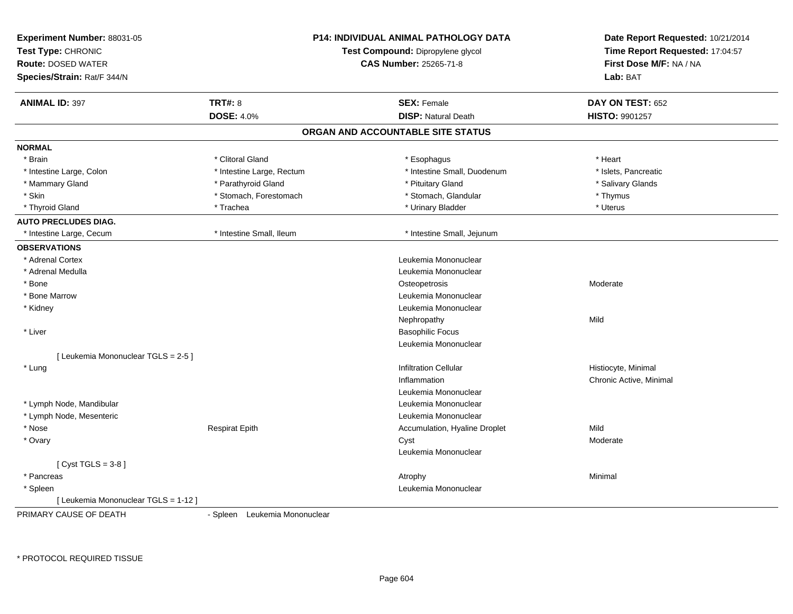| Experiment Number: 88031-05<br>Test Type: CHRONIC<br><b>Route: DOSED WATER</b><br>Species/Strain: Rat/F 344/N |                               | <b>P14: INDIVIDUAL ANIMAL PATHOLOGY DATA</b><br>Test Compound: Dipropylene glycol<br><b>CAS Number: 25265-71-8</b> | Date Report Requested: 10/21/2014<br>Time Report Requested: 17:04:57<br>First Dose M/F: NA / NA<br>Lab: BAT |
|---------------------------------------------------------------------------------------------------------------|-------------------------------|--------------------------------------------------------------------------------------------------------------------|-------------------------------------------------------------------------------------------------------------|
| <b>ANIMAL ID: 397</b>                                                                                         | TRT#: 8                       | <b>SEX: Female</b>                                                                                                 | DAY ON TEST: 652                                                                                            |
|                                                                                                               | <b>DOSE: 4.0%</b>             | <b>DISP: Natural Death</b>                                                                                         | <b>HISTO: 9901257</b>                                                                                       |
|                                                                                                               |                               | ORGAN AND ACCOUNTABLE SITE STATUS                                                                                  |                                                                                                             |
| <b>NORMAL</b>                                                                                                 |                               |                                                                                                                    |                                                                                                             |
| * Brain                                                                                                       | * Clitoral Gland              | * Esophagus                                                                                                        | * Heart                                                                                                     |
| * Intestine Large, Colon                                                                                      | * Intestine Large, Rectum     | * Intestine Small, Duodenum                                                                                        | * Islets, Pancreatic                                                                                        |
| * Mammary Gland                                                                                               | * Parathyroid Gland           | * Pituitary Gland                                                                                                  | * Salivary Glands                                                                                           |
| * Skin                                                                                                        | * Stomach, Forestomach        | * Stomach, Glandular                                                                                               | * Thymus                                                                                                    |
| * Thyroid Gland                                                                                               | * Trachea                     | * Urinary Bladder                                                                                                  | * Uterus                                                                                                    |
| <b>AUTO PRECLUDES DIAG.</b>                                                                                   |                               |                                                                                                                    |                                                                                                             |
| * Intestine Large, Cecum                                                                                      | * Intestine Small, Ileum      | * Intestine Small, Jejunum                                                                                         |                                                                                                             |
| <b>OBSERVATIONS</b>                                                                                           |                               |                                                                                                                    |                                                                                                             |
| * Adrenal Cortex                                                                                              |                               | Leukemia Mononuclear                                                                                               |                                                                                                             |
| * Adrenal Medulla                                                                                             |                               | Leukemia Mononuclear                                                                                               |                                                                                                             |
| * Bone                                                                                                        |                               | Osteopetrosis                                                                                                      | Moderate                                                                                                    |
| * Bone Marrow                                                                                                 |                               | Leukemia Mononuclear                                                                                               |                                                                                                             |
| * Kidney                                                                                                      |                               | Leukemia Mononuclear                                                                                               |                                                                                                             |
|                                                                                                               |                               | Nephropathy                                                                                                        | Mild                                                                                                        |
| * Liver                                                                                                       |                               | <b>Basophilic Focus</b>                                                                                            |                                                                                                             |
|                                                                                                               |                               | Leukemia Mononuclear                                                                                               |                                                                                                             |
| [ Leukemia Mononuclear TGLS = 2-5 ]                                                                           |                               |                                                                                                                    |                                                                                                             |
| * Lung                                                                                                        |                               | <b>Infiltration Cellular</b>                                                                                       | Histiocyte, Minimal                                                                                         |
|                                                                                                               |                               | Inflammation                                                                                                       | Chronic Active, Minimal                                                                                     |
|                                                                                                               |                               | Leukemia Mononuclear                                                                                               |                                                                                                             |
| * Lymph Node, Mandibular                                                                                      |                               | Leukemia Mononuclear                                                                                               |                                                                                                             |
| * Lymph Node, Mesenteric                                                                                      |                               | Leukemia Mononuclear                                                                                               |                                                                                                             |
| * Nose                                                                                                        | <b>Respirat Epith</b>         | Accumulation, Hyaline Droplet                                                                                      | Mild                                                                                                        |
| * Ovary                                                                                                       |                               | Cyst                                                                                                               | Moderate                                                                                                    |
|                                                                                                               |                               | Leukemia Mononuclear                                                                                               |                                                                                                             |
| $Cyst TGLS = 3-8$                                                                                             |                               |                                                                                                                    |                                                                                                             |
| * Pancreas                                                                                                    |                               | Atrophy                                                                                                            | Minimal                                                                                                     |
| * Spleen                                                                                                      |                               | Leukemia Mononuclear                                                                                               |                                                                                                             |
| [Leukemia Mononuclear TGLS = 1-12]                                                                            |                               |                                                                                                                    |                                                                                                             |
| PRIMARY CAUSE OF DEATH                                                                                        | - Spleen Leukemia Mononuclear |                                                                                                                    |                                                                                                             |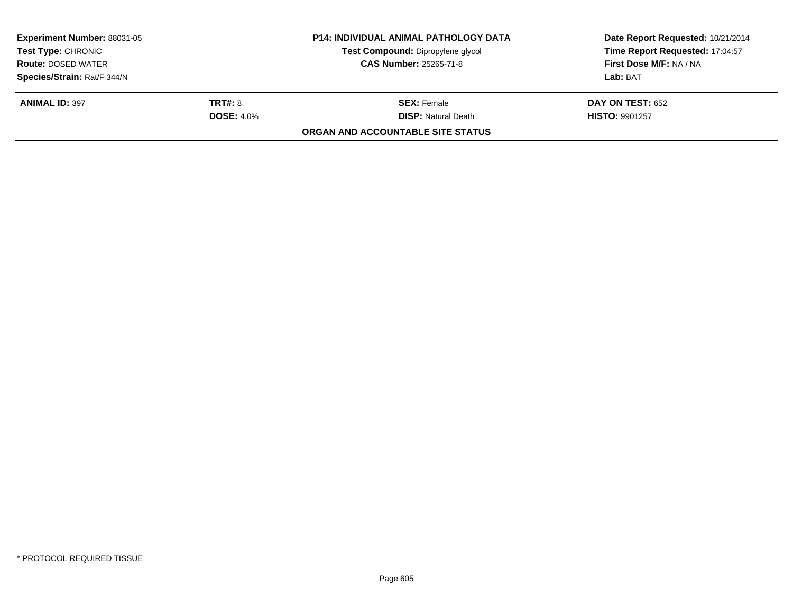| <b>Experiment Number: 88031-05</b><br><b>Test Type: CHRONIC</b><br><b>Route: DOSED WATER</b> |                   | <b>P14: INDIVIDUAL ANIMAL PATHOLOGY DATA</b> | Date Report Requested: 10/21/2014 |  |
|----------------------------------------------------------------------------------------------|-------------------|----------------------------------------------|-----------------------------------|--|
|                                                                                              |                   | Test Compound: Dipropylene glycol            | Time Report Requested: 17:04:57   |  |
|                                                                                              |                   | <b>CAS Number: 25265-71-8</b>                | First Dose M/F: NA / NA           |  |
| Species/Strain: Rat/F 344/N                                                                  |                   |                                              | Lab: BAT                          |  |
| <b>ANIMAL ID: 397</b>                                                                        | <b>TRT#: 8</b>    | <b>SEX:</b> Female                           | <b>DAY ON TEST: 652</b>           |  |
|                                                                                              | <b>DOSE: 4.0%</b> | <b>DISP:</b> Natural Death                   | <b>HISTO: 9901257</b>             |  |
|                                                                                              |                   | ORGAN AND ACCOUNTABLE SITE STATUS            |                                   |  |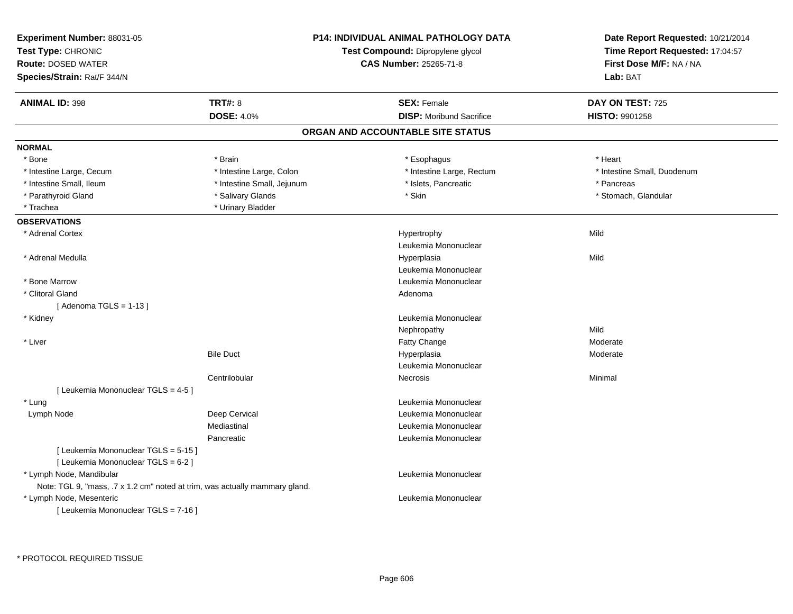| Experiment Number: 88031-05<br>Test Type: CHRONIC<br><b>Route: DOSED WATER</b><br>Species/Strain: Rat/F 344/N |                            | <b>P14: INDIVIDUAL ANIMAL PATHOLOGY DATA</b><br>Test Compound: Dipropylene glycol<br><b>CAS Number: 25265-71-8</b> | Date Report Requested: 10/21/2014<br>Time Report Requested: 17:04:57<br>First Dose M/F: NA / NA<br>Lab: BAT |
|---------------------------------------------------------------------------------------------------------------|----------------------------|--------------------------------------------------------------------------------------------------------------------|-------------------------------------------------------------------------------------------------------------|
| <b>ANIMAL ID: 398</b>                                                                                         | TRT#: 8                    | <b>SEX: Female</b>                                                                                                 | DAY ON TEST: 725                                                                                            |
|                                                                                                               | <b>DOSE: 4.0%</b>          | <b>DISP:</b> Moribund Sacrifice                                                                                    | <b>HISTO: 9901258</b>                                                                                       |
|                                                                                                               |                            | ORGAN AND ACCOUNTABLE SITE STATUS                                                                                  |                                                                                                             |
| <b>NORMAL</b>                                                                                                 |                            |                                                                                                                    |                                                                                                             |
| * Bone                                                                                                        | * Brain                    | * Esophagus                                                                                                        | * Heart                                                                                                     |
| * Intestine Large, Cecum                                                                                      | * Intestine Large, Colon   | * Intestine Large, Rectum                                                                                          | * Intestine Small, Duodenum                                                                                 |
| * Intestine Small, Ileum                                                                                      | * Intestine Small, Jejunum | * Islets, Pancreatic                                                                                               | * Pancreas                                                                                                  |
| * Parathyroid Gland                                                                                           | * Salivary Glands          | * Skin                                                                                                             | * Stomach, Glandular                                                                                        |
| * Trachea                                                                                                     | * Urinary Bladder          |                                                                                                                    |                                                                                                             |
| <b>OBSERVATIONS</b>                                                                                           |                            |                                                                                                                    |                                                                                                             |
| * Adrenal Cortex                                                                                              |                            | Hypertrophy                                                                                                        | Mild                                                                                                        |
|                                                                                                               |                            | Leukemia Mononuclear                                                                                               |                                                                                                             |
| * Adrenal Medulla                                                                                             |                            | Hyperplasia                                                                                                        | Mild                                                                                                        |
|                                                                                                               |                            | Leukemia Mononuclear                                                                                               |                                                                                                             |
| * Bone Marrow                                                                                                 |                            | Leukemia Mononuclear                                                                                               |                                                                                                             |
| * Clitoral Gland                                                                                              |                            | Adenoma                                                                                                            |                                                                                                             |
| [Adenoma TGLS = $1-13$ ]                                                                                      |                            |                                                                                                                    |                                                                                                             |
| * Kidney                                                                                                      |                            | Leukemia Mononuclear                                                                                               |                                                                                                             |
|                                                                                                               |                            | Nephropathy                                                                                                        | Mild                                                                                                        |
| * Liver                                                                                                       |                            | Fatty Change                                                                                                       | Moderate                                                                                                    |
|                                                                                                               | <b>Bile Duct</b>           | Hyperplasia                                                                                                        | Moderate                                                                                                    |
|                                                                                                               |                            | Leukemia Mononuclear                                                                                               |                                                                                                             |
|                                                                                                               | Centrilobular              | <b>Necrosis</b>                                                                                                    | Minimal                                                                                                     |
| [ Leukemia Mononuclear TGLS = 4-5 ]                                                                           |                            |                                                                                                                    |                                                                                                             |
| * Lung                                                                                                        |                            | Leukemia Mononuclear                                                                                               |                                                                                                             |
| Lymph Node                                                                                                    | Deep Cervical              | Leukemia Mononuclear                                                                                               |                                                                                                             |
|                                                                                                               | Mediastinal                | Leukemia Mononuclear                                                                                               |                                                                                                             |
|                                                                                                               | Pancreatic                 | Leukemia Mononuclear                                                                                               |                                                                                                             |
| [ Leukemia Mononuclear TGLS = 5-15 ]<br>[ Leukemia Mononuclear TGLS = 6-2 ]                                   |                            |                                                                                                                    |                                                                                                             |
| * Lymph Node, Mandibular                                                                                      |                            | Leukemia Mononuclear                                                                                               |                                                                                                             |
| Note: TGL 9, "mass, .7 x 1.2 cm" noted at trim, was actually mammary gland.                                   |                            |                                                                                                                    |                                                                                                             |
| * Lymph Node, Mesenteric<br>[ Leukemia Mononuclear TGLS = 7-16 ]                                              |                            | Leukemia Mononuclear                                                                                               |                                                                                                             |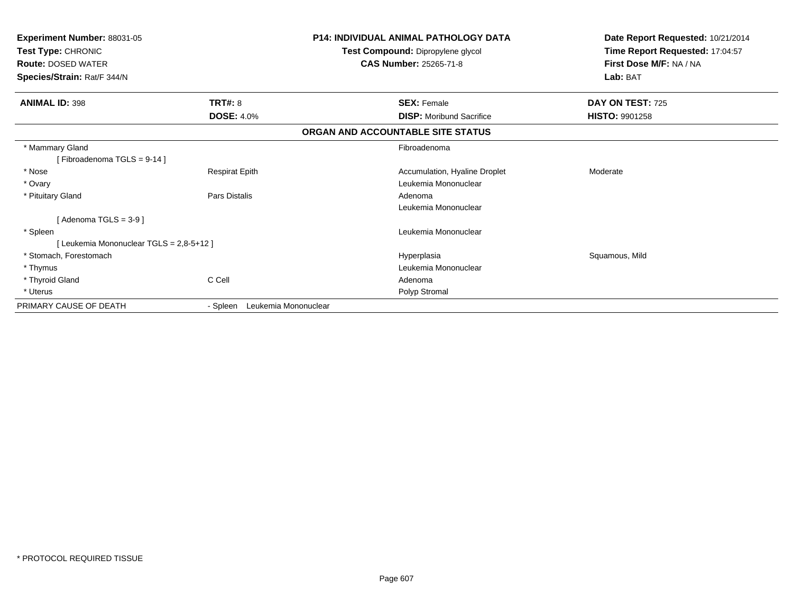| <b>Experiment Number: 88031-05</b><br>Test Type: CHRONIC<br><b>Route: DOSED WATER</b><br>Species/Strain: Rat/F 344/N |                                  | <b>P14: INDIVIDUAL ANIMAL PATHOLOGY DATA</b><br>Test Compound: Dipropylene glycol<br><b>CAS Number: 25265-71-8</b> | Date Report Requested: 10/21/2014<br>Time Report Requested: 17:04:57<br>First Dose M/F: NA / NA<br>Lab: BAT |
|----------------------------------------------------------------------------------------------------------------------|----------------------------------|--------------------------------------------------------------------------------------------------------------------|-------------------------------------------------------------------------------------------------------------|
| <b>ANIMAL ID: 398</b>                                                                                                | <b>TRT#: 8</b>                   | <b>SEX: Female</b>                                                                                                 | DAY ON TEST: 725                                                                                            |
|                                                                                                                      | <b>DOSE: 4.0%</b>                | <b>DISP:</b> Moribund Sacrifice                                                                                    | <b>HISTO: 9901258</b>                                                                                       |
|                                                                                                                      |                                  | ORGAN AND ACCOUNTABLE SITE STATUS                                                                                  |                                                                                                             |
| * Mammary Gland                                                                                                      |                                  | Fibroadenoma                                                                                                       |                                                                                                             |
| [Fibroadenoma TGLS = 9-14]                                                                                           |                                  |                                                                                                                    |                                                                                                             |
| * Nose                                                                                                               | <b>Respirat Epith</b>            | Accumulation, Hyaline Droplet                                                                                      | Moderate                                                                                                    |
| * Ovary                                                                                                              |                                  | Leukemia Mononuclear                                                                                               |                                                                                                             |
| * Pituitary Gland                                                                                                    | Pars Distalis                    | Adenoma                                                                                                            |                                                                                                             |
|                                                                                                                      |                                  | Leukemia Mononuclear                                                                                               |                                                                                                             |
| [Adenoma TGLS = $3-9$ ]                                                                                              |                                  |                                                                                                                    |                                                                                                             |
| * Spleen                                                                                                             |                                  | Leukemia Mononuclear                                                                                               |                                                                                                             |
| [Leukemia Mononuclear TGLS = 2,8-5+12]                                                                               |                                  |                                                                                                                    |                                                                                                             |
| * Stomach, Forestomach                                                                                               |                                  | Hyperplasia                                                                                                        | Squamous, Mild                                                                                              |
| * Thymus                                                                                                             |                                  | Leukemia Mononuclear                                                                                               |                                                                                                             |
| * Thyroid Gland                                                                                                      | C Cell                           | Adenoma                                                                                                            |                                                                                                             |
| * Uterus                                                                                                             |                                  | Polyp Stromal                                                                                                      |                                                                                                             |
| PRIMARY CAUSE OF DEATH                                                                                               | Leukemia Mononuclear<br>- Spleen |                                                                                                                    |                                                                                                             |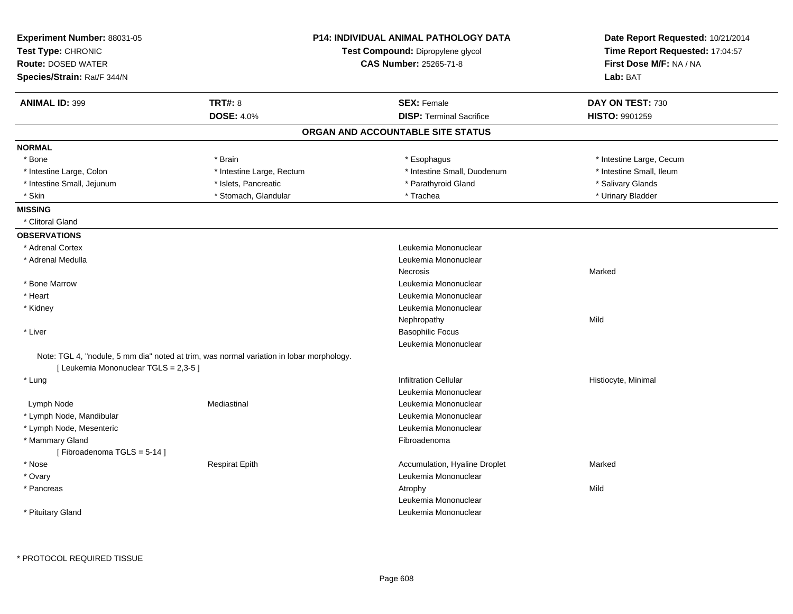| Experiment Number: 88031-05<br>Test Type: CHRONIC<br><b>Route: DOSED WATER</b><br>Species/Strain: Rat/F 344/N |                                                                                          | <b>P14: INDIVIDUAL ANIMAL PATHOLOGY DATA</b><br>Test Compound: Dipropylene glycol<br>CAS Number: 25265-71-8 | Date Report Requested: 10/21/2014<br>Time Report Requested: 17:04:57<br>First Dose M/F: NA / NA<br>Lab: BAT |
|---------------------------------------------------------------------------------------------------------------|------------------------------------------------------------------------------------------|-------------------------------------------------------------------------------------------------------------|-------------------------------------------------------------------------------------------------------------|
|                                                                                                               |                                                                                          |                                                                                                             |                                                                                                             |
| <b>ANIMAL ID: 399</b>                                                                                         | TRT#: 8                                                                                  | <b>SEX: Female</b>                                                                                          | DAY ON TEST: 730                                                                                            |
|                                                                                                               | <b>DOSE: 4.0%</b>                                                                        | <b>DISP: Terminal Sacrifice</b>                                                                             | HISTO: 9901259                                                                                              |
|                                                                                                               |                                                                                          | ORGAN AND ACCOUNTABLE SITE STATUS                                                                           |                                                                                                             |
| <b>NORMAL</b>                                                                                                 |                                                                                          |                                                                                                             |                                                                                                             |
| * Bone                                                                                                        | * Brain                                                                                  | * Esophagus                                                                                                 | * Intestine Large, Cecum                                                                                    |
| * Intestine Large, Colon                                                                                      | * Intestine Large, Rectum                                                                | * Intestine Small, Duodenum                                                                                 | * Intestine Small, Ileum                                                                                    |
| * Intestine Small, Jejunum                                                                                    | * Islets, Pancreatic                                                                     | * Parathyroid Gland                                                                                         | * Salivary Glands                                                                                           |
| * Skin                                                                                                        | * Stomach, Glandular                                                                     | * Trachea                                                                                                   | * Urinary Bladder                                                                                           |
| <b>MISSING</b>                                                                                                |                                                                                          |                                                                                                             |                                                                                                             |
| * Clitoral Gland                                                                                              |                                                                                          |                                                                                                             |                                                                                                             |
| <b>OBSERVATIONS</b>                                                                                           |                                                                                          |                                                                                                             |                                                                                                             |
| * Adrenal Cortex                                                                                              |                                                                                          | Leukemia Mononuclear                                                                                        |                                                                                                             |
| * Adrenal Medulla                                                                                             |                                                                                          | Leukemia Mononuclear                                                                                        |                                                                                                             |
|                                                                                                               |                                                                                          | Necrosis                                                                                                    | Marked                                                                                                      |
| * Bone Marrow                                                                                                 |                                                                                          | Leukemia Mononuclear                                                                                        |                                                                                                             |
| * Heart                                                                                                       |                                                                                          | Leukemia Mononuclear                                                                                        |                                                                                                             |
| * Kidney                                                                                                      |                                                                                          | Leukemia Mononuclear                                                                                        |                                                                                                             |
|                                                                                                               |                                                                                          | Nephropathy                                                                                                 | Mild                                                                                                        |
| * Liver                                                                                                       |                                                                                          | <b>Basophilic Focus</b>                                                                                     |                                                                                                             |
|                                                                                                               |                                                                                          | Leukemia Mononuclear                                                                                        |                                                                                                             |
|                                                                                                               | Note: TGL 4, "nodule, 5 mm dia" noted at trim, was normal variation in lobar morphology. |                                                                                                             |                                                                                                             |
| [ Leukemia Mononuclear TGLS = 2,3-5 ]                                                                         |                                                                                          |                                                                                                             |                                                                                                             |
| * Lung                                                                                                        |                                                                                          | <b>Infiltration Cellular</b>                                                                                | Histiocyte, Minimal                                                                                         |
|                                                                                                               |                                                                                          | Leukemia Mononuclear                                                                                        |                                                                                                             |
| Lymph Node                                                                                                    | Mediastinal                                                                              | Leukemia Mononuclear                                                                                        |                                                                                                             |
| * Lymph Node, Mandibular                                                                                      |                                                                                          | Leukemia Mononuclear                                                                                        |                                                                                                             |
| * Lymph Node, Mesenteric                                                                                      |                                                                                          | Leukemia Mononuclear                                                                                        |                                                                                                             |
| * Mammary Gland                                                                                               |                                                                                          | Fibroadenoma                                                                                                |                                                                                                             |
| [Fibroadenoma TGLS = 5-14]                                                                                    |                                                                                          |                                                                                                             |                                                                                                             |
| * Nose                                                                                                        | <b>Respirat Epith</b>                                                                    | Accumulation, Hyaline Droplet                                                                               | Marked                                                                                                      |
| * Ovary                                                                                                       |                                                                                          | Leukemia Mononuclear                                                                                        |                                                                                                             |
| * Pancreas                                                                                                    |                                                                                          | Atrophy                                                                                                     | Mild                                                                                                        |
|                                                                                                               |                                                                                          | Leukemia Mononuclear                                                                                        |                                                                                                             |
| * Pituitary Gland                                                                                             |                                                                                          | Leukemia Mononuclear                                                                                        |                                                                                                             |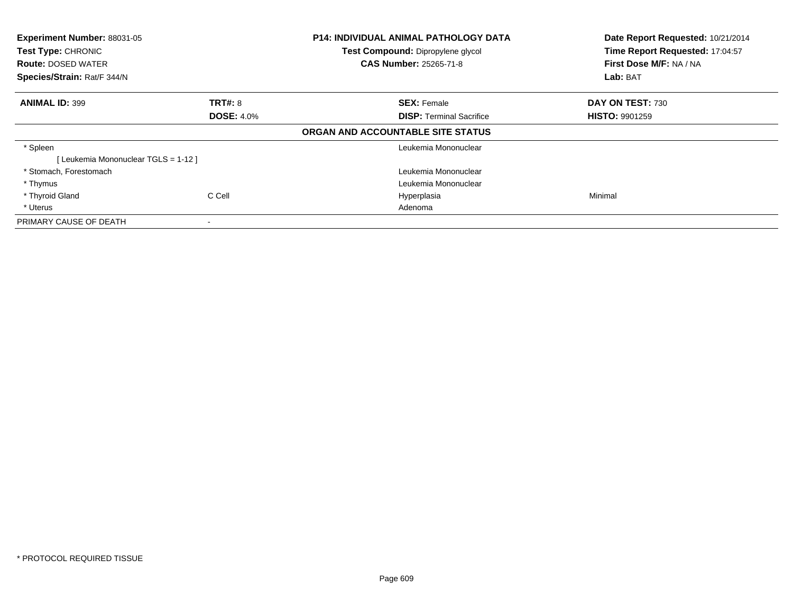| Experiment Number: 88031-05<br>Test Type: CHRONIC |                | <b>P14: INDIVIDUAL ANIMAL PATHOLOGY DATA</b><br>Test Compound: Dipropylene glycol | Date Report Requested: 10/21/2014<br>Time Report Requested: 17:04:57 |  |
|---------------------------------------------------|----------------|-----------------------------------------------------------------------------------|----------------------------------------------------------------------|--|
| <b>Route: DOSED WATER</b>                         |                | <b>CAS Number: 25265-71-8</b>                                                     | First Dose M/F: NA / NA                                              |  |
| Species/Strain: Rat/F 344/N                       |                |                                                                                   | Lab: BAT                                                             |  |
| <b>ANIMAL ID: 399</b>                             | <b>TRT#: 8</b> | <b>SEX: Female</b>                                                                | DAY ON TEST: 730                                                     |  |
| <b>DOSE: 4.0%</b>                                 |                | <b>DISP:</b> Terminal Sacrifice                                                   | <b>HISTO: 9901259</b>                                                |  |
|                                                   |                | ORGAN AND ACCOUNTABLE SITE STATUS                                                 |                                                                      |  |
| * Spleen                                          |                | Leukemia Mononuclear                                                              |                                                                      |  |
| [Leukemia Mononuclear TGLS = 1-12]                |                |                                                                                   |                                                                      |  |
| * Stomach, Forestomach                            |                | Leukemia Mononuclear                                                              |                                                                      |  |
| * Thymus                                          |                | Leukemia Mononuclear                                                              |                                                                      |  |
| * Thyroid Gland                                   | C Cell         | Hyperplasia                                                                       | Minimal                                                              |  |
| * Uterus                                          |                | Adenoma                                                                           |                                                                      |  |
| PRIMARY CAUSE OF DEATH                            |                |                                                                                   |                                                                      |  |